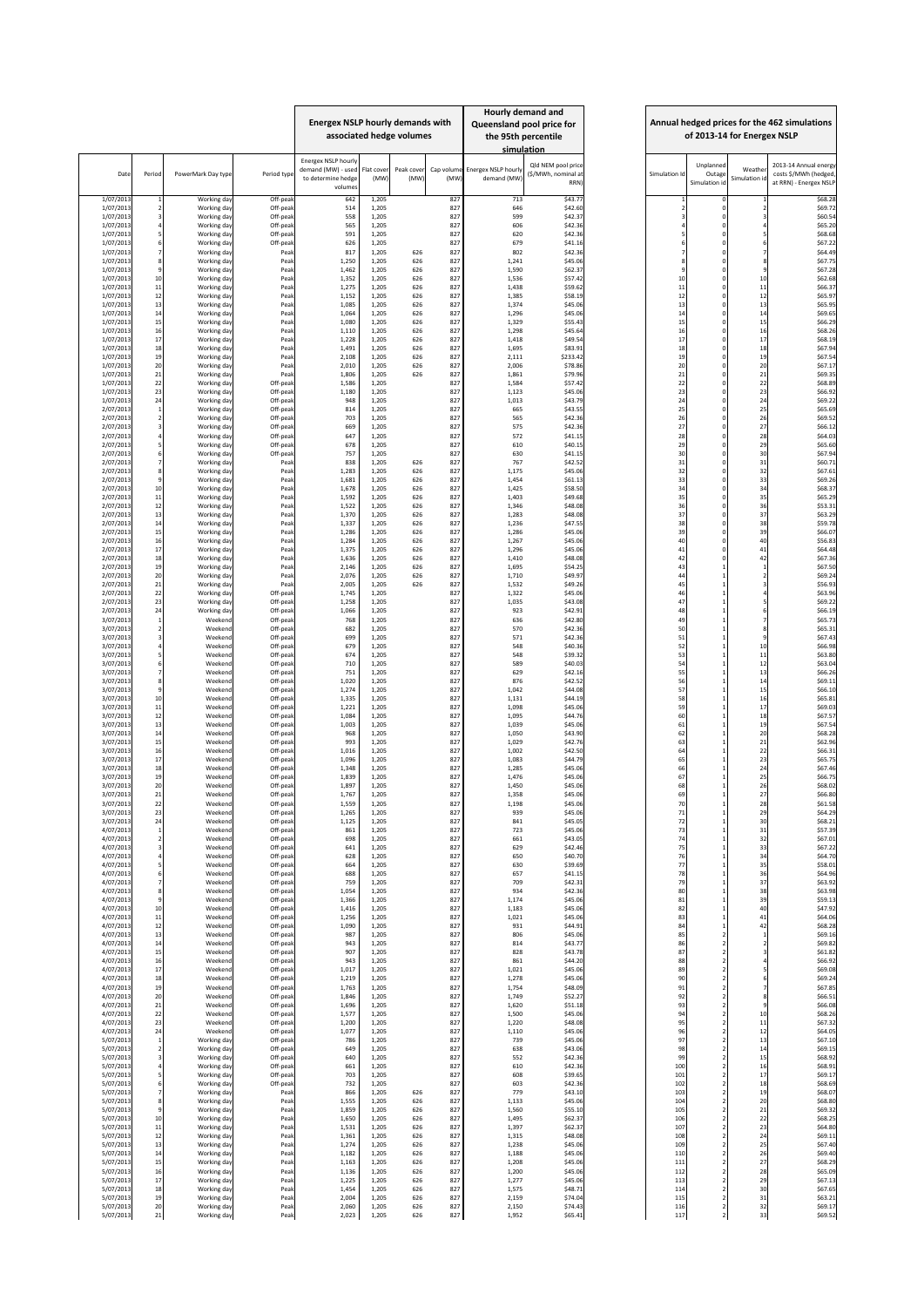|                        |                     |                            | <b>Energex NSLP hourly demands with</b><br>associated hedge volumes |                                                                           |                    | Hourly demand and<br>Queensland pool price for<br>the 95th percentile<br>simulation | Annual hedged prices for the 462 simulations<br>of 2013-14 for Energex NSLP |                                    |                                                        |               |                                      |                          |                                                                        |
|------------------------|---------------------|----------------------------|---------------------------------------------------------------------|---------------------------------------------------------------------------|--------------------|-------------------------------------------------------------------------------------|-----------------------------------------------------------------------------|------------------------------------|--------------------------------------------------------|---------------|--------------------------------------|--------------------------|------------------------------------------------------------------------|
| Date                   | Period              | PowerMark Day type         | Period type                                                         | Energex NSLP hourly<br>demand (MW) - used<br>to determine hedge<br>volume | Flat cover<br>(MW) | Peak cover<br>(MW                                                                   | Cap volume<br>(MW)                                                          | Energex NSLP hourly<br>demand (MW) | Qld NEM pool price<br>(\$/MWh, nominal a<br><b>RRN</b> | Simulation Id | Unplanned<br>Outage<br>Simulation id | Weather<br>Simulation io | 2013-14 Annual energ<br>costs \$/MWh (hedged<br>at RRN) - Energex NSLF |
| 1/07/2013<br>1/07/2013 |                     | Working day<br>Working day | Off-peal<br>Off-pea                                                 | 642<br>514                                                                | 1,205<br>1,205     |                                                                                     | 827<br>827                                                                  | 713<br>646                         | \$43.77<br>\$42.60                                     |               |                                      |                          | \$68.2<br>\$69.7                                                       |
| 1/07/2013<br>1/07/2013 |                     | Working day<br>Working day | Off-pea<br>Off-peal                                                 | 558<br>565                                                                | 1,205<br>1,205     |                                                                                     | 827<br>827                                                                  | 599<br>606                         | \$42.37<br>\$42.36                                     |               |                                      | з                        | \$60.5<br>\$65.2                                                       |
| 1/07/2013              |                     | Working day                | Off-peal                                                            | 591                                                                       | 1,205              |                                                                                     | 827                                                                         | 620                                | \$42.36                                                |               |                                      | 5                        | \$68.6                                                                 |
| 1/07/2013<br>1/07/2013 |                     | Working day<br>Working day | Off-peal<br>Pea                                                     | 626<br>817                                                                | 1,205<br>1,205     | 626                                                                                 | 827<br>827                                                                  | 679<br>802                         | \$41.16<br>\$42.36                                     |               |                                      | 6<br>7                   | \$67.2<br>\$64.49                                                      |
| 1/07/2013<br>1/07/201  |                     | Working day<br>Working day | Pea<br>Pea                                                          | 1,250<br>1,462                                                            | 1,205<br>1,205     | 626<br>626                                                                          | 827<br>827                                                                  | 1,241<br>1,590                     | \$45.06<br>\$62.37                                     |               |                                      |                          | \$67.7<br>\$67.2                                                       |
| 1/07/2013<br>1/07/2013 | 10<br>11            | Working day<br>Working day | Pea<br>Pea                                                          | 1,352<br>1,275                                                            | 1,205<br>1.205     | 626<br>626                                                                          | 827<br>827                                                                  | 1,536<br>1.438                     | \$57.42<br>\$59.62                                     | 10<br>11      |                                      | 10<br>11                 | \$62.6<br>\$66.3                                                       |
| 1/07/2013              | 12<br>13            | Working day<br>Working day | Peal                                                                | 1,152                                                                     | 1,205              | 626<br>626                                                                          | 827                                                                         | 1,385                              | \$58.19                                                | 12<br>13      |                                      | 12<br>13                 | \$65.9                                                                 |
| 1/07/2013<br>1/07/2013 | 14                  | Working day                | Peal<br>Peal                                                        | 1,085<br>1,064                                                            | 1,205<br>1,205     | 626                                                                                 | 827<br>827                                                                  | 1,374<br>1,296                     | \$45.06<br>\$45.06                                     | 14            |                                      | 14                       | \$65.9<br>\$69.6                                                       |
| 1/07/2013<br>1/07/2013 | 15<br>16            | Working day<br>Working day | Pea<br>Pea                                                          | 1,080<br>1,110                                                            | 1,205<br>1,205     | 626<br>626                                                                          | 827<br>827                                                                  | 1,329<br>1.298                     | \$55.43<br>\$45.64                                     | 15<br>16      |                                      | 15<br>16                 | \$66.2<br>\$68.2                                                       |
| 1/07/2013<br>1/07/201  | 17<br>18            | Working day<br>Working da  | Pea<br>Pea                                                          | 1,228<br>1,491                                                            | 1,205<br>1,205     | 626<br>626                                                                          | 827<br>827                                                                  | 1,418<br>1,695                     | \$49.54<br>\$83.91                                     | 17<br>18      |                                      | 17<br>18                 | \$68.19<br>\$67.9                                                      |
| 1/07/2013<br>1/07/2013 | 19<br>20            | Working day<br>Working day | Pea<br>Pea                                                          | 2,108<br>2,010                                                            | 1,205<br>1,205     | 626<br>626                                                                          | 827<br>827                                                                  | 2,111<br>2,006                     | \$233.42<br>\$78.86                                    | 19<br>20      |                                      | 19<br>20                 | \$67.5<br>\$67.1                                                       |
| 1/07/2013<br>1/07/2013 | 21<br>22            | Working day<br>Working day | Peal<br>Off-peal                                                    | 1,806<br>1,586                                                            | 1,205<br>1,205     | 626                                                                                 | 827<br>827                                                                  | 1,861<br>1,584                     | \$79.96<br>\$57.42                                     | 21<br>22      |                                      | 21<br>22                 | \$69.3<br>\$68.8                                                       |
| 1/07/2013<br>1/07/2013 | 23<br>24            | Working day                | Off-peal<br>Off-peal                                                | 1,180<br>948                                                              | 1,205<br>1,205     |                                                                                     | 827<br>827                                                                  | 1,123<br>1,013                     | \$45.06<br>\$43.79                                     | 23<br>24      |                                      | 23<br>24                 | \$66.9<br>\$69.2                                                       |
| 2/07/2013              |                     | Working day<br>Working day | Off-pea                                                             | 814                                                                       | 1,205              |                                                                                     | 827                                                                         | 665                                | \$43.55                                                | 25            |                                      | 25                       | \$65.6                                                                 |
| 2/07/201<br>2/07/2013  |                     | Working da<br>Working day  | Off-pea<br>Off-pea                                                  | 703<br>669                                                                | 1,205<br>1,205     |                                                                                     | 827<br>827                                                                  | 565<br>575                         | \$42.36<br>\$42.36                                     | 26<br>27      |                                      | 26<br>27                 | \$69.5<br>\$66.1                                                       |
| 2/07/2013<br>2/07/2013 |                     | Working day<br>Working day | Off-pea<br>Off-pea                                                  | 647<br>678                                                                | 1.205<br>1,205     |                                                                                     | 827<br>827                                                                  | 572<br>610                         | \$41.19<br>\$40.15                                     | 28<br>29      |                                      | 28<br>29                 | \$64.0<br>\$65.6                                                       |
| 2/07/2013<br>2/07/2013 |                     | Working day<br>Working day | Off-pea<br>Pea                                                      | 757<br>838                                                                | 1,205<br>1,205     | 626                                                                                 | 827<br>827                                                                  | 630<br>767                         | \$41.15<br>\$42.52                                     | 30<br>31      |                                      | 30<br>31                 | \$67.9<br>\$60.7                                                       |
| 2/07/201<br>2/07/2013  |                     | Working day<br>Working da  | Pea<br>Pea                                                          | 1,283<br>1,681                                                            | 1.205<br>1,205     | 626<br>626                                                                          | 827<br>827                                                                  | 1,175<br>1,454                     | \$45.06<br>\$61.13                                     | 32<br>33      |                                      | 32<br>33                 | \$67.6<br>\$69.2                                                       |
| 2/07/201               | 10<br>$11$          | Working da<br>Working day  | Pea<br>Pea                                                          | 1,678<br>1,592                                                            | 1,205<br>1,205     | 626<br>626                                                                          | 827<br>827                                                                  | 1,425<br>1,403                     | \$58.50<br>\$49.68                                     | 34<br>35      |                                      | 34<br>35                 | \$68.3<br>\$65.29                                                      |
| 2/07/2013<br>2/07/2013 | $12$                | Working day                | Pea                                                                 | 1,522                                                                     | 1,205              | 626                                                                                 | 827                                                                         | 1,346                              | \$48.08                                                | 36            |                                      | 36                       | \$53.3                                                                 |
| 2/07/2013<br>2/07/2013 | 13<br>14            | Working day<br>Working day | Pea<br>Peal                                                         | 1,370<br>1,337                                                            | 1,205<br>1,205     | 626<br>626                                                                          | 827<br>827                                                                  | 1,283<br>1,236                     | \$48.08<br>\$47.55                                     | 37<br>38      |                                      | 37<br>38                 | \$63.2<br>\$59.7                                                       |
| 2/07/2013<br>2/07/2013 | 15<br>16            | Working day<br>Working day | Peal<br>Pea                                                         | 1,286<br>1,284                                                            | 1,205<br>1,205     | 626<br>626                                                                          | 827<br>827                                                                  | 1,286<br>1,267                     | \$45.06<br>\$45.06                                     | 39<br>40      |                                      | 39<br>40                 | \$66.0<br>\$56.8                                                       |
| 2/07/2013<br>2/07/2013 | 17<br>18            | Working day<br>Working day | Pea<br>Pea                                                          | 1,375<br>1,636                                                            | 1,205<br>1,205     | 626<br>626                                                                          | 827<br>827                                                                  | 1,296<br>1,410                     | \$45.06<br>\$48.08                                     | 41<br>42      |                                      | 41<br>42                 | \$64.4<br>\$67.3                                                       |
| 2/07/201<br>2/07/2013  | 19<br>20            | Working da<br>Working da   | Pea<br>Pea                                                          | 2,146<br>2,076                                                            | 1,205<br>1,205     | 626<br>626                                                                          | 827<br>827                                                                  | 1,695<br>1,710                     | \$54.25<br>\$49.97                                     | 43<br>44      |                                      | $\overline{\mathbf{2}}$  | \$67.5<br>\$69.2                                                       |
| 2/07/2013<br>2/07/2013 | 21<br>22            | Working day<br>Working day | Pea<br>Off-pea                                                      | 2.005<br>1,745                                                            | 1.205<br>1,205     | 626                                                                                 | 827<br>827                                                                  | 1,532<br>1,322                     | \$49.26<br>\$45.06                                     | 45<br>46      |                                      | з                        | \$56.9<br>\$63.9                                                       |
| 2/07/2013              | 23                  | Working day                | Off-pea                                                             | 1,258                                                                     | 1,205              |                                                                                     | 827                                                                         | 1,035                              | \$43.08                                                | 47            |                                      |                          | \$69.2                                                                 |
| 2/07/2013<br>3/07/2013 | 24                  | Working day<br>Weekend     | Off-peal<br>Off-peal                                                | 1,066<br>768                                                              | 1,205<br>1.205     |                                                                                     | 827<br>827                                                                  | 923<br>636                         | \$42.91<br>\$42.80                                     | 48<br>49      |                                      | 6<br>7                   | \$66.19<br>\$65.7                                                      |
| 3/07/201<br>3/07/201   |                     | Weekend<br>Weekend         | Off-pea<br>Off-pea                                                  | 682<br>699                                                                | 1,205<br>1,205     |                                                                                     | 827<br>827                                                                  | 570<br>571                         | \$42.36<br>\$42.36                                     | 50<br>51      |                                      |                          | \$65.3<br>\$67.4                                                       |
| 3/07/2013<br>3/07/2013 |                     | Weekend<br>Weekend         | Off-pea<br>Off-pea                                                  | 679<br>674                                                                | 1,205<br>1,205     |                                                                                     | 827<br>827                                                                  | 548<br>548                         | \$40.36<br>\$39.32                                     | 52<br>53      |                                      | 10<br>11                 | \$66.9<br>\$63.8                                                       |
| 3/07/2013<br>3/07/2013 |                     | Weekend<br>Weekend         | Off-pea<br>Off-peal                                                 | 710<br>751                                                                | 1,205<br>1,205     |                                                                                     | 827<br>827                                                                  | 589<br>629                         | \$40.03<br>\$42.16                                     | 54<br>55      |                                      | 12<br>13                 | \$63.0<br>\$66.2                                                       |
| 3/07/2013<br>3/07/2013 |                     | Weekend<br>Weekend         | Off-peal<br>Off-pea                                                 | 1,020<br>1,274                                                            | 1,205<br>1,205     |                                                                                     | 827<br>827                                                                  | 876<br>1,042                       | \$42.52<br>\$44.08                                     | 56<br>57      |                                      | 14<br>15                 | \$69.1<br>\$66.1                                                       |
| 3/07/2013              | 10                  | Weekend                    | Off-pea                                                             | 1,335                                                                     | 1,205              |                                                                                     | 827                                                                         | 1,131                              | \$44.19                                                | 58            |                                      | 16                       | \$65.8                                                                 |
| 3/07/2013<br>3/07/201  | 11<br>12            | Weekend<br>Weekend         | Off-pea<br>Off-pea                                                  | 1,221<br>1,084                                                            | 1,205<br>1,205     |                                                                                     | 827<br>827                                                                  | 1,098<br>1,095                     | \$45.06<br>\$44.76                                     | 59<br>60      |                                      | 17<br>18                 | \$69.0<br>\$67.5                                                       |
| 3/07/2013<br>3/07/2013 | 13<br>14            | Weekend<br>Weekend         | Off-pea<br>Off-pea                                                  | 1,003<br>968                                                              | 1,205<br>1.205     |                                                                                     | 827<br>827                                                                  | 1,039<br>1.050                     | \$45.06<br>\$43.90                                     | 61<br>62      |                                      | 19<br>20                 | \$67.5<br>\$68.2                                                       |
| 3/07/2013<br>3/07/2013 | 15<br>16            | Weekend<br>Weekend         | Off-pea<br>Off-pea                                                  | 993<br>1,016                                                              | 1,205<br>1,205     |                                                                                     | 827<br>827                                                                  | 1,029<br>1,002                     | \$42.76<br>\$42.50                                     | 63<br>64      |                                      | 21<br>22                 | \$62.9<br>\$66.3                                                       |
| 3/07/2013<br>3/07/201  | 17<br>18            | Weekend<br>Weekend         | Off-pea<br>Off-pea                                                  | 1,096<br>1.348                                                            | 1,205<br>1.205     |                                                                                     | 827<br>827                                                                  | 1,083<br>1.285                     | \$44.79<br>\$45.06                                     | 65<br>66      |                                      | 23<br>24                 | \$65.7<br>\$67.4                                                       |
| 3/07/2013<br>3/07/201  | 19<br>20            | Weekend<br>Weekend         | Off-pea<br>Off-pea                                                  | 1,839<br>1,897                                                            | 1,205<br>1,205     |                                                                                     | 827<br>827                                                                  | 1,476<br>1,450                     | \$45.06<br>\$45.06                                     | 67<br>68      |                                      | 25<br>26                 | \$66.7<br>\$68.0                                                       |
| 3/07/2013<br>3/07/201  | 21<br>$\mathcal{L}$ | Weekend<br>Weeken          | Off-pea<br>Off-nea                                                  | 1,767<br>1.559                                                            | 1,205<br>1.205     |                                                                                     | 827<br>827                                                                  | 1,358<br>1.198                     | \$45.06<br>\$45.0                                      | 69<br>70      |                                      | 27<br>25                 | \$66.8<br>\$61.53                                                      |
| 3/07/2013<br>3/07/2013 | 23<br>24            | Weekend<br>Weekend         | Off-peal<br>Off-peal                                                | 1,265<br>1,125                                                            | 1,205<br>1,205     |                                                                                     | 827<br>827                                                                  | 939<br>841                         | \$45.06<br>\$45.05                                     | 71<br>72      |                                      | 29<br>30                 | \$64.2<br>\$68.2                                                       |
| 4/07/2013              |                     | Weekend                    | Off-peal                                                            | 861                                                                       | 1,205              |                                                                                     | 827                                                                         | 723                                | \$45.06                                                | 73            |                                      | $31\,$                   | \$57.3                                                                 |
| 4/07/2013<br>4/07/2013 |                     | Weekend<br>Weekend         | Off-peal<br>Off-pea                                                 | 698<br>641                                                                | 1,205<br>1,205     |                                                                                     | 827<br>827                                                                  | 661<br>629                         | \$43.05<br>\$42.46                                     | 74<br>75      |                                      | 32<br>33                 | \$67.0<br>\$67.2                                                       |
| 4/07/201<br>4/07/2013  |                     | Weekend<br>Weekend         | Off-pea<br>Off-pea                                                  | 628<br>664                                                                | 1,205<br>1,205     |                                                                                     | 827<br>827                                                                  | 650<br>630                         | \$40.70<br>\$39.69                                     | 76<br>77      |                                      | 34<br>35                 | \$64.7<br>\$58.0                                                       |
| 4/07/2013<br>4/07/2013 |                     | Weekend<br>Weekend         | Off-pea<br>Off-pea                                                  | 688<br>759                                                                | 1.205<br>1,205     |                                                                                     | 827<br>827                                                                  | 657<br>709                         | \$41.15<br>\$42.31                                     | 78<br>79      |                                      | 36<br>37                 | \$64.9<br>\$63.9                                                       |
| 4/07/2013<br>4/07/2013 |                     | Weekend<br>Weekend         | Off-peal<br>Off-peal                                                | 1,054<br>1,366                                                            | 1,205<br>1,205     |                                                                                     | 827<br>827                                                                  | 934<br>1,174                       | \$42.36<br>\$45.06                                     | 80<br>81      |                                      | 38<br>39                 | \$63.9<br>\$59.1                                                       |
| 4/07/2013<br>4/07/2013 | 10<br>11            | Weekend<br>Weekend         | Off-peal<br>Off-peal                                                | 1,416<br>1.256                                                            | 1,205<br>1.205     |                                                                                     | 827<br>827                                                                  | 1,183<br>1,021                     | \$45.06<br>\$45.06                                     | 82<br>83      |                                      | 40<br>41                 | \$47.9<br>\$64.0                                                       |
| 4/07/2013<br>4/07/201  | 12<br>13            | Weekend<br>Weekend         | Off-pea<br>Off-pea                                                  | 1,090<br>987                                                              | 1,205<br>1,205     |                                                                                     | 827<br>827                                                                  | 931<br>806                         | \$44.91<br>\$45.06                                     | 84<br>85      |                                      | 42<br>$\mathbf{1}$       | \$68.2<br>\$69.1                                                       |
| 4/07/2013              | 14                  | Weekend<br>Weekend         | Off-pea                                                             | 943<br>907                                                                | 1,205              |                                                                                     | 827<br>827                                                                  | 814<br>828                         | \$43.77<br>\$43.78                                     | 86            |                                      | $\overline{\mathbf{2}}$  | \$69.8                                                                 |
| 4/07/2013<br>4/07/2013 | 15<br>16            | Weekend                    | Off-peal<br>Off-peal                                                | 943                                                                       | 1,205<br>1,205     |                                                                                     | 827                                                                         | 861                                | \$44.20                                                | 87<br>88      |                                      | з                        | \$61.8<br>\$66.9                                                       |
| 4/07/2013<br>4/07/2013 | 17<br>18            | Weekend<br>Weekend         | Off-peal<br>Off-peak                                                | 1,017<br>1,219                                                            | 1,205<br>1,205     |                                                                                     | 827<br>827                                                                  | 1,021<br>1,278                     | \$45.06<br>\$45.06                                     | 89<br>90      | $\overline{\phantom{a}}$             | 5<br>6                   | \$69.0<br>\$69.2                                                       |
| 4/07/2013<br>4/07/2013 | 19<br>20            | Weekend<br>Weekend         | Off-peal<br>Off-pea                                                 | 1,763<br>1,846                                                            | 1,205<br>1,205     |                                                                                     | 827<br>827                                                                  | 1.754<br>1,749                     | \$48.09<br>\$52.27                                     | 91<br>92      | $\overline{2}$                       | $\overline{7}$<br>8      | \$67.8<br>\$66.5                                                       |
| 4/07/201<br>4/07/2013  | 21<br>22            | Weekend<br>Weekend         | Off-pea<br>Off-pea                                                  | 1,696<br>1,577                                                            | 1,205<br>1,205     |                                                                                     | 827<br>827                                                                  | 1,620<br>1,500                     | \$51.18<br>\$45.06                                     | 93<br>94      |                                      | 9<br>10                  | \$66.0<br>\$68.2                                                       |
| 4/07/2013<br>4/07/2013 | 23<br>24            | Weekend<br>Weekend         | Off-pea<br>Off-pea                                                  | 1,200<br>1,077                                                            | 1.205<br>1,205     |                                                                                     | 827<br>827                                                                  | 1,220<br>1,110                     | \$48.08<br>\$45.06                                     | 95<br>96      |                                      | 11<br>12                 | \$67.3<br>\$64.0                                                       |
| 5/07/2013<br>5/07/2013 |                     | Working day<br>Working day | Off-peal<br>Off-peal                                                | 786<br>649                                                                | 1,205<br>1,205     |                                                                                     | 827<br>827                                                                  | 739<br>638                         | \$45.06<br>\$43.06                                     | 97<br>98      | $\overline{\phantom{a}}$             | 13<br>14                 | \$67.1<br>\$69.1                                                       |
| 5/07/2013              |                     | Working day                | Off-peal                                                            | 640                                                                       | 1.205              |                                                                                     | 827                                                                         | 552                                | \$42.36                                                | 99            | $\overline{\phantom{a}}$             | 15                       | \$68.9                                                                 |
| 5/07/2013<br>5/07/201  |                     | Working day<br>Working day | Off-pea<br>Off-pea                                                  | 661<br>703                                                                | 1,205<br>1,205     |                                                                                     | 827<br>827                                                                  | 610<br>608                         | \$42.36<br>\$39.65                                     | 100<br>101    |                                      | 16<br>17                 | \$68.9<br>\$69.1                                                       |
| 5/07/2013<br>5/07/2013 |                     | Working day<br>Working day | Off-pea<br>Pea                                                      | 732<br>866                                                                | 1,205<br>1,205     | 626                                                                                 | 827<br>827                                                                  | 603<br>779                         | \$42.36<br>\$43.10                                     | 102<br>103    |                                      | 18<br>19                 | \$68.6<br>\$68.0                                                       |
| 5/07/2013<br>5/07/2013 |                     | Working day<br>Working day | Pea<br>Peal                                                         | 1,555<br>1,859                                                            | 1.205<br>1,205     | 626<br>626                                                                          | 827<br>827                                                                  | 1,133<br>1,560                     | \$45.06<br>\$55.10                                     | 104<br>105    | $\overline{\phantom{a}}$             | 20<br>$\bf{21}$          | \$68.8<br>\$69.3                                                       |
| 5/07/2013<br>5/07/2013 | 10<br>11            | Working day<br>Working day | Peal<br>Pea                                                         | 1,650<br>1,531                                                            | 1,205<br>1,205     | 626<br>626                                                                          | 827<br>827                                                                  | 1,495<br>1,397                     | \$62.37<br>\$62.37                                     | 106<br>107    | $\overline{2}$<br>$\overline{2}$     | 22<br>23                 | \$68.2<br>\$64.8                                                       |
| 5/07/2013<br>5/07/2013 | 12<br>13            | Working day<br>Working day | Pea<br>Peal                                                         | 1,361<br>1,274                                                            | 1.205<br>1,205     | 626<br>626                                                                          | 827<br>827                                                                  | 1,315<br>1,238                     | \$48.08<br>\$45.06                                     | 108<br>109    | $\overline{2}$                       | 24<br>25                 | \$69.11<br>\$67.4                                                      |
| 5/07/201<br>5/07/2013  | 14<br>15            | Working day<br>Working day | Peal<br>Pea                                                         | 1,182<br>1,163                                                            | 1,205<br>1,205     | 626<br>626                                                                          | 827<br>827                                                                  | 1,188<br>1,208                     | \$45.06<br>\$45.06                                     | 110<br>111    |                                      | 26<br>27                 | \$69.4<br>\$68.2                                                       |
| 5/07/2013<br>5/07/2013 | 16<br>17            | Working day<br>Working day | Pea<br>Peal                                                         | 1,136<br>1,225                                                            | 1.205<br>1,205     | 626<br>626                                                                          | 827<br>827                                                                  | 1.200<br>1,277                     | \$45.06<br>\$45.06                                     | 112<br>113    |                                      | 28<br>29                 | \$65.0<br>\$67.1                                                       |
| 5/07/2013              | 18<br>19            | Working day                | Peal                                                                | 1,454                                                                     | 1,205              | 626<br>626                                                                          | 827<br>827                                                                  | 1,575                              | \$48.71<br>\$74.04                                     | 114<br>115    |                                      | 30<br>$_{\rm 31}$        | \$67.6<br>\$63.2                                                       |
| 5/07/2013<br>5/07/2013 | 20                  | Working day<br>Working day | Peal<br>Pea                                                         | 2,004<br>2,060<br>2,023                                                   | 1,205<br>1,205     | 626<br>626                                                                          | 827                                                                         | 2,159<br>2,150                     | \$74.43                                                | 116           |                                      | 32<br>33                 | \$69.1                                                                 |
| 5/07/2013              | 21                  | Working day                | Peak                                                                |                                                                           | 1,205              |                                                                                     | 827                                                                         | 1,952                              | \$65.41                                                | 117           |                                      |                          | \$69.5                                                                 |

| Annual hedged prices for the 462 simulations<br>of 2013-14 for Energex NSLP |                                      |                          |                                                                          |  |  |  |  |  |  |  |  |  |
|-----------------------------------------------------------------------------|--------------------------------------|--------------------------|--------------------------------------------------------------------------|--|--|--|--|--|--|--|--|--|
| Simulation Id                                                               | Unplanned<br>Outage<br>Simulation id | Weather<br>Simulation id | 2013-14 Annual energy<br>costs \$/MWh (hedged,<br>at RRN) - Energex NSLP |  |  |  |  |  |  |  |  |  |
| $\mathbf{1}$                                                                | $\mathbf 0$                          | $\mathbf{1}$             | \$68.28                                                                  |  |  |  |  |  |  |  |  |  |
| 2                                                                           | 0                                    | 2                        | \$69.72                                                                  |  |  |  |  |  |  |  |  |  |
| 3                                                                           | 0                                    | 3                        | \$60.54                                                                  |  |  |  |  |  |  |  |  |  |
| 4                                                                           | $\mathbf 0$                          | 4                        | \$65.20                                                                  |  |  |  |  |  |  |  |  |  |
| 5                                                                           | 0                                    | 5                        | \$68.68                                                                  |  |  |  |  |  |  |  |  |  |
| 6                                                                           | 0                                    | 6                        | \$67.22                                                                  |  |  |  |  |  |  |  |  |  |
| 7                                                                           | o                                    | 7                        | \$64.49                                                                  |  |  |  |  |  |  |  |  |  |
| 8                                                                           | $\mathbf{0}$                         | 8                        | \$67.75                                                                  |  |  |  |  |  |  |  |  |  |
| 9                                                                           | 0                                    | 9                        | \$67.28                                                                  |  |  |  |  |  |  |  |  |  |
| 10                                                                          | 0                                    | 10                       | \$62.68                                                                  |  |  |  |  |  |  |  |  |  |
| 11                                                                          | 0                                    | 11                       | \$66.37                                                                  |  |  |  |  |  |  |  |  |  |
| 12                                                                          | $\mathbf 0$                          | 12                       | \$65.97                                                                  |  |  |  |  |  |  |  |  |  |
| 13                                                                          | $\mathbf{0}$                         | 13                       | \$65.95                                                                  |  |  |  |  |  |  |  |  |  |
| 14                                                                          | 0                                    | 14                       | \$69.65                                                                  |  |  |  |  |  |  |  |  |  |
| 15                                                                          | 0                                    | 15                       | \$66.29                                                                  |  |  |  |  |  |  |  |  |  |
| 16                                                                          | $\mathbf 0$                          | 16                       | \$68.26                                                                  |  |  |  |  |  |  |  |  |  |
| 17                                                                          | $\mathbf 0$                          | 17                       | \$68.19                                                                  |  |  |  |  |  |  |  |  |  |
| 18                                                                          | 0                                    | 18                       | \$67.94                                                                  |  |  |  |  |  |  |  |  |  |
| 19                                                                          | 0                                    | 19                       | \$67.54                                                                  |  |  |  |  |  |  |  |  |  |
| 20                                                                          | 0                                    | 20                       | \$67.17                                                                  |  |  |  |  |  |  |  |  |  |
| 21                                                                          | $\mathbf{0}$                         | $_{21}$                  | \$69.35                                                                  |  |  |  |  |  |  |  |  |  |
| 22                                                                          | 0                                    | 22                       | \$68.89                                                                  |  |  |  |  |  |  |  |  |  |
| 23                                                                          | 0                                    | 23                       | \$66.92                                                                  |  |  |  |  |  |  |  |  |  |
| 24                                                                          | o                                    | 24                       | \$69.22                                                                  |  |  |  |  |  |  |  |  |  |
| 25                                                                          | $\mathbf 0$                          | 25                       | \$65.69                                                                  |  |  |  |  |  |  |  |  |  |
| 26                                                                          | 0                                    | 26                       | \$69.52                                                                  |  |  |  |  |  |  |  |  |  |
| 27                                                                          | 0                                    | 27                       | \$66.12                                                                  |  |  |  |  |  |  |  |  |  |
| 28                                                                          | 0                                    | 28                       | \$64.03                                                                  |  |  |  |  |  |  |  |  |  |
| 29                                                                          | $\mathbf{0}$                         | 29                       | \$65.60                                                                  |  |  |  |  |  |  |  |  |  |
| 30                                                                          | 0                                    | 30                       | \$67.94                                                                  |  |  |  |  |  |  |  |  |  |
| 31                                                                          | 0                                    | 31                       | \$60.71                                                                  |  |  |  |  |  |  |  |  |  |
| 32                                                                          | $\mathbf 0$                          | 32                       | \$67.61                                                                  |  |  |  |  |  |  |  |  |  |
| 33                                                                          | $\mathbf 0$                          | 33                       | \$69.26                                                                  |  |  |  |  |  |  |  |  |  |
| 34                                                                          | 0                                    | 34                       | \$68.37                                                                  |  |  |  |  |  |  |  |  |  |
| 35                                                                          | 0                                    | 35                       | \$65.29                                                                  |  |  |  |  |  |  |  |  |  |
| 36                                                                          | 0                                    | 36                       | \$53.31                                                                  |  |  |  |  |  |  |  |  |  |
| 37                                                                          | 0                                    | 37                       | \$63.29                                                                  |  |  |  |  |  |  |  |  |  |
| 38                                                                          | $\mathbf{0}$                         | 38                       | \$59.78                                                                  |  |  |  |  |  |  |  |  |  |
| 39                                                                          | 0                                    | 39                       | \$66.07                                                                  |  |  |  |  |  |  |  |  |  |
| 40                                                                          | 0                                    | 40                       | \$56.83                                                                  |  |  |  |  |  |  |  |  |  |
| 41                                                                          | 0                                    | 41                       | \$64.48                                                                  |  |  |  |  |  |  |  |  |  |
| 42                                                                          | $\mathbf{0}$                         | 42                       | \$67.36                                                                  |  |  |  |  |  |  |  |  |  |
| 43                                                                          | $\mathbf{1}$                         | $\mathbf{1}$             | \$67.50                                                                  |  |  |  |  |  |  |  |  |  |
| 44                                                                          | $\mathbf{1}$                         | 2                        | \$69.24                                                                  |  |  |  |  |  |  |  |  |  |
| 45                                                                          | 1                                    | 3                        | \$56.93                                                                  |  |  |  |  |  |  |  |  |  |
| 46                                                                          | $\mathbf{1}$                         | 4                        | \$63.96                                                                  |  |  |  |  |  |  |  |  |  |
| 47                                                                          | $\mathbf{1}$                         | 5                        | \$69.22                                                                  |  |  |  |  |  |  |  |  |  |
| 48                                                                          | $\mathbf{1}$                         | 6                        | \$66.19                                                                  |  |  |  |  |  |  |  |  |  |
| 49                                                                          | $\mathbf{1}$                         | 7                        | \$65.73                                                                  |  |  |  |  |  |  |  |  |  |
| 50                                                                          | $\mathbf{1}$                         | 8                        | \$65.31                                                                  |  |  |  |  |  |  |  |  |  |
| 51                                                                          | $\mathbf{1}$                         | 9                        | \$67.43                                                                  |  |  |  |  |  |  |  |  |  |
| 52                                                                          | $\mathbf{1}$                         | 10                       | \$66.98                                                                  |  |  |  |  |  |  |  |  |  |
| 53                                                                          | 1                                    | 11                       | \$63.80                                                                  |  |  |  |  |  |  |  |  |  |
| 54                                                                          | $\mathbf{1}$                         | 12                       | \$63.04                                                                  |  |  |  |  |  |  |  |  |  |
| 55                                                                          | $\mathbf{1}$                         | 13                       | \$66.26                                                                  |  |  |  |  |  |  |  |  |  |
| 56                                                                          | $\mathbf{1}$<br>$\mathbf{1}$         | 14                       | \$69.11                                                                  |  |  |  |  |  |  |  |  |  |
| 57                                                                          | $\mathbf{1}$                         | 15                       | \$66.10                                                                  |  |  |  |  |  |  |  |  |  |
| 58                                                                          |                                      | 16                       | \$65.81                                                                  |  |  |  |  |  |  |  |  |  |
| 59                                                                          | $\mathbf{1}$                         | 17                       | \$69.03                                                                  |  |  |  |  |  |  |  |  |  |
| 60                                                                          | $\mathbf{1}$                         | 18                       | \$67.57                                                                  |  |  |  |  |  |  |  |  |  |
| 61                                                                          | $\mathbf{1}$                         | 19                       | \$67.54                                                                  |  |  |  |  |  |  |  |  |  |
| 62                                                                          | 1                                    | 20                       | \$68.28                                                                  |  |  |  |  |  |  |  |  |  |
| 63                                                                          | $\mathbf{1}$                         | 21                       | \$62.96                                                                  |  |  |  |  |  |  |  |  |  |
| 64                                                                          | $\mathbf{1}$                         | 22                       | \$66.31                                                                  |  |  |  |  |  |  |  |  |  |
| 65<br>66                                                                    | $\mathbf{1}$                         | 23<br>2 <sub>4</sub>     | \$65.75                                                                  |  |  |  |  |  |  |  |  |  |
| 67                                                                          | $\mathbf{1}$<br>$\mathbf{1}$         | 25                       | \$67.46<br>\$66.75                                                       |  |  |  |  |  |  |  |  |  |
| 68                                                                          | $\mathbf{1}$                         | 26                       | \$68.02                                                                  |  |  |  |  |  |  |  |  |  |
| 69                                                                          | $\mathbf{1}$                         | 27                       | \$66.80                                                                  |  |  |  |  |  |  |  |  |  |
| 71                                                                          | $\mathbf{1}$                         | "<br>29                  | 61.58<br>\$64.29                                                         |  |  |  |  |  |  |  |  |  |
| 72                                                                          | $\mathbf{1}$                         | 30                       | \$68.21                                                                  |  |  |  |  |  |  |  |  |  |
| 73                                                                          | $\mathbf{1}$                         | 31                       | \$57.39                                                                  |  |  |  |  |  |  |  |  |  |
| 74                                                                          | $\mathbf{1}$                         | 32                       | \$67.01                                                                  |  |  |  |  |  |  |  |  |  |
| 75                                                                          | $\mathbf{1}$                         | 33                       | \$67.22                                                                  |  |  |  |  |  |  |  |  |  |
| 76                                                                          | $\mathbf{1}$                         | 34                       | \$64.70                                                                  |  |  |  |  |  |  |  |  |  |
| 77                                                                          | 1                                    | 35                       | \$58.01                                                                  |  |  |  |  |  |  |  |  |  |
| 78                                                                          | 1                                    | 36                       | \$64.96                                                                  |  |  |  |  |  |  |  |  |  |
| 79                                                                          | $\mathbf{1}$                         | 37                       | \$63.92                                                                  |  |  |  |  |  |  |  |  |  |
| 80                                                                          | $\mathbf{1}$                         | 38                       | \$63.98                                                                  |  |  |  |  |  |  |  |  |  |
| 81                                                                          | $\mathbf{1}$                         | 39                       | \$59.13                                                                  |  |  |  |  |  |  |  |  |  |
| 82                                                                          | $\mathbf{1}$                         | 40                       | \$47.92                                                                  |  |  |  |  |  |  |  |  |  |
| 83                                                                          | $\mathbf{1}$                         | 41                       | \$64.06                                                                  |  |  |  |  |  |  |  |  |  |
| 84                                                                          | $\mathbf{1}$                         | 42                       | \$68.28                                                                  |  |  |  |  |  |  |  |  |  |
| 85                                                                          | 2<br>2                               | $\mathbf{1}$             | \$69.16<br>\$69.82                                                       |  |  |  |  |  |  |  |  |  |
| 86<br>87                                                                    | 2                                    | 2<br>3                   | \$61.82                                                                  |  |  |  |  |  |  |  |  |  |
| 88                                                                          | $\overline{\mathbf{c}}$              | 4                        | \$66.92                                                                  |  |  |  |  |  |  |  |  |  |
| 89                                                                          | $\frac{2}{2}$                        | 5                        | \$69.08                                                                  |  |  |  |  |  |  |  |  |  |
| 90                                                                          | 2                                    | 6                        | \$69.24                                                                  |  |  |  |  |  |  |  |  |  |
| 91                                                                          |                                      | 7                        | \$67.85                                                                  |  |  |  |  |  |  |  |  |  |
| 92                                                                          | $\overline{c}$                       | 8                        | \$66.51                                                                  |  |  |  |  |  |  |  |  |  |
| 93                                                                          | 2                                    | 9                        | \$66.08                                                                  |  |  |  |  |  |  |  |  |  |
| 94                                                                          | 2                                    | 10                       | \$68.26                                                                  |  |  |  |  |  |  |  |  |  |
| 95                                                                          | 2                                    | $\overline{11}$          | \$67.32                                                                  |  |  |  |  |  |  |  |  |  |
| 96                                                                          | $\overline{\mathbf{c}}$              | 12                       | \$64.05                                                                  |  |  |  |  |  |  |  |  |  |
| 97                                                                          | $\frac{2}{2}$                        | 13                       | \$67.10                                                                  |  |  |  |  |  |  |  |  |  |
| 98                                                                          |                                      | 14                       | \$69.15                                                                  |  |  |  |  |  |  |  |  |  |
| 99                                                                          | 2                                    | 15                       | \$68.92                                                                  |  |  |  |  |  |  |  |  |  |
| 100                                                                         | $\overline{c}$                       | 16                       | \$68.91                                                                  |  |  |  |  |  |  |  |  |  |
| 101                                                                         | 2                                    | 17                       | \$69.17                                                                  |  |  |  |  |  |  |  |  |  |
| 102                                                                         | 2                                    | 18                       | \$68.69                                                                  |  |  |  |  |  |  |  |  |  |
| 103                                                                         | 2                                    | 19                       | \$68.07                                                                  |  |  |  |  |  |  |  |  |  |
| 104                                                                         | 2                                    | 20                       | \$68.80                                                                  |  |  |  |  |  |  |  |  |  |
| 105                                                                         | $\overline{\mathbf{c}}$              | 21                       | \$69.32                                                                  |  |  |  |  |  |  |  |  |  |
| 106                                                                         | $\frac{2}{2}$                        | 22                       | \$68.25                                                                  |  |  |  |  |  |  |  |  |  |
| 107                                                                         |                                      | 23                       | \$64.80                                                                  |  |  |  |  |  |  |  |  |  |
| 108                                                                         | 2                                    | 24                       | \$69.11                                                                  |  |  |  |  |  |  |  |  |  |
| 109                                                                         | $\overline{c}$                       | 25                       | \$67.40                                                                  |  |  |  |  |  |  |  |  |  |
| 110                                                                         | 2                                    | 26                       | \$69.40                                                                  |  |  |  |  |  |  |  |  |  |
| 111                                                                         | 2                                    | 27                       | \$68.29                                                                  |  |  |  |  |  |  |  |  |  |
| 112                                                                         | 2                                    | 28                       | \$65.09                                                                  |  |  |  |  |  |  |  |  |  |
| 113                                                                         | $\overline{\mathbf{c}}$              | 29                       | \$67.13                                                                  |  |  |  |  |  |  |  |  |  |
| 114                                                                         | $\frac{2}{2}$                        | 30                       | \$67.65                                                                  |  |  |  |  |  |  |  |  |  |
| 115                                                                         |                                      | 31                       | \$63.21                                                                  |  |  |  |  |  |  |  |  |  |
| 116                                                                         | 2                                    | 32                       | \$69.17                                                                  |  |  |  |  |  |  |  |  |  |
| 117                                                                         | $\overline{2}$                       | 33                       | \$69.52                                                                  |  |  |  |  |  |  |  |  |  |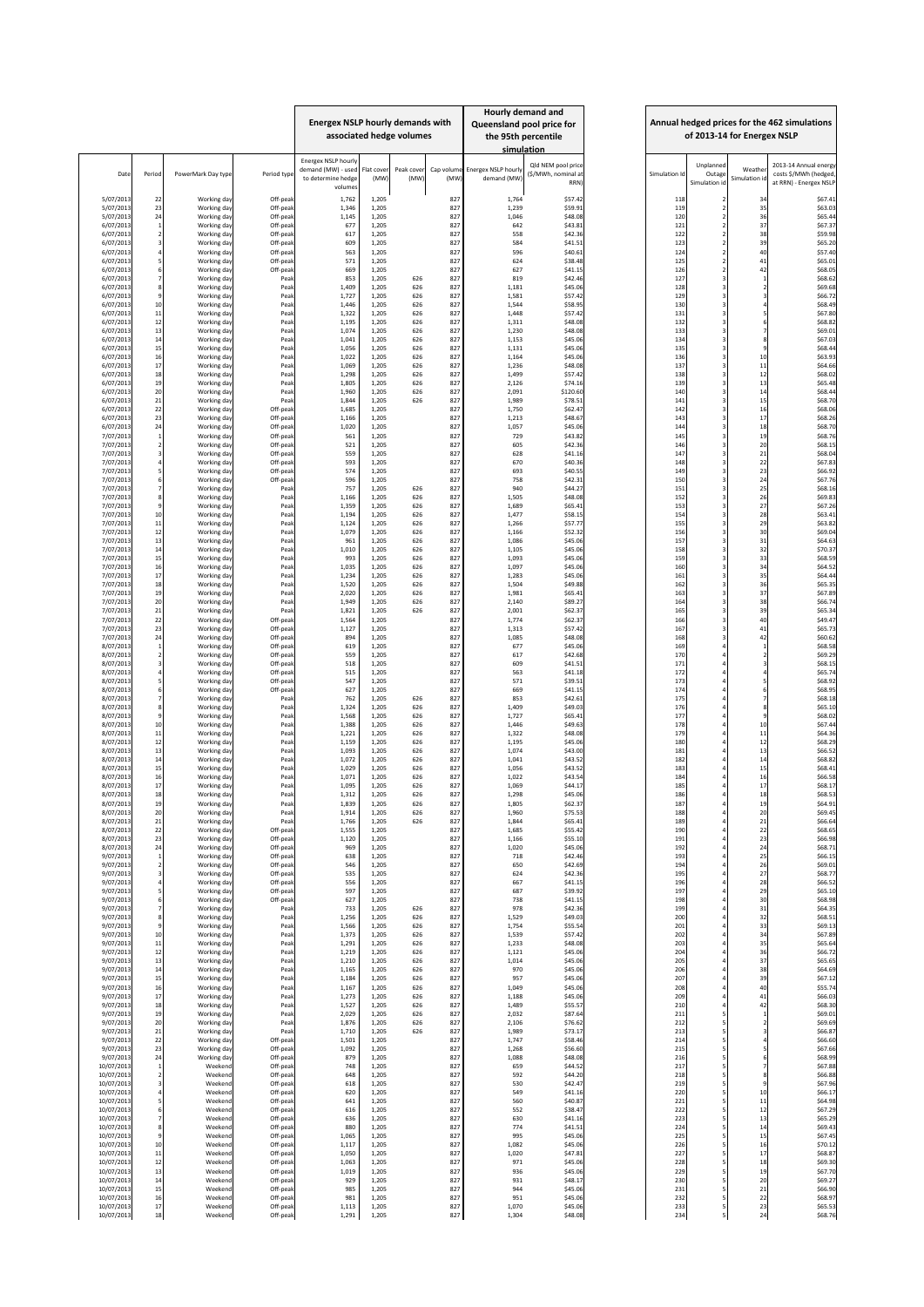|                          | <b>Hourly demand and</b><br><b>Energex NSLP hourly demands with</b><br>Queensland pool price for<br>associated hedge volumes<br>the 95th percentile<br>simulation |                            |                      | Annual hedged prices for the 462 simulations<br>of 2013-14 for Energex NSLP |                    |                    |                    |                                   |                                                        |               |                                      |                          |                                                                        |
|--------------------------|-------------------------------------------------------------------------------------------------------------------------------------------------------------------|----------------------------|----------------------|-----------------------------------------------------------------------------|--------------------|--------------------|--------------------|-----------------------------------|--------------------------------------------------------|---------------|--------------------------------------|--------------------------|------------------------------------------------------------------------|
| Date                     | Period                                                                                                                                                            | PowerMark Day type         | Period type          | Energex NSLP hourly<br>demand (MW) - used<br>to determine hedge<br>volumes  | Flat cover<br>(MW) | Peak cover<br>(MW) | Cap volume<br>(MW) | Energex NSLP hourly<br>demand (MW | Qld NEM pool price<br>(\$/MWh, nominal a<br><b>RRN</b> | Simulation Id | Unplanned<br>Outage<br>Simulation id | Weather<br>Simulation in | 2013-14 Annual energ<br>costs \$/MWh (hedged<br>at RRN) - Energex NSLF |
| 5/07/2013<br>5/07/2013   | 22<br>2 <sup>2</sup>                                                                                                                                              | Working day<br>Working day | Off-pea<br>Off-peal  | 1,762<br>1,346                                                              | 1,205<br>1,205     |                    | 827<br>827         | 1,764<br>1,239                    | \$57.42<br>\$59.91                                     | 118<br>119    |                                      | 34<br>35                 | \$67.4<br>\$63.0                                                       |
| 5/07/2013<br>6/07/2013   | 24                                                                                                                                                                | Working day<br>Working day | Off-peal<br>Off-peak | 1,145<br>677                                                                | 1,205<br>1,205     |                    | 827<br>827         | 1,046<br>642                      | \$48.08<br>\$43.81                                     | 120<br>121    |                                      | 36<br>37                 | \$65.4<br>\$67.3                                                       |
| 6/07/2013<br>6/07/2013   |                                                                                                                                                                   | Working day<br>Working day | Off-peak<br>Off-peak | 617<br>609                                                                  | 1,205<br>1,205     |                    | 827<br>827         | 558<br>584                        | \$42.36<br>\$41.51                                     | 122<br>123    |                                      | 38<br>39                 | \$59.9<br>\$65.2                                                       |
| 6/07/2013                |                                                                                                                                                                   | Working day                | Off-peak             | 563                                                                         | 1,205              |                    | 827                | 596                               | \$40.61                                                | 124           |                                      | 40                       | \$57.4                                                                 |
| 6/07/201<br>6/07/201     |                                                                                                                                                                   | Working day<br>Working day | Off-peal<br>Off-pea  | 571<br>669                                                                  | 1,205<br>1,205     |                    | 827<br>827         | 624<br>627                        | \$38.48<br>\$41.15                                     | 125<br>126    |                                      | 41<br>42                 | \$65.0<br>\$68.0                                                       |
| 6/07/201<br>6/07/201     |                                                                                                                                                                   | Working day<br>Working day | Pea<br>Pea           | 853<br>1,409                                                                | 1,205<br>1.205     | 626<br>626         | 827<br>827         | 819<br>1,181                      | \$42.46<br>\$45.06                                     | 127<br>128    |                                      | 2                        | \$68.6<br>\$69.6                                                       |
| 6/07/2013<br>6/07/2013   | 10                                                                                                                                                                | Working day<br>Working day | Pea<br>Peal          | 1,727<br>1,446                                                              | 1,205<br>1,205     | 626<br>626         | 827<br>827         | 1,581<br>1,544                    | \$57.42<br>\$58.95                                     | 129<br>130    |                                      |                          | \$66.7<br>\$68.4                                                       |
| 6/07/2013                | 11                                                                                                                                                                | Working day                | Pea                  | 1,322                                                                       | 1,205              | 626                | 827                | 1,448                             | \$57.42                                                | 131           |                                      |                          | \$67.8                                                                 |
| 6/07/2013<br>6/07/2013   | 12<br>13                                                                                                                                                          | Working day<br>Working day | Pea<br>Pea           | 1,195<br>1,074                                                              | 1,205<br>1,205     | 626<br>626         | 827<br>827         | 1,311<br>1.230                    | \$48.08<br>\$48.08                                     | 132<br>133    |                                      |                          | \$68.8<br>\$69.0                                                       |
| 6/07/201<br>6/07/201     | 14<br>15                                                                                                                                                          | Working day<br>Working day | Pea<br>Pea           | 1,041<br>1,056                                                              | 1,205<br>1,205     | 626<br>626         | 827<br>827         | 1,153<br>1,131                    | \$45.06<br>\$45.06                                     | 134<br>135    |                                      |                          | \$67.0<br>\$68.4                                                       |
| 6/07/201<br>6/07/2013    | 16<br>17                                                                                                                                                          | Working day<br>Working day | Pea<br>Pea           | 1,022<br>1,069                                                              | 1,205<br>1.205     | 626<br>626         | 827<br>827         | 1,164<br>1,236                    | \$45.06<br>\$48.08                                     | 136<br>137    |                                      | 10<br>11                 | \$63.9<br>\$64.6                                                       |
| 6/07/2013                | 18                                                                                                                                                                | Working day                | Peak                 | 1,298                                                                       | 1,205              | 626                | 827                | 1,499                             | \$57.42                                                | 138           |                                      | 12                       | \$68.0                                                                 |
| 6/07/2013<br>6/07/2013   | 19<br>20                                                                                                                                                          | Working day<br>Working day | Peal<br>Peal         | 1,805<br>1,960                                                              | 1,205<br>1,205     | 626<br>626         | 827<br>827         | 2,126<br>2,091                    | \$74.16<br>\$120.60                                    | 139<br>140    |                                      | 13<br>14                 | \$65.4<br>\$68.4                                                       |
| 6/07/2013<br>6/07/2013   | 21<br>22                                                                                                                                                          | Working day<br>Working day | Pea<br>Off-pea       | 1,844<br>1,685                                                              | 1,205<br>1,205     | 626                | 827<br>827         | 1.989<br>1,750                    | \$78.51<br>\$62.47                                     | 141<br>142    |                                      | 15<br>16                 | \$68.7<br>\$68.0                                                       |
| 6/07/2013<br>6/07/201    | 2 <sup>2</sup><br>24                                                                                                                                              | Working day<br>Working day | Off-pea<br>Off-peal  | 1,166<br>1,020                                                              | 1,205<br>1,205     |                    | 827<br>827         | 1,213<br>1,057                    | \$48.67<br>\$45.06                                     | 143<br>144    |                                      | 17<br>18                 | \$68.2<br>\$68.7                                                       |
| 7/07/201                 |                                                                                                                                                                   | Working day                | Off-peal             | 561                                                                         | 1.205              |                    | 827                | 729                               | \$43.82                                                | 145           |                                      | 19                       | \$68.7                                                                 |
| 7/07/2013<br>7/07/2013   |                                                                                                                                                                   | Working day<br>Working day | Off-pea<br>Off-pea   | 521<br>559                                                                  | 1,205<br>1,205     |                    | 827<br>827         | 605<br>628                        | \$42.36<br>\$41.16                                     | 146<br>147    |                                      | 20<br>21                 | \$68.1<br>\$68.0                                                       |
| 7/07/2013<br>7/07/201    |                                                                                                                                                                   | Working day<br>Working day | Off-peal<br>Off-peal | 593<br>574                                                                  | 1,205<br>1.205     |                    | 827<br>827         | 670<br>693                        | \$40.36<br>\$40.5                                      | 148<br>149    |                                      | 22<br>23                 | \$67.8<br>\$66.9                                                       |
| 7/07/201<br>7/07/201     |                                                                                                                                                                   | Working day<br>Working day | Off-pea<br>Pea       | 596<br>757                                                                  | 1,205<br>1,205     | 626                | 827<br>827         | 758<br>940                        | \$42.31<br>\$44.27                                     | 150<br>151    |                                      | 24<br>25                 | \$67.7<br>\$68.1                                                       |
| 7/07/2013                |                                                                                                                                                                   | Working day                | Pea                  | 1,166                                                                       | 1,205              | 626                | 827                | 1,505                             | \$48.08                                                | 152           |                                      | 26                       | \$69.8                                                                 |
| 7/07/2013<br>7/07/2013   | 10                                                                                                                                                                | Working day<br>Working day | Pea<br>Pea           | 1,359<br>1,194                                                              | 1,205<br>1,205     | 626<br>626         | 827<br>827         | 1,689<br>1,477                    | \$65.41<br>\$58.15                                     | 153<br>154    |                                      | 27<br>28                 | \$67.2<br>\$63.4                                                       |
| 7/07/2013<br>7/07/2013   | 11<br>12                                                                                                                                                          | Working day<br>Working day | Peak<br>Peal         | 1,124<br>1,079                                                              | 1,205<br>1,205     | 626<br>626         | 827<br>827         | 1,266<br>1,166                    | \$57.77<br>\$52.32                                     | 155<br>156    |                                      | 29<br>30                 | \$63.8<br>\$69.0                                                       |
| 7/07/2013<br>7/07/2013   | 13<br>14                                                                                                                                                          | Working day<br>Working day | Peal<br>Pea          | 961<br>1,010                                                                | 1,205<br>1,205     | 626<br>626         | 827<br>827         | 1,086<br>1,105                    | \$45.06<br>\$45.06                                     | 157<br>158    |                                      | 31<br>32                 | \$64.6<br>\$70.3                                                       |
| 7/07/2013                | 15                                                                                                                                                                | Working day                | Peal                 | 993                                                                         | 1,205              | 626                | 827                | 1,093                             | \$45.06                                                | 159           |                                      | 33                       | \$68.5                                                                 |
| 7/07/201<br>7/07/2013    | 16<br>17                                                                                                                                                          | Working day<br>Working day | Pea<br>Pea           | 1,035<br>1,234                                                              | 1,205<br>1,205     | 626<br>626         | 827<br>827         | 1,097<br>1,283                    | \$45.06<br>\$45.06                                     | 160<br>161    |                                      | 34<br>35                 | \$64.5<br>\$64.4                                                       |
| 7/07/201<br>7/07/2013    | 18<br>19                                                                                                                                                          | Working day<br>Working day | Pea<br>Pea           | 1,520<br>2,020                                                              | 1.205<br>1,205     | 626<br>626         | 827<br>827         | 1.504<br>1,981                    | \$49.88<br>\$65.41                                     | 162<br>163    |                                      | 36<br>37                 | \$65.3<br>\$67.8                                                       |
| 7/07/2013<br>7/07/2013   | 20<br>21                                                                                                                                                          | Working day<br>Working day | Pea<br>Pea           | 1,949<br>1,821                                                              | 1,205<br>1,205     | 626<br>626         | 827<br>827         | 2,140<br>2.001                    | \$89.27<br>\$62.37                                     | 164<br>165    |                                      | 38<br>39                 | \$66.7<br>\$65.3                                                       |
| 7/07/2013                | 22<br>2 <sup>2</sup>                                                                                                                                              | Working day<br>Working day | Off-peal             | 1,564                                                                       | 1,205              |                    | 827                | 1.774                             | \$62.3                                                 | 166           |                                      | 40<br>41                 | \$49.4<br>\$65.7                                                       |
| 7/07/201<br>7/07/201     | 24                                                                                                                                                                | Working day                | Off-peal<br>Off-pea  | 1,127<br>894                                                                | 1,205<br>1,205     |                    | 827<br>827         | 1,313<br>1,085                    | \$57.42<br>\$48.08                                     | 167<br>168    |                                      | 42                       | \$60.6                                                                 |
| 8/07/2013<br>8/07/2013   |                                                                                                                                                                   | Working day<br>Working day | Off-pea<br>Off-peal  | 619<br>559                                                                  | 1,205<br>1.205     |                    | 827<br>827         | 677<br>617                        | \$45.06<br>\$42.68                                     | 169<br>170    |                                      | 2                        | \$68.5<br>\$69.2                                                       |
| 8/07/2013<br>8/07/2013   |                                                                                                                                                                   | Working day<br>Working day | Off-peal<br>Off-peal | 518<br>515                                                                  | 1,205<br>1,205     |                    | 827<br>827         | 609<br>563                        | \$41.51<br>\$41.18                                     | 171<br>172    |                                      |                          | \$68.1<br>\$65.7                                                       |
| 8/07/2013<br>8/07/2013   |                                                                                                                                                                   | Working day                | Off-peak<br>Off-peak | 547<br>627                                                                  | 1,205<br>1,205     |                    | 827<br>827         | 571<br>669                        | \$39.51<br>\$41.15                                     | 173<br>174    |                                      |                          | \$68.9<br>\$68.9                                                       |
| 8/07/201                 |                                                                                                                                                                   | Working day<br>Working day | Pea                  | 762                                                                         | 1,205              | 626                | 827                | 853                               | \$42.61                                                | 175           |                                      | 7                        | \$68.1                                                                 |
| 8/07/201<br>8/07/201     |                                                                                                                                                                   | Working day<br>Working day | Pea<br>Pea           | 1,324<br>1,568                                                              | 1,205<br>1,205     | 626<br>626         | 827<br>827         | 1,409<br>1,727                    | \$49.03<br>\$65.41                                     | 176<br>177    |                                      |                          | \$65.1<br>\$68.0                                                       |
| 8/07/2013<br>8/07/201    | 10<br>11                                                                                                                                                          | Working day<br>Working day | Pea<br>Pea           | 1,388<br>1,221                                                              | 1,205<br>1.205     | 626<br>626         | 827<br>827         | 1,446<br>1,322                    | \$49.63<br>\$48.08                                     | 178<br>179    |                                      | 10<br>11                 | \$67.4<br>\$64.3                                                       |
| 8/07/2013<br>8/07/2013   | 12<br>13                                                                                                                                                          | Working day<br>Working day | Peal<br>Pea          | 1,159<br>1,093                                                              | 1,205<br>1,205     | 626<br>626         | 827<br>827         | 1,195<br>1,074                    | \$45.06<br>\$43.00                                     | 180<br>181    |                                      | 12<br>13                 | \$68.2<br>\$66.5                                                       |
| 8/07/2013                | 14                                                                                                                                                                | Working day                | Pea                  | 1,072                                                                       | 1,205              | 626                | 827                | 1,041                             | \$43.52                                                | 182           |                                      | 14                       | \$68.8                                                                 |
| 8/07/201<br>8/07/201     | 15<br>16                                                                                                                                                          | Working day<br>Working day | Pea<br>Pea           | 1,029<br>1,071                                                              | 1.205<br>1,205     | 626<br>626         | 827<br>827         | 1.056<br>1,022                    | \$43.52<br>\$43.5                                      | 183<br>184    |                                      | 15<br>16                 | \$68.4<br>\$66.5                                                       |
| 8/07/2013<br>8/07/2013   | 17<br>18                                                                                                                                                          | Working day<br>Working day | Pea<br>Pea           | 1,095<br>1,312                                                              | 1,205<br>1,205     | 626<br>626         | 827<br>827         | 1,069<br>1,298                    | \$44.1<br>\$45.06                                      | 185<br>186    |                                      | 17<br>18                 | \$68.1<br>\$68.5                                                       |
| 8/07/201<br>8/07/2013    | 19<br>20                                                                                                                                                          | Working da<br>Working day  | Pez<br>Peal          | 1.839<br>1,914                                                              | 1.205<br>1,205     | 626<br>626         | 827<br>827         | 1.805<br>1,960                    | \$62.37<br>\$75.53                                     | 187<br>188    |                                      | 1 <sup>1</sup><br>20     | \$64.9<br>\$69.4                                                       |
| 8/07/2013                | 21                                                                                                                                                                | Working day                | Peal                 | 1,766                                                                       | 1,205              | 626                | 827                | 1,844                             | \$65.41                                                | 189           | $\overline{a}$                       | $\bf{21}$                | \$66.6<br>\$68.6                                                       |
| 8/07/2013<br>8/07/2013   | 22<br>23                                                                                                                                                          | Working day<br>Working day | Off-peak<br>Off-peak | 1,555<br>1,120                                                              | 1,205<br>1,205     |                    | 827<br>827         | 1,685<br>1.166                    | \$55.42<br>\$55.10                                     | 190<br>191    |                                      | 22<br>23                 | \$66.9                                                                 |
| 8/07/2013<br>9/07/2013   | 24                                                                                                                                                                | Working day<br>Working day | Off-peal<br>Off-pea  | 969<br>638                                                                  | 1,205<br>1,205     |                    | 827<br>827         | 1,020<br>718                      | \$45.06<br>\$42.46                                     | 192<br>193    |                                      | 24<br>25                 | \$68.7<br>\$66.1                                                       |
| 9/07/2013<br>9/07/201    |                                                                                                                                                                   | Working day<br>Working day | Off-peal<br>Off-peal | 546<br>535                                                                  | 1,205<br>1.205     |                    | 827<br>827         | 650<br>624                        | \$42.69<br>\$42.36                                     | 194<br>195    |                                      | 26<br>27                 | \$69.0<br>\$68.7                                                       |
| 9/07/2013                |                                                                                                                                                                   | Working day<br>Working day | Off-peal<br>Off-peal | 556<br>597                                                                  | 1,205<br>1,205     |                    | 827<br>827         | 667<br>687                        | \$41.15<br>\$39.92                                     | 196<br>197    |                                      | 28<br>29                 | \$66.5<br>\$65.1                                                       |
| 9/07/201<br>9/07/2013    |                                                                                                                                                                   | Working day                | Off-peal             | 627                                                                         | 1,205              |                    | 827                | 738                               | \$41.15                                                | 198           |                                      | 30                       | \$68.9                                                                 |
| 9/07/2013<br>9/07/2013   |                                                                                                                                                                   | Working day<br>Working day | Pea<br>Pea           | 733<br>1,256                                                                | 1,205<br>1.205     | 626<br>626         | 827<br>827         | 978<br>1,529                      | \$42.36<br>\$49.03                                     | 199<br>200    |                                      | $31\,$<br>32             | \$64.3<br>\$68.5                                                       |
| 9/07/2013<br>9/07/201    | 10                                                                                                                                                                | Working day<br>Working day | Peal<br>Pea          | 1,566<br>1,373                                                              | 1,205<br>1,205     | 626<br>626         | 827<br>827         | 1,754<br>1,539                    | \$55.54<br>\$57.42                                     | 201<br>202    |                                      | 33<br>34                 | \$69.1<br>\$67.8                                                       |
| 9/07/2013<br>9/07/2013   | 11<br>12                                                                                                                                                          | Working day                | Pea<br>Pea           | 1,291<br>1,219                                                              | 1,205<br>1,205     | 626<br>626         | 827<br>827         | 1,233<br>1,121                    | \$48.08<br>\$45.06                                     | 203<br>204    |                                      | 35<br>36                 | \$65.6<br>\$66.7                                                       |
| 9/07/2013                | 13                                                                                                                                                                | Working day<br>Working day | Peak                 | 1,210                                                                       | 1,205              | 626                | 827                | 1,014                             | \$45.06                                                | 205           |                                      | 37                       | \$65.6                                                                 |
| 9/07/2013<br>9/07/2013   | 14<br>15                                                                                                                                                          | Working day<br>Working day | Peak<br>Peal         | 1,165<br>1,184                                                              | 1,205<br>1,205     | 626<br>626         | 827<br>827         | 970<br>957                        | \$45.06<br>\$45.06                                     | 206<br>207    |                                      | 38<br>39                 | \$64.6<br>\$67.1                                                       |
| 9/07/2013<br>9/07/2013   | 16<br>17                                                                                                                                                          | Working day<br>Working day | Peal<br>Peak         | 1,167<br>1,273                                                              | 1,205<br>1,205     | 626<br>626         | 827<br>827         | 1,049<br>1,188                    | \$45.06<br>\$45.06                                     | 208<br>209    |                                      | 40<br>41                 | \$55.74<br>\$66.0                                                      |
| 9/07/201                 | 18<br>19                                                                                                                                                          | Working day                | Pea                  | 1,527                                                                       | 1,205<br>1,205     | 626<br>626         | 827<br>827         | 1,489<br>2,032                    | \$55.57<br>\$87.64                                     | 210<br>211    |                                      | 42<br>$\mathbf{1}$       | \$68.3<br>\$69.0                                                       |
| 9/07/2013<br>9/07/201    | 20                                                                                                                                                                | Working day<br>Working day | Pea<br>Pea           | 2,029<br>1,876                                                              | 1.205              | 626                | 827                | 2.106                             | \$76.62                                                | 212           |                                      | 2                        | \$69.6                                                                 |
| 9/07/2013<br>9/07/2013   | 21<br>22                                                                                                                                                          | Working day<br>Working day | Peal<br>Off-peal     | 1,710<br>1,501                                                              | 1,205<br>1,205     | 626                | 827<br>827         | 1,989<br>1,747                    | \$73.17<br>\$58.46                                     | 213<br>214    |                                      | 3                        | \$66.8<br>\$66.6                                                       |
| 9/07/2013<br>9/07/201    | 23<br>24                                                                                                                                                          | Working day<br>Working day | Off-peak<br>Off-peak | 1,092<br>879                                                                | 1,205<br>1.205     |                    | 827<br>827         | 1,268<br>1,088                    | \$56.60<br>\$48.08                                     | 215<br>216    |                                      |                          | \$67.6<br>\$68.9                                                       |
| 10/07/201<br>10/07/201   |                                                                                                                                                                   | Weekend<br>Weekend         | Off-peal<br>Off-pea  | 748<br>648                                                                  | 1,205<br>1,205     |                    | 827<br>827         | 659<br>592                        | \$44.52<br>\$44.20                                     | 217<br>218    |                                      |                          | \$67.8<br>\$66.8                                                       |
| 10/07/2013               |                                                                                                                                                                   | Weekend                    | Off-pea              | 618                                                                         | 1,205              |                    | 827                | 530                               | \$42.47                                                | 219           |                                      |                          | \$67.9                                                                 |
| 10/07/2013<br>10/07/2013 |                                                                                                                                                                   | Weekend<br>Weekend         | Off-peal<br>Off-peak | 620<br>641                                                                  | 1,205<br>1.205     |                    | 827<br>827         | 549<br>560                        | \$41.16<br>\$40.87                                     | 220<br>221    |                                      | 10<br>$11\,$             | \$66.1<br>\$64.9                                                       |
| 10/07/2013<br>10/07/2013 |                                                                                                                                                                   | Weekend<br>Weekend         | Off-peak<br>Off-peak | 616<br>636                                                                  | 1,205<br>1,205     |                    | 827<br>827         | 552<br>630                        | \$38.47<br>\$41.16                                     | 222<br>223    |                                      | 12<br>13                 | \$67.2<br>\$65.2                                                       |
| 10/07/2013<br>10/07/2013 |                                                                                                                                                                   | Weekend<br>Weekend         | Off-peak<br>Off-peak | 880<br>1,065                                                                | 1,205<br>1.205     |                    | 827<br>827         | 774<br>995                        | \$41.51<br>\$45.06                                     | 224<br>225    |                                      | 14<br>15                 | \$69.4<br>\$67.4                                                       |
| 10/07/2013               | 10                                                                                                                                                                | Weekend                    | Off-peal             | 1,117                                                                       | 1,205              |                    | 827                | 1,082                             | \$45.06                                                | 226           |                                      | 16                       | \$70.1                                                                 |
| 10/07/2013<br>10/07/2013 | 11<br>12                                                                                                                                                          | Weekend<br>Weekend         | Off-pea<br>Off-pea   | 1,050<br>1,063                                                              | 1,205<br>1,205     |                    | 827<br>827         | 1,020<br>971                      | \$47.81<br>\$45.06                                     | 227<br>228    |                                      | 17<br>18                 | \$68.8<br>\$69.3                                                       |
| 10/07/2013<br>10/07/2013 | 13<br>14                                                                                                                                                          | Weekend<br>Weekend         | Off-peal<br>Off-peal | 1,019<br>929                                                                | 1.205<br>1,205     |                    | 827<br>827         | 936<br>931                        | \$45.06<br>\$48.17                                     | 229<br>230    |                                      | 19<br>20                 | \$67.7<br>\$69.2                                                       |
| 10/07/2013<br>10/07/2013 | 15<br>16                                                                                                                                                          | Weekend<br>Weekend         | Off-peal<br>Off-peak | 985<br>981                                                                  | 1,205<br>1,205     |                    | 827<br>827         | 944<br>951                        | \$45.06<br>\$45.06                                     | 231<br>232    |                                      | 21<br>22                 | \$66.9<br>\$68.9                                                       |
| 10/07/2013<br>10/07/2013 | 17<br>18                                                                                                                                                          | Weekend<br>Weekend         | Off-peak<br>Off-peak | 1,113<br>1,291                                                              | 1,205<br>1,205     |                    | 827<br>827         | 1,070<br>1,304                    | \$45.06<br>\$48.08                                     | 233<br>234    |                                      | 23<br>24                 | \$65.5<br>\$68.7                                                       |
|                          |                                                                                                                                                                   |                            |                      |                                                                             |                    |                    |                    |                                   |                                                        |               |                                      |                          |                                                                        |

| Annual hedged prices for the 462 simulations<br>of 2013-14 for Energex NSLP |                                      |                          |                                                                          |  |  |  |  |  |  |  |  |
|-----------------------------------------------------------------------------|--------------------------------------|--------------------------|--------------------------------------------------------------------------|--|--|--|--|--|--|--|--|
| Simulation Id                                                               | Unplanned<br>Outage<br>Simulation id | Weather<br>Simulation id | 2013-14 Annual energy<br>costs \$/MWh (hedged,<br>at RRN) - Energex NSLP |  |  |  |  |  |  |  |  |
| 118<br>119                                                                  | $\overline{2}$                       | 34<br>35                 | \$67.41                                                                  |  |  |  |  |  |  |  |  |
| 120                                                                         | 2<br>$\overline{2}$                  | 36                       | \$63.03<br>\$65.44                                                       |  |  |  |  |  |  |  |  |
| 121                                                                         | 2                                    | 37                       | \$67.37                                                                  |  |  |  |  |  |  |  |  |
| 122<br>123                                                                  | 2<br>2                               | 38<br>39                 | \$59.98<br>\$65.20                                                       |  |  |  |  |  |  |  |  |
| 124                                                                         | $\overline{a}$                       | 40                       | \$57.40                                                                  |  |  |  |  |  |  |  |  |
| 125<br>126                                                                  | 2                                    | 41<br>42                 | \$65.01<br>\$68.05                                                       |  |  |  |  |  |  |  |  |
| 127                                                                         | 2<br>3                               | $\mathbf{1}$             | \$68.62                                                                  |  |  |  |  |  |  |  |  |
| 128                                                                         | 3                                    | $\overline{2}$           | \$69.68                                                                  |  |  |  |  |  |  |  |  |
| 129<br>130                                                                  | 3<br>3                               | 3<br>4                   | \$66.72<br>\$68.49                                                       |  |  |  |  |  |  |  |  |
| 131                                                                         | 3                                    | 5                        | \$67.80                                                                  |  |  |  |  |  |  |  |  |
| 132<br>133                                                                  | 3<br>3                               | 6<br>7                   | \$68.82<br>\$69.01                                                       |  |  |  |  |  |  |  |  |
| 134                                                                         | 3                                    | 8                        | \$67.03                                                                  |  |  |  |  |  |  |  |  |
| 135                                                                         | 3                                    | 9                        | \$68.44                                                                  |  |  |  |  |  |  |  |  |
| 136<br>137                                                                  | 3<br>3                               | 10<br>11                 | \$63.93<br>\$64.66                                                       |  |  |  |  |  |  |  |  |
| 138                                                                         | 3                                    | 12                       | \$68.02                                                                  |  |  |  |  |  |  |  |  |
| 139<br>140                                                                  | 3<br>3                               | 13<br>14                 | \$65.48<br>\$68.44                                                       |  |  |  |  |  |  |  |  |
| 141                                                                         | 3                                    | 15                       | \$68.70                                                                  |  |  |  |  |  |  |  |  |
| 142<br>143                                                                  | 3<br>3                               | 16<br>17                 | \$68.06<br>\$68.26                                                       |  |  |  |  |  |  |  |  |
| 144                                                                         | 3                                    | 18                       | \$68.70                                                                  |  |  |  |  |  |  |  |  |
| 145<br>146                                                                  | 3                                    | 19                       | \$68.76                                                                  |  |  |  |  |  |  |  |  |
| 147                                                                         | 3<br>3                               | 20<br>21                 | \$68.15<br>\$68.04                                                       |  |  |  |  |  |  |  |  |
| 148                                                                         | 3                                    | 22                       | \$67.83                                                                  |  |  |  |  |  |  |  |  |
| 149<br>150                                                                  | 3<br>3                               | 23<br>24                 | \$66.92<br>\$67.76                                                       |  |  |  |  |  |  |  |  |
| 151                                                                         | 3                                    | 25                       | \$68.16                                                                  |  |  |  |  |  |  |  |  |
| 152                                                                         | 3                                    | 26                       | \$69.83                                                                  |  |  |  |  |  |  |  |  |
| 153<br>154                                                                  | 3<br>3                               | 27<br>28                 | \$67.26<br>\$63.41                                                       |  |  |  |  |  |  |  |  |
| 155                                                                         | 3                                    | 29                       | \$63.82                                                                  |  |  |  |  |  |  |  |  |
| 156<br>157                                                                  | 3<br>3                               | 30<br>31                 | \$69.04<br>\$64.63                                                       |  |  |  |  |  |  |  |  |
| 158                                                                         | 3                                    | 32                       | \$70.37                                                                  |  |  |  |  |  |  |  |  |
| 159                                                                         | 3                                    | 33                       | \$68.59                                                                  |  |  |  |  |  |  |  |  |
| 160<br>161                                                                  | 3<br>3                               | 34<br>35                 | \$64.52<br>\$64.44                                                       |  |  |  |  |  |  |  |  |
| 162                                                                         | 3                                    | 36                       | \$65.35                                                                  |  |  |  |  |  |  |  |  |
| 163<br>164                                                                  | 3<br>3                               | 37<br>38                 | \$67.89<br>\$66.74                                                       |  |  |  |  |  |  |  |  |
| 165                                                                         | 3                                    | 39                       | \$65.34                                                                  |  |  |  |  |  |  |  |  |
| 166<br>167                                                                  | 3<br>3                               | 40<br>41                 | \$49.47<br>\$65.73                                                       |  |  |  |  |  |  |  |  |
| 168                                                                         | 3                                    | 42                       | \$60.62                                                                  |  |  |  |  |  |  |  |  |
| 169                                                                         | 4                                    | $\mathbf{1}$             | \$68.58                                                                  |  |  |  |  |  |  |  |  |
| 170<br>171                                                                  | 4<br>4                               | $\overline{2}$<br>3      | \$69.29<br>\$68.15                                                       |  |  |  |  |  |  |  |  |
| 172                                                                         | 4                                    | 4                        | \$65.74                                                                  |  |  |  |  |  |  |  |  |
| 173<br>174                                                                  | $\overline{a}$<br>4                  | 5<br>6                   | \$68.92<br>\$68.95                                                       |  |  |  |  |  |  |  |  |
| 175                                                                         | 4                                    | 7                        | \$68.18                                                                  |  |  |  |  |  |  |  |  |
| 176<br>177                                                                  | 4<br>4                               | 8<br>9                   | \$65.10<br>\$68.02                                                       |  |  |  |  |  |  |  |  |
| 178                                                                         | $\overline{a}$                       | 10                       | \$67.44                                                                  |  |  |  |  |  |  |  |  |
| 179                                                                         | 4                                    | 11                       | \$64.36                                                                  |  |  |  |  |  |  |  |  |
| 180<br>181                                                                  | 4<br>4                               | 12<br>13                 | \$68.29<br>\$66.52                                                       |  |  |  |  |  |  |  |  |
| 182                                                                         | 4                                    | 14                       | \$68.82                                                                  |  |  |  |  |  |  |  |  |
| 183<br>184                                                                  | 4<br>4                               | 15<br>16                 | \$68.41<br>\$66.58                                                       |  |  |  |  |  |  |  |  |
| 185                                                                         | 4                                    | 17                       | \$68.17                                                                  |  |  |  |  |  |  |  |  |
| 186                                                                         | $\overline{a}$<br>4                  | 18<br>19                 | \$68.53                                                                  |  |  |  |  |  |  |  |  |
| 187<br>188                                                                  | 4                                    | 20                       | \$64.91<br>\$69.45                                                       |  |  |  |  |  |  |  |  |
| 189                                                                         | 4                                    | 21                       | \$66.64                                                                  |  |  |  |  |  |  |  |  |
| 190<br>191                                                                  | 4<br>4                               | 22<br>23                 | \$68.65<br>\$66.98                                                       |  |  |  |  |  |  |  |  |
| 192                                                                         | 4                                    | 24                       | \$68.71                                                                  |  |  |  |  |  |  |  |  |
| 193<br>194                                                                  | 4<br>$\overline{a}$                  | 25<br>26                 | \$66.15<br>\$69.01                                                       |  |  |  |  |  |  |  |  |
| 195                                                                         | 4                                    | 27                       | \$68.77                                                                  |  |  |  |  |  |  |  |  |
| 196                                                                         | 4                                    | 28                       | \$66.52<br>\$65.10                                                       |  |  |  |  |  |  |  |  |
| 197<br>198                                                                  | 4<br>4                               | 29<br>30                 | \$68.98                                                                  |  |  |  |  |  |  |  |  |
| 199                                                                         | 4                                    | 31                       | \$64.35                                                                  |  |  |  |  |  |  |  |  |
| 200<br>201                                                                  | 4<br>4                               | 32<br>33                 | \$68.51<br>\$69.13                                                       |  |  |  |  |  |  |  |  |
| 202                                                                         | 4                                    | 34                       | \$67.89                                                                  |  |  |  |  |  |  |  |  |
| 203<br>204                                                                  | 4<br>4                               | 35<br>36                 | \$65.64<br>\$66.72                                                       |  |  |  |  |  |  |  |  |
| 205                                                                         | 4                                    | 37                       | \$65.65                                                                  |  |  |  |  |  |  |  |  |
| 206                                                                         | 4                                    | 38                       | \$64.69                                                                  |  |  |  |  |  |  |  |  |
| 207<br>208                                                                  | 4<br>4                               | 39<br>40                 | \$67.12<br>\$55.74                                                       |  |  |  |  |  |  |  |  |
| 209                                                                         | 4                                    | 41                       | \$66.03                                                                  |  |  |  |  |  |  |  |  |
| 210<br>211                                                                  | 4<br>5                               | 42<br>1                  | \$68.30<br>\$69.01                                                       |  |  |  |  |  |  |  |  |
| 212                                                                         | 5                                    | $\overline{2}$           | \$69.69                                                                  |  |  |  |  |  |  |  |  |
| 213                                                                         | 5                                    | 3<br>4                   | \$66.87                                                                  |  |  |  |  |  |  |  |  |
| 214<br>215                                                                  | 5<br>5                               | 5                        | \$66.60<br>\$67.66                                                       |  |  |  |  |  |  |  |  |
| 216                                                                         | 5                                    | 6                        | \$68.99                                                                  |  |  |  |  |  |  |  |  |
| 217<br>218                                                                  | 5<br>5                               | 7<br>8                   | \$67.88<br>\$66.88                                                       |  |  |  |  |  |  |  |  |
| 219                                                                         | 5                                    | 9                        | \$67.96                                                                  |  |  |  |  |  |  |  |  |
| 220                                                                         | 5                                    | 10                       | \$66.17                                                                  |  |  |  |  |  |  |  |  |
| 221<br>222                                                                  | 5<br>5                               | 11<br>12                 | \$64.98<br>\$67.29                                                       |  |  |  |  |  |  |  |  |
| 223                                                                         | 5                                    | 13                       | \$65.29                                                                  |  |  |  |  |  |  |  |  |
| 224<br>225                                                                  | 5<br>5                               | 14<br>15                 | \$69.43<br>\$67.45                                                       |  |  |  |  |  |  |  |  |
| 226                                                                         | 5                                    | 16                       | \$70.12                                                                  |  |  |  |  |  |  |  |  |
| 227                                                                         | 5                                    | 17                       | \$68.87                                                                  |  |  |  |  |  |  |  |  |
| 228<br>229                                                                  | 5<br>5                               | 18<br>1S                 | \$69.30<br>\$67.70                                                       |  |  |  |  |  |  |  |  |
| 230                                                                         | 5                                    | 20                       | \$69.27                                                                  |  |  |  |  |  |  |  |  |
| 231<br>232                                                                  | 5<br>5                               | 21<br>22                 | \$66.90<br>\$68.97                                                       |  |  |  |  |  |  |  |  |
| 233                                                                         | 5                                    | 23                       | \$65.53                                                                  |  |  |  |  |  |  |  |  |
| 234                                                                         | 5                                    | 24                       | \$68.76                                                                  |  |  |  |  |  |  |  |  |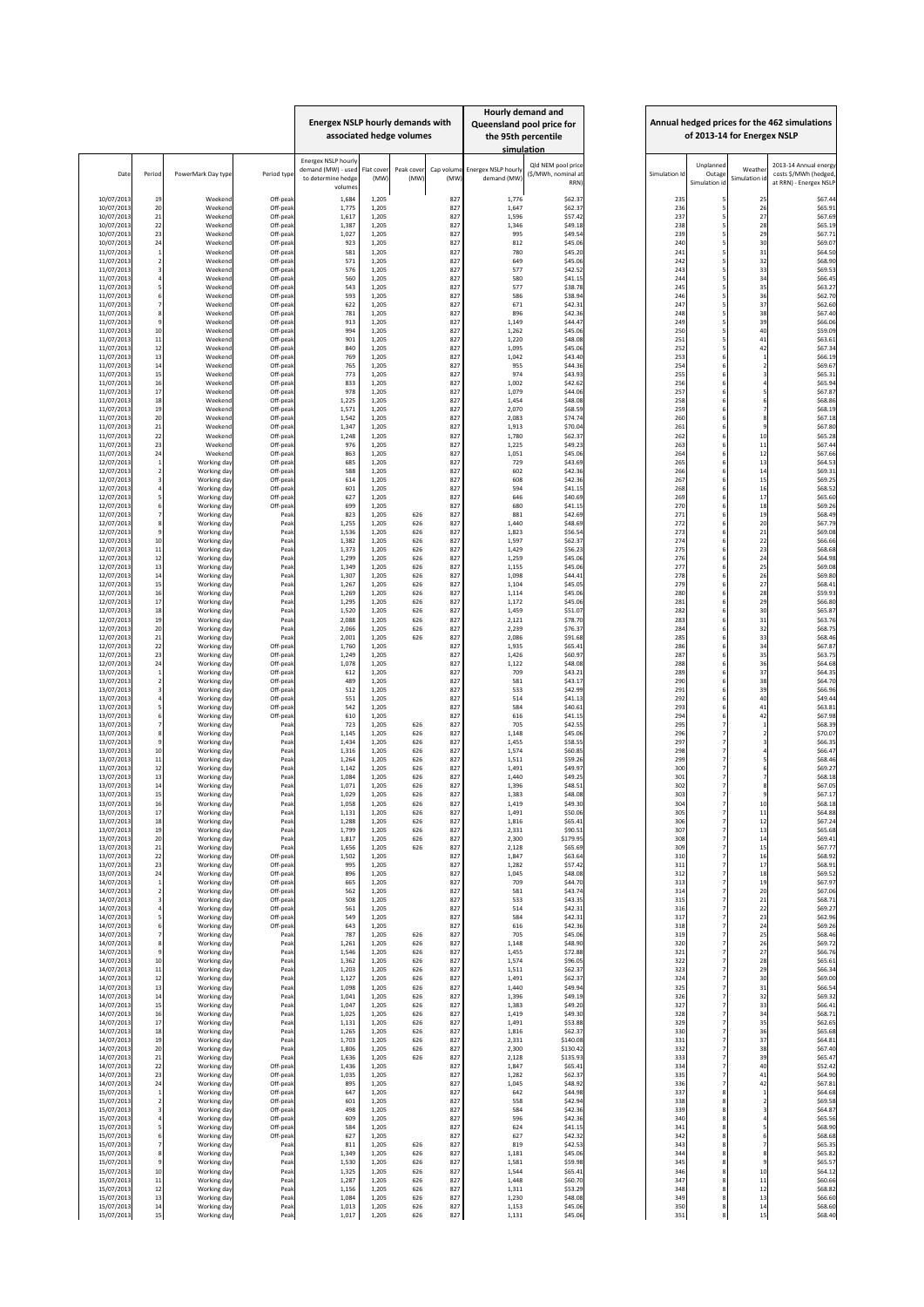|                          | <b>Hourly demand and</b><br><b>Energex NSLP hourly demands with</b><br>Queensland pool price for<br>associated hedge volumes<br>the 95th percentile<br>simulation |                            |                      | Annual hedged prices for the 462 simulations<br>of 2013-14 for Energex NSLP |                    |                    |                    |                                   |                                                        |               |                                      |                                  |                                                                        |
|--------------------------|-------------------------------------------------------------------------------------------------------------------------------------------------------------------|----------------------------|----------------------|-----------------------------------------------------------------------------|--------------------|--------------------|--------------------|-----------------------------------|--------------------------------------------------------|---------------|--------------------------------------|----------------------------------|------------------------------------------------------------------------|
| Date                     | Period                                                                                                                                                            | PowerMark Day type         | Period type          | Energex NSLP hourly<br>demand (MW) - used<br>to determine hedge<br>volumes  | Flat cover<br>(MW) | Peak cover<br>(MW) | Cap volume<br>(MW) | Energex NSLP hourly<br>demand (MW | Qld NEM pool price<br>(\$/MWh, nominal a<br><b>RRN</b> | Simulation Id | Unplanned<br>Outage<br>Simulation id | Weather<br>Simulation in         | 2013-14 Annual energ<br>costs \$/MWh (hedged<br>at RRN) - Energex NSLF |
| 10/07/2013<br>10/07/2013 | 19<br>20                                                                                                                                                          | Weekend<br>Weeken          | Off-pea<br>Off-peal  | 1,684<br>1,775                                                              | 1,205<br>1,205     |                    | 827<br>827         | 1,776<br>1,647                    | \$62.37<br>\$62.37                                     | 235<br>236    |                                      | 25<br>26                         | \$67.4<br>\$65.9                                                       |
| 10/07/2013<br>10/07/2013 | 21<br>22                                                                                                                                                          | Weekend<br>Weekend         | Off-peal<br>Off-peak | 1,617<br>1,387                                                              | 1,205<br>1,205     |                    | 827<br>827         | 1,596<br>1,346                    | \$57.42<br>\$49.18                                     | 237<br>238    |                                      | 27<br>28                         | \$67.6<br>\$65.1                                                       |
| 10/07/2013               | 23<br>24                                                                                                                                                          | Weekend<br>Weekend         | Off-peal<br>Off-peak | 1,027<br>923                                                                | 1,205<br>1,205     |                    | 827<br>827         | 995<br>812                        | \$49.54<br>\$45.06                                     | 239<br>240    |                                      | 29<br>30                         | \$67.7<br>\$69.0                                                       |
| 10/07/2013<br>11/07/2013 |                                                                                                                                                                   | Weekend                    | Off-peal             | 581                                                                         | 1,205              |                    | 827                | 780                               | \$45.20                                                | 241           |                                      | 31                               | \$64.5                                                                 |
| 11/07/201<br>11/07/201   |                                                                                                                                                                   | Weekend<br>Weeken          | Off-pea<br>Off-pea   | 571<br>576                                                                  | 1,205<br>1,205     |                    | 827<br>827         | 649<br>577                        | \$45.06<br>\$42.52                                     | 242<br>243    |                                      | 32<br>33                         | \$68.9<br>\$69.5                                                       |
| 11/07/201<br>11/07/201   |                                                                                                                                                                   | Weeken<br>Weekend          | Off-pea<br>Off-pea   | 560<br>543                                                                  | 1,205<br>1.205     |                    | 827<br>827         | 580<br>577                        | \$41.15<br>\$38.78                                     | 244<br>245    |                                      | 34<br>35                         | \$66.4<br>\$63.2                                                       |
| 11/07/2013               |                                                                                                                                                                   | Weekend                    | Off-pea              | 593                                                                         | 1,205              |                    | 827                | 586                               | \$38.94                                                | 246           |                                      | 36                               | \$62.7                                                                 |
| 11/07/2013<br>11/07/2013 |                                                                                                                                                                   | Weeken<br>Weeken           | Off-pea<br>Off-pea   | 622<br>781                                                                  | 1,205<br>1,205     |                    | 827<br>827         | 671<br>896                        | \$42.31<br>\$42.36                                     | 247<br>248    |                                      | 37<br>38                         | \$62.6<br>\$67.4                                                       |
| 11/07/2013<br>11/07/2013 | 10                                                                                                                                                                | Weekend<br>Weekend         | Off-peal<br>Off-peal | 913<br>994                                                                  | 1,205<br>1.205     |                    | 827<br>827         | 1,149<br>1,262                    | \$44.47<br>\$45.06                                     | 249<br>250    |                                      | 39<br>40                         | \$66.0<br>\$59.0                                                       |
| 11/07/201<br>11/07/201   | 11<br>12                                                                                                                                                          | Weeken<br>Weeken           | Off-pea<br>Off-pea   | 901<br>840                                                                  | 1,205<br>1,205     |                    | 827<br>827         | 1,220<br>1,095                    | \$48.08<br>\$45.06                                     | 251<br>252    |                                      | 41<br>42                         | \$63.6<br>\$67.3                                                       |
| 11/07/2013<br>11/07/2013 | 13<br>14                                                                                                                                                          | Weeken<br>Weekend          | Off-pea<br>Off-peal  | 769<br>765                                                                  | 1,205<br>1.205     |                    | 827<br>827         | 1,042<br>955                      | \$43.40<br>\$44.36                                     | 253<br>254    |                                      | $\overline{1}$<br>$\overline{2}$ | \$66.1<br>\$69.6                                                       |
| 11/07/2013               | 15                                                                                                                                                                | Weekend                    | Off-peal             | 773                                                                         | 1,205              |                    | 827                | 974                               | \$43.93                                                | 255           |                                      |                                  | \$65.3                                                                 |
| 11/07/2013<br>11/07/2013 | 16<br>17                                                                                                                                                          | Weekend<br>Weekend         | Off-peal<br>Off-peak | 833<br>978                                                                  | 1,205<br>1,205     |                    | 827<br>827         | 1,002<br>1,079                    | \$42.62<br>\$44.06                                     | 256<br>257    |                                      |                                  | \$65.9<br>\$67.8                                                       |
| 11/07/2013<br>11/07/2013 | 18<br>19                                                                                                                                                          | Weekend<br>Weekend         | Off-peal<br>Off-pea  | 1,225<br>1,571                                                              | 1,205<br>1,205     |                    | 827<br>827         | 1.454<br>2,070                    | \$48.08<br>\$68.59                                     | 258<br>259    |                                      |                                  | \$68.8<br>\$68.1                                                       |
| 11/07/201                | 20                                                                                                                                                                | Weeken<br>Weeken           | Off-pea              | 1,542<br>1,347                                                              | 1,205<br>1,205     |                    | 827<br>827         | 2,083<br>1,913                    | \$74.74<br>\$70.04                                     | 260<br>261    |                                      |                                  | \$67.1<br>\$67.8                                                       |
| 11/07/2013<br>11/07/2013 | 21<br>22                                                                                                                                                          | Weeken                     | Off-pea<br>Off-peal  | 1,248                                                                       | 1.205              |                    | 827                | 1,780                             | \$62.3                                                 | 262           |                                      | 10                               | \$65.2                                                                 |
| 11/07/2013<br>11/07/2013 | 23<br>24                                                                                                                                                          | Weekend<br>Weekend         | Off-pea<br>Off-pea   | 976<br>863                                                                  | 1,205<br>1,205     |                    | 827<br>827         | 1,225<br>1,051                    | \$49.23<br>\$45.06                                     | 263<br>264    |                                      | $11$<br>12                       | \$67.4<br>\$67.6                                                       |
| 12/07/2013<br>12/07/201  |                                                                                                                                                                   | Working day<br>Working day | Off-peal<br>Off-peal | 685<br>588                                                                  | 1,205<br>1.205     |                    | 827<br>827         | 729<br>602                        | \$43.69<br>\$42.3                                      | 265<br>266    |                                      | 13<br>14                         | \$64.5<br>\$69.3                                                       |
| 12/07/201                |                                                                                                                                                                   | Working day                | Off-pea              | 614                                                                         | 1,205              |                    | 827                | 608                               | \$42.36                                                | 267           |                                      | 15                               | \$69.2                                                                 |
| 12/07/201<br>12/07/2013  |                                                                                                                                                                   | Working day<br>Working day | Off-pea<br>Off-peal  | 601<br>627                                                                  | 1,205<br>1,205     |                    | 827<br>827         | 594<br>646                        | \$41.15<br>\$40.69                                     | 268<br>269    |                                      | 16<br>17                         | \$68.5<br>\$65.6                                                       |
| 12/07/2013<br>12/07/2013 |                                                                                                                                                                   | Working day<br>Working day | Off-pea<br>Pea       | 699<br>823                                                                  | 1,205<br>1,205     | 626                | 827<br>827         | 680<br>881                        | \$41.15<br>\$42.69                                     | 270<br>271    |                                      | 18<br>19                         | \$69.2<br>\$68.49                                                      |
| 12/07/2013<br>12/07/2013 |                                                                                                                                                                   | Working day<br>Working day | Peal<br>Pea          | 1,255<br>1,536                                                              | 1,205<br>1,205     | 626<br>626         | 827<br>827         | 1,440<br>1,823                    | \$48.69<br>\$56.54                                     | 272<br>273    |                                      | 20<br>21                         | \$67.7<br>\$69.0                                                       |
| 12/07/2013               | 10<br>11                                                                                                                                                          | Working day                | Pea<br>Pea           | 1,382                                                                       | 1,205<br>1,205     | 626<br>626         | 827<br>827         | 1,597<br>1,429                    | \$62.37<br>\$56.23                                     | 274<br>275    |                                      | 22<br>23                         | \$66.6<br>\$68.6                                                       |
| 12/07/2013<br>12/07/2013 | $12$                                                                                                                                                              | Working day<br>Working day | Peal                 | 1,373<br>1,299                                                              | 1,205              | 626                | 827                | 1,259                             | \$45.06                                                | 276           |                                      | 24                               | \$64.9                                                                 |
| 12/07/201<br>12/07/2013  | 13<br>$14$                                                                                                                                                        | Working day<br>Working day | Pea<br>Pea           | 1,349<br>1,307                                                              | 1,205<br>1,205     | 626<br>626         | 827<br>827         | 1,155<br>1,098                    | \$45.06<br>\$44.43                                     | 277<br>278    |                                      | 25<br>26                         | \$69.0<br>\$69.8                                                       |
| 12/07/2013<br>12/07/2013 | 15<br>16                                                                                                                                                          | Working day<br>Working day | Pea<br>Peal          | 1,267<br>1,269                                                              | 1.205<br>1,205     | 626<br>626         | 827<br>827         | 1.104<br>1,114                    | \$45.05<br>\$45.06                                     | 279<br>280    |                                      | 27<br>28                         | \$68.4<br>\$59.9                                                       |
| 12/07/2013               | 17                                                                                                                                                                | Working day                | Pea                  | 1,295                                                                       | 1,205              | 626                | 827<br>827         | 1,172                             | \$45.06                                                | 281<br>282    |                                      | 29<br>30                         | \$66.8                                                                 |
| 12/07/2013<br>12/07/2013 | 18<br>19                                                                                                                                                          | Working day<br>Working day | Pea<br>Pea           | 1,520<br>2.088                                                              | 1,205<br>1.205     | 626<br>626         | 827                | 1,459<br>2.121                    | \$51.07<br>\$78.7                                      | 283           |                                      | 31                               | \$65.8<br>\$63.7                                                       |
| 12/07/201<br>12/07/201   | 20<br>21                                                                                                                                                          | Working day<br>Working day | Pea<br>Pea           | 2,066<br>2,001                                                              | 1,205<br>1,205     | 626<br>626         | 827<br>827         | 2,239<br>2,086                    | \$76.37<br>\$91.68                                     | 284<br>285    |                                      | 32<br>33                         | \$68.7<br>\$68.4                                                       |
| 12/07/2013<br>12/07/2013 | 22<br>23                                                                                                                                                          | Working day<br>Working day | Off-peal<br>Off-peal | 1,760<br>1,249                                                              | 1,205<br>1,205     |                    | 827<br>827         | 1,935<br>1,426                    | \$65.41<br>\$60.97                                     | 286<br>287    |                                      | 34<br>35                         | \$67.8<br>\$63.7                                                       |
| 12/07/2013               | 24                                                                                                                                                                | Working day                | Off-peak             | 1,078                                                                       | 1,205              |                    | 827                | 1,122                             | \$48.08                                                | 288           |                                      | 36                               | \$64.6                                                                 |
| 13/07/2013<br>13/07/2013 |                                                                                                                                                                   | Working day<br>Working day | Off-peal<br>Off-peak | 612<br>489                                                                  | 1,205<br>1,205     |                    | 827<br>827         | 709<br>581                        | \$43.21<br>\$43.17                                     | 289<br>290    |                                      | 37<br>38                         | \$64.3<br>\$64.7                                                       |
| 13/07/2013<br>13/07/2013 |                                                                                                                                                                   | Working day<br>Working day | Off-peal<br>Off-peal | 512<br>551                                                                  | 1,205<br>1,205     |                    | 827<br>827         | 533<br>514                        | \$42.99<br>\$41.13                                     | 291<br>292    |                                      | 39<br>40                         | \$66.9<br>\$49.4                                                       |
| 13/07/201<br>13/07/201   |                                                                                                                                                                   | Working day<br>Working day | Off-pea<br>Off-pea   | 542<br>610                                                                  | 1,205<br>1,205     |                    | 827<br>827         | 584<br>616                        | \$40.61<br>\$41.15                                     | 293<br>294    |                                      | 41<br>42                         | \$63.8<br>\$67.9                                                       |
| 13/07/2013               |                                                                                                                                                                   | Working day                | Pea                  | 723                                                                         | 1,205<br>1.205     | 626<br>626         | 827<br>827         | 705<br>1.148                      | \$42.55<br>\$45.06                                     | 295<br>296    |                                      | $\overline{\phantom{a}}$         | \$68.3                                                                 |
| 13/07/2013<br>13/07/2013 |                                                                                                                                                                   | Working day<br>Working day | Pea<br>Pea           | 1,145<br>1,434                                                              | 1,205              | 626                | 827                | 1,455                             | \$58.55                                                | 297           |                                      |                                  | \$70.0<br>\$66.3                                                       |
| 13/07/2013<br>13/07/2013 | 10<br>11                                                                                                                                                          | Working day<br>Working day | Pea<br>Pea           | 1,316<br>1,264                                                              | 1,205<br>1,205     | 626<br>626         | 827<br>827         | 1,574<br>1,511                    | \$60.85<br>\$59.26                                     | 298<br>299    |                                      |                                  | \$66.4<br>\$68.4                                                       |
| 13/07/201<br>13/07/201   | 12<br>$13$                                                                                                                                                        | Working day<br>Working day | Pea<br>Pea           | 1,142<br>1,084                                                              | 1.205<br>1,205     | 626<br>626         | 827<br>827         | 1.491<br>1,440                    | \$49.97<br>\$49.2                                      | 300<br>301    |                                      |                                  | \$69.2<br>\$68.1                                                       |
| 13/07/2013               | 14<br>15                                                                                                                                                          | Working day                | Pea<br>Pea           | 1,071                                                                       | 1,205<br>1,205     | 626<br>626         | 827<br>827         | 1,396<br>1,383                    | \$48.5<br>\$48.08                                      | 302<br>303    |                                      |                                  | \$67.0<br>\$67.1                                                       |
| 13/07/2013<br>13/07/2013 | 16                                                                                                                                                                | Working day<br>Working da  | Pez                  | 1,029<br>1.058                                                              | 1.205              | 626                | 827                | 1.419                             | \$49.30                                                | 304           |                                      |                                  | \$68.1                                                                 |
| 13/07/2013<br>13/07/2013 | 17<br>18                                                                                                                                                          | Working day<br>Working day | Pea<br>Pea           | 1,131<br>1,288                                                              | 1,205<br>1,205     | 626<br>626         | 827<br>827         | 1,491<br>1,816                    | \$50.06<br>\$65.41                                     | 305<br>306    | $\overline{7}$<br>$\overline{7}$     | 11<br>12                         | \$64.8<br>\$67.2                                                       |
| 13/07/2013<br>13/07/2013 | 19<br>20                                                                                                                                                          | Working day<br>Working day | Peal<br>Pea          | 1,799<br>1,817                                                              | 1,205<br>1,205     | 626<br>626         | 827<br>827         | 2,331<br>2.300                    | \$90.51<br>\$179.95                                    | 307<br>308    | $\overline{7}$                       | 13<br>14                         | \$65.6<br>\$69.4                                                       |
| 13/07/2013<br>13/07/2013 | 21<br>22                                                                                                                                                          | Working day<br>Working day | Peal<br>Off-pea      | 1,656<br>1,502                                                              | 1,205<br>1,205     | 626                | 827<br>827         | 2,128<br>1,847                    | \$65.69<br>\$63.64                                     | 309<br>310    |                                      | 15<br>16                         | \$67.7<br>\$68.9                                                       |
| 13/07/2013               | 23                                                                                                                                                                | Working day                | Off-peal             | 995                                                                         | 1,205              |                    | 827                | 1,282                             | \$57.42                                                | 311           |                                      | 17                               | \$68.9                                                                 |
| 13/07/2013<br>14/07/2013 | 24                                                                                                                                                                | Working day<br>Working day | Off-peal<br>Off-peal | 896<br>665                                                                  | 1,205<br>1,205     |                    | 827<br>827         | 1,045<br>709                      | \$48.08<br>\$44.70                                     | 312<br>313    |                                      | 18<br>19                         | \$69.5<br>\$67.9                                                       |
| 14/07/201<br>14/07/2013  |                                                                                                                                                                   | Working day<br>Working day | Off-peal<br>Off-peal | 562<br>508                                                                  | 1,205<br>1,205     |                    | 827<br>827         | 581<br>533                        | \$43.74<br>\$43.35                                     | 314<br>315    |                                      | 20<br>$\bf{21}$                  | \$67.0<br>\$68.7                                                       |
| 14/07/2013<br>14/07/201  |                                                                                                                                                                   | Working day<br>Working day | Off-peak<br>Off-peak | 561<br>549                                                                  | 1,205<br>1,205     |                    | 827<br>827         | 514<br>584                        | \$42.31<br>\$42.31                                     | 316<br>317    |                                      | 22<br>23                         | \$69.2<br>\$62.9                                                       |
| 14/07/2013               |                                                                                                                                                                   | Working day                | Off-peak             | 643                                                                         | 1,205              |                    | 827                | 616                               | \$42.36                                                | 318           |                                      | 24                               | \$69.2                                                                 |
| 14/07/201<br>14/07/2013  |                                                                                                                                                                   | Working day<br>Working day | Pea<br>Pea           | 787<br>1,261                                                                | 1,205<br>1,205     | 626<br>626         | 827<br>827         | 705<br>1,148                      | \$45.06<br>\$48.90                                     | 319<br>320    |                                      | 25<br>26                         | \$68.4<br>\$69.7                                                       |
| 14/07/2013<br>14/07/2013 | 10                                                                                                                                                                | Working day<br>Working day | Pea<br>Peak          | 1,546<br>1,362                                                              | 1,205<br>1,205     | 626<br>626         | 827<br>827         | 1,455<br>1,574                    | \$72.88<br>\$96.05                                     | 321<br>322    |                                      | 27<br>28                         | \$66.7<br>\$65.6                                                       |
| 14/07/2013<br>14/07/2013 | 11<br>12                                                                                                                                                          | Working day<br>Working day | Peak<br>Peal         | 1,203<br>1,127                                                              | 1,205<br>1,205     | 626<br>626         | 827<br>827         | 1,511<br>1,491                    | \$62.37<br>\$62.37                                     | 323<br>324    |                                      | 29<br>30                         | \$66.3<br>\$69.0                                                       |
| 14/07/2013               | 13                                                                                                                                                                | Working day                | Peak                 | 1,098                                                                       | 1,205              | 626                | 827                | 1,440                             | \$49.94                                                | 325           |                                      | 31                               | \$66.5                                                                 |
| 14/07/2013<br>14/07/201  | 14<br>15                                                                                                                                                          | Working day<br>Working day | Peak<br>Pea          | 1,041<br>1,047                                                              | 1,205<br>1,205     | 626<br>626         | 827<br>827         | 1,396<br>1,383                    | \$49.19<br>\$49.20                                     | 326<br>327    |                                      | 32<br>33                         | \$69.3<br>\$66.4                                                       |
| 14/07/2013<br>14/07/201  | 16<br>17                                                                                                                                                          | Working day<br>Working day | Pea<br>Peal          | 1,025<br>1,131                                                              | 1,205<br>1,205     | 626<br>626         | 827<br>827         | 1,419<br>1.491                    | \$49.30<br>\$53.88                                     | 328<br>329    |                                      | 34<br>35                         | \$68.7<br>\$62.6                                                       |
| 14/07/2013<br>14/07/2013 | 18<br>19                                                                                                                                                          | Working day<br>Working day | Peak<br>Peak         | 1,265<br>1,703                                                              | 1,205<br>1,205     | 626<br>626         | 827<br>827         | 1,816<br>2,331                    | \$62.37<br>\$140.08                                    | 330<br>331    |                                      | 36<br>37                         | \$65.6<br>\$64.8                                                       |
| 14/07/2013               | 20                                                                                                                                                                | Working day                | Peal                 | 1,806                                                                       | 1,205              | 626                | 827                | 2,300                             | \$130.42                                               | 332           |                                      | 38                               | \$67.4                                                                 |
| 14/07/201<br>14/07/201   | 21<br>22                                                                                                                                                          | Working day<br>Working day | Peal<br>Off-peal     | 1,636<br>1,436                                                              | 1,205<br>1,205     | 626                | 827<br>827         | 2,128<br>1,847                    | \$135.93<br>\$65.41                                    | 333<br>334    |                                      | 39<br>40                         | \$65.4<br>\$52.4                                                       |
| 14/07/201<br>14/07/2013  | 23<br>24                                                                                                                                                          | Working day<br>Working day | Off-pea<br>Off-peal  | 1,035<br>895                                                                | 1,205<br>1,205     |                    | 827<br>827         | 1,282<br>1,045                    | \$62.37<br>\$48.92                                     | 335<br>336    |                                      | 41<br>42                         | \$64.9<br>\$67.8                                                       |
| 15/07/2013<br>15/07/2013 |                                                                                                                                                                   | Working day<br>Working day | Off-peal<br>Off-peak | 647<br>601                                                                  | 1,205<br>1.205     |                    | 827<br>827         | 642<br>558                        | \$44.98<br>\$42.94                                     | 337<br>338    |                                      | $\mathbf{1}$<br>$\overline{2}$   | \$64.6<br>\$69.5                                                       |
| 15/07/2013               |                                                                                                                                                                   | Working day                | Off-peak             | 498                                                                         | 1,205              |                    | 827                | 584                               | \$42.36                                                | 339           |                                      | 3                                | \$64.8                                                                 |
| 15/07/2013<br>15/07/2013 |                                                                                                                                                                   | Working day<br>Working day | Off-peak<br>Off-peak | 609<br>584                                                                  | 1,205<br>1,205     |                    | 827<br>827         | 596<br>624                        | \$42.36<br>\$41.15                                     | 340<br>341    |                                      | 5                                | \$65.5<br>\$68.9                                                       |
| 15/07/2013<br>15/07/2013 |                                                                                                                                                                   | Working day<br>Working day | Off-peak<br>Peal     | 627<br>811                                                                  | 1,205<br>1,205     | 626                | 827<br>827         | 627<br>819                        | \$42.32<br>\$42.53                                     | 342<br>343    |                                      | 6                                | \$68.6<br>\$65.3                                                       |
| 15/07/2013<br>15/07/201  |                                                                                                                                                                   | Working day                | Pea<br>Pea           | 1,349<br>1,530                                                              | 1,205<br>1,205     | 626<br>626         | 827<br>827         | 1,181<br>1,581                    | \$45.06<br>\$59.98                                     | 344<br>345    |                                      |                                  | \$65.8<br>\$65.5                                                       |
| 15/07/2013               | 10                                                                                                                                                                | Working day<br>Working day | Pea                  | 1,325                                                                       | 1.205              | 626                | 827                | 1.544                             | \$65.41                                                | 346           |                                      | 10                               | \$64.1                                                                 |
| 15/07/2013<br>15/07/2013 | 11<br>12                                                                                                                                                          | Working day<br>Working day | Peak<br>Peak         | 1,287<br>1,156                                                              | 1,205<br>1,205     | 626<br>626         | 827<br>827         | 1,448<br>1,311                    | \$60.70<br>\$53.29                                     | 347<br>348    |                                      | $11$<br>12                       | \$60.6<br>\$68.8                                                       |
| 15/07/2013<br>15/07/2013 | 13<br>14                                                                                                                                                          | Working day<br>Working day | Peak<br>Peak         | 1,084<br>1,013                                                              | 1,205<br>1,205     | 626<br>626         | 827<br>827         | 1,230<br>1,153                    | \$48.08<br>\$45.06                                     | 349<br>350    |                                      | 13<br>14                         | \$66.6<br>\$68.6                                                       |
| 15/07/2013               | 15                                                                                                                                                                | Working day                | Peak                 | 1,017                                                                       | 1,205              | 626                | 827                | 1,131                             | \$45.06                                                | 351           |                                      | 15                               | \$68.4                                                                 |

| Annual hedged prices for the 462 simulations<br>of 2013-14 for Energex NSLP |                                      |                          |                                                                          |  |  |  |  |  |  |  |  |  |
|-----------------------------------------------------------------------------|--------------------------------------|--------------------------|--------------------------------------------------------------------------|--|--|--|--|--|--|--|--|--|
| Simulation Id                                                               | Unplanned<br>Outage<br>Simulation id | Weather<br>Simulation id | 2013-14 Annual energy<br>costs \$/MWh (hedged,<br>at RRN) - Energex NSLP |  |  |  |  |  |  |  |  |  |
| 235                                                                         | 5                                    | 25                       | \$67.44                                                                  |  |  |  |  |  |  |  |  |  |
| 236                                                                         | 5                                    | 26                       | \$65.91                                                                  |  |  |  |  |  |  |  |  |  |
| 237                                                                         | 5                                    | 27                       | \$67.69                                                                  |  |  |  |  |  |  |  |  |  |
| 238<br>239                                                                  | 5<br>5                               | 28<br>29                 | \$65.19<br>\$67.71                                                       |  |  |  |  |  |  |  |  |  |
| 240                                                                         | 5                                    | 30                       | \$69.07                                                                  |  |  |  |  |  |  |  |  |  |
| 241                                                                         | 5                                    | 31                       | \$64.50                                                                  |  |  |  |  |  |  |  |  |  |
| 242<br>243                                                                  | 5<br>5                               | 32<br>33                 | \$68.90<br>\$69.53                                                       |  |  |  |  |  |  |  |  |  |
| 244                                                                         | 5                                    | 34                       | \$66.45                                                                  |  |  |  |  |  |  |  |  |  |
| 245                                                                         | 5                                    | 35                       | \$63.27                                                                  |  |  |  |  |  |  |  |  |  |
| 246<br>247                                                                  | 5<br>5                               | 36<br>37                 | \$62.70                                                                  |  |  |  |  |  |  |  |  |  |
| 248                                                                         | 5                                    | 38                       | \$62.60<br>\$67.40                                                       |  |  |  |  |  |  |  |  |  |
| 249                                                                         | 5                                    | 39                       | \$66.06                                                                  |  |  |  |  |  |  |  |  |  |
| 250<br>251                                                                  | 5<br>5                               | 40<br>41                 | \$59.09<br>\$63.61                                                       |  |  |  |  |  |  |  |  |  |
| 252                                                                         | 5                                    | 42                       | \$67.34                                                                  |  |  |  |  |  |  |  |  |  |
| 253                                                                         | 6                                    | $\mathbf{1}$             | \$66.19                                                                  |  |  |  |  |  |  |  |  |  |
| 254<br>255                                                                  | 6<br>6                               | 2<br>3                   | \$69.67<br>\$65.31                                                       |  |  |  |  |  |  |  |  |  |
| 256                                                                         | 6                                    | 4                        | \$65.94                                                                  |  |  |  |  |  |  |  |  |  |
| 257                                                                         | 6                                    | 5                        | \$67.87                                                                  |  |  |  |  |  |  |  |  |  |
| 258<br>259                                                                  | 6<br>6                               | 6<br>7                   | \$68.86<br>\$68.19                                                       |  |  |  |  |  |  |  |  |  |
| 260                                                                         | 6                                    | 8                        | \$67.18                                                                  |  |  |  |  |  |  |  |  |  |
| 261                                                                         | 6                                    | 9                        | \$67.80                                                                  |  |  |  |  |  |  |  |  |  |
| 262<br>263                                                                  | 6<br>6                               | 10                       | \$65.28<br>\$67.44                                                       |  |  |  |  |  |  |  |  |  |
| 264                                                                         | 6                                    | 11<br>12                 | \$67.66                                                                  |  |  |  |  |  |  |  |  |  |
| 265                                                                         | 6                                    | 13                       | \$64.53                                                                  |  |  |  |  |  |  |  |  |  |
| 266                                                                         | 6                                    | 14<br>15                 | \$69.31<br>\$69.25                                                       |  |  |  |  |  |  |  |  |  |
| 267<br>268                                                                  | 6<br>6                               | 16                       | \$68.52                                                                  |  |  |  |  |  |  |  |  |  |
| 269                                                                         | 6                                    | 17                       | \$65.60                                                                  |  |  |  |  |  |  |  |  |  |
| 270                                                                         | 6                                    | 18                       | \$69.26                                                                  |  |  |  |  |  |  |  |  |  |
| 271<br>272                                                                  | 6<br>6                               | 19<br>20                 | \$68.49<br>\$67.79                                                       |  |  |  |  |  |  |  |  |  |
| 273                                                                         | 6                                    | $^{21}$                  | \$69.08                                                                  |  |  |  |  |  |  |  |  |  |
| 274<br>275                                                                  | 6                                    | 22                       | \$66.66<br>\$68.68                                                       |  |  |  |  |  |  |  |  |  |
| 276                                                                         | 6<br>6                               | 23<br>24                 | \$64.98                                                                  |  |  |  |  |  |  |  |  |  |
| 277                                                                         | 6                                    | 25                       | \$69.08                                                                  |  |  |  |  |  |  |  |  |  |
| 278                                                                         | 6                                    | 26                       | \$69.80                                                                  |  |  |  |  |  |  |  |  |  |
| 279<br>280                                                                  | 6<br>6                               | 27<br>28                 | \$68.41<br>\$59.93                                                       |  |  |  |  |  |  |  |  |  |
| 281                                                                         | 6                                    | 29                       | \$66.80                                                                  |  |  |  |  |  |  |  |  |  |
| 282                                                                         | 6                                    | 30                       | \$65.87                                                                  |  |  |  |  |  |  |  |  |  |
| 283<br>284                                                                  | 6<br>6                               | 31<br>32                 | \$63.76<br>\$68.75                                                       |  |  |  |  |  |  |  |  |  |
| 285                                                                         | 6                                    | 33                       | \$68.46                                                                  |  |  |  |  |  |  |  |  |  |
| 286                                                                         | 6                                    | 34                       | \$67.87                                                                  |  |  |  |  |  |  |  |  |  |
| 287<br>288                                                                  | 6<br>6                               | 35<br>36                 | \$63.75<br>\$64.68                                                       |  |  |  |  |  |  |  |  |  |
| 289                                                                         | 6                                    | 37                       | \$64.35                                                                  |  |  |  |  |  |  |  |  |  |
| 290<br>291                                                                  | 6<br>6                               | 38<br>39                 | \$64.70<br>\$66.96                                                       |  |  |  |  |  |  |  |  |  |
| 292                                                                         | 6                                    | 40                       | \$49.44                                                                  |  |  |  |  |  |  |  |  |  |
| 293                                                                         | 6                                    | 41                       | \$63.81                                                                  |  |  |  |  |  |  |  |  |  |
| 294<br>295                                                                  | 6<br>7                               | 42<br>$\mathbf{1}$       | \$67.98<br>\$68.39                                                       |  |  |  |  |  |  |  |  |  |
| 296                                                                         | 7                                    | 2                        | \$70.07                                                                  |  |  |  |  |  |  |  |  |  |
| 297                                                                         | 7                                    | 3                        | \$66.35                                                                  |  |  |  |  |  |  |  |  |  |
| 298<br>299                                                                  | 7<br>7                               | 4<br>5                   | \$66.47<br>\$68.46                                                       |  |  |  |  |  |  |  |  |  |
| 300                                                                         | 7                                    | 6                        | \$69.27                                                                  |  |  |  |  |  |  |  |  |  |
| 301                                                                         | 7                                    | 7                        | \$68.18                                                                  |  |  |  |  |  |  |  |  |  |
| 302<br>303                                                                  | 7<br>7                               | 8<br>9                   | \$67.05<br>\$67.17                                                       |  |  |  |  |  |  |  |  |  |
| 304                                                                         | 7                                    | 10                       | \$68.18                                                                  |  |  |  |  |  |  |  |  |  |
| 305<br>306                                                                  | 7                                    | 11<br>12                 | \$64.88<br>\$67.24                                                       |  |  |  |  |  |  |  |  |  |
| 307                                                                         |                                      | 13                       | \$65.68                                                                  |  |  |  |  |  |  |  |  |  |
| 308                                                                         |                                      | 14                       | \$69.41                                                                  |  |  |  |  |  |  |  |  |  |
| 309<br>310                                                                  |                                      | 15<br>16                 | \$67.77<br>\$68.92                                                       |  |  |  |  |  |  |  |  |  |
| 311                                                                         |                                      | 17                       | \$68.91                                                                  |  |  |  |  |  |  |  |  |  |
| 312                                                                         |                                      | 18                       | \$69.52                                                                  |  |  |  |  |  |  |  |  |  |
| 313<br>314                                                                  |                                      | 19<br>20                 | \$67.97<br>\$67.06                                                       |  |  |  |  |  |  |  |  |  |
| 315                                                                         |                                      | $\overline{21}$          | \$68.71                                                                  |  |  |  |  |  |  |  |  |  |
| 316                                                                         |                                      | 22                       | \$69.27                                                                  |  |  |  |  |  |  |  |  |  |
| 317<br>318                                                                  | フフフフフフフフフフフフフフフフフフフフフフ               | 23<br>24                 | \$62.96<br>\$69.26                                                       |  |  |  |  |  |  |  |  |  |
| 319                                                                         |                                      | 25                       | \$68.46                                                                  |  |  |  |  |  |  |  |  |  |
| 320                                                                         |                                      | 26                       | \$69.72                                                                  |  |  |  |  |  |  |  |  |  |
| 321<br>322                                                                  |                                      | 27<br>28                 | \$66.76<br>\$65.61                                                       |  |  |  |  |  |  |  |  |  |
| 323                                                                         |                                      | 29                       | \$66.34                                                                  |  |  |  |  |  |  |  |  |  |
| 324                                                                         |                                      | 30                       | \$69.00                                                                  |  |  |  |  |  |  |  |  |  |
| 325<br>326                                                                  |                                      | 31<br>32                 | \$66.54<br>\$69.32                                                       |  |  |  |  |  |  |  |  |  |
| 327                                                                         |                                      | 33                       | \$66.41                                                                  |  |  |  |  |  |  |  |  |  |
| 328                                                                         |                                      | 34                       | \$68.71                                                                  |  |  |  |  |  |  |  |  |  |
| 329<br>330                                                                  |                                      | 35<br>36                 | \$62.65<br>\$65.68                                                       |  |  |  |  |  |  |  |  |  |
| 331                                                                         |                                      | 37                       | \$64.81                                                                  |  |  |  |  |  |  |  |  |  |
| 332                                                                         |                                      | 38                       | \$67.40                                                                  |  |  |  |  |  |  |  |  |  |
| 333<br>334                                                                  | 7                                    | 39<br>40                 | \$65.47<br>\$52.42                                                       |  |  |  |  |  |  |  |  |  |
| 335                                                                         | 7                                    | 41                       | \$64.90                                                                  |  |  |  |  |  |  |  |  |  |
| 336                                                                         | 7                                    | 42                       | \$67.81                                                                  |  |  |  |  |  |  |  |  |  |
| 337<br>338                                                                  | 8<br>8                               | $\mathbf{1}$<br>2        | \$64.68<br>\$69.58                                                       |  |  |  |  |  |  |  |  |  |
| 339                                                                         | 8                                    | 3                        | \$64.87                                                                  |  |  |  |  |  |  |  |  |  |
| 340                                                                         | 8                                    | 4                        | \$65.56                                                                  |  |  |  |  |  |  |  |  |  |
| 341                                                                         | 8                                    | 5                        | \$68.90                                                                  |  |  |  |  |  |  |  |  |  |
| 342<br>343                                                                  | 8<br>8                               | 6<br>7                   | \$68.68<br>\$65.35                                                       |  |  |  |  |  |  |  |  |  |
| 344                                                                         | 8                                    | 8                        | \$65.82                                                                  |  |  |  |  |  |  |  |  |  |
| 345                                                                         | 8                                    | 9                        | \$65.57                                                                  |  |  |  |  |  |  |  |  |  |
| 346<br>347                                                                  | 8<br>8                               | 10<br>$\overline{11}$    | \$64.12<br>\$60.66                                                       |  |  |  |  |  |  |  |  |  |
| 348                                                                         | 8                                    | 12                       | \$68.82                                                                  |  |  |  |  |  |  |  |  |  |
| 349<br>350                                                                  | 8<br>8                               | 13<br>14                 | \$66.60<br>\$68.60                                                       |  |  |  |  |  |  |  |  |  |
| 351                                                                         | 8                                    | 15                       | \$68.40                                                                  |  |  |  |  |  |  |  |  |  |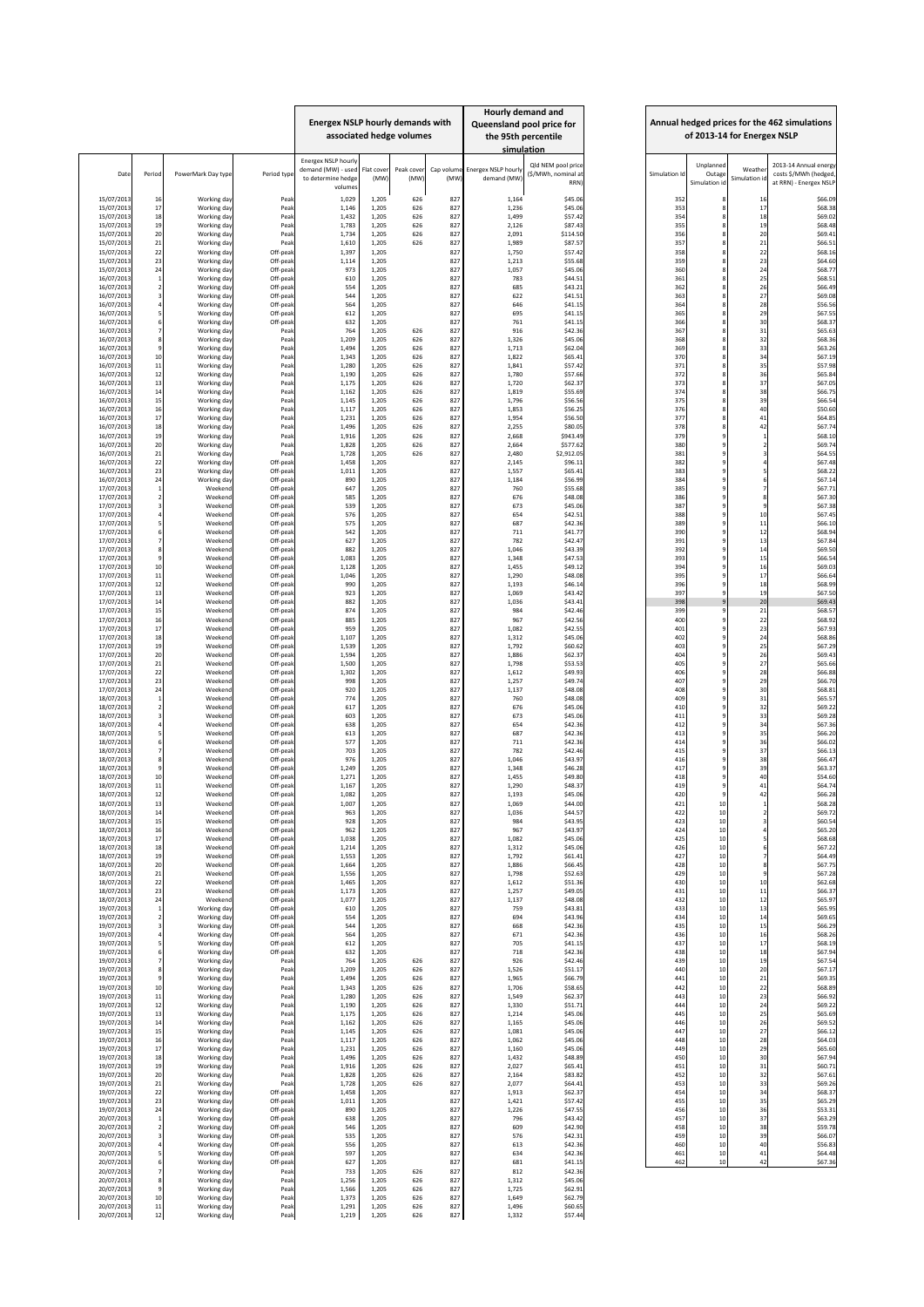|                          |                      |                            |                      | <b>Energex NSLP hourly demands with</b>                         |                    | associated hedge volumes |                    | Hourly demand and<br>Queensland pool price for<br>the 95th percentile |                                                        |                 | of 2013-14 for Energex NSLP          |                          | Annual hedged prices for the 462 simulations                           |
|--------------------------|----------------------|----------------------------|----------------------|-----------------------------------------------------------------|--------------------|--------------------------|--------------------|-----------------------------------------------------------------------|--------------------------------------------------------|-----------------|--------------------------------------|--------------------------|------------------------------------------------------------------------|
| Date                     | Period               | PowerMark Day type         | Period type          | Energex NSLP hourly<br>demand (MW) - used<br>to determine hedge | Flat cover<br>(MW) | Peak cover<br>(MW)       | Cap volume<br>(MW) | simulation<br>Energex NSLP hourly<br>demand (MW                       | Qld NEM pool price<br>(\$/MWh, nominal a<br><b>RRN</b> | Simulation Id   | Unplanned<br>Outage<br>Simulation id | Weather<br>Simulation in | 2013-14 Annual energ<br>costs \$/MWh (hedged<br>at RRN) - Energex NSLI |
| 15/07/2013               | 16                   | Working day                | Peal                 | volume:<br>1,029                                                | 1,205              | 626                      | 827                | 1,164                                                                 | \$45.06                                                | 352             |                                      | 16                       | \$66.0                                                                 |
| 15/07/2013<br>15/07/2013 | 17<br>18             | Working day<br>Working day | Pea<br>Pea           | 1,146<br>1,432                                                  | 1,205<br>1,205     | 626<br>626               | 827<br>827         | 1,236<br>1,499                                                        | \$45.06<br>\$57.42                                     | 353<br>354      |                                      | 17<br>18                 | \$68.3<br>\$69.0                                                       |
| 15/07/2013<br>15/07/2013 | 19<br>20             | Working day<br>Working day | Peal<br>Pea          | 1,783<br>1,734                                                  | 1,205<br>1,205     | 626<br>626               | 827<br>827         | 2,126<br>2,091                                                        | \$87.43<br>\$114.50                                    | 355<br>356      |                                      | 19<br>20                 | \$68.4<br>\$69.4                                                       |
| 15/07/2013<br>15/07/2013 | 21<br>22             | Working day<br>Working day | Pea<br>Off-pea       | 1,610<br>1,397                                                  | 1,205<br>1,205     | 626                      | 827<br>827         | 1,989<br>1,750                                                        | \$87.57<br>\$57.42                                     | 357<br>358      |                                      | 21<br>22                 | \$66.5<br>\$68.1                                                       |
| 15/07/2013<br>15/07/2013 | 23<br>2 <sub>4</sub> | Working day<br>Working day | Off-pea<br>Off-pea   | 1,114<br>973                                                    | 1,205<br>1,205     |                          | 827<br>827         | 1,213<br>1,057                                                        | \$55.68<br>\$45.06                                     | 359<br>360      |                                      | 23<br>2 <sub>4</sub>     | \$64.6<br>\$68.7                                                       |
| 16/07/2013               |                      | Working day                | Off-pea              | 610                                                             | 1,205              |                          | 827                | 783                                                                   | \$44.51                                                | 361             |                                      | 25                       | \$68.5                                                                 |
| 16/07/2013<br>16/07/2013 |                      | Working day<br>Working day | Off-pea<br>Off-pea   | 554<br>544                                                      | 1,205<br>1,205     |                          | 827<br>827         | 685<br>622                                                            | \$43.21<br>\$41.51                                     | 362<br>363      |                                      | 26<br>27                 | \$66.49<br>\$69.0                                                      |
| 16/07/2013<br>16/07/2013 |                      | Working day<br>Working day | Off-pea<br>Off-pea   | 564<br>612                                                      | 1,205<br>1,205     |                          | 827<br>827         | 646<br>695                                                            | \$41.15<br>\$41.15                                     | 364<br>365      |                                      | 28<br>29                 | \$56.5<br>\$67.5                                                       |
| 16/07/2013<br>16/07/2013 |                      | Working day<br>Working day | Off-pea<br>Pea       | 632<br>764                                                      | 1,205<br>1.205     | 626                      | 827<br>827         | 761<br>916                                                            | \$41.15<br>\$42.3                                      | 366<br>367      |                                      | 30<br>31                 | \$68.3<br>\$65.6                                                       |
| 16/07/201<br>16/07/201   |                      | Working day<br>Working day | Pea<br>Pea           | 1,209<br>1,494                                                  | 1,205<br>1,205     | 626<br>626               | 827<br>827         | 1,326<br>1,713                                                        | \$45.0<br>\$62.04                                      | 368<br>369      |                                      | 32<br>33                 | \$68.3<br>\$63.2                                                       |
| 16/07/2013<br>16/07/2013 | 10<br>11             | Working day<br>Working day | Pea<br>Pea           | 1,343<br>1,280                                                  | 1,205<br>1,205     | 626<br>626               | 827<br>827         | 1,822<br>1,841                                                        | \$65.41<br>\$57.42                                     | 370<br>371      |                                      | 34<br>35                 | \$67.1<br>\$57.9                                                       |
| 16/07/2013<br>16/07/2013 | 12<br>13             | Working day<br>Working day | Peal<br>Peal         | 1,190<br>1,175                                                  | 1,205<br>1,205     | 626<br>626               | 827<br>827         | 1,780<br>1,720                                                        | \$57.66<br>\$62.37                                     | 372<br>373      |                                      | 36<br>37                 | \$65.8<br>\$67.0                                                       |
| 16/07/2013<br>16/07/2013 | 14<br>15             | Working day<br>Working day | Pea<br>Pea           | 1,162<br>1,145                                                  | 1,205<br>1,205     | 626<br>626               | 827<br>827         | 1,819<br>1,796                                                        | \$55.69<br>\$56.56                                     | 374<br>375      |                                      | 38<br>39                 | \$66.7<br>\$66.5                                                       |
| 16/07/2013               | 16                   | Working day                | Peal                 | 1,117                                                           | 1,205              | 626                      | 827                | 1,853                                                                 | \$56.25                                                | 376             |                                      | 40                       | \$50.6                                                                 |
| 16/07/201<br>16/07/2013  | 17<br>18             | Working day<br>Working day | Pea<br>Pea           | 1,231<br>1,496                                                  | 1,205<br>1,205     | 626<br>626               | 827<br>827         | 1,954<br>2,255                                                        | \$56.50<br>\$80.05                                     | 377<br>378      |                                      | 41<br>42                 | \$64.8<br>\$67.7                                                       |
| 16/07/2013<br>16/07/2013 | 19<br>20             | Working day<br>Working day | Pea<br>Pea           | 1.916<br>1,828                                                  | 1,205<br>1,205     | 626<br>626               | 827<br>827         | 2,668<br>2,664                                                        | \$943.49<br>\$577.62                                   | 379<br>380      |                                      |                          | \$68.1<br>\$69.7                                                       |
| 16/07/2013<br>16/07/2013 | 21<br>22             | Working day<br>Working day | Pea<br>Off-pea       | 1,728<br>1,458                                                  | 1,205<br>1,205     | 626                      | 827<br>827         | 2,480<br>2,145                                                        | \$2,912.09<br>\$96.1                                   | 381<br>382      |                                      |                          | \$64.5<br>\$67.4                                                       |
| 16/07/2013<br>16/07/2013 | 23<br>24             | Working day<br>Working day | Off-pea<br>Off-pea   | 1,011<br>890                                                    | 1,205<br>1,205     |                          | 827<br>827         | 1.557<br>1,184                                                        | \$65.43<br>\$56.99                                     | 383<br>384      |                                      |                          | \$68.2<br>\$67.1                                                       |
| 17/07/201<br>17/07/2013  |                      | Weekend<br>Weekend         | Off-pea<br>Off-pea   | 647<br>585                                                      | 1,205<br>1,205     |                          | 827<br>827         | 760<br>676                                                            | \$55.68<br>\$48.08                                     | 385<br>386      |                                      |                          | \$67.7<br>\$67.3                                                       |
| 17/07/2013<br>17/07/2013 |                      | Weekend<br>Weekend         | Off-pea<br>Off-pea   | 539<br>576                                                      | 1,205<br>1,205     |                          | 827<br>827         | 673<br>654                                                            | \$45.06<br>\$42.51                                     | 387<br>388      |                                      | 10                       | \$67.3<br>\$67.4                                                       |
| 17/07/2013<br>17/07/2013 |                      | Weekend<br>Weekend         | Off-peal<br>Off-peal | 575<br>542                                                      | 1,205<br>1,205     |                          | 827<br>827         | 687<br>711                                                            | \$42.36<br>\$41.77                                     | 389<br>390      |                                      | $11$<br>12               | \$66.1<br>\$68.9                                                       |
| 17/07/2013<br>17/07/2013 |                      | Weekend<br>Weekend         | Off-peal<br>Off-pea  | 627<br>882                                                      | 1,205<br>1,205     |                          | 827<br>827         | 782<br>1,046                                                          | \$42.47<br>\$43.39                                     | 391<br>392      |                                      | 13<br>14                 | \$67.8<br>\$69.5                                                       |
| 17/07/2013               |                      | Weekend                    | Off-pea              | 1,083                                                           | 1,205              |                          | 827                | 1,348                                                                 | \$47.5                                                 | 393             |                                      | 15                       | \$66.5                                                                 |
| 17/07/201<br>17/07/2013  | 10<br>11             | Weekend<br>Weekend         | Off-pea<br>Off-pea   | 1,128<br>1,046                                                  | 1,205<br>1,205     |                          | 827<br>827         | 1,455<br>1,290                                                        | \$49.1<br>\$48.08                                      | 394<br>395      |                                      | 16<br>17                 | \$69.0<br>\$66.6                                                       |
| 17/07/2013<br>17/07/2013 | 12<br>13             | Weekend<br>Weekend         | Off-pea<br>Off-pea   | 990<br>923                                                      | 1.205<br>1,205     |                          | 827<br>827         | 1,193<br>1,069                                                        | \$46.14<br>\$43.42                                     | 396<br>397      |                                      | 18<br>19                 | \$68.9<br>\$67.5                                                       |
| 17/07/2013<br>17/07/2013 | 14<br>15             | Weekend<br>Weekend         | Off-pea<br>Off-pea   | 882<br>874                                                      | 1,205<br>1,205     |                          | 827<br>827         | 1,036<br>984                                                          | \$43.41<br>\$42.46                                     | 398<br>399      |                                      | 20<br>21                 | \$69.4<br>\$68.5                                                       |
| 17/07/2013<br>17/07/201  | 16<br>17             | Weekend<br>Weekend         | Off-pea<br>Off-pea   | 885<br>959                                                      | 1.205<br>1,205     |                          | 827<br>827         | 967<br>1,082                                                          | \$42.5<br>\$42.5                                       | 400<br>401      |                                      | 22<br>23                 | \$68.9<br>\$67.93                                                      |
| 17/07/201<br>17/07/2013  | 18<br>19             | Weekend<br>Weekend         | Off-pea<br>Off-pea   | 1,107<br>1,539                                                  | 1,205<br>1,205     |                          | 827<br>827         | 1,312<br>1,792                                                        | \$45.06<br>\$60.62                                     | 402<br>403      |                                      | 2 <sub>4</sub><br>25     | \$68.8<br>\$67.2                                                       |
| 17/07/2013<br>17/07/2013 | 20<br>${\bf 21}$     | Weekend<br>Weekend         | Off-peal<br>Off-peal | 1,594<br>1,500                                                  | 1,205<br>1,205     |                          | 827<br>827         | 1,886<br>1,798                                                        | \$62.3<br>\$53.53                                      | 404<br>405      |                                      | 26<br>27                 | \$69.4<br>\$65.6                                                       |
| 17/07/2013<br>17/07/2013 | 22<br>23             | Weekend<br>Weekend         | Off-peal<br>Off-peal | 1,302<br>998                                                    | 1,205<br>1,205     |                          | 827<br>827         | 1,612<br>1,257                                                        | \$49.93<br>\$49.74                                     | 406<br>407      |                                      | 28<br>29                 | \$66.8<br>\$66.7                                                       |
| 17/07/2013<br>18/07/2013 | 24                   | Weekend<br>Weekend         | Off-pea<br>Off-pea   | 920<br>774                                                      | 1,205<br>1,205     |                          | 827<br>827         | 1,137<br>760                                                          | \$48.08<br>\$48.08                                     | 408<br>409      |                                      | 30<br>31                 | \$68.8<br>\$65.5                                                       |
| 18/07/2013<br>18/07/201  |                      | Weekend<br>Weekend         | Off-pea<br>Off-pea   | 617<br>603                                                      | 1,205<br>1,205     |                          | 827<br>827         | 676<br>673                                                            | \$45.06<br>\$45.06                                     | 410<br>411      |                                      | 32<br>33                 | \$69.2<br>\$69.2                                                       |
| 18/07/2013<br>18/07/2013 |                      | Weekend<br>Weekend         | Off-pea<br>Off-pea   | 638<br>613                                                      | 1.205<br>1,205     |                          | 827<br>827         | 654<br>687                                                            | \$42.36<br>\$42.36                                     | 412<br>413      |                                      | 34<br>35                 | \$67.3<br>\$66.2                                                       |
| 18/07/2013<br>18/07/2013 |                      | Weekend<br>Weekend         | Off-pea<br>Off-pea   | 577<br>703                                                      | 1,205<br>1,205     |                          | 827<br>827         | 711<br>782                                                            | \$42.36<br>\$42.46                                     | 414<br>415      |                                      | 36<br>37                 | \$66.0<br>\$66.1                                                       |
| 18/07/2013<br>18/07/201  |                      | Weekend<br>Weekend         | Off-pea<br>Off-pea   | 976<br>1.249                                                    | 1,205<br>1.205     |                          | 827<br>827         | 1,046<br>1.348                                                        | \$43.97<br>\$46.28                                     | 416<br>417      |                                      | 38<br>39                 | \$66.4<br>\$63.3                                                       |
| 18/07/2013<br>18/07/2013 | 10<br>11             | Weekend<br>Weekend         | Off-pea<br>Off-pea   | 1,271<br>1,167                                                  | 1,205<br>1,205     |                          | 827<br>827         | 1,455<br>1,290                                                        | \$49.80<br>\$48.3                                      | 418<br>419      |                                      | 40<br>41                 | \$54.6<br>\$64.7                                                       |
| 18/07/201<br>18/07/2013  | 13                   | Weekend                    | Off-pe<br>Off-peal   | 1.082<br>1,007                                                  | 1,205<br>1,205     |                          | 827<br>827         | 1,193<br>1.069                                                        | <b>SAS N</b><br>\$44.00                                | $\Delta$<br>421 | 10                                   | $\Lambda$<br>1           | \$66.25<br>\$68.2                                                      |
| 18/07/2013<br>18/07/2013 | 14<br>15             | Weekend<br>Weekend         | Off-peal<br>Off-peal | 963<br>928                                                      | 1,205<br>1,205     |                          | 827<br>827         | 1,036<br>984                                                          | \$44.57<br>\$43.95                                     | 422<br>423      | 10<br>10                             | $\overline{2}$<br>3      | \$69.7<br>\$60.5                                                       |
| 18/07/2013<br>18/07/2013 | 16<br>17             | Weekend<br>Weekend         | Off-peal<br>Off-peal | 962<br>1,038                                                    | 1,205<br>1,205     |                          | 827<br>827         | 967<br>1,082                                                          | \$43.97<br>\$45.06                                     | 424<br>425      | 10<br>10                             | 5                        | \$65.2<br>\$68.6                                                       |
| 18/07/2013               | 18                   | Weekend                    | Off-pea              | 1,214                                                           | 1,205              |                          | 827                | 1,312                                                                 | \$45.06                                                | 426             | 10                                   | 6                        | \$67.2                                                                 |
| 18/07/2013<br>18/07/2013 | 19<br>20             | Weekend<br>Weekend         | Off-pea<br>Off-pea   | 1,553<br>1,664                                                  | 1,205<br>1,205     |                          | 827<br>827         | 1,792<br>1,886                                                        | \$61.41<br>\$66.45                                     | 427<br>428      | 10<br>10                             |                          | \$64.4<br>\$67.7                                                       |
| 18/07/2013<br>18/07/2013 | 21<br>22             | Weekend<br>Weekend         | Off-peal<br>Off-peal | 1,556<br>1,465                                                  | 1,205<br>1,205     |                          | 827<br>827         | 1,798<br>1,612                                                        | \$52.63<br>\$51.36                                     | 429<br>430      | 10<br>10                             | ٠q<br>10                 | \$67.2<br>\$62.6                                                       |
| 18/07/2013<br>18/07/2013 | 23<br>24             | Weekend<br>Weekend         | Off-peal<br>Off-peal | 1,173<br>1,077                                                  | 1,205<br>1,205     |                          | 827<br>827         | 1,257<br>1,137                                                        | \$49.05<br>\$48.08                                     | 431<br>432      | 10<br>10                             | $11$<br>12               | \$66.3<br>\$65.9                                                       |
| 19/07/2013<br>19/07/2013 |                      | Working day<br>Working day | Off-peal<br>Off-peal | 610<br>554                                                      | 1,205<br>1,205     |                          | 827<br>827         | 759<br>694                                                            | \$43.81<br>\$43.96                                     | 433<br>434      | 10<br>10                             | 13<br>14                 | \$65.9<br>\$69.6                                                       |
| 19/07/2013<br>19/07/201  |                      | Working day<br>Working day | Off-peal<br>Off-pea  | 544<br>564                                                      | 1,205<br>1,205     |                          | 827<br>827         | 668<br>671                                                            | \$42.36<br>\$42.36                                     | 435<br>436      | 10<br>10                             | 15<br>16                 | \$66.2<br>\$68.2                                                       |
| 19/07/2013<br>19/07/2013 |                      | Working day<br>Working day | Off-peal<br>Off-peal | 612<br>632                                                      | 1,205<br>1.205     |                          | 827<br>827         | 705<br>718                                                            | \$41.15<br>\$42.36                                     | 437<br>438      | 10<br>10                             | 17<br>18                 | \$68.1<br>\$67.9                                                       |
| 19/07/2013<br>19/07/2013 |                      | Working day<br>Working day | Peak<br>Peal         | 764<br>1,209                                                    | 1,205<br>1,205     | 626<br>626               | 827<br>827         | 926<br>1,526                                                          | \$42.46<br>\$51.17                                     | 439<br>440      | 10<br>10                             | 19<br>20                 | \$67.5<br>\$67.1                                                       |
| 19/07/2013<br>19/07/2013 | 10                   | Working day<br>Working day | Peal<br>Peal         | 1,494<br>1,343                                                  | 1,205<br>1,205     | 626<br>626               | 827<br>827         | 1,965<br>1,706                                                        | \$66.79<br>\$58.65                                     | 441<br>442      | 10<br>10                             | 21<br>22                 | \$69.3<br>\$68.8                                                       |
| 19/07/2013<br>19/07/2013 | $11\,$<br>12         | Working day<br>Working day | Peal<br>Peal         | 1,280<br>1,190                                                  | 1,205<br>1,205     | 626<br>626               | 827<br>827         | 1,549<br>1,330                                                        | \$62.37<br>\$51.71                                     | 443<br>444      | 10<br>10                             | 23<br>24                 | \$66.9<br>\$69.2                                                       |
| 19/07/2013<br>19/07/2013 | 13<br>14             | Working day<br>Working day | Peal<br>Peak         | 1,175<br>1,162                                                  | 1,205<br>1,205     | 626<br>626               | 827<br>827         | 1,214<br>1.165                                                        | \$45.06<br>\$45.06                                     | 445<br>446      | 10<br>10                             | 25<br>26                 | \$65.6<br>\$69.5                                                       |
| 19/07/2013<br>19/07/2013 | 15<br>16             | Working day<br>Working day | Peak<br>Peak         | 1,145<br>1,117                                                  | 1,205<br>1,205     | 626<br>626               | 827<br>827         | 1,081<br>1,062                                                        | \$45.06<br>\$45.06                                     | 447<br>448      | 10<br>10                             | 27<br>28                 | \$66.1<br>\$64.0                                                       |
| 19/07/2013               | 17<br>18             | Working day                | Peal<br>Peal         | 1,231<br>1.496                                                  | 1,205<br>1.205     | 626<br>626               | 827<br>827         | 1,160<br>1,432                                                        | \$45.06<br>\$48.89                                     | 449<br>450      | 10<br>10                             | 29<br>30                 | \$65.6<br>\$67.9                                                       |
| 19/07/2013<br>19/07/2013 | 19                   | Working day<br>Working day | Peal                 | 1,916                                                           | 1,205              | 626                      | 827                | 2,027                                                                 | \$65.41                                                | 451             | 10                                   | 31                       | \$60.7                                                                 |
| 19/07/201<br>19/07/2013  | 20<br>21             | Working day<br>Working day | Pea<br>Pea           | 1,828<br>1,728                                                  | 1,205<br>1,205     | 626<br>626               | 827<br>827         | 2,164<br>2,077                                                        | \$83.82<br>\$64.41                                     | 452<br>453      | 10<br>10                             | 32<br>33                 | \$67.6<br>\$69.2                                                       |
| 19/07/2013<br>19/07/2013 | 22<br>23             | Working day<br>Working day | Off-peal<br>Off-peal | 1,458<br>1,011                                                  | 1,205<br>1,205     |                          | 827<br>827         | 1,913<br>1,421                                                        | \$62.37<br>\$57.42                                     | 454<br>455      | 10<br>10                             | 34<br>35                 | \$68.3<br>\$65.29                                                      |
| 19/07/2013<br>20/07/2013 | 24                   | Working day<br>Working day | Off-peal<br>Off-peal | 890<br>638                                                      | 1,205<br>1,205     |                          | 827<br>827         | 1,226<br>796                                                          | \$47.55<br>\$43.42                                     | 456<br>457      | 10<br>10                             | 36<br>37                 | \$53.3<br>\$63.2                                                       |
| 20/07/2013<br>20/07/2013 |                      | Working day<br>Working day | Off-peal<br>Off-peal | 546<br>535                                                      | 1,205<br>1,205     |                          | 827<br>827         | 609<br>576                                                            | \$42.90<br>\$42.31                                     | 458<br>459      | 10<br>10                             | 38<br>39                 | \$59.7<br>\$66.0                                                       |
| 20/07/2013<br>20/07/201  |                      | Working day<br>Working day | Off-pea<br>Off-pea   | 556<br>597                                                      | 1,205<br>1,205     |                          | 827<br>827         | 613<br>634                                                            | \$42.36<br>\$42.36                                     | 460<br>461      | 10<br>10                             | 40<br>41                 | \$56.8<br>\$64.4                                                       |
| 20/07/2013<br>20/07/2013 |                      | Working day<br>Working day | Off-pea<br>Peal      | 627<br>733                                                      | 1,205<br>1.205     | 626                      | 827<br>827         | 681<br>812                                                            | \$41.15<br>\$42.36                                     | 462             | 10                                   | 42                       | \$67.3                                                                 |
| 20/07/2013<br>20/07/2013 |                      | Working day<br>Working day | Peal<br>Peal         | 1,256<br>1,566                                                  | 1,205<br>1,205     | 626<br>626               | 827<br>827         | 1,312<br>1,725                                                        | \$45.06<br>\$62.91                                     |                 |                                      |                          |                                                                        |
| 20/07/2013<br>20/07/2013 | 10<br>11             | Working day<br>Working day | Pea<br>Peal          | 1,373<br>1,291                                                  | 1,205<br>1,205     | 626<br>626               | 827<br>827         | 1,649<br>1,496                                                        | \$62.79<br>\$60.65                                     |                 |                                      |                          |                                                                        |
| 20/07/2013               | 12                   | Working day                | Peak                 | 1,219                                                           | 1,205              | 626                      | 827                | 1,332                                                                 | \$57.44                                                |                 |                                      |                          |                                                                        |

| Simulation Id | Unplanned<br>Outage | Weather<br>Simulation id | 2013-14 Annual energy<br>costs \$/MWh (hedged, |
|---------------|---------------------|--------------------------|------------------------------------------------|
|               | Simulation id       |                          | at RRN) - Energex NSLP                         |
| 352           | 8                   | 16                       | \$66.09                                        |
| 353<br>354    | g<br>8              | 17<br>18                 | \$68.38<br>\$69.02                             |
| 355           | 8                   | 19                       | \$68.48                                        |
| 356           | 8                   | 20                       | \$69.41                                        |
| 357           | R                   | 21                       | \$66.51                                        |
| 358<br>359    | 8<br>8              | 22<br>23                 | \$68.16<br>\$64.60                             |
| 360           | 8                   | 24                       | \$68.77                                        |
| 361           | g                   | 25                       | \$68.51                                        |
| 362           | 8<br>8              | 26                       | \$66.49                                        |
| 363<br>364    | 8                   | 27<br>28                 | \$69.08<br>\$56.56                             |
| 365           | 8                   | 29                       | \$67.55                                        |
| 366           | 8                   | 30                       | \$68.37                                        |
| 367<br>368    | 8<br>8              | 31<br>32                 | \$65.63<br>\$68.36                             |
| 369           | 8                   | 33                       | \$63.26                                        |
| 370           | g                   | 34                       | \$67.19                                        |
| 371<br>372    | 8<br>8              | 35<br>36                 | \$57.98<br>\$65.84                             |
| 373           | 8                   | 37                       | \$67.05                                        |
| 374           | R                   | 38                       | \$66.75                                        |
| 375           | 8                   | 39                       | \$66.54                                        |
| 376<br>377    | 8<br>8              | 40<br>41                 | \$50.60<br>\$64.85                             |
| 378           | g                   | 42                       | \$67.74                                        |
| 379           | 9                   | $\mathbf{1}$             | \$68.10                                        |
| 380           | 9                   | 2                        | \$69.74<br>\$64.55                             |
| 381<br>382    | 9<br>۹              | 3<br>4                   | \$67.48                                        |
| 383           | 9                   | 5                        | \$68.22                                        |
| 384           | 9                   | 6                        | \$67.14                                        |
| 385<br>386    | 9<br>9              | 7<br>8                   | \$67.71<br>\$67.30                             |
| 387           | 9                   | 9                        | \$67.38                                        |
| 388           | 9                   | 10                       | \$67.45                                        |
| 389           | 9                   | 11                       | \$66.10                                        |
| 390<br>391    | 9<br>۹              | 12<br>13                 | \$68.94<br>\$67.84                             |
| 392           | 9                   | 14                       | \$69.50                                        |
| 393           | 9                   | 15                       | \$66.54                                        |
| 394<br>395    | 9<br>q              | 16<br>17                 | \$69.03<br>\$66.64                             |
| 396           | 9                   | 18                       | \$68.99                                        |
| 397           | ġ                   | 19                       | \$67.50                                        |
| 398           | 9                   | 20                       | \$69.43                                        |
| 399<br>400    | ۹<br>9              | 21<br>22                 | \$68.57<br>\$68.92                             |
| 401           | 9                   | 23                       | \$67.93                                        |
| 402           | 9                   | 24                       | \$68.86                                        |
| 403<br>404    | 9<br>9              | 25<br>26                 | \$67.29<br>\$69.43                             |
| 405           | 9                   | 27                       | \$65.66                                        |
| 406           | 9                   | 28                       | \$66.88                                        |
| 407<br>408    | ۹<br>9              | 29<br>30                 | \$66.70<br>\$68.81                             |
| 409           | 9                   | 31                       | \$65.57                                        |
| 410           | 9                   | 32                       | \$69.22                                        |
| 411           | 9<br>9              | 33                       | \$69.28                                        |
| 412<br>413    | 9                   | 34<br>35                 | \$67.36<br>\$66.20                             |
| 414           | 9                   | 36                       | \$66.02                                        |
| 415           | 9                   | 37                       | \$66.13                                        |
| 416<br>417    | 9<br>9              | 38<br>39                 | \$66.47<br>\$63.37                             |
| 418           | 9                   | 40                       | \$54.60                                        |
| 419           | 9                   | 41                       | \$64.74                                        |
| 420           | q                   | 42                       | \$66.28                                        |
| 421<br>422    | 10<br>10            | $\overline{1}$<br>2      | \$68.28<br>\$69.72                             |
| 423           | 10                  | 3                        | \$60.54                                        |
| 424           | 10                  | 4                        | \$65.20                                        |
| 425<br>426    | 10<br>10            | 5<br>6                   | \$68.68<br>\$67.22                             |
| 427           | 10                  | 7                        | \$64.49                                        |
| 428           | 10                  | g                        | \$67.75                                        |
| 429           | 10                  | 9                        | \$67.28                                        |
| 430<br>431    | 10<br>10            | 10<br>11                 | \$62.68<br>\$66.37                             |
| 432           | 10                  | 12                       | \$65.97                                        |
| 433           | 10                  | 13                       | \$65.95                                        |
| 434           | 10                  | 14                       | \$69.65                                        |
| 435<br>436    | 10<br>10            | 15<br>16                 | \$66.29<br>\$68.26                             |
| 437           | 10                  | 17                       | \$68.19                                        |
| 438           | 10                  | 18                       | \$67.94                                        |
| 439           | 10                  | 19                       | \$67.54                                        |
| 440<br>441    | 10<br>10            | 20<br>21                 | \$67.17<br>\$69.35                             |
| 442           | 10                  | 22                       | \$68.89                                        |
| 443           | 10                  | 23                       | \$66.92                                        |
| 444<br>445    | 10<br>10            | 24<br>25                 | \$69.22                                        |
| 446           | 10                  | 26                       | \$65.69<br>\$69.52                             |
| 447           | 10                  | 27                       | \$66.12                                        |
| 448           | 10                  | 28                       | \$64.03                                        |
| 449<br>450    | 10<br>10            | 29<br>30                 | \$65.60<br>\$67.94                             |
| 451           | 10                  | 31                       | \$60.71                                        |
| 452           | 10                  | 32                       | \$67.61                                        |
| 453           | 10                  | 33                       | \$69.26                                        |
| 454           | 10                  | 34                       | \$68.37                                        |
| 455<br>456    | 10<br>10            | 35<br>36                 | \$65.29<br>\$53.31                             |
| 457           | 10                  | 37                       | \$63.29                                        |
| 458           | 10                  | 38                       | \$59.78                                        |
| 459           | 10                  | 39                       | \$66.07                                        |
| 460           | 10                  | 40                       | \$56.83                                        |
| 461           | 10                  | 41                       | \$64.48                                        |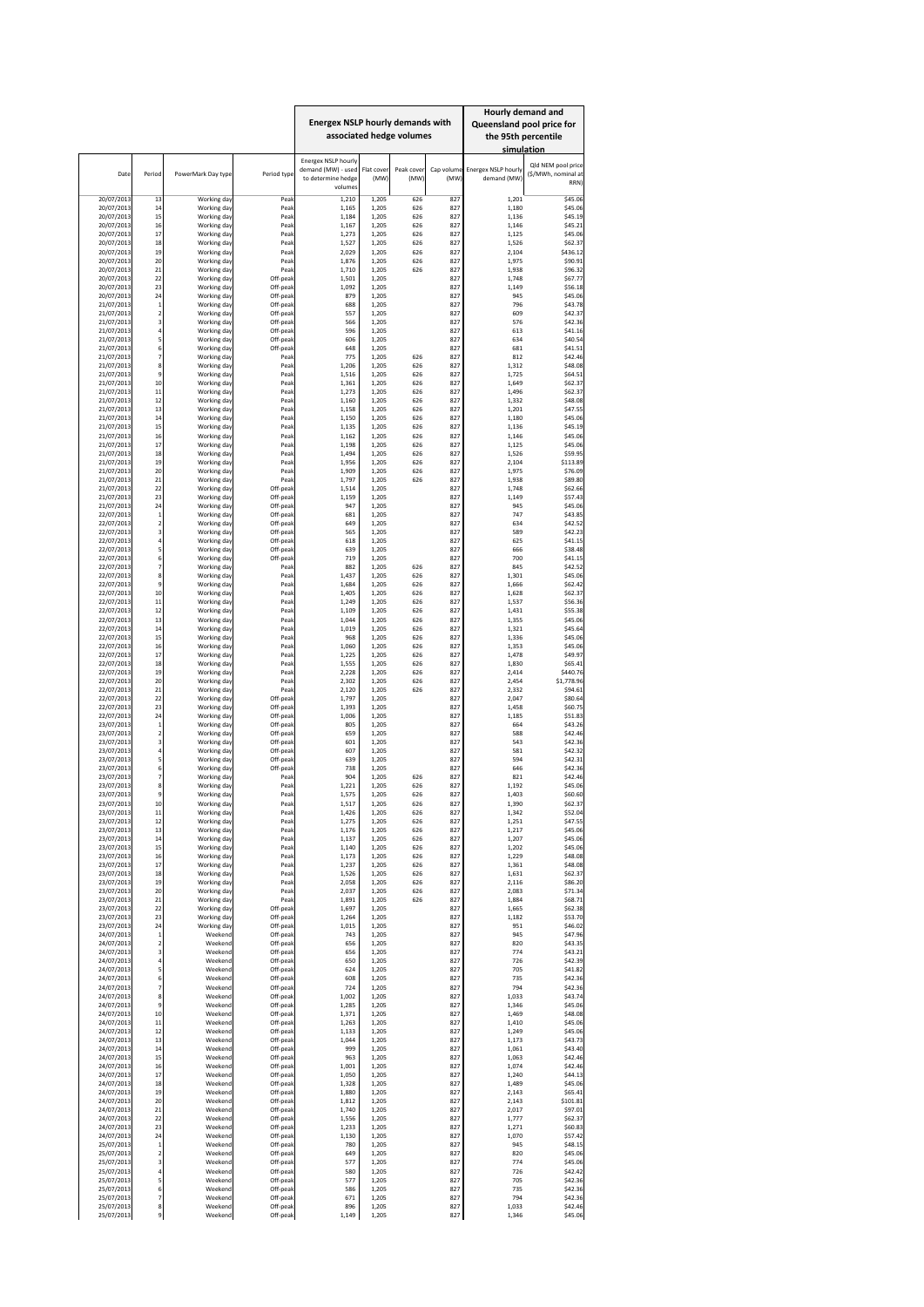|                          |                                         |                            |                      |                                           |                |                          | Hourly demand and |                            |                       |  |
|--------------------------|-----------------------------------------|----------------------------|----------------------|-------------------------------------------|----------------|--------------------------|-------------------|----------------------------|-----------------------|--|
|                          |                                         |                            |                      | <b>Energex NSLP hourly demands with</b>   |                |                          |                   | Queensland pool price for  |                       |  |
|                          |                                         |                            |                      |                                           |                | associated hedge volumes |                   | the 95th percentile        |                       |  |
|                          |                                         |                            |                      |                                           |                |                          |                   | simulation                 |                       |  |
|                          |                                         |                            |                      | Energex NSLP hourly<br>demand (MW) - used | Flat cover     | Peak cover               | Cap volume        | <b>Energex NSLP hourly</b> | Qld NEM pool price    |  |
| Date                     | Period                                  | PowerMark Day type         | Period type          | to determine hedge                        | (MW)           | (MW)                     | (MW)              | demand (MW)                | (\$/MWh, nominal at   |  |
|                          |                                         |                            |                      | volume:                                   |                |                          |                   |                            | <b>RRN</b>            |  |
| 20/07/2013               | 13                                      | Working day                | Pea                  | 1,210                                     | 1,205          | 626                      | 827               | 1,201                      | \$45.06               |  |
| 20/07/2013<br>20/07/2013 | 14<br>15                                | Working day<br>Working day | Pea<br>Pea           | 1,165<br>1,184                            | 1,205<br>1,205 | 626<br>626               | 827<br>827        | 1,180<br>1,136             | \$45.06<br>\$45.19    |  |
| 20/07/2013               | 16                                      | Working day                | Pea                  | 1,167                                     | 1.205          | 626                      | 827               | 1,146                      | \$45.23               |  |
| 20/07/2013<br>20/07/2013 | 17<br>18                                | Working day<br>Working day | Peal<br>Pea          | 1,273<br>1,527                            | 1,205<br>1,205 | 626<br>626               | 827<br>827        | 1,125<br>1,526             | \$45.06<br>\$62.37    |  |
| 20/07/2013               | 19                                      | Working day                | Pea                  | 2,029                                     | 1,205          | 626                      | 827               | 2,104                      | \$436.12              |  |
| 20/07/2013               | 20                                      | Working day                | Pea                  | 1.876                                     | 1.205          | 626                      | 827               | 1.975                      | \$90.91               |  |
| 20/07/2013<br>20/07/2013 | 21<br>22                                | Working day<br>Working day | Pea<br>Off-pea       | 1,710<br>1,501                            | 1,205<br>1,205 | 626                      | 827<br>827        | 1,938<br>1,748             | \$96.32<br>\$67.7     |  |
| 20/07/2013               | 23                                      | Working day                | Off-peal             | 1,092                                     | 1,205          |                          | 827               | 1,149                      | \$56.18               |  |
| 20/07/2013               | 24                                      | Working day                | Off-peal             | 879                                       | 1,205          |                          | 827               | 945                        | \$45.06               |  |
| 21/07/2013<br>21/07/2013 | $\mathbf{1}$<br>$\overline{\mathbf{c}}$ | Working day<br>Working day | Off-peal<br>Off-peal | 688<br>557                                | 1,205<br>1,205 |                          | 827<br>827        | 796<br>609                 | \$43.78<br>\$42.37    |  |
| 21/07/2013               | 3                                       | Working day                | Off-peal             | 566                                       | 1,205          |                          | 827               | 576                        | \$42.36               |  |
| 21/07/2013<br>21/07/2013 | 4<br>5                                  | Working day<br>Working day | Off-peal<br>Off-peal | 596<br>606                                | 1,205<br>1,205 |                          | 827<br>827        | 613<br>634                 | \$41.16<br>\$40.54    |  |
| 21/07/2013               | 6                                       | Working day                | Off-peal             | 648                                       | 1,205          |                          | 827               | 681                        | \$41.51               |  |
| 21/07/2013               | 7                                       | Working day                | Peal                 | 775                                       | 1,205          | 626                      | 827               | 812                        | \$42.46               |  |
| 21/07/2013<br>21/07/2013 | 8<br>9                                  | Working day<br>Working day | Pea<br>Pea           | 1,206<br>1.516                            | 1,205<br>1.205 | 626<br>626               | 827<br>827        | 1,312<br>1.725             | \$48.08<br>\$64.53    |  |
| 21/07/2013               | 10                                      | Working day                | Peal                 | 1,361                                     | 1,205          | 626                      | 827               | 1,649                      | \$62.37               |  |
| 21/07/2013               | 11<br>12                                | Working day                | Pea<br>Pea           | 1,273<br>1,160                            | 1,205<br>1,205 | 626<br>626               | 827<br>827        | 1,496<br>1,332             | \$62.37<br>\$48.08    |  |
| 21/07/2013<br>21/07/2013 | 13                                      | Working day<br>Working day | Pea                  | 1.158                                     | 1.205          | 626                      | 827               | 1.201                      | \$47.55               |  |
| 21/07/2013               | 14                                      | Working day                | Pea                  | 1,150                                     | 1,205          | 626                      | 827               | 1,180                      | \$45.06               |  |
| 21/07/2013<br>21/07/2013 | 15<br>16                                | Working day<br>Working day | Pea<br>Pea           | 1,135<br>1,162                            | 1,205<br>1,205 | 626<br>626               | 827<br>827        | 1,136<br>1,146             | \$45.19<br>\$45.06    |  |
| 21/07/2013               | 17                                      | Working day                | Peal                 | 1,198                                     | 1,205          | 626                      | 827               | 1,125                      | \$45.06               |  |
| 21/07/2013<br>21/07/2013 | 18<br>19                                | Working day<br>Working day | Peal<br>Peal         | 1,494<br>1,956                            | 1,205<br>1,205 | 626<br>626               | 827<br>827        | 1,526<br>2,104             | \$59.95<br>\$113.89   |  |
| 21/07/2013               | 20                                      | Working day                | Peal                 | 1,909                                     | 1,205          | 626                      | 827               | 1,975                      | \$76.09               |  |
| 21/07/2013               | 21                                      | Working day                | Peal                 | 1,797                                     | 1,205          | 626                      | 827               | 1.938                      | \$89.80               |  |
| 21/07/2013<br>21/07/2013 | 22<br>23                                | Working day<br>Working day | Off-peal<br>Off-peal | 1,514<br>1,159                            | 1,205<br>1,205 |                          | 827<br>827        | 1,748<br>1,149             | \$62.66<br>\$57.43    |  |
| 21/07/2013               | 24                                      | Working day                | Off-pea              | 947                                       | 1,205          |                          | 827               | 945                        | \$45.06               |  |
| 22/07/2013               | $\mathbf{1}$                            | Working day                | Off-pea              | 681                                       | 1,205          |                          | 827               | 747                        | \$43.8                |  |
| 22/07/2013<br>22/07/2013 | $\overline{\mathbf{c}}$<br>3            | Working day<br>Working day | Off-peal<br>Off-peal | 649<br>565                                | 1,205<br>1,205 |                          | 827<br>827        | 634<br>589                 | \$42.52<br>\$42.23    |  |
| 22/07/2013               | 4                                       | Working day                | Off-peal             | 618                                       | 1,205          |                          | 827               | 625                        | \$41.15               |  |
| 22/07/2013               | 5<br>6                                  | Working day                | Off-peal             | 639<br>719                                | 1,205          |                          | 827<br>827        | 666<br>700                 | \$38.48<br>\$41.15    |  |
| 22/07/2013<br>22/07/2013 | $\overline{7}$                          | Working day<br>Working day | Off-peal<br>Pea      | 882                                       | 1.205<br>1,205 | 626                      | 827               | 845                        | \$42.52               |  |
| 22/07/2013               | 8                                       | Working day                | Pea                  | 1,437                                     | 1,205          | 626                      | 827               | 1,301                      | \$45.06               |  |
| 22/07/2013<br>22/07/2013 | q<br>10                                 | Working day<br>Working day | Pea<br>Peal          | 1,684<br>1.405                            | 1,205<br>1,205 | 626<br>626               | 827<br>827        | 1,666<br>1,628             | \$62.42<br>\$62.37    |  |
| 22/07/2013               | 11                                      | Working day                | Peal                 | 1,249                                     | 1,205          | 626                      | 827               | 1,537                      | \$56.36               |  |
| 22/07/2013               | 12                                      | Working day                | Peal                 | 1,109                                     | 1,205          | 626                      | 827               | 1,431                      | \$55.38               |  |
| 22/07/2013<br>22/07/2013 | 13<br>14                                | Working day<br>Working day | Peal<br>Pea          | 1,044<br>1,019                            | 1,205<br>1,205 | 626<br>626               | 827<br>827        | 1,355<br>1.321             | \$45.06<br>\$45.64    |  |
| 22/07/2013               | 15                                      | Working day                | Pea                  | 968                                       | 1,205          | 626                      | 827               | 1,336                      | \$45.06               |  |
| 22/07/2013               | 16<br>17                                | Working day                | Pea<br>Pea           | 1,060<br>1,225                            | 1,205<br>1,205 | 626<br>626               | 827<br>827        | 1,353<br>1,478             | \$45.06<br>\$49.97    |  |
| 22/07/2013<br>22/07/2013 | 18                                      | Working day<br>Working day | Pea                  | 1,555                                     | 1.205          | 626                      | 827               | 1,830                      | \$65.41               |  |
| 22/07/2013               | 19                                      | Working day                | Peal                 | 2,228                                     | 1,205          | 626                      | 827               | 2,414                      | \$440.76              |  |
| 22/07/2013<br>22/07/2013 | 20<br>21                                | Working day<br>Working day | Peal<br>Pea          | 2,302<br>2,120                            | 1,205<br>1,205 | 626<br>626               | 827<br>827        | 2,454<br>2,332             | \$1,778.96<br>\$94.61 |  |
| 22/07/2013               | 22                                      | Working day                | Off-peal             | 1,797                                     | 1,205          |                          | 827               | 2,047                      | \$80.64               |  |
| 22/07/2013               | 23                                      | Working day                | Off-peal             | 1.393                                     | 1.205          |                          | 827               | 1.458                      | \$60.75               |  |
| 22/07/2013<br>23/07/2013 | 24<br>-1                                | Working day<br>Working day | Off-peal<br>Off-pea  | 1,006<br>805                              | 1,205<br>1,205 |                          | 827<br>827        | 1,185<br>664               | \$51.83<br>\$43.26    |  |
| 23/07/2013               | $\overline{\mathbf{c}}$                 | Working day                | Off-pea              | 659                                       | 1,205          |                          | 827               | 588                        | \$42.46               |  |
| 23/07/2013               | 3                                       | Working day                | Off-peal             | 601                                       | 1,205          |                          | 827               | 543                        | \$42.36               |  |
| 23/07/2013<br>23/07/2013 | 4<br>5                                  | Working day<br>Working day | Off-peal<br>Off-peal | 607<br>639                                | 1,205<br>1,205 |                          | 827<br>827        | 581<br>594                 | \$42.32<br>\$42.31    |  |
| 23/07/2013               | 6                                       | Working day                | Off-peal             | 738                                       | 1,205          |                          | 827               | 646                        | \$42.36               |  |
| 23/07/2013<br>23/07/2013 | $\overline{7}$<br>8                     | Working day<br>Working day | Peal<br>Pea          | 904<br>1,221                              | 1.205<br>1,205 | 626<br>626               | 827<br>827        | 821<br>1,192               | \$42.46<br>\$45.06    |  |
| 23/07/2013               | 9                                       | Working day                | Peal                 | 1,575                                     | 1,205          | 626                      | 827               | 1,403                      | \$60.60               |  |
| 23/07/2013               | 10                                      | Working day                | Peal                 | 1,517                                     | 1,205          | 626                      | 827               | 1,390                      | \$62.37               |  |
| 23/07/2013<br>23/07/2013 | 11<br>12                                | Working day<br>Working day | Peal<br>Peal         | 1.426<br>1,275                            | 1.205<br>1,205 | 626<br>626               | 827<br>827        | 1,342<br>1,251             | \$52.04<br>\$47.55    |  |
| 23/07/2013               | 13                                      | Working day                | Peal                 | 1,176                                     | 1,205          | 626                      | 827               | 1,217                      | \$45.06               |  |
| 23/07/2013               | 14<br>15                                | Working day                | Peal<br>Pea          | 1,137<br>1.140                            | 1,205          | 626<br>626               | 827<br>827        | 1,207<br>1.202             | \$45.06<br>\$45.06    |  |
| 23/07/2013<br>23/07/2013 | 16                                      | Working day<br>Working day | Pea                  | 1,173                                     | 1.205<br>1,205 | 626                      | 827               | 1,229                      | \$48.08               |  |
| 23/07/2013               | 17                                      | Working day                | Peal                 | 1,237                                     | 1,205          | 626                      | 827               | 1,361                      | \$48.08               |  |
| 23/07/2013<br>23/07/2013 | 18<br>19                                | Working day<br>Working day | Peal<br>Peal         | 1,526<br>2,058                            | 1,205<br>1,205 | 626<br>626               | 827<br>827        | 1,631<br>2,116             | \$62.37<br>\$86.20    |  |
| 23/07/2013               | 20                                      | Working day                | Peak                 | 2.037                                     | 1,205          | 626                      | 827               | 2,083                      | \$71.34               |  |
| 23/07/2013               | 21                                      | Working day                | Peal                 | 1,891                                     | 1,205          | 626                      | 827               | 1,884                      | \$68.71               |  |
| 23/07/2013<br>23/07/2013 | 22<br>23                                | Working day<br>Working day | Off-peak<br>Off-peak | 1,697<br>1,264                            | 1,205<br>1,205 |                          | 827<br>827        | 1,665<br>1,182             | \$62.38<br>\$53.70    |  |
| 23/07/2013               | 24                                      | Working day                | Off-peal             | 1,015                                     | 1,205          |                          | 827               | 951                        | \$46.02               |  |
| 24/07/2013<br>24/07/2013 | $\,$ 1                                  | Weekend<br>Weekend         | Off-peal<br>Off-peal | 743<br>656                                | 1,205<br>1,205 |                          | 827<br>827        | 945<br>820                 | \$47.96<br>\$43.35    |  |
| 24/07/2013               | $\overline{\mathbf{c}}$<br>3            | Weekend                    | Off-peal             | 656                                       | 1,205          |                          | 827               | 774                        | \$43.21               |  |
| 24/07/2013               | 4                                       | Weekend                    | Off-peal             | 650                                       | 1,205          |                          | 827               | 726                        | \$42.39               |  |
| 24/07/2013<br>24/07/2013 | 5<br>6                                  | Weekend<br>Weekend         | Off-peal<br>Off-peal | 624<br>608                                | 1,205<br>1,205 |                          | 827<br>827        | 705<br>735                 | \$41.82<br>\$42.36    |  |
| 24/07/2013               | $\overline{\phantom{a}}$                | Weekend                    | Off-peak             | 724                                       | 1,205          |                          | 827               | 794                        | \$42.36               |  |
| 24/07/2013               | 8                                       | Weekend                    | Off-peal             | 1.002                                     | 1.205          |                          | 827               | 1,033                      | \$43.74               |  |
| 24/07/2013<br>24/07/2013 | 9<br>10                                 | Weekend<br>Weekend         | Off-peal<br>Off-peal | 1,285<br>1,371                            | 1,205<br>1,205 |                          | 827<br>827        | 1,346<br>1,469             | \$45.06<br>\$48.08    |  |
| 24/07/2013               | 11                                      | Weekend                    | Off-peal             | 1,263                                     | 1,205          |                          | 827               | 1,410                      | \$45.06               |  |
| 24/07/2013<br>24/07/2013 | 12<br>13                                | Weekend<br>Weekend         | Off-peal<br>Off-peal | 1,133<br>1,044                            | 1,205<br>1,205 |                          | 827<br>827        | 1,249<br>1,173             | \$45.06<br>\$43.73    |  |
| 24/07/2013               | 14                                      | Weekend                    | Off-peak             | 999                                       | 1,205          |                          | 827               | 1,061                      | \$43.40               |  |
| 24/07/2013               | 15                                      | Weekend                    | Off-peak             | 963                                       | 1,205          |                          | 827               | 1,063                      | \$42.46               |  |
| 24/07/2013<br>24/07/2013 | 16<br>17                                | Weekend<br>Weekend         | Off-peal<br>Off-peal | 1.001<br>1,050                            | 1,205<br>1,205 |                          | 827<br>827        | 1,074<br>1,240             | \$42.46<br>\$44.13    |  |
| 24/07/2013               | 18                                      | Weekend                    | Off-peal             | 1,328                                     | 1,205          |                          | 827               | 1,489                      | \$45.06               |  |
| 24/07/2013               | 19                                      | Weekend                    | Off-peal             | 1,880                                     | 1,205          |                          | 827               | 2,143                      | \$65.41               |  |
| 24/07/2013<br>24/07/2013 | 20<br>21                                | Weekend<br>Weekend         | Off-peal<br>Off-peal | 1,812<br>1.740                            | 1,205<br>1,205 |                          | 827<br>827        | 2,143<br>2,017             | \$101.81<br>\$97.01   |  |
| 24/07/2013               | 22                                      | Weekend                    | Off-peal             | 1,556                                     | 1,205          |                          | 827               | 1,777                      | \$62.37               |  |
| 24/07/2013               | 23                                      | Weekend                    | Off-peal             | 1,233                                     | 1,205          |                          | 827<br>827        | 1,271                      | \$60.83               |  |
| 24/07/2013<br>25/07/2013 | 24<br>$\mathbf{1}$                      | Weekend<br>Weekend         | Off-peal<br>Off-peal | 1,130<br>780                              | 1,205<br>1.205 |                          | 827               | 1,070<br>945               | \$57.42<br>\$48.15    |  |
| 25/07/2013               | $\overline{\mathbf{c}}$                 | Weekend                    | Off-peal             | 649                                       | 1,205          |                          | 827               | 820                        | \$45.06               |  |
| 25/07/2013<br>25/07/2013 | 3<br>4                                  | Weekend<br>Weekend         | Off-peal<br>Off-peal | 577<br>580                                | 1,205<br>1,205 |                          | 827<br>827        | 774<br>726                 | \$45.06<br>\$42.42    |  |
| 25/07/2013               | 5                                       | Weekend                    | Off-peak             | 577                                       | 1,205          |                          | 827               | 705                        | \$42.36               |  |
| 25/07/2013               | 6                                       | Weekend                    | Off-peak             | 586                                       | 1,205          |                          | 827               | 735                        | \$42.36               |  |
| 25/07/2013<br>25/07/2013 | $\overline{1}$<br>8                     | Weekend<br>Weekend         | Off-peak<br>Off-peak | 671<br>896                                | 1,205<br>1,205 |                          | 827<br>827        | 794<br>1,033               | \$42.36<br>\$42.46    |  |
| 25/07/2013               | 9                                       | Weekend                    | Off-peak             | 1,149                                     | 1,205          |                          | 827               | 1,346                      | \$45.06               |  |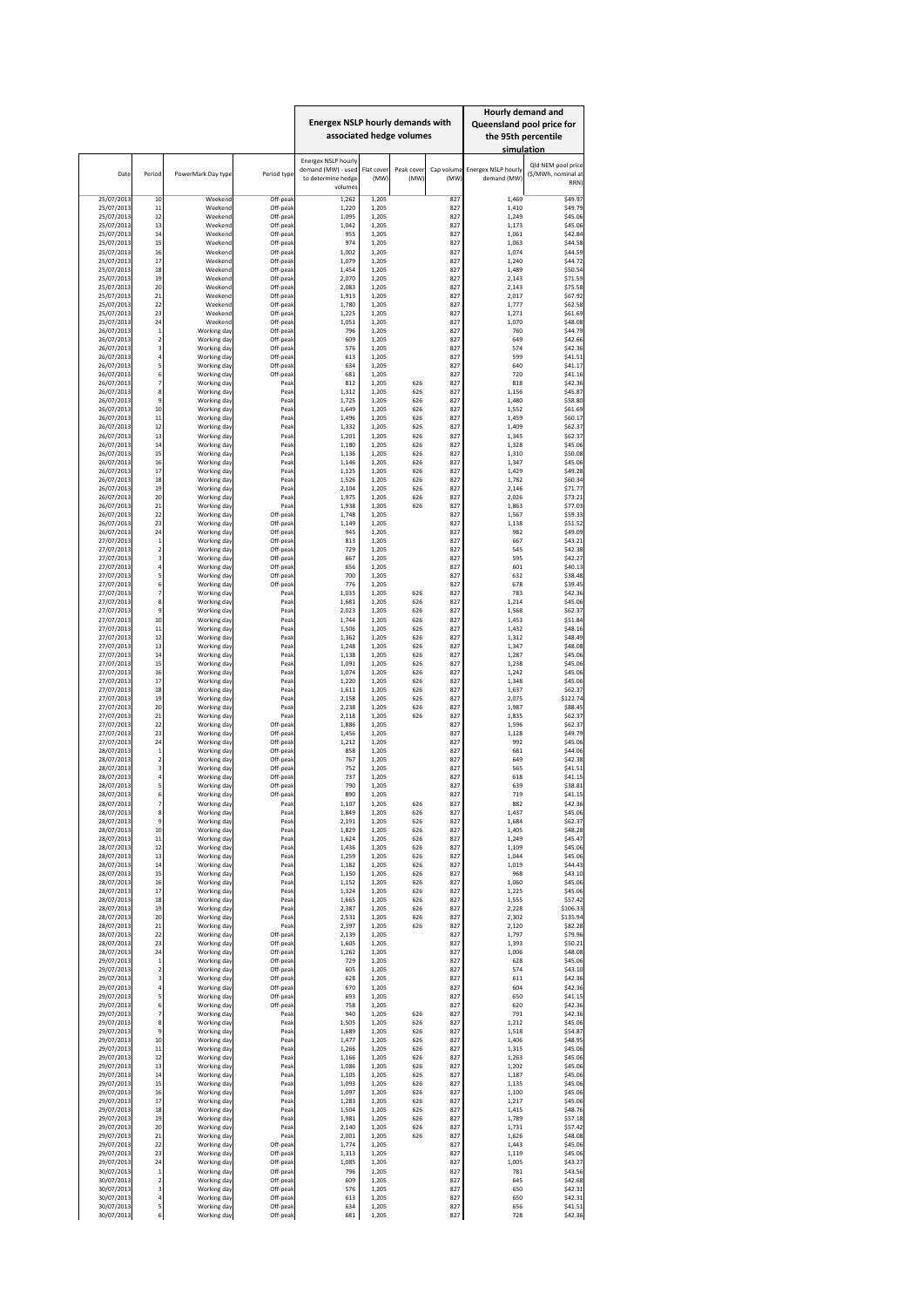|                          |                         |                            |                      |                                                                            |                    |                    | Hourly demand and                                              |                                    |                                                   |  |
|--------------------------|-------------------------|----------------------------|----------------------|----------------------------------------------------------------------------|--------------------|--------------------|----------------------------------------------------------------|------------------------------------|---------------------------------------------------|--|
|                          |                         |                            |                      | <b>Energex NSLP hourly demands with</b><br>associated hedge volumes        |                    |                    | Queensland pool price for<br>the 95th percentile<br>simulation |                                    |                                                   |  |
| Date                     | Period                  | PowerMark Day type         | Period type          | Energex NSLP hourly<br>demand (MW) - used<br>to determine hedge<br>volume: | Flat cover<br>(MW) | Peak cover<br>(MW) | Cap volume<br>(MW)                                             | Energex NSLP hourly<br>demand (MW) | Qld NEM pool price<br>(\$/MWh, nominal at<br>RRN) |  |
| 25/07/2013               | 10                      | Weekend                    | Off-peal             | 1,262                                                                      | 1,205              |                    | 827                                                            | 1,469                              | \$49.97                                           |  |
| 25/07/2013               | 11                      | Weekend                    | Off-neal             | 1.220                                                                      | 1.205              |                    | 827                                                            | 1.410                              | \$49.79                                           |  |
| 25/07/2013               | 12                      | Weekend                    | Off-peal             | 1,095                                                                      | 1,205              |                    | 827                                                            | 1,249                              | \$45.06                                           |  |
| 25/07/2013               | 13                      | Weekend                    | Off-peal             | 1,042                                                                      | 1,205              |                    | 827<br>827                                                     | 1,173                              | \$45.06                                           |  |
| 25/07/2013<br>25/07/2013 | 14<br>15                | Weekend<br>Weekend         | Off-peal<br>Off-peal | 955<br>974                                                                 | 1,205<br>1.205     |                    | 827                                                            | 1,061<br>1.063                     | \$42.84<br>\$44.58                                |  |
| 25/07/2013               | 16                      | Weekend                    | Off-peal             | 1,002                                                                      | 1,205              |                    | 827                                                            | 1,074                              | \$44.59                                           |  |
| 25/07/2013               | 17                      | Weekend                    | Off-peal             | 1,079                                                                      | 1,205              |                    | 827                                                            | 1,240                              | \$44.72                                           |  |
| 25/07/2013               | 18                      | Weekend                    | Off-peal             | 1,454                                                                      | 1,205              |                    | 827                                                            | 1,489                              | \$50.54                                           |  |
| 25/07/2013               | 19                      | Weekend                    | Off-peal             | 2.070                                                                      | 1.205              |                    | 827                                                            | 2,143                              | \$71.59                                           |  |
| 25/07/2013               | 20                      | Weekend                    | Off-peal             | 2,083                                                                      | 1,205              |                    | 827                                                            | 2,143                              | \$75.58                                           |  |
| 25/07/2013<br>25/07/2013 | 21<br>22                | Weekend<br>Weekend         | Off-peak             | 1,913                                                                      | 1,205              |                    | 827                                                            | 2,017                              | \$67.92                                           |  |
| 25/07/2013               | 2 <sup>2</sup>          | Weekend                    | Off-peal<br>Off-peal | 1,780<br>1,225                                                             | 1,205<br>1,205     |                    | 827<br>827                                                     | 1,777<br>1,271                     | \$62.58<br>\$61.69                                |  |
| 25/07/2013               | 24                      | Weekend                    | Off-peak             | 1,051                                                                      | 1.205              |                    | 827                                                            | 1,070                              | \$48.08                                           |  |
| 26/07/2013               | $\mathbf{1}$            | Working day                | Off-peal             | 796                                                                        | 1,205              |                    | 827                                                            | 760                                | \$44.79                                           |  |
| 26/07/2013               | $\overline{\mathbf{2}}$ | Working day                | Off-peal             | 609                                                                        | 1,205              |                    | 827                                                            | 649                                | \$42.66                                           |  |
| 26/07/2013               | 3                       | Working day                | Off-peal             | 576                                                                        | 1,205              |                    | 827                                                            | 574                                | \$42.36                                           |  |
| 26/07/2013               | $\epsilon$              | Working day                | Off-peal             | 613                                                                        | 1.205              |                    | 827                                                            | 599                                | \$41.51                                           |  |
| 26/07/2013               | 5                       | Working day                | Off-peal             | 634                                                                        | 1,205              |                    | 827                                                            | 640                                | \$41.17                                           |  |
| 26/07/2013               | 6                       | Working day                | Off-peal             | 681                                                                        | 1,205              |                    | 827                                                            | 720                                | \$41.16                                           |  |
| 26/07/2013               | 7                       | Working day                | Peak                 | 812                                                                        | 1,205              | 626                | 827                                                            | 818                                | \$42.36                                           |  |
| 26/07/2013               | 8                       | Working day                | Peal                 | 1.312                                                                      | 1.205              | 626                | 827                                                            | 1.156                              | \$45.87                                           |  |
| 26/07/2013               | Ś                       | Working day                | Peak                 | 1,725                                                                      | 1,205              | 626                | 827                                                            | 1,480                              | \$58.80                                           |  |
| 26/07/2013               | 10                      | Working day                | Peal                 | 1,649                                                                      | 1,205              | 626                | 827                                                            | 1,552                              | \$61.69                                           |  |
| 26/07/2013               | 11                      | Working day                | Peal                 | 1,496                                                                      | 1,205              | 626                | 827                                                            | 1,459                              | \$60.17                                           |  |
| 26/07/2013               | 12                      | Working day                | Peak                 | 1,332                                                                      | 1.205              | 626                | 827                                                            | 1.409                              | \$62.37                                           |  |
| 26/07/2013               | 13                      | Working day                | Peak                 | 1,201                                                                      | 1,205              | 626                | 827                                                            | 1,345                              | \$62.37                                           |  |
| 26/07/2013               | 14                      | Working day                | Peal                 | 1,180                                                                      | 1,205              | 626                | 827                                                            | 1,328                              | \$45.06                                           |  |
| 26/07/2013               | 15                      | Working day                | Peak                 | 1,136                                                                      | 1,205              | 626                | 827                                                            | 1,310                              | \$50.08                                           |  |
| 26/07/2013               | 16                      |                            | Peak                 | 1,146                                                                      | 1.205              | 626                | 827                                                            | 1.347                              | \$45.06                                           |  |
| 26/07/2013               | 17                      | Working day<br>Working day | Peak                 | 1,125                                                                      | 1,205              | 626                | 827                                                            | 1,429                              | \$49.28                                           |  |
| 26/07/2013               | 18                      | Working day                | Peal                 | 1,526                                                                      | 1,205              | 626                | 827                                                            | 1,782                              | \$60.34                                           |  |
| 26/07/2013               | 19                      | Working day                | Peal                 | 2,104                                                                      | 1,205              | 626                | 827                                                            | 2,146                              | \$71.77                                           |  |
| 26/07/2013               | 20                      | Working day                | Peal                 | 1,975                                                                      | 1,205              | 626                | 827                                                            | 2,026                              | \$73.21                                           |  |
| 26/07/2013               | $\overline{21}$         | Working day                | Peak                 | 1,938                                                                      | 1.205              | 626                | 827                                                            | 1.863                              | \$77.03                                           |  |
| 26/07/2013               | 22                      | Working day                | Off-peal             | 1,748                                                                      | 1,205              |                    | 827                                                            | 1,567                              | \$59.33                                           |  |
| 26/07/2013               | 23<br>24                | Working day                | Off-peal<br>Off-peak | 1,149<br>945                                                               | 1,205<br>1,205     |                    | 827<br>827                                                     | 1,138<br>982                       | \$51.52<br>\$49.09                                |  |
| 26/07/2013<br>27/07/2013 | -1                      | Working day<br>Working day | Off-peal             | 813                                                                        | 1.205              |                    | 827                                                            | 667                                | \$43.21                                           |  |
| 27/07/2013               | 2                       | Working day                | Off-peal             | 729                                                                        | 1,205              |                    | 827                                                            | 545                                | \$42.38                                           |  |
| 27/07/2013               | ś                       | Working day                | Off-peal             | 667                                                                        | 1,205              |                    | 827                                                            | 595                                | \$42.27                                           |  |
| 27/07/2013               | 4                       | Working day                | Off-peal             | 656                                                                        | 1,205              |                    | 827                                                            | 601                                | \$40.13                                           |  |
| 27/07/2013               | 5                       | Working day                | Off-peal             | 700                                                                        | 1.205              |                    | 827                                                            | 632                                | \$38.48                                           |  |
| 27/07/2013               | 6                       | Working day                | Off-peak             | 776                                                                        | 1,205              |                    | 827                                                            | 678                                | \$39.45                                           |  |
| 27/07/2013               | $\overline{7}$          | Working day                | Peal                 | 1,035                                                                      | 1,205              | 626                | 827                                                            | 783                                | \$42.36                                           |  |
| 27/07/2013               | 8                       | Working day                | Peal                 | 1,681                                                                      | 1,205              | 626                | 827                                                            | 1,214                              | \$45.06                                           |  |
| 27/07/2013               | $\overline{9}$          | Working day                | Peak                 | 2,023                                                                      | 1.205              | 626                | 827                                                            | 1.568                              | \$62.37                                           |  |
| 27/07/2013               | 10                      | Working day                | Peak                 | 1,744                                                                      | 1,205              | 626                | 827                                                            | 1,453                              | \$51.84                                           |  |
| 27/07/2013               | 11                      | Working day                | Peal                 | 1,506                                                                      | 1,205              | 626                | 827                                                            | 1,432                              | \$48.16                                           |  |
| 27/07/2013               | 12<br>13                | Working day<br>Working day | Peal<br>Peal         | 1,362<br>1.248                                                             | 1,205<br>1.205     | 626<br>626         | 827<br>827                                                     | 1,312                              | \$48.49<br>\$48.08                                |  |
| 27/07/2013<br>27/07/2013 | 14                      | Working day                | Peal                 | 1,138                                                                      | 1,205              | 626                | 827                                                            | 1,347<br>1,287                     | \$45.06                                           |  |
| 27/07/2013               | 15                      | Working day                | Peal                 | 1,091                                                                      | 1,205              | 626                | 827                                                            | 1,238                              | \$45.06                                           |  |
| 27/07/2013               | 16                      | Working day                | Peak                 | 1,074                                                                      | 1,205              | 626                | 827                                                            | 1,242                              | \$45.06                                           |  |
| 27/07/2013               | 17                      | Working day                | Peak                 | 1,220                                                                      | 1.205              | 626                | 827                                                            | 1,348                              | \$45.06                                           |  |
| 27/07/2013               | 18                      | Working day                | Peal                 | 1.611                                                                      | 1.205              | 626                | 827                                                            | 1.637                              | \$62.37                                           |  |
| 27/07/2013               | 19                      | Working day                | Peal                 | 2,158                                                                      | 1,205              | 626                | 827                                                            | 2,075                              | \$122.74                                          |  |
| 27/07/2013               | 20                      | Working day                | Peal                 | 2,238                                                                      | 1,205              | 626                | 827                                                            | 1,987                              | \$88.45                                           |  |
| 27/07/2013               | 21                      | Working day                | Peal                 | 2,118                                                                      | 1,205              | 626                | 827                                                            | 1,835                              | \$62.37                                           |  |
| 27/07/2013               | 22                      | Working day                | Off-neal             | 1,886                                                                      | 1.205              |                    | 827                                                            | 1,596                              | \$62.37                                           |  |
| 27/07/2013               | 23                      | Working day                | Off-peal             | 1,456                                                                      | 1,205              |                    | 827                                                            | 1,128                              | \$49.79                                           |  |
| 27/07/2013               | 24                      | Working day                | Off-peal             | 1,212                                                                      | 1,205              |                    | 827                                                            | 992                                | \$45.06                                           |  |
| 28/07/2013               | -1                      | Working day                | Off-peal             | 858                                                                        | 1,205              |                    | 827                                                            | 681                                | \$44.06                                           |  |
| 28/07/2013               | $\overline{2}$          | Working day                | Off-peak             | 767                                                                        | 1.205              |                    | 827                                                            | 649                                | \$42.38                                           |  |
| 28/07/2013               | ś                       | Working day                | Off-peal             | 752                                                                        | 1,205              |                    | 827                                                            | 565                                | \$41.51                                           |  |
| 28/07/2013               | 4                       | Working day                | Off-peal             | 737                                                                        | 1,205              |                    | 827                                                            | 618                                | \$41.15                                           |  |
| 28/07/2013               | S                       | Working day                | Off-peal             | 790                                                                        | 1,205              |                    | 827                                                            | 639                                | \$38.81                                           |  |
| 28/07/2013<br>28/07/2013 | 6                       | Working day                | Off-peak<br>Peal     | 890<br>1.107                                                               | 1,205<br>1.205     | 626                | 827<br>827                                                     | 719<br>882                         | \$41.15<br>\$42.36                                |  |
| 28/07/2013               | 8                       | Working day<br>Working day | Peal                 | 1,849                                                                      | 1,205              | 626                | 827                                                            | 1,437                              | \$45.06                                           |  |
| 28/07/2013               | q                       | Working day                | Peal                 | 2,191                                                                      | 1,205              | 626                | 827                                                            | 1,684                              | \$62.37                                           |  |
| 28/07/2013               | 10                      | Working day                | Peak                 | 1.829                                                                      | 1.205              | 626                | 827                                                            | 1.405                              | \$48.28                                           |  |
| 28/07/2013               | 11                      | Working day                | Peak                 | 1,624                                                                      | 1,205              | 626                | 827                                                            | 1,249                              | \$45.47                                           |  |
| 28/07/2013               | 12                      | Working day                | Peal                 | 1,436                                                                      | 1,205              | 626                | 827                                                            | 1,109                              | \$45.06                                           |  |
| 28/07/2013               | 13                      | Working day                | Peal                 | 1,259                                                                      | 1,205              | 626                | 827                                                            | 1,044                              | \$45.06                                           |  |
| 28/07/2013               | 14                      | Working day                | Peak                 | 1,182                                                                      | 1.205              | 626                | 827                                                            | 1,019                              | \$44.43                                           |  |
| 28/07/2013               | 15                      | Working day                | Peak                 | 1,150                                                                      | 1,205              | 626                | 827                                                            | 968                                | \$43.10                                           |  |
| 28/07/2013               | 16                      | Working day                | Peak                 | 1,152                                                                      | 1,205              | 626                | 827                                                            | 1,060                              | \$45.06                                           |  |
| 28/07/2013               | 17                      | Working day                | Peak                 | 1,324                                                                      | 1,205              | 626                | 827                                                            | 1,225                              | \$45.06                                           |  |
| 28/07/2013               | 18                      | Working day                | Peak                 | 1,665                                                                      | 1,205              | 626                | 827                                                            | 1,555                              | \$57.42                                           |  |
| 28/07/2013               | 19                      | Working day                | Peak                 | 2,387                                                                      | 1.205              | 626                | 827<br>827                                                     | 2,228                              | \$106.33                                          |  |
| 28/07/2013               | 20                      | Working day                | Peak                 | 2,531                                                                      | 1,205              | 626                | 827                                                            | 2,302                              | \$135.94                                          |  |
| 28/07/2013               | 21                      | Working day                | Peal                 | 2,397                                                                      | 1,205              | 626                |                                                                | 2,120                              | \$82.28                                           |  |
| 28/07/2013               | 22                      | Working day                | Off-peal             | 2,139                                                                      | 1,205              |                    | 827                                                            | 1,797                              | \$79.96                                           |  |
| 28/07/2013               | 23                      | Working day                | Off-peak             | 1,605                                                                      | 1.205              |                    | 827                                                            | 1,393                              | \$50.21                                           |  |
| 28/07/2013               | 24                      | Working day                | Off-peal             | 1,262                                                                      | 1,205              |                    | 827                                                            | 1,006                              | \$48.08                                           |  |
| 29/07/2013               | $\mathbf{1}$            | Working day                | Off-peak             | 729                                                                        | 1,205              |                    | 827                                                            | 628                                | \$45.06                                           |  |
| 29/07/2013               | $\overline{2}$          | Working day                | Off-peak             | 605                                                                        | 1,205              |                    | 827                                                            | 574                                | \$43.10                                           |  |
| 29/07/2013               | 3                       | Working day                | Off-peak             | 628                                                                        | 1.205              |                    | 827                                                            | 611                                | \$42.36                                           |  |
| 29/07/2013               | 4                       | Working day                | Off-peak             | 670                                                                        | 1,205              |                    | 827                                                            | 604                                | \$42.36                                           |  |
| 29/07/2013               | 5                       | Working day                | Off-peak             | 693                                                                        | 1,205              |                    | 827                                                            | 650                                | \$41.15                                           |  |
| 29/07/2013               | 6                       | Working day                | Off-peak             | 758                                                                        | 1,205              | 626                | 827                                                            | 620                                | \$42.36                                           |  |
| 29/07/2013               | $\overline{7}$          | Working day                | Peak                 | 940                                                                        | 1,205              |                    | 827                                                            | 791                                | \$42.36                                           |  |
| 29/07/2013               | 8                       | Working day                | Peak                 | 1,505                                                                      | 1,205              | 626                | 827                                                            | 1,212                              | \$45.06                                           |  |
| 29/07/2013               | 9                       | Working day                | Peak                 | 1,689                                                                      | 1,205              | 626                | 827                                                            | 1,518                              | \$54.87                                           |  |
| 29/07/2013               | 10                      | Working day                | Peak                 | 1,477                                                                      | 1,205              | 626                | 827                                                            | 1,406                              | \$48.95                                           |  |
| 29/07/2013               | 11                      | Working day                | Peak                 | 1,266                                                                      | 1.205              | 626                | 827                                                            | 1,315                              | \$45.06                                           |  |
| 29/07/2013               | 12                      | Working day                | Peak                 | 1,166                                                                      | 1,205              | 626                | 827                                                            | 1,263                              | \$45.06                                           |  |
| 29/07/2013               | 13                      | Working day                | Peal                 | 1,086                                                                      | 1,205              | 626                | 827                                                            | 1,202                              | \$45.06                                           |  |
| 29/07/2013               | 14                      | Working day                | Peal                 | 1,105                                                                      | 1,205              | 626                | 827                                                            | 1,187                              | \$45.06                                           |  |
| 29/07/2013               | 15                      | Working day                | Peal                 | 1,093                                                                      | 1,205              | 626                | 827                                                            | 1,135                              | \$45.06                                           |  |
| 29/07/2013               | 16                      | Working day                | Peak                 | 1,097                                                                      | 1.205              | 626                | 827                                                            | 1,100                              | \$45.06                                           |  |
| 29/07/2013               | 17                      | Working day                | Peak                 | 1,283                                                                      | 1,205              | 626                | 827                                                            | 1,217                              | \$45.06                                           |  |
| 29/07/2013               | 18                      | Working day                | Peal                 | 1,504                                                                      | 1,205              | 626                | 827                                                            | 1,415                              | \$48.76                                           |  |
| 29/07/2013               | 19                      | Working day                | Peal                 | 1,981                                                                      | 1,205              | 626                | 827                                                            | 1,789                              | \$57.18                                           |  |
| 29/07/2013               | 20                      |                            | Peal                 | 2.140                                                                      | 1.205              | 626                | 827                                                            | 1,731                              | \$57.42                                           |  |
| 29/07/2013               | 21                      | Working day<br>Working day | Peal                 | 2,001                                                                      | 1,205              | 626                | 827                                                            | 1,626                              | \$48.08                                           |  |
| 29/07/2013               | 22                      | Working day                | Off-peal             | 1,774                                                                      | 1,205              |                    | 827                                                            | 1,443                              | \$45.06                                           |  |
| 29/07/2013               | 23                      | Working day                | Off-peal             | 1,313                                                                      | 1,205              |                    | 827                                                            | 1,119                              | \$45.06                                           |  |
| 29/07/2013               | 24                      | Working day                | Off-peak             | 1,085                                                                      | 1,205              |                    | 827                                                            | 1,005                              | \$43.27                                           |  |
| 30/07/2013               | $\mathbf{1}$            | Working day                | Off-peak             | 796                                                                        | 1,205              |                    | 827                                                            | 781                                | \$43.56                                           |  |
| 30/07/2013               | $\mathbf 2$             | Working day                | Off-peak             | 609                                                                        | 1,205              |                    | 827                                                            | 645                                | \$42.68                                           |  |
| 30/07/2013               | $\overline{\mathbf{3}}$ | Working day                | Off-peak             | 576                                                                        | 1,205              |                    | 827                                                            | 650                                | \$42.31                                           |  |
| 30/07/2013               | $\overline{a}$          | Working day                | Off-peak             | 613                                                                        | 1,205              |                    | 827                                                            | 650                                | \$42.31                                           |  |
| 30/07/2013               | 5                       | Working day                | Off-peak             | 634                                                                        | 1,205              |                    | 827                                                            | 656                                | \$41.51                                           |  |
| 30/07/2013               | 6                       | Working day                | Off-peak             | 681                                                                        | 1,205              |                    | 827                                                            | 728                                | \$42.36                                           |  |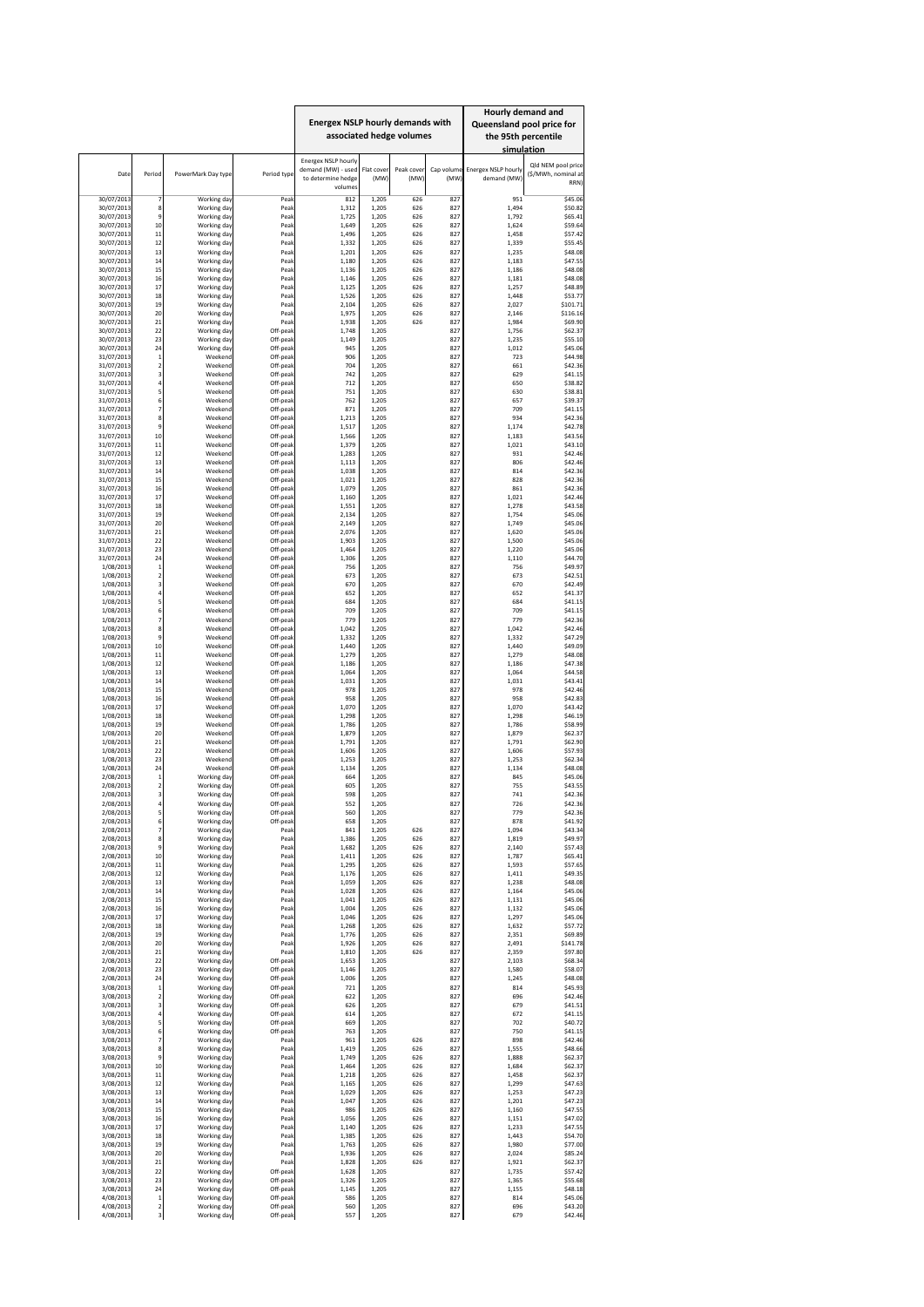|                          |                       |                            |                      |                                          |                    |                          | Hourly demand and |                                    |                     |  |
|--------------------------|-----------------------|----------------------------|----------------------|------------------------------------------|--------------------|--------------------------|-------------------|------------------------------------|---------------------|--|
|                          |                       |                            |                      | <b>Energex NSLP hourly demands with</b>  |                    |                          |                   | Queensland pool price for          |                     |  |
|                          |                       |                            |                      |                                          |                    | associated hedge volumes |                   | the 95th percentile                |                     |  |
|                          |                       |                            |                      |                                          |                    |                          |                   | simulation                         |                     |  |
|                          |                       |                            |                      | Energex NSLP hourly                      |                    |                          |                   |                                    | Qld NEM pool price  |  |
| Date                     | Period                | PowerMark Day type         | Period type          | demand (MW) - used<br>to determine hedge | Flat cover<br>(MW) | Peak cover<br>(MW)       | Cap volume<br>(MW | Energex NSLP hourly<br>demand (MW) | (\$/MWh, nominal at |  |
|                          |                       |                            |                      | volumes                                  |                    |                          |                   |                                    | <b>RRN1</b>         |  |
| 30/07/2013               |                       | Working day                | Peal                 | 812                                      | 1,205              | 626                      | 827               | 951                                | \$45.06             |  |
| 30/07/2013               | 8                     | Working day                | Peak                 | 1,312                                    | 1,205              | 626                      | 827               | 1,494                              | \$50.82             |  |
| 30/07/2013<br>30/07/2013 | 9<br>10               | Working day<br>Working day | Peal<br>Peak         | 1,725<br>1,649                           | 1,205<br>1,205     | 626<br>626               | 827<br>827        | 1,792<br>1,624                     | \$65.41<br>\$59.64  |  |
| 30/07/2013               | 11                    | Working day                | Peak                 | 1.496                                    | 1.205              | 626                      | 827               | 1.458                              | \$57.42             |  |
| 30/07/2013               | 12                    | Working day                | Peal                 | 1,332                                    | 1,205              | 626                      | 827               | 1,339                              | \$55.45             |  |
| 30/07/2013<br>30/07/2013 | 13<br>14              | Working day<br>Working day | Peal<br>Peal         | 1,201<br>1,180                           | 1,205<br>1,205     | 626<br>626               | 827<br>827        | 1,235<br>1,183                     | \$48.08<br>\$47.55  |  |
| 30/07/2013               | 15                    | Working day                | Peal                 | 1.136                                    | 1.205              | 626                      | 827               | 1,186                              | \$48.08             |  |
| 30/07/2013<br>30/07/2013 | 16                    | Working day                | Peak                 | 1,146                                    | 1,205              | 626                      | 827               | 1,181                              | \$48.08             |  |
| 30/07/2013               | 17<br>18              | Working day<br>Working day | Peak<br>Peak         | 1,125<br>1,526                           | 1,205<br>1,205     | 626<br>626               | 827<br>827        | 1,257<br>1,448                     | \$48.89<br>\$53.77  |  |
| 30/07/2013               | 19                    | Working day                | Peak                 | 2,104                                    | 1,205              | 626                      | 827               | 2,027                              | \$101.71            |  |
| 30/07/2013<br>30/07/2013 | 20<br>$\overline{21}$ | Working day<br>Working day | Peal<br>Peak         | 1.975<br>1,938                           | 1.205<br>1,205     | 626<br>626               | 827<br>827        | 2.146<br>1,984                     | \$116.16<br>\$69.90 |  |
| 30/07/2013               | $_{22}$               | Working day                | Off-peak             | 1,748                                    | 1,205              |                          | 827               | 1,756                              | \$62.37             |  |
| 30/07/2013               | 23                    | Working day                | Off-peal             | 1,149                                    | 1,205              |                          | 827               | 1,235                              | \$55.10             |  |
| 30/07/2013<br>31/07/2013 | 24<br>$\mathbf{1}$    | Working day<br>Weekend     | Off-peak<br>Off-peak | 945<br>906                               | 1.205<br>1,205     |                          | 827<br>827        | 1.012<br>723                       | \$45.06<br>\$44.98  |  |
| 31/07/2013               | 2                     | Weekend                    | Off-peak             | 704                                      | 1,205              |                          | 827               | 661                                | \$42.36             |  |
| 31/07/2013               | з                     | Weekend                    | Off-peak             | 742                                      | 1,205              |                          | 827               | 629                                | \$41.15             |  |
| 31/07/2013<br>31/07/2013 | 4<br>5                | Weekend<br>Weekend         | Off-peak<br>Off-peak | 712<br>751                               | 1.205<br>1,205     |                          | 827<br>827        | 650<br>630                         | \$38.82<br>\$38.81  |  |
| 31/07/2013               | 6                     | Weekend                    | Off-peal             | 762                                      | 1,205              |                          | 827               | 657                                | \$39.37             |  |
| 31/07/2013               | 7                     | Weekend                    | Off-peal             | 871                                      | 1,205              |                          | 827               | 709                                | \$41.15             |  |
| 31/07/2013<br>31/07/2013 | 8<br>9                | Weekend<br>Weekend         | Off-peak<br>Off-peak | 1.213<br>1,517                           | 1.205<br>1,205     |                          | 827<br>827        | 934<br>1,174                       | \$42.36<br>\$42.78  |  |
| 31/07/2013               | 10                    | Weekend                    | Off-peak             | 1,566                                    | 1,205              |                          | 827               | 1,183                              | \$43.56             |  |
| 31/07/2013               | 11                    | Weekend                    | Off-peak             | 1,379                                    | 1,205              |                          | 827               | 1,021                              | \$43.10             |  |
| 31/07/2013<br>31/07/2013 | 12<br>13              | Weekend<br>Weekend         | Off-peak<br>Off-peak | 1.283<br>1,113                           | 1.205<br>1,205     |                          | 827<br>827        | 931<br>806                         | \$42.46<br>\$42.46  |  |
| 31/07/2013               | 14                    | Weekend                    | Off-peal             | 1,038                                    | 1,205              |                          | 827               | 814                                | \$42.36             |  |
| 31/07/2013               | 15                    | Weekend                    | Off-peal             | 1,021                                    | 1,205              |                          | 827               | 828                                | \$42.36             |  |
| 31/07/2013<br>31/07/2013 | 16<br>17              | Weekend<br>Weekend         | Off-peak<br>Off-peak | 1,079<br>1.160                           | 1,205<br>1.205     |                          | 827<br>827        | 861<br>1,021                       | \$42.36<br>\$42.46  |  |
| 31/07/2013               | 18                    | Weekend                    | Off-peak             | 1,551                                    | 1,205              |                          | 827               | 1,278                              | \$43.58             |  |
| 31/07/2013               | 19                    | Weekend                    | Off-peak             | 2,134                                    | 1,205              |                          | 827               | 1,754                              | \$45.06             |  |
| 31/07/2013<br>31/07/2013 | 20<br>21              | Weekend<br>Weekend         | Off-peak<br>Off-peak | 2,149<br>2.076                           | 1,205<br>1.205     |                          | 827<br>827        | 1,749<br>1.620                     | \$45.06<br>\$45.06  |  |
| 31/07/2013               | 22                    | Weekend                    | Off-peak             | 1,903                                    | 1,205              |                          | 827               | 1,500                              | \$45.06             |  |
| 31/07/2013               | 23                    | Weekend                    | Off-peak             | 1,464                                    | 1,205              |                          | 827               | 1,220                              | \$45.06             |  |
| 31/07/2013               | 24                    | Weekend                    | Off-peal             | 1,306                                    | 1,205              |                          | 827               | 1,110                              | \$44.70             |  |
| 1/08/2013<br>1/08/2013   | 1<br>2                | Weekend<br>Weekend         | Off-peak<br>Off-peak | 756<br>673                               | 1.205<br>1,205     |                          | 827<br>827        | 756<br>673                         | \$49.97<br>\$42.51  |  |
| 1/08/2013                | 3                     | Weekend                    | Off-peak             | 670                                      | 1,205              |                          | 827               | 670                                | \$42.49             |  |
| 1/08/2013                | 4                     | Weekend                    | Off-peak             | 652                                      | 1,205              |                          | 827               | 652                                | \$41.37             |  |
| 1/08/2013<br>1/08/2013   | 5<br>6                | Weekend<br>Weekend         | Off-peak<br>Off-peak | 684<br>709                               | 1.205<br>1,205     |                          | 827<br>827        | 684<br>709                         | \$41.15<br>\$41.15  |  |
| 1/08/2013                | 7                     | Weekend                    | Off-peal             | 779                                      | 1,205              |                          | 827               | 779                                | \$42.36             |  |
| 1/08/2013                | 8                     | Weekend                    | Off-peal             | 1,042                                    | 1,205              |                          | 827               | 1,042                              | \$42.46             |  |
| 1/08/2013<br>1/08/2013   | 9<br>10               | Weekend<br>Weekend         | Off-peak<br>Off-peak | 1.332<br>1,440                           | 1.205<br>1,205     |                          | 827<br>827        | 1.332<br>1,440                     | \$47.29<br>\$49.09  |  |
| 1/08/2013                | 11                    | Weekend                    | Off-peak             | 1,279                                    | 1,205              |                          | 827               | 1,279                              | \$48.08             |  |
| 1/08/2013                | 12                    | Weekend                    | Off-peak             | 1,186                                    | 1,205              |                          | 827               | 1,186                              | \$47.38             |  |
| 1/08/2013<br>1/08/2013   | 13<br>14              | Weekend<br>Weekend         | Off-peak<br>Off-peak | 1.064<br>1,031                           | 1.205<br>1,205     |                          | 827<br>827        | 1.064<br>1,031                     | \$44.58<br>\$43.41  |  |
| 1/08/2013                | 15                    | Weekend                    | Off-peak             | 978                                      | 1,205              |                          | 827               | 978                                | \$42.46             |  |
| 1/08/2013                | 16                    | Weekend                    | Off-peal             | 958                                      | 1,205              |                          | 827               | 958                                | \$42.83             |  |
| 1/08/2013<br>1/08/2013   | 17<br>18              | Weekend<br>Weekend         | Off-peal<br>Off-peak | 1,070<br>1.298                           | 1,205<br>1.205     |                          | 827<br>827        | 1,070<br>1,298                     | \$43.42<br>\$46.19  |  |
| 1/08/2013                | 19                    | Weekend                    | Off-peak             | 1,786                                    | 1,205              |                          | 827               | 1,786                              | \$58.99             |  |
| 1/08/2013                | 20                    | Weekend                    | Off-peak             | 1,879                                    | 1,205              |                          | 827               | 1,879                              | \$62.37             |  |
| 1/08/2013<br>1/08/2013   | 21<br>22              | Weekend<br>Weekend         | Off-peak<br>Off-peak | 1,791<br>1,606                           | 1,205<br>1.205     |                          | 827<br>827        | 1,791<br>1,606                     | \$62.90<br>\$57.93  |  |
| 1/08/2013                | 23                    | Weekend                    | Off-peak             | 1,253                                    | 1,205              |                          | 827               | 1,253                              | \$62.34             |  |
| 1/08/2013                | 24                    | Weekend                    | Off-peal             | 1,134                                    | 1,205              |                          | 827               | 1,134                              | \$48.08             |  |
| 2/08/2013<br>2/08/2013   | 1<br>$\overline{2}$   | Working day<br>Working day | Off-peal<br>Off-peak | 664<br>605                               | 1,205<br>1.205     |                          | 827<br>827        | 845<br>755                         | \$45.06<br>\$43.55  |  |
| 2/08/2013                | 3                     | Working day                | Off-peak             | 598                                      | 1,205              |                          | 827               | 741                                | \$42.36             |  |
| 2/08/201                 |                       | Working day                | Off-pea              | 552                                      | 1,205              |                          | 827               | 726                                | \$42.36             |  |
| 2/08/2013<br>2/08/2013   | 5<br>6                | Working day<br>Working day | Off-peak<br>Off-peak | 560<br>658                               | 1,205<br>1.205     |                          | 827<br>827        | 779<br>878                         | \$42.36<br>\$41.92  |  |
| 2/08/2013                | 7                     | Working day                | Peak                 | 841                                      | 1,205              | 626                      | 827               | 1,094                              | \$43.34             |  |
| 2/08/2013                | 8                     | Working day                | Peal                 | 1,386                                    | 1,205              | 626                      | 827               | 1,819                              | \$49.97             |  |
| 2/08/2013<br>2/08/2013   | 9<br>10               | Working day<br>Working day | Peal<br>Peal         | 1,682<br>1,411                           | 1,205<br>1,205     | 626<br>626               | 827<br>827        | 2,140<br>1,787                     | \$57.43<br>\$65.41  |  |
| 2/08/2013                | 11                    | Working day                | Peak                 | 1,295                                    | 1,205              | 626                      | 827               | 1,593                              | \$57.65             |  |
| 2/08/2013                | 12                    | Working day                | Peak                 | 1,176                                    | 1,205              | 626                      | 827               | 1,411                              | \$49.35             |  |
| 2/08/2013<br>2/08/2013   | 13<br>14              | Working day<br>Working day | Peak<br>Peak         | 1,059<br>1,028                           | 1,205<br>1,205     | 626<br>626               | 827<br>827        | 1,238<br>1,164                     | \$48.08<br>\$45.06  |  |
| 2/08/2013                | 15                    | Working day                | Peak                 | 1,041                                    | 1,205              | 626                      | 827               | 1,131                              | \$45.06             |  |
| 2/08/2013                | 16                    | Working day                | Peak                 | 1,004                                    | 1,205              | 626                      | 827               | 1,132                              | \$45.06             |  |
| 2/08/2013<br>2/08/2013   | 17<br>18              | Working day<br>Working day | Peal<br>Peak         | 1,046<br>1,268                           | 1,205<br>1,205     | 626<br>626               | 827<br>827        | 1,297<br>1,632                     | \$45.06<br>\$57.72  |  |
| 2/08/2013                | 19                    | Working day                | Peal                 | 1.776                                    | 1.205              | 626                      | 827               | 2.351                              | \$69.89             |  |
| 2/08/2013                | 20                    | Working day                | Peak                 | 1,926                                    | 1,205              | 626                      | 827               | 2,491                              | \$141.78            |  |
| 2/08/2013<br>2/08/2013   | 21<br>22              | Working day<br>Working day | Peak<br>Off-peak     | 1,810<br>1,653                           | 1,205<br>1,205     | 626                      | 827<br>827        | 2,359<br>2,103                     | \$97.80<br>\$68.34  |  |
| 2/08/2013                | 23                    | Working day                | Off-peak             | 1.146                                    | 1,205              |                          | 827               | 1,580                              | \$58.07             |  |
| 2/08/2013                | 24                    | Working day                | Off-peak             | 1,006                                    | 1,205              |                          | 827               | 1,245                              | \$48.08             |  |
| 3/08/2013<br>3/08/2013   | 2                     | Working day<br>Working day | Off-peak<br>Off-peak | 721<br>622                               | 1,205<br>1,205     |                          | 827<br>827        | 814<br>696                         | \$45.93<br>\$42.46  |  |
| 3/08/2013                | 3                     | Working day                | Off-peak             | 626                                      | 1,205              |                          | 827               | 679                                | \$41.51             |  |
| 3/08/2013                | 4                     | Working day                | Off-peak             | 614                                      | 1,205              |                          | 827               | 672                                | \$41.15             |  |
| 3/08/2013<br>3/08/2013   | 5<br>6                | Working day<br>Working day | Off-peak<br>Off-peak | 669<br>763                               | 1,205<br>1,205     |                          | 827<br>827        | 702<br>750                         | \$40.72<br>\$41.15  |  |
| 3/08/2013                | 7                     | Working day                | Peak                 | 961                                      | 1,205              | 626                      | 827               | 898                                | \$42.46             |  |
| 3/08/2013                | 8                     | Working day                | Peak                 | 1,419                                    | 1,205              | 626                      | 827               | 1,555                              | \$48.66             |  |
| 3/08/2013<br>3/08/2013   | 9<br>10               | Working day<br>Working day | Peal<br>Peak         | 1,749<br>1,464                           | 1,205<br>1,205     | 626<br>626               | 827<br>827        | 1,888<br>1,684                     | \$62.37<br>\$62.37  |  |
| 3/08/2013                | 11                    | Working day                | Peal                 | 1,218                                    | 1,205              | 626                      | 827               | 1,458                              | \$62.37             |  |
| 3/08/2013                | 12                    | Working day                | Peak                 | 1,165                                    | 1,205              | 626                      | 827               | 1,299                              | \$47.63             |  |
| 3/08/2013<br>3/08/2013   | 13<br>14              | Working day<br>Working day | Peak<br>Peal         | 1,029<br>1,047                           | 1,205<br>1,205     | 626<br>626               | 827<br>827        | 1,253<br>1,201                     | \$47.23<br>\$47.23  |  |
| 3/08/2013                | 15                    | Working day                | Peal                 | 986                                      | 1,205              | 626                      | 827               | 1,160                              | \$47.55             |  |
| 3/08/2013                | 16                    | Working day                | Peak                 | 1.056                                    | 1,205              | 626                      | 827               | 1,151                              | \$47.02             |  |
| 3/08/2013<br>3/08/2013   | 17<br>18              | Working day                | Peak<br>Peak         | 1,140<br>1,385                           | 1,205<br>1,205     | 626<br>626               | 827<br>827        | 1,233<br>1,443                     | \$47.55<br>\$54.70  |  |
| 3/08/2013                | 19                    | Working day<br>Working day | Peal                 | 1,763                                    | 1,205              | 626                      | 827               | 1,980                              | \$77.00             |  |
| 3/08/2013                | 20                    | Working day                | Peak                 | 1,936                                    | 1.205              | 626                      | 827               | 2,024                              | \$85.24             |  |
| 3/08/2013                | 21                    | Working day                | Peak                 | 1,828                                    | 1,205              | 626                      | 827               | 1,921                              | \$62.37             |  |
| 3/08/2013<br>3/08/2013   | 22<br>23              | Working day<br>Working day | Off-peak<br>Off-peak | 1,628<br>1,326                           | 1,205<br>1,205     |                          | 827<br>827        | 1,735<br>1,365                     | \$57.42<br>\$55.68  |  |
| 3/08/2013                | $\overline{24}$       | Working day                | Off-peak             | 1,145                                    | 1,205              |                          | 827               | 1,155                              | \$48.18             |  |
| 4/08/2013                | $\mathbf{1}$          | Working day                | Off-peak             | 586                                      | 1,205              |                          | 827               | 814                                | \$45.06             |  |
| 4/08/2013<br>4/08/2013   | 2                     | Working day<br>Working day | Off-peak<br>Off-peal | 560<br>557                               | 1,205<br>1,205     |                          | 827<br>827        | 696<br>679                         | \$43.20<br>\$42.46  |  |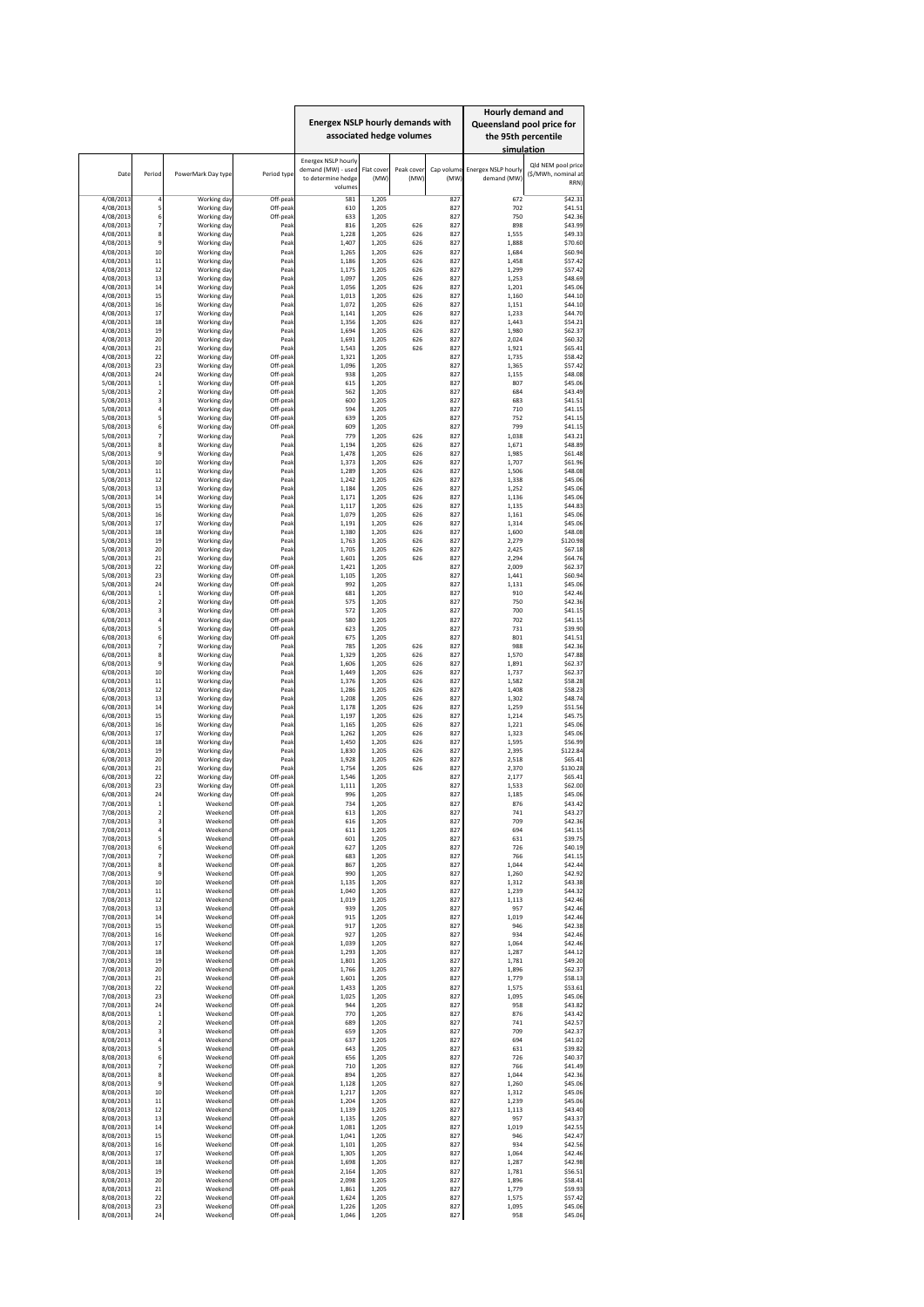|                        |                               |                            |                      |                                                                     |                |            | Hourly demand and<br>Queensland pool price for |                     |                             |
|------------------------|-------------------------------|----------------------------|----------------------|---------------------------------------------------------------------|----------------|------------|------------------------------------------------|---------------------|-----------------------------|
|                        |                               |                            |                      | <b>Energex NSLP hourly demands with</b><br>associated hedge volumes |                |            | the 95th percentile                            |                     |                             |
|                        |                               |                            |                      |                                                                     |                |            |                                                | simulation          |                             |
|                        |                               |                            |                      | Energex NSLP hourly<br>demand (MW) - used                           | Flat cover     | Peak cover | Cap volume                                     | Energex NSLP hourly | Qld NEM pool price          |
| Date                   | Period                        | PowerMark Day type         | Period type          | to determine hedge                                                  | (MW)           | (MW)       | (MW                                            | demand (MW)         | (\$/MWh, nominal at<br>RRN) |
| 4/08/2013              | 4                             | Working day                | Off-peal             | volumes<br>581                                                      | 1,205          |            | 827                                            | 672                 | \$42.31                     |
| 4/08/2013              | 5                             | Working day                | Off-peal             | 610                                                                 | 1,205          |            | 827                                            | 702                 | \$41.51                     |
| 4/08/2013<br>4/08/2013 | 6<br>7                        | Working day<br>Working day | Off-peal<br>Peal     | 633<br>816                                                          | 1.205<br>1,205 | 626        | 827<br>827                                     | 750<br>898          | \$42.36<br>\$43.99          |
| 4/08/2013              | 8                             | Working day                | Peal                 | 1,228                                                               | 1,205          | 626        | 827                                            | 1,555               | \$49.33                     |
| 4/08/2013<br>4/08/2013 | g<br>10                       | Working day<br>Working day | Peal<br>Peal         | 1,407<br>1.265                                                      | 1,205<br>1.205 | 626<br>626 | 827<br>827                                     | 1,888<br>1.684      | \$70.60<br>\$60.94          |
| 4/08/2013              | 11                            | Working day                | Pea                  | 1,186                                                               | 1,205          | 626        | 827                                            | 1,458               | \$57.42                     |
| 4/08/2013<br>4/08/2013 | 12<br>13                      | Working day<br>Working day | Pea<br>Peal          | 1,175<br>1,097                                                      | 1,205<br>1,205 | 626<br>626 | 827<br>827                                     | 1,299<br>1,253      | \$57.42<br>\$48.69          |
| 4/08/2013              | 14                            | Working day                | Peal                 | 1,056                                                               | 1.205          | 626        | 827                                            | 1.201               | \$45.06                     |
| 4/08/2013<br>4/08/2013 | 15<br>16                      | Working day<br>Working day | Peal<br>Peak         | 1,013<br>1,072                                                      | 1,205<br>1,205 | 626<br>626 | 827<br>827                                     | 1,160<br>1,151      | \$44.10<br>\$44.10          |
| 4/08/2013              | 17                            | Working day                | Peal                 | 1,141                                                               | 1,205          | 626        | 827                                            | 1,233               | \$44.70                     |
| 4/08/2013<br>4/08/2013 | 18<br>19                      | Working day<br>Working day | Peal<br>Peal         | 1,356<br>1,694                                                      | 1,205<br>1.205 | 626<br>626 | 827<br>827                                     | 1,443<br>1.980      | \$54.21<br>\$62.37          |
| 4/08/2013              | 20                            | Working day                | Peal                 | 1,691                                                               | 1,205          | 626        | 827                                            | 2,024               | \$60.32                     |
| 4/08/2013<br>4/08/2013 | 21<br>22                      | Working day<br>Working day | Peal<br>Off-peal     | 1,543<br>1,321                                                      | 1,205<br>1,205 | 626        | 827<br>827                                     | 1,921<br>1,735      | \$65.41<br>\$58.42          |
| 4/08/2013              | 23                            | Working day                | Off-peal             | 1,096                                                               | 1.205          |            | 827                                            | 1.365               | \$57.42                     |
| 4/08/2013<br>5/08/2013 | 24<br>$\mathbf{1}$            | Working day<br>Working day | Off-peal<br>Off-peal | 938<br>615                                                          | 1,205<br>1,205 |            | 827<br>827                                     | 1,155<br>807        | \$48.08<br>\$45.06          |
| 5/08/2013              | $\overline{\mathbf{c}}$       | Working day                | Off-peal             | 562                                                                 | 1,205          |            | 827                                            | 684                 | \$43.49                     |
| 5/08/2013<br>5/08/2013 | 3<br>4                        | Working day<br>Working day | Off-peal<br>Off-peal | 600<br>594                                                          | 1.205<br>1,205 |            | 827<br>827                                     | 683<br>710          | \$41.53<br>\$41.15          |
| 5/08/2013              | 5                             | Working day                | Off-peal             | 639                                                                 | 1,205          |            | 827                                            | 752                 | \$41.1                      |
| 5/08/2013<br>5/08/2013 | 6<br>$\overline{7}$           | Working day<br>Working day | Off-peal<br>Peal     | 609<br>779                                                          | 1,205<br>1.205 | 626        | 827<br>827                                     | 799<br>1.038        | \$41.15<br>\$43.21          |
| 5/08/2013              | 8                             | Working day                | Peal                 | 1,194                                                               | 1,205          | 626        | 827                                            | 1,671               | \$48.89                     |
| 5/08/2013<br>5/08/2013 | 9<br>10                       | Working day<br>Working day | Peal<br>Peal         | 1,478<br>1,373                                                      | 1,205<br>1,205 | 626<br>626 | 827<br>827                                     | 1,985<br>1,707      | \$61.48<br>\$61.96          |
| 5/08/2013              | 11                            | Working day                | Peal                 | 1,289                                                               | 1.205          | 626        | 827                                            | 1,506               | \$48.08                     |
| 5/08/2013<br>5/08/2013 | 12<br>13                      | Working day<br>Working day | Peal<br>Pea          | 1,242<br>1,184                                                      | 1,205<br>1,205 | 626<br>626 | 827<br>827                                     | 1,338<br>1,252      | \$45.06<br>\$45.06          |
| 5/08/2013              | 14                            | Working day                | Peal                 | 1,171                                                               | 1,205          | 626        | 827                                            | 1,136               | \$45.06                     |
| 5/08/2013<br>5/08/2013 | 15<br>16                      | Working day<br>Working day | Peal<br>Peal         | 1,117<br>1.079                                                      | 1,205<br>1.205 | 626<br>626 | 827<br>827                                     | 1,135<br>1.161      | \$44.8<br>\$45.06           |
| 5/08/2013              | 17                            | Working day                | Peal                 | 1,191                                                               | 1,205          | 626        | 827                                            | 1,314               | \$45.06                     |
| 5/08/2013<br>5/08/2013 | 18<br>19                      | Working day<br>Working day | Peal<br>Peal         | 1,380<br>1,763                                                      | 1,205<br>1,205 | 626<br>626 | 827<br>827                                     | 1,600<br>2,279      | \$48.08<br>\$120.98         |
| 5/08/2013              | 20                            | Working day                | Peal                 | 1,705                                                               | 1.205          | 626        | 827                                            | 2.425               | \$67.18                     |
| 5/08/2013<br>5/08/2013 | 21<br>22                      | Working day<br>Working day | Peal<br>Off-peal     | 1,601<br>1,421                                                      | 1,205<br>1,205 | 626        | 827<br>827                                     | 2,294<br>2,009      | \$64.76<br>\$62.37          |
| 5/08/2013              | 23                            | Working day                | Off-peal             | 1,105                                                               | 1,205          |            | 827                                            | 1,441               | \$60.94                     |
| 5/08/2013<br>6/08/2013 | 24<br>$\mathbf{1}$            | Working day<br>Working day | Off-peal<br>Off-peal | 992<br>681                                                          | 1.205<br>1,205 |            | 827<br>827                                     | 1.131<br>910        | \$45.06<br>\$42.46          |
| 6/08/2013              | $\overline{\mathbf{c}}$       | Working day                | Off-peal             | 575                                                                 | 1,205          |            | 827                                            | 750                 | \$42.36                     |
| 6/08/2013<br>6/08/2013 | 3<br>4                        | Working day<br>Working day | Off-peal<br>Off-peal | 572<br>580                                                          | 1,205<br>1.205 |            | 827<br>827                                     | 700<br>702          | \$41.15<br>\$41.15          |
| 6/08/2013              | 5                             | Working day                | Off-peal             | 623                                                                 | 1,205          |            | 827                                            | 731                 | \$39.90                     |
| 6/08/2013<br>6/08/2013 | 6<br>$\overline{\phantom{a}}$ | Working day<br>Working day | Off-peal<br>Peal     | 675<br>785                                                          | 1,205<br>1,205 | 626        | 827<br>827                                     | 801<br>988          | \$41.51<br>\$42.36          |
| 6/08/2013              | 8                             | Working day                | Peal                 | 1.329                                                               | 1.205          | 626        | 827                                            | 1.570               | \$47.88                     |
| 6/08/2013<br>6/08/2013 | g<br>10                       | Working day<br>Working day | Peal<br>Peal         | 1,606<br>1,449                                                      | 1,205<br>1,205 | 626<br>626 | 827<br>827                                     | 1,891<br>1,737      | \$62.37<br>\$62.37          |
| 6/08/2013              | 11                            | Working day                | Peal                 | 1,376                                                               | 1,205          | 626        | 827                                            | 1,582               | \$58.28                     |
| 6/08/2013<br>6/08/2013 | 12<br>13                      | Working day<br>Working day | Peal<br>Peal         | 1.286<br>1.208                                                      | 1.205<br>1.205 | 626<br>626 | 827<br>827                                     | 1.408<br>1.302      | \$58.23<br>\$48.74          |
| 6/08/2013              | 14                            | Working day                | Pea                  | 1,178                                                               | 1,205          | 626        | 827                                            | 1,259               | \$51.56                     |
| 6/08/2013<br>6/08/2013 | 15<br>16                      | Working day<br>Working day | Pea<br>Peal          | 1,197<br>1,165                                                      | 1,205<br>1,205 | 626<br>626 | 827<br>827                                     | 1,214<br>1,221      | \$45.7<br>\$45.06           |
| 6/08/2013              | 17                            | Working day                | Peal                 | 1,262                                                               | 1.205          | 626        | 827                                            | 1,323               | \$45.06                     |
| 6/08/2013<br>6/08/2013 | 18<br>19                      | Working day<br>Working day | Peal<br>Peal         | 1,450<br>1,830                                                      | 1,205<br>1,205 | 626<br>626 | 827<br>827                                     | 1,595<br>2,395      | \$56.99<br>\$122.84         |
| 6/08/2013              | 20                            | Working day                | Peal                 | 1,928                                                               | 1,205          | 626        | 827                                            | 2,518               | \$65.41                     |
| 6/08/2013<br>6/08/2013 | 21<br>$_{22}$                 | Working day<br>Working day | Peal<br>Off-peal     | 1,754<br>1,546                                                      | 1.205<br>1,205 | 626        | 827<br>827                                     | 2,370<br>2,177      | \$130.28<br>\$65.41         |
| 6/08/2013              | 23                            | Working day                | Off-peal             | 1,111                                                               | 1,205          |            | 827                                            | 1,533               | \$62.00                     |
| 6/08/2013<br>7/08/2013 | 24                            | Working day<br>Weekend     | Off-peak<br>Off-peal | 996<br>734                                                          | 1,205<br>1.205 |            | 827<br>827                                     | 1,185<br>876        | \$45.06<br>\$43.42          |
| 7/08/2013              | $\overline{\mathbf{c}}$       | Weekend                    | Off-peal             | 613                                                                 | 1,205          |            | 827                                            | 741                 | \$43.27                     |
| 7/08/2013<br>7/08/2013 | 3<br>4                        | Weekend<br>Weekend         | Off-peak<br>Off-peal | 616<br>611                                                          | 1,205<br>1,205 |            | 827<br>827                                     | 709<br>694          | \$42.36<br>\$41.15          |
| 7/08/2013              | 5                             | Weekend                    | Off-peal             | 601                                                                 | 1.205          |            | 827                                            | 631                 | \$39.75                     |
| 7/08/2013<br>7/08/2013 | 6<br>7                        | Weekend<br>Weekend         | Off-peal<br>Off-peal | 627<br>683                                                          | 1,205<br>1,205 |            | 827<br>827                                     | 726<br>766          | \$40.19<br>\$41.15          |
| 7/08/2013              | 8                             | Weekend                    | Off-peak             | 867                                                                 | 1,205          |            | 827                                            | 1,044               | \$42.44                     |
| 7/08/2013<br>7/08/2013 | 9<br>10                       | Weekend<br>Weekend         | Off-peal<br>Off-peak | 990<br>1,135                                                        | 1,205<br>1,205 |            | 827<br>827                                     | 1,260<br>1,312      | \$42.92<br>\$43.38          |
| 7/08/2013              | 11                            | Weekend                    | Off-peak             | 1,040                                                               | 1,205          |            | 827                                            | 1,239               | \$44.32                     |
| 7/08/2013<br>7/08/2013 | 12<br>13                      | Weekend<br>Weekend         | Off-peak<br>Off-peal | 1,019<br>939                                                        | 1,205<br>1,205 |            | 827<br>827                                     | 1,113<br>957        | \$42.46<br>\$42.46          |
| 7/08/2013              | 14                            | Weekend                    | Off-peak             | 915                                                                 | 1.205          |            | 827                                            | 1,019               | \$42.46                     |
| 7/08/2013<br>7/08/2013 | 15<br>16                      | Weekend<br>Weekend         | Off-peal<br>Off-peal | 917<br>927                                                          | 1,205<br>1,205 |            | 827<br>827                                     | 946<br>934          | \$42.38<br>\$42.46          |
| 7/08/2013              | 17                            | Weekend                    | Off-peal             | 1,039                                                               | 1,205          |            | 827                                            | 1,064               | \$42.46                     |
| 7/08/2013<br>7/08/2013 | 18<br>19                      | Weekend<br>Weekend         | Off-peal<br>Off-peal | 1,293<br>1,801                                                      | 1.205<br>1,205 |            | 827<br>827                                     | 1,287<br>1,781      | \$44.12<br>\$49.20          |
| 7/08/2013              | 20                            | Weekend                    | Off-peal             | 1,766                                                               | 1,205          |            | 827                                            | 1,896               | \$62.37                     |
| 7/08/2013<br>7/08/2013 | 21<br>22                      | Weekend<br>Weekend         | Off-peal<br>Off-peal | 1,601<br>1.433                                                      | 1,205<br>1.205 |            | 827<br>827                                     | 1,779<br>1,575      | \$58.13<br>\$53.61          |
| 7/08/2013              | 23                            | Weekend                    | Off-peal             | 1,025                                                               | 1,205          |            | 827                                            | 1,095               | \$45.06                     |
| 7/08/2013<br>8/08/2013 | 24<br>$\mathbf{1}$            | Weekend<br>Weekend         | Off-peal<br>Off-peal | 944<br>770                                                          | 1,205<br>1,205 |            | 827<br>827                                     | 958<br>876          | \$43.82<br>\$43.42          |
| 8/08/2013              | $\overline{\mathbf{c}}$       | Weekend                    | Off-peal             | 689                                                                 | 1,205          |            | 827                                            | 741                 | \$42.57                     |
| 8/08/2013<br>8/08/2013 | 3<br>4                        | Weekend<br>Weekend         | Off-peal<br>Off-peal | 659<br>637                                                          | 1,205<br>1,205 |            | 827<br>827                                     | 709<br>694          | \$42.37<br>\$41.02          |
| 8/08/2013              | 5                             | Weekend                    | Off-peal             | 643                                                                 | 1,205          |            | 827                                            | 631                 | \$39.82                     |
| 8/08/2013<br>8/08/2013 | 6<br>$\overline{\phantom{a}}$ | Weekend<br>Weekend         | Off-peal<br>Off-peal | 656<br>710                                                          | 1.205<br>1,205 |            | 827<br>827                                     | 726<br>766          | \$40.37<br>\$41.49          |
| 8/08/2013              | 8                             | Weekend                    | Off-peal             | 894                                                                 | 1,205          |            | 827                                            | 1,044               | \$42.36                     |
| 8/08/2013<br>8/08/2013 | 9<br>10                       | Weekend<br>Weekend         | Off-peal<br>Off-peal | 1,128<br>1,217                                                      | 1,205<br>1,205 |            | 827<br>827                                     | 1,260<br>1,312      | \$45.06<br>\$45.06          |
| 8/08/2013              | 11                            | Weekend                    | Off-peal             | 1,204                                                               | 1.205          |            | 827                                            | 1,239               | \$45.06                     |
| 8/08/2013<br>8/08/2013 | 12<br>13                      | Weekend<br>Weekend         | Off-peal<br>Off-peal | 1,139<br>1,135                                                      | 1,205<br>1,205 |            | 827<br>827                                     | 1,113<br>957        | \$43.40<br>\$43.37          |
| 8/08/2013              | 14                            | Weekend                    | Off-peal             | 1,081                                                               | 1,205          |            | 827                                            | 1,019               | \$42.55                     |
| 8/08/2013<br>8/08/2013 | 15<br>16                      | Weekend<br>Weekend         | Off-peal<br>Off-peal | 1.041<br>1,101                                                      | 1.205<br>1,205 |            | 827<br>827                                     | 946<br>934          | \$42.47<br>\$42.56          |
| 8/08/2013              | 17                            | Weekend                    | Off-peal             | 1,305                                                               | 1,205          |            | 827                                            | 1,064               | \$42.46                     |
| 8/08/2013<br>8/08/2013 | 18<br>19                      | Weekend<br>Weekend         | Off-peal<br>Off-peal | 1,698<br>2,164                                                      | 1,205<br>1,205 |            | 827<br>827                                     | 1,287<br>1,781      | \$42.98<br>\$56.51          |
| 8/08/2013              | 20                            | Weekend                    | Off-peak             | 2,098                                                               | 1,205          |            | 827                                            | 1,896               | \$58.41                     |
| 8/08/2013<br>8/08/2013 | 21<br>22                      | Weekend<br>Weekend         | Off-peak<br>Off-peak | 1,861<br>1,624                                                      | 1,205<br>1,205 |            | 827<br>827                                     | 1,779<br>1,575      | \$59.93<br>\$57.42          |
| 8/08/2013              | 23                            | Weekend                    | Off-peak             | 1,226                                                               | 1.205          |            | 827                                            | 1,095               | \$45.06                     |
| 8/08/2013              | 24                            | Weekend                    | Off-peak             | 1,046                                                               | 1,205          |            | 827                                            | 958                 | \$45.06                     |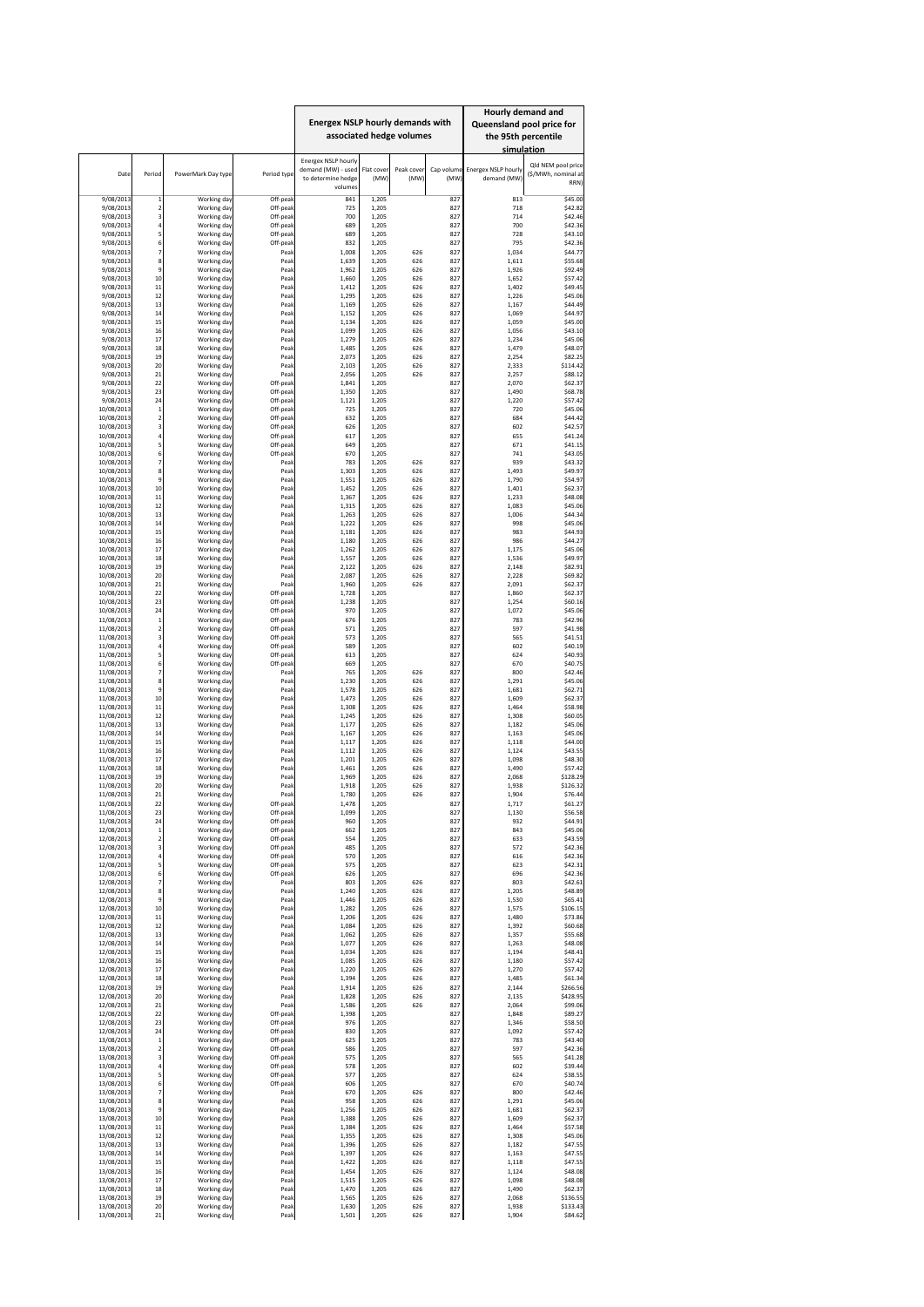|                          |                                |                            |                      |                                          |                    |                          |                    | Hourly demand and<br>Queensland pool price for |                             |  |  |
|--------------------------|--------------------------------|----------------------------|----------------------|------------------------------------------|--------------------|--------------------------|--------------------|------------------------------------------------|-----------------------------|--|--|
|                          |                                |                            |                      | <b>Energex NSLP hourly demands with</b>  |                    | associated hedge volumes |                    | the 95th percentile                            |                             |  |  |
|                          |                                |                            |                      |                                          |                    |                          |                    | simulation                                     |                             |  |  |
|                          |                                |                            |                      | Energex NSLP hourly                      |                    |                          |                    |                                                | Qld NEM pool price          |  |  |
| Date                     | Period                         | PowerMark Day type         | Period type          | demand (MW) - used<br>to determine hedge | Flat cover<br>(MW) | Peak cover<br>(MW)       | Cap volume<br>(MW) | Energex NSLP hourly<br>demand (MW)             | (\$/MWh, nominal at<br>RRN) |  |  |
|                          |                                |                            |                      | volume:                                  |                    |                          |                    |                                                |                             |  |  |
| 9/08/2013<br>9/08/2013   | $\overline{a}$                 | Working day<br>Working day | Off-peal<br>Off-peal | 841<br>725                               | 1,205<br>1,205     |                          | 827<br>827         | 813<br>718                                     | \$45.00<br>\$42.82          |  |  |
| 9/08/2013<br>9/08/2013   | 3<br>4                         | Working day<br>Working day | Off-peal<br>Off-peak | 700<br>689                               | 1,205<br>1,205     |                          | 827<br>827         | 714<br>700                                     | \$42.46<br>\$42.36          |  |  |
| 9/08/2013                | 5                              | Working day                | Off-peal             | 689                                      | 1,205              |                          | 827                | 728                                            | \$43.10                     |  |  |
| 9/08/2013<br>9/08/2013   | 6<br>7                         | Working day<br>Working day | Off-peak<br>Peal     | 832<br>1,008                             | 1.205<br>1,205     | 626                      | 827<br>827         | 795<br>1,034                                   | \$42.36<br>\$44.77          |  |  |
| 9/08/2013                | 8                              | Working day                | Peal                 | 1,639                                    | 1,205              | 626                      | 827<br>827         | 1,611                                          | \$55.68                     |  |  |
| 9/08/2013<br>9/08/2013   | 9<br>10                        | Working day<br>Working day | Peal<br>Peak         | 1,962<br>1.660                           | 1,205<br>1.205     | 626<br>626               | 827                | 1,926<br>1,652                                 | \$92.49<br>\$57.42          |  |  |
| 9/08/2013<br>9/08/2013   | $\overline{11}$<br>12          | Working day<br>Working day | Peak<br>Peak         | 1,412<br>1,295                           | 1,205<br>1,205     | 626<br>626               | 827<br>827         | 1,402<br>1,226                                 | \$49.45<br>\$45.06          |  |  |
| 9/08/2013                | 13                             | Working day                | Peak                 | 1,169                                    | 1,205              | 626                      | 827                | 1,167                                          | \$44.49                     |  |  |
| 9/08/2013<br>9/08/2013   | 14<br>15                       | Working day<br>Working day | Peak<br>Peal         | 1,152<br>1.134                           | 1,205<br>1.205     | 626<br>626               | 827<br>827         | 1,069<br>1.059                                 | \$44.97<br>\$45.00          |  |  |
| 9/08/2013<br>9/08/2013   | 16<br>17                       | Working day<br>Working day | Peal<br>Peal         | 1,099<br>1,279                           | 1,205<br>1,205     | 626<br>626               | 827<br>827         | 1,056<br>1,234                                 | \$43.10<br>\$45.06          |  |  |
| 9/08/2013                | 18                             | Working day                | Peal                 | 1,485                                    | 1,205              | 626                      | 827                | 1,479                                          | \$48.07                     |  |  |
| 9/08/2013<br>9/08/2013   | 19<br>20                       | Working day<br>Working day | Peal<br>Peal         | 2.073<br>2,103                           | 1.205<br>1,205     | 626<br>626               | 827<br>827         | 2.254<br>2,333                                 | \$82.25<br>\$114.42         |  |  |
| 9/08/2013                | $\overline{21}$<br>22          | Working day                | Peak                 | 2,056                                    | 1,205              | 626                      | 827<br>827         | 2,257                                          | \$88.12<br>\$62.37          |  |  |
| 9/08/2013<br>9/08/2013   | 23                             | Working day<br>Working day | Off-peal<br>Off-peal | 1,841<br>1.350                           | 1,205<br>1.205     |                          | 827                | 2,070<br>1.490                                 | \$68.78                     |  |  |
| 9/08/2013<br>10/08/2013  | 24                             | Working day<br>Working day | Off-peal<br>Off-peal | 1,121<br>725                             | 1,205<br>1,205     |                          | 827<br>827         | 1,220<br>720                                   | \$57.42<br>\$45.06          |  |  |
| 10/08/2013<br>10/08/2013 | $\overline{\mathbf{c}}$        | Working day                | Off-peak             | 632                                      | 1,205              |                          | 827                | 684                                            | \$44.42                     |  |  |
| 10/08/2013               | 3<br>4                         | Working day<br>Working day | Off-peak<br>Off-peak | 626<br>617                               | 1.205<br>1,205     |                          | 827<br>827         | 602<br>655                                     | \$42.57<br>\$41.24          |  |  |
| 10/08/2013<br>10/08/2013 | 5<br>6                         | Working day<br>Working day | Off-peak<br>Off-peak | 649<br>670                               | 1,205<br>1,205     |                          | 827<br>827         | 671<br>741                                     | \$41.15<br>\$43.05          |  |  |
| 10/08/2013               | $\overline{7}$                 | Working day                | Peal                 | 783                                      | 1.205              | 626                      | 827                | 939                                            | \$43.32                     |  |  |
| 10/08/2013<br>10/08/2013 | $\bf8$<br>9                    | Working day<br>Working day | Peal<br>Peal         | 1,303<br>1,551                           | 1,205<br>1,205     | 626<br>626               | 827<br>827         | 1,493<br>1,790                                 | \$49.97<br>\$54.97          |  |  |
| 10/08/2013               | 10                             | Working day                | Peal                 | 1,452                                    | 1,205              | 626                      | 827                | 1,401                                          | \$62.37                     |  |  |
| 10/08/2013<br>10/08/2013 | 11<br>12                       | Working day<br>Working day | Peal<br>Peak         | 1,367<br>1.315                           | 1,205<br>1.205     | 626<br>626               | 827<br>827         | 1,233<br>1.083                                 | \$48.08<br>\$45.06          |  |  |
| 10/08/2013<br>10/08/2013 | 13<br>14                       | Working day<br>Working day | Peal<br>Peal         | 1,263<br>1,222                           | 1,205<br>1,205     | 626<br>626               | 827<br>827         | 1,006<br>998                                   | \$44.34<br>\$45.06          |  |  |
| 10/08/2013               | 15                             | Working day                | Peak                 | 1,181                                    | 1,205              | 626                      | 827                | 983                                            | \$44.93                     |  |  |
| 10/08/2013<br>10/08/2013 | 16<br>17                       | Working day<br>Working day | Peak<br>Peal         | 1.180<br>1,262                           | 1.205<br>1,205     | 626<br>626               | 827<br>827         | 986<br>1,175                                   | \$44.27<br>\$45.06          |  |  |
| 10/08/2013<br>10/08/2013 | 18<br>19                       | Working day                | Peal<br>Peal         | 1,557<br>2,122                           | 1,205<br>1,205     | 626<br>626               | 827<br>827         | 1,536                                          | \$49.97<br>\$82.91          |  |  |
| 10/08/2013               | 20                             | Working day<br>Working day | Peak                 | 2.087                                    | 1.205              | 626                      | 827                | 2,148<br>2.228                                 | \$69.82                     |  |  |
| 10/08/2013<br>10/08/2013 | $\overline{21}$<br>22          | Working day<br>Working day | Peak<br>Off-peak     | 1,960<br>1,728                           | 1,205<br>1,205     | 626                      | 827<br>827         | 2,091<br>1,860                                 | \$62.37<br>\$62.37          |  |  |
| 10/08/2013               | 23                             | Working day                | Off-peak             | 1,238                                    | 1,205              |                          | 827                | 1,254                                          | \$60.16                     |  |  |
| 10/08/2013<br>11/08/2013 | 24<br>$\mathbf{1}$             | Working day<br>Working day | Off-peak<br>Off-peal | 970<br>676                               | 1.205<br>1,205     |                          | 827<br>827         | 1.072<br>783                                   | \$45.06<br>\$42.96          |  |  |
| 11/08/2013<br>11/08/2013 | $\overline{\mathbf{z}}$<br>з   | Working day<br>Working day | Off-peal<br>Off-peal | 571<br>573                               | 1,205<br>1,205     |                          | 827<br>827         | 597<br>565                                     | \$41.98<br>\$41.51          |  |  |
| 11/08/2013               | 4                              | Working day                | Off-peal             | 589                                      | 1.205              |                          | 827                | 602                                            | \$40.19                     |  |  |
| 11/08/2013<br>11/08/2013 | 5<br>6                         | Working day<br>Working day | Off-peak<br>Off-peak | 613<br>669                               | 1,205<br>1,205     |                          | 827<br>827         | 624<br>670                                     | \$40.93<br>\$40.75          |  |  |
| 11/08/2013<br>11/08/2013 | 7<br>8                         | Working day<br>Working day | Peak<br>Peak         | 765<br>1.230                             | 1,205<br>1.205     | 626<br>626               | 827<br>827         | 800<br>1.291                                   | \$42.46<br>\$45.06          |  |  |
| 11/08/2013               | 9                              | Working day                | Peal                 | 1,578                                    | 1,205              | 626                      | 827                | 1,681                                          | \$62.71                     |  |  |
| 11/08/2013<br>11/08/2013 | 10<br>11                       | Working day<br>Working day | Peal<br>Peal         | 1,473<br>1,308                           | 1,205<br>1,205     | 626<br>626               | 827<br>827         | 1,609<br>1,464                                 | \$62.37<br>\$58.98          |  |  |
| 11/08/2013               | 12                             | Working day                | Peal                 | 1,245                                    | 1,205              | 626                      | 827                | 1,308                                          | \$60.05                     |  |  |
| 11/08/2013<br>11/08/2013 | 13<br>14                       | Working day<br>Working day | Peak<br>Peak         | 1,177<br>1,167                           | 1.205<br>1,205     | 626<br>626               | 827<br>827         | 1,182<br>1,163                                 | \$45.06<br>\$45.06          |  |  |
| 11/08/2013<br>11/08/2013 | 15<br>16                       | Working day<br>Working day | Peak<br>Peak         | 1,117<br>1,112                           | 1,205<br>1,205     | 626<br>626               | 827<br>827         | 1,118<br>1,124                                 | \$44.00<br>\$43.55          |  |  |
| 11/08/2013               | 17                             | Working day                | Peal                 | 1.201                                    | 1.205              | 626                      | 827                | 1,098                                          | \$48.30                     |  |  |
| 11/08/2013<br>11/08/2013 | 18<br>19                       | Working day<br>Working day | Peal<br>Peal         | 1,461<br>1,969                           | 1,205<br>1,205     | 626<br>626               | 827<br>827         | 1,490<br>2,068                                 | \$57.42<br>\$128.29         |  |  |
| 11/08/2013<br>11/08/2013 | 20<br>21                       | Working day<br>Working day | Peak<br>Peak         | 1,918<br>1,780                           | 1,205<br>1.205     | 626<br>626               | 827<br>827         | 1,938<br>1,904                                 | \$126.32<br>\$76.44         |  |  |
| 11/08/2013               | $\overline{2}$                 | Working day                | Off-peal             | 1.478                                    | 1,205              |                          | 827                | 1,717                                          | \$61.2                      |  |  |
| 11/08/2013<br>11/08/2013 | 23<br>24                       | Working day<br>Working day | Off-peak<br>Off-peak | 1,099<br>960                             | 1,205<br>1,205     |                          | 827<br>827         | 1,130<br>932                                   | \$56.58<br>\$44.91          |  |  |
| 12/08/2013               |                                | Working day                | Off-peak             | 662<br>554                               | 1,205              |                          | 827<br>827         | 843                                            | \$45.06                     |  |  |
| 12/08/2013<br>12/08/2013 | 2<br>з                         | Working day<br>Working day | Off-peak<br>Off-peak | 485                                      | 1,205<br>1,205     |                          | 827                | 633<br>572                                     | \$43.59<br>\$42.36          |  |  |
| 12/08/2013<br>12/08/2013 | 4<br>5                         | Working day<br>Working day | Off-peal<br>Off-peak | 570<br>575                               | 1,205<br>1,205     |                          | 827<br>827         | 616<br>623                                     | \$42.36<br>\$42.31          |  |  |
| 12/08/2013               | 6                              | Working day                | Off-peak             | 626                                      | 1,205              |                          | 827                | 696                                            | \$42.36                     |  |  |
| 12/08/2013<br>12/08/2013 | 7<br>$\bf8$                    | Working day<br>Working day | Peak<br>Peak         | 803<br>1,240                             | 1,205<br>1,205     | 626<br>626               | 827<br>827         | 803<br>1,205                                   | \$42.61<br>\$48.89          |  |  |
| 12/08/2013<br>12/08/2013 | 9<br>10                        | Working day                | Peak<br>Peak         | 1,446<br>1,282                           | 1,205<br>1,205     | 626<br>626               | 827<br>827         | 1,530<br>1,575                                 | \$65.41<br>\$106.15         |  |  |
| 12/08/2013               | 11                             | Working day<br>Working day | Peak                 | 1,206                                    | 1,205              | 626                      | 827                | 1,480                                          | \$73.86                     |  |  |
| 12/08/2013<br>12/08/2013 | 12<br>13                       | Working day<br>Working day | Peal<br>Peak         | 1,084<br>1,062                           | 1,205<br>1,205     | 626<br>626               | 827<br>827         | 1,392<br>1,357                                 | \$60.68<br>\$55.68          |  |  |
| 12/08/2013               | 14                             | Working day<br>Working day | Peal                 | 1,077                                    | 1.205              | 626<br>626               | 827<br>827         | 1,263                                          | \$48.08                     |  |  |
| 12/08/2013<br>12/08/2013 | 15<br>16                       | Working day                | Peal<br>Peal         | 1,034<br>1,085                           | 1,205<br>1,205     | 626                      | 827                | 1,194<br>1,180                                 | \$48.41<br>\$57.42          |  |  |
| 12/08/2013<br>12/08/2013 | 17<br>18                       | Working day<br>Working day | Peal<br>Peak         | 1,220<br>1.394                           | 1,205<br>1.205     | 626<br>626               | 827<br>827         | 1,270<br>1,485                                 | \$57.42<br>\$61.34          |  |  |
| 12/08/2013               | 19                             | Working day                | Peak                 | 1,914                                    | 1,205              | 626                      | 827                | 2,144                                          | \$266.56                    |  |  |
| 12/08/2013<br>12/08/2013 | 20<br>21                       | Working day<br>Working day | Peal<br>Peak         | 1,828<br>1,586                           | 1,205<br>1,205     | 626<br>626               | 827<br>827         | 2,135<br>2,064                                 | \$428.95<br>\$99.06         |  |  |
| 12/08/2013<br>12/08/2013 | 22<br>23                       | Working day<br>Working day | Off-peak<br>Off-peak | 1,398<br>976                             | 1,205<br>1,205     |                          | 827<br>827         | 1,848<br>1,346                                 | \$89.27<br>\$58.50          |  |  |
| 12/08/2013               | 24                             | Working day                | Off-peak             | 830                                      | 1,205              |                          | 827                | 1,092                                          | \$57.42                     |  |  |
| 13/08/2013<br>13/08/2013 | $\mathbf{1}$<br>$\overline{2}$ | Working day<br>Working day | Off-peak<br>Off-peak | 625<br>586                               | 1,205<br>1,205     |                          | 827<br>827         | 783<br>597                                     | \$43.40<br>\$42.36          |  |  |
| 13/08/2013               | 3                              | Working day                | Off-peak             | 575                                      | 1,205              |                          | 827                | 565                                            | \$41.28                     |  |  |
| 13/08/2013<br>13/08/2013 | 4<br>5                         | Working day<br>Working day | Off-peak<br>Off-peal | 578<br>577                               | 1,205<br>1,205     |                          | 827<br>827         | 602<br>624                                     | \$39.44<br>\$38.55          |  |  |
| 13/08/2013<br>13/08/2013 | 6<br>7                         | Working day<br>Working day | Off-peak<br>Peak     | 606<br>670                               | 1,205<br>1.205     | 626                      | 827<br>827         | 670<br>800                                     | \$40.74<br>\$42.46          |  |  |
| 13/08/2013               | 8                              | Working day                | Peal                 | 958                                      | 1,205              | 626                      | 827                | 1,291                                          | \$45.06                     |  |  |
| 13/08/2013<br>13/08/2013 | 9<br>10                        | Working day<br>Working day | Peal<br>Peal         | 1,256<br>1,388                           | 1,205<br>1,205     | 626<br>626               | 827<br>827         | 1,681<br>1,609                                 | \$62.37<br>\$62.37          |  |  |
| 13/08/2013<br>13/08/2013 | 11<br>12                       | Working day                | Peak<br>Peak         | 1.384<br>1,355                           | 1.205<br>1,205     | 626<br>626               | 827<br>827         | 1,464<br>1,308                                 | \$57.58<br>\$45.06          |  |  |
| 13/08/2013               | 13                             | Working day<br>Working day | Peak                 | 1,396                                    | 1,205              | 626                      | 827                | 1,182                                          | \$47.55                     |  |  |
| 13/08/2013<br>13/08/2013 | 14<br>15                       | Working day<br>Working day | Peak<br>Peal         | 1,397<br>1,422                           | 1,205<br>1,205     | 626<br>626               | 827<br>827         | 1,163<br>1,118                                 | \$47.55<br>\$47.55          |  |  |
| 13/08/2013               | 16                             | Working day                | Peak                 | 1,454                                    | 1,205              | 626                      | 827                | 1,124                                          | \$48.08                     |  |  |
| 13/08/2013<br>13/08/2013 | 17<br>18                       | Working day<br>Working day | Peak<br>Peak         | 1,515<br>1,470                           | 1,205<br>1,205     | 626<br>626               | 827<br>827         | 1,098<br>1,490                                 | \$48.08<br>\$62.37          |  |  |
| 13/08/2013<br>13/08/2013 | 19<br>20                       | Working day<br>Working day | Peak<br>Peak         | 1,565<br>1,630                           | 1,205<br>1,205     | 626<br>626               | 827<br>827         | 2,068<br>1,938                                 | \$136.55<br>\$133.43        |  |  |
| 13/08/2013               | 21                             | Working day                | Peal                 | 1,501                                    | 1,205              | 626                      | 827                | 1,904                                          | \$84.6                      |  |  |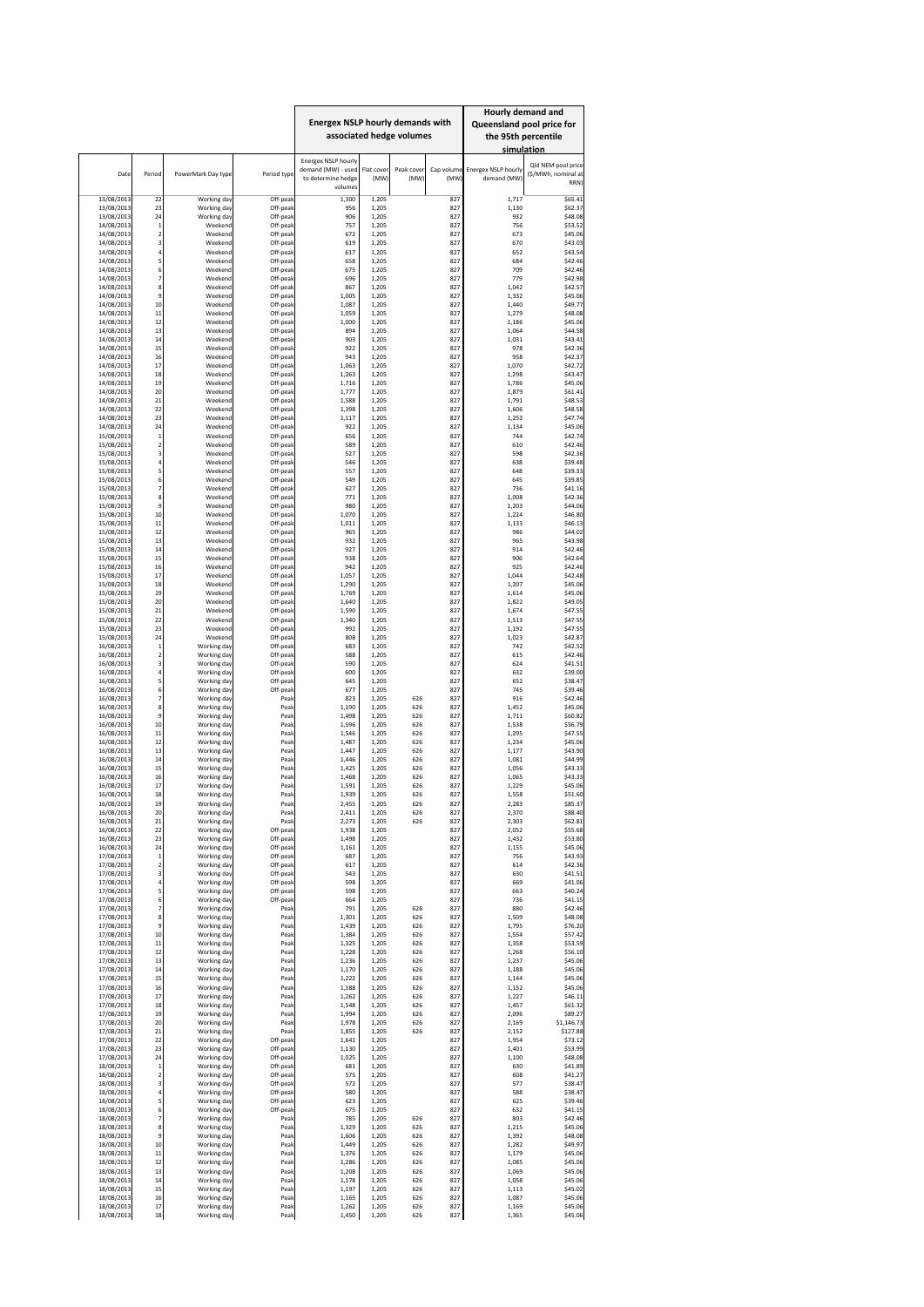|                          |                                         |                            |                      |                                         |                |                          |            | Hourly demand and<br>Queensland pool price for |                                           |  |  |
|--------------------------|-----------------------------------------|----------------------------|----------------------|-----------------------------------------|----------------|--------------------------|------------|------------------------------------------------|-------------------------------------------|--|--|
|                          |                                         |                            |                      | <b>Energex NSLP hourly demands with</b> |                | associated hedge volumes |            |                                                |                                           |  |  |
|                          |                                         |                            |                      |                                         |                |                          |            | the 95th percentile<br>simulation              |                                           |  |  |
|                          |                                         |                            |                      | Energex NSLP hourly                     |                |                          |            |                                                |                                           |  |  |
| Date                     | Period                                  | PowerMark Day type         | Period type          | demand (MW) - used                      | Flat cover     | Peak cover               | Cap volume | Energex NSLP hourly                            | Qld NEM pool price<br>(\$/MWh, nominal at |  |  |
|                          |                                         |                            |                      | to determine hedge<br>volume:           | (MW)           | (MW)                     | (MW        | demand (MW                                     | RRN)                                      |  |  |
| 13/08/2013               | 22                                      | Working day                | Off-peal             | 1,300                                   | 1.205          |                          | 827        | 1,717                                          | \$65.41                                   |  |  |
| 13/08/2013<br>13/08/2013 | 2 <sup>2</sup><br>24                    | Working day<br>Working day | Off-peal<br>Off-peal | 956<br>906                              | 1.205<br>1,205 |                          | 827<br>827 | 1.130<br>932                                   | \$62.37<br>\$48.08                        |  |  |
| 14/08/2013               | $\mathbf{1}$                            | Weekend                    | Off-peak             | 757                                     | 1,205          |                          | 827        | 756                                            | \$53.52                                   |  |  |
| 14/08/2013<br>14/08/2013 | $\overline{\mathbf{z}}$<br>3            | Weekend<br>Weekend         | Off-peak<br>Off-peal | 672<br>619                              | 1,205<br>1.205 |                          | 827<br>827 | 673<br>670                                     | \$45.06<br>\$43.03                        |  |  |
| 14/08/2013               | 4                                       | Weekend                    | Off-peal             | 617                                     | 1,205          |                          | 827        | 652                                            | \$43.54                                   |  |  |
| 14/08/2013<br>14/08/2013 | 5<br>6                                  | Weekend<br>Weekend         | Off-peak<br>Off-peal | 658<br>675                              | 1,205<br>1,205 |                          | 827<br>827 | 684<br>709                                     | \$42.46<br>\$42.46                        |  |  |
| 14/08/2013               | $\overline{7}$                          | Weekend                    | Off-peak             | 696                                     | 1.205          |                          | 827        | 779                                            | \$42.98                                   |  |  |
| 14/08/2013<br>14/08/2013 | 8<br>9                                  | Weekend<br>Weekend         | Off-peak<br>Off-peak | 867<br>1,005                            | 1,205<br>1,205 |                          | 827<br>827 | 1,042<br>1,332                                 | \$42.57<br>\$45.06                        |  |  |
| 14/08/2013               | 10<br>11                                | Weekend                    | Off-peak             | 1,087                                   | 1,205          |                          | 827        | 1,440                                          | \$49.77                                   |  |  |
| 14/08/2013<br>14/08/2013 | 12                                      | Weekend<br>Weekend         | Off-peak<br>Off-peak | 1,059<br>1.000                          | 1,205<br>1.205 |                          | 827<br>827 | 1,279<br>1,186                                 | \$48.08<br>\$45.06                        |  |  |
| 14/08/2013<br>14/08/2013 | 13<br>14                                | Weekend<br>Weekend         | Off-peal<br>Off-peal | 894<br>903                              | 1,205<br>1,205 |                          | 827<br>827 | 1,064<br>1,031                                 | \$44.58<br>\$43.41                        |  |  |
| 14/08/2013               | 15                                      | Weekend                    | Off-peal             | 922                                     | 1,205          |                          | 827        | 978                                            | \$42.36                                   |  |  |
| 14/08/2013<br>14/08/2013 | 16<br>17                                | Weekend<br>Weekend         | Off-peak<br>Off-peak | 943<br>1,063                            | 1.205<br>1,205 |                          | 827<br>827 | 958<br>1,070                                   | \$42.37<br>\$42.72                        |  |  |
| 14/08/2013               | 18                                      | Weekend                    | Off-peak             | 1,263                                   | 1,205          |                          | 827        | 1,298                                          | \$43.47                                   |  |  |
| 14/08/2013<br>14/08/2013 | 19<br>20                                | Weekend<br>Weekend         | Off-peal<br>Off-peak | 1,716<br>1.777                          | 1,205<br>1.205 |                          | 827<br>827 | 1,786<br>1,879                                 | \$45.06<br>\$61.41                        |  |  |
| 14/08/2013               | 21                                      | Weekend                    | Off-peal             | 1,588                                   | 1,205          |                          | 827        | 1,791                                          | \$48.53                                   |  |  |
| 14/08/2013<br>14/08/2013 | 22<br>23                                | Weekend<br>Weekend         | Off-peal<br>Off-peal | 1,398<br>1,117                          | 1,205<br>1,205 |                          | 827<br>827 | 1,606<br>1,253                                 | \$48.58<br>\$47.74                        |  |  |
| 14/08/2013<br>15/08/2013 | 24<br>$\mathbf{1}$                      | Weekend<br>Weekend         | Off-peak<br>Off-peak | 922<br>656                              | 1.205<br>1,205 |                          | 827<br>827 | 1,134<br>744                                   | \$45.06<br>\$42.74                        |  |  |
| 15/08/2013               | $\overline{\mathbf{c}}$                 | Weekend                    | Off-peak             | 589                                     | 1,205          |                          | 827        | 610                                            | \$42.46                                   |  |  |
| 15/08/2013<br>15/08/2013 | 3<br>$\ddot{a}$                         | Weekend<br>Weekend         | Off-peak<br>Off-peak | 527<br>546                              | 1,205<br>1.205 |                          | 827<br>827 | 598<br>638                                     | \$42.36<br>\$39.48                        |  |  |
| 15/08/2013               | 5                                       | Weekend                    | Off-peak             | 557                                     | 1,205          |                          | 827        | 648                                            | \$39.33                                   |  |  |
| 15/08/2013<br>15/08/2013 | 6<br>$\overline{7}$                     | Weekend<br>Weekend         | Off-peal<br>Off-peal | 549<br>627                              | 1,205<br>1,205 |                          | 827<br>827 | 645<br>736                                     | \$39.85<br>\$41.16                        |  |  |
| 15/08/2013               | 8                                       | Weekend                    | Off-peal             | 771                                     | 1,205          |                          | 827        | 1.008                                          | \$42.36                                   |  |  |
| 15/08/2013<br>15/08/2013 | q<br>10                                 | Weekend<br>Weekend         | Off-peal<br>Off-peak | 980<br>1,070                            | 1.205<br>1,205 |                          | 827<br>827 | 1.203<br>1,224                                 | \$44.06<br>\$46.80                        |  |  |
| 15/08/2013               | $^{11}$<br>12                           | Weekend<br>Weekend         | Off-peak<br>Off-peal | 1,011<br>965                            | 1,205<br>1,205 |                          | 827<br>827 | 1,133<br>986                                   | \$46.13<br>\$44.02                        |  |  |
| 15/08/2013<br>15/08/2013 | 13                                      | Weekend                    | Off-peal             | 932                                     | 1.205          |                          | 827        | 965                                            | \$43.98                                   |  |  |
| 15/08/2013<br>15/08/2013 | 14<br>15                                | Weekend<br>Weekend         | Off-peak<br>Off-peak | 927<br>938                              | 1,205<br>1,205 |                          | 827<br>827 | 914<br>906                                     | \$42.46<br>\$42.64                        |  |  |
| 15/08/2013               | 16                                      | Weekend                    | Off-peal             | 942                                     | 1,205          |                          | 827        | 925                                            | \$42.46                                   |  |  |
| 15/08/2013<br>15/08/2013 | 17<br>18                                | Weekend<br>Weekend         | Off-peak<br>Off-peak | 1.057<br>1,290                          | 1.205<br>1,205 |                          | 827<br>827 | 1.044<br>1,207                                 | \$42.48<br>\$45.06                        |  |  |
| 15/08/2013               | 19                                      | Weekend                    | Off-peak             | 1,769                                   | 1,205          |                          | 827        | 1,614                                          | \$45.06                                   |  |  |
| 15/08/2013<br>15/08/2013 | 20<br>21                                | Weekend<br>Weekend         | Off-peak<br>Off-peak | 1,640<br>1.590                          | 1,205<br>1.205 |                          | 827<br>827 | 1,822<br>1,674                                 | \$49.05<br>\$47.55                        |  |  |
| 15/08/2013               | 22                                      | Weekend                    | Off-peal             | 1,340                                   | 1,205          |                          | 827        | 1,513                                          | \$47.55                                   |  |  |
| 15/08/2013<br>15/08/2013 | 23<br>24                                | Weekend<br>Weekend         | Off-peal<br>Off-peal | 992<br>808                              | 1,205<br>1,205 |                          | 827<br>827 | 1,192<br>1,023                                 | \$47.55<br>\$42.87                        |  |  |
| 16/08/2013               | $\mathbf{1}$                            | Working day                | Off-peak             | 683                                     | 1.205          |                          | 827        | 742                                            | \$42.52                                   |  |  |
| 16/08/2013<br>16/08/2013 | $\overline{2}$<br>3                     | Working day<br>Working day | Off-peak<br>Off-peak | 588<br>590                              | 1,205<br>1,205 |                          | 827<br>827 | 615<br>624                                     | \$42.46<br>\$41.51                        |  |  |
| 16/08/2013<br>16/08/2013 | 4<br>s                                  | Working day<br>Working day | Off-peal<br>Off-peak | 600<br>645                              | 1,205<br>1.205 |                          | 827<br>827 | 632<br>652                                     | \$39.00<br>\$38.47                        |  |  |
| 16/08/2013               | 6                                       | Working day                | Off-peal             | 677                                     | 1,205          |                          | 827        | 745                                            | \$39.46                                   |  |  |
| 16/08/2013<br>16/08/2013 | 7<br>8                                  | Working day<br>Working day | Pea<br>Pea           | 823<br>1,190                            | 1,205<br>1,205 | 626<br>626               | 827<br>827 | 916<br>1,452                                   | \$42.46<br>\$45.06                        |  |  |
| 16/08/2013               | -q                                      | Working day                | Peal                 | 1,498                                   | 1,205          | 626                      | 827        | 1,711                                          | \$60.82                                   |  |  |
| 16/08/2013<br>16/08/2013 | 10<br>11                                | Working day<br>Working day | Peal<br>Peak         | 1.596<br>1,546                          | 1.205<br>1,205 | 626<br>626               | 827<br>827 | 1,538<br>1,295                                 | \$56.79<br>\$47.55                        |  |  |
| 16/08/2013               | 12                                      | Working day                | Peak                 | 1,487                                   | 1,205          | 626                      | 827        | 1,234                                          | \$45.06                                   |  |  |
| 16/08/2013<br>16/08/2013 | 13<br>14                                | Working day<br>Working day | Peak<br>Peak         | 1,447<br>1.446                          | 1,205<br>1,205 | 626<br>626               | 827<br>827 | 1,177<br>1,081                                 | \$43.90<br>\$44.99                        |  |  |
| 16/08/2013               | 15                                      | Working day                | Peal                 | 1,425                                   | 1,205          | 626                      | 827        | 1,056                                          | \$43.33                                   |  |  |
| 16/08/2013<br>16/08/2013 | 16<br>17                                | Working day<br>Working day | Peal<br>Peal         | 1,468<br>1,591                          | 1,205<br>1,205 | 626<br>626               | 827<br>827 | 1,065<br>1,229                                 | \$43.33<br>\$45.06                        |  |  |
| 16/08/2013<br>16/08/2013 | 18<br>19                                | Working day<br>Working day | Peak<br>Peal         | 1,939<br>2.455                          | 1.205<br>1,205 | 626<br>626               | 827<br>827 | 1,558<br>2,283                                 | \$51.60<br>\$85.37                        |  |  |
| 16/08/2013               | 20                                      | Working day                | Peak                 | 2,411                                   | 1,205          | 626                      | 827        | 2,370                                          | \$88.40                                   |  |  |
| 16/08/2013<br>16/08/2013 | 21<br>$\overline{2}$                    | Working day<br>Working day | Peak<br>Off-peak     | 2,273<br>1.938                          | 1,205<br>1,205 | 626                      | 827<br>827 | 2,303<br>2.052                                 | \$62.81<br>\$55.68                        |  |  |
| 16/08/2013               | 23                                      | Working day                | Off-peak             | 1,498                                   | 1,205          |                          | 827        | 1,432                                          | \$53.80                                   |  |  |
| 16/08/2013<br>17/08/2013 | 24<br>$\mathbf{1}$                      | Working day<br>Working day | Off-peak<br>Off-peak | 1,161<br>687                            | 1,205<br>1,205 |                          | 827<br>827 | 1,155<br>756                                   | \$45.06<br>\$43.93                        |  |  |
| 17/08/2013               | $\overline{2}$                          | Working day                | Off-peak             | 617                                     | 1,205          |                          | 827        | 614                                            | \$42.36                                   |  |  |
| 17/08/2013<br>17/08/2013 | 3<br>4                                  | Working day<br>Working day | Off-peak<br>Off-peak | 543<br>598                              | 1,205<br>1,205 |                          | 827<br>827 | 630<br>669                                     | \$41.51<br>\$41.06                        |  |  |
| 17/08/2013<br>17/08/2013 | 5<br>6                                  | Working day<br>Working day | Off-peak<br>Off-peak | 598<br>664                              | 1,205<br>1,205 |                          | 827<br>827 | 663<br>736                                     | \$40.24<br>\$41.15                        |  |  |
| 17/08/2013               | $\overline{7}$                          | Working day                | Peak                 | 791                                     | 1,205          | 626                      | 827        | 880                                            | \$42.46                                   |  |  |
| 17/08/2013<br>17/08/2013 | 8<br>9                                  | Working day<br>Working day | Peak<br>Peak         | 1,301<br>1,439                          | 1,205<br>1,205 | 626<br>626               | 827<br>827 | 1,509<br>1,795                                 | \$48.08<br>\$76.20                        |  |  |
| 17/08/2013               | 10                                      | Working day                | Peak                 | 1,384                                   | 1,205          | 626                      | 827        | 1,554                                          | \$57.42                                   |  |  |
| 17/08/2013<br>17/08/2013 | 11<br>12                                | Working day<br>Working day | Peak<br>Peak         | 1,325<br>1,228                          | 1.205<br>1,205 | 626<br>626               | 827<br>827 | 1,358<br>1,268                                 | \$53.59<br>\$56.10                        |  |  |
| 17/08/2013               | 13<br>14                                | Working day                | Peak<br>Peak         | 1,236                                   | 1,205          | 626<br>626               | 827<br>827 | 1,237                                          | \$45.06                                   |  |  |
| 17/08/2013<br>17/08/2013 | 15                                      | Working day<br>Working day | Peak                 | 1,170<br>1.222                          | 1,205<br>1,205 | 626                      | 827        | 1,188<br>1.144                                 | \$45.06<br>\$45.06                        |  |  |
| 17/08/2013<br>17/08/2013 | 16<br>17                                | Working day<br>Working day | Peal<br>Peak         | 1,188<br>1,262                          | 1,205<br>1,205 | 626<br>626               | 827<br>827 | 1,152<br>1,227                                 | \$45.06<br>\$46.11                        |  |  |
| 17/08/2013               | 18                                      | Working day                | Peak                 | 1,548                                   | 1,205          | 626                      | 827        | 1,457                                          | \$61.32                                   |  |  |
| 17/08/2013<br>17/08/2013 | 19<br>20                                | Working day<br>Working day | Peak<br>Peak         | 1,994<br>1,978                          | 1.205<br>1,205 | 626<br>626               | 827<br>827 | 2.096<br>2,169                                 | \$89.27<br>\$1,146.73                     |  |  |
| 17/08/2013               | 21                                      | Working day                | Peak                 | 1,855                                   | 1,205          | 626                      | 827        | 2,152                                          | \$127.88                                  |  |  |
| 17/08/2013<br>17/08/2013 | 22<br>23                                | Working day<br>Working day | Off-peak<br>Off-peak | 1,641<br>1.130                          | 1,205<br>1,205 |                          | 827<br>827 | 1,954<br>1.401                                 | \$73.12<br>\$53.99                        |  |  |
| 17/08/2013               | 24                                      | Working day                | Off-peak             | 1,025                                   | 1,205          |                          | 827        | 1,100                                          | \$48.08                                   |  |  |
| 18/08/2013<br>18/08/2013 | $\mathbf{1}$<br>$\overline{\mathbf{z}}$ | Working day<br>Working day | Off-peak<br>Off-peak | 681<br>575                              | 1,205<br>1,205 |                          | 827<br>827 | 630<br>608                                     | \$41.89<br>\$41.27                        |  |  |
| 18/08/2013<br>18/08/2013 | 3<br>4                                  | Working day<br>Working day | Off-peak<br>Off-peak | 572<br>580                              | 1,205<br>1,205 |                          | 827<br>827 | 577<br>588                                     | \$38.47<br>\$38.47                        |  |  |
| 18/08/2013               | 5                                       | Working day                | Off-peak             | 623                                     | 1,205          |                          | 827        | 625                                            | \$39.46                                   |  |  |
| 18/08/2013<br>18/08/2013 | 6<br>$\overline{7}$                     | Working day<br>Working day | Off-peak<br>Peak     | 675<br>785                              | 1,205<br>1,205 | 626                      | 827<br>827 | 632<br>803                                     | \$41.15<br>\$42.46                        |  |  |
| 18/08/2013               | 8                                       | Working day                | Peak                 | 1,329                                   | 1,205          | 626                      | 827        | 1.215                                          | \$45.06                                   |  |  |
| 18/08/2013<br>18/08/2013 | 9<br>10                                 | Working day<br>Working day | Peal<br>Peak         | 1,606<br>1,449                          | 1,205<br>1,205 | 626<br>626               | 827<br>827 | 1,392<br>1,282                                 | \$48.08<br>\$49.97                        |  |  |
| 18/08/2013               | 11                                      | Working day                | Peak                 | 1,376                                   | 1,205          | 626                      | 827        | 1,179                                          | \$45.06                                   |  |  |
| 18/08/2013<br>18/08/2013 | 12<br>13                                | Working day<br>Working day | Peak<br>Peak         | 1,286<br>1,208                          | 1.205<br>1,205 | 626<br>626               | 827<br>827 | 1,085<br>1,069                                 | \$45.06<br>\$45.06                        |  |  |
| 18/08/2013<br>18/08/2013 | 14<br>15                                | Working day                | Peak<br>Peak         | 1,178<br>1,197                          | 1,205<br>1,205 | 626<br>626               | 827<br>827 | 1,058<br>1,113                                 | \$45.06<br>\$45.02                        |  |  |
| 18/08/2013               | 16                                      | Working day<br>Working day | Peak                 | 1,165                                   | 1,205          | 626                      | 827        | 1,087                                          | \$45.06                                   |  |  |
| 18/08/2013<br>18/08/2013 | 17<br>18                                | Working day<br>Working day | Peak<br>Peak         | 1,262<br>1,450                          | 1,205<br>1,205 | 626<br>626               | 827<br>827 | 1,169<br>1,365                                 | \$45.06<br>\$45.06                        |  |  |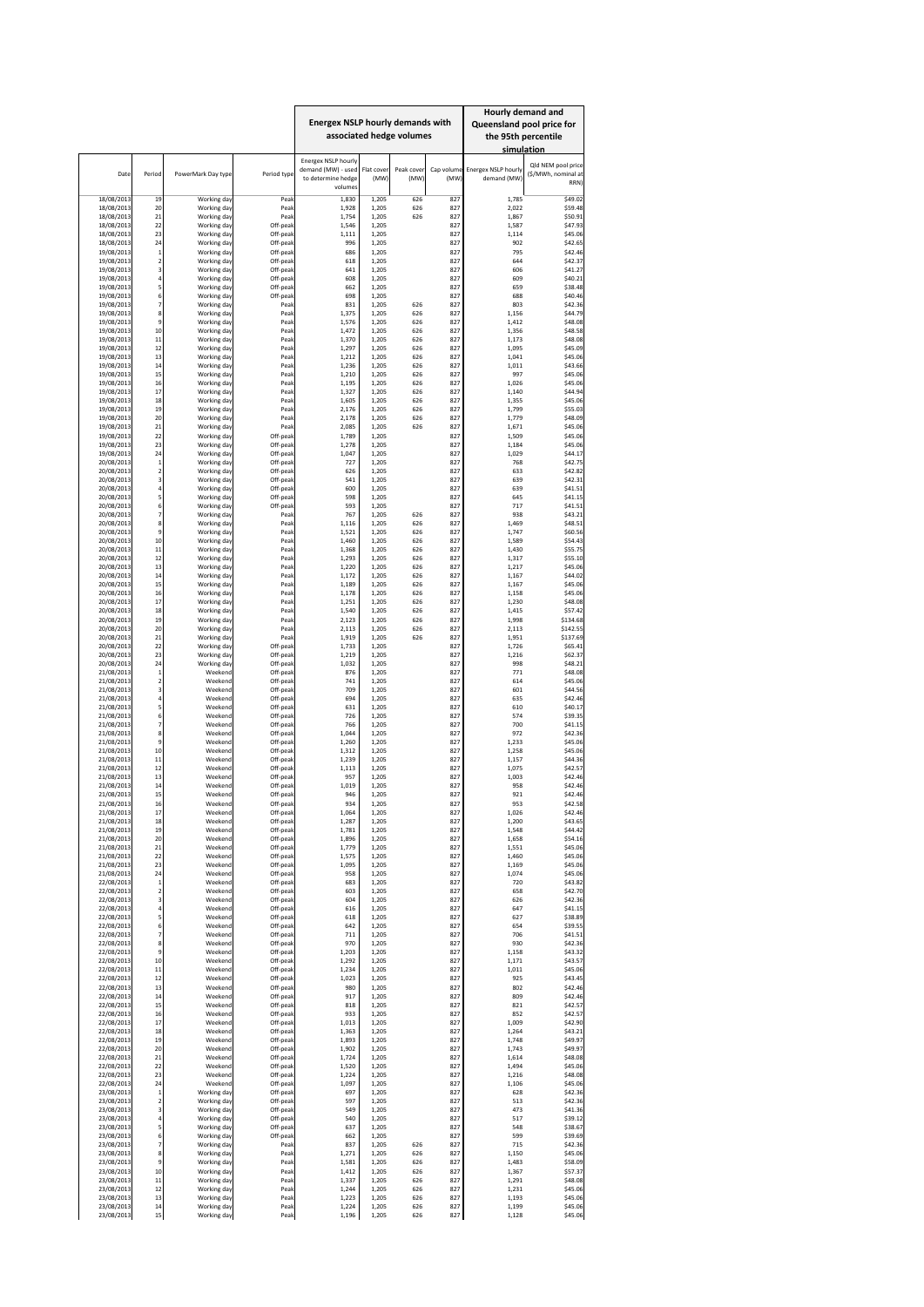|                          |                                         |                            |                      |                                                                     |                    |                    |                    | Hourly demand and<br>Queensland pool price for |                     |  |
|--------------------------|-----------------------------------------|----------------------------|----------------------|---------------------------------------------------------------------|--------------------|--------------------|--------------------|------------------------------------------------|---------------------|--|
|                          |                                         |                            |                      | <b>Energex NSLP hourly demands with</b><br>associated hedge volumes |                    |                    |                    |                                                |                     |  |
|                          |                                         |                            |                      |                                                                     |                    |                    |                    | the 95th percentile<br>simulation              |                     |  |
|                          |                                         |                            |                      | Energex NSLP hourly                                                 |                    |                    |                    |                                                | Qld NEM pool price  |  |
| Date                     | Period                                  | PowerMark Day type         | Period type          | demand (MW) - used<br>to determine hedge                            | Flat cover<br>(MW) | Peak cover<br>(MW) | Cap volume<br>(MW) | Energex NSLP hourly<br>demand (MW)             | (\$/MWh, nominal at |  |
|                          |                                         |                            |                      | volume:                                                             |                    |                    |                    |                                                | RRN)                |  |
| 18/08/2013<br>18/08/2013 | 19<br>20                                | Working day<br>Working day | Peal<br>Peal         | 1,830<br>1.928                                                      | 1.205<br>1,205     | 626<br>626         | 827<br>827         | 1,785<br>2,022                                 | \$49.02<br>\$59.48  |  |
| 18/08/2013               | 21                                      | Working day                | Peak                 | 1,754                                                               | 1,205              | 626                | 827                | 1,867                                          | \$50.91             |  |
| 18/08/2013<br>18/08/2013 | 22<br>23                                | Working day<br>Working day | Off-peak<br>Off-peal | 1,546<br>1,111                                                      | 1,205<br>1,205     |                    | 827<br>827         | 1,587<br>1,114                                 | \$47.93<br>\$45.06  |  |
| 18/08/2013               | 24                                      | Working day                | Off-peal             | 996                                                                 | 1.205              |                    | 827                | 902                                            | \$42.65             |  |
| 19/08/2013<br>19/08/2013 | $\mathbf{1}$<br>$\overline{\mathbf{z}}$ | Working day<br>Working day | Off-peal<br>Off-peal | 686<br>618                                                          | 1,205<br>1,205     |                    | 827<br>827         | 795<br>644                                     | \$42.46<br>\$42.37  |  |
| 19/08/2013<br>19/08/2013 | з<br>4                                  | Working day                | Off-peak             | 641<br>608                                                          | 1,205<br>1.205     |                    | 827<br>827         | 606<br>609                                     | \$41.27<br>\$40.21  |  |
| 19/08/2013               | 5                                       | Working day<br>Working day | Off-peak<br>Off-peak | 662                                                                 | 1,205              |                    | 827                | 659                                            | \$38.48             |  |
| 19/08/2013<br>19/08/2013 | 6                                       | Working day                | Off-peak             | 698                                                                 | 1,205              |                    | 827                | 688                                            | \$40.46             |  |
| 19/08/2013               | $\overline{\phantom{a}}$<br>8           | Working day<br>Working day | Peak<br>Peak         | 831<br>1,375                                                        | 1,205<br>1,205     | 626<br>626         | 827<br>827         | 803<br>1,156                                   | \$42.36<br>\$44.79  |  |
| 19/08/2013<br>19/08/2013 | 9<br>10                                 | Working day<br>Working day | Peal<br>Peal         | 1,576<br>1,472                                                      | 1.205<br>1,205     | 626<br>626         | 827<br>827         | 1.412<br>1,356                                 | \$48.08<br>\$48.58  |  |
| 19/08/2013               | 11                                      | Working day                | Peal                 | 1,370                                                               | 1,205              | 626                | 827                | 1,173                                          | \$48.08             |  |
| 19/08/2013<br>19/08/2013 | 12<br>13                                | Working day<br>Working day | Peal<br>Peal         | 1,297<br>1.212                                                      | 1,205<br>1.205     | 626<br>626         | 827<br>827         | 1,095<br>1,041                                 | \$45.09<br>\$45.06  |  |
| 19/08/2013               | 14                                      | Working day                | Peal                 | 1,236                                                               | 1,205              | 626                | 827                | 1,011                                          | \$43.66             |  |
| 19/08/2013<br>19/08/2013 | 15<br>16                                | Working day<br>Working day | Peal<br>Peak         | 1,210<br>1,195                                                      | 1,205<br>1,205     | 626<br>626         | 827<br>827         | 997<br>1,026                                   | \$45.06<br>\$45.06  |  |
| 19/08/2013               | 17                                      | Working day                | Peak<br>Peal         | 1.327                                                               | 1.205              | 626<br>626         | 827<br>827         | 1.140                                          | \$44.94<br>\$45.06  |  |
| 19/08/2013<br>19/08/2013 | 18<br>19                                | Working day<br>Working day | Peal                 | 1,605<br>2,176                                                      | 1,205<br>1,205     | 626                | 827                | 1,355<br>1,799                                 | \$55.0              |  |
| 19/08/2013<br>19/08/2013 | 20<br>21                                | Working day<br>Working day | Peal<br>Peak         | 2,178<br>2.085                                                      | 1,205<br>1.205     | 626<br>626         | 827<br>827         | 1,779<br>1,671                                 | \$48.09<br>\$45.06  |  |
| 19/08/2013               | 22                                      | Working day                | Off-peak             | 1,789                                                               | 1,205              |                    | 827                | 1,509                                          | \$45.06             |  |
| 19/08/2013<br>19/08/2013 | 23<br>24                                | Working day<br>Working day | Off-peak<br>Off-peak | 1,278<br>1,047                                                      | 1,205<br>1,205     |                    | 827<br>827         | 1,184<br>1,029                                 | \$45.06<br>\$44.17  |  |
| 20/08/2013               | $\mathbf{1}$                            | Working day                | Off-peak             | 727                                                                 | 1.205              |                    | 827                | 768                                            | \$42.75             |  |
| 20/08/2013<br>20/08/2013 | $\mathbf 2$<br>3                        | Working day<br>Working day | Off-peal<br>Off-peal | 626<br>541                                                          | 1,205<br>1,205     |                    | 827<br>827         | 633<br>639                                     | \$42.82<br>\$42.3   |  |
| 20/08/2013               | 4                                       | Working day                | Off-peak             | 600                                                                 | 1,205              |                    | 827                | 639                                            | \$41.5              |  |
| 20/08/2013<br>20/08/2013 | 5<br>6                                  | Working day<br>Working day | Off-peak<br>Off-peal | 598<br>593                                                          | 1,205<br>1.205     |                    | 827<br>827         | 645<br>717                                     | \$41.15<br>\$41.51  |  |
| 20/08/2013               | 7                                       | Working day<br>Working day | Peal                 | 767                                                                 | 1,205              | 626                | 827                | 938                                            | \$43.21             |  |
| 20/08/2013<br>20/08/2013 | 8<br>9                                  | Working day                | Peal<br>Peal         | 1,116<br>1,521                                                      | 1,205<br>1,205     | 626<br>626         | 827<br>827         | 1,469<br>1,747                                 | \$48.51<br>\$60.56  |  |
| 20/08/2013<br>20/08/2013 | 10<br>$\overline{11}$                   | Working day<br>Working day | Peal<br>Peal         | 1.460<br>1,368                                                      | 1.205<br>1,205     | 626<br>626         | 827<br>827         | 1.589<br>1,430                                 | \$54.43<br>\$55.75  |  |
| 20/08/2013               | 12                                      | Working day                | Peal                 | 1,293                                                               | 1,205              | 626                | 827                | 1,317                                          | \$55.10             |  |
| 20/08/2013<br>20/08/2013 | 13<br>14                                | Working day<br>Working day | Peal<br>Peal         | 1,220<br>1,172                                                      | 1,205<br>1.205     | 626<br>626         | 827<br>827         | 1,217<br>1,167                                 | \$45.06<br>\$44.02  |  |
| 20/08/2013               | 15                                      | Working day                | Peak                 | 1,189                                                               | 1,205              | 626                | 827                | 1,167                                          | \$45.06             |  |
| 20/08/2013<br>20/08/2013 | 16<br>17                                | Working day<br>Working day | Peak<br>Peak         | 1,178<br>1,251                                                      | 1,205<br>1,205     | 626<br>626         | 827<br>827         | 1,158<br>1,230                                 | \$45.06<br>\$48.08  |  |
| 20/08/2013               | 18                                      | Working day                | Peal                 | 1.540                                                               | 1.205              | 626                | 827                | 1.415                                          | \$57.42             |  |
| 20/08/2013<br>20/08/2013 | 19<br>20                                | Working day<br>Working day | Peal<br>Peal         | 2,123<br>2,113                                                      | 1,205<br>1,205     | 626<br>626         | 827<br>827         | 1,998<br>2,113                                 | \$134.68<br>\$142.5 |  |
| 20/08/2013<br>20/08/2013 | 21<br>22                                | Working day                | Peal                 | 1,919<br>1.733                                                      | 1,205<br>1.205     | 626                | 827<br>827         | 1,951<br>1.726                                 | \$137.69<br>\$65.41 |  |
| 20/08/2013               | 23                                      | Working day<br>Working day | Off-peak<br>Off-peal | 1,219                                                               | 1,205              |                    | 827                | 1,216                                          | \$62.37             |  |
| 20/08/2013<br>21/08/2013 | 24<br>$\mathbf{1}$                      | Working day<br>Weekend     | Off-peak<br>Off-peak | 1,032<br>876                                                        | 1,205<br>1,205     |                    | 827<br>827         | 998<br>771                                     | \$48.21<br>\$48.08  |  |
| 21/08/2013               | $\overline{2}$                          | Weekend                    | Off-peak             | 741                                                                 | 1.205              |                    | 827                | 614                                            | \$45.06             |  |
| 21/08/2013<br>21/08/2013 | 3<br>4                                  | Weekend<br>Weekend         | Off-peal<br>Off-peal | 709<br>694                                                          | 1,205<br>1,205     |                    | 827<br>827         | 601<br>635                                     | \$44.56<br>\$42.46  |  |
| 21/08/2013               | 5                                       | Weekend                    | Off-peal             | 631                                                                 | 1,205              |                    | 827                | 610                                            | \$40.17             |  |
| 21/08/2013<br>21/08/2013 | 6<br>$\overline{7}$                     | Weekend<br>Weekend         | Off-peal<br>Off-peak | 726<br>766                                                          | 1,205<br>1.205     |                    | 827<br>827         | 574<br>700                                     | \$39.35<br>\$41.15  |  |
| 21/08/2013               | 8                                       | Weekend                    | Off-peak             | 1,044                                                               | 1,205              |                    | 827                | 972                                            | \$42.36             |  |
| 21/08/2013<br>21/08/2013 | 9<br>10                                 | Weekend<br>Weekend         | Off-peak<br>Off-peak | 1,260<br>1,312                                                      | 1,205<br>1,205     |                    | 827<br>827         | 1,233<br>1,258                                 | \$45.06<br>\$45.06  |  |
| 21/08/2013<br>21/08/2013 | 11<br>12                                | Weekend<br>Weekend         | Off-peak<br>Off-peal | 1.239<br>1,113                                                      | 1.205<br>1,205     |                    | 827<br>827         | 1.157<br>1,075                                 | \$44.36<br>\$42.57  |  |
| 21/08/2013               | 13                                      | Weekend                    | Off-peal             | 957                                                                 | 1,205              |                    | 827                | 1,003                                          | \$42.46             |  |
| 21/08/2013<br>21/08/2013 | 14<br>15                                | Weekend<br>Weekend         | Off-peak<br>Off-peak | 1,019<br>946                                                        | 1,205<br>1.205     |                    | 827<br>827         | 958<br>921                                     | \$42.46<br>\$42.46  |  |
| 21/08/2013               | 16                                      | Weekend                    | Off-peal             | 934                                                                 | 1,205              |                    | 827                | 953                                            | \$42.58             |  |
| 21/08/2013<br>21/08/2013 | 17<br>18                                | Weekend<br>Weekend         | Off-peak<br>Off-peak | 1,064<br>1,287                                                      | 1,205<br>1,205     |                    | 827<br>827         | 1,026<br>1,200                                 | \$42.46<br>\$43.65  |  |
| 21/08/2013               | 19                                      | Weekend                    | Off-peak             | 1.781                                                               | 1,205              |                    | 827                | 1,548                                          | \$44.42             |  |
| 21/08/2013<br>21/08/2013 | 20<br>21                                | Weekend<br>Weekend         | Off-peak<br>Off-peak | 1,896<br>1,779                                                      | 1,205<br>1,205     |                    | 827<br>827         | 1,658<br>1,551                                 | \$54.16<br>\$45.06  |  |
| 21/08/2013<br>21/08/2013 | 22<br>23                                | Weekend<br>Weekend         | Off-peak<br>Off-peak | 1,575<br>1,095                                                      | 1,205<br>1.205     |                    | 827<br>827         | 1,460<br>1,169                                 | \$45.06<br>\$45.06  |  |
| 21/08/2013               | 24                                      | Weekend                    | Off-peak             | 958                                                                 | 1,205              |                    | 827                | 1,074                                          | \$45.06             |  |
| 22/08/2013<br>22/08/2013 | $\mathbf{1}$<br>$\mathbf 2$             | Weekend<br>Weekend         | Off-peak<br>Off-peak | 683<br>603                                                          | 1,205<br>1,205     |                    | 827<br>827         | 720<br>658                                     | \$43.82<br>\$42.70  |  |
| 22/08/2013<br>22/08/2013 | 3                                       | Weekend                    | Off-peak             | 604                                                                 | 1,205              |                    | 827                | 626                                            | \$42.36             |  |
| 22/08/2013               | $\sqrt{4}$<br>5                         | Weekend<br>Weekend         | Off-peak<br>Off-peak | 616<br>618                                                          | 1.205<br>1,205     |                    | 827<br>827         | 647<br>627                                     | \$41.15<br>\$38.89  |  |
| 22/08/2013<br>22/08/2013 | 6<br>7                                  | Weekend<br>Weekend         | Off-peak<br>Off-peal | 642<br>711                                                          | 1,205<br>1,205     |                    | 827<br>827         | 654<br>706                                     | \$39.55<br>\$41.51  |  |
| 22/08/2013               | 8                                       | Weekend                    | Off-peak             | 970                                                                 | 1.205              |                    | 827                | 930                                            | \$42.36             |  |
| 22/08/2013<br>22/08/2013 | 9<br>10                                 | Weekend<br>Weekend         | Off-peak<br>Off-peak | 1,203<br>1,292                                                      | 1,205<br>1,205     |                    | 827<br>827         | 1,158<br>1,171                                 | \$43.32<br>\$43.57  |  |
| 22/08/2013               | 11                                      | Weekend                    | Off-peal             | 1,234                                                               | 1,205              |                    | 827                | 1,011                                          | \$45.06             |  |
| 22/08/2013<br>22/08/2013 | 12<br>13                                | Weekend<br>Weekend         | Off-peak<br>Off-peak | 1,023<br>980                                                        | 1.205<br>1,205     |                    | 827<br>827         | 925<br>802                                     | \$43.45<br>\$42.46  |  |
| 22/08/2013               | 14                                      | Weekend                    | Off-peak             | 917                                                                 | 1,205              |                    | 827                | 809                                            | \$42.46             |  |
| 22/08/2013<br>22/08/2013 | 15<br>16                                | Weekend<br>Weekend         | Off-peak<br>Off-peak | 818<br>933                                                          | 1,205<br>1,205     |                    | 827<br>827         | 821<br>852                                     | \$42.57<br>\$42.57  |  |
| 22/08/2013<br>22/08/2013 | 17<br>18                                | Weekend<br>Weekend         | Off-peak<br>Off-peak | 1,013<br>1,363                                                      | 1,205<br>1,205     |                    | 827<br>827         | 1,009<br>1,264                                 | \$42.90<br>\$43.21  |  |
| 22/08/2013               | 19                                      | Weekend                    | Off-peak             | 1,893                                                               | 1,205              |                    | 827                | 1,748                                          | \$49.97             |  |
| 22/08/2013<br>22/08/2013 | 20<br>21                                | Weekend<br>Weekend         | Off-peak<br>Off-peak | 1.902<br>1,724                                                      | 1.205<br>1,205     |                    | 827<br>827         | 1,743<br>1,614                                 | \$49.97<br>\$48.08  |  |
| 22/08/2013               | 22                                      | Weekend                    | Off-peak             | 1,520                                                               | 1,205              |                    | 827                | 1,494                                          | \$45.06             |  |
| 22/08/2013<br>22/08/2013 | 23<br>24                                | Weekend<br>Weekend         | Off-peal<br>Off-peak | 1,224<br>1,097                                                      | 1,205<br>1,205     |                    | 827<br>827         | 1,216<br>1,106                                 | \$48.08<br>\$45.06  |  |
| 23/08/2013               | 1                                       | Working day                | Off-peak             | 697                                                                 | 1,205              |                    | 827                | 628                                            | \$42.36             |  |
| 23/08/2013<br>23/08/2013 | $\overline{\mathbf{c}}$<br>3            | Working day<br>Working day | Off-peak<br>Off-peak | 597<br>549                                                          | 1,205<br>1,205     |                    | 827<br>827         | 513<br>473                                     | \$42.36<br>\$41.36  |  |
| 23/08/2013               | 4                                       | Working day                | Off-peak             | 540                                                                 | 1,205              |                    | 827                | 517                                            | \$39.12             |  |
| 23/08/2013<br>23/08/2013 | 5<br>6                                  | Working day<br>Working day | Off-peak<br>Off-peak | 637<br>662                                                          | 1.205<br>1,205     |                    | 827<br>827         | 548<br>599                                     | \$38.67<br>\$39.69  |  |
| 23/08/2013<br>23/08/2013 | 7<br>8                                  | Working day                | Peak<br>Peal         | 837                                                                 | 1,205              | 626<br>626         | 827<br>827         | 715                                            | \$42.36<br>\$45.06  |  |
| 23/08/2013               | 9                                       | Working day<br>Working day | Peak                 | 1,271<br>1,581                                                      | 1,205<br>1.205     | 626                | 827                | 1,150<br>1,483                                 | \$58.09             |  |
| 23/08/2013<br>23/08/2013 | 10<br>11                                | Working day<br>Working day | Peak<br>Peak         | 1,412<br>1,337                                                      | 1,205<br>1,205     | 626<br>626         | 827<br>827         | 1,367<br>1,291                                 | \$57.37<br>\$48.08  |  |
| 23/08/2013               | 12                                      | Working day                | Peak                 | 1,244                                                               | 1,205              | 626                | 827                | 1,231                                          | \$45.06             |  |
| 23/08/2013<br>23/08/2013 | 13<br>14                                | Working day<br>Working day | Peak<br>Peak         | 1.223<br>1,224                                                      | 1.205<br>1,205     | 626<br>626         | 827<br>827         | 1,193<br>1,199                                 | \$45.06<br>\$45.06  |  |
| 23/08/2013               | 15                                      | Working day                | Peal                 | 1,196                                                               | 1,205              | 626                | 827                | 1,128                                          | \$45.06             |  |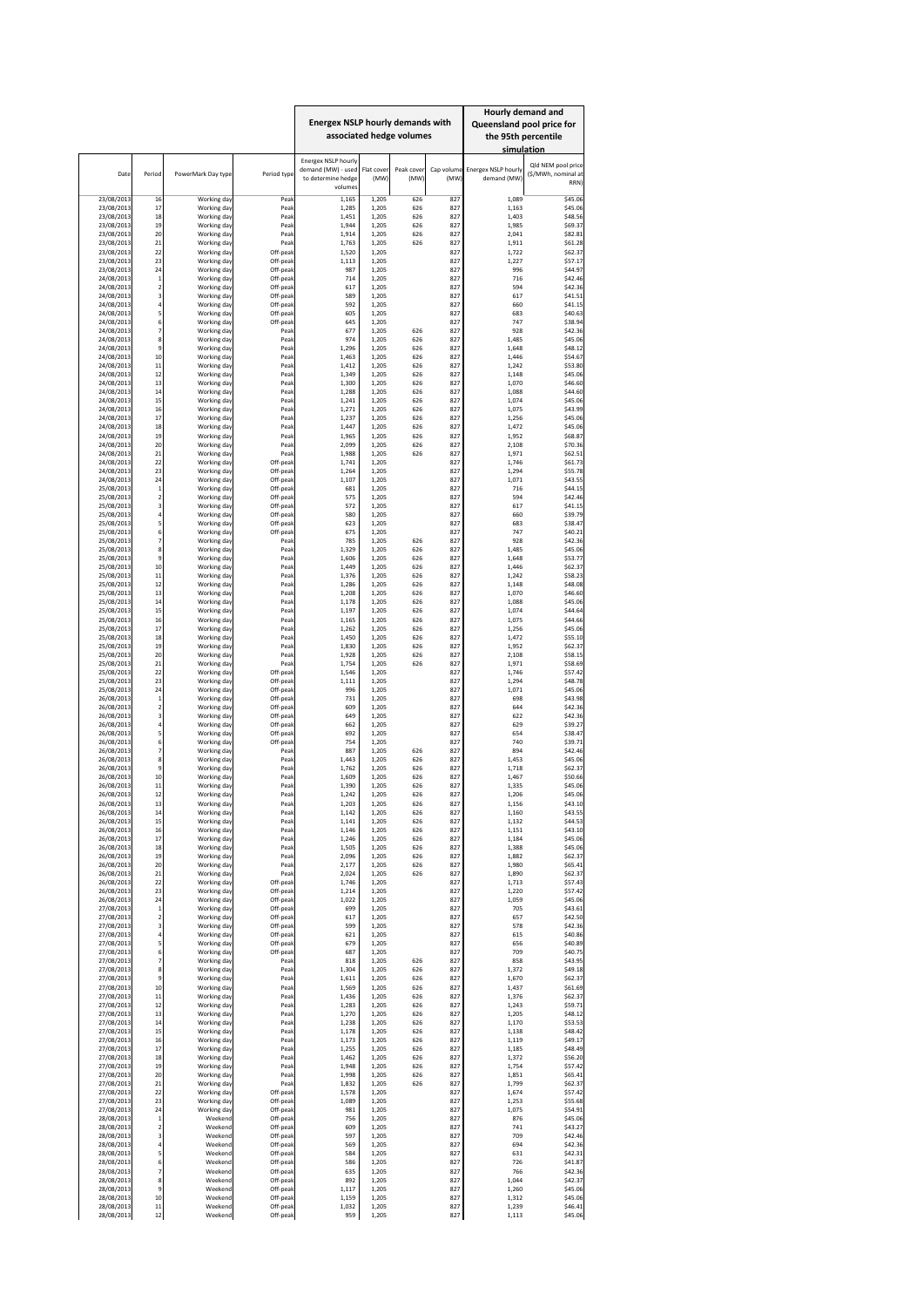|                          |                          |                            |                      |                                                                     |                |            |                                                  | Hourly demand and   |                             |
|--------------------------|--------------------------|----------------------------|----------------------|---------------------------------------------------------------------|----------------|------------|--------------------------------------------------|---------------------|-----------------------------|
|                          |                          |                            |                      | <b>Energex NSLP hourly demands with</b><br>associated hedge volumes |                |            | Queensland pool price for<br>the 95th percentile |                     |                             |
|                          |                          |                            |                      |                                                                     |                |            |                                                  | simulation          |                             |
|                          |                          |                            |                      | Energex NSLP hourly<br>demand (MW) - used                           | Flat cover     | Peak cover | Cap volume                                       | Energex NSLP hourly | Qld NEM pool price          |
| Date                     | Period                   | PowerMark Day type         | Period type          | to determine hedge                                                  | (MW)           | (MW)       | (MW                                              | demand (MW)         | (\$/MWh, nominal at<br>RRN) |
| 23/08/2013               | 16                       | Working da                 | Peal                 | volumes<br>1,165                                                    | 1.205          | 626        | 827                                              | 1,089               | \$45.06                     |
| 23/08/2013               | 17                       | Working day                | Peal                 | 1.285                                                               | 1.205          | 626        | 827                                              | 1.163               | \$45.06                     |
| 23/08/2013               | 18                       | Working day                | Peal                 | 1,451                                                               | 1,205          | 626        | 827                                              | 1,403               | \$48.56                     |
| 23/08/2013               | 19                       | Working day                | Peal                 | 1,944                                                               | 1,205          | 626        | 827                                              | 1,985               | \$69.37                     |
| 23/08/2013               | 20                       | Working day                | Peal                 | 1,914                                                               | 1,205          | 626        | 827                                              | 2,041               | \$82.81                     |
| 23/08/2013               | 21                       | Working day                | Peal                 | 1.763                                                               | 1.205          | 626        | 827                                              | 1,911               | \$61.28                     |
| 23/08/2013               | 22                       | Working day                | Off-peal             | 1,520                                                               | 1,205          |            | 827                                              | 1,722               | \$62.37                     |
| 23/08/2013               | 23                       | Working day                | Off-peal             | 1,113                                                               | 1,205          |            | 827                                              | 1,227               | \$57.17                     |
| 23/08/2013               | 24                       | Working da                 | Off-peal             | 987                                                                 | 1,205          |            | 827                                              | 996                 | \$44.97                     |
| 24/08/2013               | $\mathbf{1}$             | Working day                | Off-peal             | 714                                                                 | 1.205          |            | 827                                              | 716                 | \$42.46                     |
| 24/08/2013               | $\mathbf 2$              | Working day                | Off-peal             | 617                                                                 | 1,205          |            | 827                                              | 594                 | \$42.36                     |
| 24/08/2013               | 3                        | Working day                | Off-peak             | 589                                                                 | 1,205          |            | 827                                              | 617                 | \$41.51                     |
| 24/08/2013               | 4                        | Working day                | Off-peak             | 592                                                                 | 1,205          |            | 827                                              | 660                 | \$41.15                     |
| 24/08/2013               | 5                        | Working day                | Off-peal             | 605                                                                 | 1,205          |            | 827                                              | 683                 | \$40.63                     |
| 24/08/2013               | 6                        | Working day                | Off-peal             | 645                                                                 | 1.205          | 626        | 827                                              | 747                 | \$38.94                     |
| 24/08/2013               | $\overline{7}$           | Working day                | Peal                 | 677                                                                 | 1,205          |            | 827                                              | 928                 | \$42.36                     |
| 24/08/2013               | 8<br>9                   | Working day                | Peal                 | 974                                                                 | 1,205          | 626        | 827                                              | 1,485               | \$45.06                     |
| 24/08/2013               | 10                       | Working day                | Peal                 | 1,296                                                               | 1,205          | 626        | 827                                              | 1,648               | \$48.12                     |
| 24/08/2013               |                          | Working day                | Peal                 | 1.463                                                               | 1.205          | 626        | 827                                              | 1.446               | \$54.67                     |
| 24/08/2013               | 11                       | Working day                | Peal                 | 1,412                                                               | 1,205          | 626        | 827                                              | 1,242               | \$53.80                     |
| 24/08/2013               | 12                       | Working day                | Peal                 | 1,349                                                               | 1,205          | 626        | 827                                              | 1,148               | \$45.06                     |
| 24/08/2013               | 13                       | Working day                | Peal                 | 1,300                                                               | 1,205          | 626        | 827                                              | 1,070               | \$46.60                     |
| 24/08/2013               | 14                       | Working day                | Peal                 | 1.288                                                               | 1.205          | 626        | 827                                              | 1.088               | \$44.60                     |
| 24/08/2013               | 15                       | Working day                | Peal                 | 1,241                                                               | 1,205          | 626        | 827                                              | 1,074               | \$45.06                     |
| 24/08/2013               | 16                       | Working day                | Peal                 | 1,271                                                               | 1,205          | 626        | 827                                              | 1,075               | \$43.99                     |
| 24/08/2013               | 17                       | Working day                | Peal                 | 1,237                                                               | 1,205          | 626        | 827                                              | 1,256               | \$45.06                     |
| 24/08/2013               | 18                       | Working day                | Peal                 | 1.447                                                               | 1.205          | 626<br>626 | 827<br>827                                       | 1,472               | \$45.06                     |
| 24/08/2013<br>24/08/2013 | 19<br>20                 | Working day<br>Working day | Peak<br>Peak         | 1,965<br>2,099                                                      | 1,205<br>1,205 | 626        | 827                                              | 1,952<br>2,108      | \$68.87<br>\$70.36          |
| 24/08/2013               | 21                       | Working day                | Peal                 | 1,988                                                               | 1,205          | 626        | 827                                              | 1,971               | \$62.51                     |
| 24/08/2013               | 22                       | Working day                | Off-peak             | 1.741                                                               | 1.205          |            | 827                                              | 1.746               | \$61.73                     |
| 24/08/2013               | 23                       | Working day                | Off-peal             | 1,264                                                               | 1,205          |            | 827                                              | 1,294               | \$55.78                     |
| 24/08/2013               | 24                       | Working day                | Off-peal             | 1,107                                                               | 1,205          |            | 827                                              | 1,071               | \$43.5                      |
| 25/08/2013               | $\mathbf{1}$             | Working day                | Off-peal             | 681                                                                 | 1,205          |            | 827                                              | 716                 | \$44.15                     |
| 25/08/2013               | $\overline{2}$           | Working day                | Off-peal             | 575                                                                 | 1,205          |            | 827                                              | 594                 | \$42.46                     |
| 25/08/2013               | $\overline{3}$           | Working day                | Off-peal             | 572                                                                 | 1.205          |            | 827                                              | 617                 | \$41.15                     |
| 25/08/2013               | 4                        | Working day                | Off-peal             | 580                                                                 | 1,205          |            | 827                                              | 660                 | \$39.79                     |
| 25/08/2013               | 5                        | Working day                | Off-peak             | 623                                                                 | 1,205          |            | 827                                              | 683                 | \$38.47                     |
| 25/08/2013               | 6                        | Working day                | Off-peal             | 675                                                                 | 1,205          |            | 827                                              | 747                 | \$40.21                     |
| 25/08/2013               | $\overline{7}$           | Working day                | Peal                 | 785                                                                 | 1.205          | 626        | 827                                              | 928                 | \$42.36                     |
| 25/08/2013               | 8                        | Working day                | Peal                 | 1,329                                                               | 1,205          | 626        | 827                                              | 1,485               | \$45.06                     |
| 25/08/2013               | 9                        | Working day                | Peal                 | 1,606                                                               | 1,205          | 626        | 827                                              | 1,648               | \$53.7                      |
| 25/08/2013               | 10                       | Working da                 | Peal                 | 1,449                                                               | 1,205          | 626        | 827                                              | 1,446               | \$62.37                     |
| 25/08/2013               | 11                       | Working day                | Peal                 | 1,376                                                               | 1.205          | 626        | 827                                              | 1,242               | \$58.23                     |
| 25/08/2013               | 12                       | Working day                | Peak                 | 1,286                                                               | 1,205          | 626        | 827                                              | 1,148               | \$48.08                     |
| 25/08/2013               | 13                       | Working day                | Peak                 | 1,208                                                               | 1,205          | 626        | 827                                              | 1,070               | \$46.60                     |
| 25/08/2013               | 14<br>15                 | Working day                | Peak<br>Peal         | 1,178<br>1.197                                                      | 1,205<br>1.205 | 626<br>626 | 827<br>827                                       | 1,088<br>1.074      | \$45.06<br>\$44.64          |
| 25/08/2013<br>25/08/2013 | 16                       | Working day<br>Working day | Peal                 | 1,165                                                               | 1,205          | 626        | 827                                              | 1,075               | \$44.66                     |
| 25/08/2013               | 17                       | Working day                | Peal                 | 1,262                                                               | 1,205          | 626        | 827                                              | 1,256               | \$45.06                     |
| 25/08/2013               | 18                       | Working da                 | Peal                 | 1,450                                                               | 1,205          | 626        | 827                                              | 1,472               | \$55.10                     |
| 25/08/2013               | 19                       | Working day                | Peal                 | 1.830                                                               | 1.205          | 626        | 827                                              | 1,952               | \$62.37                     |
| 25/08/2013               | 20                       | Working day                | Peal                 | 1,928                                                               | 1,205          | 626        | 827                                              | 2,108               | \$58.15                     |
| 25/08/2013               | 21                       | Working day                | Peal                 | 1,754                                                               | 1,205          | 626        | 827                                              | 1,971               | \$58.69                     |
| 25/08/2013               | 22                       | Working day                | Off-peal             | 1,546                                                               | 1,205          |            | 827                                              | 1,746               | \$57.42                     |
| 25/08/2013               | 23                       | Working day                | Off-peal             | 1.111                                                               | 1.205          |            | 827                                              | 1.294               | \$48.78                     |
| 25/08/2013               | 24                       | Working day                | Off-peal             | 996                                                                 | 1,205          |            | 827                                              | 1,071               | \$45.06                     |
| 26/08/2013               | $\mathbf{1}$             | Working day                | Off-peal             | 731                                                                 | 1,205          |            | 827                                              | 698                 | \$43.98                     |
| 26/08/2013               | $\overline{\mathbf{c}}$  | Working day                | Off-peal             | 609                                                                 | 1,205          |            | 827                                              | 644                 | \$42.36                     |
| 26/08/2013               | 3                        | Working day                | Off-peal             | 649                                                                 | 1,205          |            | 827                                              | 622                 | \$42.36                     |
| 26/08/2013               | 4                        | Working day                | Off-peal             | 662                                                                 | 1.205          |            | 827                                              | 629                 | \$39.27                     |
| 26/08/2013               | 5                        | Working day                | Off-peak             | 692                                                                 | 1,205          |            | 827                                              | 654                 | \$38.47                     |
| 26/08/2013               | 6                        | Working day                | Off-peak             | 754                                                                 | 1,205          | 626        | 827                                              | 740                 | \$39.71                     |
| 26/08/2013               | $\overline{7}$           | Working day                | Peak                 | 887                                                                 | 1,205          |            | 827                                              | 894                 | \$42.46                     |
| 26/08/2013               | 8                        | Working day                | Peal                 | 1,443                                                               | 1.205          | 626        | 827                                              | 1.453               | \$45.06                     |
| 26/08/2013               | 9                        | Working day                | Peal                 | 1,762                                                               | 1,205          | 626        | 827                                              | 1,718               | \$62.37                     |
| 26/08/2013               | 10<br>11                 | Working day                | Peal<br>Peal         | 1,609                                                               | 1,205          | 626<br>626 | 827<br>827                                       | 1,467               | \$50.66                     |
| 26/08/2013<br>26/08/2013 | 12                       | Working day<br>Working day | Peal                 | 1,390<br>1,242                                                      | 1,205<br>1,205 | 626        | 827                                              | 1,335<br>1,206      | \$45.06<br>\$45.06          |
| 26/08/2013               | 13                       | Working day                | Peal                 | 1,203                                                               | 1.205          | 626        | 827                                              | 1,156               | \$43.10                     |
| 26/08/2013               | 14                       | Working day                | Peak                 | 1,142                                                               | 1,205          | 626        | 827                                              | 1,160               | \$43.55                     |
| 26/08/2013               | 15                       | Working day                | Peak                 | 1,141                                                               | 1,205          | 626        | 827                                              | 1,132               | \$44.53                     |
| 26/08/2013               | 16                       |                            | Peal                 | 1.146                                                               | 1,205          | 626        | 827                                              | 1.151               | \$43.10                     |
| 26/08/2013               | 17                       | Working day<br>Working day | Peal                 | 1,246                                                               | 1,205          | 626        | 827                                              | 1,184               | \$45.06                     |
| 26/08/2013               | 18                       | Working day                | Peak                 | 1,505                                                               | 1,205          | 626        | 827                                              | 1,388               | \$45.06                     |
| 26/08/2013               | 19                       | Working day                | Peak                 | 2,096                                                               | 1,205          | 626        | 827                                              | 1,882               | \$62.37                     |
| 26/08/2013               | 20                       | Working day                | Peak                 | 2,177                                                               | 1.205          | 626        | 827                                              | 1,980               | \$65.41                     |
| 26/08/2013               | 21                       | Working day                | Peak                 | 2,024                                                               | 1,205          | 626        | 827                                              | 1,890               | \$62.37                     |
| 26/08/2013               | 22                       | Working day                | Off-peak             | 1,746                                                               | 1,205          |            | 827                                              | 1,713               | \$57.43                     |
| 26/08/2013               | 23                       | Working day                | Off-peak             | 1,214                                                               | 1,205          |            | 827                                              | 1,220               | \$57.42                     |
| 26/08/2013               | 24                       | Working day                | Off-peak             | 1,022                                                               | 1,205          |            | 827                                              | 1,059               | \$45.06                     |
| 27/08/2013               | $\mathbf{1}$             | Working day                | Off-peak             | 699                                                                 | 1,205          |            | 827                                              | 705                 | \$43.61                     |
| 27/08/2013               | $\mathbf 2$              | Working day                | Off-peak             | 617                                                                 | 1,205          |            | 827                                              | 657                 | \$42.50                     |
| 27/08/2013               | 3                        | Working day                | Off-peak             | 599                                                                 | 1,205          |            | 827                                              | 578                 | \$42.36                     |
| 27/08/2013               | 4                        | Working day                | Off-peak             | 621                                                                 | 1,205          |            | 827                                              | 615                 | \$40.86                     |
| 27/08/2013               | 5                        | Working day                | Off-peak             | 679                                                                 | 1.205          |            | 827                                              | 656                 | \$40.89                     |
| 27/08/2013               | 6                        | Working day                | Off-peak             | 687                                                                 | 1,205          | 626        | 827                                              | 709                 | \$40.75                     |
| 27/08/2013               | $\overline{\phantom{a}}$ | Working day                | Peak                 | 818                                                                 | 1,205          |            | 827                                              | 858                 | \$43.95                     |
| 27/08/2013               | 8                        | Working day                | Peak                 | 1,304                                                               | 1,205          | 626        | 827                                              | 1,372               | \$49.18                     |
| 27/08/2013               | 9                        | Working day                | Peal                 | 1.611                                                               | 1.205          | 626        | 827                                              | 1,670               | \$62.37                     |
| 27/08/2013               | 10                       | Working day                | Peal                 | 1,569                                                               | 1,205          | 626        | 827                                              | 1,437               | \$61.69                     |
| 27/08/2013               | 11                       | Working day                | Peak                 | 1,436                                                               | 1,205          | 626        | 827                                              | 1,376               | \$62.37                     |
| 27/08/2013               | 12                       | Working day                | Peak                 | 1,283                                                               | 1,205          | 626        | 827                                              | 1,243               | \$59.71                     |
| 27/08/2013               | 13                       | Working day                | Peak                 | 1,270                                                               | 1.205          | 626        | 827                                              | 1,205               | \$48.12                     |
| 27/08/2013               | 14                       | Working day                | Peak                 | 1,238                                                               | 1,205          | 626        | 827                                              | 1,170               | \$53.53                     |
| 27/08/2013               | 15                       | Working day                | Peak                 | 1,178                                                               | 1,205          | 626        | 827                                              | 1,138               | \$48.42                     |
| 27/08/2013               | 16                       | Working day                | Peak                 | 1,173                                                               | 1,205          | 626        | 827                                              | 1,119               | \$49.17                     |
| 27/08/2013               | 17                       | Working day                | Peak                 | 1.255                                                               | 1,205          | 626        | 827                                              | 1.185               | \$48.49                     |
| 27/08/2013               | 18                       | Working day                | Peak                 | 1,462                                                               | 1,205          | 626        | 827                                              | 1,372               | \$56.20                     |
| 27/08/2013               | 19                       | Working day                | Peak                 | 1,948                                                               | 1,205          | 626        | 827                                              | 1,754               | \$57.42                     |
| 27/08/2013               | 20                       | Working day                | Peak                 | 1,998                                                               | 1,205          | 626        | 827                                              | 1,851               | \$65.41                     |
| 27/08/2013               | 21                       | Working day                | Peal                 | 1.832                                                               | 1.205          | 626        | 827                                              | 1,799               | \$62.37                     |
| 27/08/2013               | 22                       | Working day                | Off-peak             | 1.578                                                               | 1,205          |            | 827                                              | 1,674               | \$57.42                     |
| 27/08/2013               | 23                       | Working day                | Off-peak             | 1,089                                                               | 1,205          |            | 827                                              | 1,253               | \$55.68                     |
| 27/08/2013               | 24                       | Working day                | Off-peak             | 981                                                                 | 1,205          |            | 827                                              | 1,075               | \$54.91                     |
| 28/08/2013               | $\mathbf{1}$             | Weekend                    | Off-peak             | 756                                                                 | 1,205          |            | 827                                              | 876                 | \$45.06                     |
| 28/08/2013               | $\overline{\mathbf{2}}$  | Weekend                    | Off-peal             | 609                                                                 | 1,205          |            | 827                                              | 741                 | \$43.27                     |
| 28/08/2013               | 3                        | Weekend                    | Off-peak             | 597                                                                 | 1,205          |            | 827                                              | 709                 | \$42.46                     |
| 28/08/2013               | 4                        | Weekend                    | Off-peak             | 569                                                                 | 1,205          |            | 827                                              | 694                 | \$42.36                     |
| 28/08/2013               | 5                        | Weekend                    | Off-peak             | 584                                                                 | 1,205          |            | 827                                              | 631                 | \$42.31                     |
| 28/08/2013               | 6                        | Weekend                    | Off-peak             | 586                                                                 | 1.205          |            | 827                                              | 726                 | \$41.87                     |
| 28/08/2013               | $\overline{7}$           | Weekend                    | Off-peak             | 635                                                                 | 1,205          |            | 827                                              | 766                 | \$42.36                     |
| 28/08/2013               | 8                        | Weekend                    | Off-peak             | 892                                                                 | 1,205          |            | 827                                              | 1,044               | \$42.37                     |
| 28/08/2013               | $\ddot{q}$<br>10         | Weekend<br>Weekend         | Off-peak             | 1,117                                                               | 1,205<br>1,205 |            | 827<br>827                                       | 1,260               | \$45.06<br>\$45.06          |
| 28/08/2013<br>28/08/2013 | 11                       | Weekend                    | Off-peak<br>Off-peak | 1.159<br>1,032                                                      | 1,205          |            | 827                                              | 1,312<br>1,239      | \$46.41                     |
| 28/08/2013               | 12                       | Weekend                    | Off-peak             | 959                                                                 | 1,205          |            | 827                                              | 1,113               | \$45.06                     |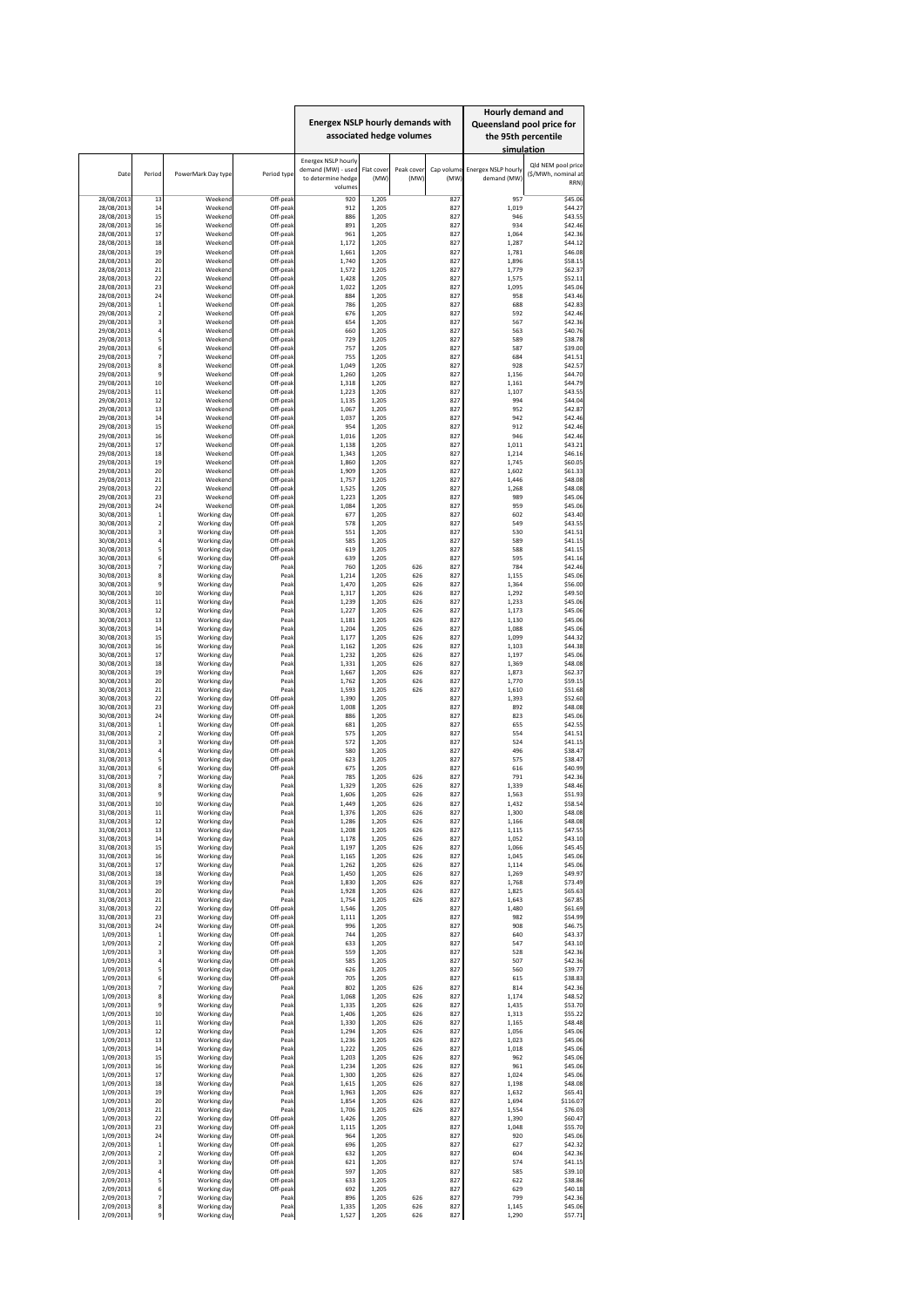|                          |                         |                            |                      |                                          |                    |                          | Hourly demand and  |                                                                |                             |  |
|--------------------------|-------------------------|----------------------------|----------------------|------------------------------------------|--------------------|--------------------------|--------------------|----------------------------------------------------------------|-----------------------------|--|
|                          |                         |                            |                      | <b>Energex NSLP hourly demands with</b>  |                    | associated hedge volumes |                    | Queensland pool price for<br>the 95th percentile<br>simulation |                             |  |
|                          |                         |                            |                      | Energex NSLP hourly                      |                    |                          |                    |                                                                | Qld NEM pool price          |  |
| Date                     | Period                  | PowerMark Day type         | Period type          | demand (MW) - used<br>to determine hedge | Flat cover<br>(MW) | Peak cover<br>(MW)       | Cap volume<br>(MW) | Energex NSLP hourly<br>demand (MW)                             | (\$/MWh, nominal at<br>RRN) |  |
| 28/08/2013               | 13                      | Weekend                    | Off-peal             | volumes<br>920                           | 1,205              |                          | 827                | 957                                                            | \$45.06                     |  |
| 28/08/2013               | 14                      | Weekend                    | Off-pea              | 912                                      | 1.205              |                          | 827                | 1.019                                                          | \$44.27                     |  |
| 28/08/2013               | 15                      | Weekend                    | Off-peal             | 886                                      | 1,205              |                          | 827                | 946                                                            | \$43.55                     |  |
| 28/08/2013               | 16                      | Weekend                    | Off-peak             | 891                                      | 1,205              |                          | 827                | 934                                                            | \$42.46                     |  |
| 28/08/2013               | 17                      | Weekend                    | Off-peal             | 961                                      | 1,205              |                          | 827                | 1,064                                                          | \$42.36                     |  |
| 28/08/2013               | 18                      | Weekend                    | Off-peak             | 1.172                                    | 1.205              |                          | 827                | 1.287                                                          | \$44.12                     |  |
| 28/08/2013               | 19                      | Weekend                    | Off-peal             | 1,661                                    | 1,205              |                          | 827                | 1,781                                                          | \$46.08                     |  |
| 28/08/2013               | 20                      | Weekend                    | Off-peak             | 1,740                                    | 1,205              |                          | 827                | 1,896                                                          | \$58.15                     |  |
| 28/08/2013               | 21                      | Weekend<br>Weekend         | Off-peal             | 1,572                                    | 1,205              |                          | 827                | 1,779                                                          | \$62.37                     |  |
| 28/08/2013<br>28/08/2013 | 22<br>23                | Weekend                    | Off-peal<br>Off-peal | 1.428<br>1,022                           | 1.205<br>1,205     |                          | 827<br>827         | 1,575<br>1,095                                                 | \$52.11<br>\$45.06          |  |
| 28/08/2013               | 24                      | Weekend                    | Off-peak             | 884                                      | 1,205              |                          | 827                | 958                                                            | \$43.46                     |  |
| 29/08/2013               | $\mathbf{1}$            | Weekend                    | Off-peak             | 786                                      | 1,205              |                          | 827                | 688                                                            | \$42.83                     |  |
| 29/08/2013               | $\overline{2}$          | Weekend                    | Off-peal             | 676                                      | 1,205              |                          | 827                | 592                                                            | \$42.46                     |  |
| 29/08/2013               | $\overline{\mathbf{3}}$ | Weekend                    | Off-peak             | 654                                      | 1.205              |                          | 827                | 567                                                            | \$42.36                     |  |
| 29/08/2013               | 4                       | Weekend                    | Off-peak             | 660                                      | 1,205              |                          | 827                | 563                                                            | \$40.76                     |  |
| 29/08/2013               | 5                       | Weekend                    | Off-peal             | 729                                      | 1,205              |                          | 827                | 589                                                            | \$38.78                     |  |
| 29/08/2013               | 6                       | Weekend                    | Off-peal             | 757                                      | 1,205              |                          | 827                | 587                                                            | \$39.00                     |  |
| 29/08/2013               | $\overline{7}$          | Weekend                    | Off-peal             | 755                                      | 1.205              |                          | 827                | 684                                                            | \$41.51                     |  |
| 29/08/2013               | 8                       | Weekend                    | Off-peal             | 1,049                                    | 1,205              |                          | 827                | 928                                                            | \$42.57                     |  |
| 29/08/2013               | 9<br>10                 | Weekend<br>Weekend         | Off-peak             | 1,260                                    | 1,205              |                          | 827<br>827         | 1,156                                                          | \$44.70<br>\$44.79          |  |
| 29/08/2013<br>29/08/2013 | 11                      | Weekend                    | Off-peal<br>Off-peal | 1,318<br>1.223                           | 1,205<br>1.205     |                          | 827                | 1,161<br>1,107                                                 | \$43.55                     |  |
| 29/08/2013               | 12                      | Weekend                    | Off-peal             | 1,135                                    | 1,205              |                          | 827                | 994                                                            | \$44.04                     |  |
| 29/08/2013               | 13                      | Weekend                    | Off-peak             | 1,067                                    | 1,205              |                          | 827                | 952                                                            | \$42.87                     |  |
| 29/08/2013               | 14                      | Weekend                    | Off-peal             | 1,037                                    | 1,205              |                          | 827                | 942                                                            | \$42.46                     |  |
| 29/08/2013               | 15                      | Weekend                    | Off-peak             | 954                                      | 1.205              |                          | 827                | 912                                                            | \$42.46                     |  |
| 29/08/2013               | 16                      | Weekend                    | Off-peak             | 1,016                                    | 1,205              |                          | 827                | 946                                                            | \$42.46                     |  |
| 29/08/2013               | 17                      | Weekend                    | Off-peak             | 1,138                                    | 1,205              |                          | 827                | 1,011                                                          | \$43.21                     |  |
| 29/08/2013               | 18                      | Weekend                    | Off-peal             | 1,343                                    | 1,205              |                          | 827                | 1,214                                                          | \$46.16                     |  |
| 29/08/2013               | 19                      | Weekend                    | Off-peak             | 1,860                                    | 1.205              |                          | 827                | 1.745                                                          | \$60.05                     |  |
| 29/08/2013               | 20                      | Weekend                    | Off-peal             | 1,909                                    | 1,205              |                          | 827                | 1,602                                                          | \$61.33                     |  |
| 29/08/2013               | 21                      | Weekend                    | Off-peal             | 1,757                                    | 1,205              |                          | 827                | 1,446<br>1,268                                                 | \$48.08<br>\$48.08          |  |
| 29/08/2013<br>29/08/2013 | 22<br>23                | Weekend<br>Weekend         | Off-peal<br>Off-pea  | 1,525<br>1.223                           | 1,205<br>1,205     |                          | 827<br>827         | 989                                                            | \$45.06                     |  |
| 29/08/2013               | 24                      | Weekend                    | Off-peal             | 1.084                                    | 1.205              |                          | 827                | 959                                                            | \$45.06                     |  |
| 30/08/2013               | $\mathbf 1$             | Working day                | Off-peal             | 677                                      | 1,205              |                          | 827                | 602                                                            | \$43.40                     |  |
| 30/08/2013               | $\overline{2}$          | Working day                | Off-peak             | 578                                      | 1,205              |                          | 827                | 549                                                            | \$43.55                     |  |
| 30/08/2013               | $\overline{\mathbf{3}}$ | Working day                | Off-peal             | 551                                      | 1,205              |                          | 827                | 530                                                            | \$41.51                     |  |
| 30/08/2013               | 4                       | Working day                | Off-peak             | 585                                      | 1.205              |                          | 827                | 589                                                            | \$41.15                     |  |
| 30/08/2013               | 5                       | Working day                | Off-peak             | 619                                      | 1,205              |                          | 827                | 588                                                            | \$41.15                     |  |
| 30/08/2013               | 6                       | Working day                | Off-peal             | 639                                      | 1,205              |                          | 827                | 595                                                            | \$41.16                     |  |
| 30/08/2013               | $\overline{7}$          | Working day                | Peal                 | 760                                      | 1,205              | 626                      | 827                | 784                                                            | \$42.46                     |  |
| 30/08/2013               | 8                       | Working day                | Peal                 | 1.214                                    | 1.205              | 626                      | 827                | 1.155                                                          | \$45.06                     |  |
| 30/08/2013               | 9                       | Working day                | Peak                 | 1,470                                    | 1,205              | 626                      | 827                | 1,364                                                          | \$56.00                     |  |
| 30/08/2013               | 10                      |                            | Peak                 | 1,317                                    | 1,205              | 626                      | 827                | 1,292                                                          | \$49.50                     |  |
| 30/08/2013               | 11                      | Working day<br>Working day | Peak                 | 1,239                                    | 1,205              | 626                      | 827                | 1,233                                                          | \$45.06                     |  |
| 30/08/2013               | 12                      | Working day                | Peal                 | 1.227                                    | 1.205              | 626                      | 827                | 1,173                                                          | \$45.06                     |  |
| 30/08/2013               | 13                      | Working day                | Peal                 | 1,181                                    | 1,205              | 626                      | 827                | 1,130                                                          | \$45.06                     |  |
| 30/08/2013               | 14                      | Working day                | Peal                 | 1,204                                    | 1,205              | 626                      | 827                | 1,088                                                          | \$45.06                     |  |
| 30/08/2013               | 15                      | Working day                | Peal                 | 1,177                                    | 1,205              | 626                      | 827                | 1,099                                                          | \$44.32                     |  |
| 30/08/2013               | 16                      | Working day                | Peal                 | 1.162                                    | 1.205              | 626                      | 827                | 1,103                                                          | \$44.38                     |  |
| 30/08/2013               | 17                      | Working day                | Peak                 | 1,232                                    | 1,205              | 626                      | 827                | 1,197                                                          | \$45.06                     |  |
| 30/08/2013               | 18                      | Working day                | Peal                 | 1,331                                    | 1,205              | 626                      | 827                | 1,369                                                          | \$48.08                     |  |
| 30/08/2013               | 19                      | Working day                | Peal                 | 1,667                                    | 1,205              | 626                      | 827                | 1,873                                                          | \$62.37                     |  |
| 30/08/2013               | 20                      | Working day                | Peal                 | 1.762                                    | 1.205              | 626                      | 827                | 1.770                                                          | \$59.15                     |  |
| 30/08/2013               | 21                      | Working day                | Peal                 | 1,593                                    | 1,205              | 626                      | 827                | 1,610                                                          | \$51.68                     |  |
| 30/08/2013               | 22                      | Working day                | Off-peal             | 1,390                                    | 1,205              |                          | 827                | 1,393                                                          | \$52.60                     |  |
| 30/08/2013               | 23                      | Working day                | Off-peal             | 1,008                                    | 1,205              |                          | 827                | 892                                                            | \$48.08                     |  |
| 30/08/2013               | 24                      | Working day                | Off-peal             | 886                                      | 1,205              |                          | 827                | 823                                                            | \$45.06                     |  |
| 31/08/2013               | $\mathbf{1}$            | Working day                | Off-peal             | 681                                      | 1.205              |                          | 827                | 655                                                            | \$42.55                     |  |
| 31/08/2013               | $\mathbf 2$             | Working day                | Off-peal             | 575                                      | 1,205              |                          | 827                | 554                                                            | \$41.51                     |  |
| 31/08/2013               | 3                       | Working day                | Off-peak             | 572                                      | 1,205              |                          | 827                | 524                                                            | \$41.15                     |  |
| 31/08/2013               | 4                       | Working day                | Off-peal             | 580                                      | 1,205              |                          | 827                | 496                                                            | \$38.47                     |  |
| 31/08/2013               | 5                       | Working day                | Off-peal             | 623                                      | 1.205              |                          | 827                | 575                                                            | \$38.47                     |  |
| 31/08/2013               | 6                       | Working day                | Off-peak             | 675                                      | 1,205              |                          | 827                | 616                                                            | \$40.99                     |  |
| 31/08/2013               | 7                       | Working day                | Peak                 | 785                                      | 1,205              | 626                      | 827                | 791                                                            | \$42.36                     |  |
| 31/08/2013               | 8                       | Working day                | Peal                 | 1,329                                    | 1,205              | 626                      | 827                | 1,339                                                          | \$48.46                     |  |
| 31/08/2013               | 9                       | Working day                | Peak                 | 1,606                                    | 1,205              | 626                      | 827                | 1,563                                                          | \$51.93                     |  |
| 31/08/2013               | 10                      | Working day                | Peal                 | 1.449                                    | 1.205              | 626                      | 827                | 1,432                                                          | \$58.5                      |  |
| 31/08/2013               | 11                      | Working day                | Peal                 | 1,376                                    | 1,205              | 626                      | 827                | 1,300                                                          | \$48.08                     |  |
| 31/08/2013               | 12                      | Working day                | Peak                 | 1,286                                    | 1,205              | 626                      | 827                | 1,166                                                          | \$48.08                     |  |
| 31/08/2013               | 13                      | Working day                | Peal                 | 1.208                                    | 1,205              | 626                      | 827                | 1.115                                                          | \$47.55                     |  |
| 31/08/2013               | 14                      | Working day                | Peak                 | 1,178                                    | 1,205              | 626                      | 827                | 1,052                                                          | \$43.10                     |  |
| 31/08/2013               | 15                      | Working day                | Peak                 | 1,197                                    | 1,205              | 626                      | 827                | 1,066                                                          | \$45.45                     |  |
| 31/08/2013               | 16                      | Working day                | Peak                 | 1,165                                    | 1,205              | 626                      | 827                | 1,045                                                          | \$45.06                     |  |
| 31/08/2013               | 17                      | Working day                | Peak                 | 1,262                                    | 1.205              | 626                      | 827                | 1,114                                                          | \$45.06                     |  |
| 31/08/2013               | 18                      | Working day                | Peak                 | 1,450                                    | 1,205              | 626                      | 827                | 1,269                                                          | \$49.97                     |  |
| 31/08/2013               | 19                      | Working day                | Peak                 | 1,830                                    | 1,205              | 626                      | 827                | 1,768                                                          | \$73.49                     |  |
| 31/08/2013               | 20                      | Working day                | Peak                 | 1,928                                    | 1,205              | 626                      | 827                | 1,825                                                          | \$65.63                     |  |
| 31/08/2013               | 21                      | Working day                | Peak                 | 1,754                                    | 1,205              | 626                      | 827                | 1,643                                                          | \$67.85                     |  |
| 31/08/2013               | 22                      | Working day                | Off-peak             | 1,546                                    | 1,205              |                          | 827                | 1,480                                                          | \$61.69                     |  |
| 31/08/2013               | 23                      | Working day                | Off-peal             | 1,111                                    | 1,205              |                          | 827                | 982                                                            | \$54.99                     |  |
| 31/08/2013               | 24                      | Working day                | Off-peal             | 996                                      | 1,205              |                          | 827                | 908                                                            | \$46.75                     |  |
| 1/09/2013                | $\mathbf{1}$            | Working day                | Off-peak             | 744                                      | 1,205              |                          | 827                | 640                                                            | \$43.37                     |  |
| 1/09/2013                | $\overline{2}$          | Working day                | Off-peak             | 633                                      | 1.205              |                          | 827                | 547                                                            | \$43.10                     |  |
| 1/09/2013                | 3                       | Working day                | Off-peak             | 559                                      | 1,205              |                          | 827                | 528                                                            | \$42.36                     |  |
| 1/09/2013                | 4                       | Working day                | Off-peak             | 585                                      | 1,205              |                          | 827                | 507                                                            | \$42.36                     |  |
| 1/09/2013                | 5                       | Working day                | Off-peak             | 626                                      | 1,205              |                          | 827                | 560                                                            | \$39.77                     |  |
| 1/09/2013                | 6                       | Working day                | Off-peak             | 705                                      | 1.205              | 626                      | 827                | 615                                                            | \$38.83                     |  |
| 1/09/2013                | $\overline{7}$          | Working day                | Peak                 | 802                                      | 1,205              |                          | 827                | 814                                                            | \$42.36                     |  |
| 1/09/2013<br>1/09/2013   | 8<br>9                  | Working day                | Peak<br>Peak         | 1,068<br>1,335                           | 1,205<br>1,205     | 626<br>626               | 827<br>827         | 1,174                                                          | \$48.52<br>\$53.70          |  |
| 1/09/2013                | 10                      | Working day<br>Working day | Peak                 | 1,406                                    | 1.205              | 626                      | 827                | 1,435<br>1,313                                                 | \$55.22                     |  |
| 1/09/2013                | 11                      | Working day                | Peak                 | 1,330                                    | 1,205              | 626                      | 827                | 1,165                                                          | \$48.48                     |  |
| 1/09/2013                | 12                      | Working day                | Peak                 | 1,294                                    | 1,205              | 626                      | 827                | 1,056                                                          | \$45.06                     |  |
| 1/09/2013                | 13                      | Working day                | Peak                 | 1,236                                    | 1,205              | 626                      | 827                | 1,023                                                          | \$45.06                     |  |
| 1/09/2013                | 14                      | Working day                | Peak                 | 1.222                                    | 1.205              | 626                      | 827                | 1.018                                                          | \$45.06                     |  |
| 1/09/2013                | 15                      | Working day                | Peak                 | 1,203                                    | 1,205              | 626                      | 827                | 962                                                            | \$45.06                     |  |
| 1/09/2013                | 16                      | Working day                | Peak                 | 1,234                                    | 1,205              | 626                      | 827                | 961                                                            | \$45.06                     |  |
| 1/09/2013                | 17                      | Working day                | Peal                 | 1,300                                    | 1,205              | 626                      | 827                | 1,024                                                          | \$45.06                     |  |
| 1/09/2013                | 18                      | Working day                | Peak                 | 1,615                                    | 1,205              | 626                      | 827                | 1,198                                                          | \$48.08                     |  |
| 1/09/2013                | 19                      | Working day                | Peal                 | 1,963                                    | 1.205              | 626                      | 827                | 1,632                                                          | \$65.41                     |  |
| 1/09/2013                | 20                      | Working day                | Peak                 | 1,854                                    | 1,205              | 626                      | 827                | 1,694                                                          | \$116.07                    |  |
| 1/09/2013                | 21                      | Working day                | Peak                 | 1,706                                    | 1,205              | 626                      | 827                | 1,554                                                          | \$76.03                     |  |
| 1/09/2013                | 22                      | Working day                | Off-peak             | 1,426                                    | 1,205              |                          | 827                | 1,390                                                          | \$60.47                     |  |
| 1/09/2013                | 23                      | Working day                | Off-peal             | 1.115                                    | 1.205              |                          | 827                | 1,048                                                          | \$55.70                     |  |
| 1/09/2013                | 24                      | Working day                | Off-peal             | 964                                      | 1,205              |                          | 827                | 920                                                            | \$45.06                     |  |
| 2/09/2013                | $\mathbf{1}$            | Working day                | Off-peak             | 696                                      | 1,205              |                          | 827                | 627                                                            | \$42.32                     |  |
| 2/09/2013                | $\overline{2}$          | Working day                | Off-peak             | 632                                      | 1,205              |                          | 827                | 604                                                            | \$42.36                     |  |
| 2/09/2013                | $\overline{3}$          | Working day                | Off-peak             | 621<br>597                               | 1,205              |                          | 827<br>827         | 574<br>585                                                     | \$41.15                     |  |
| 2/09/2013<br>2/09/2013   | 4<br>5                  | Working day<br>Working day | Off-peak<br>Off-peak | 633                                      | 1,205<br>1,205     |                          | 827                | 622                                                            | \$39.10<br>\$38.86          |  |
| 2/09/2013                | 6                       | Working day                | Off-peak             | 692                                      | 1,205              | 626                      | 827                | 629                                                            | \$40.18                     |  |
| 2/09/2013                | $\overline{7}$          | Working day                | Peak                 | 896                                      | 1,205              |                          | 827                | 799                                                            | \$42.36                     |  |
| 2/09/2013                | 8                       | Working day                | Peak                 | 1,335                                    | 1,205              | 626                      | 827                | 1,145                                                          | \$45.06                     |  |
| 2/09/2013                |                         | Working day                | Peak                 | 1,527                                    | 1,205              | 626                      | 827                | 1,290                                                          | \$57.71                     |  |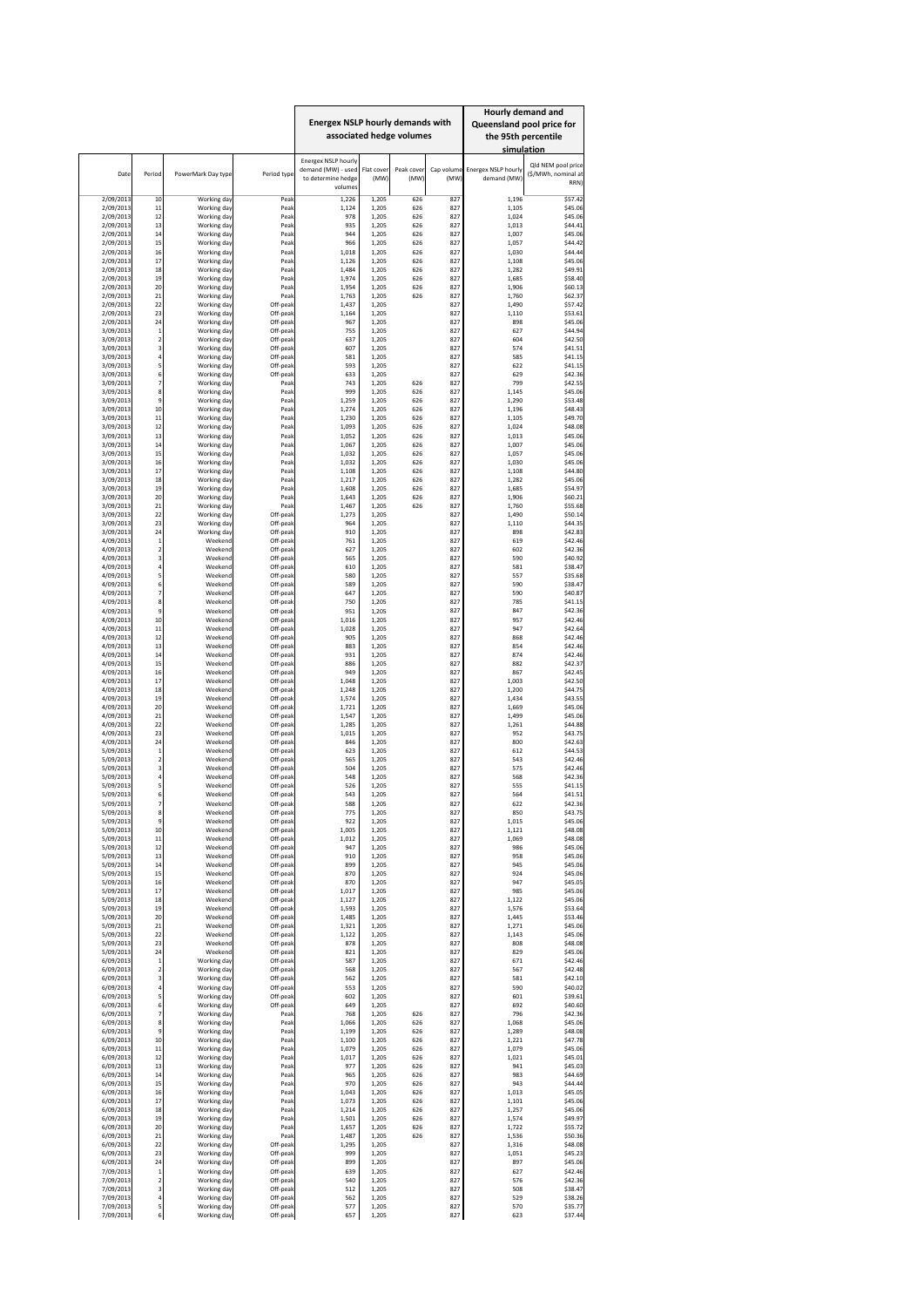|                        |                          |                    |                      |                                          |                    |                          |                    | Hourly demand and<br>Queensland pool price for |                     |  |
|------------------------|--------------------------|--------------------|----------------------|------------------------------------------|--------------------|--------------------------|--------------------|------------------------------------------------|---------------------|--|
|                        |                          |                    |                      | <b>Energex NSLP hourly demands with</b>  |                    | associated hedge volumes |                    | the 95th percentile                            |                     |  |
|                        |                          |                    |                      |                                          |                    |                          |                    | simulation                                     |                     |  |
|                        |                          |                    |                      | Energex NSLP hourly                      |                    |                          |                    |                                                | Qld NEM pool price  |  |
| Date                   | Period                   | PowerMark Day type | Period type          | demand (MW) - used<br>to determine hedge | Flat cover<br>(MW) | Peak cover<br>(MW)       | Cap volume<br>(MW) | Energex NSLP hourly<br>demand (MW)             | (\$/MWh, nominal at |  |
|                        |                          |                    |                      | volume                                   |                    |                          |                    |                                                | <b>RRN</b>          |  |
| 2/09/2013              | 10                       | Working day        | Pea                  | 1,226                                    | 1,205              | 626                      | 827                | 1.196                                          | \$57.42             |  |
| 2/09/2013              | 11                       | Working day        | Peal                 | 1,124                                    | 1,205              | 626                      | 827                | 1,105                                          | \$45.06             |  |
| 2/09/2013              | 12                       | Working day        | Peal<br>Peal         | 978                                      | 1,205              | 626                      | 827                | 1,024                                          | \$45.06             |  |
| 2/09/2013              | 13                       | Working day        | Peal                 | 935                                      | 1.205              | 626                      | 827                | 1.013                                          | \$44.41             |  |
| 2/09/2013              | 14                       | Working day        |                      | 944                                      | 1,205              | 626                      | 827                | 1,007                                          | \$45.06             |  |
| 2/09/2013              | 15                       | Working day        | Peal                 | 966                                      | 1,205              | 626                      | 827                | 1,057                                          | \$44.42             |  |
| 2/09/2013              | 16                       | Working day        | Peal                 | 1,018                                    | 1,205              | 626                      | 827                | 1,030                                          | \$44.44             |  |
| 2/09/2013              | 17                       | Working day        | Peak                 | 1.126                                    | 1.205              | 626                      | 827                | 1,108                                          | \$45.06             |  |
| 2/09/2013              | 18                       | Working day        | Peak                 | 1,484                                    | 1,205              | 626                      | 827                | 1,282                                          | \$49.91             |  |
| 2/09/2013              | 19                       | Working day        | Peal                 | 1,974                                    | 1,205              | 626                      | 827                | 1,685                                          | \$58.40             |  |
| 2/09/2013              | 20                       | Working day        | Peak                 | 1,954                                    | 1,205              | 626                      | 827                | 1,906                                          | \$60.13             |  |
| 2/09/2013              | 21                       | Working day        | Peal                 | 1,763                                    | 1.205              | 626                      | 827                | 1.760                                          | \$62.37             |  |
| 2/09/2013              | 22                       | Working day        | Off-peal             | 1.437                                    | 1.205              |                          | 827                | 1.490                                          | \$57.42             |  |
| 2/09/2013              | 23                       | Working day        | Off-peak             | 1,164                                    | 1,205              |                          | 827                | 1,110                                          | \$53.61             |  |
| 2/09/2013              | 24                       | Working day        | Off-peal             | 967                                      | 1,205              |                          | 827                | 898                                            | \$45.06             |  |
| 3/09/2013              | $\mathbf{1}$             | Working day        | Off-pea              | 755                                      | 1,205              |                          | 827                | 627                                            | \$44.94             |  |
| 3/09/2013              | $\overline{2}$           | Working day        | Off-peal             | 637                                      | 1.205              |                          | 827                | 604                                            | \$42.50             |  |
| 3/09/2013              | 3                        | Working day        | Off-peal             | 607                                      | 1,205              |                          | 827                | 574                                            | \$41.51             |  |
| 3/09/2013              | 4                        | Working day        | Off-peak             | 581                                      | 1,205              |                          | 827                | 585                                            | \$41.15             |  |
| 3/09/2013              | 5                        | Working day        | Off-peal             | 593                                      | 1,205              |                          | 827                | 622                                            | \$41.15             |  |
| 3/09/2013              | 6                        | Working day        | Off-peal             | 633                                      | 1.205              |                          | 827                | 629                                            | \$42.36             |  |
| 3/09/2013              | $\overline{7}$           | Working day        | Peal                 | 743                                      | 1,205              | 626                      | 827                | 799                                            | \$42.55             |  |
| 3/09/2013              | 8                        | Working day        | Peal                 | 999                                      | 1,205              | 626                      | 827                | 1,145                                          | \$45.06             |  |
| 3/09/2013              | 9                        | Working day        | Peal                 | 1,259                                    | 1,205              | 626                      | 827                | 1,290                                          | \$53.48             |  |
| 3/09/2013              | 10                       | Working day        | Peak                 | 1.274                                    | 1.205              | 626                      | 827                | 1,196                                          | \$48.43             |  |
| 3/09/2013              | 11                       | Working day        | Peak                 | 1,230                                    | 1,205              | 626                      | 827                | 1,105                                          | \$49.70             |  |
| 3/09/2013              | 12                       | Working day        | Peak                 | 1,093                                    | 1,205              | 626                      | 827                | 1,024                                          | \$48.08             |  |
| 3/09/2013              | 13                       | Working day        | Peak                 | 1,052                                    | 1,205              | 626                      | 827                | 1,013                                          | \$45.06             |  |
| 3/09/2013              | 14                       | Working day        | Peal                 | 1.067                                    | 1.205              | 626                      | 827                | 1.007                                          | \$45.06             |  |
| 3/09/2013              | 15                       | Working day        | Peal                 | 1,032                                    | 1,205              | 626                      | 827                | 1,057                                          | \$45.06             |  |
| 3/09/2013              | 16                       | Working day        | Peal                 | 1,032                                    | 1,205              | 626                      | 827                | 1,030                                          | \$45.06             |  |
| 3/09/2013              | 17                       | Working day        | Peal                 | 1,108                                    | 1,205              | 626                      | 827                | 1,108                                          | \$44.80             |  |
| 3/09/2013              | 18                       | Working day        | Peal                 | 1.217                                    | 1.205              | 626                      | 827                | 1.282                                          | \$45.06             |  |
| 3/09/2013              | 19                       | Working day        | Peak                 | 1,608                                    | 1,205              | 626                      | 827                | 1,685                                          | \$54.97             |  |
| 3/09/2013              | 20                       | Working day        | Peak                 | 1,643                                    | 1,205              | 626                      | 827                | 1,906                                          | \$60.21             |  |
| 3/09/2013              | 21                       | Working day        | Peak                 | 1,467                                    | 1,205              | 626                      | 827                | 1,760                                          | \$55.68             |  |
| 3/09/2013              | 22                       | Working day        | Off-peal             | 1,273                                    | 1,205              |                          | 827                | 1,490                                          | \$50.14             |  |
| 3/09/2013              | 23                       | Working day        | Off-peal             | 964                                      | 1.205              |                          | 827                | 1,110                                          | \$44.35             |  |
| 3/09/2013              | 24                       | Working day        | Off-peal             | 910                                      | 1,205              |                          | 827                | 898                                            | \$42.83             |  |
| 4/09/2013              | 1                        | Weekend            | Off-peak             | 761                                      | 1,205              |                          | 827                | 619                                            | \$42.46             |  |
| 4/09/2013              | $\overline{2}$           | Weekend            | Off-peak             | 627                                      | 1,205              |                          | 827                | 602                                            | \$42.36             |  |
| 4/09/2013              | $\overline{3}$           | Weekend            | Off-peak             | 565                                      | 1.205              |                          | 827                | 590                                            | \$40.92             |  |
| 4/09/2013              | 4                        | Weekend            | Off-peak             | 610                                      | 1,205              |                          | 827                | 581                                            | \$38.47             |  |
| 4/09/2013              | 5                        | Weekend            | Off-peak             | 580                                      | 1,205              |                          | 827                | 557                                            | \$35.68             |  |
| 4/09/2013              | 6                        | Weekend            | Off-peak             | 589                                      | 1,205              |                          | 827                | 590                                            | \$38.47             |  |
| 4/09/2013              | $\overline{7}$           | Weekend            | Off-peak             | 647                                      | 1.205              |                          | 827                | 590                                            | \$40.87             |  |
| 4/09/2013              | 8                        | Weekend            | Off-peal             | 750                                      | 1,205              |                          | 827                | 785                                            | \$41.15             |  |
| 4/09/2013              | 9                        | Weekend            | Off-peal             | 951                                      | 1,205              |                          | 827                | 847                                            | \$42.36             |  |
| 4/09/2013              | 10                       | Weekend            | Off-peal             | 1,016                                    | 1,205              |                          | 827                | 957                                            | \$42.46             |  |
| 4/09/2013              | 11                       | Weekend            | Off-peal             | 1.028                                    | 1.205              |                          | 827                | 947                                            | \$42.64             |  |
| 4/09/2013              | 12                       | Weekend            | Off-peal             | 905                                      | 1,205              |                          | 827                | 868                                            | \$42.46             |  |
| 4/09/2013              | 13                       | Weekend            | Off-peak             | 883                                      | 1,205              |                          | 827                | 854                                            | \$42.46             |  |
| 4/09/2013              | 14                       | Weekend            | Off-peal             | 931                                      | 1,205              |                          | 827                | 874                                            | \$42.46             |  |
| 4/09/2013              | 15                       | Weekend            | Off-peal             | 886                                      | 1.205              |                          | 827                | 882                                            | \$42.37             |  |
| 4/09/2013              | 16                       | Weekend            | Off-peal             | 949                                      | 1,205              |                          | 827                | 867                                            | \$42.45             |  |
| 4/09/2013              | 17                       | Weekend            | Off-peak             | 1,048                                    | 1,205              |                          | 827                | 1,003                                          | \$42.50             |  |
| 4/09/2013              | 18                       | Weekend            | Off-peal             | 1,248                                    | 1,205              |                          | 827                | 1,200                                          | \$44.75             |  |
| 4/09/2013              | 19                       | Weekend            | Off-peal             | 1,574                                    | 1,205              |                          | 827                | 1,434                                          | \$43.55             |  |
| 4/09/2013              | 20                       | Weekend            | Off-peal             | 1.721                                    | 1.205              |                          | 827                | 1,669                                          | \$45.06             |  |
| 4/09/2013              | 21                       | Weekend            | Off-peal             | 1,547                                    | 1,205              |                          | 827                | 1,499                                          | \$45.06             |  |
| 4/09/2013              | 22                       | Weekend            | Off-peak             | 1,285                                    | 1,205              |                          | 827                | 1,261                                          | \$44.88             |  |
| 4/09/2013              | 23                       | Weekend            | Off-peal             | 1,015                                    | 1,205              |                          | 827                | 952                                            | \$43.75             |  |
| 4/09/2013              | 24                       | Weekend            | Off-peal             | 846                                      | 1.205              |                          | 827                | 800                                            | \$42.63             |  |
| 5/09/2013              | $\mathbf{1}$             | Weekend            | Off-peak             | 623                                      | 1,205              |                          | 827                | 612                                            | \$44.53             |  |
| 5/09/2013              | $\overline{2}$           | Weekend            | Off-peak             | 565                                      | 1,205              |                          | 827                | 543                                            | \$42.46             |  |
| 5/09/2013              | 3                        | Weekend            | Off-peal             | 504                                      | 1,205              |                          | 827                | 575                                            | \$42.46             |  |
| 5/09/2013              | 4                        | Weekend            | Off-peal             | 548                                      | 1.205              |                          | 827                | 568                                            | \$42.36             |  |
| 5/09/2013              | 5                        | Weekend            | Off-peak             | 526                                      | 1,205              |                          | 827                | 555                                            | \$41.15             |  |
| 5/09/2013<br>5/09/2013 | 6                        | Weekend<br>Weekend | Off-peak<br>Off-peal | 543<br>588                               | 1,205<br>1.205     |                          | 827<br>827         | 564<br>622                                     | \$41.51<br>\$42.36  |  |
| 5/09/2013<br>5/09/2013 | 8<br>9                   | Weekend            | Off-peak<br>Off-peak | 775<br>922                               | 1,205              |                          | 827<br>827         | 850                                            | \$43.75             |  |
| 5/09/2013              | 10                       | Weekend<br>Weekend | Off-peak             | 1,005                                    | 1,205<br>1,205     |                          | 827                | 1,015<br>1,121                                 | \$45.06<br>\$48.08  |  |
| 5/09/2013              | 11                       | Weekend            | Off-peak             | 1,012                                    | 1,205              |                          | 827                | 1,069                                          | \$48.08             |  |
| 5/09/2013              | 12                       | Weekend            | Off-peak             | 947                                      | 1.205              |                          | 827                | 986                                            | \$45.06             |  |
| 5/09/2013              | 13                       | Weekend            | Off-peak             | 910                                      | 1,205              |                          | 827                | 958                                            | \$45.06             |  |
| 5/09/2013              | 14                       | Weekend            | Off-peak             | 899                                      | 1,205              |                          | 827                | 945                                            | \$45.06             |  |
| 5/09/2013              | 15                       | Weekend            | Off-peak             | 870                                      | 1,205              |                          | 827                | 924                                            | \$45.06             |  |
| 5/09/2013              | 16                       | Weekend            | Off-peak             | 870                                      | 1.205              |                          | 827                | 947                                            | \$45.05             |  |
| 5/09/2013              | 17                       | Weekend            | Off-peak             | 1.017                                    | 1,205              |                          | 827                | 985                                            | \$45.06             |  |
| 5/09/2013              | 18                       | Weekend            | Off-peal             | 1,127                                    | 1,205              |                          | 827                | 1,122                                          | \$45.06             |  |
| 5/09/2013              | 19                       | Weekend            | Off-peak             | 1,593                                    | 1,205              |                          | 827                | 1,576                                          | \$53.64             |  |
| 5/09/2013              | 20                       | Weekend            | Off-peak             | 1,485                                    | 1,205              |                          | 827                | 1,445                                          | \$53.46             |  |
| 5/09/2013              | 21                       | Weekend            | Off-peal             | 1,321                                    | 1.205              |                          | 827<br>827         | 1,271                                          | \$45.06             |  |
| 5/09/2013<br>5/09/2013 | 22<br>23                 | Weekend<br>Weekend | Off-peal<br>Off-peak | 1,122<br>878                             | 1,205<br>1,205     |                          | 827                | 1,143<br>808                                   | \$45.06<br>\$48.08  |  |
| 5/09/2013              | 24                       | Weekend            | Off-peal             | 821                                      | 1,205              |                          | 827                | 829                                            | \$45.06             |  |
| 6/09/2013              | $\mathbf{1}$             | Working day        | Off-peak             | 587                                      | 1.205              |                          | 827                | 671                                            | \$42.46             |  |
| 6/09/2013              | $\overline{\mathbf{c}}$  | Working day        | Off-peak             | 568                                      | 1,205              |                          | 827                | 567                                            | \$42.48             |  |
| 6/09/2013              | 3                        | Working day        | Off-peak             | 562                                      | 1,205              |                          | 827                | 581                                            | \$42.10             |  |
| 6/09/2013              | 4                        | Working day        | Off-peal             | 553                                      | 1,205              |                          | 827                | 590                                            | \$40.02             |  |
| 6/09/2013              | 5                        | Working day        | Off-peak             | 602                                      | 1.205              |                          | 827                | 601                                            | \$39.61             |  |
| 6/09/2013              | 6                        | Working day        | Off-peak             | 649                                      | 1,205              |                          | 827                | 692                                            | \$40.60             |  |
| 6/09/2013              | $\overline{\phantom{a}}$ | Working day        | Peak                 | 768                                      | 1,205              | 626                      | 827                | 796                                            | \$42.36             |  |
| 6/09/2013              | 8                        | Working day        | Peak                 | 1,066                                    | 1,205              | 626                      | 827                | 1,068                                          | \$45.06             |  |
| 6/09/2013              | 9                        | Working day        | Peak                 | 1.199                                    | 1.205              | 626                      | 827                | 1.289                                          | \$48.08             |  |
| 6/09/2013              | 10                       | Working day        | Peak                 | 1,100                                    | 1,205              | 626                      | 827                | 1,221                                          | \$47.78             |  |
| 6/09/2013              | 11                       | Working day        | Peak                 | 1,079                                    | 1,205              | 626                      | 827                | 1,079                                          | \$45.06             |  |
| 6/09/2013              | 12                       | Working day        | Peal                 | 1,017                                    | 1,205              | 626                      | 827                | 1,021                                          | \$45.01             |  |
| 6/09/2013              | 13                       | Working day        | Peal                 | 977                                      | 1.205              | 626                      | 827                | 941                                            | \$45.03             |  |
| 6/09/2013              | 14                       | Working day        | Peak                 | 965                                      | 1,205              | 626                      | 827                | 983                                            | \$44.69             |  |
| 6/09/2013              | 15                       | Working day        | Peal                 | 970                                      | 1,205              | 626                      | 827                | 943                                            | \$44.44             |  |
| 6/09/2013              | 16                       | Working day        | Peak                 | 1,043                                    | 1,205              | 626                      | 827                | 1,013                                          | \$45.05             |  |
| 6/09/2013              | 17                       | Working day        | Peak                 | 1,073                                    | 1,205              | 626                      | 827                | 1,101                                          | \$45.06             |  |
| 6/09/2013              | 18                       | Working day        | Peal                 | 1.214                                    | 1.205              | 626                      | 827                | 1.257                                          | \$45.06             |  |
| 6/09/2013              | 19                       | Working day        | Peal                 | 1,501                                    | 1,205              | 626                      | 827                | 1,574                                          | \$49.97             |  |
| 6/09/2013              | 20                       | Working day        | Peak                 | 1,657                                    | 1,205              | 626                      | 827                | 1,722                                          | \$55.72             |  |
| 6/09/2013              | 21                       | Working day        | Peal                 | 1,487                                    | 1,205              | 626                      | 827                | 1,536                                          | \$50.36             |  |
| 6/09/2013              | 22                       | Working day        | Off-peak             | 1.295                                    | 1.205              |                          | 827                | 1,316                                          | \$48.08             |  |
| 6/09/2013              | 23                       | Working day        | Off-peak             | 999                                      | 1,205              |                          | 827                | 1,051                                          | \$45.23             |  |
| 6/09/2013              | 24                       | Working day        | Off-peak             | 899                                      | 1,205              |                          | 827                | 897                                            | \$45.06             |  |
| 7/09/2013              | $\mathbf{1}$             | Working day        | Off-peak             | 639                                      | 1,205              |                          | 827                | 627                                            | \$42.46             |  |
| 7/09/2013              | $\overline{2}$           | Working day        | Off-peak             | 540                                      | 1.205              |                          | 827                | 576                                            | \$42.36             |  |
| 7/09/2013              | 3                        | Working day        | Off-peak             | 512                                      | 1,205              |                          | 827                | 508                                            | \$38.47             |  |
| 7/09/2013              | 4                        | Working day        | Off-peak             | 562                                      | 1,205              |                          | 827                | 529                                            | \$38.26             |  |
| 7/09/2013              | 5                        | Working day        | Off-peak             | 577                                      | 1,205              |                          | 827                | 570                                            | \$35.77             |  |
| 7/09/2013              | 6                        | Working day        | Off-peak             | 657                                      | 1,205              |                          | 827                | 623                                            | \$37.44             |  |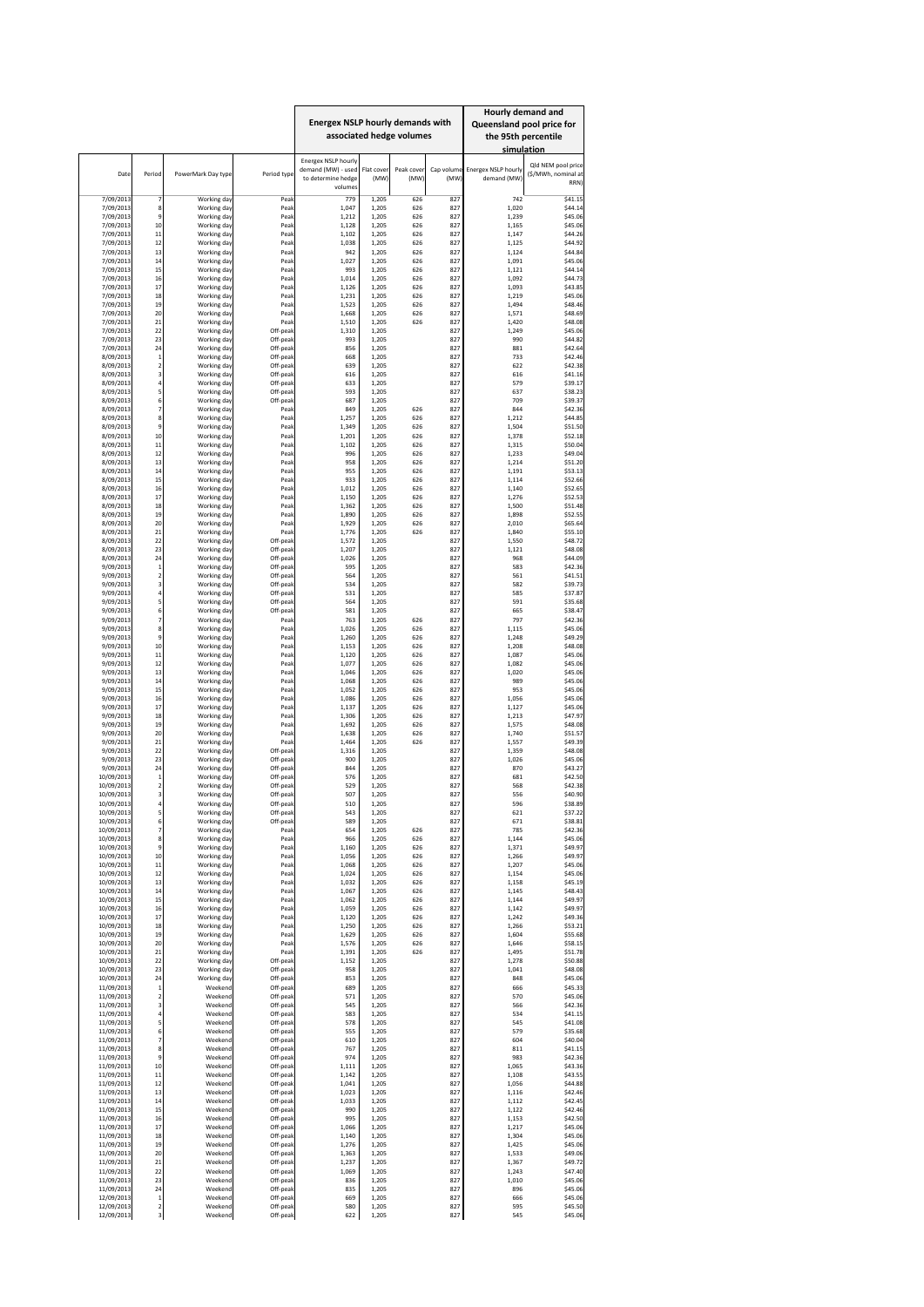|                          |                          |                            |                      | <b>Energex NSLP hourly demands with</b>  |                    |                          |                    | Hourly demand and<br>Queensland pool price for |                     |
|--------------------------|--------------------------|----------------------------|----------------------|------------------------------------------|--------------------|--------------------------|--------------------|------------------------------------------------|---------------------|
|                          |                          |                            |                      |                                          |                    | associated hedge volumes |                    | the 95th percentile                            |                     |
|                          |                          |                            |                      |                                          |                    |                          |                    | simulation                                     |                     |
|                          |                          |                            |                      | Energex NSLP hourly                      |                    |                          |                    |                                                | Qld NEM pool price  |
| Date                     | Period                   | PowerMark Day type         | Period type          | demand (MW) - used<br>to determine hedge | Flat cover<br>(MW) | Peak cover<br>(MW)       | Cap volume<br>(MW) | Energex NSLP hourly<br>demand (MW              | (\$/MWh, nominal at |
|                          |                          |                            |                      | volume:                                  |                    |                          |                    |                                                | RRN)                |
| 7/09/2013                | 8                        | Working day                | Peal                 | 779                                      | 1,205              | 626                      | 827                | 742                                            | \$41.15             |
| 7/09/2013                |                          | Working day                | Peal                 | 1.047                                    | 1.205              | 626                      | 827                | 1.020                                          | \$44.14             |
| 7/09/2013                | 9                        | Working day                | Peal                 | 1,212                                    | 1,205              | 626                      | 827                | 1,239                                          | \$45.06             |
| 7/09/2013                | 10                       | Working day                | Peal                 | 1,128                                    | 1,205              | 626                      | 827                | 1,165                                          | \$45.06             |
| 7/09/2013                | 11                       | Working day                | Peal                 | 1,102                                    | 1,205              | 626                      | 827                | 1,147                                          | \$44.26             |
| 7/09/2013                | 12                       | Working day                | Peal                 | 1,038                                    | 1.205              | 626                      | 827                | 1.125                                          | \$44.92             |
| 7/09/2013                | 13                       | Working day                | Peal                 | 942                                      | 1,205              | 626                      | 827                | 1,124                                          | \$44.84             |
| 7/09/2013                | 14                       | Working day                | Pea                  | 1,027                                    | 1,205              | 626                      | 827                | 1,091                                          | \$45.0              |
| 7/09/2013                | 15                       | Working day                | Peal                 | 993                                      | 1,205              | 626                      | 827                | 1,121                                          | \$44.14             |
| 7/09/2013                | 16                       | Working day                | Peak                 | 1,014                                    | 1,205              | 626                      | 827                | 1.092                                          | \$44.73             |
| 7/09/2013                | 17                       | Working day                | Peak                 | 1,126                                    | 1,205              | 626                      | 827                | 1,093                                          | \$43.85             |
| 7/09/2013                | 18                       | Working day                | Peal                 | 1,231                                    | 1,205              | 626                      | 827                | 1,219                                          | \$45.06             |
| 7/09/2013                | 19                       | Working day                | Peal                 | 1,523                                    | 1,205              | 626                      | 827                | 1,494                                          | \$48.46             |
| 7/09/2013                | 20                       | Working day                | Peak                 | 1,668                                    | 1,205              | 626                      | 827                | 1,571                                          | \$48.69             |
| 7/09/2013                | $\overline{21}$          | Working day                | Peal                 | 1,510                                    | 1.205              | 626                      | 827                | 1.420                                          | \$48.08             |
| 7/09/2013                | 22                       | Working day                | Off-peal             | 1,310                                    | 1,205              |                          | 827                | 1,249                                          | \$45.06             |
| 7/09/2013                | 23                       | Working day                | Off-peal             | 993                                      | 1,205              |                          | 827                | 990                                            | \$44.82             |
| 7/09/2013                | 24                       | Working day                | Off-peal             | 856                                      | 1,205              |                          | 827                | 881                                            | \$42.64             |
| 8/09/2013                | $\mathbf{1}$             | Working day                | Off-peal             | 668                                      | 1.205              |                          | 827                | 733                                            | \$42.46             |
| 8/09/2013                | $\overline{2}$           | Working day                | Off-peal             | 639                                      | 1,205              |                          | 827                | 622                                            | \$42.38             |
| 8/09/2013                | 3                        | Working day                | Off-peal             | 616                                      | 1,205              |                          | 827                | 616                                            | \$41.16             |
| 8/09/2013                | 4                        | Working day                | Off-peal             | 633                                      | 1,205              |                          | 827                | 579                                            | \$39.17             |
| 8/09/2013                | 5                        | Working day                | Off-peal             | 593                                      | 1.205              |                          | 827                | 637                                            | \$38.23             |
| 8/09/2013                | 6                        | Working day                | Off-peal             | 687                                      | 1,205              | 626                      | 827                | 709                                            | \$39.37             |
| 8/09/2013                | 7                        | Working day                | Peal                 | 849                                      | 1,205              |                          | 827                | 844                                            | \$42.36             |
| 8/09/2013                | 8                        | Working day                | Peal                 | 1,257                                    | 1,205              | 626                      | 827                | 1,212                                          | \$44.85             |
| 8/09/2013                | 9                        | Working day                | Peal                 | 1,349                                    | 1,205              | 626                      | 827                | 1.504                                          | \$51.50             |
| 8/09/2013                | 10                       | Working day                | Peak                 | 1,201                                    | 1,205              | 626                      | 827                | 1,378                                          | \$52.18             |
| 8/09/2013                | 11<br>12                 | Working day                | Peal<br>Peak         | 1,102<br>996                             | 1,205              | 626<br>626               | 827<br>827         | 1,315                                          | \$50.04<br>\$49.04  |
| 8/09/2013<br>8/09/2013   | 13                       | Working day<br>Working day | Peak                 | 958                                      | 1,205<br>1.205     | 626                      | 827                | 1,233<br>1.214                                 | \$51.20             |
| 8/09/2013                | 14                       | Working day                | Peal                 | 955                                      | 1,205              | 626                      | 827                | 1,191                                          | \$53.13             |
| 8/09/2013                | 15                       | Working day                | Peal                 | 933                                      | 1,205              | 626                      | 827                | 1,114                                          | \$52.6              |
| 8/09/2013                | 16                       | Working day                | Peal                 | 1,012                                    | 1,205              | 626                      | 827                | 1,140                                          | \$52.6              |
| 8/09/2013                | 17                       | Working day                | Peal                 | 1,150                                    | 1,205              | 626                      | 827                | 1,276                                          | \$52.5              |
| 8/09/2013                | 18                       | Working day                | Peal                 | 1.362                                    | 1.205              | 626                      | 827                | 1.500                                          | \$51.48             |
| 8/09/2013                | 19                       | Working day                | Peal                 | 1,890                                    | 1,205              | 626                      | 827                | 1,898                                          | \$52.55             |
| 8/09/2013                | 20                       | Working day                | Peal                 | 1,929                                    | 1,205              | 626                      | 827                | 2,010                                          | \$65.64             |
| 8/09/2013                | 21                       | Working day                | Peal                 | 1,776                                    | 1,205              | 626                      | 827                | 1,840                                          | \$55.10             |
| 8/09/2013                | $\overline{2}$           | Working day                | Off-peal             | 1.572                                    | 1.205              |                          | 827                | 1.550                                          | \$48.72             |
| 8/09/2013                | 23                       | Working day                | Off-peal             | 1,207                                    | 1,205              |                          | 827                | 1,121                                          | \$48.08             |
| 8/09/2013                | 24                       | Working day                | Off-peal             | 1,026                                    | 1,205              |                          | 827<br>827         | 968                                            | \$44.09<br>\$42.36  |
| 9/09/2013<br>9/09/2013   | -1<br>$\overline{2}$     | Working day<br>Working day | Off-peal<br>Off-peal | 595<br>564                               | 1,205<br>1,205     |                          | 827                | 583<br>561                                     | \$41.51             |
| 9/09/2013                | 3                        | Working day                | Off-peak             | 534                                      | 1,205              |                          | 827                | 582                                            | \$39.73             |
| 9/09/2013                | 4                        | Working day                | Off-peal             | 531                                      | 1,205              |                          | 827                | 585                                            | \$37.87             |
| 9/09/2013                | 5                        | Working day                | Off-peal             | 564                                      | 1,205              |                          | 827                | 591                                            | \$35.68             |
| 9/09/2013                | 6                        | Working day                | Off-peal             | 581                                      | 1.205              | 626                      | 827                | 665                                            | \$38.47             |
| 9/09/2013                | 7                        | Working day                | Peal                 | 763                                      | 1,205              |                          | 827                | 797                                            | \$42.36             |
| 9/09/2013                | 8                        | Working day                | Peal                 | 1,026                                    | 1,205              | 626                      | 827                | 1,115                                          | \$45.0              |
| 9/09/2013                | q                        | Working day                | Peal                 | 1,260                                    | 1,205              | 626                      | 827                | 1,248                                          | \$49.29             |
| 9/09/2013                | 10                       | Working day                | Peal                 | 1,153                                    | 1.205              | 626                      | 827                | 1.208                                          | \$48.08             |
| 9/09/2013                | 11                       | Working day                | Peal                 | 1,120                                    | 1,205              | 626                      | 827                | 1,087                                          | \$45.06             |
| 9/09/2013                | 12                       | Working day                | Peal                 | 1,077                                    | 1,205              | 626                      | 827                | 1,082                                          | \$45.06             |
| 9/09/2013                | 13<br>14                 | Working day                | Peal<br>Peal         | 1,046<br>1.068                           | 1,205<br>1.205     | 626<br>626               | 827<br>827         | 1,020<br>989                                   | \$45.06<br>\$45.06  |
| 9/09/2013<br>9/09/2013   | 15                       | Working day<br>Working day | Peal                 | 1,052                                    | 1,205              | 626                      | 827                | 953                                            | \$45.06             |
| 9/09/2013                | 16                       | Working day                | Peal                 | 1,086                                    | 1,205              | 626                      | 827                | 1,056                                          | \$45.0              |
| 9/09/2013                | 17                       | Working day                | Pea                  | 1,137                                    | 1,205              | 626                      | 827                | 1,127                                          | \$45.06             |
| 9/09/2013                | 18                       | Working day                | Peal                 | 1,306                                    | 1,205              | 626                      | 827                | 1,213                                          | \$47.97             |
| 9/09/2013                | 19                       | Working day                | Peal                 | 1,692                                    | 1,205              | 626                      | 827                | 1.575                                          | \$48.08             |
| 9/09/2013                | 20                       | Working day                | Peak                 | 1,638                                    | 1,205              | 626                      | 827                | 1,740                                          | \$51.57             |
| 9/09/2013                | 21<br>22                 | Working day                | Peal<br>Off-peak     | 1,464<br>1,316                           | 1,205<br>1,205     | 626                      | 827<br>827         | 1,557<br>1,359                                 | \$49.39<br>\$48.08  |
| 9/09/2013<br>9/09/2013   | 23                       | Working day<br>Working day | Off-peal             | 900                                      | 1.205              |                          | 827                | 1.026                                          | \$45.06             |
| 9/09/2013                | 24                       | Working day                | Off-peal             | 844                                      | 1,205              |                          | 827                | 870                                            | \$43.27             |
| 10/09/2013               | 1                        | Working day                | Off-peal             | 576                                      | 1,205              |                          | 827                | 681                                            | \$42.50             |
| 10/09/2013               | $\overline{\mathbf{z}}$  | Working day                | Off-peal             | 529                                      | 1,205              |                          | 827                | 568                                            | \$42.38             |
| 10/09/2013<br>10/09/2013 | 3                        | Working day<br>Working day | Off-peak<br>Off-peak | 507<br>510                               | 1,205<br>1.205     |                          | 827<br>827         | 556<br>596                                     | \$40.90<br>\$38.89  |
| 10/09/2013               | 5                        | Working day                | Off-peak             | 543                                      | 1,205              |                          | 827                | 621                                            | \$37.22             |
| 10/09/2013               | 6                        | Working day                | Off-peak             | 589                                      | 1,205              |                          | 827                | 671                                            | \$38.81             |
| 10/09/2013               | $\overline{\phantom{a}}$ | Working day                | Peal                 | 654                                      | 1,205              | 626                      | 827                | 785                                            | \$42.36             |
| 10/09/2013               | 8                        | Working day                | Peal                 | 966                                      | 1,205              | 626                      | 827                | 1,144                                          | \$45.06             |
| 10/09/2013               | 9                        | Working day                | Peal                 | 1,160                                    | 1,205              | 626                      | 827                | 1,371                                          | \$49.97             |
| 10/09/2013               | 10                       | Working day                | Peal                 | 1,056                                    | 1,205              | 626                      | 827                | 1,266                                          | \$49.97             |
| 10/09/2013               | 11                       | Working day                | Peak                 | 1,068                                    | 1,205              | 626                      | 827                | 1,207                                          | \$45.06             |
| 10/09/2013               | 12                       | Working day                | Peak                 | 1,024                                    | 1,205              | 626                      | 827                | 1,154                                          | \$45.06             |
| 10/09/2013               | 13                       | Working day                | Peak                 | 1,032                                    | 1,205              | 626                      | 827                | 1,158                                          | \$45.19             |
| 10/09/2013               | 14                       | Working day                | Peak                 | 1,067                                    | 1,205              | 626                      | 827                | 1,145                                          | \$48.43             |
| 10/09/2013               | 15<br>16                 | Working day                | Peak<br>Peak         | 1,062                                    | 1,205<br>1,205     | 626<br>626               | 827<br>827         | 1,144<br>1.142                                 | \$49.97<br>\$49.97  |
| 10/09/2013<br>10/09/2013 | 17                       | Working day<br>Working day | Peak                 | 1,059<br>1,120                           | 1,205              | 626                      | 827                | 1,242                                          | \$49.36             |
| 10/09/2013               | 18                       | Working day                | Peal                 | 1,250                                    | 1,205              | 626                      | 827                | 1,266                                          | \$53.21             |
| 10/09/2013               | 19                       | Working day                | Peal                 | 1,629                                    | 1,205              | 626                      | 827                | 1,604                                          | \$55.68             |
| 10/09/2013               | 20                       | Working day                | Peak                 | 1,576                                    | 1.205              | 626                      | 827                | 1,646                                          | \$58.15             |
| 10/09/2013               | 21                       | Working day                | Peak                 | 1,391                                    | 1,205              | 626                      | 827                | 1,495                                          | \$51.78             |
| 10/09/2013               | 22                       | Working day                | Off-peal             | 1,152                                    | 1,205              |                          | 827                | 1,278                                          | \$50.88             |
| 10/09/2013               | 23                       | Working day                | Off-peak             | 958                                      | 1,205              |                          | 827                | 1,041                                          | \$48.08             |
| 10/09/2013               | 24                       | Working day                | Off-peak             | 853                                      | 1,205              |                          | 827                | 848                                            | \$45.06             |
| 11/09/2013               | 1                        | Weekend                    | Off-peal             | 689                                      | 1,205              |                          | 827                | 666                                            | \$45.33             |
| 11/09/2013               | $\overline{\mathbf{c}}$  | Weekend                    | Off-peal             | 571                                      | 1,205              |                          | 827                | 570                                            | \$45.06             |
| 11/09/2013               | 3                        | Weekend                    | Off-peak             | 545                                      | 1,205              |                          | 827                | 566                                            | \$42.36             |
| 11/09/2013               | 4                        | Weekend                    | Off-peak             | 583                                      | 1,205              |                          | 827                | 534                                            | \$41.15             |
| 11/09/2013               | 5                        | Weekend                    | Off-peak             | 578                                      | 1,205              |                          | 827                | 545                                            | \$41.08             |
| 11/09/2013               | 6                        | Weekend                    | Off-peak             | 555                                      | 1,205              |                          | 827                | 579                                            | \$35.68             |
| 11/09/2013               | $\overline{7}$           | Weekend                    | Off-peak             | 610                                      | 1,205              |                          | 827                | 604                                            | \$40.04             |
| 11/09/2013               | 8                        | Weekend                    | Off-peak             | 767                                      | 1,205              |                          | 827                | 811                                            | \$41.15             |
| 11/09/2013               | 9                        | Weekend                    | Off-peak             | 974                                      | 1,205              |                          | 827                | 983                                            | \$42.36             |
| 11/09/2013               | 10                       | Weekend                    | Off-peal             | 1,111                                    | 1,205              |                          | 827                | 1,065                                          | \$43.36             |
| 11/09/2013               | 11                       | Weekend                    | Off-peak             | 1,142                                    | 1,205              |                          | 827                | 1,108                                          | \$43.55             |
| 11/09/2013               | 12                       | Weekend                    | Off-peal             | 1,041                                    | 1,205              |                          | 827                | 1,056                                          | \$44.88             |
| 11/09/2013               | 13                       | Weekend                    | Off-peal             | 1,023                                    | 1,205              |                          | 827                | 1,116                                          | \$42.46             |
| 11/09/2013               | 14                       | Weekend                    | Off-peak             | 1,033                                    | 1,205              |                          | 827                | 1,112                                          | \$42.45             |
| 11/09/2013               | 15                       | Weekend                    | Off-peak             | 990                                      | 1,205              |                          | 827                | 1,122                                          | \$42.46             |
| 11/09/2013               | 16                       | Weekend                    | Off-peal             | 995                                      | 1,205              |                          | 827                | 1,153                                          | \$42.50             |
| 11/09/2013               | 17                       | Weekend                    | Off-peak             | 1.066                                    | 1,205              |                          | 827                | 1.217                                          | \$45.06             |
| 11/09/2013               | 18                       | Weekend                    | Off-peak             | 1,140                                    | 1,205              |                          | 827                | 1,304                                          | \$45.06             |
| 11/09/2013               | 19                       | Weekend                    | Off-peal             | 1,276                                    | 1,205              |                          | 827                | 1,425                                          | \$45.06             |
| 11/09/2013               | 20                       | Weekend                    | Off-peak             | 1,363                                    | 1,205              |                          | 827                | 1,533                                          | \$49.06             |
| 11/09/2013               | 21                       | Weekend                    | Off-peak             | 1,237                                    | 1,205              |                          | 827                | 1,367                                          | \$49.72             |
| 11/09/2013               | 22                       | Weekend                    | Off-peak             | 1,069                                    | 1,205              |                          | 827                | 1,243                                          | \$47.40             |
| 11/09/2013               | 23                       | Weekend                    | Off-peak             | 836                                      | 1,205              |                          | 827                | 1,010                                          | \$45.06             |
| 11/09/2013               | 24                       | Weekend                    | Off-peak             | 835                                      | 1,205              |                          | 827                | 896                                            | \$45.06             |
| 12/09/2013               | $\mathbf{1}$             | Weekend                    | Off-peak             | 669                                      | 1,205              |                          | 827                | 666                                            | \$45.06             |
| 12/09/2013               | $\overline{a}$           | Weekend                    | Off-peak             | 580                                      | 1,205              |                          | 827                | 595                                            | \$45.50             |
| 12/09/2013               | 3                        | Weekend                    | Off-peak             | 622                                      | 1,205              |                          | 827                | 545                                            | \$45.06             |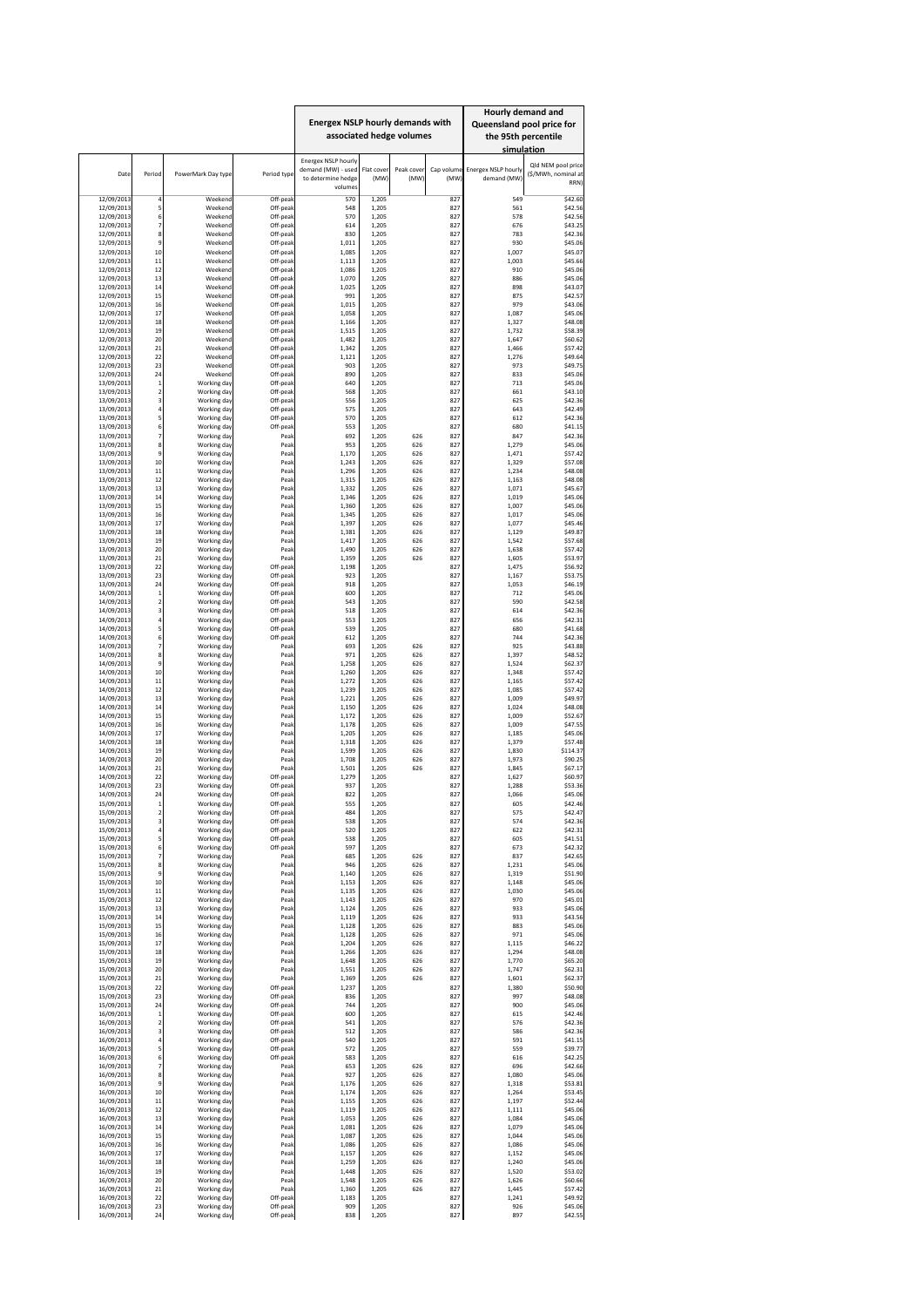|                          |                                                    |                            |                      |                                          |                    |                          | Hourly demand and |                                    |                     |
|--------------------------|----------------------------------------------------|----------------------------|----------------------|------------------------------------------|--------------------|--------------------------|-------------------|------------------------------------|---------------------|
|                          |                                                    |                            |                      | <b>Energex NSLP hourly demands with</b>  |                    |                          |                   | Queensland pool price for          |                     |
|                          |                                                    |                            |                      |                                          |                    | associated hedge volumes |                   | the 95th percentile                |                     |
|                          |                                                    |                            |                      |                                          |                    |                          |                   | simulation                         |                     |
|                          |                                                    |                            |                      | Energex NSLP hourly                      |                    |                          |                   |                                    | Qld NEM pool price  |
| Date                     | Period                                             | PowerMark Day type         | Period type          | demand (MW) - used<br>to determine hedge | Flat cover<br>(MW) | Peak cover<br>(MW)       | Cap volume<br>(MW | Energex NSLP hourly<br>demand (MW) | (\$/MWh, nominal at |
|                          |                                                    |                            |                      | volume:                                  |                    |                          |                   |                                    | <b>RRN</b>          |
| 12/09/2013               | 4                                                  | Weekend                    | Off-peal             | 570                                      | 1,205              |                          | 827               | 549                                | \$42.60             |
| 12/09/2013<br>12/09/2013 | 5<br>6                                             | Weekend<br>Weekend         | Off-peal<br>Off-peak | 548<br>570                               | 1,205<br>1,205     |                          | 827<br>827        | 561<br>578                         | \$42.56<br>\$42.56  |
| 12/09/2013               | 7                                                  | Weekend                    | Off-peal             | 614                                      | 1,205              |                          | 827               | 676                                | \$43.25             |
| 12/09/2013               | 8<br>ś                                             | Weekend<br>Weekend         | Off-peal             | 830                                      | 1.205              |                          | 827<br>827        | 783<br>930                         | \$42.36<br>\$45.06  |
| 12/09/2013<br>12/09/2013 | 10                                                 | Weekend                    | Off-peal<br>Off-peal | 1,011<br>1,085                           | 1,205<br>1,205     |                          | 827               | 1,007                              | \$45.07             |
| 12/09/2013               | 11                                                 | Weekend                    | Off-peal             | 1,113                                    | 1,205              |                          | 827               | 1,003                              | \$45.66             |
| 12/09/2013<br>12/09/2013 | 12<br>13                                           | Weekend<br>Weekend         | Off-peal<br>Off-peal | 1.086<br>1,070                           | 1.205<br>1,205     |                          | 827<br>827        | 910<br>886                         | \$45.06<br>\$45.06  |
| 12/09/2013               | 14                                                 | Weekend                    | Off-peal             | 1,025                                    | 1,205              |                          | 827               | 898                                | \$43.07             |
| 12/09/2013<br>12/09/2013 | 15<br>16                                           | Weekend<br>Weekend         | Off-peal<br>Off-peal | 991<br>1,015                             | 1,205<br>1,205     |                          | 827<br>827        | 875<br>979                         | \$42.57<br>\$43.06  |
| 12/09/2013               | 17                                                 | Weekend                    | Off-peal             | 1.058                                    | 1.205              |                          | 827               | 1,087                              | \$45.06             |
| 12/09/2013               | 18                                                 | Weekend                    | Off-peal             | 1,166                                    | 1,205              |                          | 827               | 1,327                              | \$48.08             |
| 12/09/2013<br>12/09/2013 | 19<br>20                                           | Weekend<br>Weekend         | Off-peal<br>Off-peal | 1,515<br>1,482                           | 1,205<br>1,205     |                          | 827<br>827        | 1,732<br>1,647                     | \$58.39<br>\$60.62  |
| 12/09/2013               | 21                                                 | Weekend                    | Off-peal             | 1.342                                    | 1.205              |                          | 827               | 1,466                              | \$57.42             |
| 12/09/2013<br>12/09/2013 | 22<br>23                                           | Weekend<br>Weekend         | Off-peal<br>Off-peak | 1,121<br>903                             | 1,205<br>1,205     |                          | 827<br>827        | 1,276<br>973                       | \$49.64<br>\$49.75  |
| 12/09/2013               | 24                                                 | Weekend                    | Off-peal             | 890                                      | 1,205              |                          | 827               | 833                                | \$45.06             |
| 13/09/2013<br>13/09/2013 | $\overline{1}$<br>$\overline{\mathbf{2}}$          | Working day<br>Working day | Off-peal<br>Off-peal | 640<br>568                               | 1.205<br>1,205     |                          | 827<br>827        | 713<br>661                         | \$45.06<br>\$43.10  |
| 13/09/2013               | 3                                                  | Working day                | Off-peal             | 556                                      | 1,205              |                          | 827               | 625                                | \$42.36             |
| 13/09/2013               | 4                                                  | Working day                | Off-peal             | 575<br>570                               | 1,205<br>1.205     |                          | 827<br>827        | 643<br>612                         | \$42.49<br>\$42.36  |
| 13/09/2013<br>13/09/2013 | 5<br>6                                             | Working day<br>Working day | Off-peal<br>Off-peak | 553                                      | 1,205              |                          | 827               | 680                                | \$41.15             |
| 13/09/2013               | $\overline{7}$                                     | Working day                | Peal                 | 692                                      | 1,205              | 626                      | 827               | 847                                | \$42.36             |
| 13/09/2013<br>13/09/2013 | 8<br>$\overline{9}$                                | Working day<br>Working day | Peal<br>Peak         | 953<br>1,170                             | 1,205<br>1.205     | 626<br>626               | 827<br>827        | 1,279<br>1.471                     | \$45.06<br>\$57.42  |
| 13/09/2013               | 10                                                 | Working day                | Peal                 | 1,243                                    | 1,205              | 626                      | 827               | 1,329                              | \$57.08             |
| 13/09/2013<br>13/09/2013 | 11<br>12                                           | Working day<br>Working day | Peal<br>Peal         | 1,296<br>1,315                           | 1,205<br>1,205     | 626<br>626               | 827<br>827        | 1,234<br>1,163                     | \$48.08<br>\$48.08  |
| 13/09/2013               | 13                                                 | Working day                | Peal                 | 1,332                                    | 1.205              | 626                      | 827               | 1,071                              | \$45.67             |
| 13/09/2013<br>13/09/2013 | 14<br>15                                           | Working day<br>Working day | Peal<br>Peal         | 1.346<br>1,360                           | 1.205<br>1,205     | 626<br>626               | 827<br>827        | 1,019<br>1,007                     | \$45.06<br>\$45.06  |
| 13/09/2013               | 16                                                 | Working day                | Peal                 | 1,345                                    | 1,205              | 626                      | 827               | 1,017                              | \$45.06             |
| 13/09/2013               | 17<br>18                                           | Working day                | Peal<br>Peal         | 1,397<br>1.381                           | 1,205              | 626<br>626               | 827<br>827        | 1,077                              | \$45.46<br>\$49.87  |
| 13/09/2013<br>13/09/2013 | 19                                                 | Working day<br>Working day | Peal                 | 1,417                                    | 1.205<br>1,205     | 626                      | 827               | 1.129<br>1,542                     | \$57.68             |
| 13/09/2013               | 20                                                 | Working day                | Peal                 | 1,490                                    | 1,205              | 626                      | 827               | 1,638                              | \$57.42             |
| 13/09/2013<br>13/09/2013 | 21<br>22                                           | Working day<br>Working day | Peal<br>Off-peak     | 1,359<br>1.198                           | 1,205<br>1.205     | 626                      | 827<br>827        | 1,605<br>1,475                     | \$53.97<br>\$56.92  |
| 13/09/2013               | 23                                                 | Working day                | Off-peal             | 923                                      | 1,205              |                          | 827               | 1,167                              | \$53.75             |
| 13/09/2013<br>14/09/2013 | 24<br>$\mathbf{1}$                                 | Working day<br>Working day | Off-peak<br>Off-peal | 918<br>600                               | 1,205<br>1,205     |                          | 827<br>827        | 1,053<br>712                       | \$46.19<br>\$45.06  |
| 14/09/2013               | $\overline{2}$                                     | Working day                | Off-peal             | 543                                      | 1.205              |                          | 827               | 590                                | \$42.58             |
| 14/09/2013               | 3                                                  | Working day                | Off-peal             | 518                                      | 1,205              |                          | 827               | 614                                | \$42.36             |
| 14/09/2013<br>14/09/2013 | 4<br>5                                             | Working day<br>Working day | Off-peal<br>Off-peal | 553<br>539                               | 1,205<br>1,205     |                          | 827<br>827        | 656<br>680                         | \$42.3<br>\$41.68   |
| 14/09/2013               | 6                                                  | Working day                | Off-peal             | 612                                      | 1.205              |                          | 827               | 744                                | \$42.36             |
| 14/09/2013<br>14/09/2013 | 7<br>8                                             | Working day<br>Working day | Peak<br>Peal         | 693<br>971                               | 1,205<br>1,205     | 626<br>626               | 827<br>827        | 925<br>1,397                       | \$43.88<br>\$48.52  |
| 14/09/2013               | q                                                  | Working day                | Peal                 | 1,258                                    | 1,205              | 626                      | 827               | 1,524                              | \$62.37             |
| 14/09/2013<br>14/09/2013 | 10<br>11                                           | Working day<br>Working day | Peal<br>Peal         | 1.260<br>1,272                           | 1.205<br>1,205     | 626<br>626               | 827<br>827        | 1,348<br>1,165                     | \$57.42<br>\$57.42  |
| 14/09/2013               | 12                                                 | Working day                | Peal                 | 1,239                                    | 1,205              | 626                      | 827               | 1,085                              | \$57.42             |
| 14/09/2013               | 13<br>14                                           | Working day                | Peal                 | 1,221                                    | 1,205              | 626<br>626               | 827<br>827        | 1,009                              | \$49.97             |
| 14/09/2013<br>14/09/2013 | 15                                                 | Working day<br>Working day | Peal<br>Peak         | 1,150<br>1.172                           | 1,205<br>1.205     | 626                      | 827               | 1,024<br>1,009                     | \$48.08<br>\$52.67  |
| 14/09/2013               | 16                                                 | Working day                | Peak                 | 1,178                                    | 1,205              | 626                      | 827               | 1,009                              | \$47.55             |
| 14/09/2013<br>14/09/2013 | 17<br>18                                           | Working day<br>Working day | Peal<br>Peal         | 1,205<br>1,318                           | 1,205<br>1,205     | 626<br>626               | 827<br>827        | 1,185<br>1,379                     | \$45.06<br>\$57.48  |
| 14/09/2013               | 19                                                 | Working day                | Peak                 | 1,599                                    | 1.205              | 626                      | 827               | 1,830                              | \$114.37            |
| 14/09/2013<br>14/09/2013 | 20<br>21                                           | Working day<br>Working day | Peak<br>Peal         | 1,708<br>1,501                           | 1,205<br>1,205     | 626<br>626               | 827<br>827        | 1,973<br>1,845                     | \$90.25<br>\$67.17  |
| 14/09/2013               | 22                                                 | Working day                | Off-peal             | 1,279                                    | 1,205              |                          | 827               | 1,627                              | \$60.97             |
| 14/09/2013<br>14/09/2013 | 23<br>24                                           | Working day<br>Working day | Off-peal<br>Off-peak | 937<br>822                               | 1.205<br>1,205     |                          | 827<br>827        | 1.288<br>1,066                     | \$53.36<br>\$45.06  |
| 15/09/2013               |                                                    | Working day                | Off-pea              | 555                                      | 1,205              |                          | 827               | 605                                | \$42.46             |
| 15/09/2013<br>15/09/2013 | $\overline{\mathbf{2}}$<br>$\overline{\mathbf{3}}$ | Working day<br>Working day | Off-peak<br>Off-peak | 484<br>538                               | 1,205<br>1,205     |                          | 827<br>827        | 575<br>574                         | \$42.47<br>\$42.36  |
| 15/09/2013               | 4                                                  | Working day                | Off-peak             | 520                                      | 1,205              |                          | 827               | 622                                | \$42.31             |
| 15/09/2013               | 5                                                  | Working day                | Off-peak             | 538                                      | 1,205              |                          | 827<br>827        | 605                                | \$41.51             |
| 15/09/2013<br>15/09/2013 | 6<br>$\overline{7}$                                | Working day<br>Working day | Off-peak<br>Peak     | 597<br>685                               | 1,205<br>1,205     | 626                      | 827               | 673<br>837                         | \$42.32<br>\$42.65  |
| 15/09/2013               | 8                                                  | Working day                | Peak                 | 946                                      | 1,205              | 626                      | 827               | 1,231                              | \$45.06             |
| 15/09/2013<br>15/09/2013 | 9<br>10                                            | Working day<br>Working day | Peak<br>Peak         | 1,140<br>1,153                           | 1,205<br>1,205     | 626<br>626               | 827<br>827        | 1,319<br>1,148                     | \$51.90<br>\$45.06  |
| 15/09/2013               | 11                                                 | Working day                | Peak                 | 1,135                                    | 1,205              | 626                      | 827               | 1,030                              | \$45.06             |
| 15/09/2013<br>15/09/2013 | 12<br>13                                           | Working day<br>Working day | Peak<br>Peak         | 1,143<br>1,124                           | 1,205<br>1,205     | 626<br>626               | 827<br>827        | 970<br>933                         | \$45.01<br>\$45.06  |
| 15/09/2013               | 14                                                 | Working day                | Peak                 | 1,119                                    | 1,205              | 626                      | 827               | 933                                | \$43.56             |
| 15/09/2013<br>15/09/2013 | 15<br>16                                           | Working day<br>Working day | Peal<br>Peak         | 1,128<br>1,128                           | 1,205<br>1.205     | 626<br>626               | 827<br>827        | 883<br>971                         | \$45.06<br>\$45.06  |
| 15/09/2013               | 17                                                 | Working day                | Peak                 | 1,204                                    | 1,205              | 626                      | 827               | 1,115                              | \$46.22             |
| 15/09/2013               | 18<br>19                                           | Working day                | Peal                 | 1,266                                    | 1,205              | 626                      | 827<br>827        | 1,294                              | \$48.08             |
| 15/09/2013<br>15/09/2013 | 20                                                 | Working day<br>Working day | Peal<br>Peak         | 1,648<br>1.551                           | 1,205<br>1.205     | 626<br>626               | 827               | 1,770<br>1,747                     | \$65.20<br>\$62.31  |
| 15/09/2013               | 21                                                 | Working day                | Peak                 | 1,369                                    | 1,205              | 626                      | 827               | 1,601                              | \$62.37             |
| 15/09/2013<br>15/09/2013 | 22<br>23                                           | Working day<br>Working day | Off-peak<br>Off-peak | 1,237<br>836                             | 1,205<br>1,205     |                          | 827<br>827        | 1,380<br>997                       | \$50.90<br>\$48.08  |
| 15/09/2013               | 24                                                 | Working day                | Off-peak             | 744                                      | 1,205              |                          | 827               | 900                                | \$45.06             |
| 16/09/2013<br>16/09/2013 | $\mathbf 1$<br>$\mathbf 2$                         | Working day<br>Working day | Off-peak<br>Off-peak | 600<br>541                               | 1,205<br>1,205     |                          | 827<br>827        | 615<br>576                         | \$42.46<br>\$42.36  |
| 16/09/2013               | $\overline{\mathbf{3}}$                            | Working day                | Off-peak             | 512                                      | 1,205              |                          | 827               | 586                                | \$42.36             |
| 16/09/2013<br>16/09/2013 | $\ddot{4}$<br>5                                    | Working day<br>Working day | Off-peak<br>Off-peak | 540<br>572                               | 1,205<br>1,205     |                          | 827<br>827        | 591<br>559                         | \$41.15<br>\$39.77  |
| 16/09/2013               | 6                                                  | Working day                | Off-peak             | 583                                      | 1,205              |                          | 827               | 616                                | \$42.25             |
| 16/09/2013               | $\overline{7}$<br>8                                | Working day                | Peal                 | 653<br>927                               | 1,205              | 626<br>626               | 827<br>827        | 696                                | \$42.66             |
| 16/09/2013<br>16/09/2013 | 9                                                  | Working day<br>Working day | Peal<br>Peak         | 1.176                                    | 1,205<br>1.205     | 626                      | 827               | 1,080<br>1,318                     | \$45.06<br>\$53.81  |
| 16/09/2013               | 10                                                 | Working day                | Peak                 | 1,174                                    | 1,205              | 626                      | 827               | 1,264                              | \$53.45             |
| 16/09/2013<br>16/09/2013 | 11<br>12                                           | Working day<br>Working day | Peal<br>Peal         | 1,155<br>1,119                           | 1,205<br>1,205     | 626<br>626               | 827<br>827        | 1,197<br>1,111                     | \$52.44<br>\$45.06  |
| 16/09/2013               | 13                                                 | Working day                | Peak                 | 1.053                                    | 1,205              | 626                      | 827               | 1,084                              | \$45.06             |
| 16/09/2013<br>16/09/2013 | 14<br>15                                           | Working day<br>Working day | Peak<br>Peak         | 1,081<br>1,087                           | 1,205<br>1,205     | 626<br>626               | 827<br>827        | 1,079<br>1,044                     | \$45.06<br>\$45.06  |
| 16/09/2013               | 16                                                 | Working day                | Peak                 | 1,086                                    | 1,205              | 626                      | 827               | 1,086                              | \$45.06             |
| 16/09/2013               | 17                                                 | Working day                | Peak                 | 1,157                                    | 1.205              | 626<br>626               | 827<br>827        | 1,152                              | \$45.06             |
| 16/09/2013<br>16/09/2013 | 18<br>19                                           | Working day<br>Working day | Peak<br>Peak         | 1,259<br>1,448                           | 1,205<br>1,205     | 626                      | 827               | 1,240<br>1,520                     | \$45.06<br>\$53.02  |
| 16/09/2013               | 20                                                 | Working day                | Peak                 | 1,548                                    | 1,205              | 626                      | 827               | 1,626                              | \$60.66             |
| 16/09/2013<br>16/09/2013 | 21<br>22                                           | Working day<br>Working day | Peak<br>Off-peak     | 1,360<br>1,183                           | 1,205<br>1,205     | 626                      | 827<br>827        | 1,445<br>1,241                     | \$57.42<br>\$49.92  |
| 16/09/2013               | 23                                                 | Working day                | Off-peak             | 909                                      | 1,205              |                          | 827               | 926                                | \$45.06             |
| 16/09/2013               | 24                                                 | Working day                | Off-peak             | 838                                      | 1,205              |                          | 827               | 897                                | \$42.5              |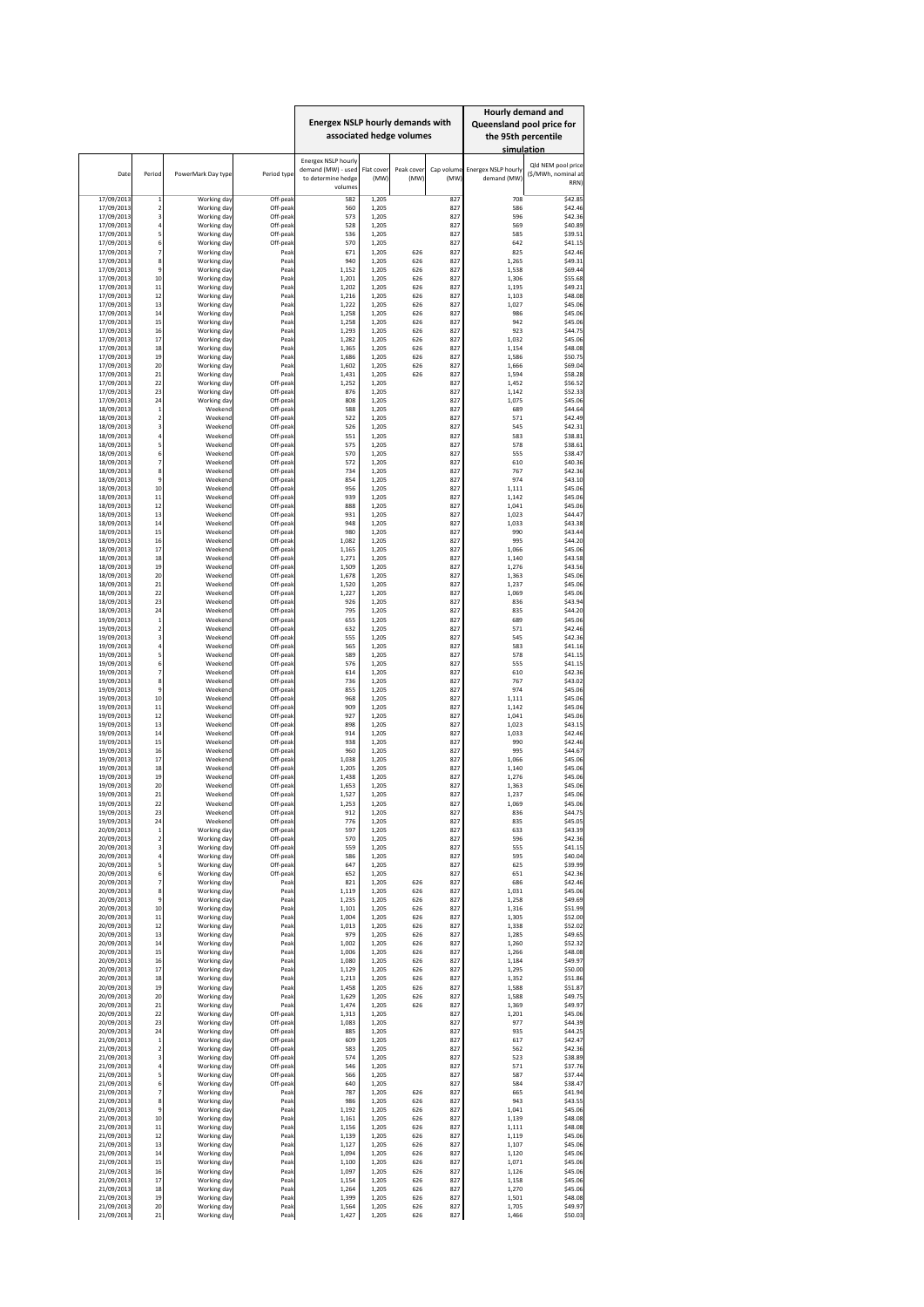|                          |                                |                            |                      |                                         |                |                          |            | Hourly demand and         |                                           |
|--------------------------|--------------------------------|----------------------------|----------------------|-----------------------------------------|----------------|--------------------------|------------|---------------------------|-------------------------------------------|
|                          |                                |                            |                      | <b>Energex NSLP hourly demands with</b> |                |                          |            | Queensland pool price for |                                           |
|                          |                                |                            |                      |                                         |                | associated hedge volumes |            | the 95th percentile       |                                           |
|                          |                                |                            |                      | Energex NSLP hourly                     |                |                          |            | simulation                |                                           |
| Date                     | Period                         | PowerMark Day type         | Period type          | demand (MW) - used                      | Flat cover     | Peak cover               | Cap volume | Energex NSLP hourly       | Qld NEM pool price<br>(\$/MWh, nominal at |
|                          |                                |                            |                      | to determine hedge<br>volumes           | (MW)           | (MW)                     | (MW)       | demand (MW)               | RRN)                                      |
| 17/09/2013               | $\mathbf{1}$                   | Working day                | Off-peal             | 582                                     | 1,205          |                          | 827        | 708                       | \$42.85                                   |
| 17/09/2013               | $\overline{\mathbf{c}}$        | Working day                | Off-peal             | 560                                     | 1,205          |                          | 827        | 586                       | \$42.46                                   |
| 17/09/2013<br>17/09/2013 | 3<br>4                         | Working day<br>Working day | Off-peal<br>Off-peal | 573<br>528                              | 1.205<br>1,205 |                          | 827<br>827 | 596<br>569                | \$42.36<br>\$40.89                        |
| 17/09/2013               | 5                              | Working day                | Off-peal             | 536                                     | 1,205          |                          | 827        | 585                       | \$39.51                                   |
| 17/09/2013               | 6<br>7                         | Working day<br>Working day | Off-peak<br>Peak     | 570<br>671                              | 1,205<br>1.205 | 626                      | 827<br>827 | 642<br>825                | \$41.15<br>\$42.46                        |
| 17/09/2013<br>17/09/2013 | 8                              | Working day                | Peak                 | 940                                     | 1,205          | 626                      | 827        | 1,265                     | \$49.31                                   |
| 17/09/2013               | 9                              | Working day                | Peal                 | 1,152                                   | 1,205          | 626                      | 827        | 1,538                     | \$69.44                                   |
| 17/09/2013<br>17/09/2013 | 10<br>11                       | Working day<br>Working day | Peal<br>Peak         | 1,201<br>1,202                          | 1,205<br>1.205 | 626<br>626               | 827<br>827 | 1,306<br>1,195            | \$55.68<br>\$49.21                        |
| 17/09/2013               | 12                             | Working day                | Peak                 | 1,216                                   | 1,205          | 626                      | 827        | 1,103                     | \$48.08                                   |
| 17/09/2013<br>17/09/2013 | 13<br>14                       | Working day<br>Working day | Peak<br>Peal         | 1,222<br>1,258                          | 1,205<br>1,205 | 626<br>626               | 827<br>827 | 1,027<br>986              | \$45.06<br>\$45.06                        |
| 17/09/2013               | 15                             | Working day                | Peal                 | 1,258                                   | 1,205          | 626                      | 827        | 942                       | \$45.06                                   |
| 17/09/2013<br>17/09/2013 | 16<br>17                       | Working day<br>Working day | Peak<br>Peak         | 1.293<br>1,282                          | 1,205<br>1,205 | 626<br>626               | 827<br>827 | 923<br>1,032              | \$44.75<br>\$45.06                        |
| 17/09/2013               | 18                             | Working day                | Peal                 | 1,365                                   | 1,205          | 626                      | 827        | 1,154                     | \$48.08                                   |
| 17/09/2013<br>17/09/2013 | 19<br>20                       | Working day<br>Working day | Peal<br>Peak         | 1,686<br>1.602                          | 1,205<br>1.205 | 626<br>626               | 827<br>827 | 1,586<br>1.666            | \$50.75<br>\$69.04                        |
| 17/09/2013               | 21                             | Working day                | Peak                 | 1,431                                   | 1,205          | 626                      | 827        | 1,594                     | \$58.28                                   |
| 17/09/2013               | 22                             | Working day                | Off-peal             | 1,252                                   | 1,205          |                          | 827        | 1,452                     | \$56.52                                   |
| 17/09/2013<br>17/09/2013 | 2 <sup>2</sup><br>24           | Working day<br>Working day | Off-peal<br>Off-peal | 876<br>808                              | 1,205<br>1.205 |                          | 827<br>827 | 1,142<br>1,075            | \$52.33<br>\$45.06                        |
| 18/09/2013               | 1                              | Weekend                    | Off-peal             | 588                                     | 1,205          |                          | 827        | 689                       | \$44.64                                   |
| 18/09/2013<br>18/09/2013 | 2<br>3                         | Weekend<br>Weekend         | Off-peal<br>Off-peal | 522<br>526                              | 1,205<br>1,205 |                          | 827<br>827 | 571<br>545                | \$42.49<br>\$42.31                        |
| 18/09/2013               | 4                              | Weekend                    | Off-peal             | 551                                     | 1.205          |                          | 827        | 583                       | \$38.81                                   |
| 18/09/2013<br>18/09/2013 | 5<br>6                         | Weekend<br>Weekend         | Off-peak<br>Off-peal | 575<br>570                              | 1,205<br>1,205 |                          | 827<br>827 | 578<br>555                | \$38.61<br>\$38.47                        |
| 18/09/2013               | 7                              | Weekend                    | Off-peak             | 572                                     | 1,205          |                          | 827        | 610                       | \$40.36                                   |
| 18/09/2013<br>18/09/2013 | 8<br>g                         | Weekend<br>Weekend         | Off-peal<br>Off-peal | 734<br>854                              | 1.205<br>1,205 |                          | 827<br>827 | 767<br>974                | \$42.36<br>\$43.10                        |
| 18/09/2013               | 10                             | Weekend                    | Off-peal             | 956                                     | 1,205          |                          | 827        | 1,111                     | \$45.06                                   |
| 18/09/2013<br>18/09/2013 | 11<br>12                       | Weekend<br>Weekend         | Off-peal<br>Off-peal | 939<br>888                              | 1,205<br>1,205 |                          | 827<br>827 | 1,142<br>1,041            | \$45.06<br>\$45.06                        |
| 18/09/2013               | 13                             | Weekend                    | Off-peal             | 931                                     | 1.205          |                          | 827        | 1.023                     | \$44.47                                   |
| 18/09/2013               | 14                             | Weekend<br>Weekend         | Off-peak             | 948                                     | 1,205          |                          | 827        | 1,033                     | \$43.38                                   |
| 18/09/2013<br>18/09/2013 | 15<br>16                       | Weekend                    | Off-peal<br>Off-peak | 980<br>1,082                            | 1,205<br>1,205 |                          | 827<br>827 | 990<br>995                | \$43.44<br>\$44.20                        |
| 18/09/2013               | 17                             | Weekend                    | Off-peal             | 1.165                                   | 1.205          |                          | 827        | 1.066                     | \$45.06                                   |
| 18/09/2013<br>18/09/2013 | 18<br>19                       | Weekend<br>Weekend         | Off-peal<br>Off-peal | 1,271<br>1,509                          | 1,205<br>1,205 |                          | 827<br>827 | 1,140<br>1,276            | \$43.58<br>\$43.56                        |
| 18/09/2013               | 20                             | Weekend                    | Off-peal             | 1,678                                   | 1,205          |                          | 827        | 1,363                     | \$45.06                                   |
| 18/09/2013<br>18/09/2013 | 21<br>22                       | Weekend<br>Weekend         | Off-peal<br>Off-peak | 1,520<br>1,227                          | 1.205<br>1,205 |                          | 827<br>827 | 1.237<br>1,069            | \$45.06<br>\$45.06                        |
| 18/09/2013               | 23                             | Weekend                    | Off-peal             | 926                                     | 1,205          |                          | 827        | 836                       | \$43.94                                   |
| 18/09/2013<br>19/09/2013 | 24<br>1                        | Weekend<br>Weekend         | Off-peak<br>Off-peal | 795<br>655                              | 1,205<br>1.205 |                          | 827<br>827 | 835<br>689                | \$44.20<br>\$45.06                        |
| 19/09/2013               | $\overline{\mathbf{c}}$        | Weekend                    | Off-peal             | 632                                     | 1,205          |                          | 827        | 571                       | \$42.46                                   |
| 19/09/2013<br>19/09/2013 | 3<br>4                         | Weekend<br>Weekend         | Off-peal<br>Off-peal | 555<br>565                              | 1,205          |                          | 827<br>827 | 545<br>583                | \$42.36<br>\$41.16                        |
| 19/09/2013               | 5                              | Weekend                    | Off-peal             | 589                                     | 1,205<br>1.205 |                          | 827        | 578                       | \$41.15                                   |
| 19/09/2013               | 6<br>7                         | Weekend                    | Off-peal             | 576                                     | 1,205          |                          | 827        | 555                       | \$41.15                                   |
| 19/09/2013<br>19/09/2013 | 8                              | Weekend<br>Weekend         | Off-peal<br>Off-peal | 614<br>736                              | 1,205<br>1,205 |                          | 827<br>827 | 610<br>767                | \$42.36<br>\$43.02                        |
| 19/09/2013               | 9                              | Weekend                    | Off-peal             | 855                                     | 1,205          |                          | 827        | 974                       | \$45.06                                   |
| 19/09/2013<br>19/09/2013 | 10<br>11                       | Weekend<br>Weekend         | Off-peal<br>Off-peal | 968<br>909                              | 1.205<br>1,205 |                          | 827<br>827 | 1.111<br>1,142            | \$45.06<br>\$45.06                        |
| 19/09/2013               | 12                             | Weekend                    | Off-peal             | 927                                     | 1,205          |                          | 827        | 1,041                     | \$45.06                                   |
| 19/09/2013<br>19/09/2013 | 13<br>14                       | Weekend<br>Weekend         | Off-peak<br>Off-peal | 898<br>914                              | 1,205<br>1.205 |                          | 827<br>827 | 1,023<br>1,033            | \$43.15<br>\$42.46                        |
| 19/09/2013               | 15                             | Weekend                    | Off-peak             | 938                                     | 1,205          |                          | 827        | 990                       | \$42.46                                   |
| 19/09/2013<br>19/09/2013 | 16<br>17                       | Weekend<br>Weekend         | Off-peal<br>Off-peak | 960<br>1,038                            | 1,205<br>1,205 |                          | 827<br>827 | 995<br>1,066              | \$44.67<br>\$45.06                        |
| 19/09/2013               | 18                             | Weekend                    | Off-peal             | 1.205                                   | 1.205          |                          | 827        | 1.140                     | \$45.06                                   |
| 19/09/2013<br>19/09/2013 | 19<br>20                       | Weekend<br>Weekend         | Off-peal<br>Off-peal | 1,438<br>1,653                          | 1,205<br>1,205 |                          | 827<br>827 | 1,276<br>1,363            | \$45.06<br>\$45.06                        |
| 19/09/2013               | 21                             | Weekend                    | Off-peak             | 1,527                                   | 1,205          |                          | 827        | 1,237                     | \$45.06                                   |
| 19/09/2013               | 22                             | Weekend                    | Off-peak             | 1,253<br>912                            | 1,205          |                          | 827<br>827 | 1,069                     | \$45.06                                   |
| 19/09/2013<br>19/09/2013 | 23<br>24                       | Weekend<br>Weekend         | Off-peak<br>Off-peak | 776                                     | 1,205<br>1,205 |                          | 827        | 836<br>835                | \$44.75<br>\$45.05                        |
| 20/09/2013<br>20/09/2013 | $\mathbf{1}$<br>$\overline{2}$ | Working day<br>Working day | Off-peak<br>Off-peak | 597<br>570                              | 1,205<br>1,205 |                          | 827<br>827 | 633<br>596                | \$43.39<br>\$42.36                        |
| 20/09/2013               | 3                              | Working day                | Off-peal             | 559                                     | 1,205          |                          | 827        | 555                       | \$41.15                                   |
| 20/09/2013               | 4                              | Working day                | Off-peal             | 586                                     | 1,205          |                          | 827        | 595                       | \$40.04                                   |
| 20/09/2013<br>20/09/2013 | 5<br>6                         | Working day<br>Working day | Off-peak<br>Off-peak | 647<br>652                              | 1,205<br>1,205 |                          | 827<br>827 | 625<br>651                | \$39.99<br>\$42.36                        |
| 20/09/2013               | 7                              | Working day                | Peak                 | 821                                     | 1,205          | 626                      | 827        | 686                       | \$42.46                                   |
| 20/09/2013<br>20/09/2013 | 8<br>9                         | Working day<br>Working day | Peak<br>Peak         | 1,119<br>1,235                          | 1,205<br>1,205 | 626<br>626               | 827<br>827 | 1,031<br>1,258            | \$45.06<br>\$49.69                        |
| 20/09/2013               | 10                             | Working day                | Peak                 | 1,101                                   | 1,205          | 626                      | 827        | 1,316                     | \$51.99                                   |
| 20/09/2013<br>20/09/2013 | 11<br>12                       | Working day<br>Working day | Peak<br>Peak         | 1.004<br>1,013                          | 1,205<br>1,205 | 626<br>626               | 827<br>827 | 1,305<br>1,338            | \$52.00<br>\$52.02                        |
| 20/09/2013               | 13                             | Working day                | Peal                 | 979                                     | 1,205          | 626                      | 827        | 1,285                     | \$49.65                                   |
| 20/09/2013<br>20/09/2013 | 14<br>15                       | Working day<br>Working day | Peal<br>Peak         | 1,002<br>1.006                          | 1,205<br>1.205 | 626<br>626               | 827<br>827 | 1,260<br>1.266            | \$52.32<br>\$48.08                        |
| 20/09/2013               | 16                             | Working day                | Peak                 | 1,080                                   | 1,205          | 626                      | 827        | 1,184                     | \$49.97                                   |
| 20/09/2013<br>20/09/2013 | 17<br>18                       | Working day<br>Working day | Peak<br>Peak         | 1,129<br>1,213                          | 1,205<br>1,205 | 626<br>626               | 827<br>827 | 1,295<br>1,352            | \$50.00<br>\$51.86                        |
| 20/09/2013               | 19                             | Working day                | Peak                 | 1.458                                   | 1.205          | 626                      | 827        | 1.588                     | \$51.87                                   |
| 20/09/2013<br>20/09/2013 | 20<br>21                       | Working day<br>Working day | Peal<br>Peal         | 1,629<br>1,474                          | 1,205<br>1,205 | 626<br>626               | 827<br>827 | 1,588<br>1,369            | \$49.75<br>\$49.97                        |
| 20/09/2013               | 22                             | Working day                | Off-peak             | 1,313                                   | 1,205          |                          | 827        | 1,201                     | \$45.06                                   |
| 20/09/2013<br>20/09/2013 | 23<br>24                       | Working day<br>Working day | Off-peak<br>Off-peak | 1,083<br>885                            | 1.205<br>1,205 |                          | 827<br>827 | 977<br>935                | \$44.39<br>\$44.25                        |
| 21/09/2013               | $\mathbf 1$                    | Working day                | Off-peak             | 609                                     | 1,205          |                          | 827        | 617                       | \$42.47                                   |
| 21/09/2013               | 2<br>3                         | Working day                | Off-peak<br>Off-peak | 583<br>574                              | 1,205<br>1,205 |                          | 827<br>827 | 562<br>523                | \$42.36<br>\$38.89                        |
| 21/09/2013<br>21/09/2013 | 4                              | Working day<br>Working day | Off-peal             | 546                                     | 1,205          |                          | 827        | 571                       | \$37.76                                   |
| 21/09/2013               | 5                              | Working day                | Off-peal             | 566                                     | 1,205          |                          | 827        | 587                       | \$37.44                                   |
| 21/09/2013<br>21/09/2013 | 6<br>7                         | Working day<br>Working day | Off-peak<br>Peak     | 640<br>787                              | 1,205<br>1,205 | 626                      | 827<br>827 | 584<br>665                | \$38.47<br>\$41.94                        |
| 21/09/2013               | 8                              | Working day                | Peak                 | 986                                     | 1.205          | 626                      | 827        | 943                       | \$43.55                                   |
| 21/09/2013<br>21/09/2013 | 9<br>10                        | Working day<br>Working day | Peak<br>Peak         | 1,192<br>1,161                          | 1,205<br>1,205 | 626<br>626               | 827<br>827 | 1,041<br>1,139            | \$45.06<br>\$48.08                        |
| 21/09/2013               | 11                             | Working day                | Peak                 | 1,156                                   | 1,205          | 626                      | 827        | 1,111                     | \$48.08                                   |
| 21/09/2013<br>21/09/2013 | 12<br>13                       | Working day<br>Working day | Peak<br>Peal         | 1.139<br>1,127                          | 1.205<br>1,205 | 626<br>626               | 827<br>827 | 1,119<br>1,107            | \$45.06<br>\$45.06                        |
| 21/09/2013               | 14                             | Working day                | Peal                 | 1,094                                   | 1,205          | 626                      | 827        | 1,120                     | \$45.06                                   |
| 21/09/2013<br>21/09/2013 | 15<br>16                       | Working day<br>Working day | Peal<br>Peak         | 1,100<br>1,097                          | 1,205<br>1.205 | 626<br>626               | 827<br>827 | 1,071<br>1,126            | \$45.06<br>\$45.06                        |
| 21/09/2013               | 17                             | Working day                | Peak                 | 1,154                                   | 1,205          | 626                      | 827        | 1,158                     | \$45.06                                   |
| 21/09/2013<br>21/09/2013 | 18<br>19                       | Working day<br>Working day | Peak<br>Peak         | 1,264<br>1,399                          | 1,205<br>1,205 | 626<br>626               | 827<br>827 | 1,270<br>1,501            | \$45.06<br>\$48.08                        |
| 21/09/2013               | 20                             | Working day                | Peak                 | 1,564                                   | 1,205          | 626                      | 827        | 1,705                     | \$49.97                                   |
| 21/09/2013               | 21                             | Working day                | Peak                 | 1,427                                   | 1,205          | 626                      | 827        | 1,466                     | \$50.03                                   |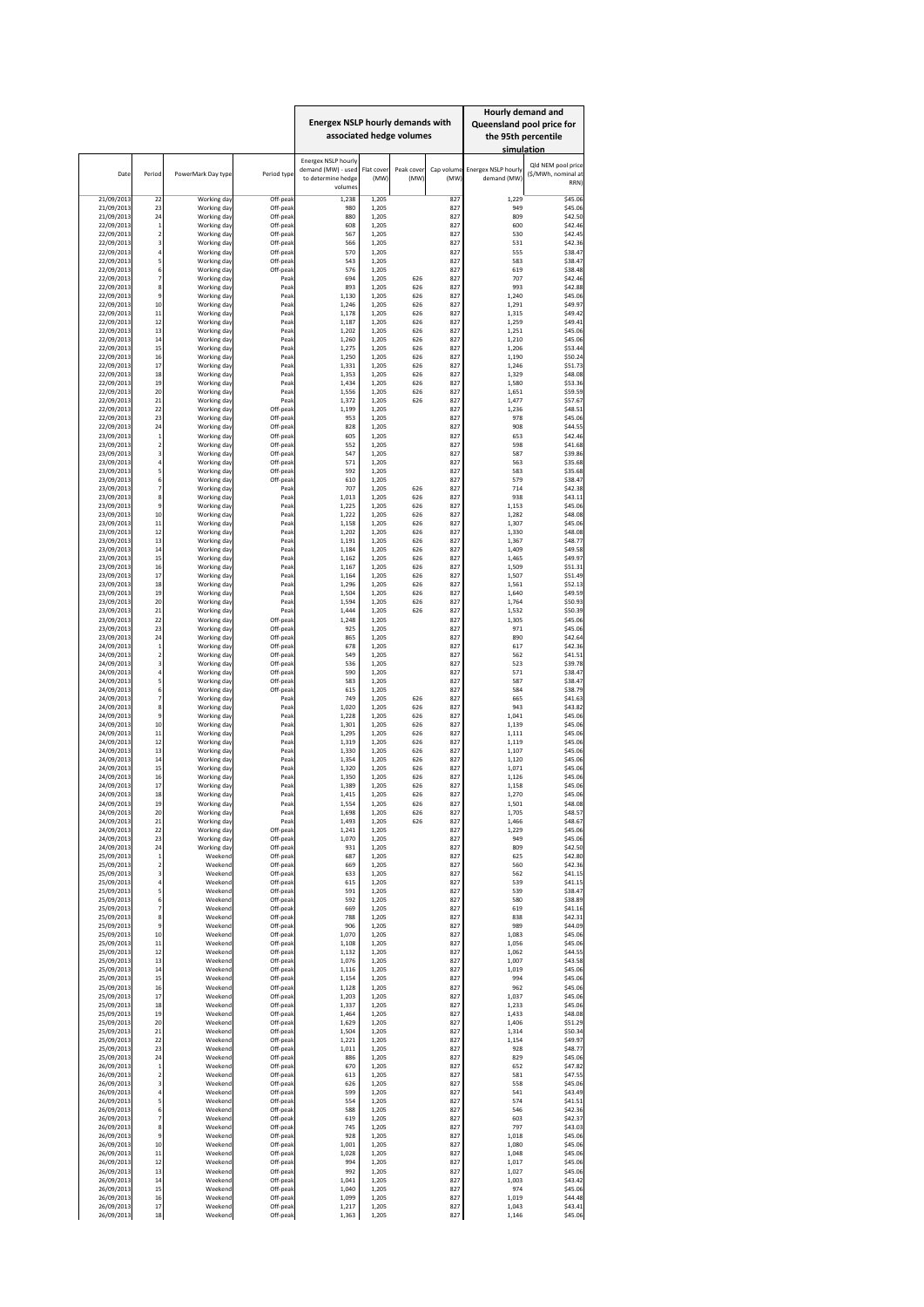|                          |                                                    |                            |                      |                                          |                    |                          |                    | Hourly demand and                  |                     |
|--------------------------|----------------------------------------------------|----------------------------|----------------------|------------------------------------------|--------------------|--------------------------|--------------------|------------------------------------|---------------------|
|                          |                                                    |                            |                      | <b>Energex NSLP hourly demands with</b>  |                    |                          |                    | Queensland pool price for          |                     |
|                          |                                                    |                            |                      |                                          |                    | associated hedge volumes |                    | the 95th percentile<br>simulation  |                     |
|                          |                                                    |                            |                      | Energex NSLP hourly                      |                    |                          |                    |                                    | Qld NEM pool price  |
| Date                     | Period                                             | PowerMark Day type         | Period type          | demand (MW) - used<br>to determine hedge | Flat cover<br>(MW) | Peak cover<br>(MW)       | Cap volume<br>(MW) | Energex NSLP hourly<br>demand (MW) | (\$/MWh, nominal at |
|                          |                                                    |                            |                      | volume:                                  |                    |                          |                    |                                    | <b>RRN</b>          |
| 21/09/2013<br>21/09/2013 | 22<br>23                                           | Working day                | Off-peal             | 1,238<br>980                             | 1,205<br>1.205     |                          | 827<br>827         | 1,229<br>949                       | \$45.06<br>\$45.06  |
| 21/09/2013               | 24                                                 | Working day<br>Working day | Off-peal<br>Off-peal | 880                                      | 1,205              |                          | 827                | 809                                | \$42.50             |
| 22/09/2013               | $\,$ 1                                             | Working day                | Off-peal<br>Off-peal | 608<br>567                               | 1,205              |                          | 827<br>827         | 600<br>530                         | \$42.46<br>\$42.45  |
| 22/09/2013<br>22/09/2013 | $\overline{\mathbf{c}}$<br>$\overline{\mathbf{3}}$ | Working day<br>Working day | Off-peal             | 566                                      | 1,205<br>1.205     |                          | 827                | 531                                | \$42.36             |
| 22/09/2013<br>22/09/2013 | 4<br>5                                             | Working day<br>Working day | Off-peal<br>Off-peal | 570<br>543                               | 1,205<br>1,205     |                          | 827<br>827         | 555<br>583                         | \$38.47<br>\$38.47  |
| 22/09/2013               | 6                                                  | Working day                | Off-peal             | 576                                      | 1,205              |                          | 827                | 619                                | \$38.48             |
| 22/09/2013<br>22/09/2013 | $\overline{7}$<br>8                                | Working day<br>Working day | Peal<br>Peak         | 694<br>893                               | 1,205<br>1,205     | 626<br>626               | 827<br>827         | 707<br>993                         | \$42.46<br>\$42.88  |
| 22/09/2013               | 9                                                  | Working day                | Peal                 | 1,130                                    | 1,205              | 626                      | 827                | 1,240                              | \$45.06             |
| 22/09/2013               | 10<br>11                                           | Working day                | Peak<br>Peal         | 1,246                                    | 1,205              | 626<br>626               | 827<br>827         | 1,291                              | \$49.97             |
| 22/09/2013<br>22/09/2013 | 12                                                 | Working day<br>Working day | Pea                  | 1,178<br>1,187                           | 1,205<br>1,205     | 626                      | 827                | 1,315<br>1.259                     | \$49.42<br>\$49.41  |
| 22/09/2013<br>22/09/2013 | 13<br>14                                           | Working day<br>Working day | Pea<br>Pea           | 1,202<br>1,260                           | 1,205<br>1,205     | 626<br>626               | 827<br>827         | 1,251<br>1,210                     | \$45.06<br>\$45.06  |
| 22/09/2013               | 15                                                 | Working day                | Pea                  | 1,275                                    | 1,205              | 626                      | 827                | 1,206                              | \$53.44             |
| 22/09/2013<br>22/09/2013 | 16<br>17                                           | Working day<br>Working day | Pea<br>Peal          | 1.250<br>1,331                           | 1.205<br>1,205     | 626<br>626               | 827<br>827         | 1,190<br>1,246                     | \$50.24<br>\$51.73  |
| 22/09/2013               | 18                                                 | Working day                | Pea                  | 1,353                                    | 1,205              | 626                      | 827                | 1,329                              | \$48.08             |
| 22/09/2013<br>22/09/2013 | 19<br>20                                           | Working day<br>Working day | Pea<br>Pea           | 1,434<br>1,556                           | 1,205<br>1.205     | 626<br>626               | 827<br>827         | 1,580<br>1.651                     | \$53.36<br>\$59.59  |
| 22/09/2013               | 21                                                 | Working day                | Pea                  | 1,372                                    | 1,205              | 626                      | 827                | 1,477                              | \$57.67             |
| 22/09/2013<br>22/09/2013 | 22<br>23                                           | Working day<br>Working day | Off-peal<br>Off-pea  | 1,199<br>953                             | 1,205<br>1,205     |                          | 827<br>827         | 1,236<br>978                       | \$48.51<br>\$45.06  |
| 22/09/2013               | 24                                                 | Working day                | Off-peal             | 828                                      | 1,205              |                          | 827                | 908                                | \$44.55             |
| 23/09/2013<br>23/09/2013 | $\,$ 1<br>$\overline{\mathbf{c}}$                  | Working day<br>Working day | Off-peal<br>Off-peal | 605<br>552                               | 1,205<br>1,205     |                          | 827<br>827         | 653<br>598                         | \$42.46<br>\$41.68  |
| 23/09/2013               | $\overline{\mathbf{3}}$                            | Working day                | Off-peak             | 547                                      | 1,205              |                          | 827                | 587                                | \$39.86             |
| 23/09/2013<br>23/09/2013 | $\ddot{a}$<br>5                                    | Working day<br>Working day | Off-peal<br>Off-peal | 571<br>592                               | 1,205<br>1,205     |                          | 827<br>827         | 563<br>583                         | \$35.68<br>\$35.68  |
| 23/09/2013               | 6                                                  | Working day                | Off-peal             | 610                                      | 1,205              |                          | 827                | 579                                | \$38.47             |
| 23/09/2013<br>23/09/2013 | 7<br>8                                             | Working day<br>Working day | Pea<br>Pea           | 707<br>1,013                             | 1,205<br>1,205     | 626<br>626               | 827<br>827         | 714<br>938                         | \$42.38<br>\$43.13  |
| 23/09/2013               | 9                                                  | Working day                | Pea                  | 1.225                                    | 1.205              | 626                      | 827                | 1.153                              | \$45.06             |
| 23/09/2013<br>23/09/2013 | 10<br>11                                           | Working day<br>Working day | Peal<br>Pea          | 1,222<br>1,158                           | 1,205<br>1,205     | 626<br>626               | 827<br>827         | 1,282<br>1,307                     | \$48.08<br>\$45.06  |
| 23/09/2013               | 12                                                 | Working day                | Pea                  | 1,202                                    | 1,205              | 626                      | 827                | 1,330                              | \$48.08             |
| 23/09/2013<br>23/09/2013 | 13<br>14                                           | Working day<br>Working day | Pea<br>Pea           | 1.191<br>1,184                           | 1.205<br>1,205     | 626<br>626               | 827<br>827         | 1,367<br>1,409                     | \$48.77<br>\$49.58  |
| 23/09/2013               | 15                                                 | Working day                | Pea                  | 1,162                                    | 1,205              | 626                      | 827                | 1,465                              | \$49.97             |
| 23/09/2013<br>23/09/2013 | 16<br>17                                           | Working day<br>Working day | Pea<br>Pea           | 1,167<br>1,164                           | 1,205<br>1,205     | 626<br>626               | 827<br>827         | 1,509<br>1,507                     | \$51.31<br>\$51.49  |
| 23/09/2013               | 18                                                 | Working day                | Peal                 | 1,296                                    | 1,205              | 626                      | 827                | 1,561                              | \$52.13             |
| 23/09/2013               | 19<br>20                                           | Working day                | Peal<br>Peak         | 1,504<br>1,594                           | 1,205<br>1,205     | 626<br>626               | 827<br>827         | 1,640<br>1,764                     | \$49.59<br>\$50.93  |
| 23/09/2013<br>23/09/2013 | 21                                                 | Working day<br>Working day | Peal                 | 1.444                                    | 1.205              | 626                      | 827                | 1.532                              | \$50.39             |
| 23/09/2013<br>23/09/2013 | 22<br>23                                           | Working day<br>Working day | Off-peal<br>Off-peal | 1,248<br>925                             | 1,205<br>1,205     |                          | 827<br>827         | 1,305<br>971                       | \$45.06<br>\$45.06  |
| 23/09/2013               | 24                                                 | Working day                | Off-peal             | 865                                      | 1,205              |                          | 827                | 890                                | \$42.64             |
| 24/09/2013<br>24/09/2013 | $\mathbf{1}$<br>$\overline{\mathbf{2}}$            | Working day<br>Working day | Off-peal<br>Off-peal | 678<br>549                               | 1.205<br>1,205     |                          | 827<br>827         | 617<br>562                         | \$42.36<br>\$41.51  |
| 24/09/2013               | 3                                                  | Working day                | Off-peal             | 536                                      | 1,205              |                          | 827                | 523                                | \$39.78             |
| 24/09/2013<br>24/09/2013 | $\overline{\mathbf{a}}$<br>5                       | Working day<br>Working day | Off-peal<br>Off-peal | 590<br>583                               | 1,205<br>1.205     |                          | 827<br>827         | 571<br>587                         | \$38.47<br>\$38.47  |
| 24/09/2013               | 6                                                  | Working day                | Off-peal             | 615                                      | 1,205              |                          | 827                | 584                                | \$38.79             |
| 24/09/2013<br>24/09/2013 | 7                                                  | Working day<br>Working day | Pea<br>Pea           | 749<br>1,020                             | 1,205<br>1,205     | 626<br>626               | 827<br>827         | 665<br>943                         | \$41.63<br>\$43.82  |
| 24/09/2013               | 8<br>q                                             | Working day                | Pea                  | 1,228                                    | 1,205              | 626                      | 827                | 1,041                              | \$45.06             |
| 24/09/2013<br>24/09/2013 | 10<br>11                                           | Working day<br>Working day | Peal<br>Peal         | 1,301<br>1,295                           | 1,205<br>1,205     | 626<br>626               | 827<br>827         | 1,139<br>1,111                     | \$45.06<br>\$45.06  |
| 24/09/2013               | 12                                                 | Working day                | Peak                 | 1,319                                    | 1,205              | 626                      | 827                | 1,119                              | \$45.06             |
| 24/09/2013<br>24/09/2013 | 13<br>14                                           | Working day<br>Working day | Peal<br>Pea          | 1,330<br>1,354                           | 1,205<br>1,205     | 626<br>626               | 827<br>827         | 1,107<br>1.120                     | \$45.06<br>\$45.06  |
| 24/09/2013               | 15                                                 | Working day                | Pea                  | 1,320                                    | 1,205              | 626                      | 827                | 1,071                              | \$45.06             |
| 24/09/2013               | 16<br>17                                           | Working day                | Pea<br>Pea           | 1,350<br>1,389                           | 1,205<br>1,205     | 626<br>626               | 827<br>827         | 1,126<br>1,158                     | \$45.06<br>\$45.06  |
| 24/09/2013<br>24/09/2013 | 18                                                 | Working day<br>Working day | Peal                 | 1,415                                    | 1,205              | 626                      | 827                | 1,270                              | \$45.06             |
| 24/09/2013<br>24/09/2013 | 19<br>20                                           | Working day<br>Working day | Peal<br>Peak         | 1,554<br>1,698                           | 1,205<br>1,205     | 626<br>626               | 827<br>827         | 1,501<br>1,705                     | \$48.08<br>\$48.57  |
| 24/09/2013               | 21                                                 | Working day                | Peal                 | 1,493                                    | 1,205              | 626                      | 827                | 1,466                              | \$48.67             |
| 24/09/2013               | 22                                                 | Working day<br>Working day | Off-peal             | 1,241                                    | 1.205              |                          | 827                | 1,229                              | \$45.06             |
| 24/09/2013<br>24/09/2013 | 23<br>24                                           | Working day                | Off-peal<br>Off-peal | 1,070<br>931                             | 1,205<br>1,205     |                          | 827<br>827         | 949<br>809                         | \$45.06<br>\$42.50  |
| 25/09/2013<br>25/09/2013 | $\mathbf{1}$<br>$\overline{2}$                     | Weekend<br>Weekend         | Off-peal<br>Off-peal | 687<br>669                               | 1,205<br>1,205     |                          | 827<br>827         | 625<br>560                         | \$42.80<br>\$42.36  |
| 25/09/2013               | 3                                                  | Weekend                    | Off-peal             | 633                                      | 1,205              |                          | 827                | 562                                | \$41.15             |
| 25/09/2013               | 4                                                  | Weekend                    | Off-peak<br>Off-peal | 615                                      | 1,205              |                          | 827                | 539                                | \$41.15             |
| 25/09/2013<br>25/09/2013 | 5<br>6                                             | Weekend<br>Weekend         | Off-peak             | 591<br>592                               | 1,205<br>1,205     |                          | 827<br>827         | 539<br>580                         | \$38.47<br>\$38.89  |
| 25/09/2013<br>25/09/2013 | $\overline{7}$<br>8                                | Weekend<br>Weekend         | Off-peal<br>Off-peal | 669<br>788                               | 1,205<br>1,205     |                          | 827<br>827         | 619<br>838                         | \$41.16<br>\$42.31  |
| 25/09/2013               | 9                                                  | Weekend                    | Off-peal             | 906                                      | 1,205              |                          | 827                | 989                                | \$44.09             |
| 25/09/2013               | 10<br>11                                           | Weekend<br>Weekend         | Off-peal<br>Off-peal | 1,070<br>1,108                           | 1,205<br>1,205     |                          | 827<br>827         | 1,083<br>1,056                     | \$45.06<br>\$45.06  |
| 25/09/2013<br>25/09/2013 | 12                                                 | Weekend                    | Off-peal             | 1,132                                    | 1,205              |                          | 827                | 1,062                              | \$44.55             |
| 25/09/2013               | 13<br>14                                           | Weekend<br>Weekend         | Off-peal<br>Off-peal | 1,076                                    | 1,205              |                          | 827<br>827         | 1,007                              | \$43.58<br>\$45.06  |
| 25/09/2013<br>25/09/2013 | 15                                                 | Weekend                    | Off-peal             | 1,116<br>1,154                           | 1,205<br>1,205     |                          | 827                | 1,019<br>994                       | \$45.06             |
| 25/09/2013<br>25/09/2013 | 16<br>17                                           | Weekend<br>Weekend         | Off-peal<br>Off-peal | 1,128<br>1,203                           | 1,205<br>1,205     |                          | 827<br>827         | 962<br>1,037                       | \$45.06<br>\$45.06  |
| 25/09/2013               | 18                                                 | Weekend                    | Off-peal             | 1,337                                    | 1,205              |                          | 827                | 1,233                              | \$45.06             |
| 25/09/2013<br>25/09/2013 | 19<br>20                                           | Weekend<br>Weekend         | Off-peal<br>Off-peal | 1,464<br>1,629                           | 1,205<br>1,205     |                          | 827<br>827         | 1,433<br>1,406                     | \$48.08<br>\$51.29  |
| 25/09/2013               | 21                                                 | Weekend                    | Off-peal             | 1,504                                    | 1,205              |                          | 827                | 1,314                              | \$50.34             |
| 25/09/2013               | 22<br>23                                           | Weekend<br>Weekend         | Off-peak             | 1,221                                    | 1,205<br>1,205     |                          | 827<br>827         | 1,154<br>928                       | \$49.97<br>\$48.77  |
| 25/09/2013<br>25/09/2013 | 24                                                 | Weekend                    | Off-peal<br>Off-peal | 1,011<br>886                             | 1,205              |                          | 827                | 829                                | \$45.06             |
| 26/09/2013               | 1                                                  | Weekend                    | Off-peal             | 670                                      | 1,205              |                          | 827                | 652                                | \$47.82             |
| 26/09/2013<br>26/09/2013 | $\overline{\mathbf{c}}$<br>3                       | Weekend<br>Weekend         | Off-peal<br>Off-peal | 613<br>626                               | 1,205<br>1,205     |                          | 827<br>827         | 581<br>558                         | \$47.55<br>\$45.06  |
| 26/09/2013               | 4                                                  | Weekend                    | Off-peal             | 599                                      | 1,205              |                          | 827                | 541                                | \$43.49             |
| 26/09/2013<br>26/09/2013 | 5<br>6                                             | Weekend<br>Weekend         | Off-peal<br>Off-peal | 554<br>588                               | 1,205<br>1,205     |                          | 827<br>827         | 574<br>546                         | \$41.51<br>\$42.36  |
| 26/09/2013               | $\overline{\phantom{a}}$                           | Weekend                    | Off-peal             | 619                                      | 1,205              |                          | 827                | 603                                | \$42.37             |
| 26/09/2013<br>26/09/2013 | 8<br>9                                             | Weekend<br>Weekend         | Off-peal<br>Off-peal | 745<br>928                               | 1.205<br>1,205     |                          | 827<br>827         | 797<br>1,018                       | \$43.03<br>\$45.06  |
| 26/09/2013               | 10                                                 | Weekend                    | Off-peal             | 1,001                                    | 1,205              |                          | 827                | 1,080                              | \$45.06             |
| 26/09/2013<br>26/09/2013 | 11<br>12                                           | Weekend<br>Weekend         | Off-peal<br>Off-peal | 1,028<br>994                             | 1,205<br>1,205     |                          | 827<br>827         | 1,048<br>1,017                     | \$45.06<br>\$45.06  |
| 26/09/2013               | 13                                                 | Weekend                    | Off-peal             | 992                                      | 1,205              |                          | 827                | 1,027                              | \$45.06             |
| 26/09/2013<br>26/09/2013 | 14<br>15                                           | Weekend<br>Weekend         | Off-peal<br>Off-peak | 1,041<br>1,040                           | 1,205<br>1,205     |                          | 827<br>827         | 1,003<br>974                       | \$43.42<br>\$45.06  |
| 26/09/2013               | 16                                                 | Weekend                    | Off-peak             | 1,099                                    | 1,205              |                          | 827                | 1,019                              | \$44.48             |
| 26/09/2013<br>26/09/2013 | 17<br>18                                           | Weekend<br>Weekend         | Off-peak<br>Off-peak | 1,217<br>1,363                           | 1,205<br>1,205     |                          | 827<br>827         | 1,043<br>1,146                     | \$43.41<br>\$45.06  |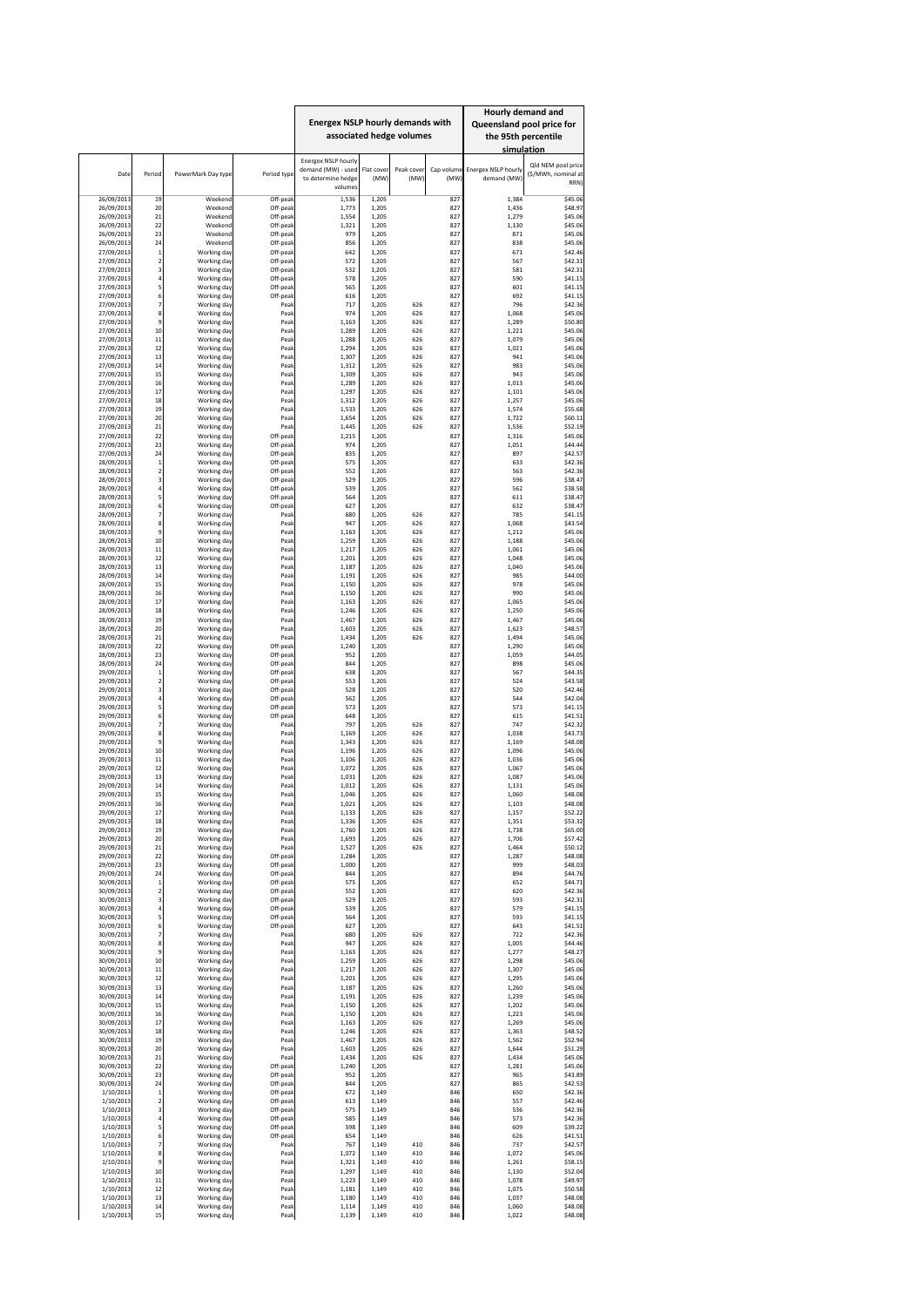|                          |                                         |                            |                      |                                                                     |                    |                    |                     | Hourly demand and<br>Queensland pool price for |                                                   |  |
|--------------------------|-----------------------------------------|----------------------------|----------------------|---------------------------------------------------------------------|--------------------|--------------------|---------------------|------------------------------------------------|---------------------------------------------------|--|
|                          |                                         |                            |                      | <b>Energex NSLP hourly demands with</b><br>associated hedge volumes |                    |                    | the 95th percentile |                                                |                                                   |  |
|                          |                                         |                            |                      | Energex NSLP hourly                                                 |                    |                    |                     | simulation                                     |                                                   |  |
| Date                     | Period                                  | PowerMark Day type         | Period type          | demand (MW) - used<br>to determine hedge<br>volumes                 | Flat cover<br>(MW) | Peak cover<br>(MW) | Cap volume<br>(MW   | Energex NSLP hourly<br>demand (MW)             | Qld NEM pool price<br>(\$/MWh, nominal at<br>RRN) |  |
| 26/09/2013               | 19                                      | Weekend                    | Off-peal             | 1,536                                                               | 1.205              |                    | 827                 | 1,384                                          | \$45.06                                           |  |
| 26/09/2013<br>26/09/2013 | 20<br>21                                | Weekend<br>Weekend         | Off-peal<br>Off-peal | 1.773<br>1,554                                                      | 1,205<br>1,205     |                    | 827<br>827          | 1.436<br>1,279                                 | \$48.97<br>\$45.06                                |  |
| 26/09/2013<br>26/09/2013 | 22<br>23                                | Weekend<br>Weekend         | Off-peal<br>Off-peal | 1,321<br>979                                                        | 1,205<br>1,205     |                    | 827<br>827          | 1,130<br>871                                   | \$45.06<br>\$45.06                                |  |
| 26/09/2013               | 24                                      | Weekend                    | Off-peal             | 856                                                                 | 1.205              |                    | 827                 | 838                                            | \$45.06                                           |  |
| 27/09/2013<br>27/09/2013 | $\mathbf{1}$<br>$\overline{\mathbf{c}}$ | Working day<br>Working day | Off-peal<br>Off-peal | 642<br>572                                                          | 1,205<br>1,205     |                    | 827<br>827          | 671<br>567                                     | \$42.46<br>\$42.3                                 |  |
| 27/09/2013               | 3                                       | Working day                | Off-peak             | 532                                                                 | 1,205              |                    | 827                 | 581                                            | \$42.31                                           |  |
| 27/09/2013<br>27/09/2013 | 4<br>5                                  | Working day<br>Working day | Off-peal<br>Off-peak | 578<br>565                                                          | 1.205<br>1,205     |                    | 827<br>827          | 590<br>601                                     | \$41.15<br>\$41.15                                |  |
| 27/09/2013               | 6                                       | Working day                | Off-peak             | 616                                                                 | 1,205              |                    | 827                 | 692                                            | \$41.15                                           |  |
| 27/09/2013<br>27/09/2013 | $\overline{7}$<br>8                     | Working day<br>Working day | Peak<br>Peak         | 717<br>974                                                          | 1,205<br>1,205     | 626<br>626         | 827<br>827          | 796<br>1,068                                   | \$42.36<br>\$45.06                                |  |
| 27/09/2013               | 9                                       | Working day                | Peal                 | 1,163                                                               | 1.205              | 626                | 827                 | 1.289                                          | \$50.80                                           |  |
| 27/09/2013<br>27/09/2013 | 10<br>11                                | Working day<br>Working day | Peal<br>Peak         | 1,289<br>1,288                                                      | 1,205<br>1,205     | 626<br>626         | 827<br>827          | 1,221<br>1,079                                 | \$45.06<br>\$45.06                                |  |
| 27/09/2013<br>27/09/2013 | 12<br>13                                | Working day<br>Working day | Peal<br>Peal         | 1,294<br>1.307                                                      | 1,205<br>1.205     | 626<br>626         | 827<br>827          | 1,021<br>941                                   | \$45.06<br>\$45.06                                |  |
| 27/09/2013               | 14                                      | Working day                | Peak                 | 1,312                                                               | 1,205              | 626                | 827                 | 983                                            | \$45.06                                           |  |
| 27/09/2013<br>27/09/2013 | 15<br>16                                | Working day<br>Working day | Peal<br>Peal         | 1,309<br>1,289                                                      | 1,205<br>1,205     | 626<br>626         | 827<br>827          | 943<br>1,013                                   | \$45.06<br>\$45.06                                |  |
| 27/09/2013               | 17                                      | Working day                | Peal                 | 1.297                                                               | 1.205              | 626                | 827                 | 1.101                                          | \$45.06                                           |  |
| 27/09/2013<br>27/09/2013 | 18<br>19                                | Working day<br>Working day | Peal<br>Peal         | 1,312<br>1,533                                                      | 1,205<br>1,205     | 626<br>626         | 827<br>827          | 1,257<br>1,574                                 | \$45.06<br>\$55.68                                |  |
| 27/09/2013               | 20                                      | Working da                 | Peal                 | 1,654                                                               | 1,205              | 626                | 827                 | 1,722                                          | \$60.11                                           |  |
| 27/09/2013<br>27/09/2013 | 21<br>22                                | Working day<br>Working day | Peal<br>Off-peak     | 1.445<br>1,215                                                      | 1.205<br>1,205     | 626                | 827<br>827          | 1,536<br>1,316                                 | \$52.19<br>\$45.06                                |  |
| 27/09/2013               | 23                                      | Working day                | Off-peak             | 974                                                                 | 1,205              |                    | 827<br>827          | 1,051<br>897                                   | \$44.44                                           |  |
| 27/09/2013<br>28/09/2013 | 24<br>$\mathbf{1}$                      | Working day<br>Working day | Off-peak<br>Off-peal | 835<br>575                                                          | 1,205<br>1.205     |                    | 827                 | 633                                            | \$42.57<br>\$42.36                                |  |
| 28/09/2013<br>28/09/2013 | $\mathbf 2$<br>3                        | Working day<br>Working day | Off-peal<br>Off-peal | 552<br>529                                                          | 1,205<br>1,205     |                    | 827<br>827          | 563<br>596                                     | \$42.36<br>\$38.4                                 |  |
| 28/09/2013               | 4                                       | Working day                | Off-peal             | 539                                                                 | 1,205              |                    | 827                 | 562                                            | \$38.58                                           |  |
| 28/09/2013<br>28/09/2013 | 5<br>6                                  | Working day<br>Working day | Off-peak<br>Off-peal | 564<br>627                                                          | 1,205<br>1.205     |                    | 827<br>827          | 611<br>632                                     | \$38.47<br>\$38.47                                |  |
| 28/09/2013               | 7                                       | Working day                | Peal                 | 680                                                                 | 1,205              | 626                | 827                 | 785                                            | \$41.15                                           |  |
| 28/09/2013<br>28/09/2013 | 8<br>q                                  | Working day<br>Working day | Peal<br>Peal         | 947<br>1,163                                                        | 1,205<br>1,205     | 626<br>626         | 827<br>827          | 1,068<br>1,212                                 | \$43.54<br>\$45.06                                |  |
| 28/09/2013               | 10                                      | Working day                | Peal                 | 1.259                                                               | 1.205              | 626                | 827                 | 1.188                                          | \$45.06                                           |  |
| 28/09/2013<br>28/09/2013 | 11<br>12                                | Working day<br>Working day | Peal<br>Peal         | 1,217<br>1,201                                                      | 1,205<br>1,205     | 626<br>626         | 827<br>827          | 1,061<br>1,048                                 | \$45.06<br>\$45.06                                |  |
| 28/09/2013<br>28/09/2013 | 13<br>14                                | Working da<br>Working day  | Peal<br>Peal         | 1,187<br>1.191                                                      | 1,205<br>1.205     | 626<br>626         | 827<br>827          | 1,040<br>985                                   | \$45.06<br>\$44.00                                |  |
| 28/09/2013               | 15                                      | Working day                | Peak                 | 1,150                                                               | 1,205              | 626                | 827                 | 978                                            | \$45.06                                           |  |
| 28/09/2013<br>28/09/2013 | 16<br>17                                | Working day<br>Working day | Peak<br>Peak         | 1,150<br>1,163                                                      | 1,205<br>1,205     | 626<br>626         | 827<br>827          | 990<br>1,065                                   | \$45.06<br>\$45.06                                |  |
| 28/09/2013               | 18                                      | Working day                | Peal                 | 1.246                                                               | 1.205              | 626                | 827                 | 1.250                                          | \$45.06                                           |  |
| 28/09/2013<br>28/09/2013 | 19<br>20                                | Working day<br>Working day | Peal<br>Peal         | 1,467<br>1,603                                                      | 1,205<br>1,205     | 626<br>626         | 827<br>827          | 1,467<br>1,623                                 | \$45.06<br>\$48.5                                 |  |
| 28/09/2013               | 21                                      | Working da                 | Peal                 | 1,434                                                               | 1,205              | 626                | 827                 | 1,494                                          | \$45.06                                           |  |
| 28/09/2013<br>28/09/2013 | 22<br>23                                | Working day<br>Working day | Off-peal<br>Off-peal | 1.240<br>952                                                        | 1.205<br>1,205     |                    | 827<br>827          | 1.290<br>1,059                                 | \$45.06<br>\$44.05                                |  |
| 28/09/2013<br>29/09/2013 | 24<br>$\mathbf{1}$                      | Working day                | Off-peal             | 844<br>638                                                          | 1,205<br>1,205     |                    | 827<br>827          | 898<br>567                                     | \$45.06<br>\$44.35                                |  |
| 29/09/2013               | $\overline{\mathbf{2}}$                 | Working day<br>Working day | Off-peak<br>Off-peal | 553                                                                 | 1.205              |                    | 827                 | 524                                            | \$43.58                                           |  |
| 29/09/2013<br>29/09/2013 | $\overline{\mathbf{3}}$<br>4            | Working day<br>Working day | Off-peal<br>Off-peal | 528<br>562                                                          | 1,205<br>1,205     |                    | 827<br>827          | 520<br>544                                     | \$42.46<br>\$42.04                                |  |
| 29/09/2013               | 5                                       | Working day                | Off-peal             | 573                                                                 | 1,205              |                    | 827                 | 573                                            | \$41.1                                            |  |
| 29/09/2013<br>29/09/2013 | 6<br>$\overline{7}$                     | Working day<br>Working day | Off-peak<br>Peal     | 648<br>797                                                          | 1,205<br>1.205     | 626                | 827<br>827          | 615<br>747                                     | \$41.5<br>\$42.32                                 |  |
| 29/09/2013               | 8                                       | Working day                | Peak                 | 1,169                                                               | 1,205              | 626                | 827                 | 1,038                                          | \$43.73                                           |  |
| 29/09/2013<br>29/09/2013 | 9<br>10                                 | Working day<br>Working day | Peal<br>Peak         | 1,343<br>1,196                                                      | 1,205<br>1,205     | 626<br>626         | 827<br>827          | 1,169<br>1,096                                 | \$48.08<br>\$45.06                                |  |
| 29/09/2013<br>29/09/2013 | 11<br>12                                | Working day<br>Working day | Peal<br>Peal         | 1.106<br>1,072                                                      | 1.205<br>1,205     | 626<br>626         | 827<br>827          | 1,036<br>1,067                                 | \$45.06<br>\$45.06                                |  |
| 29/09/2013               | 13                                      | Working day                | Peal                 | 1,031                                                               | 1,205              | 626                | 827                 | 1,087                                          | \$45.06                                           |  |
| 29/09/2013<br>29/09/2013 | 14<br>15                                | Working day<br>Working day | Peal<br>Peal         | 1,012<br>1,046                                                      | 1,205<br>1,205     | 626<br>626         | 827<br>827          | 1,131<br>1,060                                 | \$45.06<br>\$48.08                                |  |
| 29/09/2013               | 16                                      | Working day                | Peal                 | 1.021                                                               | 1.205              | 626                | 827                 | 1,103                                          | \$48.08                                           |  |
| 29/09/2013<br>29/09/2013 | 17<br>18                                | Working day<br>Working day | Peak<br>Peak         | 1,133<br>1,336                                                      | 1,205<br>1,205     | 626<br>626         | 827<br>827          | 1,157<br>1,351                                 | \$52.22<br>\$53.32                                |  |
| 29/09/2013               | 19                                      | Working day                | Peal                 | 1.760                                                               | 1,205              | 626                | 827                 | 1,738                                          | \$65.00                                           |  |
| 29/09/2013<br>29/09/2013 | 20<br>21                                | Working day<br>Working day | Peal<br>Peak         | 1,693<br>1,527                                                      | 1,205<br>1,205     | 626<br>626         | 827<br>827          | 1,706<br>1,464                                 | \$57.42<br>\$50.12                                |  |
| 29/09/2013<br>29/09/2013 | 22<br>23                                | Working day<br>Working day | Off-peak<br>Off-peak | 1,284<br>1,000                                                      | 1,205<br>1.205     |                    | 827<br>827          | 1,287<br>999                                   | \$48.08<br>\$48.03                                |  |
| 29/09/2013               | 24                                      | Working day                | Off-peak             | 844                                                                 | 1,205              |                    | 827                 | 894                                            | \$44.76                                           |  |
| 30/09/2013<br>30/09/2013 | $\,$ 1<br>$\mathbf 2$                   | Working day<br>Working day | Off-peak<br>Off-peak | 575<br>552                                                          | 1,205<br>1,205     |                    | 827<br>827          | 652<br>620                                     | \$44.71<br>\$42.36                                |  |
| 30/09/2013               | 3                                       | Working day                | Off-peak             | 529                                                                 | 1,205              |                    | 827                 | 593                                            | \$42.31                                           |  |
| 30/09/2013<br>30/09/2013 | $\overline{4}$<br>5                     | Working day<br>Working day | Off-peak<br>Off-peak | 539<br>564                                                          | 1,205<br>1,205     |                    | 827<br>827          | 579<br>593                                     | \$41.15<br>\$41.15                                |  |
| 30/09/2013               | 6<br>$\overline{7}$                     | Working day                | Off-peak             | 627                                                                 | 1,205              | 626                | 827<br>827          | 643                                            | \$41.51                                           |  |
| 30/09/2013<br>30/09/2013 | 8                                       | Working day<br>Working day | Peak<br>Peak         | 680<br>947                                                          | 1,205<br>1.205     | 626                | 827                 | 722<br>1,005                                   | \$42.36<br>\$44.46                                |  |
| 30/09/2013<br>30/09/2013 | 9<br>10                                 | Working day<br>Working day | Peak<br>Peak         | 1,163<br>1,259                                                      | 1,205<br>1,205     | 626<br>626         | 827<br>827          | 1,277<br>1,298                                 | \$48.27<br>\$45.06                                |  |
| 30/09/2013               | 11                                      | Working day                | Peak                 | 1,217                                                               | 1,205              | 626                | 827                 | 1,307                                          | \$45.06                                           |  |
| 30/09/2013<br>30/09/2013 | 12<br>13                                | Working day<br>Working day | Peal<br>Peal         | 1.201<br>1,187                                                      | 1.205<br>1,205     | 626<br>626         | 827<br>827          | 1.295<br>1,260                                 | \$45.06<br>\$45.06                                |  |
| 30/09/2013               | 14                                      | Working day                | Peak                 | 1,191                                                               | 1,205              | 626                | 827                 | 1,239                                          | \$45.06                                           |  |
| 30/09/2013<br>30/09/2013 | 15<br>16                                | Working day<br>Working day | Peak<br>Peak         | 1,150<br>1,150                                                      | 1,205<br>1.205     | 626<br>626         | 827<br>827          | 1,202<br>1,223                                 | \$45.06<br>\$45.06                                |  |
| 30/09/2013<br>30/09/2013 | 17<br>18                                | Working day                | Peak<br>Peak         | 1,163<br>1,246                                                      | 1,205<br>1,205     | 626<br>626         | 827<br>827          | 1,269<br>1,363                                 | \$45.06<br>\$48.52                                |  |
| 30/09/2013               | 19                                      | Working day<br>Working day | Peak                 | 1,467                                                               | 1,205              | 626                | 827                 | 1,562                                          | \$52.94                                           |  |
| 30/09/2013<br>30/09/2013 | 20<br>21                                | Working day<br>Working day | Peak<br>Peak         | 1.603<br>1,434                                                      | 1,205<br>1,205     | 626<br>626         | 827<br>827          | 1,644<br>1,434                                 | \$51.29<br>\$45.06                                |  |
| 30/09/2013               | 22                                      | Working day                | Off-peak             | 1,240                                                               | 1,205              |                    | 827                 | 1,281                                          | \$45.06                                           |  |
| 30/09/2013<br>30/09/2013 | 23<br>24                                | Working day<br>Working day | Off-peak<br>Off-peak | 952<br>844                                                          | 1,205<br>1,205     |                    | 827<br>827          | 965<br>865                                     | \$43.89<br>\$42.53                                |  |
| 1/10/2013                | $\mathbf{1}$                            | Working day                | Off-peak             | 672                                                                 | 1.149              |                    | 846                 | 650                                            | \$42.36                                           |  |
| 1/10/2013<br>1/10/2013   | $\mathbf 2$<br>3                        | Working day<br>Working day | Off-peak<br>Off-peak | 613<br>575                                                          | 1,149<br>1,149     |                    | 846<br>846          | 557<br>536                                     | \$42.46<br>\$42.36                                |  |
| 1/10/2013                | 4                                       | Working day                | Off-peak             | 585                                                                 | 1,149              |                    | 846                 | 573                                            | \$42.36                                           |  |
| 1/10/2013<br>1/10/2013   | 5<br>6                                  | Working day<br>Working day | Off-peak<br>Off-peak | 598<br>654                                                          | 1.149<br>1,149     |                    | 846<br>846          | 609<br>626                                     | \$39.22<br>\$41.51                                |  |
| 1/10/2013                | $\overline{7}$                          | Working day                | Peal                 | 767                                                                 | 1,149              | 410<br>410         | 846<br>846          | 737                                            | \$42.57                                           |  |
| 1/10/2013<br>1/10/2013   | 8<br>9                                  | Working day<br>Working day | Peak<br>Peak         | 1,072<br>1,321                                                      | 1,149<br>1.149     | 410                | 846                 | 1,072<br>1,261                                 | \$45.06<br>\$58.15                                |  |
| 1/10/2013<br>1/10/2013   | 10<br>$11\,$                            | Working day<br>Working day | Peak<br>Peak         | 1,297<br>1,223                                                      | 1,149<br>1,149     | 410<br>410         | 846<br>846          | 1,130<br>1,078                                 | \$52.04<br>\$49.97                                |  |
| 1/10/2013                | 12                                      | Working day                | Peak                 | 1,181                                                               | 1,149              | 410                | 846                 | 1,075                                          | \$50.58                                           |  |
| 1/10/2013<br>1/10/2013   | 13<br>14                                | Working day<br>Working day | Peak<br>Peak         | 1.180<br>1,114                                                      | 1.149<br>1,149     | 410<br>410         | 846<br>846          | 1,037<br>1,060                                 | \$48.08<br>\$48.08                                |  |
| 1/10/2013                | 15                                      | Working day                | Peak                 | 1,139                                                               | 1,149              | 410                | 846                 | 1,022                                          | \$48.08                                           |  |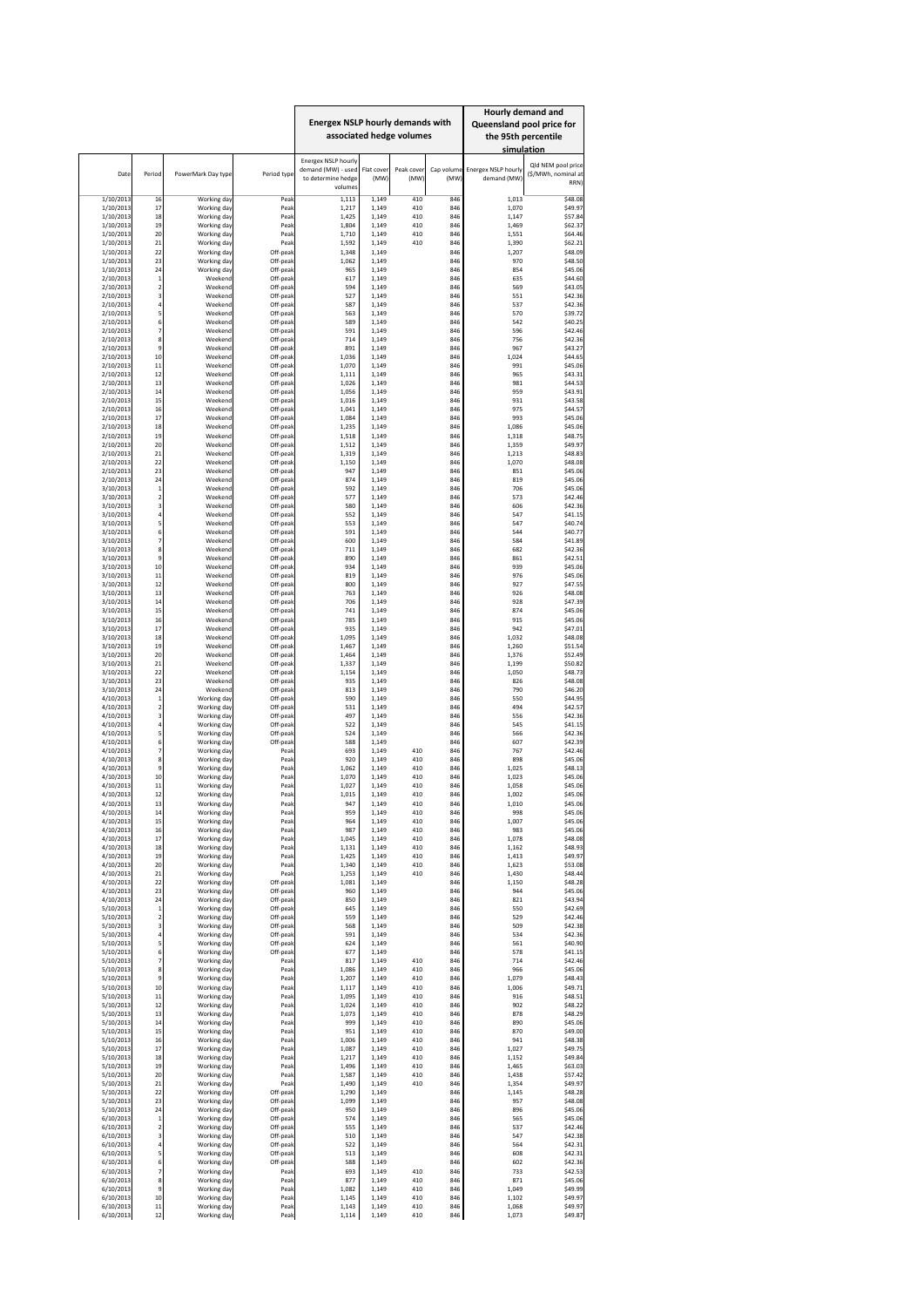|                        |                                            |                            |                                         |                               |                          | Hourly demand and<br>Queensland pool price for |            |                     |                                           |
|------------------------|--------------------------------------------|----------------------------|-----------------------------------------|-------------------------------|--------------------------|------------------------------------------------|------------|---------------------|-------------------------------------------|
|                        |                                            |                            | <b>Energex NSLP hourly demands with</b> |                               | associated hedge volumes |                                                |            |                     |                                           |
|                        |                                            |                            |                                         |                               |                          |                                                |            | simulation          | the 95th percentile                       |
|                        |                                            |                            |                                         | Energex NSLP hourly           |                          |                                                |            |                     |                                           |
| Date                   | Period                                     | PowerMark Day type         | Period type                             | demand (MW) - used            | Flat cover               | Peak cover                                     | Cap volume | Energex NSLP hourly | Qld NEM pool price<br>(\$/MWh, nominal at |
|                        |                                            |                            |                                         | to determine hedge<br>volume: | (MW)                     | (MW)                                           | (MW        | demand (MW)         | RRN)                                      |
| 1/10/2013              | 16                                         | Working day                | Peal                                    | 1,113                         | 1,149                    | 410                                            | 846        | 1,013               | \$48.08                                   |
| 1/10/2013              | 17                                         | Working day                | Peal                                    | 1.217                         | 1.149                    | 410<br>410                                     | 846<br>846 | 1,070               | \$49.97                                   |
| 1/10/2013<br>1/10/2013 | 18<br>19                                   | Working day<br>Working day | Peak<br>Peal                            | 1,425<br>1,804                | 1,149<br>1,149           | 410                                            | 846        | 1,147<br>1,469      | \$57.84<br>\$62.37                        |
| 1/10/2013<br>1/10/2013 | 20<br>21                                   | Working day<br>Working day | Peak<br>Peal                            | 1,710<br>1.592                | 1,149<br>1.149           | 410<br>410                                     | 846<br>846 | 1,551<br>1.390      | \$64.46<br>\$62.21                        |
| 1/10/2013              | 22                                         | Working day                | Off-peal                                | 1,348                         | 1,149                    |                                                | 846        | 1,207               | \$48.09                                   |
| 1/10/2013<br>1/10/2013 | 23<br>24                                   | Working day                | Off-peal<br>Off-peal                    | 1,062<br>965                  | 1,149<br>1,149           |                                                | 846<br>846 | 970<br>854          | \$48.50<br>\$45.06                        |
| 2/10/2013              | $\mathbf{1}$                               | Working day<br>Weekend     | Off-peal                                | 617                           | 1.149                    |                                                | 846        | 635                 | \$44.60                                   |
| 2/10/2013<br>2/10/2013 | $\overline{\mathbf{c}}$<br>3               | Weekend<br>Weekend         | Off-peal<br>Off-peak                    | 594<br>527                    | 1,149<br>1,149           |                                                | 846<br>846 | 569<br>551          | \$43.05<br>\$42.36                        |
| 2/10/2013              | 4                                          | Weekend                    | Off-peak                                | 587                           | 1,149                    |                                                | 846        | 537                 | \$42.36                                   |
| 2/10/2013              | 5<br>6                                     | Weekend<br>Weekend         | Off-peal                                | 563<br>589                    | 1,149                    |                                                | 846<br>846 | 570<br>542          | \$39.72<br>\$40.25                        |
| 2/10/2013<br>2/10/2013 | 7                                          | Weekend                    | Off-peal<br>Off-peal                    | 591                           | 1,149<br>1,149           |                                                | 846        | 596                 | \$42.46                                   |
| 2/10/2013              | 8<br>9                                     | Weekend                    | Off-peal                                | 714                           | 1,149                    |                                                | 846        | 756<br>967          | \$42.36                                   |
| 2/10/2013<br>2/10/2013 | 10                                         | Weekend<br>Weekend         | Off-peal<br>Off-peal                    | 891<br>1.036                  | 1,149<br>1.149           |                                                | 846<br>846 | 1.024               | \$43.27<br>\$44.65                        |
| 2/10/2013<br>2/10/2013 | 11<br>12                                   | Weekend<br>Weekend         | Off-peak<br>Off-peak                    | 1,070<br>1,111                | 1,149<br>1,149           |                                                | 846<br>846 | 991<br>965          | \$45.06<br>\$43.31                        |
| 2/10/2013              | 13                                         | Weekend                    | Off-peal                                | 1,026                         | 1,149                    |                                                | 846        | 981                 | \$44.53                                   |
| 2/10/2013<br>2/10/2013 | 14<br>15                                   | Weekend<br>Weekend         | Off-peal<br>Off-peal                    | 1.056<br>1,016                | 1.149<br>1,149           |                                                | 846<br>846 | 959<br>931          | \$43.91<br>\$43.58                        |
| 2/10/2013              | 16                                         | Weekend                    | Off-peak                                | 1,041                         | 1,149                    |                                                | 846        | 975                 | \$44.57                                   |
| 2/10/2013<br>2/10/2013 | 17<br>18                                   | Weekend<br>Weekend         | Off-peal<br>Off-peak                    | 1,084<br>1.235                | 1,149<br>1.149           |                                                | 846<br>846 | 993<br>1.086        | \$45.06<br>\$45.06                        |
| 2/10/2013              | 19                                         | Weekend                    | Off-peak                                | 1,518                         | 1,149                    |                                                | 846        | 1,318               | \$48.75                                   |
| 2/10/2013<br>2/10/2013 | 20<br>21                                   | Weekend<br>Weekend         | Off-peak<br>Off-peak                    | 1,512<br>1,319                | 1,149<br>1,149           |                                                | 846<br>846 | 1,359<br>1,213      | \$49.97<br>\$48.83                        |
| 2/10/2013              | 22                                         | Weekend                    | Off-peal                                | 1,150                         | 1.149                    |                                                | 846        | 1,070               | \$48.08                                   |
| 2/10/2013<br>2/10/2013 | 23<br>24                                   | Weekend<br>Weekend         | Off-peal<br>Off-peal                    | 947<br>874                    | 1,149<br>1,149           |                                                | 846<br>846 | 851<br>819          | \$45.06<br>\$45.06                        |
| 3/10/2013              | $\mathbf{1}$                               | Weekend                    | Off-peal                                | 592                           | 1,149                    |                                                | 846        | 706                 | \$45.06                                   |
| 3/10/2013<br>3/10/2013 | $\overline{\mathbf{c}}$<br>3               | Weekend<br>Weekend         | Off-peal<br>Off-peal                    | 577<br>580                    | 1,149<br>1.149           |                                                | 846<br>846 | 573<br>606          | \$42.46<br>\$42.36                        |
| 3/10/2013              | 4                                          | Weekend                    | Off-peak                                | 552                           | 1,149                    |                                                | 846        | 547                 | \$41.15                                   |
| 3/10/2013              | 5<br>6                                     | Weekend<br>Weekend         | Off-peak<br>Off-peak                    | 553<br>591                    | 1,149<br>1,149           |                                                | 846<br>846 | 547<br>544          | \$40.74<br>\$40.77                        |
| 3/10/2013<br>3/10/2013 | $\overline{7}$                             | Weekend                    | Off-peal                                | 600                           | 1.149                    |                                                | 846        | 584                 | \$41.89                                   |
| 3/10/2013<br>3/10/2013 | 8<br>9                                     | Weekend<br>Weekend         | Off-peal<br>Off-peal                    | 711<br>890                    | 1,149<br>1,149           |                                                | 846<br>846 | 682<br>861          | \$42.36<br>\$42.51                        |
| 3/10/2013              | 10                                         | Weekend                    | Off-peal                                | 934                           | 1,149                    |                                                | 846        | 939                 | \$45.06                                   |
| 3/10/2013<br>3/10/2013 | 11<br>12                                   | Weekend<br>Weekend         | Off-peal<br>Off-peak                    | 819<br>800                    | 1.149<br>1,149           |                                                | 846<br>846 | 976<br>927          | \$45.06<br>\$47.55                        |
| 3/10/2013              | 13                                         | Weekend                    | Off-peak                                | 763                           | 1,149                    |                                                | 846        | 926                 | \$48.08                                   |
| 3/10/2013<br>3/10/2013 | 14<br>15                                   | Weekend<br>Weekend         | Off-peak<br>Off-peak                    | 706<br>741                    | 1,149<br>1.149           |                                                | 846<br>846 | 928<br>874          | \$47.39<br>\$45.06                        |
| 3/10/2013              | 16                                         | Weekend                    | Off-peal                                | 785                           | 1,149                    |                                                | 846        | 915                 | \$45.06                                   |
| 3/10/2013              | 17<br>18                                   | Weekend<br>Weekend         | Off-peal<br>Off-peal                    | 935<br>1,095                  | 1,149<br>1,149           |                                                | 846<br>846 | 942<br>1,032        | \$47.01<br>\$48.08                        |
| 3/10/2013<br>3/10/2013 | 19                                         | Weekend                    | Off-peal                                | 1.467                         | 1.149                    |                                                | 846        | 1.260               | \$51.54                                   |
| 3/10/2013<br>3/10/2013 | 20<br>21                                   | Weekend<br>Weekend         | Off-peal<br>Off-peak                    | 1,464<br>1,337                | 1,149<br>1,149           |                                                | 846<br>846 | 1,376<br>1,199      | \$52.49<br>\$50.82                        |
| 3/10/2013              | 22                                         | Weekend                    | Off-peak                                | 1,154                         | 1,149                    |                                                | 846        | 1,050               | \$48.73                                   |
| 3/10/2013<br>3/10/2013 | 23<br>24                                   | Weekend<br>Weekend         | Off-peal<br>Off-peal                    | 935<br>813                    | 1.149<br>1,149           |                                                | 846<br>846 | 826<br>790          | \$48.08<br>\$46.20                        |
| 4/10/2013              | $\mathbf 1$                                | Working day                | Off-peal                                | 590                           | 1,149                    |                                                | 846        | 550                 | \$44.95                                   |
| 4/10/2013<br>4/10/2013 | $\overline{\mathbf{c}}$<br>3               | Working day                | Off-peal<br>Off-peal                    | 531<br>497                    | 1,149<br>1,149           |                                                | 846<br>846 | 494<br>556          | \$42.57<br>\$42.36                        |
| 4/10/2013              | $\frac{4}{5}$                              | Working day<br>Working day | Off-peak                                | 522                           | 1.149                    |                                                | 846        | 545                 | \$41.15                                   |
| 4/10/2013<br>4/10/2013 | 6                                          | Working day<br>Working day | Off-peak<br>Off-peak                    | 524<br>588                    | 1,149<br>1,149           |                                                | 846<br>846 | 566<br>607          | \$42.36<br>\$42.39                        |
| 4/10/2013              | $\overline{7}$                             | Working day                | Peak                                    | 693                           | 1,149                    | 410                                            | 846        | 767                 | \$42.46                                   |
| 4/10/2013<br>4/10/2013 | 8<br>9                                     | Working day<br>Working day | Peak<br>Peal                            | 920<br>1,062                  | 1,149<br>1,149           | 410<br>410                                     | 846<br>846 | 898<br>1,025        | \$45.06<br>\$48.13                        |
| 4/10/2013              | 10                                         | Working day                | Peal                                    | 1,070                         | 1,149                    | 410                                            | 846        | 1,023               | \$45.06                                   |
| 4/10/2013<br>4/10/2013 | 11<br>12                                   | Working day<br>Working day | Peal<br>Peak                            | 1,027<br>1,015                | 1,149<br>1,149           | 410<br>410                                     | 846<br>846 | 1,058<br>1.002      | \$45.06<br>\$45.06                        |
| 4/10/2013              | 13                                         | Working day                | Peal                                    | 947                           | 1,149                    | 410                                            | 846        | 1.010               | \$45.06                                   |
| 4/10/2013<br>4/10/2013 | 14<br>15                                   | Working day<br>Working day | Peak<br>Peak                            | 959<br>964                    | 1,149<br>1,149           | 410<br>410                                     | 846<br>846 | 998<br>1,007        | \$45.06<br>\$45.06                        |
| 4/10/2013              | 16                                         | Working day                | Peak                                    | 987                           | 1.149                    | 410                                            | 846        | 983                 | \$45.06                                   |
| 4/10/2013<br>4/10/2013 | 17<br>18                                   | Working day<br>Working day | Peal<br>Peak                            | 1,045<br>1,131                | 1,149<br>1,149           | 410<br>410                                     | 846<br>846 | 1,078<br>1,162      | \$48.08<br>\$48.93                        |
| 4/10/2013              | 19                                         | Working day                | Peak                                    | 1,425                         | 1,149                    | 410                                            | 846        | 1,413               | \$49.97                                   |
| 4/10/2013<br>4/10/2013 | 20<br>21                                   | Working day<br>Working day | Peak<br>Peak                            | 1,340<br>1,253                | 1,149<br>1,149           | 410<br>410                                     | 846<br>846 | 1,623<br>1,430      | \$53.08<br>\$48.44                        |
| 4/10/2013              | 22                                         | Working day                | Off-peak                                | 1,081                         | 1,149                    |                                                | 846        | 1,150               | \$48.28                                   |
| 4/10/2013<br>4/10/2013 | 23<br>24                                   | Working day<br>Working day | Off-peak<br>Off-peak                    | 960<br>850                    | 1,149<br>1,149           |                                                | 846<br>846 | 944<br>821          | \$45.06<br>\$43.94                        |
| 5/10/2013              | $\,$ 1                                     | Working day                | Off-peak                                | 645                           | 1,149                    |                                                | 846        | 550                 | \$42.69                                   |
| 5/10/2013<br>5/10/2013 | $\overline{\mathbf{c}}$<br>3               | Working day<br>Working day | Off-peal<br>Off-peak                    | 559<br>568                    | 1,149<br>1,149           |                                                | 846<br>846 | 529<br>509          | \$42.46<br>\$42.38                        |
| 5/10/2013              |                                            | Working day                | Off-peak                                | 591                           | 1,149                    |                                                | 846        | 534                 | \$42.36                                   |
| 5/10/2013<br>5/10/2013 | $\begin{array}{c} 4 \\ 5 \\ 6 \end{array}$ | Working day<br>Working day | Off-peak<br>Off-peak                    | 624<br>677                    | 1,149<br>1,149           |                                                | 846<br>846 | 561<br>578          | \$40.90<br>\$41.15                        |
| 5/10/2013              | $\overline{1}$                             | Working day                | Peak                                    | 817                           | 1,149                    | 410                                            | 846        | 714                 | \$42.46                                   |
| 5/10/2013<br>5/10/2013 | 8<br>9                                     | Working day<br>Working day | Peak<br>Peak                            | 1,086<br>1.207                | 1,149<br>1,149           | 410<br>410                                     | 846<br>846 | 966<br>1,079        | \$45.06<br>\$48.43                        |
| 5/10/2013              | 10                                         | Working day                | Peal                                    | 1,117                         | 1,149                    | 410                                            | 846        | 1,006               | \$49.71                                   |
| 5/10/2013<br>5/10/2013 | 11<br>12                                   | Working day<br>Working day | Peak<br>Peak                            | 1,095<br>1,024                | 1,149<br>1,149           | 410<br>410                                     | 846<br>846 | 916<br>902          | \$48.51<br>\$48.22                        |
| 5/10/2013              | 13                                         | Working day                | Peak                                    | 1,073                         | 1,149                    | 410                                            | 846        | 878                 | \$48.29                                   |
| 5/10/2013<br>5/10/2013 | 14<br>15                                   | Working day<br>Working day | Peak<br>Peak                            | 999<br>951                    | 1,149<br>1,149           | 410<br>410                                     | 846<br>846 | 890<br>870          | \$45.06<br>\$49.00                        |
| 5/10/2013              | 16                                         | Working day                | Peak                                    | 1,006                         | 1,149                    | 410                                            | 846        | 941                 | \$48.38                                   |
| 5/10/2013<br>5/10/2013 | 17<br>18                                   | Working day<br>Working day | Peak<br>Peak                            | 1.087<br>1,217                | 1,149<br>1,149           | 410<br>410                                     | 846<br>846 | 1,027<br>1,152      | \$49.75<br>\$49.84                        |
| 5/10/2013              | 19                                         | Working day                | Peak                                    | 1,496                         | 1,149                    | 410                                            | 846        | 1,465               | \$63.03                                   |
| 5/10/2013<br>5/10/2013 | 20<br>21                                   | Working day<br>Working day | Peak<br>Peak                            | 1,587<br>1.490                | 1,149<br>1,149           | 410<br>410                                     | 846<br>846 | 1,438<br>1,354      | \$57.42<br>\$49.97                        |
| 5/10/2013              | 22                                         | Working day                | Off-peak                                | 1.290                         | 1.149                    |                                                | 846        | 1,145               | \$48.28                                   |
| 5/10/2013<br>5/10/2013 | 23<br>24                                   | Working day<br>Working day | Off-peak<br>Off-peak                    | 1,099<br>950                  | 1,149<br>1,149           |                                                | 846<br>846 | 957<br>896          | \$48.08<br>\$45.06                        |
| 6/10/2013              | $\mathbf{1}$                               | Working day                | Off-peak                                | 574                           | 1,149                    |                                                | 846        | 565                 | \$45.06                                   |
| 6/10/2013<br>6/10/2013 | $\overline{\mathbf{c}}$<br>3               | Working day<br>Working day | Off-peak<br>Off-peal                    | 555<br>510                    | 1,149<br>1,149           |                                                | 846<br>846 | 537<br>547          | \$42.46<br>\$42.38                        |
| 6/10/2013              | 4                                          | Working day                | Off-peak                                | 522                           | 1,149                    |                                                | 846        | 564                 | \$42.31                                   |
| 6/10/2013<br>6/10/2013 | 5<br>6                                     | Working day<br>Working day | Off-peak<br>Off-peak                    | 513<br>588                    | 1,149<br>1,149           |                                                | 846<br>846 | 608<br>602          | \$42.31<br>\$42.36                        |
| 6/10/2013              | $\overline{7}$                             | Working day                | Peak                                    | 693                           | 1,149                    | 410                                            | 846        | 733                 | \$42.53                                   |
| 6/10/2013<br>6/10/2013 | 8<br>9                                     | Working day<br>Working day | Peak<br>Peak                            | 877<br>1,082                  | 1,149<br>1,149           | 410<br>410                                     | 846<br>846 | 871<br>1,049        | \$45.06<br>\$49.99                        |
| 6/10/2013              | 10                                         | Working day                | Peak                                    | 1,145                         | 1,149                    | 410                                            | 846        | 1,102               | \$49.97                                   |
| 6/10/2013<br>6/10/2013 | 11<br>12                                   | Working day<br>Working day | Peak<br>Peal                            | 1,143<br>1,114                | 1,149<br>1,149           | 410<br>410                                     | 846<br>846 | 1,068<br>1,073      | \$49.97<br>\$49.87                        |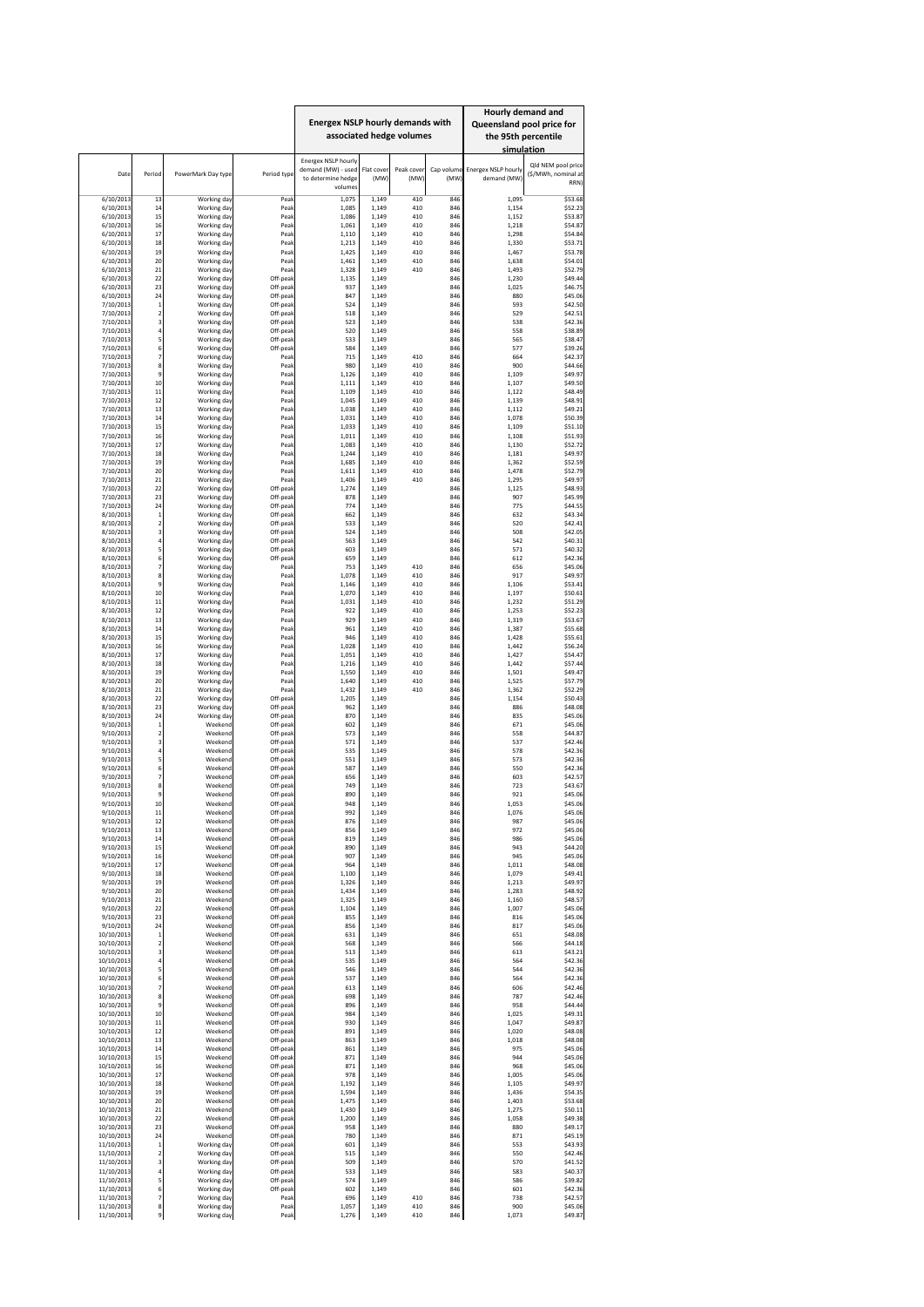|                          |                              |                            |                      |                                                                     |                |            |            | Hourly demand and                                |                                           |
|--------------------------|------------------------------|----------------------------|----------------------|---------------------------------------------------------------------|----------------|------------|------------|--------------------------------------------------|-------------------------------------------|
|                          |                              |                            |                      | <b>Energex NSLP hourly demands with</b><br>associated hedge volumes |                |            |            | Queensland pool price for<br>the 95th percentile |                                           |
|                          |                              |                            |                      |                                                                     |                |            |            | simulation                                       |                                           |
|                          |                              |                            |                      | Energex NSLP hourly                                                 |                |            |            |                                                  |                                           |
| Date                     | Period                       | PowerMark Day type         | Period type          | demand (MW) - used                                                  | Flat cover     | Peak cover | Cap volume | Energex NSLP hourly                              | Qld NEM pool price<br>(\$/MWh, nominal at |
|                          |                              |                            |                      | to determine hedge<br>volumes                                       | (MW)           | (MW)       | (MW)       | demand (MW)                                      | RRN)                                      |
| 6/10/2013                | 13                           | Working day                | Peal                 | 1,075                                                               | 1,149          | 410        | 846        | 1,095                                            | \$53.68                                   |
| 6/10/2013                | 14                           | Working day                | Peal                 | 1,085                                                               | 1,149          | 410        | 846        | 1,154                                            | \$52.2                                    |
| 6/10/2013<br>6/10/2013   | 15<br>16                     | Working day<br>Working day | Peal<br>Peal         | 1.086<br>1,061                                                      | 1.149<br>1,149 | 410<br>410 | 846<br>846 | 1.152<br>1,218                                   | \$53.87<br>\$54.87                        |
| 6/10/2013                | 17                           | Working day                | Peal                 | 1,110                                                               | 1,149          | 410        | 846        | 1,298                                            | \$54.84                                   |
| 6/10/2013<br>6/10/2013   | 18<br>19                     | Working day<br>Working day | Peal<br>Peal         | 1,213<br>1.425                                                      | 1,149<br>1.149 | 410<br>410 | 846<br>846 | 1,330<br>1.467                                   | \$53.71<br>\$53.78                        |
| 6/10/2013                | 20                           | Working day                | Peal                 | 1,461                                                               | 1,149          | 410        | 846        | 1,638                                            | \$54.01                                   |
| 6/10/2013<br>6/10/2013   | 21<br>22                     | Working day<br>Working day | Peal<br>Off-peal     | 1,328<br>1,135                                                      | 1,149<br>1,149 | 410        | 846<br>846 | 1,493<br>1,230                                   | \$52.79<br>\$49.44                        |
| 6/10/2013                | 23                           | Working day                | Off-peal             | 937                                                                 | 1.149          |            | 846        | 1,025                                            | \$46.75                                   |
| 6/10/2013<br>7/10/2013   | 24<br>$\mathbf 1$            | Working day<br>Working day | Off-peal<br>Off-peal | 847<br>524                                                          | 1,149<br>1,149 |            | 846<br>846 | 880<br>593                                       | \$45.06<br>\$42.50                        |
| 7/10/2013                | $\overline{a}$               | Working day                | Off-peal             | 518                                                                 | 1,149          |            | 846        | 529                                              | \$42.51                                   |
| 7/10/2013<br>7/10/2013   | R<br>4                       | Working day<br>Working day | Off-peal<br>Off-peal | 523<br>520                                                          | 1,149<br>1.149 |            | 846<br>846 | 538<br>558                                       | \$42.36<br>\$38.89                        |
| 7/10/2013                | 5                            | Working day                | Off-peal             | 533                                                                 | 1,149          |            | 846        | 565                                              | \$38.47                                   |
| 7/10/2013<br>7/10/2013   | 6<br>7                       | Working day<br>Working day | Off-peal<br>Peal     | 584<br>715                                                          | 1,149<br>1,149 | 410        | 846<br>846 | 577<br>664                                       | \$39.26<br>\$42.37                        |
| 7/10/2013                | 8                            | Working day                | Peal                 | 980                                                                 | 1.149          | 410        | 846        | 900                                              | \$44.66                                   |
| 7/10/2013<br>7/10/2013   | 9<br>10                      | Working day<br>Working day | Peal<br>Peal         | 1,126<br>1,111                                                      | 1,149<br>1,149 | 410<br>410 | 846<br>846 | 1,109<br>1,107                                   | \$49.97<br>\$49.50                        |
| 7/10/2013                | 11                           | Working day                | Peal                 | 1,109                                                               | 1,149          | 410        | 846        | 1,122                                            | \$48.49                                   |
| 7/10/2013<br>7/10/2013   | 12<br>13                     | Working day<br>Working day | Peal<br>Peal         | 1.045<br>1,038                                                      | 1.149<br>1,149 | 410<br>410 | 846<br>846 | 1.139<br>1,112                                   | \$48.91<br>\$49.23                        |
| 7/10/2013                | 14                           | Working day                | Peal                 | 1,031                                                               | 1,149          | 410        | 846        | 1,078                                            | \$50.39                                   |
| 7/10/2013<br>7/10/2013   | 15<br>16                     | Working day<br>Working day | Peal<br>Peal         | 1,033<br>1,011                                                      | 1,149<br>1.149 | 410<br>410 | 846<br>846 | 1,109<br>1.108                                   | \$51.10<br>\$51.93                        |
| 7/10/2013                | 17                           | Working day                | Peak                 | 1,083                                                               | 1,149          | 410        | 846        | 1,130                                            | \$52.72                                   |
| 7/10/2013<br>7/10/2013   | 18<br>19                     | Working day<br>Working day | Peal<br>Peak         | 1,244<br>1,685                                                      | 1,149<br>1,149 | 410<br>410 | 846<br>846 | 1,181<br>1,362                                   | \$49.97<br>\$52.59                        |
| 7/10/2013                | 20                           | Working day                | Peak                 | 1,611                                                               | 1.149          | 410        | 846        | 1.478                                            | \$52.79                                   |
| 7/10/2013<br>7/10/2013   | $\overline{21}$<br>$_{22}$   | Working day<br>Working day | Peal<br>Off-peal     | 1,406<br>1,274                                                      | 1,149<br>1,149 | 410        | 846<br>846 | 1,295<br>1,125                                   | \$49.9<br>\$48.9                          |
| 7/10/2013                | 23                           | Working day                | Off-peal             | 878                                                                 | 1,149          |            | 846        | 907                                              | \$45.99                                   |
| 7/10/2013<br>8/10/2013   | 24<br>$\mathbf{1}$           | Working day<br>Working day | Off-peal<br>Off-peal | 774<br>662                                                          | 1,149<br>1.149 |            | 846<br>846 | 775<br>632                                       | \$44.5<br>\$43.34                         |
| 8/10/2013                | $\overline{\mathbf{c}}$      | Working day                | Off-peal             | 533                                                                 | 1,149          |            | 846        | 520                                              | \$42.41                                   |
| 8/10/2013<br>8/10/2013   | 3<br>4                       | Working day<br>Working day | Off-peal<br>Off-peal | 524<br>563                                                          | 1,149<br>1,149 |            | 846<br>846 | 508<br>542                                       | \$42.05<br>\$40.31                        |
| 8/10/2013                | 5                            | Working day                | Off-peal             | 603                                                                 | 1.149          |            | 846        | 571                                              | \$40.32                                   |
| 8/10/2013<br>8/10/2013   | 6                            | Working day<br>Working day | Off-peal<br>Peal     | 659<br>753                                                          | 1,149<br>1,149 | 410        | 846<br>846 | 612<br>656                                       | \$42.36<br>\$45.0                         |
| 8/10/2013                | 8                            | Working day                | Peal                 | 1,078                                                               | 1,149          | 410        | 846        | 917                                              | \$49.97                                   |
| 8/10/2013<br>8/10/2013   | 9<br>10                      | Working day<br>Working day | Peal<br>Peak         | 1,146<br>1,070                                                      | 1.149<br>1,149 | 410<br>410 | 846<br>846 | 1.106<br>1,197                                   | \$53.43<br>\$50.61                        |
| 8/10/2013                | 11                           | Working day                | Peal                 | 1,031                                                               | 1,149          | 410        | 846        | 1,232                                            | \$51.29                                   |
| 8/10/2013<br>8/10/2013   | 12<br>13                     | Working day<br>Working day | Peak<br>Peak         | 922<br>929                                                          | 1,149<br>1.149 | 410<br>410 | 846<br>846 | 1,253<br>1.319                                   | \$52.23<br>\$53.67                        |
| 8/10/2013                | 14                           | Working day                | Peal                 | 961                                                                 | 1,149          | 410        | 846        | 1,387                                            | \$55.68                                   |
| 8/10/2013<br>8/10/2013   | 15<br>16                     | Working day<br>Working day | Peal<br>Peal         | 946<br>1,028                                                        | 1,149<br>1,149 | 410<br>410 | 846<br>846 | 1,428<br>1,442                                   | \$55.6<br>\$56.24                         |
| 8/10/2013                | 17                           | Working day                | Peal                 | 1.051                                                               | 1.149          | 410        | 846        | 1.427                                            | \$54.47                                   |
| 8/10/2013<br>8/10/2013   | 18<br>19                     | Working day<br>Working day | Peal<br>Peal         | 1,216<br>1,550                                                      | 1,149<br>1,149 | 410<br>410 | 846<br>846 | 1,442<br>1,501                                   | \$57.44<br>\$49.47                        |
| 8/10/2013                | 20                           | Working day                | Peal                 | 1,640                                                               | 1,149          | 410        | 846        | 1,525                                            | \$57.79                                   |
| 8/10/2013<br>8/10/2013   | $\overline{21}$<br>22        | Working day<br>Working day | Peal<br>Off-peal     | 1.432<br>1,205                                                      | 1.149<br>1.149 | 410        | 846<br>846 | 1.362<br>1.154                                   | \$52.29<br>\$50.43                        |
| 8/10/2013                | 23                           | Working day                | Off-peal             | 962                                                                 | 1,149          |            | 846        | 886                                              | \$48.08                                   |
| 8/10/2013<br>9/10/2013   | 24<br>1                      | Working day<br>Weekend     | Off-peal<br>Off-peal | 870<br>602                                                          | 1,149<br>1,149 |            | 846<br>846 | 835<br>671                                       | \$45.06<br>\$45.06                        |
| 9/10/2013                | $\overline{2}$               | Weekend                    | Off-peal             | 573                                                                 | 1.149          |            | 846        | 558                                              | \$44.87                                   |
| 9/10/2013<br>9/10/2013   | 3                            | Weekend<br>Weekend         | Off-peal<br>Off-peak | 571<br>535                                                          | 1,149<br>1,149 |            | 846<br>846 | 537<br>578                                       | \$42.46<br>\$42.36                        |
| 9/10/2013                | 5                            | Weekend                    | Off-peal             | 551                                                                 | 1,149          |            | 846        | 573                                              | \$42.36                                   |
| 9/10/2013<br>9/10/2013   | 6                            | Weekend<br>Weekend         | Off-peal<br>Off-peal | 587<br>656                                                          | 1.149<br>1,149 |            | 846<br>846 | 550<br>603                                       | \$42.36<br>\$42.57                        |
| 9/10/2013                |                              | Weekend                    | Off-peak             | 749                                                                 | 1,149          |            | 846        | 723                                              | \$43.67                                   |
| 9/10/2013<br>9/10/2013   | 9<br>10                      | Weekend<br>Weekend         | Off-peak<br>Off-peak | 890<br>948                                                          | 1,149<br>1.149 |            | 846<br>846 | 921<br>1.053                                     | \$45.06<br>\$45.06                        |
| 9/10/2013                | 11                           | Weekend                    | Off-peak             | 992                                                                 | 1,149          |            | 846        | 1,076                                            | \$45.06                                   |
| 9/10/2013<br>9/10/2013   | 12<br>13                     | Weekend<br>Weekend         | Off-peak<br>Off-peak | 876<br>856                                                          | 1,149<br>1,149 |            | 846<br>846 | 987<br>972                                       | \$45.06<br>\$45.06                        |
| 9/10/2013                | 14                           | Weekend                    | Off-peak             | 819                                                                 | 1.149          |            | 846        | 986                                              | \$45.06                                   |
| 9/10/2013<br>9/10/2013   | 15<br>16                     | Weekend<br>Weekend         | Off-peal<br>Off-peal | 890<br>907                                                          | 1,149<br>1,149 |            | 846<br>846 | 943<br>945                                       | \$44.20<br>\$45.06                        |
| 9/10/2013                | 17                           | Weekend                    | Off-peal             | 964                                                                 | 1,149          |            | 846        | 1,011                                            | \$48.08                                   |
| 9/10/2013<br>9/10/2013   | 18<br>19                     | Weekend<br>Weekend         | Off-peak<br>Off-peak | 1,100<br>1,326                                                      | 1,149<br>1,149 |            | 846<br>846 | 1,079<br>1,213                                   | \$49.41<br>\$49.97                        |
| 9/10/2013                | 20                           | Weekend                    | Off-peak             | 1,434                                                               | 1,149          |            | 846        | 1,283                                            | \$48.92                                   |
| 9/10/2013<br>9/10/2013   | 21<br>22                     | Weekend<br>Weekend         | Off-peak<br>Off-peak | 1,325<br>1,104                                                      | 1,149<br>1,149 |            | 846<br>846 | 1,160<br>1,007                                   | \$48.57<br>\$45.06                        |
| 9/10/2013                | 23                           | Weekend                    | Off-peak             | 855                                                                 | 1.149          |            | 846        | 816                                              | \$45.06                                   |
| 9/10/2013<br>10/10/2013  | 24<br>1                      | Weekend<br>Weekend         | Off-peal<br>Off-peak | 856<br>631                                                          | 1,149<br>1,149 |            | 846<br>846 | 817<br>651                                       | \$45.06<br>\$48.08                        |
| 10/10/2013               | $\overline{2}$               | Weekend                    | Off-peal             | 568                                                                 | 1,149          |            | 846        | 566                                              | \$44.18                                   |
| 10/10/2013<br>10/10/2013 | $\overline{\mathbf{3}}$<br>4 | Weekend<br>Weekend         | Off-peak<br>Off-peak | 513<br>535                                                          | 1,149<br>1,149 |            | 846<br>846 | 613<br>564                                       | \$43.21<br>\$42.36                        |
| 10/10/2013               | 5                            | Weekend                    | Off-peak             | 546                                                                 | 1,149          |            | 846        | 544                                              | \$42.36                                   |
| 10/10/2013<br>10/10/2013 | 6<br>7                       | Weekend<br>Weekend         | Off-peak<br>Off-peak | 537<br>613                                                          | 1,149<br>1.149 |            | 846<br>846 | 564<br>606                                       | \$42.36<br>\$42.46                        |
| 10/10/2013               | 8                            | Weekend                    | Off-peal             | 698                                                                 | 1,149          |            | 846        | 787                                              | \$42.46                                   |
| 10/10/2013<br>10/10/2013 | 9<br>10                      | Weekend<br>Weekend         | Off-peak<br>Off-peal | 896<br>984                                                          | 1,149<br>1,149 |            | 846<br>846 | 958<br>1,025                                     | \$44.44<br>\$49.31                        |
| 10/10/2013               | 11                           | Weekend                    | Off-peak             | 930                                                                 | 1,149          |            | 846        | 1.047                                            | \$49.87                                   |
| 10/10/2013<br>10/10/2013 | 12<br>13                     | Weekend<br>Weekend         | Off-peak<br>Off-peak | 891<br>863                                                          | 1,149<br>1,149 |            | 846<br>846 | 1,020<br>1,018                                   | \$48.08<br>\$48.08                        |
| 10/10/2013               | 14                           | Weekend                    | Off-peak             | 861                                                                 | 1,149          |            | 846        | 975                                              | \$45.06                                   |
| 10/10/2013<br>10/10/2013 | 15<br>16                     | Weekend<br>Weekend         | Off-peak<br>Off-peal | 871<br>871                                                          | 1.149<br>1,149 |            | 846<br>846 | 944<br>968                                       | \$45.06<br>\$45.06                        |
| 10/10/2013               | 17                           | Weekend                    | Off-peal             | 978                                                                 | 1,149          |            | 846        | 1,005                                            | \$45.06                                   |
| 10/10/2013<br>10/10/2013 | 18<br>19                     | Weekend<br>Weekend         | Off-peal<br>Off-peal | 1,192<br>1,594                                                      | 1,149<br>1,149 |            | 846<br>846 | 1,105<br>1,436                                   | \$49.97<br>\$54.35                        |
| 10/10/2013               | 20                           | Weekend                    | Off-peal             | 1,475                                                               | 1.149          |            | 846        | 1,403                                            | \$53.68                                   |
| 10/10/2013<br>10/10/2013 | 21<br>22                     | Weekend<br>Weekend         | Off-peal<br>Off-peak | 1,430<br>1,200                                                      | 1,149<br>1,149 |            | 846<br>846 | 1,275<br>1,058                                   | \$50.11<br>\$49.38                        |
| 10/10/2013               | 2 <sup>2</sup>               | Weekend                    | Off-peal             | 958                                                                 | 1,149          |            | 846        | 880                                              | \$49.17                                   |
| 10/10/2013<br>11/10/2013 | 24<br>$\overline{1}$         | Weekend<br>Working day     | Off-peak<br>Off-peak | 780<br>601                                                          | 1.149<br>1,149 |            | 846<br>846 | 871<br>553                                       | \$45.19<br>\$43.93                        |
| 11/10/2013               | $\overline{\mathbf{c}}$      | Working day                | Off-peak             | 515                                                                 | 1,149          |            | 846        | 550                                              | \$42.46                                   |
| 11/10/2013<br>11/10/2013 | 3<br>4                       | Working day<br>Working day | Off-peal<br>Off-peak | 509<br>533                                                          | 1,149<br>1,149 |            | 846<br>846 | 570<br>583                                       | \$41.52<br>\$40.37                        |
| 11/10/2013               | 5                            | Working day                | Off-peak             | 574                                                                 | 1,149          |            | 846        | 586                                              | \$39.82                                   |
| 11/10/2013<br>11/10/2013 | 6<br>7                       | Working day<br>Working day | Off-peak<br>Peak     | 602<br>696                                                          | 1,149<br>1,149 | 410        | 846<br>846 | 601<br>738                                       | \$42.36<br>\$42.57                        |
| 11/10/2013               | 8                            | Working day                | Peak                 | 1,057                                                               | 1,149          | 410        | 846        | 900                                              | \$45.06                                   |
| 11/10/2013               |                              | Working day                | Peak                 | 1,276                                                               | 1,149          | 410        | 846        | 1,073                                            | \$49.87                                   |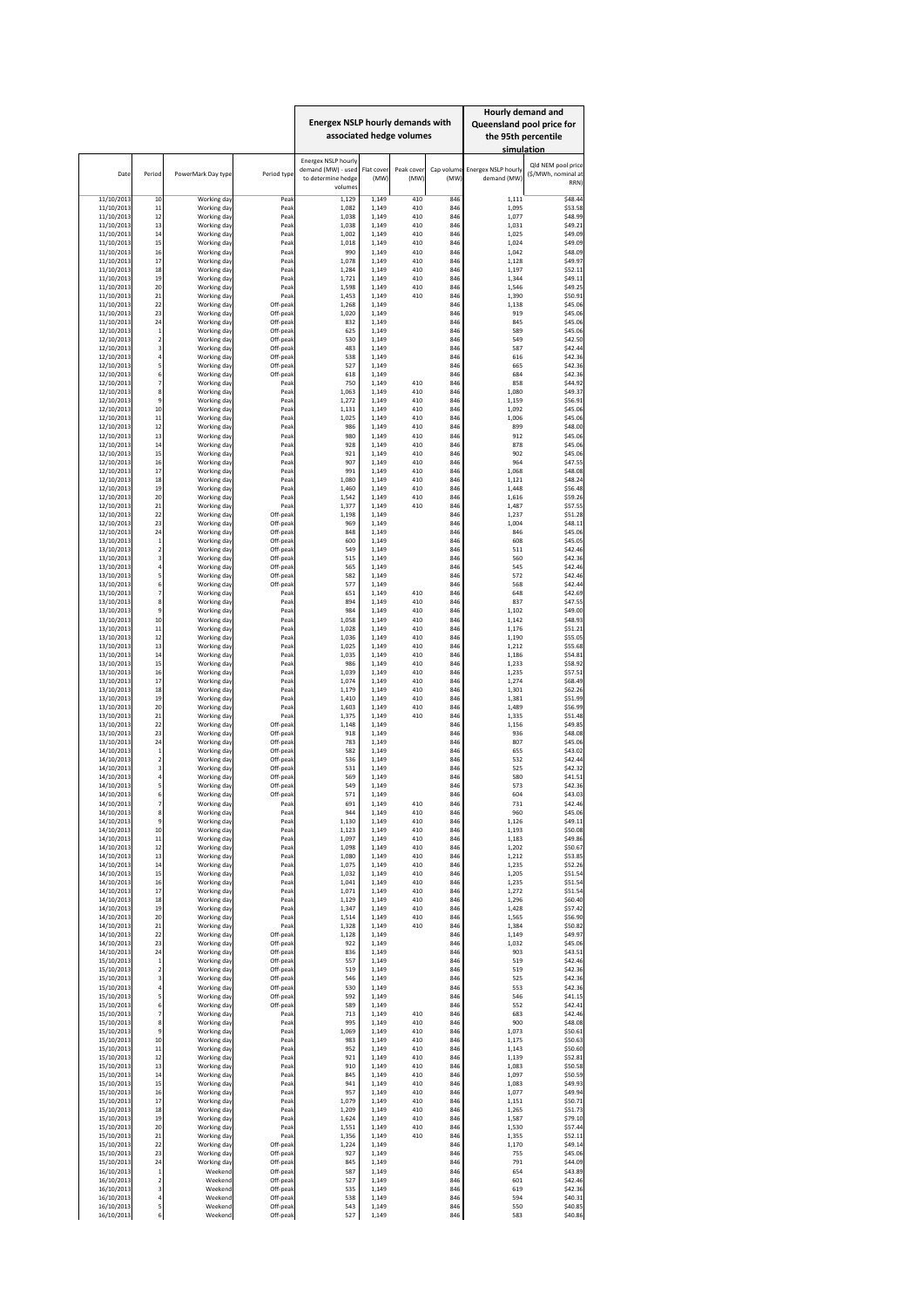|                          |                          |                            |                      |                                                                     |                    |                    |                                                  | Hourly demand and                  |                                   |
|--------------------------|--------------------------|----------------------------|----------------------|---------------------------------------------------------------------|--------------------|--------------------|--------------------------------------------------|------------------------------------|-----------------------------------|
|                          |                          |                            |                      | <b>Energex NSLP hourly demands with</b><br>associated hedge volumes |                    |                    | Queensland pool price for<br>the 95th percentile |                                    |                                   |
|                          |                          |                            |                      |                                                                     |                    |                    |                                                  | simulation                         |                                   |
|                          |                          |                            |                      | Energex NSLP hourly                                                 |                    |                    |                                                  |                                    | Qld NEM pool price                |
| Date                     | Period                   | PowerMark Day type         | Period type          | demand (MW) - used<br>to determine hedge                            | Flat cover<br>(MW) | Peak cover<br>(MW) | Cap volume<br>(MW)                               | Energex NSLP hourly<br>demand (MW) | (\$/MWh, nominal at<br><b>RRN</b> |
|                          |                          |                            |                      | volume                                                              |                    |                    |                                                  |                                    |                                   |
| 11/10/2013               | 10                       | Working day                | Pea                  | 1,129                                                               | 1.149              | 410                | 846                                              | 1.111                              | \$48.44                           |
| 11/10/2013               | 11                       | Working day                | Peal                 | 1,082                                                               | 1,149              | 410                | 846                                              | 1,095                              | \$53.58                           |
| 11/10/2013               | 12                       | Working day                | Peak                 | 1.038                                                               | 1,149              | 410                | 846                                              | 1,077                              | \$48.99                           |
| 11/10/2013               | 13                       | Working day                | Peal                 | 1.038                                                               | 1.149              | 410                | 846                                              | 1.031                              | \$49.21                           |
| 11/10/2013               | 14                       | Working day                | Peal                 | 1,002                                                               | 1,149              | 410                | 846                                              | 1,025                              | \$49.09                           |
| 11/10/2013               | 15                       | Working day                | Peal                 | 1,018                                                               | 1,149              | 410                | 846                                              | 1,024                              | \$49.09                           |
| 11/10/2013               | 16                       | Working day                | Peal                 | 990                                                                 | 1,149              | 410                | 846                                              | 1,042                              | \$48.09                           |
| 11/10/2013               | 17                       | Working day                | Peak                 | 1.078                                                               | 1.149              | 410                | 846                                              | 1,128                              | \$49.97                           |
| 11/10/2013               | 18                       | Working day                | Peak                 | 1,284                                                               | 1,149              | 410                | 846                                              | 1,197                              | \$52.11                           |
| 11/10/2013               | 19                       | Working day                | Peak                 | 1,721                                                               | 1,149              | 410                | 846                                              | 1,344                              | \$49.11                           |
| 11/10/2013               | 20                       | Working day                | Peak                 | 1,598                                                               | 1,149              | 410                | 846                                              | 1,546                              | \$49.25                           |
| 11/10/2013               | 21                       | Working day                | Peal                 | 1.453                                                               | 1.149              | 410                | 846                                              | 1.390                              | \$50.91                           |
| 11/10/2013               | 22                       | Working day                | Off-peal             | 1.268                                                               | 1.149              |                    | 846                                              | 1.138                              | \$45.06                           |
| 11/10/2013               | 23                       | Working day                | Off-peal             | 1,020                                                               | 1,149              |                    | 846                                              | 919                                | \$45.06                           |
| 11/10/2013               | 24                       | Working day                | Off-peal             | 832                                                                 | 1,149              |                    | 846                                              | 845                                | \$45.06                           |
| 12/10/2013               | $\mathbf{1}$             | Working day                | Off-peal             | 625                                                                 | 1,149              |                    | 846                                              | 589                                | \$45.06                           |
| 12/10/2013               | $\overline{2}$           | Working day                | Off-peal             | 530                                                                 | 1.149              |                    | 846                                              | 549                                | \$42.50                           |
| 12/10/2013               | 3                        | Working day                | Off-peak             | 483                                                                 | 1,149              |                    | 846                                              | 587                                | \$42.44                           |
| 12/10/2013               | 4                        | Working day                | Off-peak             | 538                                                                 | 1,149              |                    | 846                                              | 616                                | \$42.36                           |
| 12/10/2013               | 5                        | Working day                | Off-peal             | 527                                                                 | 1,149              |                    | 846                                              | 665                                | \$42.36                           |
| 12/10/2013               | 6                        | Working day                | Off-peal             | 618                                                                 | 1.149              | 410                | 846                                              | 684                                | \$42.36                           |
| 12/10/2013               | $\overline{7}$           | Working day                | Peal                 | 750                                                                 | 1,149              |                    | 846                                              | 858                                | \$44.92                           |
| 12/10/2013               | 8                        | Working day                | Peal                 | 1,063                                                               | 1,149              | 410                | 846                                              | 1,080                              | \$49.37                           |
| 12/10/2013               | 9                        | Working day                | Peal                 | 1,272                                                               | 1,149              | 410                | 846                                              | 1,159                              | \$56.91                           |
| 12/10/2013               | 10                       | Working day                | Peak                 | 1.131                                                               | 1.149              | 410                | 846                                              | 1,092                              | \$45.06                           |
| 12/10/2013               | 11                       | Working day                | Peak                 | 1,025                                                               | 1,149              | 410                | 846                                              | 1,006                              | \$45.06                           |
| 12/10/2013               | 12                       | Working day                | Peak                 | 986                                                                 | 1,149              | 410                | 846                                              | 899                                | \$48.00                           |
| 12/10/2013               | 13                       | Working day                | Peak                 | 980                                                                 | 1,149              | 410                | 846                                              | 912                                | \$45.06                           |
| 12/10/2013               | 14                       | Working day                | Peak                 | 928                                                                 | 1.149              | 410                | 846                                              | 878                                | \$45.06                           |
| 12/10/2013               | 15                       | Working day                | Peal                 | 921                                                                 | 1,149              | 410                | 846<br>846                                       | 902                                | \$45.06                           |
| 12/10/2013               | 16                       | Working day                | Peal                 | 907                                                                 | 1,149              | 410                | 846                                              | 964                                | \$47.55                           |
| 12/10/2013               | 17                       | Working day                | Peal                 | 991                                                                 | 1,149              | 410                |                                                  | 1,068                              | \$48.08                           |
| 12/10/2013               | 18                       | Working day                | Peal                 | 1.080                                                               | 1.149              | 410                | 846                                              | 1.121                              | \$48.24                           |
| 12/10/2013               | 19                       | Working day                | Peal                 | 1,460                                                               | 1,149              | 410                | 846                                              | 1,448                              | \$56.48                           |
| 12/10/2013               | 20                       | Working day                | Peal                 | 1,542                                                               | 1,149              | 410                | 846                                              | 1,616                              | \$59.26                           |
| 12/10/2013               | 21                       | Working day                | Peak                 | 1,377                                                               | 1,149              | 410                | 846                                              | 1,487                              | \$57.55                           |
| 12/10/2013               | 22                       | Working day                | Off-peak             | 1,198                                                               | 1,149              |                    | 846                                              | 1,237                              | \$51.28                           |
| 12/10/2013               | 23                       | Working day                | Off-peal             | 969                                                                 | 1.149              |                    | 846                                              | 1,004                              | \$48.11                           |
| 12/10/2013               | 24                       | Working day                | Off-peal             | 848                                                                 | 1,149              |                    | 846                                              | 846                                | \$45.06                           |
| 13/10/2013               | $\mathbf{1}$             | Working day                | Off-peal             | 600                                                                 | 1,149              |                    | 846                                              | 608                                | \$45.05                           |
| 13/10/2013               | $\overline{2}$           | Working day                | Off-peal             | 549                                                                 | 1,149              |                    | 846                                              | 511                                | \$42.46                           |
| 13/10/2013               | $\overline{\mathbf{3}}$  | Working day                | Off-peal             | 515                                                                 | 1.149              |                    | 846                                              | 560                                | \$42.36                           |
| 13/10/2013               | 4                        | Working day                | Off-peak             | 565                                                                 | 1,149              |                    | 846                                              | 545                                | \$42.46                           |
| 13/10/2013               | 5                        | Working day                | Off-peak             | 582                                                                 | 1,149              |                    | 846                                              | 572                                | \$42.46                           |
| 13/10/2013               | 6                        | Working day                | Off-peak             | 577                                                                 | 1,149              | 410                | 846                                              | 568                                | \$42.44                           |
| 13/10/2013               | $\overline{7}$           | Working day                | Peal                 | 651                                                                 | 1.149              |                    | 846                                              | 648                                | \$42.69                           |
| 13/10/2013               | 8                        | Working day                | Peak                 | 894                                                                 | 1,149              | 410                | 846                                              | 837                                | \$47.55                           |
| 13/10/2013               | 9                        | Working day                | Peal                 | 984                                                                 | 1,149              | 410                | 846                                              | 1,102                              | \$49.00                           |
| 13/10/2013               | 10                       | Working day                | Peal                 | 1,058                                                               | 1,149              | 410                | 846                                              | 1,142                              | \$48.93                           |
| 13/10/2013               | 11                       | Working day                | Peal                 | 1.028                                                               | 1.149              | 410                | 846                                              | 1.176                              | \$51.21                           |
| 13/10/2013               | 12                       | Working day                | Peak                 | 1,036                                                               | 1,149              | 410                | 846                                              | 1,190                              | \$55.05                           |
| 13/10/2013               | 13<br>14                 | Working day                | Peal<br>Peal         | 1,025                                                               | 1,149              | 410<br>410         | 846<br>846                                       | 1,212                              | \$55.68<br>\$54.81                |
| 13/10/2013<br>13/10/2013 | 15                       | Working day<br>Working day | Peal                 | 1,035<br>986                                                        | 1,149<br>1.149     | 410                | 846                                              | 1,186<br>1.233                     | \$58.92                           |
| 13/10/2013               | 16                       | Working day                | Peal                 | 1,039                                                               | 1,149              | 410                | 846                                              | 1,235                              | \$57.51                           |
| 13/10/2013               | 17                       | Working day                | Peal                 | 1,074                                                               | 1,149              | 410                | 846                                              | 1,274                              | \$68.49                           |
| 13/10/2013               | 18                       | Working day                | Peal                 | 1,179                                                               | 1,149              | 410                | 846                                              | 1,301                              | \$62.26                           |
| 13/10/2013               | 19                       | Working day                | Peal                 | 1,410                                                               | 1,149              | 410                | 846                                              |                                    | \$51.99                           |
| 13/10/2013               | 20                       | Working day                | Peal                 | 1.603                                                               | 1.149              | 410                | 846                                              | 1,381<br>1.489                     | \$56.99                           |
| 13/10/2013               | 21                       | Working day                | Peak                 | 1,375                                                               | 1,149              | 410                | 846                                              | 1,335                              | \$51.48                           |
| 13/10/2013               | 22                       | Working day                | Off-peak             | 1,148                                                               | 1,149              |                    | 846                                              | 1,156                              | \$49.85                           |
| 13/10/2013               | 23                       | Working day                | Off-peal             | 918                                                                 | 1,149              |                    | 846                                              | 936                                | \$48.08                           |
| 13/10/2013               | 24                       | Working day                | Off-peal             | 783                                                                 | 1.149              |                    | 846                                              | 807                                | \$45.06                           |
| 14/10/2013               | $\mathbf{1}$             | Working day                | Off-peal             | 582                                                                 | 1,149              |                    | 846                                              | 655                                | \$43.02                           |
| 14/10/2013               | $\overline{\mathbf{c}}$  | Working day                | Off-peal             | 536                                                                 | 1,149              |                    | 846                                              | 532                                | \$42.44                           |
| 14/10/2013               | 3                        | Working day                | Off-peal             | 531                                                                 | 1,149              |                    | 846                                              | 525                                | \$42.32                           |
| 14/10/2013<br>14/10/2013 | 4                        | Working day<br>Working day | Off-peal<br>Off-peak | 569<br>549                                                          | 1.149<br>1,149     |                    | 846<br>846                                       | 580<br>573                         | \$41.51<br>\$42.36                |
| 14/10/2013               | 6                        | Working day                | Off-peak             | 571<br>691                                                          | 1,149              |                    | 846                                              | 604                                | \$43.03                           |
| 14/10/2013<br>14/10/2013 | 8                        | Working day<br>Working day | Pea<br>Peal          | 944                                                                 | 1.149<br>1.149     | 410<br>410         | 846<br>846                                       | 731<br>960                         | \$42.46<br>\$45.06                |
| 14/10/2013               | 9                        | Working day                | Peak                 | 1,130                                                               | 1,149              | 410                | 846                                              | 1,126                              | \$49.11                           |
| 14/10/2013               | 10                       | Working day                | Peak                 | 1,123                                                               | 1,149              | 410                | 846                                              | 1,193                              | \$50.08                           |
| 14/10/2013               | 11                       | Working day                | Peak                 | 1,097                                                               | 1,149              | 410                | 846                                              | 1,183                              | \$49.86                           |
| 14/10/2013               | 12                       | Working day                | Peak                 | 1,098                                                               | 1,149              | 410                | 846                                              | 1,202                              | \$50.67                           |
| 14/10/2013               | 13                       | Working day                | Peak                 | 1,080                                                               | 1,149              | 410                | 846                                              | 1,212                              | \$53.85                           |
| 14/10/2013               | 14                       | Working day                | Peak                 | 1,075                                                               | 1,149              | 410                | 846                                              | 1,235                              | \$52.26                           |
| 14/10/2013               | 15                       | Working day                | Peak                 | 1,032                                                               | 1,149              | 410                | 846                                              | 1,205                              | \$51.54                           |
| 14/10/2013               | 16                       | Working day                | Peak                 | 1,041                                                               | 1,149              | 410                | 846                                              | 1,235                              | \$51.54                           |
| 14/10/2013               | 17                       | Working day                | Peak                 | 1.071                                                               | 1.149              | 410                | 846                                              | 1,272                              | \$51.54                           |
| 14/10/2013               | 18                       | Working day<br>Working day | Peak                 | 1,129                                                               | 1,149              | 410                | 846                                              | 1,296                              | \$60.40                           |
| 14/10/2013               | 19                       | Working day                | Peak                 | 1,347                                                               | 1,149              | 410                | 846                                              | 1,428                              | \$57.42                           |
| 14/10/2013               | 20                       |                            | Peal                 | 1,514                                                               | 1,149              | 410                | 846                                              | 1,565                              | \$56.90                           |
| 14/10/2013               | 21                       | Working day                | Peal                 | 1,328                                                               | 1.149              | 410                | 846                                              | 1,384                              | \$50.82                           |
| 14/10/2013               | 22                       | Working day                | Off-peak             | 1,128                                                               | 1,149              |                    | 846                                              | 1,149                              | \$49.97                           |
| 14/10/2013               | 23                       | Working day                | Off-peak             | 922                                                                 | 1,149              |                    | 846                                              | 1,032                              | \$45.06                           |
| 14/10/2013               | 24                       | Working day                | Off-peak             | 836                                                                 | 1,149              |                    | 846                                              | 903                                | \$43.51                           |
| 15/10/2013               | $\mathbf{1}$             | Working day                | Off-peal             | 557                                                                 | 1.149              |                    | 846                                              | 519                                | \$42.46                           |
| 15/10/2013               | $\mathbf 2$              | Working day                | Off-peak             | 519                                                                 | 1,149              |                    | 846                                              | 519                                | \$42.36                           |
| 15/10/2013               | 3                        | Working day                | Off-peak             | 546                                                                 | 1,149              |                    | 846                                              | 525                                | \$42.36                           |
| 15/10/2013               | 4                        | Working day                | Off-peak             | 530                                                                 | 1,149              |                    | 846                                              | 553                                | \$42.36                           |
| 15/10/2013               | 5                        | Working day                | Off-peak             | 592                                                                 | 1,149              |                    | 846                                              | 546                                | \$41.15                           |
| 15/10/2013               | 6                        | Working day                | Off-peak             | 589                                                                 | 1,149              |                    | 846                                              | 552                                | \$42.41                           |
| 15/10/2013               | $\overline{\phantom{a}}$ | Working day                | Peak                 | 713                                                                 | 1,149              | 410                | 846                                              | 683                                | \$42.46                           |
| 15/10/2013               | 8                        | Working day                | Peak                 | 995                                                                 | 1,149              | 410                | 846                                              | 900                                | \$48.08                           |
| 15/10/2013               | 9                        | Working day                | Peak                 | 1.069                                                               | 1.149              | 410                | 846                                              | 1,073                              | \$50.61                           |
| 15/10/2013               | 10                       | Working day                | Peak                 | 983                                                                 | 1,149              | 410                | 846                                              | 1,175                              | \$50.63                           |
| 15/10/2013               | 11<br>12                 | Working day                | Peak<br>Peak         | 952<br>921                                                          | 1,149<br>1,149     | 410<br>410         | 846<br>846                                       | 1,143                              | \$50.60<br>\$52.81                |
| 15/10/2013<br>15/10/2013 | 13                       | Working day<br>Working day | Peal                 | 910                                                                 | 1.149              | 410                | 846                                              | 1,139<br>1,083                     | \$50.58                           |
| 15/10/2013               | 14                       | Working day                | Peak                 | 845                                                                 | 1,149              | 410                | 846                                              | 1,097                              | \$50.59                           |
| 15/10/2013               | 15                       | Working day                | Peak                 | 941                                                                 | 1,149              | 410                | 846                                              | 1,083                              | \$49.93                           |
| 15/10/2013               | 16                       | Working day                | Peak                 | 957                                                                 | 1,149              | 410                | 846<br>846                                       | 1,077                              | \$49.94                           |
| 15/10/2013               | 17                       | Working day                | Peak                 | 1,079                                                               | 1,149              | 410                | 846                                              | 1,151                              | \$50.71                           |
| 15/10/2013               | 18                       | Working day                | Peal                 | 1.209                                                               | 1.149              | 410                |                                                  | 1,265                              | \$51.73                           |
| 15/10/2013               | 19                       | Working day                | Peak                 | 1,624                                                               | 1,149              | 410                | 846                                              | 1,587                              | \$79.10                           |
| 15/10/2013               | 20                       | Working day                | Peak                 | 1,551                                                               | 1,149              | 410                | 846                                              | 1,530                              | \$57.44                           |
| 15/10/2013               | 21                       | Working day                | Peal                 | 1,356                                                               | 1,149              | 410                | 846                                              | 1,355                              | \$52.11                           |
| 15/10/2013               | 22                       | Working day                | Off-peak             | 1,224                                                               | 1.149              |                    | 846                                              | 1,170                              | \$49.14                           |
| 15/10/2013               | 23                       | Working day                | Off-peak             | 927                                                                 | 1,149              |                    | 846                                              | 755                                | \$45.06                           |
| 15/10/2013               | 24                       | Working day                | Off-peak             | 845                                                                 | 1,149              |                    | 846                                              | 791                                | \$44.09                           |
| 16/10/2013               | $\mathbf{1}$             | Weekend                    | Off-peak             | 587                                                                 | 1,149              |                    | 846                                              | 654                                | \$43.89                           |
| 16/10/2013               | $\overline{2}$           | Weekend                    | Off-peak             | 527                                                                 | 1.149              |                    | 846                                              | 601                                | \$42.46                           |
| 16/10/2013               | 3                        | Weekend                    | Off-peak             | 535                                                                 | 1,149              |                    | 846                                              | 619                                | \$42.36                           |
| 16/10/2013               | 4                        | Weekend                    | Off-peak             | 538                                                                 | 1,149              |                    | 846                                              | 594                                | \$40.31                           |
| 16/10/2013               | 5                        | Weekend                    | Off-peak             | 543                                                                 | 1,149              |                    | 846                                              | 550                                | \$40.85                           |
| 16/10/2013               | 6                        | Weekend                    | Off-peak             | 527                                                                 | 1,149              |                    | 846                                              | 583                                | \$40.86                           |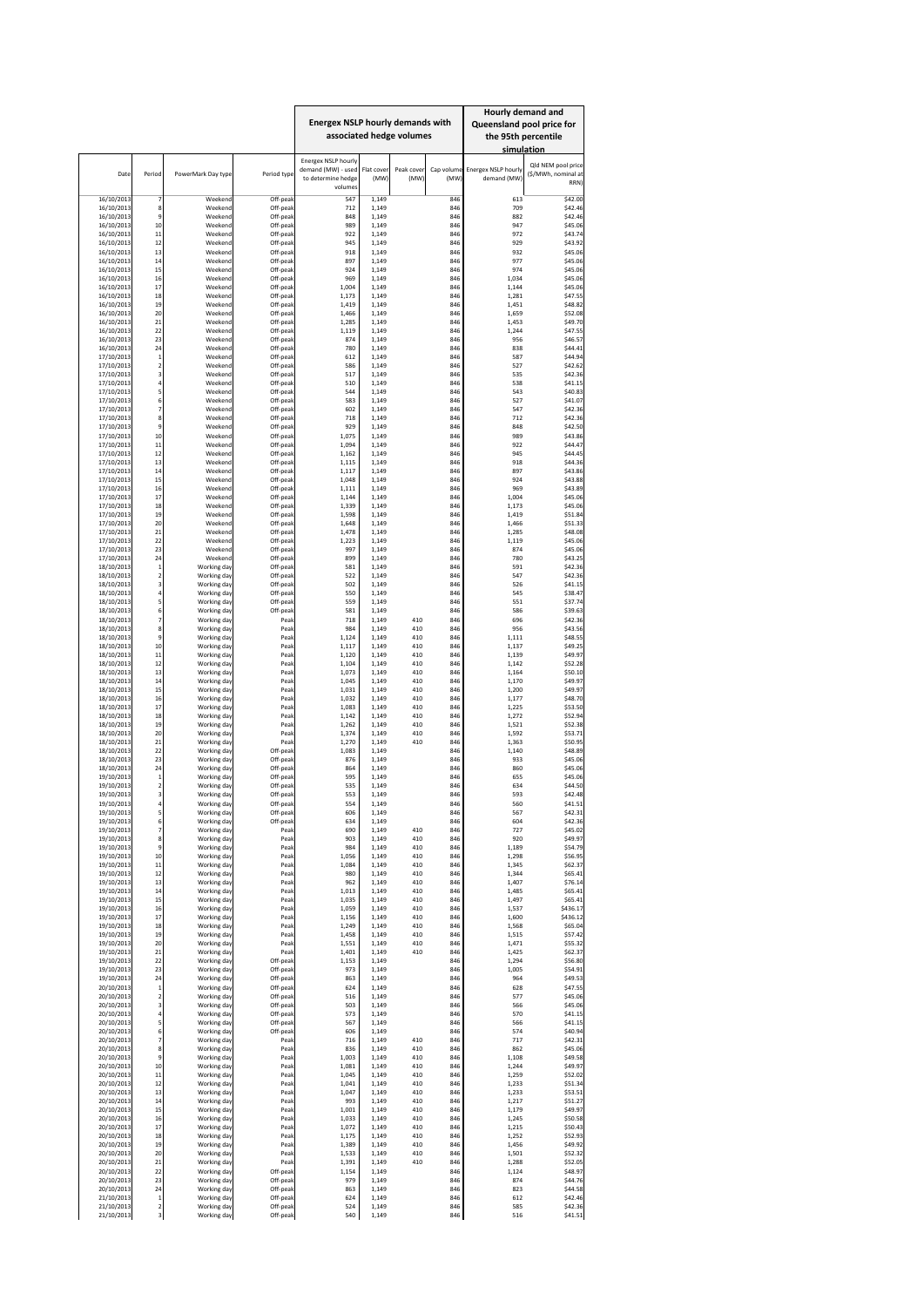|                          |                              |                            |                      |                                                                     |                |            | Hourly demand and         |                                   |                                           |  |
|--------------------------|------------------------------|----------------------------|----------------------|---------------------------------------------------------------------|----------------|------------|---------------------------|-----------------------------------|-------------------------------------------|--|
|                          |                              |                            |                      | <b>Energex NSLP hourly demands with</b><br>associated hedge volumes |                |            | Queensland pool price for |                                   |                                           |  |
|                          |                              |                            |                      |                                                                     |                |            |                           | the 95th percentile<br>simulation |                                           |  |
|                          |                              |                            |                      | Energex NSLP hourly                                                 |                |            |                           |                                   |                                           |  |
| Date                     | Period                       | PowerMark Day type         | Period type          | demand (MW) - used                                                  | Flat cover     | Peak cover | Cap volume                | Energex NSLP hourly               | Old NEM pool price<br>(\$/MWh, nominal at |  |
|                          |                              |                            |                      | to determine hedge<br>volume                                        | (MW)           | (MW)       | (MW)                      | demand (MW)                       | <b>RRN</b>                                |  |
| 16/10/2013               |                              | Weekend                    | Off-peal             | 547                                                                 | 1,149          |            | 846                       | 613                               | \$42.00                                   |  |
| 16/10/2013               | ε                            | Weekend                    | Off-peal             | 712                                                                 | 1,149          |            | 846                       | 709                               | \$42.46                                   |  |
| 16/10/2013<br>16/10/2013 | ¢<br>10                      | Weekend<br>Weekend         | Off-peal<br>Off-peal | 848<br>989                                                          | 1,149<br>1.149 |            | 846<br>846                | 882<br>947                        | \$42.46<br>\$45.06                        |  |
| 16/10/2013               | $\overline{11}$              | Weekend                    | Off-peal             | 922                                                                 | 1,149          |            | 846                       | 972                               | \$43.74                                   |  |
| 16/10/2013<br>16/10/2013 | 12<br>13                     | Weekend<br>Weekend         | Off-peal<br>Off-peal | 945<br>918                                                          | 1,149<br>1,149 |            | 846<br>846                | 929<br>932                        | \$43.92<br>\$45.06                        |  |
| 16/10/2013               | 14                           | Weekend                    | Off-peal             | 897                                                                 | 1.149          |            | 846                       | 977                               | \$45.06                                   |  |
| 16/10/2013<br>16/10/2013 | 15<br>16                     | Weekend<br>Weekend         | Off-peal<br>Off-peal | 924<br>969                                                          | 1,149<br>1,149 |            | 846<br>846                | 974<br>1,034                      | \$45.06<br>\$45.06                        |  |
| 16/10/2013               | 17                           | Weekend                    | Off-peal             | 1,004                                                               | 1,149          |            | 846                       | 1,144                             | \$45.06                                   |  |
| 16/10/2013<br>16/10/2013 | 18<br>19                     | Weekend<br>Weekend         | Off-peal<br>Off-peal | 1,173<br>1,419                                                      | 1.149<br>1.149 |            | 846<br>846                | 1,281<br>1.451                    | \$47.55<br>\$48.82                        |  |
| 16/10/2013               | 20                           | Weekend                    | Off-peal             | 1,466                                                               | 1,149          |            | 846                       | 1,659                             | \$52.08                                   |  |
| 16/10/2013<br>16/10/2013 | 21<br>22                     | Weekend<br>Weekend         | Off-peal<br>Off-peal | 1,285<br>1,119                                                      | 1,149<br>1,149 |            | 846<br>846                | 1,453<br>1,244                    | \$49.70<br>\$47.59                        |  |
| 16/10/2013               | 23                           | Weekend                    | Off-peal             | 874                                                                 | 1.149          |            | 846                       | 956                               | \$46.57                                   |  |
| 16/10/2013<br>17/10/2013 | 24<br>$\mathbf{1}$           | Weekend<br>Weekend         | Off-peal<br>Off-peal | 780<br>612                                                          | 1,149<br>1,149 |            | 846<br>846                | 838<br>587                        | \$44.41<br>\$44.94                        |  |
| 17/10/2013               | $\overline{\mathbf{c}}$      | Weekend                    | Off-peal             | 586                                                                 | 1,149          |            | 846                       | 527                               | \$42.62                                   |  |
| 17/10/2013<br>17/10/2013 | $\overline{\mathbf{3}}$<br>4 | Weekend<br>Weekend         | Off-peak<br>Off-peal | 517<br>510                                                          | 1.149<br>1,149 |            | 846<br>846                | 535<br>538                        | \$42.36<br>\$41.15                        |  |
| 17/10/2013               | 5                            | Weekend                    | Off-peal             | 544                                                                 | 1,149          |            | 846                       | 543                               | \$40.8                                    |  |
| 17/10/2013<br>17/10/2013 | 6<br>$\overline{7}$          | Weekend<br>Weekend         | Off-peal<br>Off-peal | 583<br>602                                                          | 1,149<br>1.149 |            | 846<br>846                | 527<br>547                        | \$41.07<br>\$42.36                        |  |
| 17/10/2013               | 8                            | Weekend                    | Off-peal             | 718                                                                 | 1,149          |            | 846                       | 712                               | \$42.36                                   |  |
| 17/10/2013<br>17/10/2013 | 9<br>10                      | Weekend<br>Weekend         | Off-peal<br>Off-peal | 929<br>1,075                                                        | 1,149<br>1,149 |            | 846<br>846                | 848<br>989                        | \$42.50<br>\$43.86                        |  |
| 17/10/2013               | 11                           | Weekend                    | Off-peak             | 1,094                                                               | 1.149          |            | 846                       | 922                               | \$44.47                                   |  |
| 17/10/2013<br>17/10/2013 | 12<br>13                     | Weekend<br>Weekend         | Off-peal<br>Off-peal | 1,162<br>1,115                                                      | 1,149<br>1,149 |            | 846<br>846                | 945<br>918                        | \$44.45<br>\$44.36                        |  |
| 17/10/2013               | 14                           | Weekend                    | Off-peal             | 1,117                                                               | 1,149          |            | 846                       | 897                               | \$43.86                                   |  |
| 17/10/2013<br>17/10/2013 | 15<br>16                     | Weekend<br>Weekend         | Off-peal<br>Off-peal | 1,048<br>1.111                                                      | 1.149<br>1.149 |            | 846<br>846                | 924<br>969                        | \$43.88<br>\$43.89                        |  |
| 17/10/2013               | 17                           | Weekend                    | Off-peal             | 1,144                                                               | 1,149          |            | 846                       | 1,004                             | \$45.06                                   |  |
| 17/10/2013<br>17/10/2013 | 18<br>19                     | Weekend<br>Weekend         | Off-peal<br>Off-peal | 1,339<br>1,598                                                      | 1,149<br>1,149 |            | 846<br>846                | 1,173<br>1,419                    | \$45.06<br>\$51.84                        |  |
| 17/10/2013               | 20                           | Weekend                    | Off-peal             | 1,648                                                               | 1.149          |            | 846                       | 1.466                             | \$51.33                                   |  |
| 17/10/2013<br>17/10/2013 | 21<br>22                     | Weekend<br>Weekend         | Off-peal<br>Off-peal | 1,478<br>1,223                                                      | 1,149<br>1,149 |            | 846<br>846                | 1,285<br>1,119                    | \$48.08<br>\$45.06                        |  |
| 17/10/2013               | 2 <sup>2</sup>               | Weekend                    | Off-peal             | 997                                                                 | 1,149          |            | 846                       | 874                               | \$45.06                                   |  |
| 17/10/2013<br>18/10/2013 | 24<br>$\mathbf{1}$           | Weekend<br>Working day     | Off-peal<br>Off-peak | 899<br>581                                                          | 1,149<br>1,149 |            | 846<br>846                | 780<br>591                        | \$43.25<br>\$42.36                        |  |
| 18/10/2013               | $\mathbf 2$                  | Working day                | Off-peal             | 522                                                                 | 1,149          |            | 846                       | 547                               | \$42.36                                   |  |
| 18/10/2013<br>18/10/2013 | 3<br>4                       | Working day<br>Working day | Off-peal<br>Off-peal | 502<br>550                                                          | 1,149<br>1.149 |            | 846<br>846                | 526<br>545                        | \$41.15<br>\$38.47                        |  |
| 18/10/2013               | 5                            | Working day                | Off-peal             | 559                                                                 | 1,149          |            | 846                       | 551                               | \$37.74                                   |  |
| 18/10/2013<br>18/10/2013 | 6<br>$\overline{7}$          | Working day<br>Working day | Off-peal<br>Peal     | 581<br>718                                                          | 1,149<br>1,149 | 410        | 846<br>846                | 586<br>696                        | \$39.63<br>\$42.36                        |  |
| 18/10/2013               | 8                            | Working day                | Peak                 | 984                                                                 | 1.149          | 410        | 846                       | 956                               | \$43.56                                   |  |
| 18/10/2013<br>18/10/2013 | Ś<br>10                      | Working day<br>Working day | Peal<br>Peal         | 1,124<br>1,117                                                      | 1,149<br>1,149 | 410<br>410 | 846<br>846                | 1,111<br>1,137                    | \$48.55<br>\$49.25                        |  |
| 18/10/2013               | 11                           | Working day                | Peak                 | 1,120                                                               | 1,149          | 410        | 846                       | 1,139                             | \$49.97                                   |  |
| 18/10/2013<br>18/10/2013 | 12<br>13                     | Working day<br>Working day | Peal<br>Peal         | 1.104<br>1,073                                                      | 1.149<br>1,149 | 410<br>410 | 846<br>846                | 1.142<br>1,164                    | \$52.28<br>\$50.10                        |  |
| 18/10/2013               | 14                           | Working day                | Pea                  | 1,045                                                               | 1,149          | 410        | 846                       | 1,170                             | \$49.97                                   |  |
| 18/10/2013<br>18/10/2013 | 15<br>16                     | Working day<br>Working day | Peal<br>Peal         | 1,031<br>1,032                                                      | 1,149<br>1,149 | 410<br>410 | 846<br>846                | 1,200<br>1,177                    | \$49.97<br>\$48.70                        |  |
| 18/10/2013               | 17                           | Working day                | Peak                 | 1,083                                                               | 1.149          | 410        | 846                       | 1,225                             | \$53.50                                   |  |
| 18/10/2013<br>18/10/2013 | 18<br>19                     | Working day<br>Working day | Peak<br>Peal         | 1,142<br>1,262                                                      | 1,149<br>1,149 | 410<br>410 | 846<br>846                | 1,272<br>1,521                    | \$52.94<br>\$52.38                        |  |
| 18/10/2013               | 20                           | Working day                | Peal                 | 1,374                                                               | 1,149          | 410        | 846                       | 1,592                             | \$53.71                                   |  |
| 18/10/2013<br>18/10/2013 | 21<br>22                     | Working day<br>Working day | Peak<br>Off-peal     | 1,270<br>1,083                                                      | 1.149<br>1,149 | 410        | 846<br>846                | 1,363<br>1,140                    | \$50.95<br>\$48.89                        |  |
| 18/10/2013               | 23                           | Working day                | Off-peal             | 876                                                                 | 1,149          |            | 846                       | 933                               | \$45.06                                   |  |
| 18/10/2013<br>19/10/2013 | 24<br>$\mathbf{1}$           | Working day<br>Working day | Off-peal<br>Off-peal | 864<br>595                                                          | 1,149<br>1.149 |            | 846<br>846                | 860<br>655                        | \$45.06<br>\$45.06                        |  |
| 19/10/2013               | $\overline{\mathbf{c}}$      | Working day                | Off-peak             | 535                                                                 | 1,149          |            | 846                       | 634                               | \$44.50                                   |  |
| 19/10/2013<br>19/10/2013 | 3                            | Working day<br>Working day | Off-peak<br>Off-peal | 553<br>554                                                          | 1,149<br>1,149 |            | 846<br>846                | 593<br>560                        | \$42.48<br>\$41.51                        |  |
| 19/10/2013               | 5                            | Working day                | Off-peak             | 606                                                                 | 1.149          |            | 846                       | 567                               | \$42.31                                   |  |
| 19/10/2013<br>19/10/2013 | 6<br>7                       | Working day<br>Working day | Off-peak<br>Peal     | 634<br>690                                                          | 1,149<br>1,149 | 410        | 846<br>846                | 604<br>727                        | \$42.36<br>\$45.02                        |  |
| 19/10/2013               | 8                            | Working day                | Peal                 | 903                                                                 | 1,149          | 410        | 846                       | 920                               | \$49.97                                   |  |
| 19/10/2013<br>19/10/2013 | 9<br>10                      | Working day<br>Working day | Peak<br>Peak         | 984<br>1,056                                                        | 1,149<br>1,149 | 410<br>410 | 846<br>846                | 1,189<br>1,298                    | \$54.79<br>\$56.95                        |  |
| 19/10/2013               | 11                           | Working day                | Peak                 | 1,084                                                               | 1,149          | 410        | 846                       | 1,345                             | \$62.37                                   |  |
| 19/10/2013<br>19/10/2013 | 12<br>13                     | Working day<br>Working day | Peak<br>Peak         | 980<br>962                                                          | 1,149<br>1,149 | 410<br>410 | 846<br>846                | 1,344<br>1,407                    | \$65.41<br>\$76.14                        |  |
| 19/10/2013               | 14                           | Working day                | Peak                 | 1,013                                                               | 1,149          | 410        | 846                       | 1,485                             | \$65.41                                   |  |
| 19/10/2013<br>19/10/2013 | 15<br>16                     | Working day<br>Working day | Peak<br>Peal         | 1,035<br>1,059                                                      | 1,149<br>1,149 | 410<br>410 | 846<br>846                | 1,497<br>1,537                    | \$65.41<br>\$436.17                       |  |
| 19/10/2013               | 17                           | Working day                | Peal                 | 1,156                                                               | 1,149          | 410        | 846                       | 1,600                             | \$436.12                                  |  |
| 19/10/2013<br>19/10/2013 | 18<br>19                     | Working day<br>Working day | Peak<br>Peak         | 1,249<br>1,458                                                      | 1,149<br>1,149 | 410<br>410 | 846<br>846                | 1,568<br>1,515                    | \$65.04<br>\$57.42                        |  |
| 19/10/2013               | 20                           | Working day                | Peal                 | 1,551                                                               | 1,149          | 410        | 846                       | 1,471                             | \$55.32                                   |  |
| 19/10/2013<br>19/10/2013 | 21<br>22                     | Working day<br>Working day | Peal<br>Off-peak     | 1,401<br>1,153                                                      | 1,149<br>1,149 | 410        | 846<br>846                | 1,425<br>1,294                    | \$62.37<br>\$56.80                        |  |
| 19/10/2013               | 23                           | Working day                | Off-peal             | 973                                                                 | 1,149          |            | 846                       | 1,005                             | \$54.91                                   |  |
| 19/10/2013<br>20/10/2013 | 24<br>-1                     | Working day<br>Working day | Off-peal<br>Off-peal | 863<br>624                                                          | 1,149<br>1,149 |            | 846<br>846                | 964<br>628                        | \$49.53<br>\$47.55                        |  |
| 20/10/2013               | $\overline{2}$               | Working day                | Off-peal             | 516                                                                 | 1,149          |            | 846                       | 577                               | \$45.06                                   |  |
| 20/10/2013<br>20/10/2013 | 3<br>4                       | Working day<br>Working day | Off-peak<br>Off-peak | 503<br>573                                                          | 1,149<br>1,149 |            | 846<br>846                | 566<br>570                        | \$45.06<br>\$41.15                        |  |
| 20/10/2013               | 5                            | Working day                | Off-peak             | 567                                                                 | 1,149          |            | 846                       | 566                               | \$41.15                                   |  |
| 20/10/2013<br>20/10/2013 | 6<br>7                       | Working day<br>Working day | Off-peak<br>Peak     | 606<br>716                                                          | 1,149<br>1,149 | 410        | 846<br>846                | 574<br>717                        | \$40.94<br>\$42.31                        |  |
| 20/10/2013               | 8                            | Working day                | Peal                 | 836                                                                 | 1,149          | 410        | 846                       | 862                               | \$45.06                                   |  |
| 20/10/2013<br>20/10/2013 | q<br>10                      | Working day<br>Working day | Peal<br>Peak         | 1,003<br>1,081                                                      | 1,149<br>1,149 | 410<br>410 | 846<br>846                | 1,108<br>1,244                    | \$49.58<br>\$49.97                        |  |
| 20/10/2013               | 11                           | Working day                | Peal                 | 1,045                                                               | 1,149          | 410        | 846                       | 1,259                             | \$52.02                                   |  |
| 20/10/2013<br>20/10/2013 | 12<br>13                     | Working day<br>Working day | Peal<br>Peal         | 1,041<br>1,047                                                      | 1,149<br>1,149 | 410<br>410 | 846<br>846                | 1,233<br>1,233                    | \$51.34<br>\$53.51                        |  |
| 20/10/2013               | 14                           | Working day                | Peal                 | 993                                                                 | 1,149          | 410        | 846                       | 1,217                             | \$51.27                                   |  |
| 20/10/2013<br>20/10/2013 | 15<br>16                     | Working day<br>Working day | Peak<br>Peal         | 1.001<br>1,033                                                      | 1,149<br>1,149 | 410<br>410 | 846<br>846                | 1,179<br>1,245                    | \$49.97<br>\$50.58                        |  |
| 20/10/2013               | 17                           | Working day                | Peal                 | 1,072                                                               | 1,149          | 410        | 846                       | 1,215                             | \$50.43                                   |  |
| 20/10/2013<br>20/10/2013 | 18<br>19                     | Working day<br>Working day | Peal<br>Peak         | 1,175<br>1,389                                                      | 1,149<br>1,149 | 410<br>410 | 846<br>846                | 1,252<br>1,456                    | \$52.93<br>\$49.92                        |  |
| 20/10/2013               | 20                           | Working day                | Peak                 | 1,533                                                               | 1,149          | 410        | 846                       | 1,501                             | \$52.32                                   |  |
| 20/10/2013<br>20/10/2013 | 21<br>22                     | Working day<br>Working day | Peak<br>Off-peak     | 1,391<br>1,154                                                      | 1,149<br>1,149 | 410        | 846<br>846                | 1,288<br>1,124                    | \$52.05<br>\$48.97                        |  |
| 20/10/2013               | 23                           | Working day                | Off-peak             | 979                                                                 | 1,149          |            | 846                       | 874                               | \$44.76                                   |  |
| 20/10/2013<br>21/10/2013 | 24<br>1                      | Working day<br>Working day | Off-peak<br>Off-peal | 863<br>624                                                          | 1,149<br>1,149 |            | 846<br>846                | 823<br>612                        | \$44.58<br>\$42.46                        |  |
| 21/10/2013               | $\overline{\mathbf{z}}$      | Working day                | Off-peak             | 524                                                                 | 1,149          |            | 846                       | 585                               | \$42.36                                   |  |
| 21/10/2013               | Ė                            | Working day                | Off-peal             | 540                                                                 | 1,149          |            | 846                       | 516                               | \$41.51                                   |  |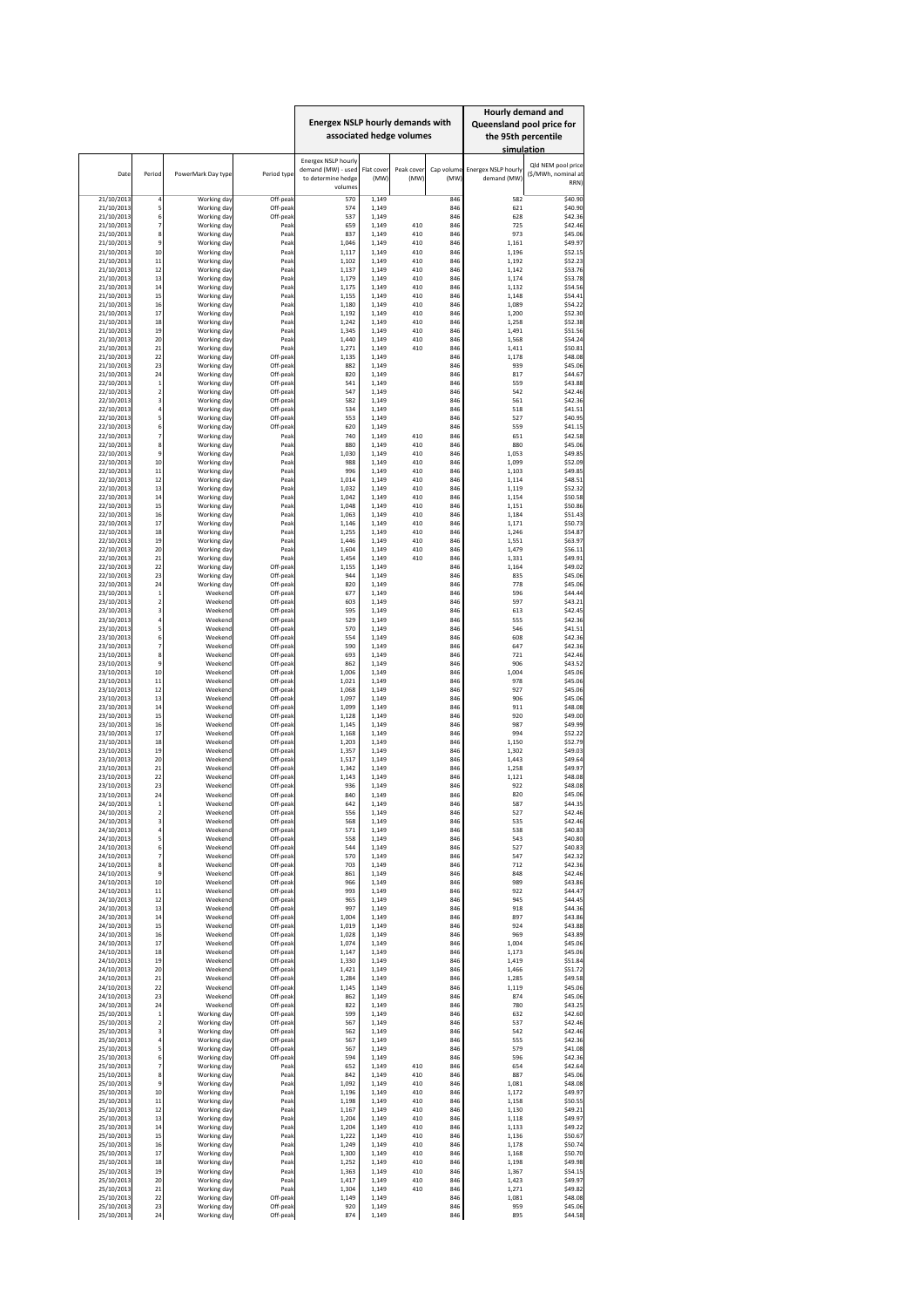|                          |                                        |                            |                      |                                                                     |                |            |            | Hourly demand and<br>Queensland pool price for |                                           |  |
|--------------------------|----------------------------------------|----------------------------|----------------------|---------------------------------------------------------------------|----------------|------------|------------|------------------------------------------------|-------------------------------------------|--|
|                          |                                        |                            |                      | <b>Energex NSLP hourly demands with</b><br>associated hedge volumes |                |            |            |                                                |                                           |  |
|                          |                                        |                            |                      |                                                                     |                |            |            | the 95th percentile<br>simulation              |                                           |  |
|                          |                                        |                            |                      | Energex NSLP hourly                                                 |                |            |            |                                                |                                           |  |
| Date                     | Period                                 | PowerMark Day type         | Period type          | demand (MW) - used                                                  | Flat cover     | Peak cover | Cap volume | Energex NSLP hourly                            | Old NEM pool price<br>(\$/MWh, nominal at |  |
|                          |                                        |                            |                      | to determine hedge<br>volume:                                       | (MW)           | (MW)       | (MW)       | demand (MW)                                    | <b>RRN1</b>                               |  |
| 21/10/2013               |                                        | Working day                | Off-peal             | 570                                                                 | 1,149          |            | 846        | 582                                            | \$40.90                                   |  |
| 21/10/2013<br>21/10/2013 | 5<br>6                                 | Working day<br>Working day | Off-peal<br>Off-peak | 574<br>537                                                          | 1,149<br>1,149 |            | 846<br>846 | 621<br>628                                     | \$40.90<br>\$42.36                        |  |
| 21/10/2013               | 7                                      | Working day                | Peal                 | 659                                                                 | 1.149          | 410        | 846        | 725                                            | \$42.46                                   |  |
| 21/10/2013<br>21/10/2013 | 8<br>9                                 | Working day<br>Working day | Peal<br>Peal         | 837<br>1,046                                                        | 1,149<br>1,149 | 410<br>410 | 846<br>846 | 973<br>1,161                                   | \$45.06<br>\$49.97                        |  |
| 21/10/2013               | 10                                     | Working day                | Peal                 | 1,117                                                               | 1,149          | 410        | 846        | 1,196                                          | \$52.15                                   |  |
| 21/10/2013<br>21/10/2013 | 11<br>12                               | Working day<br>Working day | Peal<br>Peak         | 1,102<br>1,137                                                      | 1.149<br>1,149 | 410<br>410 | 846<br>846 | 1,192<br>1,142                                 | \$52.23<br>\$53.76                        |  |
| 21/10/2013               | 13                                     | Working day                | Peal                 | 1,179                                                               | 1,149          | 410        | 846        | 1,174                                          | \$53.78                                   |  |
| 21/10/2013<br>21/10/2013 | 14<br>15                               | Working day<br>Working day | Peak<br>Peak         | 1,175<br>1.155                                                      | 1,149<br>1.149 | 410<br>410 | 846<br>846 | 1,132<br>1.148                                 | \$54.56<br>\$54.41                        |  |
| 21/10/2013               | 16                                     | Working day                | Peal                 | 1.180                                                               | 1.149          | 410        | 846        | 1.089                                          | \$54.22                                   |  |
| 21/10/2013<br>21/10/2013 | 17<br>18                               | Working day<br>Working day | Peal<br>Peal         | 1,192<br>1,242                                                      | 1,149<br>1,149 | 410<br>410 | 846<br>846 | 1,200<br>1,258                                 | \$52.30<br>\$52.38                        |  |
| 21/10/2013               | 19                                     | Working day                | Peal                 | 1,345                                                               | 1,149          | 410        | 846        | 1,491                                          | \$51.56                                   |  |
| 21/10/2013<br>21/10/2013 | 20<br>21                               | Working day<br>Working day | Peal<br>Peak         | 1.440<br>1,271                                                      | 1.149<br>1,149 | 410<br>410 | 846<br>846 | 1.568<br>1,411                                 | \$54.24<br>\$50.81                        |  |
| 21/10/2013               | 22                                     | Working day                | Off-peak             | 1,135                                                               | 1,149          |            | 846        | 1,178                                          | \$48.08                                   |  |
| 21/10/2013<br>21/10/2013 | 23<br>24                               | Working day<br>Working day | Off-peak<br>Off-peal | 882<br>820                                                          | 1,149<br>1.149 |            | 846<br>846 | 939<br>817                                     | \$45.06<br>\$44.67                        |  |
| 22/10/2013               | $\mathbf{1}$                           | Working day                | Off-peak             | 541                                                                 | 1,149          |            | 846        | 559                                            | \$43.88                                   |  |
| 22/10/2013<br>22/10/2013 | $\overline{a}$<br>3                    | Working day<br>Working day | Off-peal<br>Off-peal | 547<br>582                                                          | 1,149<br>1,149 |            | 846<br>846 | 542<br>561                                     | \$42.46<br>\$42.36                        |  |
| 22/10/2013               | 4                                      | Working day                | Off-peak             | 534                                                                 | 1.149          |            | 846        | 518                                            | \$41.51                                   |  |
| 22/10/2013<br>22/10/2013 | 5<br>6                                 | Working day<br>Working day | Off-peak<br>Off-peak | 553<br>620                                                          | 1,149<br>1,149 |            | 846<br>846 | 527<br>559                                     | \$40.95<br>\$41.15                        |  |
| 22/10/2013               | 7                                      | Working day                | Peak                 | 740                                                                 | 1,149          | 410        | 846        | 651                                            | \$42.58<br>\$45.06                        |  |
| 22/10/2013<br>22/10/2013 | 8<br>9                                 | Working day<br>Working day | Peak<br>Peal         | 880<br>1,030                                                        | 1.149<br>1,149 | 410<br>410 | 846<br>846 | 880<br>1,053                                   | \$49.85                                   |  |
| 22/10/2013<br>22/10/2013 | 10<br>11                               | Working day<br>Working day | Peal<br>Peal         | 988<br>996                                                          | 1,149<br>1,149 | 410<br>410 | 846<br>846 | 1,099<br>1,103                                 | \$52.09<br>\$49.85                        |  |
| 22/10/2013               | 12                                     | Working day                | Peak                 | 1.014                                                               | 1.149          | 410        | 846        | 1,114                                          | \$48.51                                   |  |
| 22/10/2013<br>22/10/2013 | 13<br>14                               | Working day<br>Working day | Peak<br>Peak         | 1,032<br>1,042                                                      | 1,149<br>1,149 | 410<br>410 | 846<br>846 | 1,119<br>1,154                                 | \$52.32<br>\$50.58                        |  |
| 22/10/2013               | 15                                     | Working day                | Peal                 | 1,048                                                               | 1,149          | 410        | 846        | 1,151                                          | \$50.86                                   |  |
| 22/10/2013<br>22/10/2013 | 16<br>17                               | Working day<br>Working day | Peak<br>Peal         | 1,063<br>1.146                                                      | 1,149<br>1.149 | 410<br>410 | 846<br>846 | 1,184<br>1.171                                 | \$51.43<br>\$50.73                        |  |
| 22/10/2013               | 18                                     | Working day                | Peal                 | 1,255                                                               | 1,149          | 410        | 846        | 1,246                                          | \$54.87                                   |  |
| 22/10/2013<br>22/10/2013 | 19<br>20                               | Working day<br>Working day | Peal<br>Peal         | 1,446<br>1,604                                                      | 1,149<br>1,149 | 410<br>410 | 846<br>846 | 1,551<br>1,479                                 | \$63.97<br>\$56.11                        |  |
| 22/10/2013               | 21                                     | Working day                | Peal                 | 1.454                                                               | 1.149          | 410        | 846        | 1.331                                          | \$49.91                                   |  |
| 22/10/2013<br>22/10/2013 | 22<br>23                               | Working day<br>Working day | Off-peak<br>Off-peak | 1,155<br>944                                                        | 1,149<br>1,149 |            | 846<br>846 | 1,164<br>835                                   | \$49.02<br>\$45.06                        |  |
| 22/10/2013               | 24                                     | Working day                | Off-peak             | 820                                                                 | 1,149          |            | 846        | 778                                            | \$45.06                                   |  |
| 23/10/2013<br>23/10/2013 | $\mathbf{1}$<br>$\overline{a}$         | Weekend<br>Weekend         | Off-peak<br>Off-peak | 677<br>603                                                          | 1.149<br>1,149 |            | 846<br>846 | 596<br>597                                     | \$44.44<br>\$43.21                        |  |
| 23/10/2013               | з                                      | Weekend                    | Off-peal             | 595                                                                 | 1,149          |            | 846        | 613                                            | \$42.45                                   |  |
| 23/10/2013<br>23/10/2013 | 4<br>5                                 | Weekend<br>Weekend         | Off-peal<br>Off-peak | 529<br>570                                                          | 1,149<br>1.149 |            | 846<br>846 | 555<br>546                                     | \$42.36<br>\$41.51                        |  |
| 23/10/2013               | 6<br>7                                 | Weekend                    | Off-peak             | 554                                                                 | 1,149          |            | 846        | 608                                            | \$42.36                                   |  |
| 23/10/2013<br>23/10/2013 | 8                                      | Weekend<br>Weekend         | Off-peak<br>Off-peak | 590<br>693                                                          | 1,149<br>1,149 |            | 846<br>846 | 647<br>721                                     | \$42.36<br>\$42.46                        |  |
| 23/10/2013<br>23/10/2013 | 9<br>10                                | Weekend<br>Weekend         | Off-peak<br>Off-peal | 862<br>1,006                                                        | 1.149<br>1,149 |            | 846<br>846 | 906<br>1,004                                   | \$43.52<br>\$45.06                        |  |
| 23/10/2013               | 11                                     | Weekend                    | Off-peal             | 1,021                                                               | 1,149          |            | 846        | 978                                            | \$45.06                                   |  |
| 23/10/2013<br>23/10/2013 | 12<br>13                               | Weekend<br>Weekend         | Off-peal<br>Off-peal | 1,068<br>1,097                                                      | 1,149<br>1,149 |            | 846<br>846 | 927<br>906                                     | \$45.06<br>\$45.06                        |  |
| 23/10/2013               | 14                                     | Weekend                    | Off-peak             | 1.099                                                               | 1.149          |            | 846        | 911                                            | \$48.08                                   |  |
| 23/10/2013<br>23/10/2013 | 15<br>16                               | Weekend<br>Weekend         | Off-peak<br>Off-peak | 1,128<br>1,145                                                      | 1,149<br>1,149 |            | 846<br>846 | 920<br>987                                     | \$49.00<br>\$49.99                        |  |
| 23/10/2013               | 17                                     | Weekend                    | Off-peak             | 1,168                                                               | 1,149          |            | 846        | 994                                            | \$52.22                                   |  |
| 23/10/2013<br>23/10/2013 | 18<br>19                               | Weekend<br>Weekend         | Off-peak<br>Off-peak | 1.203<br>1,357                                                      | 1.149<br>1,149 |            | 846<br>846 | 1.150<br>1,302                                 | \$52.79<br>\$49.03                        |  |
| 23/10/2013               | 20                                     | Weekend                    | Off-peal             | 1,517                                                               | 1,149          |            | 846        | 1,443                                          | \$49.64                                   |  |
| 23/10/2013<br>23/10/2013 | 21<br>22                               | Weekend<br>Weekend         | Off-peal<br>Off-peak | 1,342<br>1.143                                                      | 1,149<br>1.149 |            | 846<br>846 | 1,258<br>1.121                                 | \$49.97<br>\$48.08                        |  |
| 23/10/2013               | 23                                     | Weekend                    | Off-peak             | 936                                                                 | 1,149          |            | 846        | 922                                            | \$48.08                                   |  |
| 23/10/2013<br>24/10/2013 | 24                                     | Weekend<br>Weekend         | Off-peak<br>Off-peal | 840<br>642                                                          | 1,149<br>1,149 |            | 846<br>846 | 820<br>587                                     | \$45.06<br>\$44.35                        |  |
| 24/10/2013<br>24/10/2013 | 2                                      | Weekend                    | Off-peak             | 556<br>568                                                          | 1.149          |            | 846<br>846 | 527                                            | \$42.46                                   |  |
| 24/10/2013               | 3<br>4                                 | Weekend<br>Weekend         | Off-peak<br>Off-peak | 571                                                                 | 1,149<br>1,149 |            | 846        | 535<br>538                                     | \$42.46<br>\$40.83                        |  |
| 24/10/2013<br>24/10/2013 | 5<br>6                                 | Weekend<br>Weekend         | Off-peak<br>Off-peak | 558<br>544                                                          | 1,149<br>1,149 |            | 846<br>846 | 543<br>527                                     | \$40.80<br>\$40.83                        |  |
| 24/10/2013               | $\overline{7}$                         | Weekend                    | Off-peak             | 570                                                                 | 1,149          |            | 846        | 547                                            | \$42.32                                   |  |
| 24/10/2013<br>24/10/2013 | 8<br>9                                 | Weekend<br>Weekend         | Off-peak<br>Off-peak | 703<br>861                                                          | 1,149<br>1,149 |            | 846<br>846 | 712<br>848                                     | \$42.36<br>\$42.46                        |  |
| 24/10/2013               | 10                                     | Weekend                    | Off-peak             | 966                                                                 | 1,149          |            | 846        | 989                                            | \$43.86                                   |  |
| 24/10/2013<br>24/10/2013 | 11<br>12                               | Weekend<br>Weekend         | Off-peak<br>Off-peak | 993<br>965                                                          | 1.149<br>1,149 |            | 846<br>846 | 922<br>945                                     | \$44.47<br>\$44.45                        |  |
| 24/10/2013               | 13                                     | Weekend                    | Off-peak             | 997                                                                 | 1,149          |            | 846        | 918                                            | \$44.36                                   |  |
| 24/10/2013<br>24/10/2013 | 14<br>15                               | Weekend<br>Weekend         | Off-peak<br>Off-peak | 1,004<br>1,019                                                      | 1,149<br>1,149 |            | 846<br>846 | 897<br>924                                     | \$43.86<br>\$43.88                        |  |
| 24/10/2013               | 16                                     | Weekend                    | Off-peak             | 1,028                                                               | 1,149          |            | 846        | 969                                            | \$43.89                                   |  |
| 24/10/2013<br>24/10/2013 | 17<br>18                               | Weekend<br>Weekend         | Off-peak<br>Off-peak | 1,074<br>1,147                                                      | 1,149<br>1,149 |            | 846<br>846 | 1,004<br>1,173                                 | \$45.06<br>\$45.06                        |  |
| 24/10/2013               | 19                                     | Weekend                    | Off-peak             | 1.330                                                               | 1.149          |            | 846<br>846 | 1.419                                          | \$51.84                                   |  |
| 24/10/2013<br>24/10/2013 | 20<br>21                               | Weekend<br>Weekend         | Off-peak<br>Off-peak | 1,421<br>1,284                                                      | 1,149<br>1,149 |            | 846        | 1,466<br>1,285                                 | \$51.72<br>\$49.58                        |  |
| 24/10/2013               | 22<br>23                               | Weekend<br>Weekend         | Off-peal             | 1,145<br>862                                                        | 1,149<br>1,149 |            | 846<br>846 | 1,119<br>874                                   | \$45.06<br>\$45.06                        |  |
| 24/10/2013<br>24/10/2013 | 24                                     | Weekend                    | Off-peak<br>Off-peak | 822                                                                 | 1,149          |            | 846        | 780                                            | \$43.25                                   |  |
| 25/10/2013<br>25/10/2013 | $\mathbf 1$<br>$\overline{\mathbf{z}}$ | Working day<br>Working day | Off-peak<br>Off-peak | 599<br>567                                                          | 1,149<br>1,149 |            | 846<br>846 | 632<br>537                                     | \$42.60<br>\$42.46                        |  |
| 25/10/2013               | 3                                      | Working day                | Off-peak             | 562                                                                 | 1.149          |            | 846        | 542                                            | \$42.46                                   |  |
| 25/10/2013<br>25/10/2013 | 4<br>5                                 | Working day<br>Working day | Off-peak<br>Off-peak | 567<br>567                                                          | 1,149<br>1,149 |            | 846<br>846 | 555<br>579                                     | \$42.36<br>\$41.08                        |  |
| 25/10/2013               | 6                                      | Working day                | Off-peak             | 594                                                                 | 1,149          |            | 846        | 596                                            | \$42.36                                   |  |
| 25/10/2013<br>25/10/2013 | 7<br>8                                 | Working day<br>Working day | Peak<br>Peak         | 652<br>842                                                          | 1,149<br>1,149 | 410<br>410 | 846<br>846 | 654<br>887                                     | \$42.64<br>\$45.06                        |  |
| 25/10/2013               | 9                                      | Working day                | Peak                 | 1,092                                                               | 1,149          | 410        | 846        | 1,081                                          | \$48.08                                   |  |
| 25/10/2013<br>25/10/2013 | 10<br>11                               | Working day<br>Working day | Peak<br>Peak         | 1,196<br>1,198                                                      | 1,149<br>1,149 | 410<br>410 | 846<br>846 | 1,172<br>1,158                                 | \$49.97<br>\$50.55                        |  |
| 25/10/2013               | 12                                     | Working day                | Peal                 | 1.167                                                               | 1.149          | 410        | 846        | 1,130                                          | \$49.21                                   |  |
| 25/10/2013<br>25/10/2013 | 13<br>14                               | Working day<br>Working day | Peal<br>Peak         | 1,204<br>1,204                                                      | 1,149<br>1,149 | 410<br>410 | 846<br>846 | 1,118<br>1,133                                 | \$49.97<br>\$49.22                        |  |
| 25/10/2013               | 15                                     | Working day                | Peal                 | 1,222                                                               | 1,149          | 410        | 846        | 1,136                                          | \$50.67                                   |  |
| 25/10/2013<br>25/10/2013 | 16<br>17                               | Working day<br>Working day | Peak<br>Peak         | 1,249<br>1,300                                                      | 1,149<br>1,149 | 410<br>410 | 846<br>846 | 1,178<br>1,168                                 | \$50.74<br>\$50.70                        |  |
| 25/10/2013               | 18                                     | Working day                | Peak                 | 1,252                                                               | 1,149          | 410        | 846        | 1,198                                          | \$49.98                                   |  |
| 25/10/2013<br>25/10/2013 | 19<br>20                               | Working day<br>Working day | Peak<br>Peak         | 1,363<br>1,417                                                      | 1,149<br>1.149 | 410<br>410 | 846<br>846 | 1,367<br>1,423                                 | \$54.15<br>\$49.97                        |  |
| 25/10/2013               | $\overline{21}$                        | Working day                | Peak                 | 1,304                                                               | 1,149          | 410        | 846        | 1,271                                          | \$49.82                                   |  |
| 25/10/2013<br>25/10/2013 | 22<br>23                               | Working day<br>Working day | Off-peak<br>Off-peak | 1,149<br>920                                                        | 1,149<br>1,149 |            | 846<br>846 | 1,081<br>959                                   | \$48.08<br>\$45.06                        |  |
| 25/10/2013               | 24                                     | Working day                | Off-peak             | 874                                                                 | 1,149          |            | 846        | 895                                            | \$44.58                                   |  |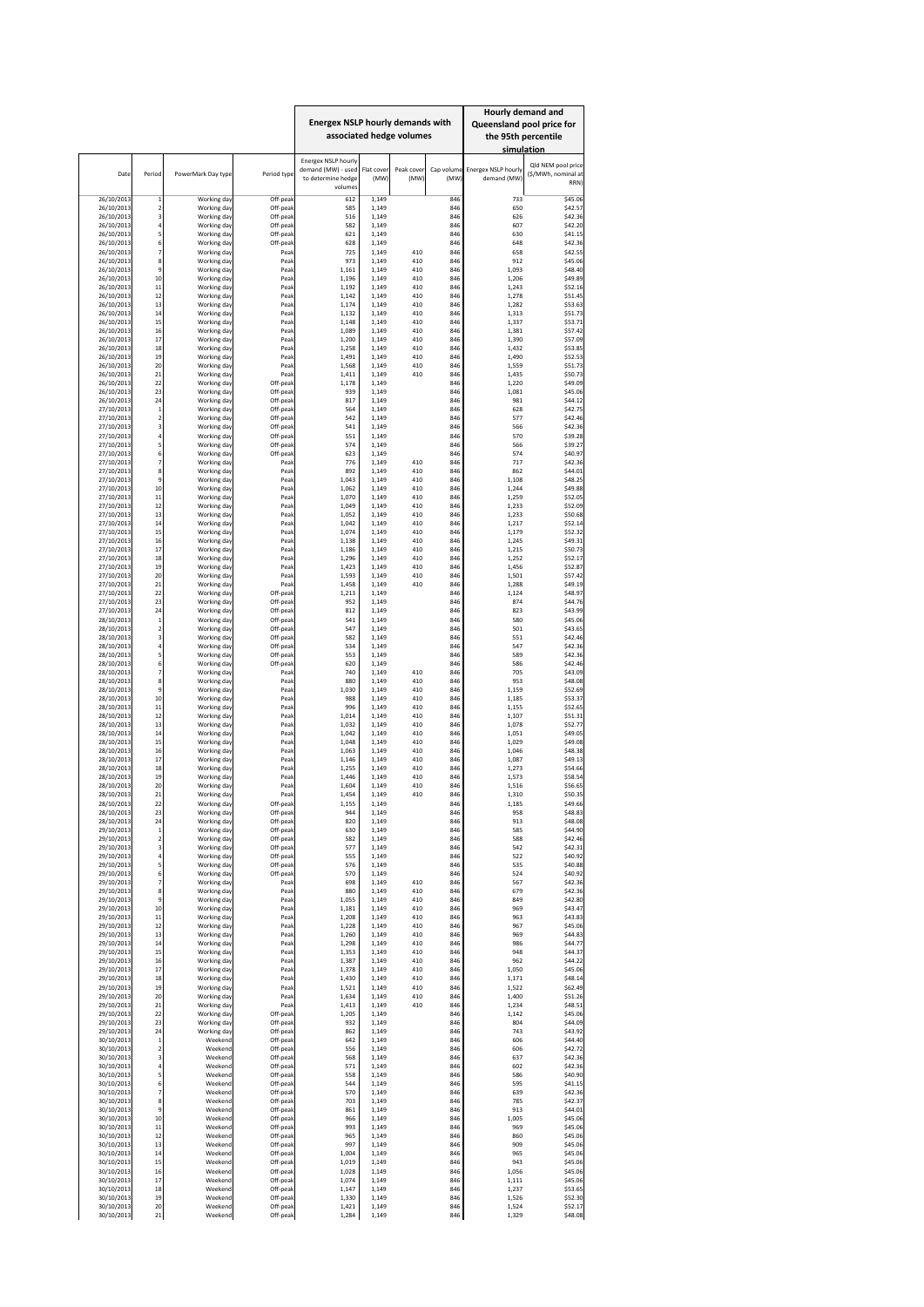|                          |                              |                            |                      |                                                                     |                    |                    | Hourly demand and  |                                                  |                     |
|--------------------------|------------------------------|----------------------------|----------------------|---------------------------------------------------------------------|--------------------|--------------------|--------------------|--------------------------------------------------|---------------------|
|                          |                              |                            |                      | <b>Energex NSLP hourly demands with</b><br>associated hedge volumes |                    |                    |                    | Queensland pool price for<br>the 95th percentile |                     |
|                          |                              |                            |                      |                                                                     |                    |                    |                    |                                                  | simulation          |
|                          |                              |                            |                      | Energex NSLP hourly                                                 |                    |                    |                    |                                                  | Qld NEM pool price  |
| Date                     | Period                       | PowerMark Day type         | Period type          | demand (MW) - used<br>to determine hedge                            | Flat cover<br>(MW) | Peak cover<br>(MW) | Cap volume<br>(MW) | Energex NSLP hourly<br>demand (MW)               | (\$/MWh, nominal at |
|                          |                              |                            |                      | volumes                                                             |                    |                    |                    |                                                  | RRN)                |
| 26/10/2013               | 1                            | Working day                | Off-pea              | 612                                                                 | 1,149              |                    | 846                | 733                                              | \$45.06             |
| 26/10/2013<br>26/10/2013 | $\overline{\mathbf{z}}$<br>з | Working day<br>Working day | Off-pea<br>Off-peal  | 585<br>516                                                          | 1,149<br>1.149     |                    | 846<br>846         | 650<br>626                                       | \$42.5<br>\$42.36   |
| 26/10/2013               | 4                            | Working day                | Off-peal             | 582                                                                 | 1,149              |                    | 846                | 607                                              | \$42.20             |
| 26/10/2013               | 5<br>6                       | Working day                | Off-peal<br>Off-peal | 621<br>628                                                          | 1,149<br>1,149     |                    | 846<br>846         | 630<br>648                                       | \$41.1<br>\$42.36   |
| 26/10/2013<br>26/10/2013 | $\overline{7}$               | Working day<br>Working day | Pea                  | 725                                                                 | 1.149              | 410                | 846                | 658                                              | \$42.5              |
| 26/10/2013               | 8                            | Working day                | Pea                  | 973                                                                 | 1,149              | 410                | 846                | 912                                              | \$45.0              |
| 26/10/2013<br>26/10/2013 | 9<br>10                      | Working day<br>Working day | Pea<br>Pea           | 1,161<br>1,196                                                      | 1,149<br>1,149     | 410<br>410         | 846<br>846         | 1,093<br>1,206                                   | \$48.40<br>\$49.89  |
| 26/10/2013               | 11                           | Working day                | Peal                 | 1.192                                                               | 1,149              | 410                | 846                | 1,243                                            | \$52.16             |
| 26/10/2013<br>26/10/2013 | 12<br>13                     | Working day<br>Working day | Peal<br>Peal         | 1,142<br>1,174                                                      | 1,149<br>1,149     | 410<br>410         | 846<br>846         | 1,278<br>1,282                                   | \$51.45<br>\$53.63  |
| 26/10/2013               | 14                           | Working day                | Peal                 | 1,132                                                               | 1,149              | 410                | 846                | 1,313                                            | \$51.73             |
| 26/10/2013<br>26/10/2013 | 15<br>16                     | Working day<br>Working day | Peal<br>Pea          | 1,148<br>1.089                                                      | 1,149<br>1.149     | 410<br>410         | 846<br>846         | 1,337<br>1.381                                   | \$53.71<br>\$57.42  |
| 26/10/2013               | 17                           | Working day                | Pea                  | 1,200                                                               | 1,149              | 410                | 846                | 1,390                                            | \$57.09             |
| 26/10/2013<br>26/10/2013 | 18<br>19                     | Working day<br>Working day | Pea<br>Pea           | 1,258<br>1,491                                                      | 1,149<br>1,149     | 410<br>410         | 846<br>846         | 1,432<br>1,490                                   | \$53.8<br>\$52.5    |
| 26/10/2013               | 20                           | Working day                | Pea                  | 1,568                                                               | 1.149              | 410                | 846                | 1.559                                            | \$51.7              |
| 26/10/2013<br>26/10/2013 | 21<br>22                     | Working day<br>Working day | Peal<br>Off-peal     | 1,411<br>1,178                                                      | 1,149<br>1,149     | 410                | 846<br>846         | 1,435<br>1,220                                   | \$50.7<br>\$49.09   |
| 26/10/2013               | 2 <sup>2</sup>               | Working day                | Off-peal             | 939                                                                 | 1,149              |                    | 846                | 1,081                                            | \$45.06             |
| 26/10/2013<br>27/10/2013 | 24<br>$\mathbf{1}$           | Working day<br>Working day | Off-peal<br>Off-peal | 817<br>564                                                          | 1.149<br>1,149     |                    | 846<br>846         | 981<br>628                                       | \$44.12<br>\$42.7   |
| 27/10/2013               | $\overline{\mathbf{c}}$      | Working day                | Off-pea              | 542                                                                 | 1,149              |                    | 846                | 577                                              | \$42.46             |
| 27/10/2013<br>27/10/2013 | 3<br>4                       | Working day<br>Working day | Off-peal<br>Off-peak | 541<br>551                                                          | 1,149<br>1.149     |                    | 846<br>846         | 566<br>570                                       | \$42.36<br>\$39.28  |
| 27/10/2013               | 5                            | Working day                | Off-peak             | 574                                                                 | 1,149              |                    | 846                | 566                                              | \$39.27             |
| 27/10/2013<br>27/10/2013 | 6<br>$\overline{7}$          | Working day<br>Working day | Off-peak<br>Peal     | 623<br>776                                                          | 1,149<br>1,149     | 410                | 846<br>846         | 574<br>717                                       | \$40.97<br>\$42.36  |
| 27/10/2013               | 8                            | Working day                | Pea                  | 892                                                                 | 1.149              | 410                | 846                | 862                                              | \$44.0              |
| 27/10/2013<br>27/10/2013 | 9<br>10                      | Working day<br>Working day | Pea<br>Pea           | 1,043<br>1,062                                                      | 1,149<br>1,149     | 410<br>410         | 846<br>846         | 1,108<br>1,244                                   | \$48.2<br>\$49.88   |
| 27/10/2013               | 11                           | Working day                | Pea                  | 1,070                                                               | 1,149              | 410                | 846                | 1,259                                            | \$52.0              |
| 27/10/2013               | 12<br>13                     | Working day                | Pea<br>Pea           | 1,049<br>1.052                                                      | 1,149<br>1.149     | 410<br>410         | 846<br>846         | 1,233<br>1.233                                   | \$52.09<br>\$50.68  |
| 27/10/2013<br>27/10/2013 | 14                           | Working day<br>Working day | Peal                 | 1,042                                                               | 1,149              | 410                | 846                | 1,217                                            | \$52.14             |
| 27/10/2013               | 15<br>16                     | Working day                | Pea<br>Pea           | 1,074<br>1,138                                                      | 1,149<br>1,149     | 410<br>410         | 846<br>846         | 1,179<br>1,245                                   | \$52.32<br>\$49.31  |
| 27/10/2013<br>27/10/2013 | 17                           | Working day<br>Working day | Pea                  | 1.186                                                               | 1.149              | 410                | 846                | 1.215                                            | \$50.7              |
| 27/10/2013<br>27/10/2013 | 18<br>19                     | Working day<br>Working day | Pea<br>Pea           | 1,296<br>1,423                                                      | 1,149<br>1,149     | 410<br>410         | 846<br>846         | 1,252<br>1,456                                   | \$52.1<br>\$52.8    |
| 27/10/2013               | 20                           | Working day                | Pea                  | 1,593                                                               | 1,149              | 410                | 846                | 1,501                                            | \$57.42             |
| 27/10/2013<br>27/10/2013 | 21<br>22                     | Working day<br>Working day | Peal<br>Off-peak     | 1.458<br>1,213                                                      | 1.149<br>1,149     | 410                | 846<br>846         | 1.288<br>1,124                                   | \$49.19<br>\$48.97  |
| 27/10/2013               | 23                           | Working day                | Off-peak             | 952                                                                 | 1,149              |                    | 846                | 874                                              | \$44.76             |
| 27/10/2013<br>28/10/2013 | 24<br>$\mathbf{1}$           | Working day<br>Working day | Off-peal<br>Off-peal | 812<br>541                                                          | 1,149<br>1.149     |                    | 846<br>846         | 823<br>580                                       | \$43.99<br>\$45.06  |
| 28/10/2013               | $\overline{\mathbf{c}}$      | Working day                | Off-peal             | 547                                                                 | 1,149              |                    | 846                | 501                                              | \$43.6              |
| 28/10/2013<br>28/10/2013 | 3<br>4                       | Working day<br>Working day | Off-pea<br>Off-peal  | 582<br>534                                                          | 1,149<br>1,149     |                    | 846<br>846         | 551<br>547                                       | \$42.46<br>\$42.36  |
| 28/10/2013               | 5                            | Working day                | Off-pea              | 553                                                                 | 1.149              |                    | 846                | 589                                              | \$42.36             |
| 28/10/2013<br>28/10/2013 | 6<br>$\overline{7}$          | Working day<br>Working day | Off-peal<br>Pea      | 620<br>740                                                          | 1,149<br>1,149     | 410                | 846<br>846         | 586<br>705                                       | \$42.46<br>\$43.09  |
| 28/10/2013               | 8                            | Working day                | Pea                  | 880                                                                 | 1,149              | 410                | 846                | 953                                              | \$48.08             |
| 28/10/2013<br>28/10/2013 | 9<br>10                      | Working day<br>Working day | Pea<br>Pea           | 1.030<br>988                                                        | 1.149<br>1.149     | 410<br>410         | 846<br>846         | 1,159<br>1.185                                   | \$52.69<br>\$53.3   |
| 28/10/2013               | 11                           | Working day                | Pea                  | 996                                                                 | 1,149              | 410                | 846                | 1,155                                            | \$52.6              |
| 28/10/2013<br>28/10/2013 | 12<br>13                     | Working day<br>Working day | Pea<br>Pea           | 1,014<br>1,032                                                      | 1,149<br>1,149     | 410<br>410         | 846<br>846         | 1,107<br>1,078                                   | \$51.3<br>\$52.7    |
| 28/10/2013               | 14                           | Working day                | Pea                  | 1.042                                                               | 1.149              | 410                | 846                | 1,051                                            | \$49.05             |
| 28/10/2013<br>28/10/2013 | 15<br>16                     | Working day<br>Working day | Peal<br>Pea          | 1,048<br>1,063                                                      | 1,149<br>1,149     | 410<br>410         | 846<br>846         | 1,029<br>1,046                                   | \$49.08<br>\$48.38  |
| 28/10/2013               | 17                           | Working day                | Pea                  | 1,146                                                               | 1,149              | 410                | 846                | 1,087                                            | \$49.13             |
| 28/10/2013<br>28/10/2013 | 18<br>19                     | Working day<br>Working day | Pea<br>Pea           | 1,255<br>1,446                                                      | 1.149<br>1,149     | 410<br>410         | 846<br>846         | 1.273<br>1,573                                   | \$54.66<br>\$58.54  |
| 28/10/2013               | 20                           | Working day                | Pea                  | 1,604                                                               | 1,149              | 410                | 846                | 1,516                                            | \$56.6              |
| 28/10/2013<br>28/10/2013 | 21<br>22                     | Working day<br>Working day | Peal<br>Off-peak     | 1,454<br>1,155                                                      | 1,149<br>1.149     | 410                | 846<br>846         | 1,310<br>1,185                                   | \$50.35<br>\$49.66  |
| 28/10/2013               | 23                           | Working day                | Off-peak             | 944                                                                 | 1,149              |                    | 846                | 958                                              | \$48.83             |
| 28/10/2013<br>29/10/2013 | 24<br>1                      | Working day<br>Working day | Off-peak<br>Off-peak | 820<br>630                                                          | 1,149<br>1,149     |                    | 846<br>846         | 913<br>585                                       | \$48.08<br>\$44.90  |
| 29/10/2013               | $\overline{2}$               | Working day                | Off-peal             | 582                                                                 | 1.149              |                    | 846                | 588                                              | \$42.46             |
| 29/10/2013<br>29/10/2013 | 3<br>4                       | Working day<br>Working day | Off-peal<br>Off-peal | 577<br>555                                                          | 1,149<br>1,149     |                    | 846<br>846         | 542<br>522                                       | \$42.31<br>\$40.92  |
| 29/10/2013               | 5                            | Working day                | Off-peak             | 576                                                                 | 1,149              |                    | 846                | 535                                              | \$40.88             |
| 29/10/2013<br>29/10/2013 | 6<br>$\overline{7}$          | Working day<br>Working day | Off-peak<br>Peak     | 570<br>698                                                          | 1,149<br>1,149     | 410                | 846<br>846         | 524<br>567                                       | \$40.92<br>\$42.36  |
| 29/10/2013               | 8                            | Working day                | Peak                 | 880                                                                 | 1,149              | 410                | 846                | 679                                              | \$42.36             |
| 29/10/2013<br>29/10/2013 | 9<br>10                      | Working day<br>Working day | Peak<br>Peak         | 1,055<br>1,181                                                      | 1,149<br>1,149     | 410<br>410         | 846<br>846         | 849<br>969                                       | \$42.80<br>\$43.47  |
| 29/10/2013               | 11                           | Working day                | Peal                 | 1,208                                                               | 1.149              | 410                | 846                | 963                                              | \$43.83             |
| 29/10/2013<br>29/10/2013 | 12<br>13                     | Working day<br>Working day | Pea<br>Pea           | 1,228<br>1,260                                                      | 1,149<br>1,149     | 410<br>410         | 846<br>846         | 967<br>969                                       | \$45.06<br>\$44.83  |
| 29/10/2013               | 14                           | Working day                | Peal                 | 1,298                                                               | 1,149              | 410                | 846                | 986                                              | \$44.7              |
| 29/10/2013<br>29/10/2013 | 15<br>16                     | Working day<br>Working day | Peal<br>Peal         | 1,353<br>1,387                                                      | 1.149<br>1,149     | 410<br>410         | 846<br>846         | 948<br>962                                       | \$44.37<br>\$44.22  |
| 29/10/2013               | 17                           | Working day                | Peal                 | 1,378                                                               | 1,149              | 410                | 846                | 1,050                                            | \$45.06             |
| 29/10/2013<br>29/10/2013 | 18<br>19                     | Working day<br>Working day | Peal<br>Pea          | 1,430<br>1,521                                                      | 1,149<br>1.149     | 410<br>410         | 846<br>846         | 1,171<br>1.522                                   | \$48.14<br>\$62.49  |
| 29/10/2013               | 20                           | Working day                | Pea                  | 1,634                                                               | 1,149              | 410                | 846                | 1,400                                            | \$51.26             |
| 29/10/2013<br>29/10/2013 | 21<br>22                     | Working day<br>Working day | Pea<br>Off-peak      | 1,413<br>1,205                                                      | 1,149<br>1,149     | 410                | 846<br>846         | 1,234<br>1,142                                   | \$48.51<br>\$45.06  |
| 29/10/2013               | 23                           | Working day                | Off-peak             | 932                                                                 | 1,149              |                    | 846                | 804                                              | \$44.09             |
| 29/10/2013<br>30/10/2013 | 24<br>$\mathbf 1$            | Working day<br>Weekend     | Off-peak<br>Off-peak | 862<br>642                                                          | 1,149<br>1,149     |                    | 846<br>846         | 743<br>606                                       | \$43.92<br>\$44.40  |
| 30/10/2013               | $\overline{\mathbf{c}}$      | Weekend                    | Off-peak             | 556                                                                 | 1,149              |                    | 846                | 606                                              | \$42.72             |
| 30/10/2013<br>30/10/2013 | 3<br>4                       | Weekend<br>Weekend         | Off-peak<br>Off-peal | 568<br>571                                                          | 1.149<br>1,149     |                    | 846<br>846         | 637<br>602                                       | \$42.36<br>\$42.36  |
| 30/10/2013               | 5                            | Weekend                    | Off-peal             | 558                                                                 | 1,149              |                    | 846                | 586                                              | \$40.90             |
| 30/10/2013<br>30/10/2013 | 6<br>7                       | Weekend<br>Weekend         | Off-peal<br>Off-peak | 544<br>570                                                          | 1,149<br>1,149     |                    | 846<br>846         | 595<br>639                                       | \$41.15<br>\$42.36  |
| 30/10/2013               | 8                            | Weekend                    | Off-peak             | 703                                                                 | 1.149              |                    | 846                | 785                                              | \$42.37             |
| 30/10/2013<br>30/10/2013 | Ś<br>10                      | Weekend<br>Weekend         | Off-peak<br>Off-peak | 861<br>966                                                          | 1,149<br>1,149     |                    | 846<br>846         | 913<br>1,005                                     | \$44.01<br>\$45.06  |
| 30/10/2013               | 11                           | Weekend                    | Off-peal             | 993                                                                 | 1,149              |                    | 846                | 969                                              | \$45.06             |
| 30/10/2013<br>30/10/2013 | 12<br>13                     | Weekend<br>Weekend         | Off-peal<br>Off-peal | 965<br>997                                                          | 1.149<br>1,149     |                    | 846<br>846         | 860<br>909                                       | \$45.06<br>\$45.06  |
| 30/10/2013               | 14                           | Weekend                    | Off-peal             | 1,004                                                               | 1,149              |                    | 846                | 965                                              | \$45.06             |
| 30/10/2013<br>30/10/2013 | 15<br>16                     | Weekend<br>Weekend         | Off-peak<br>Off-peak | 1,019<br>1.028                                                      | 1,149<br>1,149     |                    | 846<br>846         | 943<br>1,056                                     | \$45.06<br>\$45.06  |
| 30/10/2013               | 17                           | Weekend                    | Off-peak             | 1,074                                                               | 1,149              |                    | 846                | 1,111                                            | \$45.06             |
| 30/10/2013<br>30/10/2013 | 18<br>19                     | Weekend<br>Weekend         | Off-peak<br>Off-peak | 1,147<br>1,330                                                      | 1,149<br>1,149     |                    | 846<br>846         | 1,237<br>1,526                                   | \$53.65<br>\$52.30  |
| 30/10/2013               | 20                           | Weekend                    | Off-peak             | 1,421                                                               | 1.149              |                    | 846                | 1,524                                            | \$52.17             |
| 30/10/2013               | 21                           | Weekend                    | Off-peak             | 1,284                                                               | 1,149              |                    | 846                | 1,329                                            | \$48.08             |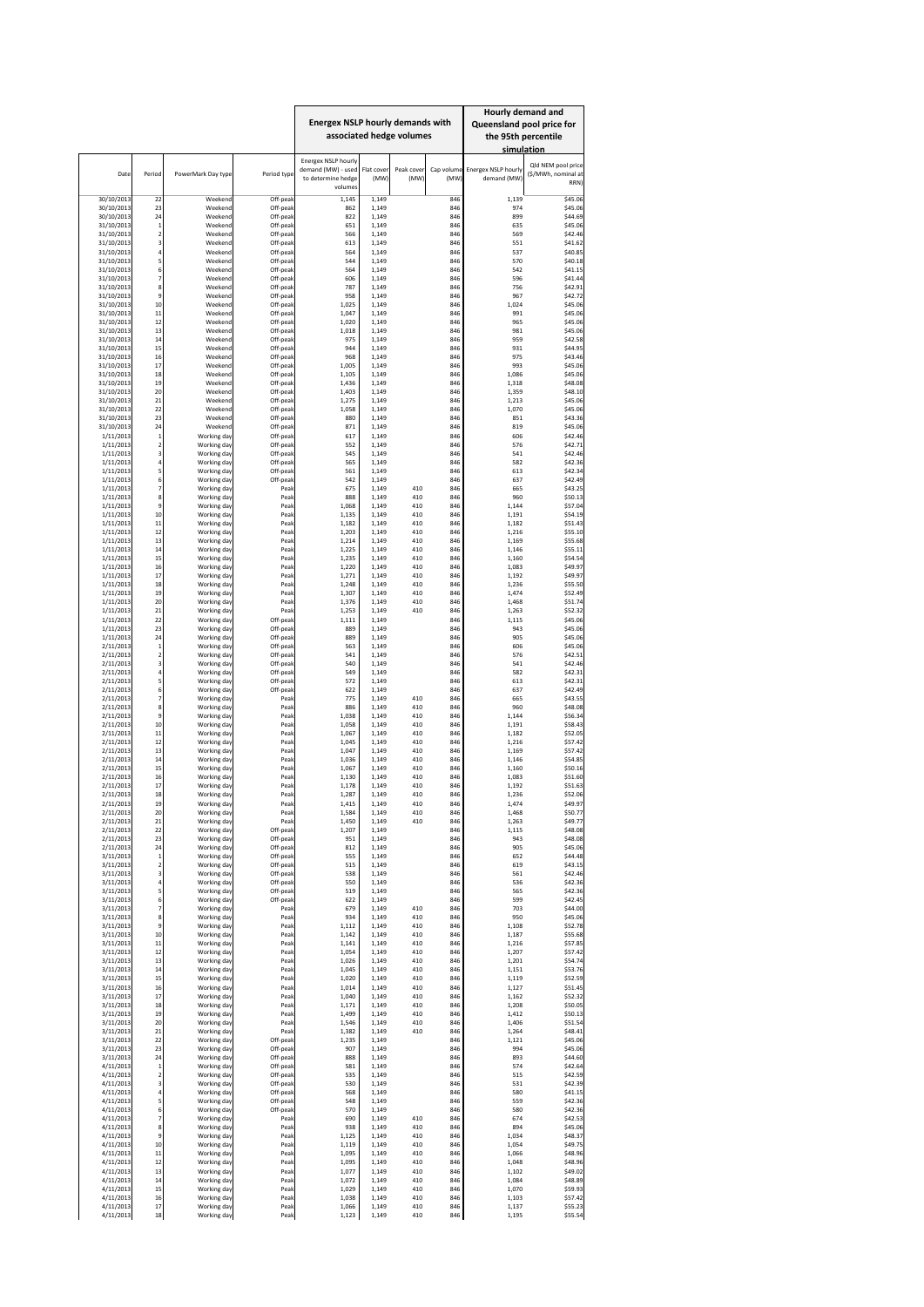|                          |                         |                            |                      |                                                                     | Hourly demand and  |                    |                   |                                                  |                     |  |
|--------------------------|-------------------------|----------------------------|----------------------|---------------------------------------------------------------------|--------------------|--------------------|-------------------|--------------------------------------------------|---------------------|--|
|                          |                         |                            |                      | <b>Energex NSLP hourly demands with</b><br>associated hedge volumes |                    |                    |                   | Queensland pool price for<br>the 95th percentile |                     |  |
|                          |                         |                            |                      |                                                                     |                    |                    | simulation        |                                                  |                     |  |
|                          |                         |                            |                      | Energex NSLP hourly                                                 |                    |                    |                   |                                                  | Qld NEM pool price  |  |
| Date                     | Period                  | PowerMark Day type         | Period type          | demand (MW) - used<br>to determine hedge                            | Flat cover<br>(MW) | Peak cover<br>(MW) | Cap volume<br>(MW | Energex NSLP hourly<br>demand (MW                | (\$/MWh, nominal at |  |
|                          |                         |                            |                      | volumes                                                             |                    |                    |                   |                                                  | RRN)                |  |
| 30/10/2013               | 22                      | Weekend                    | Off-peal             | 1,145                                                               | 1.149              |                    | 846               | 1,139                                            | \$45.06             |  |
| 30/10/2013               | 23                      | Weekend                    | Off-peal             | 862                                                                 | 1.149              |                    | 846               | 974                                              | \$45.06             |  |
| 30/10/2013               | 24                      | Weekend                    | Off-peak             | 822                                                                 | 1,149              |                    | 846               | 899                                              | \$44.69             |  |
| 31/10/2013               | $\mathbf{1}$            | Weekend                    | Off-peak             | 651                                                                 | 1,149              |                    | 846               | 635                                              | \$45.06             |  |
| 31/10/2013               | $\overline{\mathbf{c}}$ | Weekend                    | Off-peak             | 566                                                                 | 1,149              |                    | 846               | 569                                              | \$42.46             |  |
| 31/10/2013               | 3                       | Weekend                    | Off-peak             | 613                                                                 | 1.149              |                    | 846               | 551                                              | \$41.62             |  |
| 31/10/2013               | 4                       | Weekend                    | Off-peal             | 564                                                                 | 1,149              |                    | 846               | 537                                              | \$40.85             |  |
| 31/10/2013               | 5                       | Weekend                    | Off-peal             | 544                                                                 | 1,149              |                    | 846               | 570                                              | \$40.18             |  |
| 31/10/2013               | 6                       | Weekend                    | Off-peal             | 564                                                                 | 1,149              |                    | 846               | 542                                              | \$41.15             |  |
| 31/10/2013               | $\overline{7}$          | Weekend                    | Off-peak             | 606                                                                 | 1,149              |                    | 846               | 596                                              | \$41.44             |  |
| 31/10/2013               | 8                       | Weekend                    | Off-peak             | 787                                                                 | 1,149              |                    | 846               | 756                                              | \$42.91             |  |
| 31/10/2013               | 9                       | Weekend                    | Off-peak             | 958                                                                 | 1,149              |                    | 846               | 967                                              | \$42.72             |  |
| 31/10/2013               | 10                      | Weekend                    | Off-peak             | 1,025                                                               | 1,149              |                    | 846               | 1,024                                            | \$45.06             |  |
| 31/10/2013               | 11                      | Weekend                    | Off-peak             | 1,047                                                               | 1,149              |                    | 846               | 991                                              | \$45.06             |  |
| 31/10/2013               | 12                      | Weekend                    | Off-peak             | 1.020                                                               | 1.149              |                    | 846               | 965                                              | \$45.06             |  |
| 31/10/2013               | 13                      | Weekend                    | Off-peak             | 1,018                                                               | 1,149              |                    | 846               | 981                                              | \$45.06             |  |
| 31/10/2013               | 14<br>15                | Weekend                    | Off-peal             | 975<br>944                                                          | 1,149              |                    | 846<br>846        | 959<br>931                                       | \$42.58<br>\$44.95  |  |
| 31/10/2013<br>31/10/2013 | 16                      | Weekend<br>Weekend         | Off-peal<br>Off-peak | 968                                                                 | 1,149<br>1.149     |                    | 846               | 975                                              | \$43.46             |  |
| 31/10/2013               | 17                      | Weekend                    | Off-peak             | 1,005                                                               | 1,149              |                    | 846               | 993                                              | \$45.06             |  |
| 31/10/2013               | 18                      | Weekend                    | Off-peak             | 1,105                                                               | 1,149              |                    | 846               | 1,086                                            | \$45.06             |  |
| 31/10/2013               | 19                      | Weekend                    | Off-peal             | 1,436                                                               | 1,149              |                    | 846               | 1,318                                            | \$48.08             |  |
| 31/10/2013               | 20                      | Weekend                    | Off-peal             | 1.403                                                               | 1.149              |                    | 846               | 1.359                                            | \$48.10             |  |
| 31/10/2013               | 21                      | Weekend                    | Off-peal             | 1,275                                                               | 1,149              |                    | 846               | 1,213                                            | \$45.06             |  |
| 31/10/2013               | 22                      | Weekend                    | Off-peal             | 1,058                                                               | 1,149              |                    | 846               | 1,070                                            | \$45.06             |  |
| 31/10/2013               | 23                      | Weekend                    | Off-peal             | 880                                                                 | 1,149              |                    | 846               | 851                                              | \$43.36             |  |
| 31/10/2013               | 24                      | Weekend                    | Off-peak             | 871                                                                 | 1.149              |                    | 846               | 819                                              | \$45.06             |  |
| 1/11/2013<br>1/11/2013   | $\mathbf 1$<br>2        | Working day                | Off-peak<br>Off-peak | 617<br>552                                                          | 1,149<br>1,149     |                    | 846<br>846        | 606<br>576                                       | \$42.46<br>\$42.71  |  |
| 1/11/2013                | 3                       | Working day<br>Working day | Off-peak             | 545                                                                 | 1,149              |                    | 846               | 541                                              | \$42.46             |  |
| 1/11/2013                | 4                       | Working day                | Off-peak             | 565                                                                 | 1.149              |                    | 846               | 582                                              | \$42.36             |  |
| 1/11/2013                | 5                       | Working day                | Off-peak             | 561                                                                 | 1,149              |                    | 846               | 613                                              | \$42.34             |  |
| 1/11/2013                | 6                       | Working day                | Off-peal             | 542                                                                 | 1,149              |                    | 846               | 637                                              | \$42.49             |  |
| 1/11/2013                | 7                       | Working day                | Peal                 | 675                                                                 | 1,149              | 410                | 846               | 665                                              | \$43.25             |  |
| 1/11/2013                | 8                       | Working day                | Peal                 | 888                                                                 | 1,149              | 410                | 846               | 960                                              | \$50.13             |  |
| 1/11/2013                | 9                       | Working day                | Peal                 | 1.068                                                               | 1.149              | 410                | 846               | 1.144                                            | \$57.04             |  |
| 1/11/2013                | 10                      | Working day                | Peak                 | 1,135                                                               | 1,149              | 410                | 846               | 1,191                                            | \$54.19             |  |
| 1/11/2013                | 11                      | Working day                | Peal                 | 1,182                                                               | 1,149              | 410                | 846               | 1,182                                            | \$51.43             |  |
| 1/11/2013                | 12                      | Working day                | Peak                 | 1,203                                                               | 1,149              | 410                | 846               | 1,216                                            | \$55.10             |  |
| 1/11/2013                | 13                      | Working day                | Peak                 | 1.214                                                               | 1.149              | 410                | 846               | 1.169                                            | \$55.68             |  |
| 1/11/2013                | 14                      | Working day                | Peal                 | 1,225                                                               | 1,149              | 410                | 846               | 1,146                                            | \$55.11             |  |
| 1/11/2013                | 15                      | Working day                | Peal                 | 1,235                                                               | 1,149              | 410                | 846               | 1,160                                            | \$54.54             |  |
| 1/11/2013                | 16                      | Working day                | Peal                 | 1,220                                                               | 1,149              | 410                | 846               | 1,083                                            | \$49.97             |  |
| 1/11/2013                | 17                      | Working day                | Peal                 | 1.271                                                               | 1.149              | 410                | 846               | 1.192                                            | \$49.97             |  |
| 1/11/2013                | 18                      | Working day                | Peak                 | 1,248                                                               | 1,149              | 410                | 846               | 1,236                                            | \$55.50             |  |
| 1/11/2013                | 19                      | Working day                | Peak                 | 1,307                                                               | 1,149              | 410                | 846               | 1,474                                            | \$52.49             |  |
| 1/11/2013                | 20                      | Working day                | Peal                 | 1,376                                                               | 1,149              | 410                | 846               | 1,468                                            | \$51.74             |  |
| 1/11/2013                | 21                      | Working day                | Peal                 | 1.253                                                               | 1.149              | 410                | 846               | 1.263                                            | \$52.32             |  |
| 1/11/2013                | 22                      | Working day                | Off-peak             | 1,111                                                               | 1,149              |                    | 846               | 1,115                                            | \$45.06             |  |
| 1/11/2013                | 23                      | Working day                | Off-peal             | 889                                                                 | 1,149              |                    | 846               | 943                                              | \$45.06             |  |
| 1/11/2013                | 24                      | Working day                | Off-peal             | 889                                                                 | 1,149              |                    | 846               | 905                                              | \$45.06             |  |
| 2/11/2013                | $\mathbf{1}$            | Working day                | Off-peak             | 563                                                                 | 1.149              |                    | 846               | 606                                              | \$45.06             |  |
| 2/11/2013                | $\overline{\mathbf{c}}$ | Working day                | Off-peak             | 541                                                                 | 1,149              |                    | 846               | 576                                              | \$42.51             |  |
| 2/11/2013                | 3                       | Working day                | Off-peak             | 540                                                                 | 1,149              |                    | 846               | 541                                              | \$42.46             |  |
| 2/11/2013                | 4                       | Working day                | Off-peak             | 549                                                                 | 1,149              |                    | 846               | 582                                              | \$42.31             |  |
| 2/11/2013                | 5                       | Working day                | Off-peak             | 572                                                                 | 1.149              |                    | 846               | 613                                              | \$42.31             |  |
| 2/11/2013                | 6                       | Working day                | Off-peak             | 622                                                                 | 1.149              |                    | 846               | 637                                              | \$42.49             |  |
| 2/11/2013                | 7                       | Working day                | Peal                 | 775                                                                 | 1,149              | 410                | 846               | 665                                              | \$43.55             |  |
| 2/11/2013                | 8                       | Working day                | Peal                 | 886                                                                 | 1,149              | 410                | 846               | 960                                              | \$48.08             |  |
| 2/11/2013                | q                       | Working day                | Peal                 | 1,038                                                               | 1,149              | 410                | 846               | 1,144                                            | \$56.34             |  |
| 2/11/2013                | 10                      | Working day                | Peal                 | 1.058                                                               | 1.149              | 410                | 846               | 1,191                                            | \$58.43             |  |
| 2/11/2013                | 11                      | Working day                | Peak                 | 1,067                                                               | 1,149              | 410                | 846               | 1,182                                            | \$52.05             |  |
| 2/11/2013                | 12                      | Working day                | Peak                 | 1,045                                                               | 1,149              | 410                | 846               | 1,216                                            | \$57.42             |  |
| 2/11/2013                | 13                      | Working day                | Peak                 | 1,047                                                               | 1,149              | 410                | 846               | 1,169                                            | \$57.42             |  |
| 2/11/2013                | 14                      | Working day                | Peak                 | 1.036                                                               | 1.149              | 410                | 846               | 1.146                                            | \$54.85             |  |
| 2/11/2013                | 15                      | Working day                | Peal                 | 1,067                                                               | 1,149              | 410<br>410         | 846               | 1,160                                            | \$50.16             |  |
| 2/11/2013                | 16                      | Working day                | Peal                 | 1,130                                                               | 1,149              | 410                | 846               | 1,083                                            | \$51.60             |  |
| 2/11/2013                | 17                      | Working day                | Peal                 | 1,178                                                               | 1,149              |                    | 846               | 1,192                                            | \$51.63             |  |
| 2/11/2013                | 18                      | Working day                | Peal                 | 1,287                                                               | 1,149              | 410                | 846               | 1,236                                            | \$52.06             |  |
| 2/11/2013                | 19                      | Working day                | Peal                 | 1.415                                                               | 1.149              | 410                | 846               | 1,474                                            | \$49.97             |  |
| 2/11/2013                | 20                      | Working day                | Peal                 | 1,584                                                               | 1,149              | 410                | 846               | 1,468                                            | \$50.77             |  |
| 2/11/2013                | 21                      | Working day                | Peal                 | 1,450                                                               | 1,149              | 410                | 846               | 1,263                                            | \$49.77             |  |
| 2/11/2013                | 22                      | Working day                | Off-peak             | 1,207                                                               | 1.149              |                    | 846               | 1,115                                            | \$48.08             |  |
| 2/11/2013<br>2/11/2013   | 23                      | Working day                | Off-peak             | 951                                                                 | 1,149              |                    | 846               | 943                                              | \$48.08             |  |
| 3/11/2013                | 24<br>$\mathbf{1}$      | Working day<br>Working day | Off-peak<br>Off-peal | 812<br>555                                                          | 1,149<br>1,149     |                    | 846<br>846        | 905<br>652                                       | \$45.06<br>\$44.48  |  |
| 3/11/2013                | $\overline{2}$          | Working day                | Off-peak             | 515                                                                 | 1,149              |                    | 846               | 619                                              | \$43.15             |  |
| 3/11/2013                | 3                       | Working day                | Off-peak             | 538                                                                 | 1,149              |                    | 846               | 561                                              | \$42.46             |  |
| 3/11/2013                |                         | Working day                | Off-peak             | 550                                                                 | 1,149              |                    | 846               | 536                                              | \$42.36             |  |
| 3/11/2013                | 5                       | Working day                | Off-peak             | 519                                                                 | 1,149              |                    | 846               | 565                                              | \$42.36             |  |
| 3/11/2013                | 6                       | Working day                | Off-peak             | 622                                                                 | 1,149              |                    | 846               | 599                                              | \$42.45             |  |
| 3/11/2013                | 7                       | Working day                | Peak                 | 679                                                                 | 1,149              | 410                | 846               | 703                                              | \$44.00             |  |
| 3/11/2013                | 8                       | Working day                | Peak                 | 934                                                                 | 1,149              | 410                | 846               | 950                                              | \$45.06             |  |
| 3/11/2013                | 9                       | Working day                | Peal                 | 1,112                                                               | 1,149              | 410                | 846               | 1,108                                            | \$52.78             |  |
| 3/11/2013                | 10                      | Working day                | Peak                 | 1,142                                                               | 1,149              | 410                | 846               | 1,187                                            | \$55.68             |  |
| 3/11/2013                | 11                      | Working day                | Peal                 | 1,141                                                               | 1.149              | 410                | 846               | 1,216                                            | \$57.85             |  |
| 3/11/2013                | 12                      | Working day                | Peak                 | 1,054                                                               | 1,149              | 410                | 846               | 1,207                                            | \$57.42             |  |
| 3/11/2013                | 13                      | Working day                | Peak                 | 1,026                                                               | 1,149              | 410                | 846               | 1,201                                            | \$54.74             |  |
| 3/11/2013                | 14                      | Working day                | Peal                 | 1,045                                                               | 1,149              | 410                | 846               | 1,151                                            | \$53.76             |  |
| 3/11/2013                | 15                      | Working day                | Peak                 | 1.020                                                               | 1,149              | 410                | 846               | 1,119                                            | \$52.59             |  |
| 3/11/2013                | 16                      | Working day                | Peak                 | 1,014                                                               | 1,149              | 410                | 846               | 1,127                                            | \$51.45             |  |
| 3/11/2013                | 17                      | Working day                | Peal                 | 1,040                                                               | 1,149              | 410                | 846               | 1,162                                            | \$52.32             |  |
| 3/11/2013                | 18                      | Working day                | Peal                 | 1,171                                                               | 1,149              | 410                | 846               | 1,208                                            | \$50.05             |  |
| 3/11/2013                | 19                      | Working day                | Peak                 | 1.499                                                               | 1,149              | 410                | 846               | 1,412                                            | \$50.13             |  |
| 3/11/2013                | 20                      | Working day                | Peak                 | 1,546                                                               | 1,149              | 410                | 846               | 1,406                                            | \$51.54             |  |
| 3/11/2013                | 21                      | Working day                | Peak                 | 1,382                                                               | 1,149              | 410                | 846               | 1,264                                            | \$48.41             |  |
| 3/11/2013                | 22                      | Working day                | Off-peak             | 1,235                                                               | 1,149              |                    | 846               | 1,121                                            | \$45.06             |  |
| 3/11/2013                | 23                      | Working day                | Off-peak             | 907                                                                 | 1,149              |                    | 846               | 994                                              | \$45.06             |  |
| 3/11/2013                | 24                      | Working day                | Off-peak             | 888                                                                 | 1,149              |                    | 846               | 893                                              | \$44.60             |  |
| 4/11/2013                | $\mathbf{1}$            | Working day                | Off-peak             | 581                                                                 | 1,149              |                    | 846               | 574                                              | \$42.64             |  |
| 4/11/2013                | $\overline{\mathbf{c}}$ | Working day                | Off-peal             | 535                                                                 | 1,149              |                    | 846               | 515                                              | \$42.59             |  |
| 4/11/2013                | 3                       | Working day                | Off-peak             | 530                                                                 | 1,149              |                    | 846               | 531                                              | \$42.39             |  |
| 4/11/2013                | 4                       | Working day                | Off-peak             | 568                                                                 | 1.149              |                    | 846               | 580                                              | \$41.15             |  |
| 4/11/2013                | 5                       | Working day                | Off-peak             | 548                                                                 | 1,149              |                    | 846               | 559                                              | \$42.36             |  |
| 4/11/2013                | 6                       | Working day                | Off-peak             | 570                                                                 | 1,149              | 410                | 846               | 580                                              | \$42.36             |  |
| 4/11/2013                | 7                       | Working day                | Peak                 | 690                                                                 | 1,149              |                    | 846               | 674                                              | \$42.53             |  |
| 4/11/2013                | 8                       | Working day                | Peak                 | 938                                                                 | 1,149              | 410                | 846               | 894                                              | \$45.06             |  |
| 4/11/2013                | 9                       | Working day                | Peak                 | 1,125                                                               | 1,149              | 410                | 846               | 1,034                                            | \$48.37             |  |
| 4/11/2013                | 10                      | Working day                | Peak                 | 1,119                                                               | 1,149              | 410                | 846               | 1,054                                            | \$49.75             |  |
| 4/11/2013                | 11                      | Working day                | Peak                 | 1,095                                                               | 1,149              | 410                | 846               | 1,066                                            | \$48.96             |  |
| 4/11/2013                | 12                      | Working day                | Peal                 | 1,095                                                               | 1,149              | 410                | 846               | 1,048                                            | \$48.96             |  |
| 4/11/2013                | 13                      | Working day                | Peak                 | 1,077                                                               | 1,149              | 410                | 846               | 1,102                                            | \$49.02             |  |
| 4/11/2013                | 14                      | Working day                | Peak                 | 1,072                                                               | 1,149              | 410                | 846               | 1,084                                            | \$48.89             |  |
| 4/11/2013                | 15                      | Working day                | Peak                 | 1,029                                                               | 1,149              | 410                | 846               | 1,070                                            | \$59.93             |  |
| 4/11/2013                | 16                      | Working day                | Peak                 | 1,038                                                               | 1,149              | 410                | 846               | 1,103                                            | \$57.42             |  |
| 4/11/2013                | 17                      | Working day                | Peak                 | 1,066                                                               | 1,149              | 410                | 846               | 1,137                                            | \$55.23             |  |
| 4/11/2013                | 18                      | Working day                | Peak                 | 1,123                                                               | 1,149              | 410                | 846               | 1,195                                            | \$55.54             |  |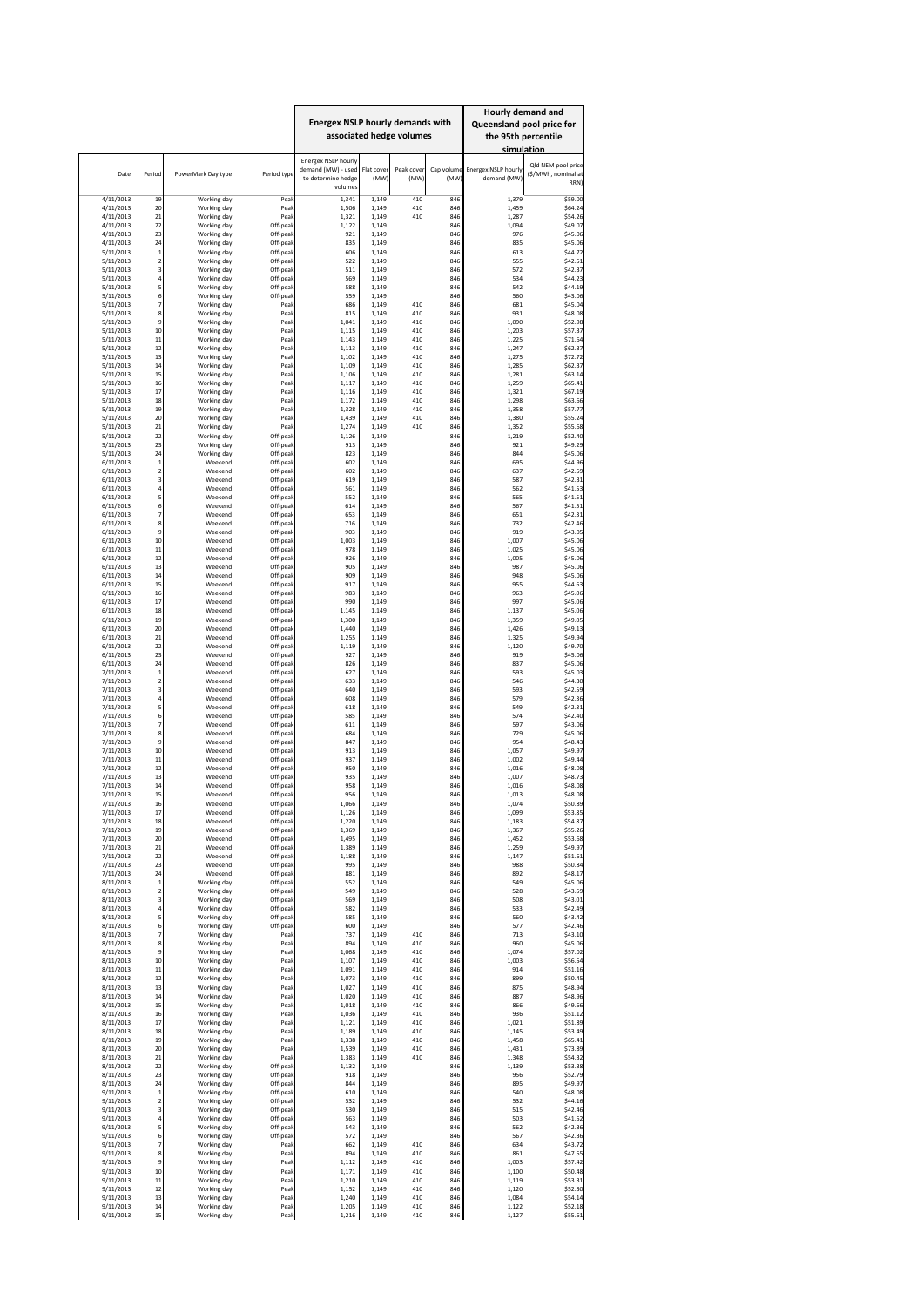|                        |                         |                            |                      |                                                                     |                |            |            | Hourly demand and<br>Queensland pool price for |                                           |  |
|------------------------|-------------------------|----------------------------|----------------------|---------------------------------------------------------------------|----------------|------------|------------|------------------------------------------------|-------------------------------------------|--|
|                        |                         |                            |                      | <b>Energex NSLP hourly demands with</b><br>associated hedge volumes |                |            |            |                                                |                                           |  |
|                        |                         |                            |                      |                                                                     |                |            |            | the 95th percentile<br>simulation              |                                           |  |
|                        |                         |                            |                      | Energex NSLP hourly                                                 |                |            |            |                                                |                                           |  |
| Date                   | Period                  | PowerMark Day type         | Period type          | demand (MW) - used                                                  | Flat cover     | Peak cover | Cap volume | Energex NSLP hourly                            | Qld NEM pool price<br>(\$/MWh, nominal at |  |
|                        |                         |                            |                      | to determine hedge<br>volumes                                       | (MW)           | (MW)       | (MW        | demand (MW)                                    | RRN)                                      |  |
| 4/11/2013              | 19                      | Working day                | Peal                 | 1,341                                                               | 1,149          | 410        | 846        | 1,379                                          | \$59.00                                   |  |
| 4/11/2013              | 20                      | Working day                | Peal                 | 1.506                                                               | 1.149          | 410        | 846        | 1.459                                          | \$64.24                                   |  |
| 4/11/2013<br>4/11/2013 | 21<br>22                | Working day<br>Working day | Peak<br>Off-peal     | 1,321<br>1,122                                                      | 1,149<br>1,149 | 410        | 846<br>846 | 1,287<br>1,094                                 | \$54.26<br>\$49.07                        |  |
| 4/11/2013              | 23                      | Working day                | Off-peal             | 921                                                                 | 1,149          |            | 846        | 976                                            | \$45.06                                   |  |
| 4/11/2013<br>5/11/2013 | 24<br>$\mathbf 1$       | Working day<br>Working day | Off-peal<br>Off-peal | 835<br>606                                                          | 1.149<br>1,149 |            | 846<br>846 | 835<br>613                                     | \$45.06<br>\$44.72                        |  |
| 5/11/2013              | 2                       | Working day                | Off-peal             | 522                                                                 | 1,149          |            | 846        | 555                                            | \$42.5                                    |  |
| 5/11/2013<br>5/11/2013 | 3                       | Working day<br>Working day | Off-peak<br>Off-peak | 511<br>569                                                          | 1,149<br>1.149 |            | 846<br>846 | 572<br>534                                     | \$42.37<br>\$44.23                        |  |
| 5/11/2013              | $\frac{4}{5}$           | Working day                | Off-peak             | 588                                                                 | 1,149          |            | 846        | 542                                            | \$44.19                                   |  |
| 5/11/2013<br>5/11/2013 | 6<br>7                  | Working day<br>Working day | Off-peak<br>Peal     | 559<br>686                                                          | 1,149<br>1,149 | 410        | 846<br>846 | 560<br>681                                     | \$43.06<br>\$45.04                        |  |
| 5/11/2013              | 8                       | Working day                | Peak                 | 815                                                                 | 1,149          | 410        | 846        | 931                                            | \$48.08                                   |  |
| 5/11/2013<br>5/11/2013 | 9<br>10                 | Working day<br>Working day | Peak<br>Peal         | 1.041<br>1,115                                                      | 1.149<br>1,149 | 410<br>410 | 846<br>846 | 1.090<br>1,203                                 | \$52.98<br>\$57.37                        |  |
| 5/11/2013              | 11                      | Working day                | Peal                 | 1,143                                                               | 1,149          | 410        | 846        | 1,225                                          | \$71.64                                   |  |
| 5/11/2013<br>5/11/2013 | 12<br>13                | Working day<br>Working day | Peal<br>Peak         | 1,113<br>1.102                                                      | 1,149<br>1.149 | 410<br>410 | 846<br>846 | 1,247<br>1,275                                 | \$62.37<br>\$72.72                        |  |
| 5/11/2013              | 14                      | Working day                | Peak                 | 1,109                                                               | 1,149          | 410        | 846        | 1,285                                          | \$62.37                                   |  |
| 5/11/2013<br>5/11/2013 | 15<br>16                | Working day<br>Working day | Peal<br>Peak         | 1,106<br>1,117                                                      | 1,149<br>1,149 | 410<br>410 | 846<br>846 | 1,281<br>1,259                                 | \$63.14<br>\$65.41                        |  |
| 5/11/2013              | 17                      | Working day                | Peal                 | 1.116                                                               | 1.149          | 410        | 846        | 1,321                                          | \$67.19                                   |  |
| 5/11/2013<br>5/11/2013 | 18<br>19                | Working day<br>Working day | Peal<br>Pea          | 1,172<br>1,328                                                      | 1,149<br>1,149 | 410<br>410 | 846<br>846 | 1,298<br>1,358                                 | \$63.66<br>\$57.7                         |  |
| 5/11/2013              | 20                      | Working day                | Peal                 | 1,439                                                               | 1,149          | 410        | 846        | 1,380                                          | \$55.24                                   |  |
| 5/11/2013<br>5/11/2013 | 21<br>22                | Working day<br>Working day | Peak<br>Off-peak     | 1.274<br>1,126                                                      | 1.149<br>1,149 | 410        | 846<br>846 | 1,352<br>1,219                                 | \$55.68<br>\$52.40                        |  |
| 5/11/2013              | 23                      | Working day                | Off-peak             | 913                                                                 | 1,149          |            | 846        | 921                                            | \$49.29                                   |  |
| 5/11/2013<br>6/11/2013 | 24<br>$\mathbf{1}$      | Working day<br>Weekend     | Off-peak<br>Off-peak | 823<br>602                                                          | 1,149<br>1.149 |            | 846<br>846 | 844<br>695                                     | \$45.06<br>\$44.96                        |  |
| 6/11/2013              | $\overline{\mathbf{c}}$ | Weekend                    | Off-peal             | 602                                                                 | 1,149          |            | 846        | 637                                            | \$42.59                                   |  |
| 6/11/2013<br>6/11/2013 | 3<br>4                  | Weekend<br>Weekend         | Off-peal<br>Off-peak | 619<br>561                                                          | 1,149<br>1,149 |            | 846<br>846 | 587<br>562                                     | \$42.3<br>\$41.53                         |  |
| 6/11/2013              | 5                       | Weekend                    | Off-peak             | 552                                                                 | 1,149          |            | 846        | 565                                            | \$41.51                                   |  |
| 6/11/2013<br>6/11/2013 | 6<br>7                  | Weekend<br>Weekend         | Off-peak<br>Off-peak | 614<br>653                                                          | 1.149<br>1,149 |            | 846<br>846 | 567<br>651                                     | \$41.51<br>\$42.31                        |  |
| 6/11/2013              | 8                       | Weekend                    | Off-peak             | 716                                                                 | 1,149          |            | 846        | 732                                            | \$42.46                                   |  |
| 6/11/2013<br>6/11/2013 | 9<br>10                 | Weekend<br>Weekend         | Off-peak<br>Off-peal | 903<br>1.003                                                        | 1,149<br>1.149 |            | 846<br>846 | 919<br>1.007                                   | \$43.05<br>\$45.06                        |  |
| 6/11/2013              | 11                      | Weekend                    | Off-peal             | 978                                                                 | 1,149          |            | 846        | 1,025                                          | \$45.06                                   |  |
| 6/11/2013<br>6/11/2013 | 12<br>13                | Weekend<br>Weekend         | Off-peal<br>Off-peak | 926<br>905                                                          | 1,149<br>1,149 |            | 846<br>846 | 1,005<br>987                                   | \$45.06<br>\$45.06                        |  |
| 6/11/2013              | 14                      | Weekend                    | Off-peak             | 909                                                                 | 1,149          |            | 846        | 948                                            | \$45.06                                   |  |
| 6/11/2013<br>6/11/2013 | 15<br>16                | Weekend<br>Weekend         | Off-peak<br>Off-peak | 917<br>983                                                          | 1,149<br>1,149 |            | 846<br>846 | 955<br>963                                     | \$44.63<br>\$45.06                        |  |
| 6/11/2013              | 17                      | Weekend                    | Off-peak             | 990                                                                 | 1,149          |            | 846        | 997                                            | \$45.06                                   |  |
| 6/11/2013<br>6/11/2013 | 18<br>19                | Weekend<br>Weekend         | Off-peak<br>Off-peal | 1.145<br>1,300                                                      | 1.149<br>1,149 |            | 846<br>846 | 1.137<br>1,359                                 | \$45.06<br>\$49.05                        |  |
| 6/11/2013              | 20                      | Weekend                    | Off-peal             | 1,440                                                               | 1,149          |            | 846        | 1,426                                          | \$49.13                                   |  |
| 6/11/2013<br>6/11/2013 | 21<br>22                | Weekend<br>Weekend         | Off-peak<br>Off-peak | 1,255<br>1.119                                                      | 1,149<br>1.149 |            | 846<br>846 | 1,325<br>1.120                                 | \$49.94<br>\$49.70                        |  |
| 6/11/2013              | 23                      | Weekend                    | Off-peak             | 927                                                                 | 1,149          |            | 846        | 919                                            | \$45.06                                   |  |
| 6/11/2013<br>7/11/2013 | 24<br>$\mathbf 1$       | Weekend<br>Weekend         | Off-peal<br>Off-peak | 826<br>627                                                          | 1,149<br>1,149 |            | 846<br>846 | 837<br>593                                     | \$45.06<br>\$45.03                        |  |
| 7/11/2013              | $\overline{2}$          | Weekend                    | Off-peal             | 633                                                                 | 1.149          |            | 846        | 546                                            | \$44.30                                   |  |
| 7/11/2013<br>7/11/2013 | 3<br>4                  | Weekend<br>Weekend         | Off-peal<br>Off-peal | 640<br>608                                                          | 1.149<br>1,149 |            | 846<br>846 | 593<br>579                                     | \$42.59<br>\$42.36                        |  |
| 7/11/2013              | 5                       | Weekend                    | Off-peal             | 618                                                                 | 1,149          |            | 846        | 549                                            | \$42.3                                    |  |
| 7/11/2013<br>7/11/2013 | 6<br>7                  | Weekend<br>Weekend         | Off-peal<br>Off-peak | 585<br>611                                                          | 1,149<br>1,149 |            | 846<br>846 | 574<br>597                                     | \$42.40<br>\$43.06                        |  |
| 7/11/2013              | 8                       | Weekend                    | Off-peak             | 684                                                                 | 1,149          |            | 846        | 729                                            | \$45.06                                   |  |
| 7/11/2013<br>7/11/2013 | 9<br>10                 | Weekend<br>Weekend         | Off-peak<br>Off-peak | 847<br>913                                                          | 1,149<br>1,149 |            | 846<br>846 | 954<br>1,057                                   | \$48.43<br>\$49.97                        |  |
| 7/11/2013              | 11                      | Weekend                    | Off-peal             | 937                                                                 | 1.149          |            | 846        | 1.002                                          | \$49.44                                   |  |
| 7/11/2013<br>7/11/2013 | 12<br>13                | Weekend<br>Weekend         | Off-peal<br>Off-peal | 950<br>935                                                          | 1,149<br>1,149 |            | 846<br>846 | 1,016<br>1,007                                 | \$48.08<br>\$48.73                        |  |
| 7/11/2013              | 14                      | Weekend                    | Off-peak             | 958                                                                 | 1,149          |            | 846        | 1,016                                          | \$48.08                                   |  |
| 7/11/2013<br>7/11/2013 | 15<br>16                | Weekend<br>Weekend         | Off-peak<br>Off-peak | 956<br>1,066                                                        | 1,149<br>1.149 |            | 846<br>846 | 1,013<br>1,074                                 | \$48.08<br>\$50.89                        |  |
| 7/11/2013              | 17                      | Weekend                    | Off-peal             | 1,126                                                               | 1,149          |            | 846        | 1,099                                          | \$53.85                                   |  |
| 7/11/2013<br>7/11/2013 | 18<br>19                | Weekend<br>Weekend         | Off-peak<br>Off-peak | 1,220<br>1.369                                                      | 1,149<br>1.149 |            | 846<br>846 | 1,183<br>1,367                                 | \$54.87<br>\$55.26                        |  |
| 7/11/2013              | 20                      | Weekend                    | Off-peal             | 1,495                                                               | 1,149          |            | 846        | 1,452                                          | \$53.68                                   |  |
| 7/11/2013<br>7/11/2013 | 21<br>22                | Weekend<br>Weekend         | Off-peal<br>Off-peak | 1,389<br>1,188                                                      | 1,149<br>1,149 |            | 846<br>846 | 1,259<br>1,147                                 | \$49.97<br>\$51.61                        |  |
| 7/11/2013              | 23                      | Weekend                    | Off-peak             | 995                                                                 | 1,149          |            | 846        | 988                                            | \$50.84                                   |  |
| 7/11/2013<br>8/11/2013 | 24<br>$\,$ 1            | Weekend<br>Working day     | Off-peak<br>Off-peak | 881<br>552                                                          | 1,149<br>1,149 |            | 846<br>846 | 892<br>549                                     | \$48.17<br>\$45.06                        |  |
| 8/11/2013              | 2                       | Working day                | Off-peak             | 549                                                                 | 1,149          |            | 846        | 528                                            | \$43.69                                   |  |
| 8/11/2013<br>8/11/2013 | 3<br>4                  | Working day<br>Working day | Off-peak<br>Off-peak | 569<br>582                                                          | 1,149<br>1,149 |            | 846<br>846 | 508<br>533                                     | \$43.01<br>\$42.49                        |  |
| 8/11/2013              | 5                       | Working day                | Off-peak             | 585                                                                 | 1,149          |            | 846        | 560                                            | \$43.42                                   |  |
| 8/11/2013<br>8/11/2013 | 6<br>7                  | Working day<br>Working day | Off-peak<br>Peak     | 600<br>737                                                          | 1,149<br>1,149 | 410        | 846<br>846 | 577<br>713                                     | \$42.46<br>\$43.10                        |  |
| 8/11/2013              | 8                       | Working day                | Peak                 | 894                                                                 | 1.149          | 410        | 846        | 960                                            | \$45.06                                   |  |
| 8/11/2013<br>8/11/2013 | 9<br>10                 | Working day<br>Working day | Peak<br>Peak         | 1,068<br>1,107                                                      | 1,149<br>1,149 | 410<br>410 | 846<br>846 | 1,074<br>1,003                                 | \$57.02<br>\$56.54                        |  |
| 8/11/2013              | 11                      | Working day                | Peak                 | 1,091                                                               | 1,149          | 410        | 846        | 914                                            | \$51.16                                   |  |
| 8/11/2013<br>8/11/2013 | 12<br>13                | Working day<br>Working day | Peal<br>Peal         | 1.073<br>1,027                                                      | 1,149<br>1,149 | 410<br>410 | 846<br>846 | 899<br>875                                     | \$50.45<br>\$48.94                        |  |
| 8/11/2013              | 14                      | Working day                | Peal                 | 1,020                                                               | 1,149          | 410        | 846        | 887                                            | \$48.96                                   |  |
| 8/11/2013<br>8/11/2013 | 15<br>16                | Working day<br>Working day | Peak<br>Peak         | 1,018<br>1,036                                                      | 1,149<br>1,149 | 410<br>410 | 846<br>846 | 866<br>936                                     | \$49.66<br>\$51.12                        |  |
| 8/11/2013              | 17                      | Working day                | Peak                 | 1,121                                                               | 1,149          | 410        | 846        | 1,021                                          | \$51.89                                   |  |
| 8/11/2013<br>8/11/2013 | 18<br>19                | Working day<br>Working day | Peak<br>Peak         | 1,189<br>1,338                                                      | 1,149<br>1,149 | 410<br>410 | 846<br>846 | 1,145<br>1,458                                 | \$53.49<br>\$65.41                        |  |
| 8/11/2013              | 20                      | Working day                | Peak                 | 1,539                                                               | 1,149          | 410        | 846        | 1.431                                          | \$73.89                                   |  |
| 8/11/2013<br>8/11/2013 | 21<br>22                | Working day<br>Working day | Peak<br>Off-peal     | 1,383<br>1,132                                                      | 1,149<br>1,149 | 410        | 846<br>846 | 1,348<br>1,139                                 | \$54.32<br>\$53.38                        |  |
| 8/11/2013              | 23                      | Working day                | Off-peak             | 918                                                                 | 1,149          |            | 846        | 956                                            | \$52.79                                   |  |
| 8/11/2013<br>9/11/2013 | 24<br>$\mathbf{1}$      | Working day<br>Working day | Off-peak<br>Off-peak | 844<br>610                                                          | 1,149<br>1.149 |            | 846<br>846 | 895<br>540                                     | \$49.97<br>\$48.08                        |  |
| 9/11/2013              | $\overline{\mathbf{c}}$ | Working day                | Off-peak             | 532                                                                 | 1,149          |            | 846        | 532                                            | \$44.16                                   |  |
| 9/11/2013<br>9/11/2013 | 3<br>4                  | Working day<br>Working day | Off-peak<br>Off-peak | 530<br>563                                                          | 1,149<br>1,149 |            | 846<br>846 | 515<br>503                                     | \$42.46<br>\$41.52                        |  |
| 9/11/2013              | 5                       | Working day                | Off-peak             | 543                                                                 | 1,149          |            | 846        | 562                                            | \$42.36                                   |  |
| 9/11/2013<br>9/11/2013 | 6<br>7                  | Working day<br>Working day | Off-peak<br>Peal     | 572<br>662                                                          | 1,149<br>1,149 | 410        | 846<br>846 | 567<br>634                                     | \$42.36<br>\$43.72                        |  |
| 9/11/2013              | 8                       | Working day                | Peak                 | 894                                                                 | 1,149          | 410        | 846        | 861                                            | \$47.55                                   |  |
| 9/11/2013<br>9/11/2013 | 9<br>10                 | Working day<br>Working day | Peak<br>Peak         | 1,112<br>1,171                                                      | 1,149<br>1,149 | 410<br>410 | 846<br>846 | 1.003<br>1,100                                 | \$57.42<br>\$50.48                        |  |
| 9/11/2013              | $11\,$                  | Working day                | Peak                 | 1,210                                                               | 1,149          | 410        | 846        | 1,119                                          | \$53.31                                   |  |
| 9/11/2013<br>9/11/2013 | 12<br>13                | Working day<br>Working day | Peak<br>Peak         | 1,152<br>1,240                                                      | 1,149<br>1,149 | 410<br>410 | 846<br>846 | 1,120<br>1,084                                 | \$52.30<br>\$54.14                        |  |
| 9/11/2013              | 14                      | Working day                | Peak                 | 1,205                                                               | 1,149          | 410        | 846        | 1,122                                          | \$52.18                                   |  |
| 9/11/2013              | 15                      | Working day                | Peal                 | 1,216                                                               | 1,149          | 410        | 846        | 1,127                                          | \$55.61                                   |  |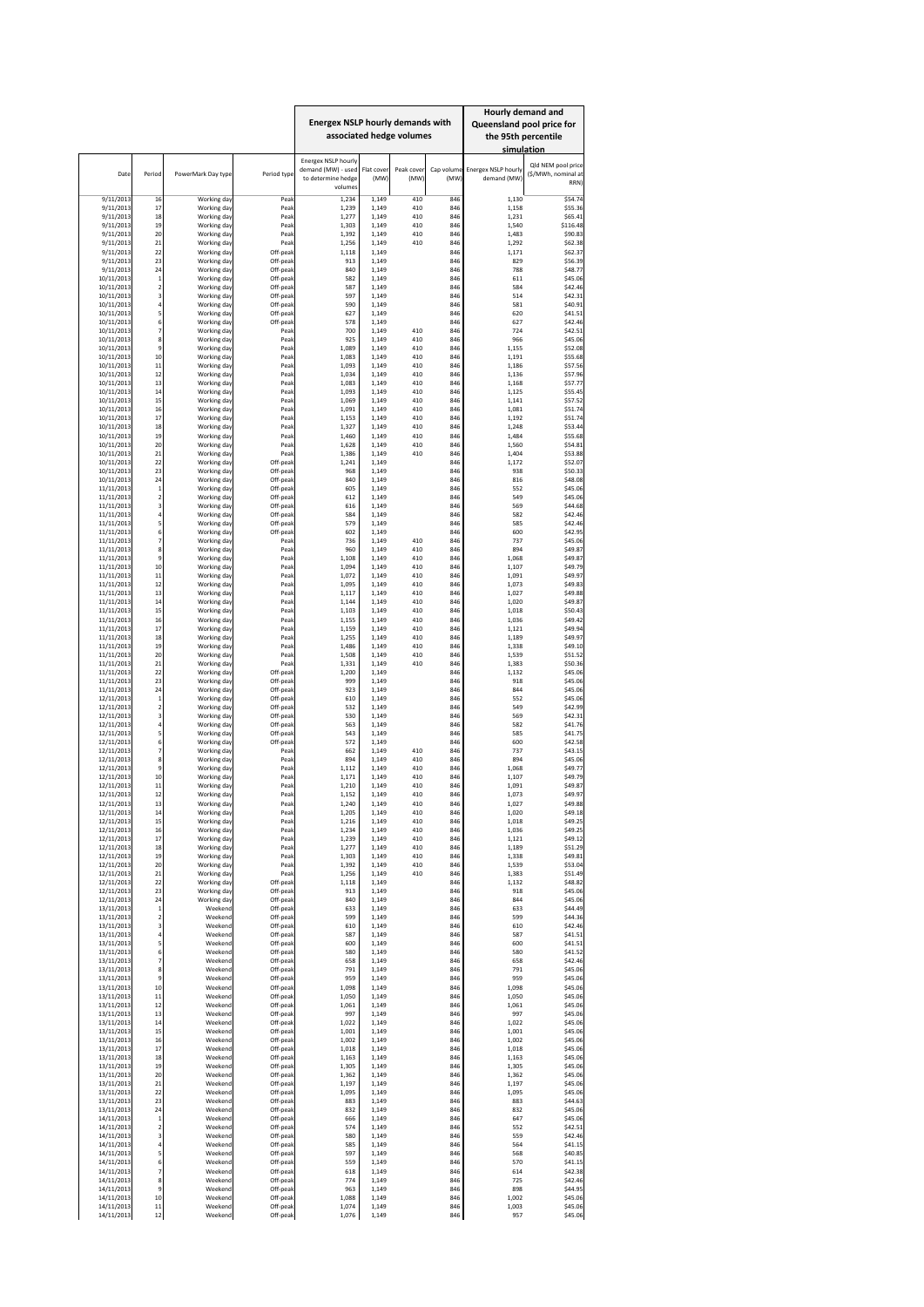|                          |                                         |                            |                      |                                                                     |                |            |            | Hourly demand and<br>Queensland pool price for |                                           |  |  |
|--------------------------|-----------------------------------------|----------------------------|----------------------|---------------------------------------------------------------------|----------------|------------|------------|------------------------------------------------|-------------------------------------------|--|--|
|                          |                                         |                            |                      | <b>Energex NSLP hourly demands with</b><br>associated hedge volumes |                |            |            |                                                |                                           |  |  |
|                          |                                         |                            |                      |                                                                     |                |            |            | the 95th percentile<br>simulation              |                                           |  |  |
|                          |                                         |                            |                      | Energex NSLP hourly                                                 |                |            |            |                                                |                                           |  |  |
| Date                     | Period                                  | PowerMark Day type         | Period type          | demand (MW) - used                                                  | Flat cover     | Peak cover | Cap volume | Energex NSLP hourly                            | Old NEM pool price<br>(\$/MWh, nominal at |  |  |
|                          |                                         |                            |                      | to determine hedge<br>volume                                        | (MW)           | (MW)       | (MW)       | demand (MW)                                    | <b>RRN1</b>                               |  |  |
| 9/11/2013                | 16                                      | Working day                | Peal                 | 1,234                                                               | 1,149          | 410        | 846        | 1,130                                          | \$54.74                                   |  |  |
| 9/11/2013                | 17                                      | Working day                | Peal                 | 1,239                                                               | 1,149          | 410        | 846<br>846 | 1,158                                          | \$55.36                                   |  |  |
| 9/11/2013<br>9/11/2013   | 18<br>19                                | Working day<br>Working day | Peak<br>Peak         | 1,277<br>1.303                                                      | 1,149<br>1.149 | 410<br>410 | 846        | 1,231<br>1.540                                 | \$65.41<br>\$116.48                       |  |  |
| 9/11/2013                | 20                                      | Working day                | Peak                 | 1,392                                                               | 1,149          | 410        | 846        | 1,483                                          | \$90.83                                   |  |  |
| 9/11/2013<br>9/11/2013   | 21<br>22                                | Working day<br>Working day | Peal<br>Off-peal     | 1,256<br>1,118                                                      | 1,149<br>1,149 | 410        | 846<br>846 | 1,292<br>1,171                                 | \$62.38<br>\$62.37                        |  |  |
| 9/11/2013                | 23                                      | Working day                | Off-peak             | 913                                                                 | 1.149          |            | 846        | 829                                            | \$56.39                                   |  |  |
| 9/11/2013<br>10/11/2013  | 24<br>$\mathbf{1}$                      | Working day<br>Working day | Off-peak<br>Off-peal | 840<br>582                                                          | 1,149<br>1,149 |            | 846<br>846 | 788<br>611                                     | \$48.77<br>\$45.06                        |  |  |
| 10/11/2013               | 2<br>$\overline{3}$                     | Working day                | Off-peak             | 587                                                                 | 1,149          |            | 846        | 584                                            | \$42.46                                   |  |  |
| 10/11/2013<br>10/11/2013 | 4                                       | Working day<br>Working day | Off-peal<br>Off-peak | 597<br>590                                                          | 1.149<br>1.149 |            | 846<br>846 | 514<br>581                                     | \$42.31<br>\$40.91                        |  |  |
| 10/11/2013               | 5                                       | Working day                | Off-peal             | 627                                                                 | 1,149          |            | 846        | 620                                            | \$41.51                                   |  |  |
| 10/11/2013<br>10/11/2013 | 6<br>7                                  | Working day<br>Working day | Off-peal<br>Peal     | 578<br>700                                                          | 1,149<br>1,149 | 410        | 846<br>846 | 627<br>724                                     | \$42.46<br>\$42.51                        |  |  |
| 10/11/2013               | 8                                       | Working day                | Peak                 | 925                                                                 | 1.149          | 410        | 846        | 966                                            | \$45.06                                   |  |  |
| 10/11/2013<br>10/11/2013 | 9<br>10                                 | Working day<br>Working day | Peak<br>Peal         | 1,089<br>1,083                                                      | 1,149<br>1,149 | 410<br>410 | 846<br>846 | 1,155<br>1,191                                 | \$52.08<br>\$55.68                        |  |  |
| 10/11/2013               | 11                                      | Working day                | Peak                 | 1,093                                                               | 1,149          | 410        | 846        | 1,186                                          | \$57.56                                   |  |  |
| 10/11/2013<br>10/11/2013 | 12<br>13                                | Working day<br>Working day | Peak<br>Peal         | 1.034<br>1,083                                                      | 1.149<br>1,149 | 410<br>410 | 846<br>846 | 1.136<br>1,168                                 | \$57.96<br>\$57.77                        |  |  |
| 10/11/2013               | 14                                      | Working day                | Peal                 | 1,093                                                               | 1,149          | 410        | 846        | 1,125                                          | \$55.45                                   |  |  |
| 10/11/2013<br>10/11/2013 | 15<br>16                                | Working day<br>Working day | Peak<br>Peak         | 1,069<br>1,091                                                      | 1,149<br>1.149 | 410<br>410 | 846<br>846 | 1,141<br>1.081                                 | \$57.52<br>\$51.74                        |  |  |
| 10/11/2013               | 17                                      | Working day                | Peak                 | 1,153                                                               | 1,149          | 410        | 846        | 1,192                                          | \$51.74                                   |  |  |
| 10/11/2013<br>10/11/2013 | 18<br>19                                | Working day<br>Working day | Peak<br>Peak         | 1,327<br>1,460                                                      | 1,149<br>1,149 | 410<br>410 | 846<br>846 | 1,248<br>1,484                                 | \$53.44<br>\$55.68                        |  |  |
| 10/11/2013               | 20                                      | Working day                | Peak                 | 1.628                                                               | 1.149          | 410        | 846        | 1.560                                          | \$54.81                                   |  |  |
| 10/11/2013<br>10/11/2013 | $\overline{21}$<br>$_{22}$              | Working day<br>Working day | Peal<br>Off-peal     | 1,386<br>1,241                                                      | 1,149<br>1,149 | 410        | 846<br>846 | 1,404<br>1,172                                 | \$53.88<br>\$52.07                        |  |  |
| 10/11/2013               | 23                                      | Working day                | Off-peal             | 968                                                                 | 1,149          |            | 846        | 938                                            | \$50.33                                   |  |  |
| 10/11/2013<br>11/11/2013 | 24<br>$\mathbf 1$                       | Working day<br>Working day | Off-peal<br>Off-peak | 840<br>605                                                          | 1.149<br>1,149 |            | 846<br>846 | 816<br>552                                     | \$48.08<br>\$45.06                        |  |  |
| 11/11/2013               | 2                                       | Working day                | Off-peak             | 612                                                                 | 1,149          |            | 846        | 549                                            | \$45.06                                   |  |  |
| 11/11/2013               | 3                                       | Working day                | Off-peal             | 616                                                                 | 1,149          |            | 846        | 569                                            | \$44.68                                   |  |  |
| 11/11/2013<br>11/11/2013 | 4<br>5                                  | Working day<br>Working day | Off-peak<br>Off-peal | 584<br>579                                                          | 1,149<br>1.149 |            | 846<br>846 | 582<br>585                                     | \$42.46<br>\$42.46                        |  |  |
| 11/11/2013               | 6                                       | Working day                | Off-peal             | 602                                                                 | 1,149          |            | 846        | 600                                            | \$42.95                                   |  |  |
| 11/11/2013<br>11/11/2013 | 7<br>8                                  | Working day<br>Working day | Peal<br>Peak         | 736<br>960                                                          | 1,149<br>1,149 | 410<br>410 | 846<br>846 | 737<br>894                                     | \$45.06<br>\$49.87                        |  |  |
| 11/11/2013               | 9                                       | Working day                | Peak                 | 1.108                                                               | 1.149          | 410        | 846        | 1.068                                          | \$49.87                                   |  |  |
| 11/11/2013<br>11/11/2013 | 10<br>11                                | Working day<br>Working day | Peak<br>Peak         | 1,094<br>1,072                                                      | 1,149<br>1,149 | 410<br>410 | 846<br>846 | 1,107<br>1,091                                 | \$49.79<br>\$49.97                        |  |  |
| 11/11/2013               | 12                                      | Working day                | Peak                 | 1,095                                                               | 1,149          | 410        | 846        | 1,073                                          | \$49.83                                   |  |  |
| 11/11/2013               | 13                                      | Working day                | Peak<br>Peak         | 1.117                                                               | 1.149          | 410<br>410 | 846<br>846 | 1.027                                          | \$49.88                                   |  |  |
| 11/11/2013<br>11/11/2013 | 14<br>15                                | Working day<br>Working day | Peal                 | 1,144<br>1,103                                                      | 1,149<br>1,149 | 410        | 846        | 1,020<br>1,018                                 | \$49.87<br>\$50.43                        |  |  |
| 11/11/2013               | 16                                      | Working day                | Peal                 | 1,155                                                               | 1,149          | 410        | 846        | 1,036                                          | \$49.42                                   |  |  |
| 11/11/2013<br>11/11/2013 | 17<br>18                                | Working day<br>Working day | Peak<br>Peak         | 1.159<br>1,255                                                      | 1.149<br>1,149 | 410<br>410 | 846<br>846 | 1.121<br>1,189                                 | \$49.94<br>\$49.97                        |  |  |
| 11/11/2013               | 19                                      | Working day                | Peal                 | 1,486                                                               | 1,149          | 410        | 846        | 1,338                                          | \$49.10                                   |  |  |
| 11/11/2013<br>11/11/2013 | 20<br>21                                | Working day<br>Working day | Peak<br>Peak         | 1,508<br>1.331                                                      | 1,149<br>1.149 | 410<br>410 | 846<br>846 | 1,539<br>1.383                                 | \$51.52<br>\$50.36                        |  |  |
| 11/11/2013               | 22                                      | Working day                | Off-peal             | 1,200                                                               | 1,149          |            | 846        | 1,132                                          | \$45.06                                   |  |  |
| 11/11/2013<br>11/11/2013 | 23<br>24                                | Working day<br>Working day | Off-peal<br>Off-peal | 999<br>923                                                          | 1,149<br>1,149 |            | 846<br>846 | 918<br>844                                     | \$45.06<br>\$45.06                        |  |  |
| 12/11/2013               | $\mathbf{1}$                            | Working day                | Off-peal             | 610                                                                 | 1,149          |            | 846        | 552                                            | \$45.06                                   |  |  |
| 12/11/2013<br>12/11/2013 | $\overline{2}$<br>3                     | Working day<br>Working day | Off-peal<br>Off-peak | 532<br>530                                                          | 1.149<br>1,149 |            | 846<br>846 | 549<br>569                                     | \$42.99<br>\$42.31                        |  |  |
| 12/11/2013               | 4                                       | Working day                | Off-peal             | 563                                                                 | 1,149          |            | 846        | 582                                            | \$41.76                                   |  |  |
| 12/11/2013<br>12/11/2013 | 5<br>6                                  | Working day<br>Working day | Off-peak             | 543<br>572                                                          | 1,149<br>1.149 |            | 846<br>846 | 585<br>600                                     | \$41.75<br>\$42.58                        |  |  |
| 12/11/2013               | 7                                       | Working day                | Off-peak<br>Peak     | 662                                                                 | 1,149          | 410        | 846        | 737                                            | \$43.15                                   |  |  |
| 12/11/2013               | 8                                       | Working day                | Peal                 | 894                                                                 | 1,149          | 410        | 846        | 894                                            | \$45.06                                   |  |  |
| 12/11/2013<br>12/11/2013 | ٩<br>10                                 | Working day<br>Working day | Peak<br>Peak         | 1,112<br>1.171                                                      | 1,149<br>1.149 | 410<br>410 | 846<br>846 | 1,068<br>1.107                                 | \$49.77<br>\$49.79                        |  |  |
| 12/11/2013               | 11                                      | Working day                | Peak                 | 1,210                                                               | 1,149          | 410        | 846        | 1,091                                          | \$49.87                                   |  |  |
| 12/11/2013<br>12/11/2013 | 12<br>13                                | Working day<br>Working day | Peak<br>Peal         | 1,152<br>1,240                                                      | 1,149<br>1,149 | 410<br>410 | 846<br>846 | 1,073<br>1,027                                 | \$49.97<br>\$49.88                        |  |  |
| 12/11/2013               | 14                                      | Working day                | Peak                 | 1,205                                                               | 1.149          | 410        | 846        | 1,020                                          | \$49.18                                   |  |  |
| 12/11/2013<br>12/11/2013 | 15<br>16                                | Working day<br>Working day | Peak<br>Peal         | 1,216<br>1,234                                                      | 1,149<br>1,149 | 410<br>410 | 846<br>846 | 1,018<br>1,036                                 | \$49.25<br>\$49.25                        |  |  |
| 12/11/2013               | 17                                      | Working day                | Peal                 | 1,239                                                               | 1,149          | 410        | 846        | 1,121                                          | \$49.12                                   |  |  |
| 12/11/2013<br>12/11/2013 | 18<br>19                                | Working day<br>Working day | Peak<br>Peak         | 1,277<br>1,303                                                      | 1,149<br>1,149 | 410<br>410 | 846<br>846 | 1,189<br>1,338                                 | \$51.29<br>\$49.81                        |  |  |
| 12/11/2013               | 20                                      | Working day                | Peak                 | 1,392                                                               | 1,149          | 410        | 846        | 1,539                                          | \$53.04                                   |  |  |
| 12/11/2013<br>12/11/2013 | 21<br>22                                | Working day<br>Working day | Peal<br>Off-peak     | 1,256<br>1,118                                                      | 1,149<br>1,149 | 410        | 846<br>846 | 1,383<br>1,132                                 | \$51.49<br>\$48.82                        |  |  |
| 12/11/2013               | 23                                      | Working day                | Off-peak             | 913                                                                 | 1.149          |            | 846        | 918                                            | \$45.06                                   |  |  |
| 12/11/2013<br>13/11/2013 | 24<br>1                                 | Working day<br>Weekend     | Off-peal<br>Off-peal | 840<br>633                                                          | 1,149<br>1,149 |            | 846<br>846 | 844<br>633                                     | \$45.06<br>\$44.49                        |  |  |
| 13/11/2013               | 2                                       | Weekend                    | Off-peal             | 599                                                                 | 1,149          |            | 846        | 599                                            | \$44.36                                   |  |  |
| 13/11/2013<br>13/11/2013 | 3<br>4                                  | Weekend<br>Weekend         | Off-peak<br>Off-peak | 610<br>587                                                          | 1,149<br>1,149 |            | 846<br>846 | 610<br>587                                     | \$42.46<br>\$41.51                        |  |  |
| 13/11/2013               | 5                                       | Weekend                    | Off-peak             | 600                                                                 | 1,149          |            | 846        | 600                                            | \$41.51                                   |  |  |
| 13/11/2013<br>13/11/2013 | 6<br>$\overline{7}$                     | Weekend<br>Weekend         | Off-peak<br>Off-peal | 580<br>658                                                          | 1,149<br>1,149 |            | 846<br>846 | 580<br>658                                     | \$41.52<br>\$42.46                        |  |  |
| 13/11/2013               | 8                                       | Weekend                    | Off-peal             | 791                                                                 | 1,149          |            | 846        | 791                                            | \$45.06                                   |  |  |
| 13/11/2013               | 9                                       | Weekend                    | Off-peal             | 959                                                                 | 1,149          |            | 846        | 959                                            | \$45.06<br>\$45.06                        |  |  |
| 13/11/2013<br>13/11/2013 | 10<br>11                                | Weekend<br>Weekend         | Off-peak<br>Off-peak | 1,098<br>1,050                                                      | 1,149<br>1,149 |            | 846<br>846 | 1,098<br>1,050                                 | \$45.06                                   |  |  |
| 13/11/2013               | 12                                      | Weekend                    | Off-peak             | 1,061                                                               | 1,149          |            | 846        | 1,061                                          | \$45.06                                   |  |  |
| 13/11/2013<br>13/11/2013 | 13<br>14                                | Weekend<br>Weekend         | Off-peak<br>Off-peak | 997<br>1,022                                                        | 1,149<br>1,149 |            | 846<br>846 | 997<br>1,022                                   | \$45.06<br>\$45.06                        |  |  |
| 13/11/2013               | 15                                      | Weekend                    | Off-peak             | 1,001                                                               | 1,149          |            | 846        | 1,001                                          | \$45.06                                   |  |  |
| 13/11/2013<br>13/11/2013 | 16<br>17                                | Weekend<br>Weekend         | Off-peak<br>Off-peal | 1,002<br>1,018                                                      | 1,149<br>1,149 |            | 846<br>846 | 1,002<br>1,018                                 | \$45.06<br>\$45.06                        |  |  |
| 13/11/2013               | 18                                      | Weekend                    | Off-peak             | 1,163                                                               | 1,149          |            | 846        | 1,163                                          | \$45.06                                   |  |  |
| 13/11/2013<br>13/11/2013 | 19<br>20                                | Weekend<br>Weekend         | Off-peak<br>Off-peak | 1,305<br>1,362                                                      | 1,149<br>1,149 |            | 846<br>846 | 1,305<br>1,362                                 | \$45.06<br>\$45.06                        |  |  |
| 13/11/2013               | 21                                      | Weekend                    | Off-peak             | 1,197                                                               | 1,149          |            | 846        | 1,197                                          | \$45.06                                   |  |  |
| 13/11/2013<br>13/11/2013 | 22<br>23                                | Weekend<br>Weekend         | Off-peak<br>Off-peak | 1,095<br>883                                                        | 1,149<br>1,149 |            | 846<br>846 | 1,095<br>883                                   | \$45.06<br>\$44.63                        |  |  |
| 13/11/2013               | 24                                      | Weekend                    | Off-peak             | 832                                                                 | 1.149          |            | 846        | 832                                            | \$45.06                                   |  |  |
| 14/11/2013<br>14/11/2013 | $\mathbf{1}$<br>$\overline{\mathbf{c}}$ | Weekend<br>Weekend         | Off-peak<br>Off-peal | 666<br>574                                                          | 1,149<br>1,149 |            | 846<br>846 | 647<br>552                                     | \$45.06<br>\$42.51                        |  |  |
| 14/11/2013               | 3                                       | Weekend                    | Off-peak             | 580                                                                 | 1,149          |            | 846        | 559                                            | \$42.46                                   |  |  |
| 14/11/2013<br>14/11/2013 | 4<br>5                                  | Weekend<br>Weekend         | Off-peak<br>Off-peak | 585<br>597                                                          | 1,149<br>1,149 |            | 846<br>846 | 564<br>568                                     | \$41.15<br>\$40.85                        |  |  |
| 14/11/2013               | 6                                       | Weekend                    | Off-peak             | 559                                                                 | 1,149          |            | 846        | 570                                            | \$41.15                                   |  |  |
| 14/11/2013<br>14/11/2013 | 7<br>8                                  | Weekend<br>Weekend         | Off-peak<br>Off-peak | 618<br>774                                                          | 1,149<br>1.149 |            | 846<br>846 | 614<br>725                                     | \$42.38<br>\$42.46                        |  |  |
| 14/11/2013               | 9                                       | Weekend                    | Off-peak             | 963                                                                 | 1,149          |            | 846        | 898                                            | \$44.95                                   |  |  |
| 14/11/2013<br>14/11/2013 | 10<br>11                                | Weekend<br>Weekend         | Off-peal<br>Off-peak | 1,088<br>1,074                                                      | 1,149<br>1,149 |            | 846<br>846 | 1,002<br>1,003                                 | \$45.06<br>\$45.06                        |  |  |
| 14/11/2013               | 12                                      | Weekend                    | Off-peak             | 1,076                                                               | 1,149          |            | 846        | 957                                            | \$45.06                                   |  |  |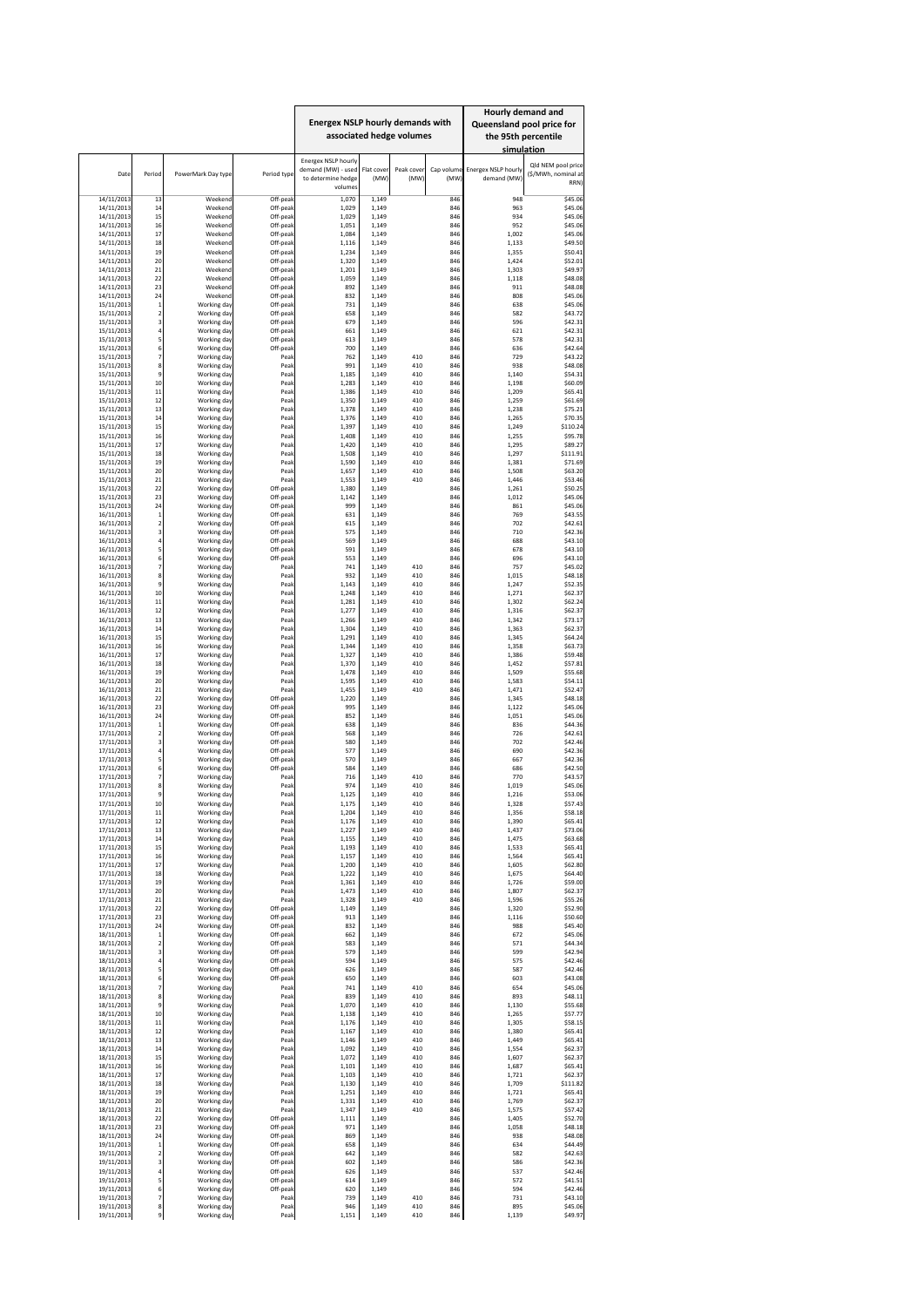|                          |                                  |                            |                      |                                                                     |                    |                    |                   | Hourly demand and                                |                     |  |
|--------------------------|----------------------------------|----------------------------|----------------------|---------------------------------------------------------------------|--------------------|--------------------|-------------------|--------------------------------------------------|---------------------|--|
|                          |                                  |                            |                      | <b>Energex NSLP hourly demands with</b><br>associated hedge volumes |                    |                    |                   | Queensland pool price for<br>the 95th percentile |                     |  |
|                          |                                  |                            |                      |                                                                     |                    |                    |                   | simulation                                       |                     |  |
|                          |                                  |                            |                      | Energex NSLP hourly                                                 |                    |                    |                   |                                                  | Qld NEM pool price  |  |
| Date                     | Period                           | PowerMark Day type         | Period type          | demand (MW) - used<br>to determine hedge                            | Flat cover<br>(MW) | Peak cover<br>(MW) | Cap volume<br>(MW | Energex NSLP hourly<br>demand (MW)               | (\$/MWh, nominal at |  |
|                          |                                  |                            |                      | volumes                                                             |                    |                    |                   |                                                  | RRN)                |  |
| 14/11/2013<br>14/11/2013 | 13<br>14                         | Weekend<br>Weekend         | Off-peal<br>Off-peal | 1,070<br>1.029                                                      | 1,149<br>1.149     |                    | 846<br>846        | 948<br>963                                       | \$45.06<br>\$45.06  |  |
| 14/11/2013               | 15                               | Weekend                    | Off-peal             | 1,029                                                               | 1,149              |                    | 846               | 934                                              | \$45.06             |  |
| 14/11/2013<br>14/11/2013 | 16<br>17                         | Weekend<br>Weekend         | Off-peal<br>Off-peak | 1,051<br>1,084                                                      | 1,149<br>1,149     |                    | 846<br>846        | 952<br>1,002                                     | \$45.06<br>\$45.06  |  |
| 14/11/2013               | 18                               | Weekend<br>Weekend         | Off-peal             | 1.116                                                               | 1.149              |                    | 846<br>846        | 1.133                                            | \$49.50             |  |
| 14/11/2013<br>14/11/2013 | 19<br>20                         | Weekend                    | Off-peal<br>Off-peal | 1,234<br>1,320                                                      | 1,149<br>1,149     |                    | 846               | 1,355<br>1,424                                   | \$50.41<br>\$52.01  |  |
| 14/11/2013<br>14/11/2013 | 21<br>22                         | Weekend<br>Weekend         | Off-peal<br>Off-peal | 1,201<br>1.059                                                      | 1,149<br>1.149     |                    | 846<br>846        | 1,303<br>1,118                                   | \$49.97<br>\$48.08  |  |
| 14/11/2013               | 23                               | Weekend                    | Off-peak             | 892                                                                 | 1,149              |                    | 846               | 911                                              | \$48.08             |  |
| 14/11/2013<br>15/11/2013 | 24<br>$\mathbf 1$                | Weekend<br>Working day     | Off-peak<br>Off-peak | 832<br>731                                                          | 1,149<br>1,149     |                    | 846<br>846        | 808<br>638                                       | \$45.06<br>\$45.06  |  |
| 15/11/2013               | $\mathbf 2$                      | Working day                | Off-peak             | 658                                                                 | 1,149              |                    | 846               | 582                                              | \$43.72             |  |
| 15/11/2013<br>15/11/2013 | $\overline{3}$<br>4              | Working day<br>Working day | Off-peal<br>Off-peal | 679<br>661                                                          | 1.149<br>1,149     |                    | 846<br>846        | 596<br>621                                       | \$42.31<br>\$42.31  |  |
| 15/11/2013               | 5                                | Working day                | Off-peal             | 613                                                                 | 1,149              |                    | 846               | 578                                              | \$42.3              |  |
| 15/11/2013<br>15/11/2013 | 6<br>$\overline{7}$              | Working day<br>Working day | Off-peal<br>Peal     | 700<br>762                                                          | 1,149<br>1.149     | 410                | 846<br>846        | 636<br>729                                       | \$42.64<br>\$43.22  |  |
| 15/11/2013<br>15/11/2013 | 8<br>9                           | Working day<br>Working day | Peal<br>Peal         | 991<br>1,185                                                        | 1,149<br>1,149     | 410<br>410         | 846<br>846        | 938<br>1,140                                     | \$48.08<br>\$54.31  |  |
| 15/11/2013               | 10                               | Working day                | Peal                 | 1,283                                                               | 1,149              | 410                | 846               | 1,198                                            | \$60.09             |  |
| 15/11/2013<br>15/11/2013 | 11<br>12                         | Working day<br>Working day | Peal<br>Peal         | 1.386<br>1,350                                                      | 1.149<br>1,149     | 410<br>410         | 846<br>846        | 1.209<br>1,259                                   | \$65.41<br>\$61.69  |  |
| 15/11/2013               | 13                               | Working day                | Peal                 | 1,378                                                               | 1,149              | 410                | 846               | 1,238                                            | \$75.2              |  |
| 15/11/2013<br>15/11/2013 | 14<br>15                         | Working day<br>Working day | Peal<br>Peal         | 1,376<br>1,397                                                      | 1,149<br>1.149     | 410<br>410         | 846<br>846        | 1,265<br>1,249                                   | \$70.35<br>\$110.24 |  |
| 15/11/2013               | 16                               | Working day                | Peak                 | 1,408                                                               | 1,149              | 410                | 846               | 1,255                                            | \$95.78             |  |
| 15/11/2013<br>15/11/2013 | 17<br>18                         | Working day<br>Working day | Peak<br>Peak         | 1,420<br>1,508                                                      | 1,149<br>1,149     | 410<br>410         | 846<br>846        | 1,295<br>1,297                                   | \$89.27<br>\$111.91 |  |
| 15/11/2013<br>15/11/2013 | 19<br>20                         | Working day<br>Working day | Peal<br>Peal         | 1.590<br>1,657                                                      | 1.149<br>1,149     | 410<br>410         | 846<br>846        | 1,381<br>1,508                                   | \$71.69<br>\$63.20  |  |
| 15/11/2013               | 21                               | Working day                | Peal                 | 1,553                                                               | 1,149              | 410                | 846               | 1,446                                            | \$53.46             |  |
| 15/11/2013<br>15/11/2013 | 22<br>23                         | Working day<br>Working day | Off-peal<br>Off-peal | 1,380<br>1,142                                                      | 1,149<br>1,149     |                    | 846<br>846        | 1,261<br>1,012                                   | \$50.25<br>\$45.06  |  |
| 15/11/2013               | 24                               | Working day                | Off-peal             | 999                                                                 | 1.149              |                    | 846               | 861                                              | \$45.06             |  |
| 16/11/2013<br>16/11/2013 | $\mathbf{1}$<br>$\mathbf 2$      | Working day<br>Working day | Off-peal<br>Off-peal | 631<br>615                                                          | 1,149<br>1,149     |                    | 846<br>846        | 769<br>702                                       | \$43.55<br>\$42.61  |  |
| 16/11/2013<br>16/11/2013 | $\overline{3}$<br>$\overline{a}$ | Working day<br>Working day | Off-peak<br>Off-peal | 575<br>569                                                          | 1,149<br>1.149     |                    | 846<br>846        | 710<br>688                                       | \$42.36<br>\$43.10  |  |
| 16/11/2013               | 5                                | Working day                | Off-peal             | 591                                                                 | 1,149              |                    | 846               | 678                                              | \$43.10             |  |
| 16/11/2013<br>16/11/2013 | 6<br>$\overline{7}$              | Working day<br>Working da  | Off-peal<br>Peal     | 553<br>741                                                          | 1,149<br>1,149     | 410                | 846<br>846        | 696<br>757                                       | \$43.10<br>\$45.02  |  |
| 16/11/2013               | 8                                | Working day                | Peal                 | 932                                                                 | 1.149              | 410                | 846               | 1.015                                            | \$48.18             |  |
| 16/11/2013<br>16/11/2013 | 9<br>10                          | Working day<br>Working day | Peak<br>Peal         | 1,143<br>1,248                                                      | 1,149<br>1,149     | 410<br>410         | 846<br>846        | 1,247<br>1,271                                   | \$52.35<br>\$62.37  |  |
| 16/11/2013<br>16/11/2013 | 11<br>12                         | Working day                | Peak<br>Peal         | 1,281<br>1.277                                                      | 1,149<br>1.149     | 410<br>410         | 846<br>846        | 1,302                                            | \$62.24<br>\$62.37  |  |
| 16/11/2013               | 13                               | Working day<br>Working day | Peal                 | 1,266                                                               | 1,149              | 410                | 846               | 1,316<br>1,342                                   | \$73.17             |  |
| 16/11/2013<br>16/11/2013 | 14<br>15                         | Working day<br>Working da  | Peal<br>Peal         | 1,304<br>1,291                                                      | 1,149<br>1,149     | 410<br>410         | 846<br>846        | 1,363<br>1,345                                   | \$62.3<br>\$64.24   |  |
| 16/11/2013               | 16                               | Working day                | Peal                 | 1.344                                                               | 1.149              | 410                | 846               | 1,358                                            | \$63.73             |  |
| 16/11/2013<br>16/11/2013 | 17<br>18                         | Working day<br>Working day | Peak<br>Peal         | 1,327<br>1,370                                                      | 1,149<br>1,149     | 410<br>410         | 846<br>846        | 1,386<br>1,452                                   | \$59.48<br>\$57.81  |  |
| 16/11/2013               | 19                               | Working day                | Peal                 | 1,478                                                               | 1,149              | 410                | 846               | 1,509                                            | \$55.68             |  |
| 16/11/2013<br>16/11/2013 | 20<br>21                         | Working day<br>Working day | Peal<br>Peal         | 1.595<br>1.455                                                      | 1.149<br>1.149     | 410<br>410         | 846<br>846        | 1,583<br>1.471                                   | \$54.11<br>\$52.47  |  |
| 16/11/2013<br>16/11/2013 | 22<br>23                         | Working day<br>Working day | Off-peal<br>Off-peal | 1,220<br>995                                                        | 1,149<br>1,149     |                    | 846<br>846        | 1,345<br>1,122                                   | \$48.18<br>\$45.06  |  |
| 16/11/2013               | 24                               | Working day                | Off-peal             | 852                                                                 | 1,149              |                    | 846               | 1,051                                            | \$45.06             |  |
| 17/11/2013<br>17/11/2013 | $\mathbf{1}$<br>$\mathbf 2$      | Working day<br>Working day | Off-peal<br>Off-peal | 638<br>568                                                          | 1.149<br>1,149     |                    | 846<br>846        | 836<br>726                                       | \$44.36<br>\$42.61  |  |
| 17/11/2013               | 3                                | Working day                | Off-peak             | 580                                                                 | 1,149              |                    | 846               | 702                                              | \$42.46             |  |
| 17/11/2013<br>17/11/2013 | 4<br>5                           | Working day<br>Working day | Off-peak<br>Off-peak | 577<br>570                                                          | 1,149<br>1.149     |                    | 846<br>846        | 690<br>667                                       | \$42.36<br>\$42.36  |  |
| 17/11/2013<br>17/11/2013 | 6<br>7                           | Working day<br>Working day | Off-peal<br>Peal     | 584<br>716                                                          | 1,149<br>1,149     | 410                | 846<br>846        | 686<br>770                                       | \$42.50<br>\$43.57  |  |
| 17/11/2013               | 8                                | Working day                | Peal                 | 974                                                                 | 1,149              | 410                | 846               | 1,019                                            | \$45.06             |  |
| 17/11/2013<br>17/11/2013 | 9<br>10                          | Working day<br>Working day | Peak<br>Peal         | 1,125<br>1.175                                                      | 1,149<br>1.149     | 410<br>410         | 846<br>846        | 1.216<br>1,328                                   | \$53.06<br>\$57.43  |  |
| 17/11/2013               | 11                               | Working day                | Peak                 | 1,204                                                               | 1,149              | 410                | 846               | 1,356                                            | \$58.18             |  |
| 17/11/2013<br>17/11/2013 | 12<br>13                         | Working day<br>Working day | Peak<br>Peal         | 1,176<br>1.227                                                      | 1,149<br>1.149     | 410<br>410         | 846<br>846        | 1,390<br>1.437                                   | \$65.41<br>\$73.06  |  |
| 17/11/2013               | 14                               | Working day                | Peal                 | 1,155                                                               | 1,149              | 410                | 846<br>846        | 1,475                                            | \$63.68             |  |
| 17/11/2013<br>17/11/2013 | 15<br>16                         | Working day<br>Working day | Peal<br>Peak         | 1,193<br>1,157                                                      | 1,149<br>1,149     | 410<br>410         | 846               | 1,533<br>1,564                                   | \$65.41<br>\$65.41  |  |
| 17/11/2013<br>17/11/2013 | 17<br>18                         | Working day<br>Working day | Peak<br>Peak         | 1,200<br>1,222                                                      | 1.149<br>1,149     | 410<br>410         | 846<br>846        | 1,605<br>1,675                                   | \$62.80<br>\$64.40  |  |
| 17/11/2013               | 19                               | Working day                | Peak                 | 1,361                                                               | 1,149              | 410                | 846               | 1,726                                            | \$59.00             |  |
| 17/11/2013<br>17/11/2013 | 20<br>21                         | Working day<br>Working day | Peak<br>Peak         | 1,473<br>1,328                                                      | 1,149<br>1,149     | 410<br>410         | 846<br>846        | 1,807<br>1,596                                   | \$62.37<br>\$55.26  |  |
| 17/11/2013               | 22<br>23                         | Working day                | Off-peak             | 1.149                                                               | 1.149              |                    | 846<br>846        | 1,320                                            | \$52.90             |  |
| 17/11/2013<br>17/11/2013 | 24                               | Working day<br>Working day | Off-peak<br>Off-peal | 913<br>832                                                          | 1,149<br>1,149     |                    | 846               | 1,116<br>988                                     | \$50.60<br>\$45.40  |  |
| 18/11/2013<br>18/11/2013 | $\mathbf{1}$<br>$\overline{2}$   | Working day<br>Working day | Off-peak<br>Off-peak | 662<br>583                                                          | 1,149<br>1.149     |                    | 846<br>846        | 672<br>571                                       | \$45.06<br>\$44.34  |  |
| 18/11/2013               | 3                                | Working day                | Off-peak             | 579                                                                 | 1,149              |                    | 846               | 599                                              | \$42.94             |  |
| 18/11/2013<br>18/11/2013 | 4<br>5                           | Working day<br>Working day | Off-peak<br>Off-peak | 594<br>626                                                          | 1,149<br>1,149     |                    | 846<br>846        | 575<br>587                                       | \$42.46<br>\$42.46  |  |
| 18/11/2013<br>18/11/2013 | 6<br>$\overline{7}$              | Working day<br>Working day | Off-peak<br>Peal     | 650<br>741                                                          | 1.149<br>1,149     | 410                | 846<br>846        | 603<br>654                                       | \$43.08<br>\$45.06  |  |
| 18/11/2013               | 8                                | Working day                | Peak                 | 839                                                                 | 1,149              | 410                | 846               | 893                                              | \$48.11             |  |
| 18/11/2013<br>18/11/2013 | 9<br>10                          | Working day<br>Working day | Peak<br>Peak         | 1,070<br>1,138                                                      | 1,149<br>1.149     | 410<br>410         | 846<br>846        | 1,130<br>1,265                                   | \$55.68<br>\$57.77  |  |
| 18/11/2013               | 11                               | Working day                | Peak                 | 1,176                                                               | 1,149              | 410                | 846               | 1,305                                            | \$58.15             |  |
| 18/11/2013<br>18/11/2013 | 12<br>13                         | Working day<br>Working day | Peak<br>Peak         | 1,167<br>1,146                                                      | 1,149<br>1,149     | 410<br>410         | 846<br>846        | 1,380<br>1,449                                   | \$65.41<br>\$65.41  |  |
| 18/11/2013               | 14                               | Working day                | Peak                 | 1.092                                                               | 1.149              | 410<br>410         | 846<br>846        | 1,554                                            | \$62.37             |  |
| 18/11/2013<br>18/11/2013 | 15<br>16                         | Working day<br>Working day | Peak<br>Peak         | 1,072<br>1,101                                                      | 1,149<br>1,149     | 410                | 846               | 1,607<br>1,687                                   | \$62.37<br>\$65.41  |  |
| 18/11/2013<br>18/11/2013 | 17<br>18                         | Working day<br>Working day | Peal<br>Peal         | 1,103<br>1,130                                                      | 1,149<br>1,149     | 410<br>410         | 846<br>846        | 1,721<br>1,709                                   | \$62.37<br>\$111.82 |  |
| 18/11/2013               | 19                               | Working day                | Peal                 | 1,251                                                               | 1.149              | 410                | 846               | 1,721                                            | \$65.41             |  |
| 18/11/2013<br>18/11/2013 | 20<br>21                         | Working day<br>Working day | Peak<br>Peak         | 1,331<br>1,347                                                      | 1,149<br>1,149     | 410<br>410         | 846<br>846        | 1,769<br>1,575                                   | \$62.37<br>\$57.42  |  |
| 18/11/2013               | 22                               | Working day                | Off-peak             | 1,111                                                               | 1,149              |                    | 846               | 1,405                                            | \$52.70             |  |
| 18/11/2013<br>18/11/2013 | 23<br>24                         | Working day<br>Working day | Off-peal<br>Off-peal | 971<br>869                                                          | 1.149<br>1,149     |                    | 846<br>846        | 1,058<br>938                                     | \$48.18<br>\$48.08  |  |
| 19/11/2013               | $\mathbf{1}$                     | Working day                | Off-peak             | 658                                                                 | 1,149              |                    | 846<br>846        | 634                                              | \$44.49             |  |
| 19/11/2013<br>19/11/2013 | $\overline{2}$<br>3              | Working day<br>Working day | Off-peak<br>Off-peak | 642<br>602                                                          | 1,149<br>1.149     |                    | 846               | 582<br>586                                       | \$42.63<br>\$42.36  |  |
| 19/11/2013<br>19/11/2013 | 4<br>5                           | Working day<br>Working day | Off-peak<br>Off-peak | 626<br>614                                                          | 1,149<br>1,149     |                    | 846<br>846        | 537<br>572                                       | \$42.46<br>\$41.51  |  |
| 19/11/2013               | 6                                | Working day                | Off-peak             | 620                                                                 | 1,149              |                    | 846               | 594                                              | \$42.46             |  |
| 19/11/2013<br>19/11/2013 | $\overline{7}$<br>8              | Working day<br>Working day | Peak<br>Peak         | 739<br>946                                                          | 1.149<br>1,149     | 410<br>410         | 846<br>846        | 731<br>895                                       | \$43.10<br>\$45.06  |  |
| 19/11/2013               | 9                                | Working day                | Peal                 | 1,151                                                               | 1,149              | 410                | 846               | 1,139                                            | \$49.97             |  |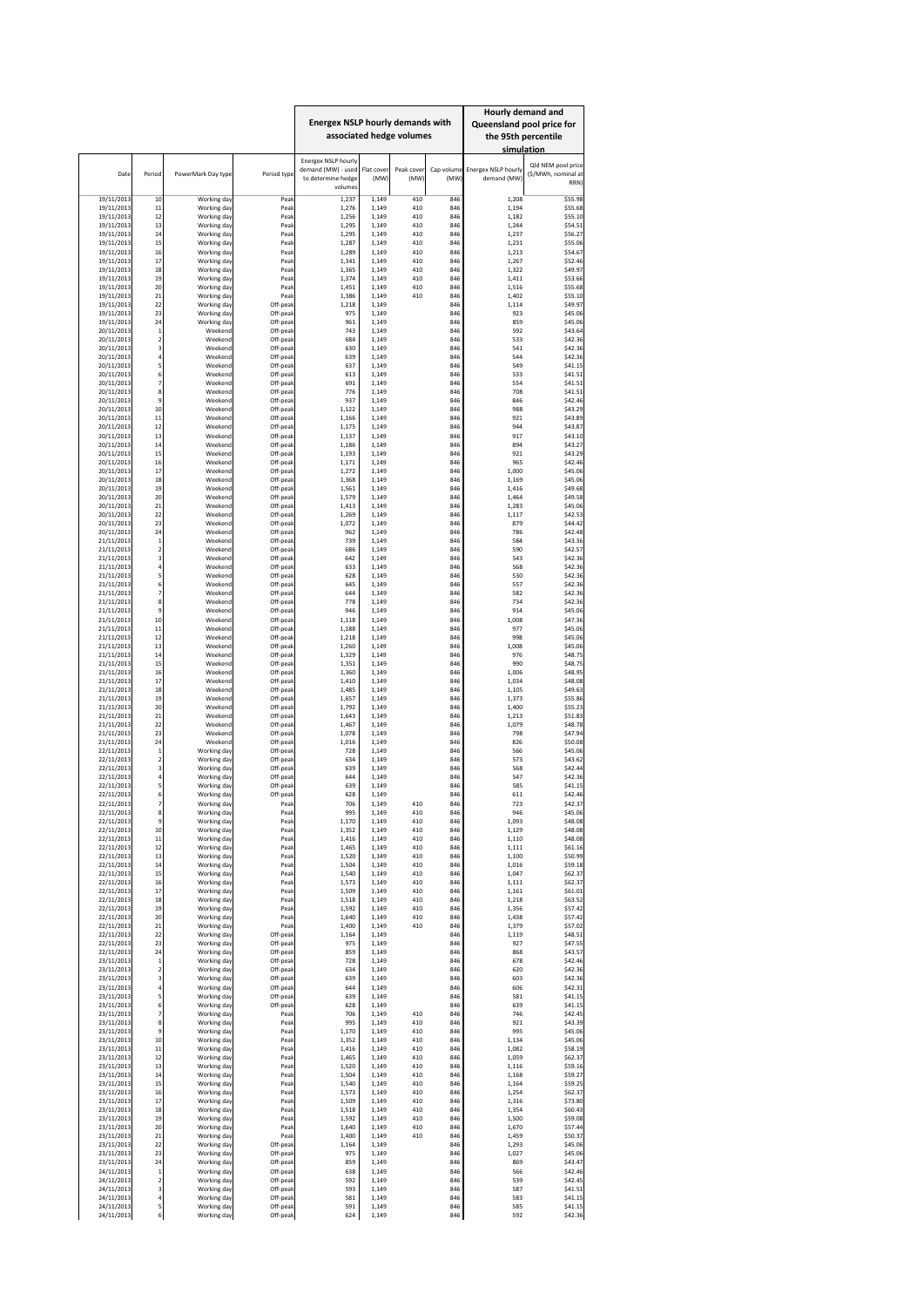|                          |                |                            |                 |                                          |                    |                          |                   | Hourly demand and                                |                     |  |
|--------------------------|----------------|----------------------------|-----------------|------------------------------------------|--------------------|--------------------------|-------------------|--------------------------------------------------|---------------------|--|
|                          |                |                            |                 | <b>Energex NSLP hourly demands with</b>  |                    | associated hedge volumes |                   | Queensland pool price for<br>the 95th percentile |                     |  |
|                          |                |                            |                 |                                          |                    |                          | simulation        |                                                  |                     |  |
|                          |                |                            |                 | Energex NSLP hourly                      |                    |                          |                   |                                                  | Qld NEM pool price  |  |
| Date                     | Period         | PowerMark Day type         | Period type     | demand (MW) - used<br>to determine hedge | Flat cover<br>(MW) | Peak cover<br>(MW)       | Cap volume<br>(MW | Energex NSLP hourly<br>demand (MW)               | (\$/MWh, nominal at |  |
|                          |                |                            |                 | volumes                                  |                    |                          |                   |                                                  | <b>RRN</b>          |  |
| 19/11/2013               | 10             | Working day                | Pea             | 1,237                                    | 1,149              | 410                      | 846               | 1,208                                            | \$55.98             |  |
| 19/11/2013               | 11             | Working day                | Peal            | 1,276                                    | 1,149              | 410                      | 846               | 1,194                                            | \$55.68             |  |
| 19/11/2013               | 12             | Working day                | Peal<br>Peal    | 1.256                                    | 1.149              | 410<br>410               | 846<br>846        | 1.182                                            | \$55.10             |  |
| 19/11/2013<br>19/11/2013 | 13<br>14       | Working day<br>Working day | Peal            | 1,295<br>1,295                           | 1,149<br>1,149     | 410                      | 846               | 1,244<br>1,237                                   | \$54.5<br>\$56.27   |  |
| 19/11/2013               | 15             | Working day                | Peal            | 1,287                                    | 1,149              | 410                      | 846               | 1,231                                            | \$55.06             |  |
| 19/11/2013               | 16             | Working day                | Peal            | 1.289                                    | 1.149              | 410                      | 846               | 1,213                                            | \$54.67             |  |
| 19/11/2013               | 17             | Working day                | Peak            | 1,341                                    | 1,149              | 410                      | 846               | 1,267                                            | \$52.46             |  |
| 19/11/2013               | 18             | Working day                | Peal            | 1,365                                    | 1,149              | 410                      | 846               | 1,322                                            | \$49.97             |  |
| 19/11/2013               | 19             | Working day                | Peak            | 1,374                                    | 1,149              | 410                      | 846               | 1,411                                            | \$53.66             |  |
| 19/11/2013               | 20             | Working day                | Peal            | 1.451                                    | 1.149              | 410                      | 846               | 1.516                                            | \$55.68             |  |
| 19/11/2013               | 21             | Working day                | Peal            | 1,386                                    | 1,149              | 410                      | 846               | 1,402                                            | \$55.10             |  |
| 19/11/2013               | 22             | Working day                | Off-peal        | 1,218                                    | 1,149              |                          | 846               | 1,114                                            | \$49.97             |  |
| 19/11/2013               | 23             | Working day                | Off-peal        | 975                                      | 1,149              |                          | 846               | 923                                              | \$45.06             |  |
| 19/11/2013               | 24             | Working day                | Off-peal        | 961                                      | 1,149              |                          | 846               | 859                                              | \$45.06             |  |
| 20/11/2013               | $\mathbf{1}$   | Weekend                    | Off-peal        | 743                                      | 1.149              |                          | 846               | 592                                              | \$43.64             |  |
| 20/11/2013               | $\mathbf 2$    | Weekend                    | Off-peal        | 684                                      | 1,149              |                          | 846               | 533                                              | \$42.36             |  |
| 20/11/2013               | 3              | Weekend                    | Off-peal        | 630                                      | 1,149              |                          | 846               | 541                                              | \$42.36             |  |
| 20/11/2013               | 4              | Weekend                    | Off-peak        | 639                                      | 1,149              |                          | 846               | 544                                              | \$42.36             |  |
| 20/11/2013               | 5              | Weekend                    | Off-peal        | 637                                      | 1.149              |                          | 846               | 549                                              | \$41.15             |  |
| 20/11/2013               | 6              | Weekend                    | Off-peal        | 613                                      | 1,149              |                          | 846               | 533                                              | \$41.53             |  |
| 20/11/2013               | $\overline{7}$ | Weekend                    | Off-peal        | 691                                      | 1,149              |                          | 846               | 554                                              | \$41.5              |  |
| 20/11/2013               | 8              | Weekend                    | Off-peal        | 776                                      | 1,149              |                          | 846               | 708                                              | \$41.5              |  |
| 20/11/2013               | 9              | Weekend                    | Off-peak        | 937                                      | 1.149              |                          | 846               | 846                                              | \$42.46             |  |
| 20/11/2013               | 10             | Weekend                    | Off-peak        | 1,122                                    | 1,149              |                          | 846               | 988                                              | \$43.29             |  |
| 20/11/2013               | 11             | Weekend                    | Off-peak        | 1,166                                    | 1,149              |                          | 846               | 921                                              | \$43.89             |  |
| 20/11/2013               | 12             | Weekend                    | Off-peak        | 1,175                                    | 1,149              |                          | 846               | 944                                              | \$43.87             |  |
| 20/11/2013               | 13             | Weekend                    | Off-peal        | 1.137                                    | 1.149              |                          | 846               | 917                                              | \$43.10             |  |
| 20/11/2013               | 14             | Weekend                    | Off-peal        | 1,186                                    | 1,149              |                          | 846               | 894                                              | \$43.27             |  |
| 20/11/2013               | 15             | Weekend                    | Off-peal        | 1,193                                    | 1,149              |                          | 846               | 921                                              | \$43.29             |  |
| 20/11/2013               | 16             | Weekend                    | Off-peal        | 1,171                                    | 1,149              |                          | 846               | 965                                              | \$42.46             |  |
| 20/11/2013               | 17             | Weekend                    | Off-peal        | 1.272                                    | 1.149              |                          | 846               | 1.000                                            | \$45.06             |  |
| 20/11/2013               | 18             | Weekend                    | Off-peal        | 1,368                                    | 1,149              |                          | 846               | 1,169                                            | \$45.06             |  |
| 20/11/2013               | 19             | Weekend                    | Off-peak        | 1,561                                    | 1,149              |                          | 846               | 1,416                                            | \$49.68             |  |
| 20/11/2013               | 20             | Weekend                    | Off-peal        | 1,579                                    | 1,149              |                          | 846               | 1,464                                            | \$49.58             |  |
| 20/11/2013               | 21             | Weekend                    | Off-peak        | 1,413                                    | 1,149              |                          | 846               | 1,283                                            | \$45.06             |  |
| 20/11/2013               | 22             | Weekend                    | Off-peal        | 1.269                                    | 1.149              |                          | 846               | 1.117                                            | \$42.53             |  |
| 20/11/2013               | 23             | Weekend                    | Off-peal        | 1,072                                    | 1,149              |                          | 846               | 879                                              | \$44.42             |  |
| 20/11/2013               | 24             | Weekend                    | Off-peal        | 962                                      | 1,149              |                          | 846               | 786                                              | \$42.48             |  |
| 21/11/2013               | $\mathbf{1}$   | Weekend                    | Off-peal        | 739                                      | 1,149              |                          | 846               | 584                                              | \$43.36             |  |
| 21/11/2013               | $\overline{2}$ | Weekend                    | Off-peal        | 686                                      | 1.149              |                          | 846               | 590                                              | \$42.57             |  |
| 21/11/2013               | 3              | Weekend                    | Off-peak        | 642                                      | 1,149              |                          | 846               | 543                                              | \$42.36             |  |
| 21/11/2013               | 4              | Weekend                    | Off-peak        | 633                                      | 1,149              |                          | 846               | 568                                              | \$42.36             |  |
| 21/11/2013               | 5              | Weekend                    | Off-peak        | 628                                      | 1,149              |                          | 846               | 530                                              | \$42.36             |  |
| 21/11/2013               | 6              | Weekend                    | Off-peak        | 645                                      | 1.149              |                          | 846               | 557                                              | \$42.36             |  |
| 21/11/2013               | $\overline{7}$ | Weekend                    | Off-peal        | 644                                      | 1,149              |                          | 846               | 582                                              | \$42.36             |  |
| 21/11/2013               | 8              | Weekend                    | Off-peal        | 778                                      | 1,149              |                          | 846               | 734                                              | \$42.36             |  |
| 21/11/2013               | 9              | Weekend                    | Off-peal        | 946                                      | 1,149              |                          | 846               | 914                                              | \$45.06             |  |
| 21/11/2013               | 10             | Weekend                    | Off-peal        | 1.118                                    | 1.149              |                          | 846               | 1.008                                            | \$47.36             |  |
| 21/11/2013               | 11             | Weekend                    | Off-peak        | 1,188                                    | 1,149              |                          | 846               | 977                                              | \$45.06             |  |
| 21/11/2013               | 12             | Weekend                    | Off-peak        | 1,218                                    | 1,149              |                          | 846               | 998                                              | \$45.06             |  |
| 21/11/2013               | 13             | Weekend                    | Off-peal        | 1,260                                    | 1,149              |                          | 846               | 1,008                                            | \$45.06             |  |
| 21/11/2013               | 14             | Weekend                    | Off-peal        | 1.329                                    | 1.149              |                          | 846               | 976                                              | \$48.75             |  |
| 21/11/2013               | 15             | Weekend                    | Off-peal        | 1,351                                    | 1,149              |                          | 846               | 990                                              | \$48.75             |  |
| 21/11/2013               | 16             | Weekend                    | Off-peal        | 1,360                                    | 1,149              |                          | 846               | 1,006                                            | \$48.9              |  |
| 21/11/2013               | 17             | Weekend                    | Off-peal        | 1,410                                    | 1,149              |                          | 846               | 1,034                                            | \$48.08             |  |
| 21/11/2013               | 18             | Weekend                    | Off-peal        | 1.485                                    | 1.149              |                          | 846               | 1,105                                            | \$49.63             |  |
| 21/11/2013               | 19             | Weekend                    | Off-peal        | 1.657                                    | 1.149              |                          | 846               | 1,373                                            | \$55.86             |  |
| 21/11/2013               | 20             | Weekend                    | Off-peak        | 1,792                                    | 1,149              |                          | 846               | 1,400                                            | \$55.23             |  |
| 21/11/2013               | 21             | Weekend                    | Off-peak        | 1,643                                    | 1,149              |                          | 846               | 1,213                                            | \$51.83             |  |
| 21/11/2013               | 22             | Weekend                    | Off-peak        | 1,467                                    | 1,149              |                          | 846               | 1,079                                            | \$48.78             |  |
| 21/11/2013               | 23             | Weekend                    | Off-peak        | 1.078                                    | 1.149              |                          | 846               | 798                                              | \$47.94             |  |
| 21/11/2013               | 24             | Weekend                    | Off-peal        | 1,016                                    | 1,149              |                          | 846               | 826                                              | \$50.08             |  |
| 22/11/2013               | $\mathbf{1}$   | Working day                | Off-peal        | 728                                      | 1,149              |                          | 846               | 566                                              | \$45.06             |  |
| 22/11/2013               | $\overline{2}$ | Working day                | Off-peal        | 634                                      | 1,149              |                          | 846               | 573                                              | \$43.62             |  |
| 22/11/2013               | 3              | Working day                | Off-peal        | 639                                      | 1.149              |                          | 846               | 568                                              | \$42.44             |  |
| 22/11/2013               | 4              | Working day                | Off-peal        | 644                                      | 1,149              |                          | 846               | 547                                              | \$42.36             |  |
| 22/11/2013               | 5              | Working day                | Off-peak        | 639                                      | 1,149              |                          | 846               | 585                                              | \$41.15             |  |
| 22/11/2013<br>22/11/2013 | 6              | Working day<br>Working day | Off-peak<br>Pea | 628<br>706                               | 1,149<br>1.149     | 410                      | 846<br>846        | 611<br>723                                       | \$42.46<br>S42.3.   |  |
| 22/11/2013               | 8<br>9         | Working day                | Peal            | 995                                      | 1,149              | 410                      | 846               | 946                                              | \$45.06             |  |
| 22/11/2013               | 10             | Working day                | Peal            | 1,170                                    | 1,149              | 410                      | 846               | 1,093                                            | \$48.08             |  |
| 22/11/2013               |                | Working day                | Peak            | 1,352                                    | 1,149              | 410                      | 846               | 1,129                                            | \$48.08             |  |
| 22/11/2013               | 11             | Working day                | Peak            | 1,416                                    | 1,149              | 410                      | 846               | 1,110                                            | \$48.08             |  |
| 22/11/2013               | 12             | Working day                | Peak            | 1,465                                    | 1,149              | 410                      | 846               | 1,111                                            | \$61.16             |  |
| 22/11/2013               | 13             | Working day                | Peak            | 1,520                                    | 1,149              | 410                      | 846               | 1,100                                            | \$50.99             |  |
| 22/11/2013               | 14             | Working day                | Peak            | 1,504                                    | 1,149              | 410                      | 846               | 1,016                                            | \$59.18             |  |
| 22/11/2013               | 15             | Working day                | Peak            | 1,540                                    | 1.149              | 410                      | 846               | 1,047                                            | \$62.37             |  |
| 22/11/2013               | 16             | Working day                | Peak            | 1,573                                    | 1,149              | 410                      | 846               | 1,111                                            | \$62.37             |  |
| 22/11/2013               | 17             | Working day                | Peak            | 1,509                                    | 1,149              | 410                      | 846               | 1,161                                            | \$61.01             |  |
| 22/11/2013               | 18             | Working day                | Peak            | 1,518                                    | 1,149              | 410                      | 846               | 1,218                                            | \$63.52             |  |
| 22/11/2013               | 19             | Working day                | Peal            | 1,592                                    | 1,149              | 410                      | 846               | 1,356                                            | \$57.42             |  |
| 22/11/2013               | 20             | Working day                | Peal            | 1.640                                    | 1.149              | 410                      | 846               | 1,438                                            | \$57.42             |  |
| 22/11/2013               | 21             | Working day                | Peak            | 1,400                                    | 1,149              | 410                      | 846               | 1,379                                            | \$57.02             |  |
| 22/11/2013               | 22             | Working day                | Off-peak        | 1,164                                    | 1,149              |                          | 846               | 1,119                                            | \$48.51             |  |
| 22/11/2013               | 23             | Working day                | Off-peak        | 975                                      | 1,149              |                          | 846               | 927                                              | \$47.55             |  |
| 22/11/2013               | 24             | Working day                | Off-peal        | 859                                      | 1.149              |                          | 846               | 868                                              | \$43.57             |  |
| 23/11/2013               | $\mathbf{1}$   | Working day                | Off-peal        | 728                                      | 1,149              |                          | 846               | 678                                              | \$42.46             |  |
| 23/11/2013               | $\mathbf 2$    | Working day                | Off-peal        | 634                                      | 1,149              |                          | 846               | 620                                              | \$42.36             |  |
| 23/11/2013               | 3              | Working day                | Off-peak        | 639                                      | 1,149              |                          | 846               | 603                                              | \$42.36             |  |
| 23/11/2013               | $\overline{a}$ | Working day                | Off-peak        | 644                                      | 1,149              |                          | 846               | 606                                              | \$42.31             |  |
| 23/11/2013               | 5              | Working day                | Off-peak        | 639                                      | 1,149              |                          | 846               | 581                                              | \$41.15             |  |
| 23/11/2013               | 6              | Working day                | Off-peak        | 628                                      | 1,149              | 410                      | 846               | 639                                              | \$41.15             |  |
| 23/11/2013               | $\overline{7}$ | Working day                | Peak            | 706                                      | 1,149              |                          | 846               | 746                                              | \$42.45             |  |
| 23/11/2013               | 8              | Working day                | Peak            | 995                                      | 1.149              | 410                      | 846               | 921                                              | \$43.39             |  |
| 23/11/2013               | 9              | Working day                | Peak            | 1,170                                    | 1,149              | 410                      | 846               | 995                                              | \$45.06             |  |
| 23/11/2013               | 10             | Working day                | Peak            | 1,352                                    | 1,149              | 410                      | 846               | 1,134                                            | \$45.06             |  |
| 23/11/2013               | 11             | Working day                | Peal            | 1,416                                    | 1,149              | 410                      | 846               | 1,082                                            | \$58.19             |  |
| 23/11/2013               | 12             | Working day                | Peal            | 1,465                                    | 1.149              | 410                      | 846               | 1,059                                            | \$62.37             |  |
| 23/11/2013               | 13             | Working day                | Peak            | 1,520                                    | 1,149              | 410                      | 846               | 1,116                                            | \$59.16             |  |
| 23/11/2013               | 14             | Working day                | Peak            | 1,504                                    | 1,149              | 410                      | 846               | 1,168                                            | \$59.27             |  |
| 23/11/2013               | 15             | Working day                | Peal            | 1,540                                    | 1,149              | 410                      | 846               | 1,164                                            | \$59.25             |  |
| 23/11/2013               | 16             | Working day                | Peak            | 1,573                                    | 1,149              | 410                      | 846               | 1,254                                            | \$62.37             |  |
| 23/11/2013               | 17             | Working day                | Peal            | 1.509                                    | 1.149              | 410                      | 846               | 1,316                                            | \$73.80             |  |
| 23/11/2013               | 18             | Working day                | Peal            | 1,518                                    | 1,149              | 410                      | 846               | 1,354                                            | \$60.43             |  |
| 23/11/2013               | 19             | Working day                | Peak            | 1,592                                    | 1,149              | 410                      | 846               | 1,500                                            | \$59.08             |  |
| 23/11/2013               | 20             | Working day                | Peal            | 1,640                                    | 1,149              | 410                      | 846               | 1,670                                            | \$57.44             |  |
| 23/11/2013               | 21             | Working day                | Peal            | 1.400                                    | 1.149              | 410                      | 846               | 1,459                                            | \$50.37             |  |
| 23/11/2013               | 22             | Working day                | Off-peak        | 1,164                                    | 1,149              |                          | 846               | 1,293                                            | \$45.06             |  |
| 23/11/2013               | 23             | Working day                | Off-peak        | 975                                      | 1,149              |                          | 846               | 1,027                                            | \$45.06             |  |
| 23/11/2013               | 24             | Working day                | Off-peak        | 859                                      | 1,149              |                          | 846               | 869                                              | \$43.47             |  |
| 24/11/2013               | $\mathbf{1}$   | Working day                | Off-peak        | 638                                      | 1.149              |                          | 846               | 566                                              | \$42.46             |  |
| 24/11/2013               | $\mathbf 2$    | Working day                | Off-peak        | 592                                      | 1,149              |                          | 846               | 539                                              | \$42.45             |  |
| 24/11/2013               | 3              | Working day                | Off-peak        | 593                                      | 1,149              |                          | 846               | 587                                              | \$41.51             |  |
| 24/11/2013               | 4              | Working day                | Off-peak        | 581                                      | 1,149              |                          | 846               | 583                                              | \$41.15             |  |
| 24/11/2013               | 5              | Working day                | Off-peak        | 591                                      | 1,149              |                          | 846               | 585                                              | \$41.15             |  |
| 24/11/2013               | 6              | Working day                | Off-peak        | 624                                      | 1,149              |                          | 846               | 592                                              | \$42.36             |  |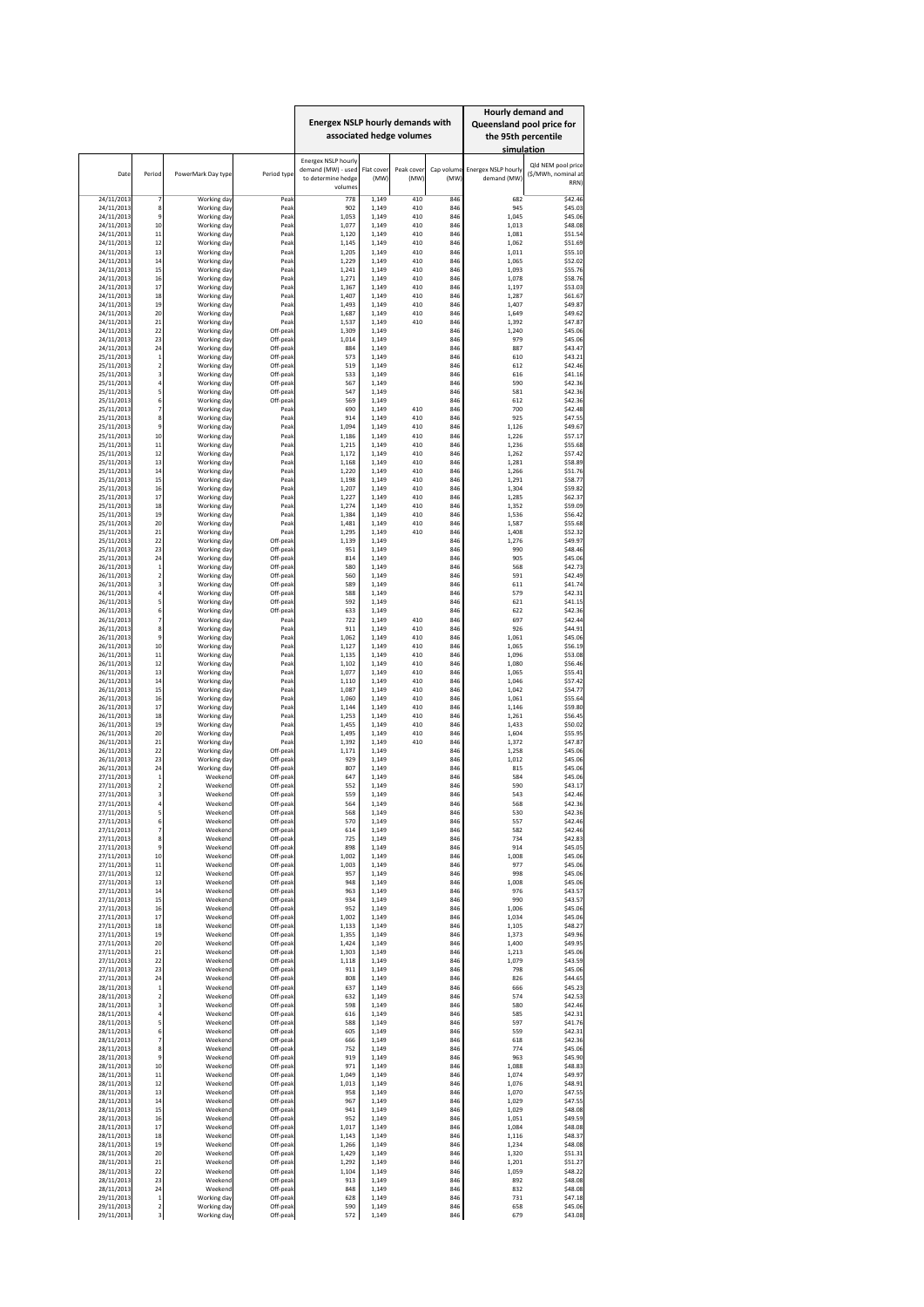| associated hedge volumes<br>the 95th percentile<br>simulation<br><b>Energex NSLP hourly</b><br>Qld NEM pool price<br>Energex NSLP hourly<br>demand (MW) - used<br>Flat cover<br>Peak cover<br>Cap volume<br>Date<br>Period<br>PowerMark Day type<br>Period type<br>(\$/MWh, nominal at<br>to determine hedge<br>(MW)<br>(MW)<br>demand (MW)<br>(MW<br><b>RRN1</b><br>volumes<br>24/11/2013<br>Working day<br>Pea<br>778<br>1,149<br>410<br>846<br>682<br>\$42.46<br>945<br>846<br>\$45.03<br>24/11/2013<br>8<br>Working day<br>Peak<br>902<br>1,149<br>410<br>1,053<br>846<br>1,045<br>24/11/2013<br>Working day<br>Peal<br>1.149<br>410<br>\$45.06<br>9<br>24/11/2013<br>10<br>Working day<br>Peal<br>1,077<br>1,149<br>410<br>846<br>1,013<br>\$48.08<br>24/11/2013<br>11<br>Working day<br>1,120<br>1,149<br>410<br>846<br>1,081<br>\$51.54<br>Peal<br>846<br>24/11/2013<br>12<br>Working day<br>Peal<br>1,145<br>1,149<br>410<br>1,062<br>\$51.69<br>24/11/2013<br>13<br>Working day<br>Peal<br>1.205<br>1.149<br>410<br>846<br>1.011<br>\$55.10<br>24/11/2013<br>14<br>Working day<br>Peak<br>1,229<br>1,149<br>410<br>846<br>1,065<br>\$52.02<br>24/11/2013<br>15<br>Working day<br>Peak<br>1,241<br>1,149<br>410<br>846<br>1,093<br>\$55.76<br>16<br>846<br>24/11/2013<br>Working day<br>Peak<br>1,271<br>1,149<br>410<br>1,078<br>\$58.76<br>17<br>410<br>846<br>24/11/2013<br>Working day<br>Peal<br>1.367<br>1.197<br>\$53.03<br>1.149<br>24/11/2013<br>18<br>Working day<br>Peal<br>1,407<br>1,149<br>410<br>846<br>1,287<br>\$61.67<br>19<br>24/11/2013<br>Working day<br>Peal<br>1,493<br>1,149<br>410<br>846<br>1,407<br>\$49.87<br>24/11/2013<br>20<br>Working day<br>Peak<br>1,687<br>1,149<br>410<br>846<br>1,649<br>\$49.62<br>$\overline{21}$<br>846<br>24/11/2013<br>Working day<br>Peal<br>1,537<br>1,149<br>410<br>1,392<br>\$47.87<br>22<br>24/11/2013<br>Off-peak<br>1.309<br>1.149<br>846<br>1.240<br>\$45.06<br>Working day<br>23<br>24/11/2013<br>Working day<br>Off-peak<br>1,014<br>1,149<br>846<br>979<br>\$45.06<br>24/11/2013<br>24<br>Working day<br>Off-peak<br>884<br>1,149<br>846<br>887<br>\$43.47<br>846<br>\$43.21<br>25/11/2013<br>Working day<br>Off-peak<br>573<br>1,149<br>610<br>1<br>25/11/2013<br>$\overline{2}$<br>Off-peak<br>519<br>846<br>612<br>\$42.46<br>Working day<br>1.149<br>25/11/2013<br>3<br>Working day<br>Off-peak<br>533<br>1,149<br>846<br>616<br>\$41.16<br>25/11/2013<br>Working day<br>Off-peak<br>567<br>1,149<br>846<br>590<br>\$42.36<br>4<br>846<br>581<br>25/11/2013<br>5<br>Working day<br>Off-peal<br>547<br>1,149<br>\$42.36<br>\$42.36<br>25/11/2013<br>6<br>Working day<br>Off-peak<br>569<br>846<br>612<br>1.149<br>25/11/2013<br>7<br>Working day<br>Peak<br>690<br>1,149<br>410<br>846<br>700<br>\$42.48<br>25/11/2013<br>8<br>Working day<br>914<br>1,149<br>410<br>846<br>925<br>\$47.55<br>Peal<br>9<br>1,094<br>846<br>\$49.67<br>25/11/2013<br>Working day<br>Peak<br>1,149<br>410<br>1,126<br>10<br>410<br>846<br>25/11/2013<br>Working day<br>1.186<br>1.226<br>\$57.17<br>Peal<br>1.149<br>$\overline{11}$<br>25/11/2013<br>Working day<br>Peal<br>1,215<br>1,149<br>410<br>846<br>1,236<br>\$55.68<br>25/11/2013<br>12<br>Working day<br>1,172<br>1,149<br>410<br>846<br>1,262<br>\$57.42<br>Peal<br>13<br>846<br>25/11/2013<br>Working day<br>Peal<br>1,168<br>1,149<br>410<br>1,281<br>\$58.89<br>25/11/2013<br>14<br>Peal<br>1.220<br>410<br>846<br>1.266<br>\$51.76<br>Working day<br>1.149<br>15<br>25/11/2013<br>Working day<br>Peak<br>1,198<br>1,149<br>410<br>846<br>1,291<br>\$58.77<br>25/11/2013<br>16<br>Working day<br>1,207<br>1,149<br>846<br>1,304<br>\$59.82<br>Peal<br>410<br>25/11/2013<br>17<br>Working day<br>1,227<br>1,149<br>410<br>846<br>1,285<br>\$62.37<br>Peal<br>18<br>846<br>\$59.09<br>25/11/2013<br>Working day<br>Peak<br>1,274<br>1,149<br>410<br>1,352<br>19<br>25/11/2013<br>Peal<br>1.384<br>410<br>846<br>1.536<br>\$56.42<br>Working day<br>1.149<br>25/11/2013<br>20<br>Working day<br>Peal<br>1.481<br>1,149<br>410<br>846<br>1,587<br>\$55.68<br>25/11/2013<br>21<br>Working day<br>1,295<br>1,149<br>410<br>846<br>1,408<br>\$52.32<br>Peal<br>22<br>Off-peak<br>846<br>25/11/2013<br>Working day<br>1,139<br>1,149<br>1,276<br>\$49.97<br>23<br>\$48.46<br>25/11/2013<br>Working day<br>Off-peak<br>951<br>1.149<br>846<br>990<br>25/11/2013<br>24<br>Working day<br>Off-peak<br>814<br>1,149<br>846<br>905<br>\$45.06<br>26/11/2013<br>Working day<br>Off-peak<br>580<br>1,149<br>846<br>568<br>\$42.73<br>$\mathbf{1}$<br>846<br>\$42.49<br>26/11/2013<br>2<br>Working day<br>Off-peak<br>560<br>1,149<br>591<br>26/11/2013<br>3<br>Working day<br>Off-peak<br>589<br>846<br>611<br>\$41.74<br>1.149<br>26/11/2013<br>4<br>Working day<br>Off-peak<br>588<br>1,149<br>846<br>579<br>\$42.31<br>26/11/2013<br>5<br>Working day<br>Off-peak<br>592<br>1,149<br>846<br>621<br>\$41.15<br>6<br>846<br>26/11/2013<br>Working day<br>Off-peak<br>633<br>1,149<br>622<br>\$42.36<br>722<br>410<br>697<br>26/11/2013<br>7<br>Working day<br>Peal<br>846<br>\$42.44<br>1.149<br>26/11/2013<br>8<br>Working day<br>Peak<br>911<br>1,149<br>410<br>846<br>926<br>\$44.91<br>26/11/2013<br>9<br>Working day<br>1,062<br>1,149<br>410<br>846<br>1,061<br>\$45.06<br>Peal<br>10<br>846<br>\$56.19<br>26/11/2013<br>Working day<br>Peak<br>1,127<br>1,149<br>410<br>1,065<br>846<br>26/11/2013<br>11<br>Working day<br>1.135<br>410<br>1.096<br>\$53.08<br>Peak<br>1.149<br>26/11/2013<br>12<br>Working day<br>Peal<br>1,102<br>1,149<br>410<br>846<br>1,080<br>\$56.46<br>26/11/2013<br>13<br>Working day<br>1,077<br>1,149<br>410<br>846<br>1,065<br>\$55.41<br>Peal<br>846<br>26/11/2013<br>14<br>Working day<br>Peal<br>1,110<br>1,149<br>410<br>1,046<br>\$57.42<br>26/11/2013<br>15<br>Peal<br>1.087<br>410<br>846<br>1,042<br>\$54.77<br>Working day<br>1.149<br>846<br>26/11/2013<br>16<br>Working day<br>Peal<br>1.060<br>410<br>1.061<br>\$55.64<br>1.149<br>26/11/2013<br>17<br>Working day<br>Peak<br>1,144<br>1,149<br>410<br>846<br>1,146<br>\$59.80<br>26/11/2013<br>18<br>Working day<br>1,253<br>1,149<br>410<br>846<br>1,261<br>\$56.45<br>Peak<br>19<br>846<br>\$50.02<br>26/11/2013<br>Working day<br>Peak<br>1,455<br>1,149<br>410<br>1,433<br>20<br>26/11/2013<br>Peal<br>1.495<br>410<br>846<br>1.604<br>\$55.95<br>Working day<br>1.149<br>$\overline{21}$<br>26/11/2013<br>Working day<br>Peak<br>1,392<br>1,149<br>410<br>846<br>1,372<br>\$47.87<br>26/11/2013<br>22<br>Off-peak<br>1,171<br>1,149<br>846<br>1,258<br>\$45.06<br>Working day<br>23<br>26/11/2013<br>Working day<br>Off-peal<br>929<br>1,149<br>846<br>1,012<br>\$45.06<br>$\overline{24}$<br>26/11/2013<br>Working day<br>Off-peak<br>807<br>1.149<br>846<br>815<br>\$45.06<br>27/11/2013<br>Weekend<br>Off-peak<br>647<br>1,149<br>846<br>584<br>\$45.06<br>$\mathbf{1}$<br>27/11/2013<br>Weekend<br>Off-peak<br>552<br>1,149<br>846<br>590<br>\$43.17<br>$\overline{\mathbf{c}}$<br>846<br>\$42.46<br>27/11/2013<br>3<br>Weekend<br>Off-peak<br>559<br>1,149<br>543<br>27/11/201<br>Weekend<br>Off-pea<br>564<br>1,149<br>846<br>568<br>S42.36<br>27/11/2013<br>5<br>Weekend<br>Off-peak<br>568<br>1,149<br>846<br>530<br>\$42.36<br>27/11/2013<br>6<br>Weekend<br>Off-peak<br>570<br>1,149<br>846<br>557<br>\$42.46<br>27/11/2013<br>\$42.46<br>$\overline{7}$<br>Weekend<br>Off-peak<br>614<br>1,149<br>846<br>582<br>27/11/2013<br>$\bf8$<br>Weekend<br>Off-peak<br>725<br>846<br>734<br>\$42.83<br>1,149<br>27/11/2013<br>9<br>Weekend<br>Off-peak<br>898<br>1,149<br>846<br>914<br>\$45.05<br>27/11/2013<br>10<br>Weekend<br>Off-peak<br>1,002<br>1,149<br>846<br>1,008<br>\$45.06<br>11<br>\$45.06<br>27/11/2013<br>Weekend<br>Off-peak<br>1,003<br>1,149<br>846<br>977<br>12<br>Weekend<br>Off-peak<br>846<br>998<br>\$45.06<br>27/11/2013<br>957<br>1.149<br>27/11/2013<br>13<br>Weekend<br>Off-peak<br>948<br>1,149<br>846<br>1,008<br>\$45.06<br>27/11/2013<br>14<br>Weekend<br>Off-peak<br>963<br>1,149<br>846<br>976<br>\$43.57<br>27/11/2013<br>15<br>Off-peak<br>934<br>1,149<br>846<br>990<br>\$43.57<br>Weekend<br>\$45.06<br>27/11/2013<br>16<br>Weekend<br>Off-peak<br>952<br>1,149<br>846<br>1,006<br>17<br>Off-peak<br>1,002<br>\$45.06<br>27/11/2013<br>Weekend<br>1,149<br>846<br>1,034<br>27/11/2013<br>18<br>Weekend<br>Off-peak<br>1,133<br>1,149<br>846<br>1,105<br>\$48.27<br>27/11/2013<br>19<br>Weekend<br>Off-peak<br>846<br>\$49.96<br>1,355<br>1,149<br>1,373<br>\$49.95<br>27/11/2013<br>20<br>Weekend<br>Off-peak<br>1,424<br>1,149<br>846<br>1,400<br>27/11/2013<br>21<br>Off-peak<br>846<br>\$45.06<br>Weekend<br>1,303<br>1.149<br>1,213<br>27/11/2013<br>22<br>Weekend<br>Off-peak<br>1,118<br>1,149<br>846<br>1,079<br>\$43.59<br>27/11/2013<br>23<br>Weekend<br>Off-peak<br>1,149<br>846<br>798<br>\$45.06<br>911<br>24<br>27/11/2013<br>Weekend<br>Off-peak<br>808<br>1,149<br>846<br>826<br>\$44.65<br>28/11/2013<br>Weekend<br>Off-peak<br>846<br>\$45.23<br>637<br>1,149<br>666<br>1<br>28/11/2013<br>$\mathbf 2$<br>Weekend<br>Off-peak<br>632<br>1,149<br>846<br>574<br>\$42.53<br>28/11/2013<br>3<br>Weekend<br>Off-peak<br>1,149<br>846<br>580<br>\$42.46<br>598<br>\$42.31<br>28/11/2013<br>4<br>Weekend<br>Off-peak<br>616<br>1,149<br>846<br>585<br>5<br>Weekend<br>Off-peak<br>846<br>597<br>\$41.76<br>28/11/2013<br>588<br>1.149<br>28/11/2013<br>6<br>Weekend<br>Off-peak<br>605<br>1,149<br>846<br>559<br>\$42.31<br>28/11/2013<br>Off-peak<br>1,149<br>846<br>618<br>\$42.36<br>7<br>Weekend<br>666<br>\$45.06<br>28/11/2013<br>8<br>Weekend<br>Off-peak<br>752<br>1,149<br>846<br>774<br>9<br>Off-peak<br>919<br>\$45.90<br>28/11/2013<br>Weekend<br>1,149<br>846<br>963<br>28/11/2013<br>10<br>Weekend<br>Off-peak<br>971<br>1,149<br>846<br>1,088<br>\$48.83<br>28/11/2013<br>11<br>Weekend<br>Off-peak<br>1,049<br>1,149<br>846<br>1,074<br>\$49.97<br>\$48.91<br>28/11/2013<br>12<br>Weekend<br>Off-peak<br>1,013<br>1,149<br>846<br>1,076<br>Off-peak<br>\$47.55<br>28/11/2013<br>13<br>Weekend<br>958<br>1,149<br>846<br>1,070<br>28/11/2013<br>Off-peak<br>846<br>\$47.55<br>14<br>Weekend<br>967<br>1.149<br>1,029<br>28/11/2013<br>15<br>Weekend<br>Off-peak<br>941<br>1,149<br>846<br>1,029<br>\$48.08<br>28/11/2013<br>16<br>Weekend<br>Off-peak<br>952<br>846<br>1,051<br>\$49.59<br>1,149<br>28/11/2013<br>17<br>Weekend<br>Off-peak<br>1,017<br>1,149<br>846<br>1,084<br>\$48.08<br>28/11/2013<br>18<br>Weekend<br>Off-peak<br>846<br>\$48.37<br>1,143<br>1,149<br>1,116<br>28/11/2013<br>19<br>Weekend<br>Off-peak<br>1,266<br>1,149<br>846<br>1,234<br>\$48.08<br>28/11/2013<br>20<br>Weekend<br>Off-peak<br>1,429<br>846<br>1,320<br>\$51.31<br>1,149<br>21<br>28/11/2013<br>Weekend<br>Off-peak<br>1,292<br>1,149<br>846<br>1,201<br>\$51.27<br>22<br>Weekend<br>Off-peak<br>846<br>\$48.22<br>28/11/2013<br>1,104<br>1.149<br>1,059<br>28/11/2013<br>23<br>Weekend<br>Off-peak<br>913<br>1,149<br>846<br>892<br>\$48.08<br>28/11/2013<br>24<br>Weekend<br>Off-peak<br>846<br>832<br>\$48.08<br>848<br>1,149<br>\$47.18<br>29/11/2013<br>Working day<br>Off-peak<br>628<br>1,149<br>846<br>731<br>1<br>Off-peak<br>\$45.06<br>29/11/2013<br>$\overline{2}$<br>Working day<br>590<br>1,149<br>846<br>658<br>29/11/2013<br>Working day<br>Off-peak<br>572<br>1,149<br>846<br>679<br>\$43.08 |   |  |                                         |  |  |  | <b>Hourly demand and</b><br>Queensland pool price for |  |  |  |
|----------------------------------------------------------------------------------------------------------------------------------------------------------------------------------------------------------------------------------------------------------------------------------------------------------------------------------------------------------------------------------------------------------------------------------------------------------------------------------------------------------------------------------------------------------------------------------------------------------------------------------------------------------------------------------------------------------------------------------------------------------------------------------------------------------------------------------------------------------------------------------------------------------------------------------------------------------------------------------------------------------------------------------------------------------------------------------------------------------------------------------------------------------------------------------------------------------------------------------------------------------------------------------------------------------------------------------------------------------------------------------------------------------------------------------------------------------------------------------------------------------------------------------------------------------------------------------------------------------------------------------------------------------------------------------------------------------------------------------------------------------------------------------------------------------------------------------------------------------------------------------------------------------------------------------------------------------------------------------------------------------------------------------------------------------------------------------------------------------------------------------------------------------------------------------------------------------------------------------------------------------------------------------------------------------------------------------------------------------------------------------------------------------------------------------------------------------------------------------------------------------------------------------------------------------------------------------------------------------------------------------------------------------------------------------------------------------------------------------------------------------------------------------------------------------------------------------------------------------------------------------------------------------------------------------------------------------------------------------------------------------------------------------------------------------------------------------------------------------------------------------------------------------------------------------------------------------------------------------------------------------------------------------------------------------------------------------------------------------------------------------------------------------------------------------------------------------------------------------------------------------------------------------------------------------------------------------------------------------------------------------------------------------------------------------------------------------------------------------------------------------------------------------------------------------------------------------------------------------------------------------------------------------------------------------------------------------------------------------------------------------------------------------------------------------------------------------------------------------------------------------------------------------------------------------------------------------------------------------------------------------------------------------------------------------------------------------------------------------------------------------------------------------------------------------------------------------------------------------------------------------------------------------------------------------------------------------------------------------------------------------------------------------------------------------------------------------------------------------------------------------------------------------------------------------------------------------------------------------------------------------------------------------------------------------------------------------------------------------------------------------------------------------------------------------------------------------------------------------------------------------------------------------------------------------------------------------------------------------------------------------------------------------------------------------------------------------------------------------------------------------------------------------------------------------------------------------------------------------------------------------------------------------------------------------------------------------------------------------------------------------------------------------------------------------------------------------------------------------------------------------------------------------------------------------------------------------------------------------------------------------------------------------------------------------------------------------------------------------------------------------------------------------------------------------------------------------------------------------------------------------------------------------------------------------------------------------------------------------------------------------------------------------------------------------------------------------------------------------------------------------------------------------------------------------------------------------------------------------------------------------------------------------------------------------------------------------------------------------------------------------------------------------------------------------------------------------------------------------------------------------------------------------------------------------------------------------------------------------------------------------------------------------------------------------------------------------------------------------------------------------------------------------------------------------------------------------------------------------------------------------------------------------------------------------------------------------------------------------------------------------------------------------------------------------------------------------------------------------------------------------------------------------------------------------------------------------------------------------------------------------------------------------------------------------------------------------------------------------------------------------------------------------------------------------------------------------------------------------------------------------------------------------------------------------------------------------------------------------------------------------------------------------------------------------------------------------------------------------------------------------------------------------------------------------------------------------------------------------------------------------------------------------------------------------------------------------------------------------------------------------------------------------------------------------------------------------------------------------------------------------------------------------------------------------------------------------------------------------------------------------------------------------------------------------------------------------------------------------------------------------------------------------------------------------------------------------------------------------------------------------------------------------------------------------------------------------------------------------------------------------------------------------------------------------------------------------------------------------------------------------------------------------------------------------------------------------------------------------------------------------------------------------------------------------------------------------------------------------------------------------------------------------------------------------------------------------------------------------------------------------------------------------------------------------------------------------------------------------------------------------------------------------------------------------------------------------------------------------------------------------------------------------------------------------------------------------------------------------------------------------------------------------------------------------------------------------------------------------------------------------------------------------------------------------------------------------------------------------------------------------------------------------------------------------------------------------------------------------------------------------------------------------------------------------------------------------------------------------------------------------------------------------------------------------------------------------------------------------------------------------------------------------------------------------------------------------------------------------------------------------------------------------------------------------------------------------------------------------------------------------------------------------------------------------------------------------------------------------------------------------------------------------------------------------------------------------------------------------------------------------------------------------------------------------------------------------------------------------------------------------------------------------------------------------------------------------------------------------------------------------------------------------------------------------------------------------------------------------------------------------------------------------------------------------------------------------------------------------------------------------------------|---|--|-----------------------------------------|--|--|--|-------------------------------------------------------|--|--|--|
|                                                                                                                                                                                                                                                                                                                                                                                                                                                                                                                                                                                                                                                                                                                                                                                                                                                                                                                                                                                                                                                                                                                                                                                                                                                                                                                                                                                                                                                                                                                                                                                                                                                                                                                                                                                                                                                                                                                                                                                                                                                                                                                                                                                                                                                                                                                                                                                                                                                                                                                                                                                                                                                                                                                                                                                                                                                                                                                                                                                                                                                                                                                                                                                                                                                                                                                                                                                                                                                                                                                                                                                                                                                                                                                                                                                                                                                                                                                                                                                                                                                                                                                                                                                                                                                                                                                                                                                                                                                                                                                                                                                                                                                                                                                                                                                                                                                                                                                                                                                                                                                                                                                                                                                                                                                                                                                                                                                                                                                                                                                                                                                                                                                                                                                                                                                                                                                                                                                                                                                                                                                                                                                                                                                                                                                                                                                                                                                                                                                                                                                                                                                                                                                                                                                                                                                                                                                                                                                                                                                                                                                                                                                                                                                                                                                                                                                                                                                                                                                                                                                                                                                                                                                                                                                                                                                                                                                                                                                                                                                                                                                                                                                                                                                                                                                                                                                                                                                                                                                                                                                                                                                                                                                                                                                                                                                                                                                                                                                                                                                                                                                                                                                                                                                                                                                                                                                                                                                                                                                                                                                                                                                                                                                                                                                                                                                                                                                                                                                                                                                                                                                                                                                                                                                                                                                                                                                                                                                                                                                                                                                                                                                                                                                                                                                                                                                                                                                                                                                                                                                                                                                                                                                                                                                                                                                                                                                                                                                              |   |  | <b>Energex NSLP hourly demands with</b> |  |  |  |                                                       |  |  |  |
|                                                                                                                                                                                                                                                                                                                                                                                                                                                                                                                                                                                                                                                                                                                                                                                                                                                                                                                                                                                                                                                                                                                                                                                                                                                                                                                                                                                                                                                                                                                                                                                                                                                                                                                                                                                                                                                                                                                                                                                                                                                                                                                                                                                                                                                                                                                                                                                                                                                                                                                                                                                                                                                                                                                                                                                                                                                                                                                                                                                                                                                                                                                                                                                                                                                                                                                                                                                                                                                                                                                                                                                                                                                                                                                                                                                                                                                                                                                                                                                                                                                                                                                                                                                                                                                                                                                                                                                                                                                                                                                                                                                                                                                                                                                                                                                                                                                                                                                                                                                                                                                                                                                                                                                                                                                                                                                                                                                                                                                                                                                                                                                                                                                                                                                                                                                                                                                                                                                                                                                                                                                                                                                                                                                                                                                                                                                                                                                                                                                                                                                                                                                                                                                                                                                                                                                                                                                                                                                                                                                                                                                                                                                                                                                                                                                                                                                                                                                                                                                                                                                                                                                                                                                                                                                                                                                                                                                                                                                                                                                                                                                                                                                                                                                                                                                                                                                                                                                                                                                                                                                                                                                                                                                                                                                                                                                                                                                                                                                                                                                                                                                                                                                                                                                                                                                                                                                                                                                                                                                                                                                                                                                                                                                                                                                                                                                                                                                                                                                                                                                                                                                                                                                                                                                                                                                                                                                                                                                                                                                                                                                                                                                                                                                                                                                                                                                                                                                                                                                                                                                                                                                                                                                                                                                                                                                                                                                                                                                              |   |  |                                         |  |  |  |                                                       |  |  |  |
|                                                                                                                                                                                                                                                                                                                                                                                                                                                                                                                                                                                                                                                                                                                                                                                                                                                                                                                                                                                                                                                                                                                                                                                                                                                                                                                                                                                                                                                                                                                                                                                                                                                                                                                                                                                                                                                                                                                                                                                                                                                                                                                                                                                                                                                                                                                                                                                                                                                                                                                                                                                                                                                                                                                                                                                                                                                                                                                                                                                                                                                                                                                                                                                                                                                                                                                                                                                                                                                                                                                                                                                                                                                                                                                                                                                                                                                                                                                                                                                                                                                                                                                                                                                                                                                                                                                                                                                                                                                                                                                                                                                                                                                                                                                                                                                                                                                                                                                                                                                                                                                                                                                                                                                                                                                                                                                                                                                                                                                                                                                                                                                                                                                                                                                                                                                                                                                                                                                                                                                                                                                                                                                                                                                                                                                                                                                                                                                                                                                                                                                                                                                                                                                                                                                                                                                                                                                                                                                                                                                                                                                                                                                                                                                                                                                                                                                                                                                                                                                                                                                                                                                                                                                                                                                                                                                                                                                                                                                                                                                                                                                                                                                                                                                                                                                                                                                                                                                                                                                                                                                                                                                                                                                                                                                                                                                                                                                                                                                                                                                                                                                                                                                                                                                                                                                                                                                                                                                                                                                                                                                                                                                                                                                                                                                                                                                                                                                                                                                                                                                                                                                                                                                                                                                                                                                                                                                                                                                                                                                                                                                                                                                                                                                                                                                                                                                                                                                                                                                                                                                                                                                                                                                                                                                                                                                                                                                                                                                              |   |  |                                         |  |  |  |                                                       |  |  |  |
|                                                                                                                                                                                                                                                                                                                                                                                                                                                                                                                                                                                                                                                                                                                                                                                                                                                                                                                                                                                                                                                                                                                                                                                                                                                                                                                                                                                                                                                                                                                                                                                                                                                                                                                                                                                                                                                                                                                                                                                                                                                                                                                                                                                                                                                                                                                                                                                                                                                                                                                                                                                                                                                                                                                                                                                                                                                                                                                                                                                                                                                                                                                                                                                                                                                                                                                                                                                                                                                                                                                                                                                                                                                                                                                                                                                                                                                                                                                                                                                                                                                                                                                                                                                                                                                                                                                                                                                                                                                                                                                                                                                                                                                                                                                                                                                                                                                                                                                                                                                                                                                                                                                                                                                                                                                                                                                                                                                                                                                                                                                                                                                                                                                                                                                                                                                                                                                                                                                                                                                                                                                                                                                                                                                                                                                                                                                                                                                                                                                                                                                                                                                                                                                                                                                                                                                                                                                                                                                                                                                                                                                                                                                                                                                                                                                                                                                                                                                                                                                                                                                                                                                                                                                                                                                                                                                                                                                                                                                                                                                                                                                                                                                                                                                                                                                                                                                                                                                                                                                                                                                                                                                                                                                                                                                                                                                                                                                                                                                                                                                                                                                                                                                                                                                                                                                                                                                                                                                                                                                                                                                                                                                                                                                                                                                                                                                                                                                                                                                                                                                                                                                                                                                                                                                                                                                                                                                                                                                                                                                                                                                                                                                                                                                                                                                                                                                                                                                                                                                                                                                                                                                                                                                                                                                                                                                                                                                                                                                              |   |  |                                         |  |  |  |                                                       |  |  |  |
|                                                                                                                                                                                                                                                                                                                                                                                                                                                                                                                                                                                                                                                                                                                                                                                                                                                                                                                                                                                                                                                                                                                                                                                                                                                                                                                                                                                                                                                                                                                                                                                                                                                                                                                                                                                                                                                                                                                                                                                                                                                                                                                                                                                                                                                                                                                                                                                                                                                                                                                                                                                                                                                                                                                                                                                                                                                                                                                                                                                                                                                                                                                                                                                                                                                                                                                                                                                                                                                                                                                                                                                                                                                                                                                                                                                                                                                                                                                                                                                                                                                                                                                                                                                                                                                                                                                                                                                                                                                                                                                                                                                                                                                                                                                                                                                                                                                                                                                                                                                                                                                                                                                                                                                                                                                                                                                                                                                                                                                                                                                                                                                                                                                                                                                                                                                                                                                                                                                                                                                                                                                                                                                                                                                                                                                                                                                                                                                                                                                                                                                                                                                                                                                                                                                                                                                                                                                                                                                                                                                                                                                                                                                                                                                                                                                                                                                                                                                                                                                                                                                                                                                                                                                                                                                                                                                                                                                                                                                                                                                                                                                                                                                                                                                                                                                                                                                                                                                                                                                                                                                                                                                                                                                                                                                                                                                                                                                                                                                                                                                                                                                                                                                                                                                                                                                                                                                                                                                                                                                                                                                                                                                                                                                                                                                                                                                                                                                                                                                                                                                                                                                                                                                                                                                                                                                                                                                                                                                                                                                                                                                                                                                                                                                                                                                                                                                                                                                                                                                                                                                                                                                                                                                                                                                                                                                                                                                                                                                              |   |  |                                         |  |  |  |                                                       |  |  |  |
|                                                                                                                                                                                                                                                                                                                                                                                                                                                                                                                                                                                                                                                                                                                                                                                                                                                                                                                                                                                                                                                                                                                                                                                                                                                                                                                                                                                                                                                                                                                                                                                                                                                                                                                                                                                                                                                                                                                                                                                                                                                                                                                                                                                                                                                                                                                                                                                                                                                                                                                                                                                                                                                                                                                                                                                                                                                                                                                                                                                                                                                                                                                                                                                                                                                                                                                                                                                                                                                                                                                                                                                                                                                                                                                                                                                                                                                                                                                                                                                                                                                                                                                                                                                                                                                                                                                                                                                                                                                                                                                                                                                                                                                                                                                                                                                                                                                                                                                                                                                                                                                                                                                                                                                                                                                                                                                                                                                                                                                                                                                                                                                                                                                                                                                                                                                                                                                                                                                                                                                                                                                                                                                                                                                                                                                                                                                                                                                                                                                                                                                                                                                                                                                                                                                                                                                                                                                                                                                                                                                                                                                                                                                                                                                                                                                                                                                                                                                                                                                                                                                                                                                                                                                                                                                                                                                                                                                                                                                                                                                                                                                                                                                                                                                                                                                                                                                                                                                                                                                                                                                                                                                                                                                                                                                                                                                                                                                                                                                                                                                                                                                                                                                                                                                                                                                                                                                                                                                                                                                                                                                                                                                                                                                                                                                                                                                                                                                                                                                                                                                                                                                                                                                                                                                                                                                                                                                                                                                                                                                                                                                                                                                                                                                                                                                                                                                                                                                                                                                                                                                                                                                                                                                                                                                                                                                                                                                                                                                              |   |  |                                         |  |  |  |                                                       |  |  |  |
|                                                                                                                                                                                                                                                                                                                                                                                                                                                                                                                                                                                                                                                                                                                                                                                                                                                                                                                                                                                                                                                                                                                                                                                                                                                                                                                                                                                                                                                                                                                                                                                                                                                                                                                                                                                                                                                                                                                                                                                                                                                                                                                                                                                                                                                                                                                                                                                                                                                                                                                                                                                                                                                                                                                                                                                                                                                                                                                                                                                                                                                                                                                                                                                                                                                                                                                                                                                                                                                                                                                                                                                                                                                                                                                                                                                                                                                                                                                                                                                                                                                                                                                                                                                                                                                                                                                                                                                                                                                                                                                                                                                                                                                                                                                                                                                                                                                                                                                                                                                                                                                                                                                                                                                                                                                                                                                                                                                                                                                                                                                                                                                                                                                                                                                                                                                                                                                                                                                                                                                                                                                                                                                                                                                                                                                                                                                                                                                                                                                                                                                                                                                                                                                                                                                                                                                                                                                                                                                                                                                                                                                                                                                                                                                                                                                                                                                                                                                                                                                                                                                                                                                                                                                                                                                                                                                                                                                                                                                                                                                                                                                                                                                                                                                                                                                                                                                                                                                                                                                                                                                                                                                                                                                                                                                                                                                                                                                                                                                                                                                                                                                                                                                                                                                                                                                                                                                                                                                                                                                                                                                                                                                                                                                                                                                                                                                                                                                                                                                                                                                                                                                                                                                                                                                                                                                                                                                                                                                                                                                                                                                                                                                                                                                                                                                                                                                                                                                                                                                                                                                                                                                                                                                                                                                                                                                                                                                                                                                              |   |  |                                         |  |  |  |                                                       |  |  |  |
|                                                                                                                                                                                                                                                                                                                                                                                                                                                                                                                                                                                                                                                                                                                                                                                                                                                                                                                                                                                                                                                                                                                                                                                                                                                                                                                                                                                                                                                                                                                                                                                                                                                                                                                                                                                                                                                                                                                                                                                                                                                                                                                                                                                                                                                                                                                                                                                                                                                                                                                                                                                                                                                                                                                                                                                                                                                                                                                                                                                                                                                                                                                                                                                                                                                                                                                                                                                                                                                                                                                                                                                                                                                                                                                                                                                                                                                                                                                                                                                                                                                                                                                                                                                                                                                                                                                                                                                                                                                                                                                                                                                                                                                                                                                                                                                                                                                                                                                                                                                                                                                                                                                                                                                                                                                                                                                                                                                                                                                                                                                                                                                                                                                                                                                                                                                                                                                                                                                                                                                                                                                                                                                                                                                                                                                                                                                                                                                                                                                                                                                                                                                                                                                                                                                                                                                                                                                                                                                                                                                                                                                                                                                                                                                                                                                                                                                                                                                                                                                                                                                                                                                                                                                                                                                                                                                                                                                                                                                                                                                                                                                                                                                                                                                                                                                                                                                                                                                                                                                                                                                                                                                                                                                                                                                                                                                                                                                                                                                                                                                                                                                                                                                                                                                                                                                                                                                                                                                                                                                                                                                                                                                                                                                                                                                                                                                                                                                                                                                                                                                                                                                                                                                                                                                                                                                                                                                                                                                                                                                                                                                                                                                                                                                                                                                                                                                                                                                                                                                                                                                                                                                                                                                                                                                                                                                                                                                                                                                              |   |  |                                         |  |  |  |                                                       |  |  |  |
|                                                                                                                                                                                                                                                                                                                                                                                                                                                                                                                                                                                                                                                                                                                                                                                                                                                                                                                                                                                                                                                                                                                                                                                                                                                                                                                                                                                                                                                                                                                                                                                                                                                                                                                                                                                                                                                                                                                                                                                                                                                                                                                                                                                                                                                                                                                                                                                                                                                                                                                                                                                                                                                                                                                                                                                                                                                                                                                                                                                                                                                                                                                                                                                                                                                                                                                                                                                                                                                                                                                                                                                                                                                                                                                                                                                                                                                                                                                                                                                                                                                                                                                                                                                                                                                                                                                                                                                                                                                                                                                                                                                                                                                                                                                                                                                                                                                                                                                                                                                                                                                                                                                                                                                                                                                                                                                                                                                                                                                                                                                                                                                                                                                                                                                                                                                                                                                                                                                                                                                                                                                                                                                                                                                                                                                                                                                                                                                                                                                                                                                                                                                                                                                                                                                                                                                                                                                                                                                                                                                                                                                                                                                                                                                                                                                                                                                                                                                                                                                                                                                                                                                                                                                                                                                                                                                                                                                                                                                                                                                                                                                                                                                                                                                                                                                                                                                                                                                                                                                                                                                                                                                                                                                                                                                                                                                                                                                                                                                                                                                                                                                                                                                                                                                                                                                                                                                                                                                                                                                                                                                                                                                                                                                                                                                                                                                                                                                                                                                                                                                                                                                                                                                                                                                                                                                                                                                                                                                                                                                                                                                                                                                                                                                                                                                                                                                                                                                                                                                                                                                                                                                                                                                                                                                                                                                                                                                                                                                              |   |  |                                         |  |  |  |                                                       |  |  |  |
|                                                                                                                                                                                                                                                                                                                                                                                                                                                                                                                                                                                                                                                                                                                                                                                                                                                                                                                                                                                                                                                                                                                                                                                                                                                                                                                                                                                                                                                                                                                                                                                                                                                                                                                                                                                                                                                                                                                                                                                                                                                                                                                                                                                                                                                                                                                                                                                                                                                                                                                                                                                                                                                                                                                                                                                                                                                                                                                                                                                                                                                                                                                                                                                                                                                                                                                                                                                                                                                                                                                                                                                                                                                                                                                                                                                                                                                                                                                                                                                                                                                                                                                                                                                                                                                                                                                                                                                                                                                                                                                                                                                                                                                                                                                                                                                                                                                                                                                                                                                                                                                                                                                                                                                                                                                                                                                                                                                                                                                                                                                                                                                                                                                                                                                                                                                                                                                                                                                                                                                                                                                                                                                                                                                                                                                                                                                                                                                                                                                                                                                                                                                                                                                                                                                                                                                                                                                                                                                                                                                                                                                                                                                                                                                                                                                                                                                                                                                                                                                                                                                                                                                                                                                                                                                                                                                                                                                                                                                                                                                                                                                                                                                                                                                                                                                                                                                                                                                                                                                                                                                                                                                                                                                                                                                                                                                                                                                                                                                                                                                                                                                                                                                                                                                                                                                                                                                                                                                                                                                                                                                                                                                                                                                                                                                                                                                                                                                                                                                                                                                                                                                                                                                                                                                                                                                                                                                                                                                                                                                                                                                                                                                                                                                                                                                                                                                                                                                                                                                                                                                                                                                                                                                                                                                                                                                                                                                                                                                              |   |  |                                         |  |  |  |                                                       |  |  |  |
|                                                                                                                                                                                                                                                                                                                                                                                                                                                                                                                                                                                                                                                                                                                                                                                                                                                                                                                                                                                                                                                                                                                                                                                                                                                                                                                                                                                                                                                                                                                                                                                                                                                                                                                                                                                                                                                                                                                                                                                                                                                                                                                                                                                                                                                                                                                                                                                                                                                                                                                                                                                                                                                                                                                                                                                                                                                                                                                                                                                                                                                                                                                                                                                                                                                                                                                                                                                                                                                                                                                                                                                                                                                                                                                                                                                                                                                                                                                                                                                                                                                                                                                                                                                                                                                                                                                                                                                                                                                                                                                                                                                                                                                                                                                                                                                                                                                                                                                                                                                                                                                                                                                                                                                                                                                                                                                                                                                                                                                                                                                                                                                                                                                                                                                                                                                                                                                                                                                                                                                                                                                                                                                                                                                                                                                                                                                                                                                                                                                                                                                                                                                                                                                                                                                                                                                                                                                                                                                                                                                                                                                                                                                                                                                                                                                                                                                                                                                                                                                                                                                                                                                                                                                                                                                                                                                                                                                                                                                                                                                                                                                                                                                                                                                                                                                                                                                                                                                                                                                                                                                                                                                                                                                                                                                                                                                                                                                                                                                                                                                                                                                                                                                                                                                                                                                                                                                                                                                                                                                                                                                                                                                                                                                                                                                                                                                                                                                                                                                                                                                                                                                                                                                                                                                                                                                                                                                                                                                                                                                                                                                                                                                                                                                                                                                                                                                                                                                                                                                                                                                                                                                                                                                                                                                                                                                                                                                                                                                              |   |  |                                         |  |  |  |                                                       |  |  |  |
|                                                                                                                                                                                                                                                                                                                                                                                                                                                                                                                                                                                                                                                                                                                                                                                                                                                                                                                                                                                                                                                                                                                                                                                                                                                                                                                                                                                                                                                                                                                                                                                                                                                                                                                                                                                                                                                                                                                                                                                                                                                                                                                                                                                                                                                                                                                                                                                                                                                                                                                                                                                                                                                                                                                                                                                                                                                                                                                                                                                                                                                                                                                                                                                                                                                                                                                                                                                                                                                                                                                                                                                                                                                                                                                                                                                                                                                                                                                                                                                                                                                                                                                                                                                                                                                                                                                                                                                                                                                                                                                                                                                                                                                                                                                                                                                                                                                                                                                                                                                                                                                                                                                                                                                                                                                                                                                                                                                                                                                                                                                                                                                                                                                                                                                                                                                                                                                                                                                                                                                                                                                                                                                                                                                                                                                                                                                                                                                                                                                                                                                                                                                                                                                                                                                                                                                                                                                                                                                                                                                                                                                                                                                                                                                                                                                                                                                                                                                                                                                                                                                                                                                                                                                                                                                                                                                                                                                                                                                                                                                                                                                                                                                                                                                                                                                                                                                                                                                                                                                                                                                                                                                                                                                                                                                                                                                                                                                                                                                                                                                                                                                                                                                                                                                                                                                                                                                                                                                                                                                                                                                                                                                                                                                                                                                                                                                                                                                                                                                                                                                                                                                                                                                                                                                                                                                                                                                                                                                                                                                                                                                                                                                                                                                                                                                                                                                                                                                                                                                                                                                                                                                                                                                                                                                                                                                                                                                                                                                              |   |  |                                         |  |  |  |                                                       |  |  |  |
|                                                                                                                                                                                                                                                                                                                                                                                                                                                                                                                                                                                                                                                                                                                                                                                                                                                                                                                                                                                                                                                                                                                                                                                                                                                                                                                                                                                                                                                                                                                                                                                                                                                                                                                                                                                                                                                                                                                                                                                                                                                                                                                                                                                                                                                                                                                                                                                                                                                                                                                                                                                                                                                                                                                                                                                                                                                                                                                                                                                                                                                                                                                                                                                                                                                                                                                                                                                                                                                                                                                                                                                                                                                                                                                                                                                                                                                                                                                                                                                                                                                                                                                                                                                                                                                                                                                                                                                                                                                                                                                                                                                                                                                                                                                                                                                                                                                                                                                                                                                                                                                                                                                                                                                                                                                                                                                                                                                                                                                                                                                                                                                                                                                                                                                                                                                                                                                                                                                                                                                                                                                                                                                                                                                                                                                                                                                                                                                                                                                                                                                                                                                                                                                                                                                                                                                                                                                                                                                                                                                                                                                                                                                                                                                                                                                                                                                                                                                                                                                                                                                                                                                                                                                                                                                                                                                                                                                                                                                                                                                                                                                                                                                                                                                                                                                                                                                                                                                                                                                                                                                                                                                                                                                                                                                                                                                                                                                                                                                                                                                                                                                                                                                                                                                                                                                                                                                                                                                                                                                                                                                                                                                                                                                                                                                                                                                                                                                                                                                                                                                                                                                                                                                                                                                                                                                                                                                                                                                                                                                                                                                                                                                                                                                                                                                                                                                                                                                                                                                                                                                                                                                                                                                                                                                                                                                                                                                                                                                              |   |  |                                         |  |  |  |                                                       |  |  |  |
|                                                                                                                                                                                                                                                                                                                                                                                                                                                                                                                                                                                                                                                                                                                                                                                                                                                                                                                                                                                                                                                                                                                                                                                                                                                                                                                                                                                                                                                                                                                                                                                                                                                                                                                                                                                                                                                                                                                                                                                                                                                                                                                                                                                                                                                                                                                                                                                                                                                                                                                                                                                                                                                                                                                                                                                                                                                                                                                                                                                                                                                                                                                                                                                                                                                                                                                                                                                                                                                                                                                                                                                                                                                                                                                                                                                                                                                                                                                                                                                                                                                                                                                                                                                                                                                                                                                                                                                                                                                                                                                                                                                                                                                                                                                                                                                                                                                                                                                                                                                                                                                                                                                                                                                                                                                                                                                                                                                                                                                                                                                                                                                                                                                                                                                                                                                                                                                                                                                                                                                                                                                                                                                                                                                                                                                                                                                                                                                                                                                                                                                                                                                                                                                                                                                                                                                                                                                                                                                                                                                                                                                                                                                                                                                                                                                                                                                                                                                                                                                                                                                                                                                                                                                                                                                                                                                                                                                                                                                                                                                                                                                                                                                                                                                                                                                                                                                                                                                                                                                                                                                                                                                                                                                                                                                                                                                                                                                                                                                                                                                                                                                                                                                                                                                                                                                                                                                                                                                                                                                                                                                                                                                                                                                                                                                                                                                                                                                                                                                                                                                                                                                                                                                                                                                                                                                                                                                                                                                                                                                                                                                                                                                                                                                                                                                                                                                                                                                                                                                                                                                                                                                                                                                                                                                                                                                                                                                                                                                              |   |  |                                         |  |  |  |                                                       |  |  |  |
|                                                                                                                                                                                                                                                                                                                                                                                                                                                                                                                                                                                                                                                                                                                                                                                                                                                                                                                                                                                                                                                                                                                                                                                                                                                                                                                                                                                                                                                                                                                                                                                                                                                                                                                                                                                                                                                                                                                                                                                                                                                                                                                                                                                                                                                                                                                                                                                                                                                                                                                                                                                                                                                                                                                                                                                                                                                                                                                                                                                                                                                                                                                                                                                                                                                                                                                                                                                                                                                                                                                                                                                                                                                                                                                                                                                                                                                                                                                                                                                                                                                                                                                                                                                                                                                                                                                                                                                                                                                                                                                                                                                                                                                                                                                                                                                                                                                                                                                                                                                                                                                                                                                                                                                                                                                                                                                                                                                                                                                                                                                                                                                                                                                                                                                                                                                                                                                                                                                                                                                                                                                                                                                                                                                                                                                                                                                                                                                                                                                                                                                                                                                                                                                                                                                                                                                                                                                                                                                                                                                                                                                                                                                                                                                                                                                                                                                                                                                                                                                                                                                                                                                                                                                                                                                                                                                                                                                                                                                                                                                                                                                                                                                                                                                                                                                                                                                                                                                                                                                                                                                                                                                                                                                                                                                                                                                                                                                                                                                                                                                                                                                                                                                                                                                                                                                                                                                                                                                                                                                                                                                                                                                                                                                                                                                                                                                                                                                                                                                                                                                                                                                                                                                                                                                                                                                                                                                                                                                                                                                                                                                                                                                                                                                                                                                                                                                                                                                                                                                                                                                                                                                                                                                                                                                                                                                                                                                                                                                              |   |  |                                         |  |  |  |                                                       |  |  |  |
|                                                                                                                                                                                                                                                                                                                                                                                                                                                                                                                                                                                                                                                                                                                                                                                                                                                                                                                                                                                                                                                                                                                                                                                                                                                                                                                                                                                                                                                                                                                                                                                                                                                                                                                                                                                                                                                                                                                                                                                                                                                                                                                                                                                                                                                                                                                                                                                                                                                                                                                                                                                                                                                                                                                                                                                                                                                                                                                                                                                                                                                                                                                                                                                                                                                                                                                                                                                                                                                                                                                                                                                                                                                                                                                                                                                                                                                                                                                                                                                                                                                                                                                                                                                                                                                                                                                                                                                                                                                                                                                                                                                                                                                                                                                                                                                                                                                                                                                                                                                                                                                                                                                                                                                                                                                                                                                                                                                                                                                                                                                                                                                                                                                                                                                                                                                                                                                                                                                                                                                                                                                                                                                                                                                                                                                                                                                                                                                                                                                                                                                                                                                                                                                                                                                                                                                                                                                                                                                                                                                                                                                                                                                                                                                                                                                                                                                                                                                                                                                                                                                                                                                                                                                                                                                                                                                                                                                                                                                                                                                                                                                                                                                                                                                                                                                                                                                                                                                                                                                                                                                                                                                                                                                                                                                                                                                                                                                                                                                                                                                                                                                                                                                                                                                                                                                                                                                                                                                                                                                                                                                                                                                                                                                                                                                                                                                                                                                                                                                                                                                                                                                                                                                                                                                                                                                                                                                                                                                                                                                                                                                                                                                                                                                                                                                                                                                                                                                                                                                                                                                                                                                                                                                                                                                                                                                                                                                                                                                              |   |  |                                         |  |  |  |                                                       |  |  |  |
|                                                                                                                                                                                                                                                                                                                                                                                                                                                                                                                                                                                                                                                                                                                                                                                                                                                                                                                                                                                                                                                                                                                                                                                                                                                                                                                                                                                                                                                                                                                                                                                                                                                                                                                                                                                                                                                                                                                                                                                                                                                                                                                                                                                                                                                                                                                                                                                                                                                                                                                                                                                                                                                                                                                                                                                                                                                                                                                                                                                                                                                                                                                                                                                                                                                                                                                                                                                                                                                                                                                                                                                                                                                                                                                                                                                                                                                                                                                                                                                                                                                                                                                                                                                                                                                                                                                                                                                                                                                                                                                                                                                                                                                                                                                                                                                                                                                                                                                                                                                                                                                                                                                                                                                                                                                                                                                                                                                                                                                                                                                                                                                                                                                                                                                                                                                                                                                                                                                                                                                                                                                                                                                                                                                                                                                                                                                                                                                                                                                                                                                                                                                                                                                                                                                                                                                                                                                                                                                                                                                                                                                                                                                                                                                                                                                                                                                                                                                                                                                                                                                                                                                                                                                                                                                                                                                                                                                                                                                                                                                                                                                                                                                                                                                                                                                                                                                                                                                                                                                                                                                                                                                                                                                                                                                                                                                                                                                                                                                                                                                                                                                                                                                                                                                                                                                                                                                                                                                                                                                                                                                                                                                                                                                                                                                                                                                                                                                                                                                                                                                                                                                                                                                                                                                                                                                                                                                                                                                                                                                                                                                                                                                                                                                                                                                                                                                                                                                                                                                                                                                                                                                                                                                                                                                                                                                                                                                                                                                              |   |  |                                         |  |  |  |                                                       |  |  |  |
|                                                                                                                                                                                                                                                                                                                                                                                                                                                                                                                                                                                                                                                                                                                                                                                                                                                                                                                                                                                                                                                                                                                                                                                                                                                                                                                                                                                                                                                                                                                                                                                                                                                                                                                                                                                                                                                                                                                                                                                                                                                                                                                                                                                                                                                                                                                                                                                                                                                                                                                                                                                                                                                                                                                                                                                                                                                                                                                                                                                                                                                                                                                                                                                                                                                                                                                                                                                                                                                                                                                                                                                                                                                                                                                                                                                                                                                                                                                                                                                                                                                                                                                                                                                                                                                                                                                                                                                                                                                                                                                                                                                                                                                                                                                                                                                                                                                                                                                                                                                                                                                                                                                                                                                                                                                                                                                                                                                                                                                                                                                                                                                                                                                                                                                                                                                                                                                                                                                                                                                                                                                                                                                                                                                                                                                                                                                                                                                                                                                                                                                                                                                                                                                                                                                                                                                                                                                                                                                                                                                                                                                                                                                                                                                                                                                                                                                                                                                                                                                                                                                                                                                                                                                                                                                                                                                                                                                                                                                                                                                                                                                                                                                                                                                                                                                                                                                                                                                                                                                                                                                                                                                                                                                                                                                                                                                                                                                                                                                                                                                                                                                                                                                                                                                                                                                                                                                                                                                                                                                                                                                                                                                                                                                                                                                                                                                                                                                                                                                                                                                                                                                                                                                                                                                                                                                                                                                                                                                                                                                                                                                                                                                                                                                                                                                                                                                                                                                                                                                                                                                                                                                                                                                                                                                                                                                                                                                                                                                              |   |  |                                         |  |  |  |                                                       |  |  |  |
|                                                                                                                                                                                                                                                                                                                                                                                                                                                                                                                                                                                                                                                                                                                                                                                                                                                                                                                                                                                                                                                                                                                                                                                                                                                                                                                                                                                                                                                                                                                                                                                                                                                                                                                                                                                                                                                                                                                                                                                                                                                                                                                                                                                                                                                                                                                                                                                                                                                                                                                                                                                                                                                                                                                                                                                                                                                                                                                                                                                                                                                                                                                                                                                                                                                                                                                                                                                                                                                                                                                                                                                                                                                                                                                                                                                                                                                                                                                                                                                                                                                                                                                                                                                                                                                                                                                                                                                                                                                                                                                                                                                                                                                                                                                                                                                                                                                                                                                                                                                                                                                                                                                                                                                                                                                                                                                                                                                                                                                                                                                                                                                                                                                                                                                                                                                                                                                                                                                                                                                                                                                                                                                                                                                                                                                                                                                                                                                                                                                                                                                                                                                                                                                                                                                                                                                                                                                                                                                                                                                                                                                                                                                                                                                                                                                                                                                                                                                                                                                                                                                                                                                                                                                                                                                                                                                                                                                                                                                                                                                                                                                                                                                                                                                                                                                                                                                                                                                                                                                                                                                                                                                                                                                                                                                                                                                                                                                                                                                                                                                                                                                                                                                                                                                                                                                                                                                                                                                                                                                                                                                                                                                                                                                                                                                                                                                                                                                                                                                                                                                                                                                                                                                                                                                                                                                                                                                                                                                                                                                                                                                                                                                                                                                                                                                                                                                                                                                                                                                                                                                                                                                                                                                                                                                                                                                                                                                                                                                              |   |  |                                         |  |  |  |                                                       |  |  |  |
|                                                                                                                                                                                                                                                                                                                                                                                                                                                                                                                                                                                                                                                                                                                                                                                                                                                                                                                                                                                                                                                                                                                                                                                                                                                                                                                                                                                                                                                                                                                                                                                                                                                                                                                                                                                                                                                                                                                                                                                                                                                                                                                                                                                                                                                                                                                                                                                                                                                                                                                                                                                                                                                                                                                                                                                                                                                                                                                                                                                                                                                                                                                                                                                                                                                                                                                                                                                                                                                                                                                                                                                                                                                                                                                                                                                                                                                                                                                                                                                                                                                                                                                                                                                                                                                                                                                                                                                                                                                                                                                                                                                                                                                                                                                                                                                                                                                                                                                                                                                                                                                                                                                                                                                                                                                                                                                                                                                                                                                                                                                                                                                                                                                                                                                                                                                                                                                                                                                                                                                                                                                                                                                                                                                                                                                                                                                                                                                                                                                                                                                                                                                                                                                                                                                                                                                                                                                                                                                                                                                                                                                                                                                                                                                                                                                                                                                                                                                                                                                                                                                                                                                                                                                                                                                                                                                                                                                                                                                                                                                                                                                                                                                                                                                                                                                                                                                                                                                                                                                                                                                                                                                                                                                                                                                                                                                                                                                                                                                                                                                                                                                                                                                                                                                                                                                                                                                                                                                                                                                                                                                                                                                                                                                                                                                                                                                                                                                                                                                                                                                                                                                                                                                                                                                                                                                                                                                                                                                                                                                                                                                                                                                                                                                                                                                                                                                                                                                                                                                                                                                                                                                                                                                                                                                                                                                                                                                                                                                              |   |  |                                         |  |  |  |                                                       |  |  |  |
|                                                                                                                                                                                                                                                                                                                                                                                                                                                                                                                                                                                                                                                                                                                                                                                                                                                                                                                                                                                                                                                                                                                                                                                                                                                                                                                                                                                                                                                                                                                                                                                                                                                                                                                                                                                                                                                                                                                                                                                                                                                                                                                                                                                                                                                                                                                                                                                                                                                                                                                                                                                                                                                                                                                                                                                                                                                                                                                                                                                                                                                                                                                                                                                                                                                                                                                                                                                                                                                                                                                                                                                                                                                                                                                                                                                                                                                                                                                                                                                                                                                                                                                                                                                                                                                                                                                                                                                                                                                                                                                                                                                                                                                                                                                                                                                                                                                                                                                                                                                                                                                                                                                                                                                                                                                                                                                                                                                                                                                                                                                                                                                                                                                                                                                                                                                                                                                                                                                                                                                                                                                                                                                                                                                                                                                                                                                                                                                                                                                                                                                                                                                                                                                                                                                                                                                                                                                                                                                                                                                                                                                                                                                                                                                                                                                                                                                                                                                                                                                                                                                                                                                                                                                                                                                                                                                                                                                                                                                                                                                                                                                                                                                                                                                                                                                                                                                                                                                                                                                                                                                                                                                                                                                                                                                                                                                                                                                                                                                                                                                                                                                                                                                                                                                                                                                                                                                                                                                                                                                                                                                                                                                                                                                                                                                                                                                                                                                                                                                                                                                                                                                                                                                                                                                                                                                                                                                                                                                                                                                                                                                                                                                                                                                                                                                                                                                                                                                                                                                                                                                                                                                                                                                                                                                                                                                                                                                                                                                              |   |  |                                         |  |  |  |                                                       |  |  |  |
|                                                                                                                                                                                                                                                                                                                                                                                                                                                                                                                                                                                                                                                                                                                                                                                                                                                                                                                                                                                                                                                                                                                                                                                                                                                                                                                                                                                                                                                                                                                                                                                                                                                                                                                                                                                                                                                                                                                                                                                                                                                                                                                                                                                                                                                                                                                                                                                                                                                                                                                                                                                                                                                                                                                                                                                                                                                                                                                                                                                                                                                                                                                                                                                                                                                                                                                                                                                                                                                                                                                                                                                                                                                                                                                                                                                                                                                                                                                                                                                                                                                                                                                                                                                                                                                                                                                                                                                                                                                                                                                                                                                                                                                                                                                                                                                                                                                                                                                                                                                                                                                                                                                                                                                                                                                                                                                                                                                                                                                                                                                                                                                                                                                                                                                                                                                                                                                                                                                                                                                                                                                                                                                                                                                                                                                                                                                                                                                                                                                                                                                                                                                                                                                                                                                                                                                                                                                                                                                                                                                                                                                                                                                                                                                                                                                                                                                                                                                                                                                                                                                                                                                                                                                                                                                                                                                                                                                                                                                                                                                                                                                                                                                                                                                                                                                                                                                                                                                                                                                                                                                                                                                                                                                                                                                                                                                                                                                                                                                                                                                                                                                                                                                                                                                                                                                                                                                                                                                                                                                                                                                                                                                                                                                                                                                                                                                                                                                                                                                                                                                                                                                                                                                                                                                                                                                                                                                                                                                                                                                                                                                                                                                                                                                                                                                                                                                                                                                                                                                                                                                                                                                                                                                                                                                                                                                                                                                                                                                              |   |  |                                         |  |  |  |                                                       |  |  |  |
|                                                                                                                                                                                                                                                                                                                                                                                                                                                                                                                                                                                                                                                                                                                                                                                                                                                                                                                                                                                                                                                                                                                                                                                                                                                                                                                                                                                                                                                                                                                                                                                                                                                                                                                                                                                                                                                                                                                                                                                                                                                                                                                                                                                                                                                                                                                                                                                                                                                                                                                                                                                                                                                                                                                                                                                                                                                                                                                                                                                                                                                                                                                                                                                                                                                                                                                                                                                                                                                                                                                                                                                                                                                                                                                                                                                                                                                                                                                                                                                                                                                                                                                                                                                                                                                                                                                                                                                                                                                                                                                                                                                                                                                                                                                                                                                                                                                                                                                                                                                                                                                                                                                                                                                                                                                                                                                                                                                                                                                                                                                                                                                                                                                                                                                                                                                                                                                                                                                                                                                                                                                                                                                                                                                                                                                                                                                                                                                                                                                                                                                                                                                                                                                                                                                                                                                                                                                                                                                                                                                                                                                                                                                                                                                                                                                                                                                                                                                                                                                                                                                                                                                                                                                                                                                                                                                                                                                                                                                                                                                                                                                                                                                                                                                                                                                                                                                                                                                                                                                                                                                                                                                                                                                                                                                                                                                                                                                                                                                                                                                                                                                                                                                                                                                                                                                                                                                                                                                                                                                                                                                                                                                                                                                                                                                                                                                                                                                                                                                                                                                                                                                                                                                                                                                                                                                                                                                                                                                                                                                                                                                                                                                                                                                                                                                                                                                                                                                                                                                                                                                                                                                                                                                                                                                                                                                                                                                                                                                              |   |  |                                         |  |  |  |                                                       |  |  |  |
|                                                                                                                                                                                                                                                                                                                                                                                                                                                                                                                                                                                                                                                                                                                                                                                                                                                                                                                                                                                                                                                                                                                                                                                                                                                                                                                                                                                                                                                                                                                                                                                                                                                                                                                                                                                                                                                                                                                                                                                                                                                                                                                                                                                                                                                                                                                                                                                                                                                                                                                                                                                                                                                                                                                                                                                                                                                                                                                                                                                                                                                                                                                                                                                                                                                                                                                                                                                                                                                                                                                                                                                                                                                                                                                                                                                                                                                                                                                                                                                                                                                                                                                                                                                                                                                                                                                                                                                                                                                                                                                                                                                                                                                                                                                                                                                                                                                                                                                                                                                                                                                                                                                                                                                                                                                                                                                                                                                                                                                                                                                                                                                                                                                                                                                                                                                                                                                                                                                                                                                                                                                                                                                                                                                                                                                                                                                                                                                                                                                                                                                                                                                                                                                                                                                                                                                                                                                                                                                                                                                                                                                                                                                                                                                                                                                                                                                                                                                                                                                                                                                                                                                                                                                                                                                                                                                                                                                                                                                                                                                                                                                                                                                                                                                                                                                                                                                                                                                                                                                                                                                                                                                                                                                                                                                                                                                                                                                                                                                                                                                                                                                                                                                                                                                                                                                                                                                                                                                                                                                                                                                                                                                                                                                                                                                                                                                                                                                                                                                                                                                                                                                                                                                                                                                                                                                                                                                                                                                                                                                                                                                                                                                                                                                                                                                                                                                                                                                                                                                                                                                                                                                                                                                                                                                                                                                                                                                                                                                              |   |  |                                         |  |  |  |                                                       |  |  |  |
|                                                                                                                                                                                                                                                                                                                                                                                                                                                                                                                                                                                                                                                                                                                                                                                                                                                                                                                                                                                                                                                                                                                                                                                                                                                                                                                                                                                                                                                                                                                                                                                                                                                                                                                                                                                                                                                                                                                                                                                                                                                                                                                                                                                                                                                                                                                                                                                                                                                                                                                                                                                                                                                                                                                                                                                                                                                                                                                                                                                                                                                                                                                                                                                                                                                                                                                                                                                                                                                                                                                                                                                                                                                                                                                                                                                                                                                                                                                                                                                                                                                                                                                                                                                                                                                                                                                                                                                                                                                                                                                                                                                                                                                                                                                                                                                                                                                                                                                                                                                                                                                                                                                                                                                                                                                                                                                                                                                                                                                                                                                                                                                                                                                                                                                                                                                                                                                                                                                                                                                                                                                                                                                                                                                                                                                                                                                                                                                                                                                                                                                                                                                                                                                                                                                                                                                                                                                                                                                                                                                                                                                                                                                                                                                                                                                                                                                                                                                                                                                                                                                                                                                                                                                                                                                                                                                                                                                                                                                                                                                                                                                                                                                                                                                                                                                                                                                                                                                                                                                                                                                                                                                                                                                                                                                                                                                                                                                                                                                                                                                                                                                                                                                                                                                                                                                                                                                                                                                                                                                                                                                                                                                                                                                                                                                                                                                                                                                                                                                                                                                                                                                                                                                                                                                                                                                                                                                                                                                                                                                                                                                                                                                                                                                                                                                                                                                                                                                                                                                                                                                                                                                                                                                                                                                                                                                                                                                                                                                              |   |  |                                         |  |  |  |                                                       |  |  |  |
|                                                                                                                                                                                                                                                                                                                                                                                                                                                                                                                                                                                                                                                                                                                                                                                                                                                                                                                                                                                                                                                                                                                                                                                                                                                                                                                                                                                                                                                                                                                                                                                                                                                                                                                                                                                                                                                                                                                                                                                                                                                                                                                                                                                                                                                                                                                                                                                                                                                                                                                                                                                                                                                                                                                                                                                                                                                                                                                                                                                                                                                                                                                                                                                                                                                                                                                                                                                                                                                                                                                                                                                                                                                                                                                                                                                                                                                                                                                                                                                                                                                                                                                                                                                                                                                                                                                                                                                                                                                                                                                                                                                                                                                                                                                                                                                                                                                                                                                                                                                                                                                                                                                                                                                                                                                                                                                                                                                                                                                                                                                                                                                                                                                                                                                                                                                                                                                                                                                                                                                                                                                                                                                                                                                                                                                                                                                                                                                                                                                                                                                                                                                                                                                                                                                                                                                                                                                                                                                                                                                                                                                                                                                                                                                                                                                                                                                                                                                                                                                                                                                                                                                                                                                                                                                                                                                                                                                                                                                                                                                                                                                                                                                                                                                                                                                                                                                                                                                                                                                                                                                                                                                                                                                                                                                                                                                                                                                                                                                                                                                                                                                                                                                                                                                                                                                                                                                                                                                                                                                                                                                                                                                                                                                                                                                                                                                                                                                                                                                                                                                                                                                                                                                                                                                                                                                                                                                                                                                                                                                                                                                                                                                                                                                                                                                                                                                                                                                                                                                                                                                                                                                                                                                                                                                                                                                                                                                                                                                              |   |  |                                         |  |  |  |                                                       |  |  |  |
|                                                                                                                                                                                                                                                                                                                                                                                                                                                                                                                                                                                                                                                                                                                                                                                                                                                                                                                                                                                                                                                                                                                                                                                                                                                                                                                                                                                                                                                                                                                                                                                                                                                                                                                                                                                                                                                                                                                                                                                                                                                                                                                                                                                                                                                                                                                                                                                                                                                                                                                                                                                                                                                                                                                                                                                                                                                                                                                                                                                                                                                                                                                                                                                                                                                                                                                                                                                                                                                                                                                                                                                                                                                                                                                                                                                                                                                                                                                                                                                                                                                                                                                                                                                                                                                                                                                                                                                                                                                                                                                                                                                                                                                                                                                                                                                                                                                                                                                                                                                                                                                                                                                                                                                                                                                                                                                                                                                                                                                                                                                                                                                                                                                                                                                                                                                                                                                                                                                                                                                                                                                                                                                                                                                                                                                                                                                                                                                                                                                                                                                                                                                                                                                                                                                                                                                                                                                                                                                                                                                                                                                                                                                                                                                                                                                                                                                                                                                                                                                                                                                                                                                                                                                                                                                                                                                                                                                                                                                                                                                                                                                                                                                                                                                                                                                                                                                                                                                                                                                                                                                                                                                                                                                                                                                                                                                                                                                                                                                                                                                                                                                                                                                                                                                                                                                                                                                                                                                                                                                                                                                                                                                                                                                                                                                                                                                                                                                                                                                                                                                                                                                                                                                                                                                                                                                                                                                                                                                                                                                                                                                                                                                                                                                                                                                                                                                                                                                                                                                                                                                                                                                                                                                                                                                                                                                                                                                                                                                              |   |  |                                         |  |  |  |                                                       |  |  |  |
|                                                                                                                                                                                                                                                                                                                                                                                                                                                                                                                                                                                                                                                                                                                                                                                                                                                                                                                                                                                                                                                                                                                                                                                                                                                                                                                                                                                                                                                                                                                                                                                                                                                                                                                                                                                                                                                                                                                                                                                                                                                                                                                                                                                                                                                                                                                                                                                                                                                                                                                                                                                                                                                                                                                                                                                                                                                                                                                                                                                                                                                                                                                                                                                                                                                                                                                                                                                                                                                                                                                                                                                                                                                                                                                                                                                                                                                                                                                                                                                                                                                                                                                                                                                                                                                                                                                                                                                                                                                                                                                                                                                                                                                                                                                                                                                                                                                                                                                                                                                                                                                                                                                                                                                                                                                                                                                                                                                                                                                                                                                                                                                                                                                                                                                                                                                                                                                                                                                                                                                                                                                                                                                                                                                                                                                                                                                                                                                                                                                                                                                                                                                                                                                                                                                                                                                                                                                                                                                                                                                                                                                                                                                                                                                                                                                                                                                                                                                                                                                                                                                                                                                                                                                                                                                                                                                                                                                                                                                                                                                                                                                                                                                                                                                                                                                                                                                                                                                                                                                                                                                                                                                                                                                                                                                                                                                                                                                                                                                                                                                                                                                                                                                                                                                                                                                                                                                                                                                                                                                                                                                                                                                                                                                                                                                                                                                                                                                                                                                                                                                                                                                                                                                                                                                                                                                                                                                                                                                                                                                                                                                                                                                                                                                                                                                                                                                                                                                                                                                                                                                                                                                                                                                                                                                                                                                                                                                                                                                              |   |  |                                         |  |  |  |                                                       |  |  |  |
|                                                                                                                                                                                                                                                                                                                                                                                                                                                                                                                                                                                                                                                                                                                                                                                                                                                                                                                                                                                                                                                                                                                                                                                                                                                                                                                                                                                                                                                                                                                                                                                                                                                                                                                                                                                                                                                                                                                                                                                                                                                                                                                                                                                                                                                                                                                                                                                                                                                                                                                                                                                                                                                                                                                                                                                                                                                                                                                                                                                                                                                                                                                                                                                                                                                                                                                                                                                                                                                                                                                                                                                                                                                                                                                                                                                                                                                                                                                                                                                                                                                                                                                                                                                                                                                                                                                                                                                                                                                                                                                                                                                                                                                                                                                                                                                                                                                                                                                                                                                                                                                                                                                                                                                                                                                                                                                                                                                                                                                                                                                                                                                                                                                                                                                                                                                                                                                                                                                                                                                                                                                                                                                                                                                                                                                                                                                                                                                                                                                                                                                                                                                                                                                                                                                                                                                                                                                                                                                                                                                                                                                                                                                                                                                                                                                                                                                                                                                                                                                                                                                                                                                                                                                                                                                                                                                                                                                                                                                                                                                                                                                                                                                                                                                                                                                                                                                                                                                                                                                                                                                                                                                                                                                                                                                                                                                                                                                                                                                                                                                                                                                                                                                                                                                                                                                                                                                                                                                                                                                                                                                                                                                                                                                                                                                                                                                                                                                                                                                                                                                                                                                                                                                                                                                                                                                                                                                                                                                                                                                                                                                                                                                                                                                                                                                                                                                                                                                                                                                                                                                                                                                                                                                                                                                                                                                                                                                                                                                              |   |  |                                         |  |  |  |                                                       |  |  |  |
|                                                                                                                                                                                                                                                                                                                                                                                                                                                                                                                                                                                                                                                                                                                                                                                                                                                                                                                                                                                                                                                                                                                                                                                                                                                                                                                                                                                                                                                                                                                                                                                                                                                                                                                                                                                                                                                                                                                                                                                                                                                                                                                                                                                                                                                                                                                                                                                                                                                                                                                                                                                                                                                                                                                                                                                                                                                                                                                                                                                                                                                                                                                                                                                                                                                                                                                                                                                                                                                                                                                                                                                                                                                                                                                                                                                                                                                                                                                                                                                                                                                                                                                                                                                                                                                                                                                                                                                                                                                                                                                                                                                                                                                                                                                                                                                                                                                                                                                                                                                                                                                                                                                                                                                                                                                                                                                                                                                                                                                                                                                                                                                                                                                                                                                                                                                                                                                                                                                                                                                                                                                                                                                                                                                                                                                                                                                                                                                                                                                                                                                                                                                                                                                                                                                                                                                                                                                                                                                                                                                                                                                                                                                                                                                                                                                                                                                                                                                                                                                                                                                                                                                                                                                                                                                                                                                                                                                                                                                                                                                                                                                                                                                                                                                                                                                                                                                                                                                                                                                                                                                                                                                                                                                                                                                                                                                                                                                                                                                                                                                                                                                                                                                                                                                                                                                                                                                                                                                                                                                                                                                                                                                                                                                                                                                                                                                                                                                                                                                                                                                                                                                                                                                                                                                                                                                                                                                                                                                                                                                                                                                                                                                                                                                                                                                                                                                                                                                                                                                                                                                                                                                                                                                                                                                                                                                                                                                                                                                              |   |  |                                         |  |  |  |                                                       |  |  |  |
|                                                                                                                                                                                                                                                                                                                                                                                                                                                                                                                                                                                                                                                                                                                                                                                                                                                                                                                                                                                                                                                                                                                                                                                                                                                                                                                                                                                                                                                                                                                                                                                                                                                                                                                                                                                                                                                                                                                                                                                                                                                                                                                                                                                                                                                                                                                                                                                                                                                                                                                                                                                                                                                                                                                                                                                                                                                                                                                                                                                                                                                                                                                                                                                                                                                                                                                                                                                                                                                                                                                                                                                                                                                                                                                                                                                                                                                                                                                                                                                                                                                                                                                                                                                                                                                                                                                                                                                                                                                                                                                                                                                                                                                                                                                                                                                                                                                                                                                                                                                                                                                                                                                                                                                                                                                                                                                                                                                                                                                                                                                                                                                                                                                                                                                                                                                                                                                                                                                                                                                                                                                                                                                                                                                                                                                                                                                                                                                                                                                                                                                                                                                                                                                                                                                                                                                                                                                                                                                                                                                                                                                                                                                                                                                                                                                                                                                                                                                                                                                                                                                                                                                                                                                                                                                                                                                                                                                                                                                                                                                                                                                                                                                                                                                                                                                                                                                                                                                                                                                                                                                                                                                                                                                                                                                                                                                                                                                                                                                                                                                                                                                                                                                                                                                                                                                                                                                                                                                                                                                                                                                                                                                                                                                                                                                                                                                                                                                                                                                                                                                                                                                                                                                                                                                                                                                                                                                                                                                                                                                                                                                                                                                                                                                                                                                                                                                                                                                                                                                                                                                                                                                                                                                                                                                                                                                                                                                                                                                              |   |  |                                         |  |  |  |                                                       |  |  |  |
|                                                                                                                                                                                                                                                                                                                                                                                                                                                                                                                                                                                                                                                                                                                                                                                                                                                                                                                                                                                                                                                                                                                                                                                                                                                                                                                                                                                                                                                                                                                                                                                                                                                                                                                                                                                                                                                                                                                                                                                                                                                                                                                                                                                                                                                                                                                                                                                                                                                                                                                                                                                                                                                                                                                                                                                                                                                                                                                                                                                                                                                                                                                                                                                                                                                                                                                                                                                                                                                                                                                                                                                                                                                                                                                                                                                                                                                                                                                                                                                                                                                                                                                                                                                                                                                                                                                                                                                                                                                                                                                                                                                                                                                                                                                                                                                                                                                                                                                                                                                                                                                                                                                                                                                                                                                                                                                                                                                                                                                                                                                                                                                                                                                                                                                                                                                                                                                                                                                                                                                                                                                                                                                                                                                                                                                                                                                                                                                                                                                                                                                                                                                                                                                                                                                                                                                                                                                                                                                                                                                                                                                                                                                                                                                                                                                                                                                                                                                                                                                                                                                                                                                                                                                                                                                                                                                                                                                                                                                                                                                                                                                                                                                                                                                                                                                                                                                                                                                                                                                                                                                                                                                                                                                                                                                                                                                                                                                                                                                                                                                                                                                                                                                                                                                                                                                                                                                                                                                                                                                                                                                                                                                                                                                                                                                                                                                                                                                                                                                                                                                                                                                                                                                                                                                                                                                                                                                                                                                                                                                                                                                                                                                                                                                                                                                                                                                                                                                                                                                                                                                                                                                                                                                                                                                                                                                                                                                                                                                              |   |  |                                         |  |  |  |                                                       |  |  |  |
|                                                                                                                                                                                                                                                                                                                                                                                                                                                                                                                                                                                                                                                                                                                                                                                                                                                                                                                                                                                                                                                                                                                                                                                                                                                                                                                                                                                                                                                                                                                                                                                                                                                                                                                                                                                                                                                                                                                                                                                                                                                                                                                                                                                                                                                                                                                                                                                                                                                                                                                                                                                                                                                                                                                                                                                                                                                                                                                                                                                                                                                                                                                                                                                                                                                                                                                                                                                                                                                                                                                                                                                                                                                                                                                                                                                                                                                                                                                                                                                                                                                                                                                                                                                                                                                                                                                                                                                                                                                                                                                                                                                                                                                                                                                                                                                                                                                                                                                                                                                                                                                                                                                                                                                                                                                                                                                                                                                                                                                                                                                                                                                                                                                                                                                                                                                                                                                                                                                                                                                                                                                                                                                                                                                                                                                                                                                                                                                                                                                                                                                                                                                                                                                                                                                                                                                                                                                                                                                                                                                                                                                                                                                                                                                                                                                                                                                                                                                                                                                                                                                                                                                                                                                                                                                                                                                                                                                                                                                                                                                                                                                                                                                                                                                                                                                                                                                                                                                                                                                                                                                                                                                                                                                                                                                                                                                                                                                                                                                                                                                                                                                                                                                                                                                                                                                                                                                                                                                                                                                                                                                                                                                                                                                                                                                                                                                                                                                                                                                                                                                                                                                                                                                                                                                                                                                                                                                                                                                                                                                                                                                                                                                                                                                                                                                                                                                                                                                                                                                                                                                                                                                                                                                                                                                                                                                                                                                                                                                              |   |  |                                         |  |  |  |                                                       |  |  |  |
|                                                                                                                                                                                                                                                                                                                                                                                                                                                                                                                                                                                                                                                                                                                                                                                                                                                                                                                                                                                                                                                                                                                                                                                                                                                                                                                                                                                                                                                                                                                                                                                                                                                                                                                                                                                                                                                                                                                                                                                                                                                                                                                                                                                                                                                                                                                                                                                                                                                                                                                                                                                                                                                                                                                                                                                                                                                                                                                                                                                                                                                                                                                                                                                                                                                                                                                                                                                                                                                                                                                                                                                                                                                                                                                                                                                                                                                                                                                                                                                                                                                                                                                                                                                                                                                                                                                                                                                                                                                                                                                                                                                                                                                                                                                                                                                                                                                                                                                                                                                                                                                                                                                                                                                                                                                                                                                                                                                                                                                                                                                                                                                                                                                                                                                                                                                                                                                                                                                                                                                                                                                                                                                                                                                                                                                                                                                                                                                                                                                                                                                                                                                                                                                                                                                                                                                                                                                                                                                                                                                                                                                                                                                                                                                                                                                                                                                                                                                                                                                                                                                                                                                                                                                                                                                                                                                                                                                                                                                                                                                                                                                                                                                                                                                                                                                                                                                                                                                                                                                                                                                                                                                                                                                                                                                                                                                                                                                                                                                                                                                                                                                                                                                                                                                                                                                                                                                                                                                                                                                                                                                                                                                                                                                                                                                                                                                                                                                                                                                                                                                                                                                                                                                                                                                                                                                                                                                                                                                                                                                                                                                                                                                                                                                                                                                                                                                                                                                                                                                                                                                                                                                                                                                                                                                                                                                                                                                                                                                              |   |  |                                         |  |  |  |                                                       |  |  |  |
|                                                                                                                                                                                                                                                                                                                                                                                                                                                                                                                                                                                                                                                                                                                                                                                                                                                                                                                                                                                                                                                                                                                                                                                                                                                                                                                                                                                                                                                                                                                                                                                                                                                                                                                                                                                                                                                                                                                                                                                                                                                                                                                                                                                                                                                                                                                                                                                                                                                                                                                                                                                                                                                                                                                                                                                                                                                                                                                                                                                                                                                                                                                                                                                                                                                                                                                                                                                                                                                                                                                                                                                                                                                                                                                                                                                                                                                                                                                                                                                                                                                                                                                                                                                                                                                                                                                                                                                                                                                                                                                                                                                                                                                                                                                                                                                                                                                                                                                                                                                                                                                                                                                                                                                                                                                                                                                                                                                                                                                                                                                                                                                                                                                                                                                                                                                                                                                                                                                                                                                                                                                                                                                                                                                                                                                                                                                                                                                                                                                                                                                                                                                                                                                                                                                                                                                                                                                                                                                                                                                                                                                                                                                                                                                                                                                                                                                                                                                                                                                                                                                                                                                                                                                                                                                                                                                                                                                                                                                                                                                                                                                                                                                                                                                                                                                                                                                                                                                                                                                                                                                                                                                                                                                                                                                                                                                                                                                                                                                                                                                                                                                                                                                                                                                                                                                                                                                                                                                                                                                                                                                                                                                                                                                                                                                                                                                                                                                                                                                                                                                                                                                                                                                                                                                                                                                                                                                                                                                                                                                                                                                                                                                                                                                                                                                                                                                                                                                                                                                                                                                                                                                                                                                                                                                                                                                                                                                                                                                              |   |  |                                         |  |  |  |                                                       |  |  |  |
|                                                                                                                                                                                                                                                                                                                                                                                                                                                                                                                                                                                                                                                                                                                                                                                                                                                                                                                                                                                                                                                                                                                                                                                                                                                                                                                                                                                                                                                                                                                                                                                                                                                                                                                                                                                                                                                                                                                                                                                                                                                                                                                                                                                                                                                                                                                                                                                                                                                                                                                                                                                                                                                                                                                                                                                                                                                                                                                                                                                                                                                                                                                                                                                                                                                                                                                                                                                                                                                                                                                                                                                                                                                                                                                                                                                                                                                                                                                                                                                                                                                                                                                                                                                                                                                                                                                                                                                                                                                                                                                                                                                                                                                                                                                                                                                                                                                                                                                                                                                                                                                                                                                                                                                                                                                                                                                                                                                                                                                                                                                                                                                                                                                                                                                                                                                                                                                                                                                                                                                                                                                                                                                                                                                                                                                                                                                                                                                                                                                                                                                                                                                                                                                                                                                                                                                                                                                                                                                                                                                                                                                                                                                                                                                                                                                                                                                                                                                                                                                                                                                                                                                                                                                                                                                                                                                                                                                                                                                                                                                                                                                                                                                                                                                                                                                                                                                                                                                                                                                                                                                                                                                                                                                                                                                                                                                                                                                                                                                                                                                                                                                                                                                                                                                                                                                                                                                                                                                                                                                                                                                                                                                                                                                                                                                                                                                                                                                                                                                                                                                                                                                                                                                                                                                                                                                                                                                                                                                                                                                                                                                                                                                                                                                                                                                                                                                                                                                                                                                                                                                                                                                                                                                                                                                                                                                                                                                                                                                              |   |  |                                         |  |  |  |                                                       |  |  |  |
|                                                                                                                                                                                                                                                                                                                                                                                                                                                                                                                                                                                                                                                                                                                                                                                                                                                                                                                                                                                                                                                                                                                                                                                                                                                                                                                                                                                                                                                                                                                                                                                                                                                                                                                                                                                                                                                                                                                                                                                                                                                                                                                                                                                                                                                                                                                                                                                                                                                                                                                                                                                                                                                                                                                                                                                                                                                                                                                                                                                                                                                                                                                                                                                                                                                                                                                                                                                                                                                                                                                                                                                                                                                                                                                                                                                                                                                                                                                                                                                                                                                                                                                                                                                                                                                                                                                                                                                                                                                                                                                                                                                                                                                                                                                                                                                                                                                                                                                                                                                                                                                                                                                                                                                                                                                                                                                                                                                                                                                                                                                                                                                                                                                                                                                                                                                                                                                                                                                                                                                                                                                                                                                                                                                                                                                                                                                                                                                                                                                                                                                                                                                                                                                                                                                                                                                                                                                                                                                                                                                                                                                                                                                                                                                                                                                                                                                                                                                                                                                                                                                                                                                                                                                                                                                                                                                                                                                                                                                                                                                                                                                                                                                                                                                                                                                                                                                                                                                                                                                                                                                                                                                                                                                                                                                                                                                                                                                                                                                                                                                                                                                                                                                                                                                                                                                                                                                                                                                                                                                                                                                                                                                                                                                                                                                                                                                                                                                                                                                                                                                                                                                                                                                                                                                                                                                                                                                                                                                                                                                                                                                                                                                                                                                                                                                                                                                                                                                                                                                                                                                                                                                                                                                                                                                                                                                                                                                                                                                              |   |  |                                         |  |  |  |                                                       |  |  |  |
|                                                                                                                                                                                                                                                                                                                                                                                                                                                                                                                                                                                                                                                                                                                                                                                                                                                                                                                                                                                                                                                                                                                                                                                                                                                                                                                                                                                                                                                                                                                                                                                                                                                                                                                                                                                                                                                                                                                                                                                                                                                                                                                                                                                                                                                                                                                                                                                                                                                                                                                                                                                                                                                                                                                                                                                                                                                                                                                                                                                                                                                                                                                                                                                                                                                                                                                                                                                                                                                                                                                                                                                                                                                                                                                                                                                                                                                                                                                                                                                                                                                                                                                                                                                                                                                                                                                                                                                                                                                                                                                                                                                                                                                                                                                                                                                                                                                                                                                                                                                                                                                                                                                                                                                                                                                                                                                                                                                                                                                                                                                                                                                                                                                                                                                                                                                                                                                                                                                                                                                                                                                                                                                                                                                                                                                                                                                                                                                                                                                                                                                                                                                                                                                                                                                                                                                                                                                                                                                                                                                                                                                                                                                                                                                                                                                                                                                                                                                                                                                                                                                                                                                                                                                                                                                                                                                                                                                                                                                                                                                                                                                                                                                                                                                                                                                                                                                                                                                                                                                                                                                                                                                                                                                                                                                                                                                                                                                                                                                                                                                                                                                                                                                                                                                                                                                                                                                                                                                                                                                                                                                                                                                                                                                                                                                                                                                                                                                                                                                                                                                                                                                                                                                                                                                                                                                                                                                                                                                                                                                                                                                                                                                                                                                                                                                                                                                                                                                                                                                                                                                                                                                                                                                                                                                                                                                                                                                                                                                              |   |  |                                         |  |  |  |                                                       |  |  |  |
|                                                                                                                                                                                                                                                                                                                                                                                                                                                                                                                                                                                                                                                                                                                                                                                                                                                                                                                                                                                                                                                                                                                                                                                                                                                                                                                                                                                                                                                                                                                                                                                                                                                                                                                                                                                                                                                                                                                                                                                                                                                                                                                                                                                                                                                                                                                                                                                                                                                                                                                                                                                                                                                                                                                                                                                                                                                                                                                                                                                                                                                                                                                                                                                                                                                                                                                                                                                                                                                                                                                                                                                                                                                                                                                                                                                                                                                                                                                                                                                                                                                                                                                                                                                                                                                                                                                                                                                                                                                                                                                                                                                                                                                                                                                                                                                                                                                                                                                                                                                                                                                                                                                                                                                                                                                                                                                                                                                                                                                                                                                                                                                                                                                                                                                                                                                                                                                                                                                                                                                                                                                                                                                                                                                                                                                                                                                                                                                                                                                                                                                                                                                                                                                                                                                                                                                                                                                                                                                                                                                                                                                                                                                                                                                                                                                                                                                                                                                                                                                                                                                                                                                                                                                                                                                                                                                                                                                                                                                                                                                                                                                                                                                                                                                                                                                                                                                                                                                                                                                                                                                                                                                                                                                                                                                                                                                                                                                                                                                                                                                                                                                                                                                                                                                                                                                                                                                                                                                                                                                                                                                                                                                                                                                                                                                                                                                                                                                                                                                                                                                                                                                                                                                                                                                                                                                                                                                                                                                                                                                                                                                                                                                                                                                                                                                                                                                                                                                                                                                                                                                                                                                                                                                                                                                                                                                                                                                                                                                              |   |  |                                         |  |  |  |                                                       |  |  |  |
|                                                                                                                                                                                                                                                                                                                                                                                                                                                                                                                                                                                                                                                                                                                                                                                                                                                                                                                                                                                                                                                                                                                                                                                                                                                                                                                                                                                                                                                                                                                                                                                                                                                                                                                                                                                                                                                                                                                                                                                                                                                                                                                                                                                                                                                                                                                                                                                                                                                                                                                                                                                                                                                                                                                                                                                                                                                                                                                                                                                                                                                                                                                                                                                                                                                                                                                                                                                                                                                                                                                                                                                                                                                                                                                                                                                                                                                                                                                                                                                                                                                                                                                                                                                                                                                                                                                                                                                                                                                                                                                                                                                                                                                                                                                                                                                                                                                                                                                                                                                                                                                                                                                                                                                                                                                                                                                                                                                                                                                                                                                                                                                                                                                                                                                                                                                                                                                                                                                                                                                                                                                                                                                                                                                                                                                                                                                                                                                                                                                                                                                                                                                                                                                                                                                                                                                                                                                                                                                                                                                                                                                                                                                                                                                                                                                                                                                                                                                                                                                                                                                                                                                                                                                                                                                                                                                                                                                                                                                                                                                                                                                                                                                                                                                                                                                                                                                                                                                                                                                                                                                                                                                                                                                                                                                                                                                                                                                                                                                                                                                                                                                                                                                                                                                                                                                                                                                                                                                                                                                                                                                                                                                                                                                                                                                                                                                                                                                                                                                                                                                                                                                                                                                                                                                                                                                                                                                                                                                                                                                                                                                                                                                                                                                                                                                                                                                                                                                                                                                                                                                                                                                                                                                                                                                                                                                                                                                                                                                              |   |  |                                         |  |  |  |                                                       |  |  |  |
|                                                                                                                                                                                                                                                                                                                                                                                                                                                                                                                                                                                                                                                                                                                                                                                                                                                                                                                                                                                                                                                                                                                                                                                                                                                                                                                                                                                                                                                                                                                                                                                                                                                                                                                                                                                                                                                                                                                                                                                                                                                                                                                                                                                                                                                                                                                                                                                                                                                                                                                                                                                                                                                                                                                                                                                                                                                                                                                                                                                                                                                                                                                                                                                                                                                                                                                                                                                                                                                                                                                                                                                                                                                                                                                                                                                                                                                                                                                                                                                                                                                                                                                                                                                                                                                                                                                                                                                                                                                                                                                                                                                                                                                                                                                                                                                                                                                                                                                                                                                                                                                                                                                                                                                                                                                                                                                                                                                                                                                                                                                                                                                                                                                                                                                                                                                                                                                                                                                                                                                                                                                                                                                                                                                                                                                                                                                                                                                                                                                                                                                                                                                                                                                                                                                                                                                                                                                                                                                                                                                                                                                                                                                                                                                                                                                                                                                                                                                                                                                                                                                                                                                                                                                                                                                                                                                                                                                                                                                                                                                                                                                                                                                                                                                                                                                                                                                                                                                                                                                                                                                                                                                                                                                                                                                                                                                                                                                                                                                                                                                                                                                                                                                                                                                                                                                                                                                                                                                                                                                                                                                                                                                                                                                                                                                                                                                                                                                                                                                                                                                                                                                                                                                                                                                                                                                                                                                                                                                                                                                                                                                                                                                                                                                                                                                                                                                                                                                                                                                                                                                                                                                                                                                                                                                                                                                                                                                                                                                              |   |  |                                         |  |  |  |                                                       |  |  |  |
|                                                                                                                                                                                                                                                                                                                                                                                                                                                                                                                                                                                                                                                                                                                                                                                                                                                                                                                                                                                                                                                                                                                                                                                                                                                                                                                                                                                                                                                                                                                                                                                                                                                                                                                                                                                                                                                                                                                                                                                                                                                                                                                                                                                                                                                                                                                                                                                                                                                                                                                                                                                                                                                                                                                                                                                                                                                                                                                                                                                                                                                                                                                                                                                                                                                                                                                                                                                                                                                                                                                                                                                                                                                                                                                                                                                                                                                                                                                                                                                                                                                                                                                                                                                                                                                                                                                                                                                                                                                                                                                                                                                                                                                                                                                                                                                                                                                                                                                                                                                                                                                                                                                                                                                                                                                                                                                                                                                                                                                                                                                                                                                                                                                                                                                                                                                                                                                                                                                                                                                                                                                                                                                                                                                                                                                                                                                                                                                                                                                                                                                                                                                                                                                                                                                                                                                                                                                                                                                                                                                                                                                                                                                                                                                                                                                                                                                                                                                                                                                                                                                                                                                                                                                                                                                                                                                                                                                                                                                                                                                                                                                                                                                                                                                                                                                                                                                                                                                                                                                                                                                                                                                                                                                                                                                                                                                                                                                                                                                                                                                                                                                                                                                                                                                                                                                                                                                                                                                                                                                                                                                                                                                                                                                                                                                                                                                                                                                                                                                                                                                                                                                                                                                                                                                                                                                                                                                                                                                                                                                                                                                                                                                                                                                                                                                                                                                                                                                                                                                                                                                                                                                                                                                                                                                                                                                                                                                                                                                              |   |  |                                         |  |  |  |                                                       |  |  |  |
|                                                                                                                                                                                                                                                                                                                                                                                                                                                                                                                                                                                                                                                                                                                                                                                                                                                                                                                                                                                                                                                                                                                                                                                                                                                                                                                                                                                                                                                                                                                                                                                                                                                                                                                                                                                                                                                                                                                                                                                                                                                                                                                                                                                                                                                                                                                                                                                                                                                                                                                                                                                                                                                                                                                                                                                                                                                                                                                                                                                                                                                                                                                                                                                                                                                                                                                                                                                                                                                                                                                                                                                                                                                                                                                                                                                                                                                                                                                                                                                                                                                                                                                                                                                                                                                                                                                                                                                                                                                                                                                                                                                                                                                                                                                                                                                                                                                                                                                                                                                                                                                                                                                                                                                                                                                                                                                                                                                                                                                                                                                                                                                                                                                                                                                                                                                                                                                                                                                                                                                                                                                                                                                                                                                                                                                                                                                                                                                                                                                                                                                                                                                                                                                                                                                                                                                                                                                                                                                                                                                                                                                                                                                                                                                                                                                                                                                                                                                                                                                                                                                                                                                                                                                                                                                                                                                                                                                                                                                                                                                                                                                                                                                                                                                                                                                                                                                                                                                                                                                                                                                                                                                                                                                                                                                                                                                                                                                                                                                                                                                                                                                                                                                                                                                                                                                                                                                                                                                                                                                                                                                                                                                                                                                                                                                                                                                                                                                                                                                                                                                                                                                                                                                                                                                                                                                                                                                                                                                                                                                                                                                                                                                                                                                                                                                                                                                                                                                                                                                                                                                                                                                                                                                                                                                                                                                                                                                                                                                              |   |  |                                         |  |  |  |                                                       |  |  |  |
|                                                                                                                                                                                                                                                                                                                                                                                                                                                                                                                                                                                                                                                                                                                                                                                                                                                                                                                                                                                                                                                                                                                                                                                                                                                                                                                                                                                                                                                                                                                                                                                                                                                                                                                                                                                                                                                                                                                                                                                                                                                                                                                                                                                                                                                                                                                                                                                                                                                                                                                                                                                                                                                                                                                                                                                                                                                                                                                                                                                                                                                                                                                                                                                                                                                                                                                                                                                                                                                                                                                                                                                                                                                                                                                                                                                                                                                                                                                                                                                                                                                                                                                                                                                                                                                                                                                                                                                                                                                                                                                                                                                                                                                                                                                                                                                                                                                                                                                                                                                                                                                                                                                                                                                                                                                                                                                                                                                                                                                                                                                                                                                                                                                                                                                                                                                                                                                                                                                                                                                                                                                                                                                                                                                                                                                                                                                                                                                                                                                                                                                                                                                                                                                                                                                                                                                                                                                                                                                                                                                                                                                                                                                                                                                                                                                                                                                                                                                                                                                                                                                                                                                                                                                                                                                                                                                                                                                                                                                                                                                                                                                                                                                                                                                                                                                                                                                                                                                                                                                                                                                                                                                                                                                                                                                                                                                                                                                                                                                                                                                                                                                                                                                                                                                                                                                                                                                                                                                                                                                                                                                                                                                                                                                                                                                                                                                                                                                                                                                                                                                                                                                                                                                                                                                                                                                                                                                                                                                                                                                                                                                                                                                                                                                                                                                                                                                                                                                                                                                                                                                                                                                                                                                                                                                                                                                                                                                                                                                              |   |  |                                         |  |  |  |                                                       |  |  |  |
|                                                                                                                                                                                                                                                                                                                                                                                                                                                                                                                                                                                                                                                                                                                                                                                                                                                                                                                                                                                                                                                                                                                                                                                                                                                                                                                                                                                                                                                                                                                                                                                                                                                                                                                                                                                                                                                                                                                                                                                                                                                                                                                                                                                                                                                                                                                                                                                                                                                                                                                                                                                                                                                                                                                                                                                                                                                                                                                                                                                                                                                                                                                                                                                                                                                                                                                                                                                                                                                                                                                                                                                                                                                                                                                                                                                                                                                                                                                                                                                                                                                                                                                                                                                                                                                                                                                                                                                                                                                                                                                                                                                                                                                                                                                                                                                                                                                                                                                                                                                                                                                                                                                                                                                                                                                                                                                                                                                                                                                                                                                                                                                                                                                                                                                                                                                                                                                                                                                                                                                                                                                                                                                                                                                                                                                                                                                                                                                                                                                                                                                                                                                                                                                                                                                                                                                                                                                                                                                                                                                                                                                                                                                                                                                                                                                                                                                                                                                                                                                                                                                                                                                                                                                                                                                                                                                                                                                                                                                                                                                                                                                                                                                                                                                                                                                                                                                                                                                                                                                                                                                                                                                                                                                                                                                                                                                                                                                                                                                                                                                                                                                                                                                                                                                                                                                                                                                                                                                                                                                                                                                                                                                                                                                                                                                                                                                                                                                                                                                                                                                                                                                                                                                                                                                                                                                                                                                                                                                                                                                                                                                                                                                                                                                                                                                                                                                                                                                                                                                                                                                                                                                                                                                                                                                                                                                                                                                                                                                              |   |  |                                         |  |  |  |                                                       |  |  |  |
|                                                                                                                                                                                                                                                                                                                                                                                                                                                                                                                                                                                                                                                                                                                                                                                                                                                                                                                                                                                                                                                                                                                                                                                                                                                                                                                                                                                                                                                                                                                                                                                                                                                                                                                                                                                                                                                                                                                                                                                                                                                                                                                                                                                                                                                                                                                                                                                                                                                                                                                                                                                                                                                                                                                                                                                                                                                                                                                                                                                                                                                                                                                                                                                                                                                                                                                                                                                                                                                                                                                                                                                                                                                                                                                                                                                                                                                                                                                                                                                                                                                                                                                                                                                                                                                                                                                                                                                                                                                                                                                                                                                                                                                                                                                                                                                                                                                                                                                                                                                                                                                                                                                                                                                                                                                                                                                                                                                                                                                                                                                                                                                                                                                                                                                                                                                                                                                                                                                                                                                                                                                                                                                                                                                                                                                                                                                                                                                                                                                                                                                                                                                                                                                                                                                                                                                                                                                                                                                                                                                                                                                                                                                                                                                                                                                                                                                                                                                                                                                                                                                                                                                                                                                                                                                                                                                                                                                                                                                                                                                                                                                                                                                                                                                                                                                                                                                                                                                                                                                                                                                                                                                                                                                                                                                                                                                                                                                                                                                                                                                                                                                                                                                                                                                                                                                                                                                                                                                                                                                                                                                                                                                                                                                                                                                                                                                                                                                                                                                                                                                                                                                                                                                                                                                                                                                                                                                                                                                                                                                                                                                                                                                                                                                                                                                                                                                                                                                                                                                                                                                                                                                                                                                                                                                                                                                                                                                                                                                              |   |  |                                         |  |  |  |                                                       |  |  |  |
|                                                                                                                                                                                                                                                                                                                                                                                                                                                                                                                                                                                                                                                                                                                                                                                                                                                                                                                                                                                                                                                                                                                                                                                                                                                                                                                                                                                                                                                                                                                                                                                                                                                                                                                                                                                                                                                                                                                                                                                                                                                                                                                                                                                                                                                                                                                                                                                                                                                                                                                                                                                                                                                                                                                                                                                                                                                                                                                                                                                                                                                                                                                                                                                                                                                                                                                                                                                                                                                                                                                                                                                                                                                                                                                                                                                                                                                                                                                                                                                                                                                                                                                                                                                                                                                                                                                                                                                                                                                                                                                                                                                                                                                                                                                                                                                                                                                                                                                                                                                                                                                                                                                                                                                                                                                                                                                                                                                                                                                                                                                                                                                                                                                                                                                                                                                                                                                                                                                                                                                                                                                                                                                                                                                                                                                                                                                                                                                                                                                                                                                                                                                                                                                                                                                                                                                                                                                                                                                                                                                                                                                                                                                                                                                                                                                                                                                                                                                                                                                                                                                                                                                                                                                                                                                                                                                                                                                                                                                                                                                                                                                                                                                                                                                                                                                                                                                                                                                                                                                                                                                                                                                                                                                                                                                                                                                                                                                                                                                                                                                                                                                                                                                                                                                                                                                                                                                                                                                                                                                                                                                                                                                                                                                                                                                                                                                                                                                                                                                                                                                                                                                                                                                                                                                                                                                                                                                                                                                                                                                                                                                                                                                                                                                                                                                                                                                                                                                                                                                                                                                                                                                                                                                                                                                                                                                                                                                                                                                              |   |  |                                         |  |  |  |                                                       |  |  |  |
|                                                                                                                                                                                                                                                                                                                                                                                                                                                                                                                                                                                                                                                                                                                                                                                                                                                                                                                                                                                                                                                                                                                                                                                                                                                                                                                                                                                                                                                                                                                                                                                                                                                                                                                                                                                                                                                                                                                                                                                                                                                                                                                                                                                                                                                                                                                                                                                                                                                                                                                                                                                                                                                                                                                                                                                                                                                                                                                                                                                                                                                                                                                                                                                                                                                                                                                                                                                                                                                                                                                                                                                                                                                                                                                                                                                                                                                                                                                                                                                                                                                                                                                                                                                                                                                                                                                                                                                                                                                                                                                                                                                                                                                                                                                                                                                                                                                                                                                                                                                                                                                                                                                                                                                                                                                                                                                                                                                                                                                                                                                                                                                                                                                                                                                                                                                                                                                                                                                                                                                                                                                                                                                                                                                                                                                                                                                                                                                                                                                                                                                                                                                                                                                                                                                                                                                                                                                                                                                                                                                                                                                                                                                                                                                                                                                                                                                                                                                                                                                                                                                                                                                                                                                                                                                                                                                                                                                                                                                                                                                                                                                                                                                                                                                                                                                                                                                                                                                                                                                                                                                                                                                                                                                                                                                                                                                                                                                                                                                                                                                                                                                                                                                                                                                                                                                                                                                                                                                                                                                                                                                                                                                                                                                                                                                                                                                                                                                                                                                                                                                                                                                                                                                                                                                                                                                                                                                                                                                                                                                                                                                                                                                                                                                                                                                                                                                                                                                                                                                                                                                                                                                                                                                                                                                                                                                                                                                                                                                              |   |  |                                         |  |  |  |                                                       |  |  |  |
|                                                                                                                                                                                                                                                                                                                                                                                                                                                                                                                                                                                                                                                                                                                                                                                                                                                                                                                                                                                                                                                                                                                                                                                                                                                                                                                                                                                                                                                                                                                                                                                                                                                                                                                                                                                                                                                                                                                                                                                                                                                                                                                                                                                                                                                                                                                                                                                                                                                                                                                                                                                                                                                                                                                                                                                                                                                                                                                                                                                                                                                                                                                                                                                                                                                                                                                                                                                                                                                                                                                                                                                                                                                                                                                                                                                                                                                                                                                                                                                                                                                                                                                                                                                                                                                                                                                                                                                                                                                                                                                                                                                                                                                                                                                                                                                                                                                                                                                                                                                                                                                                                                                                                                                                                                                                                                                                                                                                                                                                                                                                                                                                                                                                                                                                                                                                                                                                                                                                                                                                                                                                                                                                                                                                                                                                                                                                                                                                                                                                                                                                                                                                                                                                                                                                                                                                                                                                                                                                                                                                                                                                                                                                                                                                                                                                                                                                                                                                                                                                                                                                                                                                                                                                                                                                                                                                                                                                                                                                                                                                                                                                                                                                                                                                                                                                                                                                                                                                                                                                                                                                                                                                                                                                                                                                                                                                                                                                                                                                                                                                                                                                                                                                                                                                                                                                                                                                                                                                                                                                                                                                                                                                                                                                                                                                                                                                                                                                                                                                                                                                                                                                                                                                                                                                                                                                                                                                                                                                                                                                                                                                                                                                                                                                                                                                                                                                                                                                                                                                                                                                                                                                                                                                                                                                                                                                                                                                                                                              |   |  |                                         |  |  |  |                                                       |  |  |  |
|                                                                                                                                                                                                                                                                                                                                                                                                                                                                                                                                                                                                                                                                                                                                                                                                                                                                                                                                                                                                                                                                                                                                                                                                                                                                                                                                                                                                                                                                                                                                                                                                                                                                                                                                                                                                                                                                                                                                                                                                                                                                                                                                                                                                                                                                                                                                                                                                                                                                                                                                                                                                                                                                                                                                                                                                                                                                                                                                                                                                                                                                                                                                                                                                                                                                                                                                                                                                                                                                                                                                                                                                                                                                                                                                                                                                                                                                                                                                                                                                                                                                                                                                                                                                                                                                                                                                                                                                                                                                                                                                                                                                                                                                                                                                                                                                                                                                                                                                                                                                                                                                                                                                                                                                                                                                                                                                                                                                                                                                                                                                                                                                                                                                                                                                                                                                                                                                                                                                                                                                                                                                                                                                                                                                                                                                                                                                                                                                                                                                                                                                                                                                                                                                                                                                                                                                                                                                                                                                                                                                                                                                                                                                                                                                                                                                                                                                                                                                                                                                                                                                                                                                                                                                                                                                                                                                                                                                                                                                                                                                                                                                                                                                                                                                                                                                                                                                                                                                                                                                                                                                                                                                                                                                                                                                                                                                                                                                                                                                                                                                                                                                                                                                                                                                                                                                                                                                                                                                                                                                                                                                                                                                                                                                                                                                                                                                                                                                                                                                                                                                                                                                                                                                                                                                                                                                                                                                                                                                                                                                                                                                                                                                                                                                                                                                                                                                                                                                                                                                                                                                                                                                                                                                                                                                                                                                                                                                                                                              |   |  |                                         |  |  |  |                                                       |  |  |  |
|                                                                                                                                                                                                                                                                                                                                                                                                                                                                                                                                                                                                                                                                                                                                                                                                                                                                                                                                                                                                                                                                                                                                                                                                                                                                                                                                                                                                                                                                                                                                                                                                                                                                                                                                                                                                                                                                                                                                                                                                                                                                                                                                                                                                                                                                                                                                                                                                                                                                                                                                                                                                                                                                                                                                                                                                                                                                                                                                                                                                                                                                                                                                                                                                                                                                                                                                                                                                                                                                                                                                                                                                                                                                                                                                                                                                                                                                                                                                                                                                                                                                                                                                                                                                                                                                                                                                                                                                                                                                                                                                                                                                                                                                                                                                                                                                                                                                                                                                                                                                                                                                                                                                                                                                                                                                                                                                                                                                                                                                                                                                                                                                                                                                                                                                                                                                                                                                                                                                                                                                                                                                                                                                                                                                                                                                                                                                                                                                                                                                                                                                                                                                                                                                                                                                                                                                                                                                                                                                                                                                                                                                                                                                                                                                                                                                                                                                                                                                                                                                                                                                                                                                                                                                                                                                                                                                                                                                                                                                                                                                                                                                                                                                                                                                                                                                                                                                                                                                                                                                                                                                                                                                                                                                                                                                                                                                                                                                                                                                                                                                                                                                                                                                                                                                                                                                                                                                                                                                                                                                                                                                                                                                                                                                                                                                                                                                                                                                                                                                                                                                                                                                                                                                                                                                                                                                                                                                                                                                                                                                                                                                                                                                                                                                                                                                                                                                                                                                                                                                                                                                                                                                                                                                                                                                                                                                                                                                                                                              |   |  |                                         |  |  |  |                                                       |  |  |  |
|                                                                                                                                                                                                                                                                                                                                                                                                                                                                                                                                                                                                                                                                                                                                                                                                                                                                                                                                                                                                                                                                                                                                                                                                                                                                                                                                                                                                                                                                                                                                                                                                                                                                                                                                                                                                                                                                                                                                                                                                                                                                                                                                                                                                                                                                                                                                                                                                                                                                                                                                                                                                                                                                                                                                                                                                                                                                                                                                                                                                                                                                                                                                                                                                                                                                                                                                                                                                                                                                                                                                                                                                                                                                                                                                                                                                                                                                                                                                                                                                                                                                                                                                                                                                                                                                                                                                                                                                                                                                                                                                                                                                                                                                                                                                                                                                                                                                                                                                                                                                                                                                                                                                                                                                                                                                                                                                                                                                                                                                                                                                                                                                                                                                                                                                                                                                                                                                                                                                                                                                                                                                                                                                                                                                                                                                                                                                                                                                                                                                                                                                                                                                                                                                                                                                                                                                                                                                                                                                                                                                                                                                                                                                                                                                                                                                                                                                                                                                                                                                                                                                                                                                                                                                                                                                                                                                                                                                                                                                                                                                                                                                                                                                                                                                                                                                                                                                                                                                                                                                                                                                                                                                                                                                                                                                                                                                                                                                                                                                                                                                                                                                                                                                                                                                                                                                                                                                                                                                                                                                                                                                                                                                                                                                                                                                                                                                                                                                                                                                                                                                                                                                                                                                                                                                                                                                                                                                                                                                                                                                                                                                                                                                                                                                                                                                                                                                                                                                                                                                                                                                                                                                                                                                                                                                                                                                                                                                                                                              |   |  |                                         |  |  |  |                                                       |  |  |  |
|                                                                                                                                                                                                                                                                                                                                                                                                                                                                                                                                                                                                                                                                                                                                                                                                                                                                                                                                                                                                                                                                                                                                                                                                                                                                                                                                                                                                                                                                                                                                                                                                                                                                                                                                                                                                                                                                                                                                                                                                                                                                                                                                                                                                                                                                                                                                                                                                                                                                                                                                                                                                                                                                                                                                                                                                                                                                                                                                                                                                                                                                                                                                                                                                                                                                                                                                                                                                                                                                                                                                                                                                                                                                                                                                                                                                                                                                                                                                                                                                                                                                                                                                                                                                                                                                                                                                                                                                                                                                                                                                                                                                                                                                                                                                                                                                                                                                                                                                                                                                                                                                                                                                                                                                                                                                                                                                                                                                                                                                                                                                                                                                                                                                                                                                                                                                                                                                                                                                                                                                                                                                                                                                                                                                                                                                                                                                                                                                                                                                                                                                                                                                                                                                                                                                                                                                                                                                                                                                                                                                                                                                                                                                                                                                                                                                                                                                                                                                                                                                                                                                                                                                                                                                                                                                                                                                                                                                                                                                                                                                                                                                                                                                                                                                                                                                                                                                                                                                                                                                                                                                                                                                                                                                                                                                                                                                                                                                                                                                                                                                                                                                                                                                                                                                                                                                                                                                                                                                                                                                                                                                                                                                                                                                                                                                                                                                                                                                                                                                                                                                                                                                                                                                                                                                                                                                                                                                                                                                                                                                                                                                                                                                                                                                                                                                                                                                                                                                                                                                                                                                                                                                                                                                                                                                                                                                                                                                                                                              |   |  |                                         |  |  |  |                                                       |  |  |  |
|                                                                                                                                                                                                                                                                                                                                                                                                                                                                                                                                                                                                                                                                                                                                                                                                                                                                                                                                                                                                                                                                                                                                                                                                                                                                                                                                                                                                                                                                                                                                                                                                                                                                                                                                                                                                                                                                                                                                                                                                                                                                                                                                                                                                                                                                                                                                                                                                                                                                                                                                                                                                                                                                                                                                                                                                                                                                                                                                                                                                                                                                                                                                                                                                                                                                                                                                                                                                                                                                                                                                                                                                                                                                                                                                                                                                                                                                                                                                                                                                                                                                                                                                                                                                                                                                                                                                                                                                                                                                                                                                                                                                                                                                                                                                                                                                                                                                                                                                                                                                                                                                                                                                                                                                                                                                                                                                                                                                                                                                                                                                                                                                                                                                                                                                                                                                                                                                                                                                                                                                                                                                                                                                                                                                                                                                                                                                                                                                                                                                                                                                                                                                                                                                                                                                                                                                                                                                                                                                                                                                                                                                                                                                                                                                                                                                                                                                                                                                                                                                                                                                                                                                                                                                                                                                                                                                                                                                                                                                                                                                                                                                                                                                                                                                                                                                                                                                                                                                                                                                                                                                                                                                                                                                                                                                                                                                                                                                                                                                                                                                                                                                                                                                                                                                                                                                                                                                                                                                                                                                                                                                                                                                                                                                                                                                                                                                                                                                                                                                                                                                                                                                                                                                                                                                                                                                                                                                                                                                                                                                                                                                                                                                                                                                                                                                                                                                                                                                                                                                                                                                                                                                                                                                                                                                                                                                                                                                                                                              |   |  |                                         |  |  |  |                                                       |  |  |  |
|                                                                                                                                                                                                                                                                                                                                                                                                                                                                                                                                                                                                                                                                                                                                                                                                                                                                                                                                                                                                                                                                                                                                                                                                                                                                                                                                                                                                                                                                                                                                                                                                                                                                                                                                                                                                                                                                                                                                                                                                                                                                                                                                                                                                                                                                                                                                                                                                                                                                                                                                                                                                                                                                                                                                                                                                                                                                                                                                                                                                                                                                                                                                                                                                                                                                                                                                                                                                                                                                                                                                                                                                                                                                                                                                                                                                                                                                                                                                                                                                                                                                                                                                                                                                                                                                                                                                                                                                                                                                                                                                                                                                                                                                                                                                                                                                                                                                                                                                                                                                                                                                                                                                                                                                                                                                                                                                                                                                                                                                                                                                                                                                                                                                                                                                                                                                                                                                                                                                                                                                                                                                                                                                                                                                                                                                                                                                                                                                                                                                                                                                                                                                                                                                                                                                                                                                                                                                                                                                                                                                                                                                                                                                                                                                                                                                                                                                                                                                                                                                                                                                                                                                                                                                                                                                                                                                                                                                                                                                                                                                                                                                                                                                                                                                                                                                                                                                                                                                                                                                                                                                                                                                                                                                                                                                                                                                                                                                                                                                                                                                                                                                                                                                                                                                                                                                                                                                                                                                                                                                                                                                                                                                                                                                                                                                                                                                                                                                                                                                                                                                                                                                                                                                                                                                                                                                                                                                                                                                                                                                                                                                                                                                                                                                                                                                                                                                                                                                                                                                                                                                                                                                                                                                                                                                                                                                                                                                                                                              |   |  |                                         |  |  |  |                                                       |  |  |  |
|                                                                                                                                                                                                                                                                                                                                                                                                                                                                                                                                                                                                                                                                                                                                                                                                                                                                                                                                                                                                                                                                                                                                                                                                                                                                                                                                                                                                                                                                                                                                                                                                                                                                                                                                                                                                                                                                                                                                                                                                                                                                                                                                                                                                                                                                                                                                                                                                                                                                                                                                                                                                                                                                                                                                                                                                                                                                                                                                                                                                                                                                                                                                                                                                                                                                                                                                                                                                                                                                                                                                                                                                                                                                                                                                                                                                                                                                                                                                                                                                                                                                                                                                                                                                                                                                                                                                                                                                                                                                                                                                                                                                                                                                                                                                                                                                                                                                                                                                                                                                                                                                                                                                                                                                                                                                                                                                                                                                                                                                                                                                                                                                                                                                                                                                                                                                                                                                                                                                                                                                                                                                                                                                                                                                                                                                                                                                                                                                                                                                                                                                                                                                                                                                                                                                                                                                                                                                                                                                                                                                                                                                                                                                                                                                                                                                                                                                                                                                                                                                                                                                                                                                                                                                                                                                                                                                                                                                                                                                                                                                                                                                                                                                                                                                                                                                                                                                                                                                                                                                                                                                                                                                                                                                                                                                                                                                                                                                                                                                                                                                                                                                                                                                                                                                                                                                                                                                                                                                                                                                                                                                                                                                                                                                                                                                                                                                                                                                                                                                                                                                                                                                                                                                                                                                                                                                                                                                                                                                                                                                                                                                                                                                                                                                                                                                                                                                                                                                                                                                                                                                                                                                                                                                                                                                                                                                                                                                                                                              |   |  |                                         |  |  |  |                                                       |  |  |  |
|                                                                                                                                                                                                                                                                                                                                                                                                                                                                                                                                                                                                                                                                                                                                                                                                                                                                                                                                                                                                                                                                                                                                                                                                                                                                                                                                                                                                                                                                                                                                                                                                                                                                                                                                                                                                                                                                                                                                                                                                                                                                                                                                                                                                                                                                                                                                                                                                                                                                                                                                                                                                                                                                                                                                                                                                                                                                                                                                                                                                                                                                                                                                                                                                                                                                                                                                                                                                                                                                                                                                                                                                                                                                                                                                                                                                                                                                                                                                                                                                                                                                                                                                                                                                                                                                                                                                                                                                                                                                                                                                                                                                                                                                                                                                                                                                                                                                                                                                                                                                                                                                                                                                                                                                                                                                                                                                                                                                                                                                                                                                                                                                                                                                                                                                                                                                                                                                                                                                                                                                                                                                                                                                                                                                                                                                                                                                                                                                                                                                                                                                                                                                                                                                                                                                                                                                                                                                                                                                                                                                                                                                                                                                                                                                                                                                                                                                                                                                                                                                                                                                                                                                                                                                                                                                                                                                                                                                                                                                                                                                                                                                                                                                                                                                                                                                                                                                                                                                                                                                                                                                                                                                                                                                                                                                                                                                                                                                                                                                                                                                                                                                                                                                                                                                                                                                                                                                                                                                                                                                                                                                                                                                                                                                                                                                                                                                                                                                                                                                                                                                                                                                                                                                                                                                                                                                                                                                                                                                                                                                                                                                                                                                                                                                                                                                                                                                                                                                                                                                                                                                                                                                                                                                                                                                                                                                                                                                                                                              |   |  |                                         |  |  |  |                                                       |  |  |  |
|                                                                                                                                                                                                                                                                                                                                                                                                                                                                                                                                                                                                                                                                                                                                                                                                                                                                                                                                                                                                                                                                                                                                                                                                                                                                                                                                                                                                                                                                                                                                                                                                                                                                                                                                                                                                                                                                                                                                                                                                                                                                                                                                                                                                                                                                                                                                                                                                                                                                                                                                                                                                                                                                                                                                                                                                                                                                                                                                                                                                                                                                                                                                                                                                                                                                                                                                                                                                                                                                                                                                                                                                                                                                                                                                                                                                                                                                                                                                                                                                                                                                                                                                                                                                                                                                                                                                                                                                                                                                                                                                                                                                                                                                                                                                                                                                                                                                                                                                                                                                                                                                                                                                                                                                                                                                                                                                                                                                                                                                                                                                                                                                                                                                                                                                                                                                                                                                                                                                                                                                                                                                                                                                                                                                                                                                                                                                                                                                                                                                                                                                                                                                                                                                                                                                                                                                                                                                                                                                                                                                                                                                                                                                                                                                                                                                                                                                                                                                                                                                                                                                                                                                                                                                                                                                                                                                                                                                                                                                                                                                                                                                                                                                                                                                                                                                                                                                                                                                                                                                                                                                                                                                                                                                                                                                                                                                                                                                                                                                                                                                                                                                                                                                                                                                                                                                                                                                                                                                                                                                                                                                                                                                                                                                                                                                                                                                                                                                                                                                                                                                                                                                                                                                                                                                                                                                                                                                                                                                                                                                                                                                                                                                                                                                                                                                                                                                                                                                                                                                                                                                                                                                                                                                                                                                                                                                                                                                                                                              |   |  |                                         |  |  |  |                                                       |  |  |  |
|                                                                                                                                                                                                                                                                                                                                                                                                                                                                                                                                                                                                                                                                                                                                                                                                                                                                                                                                                                                                                                                                                                                                                                                                                                                                                                                                                                                                                                                                                                                                                                                                                                                                                                                                                                                                                                                                                                                                                                                                                                                                                                                                                                                                                                                                                                                                                                                                                                                                                                                                                                                                                                                                                                                                                                                                                                                                                                                                                                                                                                                                                                                                                                                                                                                                                                                                                                                                                                                                                                                                                                                                                                                                                                                                                                                                                                                                                                                                                                                                                                                                                                                                                                                                                                                                                                                                                                                                                                                                                                                                                                                                                                                                                                                                                                                                                                                                                                                                                                                                                                                                                                                                                                                                                                                                                                                                                                                                                                                                                                                                                                                                                                                                                                                                                                                                                                                                                                                                                                                                                                                                                                                                                                                                                                                                                                                                                                                                                                                                                                                                                                                                                                                                                                                                                                                                                                                                                                                                                                                                                                                                                                                                                                                                                                                                                                                                                                                                                                                                                                                                                                                                                                                                                                                                                                                                                                                                                                                                                                                                                                                                                                                                                                                                                                                                                                                                                                                                                                                                                                                                                                                                                                                                                                                                                                                                                                                                                                                                                                                                                                                                                                                                                                                                                                                                                                                                                                                                                                                                                                                                                                                                                                                                                                                                                                                                                                                                                                                                                                                                                                                                                                                                                                                                                                                                                                                                                                                                                                                                                                                                                                                                                                                                                                                                                                                                                                                                                                                                                                                                                                                                                                                                                                                                                                                                                                                                                                                              |   |  |                                         |  |  |  |                                                       |  |  |  |
|                                                                                                                                                                                                                                                                                                                                                                                                                                                                                                                                                                                                                                                                                                                                                                                                                                                                                                                                                                                                                                                                                                                                                                                                                                                                                                                                                                                                                                                                                                                                                                                                                                                                                                                                                                                                                                                                                                                                                                                                                                                                                                                                                                                                                                                                                                                                                                                                                                                                                                                                                                                                                                                                                                                                                                                                                                                                                                                                                                                                                                                                                                                                                                                                                                                                                                                                                                                                                                                                                                                                                                                                                                                                                                                                                                                                                                                                                                                                                                                                                                                                                                                                                                                                                                                                                                                                                                                                                                                                                                                                                                                                                                                                                                                                                                                                                                                                                                                                                                                                                                                                                                                                                                                                                                                                                                                                                                                                                                                                                                                                                                                                                                                                                                                                                                                                                                                                                                                                                                                                                                                                                                                                                                                                                                                                                                                                                                                                                                                                                                                                                                                                                                                                                                                                                                                                                                                                                                                                                                                                                                                                                                                                                                                                                                                                                                                                                                                                                                                                                                                                                                                                                                                                                                                                                                                                                                                                                                                                                                                                                                                                                                                                                                                                                                                                                                                                                                                                                                                                                                                                                                                                                                                                                                                                                                                                                                                                                                                                                                                                                                                                                                                                                                                                                                                                                                                                                                                                                                                                                                                                                                                                                                                                                                                                                                                                                                                                                                                                                                                                                                                                                                                                                                                                                                                                                                                                                                                                                                                                                                                                                                                                                                                                                                                                                                                                                                                                                                                                                                                                                                                                                                                                                                                                                                                                                                                                                                                              |   |  |                                         |  |  |  |                                                       |  |  |  |
|                                                                                                                                                                                                                                                                                                                                                                                                                                                                                                                                                                                                                                                                                                                                                                                                                                                                                                                                                                                                                                                                                                                                                                                                                                                                                                                                                                                                                                                                                                                                                                                                                                                                                                                                                                                                                                                                                                                                                                                                                                                                                                                                                                                                                                                                                                                                                                                                                                                                                                                                                                                                                                                                                                                                                                                                                                                                                                                                                                                                                                                                                                                                                                                                                                                                                                                                                                                                                                                                                                                                                                                                                                                                                                                                                                                                                                                                                                                                                                                                                                                                                                                                                                                                                                                                                                                                                                                                                                                                                                                                                                                                                                                                                                                                                                                                                                                                                                                                                                                                                                                                                                                                                                                                                                                                                                                                                                                                                                                                                                                                                                                                                                                                                                                                                                                                                                                                                                                                                                                                                                                                                                                                                                                                                                                                                                                                                                                                                                                                                                                                                                                                                                                                                                                                                                                                                                                                                                                                                                                                                                                                                                                                                                                                                                                                                                                                                                                                                                                                                                                                                                                                                                                                                                                                                                                                                                                                                                                                                                                                                                                                                                                                                                                                                                                                                                                                                                                                                                                                                                                                                                                                                                                                                                                                                                                                                                                                                                                                                                                                                                                                                                                                                                                                                                                                                                                                                                                                                                                                                                                                                                                                                                                                                                                                                                                                                                                                                                                                                                                                                                                                                                                                                                                                                                                                                                                                                                                                                                                                                                                                                                                                                                                                                                                                                                                                                                                                                                                                                                                                                                                                                                                                                                                                                                                                                                                                                                                              |   |  |                                         |  |  |  |                                                       |  |  |  |
|                                                                                                                                                                                                                                                                                                                                                                                                                                                                                                                                                                                                                                                                                                                                                                                                                                                                                                                                                                                                                                                                                                                                                                                                                                                                                                                                                                                                                                                                                                                                                                                                                                                                                                                                                                                                                                                                                                                                                                                                                                                                                                                                                                                                                                                                                                                                                                                                                                                                                                                                                                                                                                                                                                                                                                                                                                                                                                                                                                                                                                                                                                                                                                                                                                                                                                                                                                                                                                                                                                                                                                                                                                                                                                                                                                                                                                                                                                                                                                                                                                                                                                                                                                                                                                                                                                                                                                                                                                                                                                                                                                                                                                                                                                                                                                                                                                                                                                                                                                                                                                                                                                                                                                                                                                                                                                                                                                                                                                                                                                                                                                                                                                                                                                                                                                                                                                                                                                                                                                                                                                                                                                                                                                                                                                                                                                                                                                                                                                                                                                                                                                                                                                                                                                                                                                                                                                                                                                                                                                                                                                                                                                                                                                                                                                                                                                                                                                                                                                                                                                                                                                                                                                                                                                                                                                                                                                                                                                                                                                                                                                                                                                                                                                                                                                                                                                                                                                                                                                                                                                                                                                                                                                                                                                                                                                                                                                                                                                                                                                                                                                                                                                                                                                                                                                                                                                                                                                                                                                                                                                                                                                                                                                                                                                                                                                                                                                                                                                                                                                                                                                                                                                                                                                                                                                                                                                                                                                                                                                                                                                                                                                                                                                                                                                                                                                                                                                                                                                                                                                                                                                                                                                                                                                                                                                                                                                                                                                                              |   |  |                                         |  |  |  |                                                       |  |  |  |
|                                                                                                                                                                                                                                                                                                                                                                                                                                                                                                                                                                                                                                                                                                                                                                                                                                                                                                                                                                                                                                                                                                                                                                                                                                                                                                                                                                                                                                                                                                                                                                                                                                                                                                                                                                                                                                                                                                                                                                                                                                                                                                                                                                                                                                                                                                                                                                                                                                                                                                                                                                                                                                                                                                                                                                                                                                                                                                                                                                                                                                                                                                                                                                                                                                                                                                                                                                                                                                                                                                                                                                                                                                                                                                                                                                                                                                                                                                                                                                                                                                                                                                                                                                                                                                                                                                                                                                                                                                                                                                                                                                                                                                                                                                                                                                                                                                                                                                                                                                                                                                                                                                                                                                                                                                                                                                                                                                                                                                                                                                                                                                                                                                                                                                                                                                                                                                                                                                                                                                                                                                                                                                                                                                                                                                                                                                                                                                                                                                                                                                                                                                                                                                                                                                                                                                                                                                                                                                                                                                                                                                                                                                                                                                                                                                                                                                                                                                                                                                                                                                                                                                                                                                                                                                                                                                                                                                                                                                                                                                                                                                                                                                                                                                                                                                                                                                                                                                                                                                                                                                                                                                                                                                                                                                                                                                                                                                                                                                                                                                                                                                                                                                                                                                                                                                                                                                                                                                                                                                                                                                                                                                                                                                                                                                                                                                                                                                                                                                                                                                                                                                                                                                                                                                                                                                                                                                                                                                                                                                                                                                                                                                                                                                                                                                                                                                                                                                                                                                                                                                                                                                                                                                                                                                                                                                                                                                                                                                                              |   |  |                                         |  |  |  |                                                       |  |  |  |
|                                                                                                                                                                                                                                                                                                                                                                                                                                                                                                                                                                                                                                                                                                                                                                                                                                                                                                                                                                                                                                                                                                                                                                                                                                                                                                                                                                                                                                                                                                                                                                                                                                                                                                                                                                                                                                                                                                                                                                                                                                                                                                                                                                                                                                                                                                                                                                                                                                                                                                                                                                                                                                                                                                                                                                                                                                                                                                                                                                                                                                                                                                                                                                                                                                                                                                                                                                                                                                                                                                                                                                                                                                                                                                                                                                                                                                                                                                                                                                                                                                                                                                                                                                                                                                                                                                                                                                                                                                                                                                                                                                                                                                                                                                                                                                                                                                                                                                                                                                                                                                                                                                                                                                                                                                                                                                                                                                                                                                                                                                                                                                                                                                                                                                                                                                                                                                                                                                                                                                                                                                                                                                                                                                                                                                                                                                                                                                                                                                                                                                                                                                                                                                                                                                                                                                                                                                                                                                                                                                                                                                                                                                                                                                                                                                                                                                                                                                                                                                                                                                                                                                                                                                                                                                                                                                                                                                                                                                                                                                                                                                                                                                                                                                                                                                                                                                                                                                                                                                                                                                                                                                                                                                                                                                                                                                                                                                                                                                                                                                                                                                                                                                                                                                                                                                                                                                                                                                                                                                                                                                                                                                                                                                                                                                                                                                                                                                                                                                                                                                                                                                                                                                                                                                                                                                                                                                                                                                                                                                                                                                                                                                                                                                                                                                                                                                                                                                                                                                                                                                                                                                                                                                                                                                                                                                                                                                                                                                                              |   |  |                                         |  |  |  |                                                       |  |  |  |
|                                                                                                                                                                                                                                                                                                                                                                                                                                                                                                                                                                                                                                                                                                                                                                                                                                                                                                                                                                                                                                                                                                                                                                                                                                                                                                                                                                                                                                                                                                                                                                                                                                                                                                                                                                                                                                                                                                                                                                                                                                                                                                                                                                                                                                                                                                                                                                                                                                                                                                                                                                                                                                                                                                                                                                                                                                                                                                                                                                                                                                                                                                                                                                                                                                                                                                                                                                                                                                                                                                                                                                                                                                                                                                                                                                                                                                                                                                                                                                                                                                                                                                                                                                                                                                                                                                                                                                                                                                                                                                                                                                                                                                                                                                                                                                                                                                                                                                                                                                                                                                                                                                                                                                                                                                                                                                                                                                                                                                                                                                                                                                                                                                                                                                                                                                                                                                                                                                                                                                                                                                                                                                                                                                                                                                                                                                                                                                                                                                                                                                                                                                                                                                                                                                                                                                                                                                                                                                                                                                                                                                                                                                                                                                                                                                                                                                                                                                                                                                                                                                                                                                                                                                                                                                                                                                                                                                                                                                                                                                                                                                                                                                                                                                                                                                                                                                                                                                                                                                                                                                                                                                                                                                                                                                                                                                                                                                                                                                                                                                                                                                                                                                                                                                                                                                                                                                                                                                                                                                                                                                                                                                                                                                                                                                                                                                                                                                                                                                                                                                                                                                                                                                                                                                                                                                                                                                                                                                                                                                                                                                                                                                                                                                                                                                                                                                                                                                                                                                                                                                                                                                                                                                                                                                                                                                                                                                                                                                                              |   |  |                                         |  |  |  |                                                       |  |  |  |
|                                                                                                                                                                                                                                                                                                                                                                                                                                                                                                                                                                                                                                                                                                                                                                                                                                                                                                                                                                                                                                                                                                                                                                                                                                                                                                                                                                                                                                                                                                                                                                                                                                                                                                                                                                                                                                                                                                                                                                                                                                                                                                                                                                                                                                                                                                                                                                                                                                                                                                                                                                                                                                                                                                                                                                                                                                                                                                                                                                                                                                                                                                                                                                                                                                                                                                                                                                                                                                                                                                                                                                                                                                                                                                                                                                                                                                                                                                                                                                                                                                                                                                                                                                                                                                                                                                                                                                                                                                                                                                                                                                                                                                                                                                                                                                                                                                                                                                                                                                                                                                                                                                                                                                                                                                                                                                                                                                                                                                                                                                                                                                                                                                                                                                                                                                                                                                                                                                                                                                                                                                                                                                                                                                                                                                                                                                                                                                                                                                                                                                                                                                                                                                                                                                                                                                                                                                                                                                                                                                                                                                                                                                                                                                                                                                                                                                                                                                                                                                                                                                                                                                                                                                                                                                                                                                                                                                                                                                                                                                                                                                                                                                                                                                                                                                                                                                                                                                                                                                                                                                                                                                                                                                                                                                                                                                                                                                                                                                                                                                                                                                                                                                                                                                                                                                                                                                                                                                                                                                                                                                                                                                                                                                                                                                                                                                                                                                                                                                                                                                                                                                                                                                                                                                                                                                                                                                                                                                                                                                                                                                                                                                                                                                                                                                                                                                                                                                                                                                                                                                                                                                                                                                                                                                                                                                                                                                                                                                                              |   |  |                                         |  |  |  |                                                       |  |  |  |
|                                                                                                                                                                                                                                                                                                                                                                                                                                                                                                                                                                                                                                                                                                                                                                                                                                                                                                                                                                                                                                                                                                                                                                                                                                                                                                                                                                                                                                                                                                                                                                                                                                                                                                                                                                                                                                                                                                                                                                                                                                                                                                                                                                                                                                                                                                                                                                                                                                                                                                                                                                                                                                                                                                                                                                                                                                                                                                                                                                                                                                                                                                                                                                                                                                                                                                                                                                                                                                                                                                                                                                                                                                                                                                                                                                                                                                                                                                                                                                                                                                                                                                                                                                                                                                                                                                                                                                                                                                                                                                                                                                                                                                                                                                                                                                                                                                                                                                                                                                                                                                                                                                                                                                                                                                                                                                                                                                                                                                                                                                                                                                                                                                                                                                                                                                                                                                                                                                                                                                                                                                                                                                                                                                                                                                                                                                                                                                                                                                                                                                                                                                                                                                                                                                                                                                                                                                                                                                                                                                                                                                                                                                                                                                                                                                                                                                                                                                                                                                                                                                                                                                                                                                                                                                                                                                                                                                                                                                                                                                                                                                                                                                                                                                                                                                                                                                                                                                                                                                                                                                                                                                                                                                                                                                                                                                                                                                                                                                                                                                                                                                                                                                                                                                                                                                                                                                                                                                                                                                                                                                                                                                                                                                                                                                                                                                                                                                                                                                                                                                                                                                                                                                                                                                                                                                                                                                                                                                                                                                                                                                                                                                                                                                                                                                                                                                                                                                                                                                                                                                                                                                                                                                                                                                                                                                                                                                                                                                                              |   |  |                                         |  |  |  |                                                       |  |  |  |
|                                                                                                                                                                                                                                                                                                                                                                                                                                                                                                                                                                                                                                                                                                                                                                                                                                                                                                                                                                                                                                                                                                                                                                                                                                                                                                                                                                                                                                                                                                                                                                                                                                                                                                                                                                                                                                                                                                                                                                                                                                                                                                                                                                                                                                                                                                                                                                                                                                                                                                                                                                                                                                                                                                                                                                                                                                                                                                                                                                                                                                                                                                                                                                                                                                                                                                                                                                                                                                                                                                                                                                                                                                                                                                                                                                                                                                                                                                                                                                                                                                                                                                                                                                                                                                                                                                                                                                                                                                                                                                                                                                                                                                                                                                                                                                                                                                                                                                                                                                                                                                                                                                                                                                                                                                                                                                                                                                                                                                                                                                                                                                                                                                                                                                                                                                                                                                                                                                                                                                                                                                                                                                                                                                                                                                                                                                                                                                                                                                                                                                                                                                                                                                                                                                                                                                                                                                                                                                                                                                                                                                                                                                                                                                                                                                                                                                                                                                                                                                                                                                                                                                                                                                                                                                                                                                                                                                                                                                                                                                                                                                                                                                                                                                                                                                                                                                                                                                                                                                                                                                                                                                                                                                                                                                                                                                                                                                                                                                                                                                                                                                                                                                                                                                                                                                                                                                                                                                                                                                                                                                                                                                                                                                                                                                                                                                                                                                                                                                                                                                                                                                                                                                                                                                                                                                                                                                                                                                                                                                                                                                                                                                                                                                                                                                                                                                                                                                                                                                                                                                                                                                                                                                                                                                                                                                                                                                                                                                                              |   |  |                                         |  |  |  |                                                       |  |  |  |
|                                                                                                                                                                                                                                                                                                                                                                                                                                                                                                                                                                                                                                                                                                                                                                                                                                                                                                                                                                                                                                                                                                                                                                                                                                                                                                                                                                                                                                                                                                                                                                                                                                                                                                                                                                                                                                                                                                                                                                                                                                                                                                                                                                                                                                                                                                                                                                                                                                                                                                                                                                                                                                                                                                                                                                                                                                                                                                                                                                                                                                                                                                                                                                                                                                                                                                                                                                                                                                                                                                                                                                                                                                                                                                                                                                                                                                                                                                                                                                                                                                                                                                                                                                                                                                                                                                                                                                                                                                                                                                                                                                                                                                                                                                                                                                                                                                                                                                                                                                                                                                                                                                                                                                                                                                                                                                                                                                                                                                                                                                                                                                                                                                                                                                                                                                                                                                                                                                                                                                                                                                                                                                                                                                                                                                                                                                                                                                                                                                                                                                                                                                                                                                                                                                                                                                                                                                                                                                                                                                                                                                                                                                                                                                                                                                                                                                                                                                                                                                                                                                                                                                                                                                                                                                                                                                                                                                                                                                                                                                                                                                                                                                                                                                                                                                                                                                                                                                                                                                                                                                                                                                                                                                                                                                                                                                                                                                                                                                                                                                                                                                                                                                                                                                                                                                                                                                                                                                                                                                                                                                                                                                                                                                                                                                                                                                                                                                                                                                                                                                                                                                                                                                                                                                                                                                                                                                                                                                                                                                                                                                                                                                                                                                                                                                                                                                                                                                                                                                                                                                                                                                                                                                                                                                                                                                                                                                                                                                                              |   |  |                                         |  |  |  |                                                       |  |  |  |
|                                                                                                                                                                                                                                                                                                                                                                                                                                                                                                                                                                                                                                                                                                                                                                                                                                                                                                                                                                                                                                                                                                                                                                                                                                                                                                                                                                                                                                                                                                                                                                                                                                                                                                                                                                                                                                                                                                                                                                                                                                                                                                                                                                                                                                                                                                                                                                                                                                                                                                                                                                                                                                                                                                                                                                                                                                                                                                                                                                                                                                                                                                                                                                                                                                                                                                                                                                                                                                                                                                                                                                                                                                                                                                                                                                                                                                                                                                                                                                                                                                                                                                                                                                                                                                                                                                                                                                                                                                                                                                                                                                                                                                                                                                                                                                                                                                                                                                                                                                                                                                                                                                                                                                                                                                                                                                                                                                                                                                                                                                                                                                                                                                                                                                                                                                                                                                                                                                                                                                                                                                                                                                                                                                                                                                                                                                                                                                                                                                                                                                                                                                                                                                                                                                                                                                                                                                                                                                                                                                                                                                                                                                                                                                                                                                                                                                                                                                                                                                                                                                                                                                                                                                                                                                                                                                                                                                                                                                                                                                                                                                                                                                                                                                                                                                                                                                                                                                                                                                                                                                                                                                                                                                                                                                                                                                                                                                                                                                                                                                                                                                                                                                                                                                                                                                                                                                                                                                                                                                                                                                                                                                                                                                                                                                                                                                                                                                                                                                                                                                                                                                                                                                                                                                                                                                                                                                                                                                                                                                                                                                                                                                                                                                                                                                                                                                                                                                                                                                                                                                                                                                                                                                                                                                                                                                                                                                                                                                                              |   |  |                                         |  |  |  |                                                       |  |  |  |
|                                                                                                                                                                                                                                                                                                                                                                                                                                                                                                                                                                                                                                                                                                                                                                                                                                                                                                                                                                                                                                                                                                                                                                                                                                                                                                                                                                                                                                                                                                                                                                                                                                                                                                                                                                                                                                                                                                                                                                                                                                                                                                                                                                                                                                                                                                                                                                                                                                                                                                                                                                                                                                                                                                                                                                                                                                                                                                                                                                                                                                                                                                                                                                                                                                                                                                                                                                                                                                                                                                                                                                                                                                                                                                                                                                                                                                                                                                                                                                                                                                                                                                                                                                                                                                                                                                                                                                                                                                                                                                                                                                                                                                                                                                                                                                                                                                                                                                                                                                                                                                                                                                                                                                                                                                                                                                                                                                                                                                                                                                                                                                                                                                                                                                                                                                                                                                                                                                                                                                                                                                                                                                                                                                                                                                                                                                                                                                                                                                                                                                                                                                                                                                                                                                                                                                                                                                                                                                                                                                                                                                                                                                                                                                                                                                                                                                                                                                                                                                                                                                                                                                                                                                                                                                                                                                                                                                                                                                                                                                                                                                                                                                                                                                                                                                                                                                                                                                                                                                                                                                                                                                                                                                                                                                                                                                                                                                                                                                                                                                                                                                                                                                                                                                                                                                                                                                                                                                                                                                                                                                                                                                                                                                                                                                                                                                                                                                                                                                                                                                                                                                                                                                                                                                                                                                                                                                                                                                                                                                                                                                                                                                                                                                                                                                                                                                                                                                                                                                                                                                                                                                                                                                                                                                                                                                                                                                                                                                                              |   |  |                                         |  |  |  |                                                       |  |  |  |
|                                                                                                                                                                                                                                                                                                                                                                                                                                                                                                                                                                                                                                                                                                                                                                                                                                                                                                                                                                                                                                                                                                                                                                                                                                                                                                                                                                                                                                                                                                                                                                                                                                                                                                                                                                                                                                                                                                                                                                                                                                                                                                                                                                                                                                                                                                                                                                                                                                                                                                                                                                                                                                                                                                                                                                                                                                                                                                                                                                                                                                                                                                                                                                                                                                                                                                                                                                                                                                                                                                                                                                                                                                                                                                                                                                                                                                                                                                                                                                                                                                                                                                                                                                                                                                                                                                                                                                                                                                                                                                                                                                                                                                                                                                                                                                                                                                                                                                                                                                                                                                                                                                                                                                                                                                                                                                                                                                                                                                                                                                                                                                                                                                                                                                                                                                                                                                                                                                                                                                                                                                                                                                                                                                                                                                                                                                                                                                                                                                                                                                                                                                                                                                                                                                                                                                                                                                                                                                                                                                                                                                                                                                                                                                                                                                                                                                                                                                                                                                                                                                                                                                                                                                                                                                                                                                                                                                                                                                                                                                                                                                                                                                                                                                                                                                                                                                                                                                                                                                                                                                                                                                                                                                                                                                                                                                                                                                                                                                                                                                                                                                                                                                                                                                                                                                                                                                                                                                                                                                                                                                                                                                                                                                                                                                                                                                                                                                                                                                                                                                                                                                                                                                                                                                                                                                                                                                                                                                                                                                                                                                                                                                                                                                                                                                                                                                                                                                                                                                                                                                                                                                                                                                                                                                                                                                                                                                                                                                                              |   |  |                                         |  |  |  |                                                       |  |  |  |
|                                                                                                                                                                                                                                                                                                                                                                                                                                                                                                                                                                                                                                                                                                                                                                                                                                                                                                                                                                                                                                                                                                                                                                                                                                                                                                                                                                                                                                                                                                                                                                                                                                                                                                                                                                                                                                                                                                                                                                                                                                                                                                                                                                                                                                                                                                                                                                                                                                                                                                                                                                                                                                                                                                                                                                                                                                                                                                                                                                                                                                                                                                                                                                                                                                                                                                                                                                                                                                                                                                                                                                                                                                                                                                                                                                                                                                                                                                                                                                                                                                                                                                                                                                                                                                                                                                                                                                                                                                                                                                                                                                                                                                                                                                                                                                                                                                                                                                                                                                                                                                                                                                                                                                                                                                                                                                                                                                                                                                                                                                                                                                                                                                                                                                                                                                                                                                                                                                                                                                                                                                                                                                                                                                                                                                                                                                                                                                                                                                                                                                                                                                                                                                                                                                                                                                                                                                                                                                                                                                                                                                                                                                                                                                                                                                                                                                                                                                                                                                                                                                                                                                                                                                                                                                                                                                                                                                                                                                                                                                                                                                                                                                                                                                                                                                                                                                                                                                                                                                                                                                                                                                                                                                                                                                                                                                                                                                                                                                                                                                                                                                                                                                                                                                                                                                                                                                                                                                                                                                                                                                                                                                                                                                                                                                                                                                                                                                                                                                                                                                                                                                                                                                                                                                                                                                                                                                                                                                                                                                                                                                                                                                                                                                                                                                                                                                                                                                                                                                                                                                                                                                                                                                                                                                                                                                                                                                                                                                                              |   |  |                                         |  |  |  |                                                       |  |  |  |
|                                                                                                                                                                                                                                                                                                                                                                                                                                                                                                                                                                                                                                                                                                                                                                                                                                                                                                                                                                                                                                                                                                                                                                                                                                                                                                                                                                                                                                                                                                                                                                                                                                                                                                                                                                                                                                                                                                                                                                                                                                                                                                                                                                                                                                                                                                                                                                                                                                                                                                                                                                                                                                                                                                                                                                                                                                                                                                                                                                                                                                                                                                                                                                                                                                                                                                                                                                                                                                                                                                                                                                                                                                                                                                                                                                                                                                                                                                                                                                                                                                                                                                                                                                                                                                                                                                                                                                                                                                                                                                                                                                                                                                                                                                                                                                                                                                                                                                                                                                                                                                                                                                                                                                                                                                                                                                                                                                                                                                                                                                                                                                                                                                                                                                                                                                                                                                                                                                                                                                                                                                                                                                                                                                                                                                                                                                                                                                                                                                                                                                                                                                                                                                                                                                                                                                                                                                                                                                                                                                                                                                                                                                                                                                                                                                                                                                                                                                                                                                                                                                                                                                                                                                                                                                                                                                                                                                                                                                                                                                                                                                                                                                                                                                                                                                                                                                                                                                                                                                                                                                                                                                                                                                                                                                                                                                                                                                                                                                                                                                                                                                                                                                                                                                                                                                                                                                                                                                                                                                                                                                                                                                                                                                                                                                                                                                                                                                                                                                                                                                                                                                                                                                                                                                                                                                                                                                                                                                                                                                                                                                                                                                                                                                                                                                                                                                                                                                                                                                                                                                                                                                                                                                                                                                                                                                                                                                                                                                                              |   |  |                                         |  |  |  |                                                       |  |  |  |
|                                                                                                                                                                                                                                                                                                                                                                                                                                                                                                                                                                                                                                                                                                                                                                                                                                                                                                                                                                                                                                                                                                                                                                                                                                                                                                                                                                                                                                                                                                                                                                                                                                                                                                                                                                                                                                                                                                                                                                                                                                                                                                                                                                                                                                                                                                                                                                                                                                                                                                                                                                                                                                                                                                                                                                                                                                                                                                                                                                                                                                                                                                                                                                                                                                                                                                                                                                                                                                                                                                                                                                                                                                                                                                                                                                                                                                                                                                                                                                                                                                                                                                                                                                                                                                                                                                                                                                                                                                                                                                                                                                                                                                                                                                                                                                                                                                                                                                                                                                                                                                                                                                                                                                                                                                                                                                                                                                                                                                                                                                                                                                                                                                                                                                                                                                                                                                                                                                                                                                                                                                                                                                                                                                                                                                                                                                                                                                                                                                                                                                                                                                                                                                                                                                                                                                                                                                                                                                                                                                                                                                                                                                                                                                                                                                                                                                                                                                                                                                                                                                                                                                                                                                                                                                                                                                                                                                                                                                                                                                                                                                                                                                                                                                                                                                                                                                                                                                                                                                                                                                                                                                                                                                                                                                                                                                                                                                                                                                                                                                                                                                                                                                                                                                                                                                                                                                                                                                                                                                                                                                                                                                                                                                                                                                                                                                                                                                                                                                                                                                                                                                                                                                                                                                                                                                                                                                                                                                                                                                                                                                                                                                                                                                                                                                                                                                                                                                                                                                                                                                                                                                                                                                                                                                                                                                                                                                                                                                                              |   |  |                                         |  |  |  |                                                       |  |  |  |
|                                                                                                                                                                                                                                                                                                                                                                                                                                                                                                                                                                                                                                                                                                                                                                                                                                                                                                                                                                                                                                                                                                                                                                                                                                                                                                                                                                                                                                                                                                                                                                                                                                                                                                                                                                                                                                                                                                                                                                                                                                                                                                                                                                                                                                                                                                                                                                                                                                                                                                                                                                                                                                                                                                                                                                                                                                                                                                                                                                                                                                                                                                                                                                                                                                                                                                                                                                                                                                                                                                                                                                                                                                                                                                                                                                                                                                                                                                                                                                                                                                                                                                                                                                                                                                                                                                                                                                                                                                                                                                                                                                                                                                                                                                                                                                                                                                                                                                                                                                                                                                                                                                                                                                                                                                                                                                                                                                                                                                                                                                                                                                                                                                                                                                                                                                                                                                                                                                                                                                                                                                                                                                                                                                                                                                                                                                                                                                                                                                                                                                                                                                                                                                                                                                                                                                                                                                                                                                                                                                                                                                                                                                                                                                                                                                                                                                                                                                                                                                                                                                                                                                                                                                                                                                                                                                                                                                                                                                                                                                                                                                                                                                                                                                                                                                                                                                                                                                                                                                                                                                                                                                                                                                                                                                                                                                                                                                                                                                                                                                                                                                                                                                                                                                                                                                                                                                                                                                                                                                                                                                                                                                                                                                                                                                                                                                                                                                                                                                                                                                                                                                                                                                                                                                                                                                                                                                                                                                                                                                                                                                                                                                                                                                                                                                                                                                                                                                                                                                                                                                                                                                                                                                                                                                                                                                                                                                                                                                                              |   |  |                                         |  |  |  |                                                       |  |  |  |
|                                                                                                                                                                                                                                                                                                                                                                                                                                                                                                                                                                                                                                                                                                                                                                                                                                                                                                                                                                                                                                                                                                                                                                                                                                                                                                                                                                                                                                                                                                                                                                                                                                                                                                                                                                                                                                                                                                                                                                                                                                                                                                                                                                                                                                                                                                                                                                                                                                                                                                                                                                                                                                                                                                                                                                                                                                                                                                                                                                                                                                                                                                                                                                                                                                                                                                                                                                                                                                                                                                                                                                                                                                                                                                                                                                                                                                                                                                                                                                                                                                                                                                                                                                                                                                                                                                                                                                                                                                                                                                                                                                                                                                                                                                                                                                                                                                                                                                                                                                                                                                                                                                                                                                                                                                                                                                                                                                                                                                                                                                                                                                                                                                                                                                                                                                                                                                                                                                                                                                                                                                                                                                                                                                                                                                                                                                                                                                                                                                                                                                                                                                                                                                                                                                                                                                                                                                                                                                                                                                                                                                                                                                                                                                                                                                                                                                                                                                                                                                                                                                                                                                                                                                                                                                                                                                                                                                                                                                                                                                                                                                                                                                                                                                                                                                                                                                                                                                                                                                                                                                                                                                                                                                                                                                                                                                                                                                                                                                                                                                                                                                                                                                                                                                                                                                                                                                                                                                                                                                                                                                                                                                                                                                                                                                                                                                                                                                                                                                                                                                                                                                                                                                                                                                                                                                                                                                                                                                                                                                                                                                                                                                                                                                                                                                                                                                                                                                                                                                                                                                                                                                                                                                                                                                                                                                                                                                                                                                                              |   |  |                                         |  |  |  |                                                       |  |  |  |
|                                                                                                                                                                                                                                                                                                                                                                                                                                                                                                                                                                                                                                                                                                                                                                                                                                                                                                                                                                                                                                                                                                                                                                                                                                                                                                                                                                                                                                                                                                                                                                                                                                                                                                                                                                                                                                                                                                                                                                                                                                                                                                                                                                                                                                                                                                                                                                                                                                                                                                                                                                                                                                                                                                                                                                                                                                                                                                                                                                                                                                                                                                                                                                                                                                                                                                                                                                                                                                                                                                                                                                                                                                                                                                                                                                                                                                                                                                                                                                                                                                                                                                                                                                                                                                                                                                                                                                                                                                                                                                                                                                                                                                                                                                                                                                                                                                                                                                                                                                                                                                                                                                                                                                                                                                                                                                                                                                                                                                                                                                                                                                                                                                                                                                                                                                                                                                                                                                                                                                                                                                                                                                                                                                                                                                                                                                                                                                                                                                                                                                                                                                                                                                                                                                                                                                                                                                                                                                                                                                                                                                                                                                                                                                                                                                                                                                                                                                                                                                                                                                                                                                                                                                                                                                                                                                                                                                                                                                                                                                                                                                                                                                                                                                                                                                                                                                                                                                                                                                                                                                                                                                                                                                                                                                                                                                                                                                                                                                                                                                                                                                                                                                                                                                                                                                                                                                                                                                                                                                                                                                                                                                                                                                                                                                                                                                                                                                                                                                                                                                                                                                                                                                                                                                                                                                                                                                                                                                                                                                                                                                                                                                                                                                                                                                                                                                                                                                                                                                                                                                                                                                                                                                                                                                                                                                                                                                                                                                                              |   |  |                                         |  |  |  |                                                       |  |  |  |
|                                                                                                                                                                                                                                                                                                                                                                                                                                                                                                                                                                                                                                                                                                                                                                                                                                                                                                                                                                                                                                                                                                                                                                                                                                                                                                                                                                                                                                                                                                                                                                                                                                                                                                                                                                                                                                                                                                                                                                                                                                                                                                                                                                                                                                                                                                                                                                                                                                                                                                                                                                                                                                                                                                                                                                                                                                                                                                                                                                                                                                                                                                                                                                                                                                                                                                                                                                                                                                                                                                                                                                                                                                                                                                                                                                                                                                                                                                                                                                                                                                                                                                                                                                                                                                                                                                                                                                                                                                                                                                                                                                                                                                                                                                                                                                                                                                                                                                                                                                                                                                                                                                                                                                                                                                                                                                                                                                                                                                                                                                                                                                                                                                                                                                                                                                                                                                                                                                                                                                                                                                                                                                                                                                                                                                                                                                                                                                                                                                                                                                                                                                                                                                                                                                                                                                                                                                                                                                                                                                                                                                                                                                                                                                                                                                                                                                                                                                                                                                                                                                                                                                                                                                                                                                                                                                                                                                                                                                                                                                                                                                                                                                                                                                                                                                                                                                                                                                                                                                                                                                                                                                                                                                                                                                                                                                                                                                                                                                                                                                                                                                                                                                                                                                                                                                                                                                                                                                                                                                                                                                                                                                                                                                                                                                                                                                                                                                                                                                                                                                                                                                                                                                                                                                                                                                                                                                                                                                                                                                                                                                                                                                                                                                                                                                                                                                                                                                                                                                                                                                                                                                                                                                                                                                                                                                                                                                                                                                                              | 3 |  |                                         |  |  |  |                                                       |  |  |  |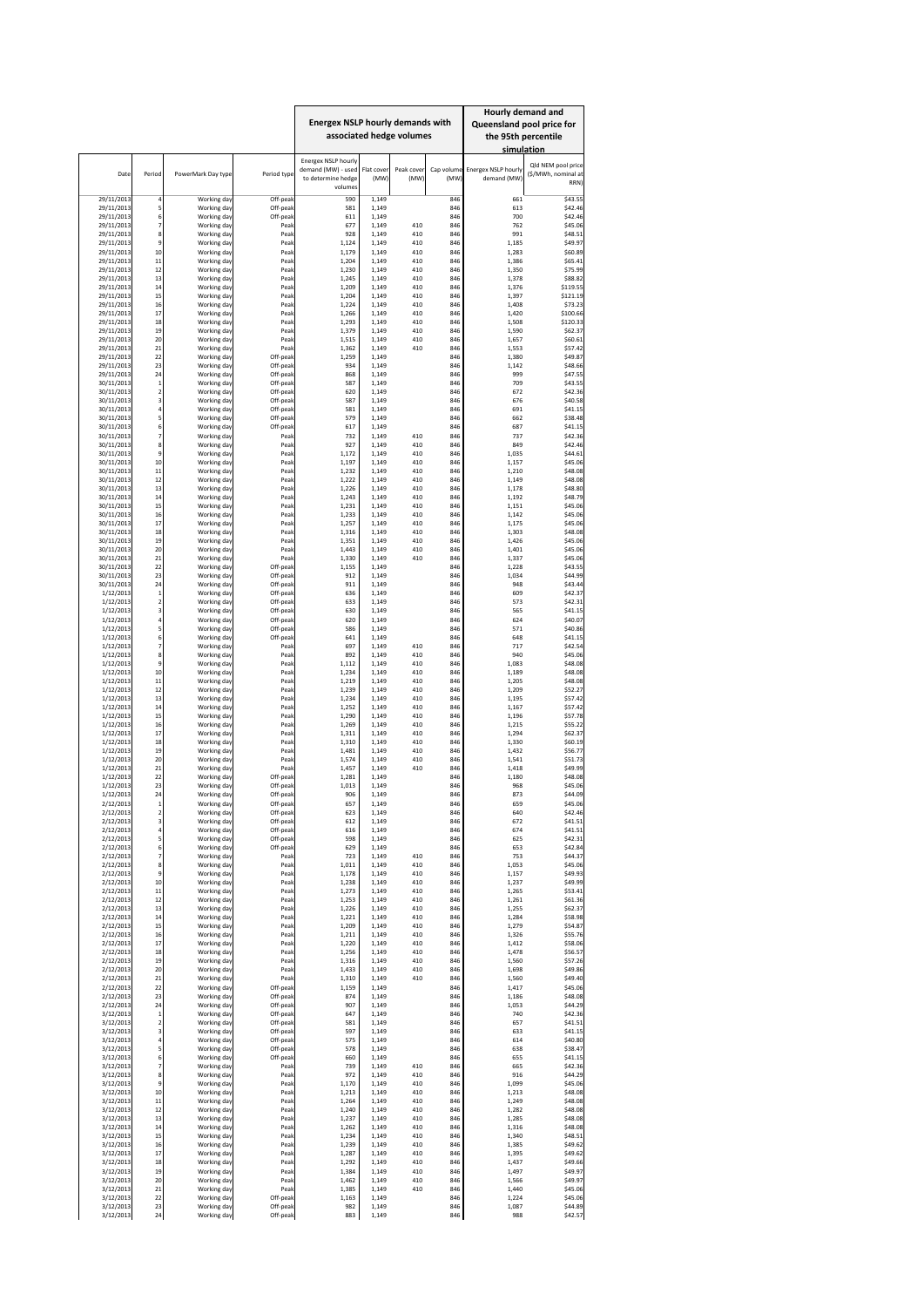|                          |                         |                            |                      |                                                                     |                    |                    | Hourly demand and<br>Queensland pool price for |                                    |                                           |
|--------------------------|-------------------------|----------------------------|----------------------|---------------------------------------------------------------------|--------------------|--------------------|------------------------------------------------|------------------------------------|-------------------------------------------|
|                          |                         |                            |                      | <b>Energex NSLP hourly demands with</b><br>associated hedge volumes |                    |                    |                                                | the 95th percentile                |                                           |
|                          |                         |                            |                      | Energex NSLP hourly                                                 |                    |                    |                                                | simulation                         |                                           |
| Date                     | Period                  | PowerMark Day type         | Period type          | demand (MW) - used<br>to determine hedge                            | Flat cover<br>(MW) | Peak cover<br>(MW) | Cap volume<br>(MW                              | Energex NSLP hourly<br>demand (MW) | Qld NEM pool price<br>(\$/MWh, nominal at |
| 29/11/2013               | 4                       |                            |                      | volumes<br>590                                                      |                    |                    | 846                                            | 661                                | RRN)<br>\$43.55                           |
| 29/11/2013               | 5                       | Working da<br>Working day  | Off-peal<br>Off-peal | 581                                                                 | 1,149<br>1.149     |                    | 846                                            | 613                                | \$42.46                                   |
| 29/11/2013               | 6                       | Working day                | Off-peal             | 611                                                                 | 1,149              | 410                | 846                                            | 700                                | \$42.46                                   |
| 29/11/2013               | $\overline{7}$          | Working day                | Peal                 | 677                                                                 | 1,149              |                    | 846                                            | 762                                | \$45.06                                   |
| 29/11/2013               | 8                       | Working day                | Peal                 | 928                                                                 | 1,149              | 410                | 846                                            | 991                                | \$48.51                                   |
| 29/11/2013               | 9                       | Working day                | Peal                 | 1.124                                                               | 1.149              | 410                | 846                                            | 1.185                              | \$49.97                                   |
| 29/11/2013               | 10                      | Working day                | Peal                 | 1,179                                                               | 1,149              | 410                | 846                                            | 1,283                              | \$60.89                                   |
| 29/11/2013               | 11                      | Working day                | Peal                 | 1,204                                                               | 1,149              | 410                | 846                                            | 1,386                              | \$65.41                                   |
| 29/11/2013<br>29/11/2013 | 12<br>13                | Working da                 | Peal<br>Peal         | 1,230<br>1.245                                                      | 1,149<br>1.149     | 410<br>410         | 846<br>846                                     | 1,350                              | \$75.99<br>\$88.82                        |
| 29/11/2013               | 14                      | Working day<br>Working day | Peak                 | 1,209                                                               | 1,149              | 410                | 846                                            | 1,378<br>1,376                     | \$119.55                                  |
| 29/11/2013               | 15                      | Working day                | Peak                 | 1,204                                                               | 1,149              | 410                | 846                                            | 1,397                              | \$121.19                                  |
| 29/11/2013               | 16                      | Working day                | Peak                 | 1,224                                                               | 1,149              | 410                | 846                                            | 1,408                              | \$73.23                                   |
| 29/11/2013               | 17                      | Working day                | Peak                 | 1,266                                                               | 1,149              | 410                | 846                                            | 1,420                              | \$100.66                                  |
| 29/11/2013               | 18                      | Working day                | Peal                 | 1.293                                                               | 1.149              | 410                | 846                                            | 1,508                              | \$120.33                                  |
| 29/11/2013               | 19                      | Working day                | Peal                 | 1,379                                                               | 1,149              | 410                | 846                                            | 1,590                              | \$62.37                                   |
| 29/11/2013               | 20                      | Working day                | Peal                 | 1,515                                                               | 1,149              | 410                | 846                                            | 1,657                              | \$60.61                                   |
| 29/11/2013               | 21                      | Working day                | Peal                 | 1,362                                                               | 1,149              | 410                | 846                                            | 1,553                              | \$57.42                                   |
| 29/11/2013               | 22                      | Working day                | Off-peal             | 1.259                                                               | 1.149              |                    | 846                                            | 1,380                              | \$49.87                                   |
| 29/11/2013               | 23                      | Working day                | Off-peal             | 934                                                                 | 1,149              |                    | 846                                            | 1,142                              | \$48.66                                   |
| 29/11/2013               | 24                      | Working day                | Off-peal             | 868                                                                 | 1,149              |                    | 846                                            | 999                                | \$47.55                                   |
| 30/11/2013               | $\mathbf{1}$            | Working day                | Off-peal             | 587                                                                 | 1,149              |                    | 846                                            | 709                                | \$43.55                                   |
| 30/11/2013               | $\overline{\mathbf{2}}$ | Working day                | Off-peal             | 620                                                                 | 1.149              |                    | 846                                            | 672                                | \$42.36                                   |
| 30/11/2013               | 3                       | Working day                | Off-peal             | 587                                                                 | 1,149              |                    | 846                                            | 676                                | \$40.58                                   |
| 30/11/2013               | 4                       | Working day                | Off-peal             | 581                                                                 | 1,149              |                    | 846                                            | 691                                | \$41.1                                    |
| 30/11/2013               | 5                       | Working day                | Off-peal             | 579                                                                 | 1,149              |                    | 846                                            | 662                                | \$38.48                                   |
| 30/11/2013               | 6                       | Working day                | Off-peal             | 617                                                                 | 1.149              | 410                | 846                                            | 687                                | \$41.15                                   |
| 30/11/2013               | 7                       | Working day                | Peak                 | 732                                                                 | 1,149              |                    | 846                                            | 737                                | \$42.36                                   |
| 30/11/2013               | 8<br>$\ddot{q}$         | Working day                | Peal                 | 927                                                                 | 1,149              | 410                | 846<br>846                                     | 849                                | \$42.46                                   |
| 30/11/2013<br>30/11/2013 | 10                      | Working day<br>Working day | Peak<br>Peal         | 1,172<br>1.197                                                      | 1,149<br>1.149     | 410<br>410         | 846                                            | 1,035<br>1.157                     | \$44.61<br>\$45.06                        |
| 30/11/2013               | 11                      | Working day                | Peal                 | 1,232                                                               | 1,149              | 410                | 846                                            | 1,210                              | \$48.08                                   |
| 30/11/2013               | 12                      | Working day                | Peal                 | 1,222                                                               | 1,149              | 410                | 846                                            | 1,149                              | \$48.08                                   |
| 30/11/2013               | 13                      | Working day                | Peal                 | 1,226                                                               | 1,149              | 410                | 846                                            | 1,178                              | \$48.80                                   |
| 30/11/2013               | 14                      | Working day                | Peal                 | 1,243                                                               | 1,149              | 410                | 846                                            | 1,192                              | \$48.79                                   |
| 30/11/2013<br>30/11/2013 | 15                      | Working day                | Peal                 | 1.231                                                               | 1.149              | 410<br>410         | 846<br>846                                     | 1.151                              | \$45.06                                   |
| 30/11/2013               | 16<br>17                | Working day<br>Working day | Peal<br>Peal         | 1,233<br>1,257                                                      | 1,149<br>1,149     | 410                | 846                                            | 1,142<br>1,175                     | \$45.06<br>\$45.06                        |
| 30/11/2013               | 18                      | Working day                | Peal                 | 1,316                                                               | 1,149              | 410                | 846                                            | 1,303                              | \$48.08                                   |
| 30/11/2013               | 19                      | Working day                | Peal                 | 1.351                                                               | 1.149              | 410                | 846                                            | 1.426                              | \$45.06                                   |
| 30/11/2013               | 20                      | Working day                | Pea                  | 1,443                                                               | 1,149              | 410                | 846                                            | 1,401                              | \$45.06                                   |
| 30/11/2013               | 21                      | Working day                | Peal                 | 1,330                                                               | 1,149              | 410                | 846                                            | 1,337                              | \$45.06                                   |
| 30/11/2013               | 22                      | Working da                 | Off-peal             | 1,155                                                               | 1,149              |                    | 846                                            | 1,228                              | \$43.59                                   |
| 30/11/2013               | 23                      | Working day                | Off-peal             | 912                                                                 | 1.149              |                    | 846                                            | 1,034                              | \$44.99                                   |
| 30/11/2013               | 24                      | Working day                | Off-peak             | 911                                                                 | 1,149              |                    | 846                                            | 948                                | \$43.44                                   |
| 1/12/2013                | $\mathbf 1$             | Working day                | Off-peak             | 636                                                                 | 1,149              |                    | 846                                            | 609                                | \$42.37                                   |
| 1/12/2013                | $\mathbf 2$             | Working day                | Off-peak             | 633                                                                 | 1,149              |                    | 846                                            | 573                                | \$42.31                                   |
| 1/12/2013                | $\overline{\mathbf{3}}$ | Working day                | Off-peal             | 630                                                                 | 1.149              |                    | 846                                            | 565                                | \$41.15                                   |
| 1/12/2013                | 4                       | Working day                | Off-peal             | 620                                                                 | 1,149              |                    | 846                                            | 624                                | \$40.07                                   |
| 1/12/2013                | 5                       | Working day                | Off-peal             | 586                                                                 | 1,149              |                    | 846                                            | 571                                | \$40.86                                   |
| 1/12/2013                | 6                       | Working day                | Off-peal             | 641                                                                 | 1,149              |                    | 846                                            | 648                                | \$41.15                                   |
| 1/12/2013                | $\overline{7}$          | Working day                | Peal                 | 697                                                                 | 1.149              | 410                | 846                                            | 717                                | \$42.54                                   |
| 1/12/2013                | 8                       | Working day                | Peal                 | 892                                                                 | 1,149              | 410                | 846                                            | 940                                | \$45.06                                   |
| 1/12/2013                | 9                       | Working day                | Peal                 | 1,112                                                               | 1,149              | 410                | 846                                            | 1,083                              | \$48.08                                   |
| 1/12/2013                | 10                      |                            | Peal                 | 1,234                                                               | 1,149              | 410                | 846                                            | 1,189                              | \$48.08                                   |
| 1/12/2013                | 11                      | Working day<br>Working day | Peal                 | 1.219                                                               | 1.149              | 410                | 846                                            | 1.205                              | \$48.08                                   |
| 1/12/2013                | 12                      | Working day                | Peal                 | 1,239                                                               | 1,149              | 410                | 846                                            | 1,209                              | \$52.27                                   |
| 1/12/2013                | 13                      | Working day                | Peal                 | 1,234                                                               | 1,149              | 410                | 846                                            | 1,195                              | \$57.42                                   |
| 1/12/2013                | 14                      | Working day                | Peal                 | 1,252                                                               | 1,149              | 410                | 846                                            | 1,167                              | \$57.42                                   |
| 1/12/2013                | 15                      | Working day                | Peal                 | 1,290                                                               | 1,149              | 410                | 846                                            | 1,196                              | \$57.78                                   |
| 1/12/2013                | 16                      | Working day                | Peal                 | 1.269                                                               | 1.149              | 410                | 846                                            | 1,215                              | \$55.22                                   |
| 1/12/2013                | 17                      | Working day                | Peak                 | 1,311                                                               | 1,149              | 410                | 846                                            | 1,294                              | \$62.37                                   |
| 1/12/2013<br>1/12/2013   | 18<br>19                | Working day                | Peal<br>Peal         | 1,310<br>1,481                                                      | 1,149<br>1,149     | 410<br>410         | 846<br>846                                     | 1,330                              | \$60.19<br>\$56.77                        |
| 1/12/2013                | 20                      | Working day<br>Working day | Peal                 | 1,574                                                               | 1.149              | 410                | 846                                            | 1,432<br>1,541                     | \$51.73                                   |
| 1/12/2013                | 21                      | Working day                | Peal                 | 1,457                                                               | 1,149              | 410                | 846                                            | 1,418                              | \$49.99                                   |
| 1/12/2013                | 22                      | Working day                | Off-peal             | 1,281                                                               | 1,149              |                    | 846                                            | 1,180                              | \$48.08                                   |
| 1/12/2013                | 23                      | Working day                | Off-peal             | 1,013                                                               | 1,149              |                    | 846                                            | 968                                | \$45.06                                   |
| 1/12/2013                | 24                      | Working day                | Off-peak             | 906                                                                 | 1,149              |                    | 846                                            | 873                                | \$44.09                                   |
| 2/12/2013<br>2/12/2013   | $\overline{2}$          | Working day<br>Working day | Off-peal<br>Off-peak | 657<br>623                                                          | 1,149<br>1,149     |                    | 846<br>846                                     | 659<br>640                         | \$45.06<br>\$42.46                        |
| 2/12/2013                | 3                       | Working day                | Off-peak             | 612                                                                 | 1,149              |                    | 846                                            | 672                                | \$41.51                                   |
| 2/12/2013                | $\overline{4}$          | Working day                | Off-peal             | 616                                                                 | 1,149              |                    | 846                                            | 674                                | \$41.51                                   |
| 2/12/2013                | 5                       | Working day                | Off-peak             | 598                                                                 | 1,149              |                    | 846                                            | 625                                | \$42.31                                   |
| 2/12/2013                | 6                       | Working day                | Off-peak             | 629                                                                 | 1,149              | 410                | 846                                            | 653                                | \$42.84                                   |
| 2/12/2013                | $\overline{7}$          | Working day                | Peak                 | 723                                                                 | 1,149              |                    | 846                                            | 753                                | \$44.37                                   |
| 2/12/2013                | 8                       | Working day                | Peak                 | 1.011                                                               | 1,149              | 410                | 846                                            | 1,053                              | \$45.06                                   |
| 2/12/2013                | 9                       | Working day                | Peak                 | 1,178                                                               | 1,149              | 410                | 846                                            | 1,157                              | \$49.93                                   |
| 2/12/2013                | 10                      | Working day                | Peak                 | 1,238                                                               | 1,149              | 410                | 846                                            | 1,237                              | \$49.99                                   |
| 2/12/2013                | 11                      | Working day                | Peak                 | 1,273                                                               | 1,149              | 410                | 846                                            | 1,265                              | \$53.41                                   |
| 2/12/2013                | 12                      | Working day                | Peak                 | 1,253                                                               | 1,149              | 410                | 846                                            | 1,261                              | \$61.36                                   |
| 2/12/2013                | 13                      | Working day                | Peak                 | 1.226                                                               | 1.149              | 410                | 846                                            | 1.255                              | \$62.37                                   |
| 2/12/2013                | 14                      | Working day                | Peak                 | 1,221                                                               | 1,149              | 410                | 846                                            | 1,284                              | \$58.98                                   |
| 2/12/2013                | 15                      | Working day                | Peak                 | 1,209                                                               | 1,149              | 410                | 846                                            | 1,279                              | \$54.87                                   |
| 2/12/2013                | 16                      | Working day                | Peal                 | 1,211                                                               | 1,149              | 410                | 846                                            | 1,326                              | \$55.76                                   |
| 2/12/2013                | 17                      | Working day                | Peal                 | 1.220                                                               | 1.149              | 410                | 846                                            | 1,412                              | \$58.06                                   |
| 2/12/2013                | 18                      | Working day                | Peak                 | 1,256                                                               | 1,149              | 410                | 846                                            | 1,478                              | \$56.57                                   |
| 2/12/2013                | 19                      | Working day                | Peak                 | 1,316                                                               | 1,149              | 410                | 846                                            | 1,560                              | \$57.26                                   |
| 2/12/2013                | 20                      | Working day                | Peak                 | 1,433                                                               | 1,149              | 410                | 846                                            | 1,698                              | \$49.86                                   |
| 2/12/2013                | 21                      | Working day                | Peal                 | 1.310                                                               | 1.149              | 410                | 846                                            | 1,560                              | \$49.40                                   |
| 2/12/2013                | 22                      | Working day                | Off-peal             | 1,159                                                               | 1,149              |                    | 846                                            | 1,417                              | \$45.06                                   |
| 2/12/2013                | 23                      | Working day                | Off-peal             | 874                                                                 | 1,149              |                    | 846                                            | 1,186                              | \$48.08                                   |
| 2/12/2013                | 24                      | Working day                | Off-peak             | 907                                                                 | 1,149              |                    | 846                                            | 1,053                              | \$44.29                                   |
| 3/12/2013                | $\mathbf{1}$            | Working day                | Off-peak             | 647                                                                 | 1.149              |                    | 846                                            | 740                                | \$42.36                                   |
| 3/12/2013                | $\overline{\mathbf{c}}$ | Working day                | Off-peak             | 581                                                                 | 1,149              |                    | 846                                            | 657                                | \$41.51                                   |
| 3/12/2013                | 3                       | Working day                | Off-peak             | 597                                                                 | 1,149              |                    | 846                                            | 633                                | \$41.15                                   |
| 3/12/2013                | 4                       | Working day                | Off-peak             | 575                                                                 | 1,149              |                    | 846                                            | 614                                | \$40.80                                   |
| 3/12/2013                | 5                       | Working day                | Off-peak             | 578                                                                 | 1.149              |                    | 846                                            | 638                                | \$38.47                                   |
| 3/12/2013                | 6                       | Working day                | Off-peak             | 660                                                                 | 1,149              | 410                | 846                                            | 655                                | \$41.15                                   |
| 3/12/2013                | $\overline{7}$          | Working day                | Peak                 | 739                                                                 | 1,149              |                    | 846                                            | 665                                | \$42.36                                   |
| 3/12/2013                | 8                       | Working day                | Peak                 | 972                                                                 | 1,149              | 410                | 846                                            | 916                                | \$44.29                                   |
| 3/12/2013                | 9                       | Working day                | Peal                 | 1,170                                                               | 1,149              | 410                | 846                                            | 1,099                              | \$45.06                                   |
| 3/12/2013                | 10                      | Working day                | Peal                 | 1.213                                                               | 1.149              | 410                | 846                                            | 1.213                              | \$48.08                                   |
| 3/12/2013                | 11                      | Working day                | Peak                 | 1,264                                                               | 1,149              | 410                | 846                                            | 1,249                              | \$48.08                                   |
| 3/12/2013                | 12                      | Working day                | Peak                 | 1,240                                                               | 1,149              | 410                | 846                                            | 1,282                              | \$48.08                                   |
| 3/12/2013                | 13                      | Working day                | Peak                 | 1,237                                                               | 1,149              | 410                | 846                                            | 1,285                              | \$48.08                                   |
| 3/12/2013                | 14                      | Working day                | Peal                 | 1.262                                                               | 1.149              | 410                | 846                                            | 1,316                              | \$48.08                                   |
| 3/12/2013                | 15                      | Working day                | Peal                 | 1,234                                                               | 1,149              | 410                | 846                                            | 1,340                              | \$48.51                                   |
| 3/12/2013                | 16                      | Working day                | Peal                 | 1,239                                                               | 1,149              | 410                | 846                                            | 1,385                              | \$49.62                                   |
| 3/12/2013                | 17                      | Working day                | Peak                 | 1,287                                                               | 1,149              | 410                | 846                                            | 1,395                              | \$49.62                                   |
| 3/12/2013                | 18                      | Working day                | Peak                 | 1,292                                                               | 1.149              | 410                | 846                                            | 1,437                              | \$49.66                                   |
| 3/12/2013                | 19                      | Working day                | Peak                 | 1,384                                                               | 1,149              | 410                | 846                                            | 1,497                              | \$49.97                                   |
| 3/12/2013                | 20                      | Working day                | Peak                 | 1,462                                                               | 1,149              | 410                | 846                                            | 1,566                              | \$49.97                                   |
| 3/12/2013                | 21                      | Working day                | Peak                 | 1,385                                                               | 1,149              | 410                | 846                                            | 1,440                              | \$45.06                                   |
| 3/12/2013                | 22                      | Working day                | Off-peak             | 1.163                                                               | 1.149              |                    | 846                                            | 1.224                              | \$45.06                                   |
| 3/12/2013                | 23                      | Working day                | Off-peak             | 982                                                                 | 1,149              |                    | 846                                            | 1,087                              | \$44.89                                   |
| 3/12/2013                | 24                      | Working day                | Off-peak             | 883                                                                 | 1,149              |                    | 846                                            | 988                                | \$42.5                                    |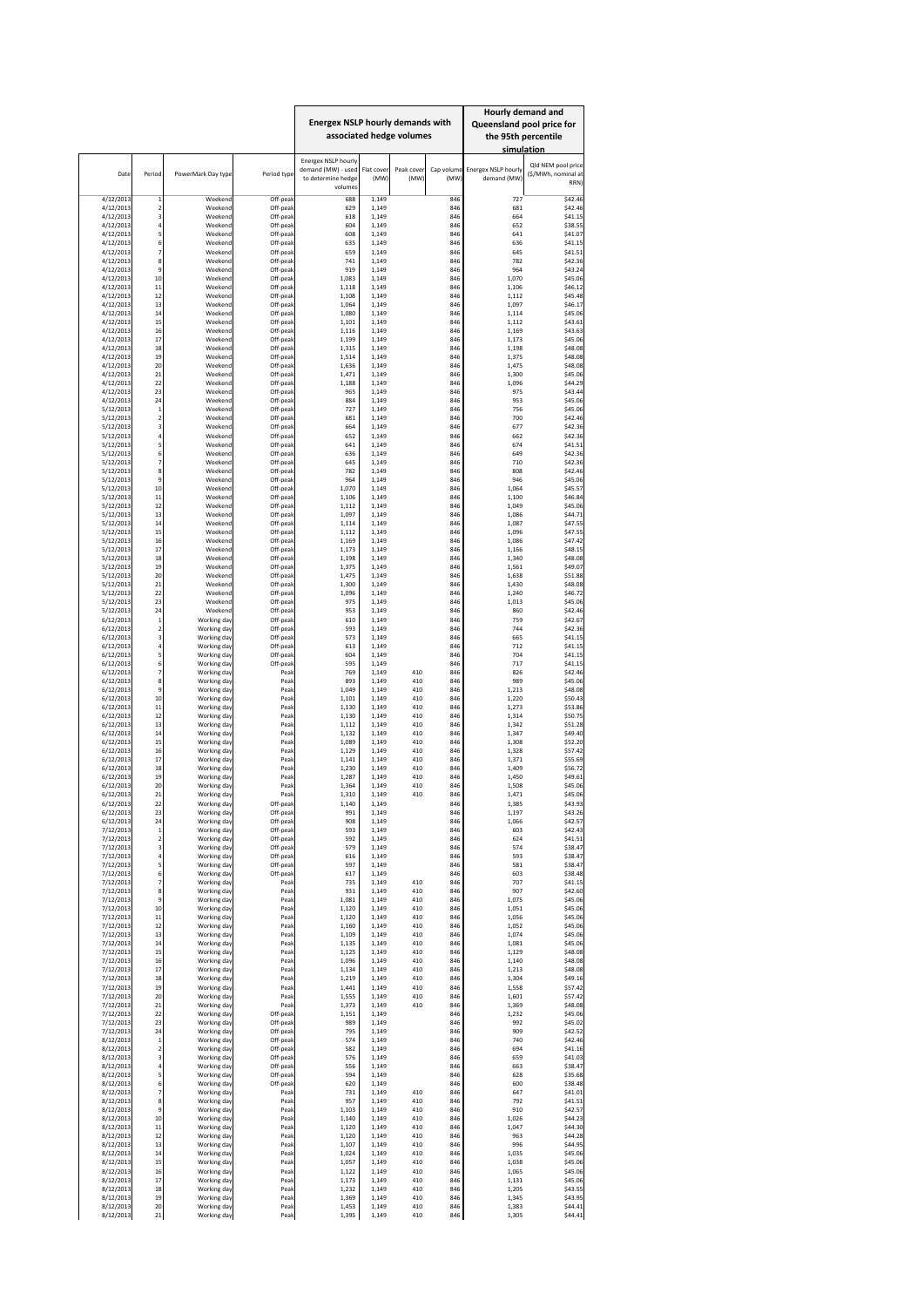|                        |                                         |                            |                      |                                           |                |                          | Hourly demand and |                           |                     |  |
|------------------------|-----------------------------------------|----------------------------|----------------------|-------------------------------------------|----------------|--------------------------|-------------------|---------------------------|---------------------|--|
|                        |                                         |                            |                      | <b>Energex NSLP hourly demands with</b>   |                |                          |                   | Queensland pool price for |                     |  |
|                        |                                         |                            |                      |                                           |                | associated hedge volumes |                   | the 95th percentile       |                     |  |
|                        |                                         |                            |                      |                                           |                |                          |                   | simulation                |                     |  |
|                        |                                         |                            |                      | Energex NSLP hourly<br>demand (MW) - used | Flat cover     | Peak cove                | Cap volume        | Energex NSLP hourly       | Qld NEM pool price  |  |
| Date                   | Period                                  | PowerMark Day type         | Period type          | to determine hedge                        | (MW)           | (MW)                     | (MW)              | demand (MW)               | (\$/MWh, nominal at |  |
|                        |                                         |                            |                      | volume:                                   |                |                          |                   |                           | RRN)                |  |
| 4/12/2013<br>4/12/2013 |                                         | Weekend                    | Off-peal<br>Off-peal | 688                                       | 1,149          |                          | 846               | 727                       | \$42.46             |  |
| 4/12/2013              | 3                                       | Weekend<br>Weekend         | Off-peal             | 629<br>618                                | 1,149<br>1,149 |                          | 846<br>846        | 681<br>664                | \$42.46<br>\$41.15  |  |
| 4/12/2013              | 4                                       | Weekend                    | Off-peal             | 604                                       | 1.149          |                          | 846               | 652                       | \$38.55             |  |
| 4/12/2013<br>4/12/2013 | 5<br>6                                  | Weekend<br>Weekend         | Off-peal<br>Off-peak | 608<br>635                                | 1,149<br>1,149 |                          | 846<br>846        | 641<br>636                | \$41.07<br>\$41.15  |  |
| 4/12/2013              | 7                                       | Weekend                    | Off-peak             | 659                                       | 1,149          |                          | 846               | 645                       | \$41.51             |  |
| 4/12/2013              | 8                                       | Weekend                    | Off-peak             | 741                                       | 1.149          |                          | 846               | 782                       | \$42.36             |  |
| 4/12/2013<br>4/12/2013 | 9<br>10                                 | Weekend<br>Weekend         | Off-peal<br>Off-peal | 919<br>1,083                              | 1,149<br>1,149 |                          | 846<br>846        | 964<br>1,070              | \$43.24<br>\$45.06  |  |
| 4/12/2013              | 11                                      | Weekend                    | Off-peal             | 1,118                                     | 1,149          |                          | 846               | 1,106                     | \$46.12             |  |
| 4/12/2013<br>4/12/2013 | 12<br>13                                | Weekend<br>Weekend         | Off-peal             | 1,108<br>1.064                            | 1,149<br>1.149 |                          | 846<br>846        | 1,112                     | \$45.48<br>\$46.17  |  |
| 4/12/2013              | 14                                      | Weekend                    | Off-peal<br>Off-peal | 1,080                                     | 1,149          |                          | 846               | 1,097<br>1,114            | \$45.06             |  |
| 4/12/2013              | 15                                      | Weekend                    | Off-peak             | 1,101                                     | 1,149          |                          | 846               | 1,112                     | \$43.61             |  |
| 4/12/2013<br>4/12/2013 | 16<br>17                                | Weekend<br>Weekend         | Off-peak<br>Off-peak | 1,116<br>1.199                            | 1,149<br>1.149 |                          | 846<br>846        | 1,169<br>1.173            | \$43.63<br>\$45.06  |  |
| 4/12/2013              | 18                                      | Weekend                    | Off-peal             | 1,315                                     | 1,149          |                          | 846               | 1,198                     | \$48.08             |  |
| 4/12/2013<br>4/12/2013 | 19<br>20                                | Weekend<br>Weekend         | Off-peal<br>Off-peal | 1,514<br>1,636                            | 1,149<br>1,149 |                          | 846<br>846        | 1,375<br>1,475            | \$48.08<br>\$48.08  |  |
| 4/12/2013              | 21                                      | Weekend                    | Off-peal             | 1.471                                     | 1.149          |                          | 846               | 1,300                     | \$45.06             |  |
| 4/12/2013              | 22                                      | Weekend                    | Off-peal             | 1,188                                     | 1,149          |                          | 846               | 1,096                     | \$44.29             |  |
| 4/12/2013<br>4/12/2013 | 23<br>24                                | Weekend<br>Weekend         | Off-peak<br>Off-peak | 965<br>884                                | 1,149<br>1,149 |                          | 846<br>846        | 975<br>953                | \$43.44<br>\$45.06  |  |
| 5/12/2013              | 1                                       | Weekend                    | Off-peal             | 727                                       | 1.149          |                          | 846               | 756                       | \$45.06             |  |
| 5/12/2013<br>5/12/2013 | $\overline{\mathbf{c}}$                 | Weekend                    | Off-peal<br>Off-peal | 681                                       | 1,149          |                          | 846               | 700                       | \$42.46             |  |
| 5/12/2013              | 3<br>4                                  | Weekend<br>Weekend         | Off-peal             | 664<br>652                                | 1,149<br>1,149 |                          | 846<br>846        | 677<br>662                | \$42.36<br>\$42.36  |  |
| 5/12/2013              | 5                                       | Weekend                    | Off-peak             | 641                                       | 1.149          |                          | 846               | 674                       | \$41.51             |  |
| 5/12/2013<br>5/12/2013 | 6<br>7                                  | Weekend<br>Weekend         | Off-peak<br>Off-peak | 636<br>645                                | 1,149<br>1,149 |                          | 846<br>846        | 649<br>710                | \$42.36<br>\$42.36  |  |
| 5/12/2013              | 8                                       | Weekend                    | Off-peak             | 782                                       | 1,149          |                          | 846               | 808                       | \$42.46             |  |
| 5/12/2013<br>5/12/2013 | 9<br>10                                 | Weekend<br>Weekend         | Off-peak<br>Off-peak | 964<br>1.070                              | 1.149<br>1.149 |                          | 846<br>846        | 946<br>1,064              | \$45.06<br>\$45.57  |  |
| 5/12/2013              | 11                                      | Weekend                    | Off-peal             | 1,106                                     | 1,149          |                          | 846               | 1,100                     | \$46.84             |  |
| 5/12/2013              | 12                                      | Weekend                    | Off-peal             | 1,112                                     | 1,149          |                          | 846               | 1,049                     | \$45.06             |  |
| 5/12/2013<br>5/12/2013 | 13<br>14                                | Weekend<br>Weekend         | Off-peal<br>Off-peal | 1,097<br>1,114                            | 1,149<br>1.149 |                          | 846<br>846        | 1,086<br>1,087            | \$44.71<br>\$47.55  |  |
| 5/12/2013              | 15                                      | Weekend                    | Off-peal             | 1,112                                     | 1,149          |                          | 846               | 1,096                     | \$47.55             |  |
| 5/12/2013              | 16                                      | Weekend<br>Weekend         | Off-peak             | 1,169                                     | 1,149          |                          | 846               | 1,086                     | \$47.42             |  |
| 5/12/2013<br>5/12/2013 | 17<br>18                                | Weekend                    | Off-peak<br>Off-peak | 1,173<br>1.198                            | 1,149<br>1.149 |                          | 846<br>846        | 1,166<br>1,340            | \$48.15<br>\$48.08  |  |
| 5/12/2013              | 19                                      | Weekend                    | Off-peal             | 1,375                                     | 1,149          |                          | 846               | 1,561                     | \$49.07             |  |
| 5/12/2013              | 20<br>21                                | Weekend<br>Weekend         | Off-peal<br>Off-peal | 1,475<br>1,300                            | 1,149<br>1,149 |                          | 846<br>846        | 1,638                     | \$51.88<br>\$48.08  |  |
| 5/12/2013<br>5/12/2013 | 22                                      | Weekend                    | Off-peak             | 1,096                                     | 1.149          |                          | 846               | 1,430<br>1,240            | \$46.72             |  |
| 5/12/2013              | 23                                      | Weekend                    | Off-peal             | 975                                       | 1,149          |                          | 846               | 1,013                     | \$45.06             |  |
| 5/12/2013<br>6/12/2013 | 24<br>$\mathbf{1}$                      | Weekend<br>Working day     | Off-peak<br>Off-peak | 953<br>610                                | 1,149<br>1,149 |                          | 846<br>846        | 860<br>759                | \$42.46<br>\$42.67  |  |
| 6/12/2013              | $\overline{2}$                          | Working day                | Off-peak             | 593                                       | 1.149          |                          | 846               | 744                       | \$42.36             |  |
| 6/12/2013              | 3                                       | Working day                | Off-peal             | 573                                       | 1,149          |                          | 846               | 665                       | \$41.15             |  |
| 6/12/2013<br>6/12/2013 | 4<br>5                                  | Working day<br>Working day | Off-peal<br>Off-peal | 613<br>604                                | 1,149<br>1,149 |                          | 846<br>846        | 712<br>704                | \$41.1<br>\$41.15   |  |
| 6/12/2013              | 6                                       | Working day                | Off-peal             | 595                                       | 1.149          |                          | 846               | 717                       | \$41.15             |  |
| 6/12/2013<br>6/12/2013 | 7<br>8                                  | Working day<br>Working day | Peak<br>Peal         | 769<br>893                                | 1,149<br>1,149 | 410<br>410               | 846<br>846        | 826<br>989                | \$42.46<br>\$45.06  |  |
| 6/12/2013              | 9                                       | Working day                | Peal                 | 1,049                                     | 1,149          | 410                      | 846               | 1,213                     | \$48.08             |  |
| 6/12/2013              | 10                                      | Working day                | Peak                 | 1,101                                     | 1,149          | 410                      | 846               | 1,220                     | \$50.43             |  |
| 6/12/2013<br>6/12/2013 | 11<br>12                                | Working day<br>Working day | Peak<br>Peal         | 1.130<br>1,130                            | 1.149<br>1,149 | 410<br>410               | 846<br>846        | 1.273<br>1,314            | \$53.86<br>\$50.75  |  |
| 6/12/2013              | 13                                      | Working day                | Peal                 | 1,112                                     | 1,149          | 410                      | 846               | 1,342                     | \$51.28             |  |
| 6/12/2013<br>6/12/2013 | 14<br>15                                | Working day<br>Working day | Peal<br>Peak         | 1,132<br>1.089                            | 1,149<br>1,149 | 410<br>410               | 846<br>846        | 1,347<br>1,308            | \$49.40<br>\$52.20  |  |
| 6/12/2013              | 16                                      | Working day                | Peak                 | 1,129                                     | 1,149          | 410                      | 846               | 1,328                     | \$57.42             |  |
| 6/12/2013              | 17                                      | Working day                | Peak                 | 1,141                                     | 1,149          | 410                      | 846               | 1,371                     | \$55.69             |  |
| 6/12/2013<br>6/12/2013 | 18<br>19                                | Working day<br>Working day | Peak<br>Peal         | 1,230<br>1.287                            | 1,149<br>1.149 | 410<br>410               | 846<br>846        | 1,409<br>1.450            | \$56.72<br>\$49.61  |  |
| 6/12/2013              | 20                                      | Working day                | Peal                 | 1,364                                     | 1,149          | 410                      | 846               | 1,508                     | \$45.06             |  |
| 6/12/2013              | 21                                      | Working day                | Peak                 | 1,310                                     | 1,149          | 410                      | 846               | 1,471                     | \$45.06             |  |
| 6/12/2013<br>6/12/2013 | 22<br>23                                | Working day<br>Working day | Off-peal<br>Off-peak | 1,140<br>991                              | 1,149<br>1.149 |                          | 846<br>846        | 1,385<br>1,197            | \$43.93<br>\$43.26  |  |
| 6/12/2013              | 24                                      | Working day                | Off-peal             | 908                                       | 1,149          |                          | 846               | 1,066                     | \$42.57             |  |
| 7/12/2013<br>7/12/2013 | $\mathbf{1}$<br>$\overline{\mathbf{z}}$ | Working day<br>Working day | Off-peak<br>Off-peak | 593<br>592                                | 1,149<br>1,149 |                          | 846<br>846        | 603<br>624                | \$42.43<br>\$41.51  |  |
| 7/12/2013              | 3                                       | Working day                | Off-peak             | 579                                       | 1.149          |                          | 846               | 574                       | \$38.47             |  |
| 7/12/2013              | 4                                       | Working day                | Off-peak             | 616                                       | 1,149          |                          | 846               | 593                       | \$38.47             |  |
| 7/12/2013<br>7/12/2013 | 5<br>6                                  | Working day<br>Working day | Off-peak<br>Off-peal | 597<br>617                                | 1,149<br>1,149 |                          | 846<br>846        | 581<br>603                | \$38.47<br>\$38.48  |  |
| 7/12/2013              | $\overline{7}$                          | Working day                | Peak                 | 735                                       | 1,149          | 410                      | 846               | 707                       | \$41.15             |  |
| 7/12/2013<br>7/12/2013 | 8<br>9                                  | Working day<br>Working day | Peak<br>Peak         | 931<br>1,081                              | 1,149<br>1,149 | 410<br>410               | 846<br>846        | 907<br>1,075              | \$42.60<br>\$45.06  |  |
| 7/12/2013              | 10                                      | Working day                | Peak                 | 1,120                                     | 1,149          | 410                      | 846               | 1,051                     | \$45.06             |  |
| 7/12/2013              | 11<br>12                                | Working day                | Peak<br>Peak         | 1,120                                     | 1,149          | 410<br>410               | 846<br>846        | 1,056                     | \$45.06             |  |
| 7/12/2013<br>7/12/2013 | 13                                      | Working day<br>Working day | Peak                 | 1,160<br>1,109                            | 1,149<br>1,149 | 410                      | 846               | 1,052<br>1,074            | \$45.06<br>\$45.06  |  |
| 7/12/2013              | 14                                      | Working day                | Peal                 | 1,135                                     | 1,149          | 410                      | 846               | 1,081                     | \$45.06             |  |
| 7/12/2013<br>7/12/2013 | 15<br>16                                | Working day<br>Working day | Peak<br>Peal         | 1,125<br>1.096                            | 1,149<br>1.149 | 410<br>410               | 846<br>846        | 1,129<br>1,140            | \$48.08<br>\$48.08  |  |
| 7/12/2013              | 17                                      | Working day                | Peak                 | 1,134                                     | 1,149          | 410                      | 846               | 1,213                     | \$48.08             |  |
| 7/12/2013              | 18                                      | Working day                | Peal                 | 1,219                                     | 1,149          | 410                      | 846               | 1,304                     | \$49.16             |  |
| 7/12/2013<br>7/12/2013 | 19<br>20                                | Working day<br>Working day | Peal<br>Peak         | 1,441<br>1.555                            | 1,149<br>1.149 | 410<br>410               | 846<br>846        | 1,558<br>1,601            | \$57.42<br>\$57.42  |  |
| 7/12/2013              | 21                                      | Working day                | Peal                 | 1,373                                     | 1,149          | 410                      | 846               | 1,369                     | \$48.08             |  |
| 7/12/2013<br>7/12/2013 | 22<br>23                                | Working day<br>Working day | Off-peak<br>Off-peal | 1,151<br>989                              | 1,149<br>1,149 |                          | 846<br>846        | 1,232<br>992              | \$45.06<br>\$45.02  |  |
| 7/12/2013              | 24                                      | Working day                | Off-peak             | 795                                       | 1,149          |                          | 846               | 909                       | \$42.52             |  |
| 8/12/2013              | $\mathbf{1}$                            | Working day                | Off-peak             | 574                                       | 1,149          |                          | 846               | 740                       | \$42.46             |  |
| 8/12/2013<br>8/12/2013 | $\mathbf 2$<br>3                        | Working day<br>Working day | Off-peak<br>Off-peak | 582<br>576                                | 1,149<br>1,149 |                          | 846<br>846        | 694<br>659                | \$41.16<br>\$41.03  |  |
| 8/12/2013              | 4                                       | Working day                | Off-peak             | 556                                       | 1,149          |                          | 846               | 663                       | \$38.47             |  |
| 8/12/2013<br>8/12/2013 | 5<br>6                                  | Working day<br>Working day | Off-peak<br>Off-peak | 594<br>620                                | 1,149<br>1,149 |                          | 846<br>846        | 628<br>600                | \$35.68<br>\$38.48  |  |
| 8/12/2013              | 7                                       | Working day                | Peal                 | 731                                       | 1,149          | 410                      | 846               | 647                       | \$41.01             |  |
| 8/12/2013              | 8                                       | Working day                | Peak                 | 957                                       | 1,149          | 410                      | 846               | 792                       | \$41.51             |  |
| 8/12/2013<br>8/12/2013 | 9<br>10                                 | Working day<br>Working day | Peal<br>Peal         | 1,103<br>1,140                            | 1,149<br>1,149 | 410<br>410               | 846<br>846        | 910<br>1,026              | \$42.57<br>\$44.23  |  |
| 8/12/2013              | 11                                      | Working day                | Peal                 | 1,120                                     | 1,149          | 410                      | 846               | 1,047                     | \$44.30             |  |
| 8/12/2013<br>8/12/2013 | 12<br>13                                | Working day                | Peal<br>Peak         | 1,120<br>1.107                            | 1,149<br>1,149 | 410<br>410               | 846<br>846        | 963<br>996                | \$44.28<br>\$44.95  |  |
| 8/12/2013              | 14                                      | Working day<br>Working day | Peak                 | 1,024                                     | 1,149          | 410                      | 846               | 1,035                     | \$45.06             |  |
| 8/12/2013              | 15                                      | Working day                | Peal                 | 1,057                                     | 1,149          | 410                      | 846               | 1,038                     | \$45.06             |  |
| 8/12/2013<br>8/12/2013 | 16<br>17                                | Working day<br>Working day | Peal<br>Peal         | 1,122<br>1,173                            | 1,149<br>1,149 | 410<br>410               | 846<br>846        | 1,065<br>1,131            | \$45.06<br>\$45.06  |  |
| 8/12/2013              | 18                                      | Working day                | Peak                 | 1,232                                     | 1,149          | 410                      | 846               | 1,205                     | \$43.55             |  |
| 8/12/2013<br>8/12/2013 | 19<br>20                                | Working day<br>Working day | Peak<br>Peak         | 1,369<br>1,453                            | 1,149<br>1,149 | 410<br>410               | 846<br>846        | 1,345<br>1,383            | \$43.95<br>\$44.41  |  |
| 8/12/2013              | 21                                      | Working day                | Peak                 | 1,395                                     | 1,149          | 410                      | 846               | 1,305                     | \$44.41             |  |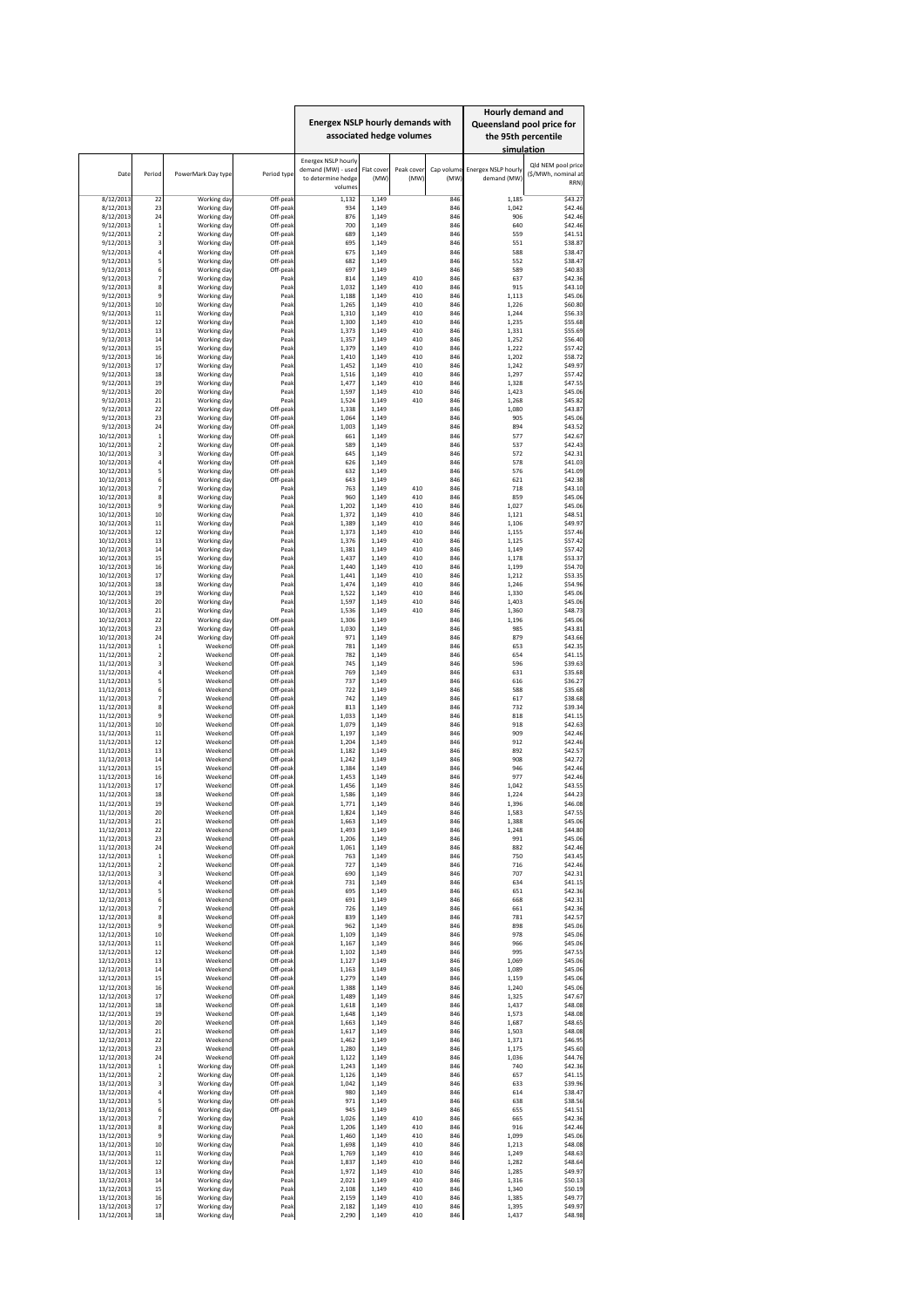|                          |                              |                            |                      |                               |                                         | Hourly demand and |                                   |                           |                                   |  |
|--------------------------|------------------------------|----------------------------|----------------------|-------------------------------|-----------------------------------------|-------------------|-----------------------------------|---------------------------|-----------------------------------|--|
|                          |                              |                            |                      |                               | <b>Energex NSLP hourly demands with</b> |                   |                                   | Queensland pool price for |                                   |  |
|                          |                              |                            |                      | associated hedge volumes      |                                         |                   | the 95th percentile<br>simulation |                           |                                   |  |
|                          |                              |                            |                      | Energex NSLP hourly           |                                         |                   |                                   |                           |                                   |  |
| Date                     | Period                       |                            | Period type          | demand (MW) - used            | Flat cover                              | Peak cover        | Cap volume                        | Energex NSLP hourly       | Qld NEM pool price                |  |
|                          |                              | PowerMark Day type         |                      | to determine hedge<br>volume: | (MW)                                    | (MW)              | (MW                               | demand (MW)               | (\$/MWh, nominal at<br><b>RRN</b> |  |
| 8/12/2013                | 22                           | Working day                | Off-peak             | 1,132                         | 1,149                                   |                   | 846                               | 1.185                     | \$43.27                           |  |
| 8/12/2013                | 23                           | Working day                | Off-peal             | 934                           | 1,149                                   |                   | 846                               | 1,042                     | \$42.46                           |  |
| 8/12/2013<br>9/12/2013   | 24<br>1                      | Working day<br>Working day | Off-peak<br>Off-peak | 876<br>700                    | 1,149<br>1,149                          |                   | 846<br>846                        | 906<br>640                | \$42.46<br>\$42.46                |  |
| 9/12/2013                | $\overline{2}$               | Working day                | Off-peak             | 689                           | 1.149                                   |                   | 846                               | 559                       | \$41.53                           |  |
| 9/12/2013<br>9/12/2013   | 3<br>4                       | Working day<br>Working day | Off-peal<br>Off-peal | 695<br>675                    | 1,149<br>1,149                          |                   | 846<br>846                        | 551<br>588                | \$38.87<br>\$38.4                 |  |
| 9/12/2013                | 5                            | Working day                | Off-peak             | 682                           | 1,149                                   |                   | 846                               | 552                       | \$38.47                           |  |
| 9/12/2013<br>9/12/2013   | 6<br>7                       | Working day<br>Working day | Off-peak<br>Peak     | 697<br>814                    | 1.149<br>1,149                          | 410               | 846<br>846                        | 589<br>637                | \$40.83<br>\$42.36                |  |
| 9/12/2013                | $\bf8$                       | Working day                | Peal                 | 1,032                         | 1,149                                   | 410               | 846                               | 915                       | \$43.10                           |  |
| 9/12/2013<br>9/12/2013   | 9<br>10                      | Working day<br>Working day | Peal<br>Peak         | 1,188<br>1,265                | 1,149<br>1,149                          | 410<br>410        | 846<br>846                        | 1,113<br>1,226            | \$45.06<br>\$60.80                |  |
| 9/12/2013                | 11                           | Working day                | Peak                 | 1.310                         | 1.149                                   | 410               | 846                               | 1.244                     | \$56.33                           |  |
| 9/12/2013<br>9/12/2013   | 12<br>13                     | Working day<br>Working day | Peal<br>Peal         | 1,300<br>1,373                | 1,149<br>1,149                          | 410<br>410        | 846<br>846                        | 1,235<br>1,331            | \$55.68<br>\$55.69                |  |
| 9/12/2013                | 14                           | Working day                | Peal                 | 1,357                         | 1,149                                   | 410               | 846                               | 1,252                     | \$56.40                           |  |
| 9/12/2013<br>9/12/2013   | 15<br>16                     | Working day<br>Working day | Peak<br>Peal         | 1,379<br>1,410                | 1.149<br>1,149                          | 410<br>410        | 846<br>846                        | 1.222<br>1,202            | \$57.42<br>\$58.72                |  |
| 9/12/2013<br>9/12/2013   | 17<br>18                     | Working day                | Peal<br>Peak         | 1,452<br>1,516                | 1,149<br>1,149                          | 410<br>410        | 846<br>846                        | 1,242<br>1,297            | \$49.97<br>\$57.42                |  |
| 9/12/2013                | 19                           | Working day<br>Working day | Peak                 | 1.477                         | 1.149                                   | 410               | 846                               | 1,328                     | \$47.55                           |  |
| 9/12/2013<br>9/12/2013   | 20<br>21                     | Working day<br>Working day | Peal<br>Peal         | 1,597<br>1,524                | 1,149<br>1,149                          | 410<br>410        | 846<br>846                        | 1,423<br>1,268            | \$45.06<br>\$45.8                 |  |
| 9/12/2013                | 22                           | Working day                | Off-peal             | 1,338                         | 1,149                                   |                   | 846                               | 1,080                     | \$43.87                           |  |
| 9/12/2013<br>9/12/2013   | 23<br>24                     | Working day<br>Working day | Off-peak<br>Off-peal | 1.064<br>1,003                | 1.149<br>1,149                          |                   | 846<br>846                        | 905<br>894                | \$45.06<br>\$43.52                |  |
| 10/12/2013               | $\mathbf{1}$                 | Working day                | Off-peak             | 661                           | 1,149                                   |                   | 846                               | 577                       | \$42.67                           |  |
| 10/12/2013<br>10/12/2013 | 2<br>$\overline{\mathbf{3}}$ | Working day<br>Working day | Off-peak<br>Off-peak | 589<br>645                    | 1,149<br>1.149                          |                   | 846<br>846                        | 537<br>572                | \$42.43<br>\$42.31                |  |
| 10/12/2013               | 4                            | Working day                | Off-peak             | 626                           | 1,149                                   |                   | 846                               | 578                       | \$41.03                           |  |
| 10/12/2013<br>10/12/2013 | 5<br>6                       | Working day<br>Working day | Off-peal<br>Off-peak | 632<br>643                    | 1,149<br>1,149                          |                   | 846<br>846                        | 576<br>621                | \$41.09<br>\$42.38                |  |
| 10/12/2013               | 7                            | Working day                | Peak                 | 763                           | 1.149                                   | 410               | 846                               | 718                       | \$43.10                           |  |
| 10/12/2013<br>10/12/2013 | 8<br>9                       | Working day<br>Working day | Peal<br>Peak         | 960<br>1,202                  | 1.149<br>1,149                          | 410<br>410        | 846<br>846                        | 859<br>1,027              | \$45.06<br>\$45.06                |  |
| 10/12/2013               | 10                           | Working day                | Peal                 | 1,372                         | 1,149                                   | 410               | 846                               | 1,121                     | \$48.51                           |  |
| 10/12/2013<br>10/12/2013 | 11<br>12                     | Working day<br>Working day | Peal<br>Peal         | 1,389<br>1.373                | 1,149<br>1.149                          | 410<br>410        | 846<br>846                        | 1,106<br>1.155            | \$49.97<br>\$57.46                |  |
| 10/12/2013               | 13                           | Working day                | Peal                 | 1,376                         | 1,149                                   | 410               | 846                               | 1,125                     | \$57.42                           |  |
| 10/12/2013<br>10/12/2013 | 14<br>15                     | Working day<br>Working day | Peal<br>Peal         | 1,381<br>1,437                | 1,149<br>1,149                          | 410<br>410        | 846<br>846                        | 1,149<br>1,178            | \$57.42<br>\$53.37                |  |
| 10/12/2013               | 16                           | Working day                | Peal                 | 1.440                         | 1.149                                   | 410               | 846                               | 1,199                     | \$54.70                           |  |
| 10/12/2013<br>10/12/2013 | 17<br>18                     | Working day<br>Working day | Peak<br>Peal         | 1,441<br>1,474                | 1,149<br>1,149                          | 410<br>410        | 846<br>846                        | 1,212<br>1,246            | \$53.35<br>\$54.96                |  |
| 10/12/2013               | 19                           | Working day                | Peak                 | 1,522                         | 1,149                                   | 410               | 846                               | 1,330                     | \$45.06                           |  |
| 10/12/2013<br>10/12/2013 | 20<br>$\overline{21}$        | Working day<br>Working day | Peal<br>Peak         | 1.597<br>1,536                | 1.149<br>1,149                          | 410<br>410        | 846<br>846                        | 1.403<br>1,360            | \$45.06<br>\$48.73                |  |
| 10/12/2013               | 22                           | Working day                | Off-peal             | 1,306                         | 1,149                                   |                   | 846                               | 1,196                     | \$45.06                           |  |
| 10/12/2013<br>10/12/2013 | 23<br>24                     | Working day<br>Working day | Off-peal<br>Off-peal | 1,030<br>971                  | 1,149<br>1.149                          |                   | 846<br>846                        | 985<br>879                | \$43.81<br>\$43.66                |  |
| 11/12/2013               | $\mathbf{1}$                 | Weekend                    | Off-peal             | 781                           | 1,149                                   |                   | 846                               | 653                       | \$42.35                           |  |
| 11/12/2013<br>11/12/2013 | $\overline{\mathbf{c}}$<br>3 | Weekend<br>Weekend         | Off-peak<br>Off-peak | 782<br>745                    | 1,149<br>1,149                          |                   | 846<br>846                        | 654<br>596                | \$41.15<br>\$39.63                |  |
| 11/12/2013<br>11/12/2013 | 4<br>5                       | Weekend<br>Weekend         | Off-peak<br>Off-peak | 769<br>737                    | 1.149<br>1,149                          |                   | 846<br>846                        | 631<br>616                | \$35.68<br>\$36.27                |  |
| 11/12/2013               | 6                            | Weekend                    | Off-peak             | 722                           | 1,149                                   |                   | 846                               | 588                       | \$35.68                           |  |
| 11/12/2013               | 7<br>8                       | Weekend<br>Weekend         | Off-peal<br>Off-peak | 742<br>813                    | 1,149<br>1,149                          |                   | 846<br>846                        | 617<br>732                | \$38.68<br>\$39.34                |  |
| 11/12/2013<br>11/12/2013 | 9                            | Weekend                    | Off-peak             | 1.033                         | 1.149                                   |                   | 846                               | 818                       | \$41.15                           |  |
| 11/12/2013<br>11/12/2013 | 10<br>11                     | Weekend<br>Weekend         | Off-peak<br>Off-peak | 1,079<br>1,197                | 1,149<br>1,149                          |                   | 846<br>846                        | 918<br>909                | \$42.63<br>\$42.46                |  |
| 11/12/2013               | 12                           | Weekend                    | Off-peak             | 1,204                         | 1,149                                   |                   | 846                               | 912                       | \$42.46                           |  |
| 11/12/2013<br>11/12/2013 | 13<br>14                     | Weekend<br>Weekend         | Off-peak<br>Off-peal | 1.182<br>1,242                | 1.149<br>1,149                          |                   | 846<br>846                        | 892<br>908                | \$42.57<br>\$42.72                |  |
| 11/12/2013               | 15                           | Weekend                    | Off-peal             | 1,384                         | 1,149                                   |                   | 846                               | 946                       | \$42.46                           |  |
| 11/12/2013<br>11/12/2013 | 16<br>17                     | Weekend<br>Weekend         | Off-peal<br>Off-peak | 1,453<br>1.456                | 1,149<br>1.149                          |                   | 846<br>846                        | 977<br>1.042              | \$42.46<br>\$43.55                |  |
| 11/12/2013               | 18                           | Weekend                    | Off-peak             | 1,586                         | 1,149                                   |                   | 846                               | 1,224                     | \$44.23                           |  |
| 11/12/201<br>11/12/2013  | 19<br>20                     | Weekend<br>Weekend         | Off-pea<br>Off-peak  | 1,771<br>1,824                | 1,149<br>1,149                          |                   | 846<br>846                        | 1,396<br>1,583            | \$46.08<br>\$47.55                |  |
| 11/12/2013               | 21                           | Weekend                    | Off-peak             | 1.663                         | 1.149                                   |                   | 846                               | 1,388                     | \$45.06                           |  |
| 11/12/2013<br>11/12/2013 | 22<br>23                     | Weekend<br>Weekend         | Off-peak<br>Off-peak | 1,493<br>1,206                | 1,149<br>1,149                          |                   | 846<br>846                        | 1,248<br>991              | \$44.80<br>\$45.06                |  |
| 11/12/2013<br>12/12/2013 | 24<br>1                      | Weekend<br>Weekend         | Off-peal<br>Off-peak | 1,061<br>763                  | 1,149<br>1,149                          |                   | 846<br>846                        | 882<br>750                | \$42.46<br>\$43.45                |  |
| 12/12/2013               | $\overline{\mathbf{c}}$      | Weekend                    | Off-peak             | 727                           | 1,149                                   |                   | 846                               | 716                       | \$42.46                           |  |
| 12/12/2013<br>12/12/2013 | 3<br>4                       | Weekend<br>Weekend         | Off-peak<br>Off-peak | 690<br>731                    | 1,149<br>1,149                          |                   | 846<br>846                        | 707<br>634                | \$42.31<br>\$41.15                |  |
| 12/12/2013               | 5                            | Weekend                    | Off-peak             | 695                           | 1,149                                   |                   | 846                               | 651                       | \$42.36                           |  |
| 12/12/2013<br>12/12/2013 | 6<br>7                       | Weekend<br>Weekend         | Off-peak<br>Off-peak | 691<br>726                    | 1.149<br>1,149                          |                   | 846<br>846                        | 668<br>661                | \$42.31<br>\$42.36                |  |
| 12/12/2013               | 8                            | Weekend                    | Off-peak             | 839                           | 1,149                                   |                   | 846                               | 781                       | \$42.57                           |  |
| 12/12/2013<br>12/12/2013 | 9<br>10                      | Weekend<br>Weekend         | Off-peal<br>Off-peak | 962<br>1.109                  | 1,149<br>1.149                          |                   | 846<br>846                        | 898<br>978                | \$45.06<br>\$45.06                |  |
| 12/12/2013               | 11                           | Weekend                    | Off-peak             | 1,167                         | 1,149                                   |                   | 846                               | 966                       | \$45.06                           |  |
| 12/12/2013<br>12/12/2013 | 12<br>13                     | Weekend<br>Weekend         | Off-peak<br>Off-peak | 1,102<br>1,127                | 1,149<br>1,149                          |                   | 846<br>846                        | 995<br>1,069              | \$47.55<br>\$45.06                |  |
| 12/12/2013               | 14                           | Weekend                    | Off-peak             | 1.163                         | 1.149                                   |                   | 846                               | 1,089                     | \$45.06                           |  |
| 12/12/2013<br>12/12/2013 | 15<br>16                     | Weekend<br>Weekend         | Off-peal<br>Off-peak | 1,279<br>1,388                | 1,149<br>1,149                          |                   | 846<br>846                        | 1,159<br>1,240            | \$45.06<br>\$45.06                |  |
| 12/12/2013<br>12/12/2013 | 17<br>18                     | Weekend<br>Weekend         | Off-peak<br>Off-peak | 1,489<br>1,618                | 1,149<br>1,149                          |                   | 846<br>846                        | 1,325<br>1,437            | \$47.67<br>\$48.08                |  |
| 12/12/2013               | 19                           | Weekend                    | Off-peak             | 1,648                         | 1,149                                   |                   | 846                               | 1,573                     | \$48.08                           |  |
| 12/12/2013<br>12/12/2013 | 20<br>21                     | Weekend<br>Weekend         | Off-peak<br>Off-peak | 1,663<br>1,617                | 1,149<br>1,149                          |                   | 846<br>846                        | 1,687<br>1,503            | \$48.65<br>\$48.08                |  |
| 12/12/2013               | 22                           | Weekend                    | Off-peak             | 1.462                         | 1.149                                   |                   | 846                               | 1,371                     | \$46.95                           |  |
| 12/12/2013<br>12/12/2013 | 23<br>24                     | Weekend<br>Weekend         | Off-peak<br>Off-peak | 1,280<br>1,122                | 1,149<br>1,149                          |                   | 846<br>846                        | 1,175<br>1,036            | \$45.60<br>\$44.76                |  |
| 13/12/2013               | 1                            | Working day                | Off-peal             | 1,243                         | 1,149                                   |                   | 846                               | 740                       | \$42.36                           |  |
| 13/12/2013<br>13/12/2013 | $\overline{2}$<br>3          | Working day<br>Working day | Off-peak<br>Off-peak | 1,126<br>1,042                | 1,149<br>1,149                          |                   | 846<br>846                        | 657<br>633                | \$41.15<br>\$39.96                |  |
| 13/12/2013               | 4                            | Working day                | Off-peak             | 980                           | 1,149                                   |                   | 846                               | 614                       | \$38.47                           |  |
| 13/12/2013<br>13/12/2013 | 5<br>6                       | Working day<br>Working day | Off-peak<br>Off-peak | 971<br>945                    | 1,149<br>1,149                          |                   | 846<br>846                        | 638<br>655                | \$38.56<br>\$41.51                |  |
| 13/12/2013               | $\overline{7}$               | Working day                | Peak                 | 1.026                         | 1.149                                   | 410               | 846                               | 665                       | \$42.36                           |  |
| 13/12/2013<br>13/12/2013 | $\bf8$<br>9                  | Working day<br>Working day | Peal<br>Peak         | 1,206<br>1,460                | 1,149<br>1,149                          | 410<br>410        | 846<br>846                        | 916<br>1,099              | \$42.46<br>\$45.06                |  |
| 13/12/2013               | 10                           | Working day                | Peal                 | 1,698                         | 1,149                                   | 410               | 846                               | 1,213                     | \$48.08                           |  |
| 13/12/2013<br>13/12/2013 | 11<br>12                     | Working day<br>Working day | Peak<br>Peak         | 1,769<br>1,837                | 1,149<br>1,149                          | 410<br>410        | 846<br>846                        | 1,249<br>1,282            | \$48.63<br>\$48.64                |  |
| 13/12/2013               | 13                           | Working day                | Peak                 | 1,972                         | 1,149                                   | 410               | 846                               | 1,285                     | \$49.97                           |  |
| 13/12/2013<br>13/12/2013 | 14<br>15                     | Working day<br>Working day | Peak<br>Peak         | 2,021<br>2.108                | 1,149<br>1.149                          | 410<br>410        | 846<br>846                        | 1,316<br>1,340            | \$50.13<br>\$50.19                |  |
| 13/12/2013               | 16                           | Working day                | Peak                 | 2,159                         | 1,149                                   | 410               | 846                               | 1,385                     | \$49.77                           |  |
| 13/12/2013<br>13/12/2013 | 17<br>18                     | Working day<br>Working day | Peal<br>Peal         | 2,182<br>2,290                | 1,149<br>1,149                          | 410<br>410        | 846<br>846                        | 1,395<br>1,437            | \$49.97<br>\$48.98                |  |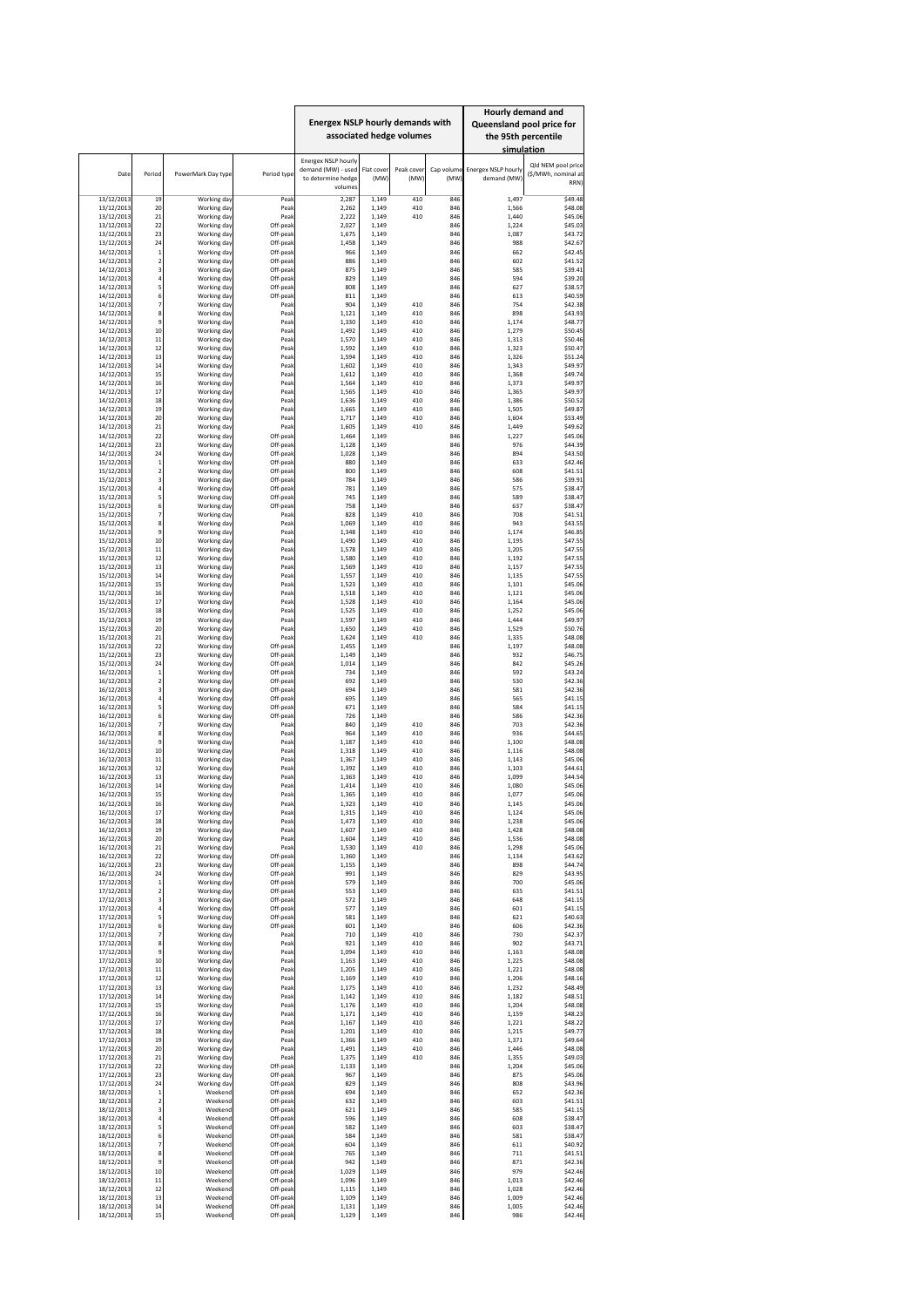|                          |                 |                            |                      |                                                                     |                    |                    | Hourly demand and                                |                                   |                                           |
|--------------------------|-----------------|----------------------------|----------------------|---------------------------------------------------------------------|--------------------|--------------------|--------------------------------------------------|-----------------------------------|-------------------------------------------|
|                          |                 |                            |                      | <b>Energex NSLP hourly demands with</b><br>associated hedge volumes |                    |                    | Queensland pool price for<br>the 95th percentile |                                   |                                           |
|                          |                 |                            |                      |                                                                     |                    |                    | simulation                                       |                                   |                                           |
| Date                     | Period          | PowerMark Day type         | Period type          | Energex NSLP hourly<br>demand (MW) - used<br>to determine hedge     | Flat cover<br>(MW) | Peak cover<br>(MW) | Cap volume<br>(MW)                               | Energex NSLP hourly<br>demand (MW | Qld NEM pool price<br>(\$/MWh, nominal at |
|                          |                 |                            |                      | volumes                                                             |                    |                    |                                                  |                                   | RRN)                                      |
| 13/12/2013               | 19              | Working day                | Peak                 | 2,287                                                               | 1,149              | 410                | 846                                              | 1,497                             | \$49.48                                   |
| 13/12/2013               | 20              | Working day                | Peak                 | 2.262                                                               | 1.149              | 410                | 846                                              | 1.566                             | \$48.08                                   |
| 13/12/2013               | $\overline{21}$ | Working day                | Peak                 | 2,222                                                               | 1,149              | 410                | 846                                              | 1,440                             | \$45.06                                   |
| 13/12/2013               | 22              | Working day                | Off-peal             | 2,027                                                               | 1,149              |                    | 846                                              | 1,224                             | \$45.03                                   |
| 13/12/2013               | 2 <sup>2</sup>  | Working day                | Off-peal             | 1,675                                                               | 1,149              |                    | 846                                              | 1,087                             | \$43.72                                   |
| 13/12/2013               | 24              | Working day                | Off-peal             | 1.458                                                               | 1.149              |                    | 846                                              | 988                               | \$42.67                                   |
| 14/12/2013               | 1               | Working day                | Off-peal             | 966                                                                 | 1,149              |                    | 846                                              | 662                               | \$42.45                                   |
| 14/12/2013               | 2               | Working day                | Off-peal             | 886                                                                 | 1,149              |                    | 846                                              | 602                               | \$41.52                                   |
| 14/12/2013               | 3               | Working day                | Off-peal             | 875                                                                 | 1,149              |                    | 846                                              | 585                               | \$39.41                                   |
| 14/12/2013               | 4               | Working day                | Off-peal             | 829                                                                 | 1.149              |                    | 846                                              | 594                               | \$39.20                                   |
| 14/12/2013               | 5               | Working day                | Off-peak             | 808                                                                 | 1,149              |                    | 846                                              | 627                               | \$38.57                                   |
| 14/12/2013               | 6               | Working day                | Off-peak             | 811                                                                 | 1,149              | 410                | 846                                              | 613                               | \$40.59                                   |
| 14/12/2013               | 7               | Working day                | Peal                 | 904                                                                 | 1,149              |                    | 846                                              | 754                               | \$42.38                                   |
| 14/12/2013               | 8               | Working day                | Peal                 | 1,121                                                               | 1,149              | 410                | 846                                              | 898                               | \$43.93                                   |
| 14/12/2013               | 9               | Working day                | Peak                 | 1.330                                                               | 1.149              | 410                | 846                                              | 1.174                             | \$48.77                                   |
| 14/12/2013               | 10              | Working day                | Peak                 | 1,492                                                               | 1,149              | 410                | 846                                              | 1,279                             | \$50.45                                   |
| 14/12/2013               | 11              | Working day                | Peal                 | 1,570                                                               | 1,149              | 410                | 846                                              | 1,313                             | \$50.46                                   |
| 14/12/2013               | 12              | Working day                | Peal                 | 1,592                                                               | 1,149              | 410                | 846                                              | 1,323                             | \$50.47                                   |
| 14/12/2013               | 13              | Working day                | Peak                 | 1.594                                                               | 1.149              | 410                | 846                                              | 1.326                             | \$51.24                                   |
| 14/12/2013               | 14              | Working day                | Peak                 | 1,602                                                               | 1,149              | 410                | 846                                              | 1,343                             | \$49.97                                   |
| 14/12/2013               | 15              | Working day                | Peal                 | 1,612                                                               | 1,149              | 410                | 846                                              | 1,368                             | \$49.74                                   |
| 14/12/2013               | 16              | Working day                | Peak                 | 1,564                                                               | 1,149              | 410                | 846                                              | 1,373                             | \$49.97                                   |
| 14/12/2013               | 17              | Working day                | Peak                 | 1.565                                                               | 1.149              | 410                | 846                                              | 1.365                             | \$49.97                                   |
| 14/12/2013               | 18              | Working day                | Peal                 | 1,636                                                               | 1,149              | 410                | 846                                              | 1,386                             | \$50.52                                   |
| 14/12/2013               | 19              | Working day                | Peal                 | 1,665                                                               | 1,149              | 410                | 846                                              | 1,505                             | \$49.87                                   |
| 14/12/2013               | 20              | Working day                | Peal                 | 1,717                                                               | 1,149              | 410                | 846                                              | 1,604                             | \$53.49                                   |
| 14/12/2013               | 21              | Working day                | Peak                 | 1.605                                                               | 1.149              | 410                | 846                                              | 1.449                             | \$49.62                                   |
| 14/12/2013               | 22              | Working day                | Off-peak             | 1,464                                                               | 1,149              |                    | 846                                              | 1,227                             | \$45.06                                   |
| 14/12/2013               | 23              | Working day                | Off-peak             | 1,128                                                               | 1,149              |                    | 846                                              | 976                               | \$44.39                                   |
| 14/12/2013               | 24              | Working day                | Off-peak             | 1,028                                                               | 1,149              |                    | 846                                              | 894                               | \$43.50                                   |
| 15/12/2013               | 1               | Working day                | Off-peal             | 880                                                                 | 1.149              |                    | 846                                              | 633                               | \$42.46                                   |
| 15/12/2013               | 2               | Working day                | Off-peal             | 800                                                                 | 1,149              |                    | 846                                              | 608                               | \$41.51                                   |
| 15/12/2013               | 3               | Working day                | Off-peal             | 784                                                                 | 1,149              |                    | 846                                              | 586                               | \$39.91                                   |
| 15/12/2013               | 4               | Working day                | Off-peal             | 781                                                                 | 1,149              |                    | 846                                              | 575                               | \$38.47                                   |
| 15/12/2013               | 5               | Working day                | Off-peal             | 745                                                                 | 1,149              |                    | 846                                              | 589                               | \$38.47                                   |
| 15/12/2013               | 6               | Working day                | Off-peal             | 758                                                                 | 1.149              | 410                | 846                                              | 637                               | \$38.47                                   |
| 15/12/2013               | 7               | Working day                | Peak                 | 828                                                                 | 1,149              |                    | 846                                              | 708                               | \$41.51                                   |
| 15/12/2013               | 8<br>9          | Working day                | Peal<br>Peak         | 1,069<br>1,348                                                      | 1,149<br>1,149     | 410<br>410         | 846<br>846                                       | 943<br>1,174                      | \$43.55<br>\$46.85                        |
| 15/12/2013<br>15/12/2013 | 10              | Working day<br>Working day | Peak                 | 1.490                                                               | 1.149              | 410                | 846                                              | 1.195                             | \$47.55                                   |
| 15/12/2013               | $\overline{11}$ | Working day                | Peal                 | 1,578                                                               | 1,149              | 410                | 846                                              | 1,205                             | \$47.55                                   |
| 15/12/2013               | 12              | Working day                | Peal                 | 1,580                                                               | 1,149              | 410                | 846                                              | 1,192                             | \$47.55                                   |
| 15/12/2013               | 13              | Working day                | Peal                 | 1,569                                                               | 1,149              | 410                | 846                                              | 1,157                             | \$47.55                                   |
| 15/12/2013               | 14              | Working day                | Peak                 | 1,557                                                               | 1.149              | 410                | 846                                              | 1,135                             | \$47.55                                   |
| 15/12/2013               | 15              | Working day                | Peak                 | 1,523                                                               | 1,149              | 410                | 846                                              | 1,101                             | \$45.06                                   |
| 15/12/2013               | 16              | Working day                | Peak                 | 1,518                                                               | 1,149              | 410                | 846                                              | 1,121                             | \$45.06                                   |
| 15/12/2013               | 17              | Working day                | Peak                 | 1,528                                                               | 1,149              | 410                | 846                                              | 1,164                             | \$45.06                                   |
| 15/12/2013               | 18              | Working day                | Peak                 | 1,525                                                               | 1.149              | 410                | 846                                              | 1.252                             | \$45.06                                   |
| 15/12/2013               | 19              | Working day                | Peak                 | 1,597                                                               | 1,149              | 410                | 846                                              | 1,444                             | \$49.97                                   |
| 15/12/2013               | 20              | Working day                | Peal                 | 1,650                                                               | 1,149              | 410                | 846                                              | 1,529                             | \$50.76                                   |
| 15/12/2013               | 21              | Working day                | Peal                 | 1,624                                                               | 1,149              | 410                | 846                                              | 1,335                             | \$48.08                                   |
| 15/12/2013               | 22              | Working day                | Off-peal             | 1.455                                                               | 1.149              |                    | 846                                              | 1.197                             | \$48.08                                   |
| 15/12/2013               | 23              | Working day                | Off-peal             | 1,149                                                               | 1,149              |                    | 846                                              | 932                               | \$46.75                                   |
| 15/12/2013               | 24              | Working day                | Off-peal             | 1,014                                                               | 1,149              |                    | 846                                              | 842                               | \$45.26                                   |
| 16/12/2013               | $\mathbf{1}$    | Working day                | Off-peal             | 734                                                                 | 1,149              |                    | 846                                              | 592                               | \$43.24                                   |
| 16/12/2013               | $\overline{2}$  | Working day                | Off-peal             | 692                                                                 | 1.149              |                    | 846                                              | 530                               | \$42.36                                   |
| 16/12/2013               | 3               | Working day                | Off-peal             | 694                                                                 | 1,149              |                    | 846                                              | 581                               | \$42.36                                   |
| 16/12/2013               | 4               | Working day                | Off-peal             | 695                                                                 | 1,149              |                    | 846                                              | 565                               | \$41.15                                   |
| 16/12/2013               | 5               | Working day                | Off-peal             | 671                                                                 | 1,149              |                    | 846                                              | 584                               | \$41.15                                   |
| 16/12/2013               | 6               | Working day                | Off-peal             | 726                                                                 | 1,149              |                    | 846                                              | 586                               | \$42.36                                   |
| 16/12/2013               | 7               | Working day                | Peak                 | 840                                                                 | 1.149              | 410                | 846                                              | 703                               | \$42.36                                   |
| 16/12/2013               | 8               | Working day                | Peak                 | 964                                                                 | 1,149              | 410                | 846                                              | 936                               | \$44.65                                   |
| 16/12/2013               | 9               | Working day                | Peal                 | 1,187                                                               | 1,149              | 410                | 846                                              | 1,100                             | \$48.08                                   |
| 16/12/2013               | 10              | Working day                | Peal                 | 1,318                                                               | 1,149              | 410                | 846                                              | 1,116                             | \$48.08                                   |
| 16/12/2013               | 11              | Working day                | Peak                 | 1,367                                                               | 1.149              | 410                | 846                                              | 1.143                             | \$45.06                                   |
| 16/12/2013               | 12              | Working day                | Peak                 | 1,392                                                               | 1,149              | 410<br>410         | 846                                              | 1,103                             | \$44.61                                   |
| 16/12/2013               | 13              | Working day                | Peal                 | 1,363                                                               | 1,149              | 410                | 846                                              | 1,099                             | \$44.54                                   |
| 16/12/2013               | 14              | Working day                | Peak                 | 1,414                                                               | 1,149              |                    | 846                                              | 1,080                             | \$45.06                                   |
| 16/12/2013               | 15              | Working day                | Peak                 | 1,365                                                               | 1,149              | 410                | 846                                              | 1,077                             | \$45.06                                   |
| 16/12/2013               | 16              | Working day                | Peal                 | 1,323                                                               | 1,149              | 410                | 846                                              | 1,145                             | \$45.06                                   |
| 16/12/2013               | 17              | Working day                | Peal                 | 1,315                                                               | 1,149              | 410                | 846                                              | 1,124                             | \$45.06                                   |
| 16/12/2013               | 18              | Working day                | Peal                 | 1,473                                                               | 1,149              | 410                | 846                                              | 1,238                             | \$45.06                                   |
| 16/12/2013               | 19              | Working day                | Peak                 | 1.607                                                               | 1.149              | 410                | 846                                              | 1.428                             | \$48.08                                   |
| 16/12/2013               | 20              | Working day                | Peak                 | 1,604                                                               | 1,149              | 410                | 846                                              | 1,536                             | \$48.08                                   |
| 16/12/2013               | 21              | Working day                | Peal                 | 1,530                                                               | 1,149              | 410                | 846                                              | 1,298                             | \$45.06                                   |
| 16/12/2013               | 22              | Working day                | Off-peak             | 1,360                                                               | 1,149              |                    | 846                                              | 1,134                             | \$43.62                                   |
| 16/12/2013               | 23              | Working day                | Off-peak             | 1,155                                                               | 1,149              |                    | 846                                              | 898                               | \$44.74                                   |
| 16/12/2013               | 24              | Working day                | Off-peak             | 991                                                                 | 1,149              |                    | 846                                              | 829                               | \$43.95                                   |
| 17/12/2013               | $\mathbf{1}$    | Working day                | Off-peak             | 579                                                                 | 1,149              |                    | 846                                              | 700                               | \$45.06                                   |
| 17/12/2013               | 2               | Working day                | Off-peak             | 553                                                                 | 1,149              |                    | 846                                              | 635                               | \$41.51                                   |
| 17/12/2013               | 3               | Working day                | Off-peak             | 572                                                                 | 1,149              |                    | 846                                              | 648                               | \$41.15                                   |
| 17/12/2013               | 4               | Working day                | Off-peak             | 577                                                                 | 1,149              |                    | 846                                              | 601                               | \$41.15                                   |
| 17/12/2013               | 5               | Working day                | Off-peak             | 581                                                                 | 1,149              |                    | 846                                              | 621                               | \$40.63                                   |
| 17/12/2013               | 6               | Working day                | Off-peal             | 601                                                                 | 1,149              |                    | 846                                              | 606                               | \$42.36                                   |
| 17/12/2013               | 7               | Working day                | Peak                 | 710                                                                 | 1,149              | 410                | 846                                              | 730                               | \$42.37                                   |
| 17/12/2013               | 8               | Working day                | Peak                 | 921                                                                 | 1,149              | 410                | 846                                              | 902                               | \$43.71                                   |
| 17/12/2013               | 9               | Working day                | Peak                 | 1,094                                                               | 1,149              | 410                | 846                                              | 1,163                             | \$48.08                                   |
| 17/12/2013               | 10              | Working day                | Peak                 | 1,163                                                               | 1,149              | 410                | 846                                              | 1,225                             | \$48.08                                   |
| 17/12/2013               | 11              | Working day                | Peal                 | 1,205                                                               | 1,149              | 410                | 846                                              | 1,221                             | \$48.08                                   |
| 17/12/2013               | 12              | Working day                | Peak                 | 1.169                                                               | 1,149              | 410                | 846                                              | 1,206                             | \$48.16                                   |
| 17/12/2013               | 13              | Working day                | Peal                 | 1,175                                                               | 1,149              | 410                | 846                                              | 1,232                             | \$48.49                                   |
| 17/12/2013               | 14<br>15        | Working day                | Peal<br>Peal         | 1,142                                                               | 1,149              | 410<br>410         | 846<br>846                                       | 1,182                             | \$48.51<br>\$48.08                        |
| 17/12/2013<br>17/12/2013 | 16              | Working day<br>Working day | Peak                 | 1,176<br>1,171                                                      | 1,149<br>1,149     | 410                | 846                                              | 1,204<br>1,159                    | \$48.23                                   |
| 17/12/2013               | 17              | Working day                | Peak                 | 1,167                                                               | 1,149              | 410                | 846                                              | 1,221                             | \$48.22                                   |
| 17/12/2013               | 18              | Working day                | Peak                 | 1,201                                                               | 1,149              | 410                | 846                                              | 1,215                             | \$49.77                                   |
| 17/12/2013               | 19<br>20        | Working day                | Peak<br>Peak         | 1,366<br>1.491                                                      | 1,149              | 410<br>410         | 846<br>846                                       | 1,371                             | \$49.64<br>\$48.08                        |
| 17/12/2013<br>17/12/2013 | $\overline{21}$ | Working day<br>Working day | Peak                 | 1,375                                                               | 1,149<br>1,149     | 410                | 846                                              | 1,446<br>1,355                    | \$49.03                                   |
| 17/12/2013               | $_{22}$         | Working day                | Off-peal             | 1,133                                                               | 1,149              |                    | 846                                              | 1,204                             | \$45.06                                   |
| 17/12/2013               | 23              | Working day                | Off-peal             | 967                                                                 | 1,149              |                    | 846                                              | 875                               | \$45.06                                   |
| 17/12/2013               | 24              | Working day                | Off-peak             | 829                                                                 | 1,149              |                    | 846                                              | 808                               | \$43.96                                   |
| 18/12/2013               | $\mathbf{1}$    | Weekend                    | Off-peak             | 694                                                                 | 1.149              |                    | 846                                              | 652                               | \$42.36                                   |
| 18/12/2013               | 2               | Weekend                    | Off-peak             | 632                                                                 | 1,149              |                    | 846                                              | 603                               | \$41.51                                   |
| 18/12/2013               | 3               | Weekend<br>Weekend         | Off-peak             | 621<br>596                                                          | 1,149              |                    | 846<br>846                                       | 585<br>608                        | \$41.15<br>\$38.47                        |
| 18/12/2013<br>18/12/2013 | 4<br>5          | Weekend                    | Off-peak<br>Off-peak | 582                                                                 | 1,149<br>1.149     |                    | 846                                              | 603                               | \$38.47                                   |
| 18/12/2013               | 6               | Weekend                    | Off-peal             | 584                                                                 | 1,149              |                    | 846                                              | 581                               | \$38.47                                   |
| 18/12/2013               | 7               | Weekend                    | Off-peal             | 604                                                                 | 1,149              |                    | 846                                              | 611                               | \$40.92                                   |
| 18/12/2013               | 8               | Weekend                    | Off-peal             | 765                                                                 | 1,149              |                    | 846                                              | 711                               | \$41.51                                   |
| 18/12/2013               | 9               | Weekend                    | Off-peak             | 942                                                                 | 1,149              |                    | 846                                              | 871                               | \$42.36                                   |
| 18/12/2013               | 10              | Weekend                    | Off-peak             | 1,029                                                               | 1,149              |                    | 846                                              | 979                               | \$42.46                                   |
| 18/12/2013               | $11\,$          | Weekend                    | Off-peak             | 1,096                                                               | 1,149              |                    | 846                                              | 1,013                             | \$42.46                                   |
| 18/12/2013               | 12              | Weekend                    | Off-peak             | 1,115                                                               | 1,149              |                    | 846                                              | 1,028                             | \$42.46                                   |
| 18/12/2013               | 13              | Weekend                    | Off-peak             | 1,109                                                               | 1,149              |                    | 846                                              | 1,009                             | \$42.46                                   |
| 18/12/2013               | 14              | Weekend                    | Off-peak             | 1,131                                                               | 1,149              |                    | 846                                              | 1,005                             | \$42.46                                   |
| 18/12/2013               | 15              | Weekend                    | Off-peak             | 1,129                                                               | 1,149              |                    | 846                                              | 986                               | \$42.46                                   |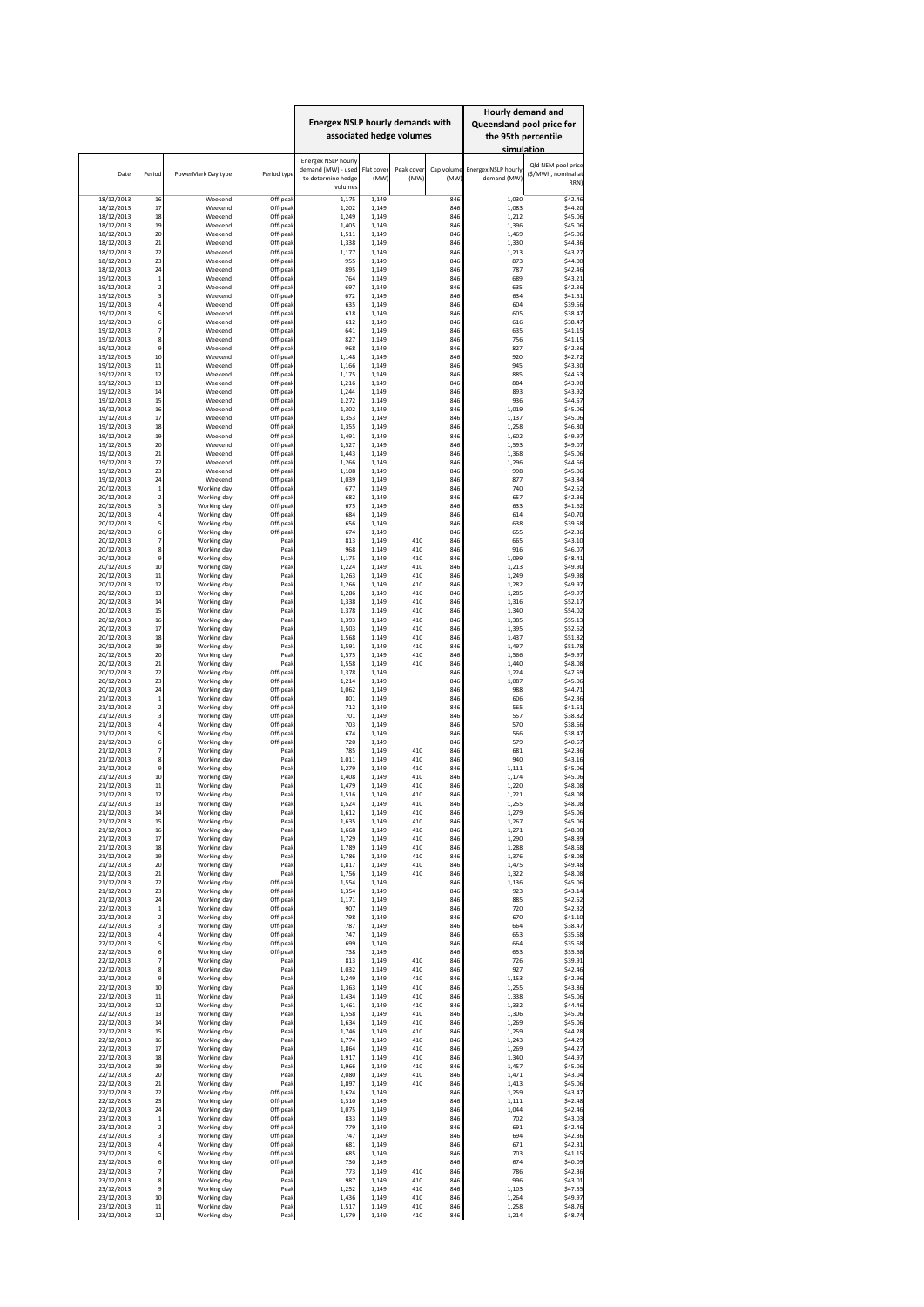|                          |                                |                            |                      |                                                                     |                    | Hourly demand and  |                                                  |                                   |                     |
|--------------------------|--------------------------------|----------------------------|----------------------|---------------------------------------------------------------------|--------------------|--------------------|--------------------------------------------------|-----------------------------------|---------------------|
|                          |                                |                            |                      | <b>Energex NSLP hourly demands with</b><br>associated hedge volumes |                    |                    | Queensland pool price for<br>the 95th percentile |                                   |                     |
|                          |                                |                            |                      |                                                                     |                    |                    |                                                  | simulation                        |                     |
|                          |                                |                            |                      | Energex NSLP hourly                                                 |                    |                    |                                                  |                                   | Qld NEM pool price  |
| Date                     | Period                         | PowerMark Day type         | Period type          | demand (MW) - used<br>to determine hedge                            | Flat cover<br>(MW) | Peak cover<br>(MW) | Cap volume<br>(MW                                | Energex NSLP hourly<br>demand (MW | (\$/MWh, nominal at |
|                          |                                |                            |                      | volumes                                                             |                    |                    |                                                  |                                   | RRN)                |
| 18/12/2013<br>18/12/2013 | 16<br>17                       | Weekend<br>Weekend         | Off-peal<br>Off-peal | 1,175<br>1.202                                                      | 1,149<br>1.149     |                    | 846<br>846                                       | 1,030<br>1.083                    | \$42.46<br>\$44.20  |
| 18/12/2013               | 18                             | Weekend                    | Off-peak             | 1,249                                                               | 1,149              |                    | 846                                              | 1,212                             | \$45.06             |
| 18/12/2013<br>18/12/2013 | 19<br>20                       | Weekend<br>Weekend         | Off-peak<br>Off-peak | 1,405<br>1,511                                                      | 1,149<br>1,149     |                    | 846<br>846                                       | 1,396<br>1,469                    | \$45.06<br>\$45.06  |
| 18/12/2013<br>18/12/2013 | 21<br>22                       | Weekend<br>Weekend         | Off-peal<br>Off-peal | 1.338<br>1,177                                                      | 1.149<br>1,149     |                    | 846<br>846                                       | 1.330<br>1,213                    | \$44.36<br>\$43.27  |
| 18/12/2013               | 23                             | Weekend                    | Off-peal             | 955                                                                 | 1,149              |                    | 846                                              | 873                               | \$44.00             |
| 18/12/2013<br>19/12/2013 | 24<br>$\mathbf{1}$             | Weekend<br>Weekend         | Off-peal<br>Off-peak | 895<br>764                                                          | 1,149<br>1,149     |                    | 846<br>846                                       | 787<br>689                        | \$42.46<br>\$43.21  |
| 19/12/2013               | $\mathbf 2$                    | Weekend                    | Off-peak             | 697                                                                 | 1,149              |                    | 846                                              | 635                               | \$42.36             |
| 19/12/2013<br>19/12/2013 | 3<br>4                         | Weekend<br>Weekend         | Off-peak<br>Off-peak | 672<br>635                                                          | 1,149<br>1,149     |                    | 846<br>846                                       | 634<br>604                        | \$41.51<br>\$39.56  |
| 19/12/2013               | 5                              | Weekend                    | Off-peak             | 618                                                                 | 1,149              |                    | 846                                              | 605                               | \$38.47             |
| 19/12/2013<br>19/12/2013 | 6<br>7                         | Weekend<br>Weekend         | Off-peak<br>Off-peak | 612<br>641                                                          | 1.149<br>1,149     |                    | 846<br>846                                       | 616<br>635                        | \$38.47<br>\$41.15  |
| 19/12/2013               | 8<br>q                         | Weekend                    | Off-peal             | 827                                                                 | 1,149              |                    | 846<br>846                                       | 756<br>827                        | \$41.15             |
| 19/12/2013<br>19/12/2013 | 10                             | Weekend<br>Weekend         | Off-peal<br>Off-peak | 968<br>1.148                                                        | 1,149<br>1.149     |                    | 846                                              | 920                               | \$42.36<br>\$42.72  |
| 19/12/2013<br>19/12/2013 | 11<br>12                       | Weekend<br>Weekend         | Off-peak<br>Off-peak | 1,166<br>1,175                                                      | 1,149<br>1,149     |                    | 846<br>846                                       | 945<br>885                        | \$43.30<br>\$44.53  |
| 19/12/2013               | 13                             | Weekend                    | Off-peak             | 1,216                                                               | 1,149              |                    | 846                                              | 884                               | \$43.90             |
| 19/12/2013<br>19/12/2013 | 14<br>15                       | Weekend<br>Weekend         | Off-peal<br>Off-peak | 1.244<br>1,272                                                      | 1.149<br>1,149     |                    | 846<br>846                                       | 893<br>936                        | \$43.92<br>\$44.57  |
| 19/12/2013               | 16                             | Weekend                    | Off-peak<br>Off-peal | 1,302                                                               | 1,149              |                    | 846                                              | 1,019                             | \$45.06             |
| 19/12/2013<br>19/12/2013 | 17<br>18                       | Weekend<br>Weekend         | Off-peak             | 1,353<br>1.355                                                      | 1,149<br>1.149     |                    | 846<br>846                                       | 1,137<br>1,258                    | \$45.06<br>\$46.80  |
| 19/12/2013<br>19/12/2013 | 19<br>20                       | Weekend<br>Weekend         | Off-peak<br>Off-peak | 1,491<br>1,527                                                      | 1,149<br>1,149     |                    | 846<br>846                                       | 1,602<br>1,593                    | \$49.97<br>\$49.07  |
| 19/12/2013               | 21                             | Weekend                    | Off-peak             | 1,443                                                               | 1,149              |                    | 846                                              | 1,368                             | \$45.06             |
| 19/12/2013<br>19/12/2013 | 22<br>23                       | Weekend<br>Weekend         | Off-peak<br>Off-peak | 1.266<br>1,108                                                      | 1.149<br>1,149     |                    | 846<br>846                                       | 1.296<br>998                      | \$44.66<br>\$45.06  |
| 19/12/2013               | 24                             | Weekend                    | Off-peal             | 1,039                                                               | 1,149              |                    | 846                                              | 877                               | \$43.84             |
| 20/12/2013<br>20/12/2013 | 1<br>$\overline{2}$            | Working day<br>Working day | Off-peal<br>Off-peal | 677<br>682                                                          | 1,149<br>1.149     |                    | 846<br>846                                       | 740<br>657                        | \$42.52<br>\$42.36  |
| 20/12/2013               | 3                              | Working day                | Off-peak             | 675<br>684                                                          | 1.149              |                    | 846<br>846                                       | 633<br>614                        | \$41.62             |
| 20/12/2013<br>20/12/2013 | 5                              | Working day<br>Working day | Off-peak<br>Off-peak | 656                                                                 | 1,149<br>1,149     |                    | 846                                              | 638                               | \$40.70<br>\$39.58  |
| 20/12/2013<br>20/12/2013 | 6<br>7                         | Working day<br>Working day | Off-peak<br>Peak     | 674<br>813                                                          | 1,149<br>1.149     | 410                | 846<br>846                                       | 655<br>665                        | \$42.36<br>\$43.10  |
| 20/12/2013               | 8                              | Working day                | Peal                 | 968                                                                 | 1,149              | 410                | 846                                              | 916                               | \$46.07             |
| 20/12/2013<br>20/12/2013 | 9<br>10                        | Working day<br>Working day | Peal<br>Peal         | 1,175<br>1,224                                                      | 1,149<br>1,149     | 410<br>410         | 846<br>846                                       | 1,099<br>1,213                    | \$48.41<br>\$49.90  |
| 20/12/2013               | 11                             | Working day                | Peal                 | 1,263                                                               | 1.149              | 410                | 846                                              | 1,249                             | \$49.98             |
| 20/12/2013<br>20/12/2013 | 12<br>13                       | Working day<br>Working day | Peak<br>Peak         | 1,266<br>1,286                                                      | 1,149<br>1,149     | 410<br>410         | 846<br>846                                       | 1,282<br>1,285                    | \$49.97<br>\$49.97  |
| 20/12/2013<br>20/12/2013 | 14<br>15                       | Working day<br>Working day | Peak<br>Peal         | 1,338<br>1.378                                                      | 1,149<br>1.149     | 410<br>410         | 846<br>846                                       | 1,316<br>1.340                    | \$52.17<br>\$54.02  |
| 20/12/2013               | 16                             | Working day                | Peal                 | 1,393                                                               | 1,149              | 410                | 846                                              | 1,385                             | \$55.13             |
| 20/12/2013<br>20/12/2013 | 17<br>18                       | Working day<br>Working day | Peal<br>Peal         | 1,503<br>1,568                                                      | 1,149<br>1,149     | 410<br>410         | 846<br>846                                       | 1,395<br>1,437                    | \$52.62<br>\$51.82  |
| 20/12/2013               | 19                             | Working day                | Peal                 | 1.591                                                               | 1.149              | 410                | 846                                              | 1.497                             | \$51.78             |
| 20/12/2013<br>20/12/2013 | 20<br>21                       | Working day<br>Working day | Peal<br>Peak         | 1,575<br>1,558                                                      | 1,149<br>1,149     | 410<br>410         | 846<br>846                                       | 1,566<br>1,440                    | \$49.97<br>\$48.08  |
| 20/12/2013<br>20/12/2013 | 22<br>23                       | Working day                | Off-peal             | 1,378                                                               | 1,149              |                    | 846<br>846                                       | 1,224                             | \$47.59<br>\$45.06  |
| 20/12/2013               | 24                             | Working day<br>Working day | Off-peal<br>Off-peal | 1.214<br>1,062                                                      | 1.149<br>1,149     |                    | 846                                              | 1,087<br>988                      | \$44.71             |
| 21/12/2013<br>21/12/2013 | $\mathbf{1}$<br>$\overline{a}$ | Working day<br>Working day | Off-peal<br>Off-peal | 801<br>712                                                          | 1,149<br>1,149     |                    | 846<br>846                                       | 606<br>565                        | \$42.36<br>\$41.51  |
| 21/12/2013               | 3                              | Working day                | Off-peal             | 701                                                                 | 1,149              |                    | 846                                              | 557                               | \$38.82             |
| 21/12/2013<br>21/12/2013 | 4<br>5                         | Working day<br>Working day | Off-peak<br>Off-peak | 703<br>674                                                          | 1.149<br>1,149     |                    | 846<br>846                                       | 570<br>566                        | \$38.66<br>\$38.47  |
| 21/12/2013               | 6                              | Working day                | Off-peak             | 720                                                                 | 1,149              |                    | 846                                              | 579                               | \$40.67             |
| 21/12/2013<br>21/12/2013 | 7<br>8                         | Working day<br>Working day | Peal<br>Peak         | 785<br>1,011                                                        | 1,149<br>1.149     | 410<br>410         | 846<br>846                                       | 681<br>940                        | \$42.36<br>\$43.16  |
| 21/12/2013<br>21/12/2013 | 9<br>10                        | Working day<br>Working day | Peal<br>Peal         | 1,279<br>1,408                                                      | 1,149<br>1,149     | 410<br>410         | 846<br>846                                       | 1,111<br>1,174                    | \$45.06<br>\$45.06  |
| 21/12/2013               | 11                             | Working day                | Peal                 | 1,479                                                               | 1,149              | 410                | 846                                              | 1,220                             | \$48.08             |
| 21/12/2013<br>21/12/2013 | 12<br>1:                       | Working day<br>Working day | Peal<br>Peal         | 1,516<br>1.524                                                      | 1,149<br>1.149     | 410<br>410         | 846<br>846                                       | 1.221<br>1,255                    | \$48.08<br>\$48.08  |
| 21/12/2013               | 14                             | Working day                | Peal                 | 1,612                                                               | 1,149              | 410                | 846                                              | 1,279                             | \$45.06             |
| 21/12/2013<br>21/12/2013 | 15<br>16                       | Working day<br>Working day | Peal<br>Peak         | 1,635<br>1.668                                                      | 1,149<br>1,149     | 410<br>410         | 846<br>846                                       | 1,267<br>1.271                    | \$45.06<br>\$48.08  |
| 21/12/2013<br>21/12/2013 | 17<br>18                       | Working day                | Peak<br>Peak         | 1,729<br>1,789                                                      | 1,149<br>1,149     | 410<br>410         | 846<br>846                                       | 1,290<br>1,288                    | \$48.89<br>\$48.68  |
| 21/12/2013               | 19                             | Working day<br>Working day | Peal                 | 1,786                                                               | 1,149              | 410                | 846                                              | 1,376                             | \$48.08             |
| 21/12/2013<br>21/12/2013 | 20<br>21                       | Working day<br>Working day | Peak<br>Peak         | 1,817<br>1,756                                                      | 1,149<br>1,149     | 410<br>410         | 846<br>846                                       | 1,475<br>1,322                    | \$49.48<br>\$48.08  |
| 21/12/2013               | 22                             | Working day                | Off-peak             | 1,554                                                               | 1,149              |                    | 846                                              | 1,136                             | \$45.06             |
| 21/12/2013<br>21/12/2013 | 23<br>24                       | Working day<br>Working day | Off-peak<br>Off-peak | 1,354<br>1,171                                                      | 1,149<br>1,149     |                    | 846<br>846                                       | 923<br>885                        | \$43.14<br>\$42.52  |
| 22/12/2013<br>22/12/2013 | $\mathbf{1}$<br>$\overline{a}$ | Working day<br>Working day | Off-peak<br>Off-peak | 907<br>798                                                          | 1,149<br>1,149     |                    | 846<br>846                                       | 720<br>670                        | \$42.32<br>\$41.10  |
| 22/12/2013               | з                              | Working day                | Off-peak             | 787                                                                 | 1,149              |                    | 846                                              | 664                               | \$38.47             |
| 22/12/2013<br>22/12/2013 | 4<br>5                         | Working day<br>Working day | Off-peak<br>Off-peak | 747<br>699                                                          | 1,149<br>1,149     |                    | 846<br>846                                       | 653<br>664                        | \$35.68<br>\$35.68  |
| 22/12/2013               | 6                              | Working day                | Off-peak             | 738                                                                 | 1,149              |                    | 846                                              | 653                               | \$35.68             |
| 22/12/2013<br>22/12/2013 | 7<br>8                         | Working day<br>Working day | Peak<br>Peak         | 813<br>1,032                                                        | 1,149<br>1,149     | 410<br>410         | 846<br>846                                       | 726<br>927                        | \$39.91<br>\$42.46  |
| 22/12/2013<br>22/12/2013 | 9<br>10                        | Working day<br>Working day | Peak<br>Peak         | 1.249<br>1,363                                                      | 1,149<br>1,149     | 410<br>410         | 846<br>846                                       | 1.153<br>1,255                    | \$42.96<br>\$43.86  |
| 22/12/2013               | 11                             | Working day                | Peak                 | 1,434                                                               | 1,149              | 410                | 846                                              | 1,338                             | \$45.06             |
| 22/12/2013<br>22/12/2013 | 12<br>13                       | Working day<br>Working day | Peal<br>Peak         | 1,461<br>1,558                                                      | 1,149<br>1,149     | 410<br>410         | 846<br>846                                       | 1,332<br>1,306                    | \$44.46<br>\$45.06  |
| 22/12/2013               | 14                             | Working day                | Peak                 | 1,634                                                               | 1,149              | 410                | 846                                              | 1,269                             | \$45.06             |
| 22/12/2013<br>22/12/2013 | 15<br>16                       | Working day<br>Working day | Peak<br>Peak         | 1,746<br>1,774                                                      | 1,149<br>1,149     | 410<br>410         | 846<br>846                                       | 1,259<br>1,243                    | \$44.28<br>\$44.29  |
| 22/12/2013<br>22/12/2013 | 17<br>18                       | Working day                | Peak<br>Peak         | 1,864<br>1,917                                                      | 1,149<br>1,149     | 410<br>410         | 846<br>846                                       | 1,269<br>1,340                    | \$44.27<br>\$44.97  |
| 22/12/2013               | 19                             | Working day<br>Working day | Peak                 | 1,966                                                               | 1,149              | 410                | 846                                              | 1,457                             | \$45.06             |
| 22/12/2013<br>22/12/2013 | 20<br>21                       | Working day<br>Working day | Peak<br>Peak         | 2,080<br>1,897                                                      | 1,149<br>1,149     | 410<br>410         | 846<br>846                                       | 1,471<br>1,413                    | \$43.04<br>\$45.06  |
| 22/12/2013               | 22                             | Working day                | Off-peak             | 1,624                                                               | 1.149              |                    | 846                                              | 1,259                             | \$43.47             |
| 22/12/2013<br>22/12/2013 | 23<br>24                       | Working day<br>Working day | Off-peal<br>Off-peak | 1,310<br>1,075                                                      | 1,149<br>1,149     |                    | 846<br>846                                       | 1,111<br>1,044                    | \$42.48<br>\$42.46  |
| 23/12/2013               | $\mathbf{1}$<br>$\overline{a}$ | Working day                | Off-peak             | 833                                                                 | 1,149              |                    | 846<br>846                                       | 702<br>691                        | \$43.03<br>\$42.46  |
| 23/12/2013<br>23/12/2013 | 3                              | Working day<br>Working day | Off-peak<br>Off-peak | 779<br>747                                                          | 1,149<br>1,149     |                    | 846                                              | 694                               | \$42.36             |
| 23/12/2013<br>23/12/2013 | 5                              | Working day<br>Working day | Off-peak<br>Off-peak | 681<br>685                                                          | 1,149<br>1,149     |                    | 846<br>846                                       | 671<br>703                        | \$42.31<br>\$41.15  |
| 23/12/2013               | 6                              | Working day                | Off-peak             | 730                                                                 | 1,149              |                    | 846                                              | 674                               | \$40.09             |
| 23/12/2013<br>23/12/2013 | 7<br>8                         | Working day<br>Working day | Peak<br>Peak         | 773<br>987                                                          | 1,149<br>1,149     | 410<br>410         | 846<br>846                                       | 786<br>996                        | \$42.36<br>\$43.01  |
| 23/12/2013<br>23/12/2013 | 9<br>10                        | Working day                | Peak<br>Peak         | 1,252<br>1,436                                                      | 1,149<br>1,149     | 410<br>410         | 846<br>846                                       | 1,103<br>1,264                    | \$47.55<br>\$49.97  |
| 23/12/2013               | 11                             | Working day<br>Working day | Peak                 | 1,517                                                               | 1,149              | 410                | 846                                              | 1,258                             | \$48.76             |
| 23/12/2013               | 12                             | Working day                | Peak                 | 1,579                                                               | 1,149              | 410                | 846                                              | 1,214                             | \$48.74             |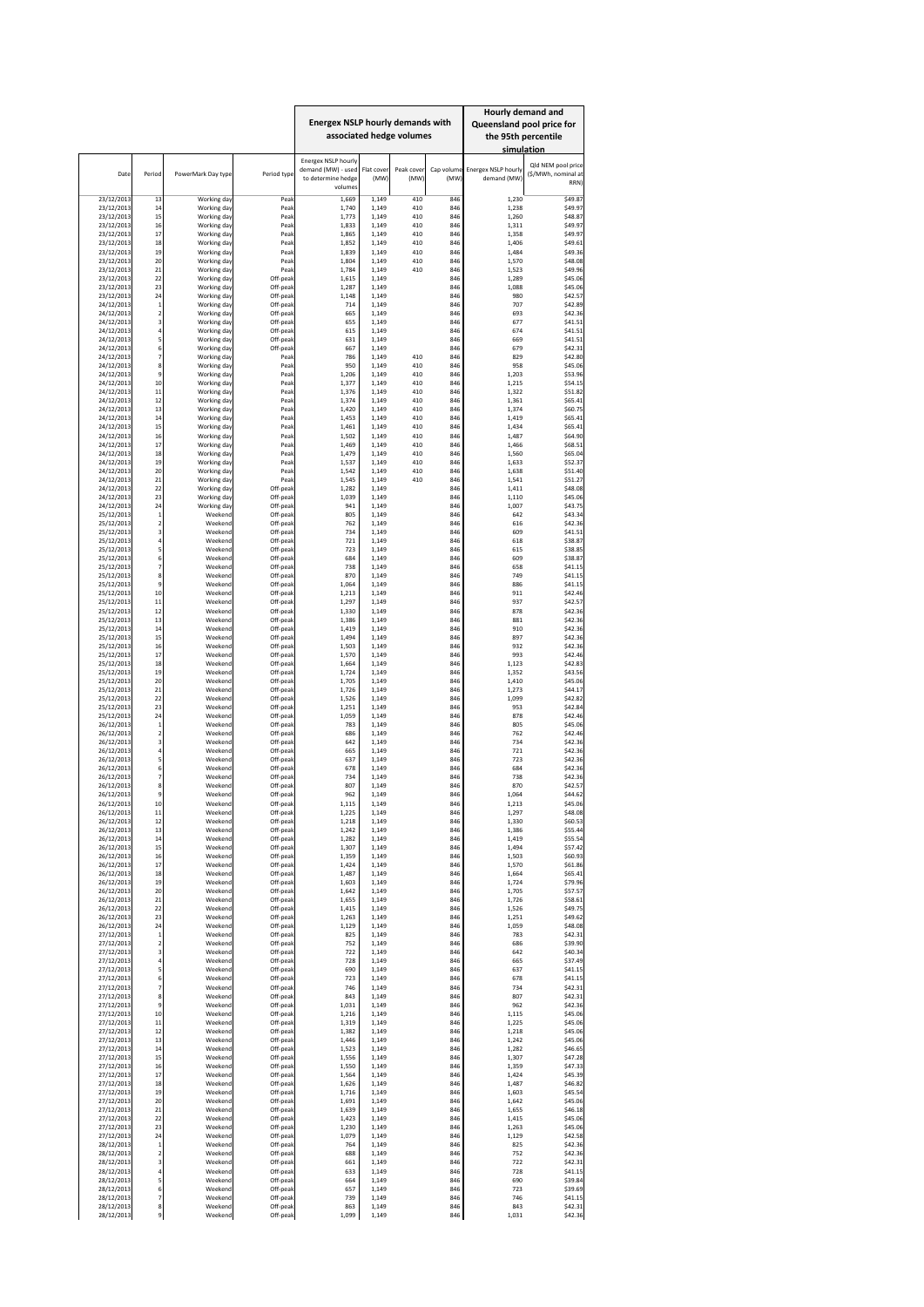|                          |                         |                    |                      |                                           |                |                          |                    | Hourly demand and<br>Queensland pool price for |                                   |  |
|--------------------------|-------------------------|--------------------|----------------------|-------------------------------------------|----------------|--------------------------|--------------------|------------------------------------------------|-----------------------------------|--|
|                          |                         |                    |                      | <b>Energex NSLP hourly demands with</b>   |                | associated hedge volumes |                    | the 95th percentile                            |                                   |  |
|                          |                         |                    |                      |                                           |                |                          |                    | simulation                                     |                                   |  |
|                          |                         |                    |                      | Energex NSLP hourly<br>demand (MW) - used | Flat cover     |                          |                    | Energex NSLP hourly                            | Qld NEM pool price                |  |
| Date                     | Period                  | PowerMark Day type | Period type          | to determine hedge                        | (MW)           | Peak cover<br>(MW)       | Cap volume<br>(MW) | demand (MW)                                    | (\$/MWh, nominal at<br><b>RRN</b> |  |
|                          |                         |                    |                      | volume                                    |                |                          |                    |                                                |                                   |  |
| 23/12/2013               | 13                      | Working day        | Pea                  | 1.669                                     | 1,149          | 410                      | 846                | 1,230                                          | \$49.87                           |  |
| 23/12/2013               | 14                      | Working day        | Peal                 | 1,740                                     | 1,149          | 410                      | 846                | 1,238                                          | \$49.97                           |  |
| 23/12/2013               | 15                      | Working day        | Peal                 | 1,773                                     | 1,149          | 410                      | 846                | 1,260                                          | \$48.87                           |  |
| 23/12/2013               | 16                      | Working day        | Peal                 | 1.833                                     | 1.149          | 410                      | 846                | 1,311                                          | \$49.97                           |  |
| 23/12/2013               | 17                      | Working day        | Peal                 | 1,865                                     | 1,149          | 410                      | 846                | 1,358                                          | \$49.97                           |  |
| 23/12/2013               | 18                      | Working day        | Peal                 | 1,852                                     | 1,149          | 410                      | 846                | 1,406                                          | \$49.6                            |  |
| 23/12/2013               | 19                      | Working day        | Peal                 | 1,839                                     | 1,149          | 410                      | 846                | 1,484                                          | \$49.36                           |  |
| 23/12/2013               | 20                      | Working day        | Peal                 | 1.804                                     | 1.149          | 410                      | 846                | 1,570                                          | \$48.08                           |  |
| 23/12/2013               | 21                      | Working day        | Peak                 | 1,784                                     | 1,149          | 410                      | 846                | 1,523                                          | \$49.96                           |  |
| 23/12/2013               | 22                      | Working day        | Off-peak             | 1,615                                     | 1,149          |                          | 846                | 1,289                                          | \$45.06                           |  |
| 23/12/2013               | 23                      | Working day        | Off-peak             | 1,287                                     | 1,149          |                          | 846                | 1,088                                          | \$45.06                           |  |
| 23/12/2013               | 24                      | Working day        | Off-peal             | 1,148                                     | 1.149          |                          | 846                | 980                                            | \$42.57                           |  |
| 24/12/2013               | $\mathbf{1}$            | Working day        | Off-peal             | 714                                       | 1.149          |                          | 846                | 707                                            | \$42.89                           |  |
| 24/12/2013               | $\mathbf 2$             | Working day        | Off-peal             | 665                                       | 1,149          |                          | 846                | 693                                            | \$42.36                           |  |
| 24/12/2013               | 3                       | Working day        | Off-peal             | 655                                       | 1,149          |                          | 846                | 677                                            | \$41.5                            |  |
| 24/12/2013               | 4                       | Working day        | Off-peal             | 615                                       | 1,149          |                          | 846                | 674                                            | \$41.5                            |  |
| 24/12/2013               | 5                       | Working day        | Off-peal             | 631                                       | 1.149          |                          | 846                | 669                                            | \$41.51                           |  |
| 24/12/2013               | 6                       | Working day        | Off-peal             | 667                                       | 1,149          |                          | 846                | 679                                            | \$42.31                           |  |
| 24/12/2013               | $\overline{7}$          | Working day        | Peal                 | 786                                       | 1,149          | 410                      | 846                | 829                                            | \$42.80                           |  |
| 24/12/2013               | 8                       | Working day        | Peak                 | 950                                       | 1,149          | 410                      | 846                | 958                                            | \$45.06                           |  |
| 24/12/2013               | 9                       | Working day        | Peal                 | 1.206                                     | 1.149          | 410                      | 846                | 1.203                                          | \$53.96                           |  |
| 24/12/2013               | 10                      | Working day        | Peal                 | 1,377                                     | 1,149          | 410                      | 846                | 1,215                                          | \$54.15                           |  |
| 24/12/2013               | 11                      | Working day        | Peal                 | 1,376                                     | 1,149          | 410                      | 846                | 1,322                                          | \$51.82                           |  |
| 24/12/2013               | 12                      | Working day        | Peal                 | 1,374                                     | 1,149          | 410                      | 846                | 1,361                                          | \$65.41                           |  |
| 24/12/2013               | 13                      | Working day        | Peal                 | 1.420                                     | 1.149          | 410                      | 846                | 1,374                                          | \$60.75                           |  |
| 24/12/2013               | 14                      | Working day        | Peak                 | 1,453                                     | 1,149          | 410                      | 846                | 1,419                                          | \$65.41                           |  |
| 24/12/2013               | 15                      | Working day        | Peal                 | 1,461                                     | 1,149          | 410                      | 846                | 1,434                                          | \$65.41                           |  |
| 24/12/2013               | 16                      | Working day        | Peak                 | 1,502                                     | 1,149          | 410                      | 846                | 1,487                                          | \$64.90                           |  |
| 24/12/2013               | 17                      | Working day        | Peak                 | 1.469                                     | 1.149          | 410                      | 846                | 1.466                                          | \$68.51                           |  |
| 24/12/2013               | 18                      | Working day        | Peal                 | 1,479                                     | 1,149          | 410                      | 846                | 1,560                                          | \$65.04                           |  |
| 24/12/2013               | 19                      | Working day        | Peal                 | 1,537                                     | 1,149          | 410                      | 846                | 1,633                                          | \$52.3                            |  |
| 24/12/2013               | 20                      | Working day        | Peal                 | 1,542                                     | 1,149          | 410                      | 846                | 1,638                                          | \$51.40                           |  |
| 24/12/2013               | 21                      | Working day        | Peal                 | 1.545                                     | 1.149          | 410                      | 846                | 1,541                                          | \$51.27                           |  |
| 24/12/2013               | 22                      | Working day        | Off-peal             | 1,282                                     | 1,149          |                          | 846                | 1,411                                          | \$48.08                           |  |
| 24/12/2013               | 23                      | Working day        | Off-peal             | 1,039                                     | 1,149          |                          | 846                | 1,110                                          | \$45.06                           |  |
| 24/12/2013               | 24                      | Working day        | Off-peal             | 941                                       | 1,149          |                          | 846                | 1,007                                          | \$43.75                           |  |
| 25/12/2013               | $\overline{1}$          | Weekend            | Off-peal             | 805                                       | 1,149          |                          | 846                | 642                                            | \$43.34                           |  |
| 25/12/2013               | $\overline{2}$          | Weekend            | Off-peal             | 762                                       | 1.149          |                          | 846                | 616                                            | \$42.36                           |  |
| 25/12/2013               | 3                       | Weekend            | Off-peal             | 734                                       | 1,149          |                          | 846                | 609                                            | \$41.51                           |  |
| 25/12/2013               | 4<br>5                  | Weekend<br>Weekend | Off-peal<br>Off-peal | 721<br>723                                | 1,149<br>1,149 |                          | 846<br>846         | 618<br>615                                     | \$38.8<br>\$38.85                 |  |
| 25/12/2013<br>25/12/2013 | 6                       | Weekend            | Off-peak             | 684                                       | 1.149          |                          | 846                | 609                                            | \$38.87                           |  |
| 25/12/2013               | $\overline{7}$          | Weekend            | Off-peak             | 738                                       | 1,149          |                          | 846                | 658                                            | \$41.15                           |  |
| 25/12/2013               | 8                       | Weekend            | Off-peak             | 870                                       | 1,149          |                          | 846                | 749                                            | \$41.15                           |  |
| 25/12/2013               | $\ddot{q}$              | Weekend            | Off-peak             | 1,064                                     | 1,149          |                          | 846                | 886                                            | \$41.15                           |  |
| 25/12/2013               | 10                      | Weekend            | Off-peal             | 1.213                                     | 1.149          |                          | 846                | 911                                            | \$42.46                           |  |
| 25/12/2013               | 11                      | Weekend            | Off-peal             | 1,297                                     | 1,149          |                          | 846                | 937                                            | \$42.57                           |  |
| 25/12/2013               | 12                      | Weekend            | Off-peal             | 1,330                                     | 1,149          |                          | 846                | 878                                            | \$42.36                           |  |
| 25/12/2013               | 13                      | Weekend            | Off-peal             | 1,386                                     | 1,149          |                          | 846                | 881                                            | \$42.36                           |  |
| 25/12/2013               | 14                      | Weekend            | Off-peal             | 1.419                                     | 1.149          |                          | 846                | 910                                            | \$42.36                           |  |
| 25/12/2013               | 15                      | Weekend            | Off-peal             | 1,494                                     | 1,149          |                          | 846                | 897                                            | \$42.36                           |  |
| 25/12/2013               | 16                      | Weekend            | Off-peak             | 1,503                                     | 1,149          |                          | 846                | 932                                            | \$42.36                           |  |
| 25/12/2013               | 17                      | Weekend            | Off-peak             | 1,570                                     | 1,149          |                          | 846                | 993                                            | \$42.46                           |  |
| 25/12/2013               | 18                      | Weekend            | Off-peal             | 1.664                                     | 1.149          |                          | 846                | 1.123                                          | \$42.83                           |  |
| 25/12/2013               | 19                      | Weekend            | Off-peal             | 1,724                                     | 1,149          |                          | 846                | 1,352                                          | \$43.56                           |  |
| 25/12/2013               | 20                      | Weekend            | Off-peal             | 1,705                                     | 1,149          |                          | 846                | 1,410                                          | \$45.06                           |  |
| 25/12/2013               | 21                      | Weekend            | Off-peal             | 1,726                                     | 1,149          |                          | 846                | 1,273                                          | \$44.17                           |  |
| 25/12/2013               | 22                      | Weekend            | Off-peal             | 1,526                                     | 1,149          |                          | 846                | 1,099                                          | \$42.82                           |  |
| 25/12/2013               | 23                      | Weekend            | Off-peal             | 1.251                                     | 1.149          |                          | 846                | 953                                            | \$42.84                           |  |
| 25/12/2013               | 24                      | Weekend            | Off-peak             | 1,059                                     | 1,149          |                          | 846                | 878                                            | \$42.46                           |  |
| 26/12/2013               | $\mathbf 1$             | Weekend            | Off-peak             | 783                                       | 1,149          |                          | 846                | 805                                            | \$45.06                           |  |
| 26/12/2013               | $\mathbf 2$             | Weekend            | Off-peak             | 686                                       | 1,149          |                          | 846                | 762                                            | \$42.46                           |  |
| 26/12/2013               | $\overline{\mathbf{3}}$ | Weekend            | Off-peak             | 642                                       | 1.149          |                          | 846                | 734                                            | \$42.36                           |  |
| 26/12/2013               | 4                       | Weekend            | Off-peal             | 665                                       | 1,149          |                          | 846                | 721                                            | \$42.36                           |  |
| 26/12/2013               | 5                       | Weekend            | Off-peal             | 637                                       | 1,149          |                          | 846                | 723                                            | \$42.36                           |  |
| 26/12/2013               | 6                       | Weekend            | Off-peal             | 678                                       | 1,149          |                          | 846                | 684                                            | \$42.36                           |  |
| 26/12/2013<br>26/12/2013 | $\overline{7}$<br>8     | Weekend            | Off-peal<br>Off-peak | 734<br>807                                | 1.149          |                          | 846<br>846         | 738<br>870                                     | \$42.36                           |  |
| 26/12/2013               | 9                       | Weekend<br>Weekend | Off-peak             | 962                                       | 1,149<br>1,149 |                          | 846                | 1,064                                          | \$42.57<br>\$44.62                |  |
| 26/12/2013               | 10                      | Weekend            | Off-peal             | 1,115                                     | 1,149          |                          | 846                | 1,213                                          | \$45.00                           |  |
| 26/12/2013               | 11                      | Weekend            | Off-peak             | 1,225                                     | 1,149          |                          | 846                | 1,297                                          | \$48.08                           |  |
| 26/12/2013               | 12                      | Weekend            | Off-peal             | 1,218                                     | 1,149          |                          | 846                | 1,330                                          | \$60.53                           |  |
| 26/12/2013               | 13                      | Weekend            | Off-peal             | 1,242                                     | 1,149          |                          | 846                | 1,386                                          | \$55.44                           |  |
| 26/12/2013               | 14                      | Weekend            | Off-peak             | 1,282                                     | 1,149          |                          | 846                | 1,419                                          | \$55.54                           |  |
| 26/12/2013               | 15                      | Weekend            | Off-peal             | 1,307                                     | 1,149          |                          | 846                | 1,494                                          | \$57.42                           |  |
| 26/12/2013               | 16                      | Weekend            | Off-peak             | 1,359                                     | 1,149          |                          | 846                | 1,503                                          | \$60.93                           |  |
| 26/12/2013               | 17                      | Weekend            | Off-peak             | 1,424                                     | 1,149          |                          | 846                | 1,570                                          | \$61.86                           |  |
| 26/12/2013               | 18                      | Weekend            | Off-peak             | 1,487                                     | 1,149          |                          | 846                | 1,664                                          | \$65.41                           |  |
| 26/12/2013               | 19                      | Weekend            | Off-peak             | 1,603                                     | 1,149          |                          | 846                | 1,724                                          | \$79.96                           |  |
| 26/12/2013               | 20                      | Weekend            | Off-peak             | 1,642                                     | 1.149          |                          | 846                | 1,705                                          | \$57.57                           |  |
| 26/12/2013               | 21                      | Weekend            | Off-peak             | 1,655                                     | 1,149          |                          | 846                | 1,726                                          | \$58.61                           |  |
| 26/12/2013               | 22                      | Weekend            | Off-peak             | 1,415                                     | 1,149          |                          | 846                | 1,526                                          | \$49.75                           |  |
| 26/12/2013               | 23                      | Weekend            | Off-peak             | 1,263                                     | 1,149          |                          | 846                | 1,251                                          | \$49.62                           |  |
| 26/12/2013               | 24                      | Weekend            | Off-peal             | 1,129                                     | 1,149          |                          | 846                | 1,059                                          | \$48.08                           |  |
| 27/12/2013               | $\mathbf{1}$            | Weekend            | Off-peak             | 825                                       | 1,149          |                          | 846                | 783                                            | \$42.31                           |  |
| 27/12/2013               | $\mathbf 2$             | Weekend            | Off-peak             | 752                                       | 1,149          |                          | 846                | 686                                            | \$39.90                           |  |
| 27/12/2013               | 3                       | Weekend            | Off-peak             | 722                                       | 1,149          |                          | 846                | 642                                            | \$40.34                           |  |
| 27/12/2013               | 4                       | Weekend            | Off-peak             | 728                                       | 1.149          |                          | 846                | 665                                            | \$37.49                           |  |
| 27/12/2013               | 5                       | Weekend            | Off-peak             | 690                                       | 1,149          |                          | 846                | 637                                            | \$41.15                           |  |
| 27/12/2013               | 6                       | Weekend            | Off-peak             | 723                                       | 1,149          |                          | 846                | 678                                            | \$41.15                           |  |
| 27/12/2013               | $\overline{7}$          | Weekend            | Off-peak             | 746                                       | 1,149          |                          | 846                | 734                                            | \$42.31                           |  |
| 27/12/2013               | 8                       | Weekend            | Off-peal             | 843                                       | 1,149          |                          | 846                | 807                                            | \$42.31                           |  |
| 27/12/2013               | 9                       | Weekend            | Off-peak             | 1,031                                     | 1,149          |                          | 846                | 962                                            | \$42.36                           |  |
| 27/12/2013               | 10                      | Weekend            | Off-peak             | 1,216                                     | 1,149          |                          | 846                | 1,115                                          | \$45.06                           |  |
| 27/12/2013               | 11                      | Weekend            | Off-peak             | 1,319                                     | 1,149          |                          | 846                | 1,225                                          | \$45.06                           |  |
| 27/12/2013               | 12                      | Weekend            | Off-peak             | 1,382                                     | 1,149          |                          | 846                | 1,218                                          | \$45.06                           |  |
| 27/12/2013               | 13                      | Weekend            | Off-peak             | 1,446                                     | 1,149          |                          | 846                | 1,242                                          | \$45.06                           |  |
| 27/12/2013               | 14                      | Weekend            | Off-peal             | 1,523                                     | 1,149          |                          | 846                | 1,282                                          | \$46.65                           |  |
| 27/12/2013<br>27/12/2013 | 15<br>16                | Weekend<br>Weekend | Off-peak<br>Off-peak | 1,556<br>1,550                            | 1,149<br>1,149 |                          | 846<br>846         | 1,307                                          | \$47.28<br>\$47.33                |  |
| 27/12/2013               | 17                      | Weekend            | Off-peak             | 1,564                                     | 1,149          |                          | 846                | 1,359<br>1,424                                 | \$45.39                           |  |
| 27/12/2013               | 18                      | Weekend            | Off-peak             | 1,626                                     | 1,149          |                          | 846                | 1,487                                          | \$46.82                           |  |
| 27/12/2013               | 19                      | Weekend            | Off-peak             | 1,716                                     | 1,149          |                          | 846                | 1,603                                          | \$45.54                           |  |
| 27/12/2013               | 20                      | Weekend            | Off-peak             | 1,691                                     | 1,149          |                          | 846                | 1,642                                          | \$45.06                           |  |
| 27/12/2013               | 21                      | Weekend            | Off-peak             | 1,639                                     | 1.149          |                          | 846                | 1,655                                          | \$46.18                           |  |
| 27/12/2013               | 22                      | Weekend            | Off-peak             | 1,423                                     | 1,149          |                          | 846                | 1,415                                          | \$45.06                           |  |
| 27/12/2013               | 23                      | Weekend            | Off-peal             | 1,230                                     | 1,149          |                          | 846                | 1,263                                          | \$45.06                           |  |
| 27/12/2013               | 24                      | Weekend            | Off-peak             | 1,079                                     | 1,149          |                          | 846                | 1,129                                          | \$42.58                           |  |
| 28/12/2013               | 1                       | Weekend            | Off-peak             | 764                                       | 1,149          |                          | 846                | 825                                            | \$42.36                           |  |
| 28/12/2013               | $\mathbf 2$             | Weekend            | Off-peak             | 688                                       | 1,149          |                          | 846                | 752                                            | \$42.36                           |  |
| 28/12/2013               | 3                       | Weekend            | Off-peal             | 661                                       | 1,149          |                          | 846                | 722                                            | \$42.31                           |  |
| 28/12/2013               | 4                       | Weekend            | Off-peak             | 633                                       | 1,149          |                          | 846                | 728                                            | \$41.15                           |  |
| 28/12/2013               | 5                       | Weekend            | Off-peak             | 664                                       | 1,149          |                          | 846                | 690                                            | \$39.84                           |  |
| 28/12/2013               | 6                       | Weekend            | Off-peak             | 657                                       | 1,149          |                          | 846                | 723                                            | \$39.69                           |  |
| 28/12/2013               | 7                       | Weekend            | Off-peak             | 739                                       | 1,149          |                          | 846                | 746                                            | \$41.15                           |  |
| 28/12/2013               | 8                       | Weekend            | Off-peak             | 863                                       | 1,149          |                          | 846                | 843                                            | \$42.31                           |  |
| 28/12/2013               | 9                       | Weekend            | Off-peak             | 1,099                                     | 1,149          |                          | 846                | 1,031                                          | \$42.36                           |  |
|                          |                         |                    |                      |                                           |                |                          |                    |                                                |                                   |  |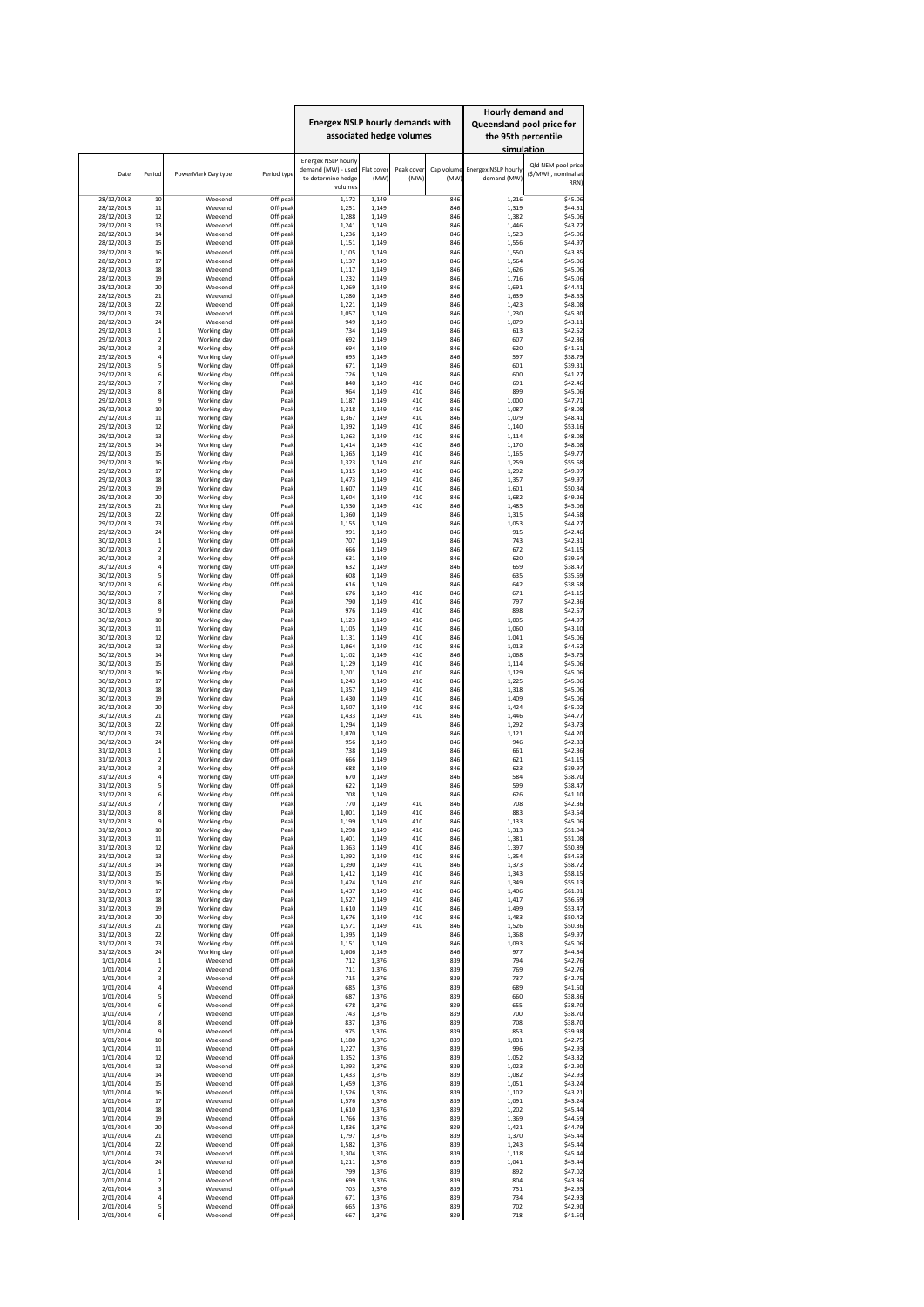|                          |                         |                            |                      | <b>Energex NSLP hourly demands with</b>                                    |                    |                          |                    | Hourly demand and                  | Queensland pool price for                               |
|--------------------------|-------------------------|----------------------------|----------------------|----------------------------------------------------------------------------|--------------------|--------------------------|--------------------|------------------------------------|---------------------------------------------------------|
|                          |                         |                            |                      |                                                                            |                    | associated hedge volumes |                    | the 95th percentile                | simulation                                              |
| Date                     | Period                  | PowerMark Day type         | Period type          | Energex NSLP hourly<br>demand (MW) - used<br>to determine hedge<br>volumes | Flat cover<br>(MW) | Peak cover<br>(MW)       | Cap volume<br>(MW) | Energex NSLP hourly<br>demand (MW) | Qld NEM pool price<br>(\$/MWh, nominal at<br><b>RRN</b> |
| 28/12/2013               | 10                      | Weekend                    | Off-pea              | 1,172                                                                      | 1,149              |                          | 846                | 1,216                              | \$45.0                                                  |
| 28/12/2013               | 11                      | Weekend                    | Off-pea              | 1,251                                                                      | 1,149              |                          | 846                | 1,319                              | \$44.5                                                  |
| 28/12/2013               | 12                      | Weekend                    | Off-peal             | 1.288                                                                      | 1.149              |                          | 846                | 1.382                              | \$45.0                                                  |
| 28/12/2013               | 13                      | Weekend                    | Off-peal             | 1,241                                                                      | 1,149              |                          | 846                | 1,446                              | \$43.72                                                 |
| 28/12/2013               | 14                      | Weekend                    | Off-peal             | 1,236                                                                      | 1,149              |                          | 846                | 1,523                              | \$45.0                                                  |
| 28/12/2013               | 15                      | Weekend                    | Off-pea              | 1,151                                                                      | 1,149              |                          | 846                | 1,556                              | \$44.97                                                 |
| 28/12/2013               | 16                      | Weekend                    | Off-peal             | 1.105                                                                      | 1.149              |                          | 846                | 1.550                              | \$43.8                                                  |
| 28/12/2013               | 17                      | Weekend                    | Off-peal             | 1,137                                                                      | 1,149              |                          | 846                | 1,564                              | \$45.0                                                  |
| 28/12/2013               | 18                      | Weekend                    | Off-pea              | 1,117                                                                      | 1,149              |                          | 846                | 1,626                              | \$45.0                                                  |
| 28/12/2013               | 19                      | Weekend                    | Off-peal             | 1,232                                                                      | 1,149              |                          | 846                | 1,716                              | \$45.06                                                 |
| 28/12/2013               | 20                      | Weekend                    | Off-peal             | 1,269                                                                      | 1.149              |                          | 846                | 1,691                              | \$44.41                                                 |
| 28/12/2013               | 21                      | Weekend                    | Off-peal             | 1.280                                                                      | 1,149              |                          | 846<br>846         | 1,639                              | \$48.53                                                 |
| 28/12/2013<br>28/12/2013 | 22<br>23                | Weekend<br>Weekend         | Off-peal<br>Off-peal | 1,221<br>1,057                                                             | 1,149<br>1,149     |                          | 846                | 1,423<br>1,230                     | \$48.08<br>\$45.30                                      |
| 28/12/2013               | 24                      | Weekend                    | Off-peak             | 949                                                                        | 1,149              |                          | 846                | 1,079                              | \$43.11                                                 |
| 29/12/2013               | $\mathbf{1}$            | Working day                | Off-peal             | 734                                                                        | 1.149              |                          | 846                | 613                                | \$42.52                                                 |
| 29/12/2013               | $\overline{\mathbf{c}}$ | Working day                | Off-peal             | 692                                                                        | 1,149              |                          | 846                | 607                                | \$42.36                                                 |
| 29/12/2013               | 3                       | Working day                | Off-peal             | 694                                                                        | 1,149              |                          | 846                | 620                                | \$41.5                                                  |
| 29/12/2013               | 4                       | Working day                | Off-pea              | 695                                                                        | 1,149              |                          | 846                | 597                                | \$38.7                                                  |
| 29/12/2013               | 5                       | Working day                | Off-peal             | 671                                                                        | 1.149              |                          | 846                | 601                                | \$39.3                                                  |
| 29/12/2013               | 6                       | Working day                | Off-peal             | 726                                                                        | 1,149              |                          | 846                | 600                                | \$41.27                                                 |
| 29/12/2013               | 7                       | Working day                | Pea                  | 840                                                                        | 1,149              | 410                      | 846                | 691                                | \$42.46                                                 |
| 29/12/2013               | 8                       | Working day                | Pea                  | 964                                                                        | 1,149              | 410                      | 846                | 899                                | \$45.06                                                 |
| 29/12/2013               | g                       | Working day                | Pea                  | 1.187                                                                      | 1.149              | 410                      | 846                | 1.000                              | \$47.7                                                  |
| 29/12/2013               | 10                      | Working day                | Pea                  | 1,318                                                                      | 1,149              | 410                      | 846                | 1,087                              | \$48.08                                                 |
| 29/12/2013               | 11                      | Working day                | Pea                  | 1,367                                                                      | 1,149              | 410                      | 846                | 1,079                              | \$48.4                                                  |
| 29/12/2013               | 12                      | Working da                 | Pea                  | 1,392                                                                      | 1,149              | 410                      | 846                | 1,140                              | \$53.16                                                 |
| 29/12/2013               | 13                      | Working day                | Pea                  | 1,363                                                                      | 1.149              | 410                      | 846                | 1,114                              | \$48.08                                                 |
| 29/12/2013               | 14                      | Working day                | Peal                 | 1,414                                                                      | 1,149              | 410                      | 846                | 1,170                              | \$48.08                                                 |
| 29/12/2013               | 15                      | Working day                | Pea<br>Pea           | 1,365                                                                      | 1,149              | 410<br>410               | 846<br>846         | 1,165                              | \$49.77                                                 |
| 29/12/2013<br>29/12/2013 | 16<br>17                | Working day<br>Working day | Pea                  | 1,323<br>1,315                                                             | 1,149<br>1.149     | 410                      | 846                | 1,259<br>1.292                     | \$55.68<br>\$49.97                                      |
| 29/12/2013               | 18                      | Working day                | Pea                  | 1,473                                                                      | 1,149              | 410                      | 846                | 1,357                              | \$49.9                                                  |
| 29/12/2013               | 19                      | Working day                | Pea                  | 1,607                                                                      | 1,149              | 410                      | 846                | 1,601                              | \$50.34                                                 |
| 29/12/2013               | 20                      | Working day                | Pea                  | 1,604                                                                      | 1,149              | 410                      | 846                | 1,682                              | \$49.2                                                  |
| 29/12/2013               | 21                      | Working day                | Pea                  | 1,530                                                                      | 1,149              | 410                      | 846                | 1,485                              | \$45.06                                                 |
| 29/12/2013               | 22                      | Working day                | Off-peal             | 1,360                                                                      | 1.149              |                          | 846                | 1.315                              | \$44.58                                                 |
| 29/12/2013               | 23                      | Working day                | Off-peal             | 1,155                                                                      | 1,149              |                          | 846                | 1,053                              | \$44.27                                                 |
| 29/12/2013               | 24                      | Working day                | Off-peal             | 991                                                                        | 1,149              |                          | 846                | 915                                | \$42.46                                                 |
| 30/12/2013               | $\mathbf{1}$            | Working day                | Off-pea              | 707                                                                        | 1,149              |                          | 846                | 743                                | \$42.31                                                 |
| 30/12/2013               | $\overline{\mathbf{2}}$ | Working day                | Off-peal             | 666                                                                        | 1.149              |                          | 846                | 672                                | \$41.1                                                  |
| 30/12/2013               | 3                       | Working day                | Off-peal             | 631                                                                        | 1,149              |                          | 846                | 620                                | \$39.64                                                 |
| 30/12/2013               | 4                       | Working day                | Off-pea              | 632                                                                        | 1,149              |                          | 846                | 659                                | \$38.4                                                  |
| 30/12/2013               | 5                       | Working da                 | Off-pea              | 608                                                                        | 1,149              |                          | 846                | 635                                | \$35.69                                                 |
| 30/12/2013               | 6                       | Working day                | Off-peal             | 616                                                                        | 1.149              |                          | 846                | 642                                | \$38.58                                                 |
| 30/12/2013               | $\overline{7}$          | Working day                | Peal                 | 676                                                                        | 1,149              | 410                      | 846                | 671                                | \$41.15                                                 |
| 30/12/2013               | 8                       | Working day                | Pea                  | 790                                                                        | 1,149              | 410                      | 846                | 797                                | \$42.36                                                 |
| 30/12/2013               | 9                       | Working day                | Pea                  | 976                                                                        | 1,149              | 410                      | 846                | 898                                | \$42.57                                                 |
| 30/12/2013               | 10                      | Working day                | Pea                  | 1.123                                                                      | 1.149              | 410                      | 846                | 1,005                              | \$44.97                                                 |
| 30/12/2013               | 11                      | Working day                | Pea                  | 1,105                                                                      | 1,149              | 410                      | 846                | 1,060                              | \$43.10                                                 |
| 30/12/2013               | 12                      | Working day                | Pea                  | 1,131                                                                      | 1,149              | 410                      | 846                | 1,041                              | \$45.0                                                  |
| 30/12/2013               | 13                      | Working day                | Pea                  | 1,064                                                                      | 1,149              | 410                      | 846                | 1,013                              | \$44.5                                                  |
| 30/12/2013               | 14                      | Working day                | Pea                  | 1,102                                                                      | 1.149              | 410                      | 846                | 1,068                              | \$43.7                                                  |
| 30/12/2013               | 15                      | Working day                | Peal                 | 1,129                                                                      | 1,149              | 410                      | 846                | 1,114                              | \$45.06                                                 |
| 30/12/2013               | 16                      | Working day                | Pea                  | 1,201                                                                      | 1,149              | 410                      | 846                | 1,129                              | \$45.06                                                 |
| 30/12/2013               | 17                      | Working day                | Pea                  | 1,243                                                                      | 1,149              | 410                      | 846                | 1,225                              | \$45.06                                                 |
| 30/12/2013               | 18                      | Working day                | Pea                  | 1,357                                                                      | 1,149              | 410                      | 846                | 1,318                              | \$45.06                                                 |
| 30/12/2013               | 19                      | Working day                | Pea                  | 1.430                                                                      | 1.149              | 410                      | 846                | 1.409                              | \$45.0                                                  |
| 30/12/2013               | 20                      | Working day                | Pea                  | 1,507                                                                      | 1,149              | 410                      | 846                | 1,424                              | \$45.0                                                  |
| 30/12/2013               | 21                      | Working day                | Pea                  | 1,433                                                                      | 1,149              | 410                      | 846                | 1,446                              | \$44.7                                                  |
| 30/12/2013               | 22                      | Working da                 | Off-peal             | 1,294                                                                      | 1,149              |                          | 846                | 1,292                              | \$43.7                                                  |
| 30/12/2013               | 23                      | Working day                | Off-peal             | 1,070                                                                      | 1.149              |                          | 846                | 1,121                              | \$44.20                                                 |
| 30/12/2013               | 24                      | Working day                | Off-peal             | 956                                                                        | 1,149              |                          | 846                | 946                                | \$42.83                                                 |
| 31/12/2013               | $\mathbf 1$             | Working day                | Off-peal             | 738                                                                        | 1,149              |                          | 846                | 661                                | \$42.36                                                 |
| 31/12/2013               | $\overline{\mathbf{c}}$ | Working day                | Off-peak             | 666                                                                        | 1,149              |                          | 846                | 621                                | \$41.15                                                 |
| 31/12/2013               | $\overline{3}$          | Working day                | Off-peal             | 688                                                                        | 1.149              |                          | 846                | 623                                | \$39.97                                                 |
| 31/12/2013               | 4                       | Working day                | Off-peal             | 670                                                                        | 1,149              |                          | 846                | 584                                | \$38.70                                                 |
| 31/12/2013               | 5                       | Working day                | Off-peal             | 622                                                                        | 1,149              |                          | 846                | 599                                | \$38.4                                                  |
| 31/12/2013               | 6                       | Working day                | Off-peak             | 708                                                                        | 1,149              |                          | 846                | 626                                | \$41.10                                                 |
| 31/12/2013               |                         | Working day                | Peak                 | 770                                                                        | 1.149              | 410                      | 846                | 708                                | \$42.36                                                 |
| 31/12/2013               | 8                       | Working day                | Peal                 | 1,001                                                                      | 1,149              | 410                      | 846                | 883                                | \$43.54                                                 |
| 31/12/2013               | 9                       | Working day                | Peal                 | 1,199                                                                      | 1,149              | 410                      | 846                | 1,133                              | \$45.06                                                 |
| 31/12/2013               | 10                      | Working day                | Pea                  | 1,298                                                                      | 1,149              | 410                      | 846                | 1,313                              | \$51.04                                                 |
| 31/12/2013               | 11                      | Working day                | Pea                  | 1.401                                                                      | 1.149              | 410                      | 846                | 1.381                              | \$51.08                                                 |
| 31/12/2013               | 12                      | Working day                | Pea                  | 1,363                                                                      | 1,149              | 410                      | 846                | 1,397                              | \$50.89                                                 |
| 31/12/2013               | 13                      | Working day                | Pea                  | 1,392                                                                      | 1,149              | 410                      | 846                | 1,354                              | \$54.5                                                  |
| 31/12/2013               | 14                      | Working day                | Pea                  | 1,390                                                                      | 1,149              | 410                      | 846                | 1,373                              | \$58.72                                                 |
| 31/12/2013               | 15                      | Working day                | Peal                 | 1,412                                                                      | 1,149              | 410                      | 846                | 1,343                              | \$58.15                                                 |
| 31/12/2013               | 16                      | Working day                | Peal                 | 1,424                                                                      | 1,149              | 410                      | 846                | 1,349                              | \$55.13                                                 |
| 31/12/2013               | 17                      | Working day                | Peal                 | 1,437                                                                      | 1,149              | 410                      | 846                | 1,406                              | \$61.91                                                 |
| 31/12/2013               | 18                      | Working day                | Peal                 | 1,527                                                                      | 1,149              | 410                      | 846                | 1,417                              | \$56.59                                                 |
| 31/12/2013               | 19                      | Working day                | Peal                 | 1,610                                                                      | 1,149              | 410                      | 846                | 1,499                              | \$53.47                                                 |
| 31/12/2013               | 20                      | Working day                | Pea                  | 1,676                                                                      | 1.149              | 410                      | 846                | 1.483                              | \$50.42                                                 |
| 31/12/2013               | 21                      | Working day                | Peal                 | 1,571                                                                      | 1,149              | 410                      | 846                | 1,526                              | \$50.36                                                 |
| 31/12/2013               | 22                      | Working day                | Off-peal             | 1,395                                                                      | 1,149              |                          | 846                | 1,368                              | \$49.97                                                 |
| 31/12/2013               | 23                      | Working day                | Off-peal             | 1,151                                                                      | 1,149              |                          | 846                | 1,093                              | \$45.06                                                 |
| 31/12/2013               | 24                      | Working day                | Off-peal             | 1,006                                                                      | 1.149              |                          | 846                | 977                                | \$44.34                                                 |
| 1/01/2014                | $\mathbf{1}$            | Weekend                    | Off-peal             | 712                                                                        | 1,376              |                          | 839                | 794                                | \$42.76                                                 |
| 1/01/2014                | $\overline{\mathbf{c}}$ | Weekend                    | Off-peal             | 711                                                                        | 1,376              |                          | 839                | 769                                | \$42.76                                                 |
| 1/01/2014<br>1/01/2014   | 3<br>4                  | Weekend<br>Weekend         | Off-peal             | 715<br>685                                                                 | 1,376<br>1.376     |                          | 839<br>839         | 737<br>689                         | \$42.75<br>\$41.50                                      |
| 1/01/2014                | 5                       | Weekend                    | Off-peal<br>Off-peal | 687                                                                        | 1,376              |                          | 839                | 660                                | \$38.86                                                 |
| 1/01/2014                | 6                       | Weekend                    | Off-peal             | 678                                                                        | 1,376              |                          | 839                | 655                                | \$38.70                                                 |
| 1/01/2014                | $\overline{7}$          | Weekend                    | Off-peal             | 743                                                                        | 1,376              |                          | 839                | 700                                | \$38.70                                                 |
| 1/01/2014                | 8                       | Weekend                    | Off-peal             | 837                                                                        | 1,376              |                          | 839                | 708                                | \$38.70                                                 |
| 1/01/2014                | 9                       | Weekend                    | Off-peal             | 975                                                                        | 1,376              |                          | 839                | 853                                | \$39.98                                                 |
| 1/01/2014                | 10                      | Weekend                    | Off-peal             | 1,180                                                                      | 1,376              |                          | 839                | 1,001                              | \$42.75                                                 |
| 1/01/2014                | 11                      | Weekend                    | Off-peal             | 1,227                                                                      | 1,376              |                          | 839                | 996                                | \$42.93                                                 |
| 1/01/2014                | 12                      | Weekend                    | Off-peal             | 1,352                                                                      | 1,376              |                          | 839                | 1,052                              | \$43.32                                                 |
| 1/01/2014                | 13                      | Weekend                    | Off-peal             | 1,393                                                                      | 1,376              |                          | 839                | 1,023                              | \$42.90                                                 |
| 1/01/2014                | 14                      | Weekend                    | Off-peal             | 1,433                                                                      | 1,376              |                          | 839                | 1,082                              | \$42.93                                                 |
| 1/01/2014                | 15                      | Weekend                    | Off-peal             | 1,459                                                                      | 1,376              |                          | 839                | 1,051                              | \$43.2                                                  |
| 1/01/2014                | 16                      | Weekend                    | Off-peal             | 1,526                                                                      | 1,376              |                          | 839                | 1,102                              | \$43.21                                                 |
| 1/01/2014                | 17                      | Weekend                    | Off-peak             | 1,576                                                                      | 1.376              |                          | 839                | 1,091                              | \$43.2                                                  |
| 1/01/2014                | 18                      | Weekend                    | Off-peal             | 1,610                                                                      | 1,376              |                          | 839                | 1,202                              | \$45.44                                                 |
| 1/01/2014                | 19                      | Weekend                    | Off-peal             | 1,766                                                                      | 1,376              |                          | 839                | 1,369                              | \$44.59                                                 |
| 1/01/2014                | 20                      | Weekend                    | Off-peal             | 1,836                                                                      | 1,376              |                          | 839                | 1,421                              | \$44.79                                                 |
| 1/01/2014                | 21                      | Weekend                    | Off-peal             | 1.797                                                                      | 1.376              |                          | 839                | 1.370                              | \$45.44                                                 |
| 1/01/2014                | 22                      | Weekend                    | Off-peal             | 1,582                                                                      | 1,376              |                          | 839                | 1,243                              | \$45.44                                                 |
| 1/01/2014                | 23                      | Weekend                    | Off-peal             | 1,304                                                                      | 1,376              |                          | 839                | 1,118                              | \$45.44                                                 |
| 1/01/2014                | 24                      | Weekend                    | Off-peal             | 1,211                                                                      | 1,376              |                          | 839                | 1,041                              | \$45.44                                                 |
| 2/01/2014                | $\mathbf{1}$            | Weekend                    | Off-peal             | 799                                                                        | 1,376              |                          | 839                | 892                                | \$47.02                                                 |
| 2/01/2014                | $\overline{\mathbf{c}}$ | Weekend                    | Off-peak             | 699                                                                        | 1,376              |                          | 839                | 804                                | \$43.36                                                 |
| 2/01/2014                | 3                       | Weekend                    | Off-peak             | 703                                                                        | 1,376              |                          | 839                | 751                                | \$42.93                                                 |
| 2/01/2014                | 4                       | Weekend                    | Off-peak             | 671                                                                        | 1,376              |                          | 839                | 734                                | \$42.93                                                 |
| 2/01/2014                | 5                       | Weekend                    | Off-peak             | 665                                                                        | 1,376              |                          | 839                | 702                                | \$42.90                                                 |
| 2/01/2014                | 6                       | Weekend                    | Off-peak             | 667                                                                        | 1,376              |                          | 839                | 718                                | \$41.50                                                 |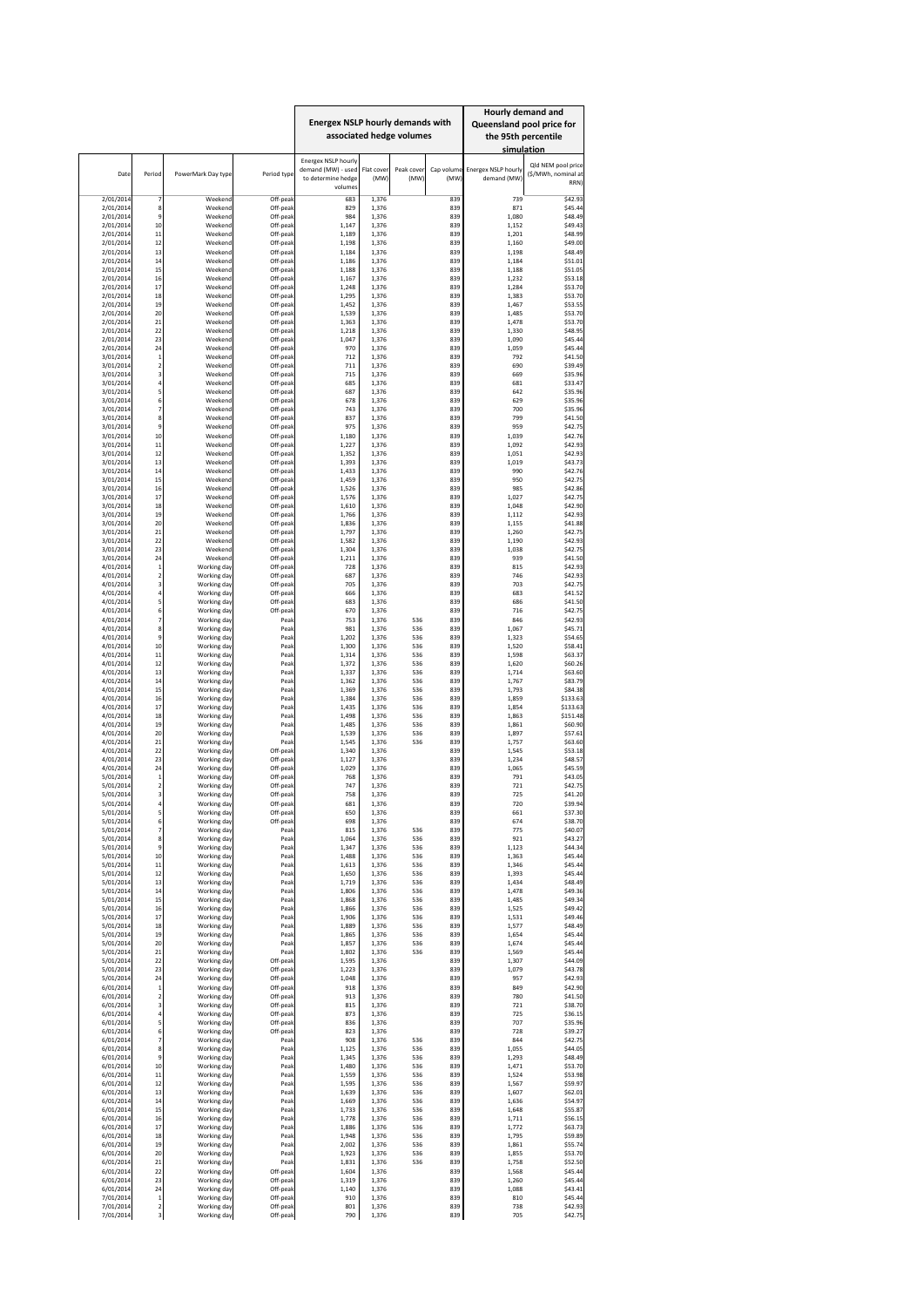|                        |                                |                            |                      |                                          |                    |                          |                    | Hourly demand and                  |                      |
|------------------------|--------------------------------|----------------------------|----------------------|------------------------------------------|--------------------|--------------------------|--------------------|------------------------------------|----------------------|
|                        |                                |                            |                      | <b>Energex NSLP hourly demands with</b>  |                    | associated hedge volumes |                    | Queensland pool price for          |                      |
|                        |                                |                            |                      |                                          |                    |                          |                    | the 95th percentile<br>simulation  |                      |
|                        |                                |                            |                      | Energex NSLP hourly                      |                    |                          |                    |                                    | Qld NEM pool price   |
| Date                   | Period                         | PowerMark Day type         | Period type          | demand (MW) - used<br>to determine hedge | Flat cover<br>(MW) | Peak cover<br>(MW)       | Cap volume<br>(MW) | Energex NSLP hourly<br>demand (MW) | (\$/MWh, nominal at  |
|                        |                                |                            |                      | volume:                                  |                    |                          |                    |                                    | <b>RRN</b>           |
| 2/01/2014<br>2/01/2014 | 8                              | Weekend<br>Weekend         | Off-peal<br>Off-peal | 683<br>829                               | 1,376<br>1,376     |                          | 839<br>839         | 739<br>871                         | \$42.93<br>\$45.44   |
| 2/01/2014              | 9                              | Weekend                    | Off-peal             | 984                                      | 1,376              |                          | 839                | 1,080                              | \$48.49              |
| 2/01/2014<br>2/01/2014 | 10<br>11                       | Weekend<br>Weekend         | Off-peal<br>Off-peal | 1,147<br>1,189                           | 1,376<br>1,376     |                          | 839<br>839         | 1,152<br>1,201                     | \$49.43<br>\$48.99   |
| 2/01/2014<br>2/01/2014 | 12<br>13                       | Weekend<br>Weekend         | Off-peal<br>Off-peal | 1.198<br>1,184                           | 1,376<br>1,376     |                          | 839<br>839         | 1.160<br>1,198                     | \$49.00<br>\$48.49   |
| 2/01/2014              | 14                             | Weekend                    | Off-peal             | 1,186                                    | 1,376              |                          | 839                | 1,184                              | \$51.01              |
| 2/01/2014<br>2/01/2014 | 15<br>16                       | Weekend<br>Weekend         | Off-peal<br>Off-peal | 1,188<br>1,167                           | 1,376<br>1,376     |                          | 839<br>839         | 1,188<br>1,232                     | \$51.05<br>\$53.18   |
| 2/01/2014              | 17                             | Weekend                    | Off-peal             | 1,248                                    | 1,376              |                          | 839                | 1,284                              | \$53.70              |
| 2/01/2014<br>2/01/2014 | 18<br>19                       | Weekend<br>Weekend         | Off-peak<br>Off-peal | 1,295<br>1,452                           | 1,376<br>1,376     |                          | 839<br>839         | 1,383<br>1,467                     | \$53.70<br>\$53.55   |
| 2/01/2014<br>2/01/2014 | 20<br>21                       | Weekend<br>Weekend         | Off-peal<br>Off-peal | 1,539<br>1,363                           | 1,376<br>1,376     |                          | 839<br>839         | 1,485<br>1.478                     | \$53.70<br>\$53.70   |
| 2/01/2014              | 22                             | Weekend                    | Off-peal             | 1,218                                    | 1,376              |                          | 839                | 1,330                              | \$48.95              |
| 2/01/2014<br>2/01/2014 | 23<br>24                       | Weekend<br>Weekend         | Off-peal<br>Off-peal | 1,047<br>970                             | 1,376<br>1,376     |                          | 839<br>839         | 1,090<br>1,059                     | \$45.44<br>\$45.44   |
| 3/01/2014<br>3/01/2014 | $\mathbf{1}$<br>$\overline{2}$ | Weekend<br>Weekend         | Off-peal<br>Off-peal | 712<br>711                               | 1,376<br>1,376     |                          | 839<br>839         | 792<br>690                         | \$41.50<br>\$39.49   |
| 3/01/2014              | Ė                              | Weekend                    | Off-peal             | 715                                      | 1,376              |                          | 839                | 669                                | \$35.96              |
| 3/01/2014<br>3/01/2014 | 4<br>5                         | Weekend<br>Weekend         | Off-peal<br>Off-peal | 685<br>687                               | 1,376<br>1,376     |                          | 839<br>839         | 681<br>642                         | \$33.47<br>\$35.96   |
| 3/01/2014              | 6                              | Weekend                    | Off-peal             | 678                                      | 1,376              |                          | 839                | 629                                | \$35.96              |
| 3/01/2014<br>3/01/2014 | 7<br>8                         | Weekend<br>Weekend         | Off-peal<br>Off-peal | 743<br>837                               | 1,376<br>1,376     |                          | 839<br>839         | 700<br>799                         | \$35.96<br>\$41.50   |
| 3/01/2014<br>3/01/2014 | 9<br>10                        | Weekend<br>Weekend         | Off-peal<br>Off-peal | 975<br>1,180                             | 1,376<br>1,376     |                          | 839<br>839         | 959<br>1,039                       | \$42.75<br>\$42.76   |
| 3/01/2014              | 11                             | Weekend                    | Off-peal             | 1,227                                    | 1,376              |                          | 839                | 1,092                              | \$42.93              |
| 3/01/2014<br>3/01/2014 | 12<br>13                       | Weekend<br>Weekend         | Off-peal<br>Off-peal | 1,352<br>1,393                           | 1,376<br>1,376     |                          | 839<br>839         | 1,051<br>1.019                     | \$42.93<br>\$43.73   |
| 3/01/2014              | 14                             | Weekend                    | Off-peal             | 1,433                                    | 1,376              |                          | 839                | 990                                | \$42.76              |
| 3/01/2014<br>3/01/2014 | 15<br>16                       | Weekend<br>Weekend         | Off-peal<br>Off-peal | 1,459<br>1,526                           | 1,376<br>1,376     |                          | 839<br>839         | 950<br>985                         | \$42.7<br>\$42.86    |
| 3/01/2014<br>3/01/2014 | 17<br>18                       | Weekend<br>Weekend         | Off-peal<br>Off-peal | 1,576<br>1,610                           | 1,376<br>1.376     |                          | 839<br>839         | 1.027<br>1,048                     | \$42.75<br>\$42.90   |
| 3/01/2014              | 19                             | Weekend                    | Off-peal             | 1,766                                    | 1,376              |                          | 839                | 1,112                              | \$42.93              |
| 3/01/2014<br>3/01/2014 | 20<br>21                       | Weekend<br>Weekend         | Off-peal<br>Off-peal | 1,836<br>1,797                           | 1,376<br>1,376     |                          | 839<br>839         | 1,155<br>1,260                     | \$41.88<br>\$42.75   |
| 3/01/2014<br>3/01/2014 | 22                             | Weekend<br>Weekend         | Off-peal<br>Off-peal | 1.582                                    | 1,376              |                          | 839<br>839         | 1.190                              | \$42.93              |
| 3/01/2014              | 23<br>24                       | Weekend                    | Off-peal             | 1,304<br>1,211                           | 1,376<br>1,376     |                          | 839                | 1,038<br>939                       | \$42.7<br>\$41.50    |
| 4/01/2014<br>4/01/2014 | 1<br>$\overline{2}$            | Working day<br>Working day | Off-peal<br>Off-peal | 728<br>687                               | 1,376<br>1,376     |                          | 839<br>839         | 815<br>746                         | \$42.93<br>\$42.93   |
| 4/01/2014              | 3                              | Working day                | Off-peal             | 705                                      | 1,376              |                          | 839                | 703                                | \$42.75              |
| 4/01/2014<br>4/01/2014 | 4<br>5                         | Working day<br>Working day | Off-peak<br>Off-peal | 666<br>683                               | 1,376<br>1,376     |                          | 839<br>839         | 683<br>686                         | \$41.52<br>\$41.50   |
| 4/01/2014<br>4/01/2014 | 6<br>7                         | Working day<br>Working day | Off-peal<br>Peak     | 670<br>753                               | 1,376<br>1,376     | 536                      | 839<br>839         | 716<br>846                         | \$42.75<br>\$42.93   |
| 4/01/2014              | 8                              | Working day                | Peal                 | 981                                      | 1,376              | 536                      | 839                | 1,067                              | \$45.71              |
| 4/01/2014<br>4/01/2014 | q<br>10                        | Working day<br>Working day | Peal<br>Peak         | 1,202<br>1.300                           | 1,376<br>1,376     | 536<br>536               | 839<br>839         | 1,323<br>1,520                     | \$54.65<br>\$58.41   |
| 4/01/2014              | $\overline{11}$                | Working day<br>Working day | Peal                 | 1,314                                    | 1,376              | 536                      | 839                | 1,598                              | \$63.37              |
| 4/01/2014<br>4/01/2014 | 12<br>13                       | Working day                | Peal<br>Peak         | 1,372<br>1,337                           | 1,376<br>1,376     | 536<br>536               | 839<br>839         | 1,620<br>1,714                     | \$60.26<br>\$63.60   |
| 4/01/2014<br>4/01/2014 | 14<br>15                       | Working day<br>Working day | Peak<br>Peak         | 1.362<br>1,369                           | 1,376<br>1,376     | 536<br>536               | 839<br>839         | 1.767<br>1,793                     | \$83.79<br>\$84.38   |
| 4/01/2014              | 16                             | Working day                | Peak                 | 1,384                                    | 1,376              | 536                      | 839                | 1,859                              | \$133.63             |
| 4/01/2014<br>4/01/2014 | 17<br>18                       | Working day<br>Working day | Peal<br>Peal         | 1,435<br>1,498                           | 1,376<br>1,376     | 536<br>536               | 839<br>839         | 1,854<br>1,863                     | \$133.63<br>\$151.48 |
| 4/01/2014              | 19                             | Working day                | Peak                 | 1,485                                    | 1,376              | 536<br>536               | 839<br>839         | 1,861                              | \$60.90              |
| 4/01/2014<br>4/01/2014 | 20<br>21                       | Working day<br>Working day | Peak<br>Peak         | 1,539<br>1,545                           | 1,376<br>1,376     | 536                      | 839                | 1,897<br>1,757                     | \$57.61<br>\$63.60   |
| 4/01/2014<br>4/01/2014 | 22<br>2 <sup>2</sup>           | Working day<br>Working day | Off-peak<br>Off-peal | 1,340<br>1,127                           | 1,376<br>1,376     |                          | 839<br>839         | 1,545<br>1.234                     | \$53.18<br>\$48.57   |
| 4/01/2014              | 24                             | Working day                | Off-peal             | 1,029                                    | 1,376              |                          | 839                | 1,065                              | \$45.59              |
| 5/01/2014<br>5/01/2014 | 1<br>$\overline{\mathbf{z}}$   | Working day<br>Working day | Off-peal<br>Off-peal | 768<br>747                               | 1,376<br>1,376     |                          | 839<br>839         | 791<br>721                         | \$43.05<br>\$42.7    |
| 5/01/2014<br>5/01/2014 | 3                              | Working day<br>Working day | Off-peak<br>Off-peal | 758<br>681                               | 1,376<br>1.376     |                          | 839<br>839         | 725<br>720                         | \$41.20<br>\$39.94   |
| 5/01/2014              | 5                              | Working day                | Off-peal             | 650                                      | 1,376              |                          | 839                | 661                                | \$37.30              |
| 5/01/2014<br>5/01/2014 | 6<br>7                         | Working day<br>Working day | Off-peal<br>Peak     | 698<br>815                               | 1,376<br>1,376     | 536                      | 839<br>839         | 674<br>775                         | \$38.70<br>\$40.07   |
| 5/01/2014<br>5/01/2014 | 8<br>S                         | Working day                | Peal                 | 1,064                                    | 1,376              | 536                      | 839                | 921                                | \$43.27              |
| 5/01/2014              | 10                             | Working day<br>Working day | Peal<br>Peal         | 1,347<br>1,488                           | 1,376<br>1,376     | 536<br>536               | 839<br>839         | 1,123<br>1,363                     | \$44.34<br>\$45.44   |
| 5/01/2014<br>5/01/2014 | 11<br>12                       | Working day<br>Working day | Peal<br>Peak         | 1,613<br>1,650                           | 1,376<br>1,376     | 536<br>536               | 839<br>839         | 1,346<br>1,393                     | \$45.44<br>\$45.44   |
| 5/01/2014              | 13                             | Working day                | Peak                 | 1,719                                    | 1,376              | 536                      | 839                | 1,434                              | \$48.49              |
| 5/01/2014<br>5/01/2014 | 14<br>15                       | Working day<br>Working day | Peak<br>Peak         | 1,806<br>1,868                           | 1,376<br>1,376     | 536<br>536               | 839<br>839         | 1,478<br>1,485                     | \$49.36<br>\$49.34   |
| 5/01/2014<br>5/01/2014 | 16<br>17                       | Working day<br>Working day | Peak<br>Peak         | 1,866<br>1,906                           | 1,376<br>1,376     | 536<br>536               | 839<br>839         | 1,525<br>1,531                     | \$49.42<br>\$49.46   |
| 5/01/2014              | 18                             | Working day                | Peal                 | 1,889                                    | 1,376              | 536                      | 839                | 1,577                              | \$48.49              |
| 5/01/2014<br>5/01/2014 | 19<br>20                       | Working day<br>Working day | Peal<br>Peal         | 1,865<br>1,857                           | 1,376<br>1,376     | 536<br>536               | 839<br>839         | 1,654<br>1,674                     | \$45.44<br>\$45.44   |
| 5/01/2014              | 21                             | Working day                | Peal                 | 1,802                                    | 1,376              | 536                      | 839                | 1,569                              | \$45.44              |
| 5/01/2014<br>5/01/2014 | 22<br>23                       | Working day<br>Working day | Off-peak<br>Off-peal | 1,595<br>1,223                           | 1,376<br>1,376     |                          | 839<br>839         | 1,307<br>1,079                     | \$44.09<br>\$43.78   |
| 5/01/2014<br>6/01/2014 | 24<br>1                        | Working day<br>Working day | Off-peak<br>Off-peal | 1,048<br>918                             | 1,376<br>1,376     |                          | 839<br>839         | 957<br>849                         | \$42.93<br>\$42.90   |
| 6/01/2014              | $\overline{a}$                 | Working day                | Off-peal             | 913                                      | 1,376              |                          | 839                | 780                                | \$41.50              |
| 6/01/2014<br>6/01/2014 | 3<br>4                         | Working day<br>Working day | Off-peal<br>Off-peak | 815<br>873                               | 1,376<br>1,376     |                          | 839<br>839         | 721<br>725                         | \$38.70<br>\$36.15   |
| 6/01/2014              |                                | Working day                | Off-peak             | 836                                      | 1,376              |                          | 839                | 707                                | \$35.96              |
| 6/01/2014<br>6/01/2014 | 6<br>7                         | Working day<br>Working day | Off-peak<br>Peak     | 823<br>908                               | 1,376<br>1,376     | 536                      | 839<br>839         | 728<br>844                         | \$39.27<br>\$42.75   |
| 6/01/2014<br>6/01/2014 | 8<br>9                         | Working day<br>Working day | Peak<br>Peak         | 1,125<br>1,345                           | 1,376<br>1,376     | 536<br>536               | 839<br>839         | 1.055<br>1,293                     | \$44.05<br>\$48.49   |
| 6/01/2014              | 10                             | Working day                | Peal                 | 1,480                                    | 1,376              | 536                      | 839                | 1,471                              | \$53.70              |
| 6/01/2014<br>6/01/2014 | 11<br>12                       | Working day<br>Working day | Peal<br>Peal         | 1,559<br>1,595                           | 1,376<br>1,376     | 536<br>536               | 839<br>839         | 1,524<br>1,567                     | \$53.98<br>\$59.97   |
| 6/01/2014              | 13                             | Working day                | Peak                 | 1,639                                    | 1,376              | 536                      | 839                | 1,607                              | \$62.01              |
| 6/01/2014<br>6/01/2014 | 14<br>15                       | Working day<br>Working day | Peal<br>Peal         | 1,669<br>1,733                           | 1,376<br>1,376     | 536<br>536               | 839<br>839         | 1,636<br>1,648                     | \$54.97<br>\$55.87   |
| 6/01/2014<br>6/01/2014 | 16<br>17                       | Working day<br>Working day | Peal<br>Peak         | 1,778<br>1.886                           | 1,376<br>1,376     | 536<br>536               | 839<br>839         | 1,711<br>1,772                     | \$56.15<br>\$63.73   |
| 6/01/2014              | 18                             | Working day                | Peal                 | 1,948                                    | 1,376              | 536                      | 839                | 1,795                              | \$59.89              |
| 6/01/2014<br>6/01/2014 | 19<br>20                       | Working day<br>Working day | Peal<br>Peal         | 2,002<br>1,923                           | 1,376<br>1,376     | 536<br>536               | 839<br>839         | 1,861<br>1,855                     | \$55.74<br>\$53.70   |
| 6/01/2014              | 21                             | Working day                | Peal                 | 1,831                                    | 1,376              | 536                      | 839                | 1,758                              | \$52.50              |
| 6/01/2014<br>6/01/2014 | 22<br>23                       | Working day<br>Working day | Off-peak<br>Off-peak | 1,604<br>1,319                           | 1,376<br>1,376     |                          | 839<br>839         | 1,568<br>1,260                     | \$45.44<br>\$45.44   |
| 6/01/2014<br>7/01/2014 | 24<br>1                        | Working day<br>Working day | Off-peak<br>Off-peak | 1,140<br>910                             | 1,376<br>1,376     |                          | 839<br>839         | 1,088<br>810                       | \$43.41<br>\$45.44   |
| 7/01/2014              | $\overline{a}$                 | Working day                | Off-peak             | 801                                      | 1,376              |                          | 839                | 738                                | \$42.93              |
| 7/01/2014              |                                | Working day                | Off-peak             | 790                                      | 1,376              |                          | 839                | 705                                | \$42.75              |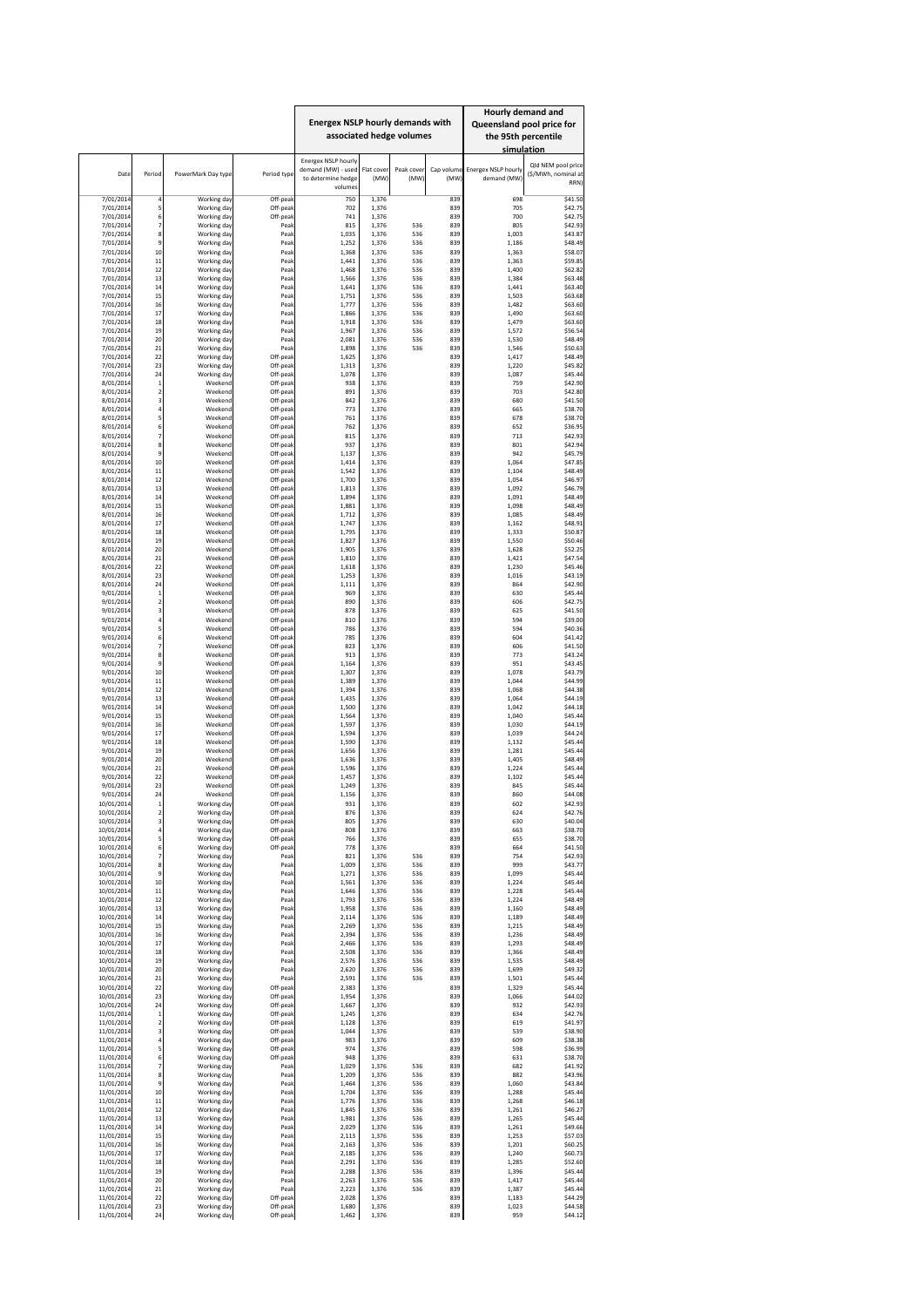|                          |                         |                            |                      |                                          |                    |                          |                   | Hourly demand and                  |                     |
|--------------------------|-------------------------|----------------------------|----------------------|------------------------------------------|--------------------|--------------------------|-------------------|------------------------------------|---------------------|
|                          |                         |                            |                      | <b>Energex NSLP hourly demands with</b>  |                    |                          |                   | Queensland pool price for          |                     |
|                          |                         |                            |                      |                                          |                    | associated hedge volumes |                   | the 95th percentile                |                     |
|                          |                         |                            |                      |                                          |                    |                          |                   | simulation                         |                     |
|                          |                         |                            |                      | Energex NSLP hourly                      |                    |                          |                   |                                    | Qld NEM pool price  |
| Date                     | Period                  | PowerMark Day type         | Period type          | demand (MW) - used<br>to determine hedge | Flat cover<br>(MW) | Peak cover<br>(MW)       | Cap volume<br>(MW | Energex NSLP hourly<br>demand (MW) | (\$/MWh, nominal at |
|                          |                         |                            |                      | volume:                                  |                    |                          |                   |                                    | <b>RRN1</b>         |
| 7/01/2014                |                         | Working day                | Off-peak             | 750                                      | 1,376              |                          | 839               | 698                                | \$41.50             |
| 7/01/2014<br>7/01/2014   | 5<br>6                  | Working day<br>Working day | Off-peak<br>Off-peal | 702<br>741                               | 1,376<br>1,376     |                          | 839<br>839        | 705<br>700                         | \$42.75<br>\$42.75  |
| 7/01/2014                | 7                       | Working day                | Peal                 | 815                                      | 1,376              | 536                      | 839               | 805                                | \$42.93             |
| 7/01/2014                | 8                       | Working day                | Peak                 | 1.035                                    | 1.376              | 536                      | 839               | 1.003                              | \$43.87             |
| 7/01/2014<br>7/01/2014   | 9<br>10                 | Working day<br>Working day | Peak<br>Peal         | 1,252<br>1,368                           | 1,376<br>1,376     | 536<br>536               | 839<br>839        | 1,186<br>1,363                     | \$48.49<br>\$58.07  |
| 7/01/2014                | 11                      | Working day                | Peal                 | 1,441                                    | 1,376              | 536                      | 839               | 1,363                              | \$59.85             |
| 7/01/2014<br>7/01/2014   | 12<br>13                | Working day<br>Working day | Peak<br>Peak         | 1.468<br>1,566                           | 1.376<br>1,376     | 536<br>536               | 839<br>839        | 1.400<br>1,384                     | \$62.82<br>\$63.48  |
| 7/01/2014                | 14                      | Working day                | Peal                 | 1,641                                    | 1,376              | 536                      | 839               | 1,441                              | \$63.40             |
| 7/01/2014                | 15                      | Working day                | Peal                 | 1,751                                    | 1,376              | 536                      | 839               | 1,503                              | \$63.68             |
| 7/01/2014<br>7/01/2014   | 16<br>17                | Working day<br>Working day | Peak<br>Peak         | 1,777<br>1.866                           | 1,376<br>1,376     | 536<br>536               | 839<br>839        | 1,482<br>1.490                     | \$63.60<br>\$63.60  |
| 7/01/2014                | 18                      | Working day                | Peak                 | 1,918                                    | 1,376              | 536                      | 839               | 1,479                              | \$63.60             |
| 7/01/2014                | 19                      | Working day                | Peal                 | 1,967                                    | 1,376              | 536                      | 839               | 1,572                              | \$56.54             |
| 7/01/2014<br>7/01/2014   | 20<br>21                | Working day<br>Working day | Peal<br>Peak         | 2,081<br>1.898                           | 1,376<br>1.376     | 536<br>536               | 839<br>839        | 1,530<br>1.546                     | \$48.49<br>\$50.63  |
| 7/01/2014                | 22                      | Working day                | Off-peal             | 1,625                                    | 1,376              |                          | 839               | 1,417                              | \$48.49             |
| 7/01/2014<br>7/01/2014   | 23<br>24                | Working day<br>Working day | Off-peal<br>Off-peal | 1,313<br>1,078                           | 1,376<br>1,376     |                          | 839<br>839        | 1,220<br>1,087                     | \$45.82<br>\$45.44  |
| 8/01/2014                | -1                      | Weekend                    | Off-peal             | 938                                      | 1.376              |                          | 839               | 759                                | \$42.90             |
| 8/01/2014                | 2                       | Weekend                    | Off-peal             | 891                                      | 1,376              |                          | 839               | 703                                | \$42.80             |
| 8/01/2014<br>8/01/2014   | 3<br>4                  | Weekend<br>Weekend         | Off-peal<br>Off-peal | 842<br>773                               | 1,376<br>1,376     |                          | 839<br>839        | 680<br>665                         | \$41.50<br>\$38.70  |
| 8/01/2014                | 5                       | Weekend                    | Off-peal             | 761                                      | 1.376              |                          | 839               | 678                                | \$38.70             |
| 8/01/2014<br>8/01/2014   | 6<br>7                  | Weekend<br>Weekend         | Off-peak<br>Off-peal | 762<br>815                               | 1,376<br>1,376     |                          | 839<br>839        | 652<br>713                         | \$36.95<br>\$42.93  |
| 8/01/2014                | 8                       | Weekend                    | Off-peak             | 937                                      | 1,376              |                          | 839               | 801                                | \$42.94             |
| 8/01/2014                | 9                       | Weekend                    | Off-peal             | 1.137                                    | 1,376              |                          | 839               | 942                                | \$45.79             |
| 8/01/2014<br>8/01/2014   | 10<br>11                | Weekend<br>Weekend         | Off-peal<br>Off-peal | 1,414<br>1,542                           | 1,376<br>1,376     |                          | 839<br>839        | 1,064<br>1,104                     | \$47.85<br>\$48.49  |
| 8/01/2014                | 12                      | Weekend                    | Off-peak             | 1,700                                    | 1,376              |                          | 839               | 1,054                              | \$46.97             |
| 8/01/2014<br>8/01/2014   | 13<br>14                | Weekend<br>Weekend         | Off-peal<br>Off-peal | 1,813<br>1.894                           | 1.376<br>1.376     |                          | 839<br>839        | 1.092<br>1.091                     | \$46.79<br>\$48.49  |
| 8/01/2014                | 15                      | Weekend                    | Off-peal             | 1,881                                    | 1,376              |                          | 839               | 1,098                              | \$48.49             |
| 8/01/2014                | 16                      | Weekend                    | Off-peal             | 1,712                                    | 1,376              |                          | 839               | 1,085                              | \$48.49             |
| 8/01/2014<br>8/01/2014   | 17<br>18                | Weekend<br>Weekend         | Off-peal<br>Off-peal | 1,747<br>1.795                           | 1,376<br>1.376     |                          | 839<br>839        | 1,162<br>1.333                     | \$48.91<br>\$50.87  |
| 8/01/2014                | 19                      | Weekend                    | Off-peal             | 1,827                                    | 1,376              |                          | 839               | 1,550                              | \$50.46             |
| 8/01/2014                | 20<br>21                | Weekend<br>Weekend         | Off-peal<br>Off-peal | 1,905<br>1,810                           | 1,376              |                          | 839<br>839        | 1,628<br>1,421                     | \$52.25<br>\$47.54  |
| 8/01/2014<br>8/01/2014   | 22                      | Weekend                    | Off-peak             | 1,618                                    | 1,376<br>1.376     |                          | 839               | 1.230                              | \$45.46             |
| 8/01/2014                | 23                      | Weekend                    | Off-peak             | 1,253                                    | 1,376              |                          | 839               | 1,016                              | \$43.19             |
| 8/01/2014<br>9/01/2014   | 24<br>$\mathbf{1}$      | Weekend<br>Weekend         | Off-peal<br>Off-peak | 1,111<br>969                             | 1,376<br>1,376     |                          | 839<br>839        | 864<br>630                         | \$42.90<br>\$45.44  |
| 9/01/2014                | $\overline{2}$          | Weekend                    | Off-peal             | 890                                      | 1,376              |                          | 839               | 606                                | \$42.75             |
| 9/01/2014<br>9/01/2014   | 3<br>4                  | Weekend<br>Weekend         | Off-peal<br>Off-peal | 878<br>810                               | 1,376<br>1,376     |                          | 839<br>839        | 625<br>594                         | \$41.50<br>\$39.00  |
| 9/01/2014                | 5                       | Weekend                    | Off-peal             | 786                                      | 1,376              |                          | 839               | 594                                | \$40.36             |
| 9/01/2014                | 6                       | Weekend                    | Off-peal             | 785                                      | 1.376              |                          | 839               | 604                                | \$41.42             |
| 9/01/2014<br>9/01/2014   | 7<br>8                  | Weekend<br>Weekend         | Off-peak<br>Off-peak | 823<br>913                               | 1,376<br>1,376     |                          | 839<br>839        | 606<br>773                         | \$41.50<br>\$43.24  |
| 9/01/2014                | 9                       | Weekend                    | Off-peak             | 1,164                                    | 1,376              |                          | 839               | 951                                | \$43.45             |
| 9/01/2014<br>9/01/2014   | 10<br>$^{11}$           | Weekend<br>Weekend         | Off-peal<br>Off-peal | 1.307<br>1,389                           | 1.376<br>1,376     |                          | 839<br>839        | 1.078<br>1,044                     | \$43.79<br>\$44.99  |
| 9/01/2014                | 12                      | Weekend                    | Off-peal             | 1,394                                    | 1,376              |                          | 839               | 1,068                              | \$44.38             |
| 9/01/2014                | 13                      | Weekend                    | Off-peal             | 1,435                                    | 1,376              |                          | 839               | 1,064                              | \$44.19             |
| 9/01/2014<br>9/01/2014   | 14<br>15                | Weekend<br>Weekend         | Off-peal<br>Off-peal | 1,500<br>1.564                           | 1,376<br>1.376     |                          | 839<br>839        | 1,042<br>1,040                     | \$44.18<br>\$45.44  |
| 9/01/2014                | 16                      | Weekend                    | Off-peak             | 1,597                                    | 1,376              |                          | 839               | 1,030                              | \$44.19             |
| 9/01/2014                | 17                      | Weekend                    | Off-peal             | 1,594                                    | 1,376              |                          | 839               | 1,039                              | \$44.24             |
| 9/01/2014<br>9/01/2014   | 18<br>19                | Weekend<br>Weekend         | Off-peak<br>Off-peal | 1,590<br>1,656                           | 1,376<br>1,376     |                          | 839<br>839        | 1,132<br>1.281                     | \$45.44<br>\$45.44  |
| 9/01/2014                | 20                      | Weekend                    | Off-peal             | 1,636                                    | 1,376              |                          | 839               | 1,405                              | \$48.49             |
| 9/01/2014<br>9/01/2014   | 21<br>22                | Weekend<br>Weekend         | Off-peal             | 1,596<br>1,457                           | 1,376<br>1,376     |                          | 839<br>839        | 1,224<br>1,102                     | \$45.44<br>\$45.44  |
| 9/01/2014                | 23                      | Weekend                    | Off-peal<br>Off-peal | 1,249                                    | 1.376              |                          | 839               | 845                                | \$45.44             |
| 9/01/2014                | 24                      | Weekend                    | Off-peak             | 1,156                                    | 1,376              |                          | 839               | 860                                | \$44.08             |
| 10/01/2014<br>10/01/2014 | $\overline{\mathbf{c}}$ | Working day<br>Working day | Off-pea<br>Off-peal  | 931<br>876                               | 1,376<br>1,376     |                          | 839<br>839        | 602<br>624                         | \$42.93<br>\$42.76  |
| 10/01/2014               | 3                       | Working day                | Off-peal             | 805                                      | 1,376              |                          | 839               | 630                                | \$40.04             |
| 10/01/2014<br>10/01/2014 | 4<br>5                  | Working day<br>Working day | Off-peal<br>Off-peak | 808<br>766                               | 1,376<br>1,376     |                          | 839<br>839        | 663<br>655                         | \$38.70<br>\$38.70  |
| 10/01/2014               | 6                       | Working day                | Off-peak             | 778                                      | 1,376              |                          | 839               | 664                                | \$41.50             |
| 10/01/2014               | 7                       | Working day                | Peak                 | 821                                      | 1,376              | 536                      | 839               | 754                                | \$42.93             |
| 10/01/2014<br>10/01/2014 | 8<br>9                  | Working day<br>Working day | Peak<br>Peak         | 1,009<br>1,271                           | 1,376<br>1,376     | 536<br>536               | 839<br>839        | 999<br>1,099                       | \$43.77<br>\$45.44  |
| 10/01/2014               | 10                      | Working day                | Peak                 | 1,561                                    | 1,376              | 536                      | 839               | 1,224                              | \$45.44             |
| 10/01/2014<br>10/01/2014 | 11<br>12                | Working day<br>Working day | Peak<br>Peak         | 1,646<br>1.793                           | 1,376<br>1,376     | 536<br>536               | 839<br>839        | 1,228<br>1,224                     | \$45.44<br>\$48.49  |
| 10/01/2014               | 13                      | Working day                | Peak                 | 1,958                                    | 1,376              | 536                      | 839               | 1,160                              | \$48.49             |
| 10/01/2014               | 14                      | Working day                | Peal                 | 2,114                                    | 1,376              | 536                      | 839               | 1,189                              | \$48.49             |
| 10/01/2014<br>10/01/2014 | 15<br>16                | Working day<br>Working day | Peal<br>Peak         | 2,269<br>2.394                           | 1,376<br>1.376     | 536<br>536               | 839<br>839        | 1,215<br>1,236                     | \$48.49<br>\$48.49  |
| 10/01/2014               | 17                      | Working day                | Peak                 | 2,466                                    | 1,376              | 536                      | 839               | 1,293                              | \$48.49             |
| 10/01/2014<br>10/01/2014 | 18<br>19                | Working day<br>Working day | Peak<br>Peal         | 2,508<br>2,576                           | 1,376<br>1,376     | 536<br>536               | 839<br>839        | 1,366<br>1,535                     | \$48.49<br>\$48.49  |
| 10/01/2014               | 20                      | Working day                | Peak                 | 2.620                                    | 1,376              | 536                      | 839               | 1,699                              | \$49.32             |
| 10/01/2014               | $\overline{21}$         | Working day                | Peal<br>Off-peal     | 2,591                                    | 1,376              | 536                      | 839               | 1,501                              | \$45.44             |
| 10/01/2014<br>10/01/2014 | 22<br>23                | Working day<br>Working day | Off-peak             | 2,383<br>1,954                           | 1,376<br>1,376     |                          | 839<br>839        | 1,329<br>1,066                     | \$45.44<br>\$44.02  |
| 10/01/2014               | 24                      | Working day                | Off-peak             | 1,667                                    | 1,376              |                          | 839               | 932                                | \$42.93             |
| 11/01/2014<br>11/01/2014 | $\mathbf 1$<br>2        | Working day<br>Working day | Off-peak<br>Off-peak | 1,245<br>1,128                           | 1,376<br>1,376     |                          | 839<br>839        | 634<br>619                         | \$42.76<br>\$41.97  |
| 11/01/2014               | 3                       | Working day                | Off-peak             | 1,044                                    | 1,376              |                          | 839               | 539                                | \$38.90             |
| 11/01/2014               | 4                       | Working day                | Off-peak             | 983<br>974                               | 1,376              |                          | 839               | 609                                | \$38.38             |
| 11/01/2014<br>11/01/2014 | 5<br>6                  | Working day<br>Working day | Off-peak<br>Off-peal | 948                                      | 1,376<br>1,376     |                          | 839<br>839        | 598<br>631                         | \$36.99<br>\$38.70  |
| 11/01/2014               | 7                       | Working day                | Peak                 | 1,029                                    | 1,376              | 536                      | 839               | 682                                | \$41.92             |
| 11/01/2014<br>11/01/2014 | 8<br>9                  | Working day<br>Working day | Peak<br>Peak         | 1,209<br>1,464                           | 1,376<br>1,376     | 536<br>536               | 839<br>839        | 882<br>1,060                       | \$43.96<br>\$43.84  |
| 11/01/2014               | 10                      | Working day                | Peak                 | 1,704                                    | 1,376              | 536                      | 839               | 1,288                              | \$45.44             |
| 11/01/2014               | 11                      | Working day                | Peak                 | 1,776                                    | 1,376              | 536                      | 839               | 1,268                              | \$46.18             |
| 11/01/2014<br>11/01/2014 | 12<br>13                | Working day<br>Working day | Peal<br>Peak         | 1,845<br>1.981                           | 1,376<br>1,376     | 536<br>536               | 839<br>839        | 1,261<br>1,265                     | \$46.27<br>\$45.44  |
| 11/01/2014               | 14                      | Working day                | Peal                 | 2,029                                    | 1,376              | 536                      | 839               | 1,261                              | \$49.66             |
| 11/01/2014<br>11/01/2014 | 15<br>16                | Working day<br>Working day | Peal<br>Peal         | 2,113<br>2,163                           | 1,376<br>1,376     | 536<br>536               | 839<br>839        | 1,253<br>1,201                     | \$57.03<br>\$60.25  |
| 11/01/2014               | 17                      | Working day                | Peak                 | 2,185                                    | 1,376              | 536                      | 839               | 1,240                              | \$60.73             |
| 11/01/2014               | 18                      | Working day                | Peak                 | 2,291                                    | 1,376              | 536                      | 839               | 1,285                              | \$52.60             |
| 11/01/2014<br>11/01/2014 | 19<br>20                | Working day<br>Working day | Peak<br>Peak         | 2,288<br>2,263                           | 1,376<br>1,376     | 536<br>536               | 839<br>839        | 1,396<br>1,417                     | \$45.44<br>\$45.44  |
| 11/01/2014               | 21                      | Working day                | Peak                 | 2.223                                    | 1,376              | 536                      | 839               | 1,387                              | \$45.44             |
| 11/01/2014<br>11/01/2014 | 22<br>23                | Working day<br>Working day | Off-peak<br>Off-peal | 2,028<br>1,680                           | 1,376<br>1,376     |                          | 839<br>839        | 1,183<br>1,023                     | \$44.29<br>\$44.58  |
| 11/01/2014               | 24                      | Working day                | Off-peal             | 1,462                                    | 1,376              |                          | 839               | 959                                | \$44.12             |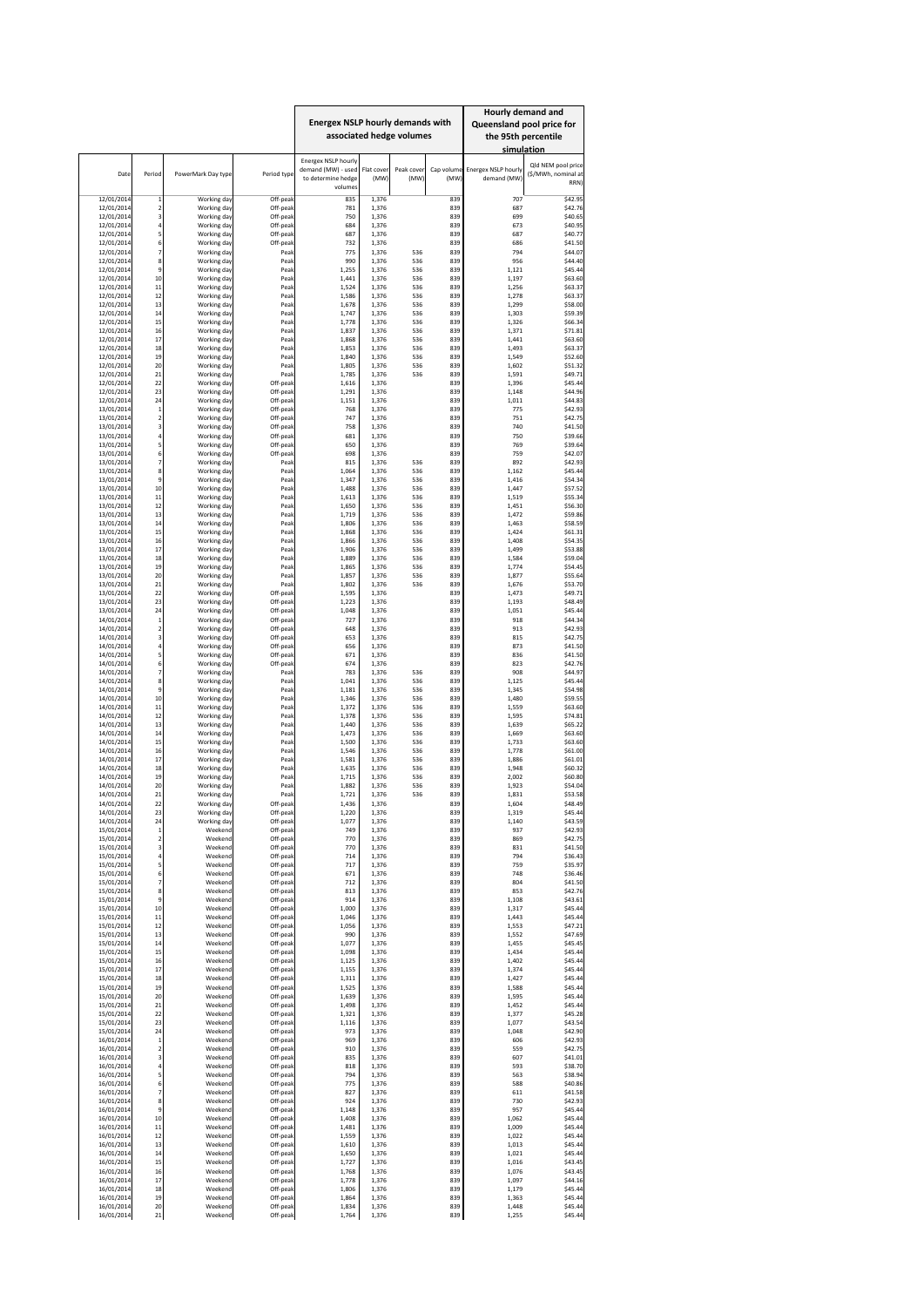|                          |                               |                            | <b>Energex NSLP hourly demands with</b> |                                           |                     |            | Hourly demand and<br>Queensland pool price for |                     |                             |
|--------------------------|-------------------------------|----------------------------|-----------------------------------------|-------------------------------------------|---------------------|------------|------------------------------------------------|---------------------|-----------------------------|
|                          |                               |                            |                                         | associated hedge volumes                  | the 95th percentile |            |                                                |                     |                             |
|                          |                               |                            |                                         |                                           |                     |            |                                                | simulation          |                             |
|                          |                               |                            |                                         | Energex NSLP hourly<br>demand (MW) - used | Flat cover          | Peak cover | Cap volume                                     | Energex NSLP hourly | Qld NEM pool price          |
| Date                     | Period                        | PowerMark Day type         | Period type                             | to determine hedge                        | (MW)                | (MW)       | (MW                                            | demand (MW)         | (\$/MWh, nominal at<br>RRN) |
| 12/01/2014               |                               | Working da                 | Off-peal                                | volume:<br>835                            | 1,376               |            | 839                                            | 707                 | \$42.95                     |
| 12/01/2014               | 2                             | Working day                | Off-peal                                | 781                                       | 1.376               |            | 839                                            | 687                 | \$42.76                     |
| 12/01/2014               | Ė                             | Working day                | Off-peal                                | 750                                       | 1,376               |            | 839                                            | 699                 | \$40.65                     |
| 12/01/2014               | 4                             | Working day                | Off-peal                                | 684                                       | 1,376               |            | 839                                            | 673                 | \$40.9                      |
| 12/01/2014               | 5                             | Working day                | Off-peal                                | 687                                       | 1,376               |            | 839                                            | 687                 | \$40.77                     |
| 12/01/2014               | 6                             | Working day                | Off-peal                                | 732                                       | 1.376               |            | 839                                            | 686                 | \$41.50                     |
| 12/01/2014               | ī                             | Working day                | Pea                                     | 775                                       | 1,376               | 536        | 839                                            | 794                 | \$44.0                      |
| 12/01/2014               | 8                             | Working day                | Pea                                     | 990                                       | 1,376               | 536        | 839                                            | 956                 | \$44.40                     |
| 12/01/2014               | Ś                             | Working day                | Pea                                     | 1,255                                     | 1,376               | 536        | 839                                            | 1,121               | \$45.44                     |
| 12/01/2014               | 10                            | Working day                | Pea                                     | 1.441                                     | 1.376               | 536        | 839                                            | 1,197               | \$63.60                     |
| 12/01/2014               | 11                            | Working day                | Peal                                    | 1,524                                     | 1,376               | 536        | 839                                            | 1,256               | \$63.37                     |
| 12/01/2014               | 12                            | Working day                | Pea                                     | 1,586                                     | 1,376               | 536        | 839                                            | 1,278               | \$63.37                     |
| 12/01/2014               | 13                            | Working day                | Peal                                    | 1,678                                     | 1,376               | 536        | 839                                            | 1,299               | \$58.00                     |
| 12/01/2014               | 14                            | Working day                | Pea                                     | 1,747                                     | 1,376               | 536        | 839                                            | 1,303               | \$59.39                     |
| 12/01/2014               | 15                            | Working day                | Pea<br>Pea                              | 1.778                                     | 1,376               | 536<br>536 | 839<br>839                                     | 1.326               | \$66.34                     |
| 12/01/2014<br>12/01/2014 | 16<br>17                      | Working day<br>Working day | Pea                                     | 1,837<br>1,868                            | 1,376<br>1,376      | 536        | 839                                            | 1,371<br>1,441      | \$71.8<br>\$63.60           |
| 12/01/2014               | 18                            | Working da                 | Pea                                     | 1,853                                     | 1,376               | 536        | 839                                            | 1,493               | \$63.37                     |
| 12/01/2014               | 19                            | Working day                | Pea                                     | 1.840                                     | 1.376               | 536        | 839                                            | 1.549               | \$52.60                     |
| 12/01/2014               | 20                            | Working day                | Peal                                    | 1,805                                     | 1,376               | 536        | 839                                            | 1,602               | \$51.32                     |
| 12/01/2014               | 21                            | Working day                | Pea                                     | 1,785                                     | 1,376               | 536        | 839                                            | 1,591               | \$49.71                     |
| 12/01/2014               | 22                            | Working day                | Off-peal                                | 1,616                                     | 1,376               |            | 839                                            | 1,396               | \$45.44                     |
| 12/01/2014               | 23                            | Working day                | Off-peal                                | 1.291                                     | 1.376               |            | 839                                            | 1.148               | \$44.96                     |
| 12/01/2014               | 24                            | Working day                | Off-peal                                | 1,151                                     | 1,376               |            | 839                                            | 1,011               | \$44.8                      |
| 13/01/2014               | 1                             | Working day                | Off-peal                                | 768                                       | 1,376               |            | 839                                            | 775                 | \$42.9                      |
| 13/01/2014               | $\overline{\mathbf{c}}$       | Working da                 | Off-peal                                | 747                                       | 1,376               |            | 839                                            | 751                 | \$42.7                      |
| 13/01/2014               | 3                             | Working day                | Off-peal                                | 758                                       | 1.376               |            | 839                                            | 740                 | \$41.50                     |
| 13/01/2014               | 4                             | Working day                | Off-peal                                | 681                                       | 1,376               |            | 839                                            | 750                 | \$39.66                     |
| 13/01/2014               | 5                             | Working day                | Off-peal                                | 650                                       | 1,376               |            | 839                                            | 769                 | \$39.64                     |
| 13/01/2014               | 6                             | Working day                | Off-peal                                | 698                                       | 1,376               |            | 839                                            | 759                 | \$42.07                     |
| 13/01/2014               | $\overline{\phantom{a}}$      | Working day                | Pea                                     | 815                                       | 1,376               | 536        | 839                                            | 892                 | \$42.93                     |
| 13/01/2014               | 8                             | Working day                | Pea                                     | 1,064                                     | 1,376               | 536        | 839                                            | 1,162               | \$45.44                     |
| 13/01/2014               | S                             | Working day                | Pea                                     | 1,347                                     | 1,376               | 536        | 839                                            | 1,416               | \$54.34                     |
| 13/01/2014               | 10                            | Working da                 | Pea                                     | 1,488                                     | 1,376               | 536        | 839                                            | 1,447               | \$57.5                      |
| 13/01/2014               | 11                            | Working da                 | Pea                                     | 1,613                                     | 1,376               | 536        | 839                                            | 1,519               | \$55.34                     |
| 13/01/2014               | 12                            | Working day                | Pea                                     | 1,650                                     | 1.376               | 536        | 839                                            | 1.451               | \$56.30                     |
| 13/01/2014               | 13                            | Working day                | Peal                                    | 1,719                                     | 1,376               | 536        | 839                                            | 1,472               | \$59.86                     |
| 13/01/2014               | 14                            | Working day                | Pea                                     | 1,806                                     | 1,376               | 536        | 839                                            | 1,463               | \$58.59                     |
| 13/01/2014               | 15                            | Working da                 | Pea                                     | 1,868                                     | 1,376               | 536        | 839                                            | 1,424               | \$61.3                      |
| 13/01/2014               | 16                            | Working day                | Pea                                     | 1.866                                     | 1.376               | 536        | 839                                            | 1.408               | \$54.35                     |
| 13/01/2014               | 17                            | Working day                | Pea                                     | 1,906                                     | 1,376               | 536        | 839                                            | 1,499               | \$53.88                     |
| 13/01/2014               | 18                            | Working day                | Pea                                     | 1,889                                     | 1,376               | 536        | 839                                            | 1,584               | \$59.0                      |
| 13/01/2014               | 19                            | Working da                 | Pea                                     | 1,865                                     | 1,376               | 536        | 839                                            | 1,774               | \$54.4                      |
| 13/01/2014               | 20                            | Working day                | Pea                                     | 1,857                                     | 1.376               | 536        | 839                                            | 1.877               | \$55.64                     |
| 13/01/2014               | 21                            | Working day                | Peal                                    | 1,802                                     | 1,376               | 536        | 839                                            | 1,676               | \$53.70                     |
| 13/01/2014               | 22                            | Working day                | Off-peal                                | 1,595                                     | 1,376               |            | 839                                            | 1,473               | \$49.71                     |
| 13/01/2014               | 2 <sup>2</sup>                | Working day                | Off-peal                                | 1,223                                     | 1,376               |            | 839                                            | 1,193               | \$48.49                     |
| 13/01/2014               | 24                            | Working day                | Off-peal                                | 1,048                                     | 1,376               |            | 839                                            | 1.051               | \$45.44                     |
| 14/01/2014               | $\mathbf{1}$                  | Working day                | Off-peal                                | 727                                       | 1,376               |            | 839                                            | 918                 | \$44.34                     |
| 14/01/2014               | $\overline{\mathbf{c}}$       | Working day                | Off-pea                                 | 648                                       | 1,376               |            | 839                                            | 913                 | \$42.9                      |
| 14/01/2014               | 3                             | Working da                 | Off-peal                                | 653                                       | 1,376               |            | 839                                            | 815                 | \$42.7                      |
| 14/01/2014               | 4                             | Working day                | Off-peal                                | 656                                       | 1.376               |            | 839                                            | 873                 | \$41.50                     |
| 14/01/2014               | 5                             | Working day                | Off-peal                                | 671                                       | 1,376               |            | 839                                            | 836                 | \$41.50                     |
| 14/01/2014<br>14/01/2014 | 6<br>$\overline{\phantom{a}}$ | Working day                | Off-peal<br>Pea                         | 674<br>783                                | 1,376<br>1,376      | 536        | 839<br>839                                     | 823<br>908          | \$42.76<br>\$44.97          |
| 14/01/2014               | 8                             | Working day<br>Working day | Pea                                     | 1.041                                     | 1,376               | 536        | 839                                            | 1.125               | \$45.44                     |
| 14/01/2014               | S                             | Working day                | Pea                                     | 1,181                                     | 1,376               | 536        | 839                                            | 1,345               | \$54.98                     |
| 14/01/2014               | 10                            | Working da                 | Pea                                     | 1,346                                     | 1,376               | 536        | 839                                            | 1,480               | \$59.5                      |
| 14/01/2014               | 11                            | Working day                | Pea                                     | 1,372                                     | 1,376               | 536        | 839                                            | 1,559               | \$63.60                     |
| 14/01/2014               | 12                            | Working da                 | Pea                                     | 1,378                                     | 1,376               | 536        | 839                                            | 1,595               | \$74.8                      |
| 14/01/2014               | 13                            | Working day                | Pea                                     | 1.440                                     | 1.376               | 536        | 839                                            | 1.639               | \$65.22                     |
| 14/01/2014               | 14                            | Working day                | Peal                                    | 1,473                                     | 1,376               | 536        | 839                                            | 1,669               | \$63.60                     |
| 14/01/2014               | 15                            | Working day                | Pea                                     | 1,500                                     | 1,376               | 536        | 839                                            | 1,733               | \$63.60                     |
| 14/01/2014               | 16                            | Working day                | Pea                                     | 1,546                                     | 1,376               | 536        | 839                                            | 1,778               | \$61.00                     |
| 14/01/2014               | 17                            | Working day                | Pea                                     | 1,581                                     | 1,376               | 536        | 839                                            | 1.886               | \$61.0                      |
| 14/01/2014               | 18                            | Working day                | Pea                                     | 1,635                                     | 1,376               | 536        | 839                                            | 1,948               | \$60.3                      |
| 14/01/2014               | 19<br>20                      | Working day                | Pea<br>Pea                              | 1,715                                     | 1,376               | 536<br>536 | 839<br>839                                     | 2,002               | \$60.80                     |
| 14/01/2014<br>14/01/2014 | 21                            | Working da<br>Working day  | Peal                                    | 1,882<br>1.721                            | 1,376<br>1,376      | 536        | 839                                            | 1,923<br>1.831      | \$54.0<br>\$53.58           |
| 14/01/2014               | 22                            | Working day                | Off-peal                                | 1,436                                     | 1,376               |            | 839                                            | 1,604               | \$48.49                     |
| 14/01/2014               | 23                            | Working day                | Off-peal                                | 1,220                                     | 1,376               |            | 839                                            | 1,319               | \$45.44                     |
| 14/01/2014               | 24                            | Working day                | Off-peal                                | 1,077                                     | 1,376               |            | 839                                            | 1,140               | \$43.59                     |
| 15/01/2014               | 1                             | Weekend                    | Off-peal                                | 749                                       | 1.376               |            | 839                                            | 937                 | \$42.93                     |
| 15/01/2014               | $\overline{\mathbf{c}}$       | Weekend                    | Off-peal                                | 770                                       | 1,376               |            | 839                                            | 869                 | \$42.7                      |
| 15/01/2014               | ĵ                             | Weekend                    | Off-peal                                | 770                                       | 1,376               |            | 839                                            | 831                 | \$41.50                     |
| 15/01/2014               | 4                             | Weekend                    | Off-peal                                | 714                                       | 1,376               |            | 839                                            | 794                 | \$36.43                     |
| 15/01/2014               | 5                             | Weekend                    | Off-peal                                | 717                                       | 1,376               |            | 839                                            | 759                 | \$35.97                     |
| 15/01/2014               | 6                             | Weekend                    | Off-peal                                | 671                                       | 1,376               |            | 839                                            | 748                 | \$36.46                     |
| 15/01/2014               | 7                             | Weekend                    | Off-peal                                | 712                                       | 1,376               |            | 839                                            | 804                 | \$41.50                     |
| 15/01/2014               | 8                             | Weekend                    | Off-peal                                | 813                                       | 1,376               |            | 839<br>839                                     | 853                 | \$42.76                     |
| 15/01/2014<br>15/01/2014 | 9<br>10                       | Weekend<br>Weekend         | Off-peal<br>Off-peal                    | 914<br>1,000                              | 1,376<br>1,376      |            | 839                                            | 1,108<br>1,317      | \$43.61<br>\$45.44          |
| 15/01/2014               | 11                            | Weekend                    | Off-peal                                | 1,046                                     | 1,376               |            | 839                                            | 1,443               | \$45.44                     |
| 15/01/2014               | 12                            | Weekend                    | Off-peal                                | 1,056                                     | 1,376               |            | 839                                            | 1,553               | \$47.2                      |
| 15/01/2014               | 13                            | Weekend                    | Off-peal                                | 990                                       | 1,376               |            | 839                                            | 1,552               | \$47.69                     |
| 15/01/2014               | 14                            | Weekend                    | Off-peal                                | 1,077                                     | 1,376               |            | 839                                            | 1,455               | \$45.49                     |
| 15/01/2014               | 15                            | Weekend                    | Off-peal                                | 1,098                                     | 1,376               |            | 839                                            | 1,434               | \$45.44                     |
| 15/01/2014               | 16                            | Weekend                    | Off-peal                                | 1,125                                     | 1,376               |            | 839                                            | 1,402               | \$45.44                     |
| 15/01/2014               | 17                            | Weekend                    | Off-peak                                | 1,155                                     | 1,376               |            | 839                                            | 1,374               | \$45.44                     |
| 15/01/2014               | 18                            | Weekend                    | Off-peal                                | 1,311                                     | 1,376               |            | 839                                            | 1,427               | \$45.44                     |
| 15/01/2014               | 19                            | Weekend                    | Off-peal                                | 1,525                                     | 1,376               |            | 839                                            | 1,588               | \$45.44                     |
| 15/01/2014               | 20                            | Weekend                    | Off-peal                                | 1,639                                     | 1,376               |            | 839                                            | 1,595               | \$45.44                     |
| 15/01/2014               | 21                            | Weekend                    | Off-peak                                | 1,498                                     | 1,376               |            | 839                                            | 1,452               | \$45.44                     |
| 15/01/2014               | 22                            | Weekend                    | Off-peak                                | 1,321                                     | 1,376               |            | 839                                            | 1,377               | \$45.28                     |
| 15/01/2014               | 23                            | Weekend                    | Off-peal                                | 1,116                                     | 1,376               |            | 839                                            | 1,077               | \$43.54                     |
| 15/01/2014               | 24                            | Weekend                    | Off-peal                                | 973                                       | 1,376               |            | 839                                            | 1,048               | \$42.90                     |
| 16/01/2014               | $\mathbf{1}$                  | Weekend                    | Off-peak                                | 969                                       | 1,376               |            | 839                                            | 606                 | \$42.93                     |
| 16/01/2014               | $\overline{\mathbf{c}}$       | Weekend                    | Off-peal                                | 910                                       | 1,376               |            | 839                                            | 559                 | \$42.75                     |
| 16/01/2014               | ă                             | Weekend                    | Off-peal                                | 835                                       | 1,376               |            | 839                                            | 607                 | \$41.01                     |
| 16/01/2014               | 4                             | Weekend                    | Off-peal                                | 818                                       | 1,376               |            | 839                                            | 593                 | \$38.70                     |
| 16/01/2014               | S<br>6                        | Weekend<br>Weekend         | Off-peak<br>Off-peal                    | 794<br>775                                | 1,376<br>1,376      |            | 839<br>839                                     | 563<br>588          | \$38.94<br>\$40.86          |
| 16/01/2014<br>16/01/2014 | 7                             | Weekend                    | Off-peal                                | 827                                       | 1,376               |            | 839                                            | 611                 | \$41.58                     |
| 16/01/2014               | 8                             | Weekend                    | Off-peal                                | 924                                       | 1,376               |            | 839                                            | 730                 | \$42.93                     |
| 16/01/2014               | S                             | Weekend                    | Off-peal                                | 1,148                                     | 1,376               |            | 839                                            | 957                 | \$45.44                     |
| 16/01/2014               | 10                            | Weekend                    | Off-peal                                | 1,408                                     | 1,376               |            | 839                                            | 1,062               | \$45.44                     |
| 16/01/2014               | 11                            | Weekend                    | Off-peal                                | 1.481                                     | 1.376               |            | 839                                            | 1,009               | \$45.44                     |
| 16/01/2014               | 12                            | Weekend                    | Off-peal                                | 1,559                                     | 1,376               |            | 839                                            | 1,022               | \$45.44                     |
| 16/01/2014               | 13                            | Weekend                    | Off-peal                                | 1,610                                     | 1,376               |            | 839                                            | 1,013               | \$45.4                      |
| 16/01/2014               | 14                            | Weekend                    | Off-peal                                | 1,650                                     | 1,376               |            | 839                                            | 1,021               | \$45.44                     |
| 16/01/2014               | 15                            | Weekend                    | Off-peal                                | 1,727                                     | 1,376               |            | 839                                            | 1,016               | \$43.45                     |
| 16/01/2014               | 16                            | Weekend                    | Off-peal                                | 1,768                                     | 1,376               |            | 839                                            | 1,076               | \$43.45                     |
| 16/01/2014               | 17                            | Weekend                    | Off-peal                                | 1,778                                     | 1,376               |            | 839                                            | 1,097               | \$44.16                     |
| 16/01/2014               | 18                            | Weekend                    | Off-peal                                | 1,806                                     | 1,376               |            | 839                                            | 1,179               | \$45.44                     |
| 16/01/2014               | 19                            | Weekend                    | Off-peal                                | 1,864                                     | 1,376               |            | 839                                            | 1,363               | \$45.44                     |
| 16/01/2014               | 20                            | Weekend                    | Off-peal                                | 1,834                                     | 1,376               |            | 839                                            | 1,448               | \$45.44                     |
| 16/01/2014               | 21                            | Weekend                    | Off-peak                                | 1,764                                     | 1,376               |            | 839                                            | 1,255               | \$45.44                     |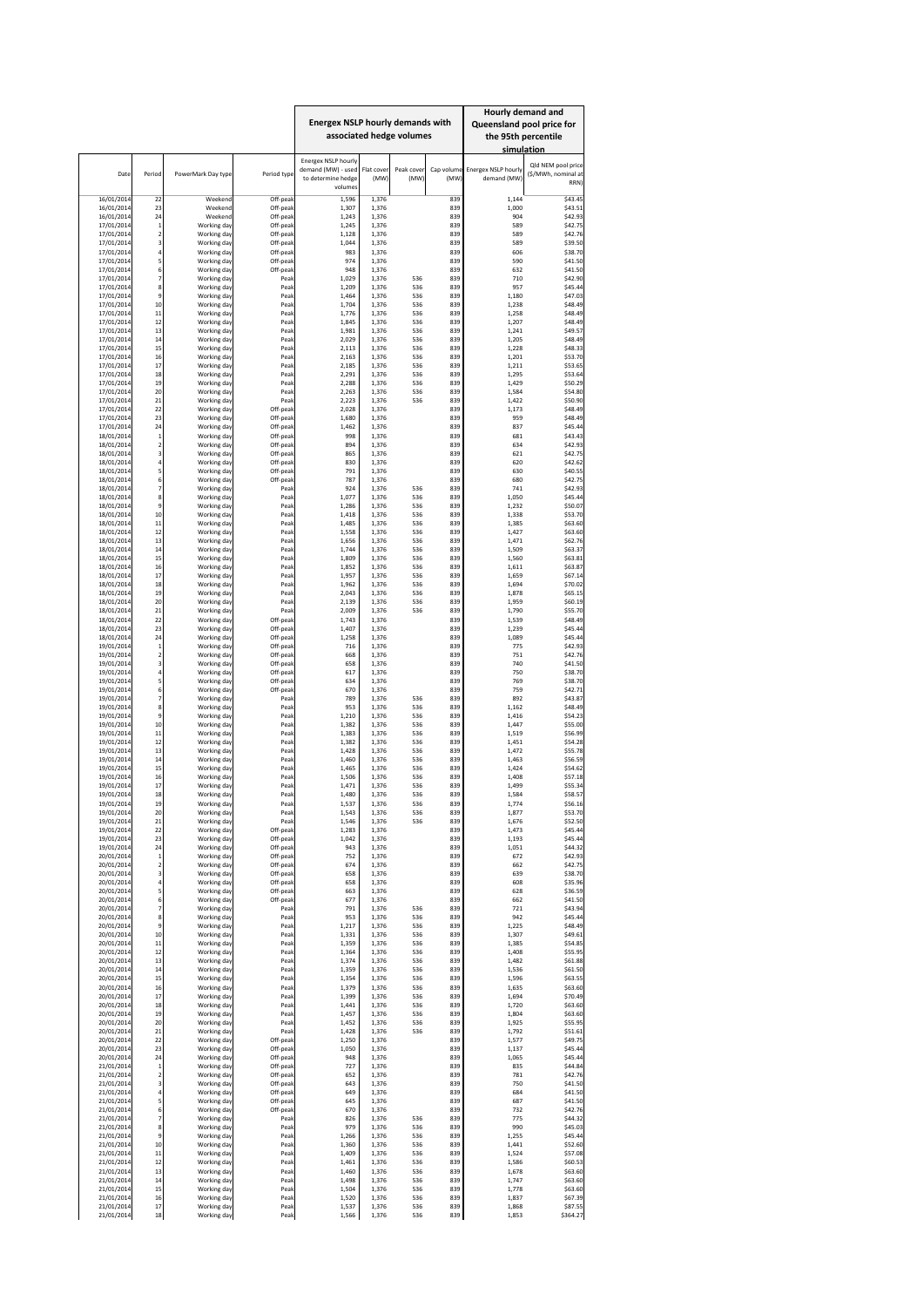|                          |                         |                            |                      |                                           |                |                          |            | Hourly demand and<br>Queensland pool price for |                             |  |
|--------------------------|-------------------------|----------------------------|----------------------|-------------------------------------------|----------------|--------------------------|------------|------------------------------------------------|-----------------------------|--|
|                          |                         |                            |                      | <b>Energex NSLP hourly demands with</b>   |                | associated hedge volumes |            | the 95th percentile                            |                             |  |
|                          |                         |                            |                      |                                           |                |                          |            | simulation                                     |                             |  |
|                          |                         |                            |                      | Energex NSLP hourly<br>demand (MW) - used | Flat cover     | Peak cover               | Cap volume | Energex NSLP hourly                            | Qld NEM pool price          |  |
| Date                     | Period                  | PowerMark Day type         | Period type          | to determine hedge<br>volumes             | (MW)           | (MW)                     | (MW        | demand (MW)                                    | (\$/MWh, nominal at<br>RRN) |  |
| 16/01/2014               | 22                      | Weekend                    | Off-peal             | 1,596                                     | 1,376          |                          | 839        | 1,144                                          | \$43.45                     |  |
| 16/01/2014               | 23                      | Weekend                    | Off-peal             | 1.307                                     | 1,376          |                          | 839        | 1,000                                          | \$43.51                     |  |
| 16/01/2014               | 24                      | Weekend                    | Off-peal             | 1,243                                     | 1,376          |                          | 839        | 904                                            | \$42.93                     |  |
| 17/01/2014               | $\mathbf{1}$            | Working day                | Off-peal             | 1,245                                     | 1,376          |                          | 839        | 589                                            | \$42.75                     |  |
| 17/01/2014               | $\overline{2}$          | Working day                | Off-peal             | 1,128                                     | 1,376          |                          | 839        | 589                                            | \$42.76                     |  |
| 17/01/2014               | $\overline{\mathbf{3}}$ | Working day                | Off-peal             | 1.044                                     | 1.376          |                          | 839        | 589                                            | \$39.50                     |  |
| 17/01/2014               | 4                       | Working day                | Off-peal             | 983                                       | 1,376          |                          | 839        | 606                                            | \$38.70                     |  |
| 17/01/2014               | 5                       | Working day                | Off-peal             | 974                                       | 1,376          |                          | 839        | 590                                            | \$41.50                     |  |
| 17/01/2014               | 6<br>$\overline{7}$     | Working da                 | Off-peak<br>Peal     | 948<br>1.029                              | 1,376          | 536                      | 839<br>839 | 632<br>710                                     | \$41.50<br>\$42.90          |  |
| 17/01/2014<br>17/01/2014 | 8                       | Working day<br>Working day | Peak                 | 1,209                                     | 1,376<br>1,376 | 536                      | 839        | 957                                            | \$45.44                     |  |
| 17/01/2014               | 9                       | Working day                | Peak                 | 1,464                                     | 1,376          | 536                      | 839        | 1,180                                          | \$47.03                     |  |
| 17/01/2014               | 10                      | Working day                | Peak                 | 1,704                                     | 1,376          | 536                      | 839        | 1,238                                          | \$48.49                     |  |
| 17/01/2014               | 11                      | Working day                | Peak                 | 1,776                                     | 1,376          | 536                      | 839        | 1,258                                          | \$48.49                     |  |
| 17/01/2014               | 12                      | Working day                | Peal                 | 1.845                                     | 1,376          | 536                      | 839        | 1,207                                          | \$48.49                     |  |
| 17/01/2014               | 13                      | Working day                | Peal                 | 1,981                                     | 1,376          | 536                      | 839        | 1,241                                          | \$49.57                     |  |
| 17/01/2014               | 14                      | Working day                | Peal                 | 2,029                                     | 1,376          | 536                      | 839        | 1,205                                          | \$48.49                     |  |
| 17/01/2014               | 15                      | Working day                | Peal                 | 2,113                                     | 1,376          | 536                      | 839        | 1,228                                          | \$48.33                     |  |
| 17/01/2014               | 16                      | Working day                | Peal                 | 2.163                                     | 1.376          | 536                      | 839        | 1,201                                          | \$53.70                     |  |
| 17/01/2014               | 17                      | Working day                | Peal                 | 2,185                                     | 1,376          | 536                      | 839        | 1,211                                          | \$53.65                     |  |
| 17/01/2014               | 18<br>19                | Working day                | Peal<br>Peal         | 2,291                                     | 1,376          | 536<br>536               | 839<br>839 | 1,295                                          | \$53.64<br>\$50.29          |  |
| 17/01/2014<br>17/01/2014 | 20                      | Working day<br>Working day | Peal                 | 2,288<br>2.263                            | 1,376<br>1.376 | 536                      | 839        | 1,429<br>1,584                                 | \$54.80                     |  |
| 17/01/2014               | 21                      | Working day                | Peal                 | 2,223                                     | 1,376          | 536                      | 839        | 1,422                                          | \$50.90                     |  |
| 17/01/2014               | 22                      | Working day                | Off-peal             | 2,028                                     | 1,376          |                          | 839        | 1,173                                          | \$48.49                     |  |
| 17/01/2014               | 23                      | Working da                 | Off-peal             | 1,680                                     | 1,376          |                          | 839        | 959                                            | \$48.49                     |  |
| 17/01/2014               | 24                      | Working day                | Off-peal             | 1.462                                     | 1,376          |                          | 839        | 837                                            | \$45.44                     |  |
| 18/01/2014               | $\,$ 1                  | Working day                | Off-peak             | 998                                       | 1,376          |                          | 839        | 681                                            | \$43.43                     |  |
| 18/01/2014               | $\mathbf 2$             | Working day                | Off-peak             | 894                                       | 1,376          |                          | 839        | 634                                            | \$42.93                     |  |
| 18/01/2014               | $\overline{\mathbf{3}}$ | Working day                | Off-peak             | 865                                       | 1,376          |                          | 839        | 621                                            | \$42.75                     |  |
| 18/01/2014               | $\overline{a}$          | Working day                | Off-peal             | 830                                       | 1.376          |                          | 839        | 620                                            | \$42.62                     |  |
| 18/01/2014               | 5                       | Working day                | Off-peal             | 791                                       | 1,376          |                          | 839        | 630                                            | \$40.55                     |  |
| 18/01/2014               | 6                       | Working day                | Off-peal             | 787                                       | 1,376          |                          | 839        | 680                                            | \$42.7                      |  |
| 18/01/2014               | $\overline{7}$          | Working day                | Peal                 | 924                                       | 1,376          | 536                      | 839        | 741                                            | \$42.93                     |  |
| 18/01/2014               | 8                       | Working day                | Peal                 | 1,077                                     | 1,376          | 536                      | 839        | 1,050                                          | \$45.44                     |  |
| 18/01/2014               | 9                       | Working day                | Peal                 | 1.286                                     | 1.376          | 536                      | 839        | 1.232                                          | \$50.07                     |  |
| 18/01/2014               | 10                      | Working day                | Peal                 | 1,418                                     | 1,376          | 536                      | 839        | 1,338                                          | \$53.70                     |  |
| 18/01/2014               | 11<br>12                | Working day                | Peal<br>Peal         | 1,485                                     | 1,376          | 536<br>536               | 839<br>839 | 1,385                                          | \$63.60                     |  |
| 18/01/2014<br>18/01/2014 | 13                      | Working day<br>Working day | Peal                 | 1,558<br>1.656                            | 1,376<br>1.376 | 536                      | 839        | 1,427<br>1.471                                 | \$63.60<br>\$62.76          |  |
| 18/01/2014               | 14                      | Working day                | Peal                 | 1,744                                     | 1,376          | 536                      | 839        | 1,509                                          | \$63.37                     |  |
| 18/01/2014               | 15                      | Working day                | Peal                 | 1,809                                     | 1,376          | 536                      | 839        | 1,560                                          | \$63.8                      |  |
| 18/01/2014               | 16                      | Working da                 | Peal                 | 1,852                                     | 1,376          | 536                      | 839        | 1,611                                          | \$63.87                     |  |
| 18/01/2014               | 17                      | Working day                | Peal                 | 1.957                                     | 1.376          | 536                      | 839        | 1,659                                          | \$67.14                     |  |
| 18/01/2014               | 18                      | Working day                | Peak                 | 1,962                                     | 1,376          | 536                      | 839        | 1,694                                          | \$70.02                     |  |
| 18/01/2014               | 19                      | Working day                | Peak                 | 2,043                                     | 1,376          | 536                      | 839        | 1,878                                          | \$65.15                     |  |
| 18/01/2014               | 20                      | Working day                | Peak                 | 2,139                                     | 1,376          | 536                      | 839        | 1,959                                          | \$60.19                     |  |
| 18/01/2014               | 21                      | Working day                | Peal                 | 2.009                                     | 1.376          | 536                      | 839        | 1.790                                          | \$55.70                     |  |
| 18/01/2014               | 22                      | Working day                | Off-peal             | 1,743                                     | 1,376          |                          | 839        | 1,539                                          | \$48.49                     |  |
| 18/01/2014               | 23                      | Working day                | Off-peal             | 1,407                                     | 1,376          |                          | 839<br>839 | 1,239                                          | \$45.44                     |  |
| 18/01/2014<br>19/01/2014 | 24<br>$\mathbf{1}$      | Working day<br>Working day | Off-peal<br>Off-peal | 1,258<br>716                              | 1,376<br>1.376 |                          | 839        | 1,089<br>775                                   | \$45.44<br>\$42.93          |  |
| 19/01/2014               | $\mathbf 2$             | Working day                | Off-peal             | 668                                       | 1,376          |                          | 839        | 751                                            | \$42.76                     |  |
| 19/01/2014               | 3                       | Working day                | Off-peal             | 658                                       | 1,376          |                          | 839        | 740                                            | \$41.50                     |  |
| 19/01/2014               | 4                       | Working day                | Off-peak             | 617                                       | 1,376          |                          | 839        | 750                                            | \$38.70                     |  |
| 19/01/2014               | 5                       | Working day                | Off-peal             | 634                                       | 1.376          |                          | 839        | 769                                            | \$38.70                     |  |
| 19/01/2014               | 6                       | Working day                | Off-peal             | 670                                       | 1,376          |                          | 839        | 759                                            | \$42.71                     |  |
| 19/01/2014               | $\overline{7}$          | Working day                | Peal                 | 789                                       | 1,376          | 536                      | 839        | 892                                            | \$43.87                     |  |
| 19/01/2014               | 8                       | Working day                | Peal                 | 953                                       | 1,376          | 536                      | 839        | 1,162                                          | \$48.49                     |  |
| 19/01/2014               | 9                       | Working day                | Peal                 | 1,210                                     | 1,376          | 536                      | 839        | 1,416                                          | \$54.23                     |  |
| 19/01/2014               | 10                      | Working day                | Peal                 | 1,382                                     | 1.376          | 536                      | 839        | 1,447                                          | \$55.00                     |  |
| 19/01/2014               | 11                      | Working day                | Peak                 | 1,383                                     | 1,376          | 536                      | 839        | 1,519                                          | \$56.99                     |  |
| 19/01/2014               | 12                      | Working day                | Peak                 | 1,382                                     | 1,376          | 536                      | 839        | 1,451                                          | \$54.28                     |  |
| 19/01/2014               | 13                      | Working day                | Peak                 | 1,428                                     | 1,376          | 536                      | 839        | 1,472                                          | \$55.78                     |  |
| 19/01/2014               | 14                      | Working day                | Peal                 | 1.460                                     | 1,376          | 536                      | 839        | 1,463                                          | \$56.59                     |  |
| 19/01/2014               | 15                      | Working day                | Peal                 | 1,465                                     | 1,376          | 536                      | 839        | 1,424                                          | \$54.62                     |  |
| 19/01/2014               | 16                      | Working day                | Peal                 | 1,506                                     | 1,376          | 536                      | 839        | 1,408                                          | \$57.18                     |  |
| 19/01/2014               | 17                      |                            | Peal                 | 1,471                                     | 1,376          | 536                      | 839        | 1,499                                          | \$55.34                     |  |
| 19/01/2014               | 18                      | Working day<br>Working day | Peal                 | 1,480                                     | 1,376          | 536                      | 839        | 1,584                                          | \$58.57                     |  |
| 19/01/2014               | 19                      | Working day                | Peal                 | 1.537                                     | 1.376          | 536                      | 839        | 1,774                                          | \$56.16                     |  |
| 19/01/2014               | 20                      | Working day                | Peak                 | 1,543                                     | 1,376          | 536                      | 839        | 1,877                                          | \$53.70                     |  |
| 19/01/2014               | 21                      | Working day                | Peal                 | 1,546                                     | 1,376          | 536                      | 839        | 1,676                                          | \$52.50                     |  |
| 19/01/2014               | 22                      | Working day                | Off-peal             | 1.283                                     | 1,376          |                          | 839        | 1.473                                          | \$45.44                     |  |
| 19/01/2014               | 23                      | Working day                | Off-peal             | 1,042                                     | 1,376          |                          | 839        | 1,193                                          | \$45.44                     |  |
| 19/01/2014               | 24                      | Working day                | Off-peal             | 943                                       | 1,376          |                          | 839        | 1,051                                          | \$44.32                     |  |
| 20/01/2014               | $\mathbf{1}$            | Working day                | Off-peak             | 752                                       | 1,376          |                          | 839        | 672                                            | \$42.93                     |  |
| 20/01/2014               | $\overline{\mathbf{2}}$ | Working day                | Off-peak             | 674                                       | 1.376          |                          | 839        | 662                                            | \$42.75                     |  |
| 20/01/2014               | 3                       | Working day                | Off-peak             | 658                                       | 1,376          |                          | 839        | 639                                            | \$38.70                     |  |
| 20/01/2014               | 4                       | Working day                | Off-peak             | 658                                       | 1,376          |                          | 839        | 608                                            | \$35.96                     |  |
| 20/01/2014               | 5                       | Working day                | Off-peak             | 663                                       | 1,376          |                          | 839        | 628                                            | \$36.59                     |  |
| 20/01/2014               | 6                       | Working day                | Off-peak             | 677                                       | 1,376          |                          | 839        | 662                                            | \$41.50                     |  |
| 20/01/2014               | $\overline{7}$          | Working day                | Peak                 | 791                                       | 1,376          | 536                      | 839        | 721                                            | \$43.94                     |  |
| 20/01/2014               | 8                       | Working day                | Peak                 | 953                                       | 1,376          | 536                      | 839        | 942                                            | \$45.44                     |  |
| 20/01/2014               | 9                       | Working day                | Peak                 | 1,217                                     | 1,376          | 536                      | 839        | 1,225                                          | \$48.49                     |  |
| 20/01/2014               | 10                      | Working day                | Peak                 | 1,331                                     | 1,376          | 536                      | 839        | 1,307                                          | \$49.61                     |  |
| 20/01/2014               | 11                      | Working day                | Peal                 | 1,359                                     | 1.376          | 536                      | 839        | 1,385                                          | \$54.85                     |  |
| 20/01/2014               | 12                      | Working day                | Peak                 | 1,364                                     | 1,376          | 536                      | 839        | 1,408                                          | \$55.95                     |  |
| 20/01/2014               | 13                      | Working day                | Peak                 | 1,374                                     | 1,376          | 536                      | 839        | 1,482                                          | \$61.88                     |  |
| 20/01/2014               | 14                      | Working day                | Peal                 | 1,359                                     | 1,376          | 536                      | 839        | 1,536                                          | \$61.50                     |  |
| 20/01/2014               | 15                      | Working day                | Peal                 | 1.354                                     | 1.376          | 536                      | 839        | 1,596                                          | \$63.55                     |  |
| 20/01/2014               | 16                      | Working day                | Peal                 | 1,379                                     | 1,376          | 536                      | 839        | 1,635                                          | \$63.60                     |  |
| 20/01/2014               | 17                      | Working day                | Peak                 | 1,399                                     | 1,376          | 536                      | 839        | 1,694                                          | \$70.49                     |  |
| 20/01/2014               | 18                      | Working day                | Peak                 | 1,441                                     | 1,376          | 536                      | 839        | 1,720                                          | \$63.60                     |  |
| 20/01/2014               | 19                      | Working day                | Peak                 | 1,457                                     | 1.376          | 536                      | 839        | 1,804                                          | \$63.60                     |  |
| 20/01/2014               | 20                      | Working day                | Peak                 | 1,452                                     | 1,376          | 536                      | 839        | 1,925                                          | \$55.95                     |  |
| 20/01/2014               | 21                      | Working day                | Peak                 | 1,428                                     | 1,376          | 536                      | 839        | 1,792                                          | \$51.61                     |  |
| 20/01/2014               | 22                      | Working day                | Off-peak             | 1,250                                     | 1,376          |                          | 839        | 1,577                                          | \$49.75                     |  |
| 20/01/2014               | 23                      | Working day                | Off-peak             | 1.050                                     | 1.376          |                          | 839        | 1.137                                          | \$45.44                     |  |
| 20/01/2014               | 24                      | Working day                | Off-peal             | 948                                       | 1,376          |                          | 839        | 1,065                                          | \$45.44                     |  |
| 21/01/2014               | $\mathbf{1}$            | Working day                | Off-peak             | 727                                       | 1,376          |                          | 839        | 835                                            | \$44.84                     |  |
| 21/01/2014               | $\overline{\mathbf{2}}$ | Working day                | Off-peak             | 652                                       | 1,376          |                          | 839        | 781                                            | \$42.76                     |  |
| 21/01/2014               | 3                       | Working day                | Off-peak             | 643                                       | 1,376          |                          | 839        | 750                                            | \$41.50                     |  |
| 21/01/2014               | 4                       | Working day                | Off-peak             | 649                                       | 1.376          |                          | 839        | 684                                            | \$41.50                     |  |
| 21/01/2014               | 5                       | Working day                | Off-peak             | 645                                       | 1,376          |                          | 839        | 687                                            | \$41.50                     |  |
| 21/01/2014               | 6                       | Working day                | Off-peak             | 670                                       | 1,376          |                          | 839        | 732                                            | \$42.76                     |  |
| 21/01/2014               | $\overline{7}$          | Working day                | Peak                 | 826                                       | 1,376          | 536                      | 839        | 775                                            | \$44.32                     |  |
| 21/01/2014               | 8                       | Working day                | Peal                 | 979                                       | 1.376          | 536                      | 839        | 990                                            | \$45.03                     |  |
| 21/01/2014               | 9                       | Working day                | Peal                 | 1,266                                     | 1,376          | 536                      | 839        | 1,255                                          | \$45.44                     |  |
| 21/01/2014               | 10                      | Working day                | Peak                 | 1,360                                     | 1,376          | 536                      | 839        | 1,441                                          | \$52.60                     |  |
| 21/01/2014               | 11                      | Working day                | Peak                 | 1,409                                     | 1,376          | 536                      | 839        | 1,524                                          | \$57.08                     |  |
| 21/01/2014               | 12                      | Working day                | Peak                 | 1,461                                     | 1,376          | 536                      | 839        | 1,586                                          | \$60.53                     |  |
| 21/01/2014               | 13                      | Working day                | Peak                 | 1,460                                     | 1,376          | 536                      | 839        | 1,678                                          | \$63.60                     |  |
| 21/01/2014               | 14                      | Working day                | Peak                 | 1,498                                     | 1,376          | 536                      | 839        | 1,747                                          | \$63.60                     |  |
| 21/01/2014               | 15                      | Working day                | Peak                 | 1,504                                     | 1,376          | 536                      | 839        | 1,778                                          | \$63.60                     |  |
| 21/01/2014               | 16                      | Working day                | Peak                 | 1,520                                     | 1,376          | 536                      | 839        | 1,837                                          | \$67.39                     |  |
| 21/01/2014               | 17                      | Working day                | Peak                 | 1,537                                     | 1,376          | 536                      | 839        | 1,868                                          | \$87.55                     |  |
| 21/01/2014               | 18                      | Working day                | Peal                 | 1,566                                     | 1,376          | 536                      | 839        | 1,853                                          | \$364.2                     |  |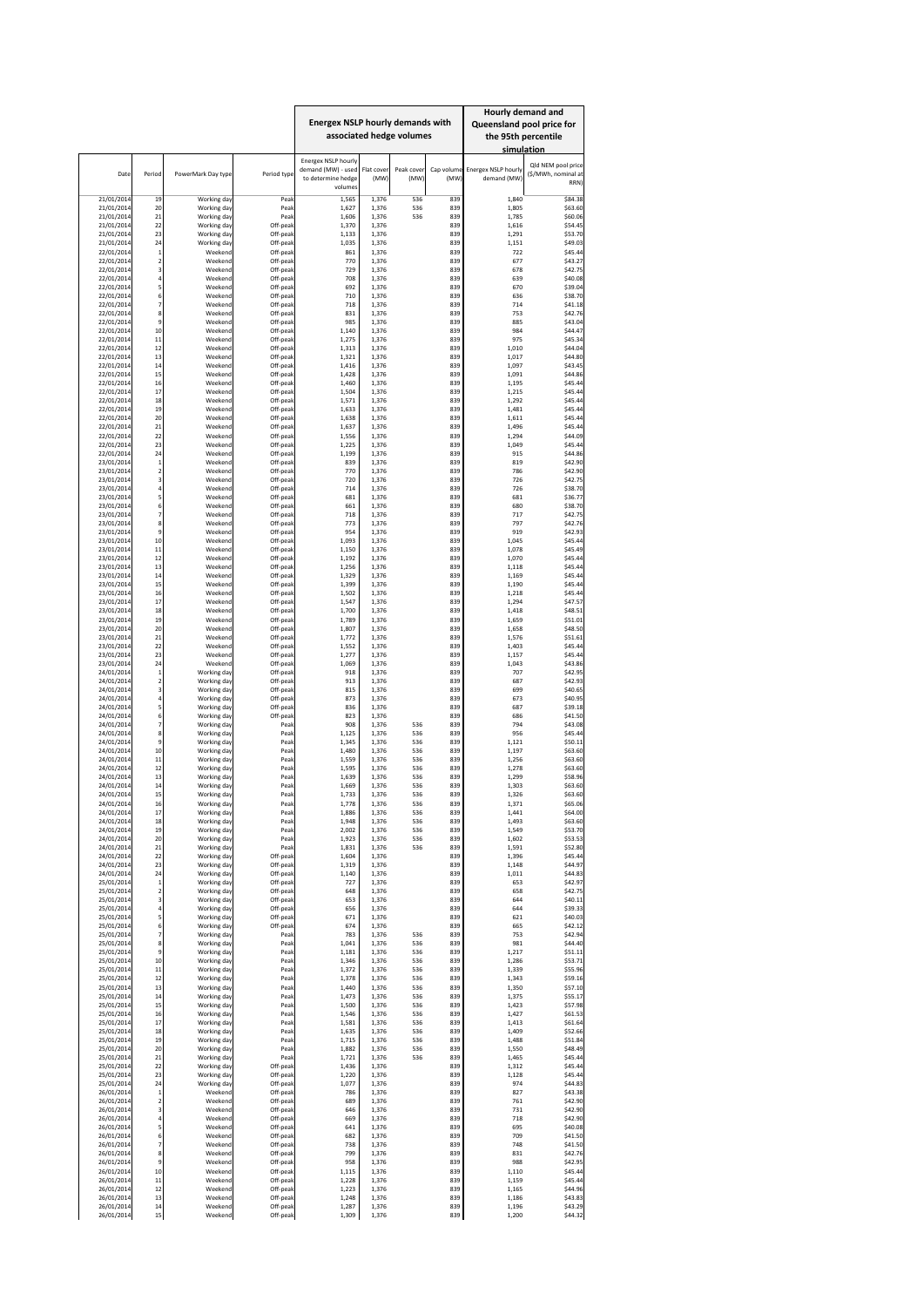|                          |                                        |                            |                                         |                                          |                          |                    |                     | Hourly demand and<br>Queensland pool price for |                     |  |  |
|--------------------------|----------------------------------------|----------------------------|-----------------------------------------|------------------------------------------|--------------------------|--------------------|---------------------|------------------------------------------------|---------------------|--|--|
|                          |                                        |                            | <b>Energex NSLP hourly demands with</b> |                                          | associated hedge volumes |                    | the 95th percentile |                                                |                     |  |  |
|                          |                                        |                            |                                         |                                          |                          |                    |                     | simulation                                     |                     |  |  |
|                          |                                        |                            |                                         | Energex NSLP hourly                      |                          |                    |                     |                                                | Qld NEM pool price  |  |  |
| Date                     | Period                                 | PowerMark Day type         | Period type                             | demand (MW) - used<br>to determine hedge | Flat cover<br>(MW)       | Peak cover<br>(MW) | Cap volume<br>(MW)  | Energex NSLP hourly<br>demand (MW              | (\$/MWh, nominal at |  |  |
|                          |                                        |                            |                                         | volumes                                  |                          |                    |                     |                                                | RRN)                |  |  |
| 21/01/2014<br>21/01/2014 | 19<br>20                               | Working day<br>Working day | Peal<br>Peak                            | 1,565<br>1.627                           | 1,376<br>1.376           | 536<br>536         | 839<br>839          | 1,840<br>1,805                                 | \$84.38<br>\$63.60  |  |  |
| 21/01/2014               | 21                                     | Working day                | Peak                                    | 1,606                                    | 1,376                    | 536                | 839                 | 1,785                                          | \$60.06             |  |  |
| 21/01/2014<br>21/01/2014 | 22<br>23                               | Working day                | Off-peal<br>Off-peal                    | 1,370<br>1,133                           | 1,376<br>1,376           |                    | 839<br>839          | 1,616<br>1,291                                 | \$54.45<br>\$53.70  |  |  |
| 21/01/2014               | 24                                     | Working day<br>Working day | Off-peal                                | 1,035                                    | 1,376                    |                    | 839                 | 1,151                                          | \$49.03             |  |  |
| 22/01/2014<br>22/01/2014 | $\mathbf{1}$<br>$\mathbf 2$            | Weekend<br>Weekend         | Off-peal<br>Off-peal                    | 861<br>770                               | 1,376<br>1,376           |                    | 839<br>839          | 722<br>677                                     | \$45.44<br>\$43.27  |  |  |
| 22/01/2014               | 31                                     | Weekend                    | Off-peak                                | 729                                      | 1,376                    |                    | 839                 | 678                                            | \$42.75             |  |  |
| 22/01/2014<br>22/01/2014 | $\overline{\mathbf{a}}$<br>5           | Weekend<br>Weekend         | Off-peak<br>Off-peak                    | 708<br>692                               | 1,376<br>1,376           |                    | 839<br>839          | 639<br>670                                     | \$40.08<br>\$39.04  |  |  |
| 22/01/2014               | 6                                      | Weekend                    | Off-peak                                | 710                                      | 1,376                    |                    | 839                 | 636                                            | \$38.70             |  |  |
| 22/01/2014<br>22/01/2014 | $\overline{\phantom{a}}$<br>$\bf8$     | Weekend<br>Weekend         | Off-peak<br>Off-peak                    | 718<br>831                               | 1,376<br>1,376           |                    | 839<br>839          | 714<br>753                                     | \$41.18<br>\$42.76  |  |  |
| 22/01/2014               | 9                                      | Weekend                    | Off-peal                                | 985                                      | 1,376                    |                    | 839                 | 885                                            | \$43.04             |  |  |
| 22/01/2014<br>22/01/2014 | 10<br>11                               | Weekend<br>Weekend         | Off-peal<br>Off-peal                    | 1,140<br>1,275                           | 1,376<br>1,376           |                    | 839<br>839          | 984<br>975                                     | \$44.47<br>\$45.34  |  |  |
| 22/01/2014               | 12                                     | Weekend                    | Off-peal                                | 1,313                                    | 1,376                    |                    | 839                 | 1,010                                          | \$44.04             |  |  |
| 22/01/2014<br>22/01/2014 | 13<br>14                               | Weekend<br>Weekend         | Off-peak<br>Off-peak                    | 1.321<br>1,416                           | 1.376<br>1,376           |                    | 839<br>839          | 1.017<br>1,097                                 | \$44.80<br>\$43.45  |  |  |
| 22/01/2014               | 15<br>16                               | Weekend                    | Off-peak                                | 1,428                                    | 1,376                    |                    | 839<br>839          | 1,091                                          | \$44.86<br>\$45.44  |  |  |
| 22/01/2014<br>22/01/2014 | 17                                     | Weekend<br>Weekend         | Off-peak<br>Off-peak                    | 1,460<br>1.504                           | 1,376<br>1.376           |                    | 839                 | 1,195<br>1.215                                 | \$45.44             |  |  |
| 22/01/2014<br>22/01/2014 | 18<br>19                               | Weekend<br>Weekend         | Off-peal<br>Off-peal                    | 1,571<br>1,633                           | 1,376<br>1,376           |                    | 839<br>839          | 1,292<br>1,481                                 | \$45.44<br>\$45.44  |  |  |
| 22/01/2014               | 20                                     | Weekend                    | Off-peak                                | 1,638                                    | 1,376                    |                    | 839                 | 1,611                                          | \$45.44             |  |  |
| 22/01/2014<br>22/01/2014 | 21<br>22                               | Weekend<br>Weekend         | Off-peak<br>Off-peak                    | 1,637<br>1,556                           | 1,376<br>1,376           |                    | 839<br>839          | 1.496<br>1,294                                 | \$45.44<br>\$44.09  |  |  |
| 22/01/2014               | 23                                     | Weekend                    | Off-peak                                | 1,225                                    | 1,376                    |                    | 839                 | 1,049                                          | \$45.44             |  |  |
| 22/01/2014<br>23/01/2014 | 24<br>$\mathbf{1}$                     | Weekend<br>Weekend         | Off-peak<br>Off-peak                    | 1,199<br>839                             | 1,376<br>1,376           |                    | 839<br>839          | 915<br>819                                     | \$44.86<br>\$42.90  |  |  |
| 23/01/2014               | $\overline{\mathbf{c}}$                | Weekend                    | Off-peal                                | 770                                      | 1,376                    |                    | 839                 | 786                                            | \$42.90             |  |  |
| 23/01/2014<br>23/01/2014 | 3<br>4                                 | Weekend<br>Weekend         | Off-peal<br>Off-peal                    | 720<br>714                               | 1,376<br>1,376           |                    | 839<br>839          | 726<br>726                                     | \$42.75<br>\$38.70  |  |  |
| 23/01/2014               | 5                                      | Weekend                    | Off-peak                                | 681                                      | 1,376                    |                    | 839                 | 681                                            | \$36.77             |  |  |
| 23/01/2014<br>23/01/2014 | 6<br>7                                 | Weekend<br>Weekend         | Off-peal<br>Off-peak                    | 661<br>718                               | 1.376<br>1,376           |                    | 839<br>839          | 680<br>717                                     | \$38.70<br>\$42.75  |  |  |
| 23/01/2014               | 8                                      | Weekend                    | Off-peak                                | 773                                      | 1,376                    |                    | 839                 | 797                                            | \$42.76             |  |  |
| 23/01/2014<br>23/01/2014 | 9<br>10                                | Weekend<br>Weekend         | Off-peak<br>Off-peal                    | 954<br>1.093                             | 1,376<br>1,376           |                    | 839<br>839          | 919<br>1.045                                   | \$42.93<br>\$45.44  |  |  |
| 23/01/2014               | 11                                     | Weekend                    | Off-peal                                | 1,150                                    | 1,376                    |                    | 839                 | 1,078                                          | \$45.49             |  |  |
| 23/01/2014<br>23/01/2014 | 12<br>13                               | Weekend<br>Weekend         | Off-peal<br>Off-peak                    | 1,192<br>1,256                           | 1,376<br>1,376           |                    | 839<br>839          | 1,070<br>1,118                                 | \$45.44<br>\$45.44  |  |  |
| 23/01/2014               | 14                                     | Weekend                    | Off-peak                                | 1.329                                    | 1.376                    |                    | 839                 | 1,169                                          | \$45.44             |  |  |
| 23/01/2014<br>23/01/2014 | 15<br>16                               | Weekend<br>Weekend         | Off-peak<br>Off-peak                    | 1,399<br>1,502                           | 1,376<br>1,376           |                    | 839<br>839          | 1,190<br>1,218                                 | \$45.44<br>\$45.44  |  |  |
| 23/01/2014               | 17                                     | Weekend                    | Off-peak                                | 1,547                                    | 1,376                    |                    | 839                 | 1,294                                          | \$47.57             |  |  |
| 23/01/2014<br>23/01/2014 | 18<br>19                               | Weekend<br>Weekend         | Off-peal<br>Off-peal                    | 1.700<br>1,789                           | 1,376<br>1,376           |                    | 839<br>839          | 1,418<br>1,659                                 | \$48.51<br>\$51.01  |  |  |
| 23/01/2014               | 20                                     | Weekend                    | Off-peal                                | 1,807                                    | 1,376                    |                    | 839                 | 1,658                                          | \$48.50             |  |  |
| 23/01/2014<br>23/01/2014 | 21<br>22                               | Weekend<br>Weekend         | Off-peal<br>Off-peal                    | 1,772<br>1.552                           | 1,376<br>1.376           |                    | 839<br>839          | 1,576<br>1,403                                 | \$51.61<br>\$45.44  |  |  |
| 23/01/2014               | 23                                     | Weekend                    | Off-peak                                | 1,277                                    | 1,376                    |                    | 839                 | 1,157                                          | \$45.44             |  |  |
| 23/01/2014<br>24/01/2014 | 24<br>$\mathbf{1}$                     | Weekend<br>Working day     | Off-peak<br>Off-peak                    | 1,069<br>918                             | 1,376<br>1,376           |                    | 839<br>839          | 1,043<br>707                                   | \$43.86<br>\$42.95  |  |  |
| 24/01/2014<br>24/01/2014 | $\overline{2}$<br>3                    | Working day<br>Working day | Off-peak<br>Off-peal                    | 913<br>815                               | 1,376<br>1,376           |                    | 839<br>839          | 687<br>699                                     | \$42.93<br>\$40.65  |  |  |
| 24/01/2014               | 4                                      | Working day                | Off-peal                                | 873                                      | 1,376                    |                    | 839                 | 673                                            | \$40.95             |  |  |
| 24/01/2014<br>24/01/2014 | 5<br>6                                 | Working day<br>Working day | Off-peal<br>Off-peak                    | 836<br>823                               | 1,376<br>1,376           |                    | 839<br>839          | 687<br>686                                     | \$39.18<br>\$41.50  |  |  |
| 24/01/2014               | $\overline{7}$                         | Working day                | Peak                                    | 908                                      | 1,376                    | 536                | 839                 | 794                                            | \$43.08             |  |  |
| 24/01/2014<br>24/01/2014 | $\bf8$<br>9                            | Working day<br>Working day | Peak<br>Peak                            | 1,125<br>1,345                           | 1,376<br>1,376           | 536<br>536         | 839<br>839          | 956<br>1,121                                   | \$45.44<br>\$50.11  |  |  |
| 24/01/2014               | 10                                     | Working day                | Peak                                    | 1,480                                    | 1,376                    | 536                | 839                 | 1,197                                          | \$63.60             |  |  |
| 24/01/2014<br>24/01/2014 | 11<br>12                               | Working day<br>Working day | Peak<br>Peal                            | 1.559<br>1,595                           | 1,376<br>1,376           | 536<br>536         | 839<br>839          | 1,256<br>1,278                                 | \$63.60<br>\$63.60  |  |  |
| 24/01/2014               | 13                                     | Working day                | Peal                                    | 1,639                                    | 1,376                    | 536                | 839                 | 1,299                                          | \$58.96             |  |  |
| 24/01/2014<br>24/01/2014 | 14<br>15                               | Working day<br>Working day | Peak<br>Peak                            | 1,669<br>1,733                           | 1,376<br>1,376           | 536<br>536         | 839<br>839          | 1,303<br>1,326                                 | \$63.60<br>\$63.60  |  |  |
| 24/01/2014               | 16                                     | Working day                | Peak                                    | 1,778                                    | 1,376                    | 536                | 839                 | 1,371                                          | \$65.06             |  |  |
| 24/01/2014<br>24/01/2014 | 17<br>18                               | Working day<br>Working day | Peak<br>Peak                            | 1,886<br>1,948                           | 1,376<br>1,376           | 536<br>536         | 839<br>839          | 1,441<br>1,493                                 | \$64.00<br>\$63.60  |  |  |
| 24/01/2014               | 19                                     | Working day                | Peak                                    | 2.002                                    | 1,376                    | 536                | 839                 | 1.549                                          | \$53.70             |  |  |
| 24/01/2014<br>24/01/2014 | 20<br>21                               | Working day<br>Working day | Peal<br>Peal                            | 1,923<br>1,831                           | 1,376<br>1,376           | 536<br>536         | 839<br>839          | 1,602<br>1,591                                 | \$53.53<br>\$52.80  |  |  |
| 24/01/2014               | 22                                     | Working day                | Off-peak                                | 1,604                                    | 1,376                    |                    | 839                 | 1,396                                          | \$45.44             |  |  |
| 24/01/2014<br>24/01/2014 | 23<br>24                               | Working day<br>Working day | Off-peak<br>Off-peak                    | 1,319<br>1,140                           | 1.376<br>1,376           |                    | 839<br>839          | 1,148<br>1,011                                 | \$44.97<br>\$44.83  |  |  |
| 25/01/2014<br>25/01/2014 | $\mathbf 1$<br>$\overline{\mathbf{c}}$ | Working day<br>Working day | Off-peak<br>Off-peak                    | 727<br>648                               | 1,376<br>1,376           |                    | 839<br>839          | 653<br>658                                     | \$42.97<br>\$42.75  |  |  |
| 25/01/2014               | 3                                      | Working day                | Off-peak                                | 653                                      | 1,376                    |                    | 839                 | 644                                            | \$40.11             |  |  |
| 25/01/2014<br>25/01/2014 | $\sqrt{4}$<br>5                        | Working day<br>Working day | Off-peak<br>Off-peak                    | 656<br>671                               | 1,376<br>1,376           |                    | 839<br>839          | 644<br>621                                     | \$39.33<br>\$40.03  |  |  |
| 25/01/2014               | 6                                      | Working day                | Off-peak                                | 674                                      | 1,376                    |                    | 839                 | 665                                            | \$42.12             |  |  |
| 25/01/2014<br>25/01/2014 | $\overline{\phantom{a}}$<br>8          | Working day<br>Working day | Peak<br>Peak                            | 783<br>1,041                             | 1,376<br>1,376           | 536<br>536         | 839<br>839          | 753<br>981                                     | \$42.94<br>\$44.40  |  |  |
| 25/01/2014               | 9                                      | Working day                | Peak                                    | 1,181                                    | 1,376                    | 536                | 839                 | 1,217                                          | \$51.11             |  |  |
| 25/01/2014<br>25/01/2014 | 10<br>11                               | Working day<br>Working day | Peak<br>Peak                            | 1,346<br>1,372                           | 1,376<br>1,376           | 536<br>536         | 839<br>839          | 1,286<br>1,339                                 | \$53.71<br>\$55.96  |  |  |
| 25/01/2014               | 12                                     | Working day                | Peal                                    | 1.378                                    | 1,376                    | 536                | 839                 | 1,343                                          | \$59.16             |  |  |
| 25/01/2014<br>25/01/2014 | 13<br>14                               | Working day<br>Working day | Peal<br>Peak                            | 1,440<br>1,473                           | 1,376<br>1,376           | 536<br>536         | 839<br>839          | 1,350<br>1,375                                 | \$57.10<br>\$55.17  |  |  |
| 25/01/2014               | 15                                     | Working day                | Peak                                    | 1,500                                    | 1,376                    | 536                | 839                 | 1,423                                          | \$57.98             |  |  |
| 25/01/2014<br>25/01/2014 | 16<br>17                               | Working day<br>Working day | Peak<br>Peak                            | 1,546<br>1,581                           | 1,376<br>1,376           | 536<br>536         | 839<br>839          | 1,427<br>1,413                                 | \$61.53<br>\$61.64  |  |  |
| 25/01/2014               | 18<br>19                               | Working day                | Peak<br>Peak                            | 1,635                                    | 1,376                    | 536                | 839<br>839          | 1,409                                          | \$52.66             |  |  |
| 25/01/2014<br>25/01/2014 | 20                                     | Working day<br>Working day | Peak                                    | 1,715<br>1,882                           | 1,376<br>1,376           | 536<br>536         | 839                 | 1,488<br>1,550                                 | \$51.84<br>\$48.49  |  |  |
| 25/01/2014<br>25/01/2014 | 21<br>22                               | Working day<br>Working day | Peak<br>Off-peak                        | 1,721<br>1,436                           | 1,376<br>1,376           | 536                | 839<br>839          | 1,465<br>1,312                                 | \$45.44<br>\$45.44  |  |  |
| 25/01/2014               | 23                                     | Working day                | Off-peak                                | 1,220                                    | 1,376                    |                    | 839                 | 1,128                                          | \$45.44             |  |  |
| 25/01/2014<br>26/01/2014 | 24<br>$\mathbf{1}$                     | Working day<br>Weekend     | Off-peak<br>Off-peak                    | 1,077<br>786                             | 1,376<br>1,376           |                    | 839<br>839          | 974<br>827                                     | \$44.83<br>\$43.38  |  |  |
| 26/01/2014               | $\overline{\mathbf{c}}$                | Weekend                    | Off-peak                                | 689                                      | 1,376                    |                    | 839                 | 761                                            | \$42.90             |  |  |
| 26/01/2014<br>26/01/2014 | 3<br>$\boldsymbol{4}$                  | Weekend<br>Weekend         | Off-peak<br>Off-peak                    | 646<br>669                               | 1,376<br>1,376           |                    | 839<br>839          | 731<br>718                                     | \$42.90<br>\$42.90  |  |  |
| 26/01/2014               | 5                                      | Weekend                    | Off-peak                                | 641                                      | 1,376                    |                    | 839                 | 695                                            | \$40.08             |  |  |
| 26/01/2014<br>26/01/2014 | 6<br>7                                 | Weekend<br>Weekend         | Off-peak<br>Off-peak                    | 682<br>738                               | 1,376<br>1,376           |                    | 839<br>839          | 709<br>748                                     | \$41.50<br>\$41.50  |  |  |
| 26/01/2014               | $\bf8$                                 | Weekend                    | Off-peak                                | 799                                      | 1,376                    |                    | 839                 | 831                                            | \$42.76             |  |  |
| 26/01/2014<br>26/01/2014 | 9<br>10                                | Weekend<br>Weekend         | Off-peak<br>Off-peak                    | 958<br>1,115                             | 1.376<br>1,376           |                    | 839<br>839          | 988<br>1,110                                   | \$42.95<br>\$45.44  |  |  |
| 26/01/2014               | $11\,$                                 | Weekend                    | Off-peak                                | 1,228                                    | 1,376                    |                    | 839                 | 1,159                                          | \$45.44             |  |  |
| 26/01/2014<br>26/01/2014 | 12<br>13                               | Weekend<br>Weekend         | Off-peak<br>Off-peak                    | 1,223<br>1.248                           | 1,376<br>1,376           |                    | 839<br>839          | 1,165<br>1,186                                 | \$44.96<br>\$43.83  |  |  |
| 26/01/2014<br>26/01/2014 | 14<br>15                               | Weekend<br>Weekend         | Off-peak<br>Off-peak                    | 1,287<br>1,309                           | 1,376<br>1,376           |                    | 839<br>839          | 1,196<br>1,200                                 | \$43.29<br>\$44.32  |  |  |
|                          |                                        |                            |                                         |                                          |                          |                    |                     |                                                |                     |  |  |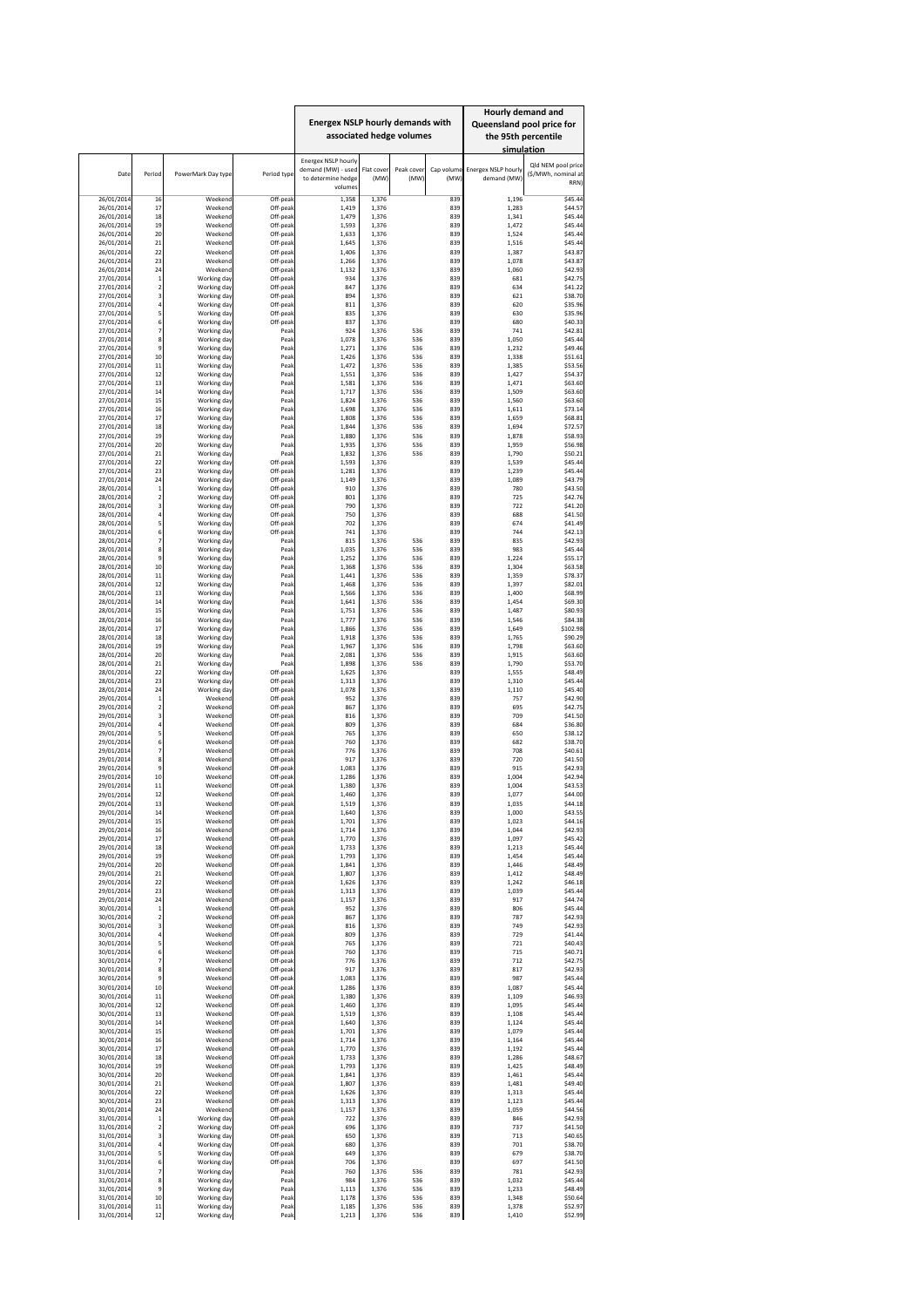|                          |                                         |                            |                      |                                           |                |                          |            | Hourly demand and   |                                   |
|--------------------------|-----------------------------------------|----------------------------|----------------------|-------------------------------------------|----------------|--------------------------|------------|---------------------|-----------------------------------|
|                          |                                         |                            |                      | <b>Energex NSLP hourly demands with</b>   |                |                          |            |                     | Queensland pool price for         |
|                          |                                         |                            |                      |                                           |                | associated hedge volumes |            |                     | the 95th percentile               |
|                          |                                         |                            |                      |                                           |                |                          |            | simulation          |                                   |
|                          |                                         |                            |                      | Energex NSLP hourly<br>demand (MW) - used | Flat cover     | Peak cover               | Cap volume | Energex NSLP hourly | Old NEM pool price                |
| Date                     | Period                                  | PowerMark Day type         | Period type          | to determine hedge                        | (MW)           | (MW)                     | (MW)       | demand (MW)         | (\$/MWh, nominal at<br><b>RRN</b> |
| 26/01/2014               | 16                                      | Weekend                    | Off-peal             | volume:<br>1,358                          | 1,376          |                          | 839        | 1,196               | \$45.44                           |
| 26/01/2014               | 17                                      | Weekend                    | Off-pea              | 1,419                                     | 1,376          |                          | 839        | 1,283               | \$44.5                            |
| 26/01/2014               | 18<br>19                                | Weekend<br>Weekend         | Off-peal             | 1,479<br>1.593                            | 1,376          |                          | 839<br>839 | 1,341<br>1.472      | \$45.4<br>\$45.4                  |
| 26/01/2014<br>26/01/2014 | 20                                      | Weekend                    | Off-peal<br>Off-peal | 1,633                                     | 1,376<br>1,376 |                          | 839        | 1,524               | \$45.4                            |
| 26/01/2014               | 21<br>22                                | Weekend<br>Weekend         | Off-peal             | 1,645                                     | 1,376          |                          | 839<br>839 | 1,516               | \$45.44                           |
| 26/01/2014<br>26/01/2014 | 23                                      | Weekend                    | Off-peal<br>Off-peal | 1,406<br>1.266                            | 1,376<br>1,376 |                          | 839        | 1,387<br>1.078      | \$43.8<br>\$43.8                  |
| 26/01/2014               | 24                                      | Weekend                    | Off-peal             | 1,132                                     | 1,376          |                          | 839        | 1,060               | \$42.9                            |
| 27/01/2014<br>27/01/2014 | 1<br>$\overline{\mathbf{c}}$            | Working day<br>Working day | Off-peal<br>Off-peal | 934<br>847                                | 1,376<br>1,376 |                          | 839<br>839 | 681<br>634          | \$42.7<br>\$41.2                  |
| 27/01/2014<br>27/01/2014 | 3                                       | Working day                | Off-peak             | 894<br>811                                | 1,376          |                          | 839<br>839 | 621                 | \$38.70<br>\$35.96                |
| 27/01/2014               | 4<br>5                                  | Working day<br>Working day | Off-peal<br>Off-peak | 835                                       | 1,376<br>1,376 |                          | 839        | 620<br>630          | \$35.96                           |
| 27/01/2014               | 6                                       | Working day                | Off-peak             | 837                                       | 1,376          |                          | 839        | 680                 | \$40.33                           |
| 27/01/2014<br>27/01/2014 | $\overline{7}$<br>8                     | Working day<br>Working day | Peal<br>Pea          | 924<br>1.078                              | 1,376<br>1,376 | 536<br>536               | 839<br>839 | 741<br>1,050        | \$42.81<br>\$45.44                |
| 27/01/2014               | 9                                       | Working day                | Pea                  | 1,271                                     | 1,376          | 536                      | 839        | 1,232               | \$49.46                           |
| 27/01/2014<br>27/01/2014 | 10<br>11                                | Working day<br>Working day | Pea<br>Pea           | 1,426<br>1,472                            | 1,376<br>1,376 | 536<br>536               | 839<br>839 | 1,338<br>1,385      | \$51.6<br>\$53.56                 |
| 27/01/2014               | 12                                      | Working day                | Pea                  | 1.551                                     | 1.376          | 536<br>536               | 839<br>839 | 1.427               | \$54.37                           |
| 27/01/2014<br>27/01/2014 | 13<br>14                                | Working day<br>Working day | Peal<br>Pea          | 1,581<br>1,717                            | 1,376<br>1,376 | 536                      | 839        | 1,471<br>1,509      | \$63.60<br>\$63.60                |
| 27/01/2014               | 15                                      | Working day                | Pea                  | 1,824                                     | 1,376          | 536                      | 839        | 1,560               | \$63.60                           |
| 27/01/2014<br>27/01/2014 | 16<br>17                                | Working day<br>Working day | Pea<br>Pea           | 1.698<br>1,808                            | 1,376<br>1,376 | 536<br>536               | 839<br>839 | 1.611<br>1,659      | \$73.14<br>\$68.8                 |
| 27/01/2014               | 18                                      | Working day                | Pea                  | 1,844                                     | 1,376          | 536                      | 839        | 1,694               | \$72.5                            |
| 27/01/2014<br>27/01/2014 | 19<br>20                                | Working day<br>Working day | Pea<br>Pea           | 1,880<br>1.935                            | 1,376<br>1,376 | 536<br>536               | 839<br>839 | 1,878<br>1,959      | \$58.93<br>\$56.98                |
| 27/01/2014               | 21                                      | Working day                | Peak                 | 1,832                                     | 1,376          | 536                      | 839        | 1,790               | \$50.21                           |
| 27/01/2014<br>27/01/2014 | 22<br>23                                | Working day<br>Working day | Off-peak<br>Off-peak | 1,593<br>1,281                            | 1,376<br>1,376 |                          | 839<br>839 | 1,539<br>1,239      | \$45.44<br>\$45.44                |
| 27/01/2014               | 24                                      | Working day                | Off-peal             | 1,149                                     | 1,376          |                          | 839        | 1.089               | \$43.79                           |
| 28/01/2014<br>28/01/2014 | $\mathbf{1}$<br>$\overline{\mathbf{c}}$ | Working day<br>Working day | Off-peal<br>Off-peal | 910<br>801                                | 1,376<br>1,376 |                          | 839<br>839 | 780<br>725          | \$43.50<br>\$42.76                |
| 28/01/2014               | 3                                       | Working day                | Off-pea              | 790                                       | 1,376          |                          | 839        | 722                 | \$41.20                           |
| 28/01/2014<br>28/01/2014 | 4<br>5                                  | Working day<br>Working day | Off-peal<br>Off-peal | 750<br>702                                | 1,376<br>1,376 |                          | 839<br>839 | 688<br>674          | \$41.50<br>\$41.49                |
| 28/01/2014               | 6                                       | Working day                | Off-peal             | 741                                       | 1,376          |                          | 839        | 744                 | \$42.1                            |
| 28/01/2014<br>28/01/2014 | $\overline{7}$<br>8                     | Working day<br>Working day | Pea<br>Pea           | 815<br>1,035                              | 1,376<br>1,376 | 536<br>536               | 839<br>839 | 835<br>983          | \$42.9<br>\$45.44                 |
| 28/01/2014               | 9                                       | Working day                | Pea                  | 1.252                                     | 1,376          | 536                      | 839        | 1.224               | \$55.1                            |
| 28/01/2014<br>28/01/2014 | 10<br>11                                | Working day<br>Working day | Pea<br>Pea           | 1,368<br>1,441                            | 1,376<br>1,376 | 536<br>536               | 839<br>839 | 1,304<br>1,359      | \$63.58<br>\$78.3                 |
| 28/01/2014               | 12                                      | Working day                | Pea                  | 1,468                                     | 1,376          | 536                      | 839        | 1,397               | \$82.0                            |
| 28/01/2014<br>28/01/2014 | 13<br>14                                | Working day<br>Working day | Pea<br>Peal          | 1,566<br>1,641                            | 1,376<br>1,376 | 536<br>536               | 839<br>839 | 1.400<br>1,454      | \$68.99<br>\$69.30                |
| 28/01/2014               | 15                                      | Working day                | Peal                 | 1,751                                     | 1,376          | 536                      | 839        | 1,487               | \$80.93                           |
| 28/01/2014<br>28/01/2014 | 16<br>17                                | Working day<br>Working day | Peal<br>Pea          | 1,777<br>1.866                            | 1,376<br>1,376 | 536<br>536               | 839<br>839 | 1,546<br>1.649      | \$84.38<br>\$102.98               |
| 28/01/2014               | 18                                      | Working day                | Pea                  | 1,918                                     | 1,376          | 536                      | 839        | 1,765               | \$90.29                           |
| 28/01/2014<br>28/01/2014 | 19<br>20                                | Working day<br>Working da  | Pea<br>Pea           | 1,967<br>2,081                            | 1,376<br>1,376 | 536<br>536               | 839<br>839 | 1,798<br>1,915      | \$63.60<br>\$63.60                |
| 28/01/2014               | 21                                      | Working day                | Pea                  | 1.898                                     | 1,376          | 536                      | 839        | 1.790               | \$53.70                           |
| 28/01/2014<br>28/01/2014 | 22<br>23                                | Working day<br>Working day | Off-peal<br>Off-peal | 1,625<br>1,313                            | 1,376<br>1,376 |                          | 839<br>839 | 1,555<br>1,310      | \$48.49<br>\$45.44                |
| 28/01/2014               | 24                                      | Working day                | Off-peal             | 1,078                                     | 1,376          |                          | 839        | 1,110               | \$45.40                           |
| 29/01/2014<br>29/01/2014 | 1<br>$\overline{2}$                     | Weekend<br>Weekend         | Off-peal<br>Off-peal | 952<br>867                                | 1,376<br>1,376 |                          | 839<br>839 | 757<br>695          | \$42.90<br>\$42.7                 |
| 29/01/2014               | 3                                       | Weekend                    | Off-peal             | 816                                       | 1,376          |                          | 839        | 709                 | \$41.50                           |
| 29/01/2014<br>29/01/2014 | 4<br>5                                  | Weekend<br>Weekend         | Off-peal<br>Off-peal | 809<br>765                                | 1,376<br>1,376 |                          | 839<br>839 | 684<br>650          | \$36.80<br>\$38.1                 |
| 29/01/2014               | 6                                       | Weekend                    | Off-peak             | 760                                       | 1,376          |                          | 839        | 682                 | \$38.70                           |
| 29/01/2014<br>29/01/2014 | 7<br>8                                  | Weekend<br>Weekend         | Off-peak<br>Off-peak | 776<br>917                                | 1,376<br>1,376 |                          | 839<br>839 | 708<br>720          | \$40.61<br>\$41.50                |
| 29/01/2014               | 9                                       | Weekend                    | Off-peak             | 1,083                                     | 1,376          |                          | 839        | 915                 | \$42.93                           |
| 29/01/2014<br>29/01/2014 | 10<br>11                                | Weekend<br>Weekend         | Off-peal<br>Off-peak | 1.286<br>1,380                            | 1,376<br>1,376 |                          | 839<br>839 | 1.004<br>1,004      | \$42.94<br>\$43.53                |
| 29/01/2014               | 12                                      | Weekend                    | Off-peak             | 1,460                                     | 1,376          |                          | 839        | 1,077               | \$44.00                           |
| 29/01/2014<br>29/01/2014 | 13<br>14                                | Weekend<br>Weekend         | Off-peak<br>Off-peal | 1,519<br>1.640                            | 1,376<br>1,376 |                          | 839<br>839 | 1,035<br>1,000      | \$44.18<br>\$43.5                 |
| 29/01/2014               | 15                                      | Weekend                    | Off-peak             | 1,701                                     | 1,376          |                          | 839        | 1,023               | \$44.16                           |
| 29/01/2014<br>29/01/2014 | 16<br>17                                | Weekend<br>Weekend         | Off-peak<br>Off-peal | 1,714<br>1,770                            | 1,376<br>1,376 |                          | 839<br>839 | 1,044<br>1,097      | \$42.93<br>\$45.42                |
| 29/01/2014               | 18                                      | Weekend                    | Off-peal             | 1.733                                     | 1,376          |                          | 839        | 1.213               | \$45.44                           |
| 29/01/2014<br>29/01/2014 | 19<br>20                                | Weekend<br>Weekend         | Off-peal<br>Off-peal | 1,793<br>1,841                            | 1,376<br>1,376 |                          | 839<br>839 | 1,454<br>1,446      | \$45.44<br>\$48.49                |
| 29/01/2014               | 21                                      | Weekend                    | Off-peak             | 1,807                                     | 1,376          |                          | 839        | 1,412               | \$48.49                           |
| 29/01/2014<br>29/01/2014 | 22<br>23                                | Weekend<br>Weekend         | Off-peak<br>Off-peak | 1,626<br>1,313                            | 1,376<br>1,376 |                          | 839<br>839 | 1,242<br>1,039      | \$46.18<br>\$45.44                |
| 29/01/2014               | 24                                      | Weekend<br>Weekend         | Off-peak<br>Off-peak | 1,157                                     | 1,376          |                          | 839        | 917                 | \$44.74                           |
| 30/01/2014<br>30/01/2014 | $\mathbf 1$<br>$\overline{\mathbf{c}}$  | Weekend                    | Off-peak             | 952<br>867                                | 1,376<br>1,376 |                          | 839<br>839 | 806<br>787          | \$45.44<br>\$42.93                |
| 30/01/2014               | 3                                       | Weekend                    | Off-peak<br>Off-peal | 816<br>809                                | 1,376          |                          | 839<br>839 | 749                 | \$42.93                           |
| 30/01/2014<br>30/01/2014 | 4<br>5                                  | Weekend<br>Weekend         | Off-peal             | 765                                       | 1,376<br>1,376 |                          | 839        | 729<br>721          | \$41.44<br>\$40.4                 |
| 30/01/2014               | 6<br>7                                  | Weekend<br>Weekend         | Off-peak             | 760<br>776                                | 1,376<br>1.376 |                          | 839<br>839 | 715<br>712          | \$40.7<br>\$42.7                  |
| 30/01/2014<br>30/01/2014 | 8                                       | Weekend                    | Off-peak<br>Off-peak | 917                                       | 1,376          |                          | 839        | 817                 | \$42.93                           |
| 30/01/2014               | 9<br>10                                 | Weekend<br>Weekend         | Off-peak<br>Off-peal | 1,083                                     | 1,376<br>1,376 |                          | 839<br>839 | 987<br>1,087        | \$45.44<br>\$45.44                |
| 30/01/2014<br>30/01/2014 | 11                                      | Weekend                    | Off-peal             | 1,286<br>1.380                            | 1.376          |                          | 839        | 1.109               | \$46.93                           |
| 30/01/2014               | 12                                      | Weekend                    | Off-peal             | 1,460                                     | 1,376          |                          | 839        | 1,095               | \$45.44                           |
| 30/01/2014<br>30/01/2014 | 13<br>14                                | Weekend<br>Weekend         | Off-peal<br>Off-peak | 1,519<br>1,640                            | 1,376<br>1,376 |                          | 839<br>839 | 1,108<br>1,124      | \$45.44<br>\$45.44                |
| 30/01/2014               | 15                                      | Weekend                    | Off-peak             | 1.701                                     | 1,376          |                          | 839        | 1,079               | \$45.44                           |
| 30/01/2014<br>30/01/2014 | 16<br>17                                | Weekend<br>Weekend         | Off-peak<br>Off-peak | 1,714<br>1,770                            | 1,376<br>1,376 |                          | 839<br>839 | 1,164<br>1,192      | \$45.44<br>\$45.44                |
| 30/01/2014               | 18                                      | Weekend                    | Off-peak             | 1,733                                     | 1,376          |                          | 839        | 1,286               | \$48.67                           |
| 30/01/2014<br>30/01/2014 | 19<br>20                                | Weekend<br>Weekend         | Off-peak<br>Off-peak | 1.793<br>1,841                            | 1,376<br>1,376 |                          | 839<br>839 | 1.425<br>1,461      | \$48.49<br>\$45.44                |
| 30/01/2014               | 21                                      | Weekend                    | Off-peak             | 1,807                                     | 1,376          |                          | 839        | 1,481               | \$49.40                           |
| 30/01/2014<br>30/01/2014 | 22<br>2 <sup>2</sup>                    | Weekend<br>Weekend         | Off-peal<br>Off-peal | 1,626<br>1,313                            | 1,376<br>1,376 |                          | 839<br>839 | 1,313<br>1,123      | \$45.44<br>\$45.44                |
| 30/01/2014               | 24                                      | Weekend                    | Off-peal             | 1,157                                     | 1,376          |                          | 839        | 1,059               | \$44.56                           |
| 31/01/2014<br>31/01/2014 | $\mathbf 1$<br>$\overline{\mathbf{c}}$  | Working day<br>Working day | Off-peak<br>Off-peak | 722<br>696                                | 1,376<br>1,376 |                          | 839<br>839 | 846<br>737          | \$42.93<br>\$41.50                |
| 31/01/2014               | 3                                       | Working day                | Off-peal             | 650                                       | 1,376          |                          | 839        | 713                 | \$40.65                           |
| 31/01/2014<br>31/01/2014 | 4<br>5                                  | Working day<br>Working day | Off-peal<br>Off-peal | 680<br>649                                | 1,376<br>1,376 |                          | 839<br>839 | 701<br>679          | \$38.70<br>\$38.70                |
| 31/01/2014               | 6                                       | Working day                | Off-peal             | 706                                       | 1,376          |                          | 839        | 697                 | \$41.50                           |
| 31/01/2014<br>31/01/2014 | 7<br>8                                  | Working day<br>Working day | Peal<br>Peal         | 760<br>984                                | 1,376<br>1,376 | 536<br>536               | 839<br>839 | 781<br>1,032        | \$42.93<br>\$45.44                |
| 31/01/2014               | 9                                       | Working day                | Peak                 | 1,113                                     | 1,376          | 536                      | 839        | 1,233               | \$48.49                           |
| 31/01/2014<br>31/01/2014 | 10<br>11                                | Working day<br>Working day | Peal<br>Peal         | 1,178<br>1,185                            | 1,376<br>1,376 | 536<br>536               | 839<br>839 | 1,348<br>1,378      | \$50.64<br>\$52.97                |
| 31/01/2014               | 12                                      | Working day                | Pea                  | 1,213                                     | 1,376          | 536                      | 839        | 1,410               | \$52.99                           |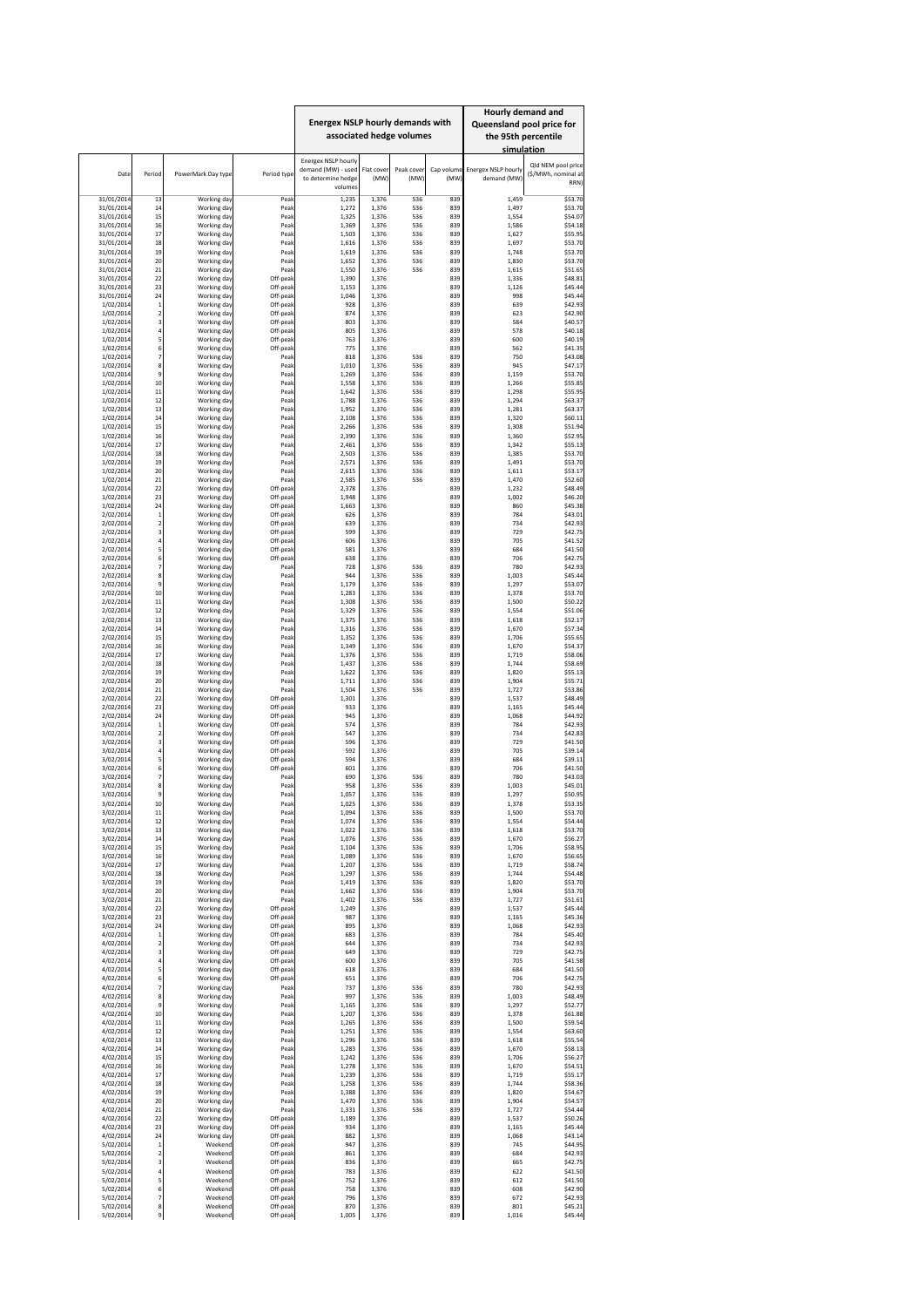|                          |                               |                            |                      |                                          |                    |                          |                    |                                    | Hourly demand and         |
|--------------------------|-------------------------------|----------------------------|----------------------|------------------------------------------|--------------------|--------------------------|--------------------|------------------------------------|---------------------------|
|                          |                               |                            |                      | <b>Energex NSLP hourly demands with</b>  |                    |                          |                    |                                    | Queensland pool price for |
|                          |                               |                            |                      |                                          |                    | associated hedge volumes |                    |                                    | the 95th percentile       |
|                          |                               |                            |                      |                                          |                    |                          |                    | simulation                         |                           |
|                          |                               |                            |                      | Energex NSLP hourly                      |                    |                          |                    |                                    | Qld NEM pool price        |
| Date                     | Period                        | PowerMark Day type         | Period type          | demand (MW) - used<br>to determine hedge | Flat cover<br>(MW) | Peak cove<br>(MW)        | Cap volume<br>(MW) | Energex NSLP hourly<br>demand (MW) | (\$/MWh, nominal at       |
|                          |                               |                            |                      | volumes                                  |                    |                          |                    |                                    | RRN)                      |
| 31/01/2014               | 13                            | Working day                | Peal                 | 1,235                                    | 1,376              | 536                      | 839                | 1,459                              | \$53.70                   |
| 31/01/2014               | 14                            | Working day                | Peak                 | 1,272                                    | 1,376              | 536<br>536               | 839<br>839         | 1,497<br>1,554                     | \$53.70                   |
| 31/01/2014<br>31/01/2014 | 15<br>16                      | Working day<br>Working day | Peal<br>Peak         | 1,325<br>1.369                           | 1,376<br>1.376     | 536                      | 839                | 1,586                              | \$54.07<br>\$54.18        |
| 31/01/2014               | 17                            | Working day                | Peak                 | 1,503                                    | 1,376              | 536                      | 839                | 1,627                              | \$55.95                   |
| 31/01/2014<br>31/01/2014 | 18<br>19                      | Working day<br>Working day | Peal<br>Peak         | 1,616<br>1,619                           | 1,376<br>1,376     | 536<br>536               | 839<br>839         | 1,697<br>1,748                     | \$53.70<br>\$53.70        |
| 31/01/2014               | 20                            | Working day                | Peak                 | 1.652                                    | 1.376              | 536                      | 839                | 1.830                              | \$53.70                   |
| 31/01/2014<br>31/01/2014 | $\overline{21}$<br>22         | Working day<br>Working day | Peal<br>Off-peal     | 1,550<br>1,390                           | 1,376<br>1,376     | 536                      | 839<br>839         | 1,615<br>1,336                     | \$51.65<br>\$48.8         |
| 31/01/2014               | 23                            | Working day                | Off-peal             | 1,153                                    | 1,376              |                          | 839                | 1,126                              | \$45.44                   |
| 31/01/2014<br>1/02/2014  | 24<br>$\mathbf{1}$            | Working day<br>Working day | Off-peak<br>Off-peak | 1,046<br>928                             | 1,376<br>1.376     |                          | 839<br>839         | 998<br>639                         | \$45.44<br>\$42.93        |
| 1/02/2014                | $\overline{\mathbf{c}}$       | Working day                | Off-peak             | 874                                      | 1,376              |                          | 839                | 623                                | \$42.90                   |
| 1/02/2014                | 3                             | Working day                | Off-peak             | 803                                      | 1,376              |                          | 839<br>839         | 584                                | \$40.57                   |
| 1/02/2014<br>1/02/2014   | $\overline{\mathbf{r}}$<br>5  | Working day<br>Working day | Off-peak<br>Off-peak | 805<br>763                               | 1,376<br>1,376     |                          | 839                | 578<br>600                         | \$40.18<br>\$40.19        |
| 1/02/2014                | 6                             | Working day                | Off-peak             | 775                                      | 1,376              |                          | 839                | 562                                | \$41.35                   |
| 1/02/2014<br>1/02/2014   | 7<br>8                        | Working day<br>Working day | Peak<br>Peal         | 818<br>1,010                             | 1,376<br>1,376     | 536<br>536               | 839<br>839         | 750<br>945                         | \$43.08<br>\$47.17        |
| 1/02/2014                | 9                             | Working day                | Peak                 | 1.269                                    | 1.376              | 536                      | 839                | 1.159                              | \$53.70                   |
| 1/02/2014<br>1/02/2014   | 10<br>11                      | Working day<br>Working day | Peak<br>Peal         | 1,558<br>1,642                           | 1,376<br>1,376     | 536<br>536               | 839<br>839         | 1,266<br>1,298                     | \$55.85<br>\$55.95        |
| 1/02/2014                | 12                            | Working day                | Peak                 | 1.788                                    | 1,376              | 536                      | 839                | 1,294                              | \$63.37                   |
| 1/02/2014<br>1/02/2014   | 13<br>14                      | Working day<br>Working day | Peak<br>Peal         | 1.952<br>2,108                           | 1.376<br>1,376     | 536<br>536               | 839<br>839         | 1.281<br>1,320                     | \$63.37<br>\$60.11        |
| 1/02/2014                | 15                            | Working day                | Peal                 | 2,266                                    | 1,376              | 536                      | 839                | 1,308                              | \$51.94                   |
| 1/02/2014<br>1/02/2014   | 16<br>17                      | Working day<br>Working day | Peal<br>Peak         | 2,390<br>2.461                           | 1,376<br>1.376     | 536<br>536               | 839<br>839         | 1,360<br>1,342                     | \$52.95<br>\$55.13        |
| 1/02/2014                | 18                            | Working day                | Peak                 | 2,503                                    | 1,376              | 536                      | 839                | 1,385                              | \$53.70                   |
| 1/02/2014<br>1/02/2014   | 19                            | Working day                | Peak                 | 2,571                                    | 1,376              | 536<br>536               | 839<br>839         | 1,491                              | \$53.70                   |
| 1/02/2014                | 20<br>$_{21}$                 | Working day<br>Working day | Peak<br>Peak         | 2,615<br>2.585                           | 1,376<br>1,376     | 536                      | 839                | 1,611<br>1.470                     | \$53.17<br>\$52.60        |
| 1/02/2014                | 22                            | Working day                | Off-peak             | 2,378                                    | 1,376              |                          | 839                | 1,232                              | \$48.49                   |
| 1/02/2014<br>1/02/2014   | 23<br>24                      | Working day<br>Working day | Off-peak<br>Off-peal | 1,948<br>1,663                           | 1,376<br>1,376     |                          | 839<br>839         | 1,002<br>860                       | \$46.20<br>\$45.38        |
| 2/02/2014                | $\,$ 1                        | Working day                | Off-peal             | 626                                      | 1,376              |                          | 839                | 784                                | \$43.01                   |
| 2/02/2014<br>2/02/2014   | $\mathbf 2$<br>3              | Working day<br>Working day | Off-peak<br>Off-peak | 639<br>599                               | 1.376<br>1,376     |                          | 839<br>839         | 734<br>729                         | \$42.93<br>\$42.75        |
| 2/02/2014                | 4                             | Working day                | Off-peak             | 606                                      | 1,376              |                          | 839                | 705                                | \$41.52                   |
| 2/02/2014<br>2/02/2014   | 5<br>6                        | Working day<br>Working day | Off-peak<br>Off-peak | 581<br>638                               | 1,376<br>1,376     |                          | 839<br>839         | 684<br>706                         | \$41.50<br>\$42.75        |
| 2/02/2014                | $\overline{7}$                | Working day                | Peak                 | 728                                      | 1,376              | 536                      | 839                | 780                                | \$42.93                   |
| 2/02/2014                | 8<br>9                        | Working day                | Peal                 | 944                                      | 1,376              | 536                      | 839<br>839         | 1,003                              | \$45.44                   |
| 2/02/2014<br>2/02/2014   | 10                            | Working day<br>Working day | Peal<br>Peak         | 1,179<br>1.283                           | 1,376<br>1.376     | 536<br>536               | 839                | 1,297<br>1,378                     | \$53.07<br>\$53.70        |
| 2/02/2014                | 11                            | Working day                | Peak                 | 1,308                                    | 1,376              | 536                      | 839                | 1,500                              | \$50.22                   |
| 2/02/2014<br>2/02/2014   | 12<br>13                      | Working day<br>Working day | Peak<br>Peak         | 1,329<br>1,375                           | 1,376<br>1,376     | 536<br>536               | 839<br>839         | 1,554<br>1,618                     | \$51.06<br>\$52.17        |
| 2/02/2014                | 14                            | Working day                | Peak                 | 1,316                                    | 1,376              | 536                      | 839                | 1.670                              | \$57.34                   |
| 2/02/2014<br>2/02/2014   | 15<br>16                      | Working day<br>Working day | Peak<br>Peal         | 1,352<br>1,349                           | 1,376<br>1,376     | 536<br>536               | 839<br>839         | 1,706<br>1,670                     | \$55.65<br>\$54.3         |
| 2/02/2014                | 17                            | Working day                | Peal                 | 1,376                                    | 1,376              | 536                      | 839                | 1,719                              | \$58.06                   |
| 2/02/2014<br>2/02/2014   | 18<br>19                      | Working day<br>Working day | Peak<br>Peak         | 1.437<br>1,622                           | 1.376<br>1,376     | 536<br>536               | 839<br>839         | 1.744<br>1,820                     | \$58.69<br>\$55.13        |
| 2/02/2014                | 20                            | Working day                | Peak                 | 1,711                                    | 1,376              | 536                      | 839                | 1,904                              | \$55.71                   |
| 2/02/2014                | 21                            | Working day                | Peal<br>Off-peak     | 1,504                                    | 1,376              | 536                      | 839<br>839         | 1,727                              | \$53.86<br>\$48.49        |
| 2/02/2014<br>2/02/2014   | 22<br>23                      | Working day<br>Working day | Off-peak             | 1,301<br>933                             | 1,376<br>1.376     |                          | 839                | 1,537<br>1.165                     | \$45.44                   |
| 2/02/2014                | 24                            | Working day                | Off-peak             | 945                                      | 1,376              |                          | 839                | 1,068                              | \$44.92                   |
| 3/02/2014<br>3/02/2014   | $\mathbf 1$<br>$\overline{a}$ | Working day<br>Working day | Off-peal<br>Off-peak | 574<br>547                               | 1,376<br>1,376     |                          | 839<br>839         | 784<br>734                         | \$42.9<br>\$42.83         |
| 3/02/2014                | 3                             | Working day                | Off-peak             | 596                                      | 1.376              |                          | 839                | 729                                | \$41.50                   |
| 3/02/2014<br>3/02/2014   | $\overline{\mathbf{r}}$<br>5  | Working day<br>Working day | Off-peak<br>Off-peak | 592<br>594                               | 1,376<br>1,376     |                          | 839<br>839         | 705<br>684                         | \$39.14<br>\$39.11        |
| 3/02/2014                | 6                             | Working day                | Off-peak             | 601                                      | 1,376              |                          | 839                | 706                                | \$41.50                   |
| 3/02/2014<br>3/02/2014   | $\overline{7}$<br>8           | Working day<br>Working day | Peak<br>Peak         | 690<br>958                               | 1.376<br>1,376     | 536<br>536               | 839<br>839         | 780<br>1,003                       | \$43.03<br>\$45.01        |
| 3/02/2014                | 9                             | Working day                | Peak                 | 1,057                                    | 1,376              | 536                      | 839                | 1,297                              | \$50.95                   |
| 3/02/2014<br>3/02/2014   | 10<br>11                      | Working day<br>Working day | Peal<br>Peak         | 1,025<br>1.094                           | 1,376<br>1.376     | 536<br>536               | 839<br>839         | 1,378<br>1.500                     | \$53.35<br>\$53.70        |
| 3/02/2014                | 12                            | Working day                | Peak                 | 1,074                                    | 1,376              | 536                      | 839                | 1,554                              | \$54.44                   |
| 3/02/2014<br>3/02/2014   | 13<br>14                      | Working day<br>Working day | Peak<br>Peak         | 1,022<br>1,076                           | 1,376<br>1,376     | 536<br>536               | 839<br>839         | 1,618<br>1,670                     | \$53.70<br>\$56.27        |
| 3/02/2014                | 15                            | Working day                | Peak                 | 1.104                                    | 1.376              | 536                      | 839                | 1,706                              | \$58.95                   |
| 3/02/2014<br>3/02/2014   | 16<br>17                      | Working day<br>Working day | Peal<br>Peak         | 1,089<br>1,207                           | 1,376<br>1,376     | 536<br>536               | 839<br>839         | 1,670<br>1,719                     | \$56.65<br>\$58.74        |
| 3/02/2014                | 18                            | Working day                | Peal                 | 1,297                                    | 1,376              | 536                      | 839                | 1,744                              | \$54.48                   |
| 3/02/2014<br>3/02/2014   | 19<br>20                      | Working day<br>Working day | Peak<br>Peak         | 1,419<br>1,662                           | 1,376<br>1,376     | 536<br>536               | 839<br>839         | 1,820<br>1,904                     | \$53.70<br>\$53.70        |
| 3/02/2014                | 21                            | Working day                | Peak                 | 1,402                                    | 1,376              | 536                      | 839                | 1,727                              | \$51.61                   |
| 3/02/2014<br>3/02/2014   | 22<br>23                      | Working day                | Off-peak<br>Off-peak | 1,249<br>987                             | 1,376<br>1,376     |                          | 839<br>839         | 1,537<br>1,165                     | \$45.44<br>\$45.36        |
| 3/02/2014                | 24                            | Working day<br>Working day | Off-peak             | 895                                      | 1.376              |                          | 839                | 1.068                              | \$42.93                   |
| 4/02/2014<br>4/02/2014   | $\,$ 1                        | Working day                | Off-peak             | 683                                      | 1,376              |                          | 839                | 784                                | \$45.40                   |
| 4/02/2014                | $\mathbf 2$<br>3              | Working day<br>Working day | Off-peak<br>Off-peak | 644<br>649                               | 1,376<br>1,376     |                          | 839<br>839         | 734<br>729                         | \$42.93<br>\$42.75        |
| 4/02/2014                | $\overline{\mathbf{r}}$       | Working day                | Off-peak             | 600                                      | 1.376              |                          | 839                | 705                                | \$41.58                   |
| 4/02/2014<br>4/02/2014   | 5<br>6                        | Working day<br>Working day | Off-peak<br>Off-peak | 618<br>651                               | 1,376<br>1,376     |                          | 839<br>839         | 684<br>706                         | \$41.50<br>\$42.75        |
| 4/02/2014<br>4/02/2014   | 7                             | Working day                | Peak                 | 737                                      | 1,376              | 536                      | 839                | 780                                | \$42.93                   |
| 4/02/2014                | 8<br>$\mathbf 9$              | Working day<br>Working day | Peak<br>Peak         | 997<br>1,165                             | 1,376<br>1,376     | 536<br>536               | 839<br>839         | 1.003<br>1,297                     | \$48.49<br>\$52.77        |
| 4/02/2014                | 10                            | Working day                | Peak                 | 1,207                                    | 1,376              | 536                      | 839                | 1,378                              | \$61.88                   |
| 4/02/2014<br>4/02/2014   | $11\,$<br>12                  | Working day<br>Working day | Peak<br>Peak         | 1,265<br>1,251                           | 1,376<br>1.376     | 536<br>536               | 839<br>839         | 1,500<br>1,554                     | \$59.54<br>\$63.60        |
| 4/02/2014                | 13                            | Working day                | Peak                 | 1,296                                    | 1,376              | 536                      | 839                | 1,618                              | \$55.54                   |
| 4/02/2014<br>4/02/2014   | 14<br>15                      | Working day<br>Working day | Peak<br>Peak         | 1,283<br>1,242                           | 1,376<br>1,376     | 536<br>536               | 839<br>839         | 1,670<br>1,706                     | \$58.13<br>\$56.27        |
| 4/02/2014                | 16                            | Working day                | Peak                 | 1.278                                    | 1,376              | 536                      | 839                | 1.670                              | \$54.51                   |
| 4/02/2014<br>4/02/2014   | 17<br>18                      | Working day<br>Working day | Peak<br>Peak         | 1,239<br>1,258                           | 1,376<br>1,376     | 536<br>536               | 839<br>839         | 1,719<br>1,744                     | \$55.17<br>\$58.36        |
| 4/02/2014                | 19                            | Working day                | Peak                 | 1,388                                    | 1,376              | 536                      | 839                | 1,820                              | \$54.67                   |
| 4/02/2014<br>4/02/2014   | 20<br>21                      | Working day                | Peal<br>Peak         | 1,470<br>1.331                           | 1,376<br>1.376     | 536<br>536               | 839<br>839         | 1,904<br>1.727                     | \$54.57<br>\$54.44        |
| 4/02/2014                | 22                            | Working day<br>Working day | Off-peak             | 1,189                                    | 1,376              |                          | 839                | 1,537                              | \$50.26                   |
| 4/02/2014                | 23<br>24                      | Working day                | Off-peak             | 934<br>882                               | 1,376              |                          | 839<br>839         | 1,165                              | \$45.44<br>\$43.14        |
| 4/02/2014<br>5/02/2014   | $\mathbf{1}$                  | Working day<br>Weekend     | Off-peak<br>Off-peak | 947                                      | 1,376<br>1.376     |                          | 839                | 1,068<br>745                       | \$44.95                   |
| 5/02/2014                | $\mathbf 2$                   | Weekend                    | Off-peak             | 861                                      | 1,376              |                          | 839                | 684                                | \$42.93                   |
| 5/02/2014<br>5/02/2014   | 3<br>$\overline{\mathbf{r}}$  | Weekend<br>Weekend         | Off-peak<br>Off-peak | 836<br>783                               | 1,376<br>1,376     |                          | 839<br>839         | 665<br>622                         | \$42.75<br>\$41.50        |
| 5/02/2014                | 5<br>6                        | Weekend                    | Off-peak             | 752                                      | 1.376              |                          | 839<br>839         | 612<br>608                         | \$41.50                   |
| 5/02/2014<br>5/02/2014   | $\overline{7}$                | Weekend<br>Weekend         | Off-peak<br>Off-peak | 758<br>796                               | 1,376<br>1,376     |                          | 839                | 672                                | \$42.90<br>\$42.93        |
| 5/02/2014<br>5/02/2014   | 8<br>9                        | Weekend<br>Weekend         | Off-peak<br>Off-peak | 870<br>1,005                             | 1,376<br>1,376     |                          | 839<br>839         | 801<br>1,016                       | \$45.21<br>\$45.44        |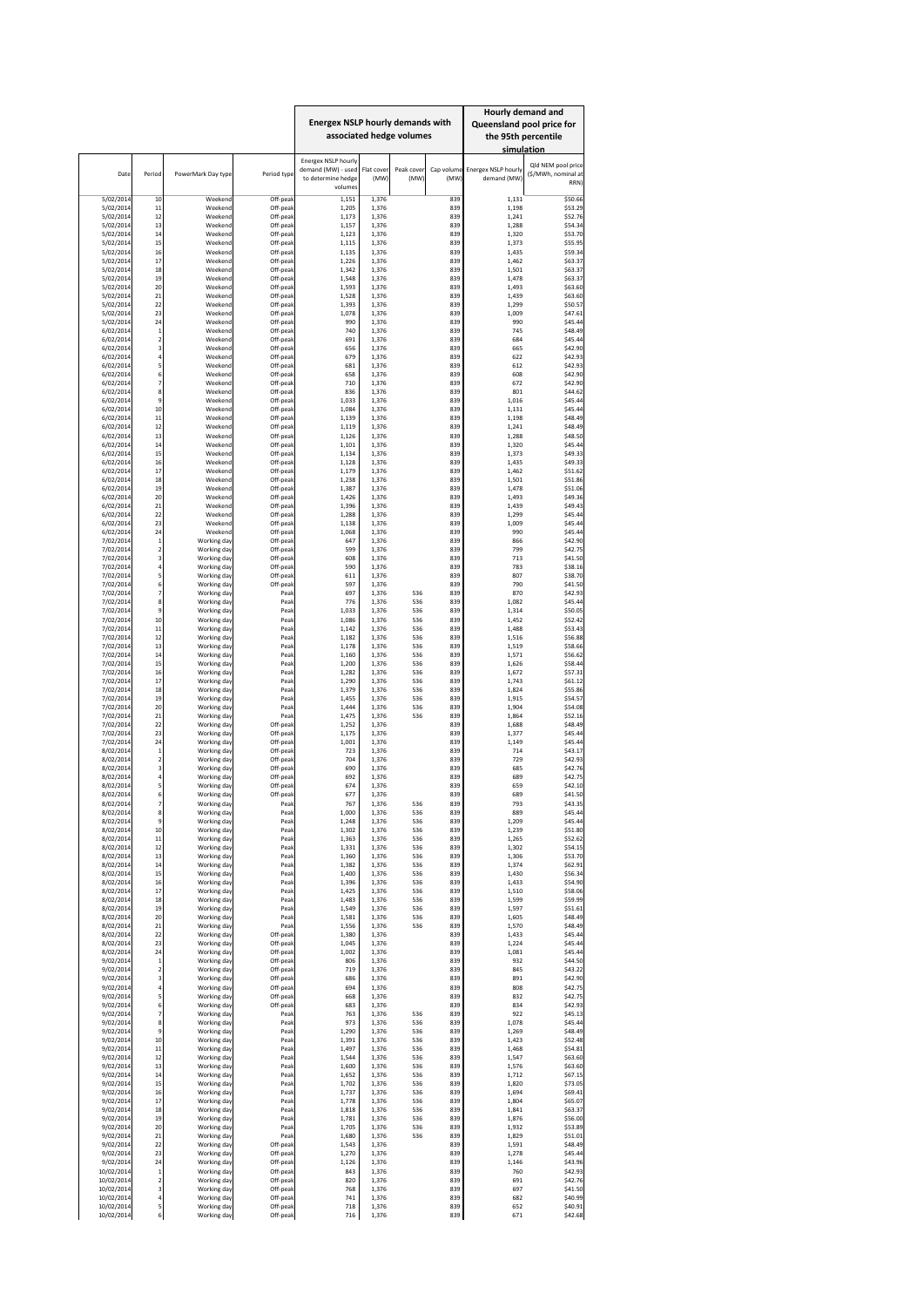|                          |                                                    |                            |                      |                                           |                |                          |            | Hourly demand and         |                     |
|--------------------------|----------------------------------------------------|----------------------------|----------------------|-------------------------------------------|----------------|--------------------------|------------|---------------------------|---------------------|
|                          |                                                    |                            |                      | <b>Energex NSLP hourly demands with</b>   |                |                          |            | Queensland pool price for |                     |
|                          |                                                    |                            |                      |                                           |                | associated hedge volumes |            | the 95th percentile       |                     |
|                          |                                                    |                            |                      |                                           |                |                          |            | simulation                |                     |
|                          |                                                    |                            |                      | Energex NSLP hourly<br>demand (MW) - used | Flat cover     | Peak cover               | Cap volume | Energex NSLP hourly       | Qld NEM pool price  |
| Date                     | Period                                             | PowerMark Day type         | Period type          | to determine hedge                        | (MW)           | (MW)                     | (MW)       | demand (MW)               | (\$/MWh, nominal at |
|                          |                                                    |                            |                      | volumes                                   |                |                          |            |                           | <b>RRN</b>          |
| 5/02/2014                | 10                                                 | Weekend                    | Off-peak             | 1,151                                     | 1,376          |                          | 839        | 1.131                     | \$50.66             |
| 5/02/2014<br>5/02/2014   | 11<br>12                                           | Weekend<br>Weekend         | Off-peal<br>Off-peak | 1,205<br>1,173                            | 1,376<br>1,376 |                          | 839<br>839 | 1,198<br>1,241            | \$53.29<br>\$52.76  |
| 5/02/2014                | 13                                                 | Weekend                    | Off-peak             | 1,157                                     | 1,376          |                          | 839        | 1,288                     | \$54.34             |
| 5/02/2014                | 14                                                 | Weekend                    | Off-peal             | 1.123                                     | 1.376          |                          | 839        | 1.320                     | \$53.70             |
| 5/02/2014<br>5/02/2014   | 15<br>16                                           | Weekend<br>Weekend         | Off-peal<br>Off-peal | 1,115<br>1,135                            | 1,376<br>1,376 |                          | 839<br>839 | 1,373<br>1,435            | \$55.95<br>\$59.34  |
| 5/02/2014                | 17                                                 | Weekend                    | Off-peak             | 1,226                                     | 1,376          |                          | 839        | 1,462                     | \$63.37             |
| 5/02/2014<br>5/02/2014   | 18<br>19                                           | Weekend<br>Weekend         | Off-peak<br>Off-peak | 1.342<br>1,548                            | 1.376<br>1,376 |                          | 839<br>839 | 1,501<br>1,478            | \$63.37<br>\$63.37  |
| 5/02/2014                | 20                                                 | Weekend                    | Off-peak             | 1,593                                     | 1,376          |                          | 839        | 1,493                     | \$63.60             |
| 5/02/2014                | 21                                                 | Weekend                    | Off-peak             | 1,528                                     | 1,376          |                          | 839        | 1,439                     | \$63.60             |
| 5/02/2014<br>5/02/2014   | 22<br>23                                           | Weekend<br>Weekend         | Off-peak<br>Off-peak | 1,393<br>1.078                            | 1,376<br>1.376 |                          | 839<br>839 | 1,299<br>1,009            | \$50.57<br>\$47.61  |
| 5/02/2014                | 24                                                 | Weekend                    | Off-peal             | 990                                       | 1,376          |                          | 839        | 990                       | \$45.44             |
| 6/02/2014                | 1                                                  | Weekend                    | Off-peal             | 740                                       | 1,376          |                          | 839        | 745                       | \$48.49             |
| 6/02/2014<br>6/02/2014   | $\overline{\mathbf{2}}$<br>$\overline{\mathbf{3}}$ | Weekend<br>Weekend         | Off-peal<br>Off-peak | 691<br>656                                | 1,376<br>1.376 |                          | 839<br>839 | 684<br>665                | \$45.44<br>\$42.90  |
| 6/02/2014                | 4                                                  | Weekend                    | Off-peak             | 679                                       | 1,376          |                          | 839        | 622                       | \$42.93             |
| 6/02/2014<br>6/02/2014   | 5<br>6                                             | Weekend<br>Weekend         | Off-peak<br>Off-peal | 681<br>658                                | 1,376<br>1,376 |                          | 839<br>839 | 612<br>608                | \$42.93<br>\$42.90  |
| 6/02/2014                | 7                                                  | Weekend                    | Off-peal             | 710                                       | 1.376          |                          | 839        | 672                       | \$42.90             |
| 6/02/2014                | 8                                                  | Weekend                    | Off-peak             | 836                                       | 1,376          |                          | 839        | 801                       | \$44.62             |
| 6/02/2014<br>6/02/2014   | 9<br>10                                            | Weekend<br>Weekend         | Off-peak<br>Off-peak | 1,033<br>1,084                            | 1,376<br>1,376 |                          | 839<br>839 | 1,016<br>1,131            | \$45.44<br>\$45.44  |
| 6/02/2014                | 11                                                 | Weekend                    | Off-peak             | 1.139                                     | 1.376          |                          | 839        | 1,198                     | \$48.49             |
| 6/02/2014                | 12                                                 | Weekend                    | Off-peak             | 1,119                                     | 1,376          |                          | 839        | 1,241                     | \$48.49             |
| 6/02/2014<br>6/02/2014   | 13<br>14                                           | Weekend<br>Weekend         | Off-peak<br>Off-peak | 1,126<br>1,101                            | 1,376<br>1,376 |                          | 839<br>839 | 1,288<br>1,320            | \$48.50<br>\$45.44  |
| 6/02/2014                | 15                                                 | Weekend                    | Off-peak             | 1.134                                     | 1,376          |                          | 839        | 1,373                     | \$49.33             |
| 6/02/2014<br>6/02/2014   | 16<br>17                                           | Weekend<br>Weekend         | Off-peal<br>Off-peal | 1,128<br>1,179                            | 1,376<br>1,376 |                          | 839<br>839 | 1,435<br>1,462            | \$49.33<br>\$51.62  |
| 6/02/2014                | 18                                                 | Weekend                    | Off-peak             | 1,238                                     | 1,376          |                          | 839        | 1,501                     | \$51.86             |
| 6/02/2014                | 19                                                 | Weekend                    | Off-peak             | 1,387                                     | 1,376          |                          | 839        | 1,478                     | \$51.06             |
| 6/02/2014<br>6/02/2014   | 20<br>21                                           | Weekend<br>Weekend         | Off-peak<br>Off-peak | 1,426<br>1,396                            | 1,376<br>1,376 |                          | 839<br>839 | 1,493<br>1,439            | \$49.36<br>\$49.43  |
| 6/02/2014                | 22                                                 | Weekend                    | Off-peak             | 1,288                                     | 1,376          |                          | 839        | 1,299                     | \$45.44             |
| 6/02/2014                | 23                                                 | Weekend<br>Weekend         | Off-peak             | 1,138                                     | 1,376          |                          | 839        | 1,009                     | \$45.44             |
| 6/02/2014<br>7/02/2014   | 24<br>$\mathbf{1}$                                 | Working day                | Off-peal<br>Off-peal | 1,068<br>647                              | 1.376<br>1,376 |                          | 839<br>839 | 990<br>866                | \$45.44<br>\$42.90  |
| 7/02/2014                | $\overline{\mathbf{c}}$                            | Working day                | Off-peal             | 599                                       | 1,376          |                          | 839        | 799                       | \$42.75             |
| 7/02/2014<br>7/02/2014   | 3<br>$\overline{a}$                                | Working day<br>Working day | Off-peal             | 608<br>590                                | 1,376<br>1.376 |                          | 839<br>839 | 713<br>783                | \$41.50<br>\$38.16  |
| 7/02/2014                | 5                                                  | Working day                | Off-peak<br>Off-peak | 611                                       | 1,376          |                          | 839        | 807                       | \$38.70             |
| 7/02/2014                | 6                                                  | Working day                | Off-peak             | 597                                       | 1,376          |                          | 839        | 790                       | \$41.50             |
| 7/02/2014<br>7/02/2014   | $\overline{7}$<br>8                                | Working day<br>Working day | Peak<br>Peak         | 697<br>776                                | 1,376<br>1,376 | 536<br>536               | 839<br>839 | 870<br>1.082              | \$42.93<br>\$45.44  |
| 7/02/2014                | 9                                                  | Working day                | Peal                 | 1,033                                     | 1,376          | 536                      | 839        | 1,314                     | \$50.05             |
| 7/02/2014                | 10                                                 | Working day                | Peak                 | 1,086                                     | 1,376          | 536                      | 839        | 1,452                     | \$52.42             |
| 7/02/2014<br>7/02/2014   | 11<br>12                                           | Working day<br>Working day | Peal<br>Peal         | 1,142<br>1.182                            | 1,376<br>1.376 | 536<br>536               | 839<br>839 | 1,488<br>1,516            | \$53.43<br>\$56.88  |
| 7/02/2014                | 13                                                 | Working day                | Peak                 | 1,178                                     | 1,376          | 536                      | 839        | 1,519                     | \$58.66             |
| 7/02/2014                | 14<br>15                                           | Working day                | Peal                 | 1,160                                     | 1,376          | 536                      | 839<br>839 | 1,571                     | \$56.62             |
| 7/02/2014<br>7/02/2014   | 16                                                 | Working day<br>Working day | Peak<br>Peal         | 1,200<br>1.282                            | 1,376<br>1.376 | 536<br>536               | 839        | 1,626<br>1,672            | \$58.44<br>\$57.31  |
| 7/02/2014                | 17                                                 | Working day                | Peal                 | 1,290                                     | 1,376          | 536                      | 839        | 1,743                     | \$61.12             |
| 7/02/2014<br>7/02/2014   | 18<br>19                                           | Working day<br>Working day | Peal<br>Peal         | 1,379<br>1,455                            | 1,376<br>1,376 | 536<br>536               | 839<br>839 | 1,824<br>1,915            | \$55.86<br>\$54.57  |
| 7/02/2014                | 20                                                 | Working day                | Peal                 | 1,444                                     | 1,376          | 536                      | 839        | 1,904                     | \$54.08             |
| 7/02/2014                | 21                                                 | Working day                | Peal                 | 1.475                                     | 1.376          | 536                      | 839        | 1,864                     | \$52.16             |
| 7/02/2014<br>7/02/2014   | 22<br>23                                           | Working day<br>Working day | Off-peak<br>Off-peak | 1,252<br>1,175                            | 1,376<br>1,376 |                          | 839<br>839 | 1,688<br>1,377            | \$48.49<br>\$45.44  |
| 7/02/2014                | 24                                                 | Working day                | Off-peak             | 1,001                                     | 1,376          |                          | 839        | 1,149                     | \$45.44             |
| 8/02/2014                | $\mathbf{1}$                                       | Working day                | Off-peak             | 723                                       | 1,376          |                          | 839        | 714                       | \$43.17             |
| 8/02/2014<br>8/02/2014   | $\overline{\mathbf{c}}$<br>3                       | Working day<br>Working day | Off-peal<br>Off-peal | 704<br>690                                | 1,376<br>1,376 |                          | 839<br>839 | 729<br>685                | \$42.93<br>\$42.76  |
| 8/02/2014                | 4                                                  | Working day                | Off-peal             | 692                                       | 1,376          |                          | 839        | 689                       | \$42.7              |
| 8/02/2014<br>8/02/2014   | 5<br>6                                             | Working day<br>Working day | Off-peak<br>Off-peak | 674<br>677                                | 1.376<br>1,376 |                          | 839<br>839 | 659<br>689                | \$42.10<br>\$41.50  |
| 8/02/201                 |                                                    | Working day                | Pea                  | 76.                                       | 1,376          | 536                      | 839        | 793                       | \$43.3              |
| 8/02/2014                | 8                                                  | Working day                | Peal                 | 1,000                                     | 1,376          | 536                      | 839        | 889                       | \$45.44             |
| 8/02/2014<br>8/02/2014   | 9<br>10                                            | Working day<br>Working day | Peal<br>Peak         | 1.248<br>1,302                            | 1.376<br>1,376 | 536<br>536               | 839<br>839 | 1.209<br>1,239            | \$45.44<br>\$51.80  |
| 8/02/2014                | 11                                                 | Working day                | Peak                 | 1,363                                     | 1,376          | 536                      | 839        | 1,265                     | \$52.62             |
| 8/02/2014                | 12                                                 | Working day                | Peak                 | 1,331                                     | 1,376          | 536                      | 839        | 1,302                     | \$54.15             |
| 8/02/2014<br>8/02/2014   | 13<br>14                                           | Working day<br>Working day | Peak<br>Peak         | 1,360<br>1,382                            | 1,376<br>1,376 | 536<br>536               | 839<br>839 | 1,306<br>1,374            | \$53.70<br>\$62.91  |
| 8/02/2014                | 15                                                 | Working day                | Peak                 | 1,400                                     | 1,376          | 536                      | 839        | 1,430                     | \$56.34             |
| 8/02/2014<br>8/02/2014   | 16<br>17                                           | Working day                | Peak<br>Peak         | 1,396                                     | 1,376<br>1,376 | 536<br>536               | 839<br>839 | 1,433<br>1,510            | \$54.90<br>\$58.06  |
| 8/02/2014                | 18                                                 | Working day<br>Working day | Peak                 | 1,425<br>1,483                            | 1,376          | 536                      | 839        | 1,599                     | \$59.99             |
| 8/02/2014                | 19                                                 | Working day                | Peak                 | 1,549                                     | 1,376          | 536                      | 839        | 1,597                     | \$51.61             |
| 8/02/2014<br>8/02/2014   | 20<br>21                                           | Working day<br>Working day | Peak<br>Peak         | 1,581<br>1,556                            | 1,376<br>1,376 | 536<br>536               | 839<br>839 | 1,605<br>1,570            | \$48.49<br>\$48.49  |
| 8/02/2014                | 22                                                 | Working day                | Off-peal             | 1,380                                     | 1.376          |                          | 839        | 1,433                     | \$45.44             |
| 8/02/2014                | 23                                                 | Working day                | Off-peal             | 1,045                                     | 1,376          |                          | 839        | 1,224                     | \$45.44             |
| 8/02/2014<br>9/02/2014   | 24<br>$\mathbf{1}$                                 | Working day<br>Working day | Off-peak<br>Off-peak | 1,002<br>806                              | 1,376<br>1,376 |                          | 839<br>839 | 1,081<br>932              | \$45.44<br>\$44.50  |
| 9/02/2014                | $\overline{2}$                                     | Working day                | Off-peak             | 719                                       | 1.376          |                          | 839        | 845                       | \$43.22             |
| 9/02/2014<br>9/02/2014   | 3<br>4                                             | Working day                | Off-peak<br>Off-peak | 686<br>694                                | 1,376<br>1,376 |                          | 839<br>839 | 891<br>808                | \$42.90<br>\$42.75  |
| 9/02/2014                | 5                                                  | Working day<br>Working day | Off-peak             | 668                                       | 1,376          |                          | 839        | 832                       | \$42.75             |
| 9/02/2014                | 6                                                  | Working day                | Off-peak             | 683                                       | 1,376          |                          | 839        | 834                       | \$42.93             |
| 9/02/2014<br>9/02/2014   | 7<br>$\bf8$                                        | Working day<br>Working day | Peak<br>Peak         | 763<br>973                                | 1,376<br>1,376 | 536<br>536               | 839<br>839 | 922<br>1,078              | \$45.13<br>\$45.44  |
| 9/02/2014                | 9                                                  | Working day                | Peak                 | 1,290                                     | 1,376          | 536                      | 839        | 1,269                     | \$48.49             |
| 9/02/2014                | 10                                                 | Working day                | Peak                 | 1,391                                     | 1,376          | 536                      | 839        | 1,423                     | \$52.48             |
| 9/02/2014<br>9/02/2014   | 11<br>12                                           | Working day<br>Working day | Peak<br>Peak         | 1,497<br>1,544                            | 1,376<br>1,376 | 536<br>536               | 839<br>839 | 1,468<br>1,547            | \$54.81<br>\$63.60  |
| 9/02/2014                | 13                                                 | Working day                | Peak                 | 1,600                                     | 1,376          | 536                      | 839        | 1,576                     | \$63.60             |
| 9/02/2014                | 14                                                 | Working day                | Peal                 | 1,652                                     | 1.376          | 536<br>536               | 839<br>839 | 1,712                     | \$67.15             |
| 9/02/2014<br>9/02/2014   | 15<br>16                                           | Working day<br>Working day | Peak<br>Peak         | 1,702<br>1,737                            | 1,376<br>1,376 | 536                      | 839        | 1,820<br>1,694            | \$73.05<br>\$69.41  |
| 9/02/2014                | 17                                                 | Working day                | Peal                 | 1,778                                     | 1,376          | 536                      | 839        | 1,804                     | \$65.07             |
| 9/02/2014<br>9/02/2014   | 18<br>19                                           | Working day<br>Working day | Peal<br>Peak         | 1,818<br>1.781                            | 1,376<br>1.376 | 536<br>536               | 839<br>839 | 1,841<br>1,876            | \$63.37<br>\$56.00  |
| 9/02/2014                | 20                                                 | Working day                | Peak                 | 1,705                                     | 1,376          | 536                      | 839        | 1,932                     | \$53.89             |
| 9/02/2014                | 21                                                 | Working day                | Peak                 | 1,680                                     | 1,376          | 536                      | 839        | 1,829                     | \$51.01             |
| 9/02/2014<br>9/02/2014   | 22<br>23                                           | Working day<br>Working day | Off-peak<br>Off-peak | 1,543<br>1.270                            | 1,376<br>1.376 |                          | 839<br>839 | 1,591<br>1,278            | \$48.49<br>\$45.44  |
| 9/02/2014                | 24                                                 | Working day                | Off-peak             | 1,126                                     | 1,376          |                          | 839        | 1,146                     | \$43.96             |
| 10/02/2014               | $\mathbf{1}$                                       | Working day                | Off-peak             | 843                                       | 1,376          |                          | 839<br>839 | 760                       | \$42.93             |
| 10/02/2014<br>10/02/2014 | 2<br>$\overline{\mathbf{3}}$                       | Working day<br>Working day | Off-peak<br>Off-peak | 820<br>768                                | 1,376<br>1,376 |                          | 839        | 691<br>697                | \$42.76<br>\$41.50  |
| 10/02/2014               | 4                                                  | Working day                | Off-peak             | 741                                       | 1,376          |                          | 839        | 682                       | \$40.99             |
| 10/02/2014<br>10/02/2014 | 5<br>6                                             | Working day<br>Working day | Off-peak<br>Off-peak | 718<br>716                                | 1,376<br>1,376 |                          | 839<br>839 | 652<br>671                | \$40.91<br>\$42.68  |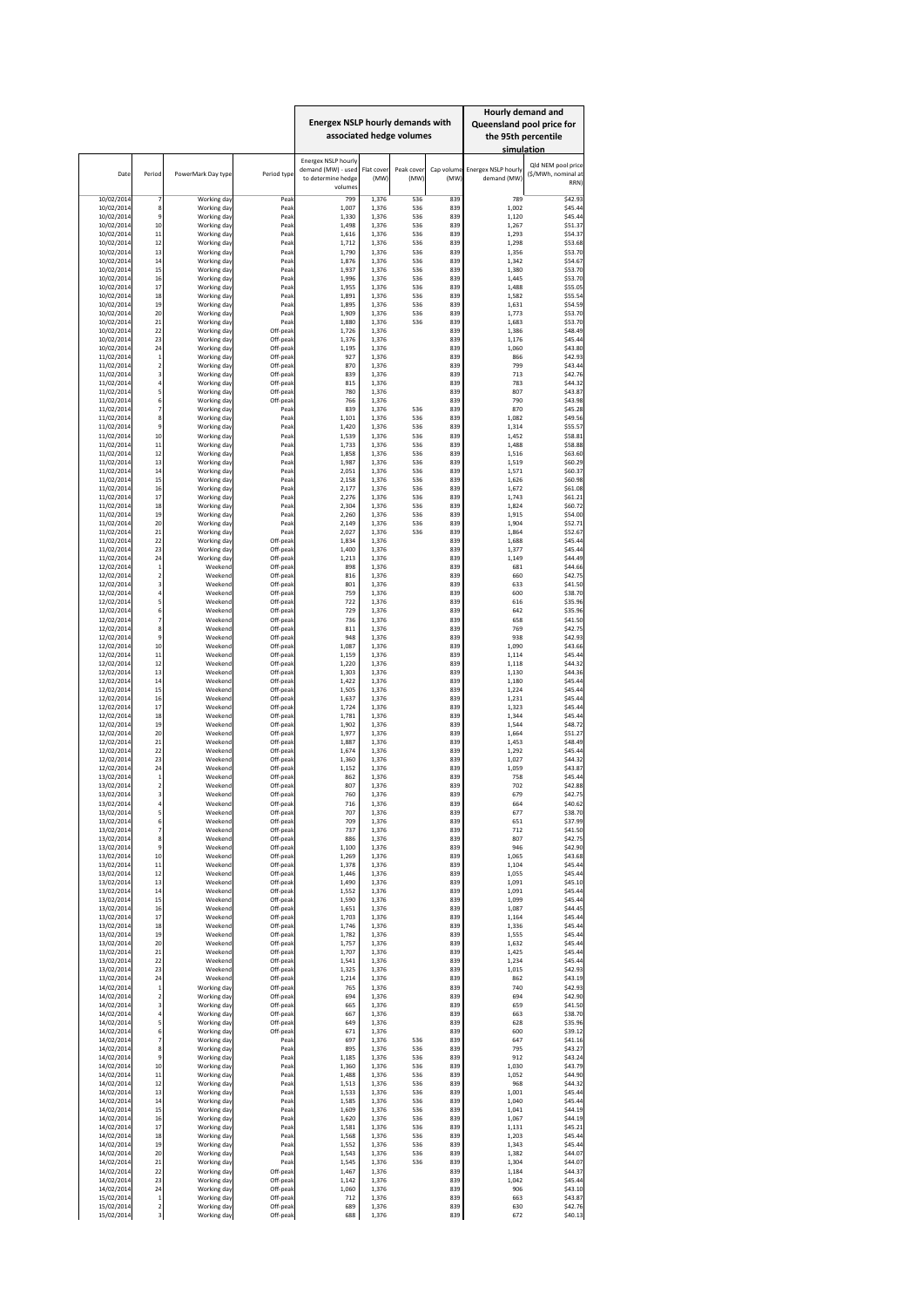|                          |                                         |                            |                      | <b>Energex NSLP hourly demands with</b>  |                    |                          |                    | Hourly demand and<br>Queensland pool price for |                     |  |
|--------------------------|-----------------------------------------|----------------------------|----------------------|------------------------------------------|--------------------|--------------------------|--------------------|------------------------------------------------|---------------------|--|
|                          |                                         |                            |                      |                                          |                    | associated hedge volumes |                    |                                                |                     |  |
|                          |                                         |                            |                      |                                          |                    |                          |                    | the 95th percentile<br>simulation              |                     |  |
|                          |                                         |                            |                      | Energex NSLP hourly                      |                    |                          |                    |                                                | Qld NEM pool price  |  |
| Date                     | Period                                  | PowerMark Day type         | Period type          | demand (MW) - used<br>to determine hedge | Flat cover<br>(MW) | Peak cove<br>(MW)        | Cap volume<br>(MW) | Energex NSLP hourly<br>demand (MW)             | (\$/MWh, nominal at |  |
|                          |                                         |                            |                      | volume                                   |                    |                          |                    |                                                | <b>RRN</b>          |  |
| 10/02/2014<br>10/02/2014 | 8                                       | Working day<br>Working day | Pea<br>Peak          | 799<br>1,007                             | 1,376<br>1,376     | 536<br>536               | 839<br>839         | 789<br>1,002                                   | \$42.93<br>\$45.44  |  |
| 10/02/2014               | q                                       | Working day                | Peak                 | 1,330                                    | 1,376              | 536                      | 839                | 1,120                                          | \$45.44             |  |
| 10/02/2014<br>10/02/2014 | 10<br>$\overline{11}$                   | Working day<br>Working day | Peak<br>Peal         | 1.498<br>1,616                           | 1.376<br>1,376     | 536<br>536               | 839<br>839         | 1.267<br>1,293                                 | \$51.37<br>\$54.37  |  |
| 10/02/2014               | 12<br>13                                | Working day                | Peal<br>Peal         | 1,712<br>1,790                           | 1,376<br>1,376     | 536<br>536               | 839<br>839         | 1,298                                          | \$53.68<br>\$53.70  |  |
| 10/02/2014<br>10/02/2014 | 14                                      | Working day<br>Working day | Peal                 | 1.876                                    | 1.376              | 536                      | 839                | 1,356<br>1,342                                 | \$54.67             |  |
| 10/02/2014<br>10/02/2014 | 15<br>16                                | Working day<br>Working day | Peak<br>Peak         | 1,937<br>1,996                           | 1,376<br>1,376     | 536<br>536               | 839<br>839         | 1,380<br>1,445                                 | \$53.70<br>\$53.70  |  |
| 10/02/2014               | 17                                      | Working day                | Peak                 | 1,955                                    | 1,376              | 536                      | 839                | 1,488                                          | \$55.05             |  |
| 10/02/2014<br>10/02/2014 | 18<br>19                                | Working day<br>Working day | Peak<br>Peal         | 1.891<br>1.895                           | 1,376<br>1.376     | 536<br>536               | 839<br>839         | 1,582<br>1.631                                 | \$55.54<br>\$54.59  |  |
| 10/02/2014<br>10/02/2014 | 20<br>$\overline{21}$                   | Working day<br>Working day | Peal<br>Peal         | 1,909<br>1,880                           | 1,376<br>1,376     | 536<br>536               | 839<br>839         | 1,773<br>1,683                                 | \$53.70<br>\$53.70  |  |
| 10/02/2014               | 22                                      | Working day                | Off-peal             | 1,726                                    | 1,376              |                          | 839                | 1,386                                          | \$48.49             |  |
| 10/02/2014<br>10/02/2014 | 23<br>24                                | Working day<br>Working day | Off-peal<br>Off-peal | 1.376<br>1,195                           | 1.376<br>1,376     |                          | 839<br>839         | 1.176<br>1,060                                 | \$45.44<br>\$43.80  |  |
| 11/02/2014<br>11/02/2014 | $\mathbf{1}$<br>$\overline{\mathbf{z}}$ | Working day<br>Working day | Off-peak<br>Off-peak | 927<br>870                               | 1,376<br>1,376     |                          | 839<br>839         | 866<br>799                                     | \$42.93<br>\$43.44  |  |
| 11/02/2014               | 3                                       | Working day                | Off-peak             | 839                                      | 1.376              |                          | 839                | 713                                            | \$42.76             |  |
| 11/02/2014<br>11/02/2014 | 4<br>5                                  | Working day<br>Working day | Off-peak<br>Off-peak | 815<br>780                               | 1,376<br>1,376     |                          | 839<br>839         | 783<br>807                                     | \$44.32<br>\$43.8   |  |
| 11/02/2014               | 6<br>$\overline{7}$                     | Working day                | Off-peak<br>Peak     | 766<br>839                               | 1,376<br>1.376     | 536                      | 839<br>839         | 790<br>870                                     | \$43.98<br>\$45.28  |  |
| 11/02/2014<br>11/02/2014 | $\bf8$                                  | Working day<br>Working day | Peak                 | 1,101                                    | 1,376              | 536                      | 839                | 1,082                                          | \$49.56             |  |
| 11/02/2014<br>11/02/2014 | 9<br>10                                 | Working day<br>Working day | Peak<br>Peak         | 1,420<br>1,539                           | 1,376<br>1,376     | 536<br>536               | 839<br>839         | 1,314<br>1,452                                 | \$55.57<br>\$58.81  |  |
| 11/02/2014               | 11                                      | Working day                | Peal                 | 1.733                                    | 1,376              | 536                      | 839                | 1.488                                          | \$58.88             |  |
| 11/02/2014<br>11/02/2014 | 12<br>13                                | Working day<br>Working day | Peal<br>Peal         | 1,858<br>1,987                           | 1,376<br>1,376     | 536<br>536               | 839<br>839         | 1,516<br>1,519                                 | \$63.60<br>\$60.29  |  |
| 11/02/2014               | 14<br>15                                | Working day                | Peal<br>Peal         | 2,051<br>2.158                           | 1,376<br>1.376     | 536<br>536               | 839<br>839         | 1,571<br>1,626                                 | \$60.37<br>\$60.98  |  |
| 11/02/2014<br>11/02/2014 | 16                                      | Working day<br>Working day | Peak                 | 2,177                                    | 1,376              | 536                      | 839                | 1,672                                          | \$61.08             |  |
| 11/02/2014<br>11/02/2014 | 17<br>18                                | Working day<br>Working day | Peak<br>Peal         | 2,276<br>2,304                           | 1,376<br>1,376     | 536<br>536               | 839<br>839         | 1,743<br>1,824                                 | \$61.21<br>\$60.72  |  |
| 11/02/2014               | 19                                      | Working day                | Peak                 | 2,260                                    | 1,376              | 536                      | 839                | 1,915                                          | \$54.00             |  |
| 11/02/2014<br>11/02/2014 | 20<br>21                                | Working day<br>Working day | Peal<br>Peal         | 2.149<br>2,027                           | 1.376<br>1,376     | 536<br>536               | 839<br>839         | 1.904<br>1,864                                 | \$52.71<br>\$52.67  |  |
| 11/02/2014<br>11/02/2014 | 22<br>23                                | Working day<br>Working day | Off-peal<br>Off-peak | 1,834<br>1,400                           | 1,376<br>1,376     |                          | 839<br>839         | 1,688<br>1,377                                 | \$45.44<br>\$45.44  |  |
| 11/02/2014               | 24                                      | Working day                | Off-peak             | 1,213                                    | 1.376              |                          | 839                | 1,149                                          | \$44.49             |  |
| 12/02/2014<br>12/02/2014 | $\mathbf{1}$<br>$\mathbf 2$             | Weekend<br>Weekend         | Off-peal<br>Off-peak | 898<br>816                               | 1,376<br>1,376     |                          | 839<br>839         | 681<br>660                                     | \$44.66<br>\$42.75  |  |
| 12/02/2014<br>12/02/2014 | з<br>4                                  | Weekend<br>Weekend         | Off-peak             | 801<br>759                               | 1,376<br>1.376     |                          | 839<br>839         | 633<br>600                                     | \$41.50<br>\$38.70  |  |
| 12/02/2014               | 5                                       | Weekend                    | Off-peak<br>Off-peak | 722                                      | 1,376              |                          | 839                | 616                                            | \$35.96             |  |
| 12/02/2014<br>12/02/2014 | 6<br>7                                  | Weekend<br>Weekend         | Off-peal<br>Off-peal | 729<br>736                               | 1,376<br>1,376     |                          | 839<br>839         | 642<br>658                                     | \$35.96<br>\$41.50  |  |
| 12/02/2014               | 8                                       | Weekend                    | Off-peak             | 811                                      | 1.376              |                          | 839                | 769                                            | \$42.75             |  |
| 12/02/2014<br>12/02/2014 | 9<br>10                                 | Weekend<br>Weekend         | Off-peak<br>Off-peak | 948<br>1,087                             | 1,376<br>1,376     |                          | 839<br>839         | 938<br>1,090                                   | \$42.93<br>\$43.66  |  |
| 12/02/2014<br>12/02/2014 | 11<br>12                                | Weekend<br>Weekend         | Off-peak<br>Off-peak | 1,159<br>1.220                           | 1,376<br>1.376     |                          | 839<br>839         | 1,114<br>1.118                                 | \$45.44<br>\$44.32  |  |
| 12/02/2014               | 13                                      | Weekend                    | Off-peak             | 1,303                                    | 1,376              |                          | 839                | 1,130                                          | \$44.36             |  |
| 12/02/2014<br>12/02/2014 | 14<br>15                                | Weekend<br>Weekend         | Off-peak<br>Off-peal | 1,422<br>1,505                           | 1,376<br>1,376     |                          | 839<br>839         | 1,180<br>1,224                                 | \$45.44<br>\$45.44  |  |
| 12/02/2014               | 16                                      | Weekend                    | Off-peak             | 1,637                                    | 1,376              |                          | 839                | 1,231                                          | \$45.44             |  |
| 12/02/2014<br>12/02/2014 | 17<br>18                                | Weekend<br>Weekend         | Off-peak<br>Off-peak | 1,724<br>1,781                           | 1.376<br>1,376     |                          | 839<br>839         | 1,323<br>1,344                                 | \$45.44<br>\$45.44  |  |
| 12/02/2014<br>12/02/2014 | 19<br>20                                | Weekend<br>Weekend         | Off-peak<br>Off-peak | 1,902<br>1,977                           | 1,376<br>1,376     |                          | 839<br>839         | 1,544<br>1,664                                 | \$48.72<br>\$51.27  |  |
| 12/02/2014               | 21                                      | Weekend                    | Off-peak             | 1.887                                    | 1,376              |                          | 839                | 1.453                                          | \$48.49             |  |
| 12/02/2014<br>12/02/2014 | 22<br>23                                | Weekend<br>Weekend         | Off-peal<br>Off-peal | 1,674<br>1,360                           | 1,376<br>1,376     |                          | 839<br>839         | 1,292<br>1,027                                 | \$45.44<br>\$44.32  |  |
| 12/02/2014<br>13/02/2014 | 24<br>1                                 | Weekend<br>Weekend         | Off-peak<br>Off-peak | 1,152<br>862                             | 1,376<br>1.376     |                          | 839<br>839         | 1,059<br>758                                   | \$43.87<br>\$45.44  |  |
| 13/02/2014               | $\overline{a}$                          | Weekend                    | Off-peak             | 807                                      | 1,376              |                          | 839                | 702                                            | \$42.88             |  |
| 13/02/2014<br>13/02/201  | 3                                       | Weekend<br>Weekend         | Off-peak<br>Off-peal | 760<br>716                               | 1,376<br>1,376     |                          | 839<br>839         | 679<br>664                                     | \$42.75<br>\$40.6.  |  |
| 13/02/2014               | 5                                       | Weekend                    | Off-peak             | 707<br>709                               | 1.376              |                          | 839<br>839         | 677                                            | \$38.70             |  |
| 13/02/2014<br>13/02/2014 | 6<br>7                                  | Weekend<br>Weekend         | Off-peal<br>Off-peak | 737                                      | 1,376<br>1,376     |                          | 839                | 651<br>712                                     | \$37.99<br>\$41.50  |  |
| 13/02/2014<br>13/02/2014 | 8<br>9                                  | Weekend<br>Weekend         | Off-peak<br>Off-peak | 886<br>1.100                             | 1,376<br>1,376     |                          | 839<br>839         | 807<br>946                                     | \$42.75<br>\$42.90  |  |
| 13/02/2014               | 10                                      | Weekend                    | Off-peak             | 1,269                                    | 1,376              |                          | 839                | 1,065                                          | \$43.68             |  |
| 13/02/2014<br>13/02/2014 | 11<br>12                                | Weekend<br>Weekend         | Off-peak<br>Off-peak | 1,378<br>1,446                           | 1,376<br>1,376     |                          | 839<br>839         | 1,104<br>1,055                                 | \$45.44<br>\$45.44  |  |
| 13/02/2014<br>13/02/2014 | 13<br>14                                | Weekend<br>Weekend         | Off-peak<br>Off-peak | 1,490<br>1.552                           | 1,376<br>1,376     |                          | 839<br>839         | 1,091<br>1,091                                 | \$45.10<br>\$45.44  |  |
| 13/02/2014               | 15                                      | Weekend                    | Off-peal             | 1,590                                    | 1,376              |                          | 839                | 1,099                                          | \$45.44             |  |
| 13/02/2014<br>13/02/2014 | 16<br>17                                | Weekend<br>Weekend         | Off-peal<br>Off-peal | 1,651<br>1,703                           | 1,376<br>1,376     |                          | 839<br>839         | 1,087<br>1,164                                 | \$44.45<br>\$45.44  |  |
| 13/02/2014               | 18                                      | Weekend<br>Weekend         | Off-peak             | 1,746                                    | 1.376              |                          | 839<br>839         | 1,336                                          | \$45.44             |  |
| 13/02/2014<br>13/02/2014 | 19<br>20                                | Weekend                    | Off-peak<br>Off-peak | 1,782<br>1,757                           | 1,376<br>1,376     |                          | 839                | 1,555<br>1,632                                 | \$45.44<br>\$45.44  |  |
| 13/02/2014<br>13/02/2014 | 21<br>22                                | Weekend<br>Weekend         | Off-peak<br>Off-peak | 1,707<br>1.541                           | 1,376<br>1.376     |                          | 839<br>839         | 1,425<br>1.234                                 | \$45.44<br>\$45.44  |  |
| 13/02/2014               | 23                                      | Weekend                    | Off-peak             | 1,325                                    | 1,376              |                          | 839                | 1,015                                          | \$42.93             |  |
| 13/02/2014<br>14/02/2014 | 24<br>1                                 | Weekend<br>Working day     | Off-peak<br>Off-peal | 1,214<br>765                             | 1,376<br>1,376     |                          | 839<br>839         | 862<br>740                                     | \$43.19<br>\$42.93  |  |
| 14/02/2014<br>14/02/2014 | $\overline{2}$<br>3                     | Working day<br>Working day | Off-peak<br>Off-peak | 694<br>665                               | 1.376<br>1,376     |                          | 839<br>839         | 694<br>659                                     | \$42.90<br>\$41.50  |  |
| 14/02/2014               | 4                                       | Working day                | Off-peak             | 667                                      | 1,376              |                          | 839                | 663                                            | \$38.70             |  |
| 14/02/2014<br>14/02/2014 | 5<br>6                                  | Working day<br>Working day | Off-peak<br>Off-peak | 649<br>671                               | 1,376<br>1,376     |                          | 839<br>839         | 628<br>600                                     | \$35.96<br>\$39.12  |  |
| 14/02/2014               | 7                                       | Working day                | Peak                 | 697                                      | 1,376              | 536                      | 839                | 647                                            | \$41.16             |  |
| 14/02/2014<br>14/02/2014 | 8<br>9                                  | Working day<br>Working day | Peak<br>Peal         | 895<br>1,185                             | 1,376<br>1,376     | 536<br>536               | 839<br>839         | 795<br>912                                     | \$43.27<br>\$43.24  |  |
| 14/02/2014<br>14/02/2014 | 10<br>11                                | Working day<br>Working day | Peal<br>Peak         | 1,360<br>1,488                           | 1.376<br>1,376     | 536<br>536               | 839<br>839         | 1,030<br>1,052                                 | \$43.79<br>\$44.90  |  |
| 14/02/2014               | 12                                      | Working day                | Peak                 | 1,513                                    | 1,376              | 536                      | 839                | 968                                            | \$44.32             |  |
| 14/02/2014<br>14/02/2014 | 13<br>14                                | Working day<br>Working day | Peak<br>Peak         | 1,533<br>1,585                           | 1,376<br>1,376     | 536<br>536               | 839<br>839         | 1,001<br>1,040                                 | \$45.44<br>\$45.44  |  |
| 14/02/2014               | 15                                      | Working day                | Peak                 | 1.609                                    | 1,376              | 536<br>536               | 839<br>839         | 1,041                                          | \$44.19             |  |
| 14/02/2014<br>14/02/2014 | 16<br>17                                | Working day<br>Working day | Peak<br>Peal         | 1,620<br>1,581                           | 1,376<br>1,376     | 536                      | 839                | 1,067<br>1,131                                 | \$44.19<br>\$45.21  |  |
| 14/02/2014<br>14/02/2014 | 18<br>19                                | Working day<br>Working day | Peal<br>Peak         | 1,568<br>1,552                           | 1,376<br>1.376     | 536<br>536               | 839<br>839         | 1,203<br>1,343                                 | \$45.44<br>\$45.44  |  |
| 14/02/2014               | 20                                      | Working day                | Peak                 | 1,543                                    | 1,376              | 536                      | 839                | 1,382                                          | \$44.07             |  |
| 14/02/2014<br>14/02/2014 | 21<br>22                                | Working day<br>Working day | Peak<br>Off-peak     | 1,545<br>1,467                           | 1,376<br>1,376     | 536                      | 839<br>839         | 1,304<br>1,184                                 | \$44.07<br>\$44.37  |  |
| 14/02/2014<br>14/02/2014 | 23<br>24                                | Working day<br>Working day | Off-peak<br>Off-peak | 1.142<br>1,060                           | 1,376<br>1,376     |                          | 839<br>839         | 1.042<br>906                                   | \$45.44<br>\$43.10  |  |
| 15/02/2014               |                                         | Working day                | Off-peak             | 712                                      | 1,376              |                          | 839                | 663                                            | \$43.87             |  |
| 15/02/2014<br>15/02/2014 | $\overline{\mathbf{z}}$<br>3            | Working day<br>Working day | Off-peak<br>Off-peak | 689<br>688                               | 1,376<br>1,376     |                          | 839<br>839         | 630<br>672                                     | \$42.76<br>\$40.13  |  |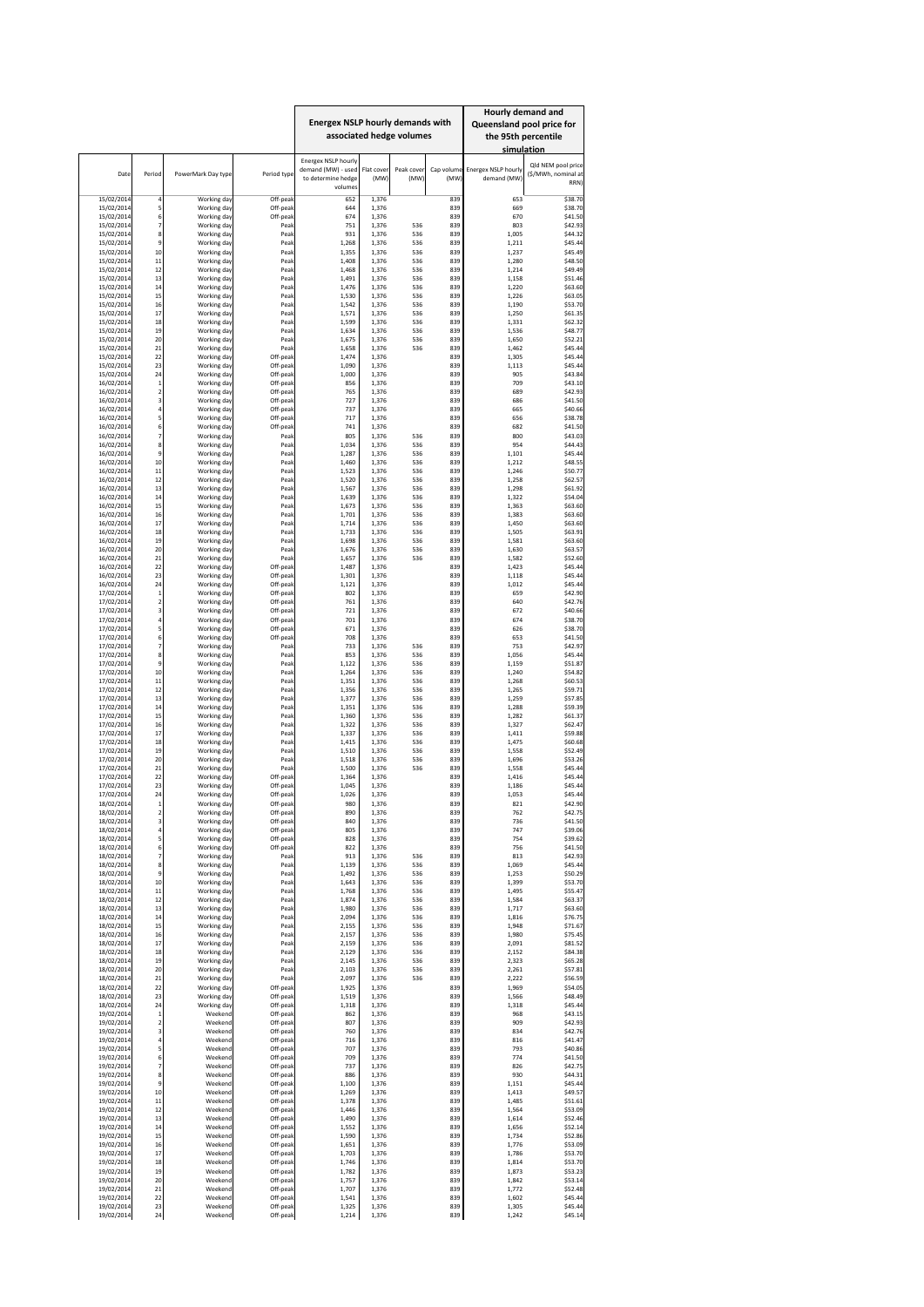|                          |                               |                            |                      | <b>Energex NSLP hourly demands with</b>                         |                          |                    |                                                  | Hourly demand and                  |                                           |  |
|--------------------------|-------------------------------|----------------------------|----------------------|-----------------------------------------------------------------|--------------------------|--------------------|--------------------------------------------------|------------------------------------|-------------------------------------------|--|
|                          |                               |                            |                      |                                                                 | associated hedge volumes |                    | Queensland pool price for<br>the 95th percentile |                                    |                                           |  |
|                          |                               |                            |                      |                                                                 |                          |                    |                                                  | simulation                         |                                           |  |
| Date                     | Period                        | PowerMark Day type         | Period type          | Energex NSLP hourly<br>demand (MW) - used<br>to determine hedge | Flat cover<br>(MW)       | Peak cover<br>(MW) | Cap volume<br>(MW                                | Energex NSLP hourly<br>demand (MW) | Qld NEM pool price<br>(\$/MWh, nominal at |  |
| 15/02/2014               |                               |                            | Off-peal             | volume:<br>652                                                  | 1,376                    |                    | 839                                              | 653                                | RRN)<br>\$38.70                           |  |
| 15/02/2014               | 5                             | Working da<br>Working day  | Off-peal             | 644                                                             | 1.376                    |                    | 839                                              | 669                                | \$38.70                                   |  |
| 15/02/2014<br>15/02/2014 | $\epsilon$<br>7               | Working day<br>Working day | Off-peal<br>Pea      | 674<br>751                                                      | 1,376<br>1,376           | 536                | 839<br>839                                       | 670<br>803                         | \$41.50<br>\$42.9                         |  |
| 15/02/2014               | 8                             | Working day                | Pea                  | 931                                                             | 1,376                    | 536                | 839                                              | 1,005                              | \$44.32                                   |  |
| 15/02/2014<br>15/02/2014 | ś<br>10                       | Working day<br>Working day | Pea<br>Pea           | 1.268<br>1,355                                                  | 1.376<br>1,376           | 536<br>536         | 839<br>839                                       | 1.211<br>1,237                     | \$45.44<br>\$45.49                        |  |
| 15/02/2014               | 11                            | Working day                | Pea                  | 1,408                                                           | 1,376                    | 536                | 839                                              | 1,280                              | \$48.50                                   |  |
| 15/02/2014<br>15/02/2014 | 12<br>13                      | Working day<br>Working day | Pea<br>Pea           | 1,468<br>1.491                                                  | 1,376<br>1.376           | 536<br>536         | 839<br>839                                       | 1,214<br>1.158                     | \$49.49<br>\$51.46                        |  |
| 15/02/2014               | 14                            | Working day                | Peal                 | 1,476                                                           | 1,376                    | 536                | 839                                              | 1,220                              | \$63.60                                   |  |
| 15/02/2014<br>15/02/2014 | 15<br>16                      | Working day<br>Working day | Pea<br>Peal          | 1,530<br>1,542                                                  | 1,376<br>1,376           | 536<br>536         | 839<br>839                                       | 1,226<br>1,190                     | \$63.05<br>\$53.70                        |  |
| 15/02/2014               | 17                            | Working day                | Pea                  | 1,571                                                           | 1,376                    | 536                | 839                                              | 1,250                              | \$61.35                                   |  |
| 15/02/2014<br>15/02/2014 | 18<br>19                      | Working day<br>Working day | Pea<br>Pea           | 1,599<br>1,634                                                  | 1,376<br>1,376           | 536<br>536         | 839<br>839                                       | 1.331<br>1,536                     | \$62.3<br>\$48.7                          |  |
| 15/02/2014               | 20                            | Working day                | Pea                  | 1,675                                                           | 1,376                    | 536                | 839                                              | 1,650                              | \$52.2                                    |  |
| 15/02/2014<br>15/02/2014 | 21<br>22                      | Working da<br>Working day  | Pea<br>Off-peal      | 1,658<br>1.474                                                  | 1,376<br>1.376           | 536                | 839<br>839                                       | 1,462<br>1.305                     | \$45.44<br>\$45.44                        |  |
| 15/02/2014               | 23                            | Working day                | Off-peal             | 1,090                                                           | 1,376                    |                    | 839                                              | 1,113                              | \$45.4                                    |  |
| 15/02/2014<br>16/02/2014 | 24<br>$\mathbf{1}$            | Working day<br>Working day | Off-peal<br>Off-peal | 1,000<br>856                                                    | 1,376<br>1,376           |                    | 839<br>839                                       | 905<br>709                         | \$43.84<br>\$43.10                        |  |
| 16/02/2014               | $\overline{\mathbf{c}}$<br>ă  | Working day                | Off-peal             | 765                                                             | 1.376                    |                    | 839<br>839                                       | 689                                | \$42.93                                   |  |
| 16/02/2014<br>16/02/2014 | 4                             | Working day<br>Working day | Off-peal<br>Off-pea  | 727<br>737                                                      | 1,376<br>1,376           |                    | 839                                              | 686<br>665                         | \$41.50<br>\$40.6                         |  |
| 16/02/2014<br>16/02/2014 | 5                             | Working day<br>Working day | Off-pea              | 717<br>741                                                      | 1,376<br>1.376           |                    | 839<br>839                                       | 656<br>682                         | \$38.78<br>\$41.50                        |  |
| 16/02/2014               | 6<br>$\overline{\phantom{a}}$ | Working day                | Off-peal<br>Peal     | 805                                                             | 1,376                    | 536                | 839                                              | 800                                | \$43.03                                   |  |
| 16/02/2014<br>16/02/2014 | 8<br>9                        | Working day<br>Working day | Pea<br>Pea           | 1,034<br>1,287                                                  | 1,376<br>1,376           | 536<br>536         | 839<br>839                                       | 954<br>1,101                       | \$44.43<br>\$45.44                        |  |
| 16/02/2014               | 10                            | Working day                | Pea                  | 1,460                                                           | 1,376                    | 536                | 839                                              | 1.212                              | \$48.55                                   |  |
| 16/02/2014<br>16/02/2014 | 11<br>12                      | Working day<br>Working day | Pea<br>Pea           | 1,523<br>1,520                                                  | 1,376<br>1,376           | 536<br>536         | 839<br>839                                       | 1,246<br>1,258                     | \$50.7<br>\$62.5                          |  |
| 16/02/2014               | 13                            | Working da                 | Pea                  | 1,567                                                           | 1,376                    | 536                | 839                                              | 1,298                              | \$61.92                                   |  |
| 16/02/2014<br>16/02/2014 | 14<br>15                      | Working day<br>Working day | Pea<br>Pea           | 1,639<br>1,673                                                  | 1,376<br>1.376           | 536<br>536         | 839<br>839                                       | 1,322<br>1.363                     | \$54.0<br>\$63.60                         |  |
| 16/02/2014               | 16                            | Working day                | Peal                 | 1,701                                                           | 1,376                    | 536                | 839                                              | 1,383                              | \$63.60                                   |  |
| 16/02/2014<br>16/02/2014 | 17<br>18                      | Working day<br>Working da  | Pea<br>Pea           | 1,714<br>1,733                                                  | 1,376<br>1,376           | 536<br>536         | 839<br>839                                       | 1,450<br>1,505                     | \$63.60<br>\$63.9                         |  |
| 16/02/2014               | 19                            | Working day                | Pea                  | 1.698                                                           | 1.376                    | 536                | 839                                              | 1.581                              | \$63.60                                   |  |
| 16/02/2014<br>16/02/2014 | 20<br>21                      | Working day<br>Working day | Pea<br>Pea           | 1,676<br>1,657                                                  | 1,376<br>1,376           | 536<br>536         | 839<br>839                                       | 1,630<br>1,582                     | \$63.5<br>\$52.60                         |  |
| 16/02/2014               | 22                            | Working da                 | Off-peal             | 1,487                                                           | 1,376                    |                    | 839                                              | 1,423                              | \$45.44                                   |  |
| 16/02/2014<br>16/02/2014 | 23<br>24                      | Working day<br>Working day | Off-peal<br>Off-peal | 1,301<br>1,121                                                  | 1.376<br>1,376           |                    | 839<br>839                                       | 1,118<br>1,012                     | \$45.44<br>\$45.44                        |  |
| 17/02/2014               | $\mathbf{1}$                  | Working day                | Off-peal             | 802                                                             | 1,376                    |                    | 839                                              | 659                                | \$42.90                                   |  |
| 17/02/2014<br>17/02/2014 | $\overline{\mathbf{c}}$<br>3  | Working day<br>Working day | Off-peal<br>Off-peal | 761<br>721                                                      | 1,376<br>1,376           |                    | 839<br>839                                       | 640<br>672                         | \$42.76<br>\$40.66                        |  |
| 17/02/2014               | 4                             | Working day                | Off-peal             | 701                                                             | 1,376                    |                    | 839                                              | 674                                | \$38.70                                   |  |
| 17/02/2014               | S<br>6                        | Working day                | Off-pea              | 671<br>708                                                      | 1,376                    |                    | 839<br>839                                       | 626<br>653                         | \$38.70<br>\$41.50                        |  |
| 17/02/2014<br>17/02/2014 | $\overline{\phantom{a}}$      | Working day<br>Working day | Off-peal<br>Pea      | 733                                                             | 1,376<br>1.376           | 536                | 839                                              | 753                                | \$42.97                                   |  |
| 17/02/2014<br>17/02/2014 | 8<br>S                        | Working day<br>Working day | Peal<br>Pea          | 853<br>1,122                                                    | 1,376<br>1,376           | 536<br>536         | 839<br>839                                       | 1,056<br>1,159                     | \$45.44<br>\$51.8                         |  |
| 17/02/2014               | 10                            | Working day                | Pea                  | 1,264                                                           | 1,376                    | 536                | 839                                              | 1,240                              | \$54.8                                    |  |
| 17/02/2014<br>17/02/2014 | 11<br>12                      | Working day<br>Working da  | Pea<br>Pea           | 1.351<br>1,356                                                  | 1.376<br>1,376           | 536<br>536         | 839<br>839                                       | 1.268<br>1,265                     | \$60.53<br>\$59.7                         |  |
| 17/02/2014               | 13                            | Working da                 | Pea                  | 1,377                                                           | 1,376                    | 536                | 839                                              | 1,259                              | \$57.8                                    |  |
| 17/02/2014               | 14<br>15                      | Working day                | Pea<br>Pea           | 1,351                                                           | 1,376                    | 536<br>536         | 839<br>839                                       | 1,288                              | \$59.39                                   |  |
| 17/02/2014<br>17/02/2014 | 16                            | Working da<br>Working day  | Pea                  | 1,360<br>1,322                                                  | 1,376<br>1.376           | 536                | 839                                              | 1,282<br>1,327                     | \$61.3<br>\$62.47                         |  |
| 17/02/2014               | 17                            | Working day<br>Working day | Peal                 | 1,337                                                           | 1,376                    | 536                | 839                                              | 1,411                              | \$59.88                                   |  |
| 17/02/2014<br>17/02/2014 | 18<br>19                      | Working day                | Pea<br>Pea           | 1,415<br>1,510                                                  | 1,376<br>1,376           | 536<br>536         | 839<br>839                                       | 1,475<br>1,558                     | \$60.68<br>\$52.49                        |  |
| 17/02/2014               | 20<br>21                      | Working day                | Pea<br>Pea           | 1,518                                                           | 1,376                    | 536<br>536         | 839<br>839                                       | 1.696                              | \$53.26                                   |  |
| 17/02/2014<br>17/02/2014 | 22                            | Working day<br>Working day | Off-pea              | 1,500<br>1,364                                                  | 1,376<br>1,376           |                    | 839                                              | 1,558<br>1,416                     | \$45.4<br>\$45.4                          |  |
| 17/02/2014<br>17/02/2014 | 2 <sup>2</sup><br>24          | Working da<br>Working day  | Off-peal             | 1,045<br>1,026                                                  | 1,376<br>1,376           |                    | 839<br>839                                       | 1,186<br>1,053                     | \$45.44<br>\$45.44                        |  |
| 18/02/2014               |                               | Working day                | Off-peak<br>Off-peal | 980                                                             | 1,376                    |                    | 839                                              | 821                                | \$42.90                                   |  |
| 18/02/2014               | 2                             | Working day                | Off-peal<br>Off-peal | 890<br>840                                                      | 1,376                    |                    | 839<br>839                                       | 762<br>736                         | \$42.75<br>\$41.50                        |  |
| 18/02/2014<br>18/02/2014 | 3<br>4                        | Working day<br>Working day | Off-peal             | 805                                                             | 1,376<br>1.376           |                    | 839                                              | 747                                | \$39.06                                   |  |
| 18/02/2014<br>18/02/2014 | S                             | Working day<br>Working day | Off-peal<br>Off-peal | 828<br>822                                                      | 1,376<br>1,376           |                    | 839<br>839                                       | 754<br>756                         | \$39.62<br>\$41.50                        |  |
| 18/02/2014               | 6<br>7                        | Working day                | Peal                 | 913                                                             | 1,376                    | 536                | 839                                              | 813                                | \$42.93                                   |  |
| 18/02/2014<br>18/02/2014 | 8<br>S                        | Working day<br>Working day | Peal<br>Peal         | 1.139<br>1,492                                                  | 1,376<br>1,376           | 536<br>536         | 839<br>839                                       | 1,069<br>1,253                     | \$45.44<br>\$50.29                        |  |
| 18/02/2014               | 10                            | Working day                | Peal                 | 1,643                                                           | 1,376                    | 536                | 839                                              | 1,399                              | \$53.70                                   |  |
| 18/02/2014<br>18/02/2014 | 11<br>12                      | Working day<br>Working day | Peal<br>Peal         | 1,768<br>1,874                                                  | 1,376<br>1,376           | 536<br>536         | 839<br>839                                       | 1,495<br>1,584                     | \$55.47<br>\$63.37                        |  |
| 18/02/2014               | 13                            | Working day                | Peal                 | 1,980                                                           | 1,376                    | 536                | 839                                              | 1,717                              | \$63.60                                   |  |
| 18/02/2014<br>18/02/2014 | 14<br>15                      | Working day<br>Working day | Pea<br>Peal          | 2,094<br>2,155                                                  | 1,376<br>1,376           | 536<br>536         | 839<br>839                                       | 1,816<br>1,948                     | \$76.75<br>\$71.6                         |  |
| 18/02/2014               | 16                            | Working day                | Peal                 | 2,157                                                           | 1,376                    | 536                | 839                                              | 1,980                              | \$75.45                                   |  |
| 18/02/2014<br>18/02/2014 | 17<br>18                      | Working day<br>Working day | Peal<br>Peal         | 2,159<br>2,129                                                  | 1.376<br>1,376           | 536<br>536         | 839<br>839                                       | 2.091<br>2,152                     | \$81.52<br>\$84.38                        |  |
| 18/02/2014               | 19                            | Working day                | Peal                 | 2,145                                                           | 1,376                    | 536                | 839                                              | 2,323                              | \$65.28                                   |  |
| 18/02/2014<br>18/02/2014 | 20<br>21                      | Working day<br>Working day | Peal<br>Pea          | 2,103<br>2.097                                                  | 1,376<br>1.376           | 536<br>536         | 839<br>839                                       | 2,261<br>2.222                     | \$57.81<br>\$56.59                        |  |
| 18/02/2014               | 22                            | Working day                | Off-peal             | 1,925                                                           | 1,376                    |                    | 839                                              | 1,969                              | \$54.05                                   |  |
| 18/02/2014<br>18/02/2014 | 23<br>24                      | Working day<br>Working day | Off-peal<br>Off-peal | 1,519<br>1,318                                                  | 1,376<br>1,376           |                    | 839<br>839                                       | 1,566<br>1,318                     | \$48.49<br>\$45.44                        |  |
| 19/02/2014               | 1                             | Weekend                    | Off-peal             | 862                                                             | 1,376                    |                    | 839                                              | 968                                | \$43.15                                   |  |
| 19/02/2014<br>19/02/2014 | $\overline{\mathbf{c}}$<br>3  | Weekend<br>Weekend         | Off-peal<br>Off-peal | 807<br>760                                                      | 1,376<br>1,376           |                    | 839<br>839                                       | 909<br>834                         | \$42.93<br>\$42.76                        |  |
| 19/02/2014               | 4                             | Weekend                    | Off-peal             | 716                                                             | 1,376                    |                    | 839                                              | 816                                | \$41.47                                   |  |
| 19/02/2014<br>19/02/2014 | 5<br>6                        | Weekend<br>Weekend         | Off-peal<br>Off-peal | 707<br>709                                                      | 1,376<br>1,376           |                    | 839<br>839                                       | 793<br>774                         | \$40.86<br>\$41.50                        |  |
| 19/02/2014               | 7                             | Weekend                    | Off-peal             | 737                                                             | 1,376                    |                    | 839                                              | 826                                | \$42.7                                    |  |
| 19/02/2014<br>19/02/2014 | 8<br>S                        | Weekend<br>Weekend         | Off-peak<br>Off-peal | 886<br>1,100                                                    | 1,376<br>1,376           |                    | 839<br>839                                       | 930<br>1,151                       | \$44.3<br>\$45.44                         |  |
| 19/02/2014               | 10                            | Weekend                    | Off-peal             | 1,269                                                           | 1,376                    |                    | 839                                              | 1,413                              | \$49.57                                   |  |
| 19/02/2014<br>19/02/2014 | 11<br>12                      | Weekend<br>Weekend         | Off-peal<br>Off-peal | 1,378<br>1,446                                                  | 1,376<br>1,376           |                    | 839<br>839                                       | 1,485<br>1,564                     | \$51.61<br>\$53.09                        |  |
| 19/02/2014               | 13                            | Weekend                    | Off-peal             | 1,490                                                           | 1,376                    |                    | 839                                              | 1,614                              | \$52.46                                   |  |
| 19/02/2014<br>19/02/2014 | 14<br>15                      | Weekend<br>Weekend         | Off-peal<br>Off-peal | 1.552<br>1,590                                                  | 1.376<br>1,376           |                    | 839<br>839                                       | 1.656<br>1,734                     | \$52.14<br>\$52.86                        |  |
| 19/02/2014               | 16                            | Weekend                    | Off-peal             | 1,651                                                           | 1,376                    |                    | 839                                              | 1,776                              | \$53.09                                   |  |
| 19/02/2014<br>19/02/2014 | 17<br>18                      | Weekend<br>Weekend         | Off-peal<br>Off-peal | 1,703<br>1,746                                                  | 1,376<br>1,376           |                    | 839<br>839                                       | 1,786<br>1,814                     | \$53.70<br>\$53.70                        |  |
| 19/02/2014               | 19                            | Weekend                    | Off-peak             | 1,782                                                           | 1,376                    |                    | 839                                              | 1,873                              | \$53.23                                   |  |
| 19/02/2014<br>19/02/2014 | 20<br>21                      | Weekend<br>Weekend         | Off-peak<br>Off-peak | 1,757<br>1,707                                                  | 1,376<br>1,376           |                    | 839<br>839                                       | 1,842<br>1,772                     | \$53.14<br>\$52.48                        |  |
| 19/02/2014               | 22                            | Weekend                    | Off-peak             | 1,541                                                           | 1,376                    |                    | 839                                              | 1,602                              | \$45.44                                   |  |
| 19/02/2014<br>19/02/2014 | 23<br>24                      | Weekend<br>Weekend         | Off-peal<br>Off-peak | 1,325<br>1,214                                                  | 1,376<br>1,376           |                    | 839<br>839                                       | 1,305<br>1,242                     | \$45.44<br>\$45.14                        |  |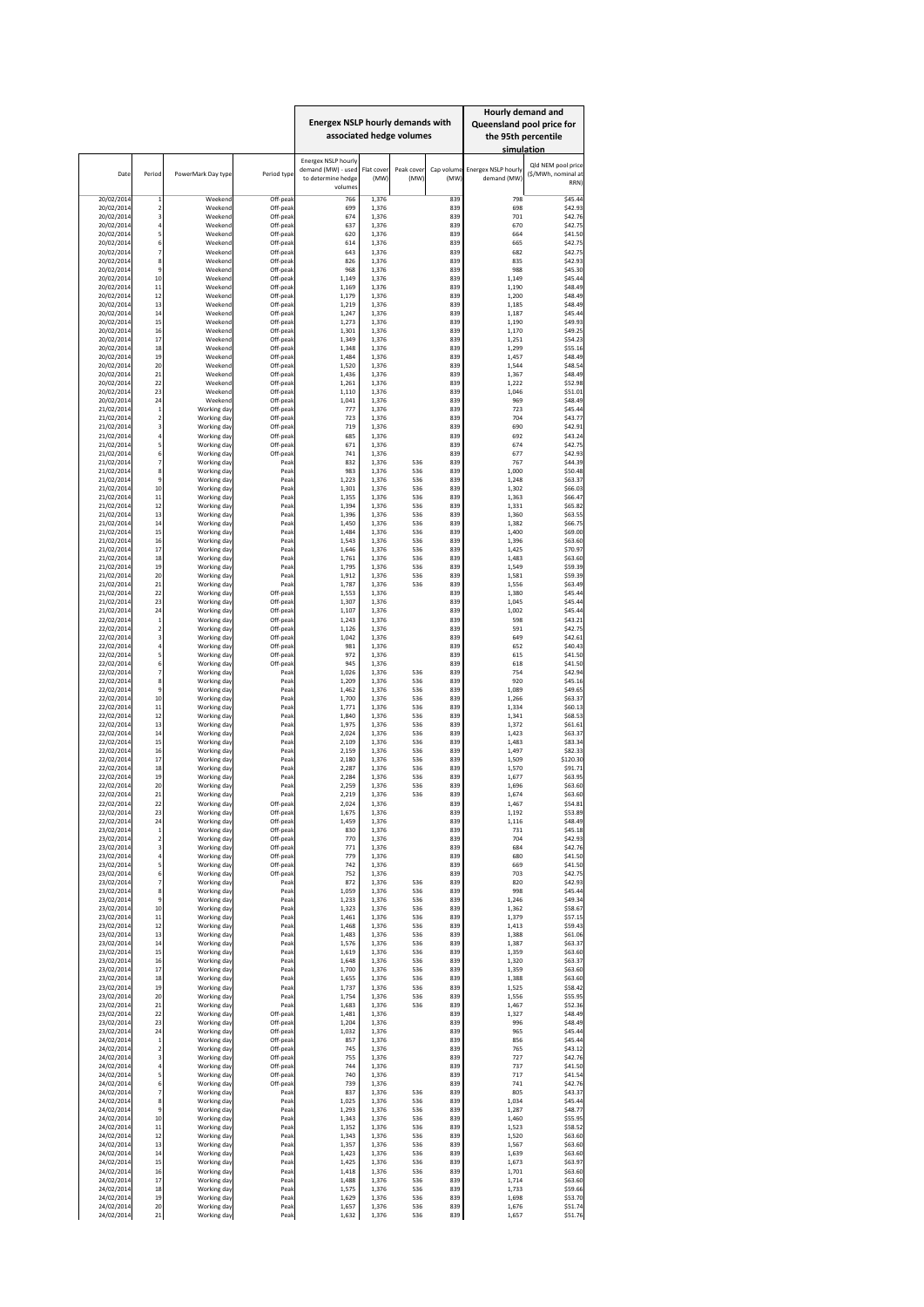|                          |                         |                            |                      |                                                                     |                    |                    |                   | Hourly demand and<br>Queensland pool price for |                                           |  |
|--------------------------|-------------------------|----------------------------|----------------------|---------------------------------------------------------------------|--------------------|--------------------|-------------------|------------------------------------------------|-------------------------------------------|--|
|                          |                         |                            |                      | <b>Energex NSLP hourly demands with</b><br>associated hedge volumes |                    |                    |                   | the 95th percentile                            |                                           |  |
|                          |                         |                            |                      |                                                                     |                    |                    |                   | simulation                                     |                                           |  |
| Date                     | Period                  | PowerMark Day type         | Period type          | Energex NSLP hourly<br>demand (MW) - used<br>to determine hedge     | Flat cover<br>(MW) | Peak cover<br>(MW) | Cap volume<br>(MW | Energex NSLP hourly<br>demand (MW)             | Qld NEM pool price<br>(\$/MWh, nominal at |  |
|                          |                         |                            |                      | volumes                                                             |                    |                    |                   |                                                | RRN)                                      |  |
| 20/02/2014               | $\mathbf{1}$            | Weekend                    | Off-peal             | 766                                                                 | 1,376              |                    | 839               | 798                                            | \$45.44                                   |  |
| 20/02/2014               | $\overline{2}$          | Weekend                    | Off-peal             | 699                                                                 | 1.376              |                    | 839               | 698                                            | \$42.93                                   |  |
| 20/02/2014               | 3                       | Weekend                    | Off-peal             | 674                                                                 | 1,376              |                    | 839               | 701                                            | \$42.76                                   |  |
| 20/02/2014               | 4                       | Weekend                    | Off-peal             | 637                                                                 | 1,376              |                    | 839               | 670                                            | \$42.75                                   |  |
| 20/02/2014               | 5                       | Weekend                    | Off-peak             | 620                                                                 | 1,376              |                    | 839               | 664                                            | \$41.50                                   |  |
| 20/02/2014               | 6                       | Weekend                    | Off-peal             | 614                                                                 | 1.376              |                    | 839               | 665                                            | \$42.75                                   |  |
| 20/02/2014               | $\overline{7}$          | Weekend                    | Off-peal             | 643                                                                 | 1,376              |                    | 839               | 682                                            | \$42.75                                   |  |
| 20/02/2014               | 8                       | Weekend                    | Off-peal             | 826                                                                 | 1,376              |                    | 839               | 835                                            | \$42.9                                    |  |
| 20/02/2014               | 9                       | Weekend                    | Off-peal             | 968                                                                 | 1,376              |                    | 839               | 988                                            | \$45.30                                   |  |
| 20/02/2014               | 10                      | Weekend                    | Off-peal             | 1.149                                                               | 1.376              |                    | 839               | 1.149                                          | \$45.44                                   |  |
| 20/02/2014               | 11                      | Weekend                    | Off-peak             | 1,169                                                               | 1,376              |                    | 839               | 1,190                                          | \$48.49                                   |  |
| 20/02/2014               | 12                      | Weekend                    | Off-peak             | 1,179                                                               | 1,376              |                    | 839               | 1,200                                          | \$48.49                                   |  |
| 20/02/2014               | 13                      | Weekend                    | Off-peak             | 1,219                                                               | 1,376              |                    | 839               | 1,185                                          | \$48.49                                   |  |
| 20/02/2014               | 14                      | Weekend                    | Off-peak             | 1,247                                                               | 1,376              |                    | 839               | 1,187                                          | \$45.44                                   |  |
| 20/02/2014               | 15                      | Weekend                    | Off-peal             | 1.273                                                               | 1,376              |                    | 839               | 1.190                                          | \$49.93                                   |  |
| 20/02/2014               | 16                      | Weekend                    | Off-peal             | 1,301                                                               | 1,376              |                    | 839               | 1,170                                          | \$49.25                                   |  |
| 20/02/2014               | 17                      | Weekend                    | Off-peal             | 1,349                                                               | 1,376              |                    | 839               | 1,251                                          | \$54.2                                    |  |
| 20/02/2014               | 18                      | Weekend                    | Off-peal             | 1,348                                                               | 1,376              |                    | 839               | 1,299                                          | \$55.16                                   |  |
| 20/02/2014               | 19                      | Weekend                    | Off-peal             | 1.484                                                               | 1.376              |                    | 839               | 1,457                                          | \$48.49                                   |  |
| 20/02/2014               | 20                      | Weekend                    | Off-peal             | 1,520                                                               | 1,376              |                    | 839               | 1,544                                          | \$48.54                                   |  |
| 20/02/2014               | 21                      | Weekend                    | Off-peak             | 1,436                                                               | 1,376              |                    | 839               | 1,367                                          | \$48.49                                   |  |
| 20/02/2014               | 22                      | Weekend                    | Off-peal             | 1,261                                                               | 1,376              |                    | 839               | 1,222                                          | \$52.98                                   |  |
| 20/02/2014               | 23                      | Weekend                    | Off-peal             | 1.110                                                               | 1.376              |                    | 839               | 1,046                                          | \$51.01                                   |  |
| 20/02/2014               | 24                      | Weekend                    | Off-peal             | 1,041                                                               | 1,376              |                    | 839               | 969                                            | \$48.49                                   |  |
| 21/02/2014               | $\mathbf{1}$            | Working day                | Off-peal             | 777                                                                 | 1,376              |                    | 839               | 723                                            | \$45.44                                   |  |
| 21/02/2014               | $\overline{2}$          | Working day                | Off-peal             | 723                                                                 | 1,376              |                    | 839               | 704                                            | \$43.77                                   |  |
| 21/02/2014               | $\overline{3}$          | Working day                | Off-peal             | 719                                                                 | 1,376              |                    | 839               | 690                                            | \$42.91                                   |  |
| 21/02/2014               | 4                       | Working day                | Off-peak             | 685                                                                 | 1,376              |                    | 839               | 692                                            | \$43.24                                   |  |
| 21/02/2014               | 5                       | Working day                | Off-peak             | 671                                                                 | 1,376              |                    | 839               | 674                                            | \$42.75                                   |  |
| 21/02/2014               | 6                       | Working day                | Off-peak             | 741                                                                 | 1,376              | 536                | 839               | 677                                            | \$42.93                                   |  |
| 21/02/2014               | $\overline{7}$          | Working day                | Peal                 | 832                                                                 | 1,376              |                    | 839               | 767                                            | \$44.39                                   |  |
| 21/02/2014               | 8                       | Working day                | Peal                 | 983                                                                 | 1,376              | 536                | 839               | 1,000                                          | \$50.48                                   |  |
| 21/02/2014               | 9                       | Working day                | Peal                 | 1,223                                                               | 1,376              | 536                | 839               | 1,248                                          | \$63.37                                   |  |
| 21/02/2014               | 10                      | Working day                | Peal                 | 1,301                                                               | 1,376              | 536                | 839               | 1,302                                          | \$66.03                                   |  |
| 21/02/2014               | 11                      | Working da                 | Peal                 | 1,355                                                               | 1,376              | 536                | 839               | 1,363                                          | \$66.47                                   |  |
| 21/02/2014               | 12                      | Working day                | Peal                 | 1.394                                                               | 1.376              | 536                | 839               | 1,331                                          | \$65.82                                   |  |
| 21/02/2014               | 13                      | Working day                | Peak                 | 1,396                                                               | 1,376              | 536                | 839               | 1,360                                          | \$63.55                                   |  |
| 21/02/2014               | 14                      | Working day                | Peal                 | 1,450                                                               | 1,376              | 536                | 839               | 1,382                                          | \$66.75                                   |  |
| 21/02/2014               | 15                      | Working day                | Peal                 | 1,484                                                               | 1,376              | 536                | 839               | 1,400                                          | \$69.00                                   |  |
| 21/02/2014               | 16                      | Working day                | Peal                 | 1.543                                                               | 1.376              | 536                | 839               | 1,396                                          | \$63.60                                   |  |
| 21/02/2014               | 17                      | Working day                | Peal                 | 1,646                                                               | 1,376              | 536                | 839               | 1,425                                          | \$70.97                                   |  |
| 21/02/2014               | 18                      | Working day                | Peal                 | 1,761                                                               | 1,376              | 536                | 839               | 1,483                                          | \$63.60                                   |  |
| 21/02/2014               | 19<br>20                | Working day                | Peal<br>Peal         | 1,795                                                               | 1,376              | 536<br>536         | 839<br>839        | 1,549                                          | \$59.39<br>\$59.39                        |  |
| 21/02/2014<br>21/02/2014 | 21                      | Working day<br>Working day | Peak                 | 1,912<br>1,787                                                      | 1,376<br>1,376     | 536                | 839               | 1,581<br>1,556                                 | \$63.49                                   |  |
| 21/02/2014               | 22                      | Working day                | Off-peak             | 1,553                                                               | 1,376              |                    | 839               | 1,380                                          | \$45.44                                   |  |
| 21/02/2014               | 23                      | Working day                | Off-peak             | 1,307                                                               | 1,376              |                    | 839               | 1,045                                          | \$45.44                                   |  |
| 21/02/2014               | 24                      | Working day                | Off-peal             | 1.107                                                               | 1.376              |                    | 839               | 1,002                                          | \$45.44                                   |  |
| 22/02/2014               | $\mathbf{1}$            | Working day                | Off-peal             | 1,243                                                               | 1,376              |                    | 839               | 598                                            | \$43.21                                   |  |
| 22/02/2014               | $\overline{\mathbf{c}}$ | Working day                | Off-peal             | 1,126                                                               | 1,376              |                    | 839               | 591                                            | \$42.7                                    |  |
| 22/02/2014               | 3                       | Working day                | Off-peal             | 1,042                                                               | 1,376              |                    | 839               | 649                                            | \$42.6                                    |  |
| 22/02/2014               | $\overline{a}$          | Working day                | Off-peal             | 981                                                                 | 1.376              |                    | 839               | 652                                            | \$40.43                                   |  |
| 22/02/2014               | 5                       | Working day                | Off-peal             | 972                                                                 | 1,376              |                    | 839               | 615                                            | \$41.50                                   |  |
| 22/02/2014               | 6                       | Working day                | Off-peal             | 945                                                                 | 1,376              | 536                | 839               | 618                                            | \$41.50                                   |  |
| 22/02/2014               | $\overline{7}$          | Working day                | Peal                 | 1,026                                                               | 1,376              |                    | 839               | 754                                            | \$42.94                                   |  |
| 22/02/2014               | 8                       | Working day                | Peal                 | 1.209                                                               | 1,376              | 536                | 839               | 920                                            | \$45.16                                   |  |
| 22/02/2014               | 9                       | Working day                | Peal                 | 1.462                                                               | 1.376              | 536                | 839               | 1.089                                          | \$49.65                                   |  |
| 22/02/2014               | 10                      | Working day                | Peal                 | 1,700                                                               | 1,376              | 536                | 839               | 1,266                                          | \$63.37                                   |  |
| 22/02/2014               | 11                      | Working day                | Peal                 | 1,771                                                               | 1,376              | 536                | 839               | 1,334                                          | \$60.13                                   |  |
| 22/02/2014               | 12                      | Working day                | Peal                 | 1,840                                                               | 1,376              | 536                | 839               | 1,341                                          | \$68.53                                   |  |
| 22/02/2014               | 13                      | Working day                | Peal                 | 1.975                                                               | 1,376              | 536                | 839               | 1,372                                          | \$61.61                                   |  |
| 22/02/2014               | 14                      | Working day                | Peak                 | 2,024                                                               | 1,376              | 536                | 839               | 1,423                                          | \$63.37                                   |  |
| 22/02/2014               | 15                      | Working day                | Peal                 | 2,109                                                               | 1,376              | 536                | 839               | 1,483                                          | \$83.34                                   |  |
| 22/02/2014               | 16                      | Working day                | Peak                 | 2,159                                                               | 1,376              | 536                | 839               | 1,497                                          | \$82.33                                   |  |
| 22/02/2014               | 17                      | Working day                | Peal                 | 2,180                                                               | 1,376              | 536                | 839               | 1,509                                          | \$120.30                                  |  |
| 22/02/2014               | 18                      | Working day                | Peal                 | 2,287                                                               | 1,376              | 536                | 839               | 1,570                                          | \$91.71                                   |  |
| 22/02/2014               | 19                      | Working day                | Peal                 | 2,284                                                               | 1,376              | 536                | 839               | 1,677                                          | \$63.9                                    |  |
| 22/02/2014               | 20                      | Working day                | Peal                 | 2,259                                                               | 1,376              | 536                | 839               | 1,696                                          | \$63.60                                   |  |
| 22/02/2014               | 21                      | Working day                | Peal                 | 2,219                                                               | 1,376              | 536                | 839               | 1,674                                          | \$63.60                                   |  |
| 22/02/2014               | 22                      | Working day                | Off-peal             | 2.024                                                               | 1.376              |                    | 839               | 1,467                                          | \$54.81                                   |  |
| 22/02/2014               | 23                      | Working day                | Off-peak             | 1,675                                                               | 1,376              |                    | 839               | 1,192                                          | \$53.89                                   |  |
| 22/02/2014               | 24                      | Working day                | Off-peak             | 1,459                                                               | 1,376              |                    | 839               | 1,116                                          | \$48.49                                   |  |
| 23/02/2014               | $\mathbf{1}$            | Working day                | Off-peal             | 830                                                                 | 1,376              |                    | 839               | 731                                            | \$45.18                                   |  |
| 23/02/2014               | $\mathbf 2$             | Working day                | Off-peal             | 770                                                                 | 1,376              |                    | 839               | 704                                            | \$42.93                                   |  |
| 23/02/2014               | 3                       | Working day                | Off-peal             | 771                                                                 | 1,376              |                    | 839               | 684                                            | \$42.76                                   |  |
| 23/02/2014               | 4                       | Working day                | Off-peak             | 779                                                                 | 1,376              |                    | 839               | 680                                            | \$41.50                                   |  |
| 23/02/2014               | 5                       | Working day                | Off-peak             | 742                                                                 | 1,376              |                    | 839               | 669                                            | \$41.50                                   |  |
| 23/02/2014               | 6                       | Working day                | Off-peak             | 752                                                                 | 1,376              |                    | 839               | 703                                            | \$42.75                                   |  |
| 23/02/2014               | $\overline{7}$          | Working day                | Peak                 | 872                                                                 | 1,376              | 536                | 839               | 820                                            | \$42.93                                   |  |
| 23/02/2014               | 8                       | Working day                | Peak                 | 1,059                                                               | 1,376              | 536                | 839               | 998                                            | \$45.44                                   |  |
| 23/02/2014               | $\ddot{q}$              | Working day                | Peak                 | 1,233                                                               | 1,376              | 536                | 839               | 1,246                                          | \$49.34                                   |  |
| 23/02/2014               | 10                      | Working day                | Peak                 | 1,323                                                               | 1,376              | 536                | 839               | 1,362                                          | \$58.67                                   |  |
| 23/02/2014               | 11                      | Working day                | Peak                 | 1,461                                                               | 1,376              | 536                | 839               | 1,379                                          | \$57.15                                   |  |
| 23/02/2014               | 12                      | Working day                | Peak                 | 1,468                                                               | 1,376              | 536                | 839               | 1,413                                          | \$59.43                                   |  |
| 23/02/2014               | 13                      | Working day                | Peak                 | 1,483                                                               | 1,376              | 536                | 839               | 1,388                                          | \$61.06                                   |  |
| 23/02/2014               | 14                      | Working day                | Peal                 | 1,576                                                               | 1.376              | 536                | 839               | 1,387                                          | \$63.37                                   |  |
| 23/02/2014               | 15                      | Working day                | Peak                 | 1,619                                                               | 1,376              | 536                | 839               | 1,359                                          | \$63.60                                   |  |
| 23/02/2014               | 16                      | Working day                | Peak                 | 1,648                                                               | 1,376              | 536                | 839               | 1,320                                          | \$63.37                                   |  |
| 23/02/2014               | 17                      | Working day                | Peak                 | 1,700                                                               | 1,376              | 536                | 839               | 1,359                                          | \$63.60                                   |  |
| 23/02/2014               | 18                      | Working day                | Peal                 | 1.655                                                               | 1.376              | 536                | 839               | 1,388                                          | \$63.60                                   |  |
| 23/02/2014               | 19                      | Working day                | Peal                 | 1,737                                                               | 1,376              | 536                | 839               | 1,525                                          | \$58.42                                   |  |
| 23/02/2014               | 20                      | Working day                | Peal                 | 1,754                                                               | 1,376              | 536                | 839               | 1,556                                          | \$55.95                                   |  |
| 23/02/2014               | 21                      | Working day                | Peal                 | 1,683                                                               | 1,376              | 536                | 839               | 1,467                                          | \$52.36                                   |  |
| 23/02/2014               | 22                      | Working day                | Off-peak             | 1,481                                                               | 1.376              |                    | 839               | 1,327                                          | \$48.49                                   |  |
| 23/02/2014               | 23                      | Working day                | Off-peak             | 1,204                                                               | 1,376              |                    | 839               | 996                                            | \$48.49                                   |  |
| 23/02/2014               | 24                      | Working day                | Off-peak             | 1,032                                                               | 1,376              |                    | 839               | 965                                            | \$45.44                                   |  |
| 24/02/2014               | $\mathbf{1}$            | Working day                | Off-peak             | 857                                                                 | 1,376              |                    | 839               | 856                                            | \$45.44                                   |  |
| 24/02/2014               | $\overline{2}$          | Working day                | Off-peak             | 745                                                                 | 1.376              |                    | 839               | 765                                            | \$43.12                                   |  |
| 24/02/2014               | 3                       | Working day                | Off-peak             | 755                                                                 | 1,376              |                    | 839               | 727                                            | \$42.76                                   |  |
| 24/02/2014<br>24/02/2014 | 4                       | Working day                | Off-peal<br>Off-peak | 744<br>740                                                          | 1,376<br>1,376     |                    | 839<br>839        | 737<br>717                                     | \$41.50<br>\$41.54                        |  |
| 24/02/2014               | 5<br>6                  | Working day<br>Working day | Off-peak             | 739                                                                 | 1,376              |                    | 839               | 741                                            | \$42.76                                   |  |
| 24/02/2014               | $\overline{7}$          | Working day                | Peak                 | 837                                                                 | 1,376              | 536                | 839               | 805                                            | \$43.37                                   |  |
| 24/02/2014               | 8                       | Working day                | Peak                 | 1,025                                                               | 1,376              | 536                | 839               | 1,034                                          | \$45.44                                   |  |
| 24/02/2014               | 9                       | Working day                | Peak                 | 1,293                                                               | 1,376              | 536                | 839               | 1,287                                          | \$48.77                                   |  |
| 24/02/2014               | 10                      | Working day                | Peal                 | 1,343                                                               | 1,376              | 536                | 839               | 1,460                                          | \$55.95                                   |  |
| 24/02/2014               | 11                      | Working day                | Peal                 | 1.352                                                               | 1.376              | 536                | 839               | 1,523                                          | \$58.52                                   |  |
| 24/02/2014               | 12                      | Working day                | Peal                 | 1,343                                                               | 1,376              | 536                | 839               | 1,520                                          | \$63.60                                   |  |
| 24/02/2014               | 13                      | Working day                | Peak                 | 1,357                                                               | 1,376              | 536                | 839               | 1,567                                          | \$63.60                                   |  |
| 24/02/2014               | 14                      | Working day                | Peak                 | 1,423                                                               | 1,376              | 536                | 839               | 1,639                                          | \$63.60                                   |  |
| 24/02/2014               | 15                      | Working day                | Peak                 | 1,425                                                               | 1.376              | 536                | 839               | 1,673                                          | \$63.97                                   |  |
| 24/02/2014               | 16                      | Working day                | Peak                 | 1,418                                                               | 1,376              | 536                | 839               | 1,701                                          | \$63.60                                   |  |
| 24/02/2014               | 17                      | Working day                | Peak                 | 1,488                                                               | 1,376              | 536                | 839<br>839        | 1,714                                          | \$63.60                                   |  |
| 24/02/2014               | 18                      | Working day                | Peak                 | 1,575                                                               | 1,376              | 536                | 839               | 1,733                                          | \$59.66                                   |  |
| 24/02/2014               | 19                      | Working day                | Peak                 | 1,629                                                               | 1,376              | 536                |                   | 1,698                                          | \$53.70                                   |  |
| 24/02/2014               | 20                      | Working day                | Peak                 | 1,657                                                               | 1,376              | 536                | 839               | 1,676                                          | \$51.74                                   |  |
| 24/02/2014               | 21                      | Working day                | Peal                 | 1,632                                                               | 1,376              | 536                | 839               | 1,657                                          | \$51.76                                   |  |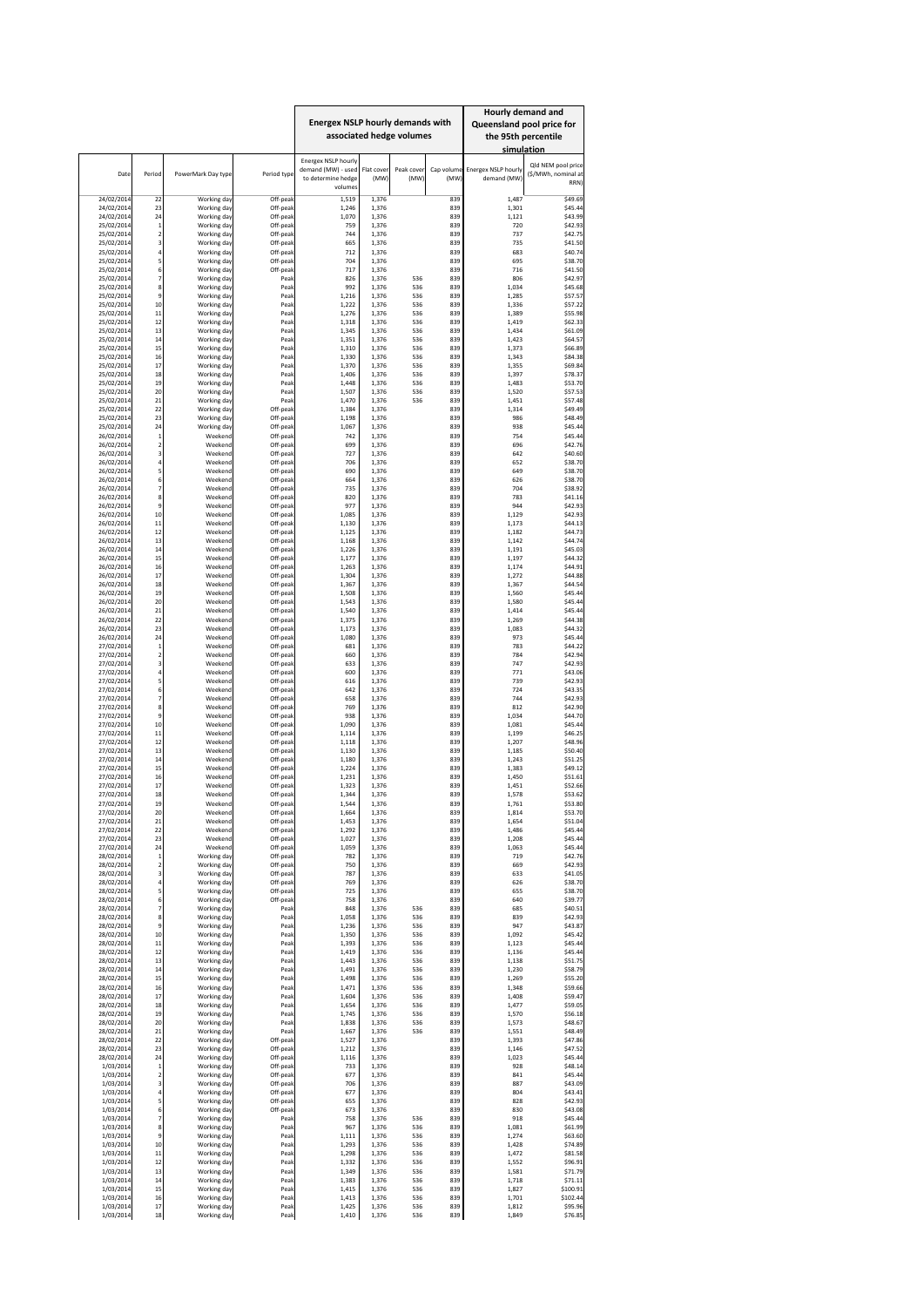|                          |                              |                            |                      |                                                                     |                |            |            | Hourly demand and         |                                    |
|--------------------------|------------------------------|----------------------------|----------------------|---------------------------------------------------------------------|----------------|------------|------------|---------------------------|------------------------------------|
|                          |                              |                            |                      | <b>Energex NSLP hourly demands with</b><br>associated hedge volumes |                |            |            | Queensland pool price for |                                    |
|                          |                              |                            |                      |                                                                     |                |            |            | the 95th percentile       |                                    |
|                          |                              |                            |                      |                                                                     |                |            |            | simulation                |                                    |
|                          |                              |                            |                      | Energex NSLP hourly<br>demand (MW) - used                           | Flat cover     | Peak cover | Cap volume | Energex NSLP hourly       | Qld NEM pool price                 |
| Date                     | Period                       | PowerMark Day type         | Period type          | to determine hedge                                                  | (MW)           | (MW)       | (MW        | demand (MW)               | (\$/MWh, nominal at<br><b>RRN1</b> |
|                          |                              |                            |                      | volume:                                                             |                |            |            |                           |                                    |
| 24/02/2014<br>24/02/2014 | 22<br>23                     | Working day<br>Working day | Off-peak<br>Off-peak | 1,519<br>1,246                                                      | 1,376<br>1,376 |            | 839<br>839 | 1,487<br>1,301            | \$49.69<br>\$45.44                 |
| 24/02/2014               | 24                           | Working day                | Off-peal             | 1,070                                                               | 1,376          |            | 839        | 1,121                     | \$43.99                            |
| 25/02/2014               | -1                           | Working day                | Off-peal             | 759                                                                 | 1,376          |            | 839        | 720                       | \$42.93                            |
| 25/02/2014<br>25/02/2014 | $\overline{2}$<br>3          | Working day<br>Working day | Off-peal<br>Off-peal | 744<br>665                                                          | 1.376<br>1,376 |            | 839<br>839 | 737<br>735                | \$42.75<br>\$41.50                 |
| 25/02/2014               | 4                            | Working day                | Off-peal             | 712                                                                 | 1,376          |            | 839        | 683                       | \$40.74                            |
| 25/02/2014<br>25/02/2014 | 5<br>6                       | Working day<br>Working day | Off-peal<br>Off-peal | 704<br>717                                                          | 1,376<br>1,376 |            | 839<br>839 | 695<br>716                | \$38.70<br>\$41.50                 |
| 25/02/2014               | 7                            | Working day                | Peak                 | 826                                                                 | 1,376          | 536        | 839        | 806                       | \$42.97                            |
| 25/02/2014<br>25/02/2014 | 8<br>9                       | Working day<br>Working day | Peal<br>Peal         | 992<br>1,216                                                        | 1,376<br>1,376 | 536<br>536 | 839<br>839 | 1,034<br>1,285            | \$45.68<br>\$57.57                 |
| 25/02/2014               | 10                           | Working day                | Peak                 | 1,222                                                               | 1,376          | 536        | 839        | 1,336                     | \$57.22                            |
| 25/02/2014               | 11                           | Working day                | Peak                 | 1.276                                                               | 1,376          | 536        | 839        | 1.389                     | \$55.98                            |
| 25/02/2014<br>25/02/2014 | 12<br>13                     | Working day<br>Working day | Peak<br>Peal         | 1,318<br>1,345                                                      | 1,376<br>1,376 | 536<br>536 | 839<br>839 | 1,419<br>1,434            | \$62.33<br>\$61.09                 |
| 25/02/2014               | 14                           | Working day                | Peal                 | 1,351                                                               | 1,376          | 536        | 839        | 1,423                     | \$64.57                            |
| 25/02/2014<br>25/02/2014 | 15<br>16                     | Working day<br>Working day | Peak<br>Peak         | 1.310<br>1,330                                                      | 1.376<br>1,376 | 536<br>536 | 839<br>839 | 1.373<br>1,343            | \$66.89<br>\$84.38                 |
| 25/02/2014               | 17                           | Working day                | Peal                 | 1,370                                                               | 1,376          | 536        | 839        | 1,355                     | \$69.84                            |
| 25/02/2014<br>25/02/2014 | 18<br>19                     | Working day<br>Working day | Peak<br>Peak         | 1,406<br>1.448                                                      | 1,376<br>1.376 | 536<br>536 | 839<br>839 | 1,397<br>1.483            | \$78.37<br>\$53.70                 |
| 25/02/2014               | 20                           | Working day                | Peak                 | 1,507                                                               | 1,376          | 536        | 839        | 1,520                     | \$57.53                            |
| 25/02/2014               | 21                           | Working day                | Pea<br>Off-peal      | 1,470                                                               | 1,376          | 536        | 839<br>839 | 1,451                     | \$57.48                            |
| 25/02/2014<br>25/02/2014 | 22<br>23                     | Working day<br>Working day | Off-peak             | 1,384<br>1,198                                                      | 1,376<br>1,376 |            | 839        | 1,314<br>986              | \$49.49<br>\$48.49                 |
| 25/02/2014               | 24                           | Working day                | Off-peak             | 1,067                                                               | 1,376          |            | 839        | 938                       | \$45.44                            |
| 26/02/2014<br>26/02/2014 | $\mathbf{1}$<br>2            | Weekend<br>Weekend         | Off-peal<br>Off-peak | 742<br>699                                                          | 1,376<br>1,376 |            | 839<br>839 | 754<br>696                | \$45.44<br>\$42.76                 |
| 26/02/2014               | 3                            | Weekend                    | Off-peal             | 727                                                                 | 1,376          |            | 839        | 642                       | \$40.60                            |
| 26/02/2014<br>26/02/2014 | 4<br>5                       | Weekend<br>Weekend         | Off-peal<br>Off-peal | 706<br>690                                                          | 1,376<br>1,376 |            | 839<br>839 | 652<br>649                | \$38.70<br>\$38.70                 |
| 26/02/2014               | 6                            | Weekend                    | Off-peal             | 664                                                                 | 1,376          |            | 839        | 626                       | \$38.70                            |
| 26/02/2014<br>26/02/2014 | 7<br>8                       | Weekend<br>Weekend         | Off-peal<br>Off-peak | 735<br>820                                                          | 1,376<br>1.376 |            | 839<br>839 | 704<br>783                | \$38.92<br>\$41.16                 |
| 26/02/2014               | 9                            | Weekend                    | Off-peak             | 977                                                                 | 1,376          |            | 839        | 944                       | \$42.93                            |
| 26/02/2014               | 10<br>11                     | Weekend<br>Weekend         | Off-peal             | 1,085<br>1,130                                                      | 1,376<br>1,376 |            | 839<br>839 | 1,129<br>1,173            | \$42.93<br>\$44.13                 |
| 26/02/2014<br>26/02/2014 | 12                           | Weekend                    | Off-peak<br>Off-peal | 1.125                                                               | 1.376          |            | 839        | 1.182                     | \$44.73                            |
| 26/02/2014               | 13                           | Weekend                    | Off-peal             | 1,168                                                               | 1,376          |            | 839        | 1,142                     | \$44.74                            |
| 26/02/2014<br>26/02/2014 | 14<br>15                     | Weekend<br>Weekend         | Off-peal<br>Off-peal | 1,226<br>1,177                                                      | 1,376<br>1,376 |            | 839<br>839 | 1,191<br>1,197            | \$45.03<br>\$44.32                 |
| 26/02/2014               | 16                           | Weekend                    | Off-peal             | 1,263                                                               | 1.376          |            | 839        | 1,174                     | \$44.91                            |
| 26/02/2014<br>26/02/2014 | 17<br>18                     | Weekend<br>Weekend         | Off-peak<br>Off-peal | 1,304<br>1,367                                                      | 1,376<br>1,376 |            | 839<br>839 | 1,272<br>1,367            | \$44.88<br>\$44.54                 |
| 26/02/2014               | 19                           | Weekend                    | Off-peak             | 1,508                                                               | 1,376          |            | 839        | 1,560                     | \$45.44                            |
| 26/02/2014<br>26/02/2014 | 20<br>21                     | Weekend<br>Weekend         | Off-peal<br>Off-peal | 1,543<br>1,540                                                      | 1,376<br>1,376 |            | 839<br>839 | 1.580<br>1,414            | \$45.44<br>\$45.44                 |
| 26/02/2014               | 22                           | Weekend                    | Off-peal             | 1,375                                                               | 1,376          |            | 839        | 1,269                     | \$44.38                            |
| 26/02/2014               | 23                           | Weekend                    | Off-peal             | 1,173                                                               | 1,376          |            | 839        | 1,083                     | \$44.32                            |
| 26/02/2014<br>27/02/2014 | 24<br>$\mathbf{1}$           | Weekend<br>Weekend         | Off-peal<br>Off-peak | 1,080<br>681                                                        | 1.376<br>1,376 |            | 839<br>839 | 973<br>783                | \$45.44<br>\$44.22                 |
| 27/02/2014               | 2                            | Weekend                    | Off-peal             | 660                                                                 | 1,376          |            | 839        | 784                       | \$42.94                            |
| 27/02/2014<br>27/02/2014 | 3<br>4                       | Weekend<br>Weekend         | Off-peak<br>Off-peal | 633<br>600                                                          | 1,376<br>1.376 |            | 839<br>839 | 747<br>771                | \$42.93<br>\$43.06                 |
| 27/02/2014               | 5                            | Weekend                    | Off-peal             | 616                                                                 | 1,376          |            | 839        | 739                       | \$42.93                            |
| 27/02/2014<br>27/02/2014 | 6<br>7                       | Weekend<br>Weekend         | Off-peal<br>Off-peal | 642<br>658                                                          | 1,376<br>1,376 |            | 839<br>839 | 724<br>744                | \$43.35<br>\$42.93                 |
| 27/02/2014               | 8                            | Weekend                    | Off-peal             | 769                                                                 | 1,376          |            | 839        | 812                       | \$42.90                            |
| 27/02/2014<br>27/02/2014 | 9                            | Weekend                    | Off-peal             | 938                                                                 | 1,376          |            | 839        | 1.034                     | \$44.70                            |
| 27/02/2014               | 10<br>11                     | Weekend<br>Weekend         | Off-peak<br>Off-peal | 1,090<br>1,114                                                      | 1,376<br>1,376 |            | 839<br>839 | 1,081<br>1,199            | \$45.44<br>\$46.25                 |
| 27/02/2014               | 12                           | Weekend                    | Off-peak             | 1,118                                                               | 1,376          |            | 839        | 1,207                     | \$48.96                            |
| 27/02/2014<br>27/02/2014 | 13<br>14                     | Weekend<br>Weekend         | Off-peal<br>Off-peal | 1.130<br>1,180                                                      | 1,376<br>1,376 |            | 839<br>839 | 1,185<br>1,243            | \$50.40<br>\$51.25                 |
| 27/02/2014               | 15                           | Weekend                    | Off-peal             | 1,224                                                               | 1,376          |            | 839        | 1,383                     | \$49.12                            |
| 27/02/2014<br>27/02/2014 | 16<br>17                     | Weekend<br>Weekend         | Off-peal<br>Off-peal | 1,231<br>1,323                                                      | 1,376<br>1.376 |            | 839<br>839 | 1,450<br>1.451            | \$51.61<br>\$52.66                 |
| 27/02/2014               | 18                           | Weekend                    | Off-peak             | 1,344                                                               | 1,376          |            | 839        | 1,578                     | \$53.62                            |
| 27/02/2014<br>27/02/2014 | 19<br>20                     | Weekend<br>Weekend         | Off-pea<br>Off-peal  | 1,544<br>1,664                                                      | 1,376<br>1,376 |            | 839<br>839 | 1,761<br>1,814            | \$53.80<br>\$53.70                 |
| 27/02/2014               | 21                           | Weekend                    | Off-peal             | 1.453                                                               | 1,376          |            | 839        | 1.654                     | \$51.04                            |
| 27/02/2014<br>27/02/2014 | 22<br>23                     | Weekend<br>Weekend         | Off-peal<br>Off-peal | 1,292<br>1,027                                                      | 1,376<br>1,376 |            | 839<br>839 | 1,486<br>1,208            | \$45.44<br>\$45.44                 |
| 27/02/2014               | 24                           | Weekend                    | Off-peak             | 1,059                                                               | 1,376          |            | 839        | 1,063                     | \$45.44                            |
| 28/02/2014               | $\mathbf{1}$                 | Working day                | Off-peak             | 782                                                                 | 1,376          |            | 839<br>839 | 719                       | \$42.76<br>\$42.93                 |
| 28/02/2014<br>28/02/2014 | $\overline{\mathbf{c}}$<br>3 | Working day<br>Working day | Off-peak<br>Off-peak | 750<br>787                                                          | 1,376<br>1,376 |            | 839        | 669<br>633                | \$41.05                            |
| 28/02/2014               | $\overline{\mathbf{r}}$      | Working day                | Off-peak             | 769                                                                 | 1,376          |            | 839        | 626                       | \$38.70                            |
| 28/02/2014<br>28/02/2014 | 5<br>6                       | Working day<br>Working day | Off-peak<br>Off-peak | 725<br>758                                                          | 1,376<br>1,376 |            | 839<br>839 | 655<br>640                | \$38.70<br>\$39.77                 |
| 28/02/2014               | 7                            | Working day                | Peak                 | 848                                                                 | 1,376          | 536        | 839        | 685                       | \$40.51                            |
| 28/02/2014<br>28/02/2014 | 8<br>9                       | Working day<br>Working day | Peak<br>Peal         | 1,058<br>1,236                                                      | 1,376<br>1,376 | 536<br>536 | 839<br>839 | 839<br>947                | \$42.93<br>\$43.87                 |
| 28/02/2014               | 10                           | Working day                | Peak                 | 1,350                                                               | 1.376          | 536        | 839        | 1.092                     | \$45.42                            |
| 28/02/2014<br>28/02/2014 | 11<br>12                     | Working day<br>Working day | Peak<br>Peak         | 1,393<br>1,419                                                      | 1,376<br>1,376 | 536<br>536 | 839<br>839 | 1,123<br>1,136            | \$45.44<br>\$45.44                 |
| 28/02/2014               | 13                           | Working day                | Peak                 | 1,443                                                               | 1,376          | 536        | 839        | 1,138                     | \$51.75                            |
| 28/02/2014<br>28/02/2014 | 14<br>15                     | Working day<br>Working day | Peak<br>Peal         | 1.491<br>1,498                                                      | 1,376<br>1,376 | 536<br>536 | 839<br>839 | 1.230<br>1,269            | \$58.79<br>\$55.20                 |
| 28/02/2014               | 16                           | Working day                | Peal                 | 1,471                                                               | 1,376          | 536        | 839        | 1,348                     | \$59.66                            |
| 28/02/2014               | 17                           | Working day                | Peal                 | 1,604                                                               | 1,376          | 536        | 839        | 1,408                     | \$59.47                            |
| 28/02/2014<br>28/02/2014 | 18<br>19                     | Working day<br>Working day | Peak<br>Peak         | 1,654<br>1,745                                                      | 1,376<br>1,376 | 536<br>536 | 839<br>839 | 1.477<br>1,570            | \$59.05<br>\$56.18                 |
| 28/02/2014               | 20                           | Working day                | Peak                 | 1,838                                                               | 1,376          | 536        | 839        | 1,573                     | \$48.67                            |
| 28/02/2014<br>28/02/2014 | 21<br>22                     | Working day<br>Working day | Peak<br>Off-peak     | 1,667<br>1,527                                                      | 1,376<br>1,376 | 536        | 839<br>839 | 1,551<br>1,393            | \$48.49<br>\$47.86                 |
| 28/02/2014               | 23                           | Working day                | Off-peak             | 1,212                                                               | 1,376          |            | 839        | 1,146                     | \$47.52                            |
| 28/02/2014<br>1/03/2014  | 24<br>$\mathbf{1}$           | Working day<br>Working day | Off-peal<br>Off-peak | 1,116<br>733                                                        | 1,376<br>1,376 |            | 839<br>839 | 1,023<br>928              | \$45.44<br>\$48.14                 |
| 1/03/2014                | $\overline{\mathbf{c}}$      | Working day                | Off-peak             | 677                                                                 | 1.376          |            | 839        | 841                       | \$45.44                            |
| 1/03/2014                | 3                            | Working day                | Off-peak             | 706<br>677                                                          | 1,376          |            | 839<br>839 | 887<br>804                | \$43.09                            |
| 1/03/2014<br>1/03/2014   | 4<br>5                       | Working day<br>Working day | Off-peak<br>Off-peak | 655                                                                 | 1,376<br>1,376 |            | 839        | 828                       | \$43.41<br>\$42.93                 |
| 1/03/2014                | 6                            | Working day                | Off-peak             | 673                                                                 | 1,376          |            | 839        | 830                       | \$43.08                            |
| 1/03/2014<br>1/03/2014   | $\overline{7}$<br>8          | Working day<br>Working day | Peak<br>Peak         | 758<br>967                                                          | 1,376<br>1,376 | 536<br>536 | 839<br>839 | 918<br>1,081              | \$45.44<br>\$61.99                 |
| 1/03/2014                | 9                            | Working day                | Peal                 | 1,111                                                               | 1,376          | 536        | 839        | 1,274                     | \$63.60                            |
| 1/03/2014<br>1/03/2014   | 10<br>11                     | Working day<br>Working day | Peal<br>Peak         | 1,293<br>1,298                                                      | 1,376<br>1,376 | 536<br>536 | 839<br>839 | 1,428<br>1,472            | \$74.89<br>\$81.58                 |
| 1/03/2014                | 12                           | Working day                | Peak                 | 1,332                                                               | 1,376          | 536        | 839        | 1,552                     | \$96.91                            |
| 1/03/2014<br>1/03/2014   | 13<br>14                     | Working day<br>Working day | Peak<br>Peak         | 1,349<br>1,383                                                      | 1,376<br>1,376 | 536<br>536 | 839<br>839 | 1,581<br>1,718            | \$71.79<br>\$71.11                 |
| 1/03/2014                | 15                           | Working day                | Peak                 | 1,415                                                               | 1,376          | 536        | 839        | 1,827                     | \$100.91                           |
| 1/03/2014<br>1/03/2014   | 16<br>17                     | Working day<br>Working day | Peak<br>Peak         | 1,413<br>1,425                                                      | 1,376<br>1,376 | 536<br>536 | 839<br>839 | 1,701<br>1,812            | \$102.44<br>\$95.96                |
| 1/03/2014                | 18                           | Working day                | Peal                 | 1,410                                                               | 1,376          | 536        | 839        | 1,849                     | \$76.85                            |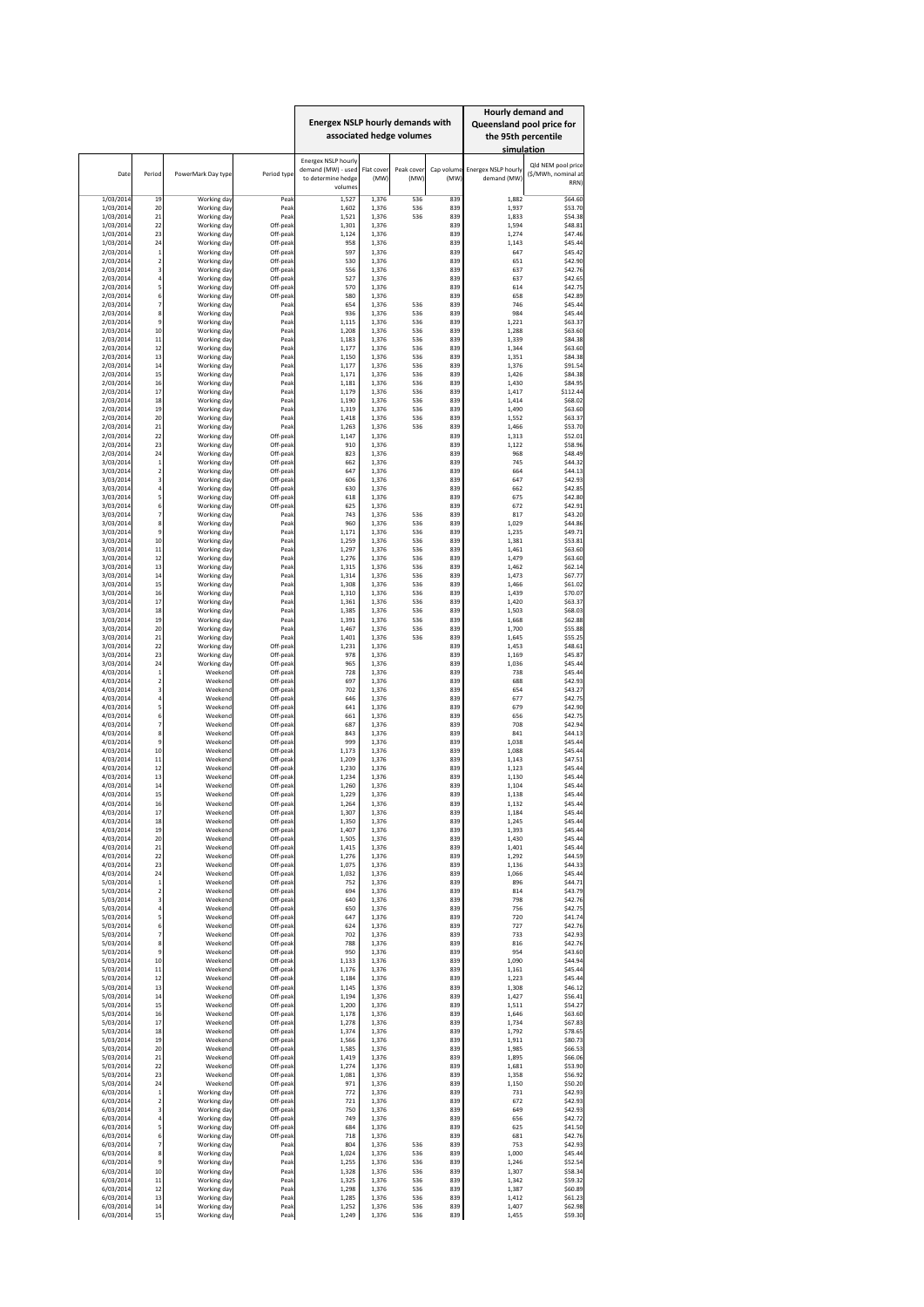|                        |                              |                            |                      |                                           |                |                          |            |                     | Hourly demand and           |
|------------------------|------------------------------|----------------------------|----------------------|-------------------------------------------|----------------|--------------------------|------------|---------------------|-----------------------------|
|                        |                              |                            |                      | <b>Energex NSLP hourly demands with</b>   |                |                          |            |                     | Queensland pool price for   |
|                        |                              |                            |                      |                                           |                | associated hedge volumes |            |                     | the 95th percentile         |
|                        |                              |                            |                      |                                           |                |                          |            |                     | <b>simulation</b>           |
|                        |                              |                            |                      | Energex NSLP hourly<br>demand (MW) - used | Flat cover     | Peak cover               | Cap volume | Energex NSLP hourly | Qld NEM pool price          |
| Date                   | Period                       | PowerMark Day type         | Period type          | to determine hedge                        | (MW)           | (MW)                     | (MW)       | demand (MW)         | (\$/MWh, nominal at<br>RRN) |
| 1/03/2014              | 19                           | Working day                | Peal                 | volumes<br>1.527                          | 1,376          | 536                      | 839        | 1,882               | \$64.60                     |
| 1/03/2014              | 20                           | Working day                | Peak                 | 1,602                                     | 1,376          | 536                      | 839        | 1,937               | \$53.70                     |
| 1/03/2014<br>1/03/2014 | 21<br>22                     | Working day<br>Working day | Peal<br>Off-peal     | 1,521<br>1.301                            | 1,376<br>1.376 | 536                      | 839<br>839 | 1,833<br>1,594      | \$54.38<br>\$48.81          |
| 1/03/2014              | 23                           | Working day                | Off-peal             | 1,124                                     | 1,376          |                          | 839        | 1,274               | \$47.46                     |
| 1/03/2014<br>2/03/2014 | 24<br>$\mathbf{1}$           | Working day<br>Working day | Off-peal<br>Off-peal | 958<br>597                                | 1,376<br>1,376 |                          | 839<br>839 | 1,143<br>647        | \$45.44<br>\$45.42          |
| 2/03/2014              | $\overline{2}$               | Working day                | Off-peal             | 530                                       | 1.376          |                          | 839        | 651                 | \$42.90                     |
| 2/03/2014<br>2/03/2014 | 3<br>4                       | Working day<br>Working day | Off-peal<br>Off-peal | 556<br>527                                | 1,376<br>1,376 |                          | 839<br>839 | 637<br>637          | \$42.76<br>\$42.65          |
| 2/03/2014              | 5                            | Working day                | Off-peak             | 570                                       | 1,376          |                          | 839        | 614                 | \$42.7                      |
| 2/03/2014<br>2/03/2014 | 6<br>$\overline{7}$          | Working day<br>Working day | Off-peak<br>Peal     | 580<br>654                                | 1,376<br>1.376 | 536                      | 839<br>839 | 658<br>746          | \$42.89<br>\$45.44          |
| 2/03/2014              | 8                            | Working day                | Peak                 | 936                                       | 1,376          | 536                      | 839        | 984                 | \$45.44                     |
| 2/03/2014<br>2/03/2014 | 9<br>10                      | Working day<br>Working day | Peak<br>Peak         | 1,115<br>1,208                            | 1,376<br>1,376 | 536<br>536               | 839<br>839 | 1,221<br>1,288      | \$63.37<br>\$63.60          |
| 2/03/2014              | 11                           | Working day                | Peak                 | 1.183                                     | 1,376          | 536                      | 839        | 1,339               | \$84.38                     |
| 2/03/2014<br>2/03/2014 | 12<br>13                     | Working day<br>Working day | Peal<br>Peak         | 1,177<br>1,150                            | 1,376<br>1,376 | 536<br>536               | 839<br>839 | 1,344<br>1,351      | \$63.60<br>\$84.38          |
| 2/03/2014              | 14                           | Working day                | Peal                 | 1,177                                     | 1,376          | 536                      | 839        | 1,376               | \$91.54                     |
| 2/03/2014<br>2/03/2014 | 15<br>16                     | Working day<br>Working day | Peal<br>Peak         | 1.171<br>1,181                            | 1.376<br>1,376 | 536<br>536               | 839<br>839 | 1,426<br>1,430      | \$84.38<br>\$84.95          |
| 2/03/2014              | 17                           | Working day                | Peal                 | 1,179                                     | 1,376          | 536                      | 839        | 1,417               | \$112.44                    |
| 2/03/2014<br>2/03/2014 | 18<br>19                     | Working day<br>Working day | Peak<br>Peal         | 1,190<br>1.319                            | 1,376<br>1.376 | 536<br>536               | 839<br>839 | 1,414<br>1.490      | \$68.02<br>\$63.60          |
| 2/03/2014              | 20                           | Working day                | Peal                 | 1,418                                     | 1,376          | 536                      | 839        | 1,552               | \$63.37                     |
| 2/03/2014              | 21<br>22                     | Working day                | Peak<br>Off-peak     | 1,263<br>1,147                            | 1,376<br>1,376 | 536                      | 839<br>839 | 1,466               | \$53.70<br>\$52.01          |
| 2/03/2014<br>2/03/2014 | 23                           | Working day<br>Working day | Off-peak             | 910                                       | 1,376          |                          | 839        | 1,313<br>1,122      | \$58.96                     |
| 2/03/2014<br>3/03/2014 | 24<br>$\mathbf 1$            | Working day<br>Working day | Off-peak<br>Off-peak | 823<br>662                                | 1,376<br>1,376 |                          | 839<br>839 | 968<br>745          | \$48.49<br>\$44.32          |
| 3/03/2014              | $\overline{\mathbf{c}}$      | Working day                | Off-peak             | 647                                       | 1,376          |                          | 839        | 664                 | \$44.13                     |
| 3/03/2014<br>3/03/2014 | $\overline{\mathbf{3}}$<br>4 | Working day<br>Working day | Off-peak<br>Off-peak | 606<br>630                                | 1,376<br>1,376 |                          | 839<br>839 | 647<br>662          | \$42.93<br>\$42.85          |
| 3/03/2014              | 5                            | Working day                | Off-peak             | 618                                       | 1,376          |                          | 839        | 675                 | \$42.80                     |
| 3/03/2014              | 6<br>$\overline{7}$          | Working day                | Off-peal             | 625                                       | 1,376          | 536                      | 839<br>839 | 672                 | \$42.91                     |
| 3/03/2014<br>3/03/2014 | 8                            | Working day<br>Working day | Peal<br>Peal         | 743<br>960                                | 1,376<br>1.376 | 536                      | 839        | 817<br>1,029        | \$43.20<br>\$44.86          |
| 3/03/2014<br>3/03/2014 | 9<br>10                      | Working day<br>Working day | Peal<br>Peal         | 1,171<br>1,259                            | 1,376<br>1,376 | 536<br>536               | 839<br>839 | 1,235<br>1,381      | \$49.71<br>\$53.81          |
| 3/03/2014              | 11                           | Working day                | Peal                 | 1,297                                     | 1,376          | 536                      | 839        | 1,461               | \$63.60                     |
| 3/03/2014              | 12<br>13                     | Working day                | Peal<br>Peal         | 1.276                                     | 1.376          | 536<br>536               | 839<br>839 | 1,479               | \$63.60                     |
| 3/03/2014<br>3/03/2014 | 14                           | Working day<br>Working day | Peal                 | 1,315<br>1,314                            | 1,376<br>1,376 | 536                      | 839        | 1,462<br>1,473      | \$62.14<br>\$67.77          |
| 3/03/2014<br>3/03/2014 | 15<br>16                     | Working day<br>Working day | Peal<br>Peal         | 1,308<br>1,310                            | 1,376<br>1.376 | 536<br>536               | 839<br>839 | 1,466<br>1,439      | \$61.02<br>\$70.07          |
| 3/03/2014              | 17                           | Working day                | Peak                 | 1,361                                     | 1,376          | 536                      | 839        | 1,420               | \$63.37                     |
| 3/03/2014              | 18<br>19                     | Working day                | Peak<br>Peak         | 1,385<br>1,391                            | 1,376<br>1,376 | 536<br>536               | 839<br>839 | 1,503<br>1,668      | \$68.03<br>\$62.88          |
| 3/03/2014<br>3/03/2014 | 20                           | Working day<br>Working day | Peal                 | 1.467                                     | 1.376          | 536                      | 839        | 1.700               | \$55.88                     |
| 3/03/2014<br>3/03/2014 | $\overline{21}$<br>22        | Working day<br>Working day | Peak<br>Off-peal     | 1,401<br>1,231                            | 1,376<br>1,376 | 536                      | 839<br>839 | 1,645<br>1,453      | \$55.25<br>\$48.61          |
| 3/03/2014              | 23                           | Working day                | Off-peal             | 978                                       | 1,376          |                          | 839        | 1,169               | \$45.87                     |
| 3/03/2014<br>4/03/2014 | 24<br>$\mathbf{1}$           | Working day<br>Weekend     | Off-peal<br>Off-peal | 965<br>728                                | 1.376<br>1,376 |                          | 839<br>839 | 1,036<br>738        | \$45.44<br>\$45.44          |
| 4/03/2014              | $\overline{\mathbf{c}}$      | Weekend                    | Off-peak             | 697                                       | 1,376          |                          | 839        | 688                 | \$42.93                     |
| 4/03/2014<br>4/03/2014 | 3<br>4                       | Weekend<br>Weekend         | Off-peak<br>Off-peal | 702<br>646                                | 1,376<br>1,376 |                          | 839<br>839 | 654<br>677          | \$43.27<br>\$42.75          |
| 4/03/2014              | 5                            | Weekend                    | Off-peal             | 641                                       | 1.376          |                          | 839        | 679                 | \$42.90                     |
| 4/03/2014<br>4/03/2014 | 6<br>7                       | Weekend<br>Weekend         | Off-peal<br>Off-peak | 661<br>687                                | 1,376<br>1,376 |                          | 839<br>839 | 656<br>708          | \$42.75<br>\$42.94          |
| 4/03/2014              | 8                            | Weekend                    | Off-peak             | 843                                       | 1,376          |                          | 839        | 841                 | \$44.13                     |
| 4/03/2014<br>4/03/2014 | 9<br>10                      | Weekend<br>Weekend         | Off-peak<br>Off-peak | 999<br>1,173                              | 1,376<br>1,376 |                          | 839<br>839 | 1,038<br>1,088      | \$45.44<br>\$45.44          |
| 4/03/2014              | 11                           | Weekend                    | Off-peak             | 1,209                                     | 1,376          |                          | 839        | 1,143               | \$47.51                     |
| 4/03/2014<br>4/03/2014 | 12<br>13                     | Weekend<br>Weekend         | Off-peal<br>Off-peak | 1,230<br>1.234                            | 1,376<br>1.376 |                          | 839<br>839 | 1,123<br>1.130      | \$45.44<br>\$45.44          |
| 4/03/2014              | 14                           | Weekend                    | Off-peak             | 1,260                                     | 1,376          |                          | 839        | 1,104               | \$45.44                     |
| 4/03/2014<br>4/03/2014 | 15<br>16                     | Weekend<br>Weekend         | Off-peak<br>Off-peak | 1,229<br>1,264                            | 1,376<br>1,376 |                          | 839<br>839 | 1,138<br>1,132      | \$45.44<br>\$45.44          |
| 4/03/2014              | 17                           | Weekend                    | Off-peal             | 1.307                                     | 1.376          |                          | 839        | 1.184               | \$45.44                     |
| 4/03/2014<br>4/03/2014 | 18<br>19                     | Weekend<br>Weekend         | Off-peak<br>Off-peak | 1,350<br>1,407                            | 1,376<br>1,376 |                          | 839<br>839 | 1,245<br>1,393      | \$45.44<br>\$45.44          |
| 4/03/2014              | 20                           | Weekend                    | Off-peak             | 1,505                                     | 1,376          |                          | 839        | 1,430               | \$45.44                     |
| 4/03/2014<br>4/03/2014 | 21<br>22                     | Weekend<br>Weekend         | Off-peal<br>Off-peak | 1.415<br>1,276                            | 1.376<br>1,376 |                          | 839<br>839 | 1.401<br>1,292      | \$45.44<br>\$44.59          |
| 4/03/2014              | 23                           | Weekend                    | Off-peak             | 1,075                                     | 1,376          |                          | 839        | 1,136               | \$44.33                     |
| 4/03/2014<br>5/03/2014 | 24<br>1                      | Weekend<br>Weekend         | Off-peak<br>Off-peak | 1,032<br>752                              | 1,376<br>1,376 |                          | 839<br>839 | 1,066<br>896        | \$45.44<br>\$44.71          |
| 5/03/2014              | $\overline{2}$               | Weekend                    | Off-peak             | 694                                       | 1.376          |                          | 839        | 814                 | \$43.79                     |
| 5/03/2014<br>5/03/2014 | 3<br>4                       | Weekend<br>Weekend         | Off-peak<br>Off-peak | 640<br>650                                | 1,376<br>1,376 |                          | 839<br>839 | 798<br>756          | \$42.76<br>\$42.75          |
| 5/03/2014              | 5                            | Weekend                    | Off-peak             | 647                                       | 1,376          |                          | 839        | 720                 | \$41.74                     |
| 5/03/2014<br>5/03/2014 | 6<br>7                       | Weekend<br>Weekend         | Off-peak<br>Off-peak | 624<br>702                                | 1.376<br>1,376 |                          | 839<br>839 | 727<br>733          | \$42.76<br>\$42.93          |
| 5/03/2014              | 8                            | Weekend                    | Off-peak             | 788                                       | 1,376          |                          | 839        | 816                 | \$42.76                     |
| 5/03/2014<br>5/03/2014 | q<br>10                      | Weekend<br>Weekend         | Off-peak<br>Off-peak | 950<br>1.133                              | 1,376<br>1.376 |                          | 839<br>839 | 954<br>1.090        | \$43.60<br>\$44.94          |
| 5/03/2014              | 11                           | Weekend                    | Off-peak             | 1,176                                     | 1,376          |                          | 839        | 1,161               | \$45.44                     |
| 5/03/2014<br>5/03/2014 | 12<br>13                     | Weekend<br>Weekend         | Off-peak<br>Off-peak | 1,184<br>1,145                            | 1,376<br>1,376 |                          | 839<br>839 | 1,223<br>1,308      | \$45.44<br>\$46.12          |
| 5/03/2014              | 14                           | Weekend                    | Off-peak             | 1.194                                     | 1.376          |                          | 839        | 1.427               | \$56.41                     |
| 5/03/2014<br>5/03/2014 | 15<br>16                     | Weekend<br>Weekend         | Off-peak<br>Off-peak | 1,200<br>1,178                            | 1,376<br>1,376 |                          | 839<br>839 | 1,511<br>1,646      | \$54.27<br>\$63.60          |
| 5/03/2014              | 17                           | Weekend                    | Off-peak             | 1,278                                     | 1,376          |                          | 839        | 1,734               | \$67.83                     |
| 5/03/2014<br>5/03/2014 | 18<br>19                     | Weekend<br>Weekend         | Off-peak<br>Off-peak | 1,374<br>1,566                            | 1.376<br>1,376 |                          | 839<br>839 | 1,792<br>1,911      | \$78.65<br>\$80.73          |
| 5/03/2014              | 20                           | Weekend                    | Off-peak             | 1,585                                     | 1,376          |                          | 839        | 1,985               | \$66.53                     |
| 5/03/2014<br>5/03/2014 | 21<br>22                     | Weekend<br>Weekend         | Off-peak<br>Off-peak | 1,419<br>1.274                            | 1,376<br>1.376 |                          | 839<br>839 | 1,895<br>1.681      | \$66.06<br>\$53.90          |
| 5/03/2014              | 23                           | Weekend                    | Off-peak             | 1,081                                     | 1,376          |                          | 839        | 1,358               | \$56.92                     |
| 5/03/2014<br>6/03/2014 | 24<br>$\mathbf{1}$           | Weekend<br>Working day     | Off-peak<br>Off-peal | 971<br>772                                | 1,376<br>1,376 |                          | 839<br>839 | 1,150<br>731        | \$50.20<br>\$42.93          |
| 6/03/2014              | $\overline{\mathbf{2}}$      | Working day                | Off-peak             | 721                                       | 1,376          |                          | 839        | 672                 | \$42.93                     |
| 6/03/2014<br>6/03/2014 | $\overline{\mathbf{3}}$<br>4 | Working day<br>Working day | Off-peal<br>Off-peak | 750<br>749                                | 1.376<br>1,376 |                          | 839<br>839 | 649<br>656          | \$42.93<br>\$42.72          |
| 6/03/2014              | 5                            | Working day                | Off-peak             | 684                                       | 1,376          |                          | 839        | 625                 | \$41.50                     |
| 6/03/2014<br>6/03/2014 | 6<br>$\overline{7}$          | Working day<br>Working day | Off-peak<br>Peal     | 718<br>804                                | 1,376<br>1.376 | 536                      | 839<br>839 | 681<br>753          | \$42.76<br>\$42.93          |
| 6/03/2014              | 8                            | Working day                | Peal                 | 1,024                                     | 1,376          | 536                      | 839        | 1,000               | \$45.44                     |
| 6/03/2014<br>6/03/2014 | 9<br>10                      | Working day<br>Working day | Peal<br>Peal         | 1,255<br>1,328                            | 1,376<br>1,376 | 536<br>536               | 839<br>839 | 1,246<br>1,307      | \$52.54<br>\$58.34          |
| 6/03/2014              | 11                           | Working day                | Peak                 | 1.325                                     | 1.376          | 536                      | 839        | 1,342               | \$59.32                     |
| 6/03/2014<br>6/03/2014 | 12<br>13                     | Working day<br>Working day | Peak<br>Peak         | 1,298<br>1,285                            | 1,376<br>1,376 | 536<br>536               | 839<br>839 | 1,387<br>1,412      | \$60.89<br>\$61.23          |
| 6/03/2014              | 14                           | Working day                | Peak                 | 1,252                                     | 1,376          | 536                      | 839        | 1,407               | \$62.98                     |
| 6/03/2014              | 15                           | Working day                | Peak                 | 1,249                                     | 1,376          | 536                      | 839        | 1,455               | \$59.30                     |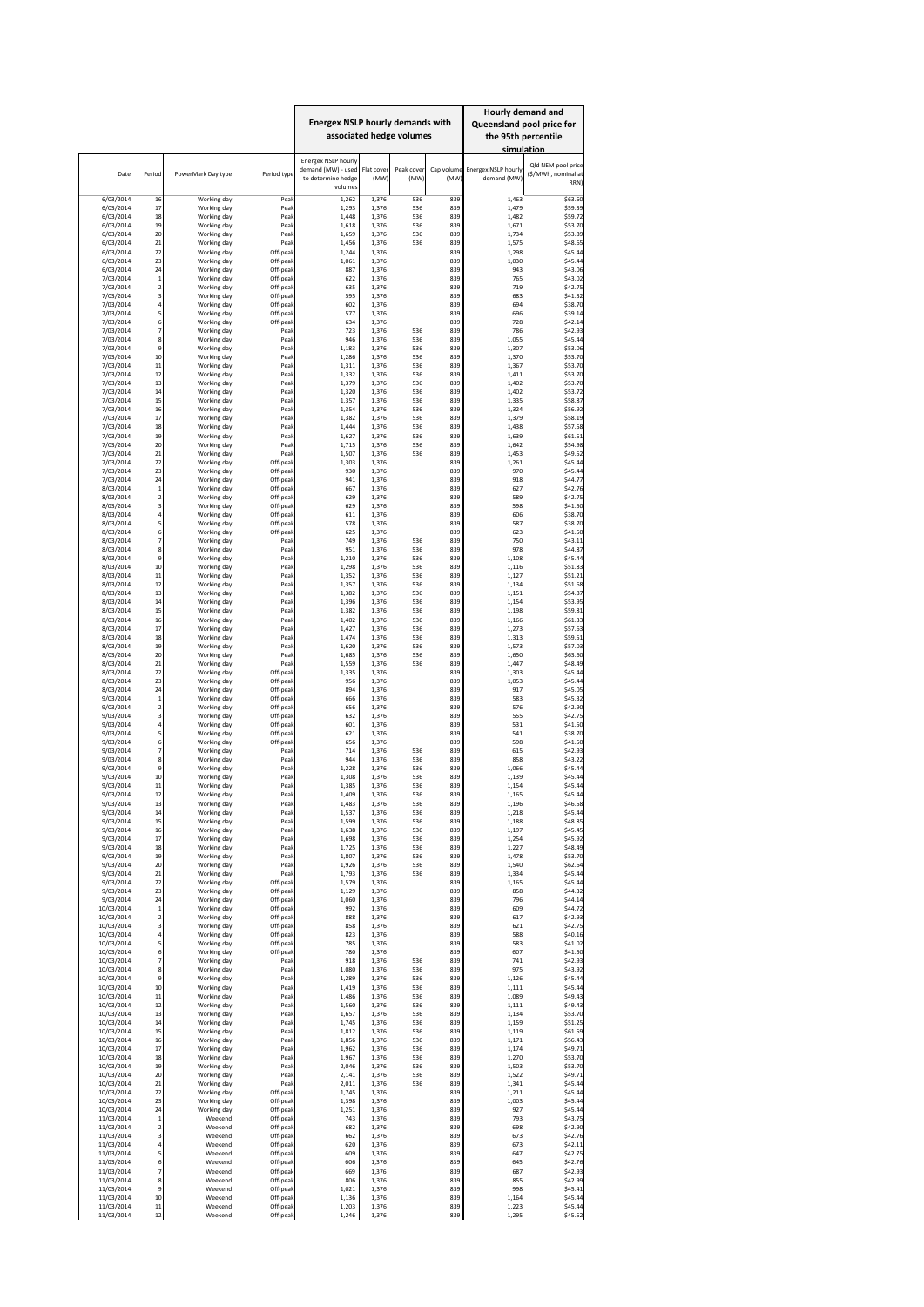|                          |                               |                            |                      |                                         |                |                          |            | Hourly demand and   |                                           |
|--------------------------|-------------------------------|----------------------------|----------------------|-----------------------------------------|----------------|--------------------------|------------|---------------------|-------------------------------------------|
|                          |                               |                            |                      | <b>Energex NSLP hourly demands with</b> |                |                          |            |                     | Queensland pool price for                 |
|                          |                               |                            |                      |                                         |                | associated hedge volumes |            | the 95th percentile |                                           |
|                          |                               |                            |                      | Energex NSLP hourly                     |                |                          |            | simulation          |                                           |
| Date                     | Period                        | PowerMark Day type         | Period type          | demand (MW) - used                      | Flat cover     | Peak cover               | Cap volume | Energex NSLP hourly | Qld NEM pool price<br>(\$/MWh, nominal at |
|                          |                               |                            |                      | to determine hedge<br>volumes           | (MW)           | (MW)                     | (MW        | demand (MW)         | RRN)                                      |
| 6/03/2014                | 16                            | Working day                | Peal                 | 1,262                                   | 1,376          | 536                      | 839        | 1,463               | \$63.60                                   |
| 6/03/2014                | 17<br>18                      | Working day                | Peal<br>Peak         | 1,293<br>1.448                          | 1,376<br>1.376 | 536<br>536               | 839<br>839 | 1,479<br>1,482      | \$59.39<br>\$59.72                        |
| 6/03/2014<br>6/03/2014   | 19                            | Working day<br>Working day | Peak                 | 1,618                                   | 1,376          | 536                      | 839        | 1,671               | \$53.70                                   |
| 6/03/2014                | 20<br>21                      | Working day                | Peak<br>Peak         | 1,659                                   | 1,376          | 536<br>536               | 839<br>839 | 1,734               | \$53.89<br>\$48.65                        |
| 6/03/2014<br>6/03/2014   | $\overline{22}$               | Working day<br>Working day | Off-peak             | 1,456<br>1.244                          | 1,376<br>1.376 |                          | 839        | 1,575<br>1.298      | \$45.44                                   |
| 6/03/2014<br>6/03/2014   | 23                            | Working day                | Off-peal<br>Off-peal | 1,061                                   | 1,376          |                          | 839<br>839 | 1,030               | \$45.44                                   |
| 7/03/2014                | 24<br>$\mathbf{1}$            | Working day<br>Working day | Off-peal             | 887<br>622                              | 1,376<br>1,376 |                          | 839        | 943<br>765          | \$43.06<br>\$43.02                        |
| 7/03/2014                | $\overline{2}$<br>3           | Working day<br>Working day | Off-peak             | 635<br>595                              | 1.376          |                          | 839<br>839 | 719<br>683          | \$42.75                                   |
| 7/03/2014<br>7/03/2014   | $\overline{\mathbf{r}}$       | Working day                | Off-peak<br>Off-peak | 602                                     | 1,376<br>1,376 |                          | 839        | 694                 | \$41.32<br>\$38.70                        |
| 7/03/2014                | 5                             | Working day                | Off-peak             | 577                                     | 1,376          |                          | 839        | 696                 | \$39.14                                   |
| 7/03/2014<br>7/03/2014   | 6<br>$\overline{7}$           | Working day<br>Working day | Off-peak<br>Peak     | 634<br>723                              | 1,376<br>1,376 | 536                      | 839<br>839 | 728<br>786          | \$42.14<br>\$42.93                        |
| 7/03/2014                | $\bf8$                        | Working day                | Peak                 | 946                                     | 1,376          | 536                      | 839        | 1,055               | \$45.44                                   |
| 7/03/2014<br>7/03/2014   | 9<br>10                       | Working day<br>Working day | Peal<br>Peal         | 1,183<br>1,286                          | 1,376<br>1,376 | 536<br>536               | 839<br>839 | 1,307<br>1,370      | \$53.06<br>\$53.70                        |
| 7/03/2014                | 11                            | Working day                | Peak                 | 1.311                                   | 1.376          | 536                      | 839        | 1,367               | \$53.70                                   |
| 7/03/2014<br>7/03/2014   | 12<br>13                      | Working day<br>Working day | Peak<br>Peal         | 1,332<br>1,379                          | 1,376<br>1,376 | 536<br>536               | 839<br>839 | 1,411<br>1,402      | \$53.70<br>\$53.70                        |
| 7/03/2014                | 14                            | Working day                | Peak                 | 1,320                                   | 1,376          | 536                      | 839        | 1,402               | \$53.72                                   |
| 7/03/2014<br>7/03/2014   | 15<br>16                      | Working day<br>Working day | Peak<br>Peal         | 1.357<br>1,354                          | 1.376<br>1,376 | 536<br>536               | 839<br>839 | 1,335<br>1,324      | \$58.87<br>\$56.92                        |
| 7/03/2014                | 17                            | Working day                | Peal                 | 1,382                                   | 1,376          | 536                      | 839        | 1,379               | \$58.19                                   |
| 7/03/2014<br>7/03/2014   | 18<br>19                      | Working day<br>Working day | Peal<br>Peak         | 1,444<br>1.627                          | 1,376<br>1.376 | 536<br>536               | 839<br>839 | 1,438<br>1,639      | \$57.58<br>\$61.51                        |
| 7/03/2014                | 20                            | Working day                | Peak                 | 1,715                                   | 1,376          | 536                      | 839        | 1,642               | \$54.98                                   |
| 7/03/2014<br>7/03/2014   | 21<br>22                      | Working day<br>Working day | Peak<br>Off-peak     | 1,507<br>1,303                          | 1,376<br>1,376 | 536                      | 839<br>839 | 1,453<br>1,261      | \$49.52<br>\$45.44                        |
| 7/03/2014                | 23                            | Working day                | Off-peak             | 930                                     | 1.376          |                          | 839        | 970                 | \$45.44                                   |
| 7/03/2014<br>8/03/2014   | 24<br>$\,$ 1                  | Working day<br>Working day | Off-peak<br>Off-peal | 941<br>667                              | 1,376<br>1,376 |                          | 839<br>839 | 918<br>627          | \$44.77<br>\$42.76                        |
| 8/03/2014                | $\overline{2}$                | Working day                | Off-peal             | 629                                     | 1,376          |                          | 839        | 589                 | \$42.7                                    |
| 8/03/2014<br>8/03/2014   | 3<br>$\overline{\mathbf{a}}$  | Working day<br>Working day | Off-peal<br>Off-peak | 629<br>611                              | 1,376<br>1.376 |                          | 839<br>839 | 598<br>606          | \$41.50<br>\$38.70                        |
| 8/03/2014                | 5                             | Working day                | Off-peak             | 578                                     | 1,376          |                          | 839        | 587                 | \$38.70                                   |
| 8/03/2014<br>8/03/2014   | 6<br>7                        | Working day                | Off-peak<br>Peal     | 625<br>749                              | 1,376<br>1,376 | 536                      | 839<br>839 | 623<br>750          | \$41.50<br>\$43.11                        |
| 8/03/2014                | 8                             | Working day<br>Working day | Peak                 | 951                                     | 1.376          | 536                      | 839        | 978                 | \$44.87                                   |
| 8/03/2014                | 9                             | Working day                | Peak                 | 1,210                                   | 1,376          | 536                      | 839        | 1,108               | \$45.44                                   |
| 8/03/2014<br>8/03/2014   | 10<br>$11\,$                  | Working day<br>Working day | Peal<br>Peal         | 1,298<br>1,352                          | 1,376<br>1,376 | 536<br>536               | 839<br>839 | 1,116<br>1,127      | \$51.8<br>\$51.21                         |
| 8/03/2014                | 12                            | Working day                | Peak                 | 1.357                                   | 1.376          | 536                      | 839        | 1,134               | \$51.68                                   |
| 8/03/2014<br>8/03/2014   | 13<br>14                      | Working day<br>Working day | Peak<br>Peak         | 1,382<br>1,396                          | 1,376<br>1,376 | 536<br>536               | 839<br>839 | 1,151<br>1,154      | \$54.87<br>\$53.95                        |
| 8/03/2014                | 15                            | Working day                | Peak                 | 1,382                                   | 1,376          | 536                      | 839        | 1,198               | \$59.81                                   |
| 8/03/2014<br>8/03/2014   | 16<br>17                      | Working day<br>Working day | Peak<br>Peak         | 1.402<br>1,427                          | 1,376<br>1,376 | 536<br>536               | 839<br>839 | 1.166<br>1,273      | \$61.33<br>\$57.63                        |
| 8/03/2014                | 18                            | Working day                | Peak                 | 1,474                                   | 1,376          | 536                      | 839        | 1,313               | \$59.5                                    |
| 8/03/2014<br>8/03/2014   | 19<br>20                      | Working day<br>Working day | Peal<br>Peak         | 1,620<br>1.685                          | 1,376<br>1.376 | 536<br>536               | 839<br>839 | 1,573<br>1.650      | \$57.03<br>\$63.60                        |
| 8/03/2014                | 21                            | Working day                | Peak                 | 1,559                                   | 1,376          | 536                      | 839        | 1,447               | \$48.49                                   |
| 8/03/2014<br>8/03/2014   | 22<br>23                      | Working day<br>Working day | Off-peak<br>Off-peak | 1,335<br>956                            | 1,376<br>1,376 |                          | 839<br>839 | 1,303<br>1,053      | \$45.44<br>\$45.44                        |
| 8/03/2014                | 24                            | Working day                | Off-peak             | 894                                     | 1,376          |                          | 839        | 917                 | \$45.05                                   |
| 9/03/2014<br>9/03/2014   | $\mathbf{1}$<br>$\mathbf 2$   | Working day<br>Working day | Off-peal<br>Off-peak | 666<br>656                              | 1.376<br>1,376 |                          | 839<br>839 | 583<br>576          | \$45.32<br>\$42.90                        |
| 9/03/2014                | 3                             | Working day                | Off-peal             | 632                                     | 1,376          |                          | 839        | 555                 | \$42.7                                    |
| 9/03/2014<br>9/03/2014   | $\overline{\mathbf{r}}$<br>5  | Working day<br>Working day | Off-peak<br>Off-peak | 601<br>621                              | 1,376<br>1.376 |                          | 839<br>839 | 531<br>541          | \$41.50<br>\$38.70                        |
| 9/03/2014                | 6                             | Working day                | Off-peak             | 656                                     | 1,376          |                          | 839        | 598                 | \$41.50                                   |
| 9/03/2014<br>9/03/2014   | $\overline{7}$<br>$\bf8$      | Working day<br>Working day | Peal<br>Peak         | 714<br>944                              | 1,376<br>1,376 | 536<br>536               | 839<br>839 | 615<br>858          | \$42.93<br>\$43.22                        |
| 9/03/2014                | 9                             | Working day                | Peak                 | 1.228                                   | 1,376          | 536                      | 839        | 1.066               | \$45.44                                   |
| 9/03/2014<br>9/03/2014   | 10<br>11                      | Working day<br>Working day | Peal<br>Peak         | 1,308<br>1,385                          | 1,376<br>1,376 | 536<br>536               | 839<br>839 | 1,139<br>1,154      | \$45.44<br>\$45.44                        |
| 9/03/2014                | 12                            | Working day                | Peak                 | 1,409                                   | 1,376          | 536                      | 839        | 1,165               | \$45.44                                   |
| 9/03/2014<br>9/03/2014   | 13<br>14                      | Working day<br>Working day | Peak<br>Peak         | 1,483<br>1,537                          | 1,376<br>1,376 | 536<br>536               | 839<br>839 | 1.196<br>1,218      | \$46.58<br>\$45.44                        |
| 9/03/2014                | 15                            | Working day                | Peak                 | 1,599                                   | 1,376          | 536                      | 839        | 1,188               | \$48.85                                   |
| 9/03/2014<br>9/03/2014   | 16<br>17                      | Working day<br>Working day | Peak<br>Peak         | 1,638<br>1.698                          | 1,376<br>1,376 | 536<br>536               | 839<br>839 | 1,197<br>1.254      | \$45.45<br>\$45.92                        |
| 9/03/2014                | 18                            | Working day                | Peak                 | 1,725                                   | 1,376          | 536                      | 839        | 1,227               | \$48.49                                   |
| 9/03/2014<br>9/03/2014   | 19<br>20                      | Working day<br>Working day | Peak<br>Peak         | 1,807<br>1,926                          | 1,376<br>1,376 | 536<br>536               | 839<br>839 | 1,478<br>1,540      | \$53.70<br>\$62.64                        |
| 9/03/2014                | 21                            | Working day                | Peak                 | 1,793                                   | 1,376          | 536                      | 839        | 1,334               | \$45.44                                   |
| 9/03/2014<br>9/03/2014   | 22<br>23                      | Working day<br>Working day | Off-peak<br>Off-peak | 1,579<br>1,129                          | 1,376<br>1,376 |                          | 839<br>839 | 1,165<br>858        | \$45.44<br>\$44.32                        |
| 9/03/2014                | 24                            | Working day                | Off-peak             | 1,060                                   | 1,376          |                          | 839        | 796                 | \$44.14                                   |
| 10/03/2014<br>10/03/2014 | $\mathbf 1$<br>$\overline{2}$ | Working day<br>Working day | Off-peak<br>Off-peak | 992<br>888                              | 1,376<br>1.376 |                          | 839<br>839 | 609<br>617          | \$44.72<br>\$42.93                        |
| 10/03/2014               | 3                             | Working day                | Off-peak             | 858                                     | 1,376          |                          | 839        | 621                 | \$42.75                                   |
| 10/03/2014<br>10/03/2014 | $\overline{\mathbf{r}}$<br>5  | Working day                | Off-peak<br>Off-peak | 823<br>785                              | 1,376<br>1,376 |                          | 839<br>839 | 588<br>583          | \$40.16<br>\$41.02                        |
| 10/03/2014               | 6                             | Working day<br>Working day | Off-peak             | 780                                     | 1.376          |                          | 839        | 607                 | \$41.50                                   |
| 10/03/2014<br>10/03/2014 | $\overline{7}$<br>8           | Working day                | Peak<br>Peak         | 918<br>1,080                            | 1,376<br>1,376 | 536<br>536               | 839<br>839 | 741<br>975          | \$42.93<br>\$43.92                        |
| 10/03/2014               | $\overline{9}$                | Working day<br>Working day | Peak                 | 1,289                                   | 1,376          | 536                      | 839        | 1,126               | \$45.44                                   |
| 10/03/2014<br>10/03/2014 | 10<br>11                      | Working day<br>Working day | Peak<br>Peal         | 1.419<br>1,486                          | 1,376<br>1,376 | 536<br>536               | 839<br>839 | 1.111<br>1,089      | \$45.44<br>\$49.43                        |
| 10/03/2014               | 12                            | Working day                | Peak                 | 1,560                                   | 1,376          | 536                      | 839        | 1,111               | \$49.43                                   |
| 10/03/2014<br>10/03/2014 | 13<br>14                      | Working day<br>Working day | Peak<br>Peak         | 1,657<br>1,745                          | 1,376<br>1.376 | 536<br>536               | 839<br>839 | 1,134<br>1,159      | \$53.70<br>\$51.25                        |
| 10/03/2014               | 15                            | Working day                | Peak                 | 1,812                                   | 1,376          | 536                      | 839        | 1,119               | \$61.59                                   |
| 10/03/2014<br>10/03/2014 | 16<br>17                      | Working day                | Peak<br>Peak         | 1,856<br>1,962                          | 1,376<br>1,376 | 536<br>536               | 839<br>839 | 1,171<br>1,174      | \$56.43<br>\$49.71                        |
| 10/03/2014               | 18                            | Working day<br>Working day | Peak                 | 1.967                                   | 1,376          | 536                      | 839        | 1.270               | \$53.70                                   |
| 10/03/2014               | 19                            | Working day                | Peak                 | 2,046                                   | 1,376          | 536                      | 839        | 1,503               | \$53.70                                   |
| 10/03/2014<br>10/03/2014 | 20<br>21                      | Working day<br>Working day | Peak<br>Peak         | 2,141<br>2,011                          | 1,376<br>1,376 | 536<br>536               | 839<br>839 | 1,522<br>1,341      | \$49.71<br>\$45.44                        |
| 10/03/2014               | 22                            | Working day                | Off-peak             | 1,745                                   | 1,376          |                          | 839        | 1,211               | \$45.44                                   |
| 10/03/2014<br>10/03/2014 | 23<br>24                      | Working day<br>Working day | Off-peak<br>Off-peak | 1.398<br>1,251                          | 1,376<br>1,376 |                          | 839<br>839 | 1.003<br>927        | \$45.44<br>\$45.44                        |
| 11/03/2014               | $\,$ 1                        | Weekend                    | Off-peak             | 743                                     | 1,376          |                          | 839        | 793                 | \$43.75                                   |
| 11/03/2014<br>11/03/2014 | $\overline{\mathbf{c}}$<br>3  | Weekend<br>Weekend         | Off-peak<br>Off-peak | 682<br>662                              | 1,376<br>1.376 |                          | 839<br>839 | 698<br>673          | \$42.90<br>\$42.76                        |
| 11/03/2014               | $\overline{\mathbf{r}}$       | Weekend                    | Off-peak             | 620                                     | 1,376          |                          | 839        | 673                 | \$42.11                                   |
| 11/03/2014<br>11/03/2014 | 5<br>6                        | Weekend<br>Weekend         | Off-peak<br>Off-peak | 609<br>606                              | 1,376<br>1,376 |                          | 839<br>839 | 647<br>645          | \$42.75<br>\$42.76                        |
| 11/03/2014               | $\overline{7}$                | Weekend                    | Off-peak             | 669                                     | 1.376          |                          | 839        | 687                 | \$42.93                                   |
| 11/03/2014<br>11/03/2014 | 8<br>$\mathbf 9$              | Weekend<br>Weekend         | Off-peak<br>Off-peak | 806<br>1,021                            | 1,376<br>1,376 |                          | 839<br>839 | 855<br>998          | \$42.99<br>\$45.41                        |
| 11/03/2014               | 10                            | Weekend                    | Off-peak             | 1,136                                   | 1,376          |                          | 839        | 1,164               | \$45.44                                   |
| 11/03/2014<br>11/03/2014 | 11<br>12                      | Weekend<br>Weekend         | Off-peak<br>Off-peak | 1.203<br>1,246                          | 1,376<br>1,376 |                          | 839<br>839 | 1,223<br>1,295      | \$45.44<br>\$45.52                        |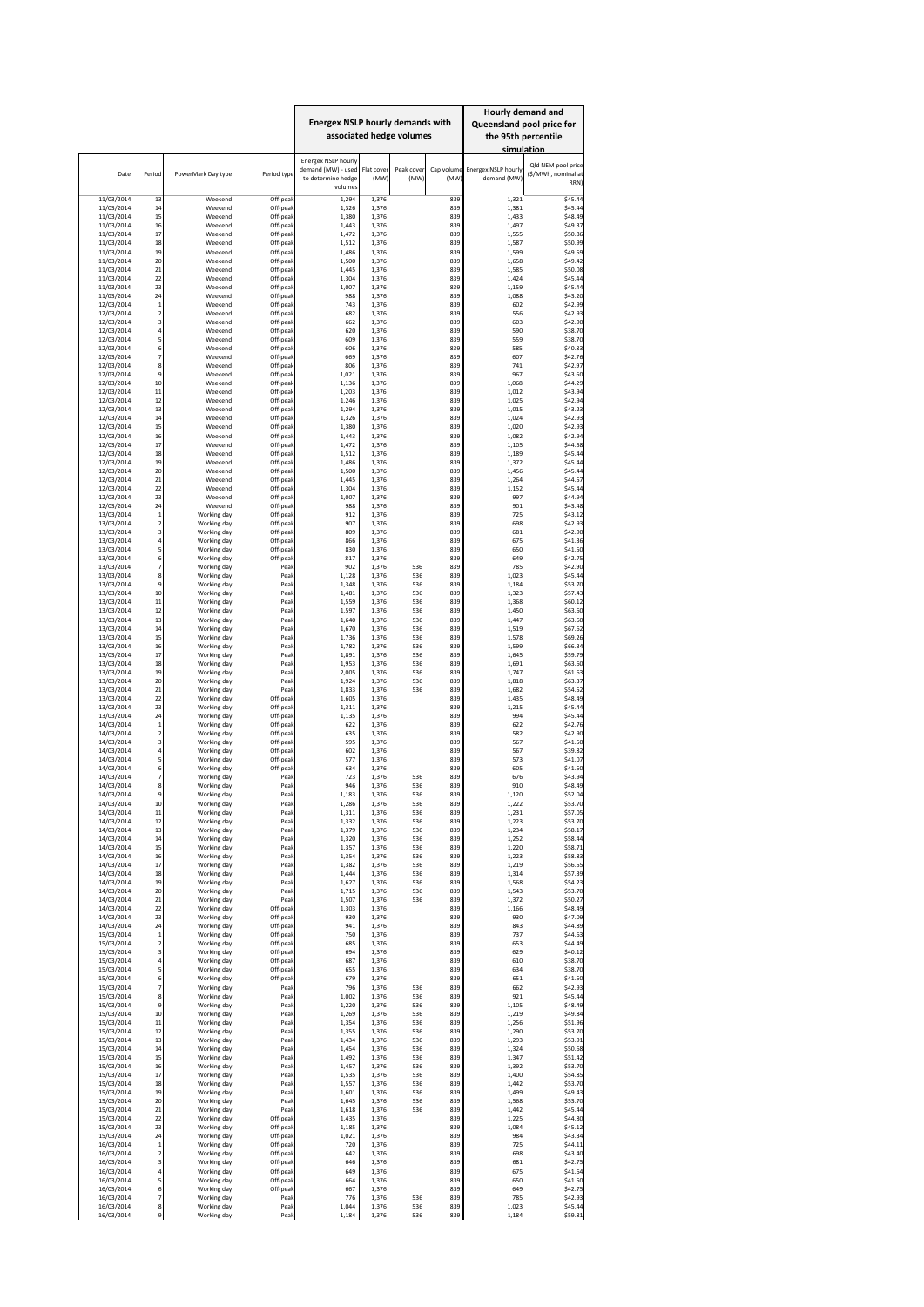|                          |                                         |                            |                      | <b>Energex NSLP hourly demands with</b>  |                    |                          |                   | Hourly demand and<br>Queensland pool price for |                     |  |
|--------------------------|-----------------------------------------|----------------------------|----------------------|------------------------------------------|--------------------|--------------------------|-------------------|------------------------------------------------|---------------------|--|
|                          |                                         |                            |                      |                                          |                    | associated hedge volumes |                   | the 95th percentile                            |                     |  |
|                          |                                         |                            |                      |                                          |                    |                          |                   | simulation                                     |                     |  |
|                          |                                         |                            |                      | Energex NSLP hourly                      |                    |                          |                   |                                                | Qld NEM pool price  |  |
| Date                     | Period                                  | PowerMark Day type         | Period type          | demand (MW) - used<br>to determine hedge | Flat cover<br>(MW) | Peak cover<br>(MW        | Cap volume<br>(MW | Energex NSLP hourly<br>demand (MW)             | (\$/MWh, nominal at |  |
|                          |                                         |                            |                      | volume:                                  |                    |                          |                   |                                                | RRN)                |  |
| 11/03/2014<br>11/03/2014 | 13<br>14                                | Weekend<br>Weekend         | Off-peal<br>Off-peal | 1,294<br>1.326                           | 1,376<br>1.376     |                          | 839<br>839        | 1,321<br>1.381                                 | \$45.44<br>\$45.44  |  |
| 11/03/2014               | 15                                      | Weekend                    | Off-peak             | 1,380                                    | 1,376              |                          | 839               | 1,433                                          | \$48.49             |  |
| 11/03/2014<br>11/03/2014 | 16<br>17                                | Weekend<br>Weekend         | Off-peak<br>Off-peak | 1,443<br>1,472                           | 1,376<br>1,376     |                          | 839<br>839        | 1,497<br>1,555                                 | \$49.37<br>\$50.86  |  |
| 11/03/2014               | 18                                      | Weekend<br>Weekend         | Off-peak             | 1.512                                    | 1.376              |                          | 839<br>839        | 1.587                                          | \$50.99             |  |
| 11/03/2014<br>11/03/2014 | 19<br>20                                | Weekend                    | Off-peak<br>Off-peak | 1,486<br>1,500                           | 1,376<br>1,376     |                          | 839               | 1,599<br>1,658                                 | \$49.59<br>\$49.42  |  |
| 11/03/2014<br>11/03/2014 | 21<br>22                                | Weekend<br>Weekend         | Off-peak<br>Off-peak | 1,445<br>1.304                           | 1,376<br>1.376     |                          | 839<br>839        | 1,585<br>1,424                                 | \$50.08<br>\$45.44  |  |
| 11/03/2014               | 23                                      | Weekend                    | Off-peak             | 1,007                                    | 1,376              |                          | 839               | 1,159                                          | \$45.44             |  |
| 11/03/2014<br>12/03/2014 | 24<br>$\mathbf 1$                       | Weekend<br>Weekend         | Off-peak<br>Off-peak | 988<br>743                               | 1,376<br>1,376     |                          | 839<br>839        | 1,088<br>602                                   | \$43.20<br>\$42.99  |  |
| 12/03/2014               | $\overline{\mathbf{2}}$                 | Weekend                    | Off-peak             | 682                                      | 1,376              |                          | 839               | 556                                            | \$42.93             |  |
| 12/03/2014<br>12/03/2014 | 3<br>4                                  | Weekend<br>Weekend         | Off-peak<br>Off-peak | 662<br>620                               | 1.376<br>1,376     |                          | 839<br>839        | 603<br>590                                     | \$42.90<br>\$38.70  |  |
| 12/03/2014               | 5                                       | Weekend                    | Off-peak             | 609                                      | 1,376              |                          | 839               | 559                                            | \$38.70             |  |
| 12/03/2014<br>12/03/2014 | 6<br>$\overline{7}$                     | Weekend<br>Weekend         | Off-peal<br>Off-peak | 606<br>669                               | 1,376<br>1.376     |                          | 839<br>839        | 585<br>607                                     | \$40.83<br>\$42.76  |  |
| 12/03/2014<br>12/03/2014 | 8<br>9                                  | Weekend<br>Weekend         | Off-peak<br>Off-peak | 806<br>1,021                             | 1,376<br>1,376     |                          | 839<br>839        | 741<br>967                                     | \$42.97<br>\$43.60  |  |
| 12/03/2014               | 10                                      | Weekend                    | Off-peal             | 1,136                                    | 1,376              |                          | 839               | 1,068                                          | \$44.29             |  |
| 12/03/2014<br>12/03/2014 | 11<br>12                                | Weekend<br>Weekend         | Off-peak<br>Off-peak | 1.203<br>1,246                           | 1.376<br>1,376     |                          | 839<br>839        | 1.012<br>1,025                                 | \$43.94<br>\$42.94  |  |
| 12/03/2014               | 13                                      | Weekend                    | Off-peak             | 1,294                                    | 1,376              |                          | 839               | 1,015                                          | \$43.23             |  |
| 12/03/2014<br>12/03/2014 | 14<br>15                                | Weekend<br>Weekend         | Off-peal<br>Off-peak | 1,326<br>1.380                           | 1,376<br>1.376     |                          | 839<br>839        | 1,024<br>1,020                                 | \$42.93<br>\$42.93  |  |
| 12/03/2014               | 16                                      | Weekend                    | Off-peak<br>Off-peak | 1,443                                    | 1,376              |                          | 839               | 1,082                                          | \$42.94             |  |
| 12/03/2014<br>12/03/2014 | 17<br>18                                | Weekend<br>Weekend         | Off-peak             | 1,472<br>1,512                           | 1,376<br>1,376     |                          | 839<br>839        | 1,105<br>1,189                                 | \$44.58<br>\$45.44  |  |
| 12/03/2014<br>12/03/2014 | 19<br>20                                | Weekend<br>Weekend         | Off-peak<br>Off-peak | 1.486<br>1,500                           | 1.376<br>1,376     |                          | 839<br>839        | 1,372<br>1,456                                 | \$45.44<br>\$45.44  |  |
| 12/03/2014               | 21                                      | Weekend                    | Off-peak             | 1,445                                    | 1,376              |                          | 839               | 1,264                                          | \$44.57             |  |
| 12/03/2014<br>12/03/2014 | 22<br>23                                | Weekend<br>Weekend         | Off-peak<br>Off-peal | 1,304<br>1,007                           | 1,376<br>1,376     |                          | 839<br>839        | 1,152<br>997                                   | \$45.44<br>\$44.94  |  |
| 12/03/2014               | 24                                      | Weekend                    | Off-peak             | 988                                      | 1.376              |                          | 839               | 901                                            | \$43.48             |  |
| 13/03/2014<br>13/03/2014 | $\mathbf{1}$<br>2                       | Working day<br>Working day | Off-peak<br>Off-peak | 912<br>907                               | 1,376<br>1,376     |                          | 839<br>839        | 725<br>698                                     | \$43.12<br>\$42.93  |  |
| 13/03/2014<br>13/03/2014 | 3<br>4                                  | Working day<br>Working day | Off-peal<br>Off-peak | 809<br>866                               | 1,376<br>1.376     |                          | 839<br>839        | 681<br>675                                     | \$42.90<br>\$41.36  |  |
| 13/03/2014               | 5                                       | Working day                | Off-peak             | 830                                      | 1,376              |                          | 839               | 650                                            | \$41.50             |  |
| 13/03/2014<br>13/03/2014 | 6<br>7                                  | Working day<br>Working day | Off-peak<br>Peal     | 817<br>902                               | 1,376<br>1,376     | 536                      | 839<br>839        | 649<br>785                                     | \$42.75<br>\$42.90  |  |
| 13/03/2014               | 8                                       | Working day                | Peak                 | 1.128                                    | 1.376              | 536                      | 839               | 1.023                                          | \$45.44             |  |
| 13/03/2014<br>13/03/2014 | 9<br>10                                 | Working day<br>Working day | Peak<br>Peak         | 1,348<br>1,481                           | 1,376<br>1,376     | 536<br>536               | 839<br>839        | 1,184<br>1,323                                 | \$53.70<br>\$57.43  |  |
| 13/03/2014               | 11                                      | Working day                | Peak                 | 1,559                                    | 1,376              | 536                      | 839               | 1,368                                          | \$60.12             |  |
| 13/03/2014<br>13/03/2014 | 12<br>13                                | Working day<br>Working day | Peak<br>Peak         | 1.597<br>1,640                           | 1,376<br>1,376     | 536<br>536               | 839<br>839        | 1,450<br>1,447                                 | \$63.60<br>\$63.60  |  |
| 13/03/2014               | 14                                      | Working day                | Peak                 | 1,670                                    | 1,376              | 536<br>536               | 839<br>839        | 1,519                                          | \$67.62<br>\$69.26  |  |
| 13/03/2014<br>13/03/2014 | 15<br>16                                | Working day<br>Working day | Peal<br>Peak         | 1,736<br>1.782                           | 1,376<br>1.376     | 536                      | 839               | 1,578<br>1.599                                 | \$66.34             |  |
| 13/03/2014<br>13/03/2014 | 17<br>18                                | Working day<br>Working day | Peak<br>Peal         | 1,891<br>1,953                           | 1,376<br>1,376     | 536<br>536               | 839<br>839        | 1,645<br>1,691                                 | \$59.79<br>\$63.60  |  |
| 13/03/2014               | 19                                      | Working day                | Peak                 | 2,005                                    | 1,376              | 536                      | 839               | 1,747                                          | \$61.63             |  |
| 13/03/2014<br>13/03/2014 | 20<br>21                                | Working day<br>Working day | Peak<br>Peal         | 1.924<br>1,833                           | 1.376<br>1,376     | 536<br>536               | 839<br>839        | 1.818<br>1,682                                 | \$63.37<br>\$54.52  |  |
| 13/03/2014               | 22                                      | Working day                | Off-peak             | 1,605                                    | 1,376              |                          | 839               | 1,435                                          | \$48.49             |  |
| 13/03/2014<br>13/03/2014 | 23<br>24                                | Working day<br>Working day | Off-peal<br>Off-peal | 1,311<br>1,135                           | 1,376<br>1,376     |                          | 839<br>839        | 1,215<br>994                                   | \$45.44<br>\$45.44  |  |
| 14/03/2014<br>14/03/2014 | $\mathbf{1}$<br>$\overline{\mathbf{c}}$ | Working day<br>Working day | Off-peak<br>Off-peak | 622<br>635                               | 1.376<br>1,376     |                          | 839<br>839        | 622<br>582                                     | \$42.76<br>\$42.90  |  |
| 14/03/2014               | 3                                       | Working day                | Off-peak             | 595                                      | 1,376              |                          | 839               | 567                                            | \$41.50             |  |
| 14/03/2014<br>14/03/2014 | 4<br>5                                  | Working day<br>Working day | Off-peak<br>Off-peak | 602<br>577                               | 1,376<br>1,376     |                          | 839<br>839        | 567<br>573                                     | \$39.82<br>\$41.07  |  |
| 14/03/2014               | 6                                       | Working day                | Off-peak             | 634                                      | 1,376              |                          | 839               | 605                                            | \$41.50             |  |
| 14/03/2014<br>14/03/2014 | 7<br>8                                  | Working day<br>Working day | Peak<br>Peal         | 723<br>946                               | 1,376<br>1,376     | 536<br>536               | 839<br>839        | 676<br>910                                     | \$43.94<br>\$48.49  |  |
| 14/03/2014<br>14/03/2014 | 9<br>10                                 | Working day<br>Working day | Peak<br>Peal         | 1,183<br>1.286                           | 1,376<br>1.376     | 536<br>536               | 839<br>839        | 1,120<br>1,222                                 | \$52.04<br>\$53.70  |  |
| 14/03/2014               | 11                                      | Working day                | Peal                 | 1,311                                    | 1,376              | 536                      | 839               | 1,231                                          | \$57.05             |  |
| 14/03/2014<br>14/03/2014 | 12<br>13                                | Working day<br>Working day | Peak<br>Peak         | 1,332<br>1.379                           | 1,376<br>1.376     | 536<br>536               | 839<br>839        | 1,223<br>1.234                                 | \$53.70<br>\$58.17  |  |
| 14/03/2014               | 14                                      | Working day                | Peak                 | 1,320                                    | 1,376              | 536                      | 839               | 1,252                                          | \$58.44             |  |
| 14/03/2014<br>14/03/2014 | 15<br>16                                | Working day<br>Working day | Peak<br>Peak         | 1,357<br>1,354                           | 1,376<br>1,376     | 536<br>536               | 839<br>839        | 1,220<br>1,223                                 | \$58.71<br>\$58.83  |  |
| 14/03/2014<br>14/03/2014 | 17<br>18                                | Working day<br>Working day | Peak<br>Peak         | 1,382<br>1,444                           | 1.376<br>1,376     | 536<br>536               | 839<br>839        | 1,219<br>1,314                                 | \$56.55<br>\$57.39  |  |
| 14/03/2014               | 19                                      | Working day                | Peak                 | 1,627                                    | 1,376              | 536                      | 839               | 1,568                                          | \$54.23             |  |
| 14/03/2014<br>14/03/2014 | 20<br>21                                | Working day<br>Working day | Peak<br>Peak         | 1,715<br>1,507                           | 1,376<br>1,376     | 536<br>536               | 839<br>839        | 1,543<br>1,372                                 | \$53.70<br>\$50.27  |  |
| 14/03/2014               | 22                                      | Working day                | Off-peak             | 1,303                                    | 1,376              |                          | 839               | 1,166                                          | \$48.49             |  |
| 14/03/2014<br>14/03/2014 | 23<br>24                                | Working day<br>Working day | Off-peak<br>Off-peak | 930<br>941                               | 1,376<br>1,376     |                          | 839<br>839        | 930<br>843                                     | \$47.09<br>\$44.89  |  |
| 15/03/2014               | $\mathbf{1}$<br>$\overline{\mathbf{2}}$ | Working day                | Off-peak             | 750<br>685                               | 1,376<br>1.376     |                          | 839<br>839        | 737<br>653                                     | \$44.63<br>\$44.49  |  |
| 15/03/2014<br>15/03/2014 | 3                                       | Working day<br>Working day | Off-peak<br>Off-peak | 694                                      | 1,376              |                          | 839               | 629                                            | \$40.12             |  |
| 15/03/2014<br>15/03/2014 | 4<br>5                                  | Working day<br>Working day | Off-peak<br>Off-peak | 687<br>655                               | 1,376<br>1,376     |                          | 839<br>839        | 610<br>634                                     | \$38.70<br>\$38.70  |  |
| 15/03/2014               | 6                                       | Working day                | Off-peak             | 679                                      | 1,376              |                          | 839               | 651                                            | \$41.50             |  |
| 15/03/2014<br>15/03/2014 | 7<br>8                                  | Working day<br>Working day | Peak<br>Peak         | 796<br>1,002                             | 1,376<br>1,376     | 536<br>536               | 839<br>839        | 662<br>921                                     | \$42.93<br>\$45.44  |  |
| 15/03/2014               | q<br>10                                 | Working day                | Peak<br>Peak         | 1,220                                    | 1,376<br>1.376     | 536<br>536               | 839<br>839        | 1,105                                          | \$48.49<br>\$49.84  |  |
| 15/03/2014<br>15/03/2014 | $11\,$                                  | Working day<br>Working day | Peak                 | 1,269<br>1,354                           | 1,376              | 536                      | 839               | 1,219<br>1,256                                 | \$51.96             |  |
| 15/03/2014<br>15/03/2014 | 12<br>13                                | Working day<br>Working day | Peak<br>Peak         | 1,355<br>1,434                           | 1,376<br>1,376     | 536<br>536               | 839<br>839        | 1,290<br>1,293                                 | \$53.70<br>\$53.91  |  |
| 15/03/2014               | 14                                      | Working day                | Peak                 | 1.454                                    | 1,376              | 536                      | 839               | 1,324                                          | \$50.68             |  |
| 15/03/2014<br>15/03/2014 | 15<br>16                                | Working day<br>Working day | Peak<br>Peak         | 1,492<br>1,457                           | 1,376<br>1,376     | 536<br>536               | 839<br>839        | 1,347<br>1,392                                 | \$51.42<br>\$53.70  |  |
| 15/03/2014               | 17                                      | Working day                | Peak                 | 1,535                                    | 1,376              | 536                      | 839               | 1,400                                          | \$54.85             |  |
| 15/03/2014<br>15/03/2014 | 18<br>19                                | Working day<br>Working day | Peak<br>Peak         | 1,557<br>1.601                           | 1,376<br>1.376     | 536<br>536               | 839<br>839        | 1,442<br>1,499                                 | \$53.70<br>\$49.43  |  |
| 15/03/2014               | 20                                      | Working day                | Peak                 | 1,645                                    | 1,376              | 536                      | 839               | 1,568                                          | \$53.70             |  |
| 15/03/2014<br>15/03/2014 | 21<br>22                                | Working day<br>Working day | Peak<br>Off-peak     | 1,618<br>1,435                           | 1,376<br>1,376     | 536                      | 839<br>839        | 1,442<br>1,225                                 | \$45.44<br>\$44.80  |  |
| 15/03/2014<br>15/03/2014 | 23<br>24                                | Working day<br>Working day | Off-peak<br>Off-peak | 1.185<br>1,021                           | 1.376<br>1,376     |                          | 839<br>839        | 1,084<br>984                                   | \$45.12<br>\$43.34  |  |
| 16/03/2014               | $\mathbf{1}$                            | Working day                | Off-peak             | 720                                      | 1,376              |                          | 839               | 725                                            | \$44.11             |  |
| 16/03/2014<br>16/03/2014 | $\overline{2}$<br>3                     | Working day<br>Working day | Off-peak<br>Off-peak | 642<br>646                               | 1,376<br>1.376     |                          | 839<br>839        | 698<br>681                                     | \$43.40<br>\$42.75  |  |
| 16/03/2014               | 4                                       | Working day                | Off-peak             | 649                                      | 1,376              |                          | 839               | 675                                            | \$41.64             |  |
| 16/03/2014<br>16/03/2014 | 5<br>6                                  | Working day<br>Working day | Off-peak<br>Off-peak | 664<br>667                               | 1,376<br>1,376     |                          | 839<br>839        | 650<br>649                                     | \$41.50<br>\$42.75  |  |
| 16/03/2014<br>16/03/2014 | $\overline{7}$<br>8                     | Working day<br>Working day | Peak<br>Peak         | 776<br>1,044                             | 1,376<br>1,376     | 536<br>536               | 839<br>839        | 785<br>1,023                                   | \$42.93<br>\$45.44  |  |
| 16/03/2014               |                                         | Working day                | Peal                 | 1,184                                    | 1,376              | 536                      | 839               | 1,184                                          | \$59.81             |  |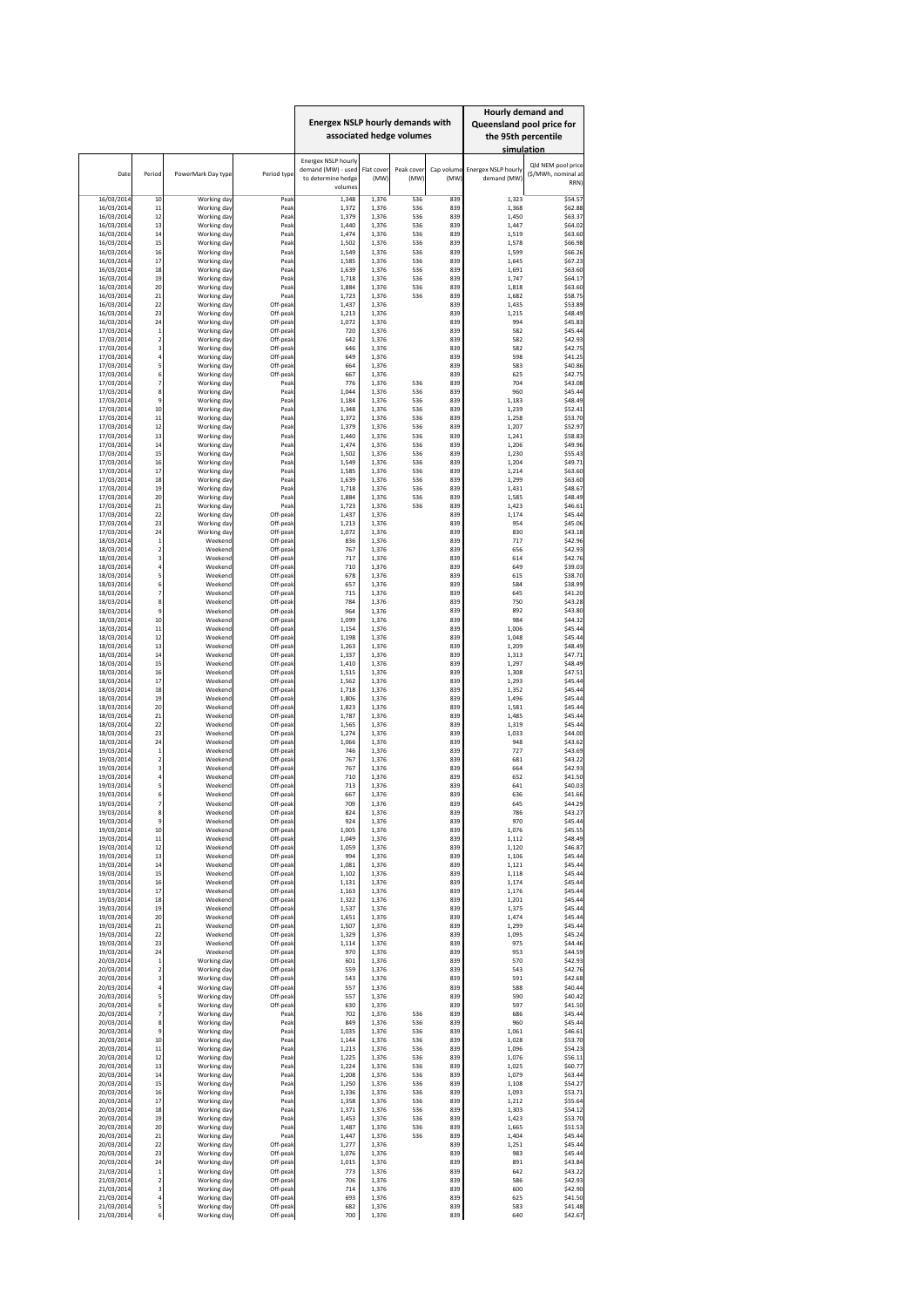|                          |                |                            |                      |                                                                     |                    |                    |                     | Hourly demand and<br>Queensland pool price for |                     |  |
|--------------------------|----------------|----------------------------|----------------------|---------------------------------------------------------------------|--------------------|--------------------|---------------------|------------------------------------------------|---------------------|--|
|                          |                |                            |                      | <b>Energex NSLP hourly demands with</b><br>associated hedge volumes |                    |                    | the 95th percentile |                                                |                     |  |
|                          |                |                            |                      |                                                                     |                    |                    |                     | simulation                                     |                     |  |
|                          |                |                            |                      | Energex NSLP hourly                                                 |                    |                    |                     |                                                | Qld NEM pool price  |  |
| Date                     | Period         | PowerMark Day type         | Period type          | demand (MW) - used<br>to determine hedge                            | Flat cover<br>(MW) | Peak cover<br>(MW) | Cap volume<br>(MW)  | Energex NSLP hourly<br>demand (MW)             | (\$/MWh, nominal at |  |
|                          |                |                            |                      | volumes                                                             |                    |                    |                     |                                                | <b>RRN</b>          |  |
| 16/03/2014               | 10             | Working day                | Pea                  | 1,348                                                               | 1,376              | 536                | 839                 | 1,323                                          | \$54.5              |  |
| 16/03/2014               | 11             | Working day                | Peal                 | 1,372                                                               | 1,376              | 536                | 839                 | 1,368                                          | \$62.88             |  |
| 16/03/2014               | 12             | Working day                | Peal<br>Peal         | 1.379                                                               | 1.376              | 536<br>536         | 839<br>839          | 1.450                                          | \$63.37<br>\$64.02  |  |
| 16/03/2014<br>16/03/2014 | 13<br>14       | Working day<br>Working day | Peal                 | 1,440<br>1,474                                                      | 1,376<br>1,376     | 536                | 839                 | 1,447<br>1,519                                 | \$63.60             |  |
| 16/03/2014               | 15             | Working da                 | Peal                 | 1,502                                                               | 1,376              | 536                | 839                 | 1,578                                          | \$66.98             |  |
| 16/03/2014               | 16             | Working day                | Peal                 | 1.549                                                               | 1.376              | 536                | 839                 | 1,599                                          | \$66.26             |  |
| 16/03/2014               | 17             | Working day                | Peak                 | 1,585                                                               | 1,376              | 536                | 839                 | 1,645                                          | \$67.23             |  |
| 16/03/2014               | 18             | Working day                | Peak                 | 1,639                                                               | 1,376              | 536                | 839                 | 1,691                                          | \$63.60             |  |
| 16/03/2014               | 19             | Working day                | Peak                 | 1,718                                                               | 1,376              | 536                | 839                 | 1,747                                          | \$64.17             |  |
| 16/03/2014               | 20             | Working day                | Peal                 | 1.884                                                               | 1.376              | 536                | 839                 | 1,818                                          | \$63.60             |  |
| 16/03/2014               | 21             | Working day                | Peak                 | 1,723                                                               | 1,376              | 536                | 839                 | 1,682                                          | \$58.75             |  |
| 16/03/2014               | 22             | Working day                | Off-peal             | 1,437                                                               | 1,376              |                    | 839                 | 1,435                                          | \$53.89             |  |
| 16/03/2014               | 23             | Working day                | Off-peal             | 1,213                                                               | 1,376              |                    | 839                 | 1,215                                          | \$48.49             |  |
| 16/03/2014               | 24             | Working day                | Off-peal             | 1,072                                                               | 1,376              |                    | 839                 | 994                                            | \$45.83             |  |
| 17/03/2014               | $\mathbf{1}$   | Working day                | Off-peal             | 720                                                                 | 1.376              |                    | 839                 | 582                                            | \$45.44             |  |
| 17/03/2014               | $\mathbf 2$    | Working day                | Off-peal             | 642                                                                 | 1,376              |                    | 839                 | 582                                            | \$42.93             |  |
| 17/03/2014               | 3              | Working day                | Off-peak             | 646                                                                 | 1,376              |                    | 839                 | 582                                            | \$42.75             |  |
| 17/03/2014               | 4              | Working day                | Off-peal             | 649                                                                 | 1,376              |                    | 839                 | 598                                            | \$41.25             |  |
| 17/03/2014               | 5              | Working day                | Off-peal             | 664                                                                 | 1.376              |                    | 839                 | 583                                            | \$40.86             |  |
| 17/03/2014               | 6              | Working day                | Off-peal             | 667                                                                 | 1,376              |                    | 839                 | 625                                            | \$42.75             |  |
| 17/03/2014               | $\overline{7}$ | Working day                | Peal                 | 776                                                                 | 1,376              | 536                | 839                 | 704                                            | \$43.08             |  |
| 17/03/2014               | 8              | Working da                 | Peal                 | 1,044                                                               | 1,376              | 536                | 839                 | 960                                            | \$45.44             |  |
| 17/03/2014               | 9              | Working day                | Peal                 | 1,184                                                               | 1.376              | 536                | 839                 | 1.183                                          | \$48.49             |  |
| 17/03/2014               | 10             | Working day                | Peak                 | 1,348                                                               | 1,376              | 536                | 839                 | 1,239                                          | \$52.41             |  |
| 17/03/2014               | 11             | Working day                | Peak                 | 1,372                                                               | 1,376              | 536                | 839                 | 1,258                                          | \$53.70             |  |
| 17/03/2014               | 12             | Working day                | Peak                 | 1,379                                                               | 1,376              | 536                | 839                 | 1,207                                          | \$52.97             |  |
| 17/03/2014               | 13             | Working day                | Peal                 | 1.440                                                               | 1,376              | 536                | 839                 | 1.241                                          | \$58.83             |  |
| 17/03/2014               | 14             | Working day                | Peal                 | 1,474                                                               | 1,376              | 536                | 839                 | 1,206                                          | \$49.96             |  |
| 17/03/2014               | 15             | Working day                | Peak                 | 1,502                                                               | 1,376              | 536                | 839                 | 1,230                                          | \$55.43             |  |
| 17/03/2014               | 16             | Working day                | Peal                 | 1,549                                                               | 1,376              | 536                | 839                 | 1,204                                          | \$49.71             |  |
| 17/03/2014               | 17             | Working day                | Peal                 | 1.585                                                               | 1.376              | 536                | 839                 | 1.214                                          | \$63.60             |  |
| 17/03/2014               | 18             | Working day                | Peak                 | 1,639                                                               | 1,376              | 536                | 839                 | 1,299                                          | \$63.60             |  |
| 17/03/2014               | 19             | Working day                | Peal                 | 1,718                                                               | 1,376              | 536                | 839                 | 1,431                                          | \$48.67             |  |
| 17/03/2014               | 20             | Working day                | Peal                 | 1,884                                                               | 1,376              | 536                | 839                 | 1,585                                          | \$48.49             |  |
| 17/03/2014               | 21             | Working day                | Peal                 | 1,723                                                               | 1,376              | 536                | 839                 | 1,423                                          | \$46.61             |  |
| 17/03/2014               | 22             | Working day                | Off-peal             | 1.437                                                               | 1.376              |                    | 839                 | 1,174                                          | \$45.44             |  |
| 17/03/2014               | 23             | Working day                | Off-peal             | 1,213                                                               | 1,376              |                    | 839                 | 954                                            | \$45.06             |  |
| 17/03/2014               | 24             | Working day                | Off-peal             | 1,072                                                               | 1,376              |                    | 839                 | 830                                            | \$43.18             |  |
| 18/03/2014               | $\mathbf{1}$   | Weekend                    | Off-peal             | 836                                                                 | 1,376              |                    | 839                 | 717                                            | \$42.96             |  |
| 18/03/2014               | $\overline{2}$ | Weekend                    | Off-peal             | 767                                                                 | 1.376              |                    | 839                 | 656                                            | \$42.93             |  |
| 18/03/2014               | 3              | Weekend                    | Off-peak             | 717                                                                 | 1,376              |                    | 839                 | 614                                            | \$42.76             |  |
| 18/03/2014               | 4              | Weekend                    | Off-peak             | 710                                                                 | 1,376              |                    | 839                 | 649                                            | \$39.03             |  |
| 18/03/2014               | 5              | Weekend                    | Off-peak             | 678                                                                 | 1,376              |                    | 839                 | 615                                            | \$38.70             |  |
| 18/03/2014               | 6              | Weekend                    | Off-peal             | 657                                                                 | 1.376              |                    | 839                 | 584                                            | \$38.99             |  |
| 18/03/2014               | $\overline{7}$ | Weekend                    | Off-peal             | 715                                                                 | 1,376              |                    | 839                 | 645                                            | \$41.20             |  |
| 18/03/2014               | 8              | Weekend                    | Off-peal             | 784                                                                 | 1,376              |                    | 839                 | 750                                            | \$43.28             |  |
| 18/03/2014               | 9              | Weekend                    | Off-peal             | 964                                                                 | 1,376              |                    | 839                 | 892                                            | \$43.80             |  |
| 18/03/2014               | 10             | Weekend                    | Off-peal             | 1.099                                                               | 1.376              |                    | 839                 | 984                                            | \$44.32             |  |
| 18/03/2014               | 11             | Weekend                    | Off-peal             | 1,154                                                               | 1,376              |                    | 839                 | 1,006                                          | \$45.44             |  |
| 18/03/2014               | 12             | Weekend                    | Off-peal             | 1,198                                                               | 1,376              |                    | 839                 | 1,048                                          | \$45.44             |  |
| 18/03/2014               | 13             | Weekend                    | Off-peak             | 1,263                                                               | 1,376              |                    | 839                 | 1,209                                          | \$48.49             |  |
| 18/03/2014               | 14             | Weekend                    | Off-peal             | 1.337                                                               | 1.376              |                    | 839                 | 1,313                                          | \$47.71             |  |
| 18/03/2014               | 15             | Weekend                    | Off-peal             | 1,410                                                               | 1,376              |                    | 839                 | 1,297                                          | \$48.49             |  |
| 18/03/2014               | 16             | Weekend                    | Off-peal             | 1,515                                                               | 1,376              |                    | 839                 | 1,308                                          | \$47.5              |  |
| 18/03/2014               | 17             | Weekend                    | Off-peal             | 1,562                                                               | 1,376              |                    | 839                 | 1,293                                          | \$45.44             |  |
| 18/03/2014               | 18             | Weekend                    | Off-peak             | 1,718                                                               | 1,376              |                    | 839                 | 1,352                                          | \$45.44             |  |
| 18/03/2014               | 19             | Weekend                    | Off-peak             | 1.806                                                               | 1.376              |                    | 839                 | 1,496                                          | \$45.44             |  |
| 18/03/2014               | 20             | Weekend                    | Off-peak             | 1,823                                                               | 1,376              |                    | 839                 | 1,581                                          | \$45.44             |  |
| 18/03/2014               | 21             | Weekend                    | Off-peak             | 1,787                                                               | 1,376              |                    | 839                 | 1,485                                          | \$45.44             |  |
| 18/03/2014               | 22             | Weekend                    | Off-peak             | 1,565                                                               | 1,376              |                    | 839                 | 1,319                                          | \$45.44             |  |
| 18/03/2014               | 23             | Weekend                    | Off-peak             | 1.274                                                               | 1.376              |                    | 839                 | 1,033                                          | \$44.00             |  |
| 18/03/2014               | 24             | Weekend                    | Off-peal             | 1,066                                                               | 1,376              |                    | 839                 | 948                                            | \$43.62             |  |
| 19/03/2014               | $\mathbf{1}$   | Weekend                    | Off-peal             | 746                                                                 | 1,376              |                    | 839                 | 727                                            | \$43.69             |  |
| 19/03/2014               | $\overline{2}$ | Weekend                    | Off-peal             | 767                                                                 | 1,376              |                    | 839                 | 681                                            | \$43.22             |  |
| 19/03/2014               | 3              | Weekend                    | Off-peal             | 767                                                                 | 1.376              |                    | 839                 | 664                                            | \$42.93             |  |
| 19/03/2014               | 4              | Weekend                    | Off-peak             | 710                                                                 | 1,376              |                    | 839                 | 652                                            | \$41.50             |  |
| 19/03/2014               | 5              | Weekend                    | Off-peak             | 713                                                                 | 1,376              |                    | 839                 | 641                                            | \$40.03             |  |
| 19/03/2014<br>19/03/2014 | 6              | Weekend<br>Weekend         | Off-peak<br>Off-peal | 667<br>709                                                          | 1,376<br>1.376     |                    | 839<br>839          | 636<br>645                                     | \$41.66<br>S44.29   |  |
| 19/03/2014               | 8<br>9         | Weekend                    | Off-peal<br>Off-peal | 824                                                                 | 1,376              |                    | 839                 | 786                                            | \$43.27             |  |
| 19/03/2014<br>19/03/2014 | 10             | Weekend<br>Weekend         | Off-peak             | 924<br>1,005                                                        | 1,376<br>1,376     |                    | 839<br>839          | 970<br>1,076                                   | \$45.44<br>\$45.55  |  |
| 19/03/2014               | 11             | Weekend                    | Off-peak             | 1.049                                                               | 1,376              |                    | 839                 | 1,112                                          | \$48.49             |  |
| 19/03/2014               | 12             | Weekend                    | Off-peak             | 1,059                                                               | 1,376              |                    | 839                 | 1,120                                          | \$46.87             |  |
| 19/03/2014               | 13             | Weekend                    | Off-peak             | 994                                                                 | 1,376              |                    | 839                 | 1,106                                          | \$45.44             |  |
| 19/03/2014               | 14             | Weekend                    | Off-peak             | 1,081                                                               | 1,376              |                    | 839                 | 1,121                                          | \$45.44             |  |
| 19/03/2014               | 15             | Weekend                    | Off-peak             | 1.102                                                               | 1,376              |                    | 839                 | 1.118                                          | \$45.44             |  |
| 19/03/2014               | 16             | Weekend                    | Off-peak             | 1,131                                                               | 1,376              |                    | 839                 | 1,174                                          | \$45.44             |  |
| 19/03/2014               | 17             | Weekend                    | Off-peak             | 1,163                                                               | 1,376              |                    | 839                 | 1,176                                          | \$45.44             |  |
| 19/03/2014               | 18             | Weekend                    | Off-peak             | 1,322                                                               | 1,376              |                    | 839                 | 1,201                                          | \$45.44             |  |
| 19/03/2014               | 19             | Weekend                    | Off-peak             | 1,537                                                               | 1,376              |                    | 839                 | 1,375                                          | \$45.44             |  |
| 19/03/2014               | 20             | Weekend                    | Off-peak             | 1.651                                                               | 1.376              |                    | 839                 | 1,474                                          | \$45.44             |  |
| 19/03/2014               | 21             | Weekend                    | Off-peak             | 1,507                                                               | 1,376              |                    | 839                 | 1,299                                          | \$45.44             |  |
| 19/03/2014               | 22             | Weekend                    | Off-peak             | 1,329                                                               | 1,376              |                    | 839                 | 1,095                                          | \$45.24             |  |
| 19/03/2014               | 23             | Weekend                    | Off-peak             | 1,114                                                               | 1,376              |                    | 839                 | 975                                            | \$44.46             |  |
| 19/03/2014               | 24             | Weekend                    | Off-peal             | 970                                                                 | 1.376              |                    | 839                 | 953                                            | \$44.59             |  |
| 20/03/2014               | $\mathbf{1}$   | Working day                | Off-peal             | 601                                                                 | 1,376              |                    | 839                 | 570                                            | \$42.93             |  |
| 20/03/2014               | $\mathbf 2$    | Working day                | Off-peak             | 559                                                                 | 1,376              |                    | 839                 | 543                                            | \$42.76             |  |
| 20/03/2014               | 3              | Working day                | Off-peak             | 543                                                                 | 1,376              |                    | 839                 | 591                                            | \$42.68             |  |
| 20/03/2014               | 4              | Working day                | Off-peak             | 557                                                                 | 1,376              |                    | 839                 | 588                                            | \$40.44             |  |
| 20/03/2014               | 5              | Working day                | Off-peak             | 557                                                                 | 1,376              |                    | 839                 | 590                                            | \$40.42             |  |
| 20/03/2014               | 6              | Working day                | Off-peak             | 630                                                                 | 1,376              |                    | 839                 | 597                                            | \$41.50             |  |
| 20/03/2014               | $\overline{7}$ | Working day                | Peak                 | 702                                                                 | 1,376              | 536                | 839                 | 686                                            | \$45.44             |  |
| 20/03/2014               | 8              | Working day                | Peak                 | 849                                                                 | 1,376              | 536                | 839                 | 960                                            | \$45.44             |  |
| 20/03/2014               | 9              | Working day                | Peak                 | 1,035                                                               | 1,376              | 536                | 839                 | 1,061                                          | \$46.61             |  |
| 20/03/2014               | 10             | Working day                | Peak                 | 1,144                                                               | 1,376              | 536                | 839                 | 1,028                                          | \$53.70             |  |
| 20/03/2014               | 11             | Working day                | Peal                 | 1,213                                                               | 1,376              | 536                | 839                 | 1,096                                          | \$54.23             |  |
| 20/03/2014               | 12             | Working day                | Peal                 | 1,225                                                               | 1.376              | 536                | 839                 | 1,076                                          | \$56.11             |  |
| 20/03/2014               | 13             | Working day                | Peak                 | 1,224                                                               | 1,376              | 536                | 839                 | 1,025                                          | \$60.77             |  |
| 20/03/2014               | 14             | Working day                | Peak                 | 1,208                                                               | 1,376              | 536                | 839                 | 1,079                                          | \$63.44             |  |
| 20/03/2014               | 15             | Working day                | Peal                 | 1,250                                                               | 1,376              | 536                | 839                 | 1,108                                          | \$54.27             |  |
| 20/03/2014               | 16             | Working day                | Peak                 | 1,336                                                               | 1,376              | 536                | 839                 | 1,093                                          | \$53.71             |  |
| 20/03/2014               | 17             | Working day                | Peal                 | 1.358                                                               | 1.376              | 536                | 839                 | 1,212                                          | \$55.64             |  |
| 20/03/2014               | 18             | Working day                | Peal                 | 1,371                                                               | 1,376              | 536                | 839                 | 1,303                                          | \$54.12             |  |
| 20/03/2014               | 19             | Working day                | Peak                 | 1,453                                                               | 1,376              | 536                | 839                 | 1,423                                          | \$53.70             |  |
| 20/03/2014               | 20             | Working day                | Peal                 | 1,487                                                               | 1,376              | 536                | 839                 | 1,665                                          | \$51.53             |  |
| 20/03/2014               | 21             | Working day                | Peak                 | 1,447                                                               | 1,376              | 536                | 839                 | 1,404                                          | \$45.44             |  |
| 20/03/2014               | 22             | Working day                | Off-peak             | 1,277                                                               | 1,376              |                    | 839                 | 1,251                                          | \$45.44             |  |
| 20/03/2014               | 23             | Working day                | Off-peak             | 1,076                                                               | 1,376              |                    | 839                 | 983                                            | \$45.44             |  |
| 20/03/2014               | 24             | Working day                | Off-peak             | 1,015                                                               | 1,376              |                    | 839                 | 891                                            | \$43.84             |  |
| 21/03/2014               | $\mathbf{1}$   | Working day                | Off-peak             | 773                                                                 | 1.376              |                    | 839                 | 642                                            | \$43.22             |  |
| 21/03/2014               | $\mathbf 2$    | Working day                | Off-peak             | 706                                                                 | 1,376              |                    | 839                 | 586                                            | \$42.93             |  |
| 21/03/2014               | 3              | Working day                | Off-peal             | 714                                                                 | 1,376              |                    | 839                 | 600                                            | \$42.90             |  |
| 21/03/2014               | 4              | Working day                | Off-peak             | 693                                                                 | 1,376              |                    | 839                 | 625                                            | \$41.50             |  |
| 21/03/2014               | 5              | Working day                | Off-peak             | 682                                                                 | 1,376              |                    | 839                 | 583                                            | \$41.48             |  |
| 21/03/2014               | 6              | Working day                | Off-peak             | 700                                                                 | 1,376              |                    | 839                 | 640                                            | \$42.67             |  |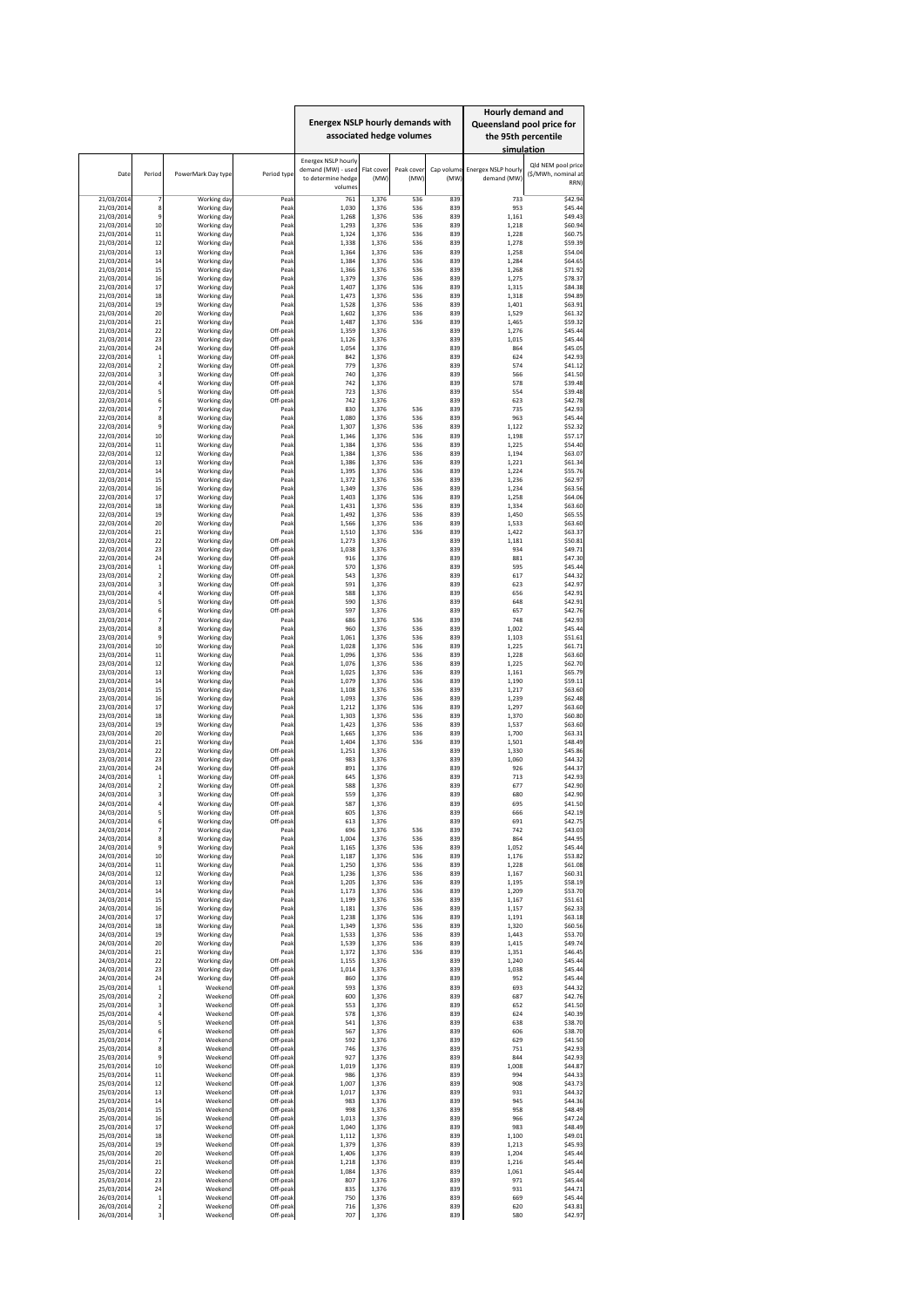|                          |                                         |                            |                      |                                          |                    |                          |                   | Hourly demand and<br>Queensland pool price for |                             |  |
|--------------------------|-----------------------------------------|----------------------------|----------------------|------------------------------------------|--------------------|--------------------------|-------------------|------------------------------------------------|-----------------------------|--|
|                          |                                         |                            |                      | <b>Energex NSLP hourly demands with</b>  |                    | associated hedge volumes |                   | the 95th percentile                            |                             |  |
|                          |                                         |                            |                      |                                          |                    |                          |                   | simulation                                     |                             |  |
|                          |                                         |                            |                      | Energex NSLP hourly                      |                    |                          |                   |                                                | Qld NEM pool price          |  |
| Date                     | Period                                  | PowerMark Day type         | Period type          | demand (MW) - used<br>to determine hedge | Flat cover<br>(MW) | Peak cover<br>(MW)       | Cap volume<br>(MW | Energex NSLP hourly<br>demand (MW)             | (\$/MWh, nominal at<br>RRN) |  |
| 21/03/2014               |                                         |                            | Pea                  | volume:<br>761                           | 1,376              | 536                      | 839               | 733                                            | \$42.94                     |  |
| 21/03/2014               | ε                                       | Working da<br>Working day  | Pea                  | 1.030                                    | 1.376              | 536                      | 839               | 953                                            | \$45.44                     |  |
| 21/03/2014<br>21/03/2014 | Ś<br>10                                 | Working day<br>Working day | Peal<br>Pea          | 1,268<br>1,293                           | 1,376<br>1,376     | 536<br>536               | 839<br>839        | 1,161<br>1,218                                 | \$49.43<br>\$60.94          |  |
| 21/03/2014               | 11<br>12                                | Working day                | Pea<br>Pea           | 1,324<br>1.338                           | 1,376<br>1.376     | 536<br>536               | 839<br>839        | 1,228<br>1.278                                 | \$60.7<br>\$59.39           |  |
| 21/03/2014<br>21/03/2014 | 13                                      | Working day<br>Working day | Pea                  | 1,364                                    | 1,376              | 536                      | 839               | 1,258                                          | \$54.0                      |  |
| 21/03/2014<br>21/03/2014 | 14<br>15                                | Working day<br>Working da  | Pea<br>Pea           | 1,384<br>1,366                           | 1,376<br>1,376     | 536<br>536               | 839<br>839        | 1,284<br>1,268                                 | \$64.6<br>\$71.92           |  |
| 21/03/2014               | 16                                      | Working day                | Pea                  | 1,379                                    | 1.376              | 536                      | 839               | 1,275                                          | \$78.37                     |  |
| 21/03/2014<br>21/03/2014 | 17<br>18                                | Working day<br>Working day | Peal<br>Pea          | 1,407<br>1,473                           | 1,376<br>1,376     | 536<br>536               | 839<br>839        | 1,315<br>1,318                                 | \$84.38<br>\$94.89          |  |
| 21/03/2014               | 19<br>20                                | Working day                | Peal<br>Peal         | 1,528                                    | 1,376<br>1,376     | 536<br>536               | 839<br>839        | 1,401<br>1,529                                 | \$63.91<br>\$61.32          |  |
| 21/03/2014<br>21/03/2014 | 21                                      | Working day<br>Working day | Pea                  | 1,602<br>1.487                           | 1,376              | 536                      | 839               | 1.465                                          | \$59.32                     |  |
| 21/03/2014<br>21/03/2014 | 22<br>23                                | Working day<br>Working day | Off-peal<br>Off-peal | 1,359<br>1,126                           | 1,376<br>1,376     |                          | 839<br>839        | 1,276<br>1,015                                 | \$45.44<br>\$45.44          |  |
| 21/03/2014<br>22/03/2014 | 24<br>1                                 | Working da<br>Working day  | Off-peal<br>Off-peal | 1,054<br>842                             | 1,376<br>1.376     |                          | 839<br>839        | 864<br>624                                     | \$45.0<br>\$42.93           |  |
| 22/03/2014               | $\overline{\mathbf{c}}$                 | Working day                | Off-peal             | 779                                      | 1,376              |                          | 839               | 574                                            | \$41.12                     |  |
| 22/03/2014<br>22/03/2014 | 3<br>4                                  | Working day<br>Working day | Off-peal<br>Off-peal | 740<br>742                               | 1,376<br>1,376     |                          | 839<br>839        | 566<br>578                                     | \$41.50<br>\$39.48          |  |
| 22/03/2014               | 5                                       | Working day                | Off-peal             | 723                                      | 1.376              |                          | 839               | 554                                            | \$39.48                     |  |
| 22/03/2014<br>22/03/2014 | 6<br>$\overline{\phantom{a}}$           | Working day<br>Working day | Off-peal<br>Pea      | 742<br>830                               | 1,376<br>1,376     | 536                      | 839<br>839        | 623<br>735                                     | \$42.78<br>\$42.9           |  |
| 22/03/2014<br>22/03/2014 | 8<br>ś                                  | Working day<br>Working day | Pea<br>Pea           | 1,080<br>1,307                           | 1,376<br>1.376     | 536<br>536               | 839<br>839        | 963<br>1.122                                   | \$45.44<br>\$52.32          |  |
| 22/03/2014               | 10                                      | Working day                | Peal                 | 1,346                                    | 1,376              | 536                      | 839               | 1,198                                          | \$57.17                     |  |
| 22/03/2014<br>22/03/2014 | 11<br>12                                | Working day<br>Working day | Pea<br>Pea           | 1,384<br>1,384                           | 1,376<br>1,376     | 536<br>536               | 839<br>839        | 1,225<br>1,194                                 | \$54.40<br>\$63.07          |  |
| 22/03/2014<br>22/03/2014 | 13<br>14                                | Working day<br>Working day | Pea<br>Pea           | 1,386<br>1,395                           | 1,376<br>1,376     | 536<br>536               | 839<br>839        | 1.221<br>1,224                                 | \$61.34<br>\$55.76          |  |
| 22/03/2014               | 15                                      | Working day                | Pea                  | 1,372                                    | 1,376              | 536                      | 839               | 1,236                                          | \$62.9                      |  |
| 22/03/2014<br>22/03/2014 | 16<br>17                                | Working da<br>Working da   | Pea<br>Pea           | 1,349<br>1,403                           | 1,376<br>1,376     | 536<br>536               | 839<br>839        | 1,234<br>1,258                                 | \$63.56<br>\$64.0           |  |
| 22/03/2014               | 18                                      | Working day                | Pea                  | 1.431                                    | 1.376              | 536                      | 839               | 1.334                                          | \$63.60                     |  |
| 22/03/2014<br>22/03/2014 | 19<br>20                                | Working day<br>Working day | Peal<br>Peal         | 1,492<br>1,566                           | 1,376<br>1,376     | 536<br>536               | 839<br>839        | 1,450<br>1,533                                 | \$65.55<br>\$63.60          |  |
| 22/03/2014<br>22/03/2014 | 21<br>22                                | Working da<br>Working day  | Pea<br>Off-peal      | 1,510<br>1.273                           | 1,376<br>1.376     | 536                      | 839<br>839        | 1,422<br>1.181                                 | \$63.37<br>\$50.83          |  |
| 22/03/2014               | 23                                      | Working day                | Off-peal             | 1,038                                    | 1,376              |                          | 839               | 934                                            | \$49.7                      |  |
| 22/03/2014<br>23/03/2014 | 24<br>$\mathbf{1}$                      | Working day<br>Working da  | Off-peal<br>Off-peal | 916<br>570                               | 1,376<br>1,376     |                          | 839<br>839        | 881<br>595                                     | \$47.30<br>\$45.44          |  |
| 23/03/2014<br>23/03/2014 | $\overline{\mathbf{c}}$<br>3            | Working day<br>Working day | Off-peal<br>Off-peal | 543<br>591                               | 1.376<br>1,376     |                          | 839<br>839        | 617<br>623                                     | \$44.32<br>\$42.97          |  |
| 23/03/2014               | 4                                       | Working day                | Off-peal             | 588                                      | 1,376              |                          | 839               | 656                                            | \$42.91                     |  |
| 23/03/2014<br>23/03/2014 | 5<br>6                                  | Working day<br>Working day | Off-peal<br>Off-peal | 590<br>597                               | 1,376<br>1,376     |                          | 839<br>839        | 648<br>657                                     | \$42.91<br>\$42.76          |  |
| 23/03/2014               | $\overline{\phantom{a}}$                | Working day                | Pea                  | 686                                      | 1,376              | 536                      | 839               | 748                                            | \$42.9                      |  |
| 23/03/2014<br>23/03/2014 | 8<br>Ś                                  | Working day<br>Working da  | Pea<br>Pea           | 960<br>1,061                             | 1,376<br>1,376     | 536<br>536               | 839<br>839        | 1,002<br>1,103                                 | \$45.44<br>\$51.6           |  |
| 23/03/2014<br>23/03/2014 | 10<br>11                                | Working day<br>Working day | Pea<br>Peal          | 1.028<br>1,096                           | 1.376<br>1,376     | 536<br>536               | 839<br>839        | 1.225<br>1,228                                 | \$61.7<br>\$63.60           |  |
| 23/03/2014               | 12                                      | Working day                | Pea                  | 1,076                                    | 1,376              | 536                      | 839               | 1,225                                          | \$62.70                     |  |
| 23/03/2014<br>23/03/2014 | 13<br>14                                | Working da<br>Working day  | Pea<br>Pea           | 1,025<br>1.079                           | 1,376<br>1.376     | 536<br>536               | 839<br>839        | 1,161<br>1.190                                 | \$65.79<br>\$59.13          |  |
| 23/03/2014               | 15                                      | Working da                 | Pea<br>Pea           | 1,108                                    | 1,376              | 536<br>536               | 839<br>839        | 1,217                                          | \$63.60                     |  |
| 23/03/2014<br>23/03/2014 | 16<br>17                                | Working da<br>Working day  | Pea                  | 1,093<br>1,212                           | 1,376<br>1,376     | 536                      | 839               | 1,239<br>1,297                                 | \$62.48<br>\$63.60          |  |
| 23/03/2014<br>23/03/2014 | 18<br>19                                | Working da<br>Working day  | Pea<br>Pea           | 1,303<br>1.423                           | 1,376<br>1.376     | 536<br>536               | 839<br>839        | 1,370<br>1,537                                 | \$60.80<br>\$63.60          |  |
| 23/03/2014               | 20                                      | Working day                | Peak                 | 1,665                                    | 1,376              | 536                      | 839               | 1,700                                          | \$63.31                     |  |
| 23/03/2014<br>23/03/2014 | 21<br>22                                | Working day<br>Working day | Peal<br>Off-peal     | 1,404<br>1,251                           | 1,376<br>1,376     | 536                      | 839<br>839        | 1,501<br>1,330                                 | \$48.49<br>\$45.86          |  |
| 23/03/2014<br>23/03/2014 | 23<br>24                                | Working day<br>Working day | Off-peal<br>Off-peal | 983<br>891                               | 1,376<br>1,376     |                          | 839<br>839        | 1.060<br>926                                   | \$44.32<br>\$44.3           |  |
| 24/03/2014               | 1                                       | Working day                | Off-peal             | 645                                      | 1,376              |                          | 839               | 713                                            | \$42.9                      |  |
| 24/03/2014<br>24/03/2014 | 2<br>3                                  | Working day<br>Working day | Off-peak<br>Off-peak | 588<br>559                               | 1,376<br>1,376     |                          | 839<br>839        | 677<br>680                                     | \$42.90<br>\$42.90          |  |
| 24/03/2014               | S                                       | Working day<br>Working day | Off-peal             | 587                                      | 1,376              |                          | 839               | 695                                            | \$41.50                     |  |
| 24/03/2014<br>24/03/2014 | 6                                       | Working day                | Off-peal<br>Off-peal | 605<br>613                               | 1,376<br>1,376     |                          | 839<br>839        | 666<br>691                                     | \$42.19<br>\$42.75          |  |
| 24/03/2014<br>24/03/2014 | 7<br>8                                  | Working day<br>Working day | Pea<br>Pea           | 696<br>1,004                             | 1,376<br>1,376     | 536<br>536               | 839<br>839        | 742<br>864                                     | \$43.03<br>\$44.9           |  |
| 24/03/2014               | S                                       | Working day                | Peal                 | 1,165                                    | 1,376              | 536                      | 839               | 1,052                                          | \$45.44                     |  |
| 24/03/2014<br>24/03/2014 | 10<br>11                                | Working da<br>Working day  | Peal<br>Peal         | 1,187<br>1,250                           | 1,376<br>1,376     | 536<br>536               | 839<br>839        | 1,176<br>1,228                                 | \$53.82<br>\$61.08          |  |
| 24/03/2014<br>24/03/2014 | 12<br>13                                | Working day<br>Working day | Peak<br>Peal         | 1,236<br>1,205                           | 1,376<br>1,376     | 536<br>536               | 839<br>839        | 1,167<br>1,195                                 | \$60.31<br>\$58.19          |  |
| 24/03/2014               | 14                                      | Working day                | Peal                 | 1,173                                    | 1,376              | 536                      | 839               | 1,209                                          | \$53.70                     |  |
| 24/03/2014<br>24/03/2014 | 15<br>16                                | Working day<br>Working day | Peal<br>Pea          | 1,199<br>1,181                           | 1,376<br>1,376     | 536<br>536               | 839<br>839        | 1,167<br>1,157                                 | \$51.61<br>\$62.33          |  |
| 24/03/2014<br>24/03/2014 | 17<br>18                                | Working day<br>Working day | Pea<br>Pea           | 1,238<br>1,349                           | 1,376<br>1,376     | 536<br>536               | 839<br>839        | 1,191<br>1,320                                 | \$63.18<br>\$60.56          |  |
| 24/03/2014               | 19                                      | Working da                 | Pea                  | 1,533                                    | 1,376              | 536                      | 839               | 1,443                                          | \$53.70                     |  |
| 24/03/2014<br>24/03/2014 | 20<br>21                                | Working day<br>Working day | Pea<br>Peak          | 1,539<br>1,372                           | 1.376<br>1,376     | 536<br>536               | 839<br>839        | 1,415<br>1,351                                 | \$49.74<br>\$46.45          |  |
| 24/03/2014               | 22<br>2 <sup>2</sup>                    | Working day                | Off-peal             | 1,155                                    | 1,376              |                          | 839<br>839        | 1,240                                          | \$45.44                     |  |
| 24/03/2014<br>24/03/2014 | 24                                      | Working day<br>Working day | Off-peal<br>Off-peal | 1,014<br>860                             | 1,376<br>1.376     |                          | 839               | 1,038<br>952                                   | \$45.44<br>\$45.44          |  |
| 25/03/2014<br>25/03/2014 | $\mathbf{1}$<br>2                       | Weekend<br>Weekend         | Off-peal<br>Off-peal | 593<br>600                               | 1,376<br>1,376     |                          | 839<br>839        | 693<br>687                                     | \$44.3<br>\$42.76           |  |
| 25/03/2014               | 3                                       | Weekend                    | Off-peal             | 553                                      | 1,376              |                          | 839               | 652                                            | \$41.50                     |  |
| 25/03/2014<br>25/03/2014 | 4<br>5                                  | Weekend<br>Weekend         | Off-peal<br>Off-peal | 578<br>541                               | 1,376<br>1,376     |                          | 839<br>839        | 624<br>638                                     | \$40.39<br>\$38.70          |  |
| 25/03/2014               | 6<br>7                                  | Weekend<br>Weekend         | Off-peal<br>Off-peal | 567<br>592                               | 1,376              |                          | 839<br>839        | 606<br>629                                     | \$38.70<br>\$41.50          |  |
| 25/03/2014<br>25/03/2014 | 8                                       | Weekend                    | Off-peal             | 746                                      | 1,376<br>1,376     |                          | 839               | 751                                            | \$42.93                     |  |
| 25/03/2014<br>25/03/2014 | 9<br>10                                 | Weekend<br>Weekend         | Off-peal<br>Off-peal | 927<br>1,019                             | 1,376<br>1,376     |                          | 839<br>839        | 844<br>1,008                                   | \$42.93<br>\$44.8           |  |
| 25/03/2014               | 11                                      | Weekend                    | Off-peak             | 986                                      | 1,376              |                          | 839               | 994                                            | \$44.33                     |  |
| 25/03/2014<br>25/03/2014 | 12<br>13                                | Weekend<br>Weekend         | Off-peal<br>Off-peal | 1,007<br>1,017                           | 1,376<br>1,376     |                          | 839<br>839        | 908<br>931                                     | \$43.7<br>\$44.32           |  |
| 25/03/2014<br>25/03/2014 | 14<br>15                                | Weekend<br>Weekend         | Off-peal<br>Off-peal | 983<br>998                               | 1,376<br>1,376     |                          | 839<br>839        | 945<br>958                                     | \$44.36<br>\$48.49          |  |
| 25/03/2014               | 16                                      | Weekend                    | Off-peal             | 1,013                                    | 1,376              |                          | 839               | 966                                            | \$47.24                     |  |
| 25/03/2014<br>25/03/2014 | 17<br>18                                | Weekend<br>Weekend         | Off-peal<br>Off-peal | 1.040<br>1,112                           | 1.376<br>1,376     |                          | 839<br>839        | 983<br>1,100                                   | \$48.49<br>\$49.01          |  |
| 25/03/2014               | 19                                      | Weekend                    | Off-peal             | 1,379                                    | 1,376              |                          | 839               | 1,213                                          | \$45.9                      |  |
| 25/03/2014<br>25/03/2014 | 20<br>21                                | Weekend<br>Weekend         | Off-peak<br>Off-peal | 1,406<br>1,218                           | 1,376<br>1,376     |                          | 839<br>839        | 1,204<br>1,216                                 | \$45.44<br>\$45.44          |  |
| 25/03/2014<br>25/03/2014 | 22<br>23                                | Weekend<br>Weekend         | Off-peal<br>Off-peal | 1,084<br>807                             | 1,376<br>1,376     |                          | 839<br>839        | 1,061<br>971                                   | \$45.44<br>\$45.44          |  |
| 25/03/2014               | 24                                      | Weekend<br>Weekend         | Off-peak             | 835<br>750                               | 1,376              |                          | 839<br>839        | 931<br>669                                     | \$44.71<br>\$45.44          |  |
| 26/03/2014<br>26/03/2014 | $\mathbf{1}$<br>$\overline{\mathbf{c}}$ | Weekend                    | Off-peal<br>Off-peal | 716                                      | 1,376<br>1,376     |                          | 839               | 620                                            | \$43.81                     |  |
| 26/03/2014               | 3                                       | Weekend                    | Off-peak             | 707                                      | 1,376              |                          | 839               | 580                                            | \$42.97                     |  |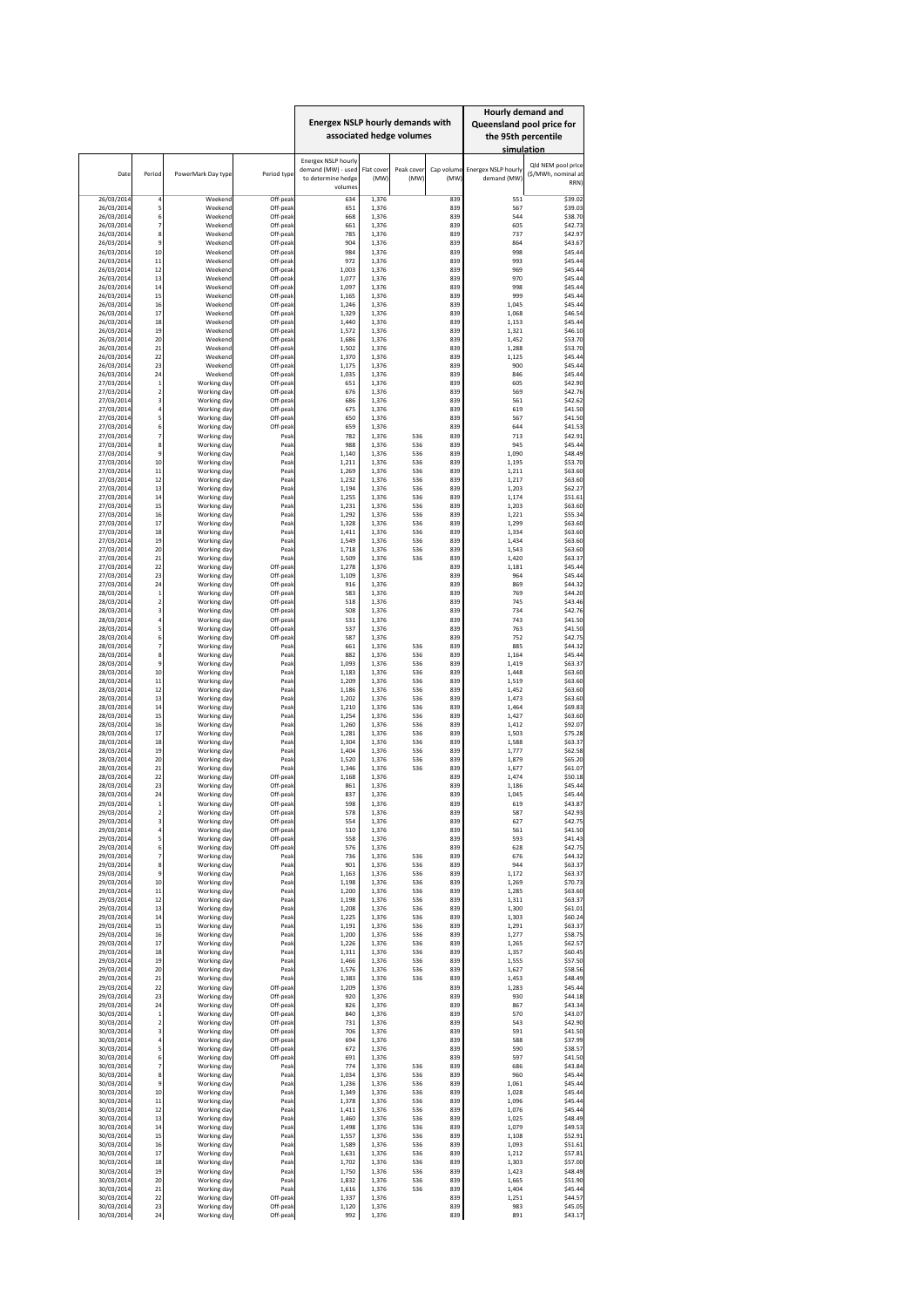|                          |                              |                            |                      |                                                                     |                    |                    | Hourly demand and |                                                  |                             |
|--------------------------|------------------------------|----------------------------|----------------------|---------------------------------------------------------------------|--------------------|--------------------|-------------------|--------------------------------------------------|-----------------------------|
|                          |                              |                            |                      | <b>Energex NSLP hourly demands with</b><br>associated hedge volumes |                    |                    |                   | Queensland pool price for<br>the 95th percentile |                             |
|                          |                              |                            |                      |                                                                     |                    |                    |                   | simulation                                       |                             |
|                          |                              |                            |                      | Energex NSLP hourly                                                 |                    |                    |                   |                                                  | Qld NEM pool price          |
| Date                     | Period                       | PowerMark Day type         | Period type          | demand (MW) - used<br>to determine hedge                            | Flat cover<br>(MW) | Peak cover<br>(MW) | Cap volume<br>(MW | Energex NSLP hourly<br>demand (MW)               | (\$/MWh, nominal at<br>RRN) |
| 26/03/2014               | $\overline{a}$               | Weekend                    | Off-peal             | volumes<br>634                                                      | 1,376              |                    | 839               | 551                                              | \$39.02                     |
| 26/03/2014               | 5                            | Weekend                    | Off-peal             | 651                                                                 | 1,376              |                    | 839               | 567                                              | \$39.03                     |
| 26/03/2014               | 6                            | Weekend                    | Off-peal             | 668                                                                 | 1,376              |                    | 839               | 544                                              | \$38.70                     |
| 26/03/2014               | 7                            | Weekend                    | Off-peal             | 661                                                                 | 1,376              |                    | 839               | 605                                              | \$42.73                     |
| 26/03/2014<br>26/03/2014 | 8<br>9                       | Weekend<br>Weekend         | Off-peal             | 785<br>904                                                          | 1,376<br>1.376     |                    | 839<br>839        | 737<br>864                                       | \$42.97<br>\$43.67          |
| 26/03/2014               | 10                           | Weekend                    | Off-peal<br>Off-peal | 984                                                                 | 1,376              |                    | 839               | 998                                              | \$45.44                     |
| 26/03/2014               | 11                           | Weekend                    | Off-peal             | 972                                                                 | 1,376              |                    | 839               | 993                                              | \$45.44                     |
| 26/03/2014               | 12                           | Weekend                    | Off-peal             | 1,003                                                               | 1,376              |                    | 839               | 969                                              | \$45.44                     |
| 26/03/2014               | 13                           | Weekend                    | Off-peal             | 1.077                                                               | 1,376              |                    | 839               | 970                                              | \$45.44                     |
| 26/03/2014               | 14                           | Weekend                    | Off-peal             | 1,097                                                               | 1,376              |                    | 839               | 998                                              | \$45.44                     |
| 26/03/2014               | 15                           | Weekend                    | Off-peal             | 1,165                                                               | 1,376              |                    | 839               | 999                                              | \$45.44                     |
| 26/03/2014               | 16                           | Weekend                    | Off-peak             | 1,246                                                               | 1,376              |                    | 839               | 1,045                                            | \$45.44                     |
| 26/03/2014               | 17                           | Weekend                    | Off-peal             | 1,329                                                               | 1,376              |                    | 839               | 1,068                                            | \$46.54                     |
| 26/03/2014               | 18                           | Weekend<br>Weekend         | Off-peal             | 1.440                                                               | 1,376              |                    | 839<br>839        | 1.153                                            | \$45.44                     |
| 26/03/2014<br>26/03/2014 | 19<br>20                     | Weekend                    | Off-peal<br>Off-peal | 1,572<br>1,686                                                      | 1,376<br>1,376     |                    | 839               | 1,321<br>1,452                                   | \$46.10<br>\$53.70          |
| 26/03/2014               | 21                           | Weekend                    | Off-peal             | 1,502                                                               | 1,376              |                    | 839               | 1,288                                            | \$53.70                     |
| 26/03/2014               | 22                           | Weekend                    | Off-peal             | 1,370                                                               | 1.376              |                    | 839               | 1.125                                            | \$45.44                     |
| 26/03/2014               | 23                           | Weekend                    | Off-peal             | 1,175                                                               | 1,376              |                    | 839               | 900                                              | \$45.44                     |
| 26/03/2014               | 24                           | Weekend                    | Off-peak             | 1,035                                                               | 1,376              |                    | 839               | 846                                              | \$45.44                     |
| 27/03/2014               | 1                            | Working day                | Off-peal             | 651                                                                 | 1,376              |                    | 839               | 605                                              | \$42.90                     |
| 27/03/2014               | $\overline{2}$               | Working day                | Off-peal             | 676                                                                 | 1,376              |                    | 839               | 569                                              | \$42.76                     |
| 27/03/2014               | 3                            | Working day                | Off-peal             | 686                                                                 | 1,376              |                    | 839               | 561                                              | \$42.62                     |
| 27/03/2014               | 4<br>5                       | Working day<br>Working day | Off-peal<br>Off-peal | 675<br>650                                                          | 1,376<br>1,376     |                    | 839<br>839        | 619<br>567                                       | \$41.50<br>\$41.50          |
| 27/03/2014<br>27/03/2014 | 6                            | Working day                | Off-peak             | 659                                                                 | 1,376              |                    | 839               | 644                                              | \$41.53                     |
| 27/03/2014               | $\overline{7}$               | Working day                | Peal                 | 782                                                                 | 1,376              | 536                | 839               | 713                                              | \$42.91                     |
| 27/03/2014               | 8                            | Working day                | Peal                 | 988                                                                 | 1,376              | 536                | 839               | 945                                              | \$45.44                     |
| 27/03/2014               | $\overline{9}$               | Working day                | Peak                 | 1,140                                                               | 1,376              | 536                | 839               | 1,090                                            | \$48.49                     |
| 27/03/2014               | 10                           | Working day                | Peak                 | 1.211                                                               | 1,376              | 536                | 839               | 1.195                                            | \$53.70                     |
| 27/03/2014               | 11                           | Working day                | Peal                 | 1,269                                                               | 1,376              | 536                | 839               | 1,211                                            | \$63.60                     |
| 27/03/2014               | 12                           | Working day                | Peal                 | 1,232                                                               | 1,376              | 536                | 839               | 1,217                                            | \$63.60                     |
| 27/03/2014               | 13                           | Working day                | Peal                 | 1,194                                                               | 1,376              | 536                | 839               | 1,203                                            | \$62.27                     |
| 27/03/2014               | 14                           | Working day                | Peal                 | 1,255                                                               | 1,376              | 536                | 839               | 1,174                                            | \$51.61                     |
| 27/03/2014               | 15                           | Working day                | Peal                 | 1.231                                                               | 1.376              | 536                | 839               | 1,203                                            | \$63.60                     |
| 27/03/2014               | 16                           | Working day                | Peal                 | 1,292                                                               | 1,376              | 536                | 839               | 1,221                                            | \$55.34                     |
| 27/03/2014               | 17                           | Working day                | Peal                 | 1,328                                                               | 1,376              | 536                | 839               | 1,299                                            | \$63.60                     |
| 27/03/2014               | 18                           | Working day                | Peal                 | 1,411                                                               | 1,376              | 536                | 839               | 1,334                                            | \$63.60                     |
| 27/03/2014               | 19                           | Working day                | Peal                 | 1.549                                                               | 1.376              | 536                | 839               | 1,434                                            | \$63.60                     |
| 27/03/2014               | 20                           | Working day                | Peal                 | 1,718                                                               | 1,376              | 536                | 839               | 1,543                                            | \$63.60                     |
| 27/03/2014               | 21                           | Working day                | Peal                 | 1,509                                                               | 1,376              | 536                | 839               | 1,420                                            | \$63.37                     |
| 27/03/2014               | 22                           | Working day                | Off-peal             | 1,278                                                               | 1,376              |                    | 839               | 1,181                                            | \$45.44                     |
| 27/03/2014               | 23                           | Working day                | Off-peal             | 1,109                                                               | 1,376              |                    | 839               | 964                                              | \$45.44                     |
| 27/03/2014               | 24                           | Working day                | Off-peal             | 916                                                                 | 1,376              |                    | 839               | 869                                              | \$44.32                     |
| 28/03/2014               | $\mathbf 1$                  | Working day                | Off-peal             | 583                                                                 | 1,376              |                    | 839               | 769                                              | \$44.20                     |
| 28/03/2014               | $\mathbf 2$                  | Working day                | Off-peal             | 518                                                                 | 1,376              |                    | 839               | 745                                              | \$43.46                     |
| 28/03/2014               | $\overline{\mathbf{3}}$      | Working day                | Off-peal             | 508                                                                 | 1,376              |                    | 839               | 734                                              | \$42.76                     |
| 28/03/2014               | 4                            | Working day                | Off-peal             | 531                                                                 | 1,376              |                    | 839               | 743                                              | \$41.50                     |
| 28/03/2014               | 5                            | Working day                | Off-peal             | 537                                                                 | 1,376              |                    | 839               | 763                                              | \$41.50                     |
| 28/03/2014               | 6                            | Working day                | Off-peal             | 587                                                                 | 1,376              |                    | 839               | 752                                              | \$42.7                      |
| 28/03/2014               | $\overline{7}$               | Working day                | Peal                 | 661                                                                 | 1.376              | 536                | 839               | 885                                              | \$44.32                     |
| 28/03/2014               | 8                            | Working day                | Peal                 | 882                                                                 | 1,376              | 536                | 839               | 1,164                                            | \$45.44                     |
| 28/03/2014               | 9                            | Working day                | Peal                 | 1,093                                                               | 1,376              | 536                | 839               | 1,419                                            | \$63.37                     |
| 28/03/2014               | 10                           | Working day                | Peal                 | 1,183                                                               | 1,376              | 536                | 839               | 1,448                                            | \$63.60                     |
| 28/03/2014               | 11                           | Working day                | Peal                 | 1.209                                                               | 1,376              | 536                | 839               | 1,519                                            | \$63.60                     |
| 28/03/2014               | 12                           | Working day                | Peal                 | 1.186                                                               | 1.376              | 536                | 839               | 1.452                                            | \$63.60                     |
| 28/03/2014               | 13                           | Working day                | Peal                 | 1,202                                                               | 1,376              | 536                | 839               | 1,473                                            | \$63.60                     |
| 28/03/2014               | 14                           | Working day                | Peal                 | 1,210                                                               | 1,376              | 536                | 839               | 1,464                                            | \$69.8                      |
| 28/03/2014               | 15                           | Working day                | Peal                 | 1,254                                                               | 1,376              | 536                | 839               | 1,427                                            | \$63.60                     |
| 28/03/2014               | 16                           | Working day                | Peal                 | 1.260                                                               | 1,376              | 536                | 839               | 1,412                                            | \$92.07                     |
| 28/03/2014               | 17                           | Working day                | Peak                 | 1,281                                                               | 1,376              | 536                | 839               | 1,503                                            | \$75.28                     |
| 28/03/2014               | 18                           | Working day                | Peal                 | 1,304                                                               | 1,376              | 536                | 839               | 1,588                                            | \$63.37                     |
| 28/03/2014               | 19                           | Working day                | Peal                 | 1,404                                                               | 1,376              | 536                | 839               | 1,777                                            | \$62.58                     |
| 28/03/2014               | 20                           | Working day                | Peak                 | 1,520                                                               | 1.376              | 536                | 839               | 1,879                                            | \$65.20                     |
| 28/03/2014               | 21                           | Working day                | Peal                 | 1,346                                                               | 1,376              | 536                | 839               | 1,677                                            | \$61.07                     |
| 28/03/2014               | 22                           | Working day                | Off-peal             | 1,168                                                               | 1,376              |                    | 839               | 1,474                                            | \$50.18                     |
| 28/03/2014               | 2 <sup>2</sup>               | Working day                | Off-peal             | 861                                                                 | 1,376              |                    | 839               | 1,186                                            | \$45.44                     |
| 28/03/2014               | 24                           | Working day                | Off-peak             | 837                                                                 | 1,376              |                    | 839               | 1,045                                            | \$45.44                     |
| 29/03/2014<br>29/03/2014 | $\overline{\mathbf{c}}$      | Working day<br>Working day | Off-peal<br>Off-peak | 598<br>578                                                          | 1.376<br>1,376     |                    | 839<br>839        | 619<br>587                                       | \$43.87<br>\$42.93          |
| 29/03/2014<br>29/03/2014 | $\overline{\mathbf{3}}$<br>4 | Working day                | Off-peak<br>Off-peak | 554<br>510                                                          | 1,376<br>1,376     |                    | 839<br>839        | 627<br>561                                       | \$42.75<br>\$41.50          |
| 29/03/2014               | 5                            | Working day<br>Working day | Off-peak             | 558                                                                 | 1,376              |                    | 839               | 593                                              | \$41.43                     |
| 29/03/2014               | 6                            | Working day                | Off-peak             | 576                                                                 | 1,376              | 536                | 839               | 628                                              | \$42.75                     |
| 29/03/2014               | $\overline{7}$               | Working day                | Peal                 | 736                                                                 | 1,376              |                    | 839               | 676                                              | \$44.32                     |
| 29/03/2014               | 8                            | Working day                | Peak                 | 901                                                                 | 1,376              | 536                | 839               | 944                                              | \$63.37                     |
| 29/03/2014               | 9                            | Working day                | Peak                 | 1,163                                                               | 1,376              | 536                | 839               | 1,172                                            | \$63.37                     |
| 29/03/2014               | 10                           | Working day                | Peak                 | 1,198                                                               | 1,376              | 536                | 839               | 1,269                                            | \$70.73                     |
| 29/03/2014               | 11                           | Working day                | Peak                 | 1,200                                                               | 1,376              | 536                | 839               | 1,285                                            | \$63.60                     |
| 29/03/2014               | 12                           | Working day                | Peak                 | 1,198                                                               | 1,376              | 536                | 839               | 1,311                                            | \$63.37                     |
| 29/03/2014               | 13                           | Working day                | Peak                 | 1.208                                                               | 1,376              | 536                | 839               | 1,300                                            | \$61.01                     |
| 29/03/2014               | 14                           | Working day                | Peak                 | 1,225                                                               | 1,376              | 536                | 839               | 1,303                                            | \$60.24                     |
| 29/03/2014               | 15                           | Working day                | Peak                 | 1,191                                                               | 1,376              | 536                | 839               | 1,291                                            | \$63.37                     |
| 29/03/2014               | 16                           | Working day                | Peal                 | 1,200                                                               | 1,376              | 536                | 839               | 1,277                                            | \$58.75                     |
| 29/03/2014               | 17                           | Working day                | Peak                 | 1.226                                                               | 1.376              | 536                | 839               | 1,265                                            | \$62.57                     |
| 29/03/2014               | 18                           | Working day                | Peak                 | 1,311                                                               | 1,376              | 536                | 839               | 1,357                                            | \$60.45                     |
| 29/03/2014               | 19                           | Working day                | Peak                 | 1,466                                                               | 1,376              | 536                | 839               | 1,555                                            | \$57.50                     |
| 29/03/2014               | 20                           | Working day                | Peal                 | 1,576                                                               | 1,376              | 536                | 839               | 1,627                                            | \$58.56                     |
| 29/03/2014               | 21                           | Working day                | Peal                 | 1.383                                                               | 1.376              | 536                | 839               | 1,453                                            | \$48.49                     |
| 29/03/2014               | 22                           | Working day                | Off-peak             | 1,209                                                               | 1,376              |                    | 839               | 1,283                                            | \$45.44                     |
| 29/03/2014               | 23                           | Working day                | Off-peak             | 920                                                                 | 1,376              |                    | 839               | 930                                              | \$44.18                     |
| 29/03/2014               | 24                           | Working day                | Off-peak             | 826                                                                 | 1,376              |                    | 839               | 867                                              | \$43.34                     |
| 30/03/2014               | $\mathbf{1}$                 | Working day                | Off-peak             | 840                                                                 | 1,376              |                    | 839<br>839        | 570                                              | \$43.07                     |
| 30/03/2014<br>30/03/2014 | $\mathbf 2$<br>3             | Working day<br>Working day | Off-peak<br>Off-peak | 731<br>706                                                          | 1,376<br>1,376     |                    | 839               | 543<br>591                                       | \$42.90<br>\$41.50          |
| 30/03/2014               | $\overline{a}$               | Working day                | Off-peak             | 694                                                                 | 1,376              |                    | 839               | 588                                              | \$37.99                     |
| 30/03/2014               | 5                            | Working day                | Off-peak             | 672                                                                 | 1,376              |                    | 839               | 590                                              | \$38.57                     |
| 30/03/2014<br>30/03/2014 | 6<br>$\overline{7}$          | Working day                | Off-peak<br>Peak     | 691<br>774                                                          | 1,376<br>1,376     | 536                | 839<br>839        | 597<br>686                                       | \$41.50<br>\$43.84          |
| 30/03/2014               | 8                            | Working day<br>Working day | Peal                 | 1,034                                                               | 1,376              | 536                | 839               | 960                                              | \$45.44                     |
| 30/03/2014               | 9                            | Working day                | Peal                 | 1,236                                                               | 1,376              | 536                | 839               | 1,061                                            | \$45.44                     |
| 30/03/2014               | 10                           | Working day                | Peak                 | 1,349                                                               | 1.376              | 536                | 839               | 1,028                                            | \$45.44                     |
| 30/03/2014               | 11                           | Working day                | Peak                 | 1,378                                                               | 1,376              | 536                | 839               | 1,096                                            | \$45.44                     |
| 30/03/2014               | 12                           | Working day                | Peak                 | 1,411                                                               | 1,376              | 536                | 839               | 1,076                                            | \$45.44                     |
| 30/03/2014               | 13                           | Working day                | Peal                 | 1,460                                                               | 1,376              | 536                | 839               | 1,025                                            | \$48.49                     |
| 30/03/2014               | 14                           | Working day                | Peal                 | 1.498                                                               | 1.376              | 536                | 839               | 1,079                                            | \$49.53                     |
| 30/03/2014               | 15                           | Working day                | Peak                 | 1,557                                                               | 1,376              | 536                | 839               | 1,108                                            | \$52.91                     |
| 30/03/2014               | 16                           | Working day                | Peak                 | 1,589                                                               | 1,376              | 536                | 839               | 1,093                                            | \$51.61                     |
| 30/03/2014               | 17                           | Working day                | Peak                 | 1,631                                                               | 1,376              | 536                | 839               | 1,212                                            | \$57.81                     |
| 30/03/2014               | 18                           | Working day                | Peak                 | 1,702                                                               | 1,376              | 536                | 839               | 1,303                                            | \$57.00                     |
| 30/03/2014               | 19                           | Working day                | Peak                 | 1,750                                                               | 1,376              | 536                | 839               | 1,423                                            | \$48.49                     |
| 30/03/2014               | 20                           | Working day                | Peak                 | 1,832                                                               | 1,376              | 536                | 839               | 1,665                                            | \$51.90                     |
| 30/03/2014               | 21                           | Working day                | Peak                 | 1,616                                                               | 1,376              | 536                | 839               | 1,404                                            | \$45.44                     |
| 30/03/2014               | 22                           | Working day                | Off-peak             | 1,337                                                               | 1,376              |                    | 839               | 1,251                                            | \$44.57                     |
| 30/03/2014               | 23                           | Working day                | Off-peak             | 1,120                                                               | 1,376              |                    | 839               | 983                                              | \$45.05                     |
| 30/03/2014               | 24                           | Working day                | Off-peak             | 992                                                                 | 1,376              |                    | 839               | 891                                              | \$43.17                     |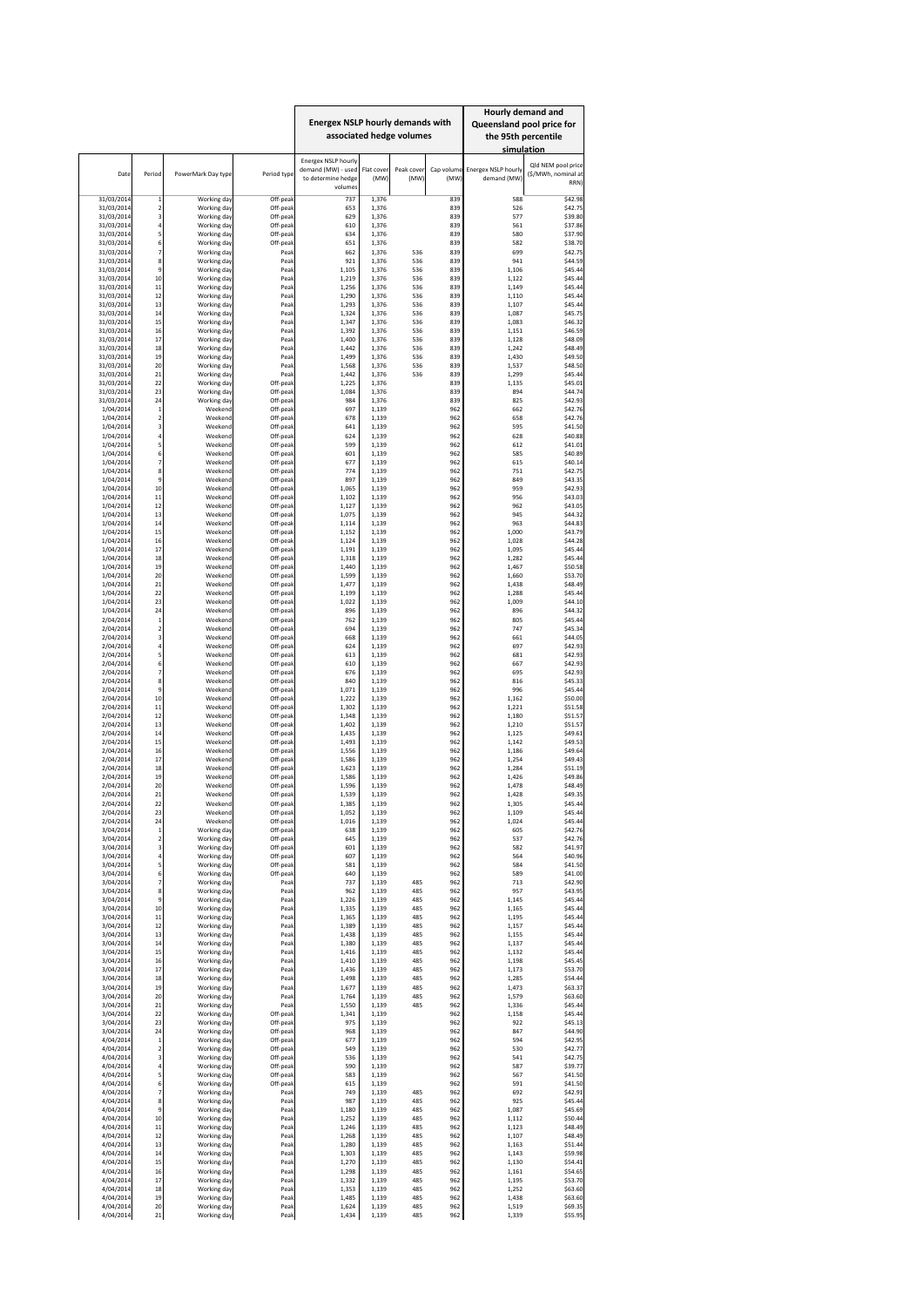|                          |                                |                            |                      |                                                                     |                    |                    |                    | Hourly demand and<br>Queensland pool price for |                     |  |
|--------------------------|--------------------------------|----------------------------|----------------------|---------------------------------------------------------------------|--------------------|--------------------|--------------------|------------------------------------------------|---------------------|--|
|                          |                                |                            |                      | <b>Energex NSLP hourly demands with</b><br>associated hedge volumes |                    |                    |                    | the 95th percentile                            |                     |  |
|                          |                                |                            |                      |                                                                     |                    |                    |                    | simulation                                     |                     |  |
|                          |                                |                            |                      | Energex NSLP hourly                                                 |                    |                    |                    |                                                | Qld NEM pool price  |  |
| Date                     | Period                         | PowerMark Day type         | Period type          | demand (MW) - used<br>to determine hedge                            | Flat cover<br>(MW) | Peak cover<br>(MW) | Cap volume<br>(MW) | Energex NSLP hourly<br>demand (MW              | (\$/MWh, nominal at |  |
|                          |                                |                            |                      | volumes                                                             |                    |                    |                    |                                                | RRN)                |  |
| 31/03/2014<br>31/03/2014 | $\mathbf{1}$<br>$\overline{2}$ | Working day<br>Working day | Off-peal<br>Off-peal | 737<br>653                                                          | 1,376<br>1,376     |                    | 839<br>839         | 588<br>526                                     | \$42.98<br>\$42.75  |  |
| 31/03/2014               | 3                              | Working day                | Off-peak             | 629                                                                 | 1,376              |                    | 839                | 577                                            | \$39.80             |  |
| 31/03/2014<br>31/03/2014 | 4<br>5                         | Working day<br>Working day | Off-peal<br>Off-peal | 610<br>634                                                          | 1,376<br>1,376     |                    | 839<br>839         | 561<br>580                                     | \$37.86<br>\$37.90  |  |
| 31/03/2014               | 6                              | Working day                | Off-peal             | 651                                                                 | 1,376              |                    | 839                | 582                                            | \$38.70             |  |
| 31/03/2014<br>31/03/2014 | 7<br>$\bf8$                    | Working day<br>Working day | Peal<br>Peal         | 662<br>921                                                          | 1,376<br>1,376     | 536<br>536         | 839<br>839         | 699<br>941                                     | \$42.75<br>\$44.59  |  |
| 31/03/2014               | 9                              | Working day                | Peal                 | 1,105                                                               | 1,376              | 536                | 839                | 1,106                                          | \$45.44             |  |
| 31/03/2014<br>31/03/2014 | 10<br>$11\,$                   | Working day<br>Working day | Peak<br>Peak         | 1.219<br>1,256                                                      | 1.376<br>1,376     | 536<br>536         | 839<br>839         | 1.122<br>1,149                                 | \$45.44<br>\$45.44  |  |
| 31/03/2014               | 12                             | Working day                | Peak                 | 1,290                                                               | 1,376              | 536                | 839                | 1,110                                          | \$45.44             |  |
| 31/03/2014<br>31/03/2014 | 13<br>14                       | Working day<br>Working day | Peak<br>Peak         | 1,293<br>1,324                                                      | 1,376<br>1,376     | 536<br>536         | 839<br>839         | 1,107<br>1,087                                 | \$45.44<br>\$45.75  |  |
| 31/03/2014<br>31/03/2014 | 15<br>16                       | Working day<br>Working day | Peak<br>Peal         | 1.347<br>1,392                                                      | 1,376<br>1,376     | 536<br>536         | 839<br>839         | 1.083<br>1,151                                 | \$46.32<br>\$46.59  |  |
| 31/03/2014               | 17                             | Working day                | Peal                 | 1,400                                                               | 1,376              | 536                | 839                | 1,128                                          | \$48.09             |  |
| 31/03/2014<br>31/03/2014 | 18<br>19                       | Working day<br>Working day | Peal<br>Peak         | 1,442<br>1.499                                                      | 1,376<br>1.376     | 536<br>536         | 839<br>839         | 1,242<br>1.430                                 | \$48.49<br>\$49.50  |  |
| 31/03/2014               | 20                             | Working day                | Peak                 | 1,568                                                               | 1,376              | 536                | 839                | 1,537                                          | \$48.50             |  |
| 31/03/2014<br>31/03/2014 | 21<br>22                       | Working day<br>Working day | Peak<br>Off-peak     | 1,442<br>1,225                                                      | 1,376<br>1,376     | 536                | 839<br>839         | 1,299<br>1,135                                 | \$45.44<br>\$45.01  |  |
| 31/03/2014<br>31/03/2014 | 23<br>24                       | Working day<br>Working day | Off-peal<br>Off-peal | 1.084<br>984                                                        | 1.376<br>1,376     |                    | 839<br>839         | 894<br>825                                     | \$44.74<br>\$42.93  |  |
| 1/04/2014                | $\mathbf{1}$                   | Weekend                    | Off-peal             | 697                                                                 | 1,139              |                    | 962                | 662                                            | \$42.76             |  |
| 1/04/2014<br>1/04/2014   | $\overline{\mathbf{c}}$<br>3   | Weekend<br>Weekend         | Off-peal<br>Off-peal | 678<br>641                                                          | 1,139<br>1,139     |                    | 962<br>962         | 658<br>595                                     | \$42.76<br>\$41.50  |  |
| 1/04/2014                | 4                              | Weekend                    | Off-peak             | 624                                                                 | 1,139              |                    | 962                | 628                                            | \$40.88             |  |
| 1/04/2014<br>1/04/2014   | 5<br>6                         | Weekend<br>Weekend         | Off-peak<br>Off-peak | 599<br>601                                                          | 1,139<br>1,139     |                    | 962<br>962         | 612<br>585                                     | \$41.01<br>\$40.89  |  |
| 1/04/2014<br>1/04/2014   | $\overline{7}$<br>8            | Weekend                    | Off-peal             | 677<br>774                                                          | 1,139              |                    | 962                | 615                                            | \$40.14             |  |
| 1/04/2014                | 9                              | Weekend<br>Weekend         | Off-peal<br>Off-peal | 897                                                                 | 1,139<br>1,139     |                    | 962<br>962         | 751<br>849                                     | \$42.75<br>\$43.35  |  |
| 1/04/2014<br>1/04/2014   | 10<br>11                       | Weekend<br>Weekend         | Off-peak<br>Off-peak | 1,065<br>1,102                                                      | 1,139<br>1,139     |                    | 962<br>962         | 959<br>956                                     | \$42.93<br>\$43.03  |  |
| 1/04/2014                | 12                             | Weekend                    | Off-peak             | 1.127                                                               | 1.139              |                    | 962                | 962                                            | \$43.05             |  |
| 1/04/2014<br>1/04/2014   | 13<br>14                       | Weekend<br>Weekend         | Off-peak<br>Off-peak | 1,075<br>1,114                                                      | 1,139<br>1,139     |                    | 962<br>962         | 945<br>963                                     | \$44.32<br>\$44.83  |  |
| 1/04/2014                | 15                             | Weekend                    | Off-peak             | 1,152                                                               | 1,139              |                    | 962                | 1,000                                          | \$43.79             |  |
| 1/04/2014<br>1/04/2014   | 16<br>17                       | Weekend<br>Weekend         | Off-peak<br>Off-peal | 1.124<br>1,191                                                      | 1,139<br>1,139     |                    | 962<br>962         | 1.028<br>1,095                                 | \$44.28<br>\$45.44  |  |
| 1/04/2014<br>1/04/2014   | 18<br>19                       | Weekend<br>Weekend         | Off-peal<br>Off-peak | 1,318<br>1,440                                                      | 1,139              |                    | 962<br>962         | 1,282<br>1,467                                 | \$45.44<br>\$50.58  |  |
| 1/04/2014                | 20                             | Weekend                    | Off-peak             | 1.599                                                               | 1,139<br>1,139     |                    | 962                | 1,660                                          | \$53.70             |  |
| 1/04/2014<br>1/04/2014   | 21<br>22                       | Weekend<br>Weekend         | Off-peak<br>Off-peak | 1,477<br>1,199                                                      | 1,139<br>1,139     |                    | 962<br>962         | 1,438<br>1,288                                 | \$48.49<br>\$45.44  |  |
| 1/04/2014                | 23                             | Weekend                    | Off-peak             | 1,022                                                               | 1,139              |                    | 962                | 1,009                                          | \$44.10             |  |
| 1/04/2014<br>2/04/2014   | 24<br>$\mathbf 1$              | Weekend<br>Weekend         | Off-peal<br>Off-peal | 896<br>762                                                          | 1,139<br>1,139     |                    | 962<br>962         | 896<br>805                                     | \$44.32<br>\$45.44  |  |
| 2/04/2014                | $\overline{\mathbf{c}}$        | Weekend                    | Off-peal             | 694                                                                 | 1,139              |                    | 962                | 747<br>661                                     | \$45.34             |  |
| 2/04/2014<br>2/04/2014   | 3<br>4                         | Weekend<br>Weekend         | Off-peal<br>Off-peak | 668<br>624                                                          | 1,139<br>1.139     |                    | 962<br>962         | 697                                            | \$44.05<br>\$42.93  |  |
| 2/04/2014<br>2/04/2014   | 5<br>6                         | Weekend<br>Weekend         | Off-peak<br>Off-peak | 613<br>610                                                          | 1,139<br>1,139     |                    | 962<br>962         | 681<br>667                                     | \$42.93<br>\$42.93  |  |
| 2/04/2014                | $\overline{\phantom{a}}$       | Weekend                    | Off-peak             | 676                                                                 | 1,139              |                    | 962                | 695                                            | \$42.93             |  |
| 2/04/2014<br>2/04/2014   | 8<br>9                         | Weekend<br>Weekend         | Off-peal<br>Off-peal | 840<br>1.071                                                        | 1,139<br>1.139     |                    | 962<br>962         | 816<br>996                                     | \$45.33<br>\$45.44  |  |
| 2/04/2014                | 10                             | Weekend                    | Off-peal             | 1,222                                                               | 1,139              |                    | 962                | 1,162                                          | \$50.00             |  |
| 2/04/2014<br>2/04/2014   | 11<br>12                       | Weekend<br>Weekend         | Off-peal<br>Off-peak | 1,302<br>1,348                                                      | 1,139<br>1,139     |                    | 962<br>962         | 1,221<br>1,180                                 | \$51.58<br>\$51.57  |  |
| 2/04/2014<br>2/04/2014   | 13<br>14                       | Weekend<br>Weekend         | Off-peak<br>Off-peak | 1.402<br>1,435                                                      | 1,139<br>1,139     |                    | 962<br>962         | 1,210<br>1,125                                 | \$51.57<br>\$49.61  |  |
| 2/04/2014                | 15                             | Weekend                    | Off-peak             | 1,493                                                               | 1,139              |                    | 962                | 1,142                                          | \$49.53             |  |
| 2/04/2014<br>2/04/2014   | 16<br>17                       | Weekend<br>Weekend         | Off-peak<br>Off-peak | 1,556<br>1.586                                                      | 1,139<br>1,139     |                    | 962<br>962         | 1,186<br>1.254                                 | \$49.64<br>\$49.43  |  |
| 2/04/2014<br>2/04/2014   | 18                             | Weekend                    | Off-peal             | 1,623                                                               | 1,139              |                    | 962                | 1,284                                          | \$51.19             |  |
| 2/04/2014                | 19<br>20                       | Weekend<br>Weekend         | Off-peal<br>Off-peal | 1,586<br>1,596                                                      | 1,139<br>1,139     |                    | 962<br>962         | 1,426<br>1,478                                 | \$49.86<br>\$48.49  |  |
| 2/04/2014<br>2/04/2014   | 21<br>22                       | Weekend<br>Weekend         | Off-peak<br>Off-peak | 1,539<br>1.385                                                      | 1.139<br>1,139     |                    | 962<br>962         | 1.428<br>1.305                                 | \$49.35<br>\$45.44  |  |
| 2/04/2014                | 23                             | Weekend                    | Off-peak             | 1,052                                                               | 1,139              |                    | 962                | 1,109                                          | \$45.44             |  |
| 2/04/2014<br>3/04/2014   | 24<br>$\mathbf{1}$             | Weekend<br>Working day     | Off-peak<br>Off-peak | 1,016<br>638                                                        | 1,139<br>1,139     |                    | 962<br>962         | 1,024<br>605                                   | \$45.44<br>\$42.76  |  |
| 3/04/2014                | $\overline{\mathbf{c}}$        | Working day                | Off-peak<br>Off-peal | 645                                                                 | 1,139              |                    | 962                | 537                                            | \$42.76             |  |
| 3/04/2014<br>3/04/2014   | 3<br>$\overline{\mathbf{r}}$   | Working day<br>Working day | Off-peak             | 601<br>607                                                          | 1,139<br>1,139     |                    | 962<br>962         | 582<br>564                                     | \$41.97<br>\$40.96  |  |
| 3/04/2014<br>3/04/2014   | 5<br>6                         | Working day<br>Working day | Off-peak<br>Off-peak | 581<br>640                                                          | 1,139<br>1,139     |                    | 962<br>962         | 584<br>589                                     | \$41.50<br>\$41.00  |  |
| 3/04/2014                | $\overline{\phantom{a}}$       | Working day                | Peak                 | 737                                                                 | 1,139              | 485                | 962                | 713                                            | \$42.90             |  |
| 3/04/2014<br>3/04/2014   | $\bf8$<br>9                    | Working day<br>Working day | Peak<br>Peak         | 962<br>1,226                                                        | 1,139<br>1,139     | 485<br>485         | 962<br>962         | 957<br>1,145                                   | \$43.95<br>\$45.44  |  |
| 3/04/2014                | 10                             | Working day<br>Working day | Peak                 | 1.335                                                               | 1,139              | 485<br>485         | 962<br>962         | 1,165                                          | \$45.44<br>\$45.44  |  |
| 3/04/2014<br>3/04/2014   | 11<br>12                       | Working day                | Peak<br>Peak         | 1,365<br>1,389                                                      | 1,139<br>1,139     | 485                | 962                | 1,195<br>1,157                                 | \$45.44             |  |
| 3/04/2014<br>3/04/2014   | 13<br>14                       | Working day<br>Working day | Peak<br>Peak         | 1,438<br>1.380                                                      | 1,139<br>1.139     | 485<br>485         | 962<br>962         | 1,155<br>1.137                                 | \$45.44<br>\$45.44  |  |
| 3/04/2014                | 15                             | Working day                | Peak                 | 1,416                                                               | 1,139              | 485                | 962                | 1,132                                          | \$45.44             |  |
| 3/04/2014<br>3/04/2014   | 16<br>17                       | Working day<br>Working day | Peak<br>Peak         | 1,410<br>1,436                                                      | 1,139<br>1,139     | 485<br>485         | 962<br>962         | 1,198<br>1,173                                 | \$45.45<br>\$53.70  |  |
| 3/04/2014                | 18                             | Working day<br>Working day | Peal<br>Peal         | 1.498                                                               | 1,139              | 485<br>485         | 962<br>962         | 1.285                                          | \$54.44<br>\$63.37  |  |
| 3/04/2014<br>3/04/2014   | 19<br>20                       | Working day                | Peal                 | 1,677<br>1,764                                                      | 1,139<br>1,139     | 485                | 962                | 1,473<br>1,579                                 | \$63.60             |  |
| 3/04/2014<br>3/04/2014   | 21<br>22                       | Working day<br>Working day | Peak<br>Off-peak     | 1,550<br>1,341                                                      | 1,139<br>1.139     | 485                | 962<br>962         | 1,336<br>1,158                                 | \$45.44<br>\$45.44  |  |
| 3/04/2014                | 23                             | Working day                | Off-peak             | 975                                                                 | 1,139              |                    | 962                | 922                                            | \$45.13             |  |
| 3/04/2014<br>4/04/2014   | 24<br>$\mathbf{1}$             | Working day<br>Working day | Off-peak<br>Off-peak | 968<br>677                                                          | 1,139<br>1,139     |                    | 962<br>962         | 847<br>594                                     | \$44.90<br>\$42.95  |  |
| 4/04/2014                | $\overline{2}$<br>3            | Working day                | Off-peak             | 549<br>536                                                          | 1,139              |                    | 962<br>962         | 530<br>541                                     | \$42.77             |  |
| 4/04/2014<br>4/04/2014   | 4                              | Working day<br>Working day | Off-peak<br>Off-peal | 590                                                                 | 1,139<br>1,139     |                    | 962                | 587                                            | \$42.75<br>\$39.77  |  |
| 4/04/2014<br>4/04/2014   | 5<br>6                         | Working day<br>Working day | Off-peak<br>Off-peak | 583<br>615                                                          | 1,139<br>1,139     |                    | 962<br>962         | 567<br>591                                     | \$41.50<br>\$41.50  |  |
| 4/04/2014                | 7                              | Working day                | Peak                 | 749                                                                 | 1.139              | 485                | 962                | 692                                            | \$42.91             |  |
| 4/04/2014<br>4/04/2014   | $\bf8$<br>9                    | Working day<br>Working day | Peak<br>Peak         | 987<br>1,180                                                        | 1,139<br>1,139     | 485<br>485         | 962<br>962         | 925<br>1,087                                   | \$45.44<br>\$45.69  |  |
| 4/04/2014                | 10                             | Working day                | Peak                 | 1,252                                                               | 1,139              | 485                | 962                | 1,112                                          | \$50.44             |  |
| 4/04/2014<br>4/04/2014   | 11<br>12                       | Working day<br>Working day | Peal<br>Peal         | 1.246<br>1,268                                                      | 1,139<br>1,139     | 485<br>485         | 962<br>962         | 1.123<br>1,107                                 | \$48.49<br>\$48.49  |  |
| 4/04/2014<br>4/04/2014   | 13<br>14                       | Working day<br>Working day | Peak<br>Peak         | 1,280<br>1,303                                                      | 1,139<br>1,139     | 485<br>485         | 962<br>962         | 1,163<br>1,143                                 | \$51.44<br>\$59.98  |  |
| 4/04/2014                | 15                             | Working day                | Peak                 | 1,270                                                               | 1,139              | 485                | 962                | 1,130                                          | \$54.41             |  |
| 4/04/2014<br>4/04/2014   | 16<br>17                       | Working day<br>Working day | Peak<br>Peak         | 1,298<br>1,332                                                      | 1,139<br>1,139     | 485<br>485         | 962<br>962         | 1,161<br>1,195                                 | \$54.65<br>\$53.70  |  |
| 4/04/2014                | 18                             | Working day                | Peak                 | 1,353                                                               | 1,139              | 485                | 962                | 1,252                                          | \$63.60             |  |
| 4/04/2014<br>4/04/2014   | 19<br>20                       | Working day<br>Working day | Peak<br>Peak         | 1.485<br>1,624                                                      | 1,139<br>1,139     | 485<br>485         | 962<br>962         | 1,438<br>1,519                                 | \$63.60<br>\$69.35  |  |
| 4/04/2014                | 21                             | Working day                | Peak                 | 1,434                                                               | 1,139              | 485                | 962                | 1,339                                          | \$55.95             |  |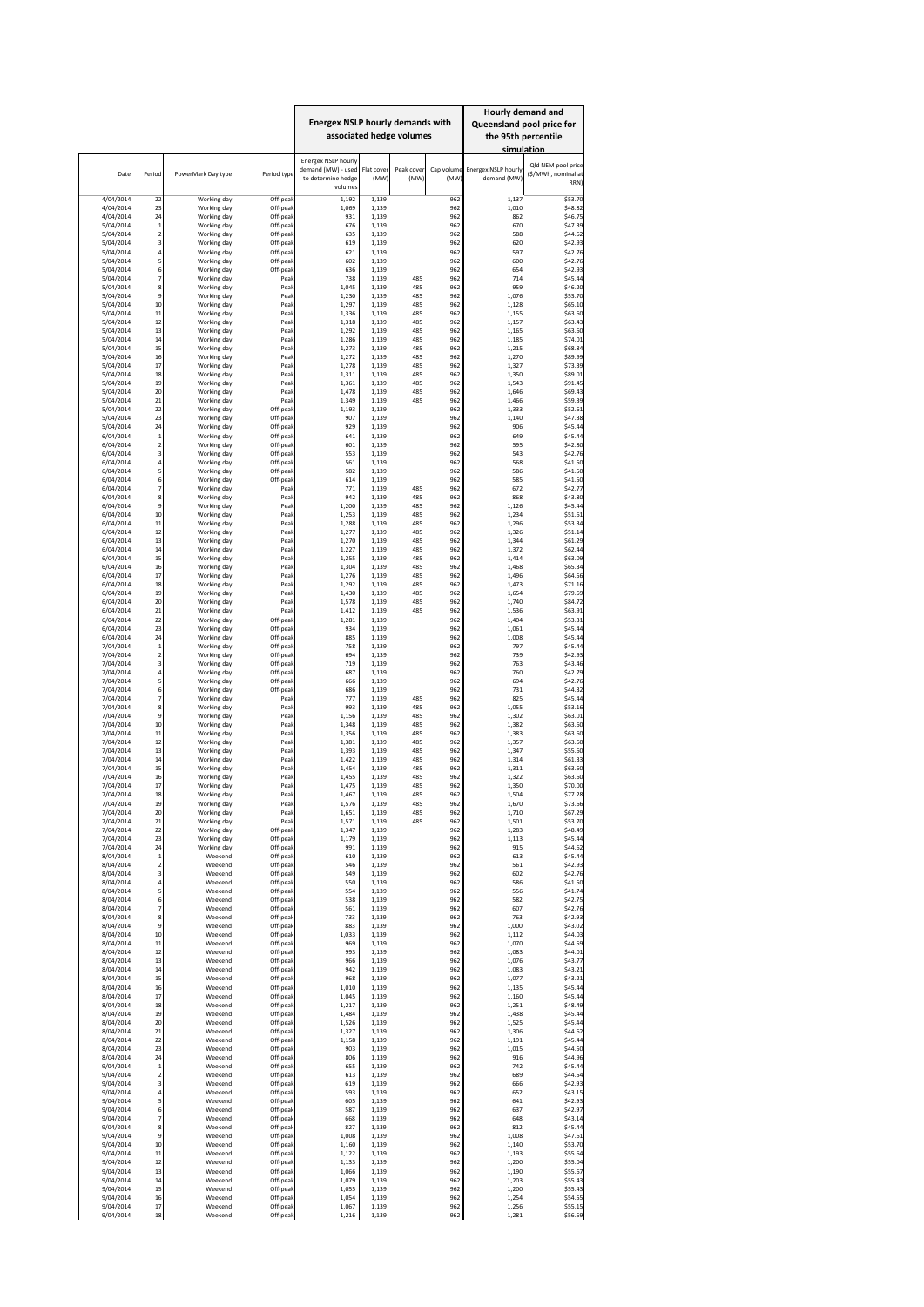|                        |                                                    |                            |                      |                                                                            |                    |                    |                    | Hourly demand and                                              |                                                   |
|------------------------|----------------------------------------------------|----------------------------|----------------------|----------------------------------------------------------------------------|--------------------|--------------------|--------------------|----------------------------------------------------------------|---------------------------------------------------|
|                        |                                                    |                            |                      | <b>Energex NSLP hourly demands with</b><br>associated hedge volumes        |                    |                    |                    | Queensland pool price for<br>the 95th percentile<br>simulation |                                                   |
| Date                   | Period                                             | PowerMark Day type         | Period type          | Energex NSLP hourly<br>demand (MW) - used<br>to determine hedge<br>volumes | Flat cover<br>(MW) | Peak cover<br>(MW) | Cap volume<br>(MW) | Energex NSLP hourly<br>demand (MW)                             | Qld NEM pool price<br>(\$/MWh, nominal at<br>RRN) |
| 4/04/2014              | 22                                                 | Working day                | Off-peal             | 1,192                                                                      | 1.139              |                    | 962                | 1,137                                                          | \$53.70                                           |
| 4/04/2014<br>4/04/2014 | 23<br>24                                           | Working day<br>Working day | Off-peal<br>Off-peal | 1.069<br>931                                                               | 1.139<br>1,139     |                    | 962<br>962         | 1,010<br>862                                                   | \$48.82<br>\$46.75                                |
| 5/04/2014              | $\mathbf{1}$                                       | Working day                | Off-peak             | 676                                                                        | 1,139              |                    | 962                | 670                                                            | \$47.39                                           |
| 5/04/2014<br>5/04/2014 | $\overline{\mathbf{2}}$<br>$\overline{\mathbf{3}}$ | Working day<br>Working day | Off-peak<br>Off-peal | 635<br>619                                                                 | 1,139<br>1.139     |                    | 962<br>962         | 588<br>620                                                     | \$44.62<br>\$42.93                                |
| 5/04/2014              | 4                                                  | Working day                | Off-peal             | 621                                                                        | 1,139              |                    | 962                | 597                                                            | \$42.76                                           |
| 5/04/2014<br>5/04/2014 | 5<br>6                                             | Working day<br>Working day | Off-peak<br>Off-peak | 602<br>636                                                                 | 1,139<br>1,139     |                    | 962<br>962         | 600<br>654                                                     | \$42.76<br>\$42.93                                |
| 5/04/2014<br>5/04/2014 | $\overline{7}$<br>8                                | Working day<br>Working day | Peal<br>Peak         | 738<br>1,045                                                               | 1.139<br>1,139     | 485<br>485         | 962<br>962         | 714<br>959                                                     | \$45.44<br>\$46.20                                |
| 5/04/2014              | 9                                                  | Working day                | Peak                 | 1,230                                                                      | 1,139              | 485                | 962                | 1,076                                                          | \$53.70                                           |
| 5/04/2014              | 10<br>11                                           | Working day                | Peak<br>Peak         | 1,297<br>1,336                                                             | 1,139<br>1,139     | 485<br>485         | 962<br>962         | 1,128<br>1,155                                                 | \$65.10<br>\$63.60                                |
| 5/04/2014<br>5/04/2014 | 12                                                 | Working day<br>Working day | Peak                 | 1.318                                                                      | 1.139              | 485                | 962                | 1.157                                                          | \$63.43                                           |
| 5/04/2014<br>5/04/2014 | 13<br>14                                           | Working day<br>Working day | Peal<br>Peak         | 1,292<br>1,286                                                             | 1,139<br>1,139     | 485<br>485         | 962<br>962         | 1,165<br>1,185                                                 | \$63.60<br>\$74.01                                |
| 5/04/2014              | 15                                                 | Working day                | Peal                 | 1,273                                                                      | 1,139              | 485                | 962                | 1,215                                                          | \$68.84                                           |
| 5/04/2014<br>5/04/2014 | 16<br>17                                           | Working day<br>Working day | Peal<br>Peak         | 1.272<br>1,278                                                             | 1.139<br>1,139     | 485<br>485         | 962<br>962         | 1,270<br>1,327                                                 | \$89.99<br>\$73.39                                |
| 5/04/2014              | 18<br>19                                           | Working day                | Peal<br>Peak         | 1,311<br>1,361                                                             | 1,139<br>1,139     | 485<br>485         | 962<br>962         | 1,350<br>1,543                                                 | \$89.01<br>\$91.45                                |
| 5/04/2014<br>5/04/2014 | 20                                                 | Working day<br>Working day | Peal                 | 1.478                                                                      | 1.139              | 485                | 962                | 1.646                                                          | \$69.43                                           |
| 5/04/2014<br>5/04/2014 | 21<br>22                                           | Working day<br>Working day | Peal<br>Off-peal     | 1,349<br>1,193                                                             | 1,139<br>1,139     | 485                | 962<br>962         | 1,466<br>1,333                                                 | \$59.39<br>\$52.61                                |
| 5/04/2014              | 23                                                 | Working day                | Off-peak             | 907                                                                        | 1,139              |                    | 962                | 1,140                                                          | \$47.38                                           |
| 5/04/2014<br>6/04/2014 | 24<br>$\mathbf{1}$                                 | Working day<br>Working day | Off-peak<br>Off-peak | 929<br>641                                                                 | 1.139<br>1,139     |                    | 962<br>962         | 906<br>649                                                     | \$45.44<br>\$45.44                                |
| 6/04/2014              | $\mathbf 2$<br>$\overline{\mathbf{3}}$             | Working day                | Off-peak             | 601                                                                        | 1,139              |                    | 962<br>962         | 595                                                            | \$42.80                                           |
| 6/04/2014<br>6/04/2014 | $\overline{a}$                                     | Working day<br>Working day | Off-peak<br>Off-peak | 553<br>561                                                                 | 1,139<br>1.139     |                    | 962                | 543<br>568                                                     | \$42.76<br>\$41.50                                |
| 6/04/2014<br>6/04/2014 | 5<br>6                                             | Working day<br>Working day | Off-peak<br>Off-peal | 582<br>614                                                                 | 1,139<br>1,139     |                    | 962<br>962         | 586<br>585                                                     | \$41.50<br>\$41.50                                |
| 6/04/2014              | $\overline{7}$                                     | Working day                | Peal                 | 771                                                                        | 1,139              | 485                | 962                | 672                                                            | \$42.77                                           |
| 6/04/2014<br>6/04/2014 | 8<br>9                                             | Working day<br>Working day | Peal<br>Peal         | 942<br>1.200                                                               | 1,139<br>1.139     | 485<br>485         | 962<br>962         | 868<br>1.126                                                   | \$43.80<br>\$45.44                                |
| 6/04/2014              | 10                                                 | Working day                | Peak                 | 1,253                                                                      | 1,139              | 485                | 962                | 1,234                                                          | \$51.61                                           |
| 6/04/2014<br>6/04/2014 | 11<br>12                                           | Working day<br>Working day | Peal<br>Peal         | 1,288<br>1,277                                                             | 1,139<br>1,139     | 485<br>485         | 962<br>962         | 1,296<br>1,326                                                 | \$53.34<br>\$51.14                                |
| 6/04/2014              | 13                                                 | Working day<br>Working day | Peal<br>Peal         | 1.270                                                                      | 1.139              | 485<br>485         | 962<br>962         | 1.344                                                          | \$61.29<br>\$62.44                                |
| 6/04/2014<br>6/04/2014 | 14<br>15                                           | Working day                | Peal                 | 1,227<br>1,255                                                             | 1,139<br>1,139     | 485                | 962                | 1,372<br>1,414                                                 | \$63.09                                           |
| 6/04/2014<br>6/04/2014 | 16<br>17                                           | Working day<br>Working day | Peal<br>Peal         | 1,304<br>1.276                                                             | 1,139<br>1.139     | 485<br>485         | 962<br>962         | 1,468<br>1,496                                                 | \$65.34<br>\$64.56                                |
| 6/04/2014              | 18                                                 | Working day                | Peak                 | 1,292                                                                      | 1,139              | 485                | 962                | 1,473                                                          | \$71.16                                           |
| 6/04/2014<br>6/04/2014 | 19<br>20                                           | Working day<br>Working day | Peak<br>Peak         | 1,430<br>1,578                                                             | 1,139<br>1,139     | 485<br>485         | 962<br>962         | 1,654<br>1,740                                                 | \$79.69<br>\$84.72                                |
| 6/04/2014              | 21                                                 | Working day                | Peal                 | 1.412                                                                      | 1.139              | 485                | 962                | 1,536                                                          | \$63.91                                           |
| 6/04/2014<br>6/04/2014 | 22<br>23                                           | Working day<br>Working day | Off-peak<br>Off-peal | 1,281<br>934                                                               | 1,139<br>1,139     |                    | 962<br>962         | 1,404<br>1,061                                                 | \$53.31<br>\$45.44                                |
| 6/04/2014<br>7/04/2014 | 24<br>$\mathbf{1}$                                 | Working day<br>Working day | Off-peal<br>Off-peal | 885<br>758                                                                 | 1,139<br>1.139     |                    | 962<br>962         | 1,008<br>797                                                   | \$45.44<br>\$45.44                                |
| 7/04/2014              | $\overline{\mathbf{c}}$                            | Working day                | Off-peak             | 694                                                                        | 1,139              |                    | 962                | 739                                                            | \$42.93                                           |
| 7/04/2014<br>7/04/2014 | 3<br>4                                             | Working day<br>Working day | Off-peak<br>Off-peal | 719<br>687                                                                 | 1,139<br>1,139     |                    | 962<br>962         | 763<br>760                                                     | \$43.46<br>\$42.79                                |
| 7/04/2014              | 5                                                  | Working day                | Off-peak             | 666                                                                        | 1.139              |                    | 962                | 694                                                            | \$42.76                                           |
| 7/04/2014<br>7/04/2014 | 6<br>7                                             | Working day<br>Working day | Off-peal<br>Peal     | 686<br>777                                                                 | 1,139<br>1,139     | 485                | 962<br>962         | 731<br>825                                                     | \$44.32<br>\$45.44                                |
| 7/04/2014              | 8                                                  | Working day                | Peal                 | 993                                                                        | 1,139              | 485                | 962                | 1,055                                                          | \$53.16                                           |
| 7/04/2014<br>7/04/2014 | 9<br>10                                            | Working day<br>Working day | Peal<br>Peal         | 1,156<br>1,348                                                             | 1,139<br>1.139     | 485<br>485         | 962<br>962         | 1,302<br>1,382                                                 | \$63.01<br>\$63.60                                |
| 7/04/2014<br>7/04/2014 | 11<br>12                                           | Working day<br>Working day | Peak<br>Peak         | 1,356<br>1,381                                                             | 1,139<br>1,139     | 485<br>485         | 962<br>962         | 1,383<br>1,357                                                 | \$63.60<br>\$63.60                                |
| 7/04/2014              | 13                                                 | Working day                | Peak                 | 1,393                                                                      | 1,139              | 485                | 962                | 1,347                                                          | \$55.60                                           |
| 7/04/2014<br>7/04/2014 | 14<br>15                                           | Working day<br>Working day | Peal<br>Peal         | 1.422<br>1,454                                                             | 1.139<br>1,139     | 485<br>485         | 962<br>962         | 1,314<br>1,311                                                 | \$61.33<br>\$63.60                                |
| 7/04/2014              | 16                                                 | Working day                | Peal                 | 1,455                                                                      | 1,139              | 485                | 962                | 1,322                                                          | \$63.60                                           |
| 7/04/2014<br>7/04/2014 | 17<br>18                                           | Working day<br>Working day | Peak<br>Peal         | 1,475<br>1,467                                                             | 1,139<br>1,139     | 485<br>485         | 962<br>962         | 1,350<br>1,504                                                 | \$70.00<br>\$77.28                                |
| 7/04/2014<br>7/04/2014 | 19<br>20                                           | Working day<br>Working day | Peal<br>Peal         | 1,576<br>1,651                                                             | 1,139<br>1,139     | 485<br>485         | 962<br>962         | 1,670<br>1,710                                                 | \$73.66<br>\$67.29                                |
| 7/04/2014              | 21                                                 | Working day                | Peal                 | 1,571                                                                      | 1,139              | 485                | 962                | 1,501                                                          | \$53.70                                           |
| 7/04/2014<br>7/04/2014 | 22<br>23                                           | Working day<br>Working day | Off-peak<br>Off-peal | 1,347<br>1,179                                                             | 1.139<br>1,139     |                    | 962<br>962         | 1,283<br>1,113                                                 | \$48.49<br>\$45.44                                |
| 7/04/2014              | 24                                                 | Working day                | Off-peak             | 991                                                                        | 1,139              |                    | 962                | 915                                                            | \$44.62                                           |
| 8/04/2014<br>8/04/2014 | $\mathbf{1}$<br>$\overline{\mathbf{2}}$            | Weekend<br>Weekend         | Off-peak<br>Off-peak | 610<br>546                                                                 | 1,139<br>1,139     |                    | 962<br>962         | 613<br>561                                                     | \$45.44<br>\$42.93                                |
| 8/04/2014<br>8/04/2014 | 3<br>4                                             | Weekend<br>Weekend         | Off-peak<br>Off-peak | 549<br>550                                                                 | 1,139<br>1,139     |                    | 962<br>962         | 602<br>586                                                     | \$42.76<br>\$41.50                                |
| 8/04/2014              | 5                                                  | Weekend                    | Off-peak             | 554                                                                        | 1,139              |                    | 962                | 556                                                            | \$41.74                                           |
| 8/04/2014<br>8/04/2014 | 6<br>$\overline{7}$                                | Weekend<br>Weekend         | Off-peak<br>Off-peak | 538<br>561                                                                 | 1,139<br>1,139     |                    | 962<br>962         | 582<br>607                                                     | \$42.75<br>\$42.76                                |
| 8/04/2014              | 8                                                  | Weekend<br>Weekend         | Off-peak             | 733                                                                        | 1,139              |                    | 962                | 763                                                            | \$42.93                                           |
| 8/04/2014<br>8/04/2014 | 9<br>10                                            | Weekend                    | Off-peak<br>Off-peak | 883<br>1,033                                                               | 1,139<br>1,139     |                    | 962<br>962         | 1,000<br>1,112                                                 | \$43.02<br>\$44.03                                |
| 8/04/2014<br>8/04/2014 | 11<br>12                                           | Weekend<br>Weekend         | Off-peak<br>Off-peak | 969<br>993                                                                 | 1,139<br>1,139     |                    | 962<br>962         | 1,070<br>1,083                                                 | \$44.59<br>\$44.01                                |
| 8/04/2014              | 13                                                 | Weekend                    | Off-peak             | 966                                                                        | 1,139              |                    | 962                | 1,076                                                          | \$43.77                                           |
| 8/04/2014<br>8/04/2014 | 14<br>15                                           | Weekend<br>Weekend         | Off-peak<br>Off-peak | 942<br>968                                                                 | 1,139<br>1.139     |                    | 962<br>962         | 1,083<br>1,077                                                 | \$43.21<br>\$43.21                                |
| 8/04/2014<br>8/04/2014 | 16                                                 | Weekend                    | Off-peak             | 1,010                                                                      | 1,139              |                    | 962                | 1,135                                                          | \$45.44                                           |
| 8/04/2014              | 17<br>18                                           | Weekend<br>Weekend         | Off-peak<br>Off-peak | 1,045<br>1,217                                                             | 1,139<br>1,139     |                    | 962<br>962         | 1,160<br>1,251                                                 | \$45.44<br>\$48.49                                |
| 8/04/2014<br>8/04/2014 | 19<br>20                                           | Weekend<br>Weekend         | Off-peak<br>Off-peak | 1,484<br>1,526                                                             | 1,139<br>1,139     |                    | 962<br>962         | 1,438<br>1,525                                                 | \$45.44<br>\$45.44                                |
| 8/04/2014              | 21                                                 | Weekend                    | Off-peak             | 1,327                                                                      | 1,139              |                    | 962                | 1,306                                                          | \$44.62                                           |
| 8/04/2014<br>8/04/2014 | 22<br>23                                           | Weekend<br>Weekend         | Off-peak<br>Off-peak | 1,158<br>903                                                               | 1,139<br>1.139     |                    | 962<br>962         | 1,191<br>1,015                                                 | \$45.44<br>\$44.50                                |
| 8/04/2014              | 24                                                 | Weekend                    | Off-peak             | 806                                                                        | 1,139              |                    | 962                | 916                                                            | \$44.96                                           |
| 9/04/2014<br>9/04/2014 | $\mathbf{1}$<br>$\overline{\mathbf{c}}$            | Weekend<br>Weekend         | Off-peak<br>Off-peak | 655<br>613                                                                 | 1,139<br>1,139     |                    | 962<br>962         | 742<br>689                                                     | \$45.44<br>\$44.54                                |
| 9/04/2014<br>9/04/2014 | 3<br>$\overline{a}$                                | Weekend<br>Weekend         | Off-peak<br>Off-peak | 619<br>593                                                                 | 1,139<br>1.139     |                    | 962<br>962         | 666<br>652                                                     | \$42.93<br>\$43.15                                |
| 9/04/2014              | 5                                                  | Weekend                    | Off-peak             | 605                                                                        | 1,139              |                    | 962                | 641                                                            | \$42.93                                           |
| 9/04/2014<br>9/04/2014 | 6<br>7                                             | Weekend<br>Weekend         | Off-peak<br>Off-peak | 587<br>668                                                                 | 1,139<br>1,139     |                    | 962<br>962         | 637<br>648                                                     | \$42.97<br>\$43.14                                |
| 9/04/2014              | 8                                                  | Weekend                    | Off-peak             | 827                                                                        | 1.139              |                    | 962                | 812                                                            | \$45.44                                           |
| 9/04/2014<br>9/04/2014 | 9<br>10                                            | Weekend<br>Weekend         | Off-peak<br>Off-peak | 1,008<br>1,160                                                             | 1,139<br>1,139     |                    | 962<br>962         | 1,008<br>1,140                                                 | \$47.61<br>\$53.70                                |
| 9/04/2014<br>9/04/2014 | 11<br>12                                           | Weekend<br>Weekend         | Off-peak<br>Off-peak | 1,122<br>1,133                                                             | 1,139<br>1,139     |                    | 962<br>962         | 1,193<br>1,200                                                 | \$55.64<br>\$55.04                                |
| 9/04/2014              | 13                                                 | Weekend                    | Off-peak             | 1,066                                                                      | 1,139              |                    | 962                | 1,190                                                          | \$55.67                                           |
| 9/04/2014<br>9/04/2014 | 14<br>15                                           | Weekend<br>Weekend         | Off-peak<br>Off-peak | 1,079<br>1,055                                                             | 1,139<br>1,139     |                    | 962<br>962         | 1,203<br>1,200                                                 | \$55.43<br>\$55.43                                |
| 9/04/2014              | 16                                                 | Weekend                    | Off-peak             | 1,054                                                                      | 1,139              |                    | 962                | 1,254                                                          | \$54.55                                           |
| 9/04/2014<br>9/04/2014 | 17<br>18                                           | Weekend<br>Weekend         | Off-peak<br>Off-peak | 1,067<br>1,216                                                             | 1,139<br>1,139     |                    | 962<br>962         | 1,256<br>1,281                                                 | \$55.15<br>\$56.59                                |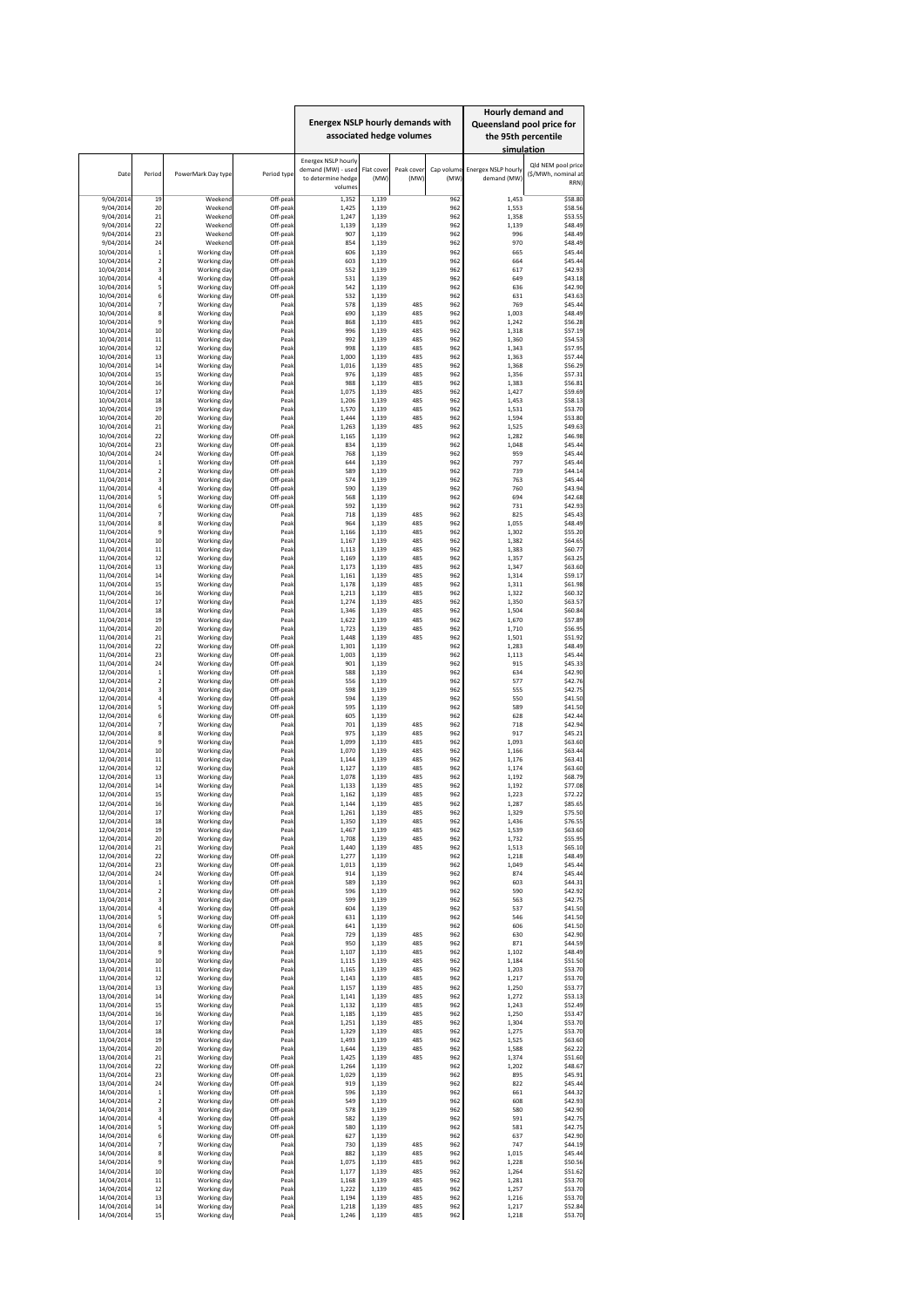|                          |                                  |                            |                      |                                          |                    |                          |                   | Hourly demand and                  |                     |
|--------------------------|----------------------------------|----------------------------|----------------------|------------------------------------------|--------------------|--------------------------|-------------------|------------------------------------|---------------------|
|                          |                                  |                            |                      | <b>Energex NSLP hourly demands with</b>  |                    |                          |                   | Queensland pool price for          |                     |
|                          |                                  |                            |                      |                                          |                    | associated hedge volumes |                   | the 95th percentile                |                     |
|                          |                                  |                            |                      |                                          |                    |                          |                   | simulation                         |                     |
|                          |                                  |                            |                      | Energex NSLP hourly                      |                    |                          |                   |                                    | Qld NEM pool price  |
| Date                     | Period                           | PowerMark Day type         | Period type          | demand (MW) - used<br>to determine hedge | Flat cover<br>(MW) | Peak cover<br>(MW)       | Cap volume<br>(MW | Energex NSLP hourly<br>demand (MW) | (\$/MWh, nominal at |
|                          |                                  |                            |                      | volumes                                  |                    |                          |                   |                                    | RRN)                |
| 9/04/2014                | 19                               | Weekend                    | Off-peak             | 1,352                                    | 1,139              |                          | 962               | 1.453                              | \$58.80             |
| 9/04/2014<br>9/04/2014   | 20<br>21                         | Weekend<br>Weekend         | Off-peal<br>Off-peal | 1,425<br>1,247                           | 1,139<br>1,139     |                          | 962<br>962        | 1,553<br>1,358                     | \$58.56<br>\$53.55  |
| 9/04/2014                | 22                               | Weekend                    | Off-peak             | 1,139                                    | 1,139              |                          | 962               | 1,139                              | \$48.49             |
| 9/04/2014                | 23                               | Weekend<br>Weekend         | Off-peal             | 907<br>854                               | 1.139              |                          | 962<br>962        | 996<br>970                         | \$48.49<br>\$48.49  |
| 9/04/2014<br>10/04/2014  | 24<br>$\mathbf{1}$               | Working day                | Off-peal<br>Off-peal | 606                                      | 1,139<br>1,139     |                          | 962               | 665                                | \$45.44             |
| 10/04/2014               | $\overline{2}$                   | Working day                | Off-peal             | 603                                      | 1,139              |                          | 962               | 664                                | \$45.44             |
| 10/04/2014<br>10/04/2014 | $\overline{3}$<br>4              | Working day<br>Working day | Off-peak<br>Off-peak | 552<br>531                               | 1.139<br>1,139     |                          | 962<br>962        | 617<br>649                         | \$42.93<br>\$43.18  |
| 10/04/2014               | 5                                | Working day                | Off-peak             | 542                                      | 1,139              |                          | 962               | 636                                | \$42.90             |
| 10/04/2014<br>10/04/2014 | 6<br>$\overline{7}$              | Working day<br>Working day | Off-peak<br>Peal     | 532<br>578                               | 1,139<br>1,139     | 485                      | 962<br>962        | 631<br>769                         | \$43.63<br>\$45.44  |
| 10/04/2014               | 8                                | Working day                | Peal                 | 690                                      | 1.139              | 485                      | 962               | 1.003                              | \$48.49             |
| 10/04/2014               | 9                                | Working day                | Peal                 | 868                                      | 1,139              | 485                      | 962               | 1,242                              | \$56.28             |
| 10/04/2014<br>10/04/2014 | 10<br>11                         | Working day<br>Working day | Peak<br>Peal         | 996<br>992                               | 1,139<br>1,139     | 485<br>485               | 962<br>962        | 1,318<br>1,360                     | \$57.19<br>\$54.53  |
| 10/04/2014               | 12                               | Working day                | Peal                 | 998                                      | 1.139              | 485                      | 962               | 1,343                              | \$57.95             |
| 10/04/2014<br>10/04/2014 | 13<br>14                         | Working day<br>Working day | Peak<br>Peal         | 1,000<br>1,016                           | 1,139<br>1,139     | 485<br>485               | 962<br>962        | 1,363<br>1,368                     | \$57.44<br>\$56.29  |
| 10/04/2014               | 15                               | Working day                | Peal                 | 976                                      | 1,139              | 485                      | 962               | 1,356                              | \$57.31             |
| 10/04/2014<br>10/04/2014 | 16<br>17                         | Working day<br>Working day | Peal<br>Peal         | 988<br>1,075                             | 1.139<br>1,139     | 485<br>485               | 962<br>962        | 1,383<br>1,427                     | \$56.81<br>\$59.69  |
| 10/04/2014               | 18                               | Working day                | Peal                 | 1,206                                    | 1,139              | 485                      | 962               | 1,453                              | \$58.13             |
| 10/04/2014               | 19<br>20                         | Working day                | Peal<br>Peal         | 1,570<br>1,444                           | 1,139<br>1.139     | 485<br>485               | 962<br>962        | 1,531                              | \$53.70<br>\$53.80  |
| 10/04/2014<br>10/04/2014 | 21                               | Working day<br>Working day | Peak                 | 1,263                                    | 1,139              | 485                      | 962               | 1,594<br>1,525                     | \$49.63             |
| 10/04/2014               | 22                               | Working day                | Off-peak             | 1,165                                    | 1,139              |                          | 962               | 1,282                              | \$46.98             |
| 10/04/2014<br>10/04/2014 | 23<br>24                         | Working day<br>Working day | Off-peak<br>Off-peal | 834<br>768                               | 1,139<br>1.139     |                          | 962<br>962        | 1,048<br>959                       | \$45.44<br>\$45.44  |
| 11/04/2014               | $\mathbf{1}$                     | Working day                | Off-peal             | 644                                      | 1,139              |                          | 962               | 797                                | \$45.44             |
| 11/04/2014<br>11/04/2014 | $\mathbf 2$<br>3                 | Working day<br>Working day | Off-peal<br>Off-peal | 589<br>574                               | 1,139<br>1,139     |                          | 962<br>962        | 739<br>763                         | \$44.14<br>\$45.44  |
| 11/04/2014               | 4                                | Working day                | Off-peal             | 590                                      | 1.139              |                          | 962               | 760                                | \$43.94             |
| 11/04/2014               | 5                                | Working day                | Off-peal             | 568                                      | 1.139              |                          | 962               | 694                                | \$42.68             |
| 11/04/2014<br>11/04/2014 | 6<br>$\overline{7}$              | Working day<br>Working day | Off-peal<br>Peal     | 592<br>718                               | 1,139<br>1,139     | 485                      | 962<br>962        | 731<br>825                         | \$42.93<br>\$45.43  |
| 11/04/2014               | 8                                | Working day                | Peal                 | 964                                      | 1,139              | 485                      | 962               | 1,055                              | \$48.49             |
| 11/04/2014<br>11/04/2014 | 9<br>10                          | Working day<br>Working day | Peal<br>Peal         | 1.166<br>1,167                           | 1.139<br>1,139     | 485<br>485               | 962<br>962        | 1,302<br>1,382                     | \$55.20<br>\$64.65  |
| 11/04/2014               | 11                               | Working day                | Peal                 | 1,113                                    | 1,139              | 485                      | 962               | 1,383                              | \$60.7              |
| 11/04/2014<br>11/04/2014 | 12<br>13                         | Working day<br>Working day | Peal<br>Peal         | 1,169<br>1,173                           | 1,139<br>1.139     | 485<br>485               | 962<br>962        | 1,357<br>1,347                     | \$63.25<br>\$63,60  |
| 11/04/2014               | 14                               | Working day                | Peak                 | 1,161                                    | 1,139              | 485                      | 962               | 1,314                              | \$59.17             |
| 11/04/2014               | 15                               | Working day                | Peak                 | 1,178                                    | 1,139              | 485                      | 962<br>962        | 1,311                              | \$61.98             |
| 11/04/2014<br>11/04/2014 | 16<br>17                         | Working day<br>Working day | Peak<br>Peal         | 1,213<br>1.274                           | 1,139<br>1.139     | 485<br>485               | 962               | 1,322<br>1,350                     | \$60.32<br>\$63.57  |
| 11/04/2014               | 18                               | Working day                | Peal                 | 1,346                                    | 1,139              | 485                      | 962               | 1,504                              | \$60.84             |
| 11/04/2014<br>11/04/2014 | 19<br>20                         | Working day<br>Working day | Peal<br>Peal         | 1,622<br>1,723                           | 1,139<br>1,139     | 485<br>485               | 962<br>962        | 1,670<br>1,710                     | \$57.89<br>\$56.95  |
| 11/04/2014               | 21                               | Working day                | Peal                 | 1.448                                    | 1.139              | 485                      | 962               | 1,501                              | \$51.92             |
| 11/04/2014<br>11/04/2014 | 22<br>23                         | Working day<br>Working day | Off-peal<br>Off-peal | 1,301<br>1,003                           | 1,139<br>1,139     |                          | 962<br>962        | 1,283<br>1,113                     | \$48.49<br>\$45.44  |
| 11/04/2014               | 24                               | Working day                | Off-peal             | 901                                      | 1,139              |                          | 962               | 915                                | \$45.33             |
| 12/04/2014               | $\mathbf{1}$                     | Working day                | Off-peal             | 588<br>556                               | 1.139              |                          | 962<br>962        | 634<br>577                         | \$42.90             |
| 12/04/2014<br>12/04/2014 | $\mathbf 2$<br>3                 | Working day<br>Working day | Off-peal<br>Off-peal | 598                                      | 1,139<br>1,139     |                          | 962               | 555                                | \$42.76<br>\$42.7   |
| 12/04/2014               | 4                                | Working day                | Off-peal             | 594                                      | 1,139              |                          | 962               | 550                                | \$41.50             |
| 12/04/2014<br>12/04/2014 | 5<br>6                           | Working day<br>Working day | Off-peal<br>Off-peal | 595<br>605                               | 1,139<br>1.139     |                          | 962<br>962        | 589<br>628                         | \$41.50<br>\$42.44  |
| 12/04/2014               | 7                                | Working day                | Peak                 | 701                                      | 1,139              | 485                      | 962               | 718                                | \$42.94             |
| 12/04/2014<br>12/04/2014 | 8<br>$\ddot{q}$                  | Working day<br>Working day | Peal<br>Peak         | 975<br>1,099                             | 1,139<br>1,139     | 485<br>485               | 962<br>962        | 917<br>1,093                       | \$45.21<br>\$63.60  |
| 12/04/2014               | 10                               | Working day                | Peal                 | 1.070                                    | 1.139              | 485                      | 962               | 1.166                              | \$63.44             |
| 12/04/2014               | 11                               | Working day                | Peal                 | 1,144                                    | 1,139              | 485                      | 962               | 1,176                              | \$63.41             |
| 12/04/2014<br>12/04/2014 | 12<br>13                         | Working day<br>Working day | Peal<br>Peal         | 1,127<br>1,078                           | 1,139<br>1,139     | 485<br>485               | 962<br>962        | 1,174<br>1,192                     | \$63.60<br>\$68.79  |
| 12/04/2014               | 14                               | Working day                | Peal                 | 1,133                                    | 1.139              | 485                      | 962               | 1.192                              | \$77.08             |
| 12/04/2014<br>12/04/2014 | 15<br>16                         | Working day<br>Working day | Peak<br>Pea          | 1,162<br>1,144                           | 1,139<br>1,139     | 485<br>485               | 962<br>962        | 1,223<br>1,287                     | \$72.22<br>\$85.6   |
| 12/04/2014               | 17                               | Working day                | Peal                 | 1,261                                    | 1,139              | 485                      | 962               | 1,329                              | \$75.50             |
| 12/04/2014<br>12/04/2014 | 18<br>19                         | Working day<br>Working day | Peal<br>Peal         | 1.350<br>1,467                           | 1.139<br>1,139     | 485<br>485               | 962<br>962        | 1.436<br>1,539                     | \$76.55<br>\$63.60  |
| 12/04/2014               | 20                               | Working day                | Peak                 | 1,708                                    | 1,139              | 485                      | 962               | 1,732                              | \$55.95             |
| 12/04/2014<br>12/04/2014 | 21<br>22                         | Working day<br>Working day | Peal<br>Off-peak     | 1,440<br>1,277                           | 1,139<br>1.139     | 485                      | 962<br>962        | 1,513<br>1,218                     | \$65.10<br>\$48.49  |
| 12/04/2014               | 23                               | Working day                | Off-peak             | 1,013                                    | 1,139              |                          | 962               | 1,049                              | \$45.44             |
| 12/04/2014               | 24                               | Working day                | Off-peak             | 914                                      | 1,139              |                          | 962<br>962        | 874                                | \$45.44             |
| 13/04/2014<br>13/04/2014 | $\mathbf{1}$<br>$\mathbf 2$      | Working day<br>Working day | Off-peak<br>Off-peak | 589<br>596                               | 1,139<br>1,139     |                          | 962               | 603<br>590                         | \$44.31<br>\$42.92  |
| 13/04/2014               | $\overline{3}$                   | Working day                | Off-peak             | 599                                      | 1.139              |                          | 962               | 563                                | \$42.75             |
| 13/04/2014<br>13/04/2014 | 4<br>5                           | Working day<br>Working day | Off-peak<br>Off-peak | 604<br>631                               | 1,139<br>1,139     |                          | 962<br>962        | 537<br>546                         | \$41.50<br>\$41.50  |
| 13/04/2014               | 6                                | Working day                | Off-peak             | 641                                      | 1,139              |                          | 962               | 606                                | \$41.50             |
| 13/04/2014<br>13/04/2014 | $\overline{7}$<br>8              | Working day<br>Working day | Peak<br>Peak         | 729<br>950                               | 1.139<br>1,139     | 485<br>485               | 962<br>962        | 630<br>871                         | \$42.90<br>\$44.59  |
| 13/04/2014               | 9                                | Working day                | Peak                 | 1,107                                    | 1,139              | 485                      | 962               | 1,102                              | \$48.49             |
| 13/04/2014<br>13/04/2014 | 10<br>11                         | Working day<br>Working day | Peal<br>Peal         | 1,115<br>1.165                           | 1,139<br>1.139     | 485<br>485               | 962<br>962        | 1,184<br>1,203                     | \$51.50<br>\$53.70  |
| 13/04/2014               | 12                               | Working day                | Peal                 | 1,143                                    | 1,139              | 485                      | 962               | 1,217                              | \$53.70             |
| 13/04/2014               | 13                               | Working day                | Peal                 | 1,157                                    | 1,139              | 485                      | 962               | 1,250                              | \$53.77             |
| 13/04/2014<br>13/04/2014 | 14<br>15                         | Working day<br>Working day | Peak<br>Peak         | 1,141<br>1,132                           | 1,139<br>1,139     | 485<br>485               | 962<br>962        | 1,272<br>1,243                     | \$53.13<br>\$52.49  |
| 13/04/2014               | 16                               | Working day                | Peak                 | 1,185                                    | 1,139              | 485                      | 962               | 1,250                              | \$53.47             |
| 13/04/2014<br>13/04/2014 | 17<br>18                         | Working day<br>Working day | Peak<br>Peak         | 1,251<br>1,329                           | 1,139<br>1,139     | 485<br>485               | 962<br>962        | 1,304<br>1,275                     | \$53.70<br>\$53.70  |
| 13/04/2014               | 19                               | Working day                | Peak                 | 1.493                                    | 1.139              | 485                      | 962               | 1,525                              | \$63.60             |
| 13/04/2014<br>13/04/2014 | 20<br>21                         | Working day<br>Working day | Peak<br>Peak         | 1,644<br>1,425                           | 1,139<br>1,139     | 485<br>485               | 962<br>962        | 1,588<br>1,374                     | \$62.22<br>\$51.60  |
| 13/04/2014               | 22                               | Working day                | Off-peak             | 1,264                                    | 1,139              |                          | 962               | 1,202                              | \$48.67             |
| 13/04/2014               | 23                               | Working day                | Off-peak             | 1,029                                    | 1,139              |                          | 962               | 895                                | \$45.91             |
| 13/04/2014<br>14/04/2014 | 24<br>$\,$ 1                     | Working day<br>Working day | Off-peal<br>Off-peak | 919<br>596                               | 1.139<br>1,139     |                          | 962<br>962        | 822<br>661                         | \$45.44<br>\$44.32  |
| 14/04/2014               | $\mathbf 2$                      | Working day                | Off-peak             | 549                                      | 1,139              |                          | 962               | 608                                | \$42.93             |
| 14/04/2014<br>14/04/2014 | $\overline{3}$<br>$\overline{a}$ | Working day<br>Working day | Off-peak<br>Off-peal | 578<br>582                               | 1,139<br>1.139     |                          | 962<br>962        | 580<br>591                         | \$42.90<br>\$42.75  |
| 14/04/2014               | 5                                | Working day                | Off-peak             | 580                                      | 1,139              |                          | 962               | 581                                | \$42.75             |
| 14/04/2014<br>14/04/2014 | 6<br>$\overline{7}$              | Working day                | Off-peak<br>Peal     | 627<br>730                               | 1,139<br>1,139     | 485                      | 962<br>962        | 637<br>747                         | \$42.90<br>\$44.19  |
| 14/04/2014               | 8                                | Working day<br>Working day | Peak                 | 882                                      | 1,139              | 485                      | 962               | 1,015                              | \$45.44             |
| 14/04/2014               | 9                                | Working day                | Peak                 | 1,075                                    | 1,139              | 485                      | 962               | 1,228                              | \$50.56             |
| 14/04/2014<br>14/04/2014 | 10<br>11                         | Working day<br>Working day | Peak<br>Peak         | 1,177<br>1,168                           | 1,139<br>1,139     | 485<br>485               | 962<br>962        | 1,264<br>1,281                     | \$51.62<br>\$53.70  |
| 14/04/2014               | 12                               | Working day                | Peak                 | 1.222                                    | 1.139              | 485                      | 962               | 1,257                              | \$53.70             |
| 14/04/2014<br>14/04/2014 | 13<br>14                         | Working day<br>Working day | Peak<br>Peak         | 1,194<br>1,218                           | 1,139<br>1,139     | 485<br>485               | 962<br>962        | 1,216<br>1,217                     | \$53.70<br>\$52.84  |
| 14/04/2014               | 15                               | Working day                | Peak                 | 1,246                                    | 1,139              | 485                      | 962               | 1,218                              | \$53.70             |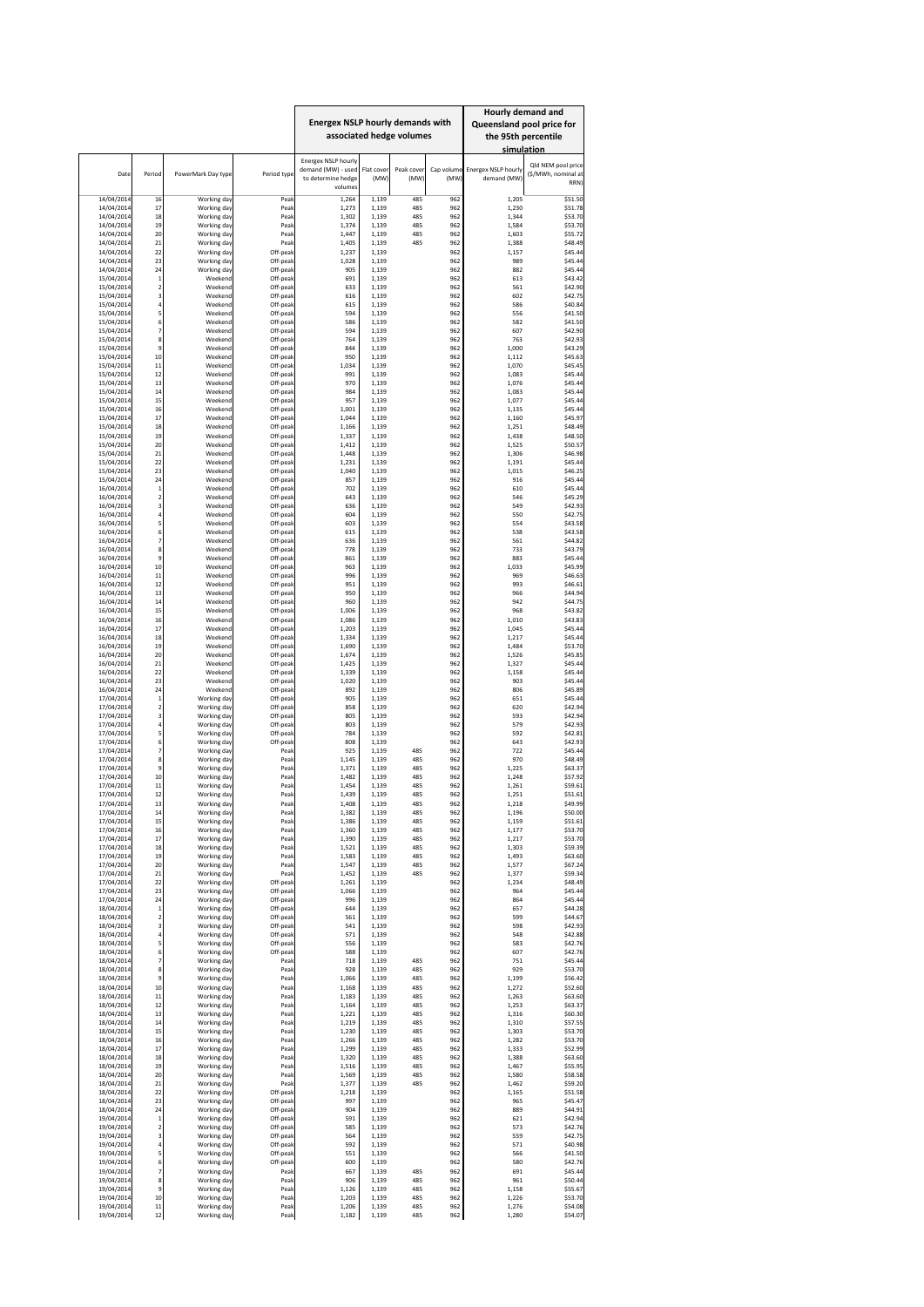|                          |                              |                            |                      |                                         |                |                          |            | Hourly demand and<br>Queensland pool price for |                                           |  |  |
|--------------------------|------------------------------|----------------------------|----------------------|-----------------------------------------|----------------|--------------------------|------------|------------------------------------------------|-------------------------------------------|--|--|
|                          |                              |                            |                      | <b>Energex NSLP hourly demands with</b> |                | associated hedge volumes |            |                                                |                                           |  |  |
|                          |                              |                            |                      |                                         |                |                          |            | the 95th percentile<br>simulation              |                                           |  |  |
|                          |                              |                            |                      | Energex NSLP hourly                     |                |                          |            |                                                |                                           |  |  |
| Date                     | Period                       | PowerMark Day type         | Period type          | demand (MW) - used                      | Flat cover     | Peak cover               | Cap volume | Energex NSLP hourly                            | Qld NEM pool price<br>(\$/MWh, nominal at |  |  |
|                          |                              |                            |                      | to determine hedge<br>volumes           | (MW)           | (MW)                     | (MW        | demand (MW                                     | RRN)                                      |  |  |
| 14/04/2014               | 16                           | Working day                | Peak                 | 1,264                                   | 1,139          | 485                      | 962        | 1,205                                          | \$51.50                                   |  |  |
| 14/04/2014               | 17                           | Working day                | Peak                 | 1.273                                   | 1.139          | 485                      | 962        | 1.230                                          | \$51.78                                   |  |  |
| 14/04/2014<br>14/04/2014 | 18<br>19                     | Working day<br>Working day | Peak<br>Peal         | 1,302<br>1,374                          | 1,139<br>1,139 | 485<br>485               | 962<br>962 | 1,344<br>1,584                                 | \$53.70<br>\$53.70                        |  |  |
| 14/04/2014               | 20                           | Working day                | Peak                 | 1,447                                   | 1,139          | 485                      | 962        | 1,603                                          | \$55.72                                   |  |  |
| 14/04/2014<br>14/04/2014 | 21<br>22                     | Working day<br>Working day | Peak<br>Off-peal     | 1.405<br>1,237                          | 1,139<br>1,139 | 485                      | 962<br>962 | 1.388<br>1,157                                 | \$48.49<br>\$45.44                        |  |  |
| 14/04/2014               | 23                           | Working day                | Off-peal             | 1,028                                   | 1,139          |                          | 962        | 989                                            | \$45.44                                   |  |  |
| 14/04/2014<br>15/04/2014 | 24<br>1                      | Working day<br>Weekend     | Off-peal<br>Off-peal | 905<br>691                              | 1,139<br>1,139 |                          | 962<br>962 | 882<br>613                                     | \$45.44<br>\$43.42                        |  |  |
| 15/04/2014               | 2                            | Weekend                    | Off-peak             | 633                                     | 1,139          |                          | 962        | 561                                            | \$42.90                                   |  |  |
| 15/04/2014<br>15/04/2014 | 3<br>4                       | Weekend<br>Weekend         | Off-peal<br>Off-peal | 616<br>615                              | 1,139<br>1,139 |                          | 962<br>962 | 602<br>586                                     | \$42.75<br>\$40.84                        |  |  |
| 15/04/2014               | 5                            | Weekend                    | Off-peak             | 594                                     | 1,139          |                          | 962        | 556                                            | \$41.50                                   |  |  |
| 15/04/2014<br>15/04/2014 | 6<br>7                       | Weekend<br>Weekend         | Off-peal<br>Off-peal | 586<br>594                              | 1.139<br>1,139 |                          | 962<br>962 | 582<br>607                                     | \$41.50<br>\$42.90                        |  |  |
| 15/04/2014               | 8                            | Weekend                    | Off-peal             | 764                                     | 1,139          |                          | 962        | 763                                            | \$42.93                                   |  |  |
| 15/04/2014<br>15/04/2014 | 9<br>10                      | Weekend<br>Weekend         | Off-peal<br>Off-peal | 844<br>950                              | 1,139<br>1.139 |                          | 962<br>962 | 1,000<br>1.112                                 | \$43.29<br>\$45.63                        |  |  |
| 15/04/2014               | 11                           | Weekend                    | Off-peal             | 1,034                                   | 1,139          |                          | 962        | 1,070                                          | \$45.45                                   |  |  |
| 15/04/2014<br>15/04/2014 | 12<br>13                     | Weekend<br>Weekend         | Off-peal<br>Off-peal | 991<br>970                              | 1,139<br>1,139 |                          | 962<br>962 | 1,083<br>1,076                                 | \$45.44<br>\$45.44                        |  |  |
| 15/04/2014               | 14                           | Weekend                    | Off-peal             | 984                                     | 1.139          |                          | 962        | 1.083                                          | \$45.44                                   |  |  |
| 15/04/2014<br>15/04/2014 | 15<br>16                     | Weekend<br>Weekend         | Off-peal<br>Off-peal | 957<br>1,001                            | 1,139<br>1,139 |                          | 962<br>962 | 1,077<br>1,135                                 | \$45.44<br>\$45.44                        |  |  |
| 15/04/2014               | 17                           | Weekend                    | Off-peal             | 1,044                                   | 1,139          |                          | 962        | 1,160                                          | \$45.97                                   |  |  |
| 15/04/2014<br>15/04/2014 | 18<br>19                     | Weekend<br>Weekend         | Off-peal<br>Off-peak | 1,166<br>1,337                          | 1,139<br>1,139 |                          | 962<br>962 | 1,251<br>1,438                                 | \$48.49<br>\$48.50                        |  |  |
| 15/04/2014               | 20                           | Weekend                    | Off-peal             | 1,412                                   | 1,139          |                          | 962        | 1,525                                          | \$50.57                                   |  |  |
| 15/04/2014<br>15/04/2014 | 21<br>22                     | Weekend<br>Weekend         | Off-peak<br>Off-peal | 1,448<br>1.231                          | 1,139<br>1.139 |                          | 962<br>962 | 1,306<br>1.191                                 | \$46.98<br>\$45.44                        |  |  |
| 15/04/2014               | 23                           | Weekend                    | Off-peal             | 1,040                                   | 1,139          |                          | 962        | 1,015                                          | \$46.25                                   |  |  |
| 15/04/2014               | 24                           | Weekend                    | Off-peal             | 857                                     | 1,139          |                          | 962        | 916                                            | \$45.44                                   |  |  |
| 16/04/2014<br>16/04/2014 | 1<br>$\overline{\mathbf{c}}$ | Weekend<br>Weekend         | Off-peal<br>Off-peal | 702<br>643                              | 1,139<br>1,139 |                          | 962<br>962 | 610<br>546                                     | \$45.44<br>\$45.29                        |  |  |
| 16/04/2014               | з                            | Weekend                    | Off-peal             | 636                                     | 1.139          |                          | 962        | 549                                            | \$42.93                                   |  |  |
| 16/04/2014<br>16/04/2014 | 4<br>5                       | Weekend<br>Weekend         | Off-peal<br>Off-peal | 604<br>603                              | 1,139<br>1,139 |                          | 962<br>962 | 550<br>554                                     | \$42.75<br>\$43.58                        |  |  |
| 16/04/2014               | 6                            | Weekend                    | Off-peal             | 615                                     | 1,139          |                          | 962        | 538                                            | \$43.58                                   |  |  |
| 16/04/2014<br>16/04/2014 | 7<br>8                       | Weekend<br>Weekend         | Off-peal<br>Off-peal | 636<br>778                              | 1.139<br>1,139 |                          | 962<br>962 | 561<br>733                                     | \$44.82<br>\$43.79                        |  |  |
| 16/04/2014               | 9                            | Weekend                    | Off-peal             | 861                                     | 1,139          |                          | 962        | 883                                            | \$45.44                                   |  |  |
| 16/04/2014<br>16/04/2014 | 10<br>11                     | Weekend<br>Weekend         | Off-peal<br>Off-peak | 963<br>996                              | 1,139<br>1.139 |                          | 962<br>962 | 1,033<br>969                                   | \$45.99<br>\$46.63                        |  |  |
| 16/04/2014               | 12                           | Weekend                    | Off-peak             | 951                                     | 1,139          |                          | 962        | 993                                            | \$46.61                                   |  |  |
| 16/04/2014<br>16/04/2014 | 13<br>14                     | Weekend<br>Weekend         | Off-peal<br>Off-peak | 950<br>960                              | 1,139<br>1,139 |                          | 962<br>962 | 966<br>942                                     | \$44.94<br>\$44.75                        |  |  |
| 16/04/2014               | 15                           | Weekend                    | Off-peal             | 1.006                                   | 1.139          |                          | 962        | 968                                            | \$43.82                                   |  |  |
| 16/04/2014<br>16/04/2014 | 16<br>17                     | Weekend<br>Weekend         | Off-peal<br>Off-peal | 1,086<br>1,203                          | 1,139<br>1,139 |                          | 962<br>962 | 1,010<br>1,045                                 | \$43.83<br>\$45.44                        |  |  |
| 16/04/2014               | 18                           | Weekend                    | Off-peal             | 1,334                                   | 1,139          |                          | 962        | 1,217                                          | \$45.44                                   |  |  |
| 16/04/2014               | 19                           | Weekend                    | Off-peal             | 1.690                                   | 1.139          |                          | 962        | 1.484                                          | \$53.70                                   |  |  |
| 16/04/2014<br>16/04/2014 | 20<br>21                     | Weekend<br>Weekend         | Off-peak<br>Off-peal | 1,674<br>1,425                          | 1,139<br>1,139 |                          | 962<br>962 | 1,526<br>1,327                                 | \$45.85<br>\$45.44                        |  |  |
| 16/04/2014               | 22                           | Weekend                    | Off-peak             | 1,339                                   | 1,139          |                          | 962        | 1,158                                          | \$45.44                                   |  |  |
| 16/04/2014<br>16/04/2014 | 23<br>24                     | Weekend<br>Weekend         | Off-peal<br>Off-peal | 1,020<br>892                            | 1.139<br>1,139 |                          | 962<br>962 | 903<br>806                                     | \$45.44<br>\$45.89                        |  |  |
| 17/04/2014               | 1                            | Working day                | Off-peal             | 905                                     | 1,139          |                          | 962        | 651                                            | \$45.44                                   |  |  |
| 17/04/2014<br>17/04/2014 | 2<br>3                       | Working day<br>Working day | Off-peal<br>Off-peal | 858<br>805                              | 1,139<br>1,139 |                          | 962<br>962 | 620<br>593                                     | \$42.94<br>\$42.94                        |  |  |
| 17/04/2014               | 4                            | Working day                | Off-peal             | 803                                     | 1.139          |                          | 962        | 579                                            | \$42.93                                   |  |  |
| 17/04/2014<br>17/04/2014 | 5<br>6                       | Working day<br>Working day | Off-peak<br>Off-peak | 784<br>808                              | 1,139<br>1,139 |                          | 962<br>962 | 592<br>643                                     | \$42.81<br>\$42.93                        |  |  |
| 17/04/2014               | 7                            | Working day                | Peal                 | 925                                     | 1,139          | 485                      | 962        | 722                                            | \$45.44                                   |  |  |
| 17/04/2014<br>17/04/2014 | 8<br>9                       | Working day<br>Working day | Peak<br>Peak         | 1.145<br>1,371                          | 1,139<br>1,139 | 485<br>485               | 962<br>962 | 970<br>1,225                                   | \$48.49<br>\$63.37                        |  |  |
| 17/04/2014               | 10                           | Working day                | Peal                 | 1,482                                   | 1,139          | 485                      | 962        | 1,248                                          | \$57.92                                   |  |  |
| 17/04/2014<br>17/04/2014 | 11<br>12                     | Working day<br>Working day | Peak<br>Peak         | 1,454<br>1,439                          | 1,139<br>1,139 | 485<br>485               | 962<br>962 | 1,261<br>1.251                                 | \$59.61<br>\$51.61                        |  |  |
| 17/04/2014               | 13                           | Working day                | Peal                 | 1,408                                   | 1.139          | 485                      | 962        | 1,218                                          | \$49.99                                   |  |  |
| 17/04/2014<br>17/04/2014 | 14<br>15                     | Working day<br>Working day | Peal<br>Peal         | 1,382<br>1,386                          | 1,139<br>1,139 | 485<br>485               | 962<br>962 | 1,196<br>1,159                                 | \$50.00<br>\$51.61                        |  |  |
| 17/04/2014               | 16                           | Working day                | Peak                 | 1.360                                   | 1.139          | 485                      | 962        | 1,177                                          | \$53.70                                   |  |  |
| 17/04/2014<br>17/04/2014 | 17<br>18                     | Working day<br>Working day | Peak<br>Peal         | 1,390<br>1,521                          | 1,139<br>1,139 | 485<br>485               | 962<br>962 | 1,217<br>1,303                                 | \$53.70<br>\$59.39                        |  |  |
| 17/04/2014               | 19                           | Working day                | Peal                 | 1,583                                   | 1,139          | 485                      | 962        | 1,493                                          | \$63.60                                   |  |  |
| 17/04/2014<br>17/04/2014 | 20<br>21                     | Working day<br>Working day | Peak<br>Peak         | 1,547<br>1,452                          | 1,139<br>1,139 | 485<br>485               | 962<br>962 | 1,577<br>1,377                                 | \$67.24<br>\$59.34                        |  |  |
| 17/04/2014               | 22                           | Working day                | Off-peak             | 1,261                                   | 1,139          |                          | 962        | 1,234                                          | \$48.49                                   |  |  |
| 17/04/2014               | 23<br>24                     | Working day                | Off-peak             | 1,066<br>996                            | 1,139<br>1,139 |                          | 962<br>962 | 964<br>864                                     | \$45.44<br>\$45.44                        |  |  |
| 17/04/2014<br>18/04/2014 | $\mathbf{1}$                 | Working day<br>Working day | Off-peak<br>Off-peak | 644                                     | 1,139          |                          | 962        | 657                                            | \$44.28                                   |  |  |
| 18/04/2014<br>18/04/2014 | 2<br>3                       | Working day                | Off-peal<br>Off-peal | 561<br>541                              | 1,139<br>1,139 |                          | 962<br>962 | 599<br>598                                     | \$44.67<br>\$42.93                        |  |  |
| 18/04/2014               | 4                            | Working day<br>Working day | Off-peak             | 571                                     | 1,139          |                          | 962        | 548                                            | \$42.88                                   |  |  |
| 18/04/2014<br>18/04/2014 | 5<br>6                       | Working day<br>Working day | Off-peak<br>Off-peak | 556<br>588                              | 1.139<br>1,139 |                          | 962<br>962 | 583<br>607                                     | \$42.76<br>\$42.76                        |  |  |
| 18/04/2014               | 7                            | Working day                | Peak                 | 718                                     | 1,139          | 485                      | 962        | 751                                            | \$45.44                                   |  |  |
| 18/04/2014<br>18/04/2014 | 8<br>9                       | Working day<br>Working day | Peak<br>Peak         | 928<br>1.066                            | 1,139<br>1,139 | 485<br>485               | 962<br>962 | 929<br>1.199                                   | \$53.70<br>\$56.42                        |  |  |
| 18/04/2014               | 10                           | Working day                | Peal                 | 1,168                                   | 1,139          | 485                      | 962        | 1,272                                          | \$52.60                                   |  |  |
| 18/04/2014               | 11<br>12                     | Working day                | Peal<br>Peal         | 1,183<br>1,164                          | 1,139          | 485<br>485               | 962<br>962 | 1,263                                          | \$63.60<br>\$63.37                        |  |  |
| 18/04/2014<br>18/04/2014 | 13                           | Working day<br>Working day | Peak                 | 1,221                                   | 1,139<br>1,139 | 485                      | 962        | 1,253<br>1,316                                 | \$60.30                                   |  |  |
| 18/04/2014<br>18/04/2014 | 14<br>15                     | Working day<br>Working day | Peak<br>Peak         | 1,219<br>1,230                          | 1,139<br>1,139 | 485<br>485               | 962<br>962 | 1,310<br>1,303                                 | \$57.55<br>\$53.70                        |  |  |
| 18/04/2014               | 16                           | Working day                | Peak                 | 1,266                                   | 1,139          | 485                      | 962        | 1,282                                          | \$53.70                                   |  |  |
| 18/04/2014               | 17                           | Working day                | Peak                 | 1.299                                   | 1,139          | 485<br>485               | 962<br>962 | 1,333                                          | \$52.99                                   |  |  |
| 18/04/2014<br>18/04/2014 | 18<br>19                     | Working day<br>Working day | Peak<br>Peal         | 1,320<br>1,516                          | 1,139<br>1,139 | 485                      | 962        | 1,388<br>1,467                                 | \$63.60<br>\$55.95                        |  |  |
| 18/04/2014               | 20                           | Working day                | Peal                 | 1,569                                   | 1,139          | 485                      | 962        | 1,580                                          | \$58.58                                   |  |  |
| 18/04/2014<br>18/04/2014 | 21<br>22                     | Working day<br>Working day | Peak<br>Off-peak     | 1,377<br>1,218                          | 1,139<br>1.139 | 485                      | 962<br>962 | 1,462<br>1,165                                 | \$59.20<br>\$51.58                        |  |  |
| 18/04/2014               | 23                           | Working day                | Off-peak             | 997                                     | 1,139          |                          | 962        | 965                                            | \$45.47                                   |  |  |
| 18/04/2014<br>19/04/2014 | 24<br>$\mathbf{1}$           | Working day<br>Working day | Off-peak<br>Off-peak | 904<br>591                              | 1,139<br>1,139 |                          | 962<br>962 | 889<br>621                                     | \$44.91<br>\$42.94                        |  |  |
| 19/04/2014               | $\overline{a}$               | Working day                | Off-peal             | 585                                     | 1.139          |                          | 962        | 573                                            | \$42.76                                   |  |  |
| 19/04/2014<br>19/04/2014 | 3<br>4                       | Working day<br>Working day | Off-peal<br>Off-peal | 564<br>592                              | 1,139<br>1,139 |                          | 962<br>962 | 559<br>571                                     | \$42.75<br>\$40.98                        |  |  |
| 19/04/2014               | 5                            | Working day                | Off-peak             | 551                                     | 1,139          |                          | 962        | 566                                            | \$41.50                                   |  |  |
| 19/04/2014<br>19/04/2014 | 6<br>7                       | Working day<br>Working day | Off-peak<br>Peak     | 600<br>667                              | 1,139<br>1,139 | 485                      | 962<br>962 | 580<br>691                                     | \$42.76<br>\$45.44                        |  |  |
| 19/04/2014               | 8                            | Working day                | Peak                 | 906                                     | 1,139          | 485                      | 962        | 961                                            | \$50.44                                   |  |  |
| 19/04/2014<br>19/04/2014 | 9<br>10                      | Working day<br>Working day | Peak<br>Peak         | 1,126<br>1,203                          | 1,139<br>1,139 | 485<br>485               | 962<br>962 | 1,158<br>1,226                                 | \$55.67<br>\$53.70                        |  |  |
| 19/04/2014               | 11                           | Working day                | Peak                 | 1,206                                   | 1,139          | 485                      | 962        | 1,276                                          | \$54.08                                   |  |  |
| 19/04/2014               | 12                           | Working day                | Peal                 | 1,182                                   | 1,139          | 485                      | 962        | 1,280                                          | \$54.07                                   |  |  |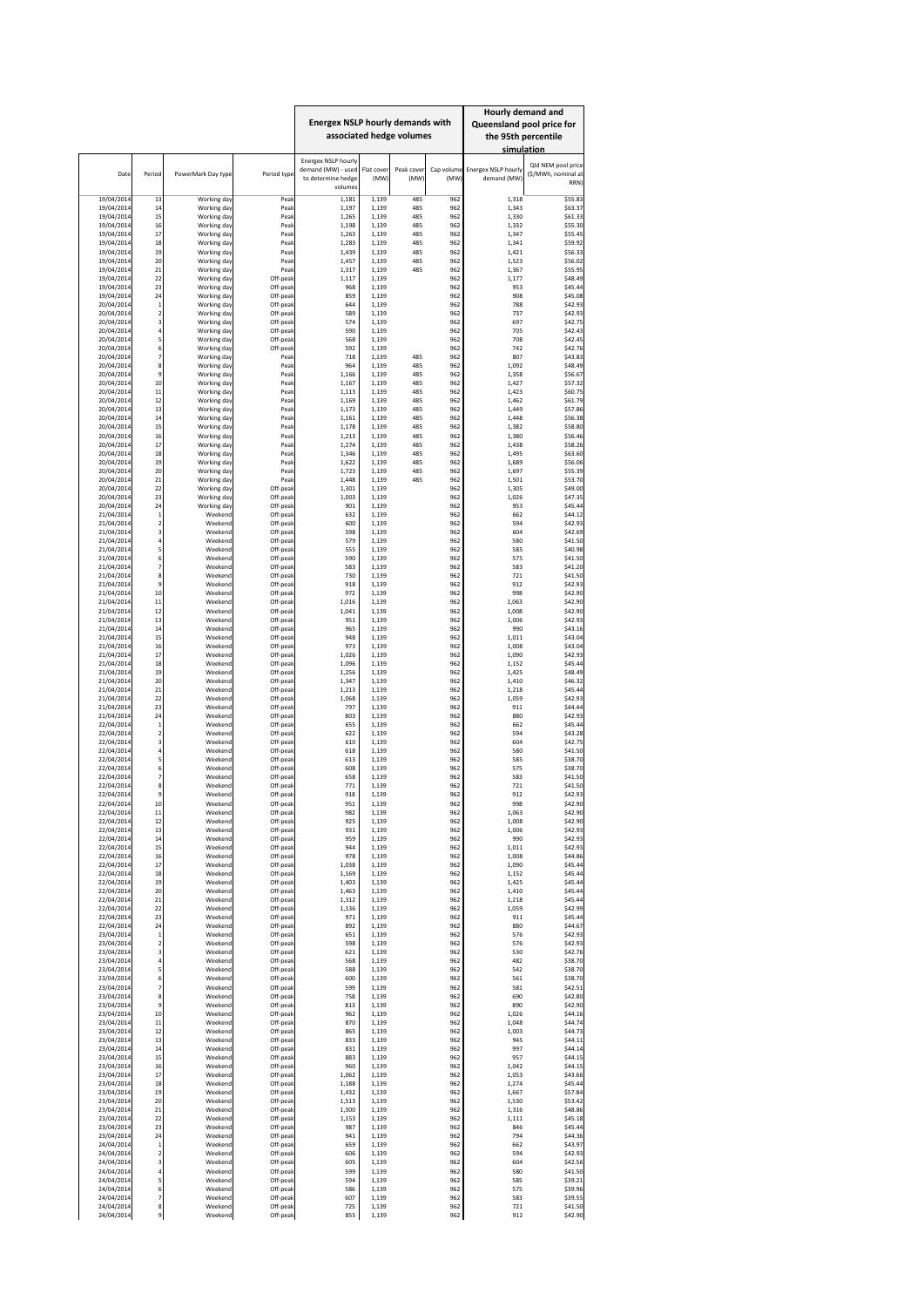|                          |                                         |                            |                      |                                                                     |                    |                    |                    | Hourly demand and<br>Queensland pool price for |                     |  |
|--------------------------|-----------------------------------------|----------------------------|----------------------|---------------------------------------------------------------------|--------------------|--------------------|--------------------|------------------------------------------------|---------------------|--|
|                          |                                         |                            |                      | <b>Energex NSLP hourly demands with</b><br>associated hedge volumes |                    |                    |                    |                                                |                     |  |
|                          |                                         |                            |                      |                                                                     |                    |                    |                    | the 95th percentile<br>simulation              |                     |  |
|                          |                                         |                            |                      | Energex NSLP hourly                                                 |                    |                    |                    |                                                | Qld NEM pool price  |  |
| Date                     | Period                                  | PowerMark Day type         | Period type          | demand (MW) - used<br>to determine hedge                            | Flat cover<br>(MW) | Peak cover<br>(MW) | Cap volume<br>(MW) | Energex NSLP hourly<br>demand (MW              | (\$/MWh, nominal at |  |
|                          |                                         |                            |                      | volume                                                              |                    |                    |                    |                                                | <b>RRN</b>          |  |
| 19/04/2014               | 13                                      | Working day                | Peal                 | 1,181                                                               | 1,139              | 485                | 962                | 1.318                                          | \$55.83             |  |
| 19/04/2014<br>19/04/2014 | 14<br>15                                | Working day<br>Working day | Peak<br>Peak         | 1,197<br>1,265                                                      | 1,139<br>1,139     | 485<br>485         | 962<br>962         | 1,343<br>1,330                                 | \$63.37<br>\$61.33  |  |
| 19/04/2014<br>19/04/2014 | 16<br>17                                | Working day<br>Working day | Peak<br>Peal         | 1.198<br>1,263                                                      | 1,139<br>1,139     | 485<br>485         | 962<br>962         | 1.332<br>1,347                                 | \$55.30<br>\$55.45  |  |
| 19/04/2014               | 18                                      | Working day                | Peal                 | 1,283                                                               | 1,139              | 485                | 962                | 1,341                                          | \$59.92             |  |
| 19/04/2014<br>19/04/2014 | 19<br>20                                | Working day<br>Working day | Peak<br>Peak         | 1,439<br>1.457                                                      | 1,139<br>1,139     | 485<br>485         | 962<br>962         | 1,421<br>1,523                                 | \$56.33<br>\$56.02  |  |
| 19/04/2014               | 21                                      | Working day                | Peak                 | 1,317                                                               | 1,139              | 485                | 962                | 1,367                                          | \$55.95             |  |
| 19/04/2014<br>19/04/2014 | 22<br>23                                | Working day<br>Working day | Off-peak<br>Off-peak | 1,117<br>968                                                        | 1,139<br>1,139     |                    | 962<br>962         | 1,177<br>953                                   | \$48.49<br>\$45.44  |  |
| 19/04/2014               | 24                                      | Working day                | Off-peak             | 859                                                                 | 1,139              |                    | 962                | 908                                            | \$45.08             |  |
| 20/04/2014<br>20/04/2014 | $\mathbf{1}$<br>$\overline{\mathbf{c}}$ | Working day<br>Working day | Off-peal<br>Off-peal | 644<br>589                                                          | 1,139<br>1,139     |                    | 962<br>962         | 788<br>737                                     | \$42.93<br>\$42.93  |  |
| 20/04/2014<br>20/04/2014 | 3                                       | Working day                | Off-peal<br>Off-peal | 574<br>590                                                          | 1,139              |                    | 962<br>962         | 697<br>705                                     | \$42.75<br>\$42.43  |  |
| 20/04/2014               | $\overline{\mathbf{r}}$<br>5            | Working day<br>Working day | Off-peak             | 568                                                                 | 1,139<br>1.139     |                    | 962                | 708                                            | \$42.45             |  |
| 20/04/2014<br>20/04/2014 | 6<br>$\overline{\phantom{a}}$           | Working day<br>Working day | Off-peak<br>Peak     | 592<br>718                                                          | 1,139<br>1,139     | 485                | 962<br>962         | 742<br>807                                     | \$42.76<br>\$43.83  |  |
| 20/04/2014               | $\bf8$                                  | Working day                | Peak                 | 964                                                                 | 1,139              | 485                | 962                | 1,092                                          | \$48.49             |  |
| 20/04/2014<br>20/04/2014 | 9<br>10                                 | Working day<br>Working day | Peal<br>Peal         | 1.166<br>1,167                                                      | 1,139<br>1,139     | 485<br>485         | 962<br>962         | 1.358<br>1,427                                 | \$56.67<br>\$57.32  |  |
| 20/04/2014               | 11                                      | Working day                | Peal<br>Peak         | 1,113                                                               | 1,139              | 485<br>485         | 962<br>962         | 1,423                                          | \$60.75<br>\$61.79  |  |
| 20/04/2014<br>20/04/2014 | 12<br>13                                | Working day<br>Working day | Peak                 | 1,169<br>1,173                                                      | 1,139<br>1,139     | 485                | 962                | 1,462<br>1.449                                 | \$57.86             |  |
| 20/04/2014<br>20/04/2014 | 14<br>15                                | Working day<br>Working day | Peak<br>Peak         | 1,161<br>1,178                                                      | 1,139<br>1,139     | 485<br>485         | 962<br>962         | 1,448<br>1,382                                 | \$56.38<br>\$58.80  |  |
| 20/04/2014               | 16                                      | Working day                | Peak                 | 1,213                                                               | 1,139              | 485                | 962                | 1,380                                          | \$56.46             |  |
| 20/04/2014<br>20/04/2014 | 17<br>18                                | Working day<br>Working day | Peak<br>Peal         | 1.274<br>1,346                                                      | 1,139<br>1,139     | 485<br>485         | 962<br>962         | 1.438<br>1,495                                 | \$58.26<br>\$63.60  |  |
| 20/04/2014               | 19                                      | Working day                | Peal                 | 1,622                                                               | 1,139              | 485                | 962                | 1,689                                          | \$56.06             |  |
| 20/04/2014<br>20/04/2014 | 20<br>21                                | Working day<br>Working day | Peal<br>Peal         | 1,723<br>1.448                                                      | 1,139<br>1.139     | 485<br>485         | 962<br>962         | 1,697<br>1.501                                 | \$55.39<br>\$53.70  |  |
| 20/04/2014               | 22                                      | Working day                | Off-peak             | 1,301                                                               | 1,139              |                    | 962<br>962         | 1,305                                          | \$49.00             |  |
| 20/04/2014<br>20/04/2014 | 23<br>24                                | Working day<br>Working day | Off-peak<br>Off-peak | 1,003<br>901                                                        | 1,139<br>1,139     |                    | 962                | 1,026<br>953                                   | \$47.35<br>\$45.44  |  |
| 21/04/2014<br>21/04/2014 | $\mathbf 1$<br>$\overline{\mathbf{2}}$  | Weekend<br>Weekend         | Off-peak<br>Off-peak | 632<br>600                                                          | 1,139<br>1.139     |                    | 962<br>962         | 662<br>594                                     | \$44.12<br>\$42.93  |  |
| 21/04/2014               | 3                                       | Weekend                    | Off-peal             | 598                                                                 | 1,139              |                    | 962                | 604                                            | \$42.69             |  |
| 21/04/2014<br>21/04/2014 | 4<br>5                                  | Weekend<br>Weekend         | Off-peal<br>Off-peak | 579<br>555                                                          | 1,139<br>1,139     |                    | 962<br>962         | 580<br>585                                     | \$41.50<br>\$40.98  |  |
| 21/04/2014               | 6                                       | Weekend                    | Off-peak             | 590                                                                 | 1,139              |                    | 962                | 575                                            | \$41.50             |  |
| 21/04/2014<br>21/04/2014 | 7<br>8                                  | Weekend<br>Weekend         | Off-peak<br>Off-peak | 583<br>730                                                          | 1,139<br>1,139     |                    | 962<br>962         | 583<br>721                                     | \$41.20<br>\$41.50  |  |
| 21/04/2014               | 9<br>10                                 | Weekend<br>Weekend         | Off-peak             | 918<br>972                                                          | 1,139              |                    | 962<br>962         | 912<br>998                                     | \$42.93<br>\$42.90  |  |
| 21/04/2014<br>21/04/2014 | 11                                      | Weekend                    | Off-peak<br>Off-peal | 1,016                                                               | 1,139<br>1,139     |                    | 962                | 1,063                                          | \$42.90             |  |
| 21/04/2014<br>21/04/2014 | 12<br>13                                | Weekend<br>Weekend         | Off-peal<br>Off-peal | 1,041<br>951                                                        | 1,139<br>1,139     |                    | 962<br>962         | 1,008<br>1,006                                 | \$42.90<br>\$42.93  |  |
| 21/04/2014               | 14                                      | Weekend                    | Off-peak             | 965                                                                 | 1.139              |                    | 962                | 990                                            | \$43.16             |  |
| 21/04/2014<br>21/04/2014 | 15<br>16                                | Weekend<br>Weekend         | Off-peak<br>Off-peak | 948<br>973                                                          | 1,139<br>1,139     |                    | 962<br>962         | 1,011<br>1,008                                 | \$43.04<br>\$43.04  |  |
| 21/04/2014               | 17                                      | Weekend                    | Off-peak             | 1,026                                                               | 1,139              |                    | 962                | 1,090                                          | \$42.93             |  |
| 21/04/2014<br>21/04/2014 | 18<br>19                                | Weekend<br>Weekend         | Off-peal<br>Off-peal | 1.096<br>1,256                                                      | 1,139<br>1,139     |                    | 962<br>962         | 1.152<br>1,425                                 | \$45.44<br>\$48.49  |  |
| 21/04/2014               | 20                                      | Weekend                    | Off-peal             | 1,347                                                               | 1,139              |                    | 962                | 1,410                                          | \$46.32             |  |
| 21/04/2014<br>21/04/2014 | 21<br>22                                | Weekend<br>Weekend         | Off-peal<br>Off-peak | 1,213<br>1,068                                                      | 1,139<br>1,139     |                    | 962<br>962         | 1,218<br>1,059                                 | \$45.44<br>\$42.93  |  |
| 21/04/2014<br>21/04/2014 | 23<br>24                                | Weekend<br>Weekend         | Off-peak<br>Off-peak | 797<br>803                                                          | 1,139<br>1,139     |                    | 962<br>962         | 911<br>880                                     | \$44.44<br>\$42.93  |  |
| 22/04/2014               | $\mathbf{1}$                            | Weekend                    | Off-peak             | 655                                                                 | 1,139              |                    | 962                | 662                                            | \$45.44             |  |
| 22/04/2014<br>22/04/2014 | $\overline{\mathbf{c}}$<br>3            | Weekend<br>Weekend         | Off-peak<br>Off-peak | 622<br>610                                                          | 1,139<br>1,139     |                    | 962<br>962         | 594<br>604                                     | \$43.28<br>\$42.75  |  |
| 22/04/2014               | 4                                       | Weekend                    | Off-peal             | 618                                                                 | 1,139              |                    | 962                | 580                                            | \$41.50             |  |
| 22/04/2014<br>22/04/2014 | 5<br>6                                  | Weekend<br>Weekend         | Off-peal<br>Off-peal | 613<br>608                                                          | 1,139<br>1,139     |                    | 962<br>962         | 585<br>575                                     | \$38.70<br>\$38.70  |  |
| 22/04/2014               | $\overline{7}$<br>8                     | Weekend                    | Off-peak<br>Off-peak | 658<br>771                                                          | 1.139              |                    | 962                | 583<br>721                                     | \$41.50             |  |
| 22/04/2014<br>22/04/2014 | $\boldsymbol{9}$                        | Weekend<br>Weekend         | Off-peak             | 918                                                                 | 1,139<br>1,139     |                    | 962<br>962         | 912                                            | \$41.50<br>\$42.93  |  |
| 22/04/2014<br>22/04/2014 | 10<br>11                                | Weekend<br>Weekend         | Off-peal<br>Off-peak | 951<br>982                                                          | 1,139<br>1,139     |                    | 962<br>962         | 998<br>1,063                                   | \$42.90<br>\$42.90  |  |
| 22/04/2014               | 12                                      | Weekend                    | Off-peak             | 925                                                                 | 1,139              |                    | 962                | 1,008                                          | \$42.90             |  |
| 22/04/2014<br>22/04/2014 | 13<br>14                                | Weekend<br>Weekend         | Off-peal<br>Off-peak | 931<br>959                                                          | 1,139<br>1,139     |                    | 962<br>962         | 1,006<br>990                                   | \$42.93<br>\$42.93  |  |
| 22/04/2014               | 15                                      | Weekend                    | Off-peak             | 944                                                                 | 1,139              |                    | 962                | 1,011                                          | \$42.93             |  |
| 22/04/2014<br>22/04/2014 | 16<br>17                                | Weekend<br>Weekend         | Off-peak<br>Off-peak | 978<br>1,038                                                        | 1,139<br>1,139     |                    | 962<br>962         | 1,008<br>1,090                                 | \$44.86<br>\$45.44  |  |
| 22/04/2014<br>22/04/2014 | 18<br>19                                | Weekend<br>Weekend         | Off-peak<br>Off-peak | 1,169<br>1,403                                                      | 1,139<br>1,139     |                    | 962<br>962         | 1,152<br>1,425                                 | \$45.44<br>\$45.44  |  |
| 22/04/2014               | 20                                      | Weekend                    | Off-peak             | 1,463                                                               | 1,139              |                    | 962                | 1,410                                          | \$45.44             |  |
| 22/04/2014<br>22/04/2014 | 21<br>22                                | Weekend<br>Weekend         | Off-peak<br>Off-peal | 1,312<br>1,136                                                      | 1,139<br>1,139     |                    | 962<br>962         | 1,218<br>1,059                                 | \$45.44<br>\$42.99  |  |
| 22/04/2014               | 23                                      | Weekend                    | Off-peal             | 971                                                                 | 1,139              |                    | 962                | 911                                            | \$45.44             |  |
| 22/04/2014<br>23/04/2014 | 24<br>$\mathbf 1$                       | Weekend<br>Weekend         | Off-peak<br>Off-peak | 892<br>651                                                          | 1,139<br>1,139     |                    | 962<br>962         | 880<br>576                                     | \$44.67<br>\$42.93  |  |
| 23/04/2014               | $\overline{\mathbf{c}}$                 | Weekend<br>Weekend         | Off-peak<br>Off-peak | 598<br>621                                                          | 1,139              |                    | 962<br>962         | 576<br>530                                     | \$42.93<br>\$42.76  |  |
| 23/04/2014<br>23/04/2014 | 3<br>$\sqrt{4}$                         | Weekend                    | Off-peak             | 568                                                                 | 1,139<br>1,139     |                    | 962                | 482                                            | \$38.70             |  |
| 23/04/2014<br>23/04/2014 | 5<br>6                                  | Weekend<br>Weekend         | Off-peak<br>Off-peak | 588<br>600                                                          | 1,139<br>1,139     |                    | 962<br>962         | 542<br>561                                     | \$38.70<br>\$38.70  |  |
| 23/04/2014               | 7                                       | Weekend                    | Off-peak             | 599                                                                 | 1,139              |                    | 962                | 581                                            | \$42.51             |  |
| 23/04/2014<br>23/04/2014 | $\bf{8}$<br>9                           | Weekend<br>Weekend         | Off-peak<br>Off-peak | 758<br>813                                                          | 1,139<br>1,139     |                    | 962<br>962         | 690<br>890                                     | \$42.80<br>\$42.90  |  |
| 23/04/2014               | 10<br>$11\,$                            | Weekend<br>Weekend         | Off-peak             | 962<br>870                                                          | 1,139              |                    | 962<br>962         | 1,026<br>1,048                                 | \$44.16<br>\$44.74  |  |
| 23/04/2014<br>23/04/2014 | 12                                      | Weekend                    | Off-peak<br>Off-peak | 865                                                                 | 1,139<br>1,139     |                    | 962                | 1,003                                          | \$44.73             |  |
| 23/04/2014<br>23/04/2014 | 13<br>14                                | Weekend<br>Weekend         | Off-peak<br>Off-peal | 833<br>831                                                          | 1,139<br>1,139     |                    | 962<br>962         | 945<br>997                                     | \$44.11<br>\$44.14  |  |
| 23/04/2014               | 15                                      | Weekend                    | Off-peal             | 883                                                                 | 1,139              |                    | 962                | 957                                            | \$44.15             |  |
| 23/04/2014<br>23/04/2014 | 16<br>17                                | Weekend<br>Weekend         | Off-peak<br>Off-peak | 960<br>1,062                                                        | 1,139<br>1,139     |                    | 962<br>962         | 1,042<br>1,053                                 | \$44.15<br>\$43.66  |  |
| 23/04/2014               | 18                                      | Weekend                    | Off-peak             | 1,188                                                               | 1,139              |                    | 962                | 1,274                                          | \$45.44             |  |
| 23/04/2014<br>23/04/2014 | 19<br>20                                | Weekend<br>Weekend         | Off-peak<br>Off-peak | 1,432<br>1,513                                                      | 1,139<br>1,139     |                    | 962<br>962         | 1,667<br>1,530                                 | \$57.84<br>\$53.42  |  |
| 23/04/2014<br>23/04/2014 | 21<br>22                                | Weekend<br>Weekend         | Off-peak<br>Off-peak | 1,300<br>1,153                                                      | 1,139<br>1,139     |                    | 962<br>962         | 1,316<br>1,111                                 | \$48.86<br>\$45.18  |  |
| 23/04/2014               | 23                                      | Weekend                    | Off-peak             | 987                                                                 | 1,139              |                    | 962                | 846                                            | \$45.44             |  |
| 23/04/2014<br>24/04/2014 | 24<br>$\mathbf{1}$                      | Weekend<br>Weekend         | Off-peal<br>Off-peak | 941<br>659                                                          | 1,139<br>1,139     |                    | 962<br>962         | 794<br>662                                     | \$44.36<br>\$43.97  |  |
| 24/04/2014               | $\overline{\mathbf{c}}$                 | Weekend                    | Off-peak             | 606                                                                 | 1,139              |                    | 962                | 594                                            | \$42.93             |  |
| 24/04/2014<br>24/04/2014 | 3<br>$\ddot{\phantom{a}}$               | Weekend<br>Weekend         | Off-peak<br>Off-peak | 605<br>599                                                          | 1,139<br>1,139     |                    | 962<br>962         | 604<br>580                                     | \$42.56<br>\$41.50  |  |
| 24/04/2014<br>24/04/2014 | 5<br>6                                  | Weekend<br>Weekend         | Off-peak<br>Off-peak | 594<br>586                                                          | 1,139<br>1,139     |                    | 962<br>962         | 585<br>575                                     | \$39.21<br>\$39.96  |  |
| 24/04/2014               | 7                                       | Weekend                    | Off-peak             | 607                                                                 | 1,139              |                    | 962                | 583                                            | \$39.55             |  |
| 24/04/2014<br>24/04/2014 | 8<br>9                                  | Weekend<br>Weekend         | Off-peak<br>Off-peak | 725<br>855                                                          | 1,139<br>1,139     |                    | 962<br>962         | 721<br>912                                     | \$41.50<br>\$42.90  |  |
|                          |                                         |                            |                      |                                                                     |                    |                    |                    |                                                |                     |  |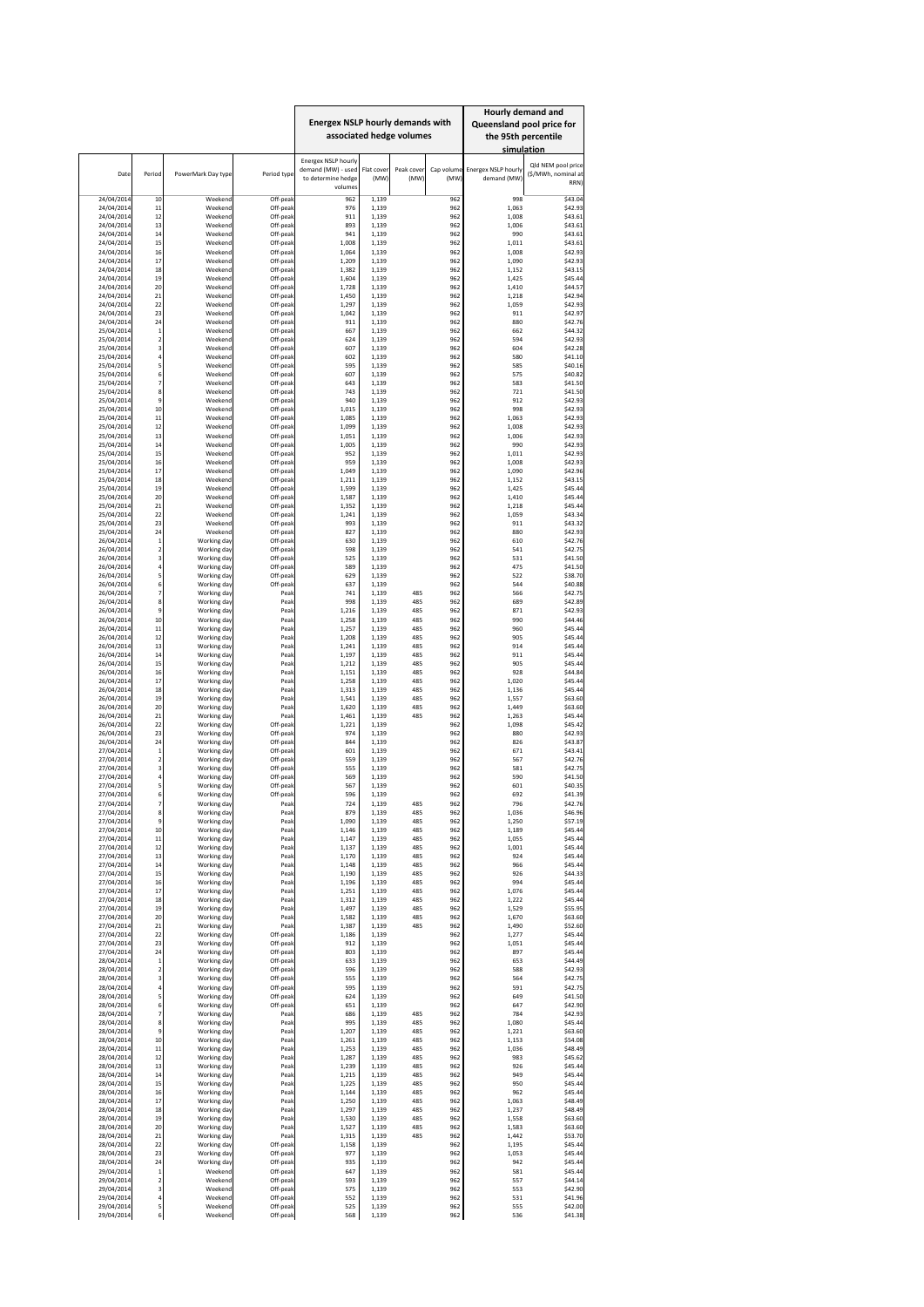|                          |                                   |                            |                      |                                                                     |                    |                    | Hourly demand and<br>Queensland pool price for |                                    |                    |
|--------------------------|-----------------------------------|----------------------------|----------------------|---------------------------------------------------------------------|--------------------|--------------------|------------------------------------------------|------------------------------------|--------------------|
|                          |                                   |                            |                      | <b>Energex NSLP hourly demands with</b><br>associated hedge volumes |                    |                    |                                                |                                    |                    |
|                          |                                   |                            |                      |                                                                     |                    |                    |                                                | the 95th percentile<br>simulation  |                    |
|                          |                                   |                            |                      | Energex NSLP hourly                                                 |                    |                    |                                                |                                    | Old NEM pool price |
| Date                     | Period                            | PowerMark Day type         | Period type          | demand (MW) - used<br>to determine hedge                            | Flat cover<br>(MW) | Peak cover<br>(MW) | Cap volume<br>(MW)                             | Energex NSLP hourly<br>demand (MW) | (\$/MWh, nominal a |
|                          |                                   |                            |                      | volume                                                              |                    |                    |                                                |                                    | <b>RRN</b>         |
| 24/04/2014               | 10                                | Weekend                    | Off-peal<br>Off-peal | 962                                                                 | 1,139              |                    | 962                                            | 998                                | \$43.04            |
| 24/04/2014<br>24/04/2014 | 11<br>12                          | Weekend<br>Weekend         | Off-peal             | 976<br>911                                                          | 1,139<br>1,139     |                    | 962<br>962                                     | 1,063<br>1,008                     | \$42.93<br>\$43.61 |
| 24/04/2014<br>24/04/2014 | 13<br>14                          | Weekend<br>Weekend         | Off-peal<br>Off-peal | 893<br>941                                                          | 1.139<br>1,139     |                    | 962<br>962                                     | 1,006<br>990                       | \$43.61<br>\$43.61 |
| 24/04/2014               | 15                                | Weekend                    | Off-peal             | 1,008                                                               | 1,139              |                    | 962                                            | 1,011                              | \$43.61            |
| 24/04/2014<br>24/04/2014 | 16<br>17                          | Weekend<br>Weekend         | Off-peal<br>Off-peal | 1,064<br>1,209                                                      | 1,139<br>1,139     |                    | 962<br>962                                     | 1,008<br>1,090                     | \$42.93<br>\$42.93 |
| 24/04/2014               | 18                                | Weekend                    | Off-peal             | 1,382                                                               | 1,139              |                    | 962                                            | 1,152                              | \$43.15            |
| 24/04/2014<br>24/04/2014 | 19<br>20                          | Weekend<br>Weekend         | Off-peal<br>Off-peal | 1,604<br>1,728                                                      | 1,139<br>1,139     |                    | 962<br>962                                     | 1,425<br>1,410                     | \$45.44<br>\$44.57 |
| 24/04/2014               | 21                                | Weekend                    | Off-peak             | 1,450                                                               | 1,139              |                    | 962                                            | 1,218                              | \$42.94            |
| 24/04/2014<br>24/04/2014 | 22<br>23                          | Weekend<br>Weekend         | Off-peal<br>Off-peal | 1,297<br>1,042                                                      | 1.139<br>1,139     |                    | 962<br>962                                     | 1.059<br>911                       | \$42.93<br>\$42.97 |
| 24/04/2014               | 24                                | Weekend                    | Off-peal             | 911                                                                 | 1,139              |                    | 962                                            | 880                                | \$42.76            |
| 25/04/2014<br>25/04/2014 | -1<br>$\overline{2}$              | Weekend<br>Weekend         | Off-peal<br>Off-peal | 667<br>624                                                          | 1,139<br>1.139     |                    | 962<br>962                                     | 662<br>594                         | \$44.32<br>\$42.93 |
| 25/04/2014               | 3                                 | Weekend                    | Off-peal             | 607                                                                 | 1,139              |                    | 962                                            | 604                                | \$42.28            |
| 25/04/2014<br>25/04/2014 | 4<br>5                            | Weekend<br>Weekend         | Off-peal<br>Off-peal | 602<br>595                                                          | 1,139<br>1,139     |                    | 962<br>962                                     | 580<br>585                         | \$41.10<br>\$40.16 |
| 25/04/2014<br>25/04/2014 | 6<br>$\overline{7}$               | Weekend<br>Weekend         | Off-peal<br>Off-peal | 607<br>643                                                          | 1.139<br>1,139     |                    | 962<br>962                                     | 575<br>583                         | \$40.82<br>\$41.50 |
| 25/04/2014               | 8                                 | Weekend                    | Off-peal             | 743                                                                 | 1,139              |                    | 962                                            | 721                                | \$41.50            |
| 25/04/2014<br>25/04/2014 | q<br>10                           | Weekend<br>Weekend         | Off-peal<br>Off-peal | 940<br>1.015                                                        | 1,139<br>1,139     |                    | 962<br>962                                     | 912<br>998                         | \$42.93<br>\$42.93 |
| 25/04/2014               | 11                                | Weekend                    | Off-peal             | 1,085                                                               | 1,139              |                    | 962                                            | 1,063                              | \$42.93            |
| 25/04/2014<br>25/04/2014 | 12<br>13                          | Weekend<br>Weekend         | Off-peal<br>Off-peal | 1,099<br>1,051                                                      | 1,139<br>1,139     |                    | 962<br>962                                     | 1,008<br>1,006                     | \$42.93<br>\$42.93 |
| 25/04/2014               | 14                                | Weekend                    | Off-peal             | 1,005                                                               | 1,139              |                    | 962                                            | 990                                | \$42.93            |
| 25/04/2014<br>25/04/2014 | 15<br>16                          | Weekend<br>Weekend         | Off-peal<br>Off-peal | 952<br>959                                                          | 1,139<br>1,139     |                    | 962<br>962                                     | 1,011<br>1,008                     | \$42.93<br>\$42.93 |
| 25/04/2014               | 17                                | Weekend                    | Off-peal             | 1,049                                                               | 1,139              |                    | 962                                            | 1,090                              | \$42.96            |
| 25/04/2014<br>25/04/2014 | 18<br>15                          | Weekend<br>Weekend         | Off-peal<br>Off-peak | 1.211<br>1.599                                                      | 1.139<br>1.139     |                    | 962<br>962                                     | 1,152<br>1,425                     | \$43.15<br>\$45.44 |
| 25/04/2014               | 20                                | Weekend<br>Weekend         | Off-peal             | 1,587                                                               | 1,139              |                    | 962                                            | 1,410                              | \$45.44            |
| 25/04/2014<br>25/04/2014 | 21<br>22                          | Weekend                    | Off-peal<br>Off-peal | 1,352<br>1,241                                                      | 1,139<br>1,139     |                    | 962<br>962                                     | 1,218<br>1,059                     | \$45.44<br>\$43.34 |
| 25/04/2014<br>25/04/2014 | 2 <sup>2</sup><br>24              | Weekend<br>Weekend         | Off-peal<br>Off-peal | 993<br>827                                                          | 1.139<br>1,139     |                    | 962<br>962                                     | 911<br>880                         | \$43.32<br>\$42.93 |
| 26/04/2014               | 1                                 | Working day                | Off-peal             | 630                                                                 | 1,139              |                    | 962                                            | 610                                | \$42.76            |
| 26/04/2014<br>26/04/2014 | $\overline{\mathbf{z}}$<br>$\,$ 3 | Working day<br>Working day | Off-peal<br>Off-peal | 598<br>525                                                          | 1,139<br>1,139     |                    | 962<br>962                                     | 541<br>531                         | \$42.7<br>\$41.50  |
| 26/04/2014               | 4                                 | Working day                | Off-peak             | 589                                                                 | 1,139              |                    | 962                                            | 475                                | \$41.50            |
| 26/04/2014<br>26/04/2014 | 5<br>6                            | Working day<br>Working day | Off-peal<br>Off-peak | 629<br>637                                                          | 1,139<br>1,139     |                    | 962<br>962                                     | 522<br>544                         | \$38.70<br>\$40.88 |
| 26/04/2014               | $\overline{7}$                    | Working day                | Peak                 | 741                                                                 | 1,139              | 485                | 962                                            | 566                                | \$42.75            |
| 26/04/2014<br>26/04/2014 | 8<br>S                            | Working day<br>Working day | Peal<br>Peal         | 998<br>1,216                                                        | 1,139<br>1,139     | 485<br>485         | 962<br>962                                     | 689<br>871                         | \$42.89<br>\$42.93 |
| 26/04/2014<br>26/04/2014 | 10<br>11                          | Working day<br>Working day | Peal<br>Peal         | 1,258<br>1,257                                                      | 1,139<br>1.139     | 485<br>485         | 962<br>962                                     | 990<br>960                         | \$44.46<br>\$45.44 |
| 26/04/2014               | 12                                | Working day                | Peal                 | 1,208                                                               | 1,139              | 485                | 962                                            | 905                                | \$45.44            |
| 26/04/2014<br>26/04/2014 | 13<br>14                          | Working day<br>Working day | Peal<br>Peak         | 1,241<br>1,197                                                      | 1,139<br>1,139     | 485<br>485         | 962<br>962                                     | 914<br>911                         | \$45.44<br>\$45.44 |
| 26/04/2014               | 15                                | Working day                | Peal                 | 1.212                                                               | 1,139              | 485                | 962                                            | 905                                | \$45.44            |
| 26/04/2014<br>26/04/2014 | 16<br>17                          | Working day<br>Working day | Peal<br>Peal         | 1,151<br>1,258                                                      | 1,139<br>1,139     | 485<br>485         | 962<br>962                                     | 928<br>1,020                       | \$44.84<br>\$45.44 |
| 26/04/2014               | 18                                | Working day                | Peal                 | 1,313                                                               | 1,139              | 485                | 962                                            | 1,136                              | \$45.44            |
| 26/04/2014<br>26/04/2014 | 19<br>20                          | Working day<br>Working day | Peal<br>Peak         | 1,541<br>1,620                                                      | 1,139<br>1,139     | 485<br>485         | 962<br>962                                     | 1,557<br>1.449                     | \$63.60<br>\$63.60 |
| 26/04/2014               | 21                                | Working day                | Peak                 | 1,461                                                               | 1,139              | 485                | 962                                            | 1,263                              | \$45.44            |
| 26/04/2014<br>26/04/2014 | 22<br>2 <sup>2</sup>              | Working day<br>Working day | Off-peal<br>Off-peal | 1,221<br>974                                                        | 1,139<br>1,139     |                    | 962<br>962                                     | 1,098<br>880                       | \$45.42<br>\$42.93 |
| 26/04/2014<br>27/04/2014 | 24<br>$\mathbf{1}$                | Working day<br>Working day | Off-peal<br>Off-peal | 844<br>601                                                          | 1,139<br>1,139     |                    | 962<br>962                                     | 826<br>671                         | \$43.87<br>\$43.41 |
| 27/04/2014               | $\overline{\mathbf{2}}$           | Working day                | Off-peal             | 559                                                                 | 1,139              |                    | 962                                            | 567                                | \$42.76            |
| 27/04/2014<br>27/04/2014 | 3<br>$\epsilon$                   | Working day<br>Working day | Off-peal<br>Off-peal | 555<br>569                                                          | 1,139<br>1.139     |                    | 962<br>962                                     | 581<br>590                         | \$42.7<br>\$41.50  |
| 27/04/2014               | s                                 | Working day                | Off-peak             | 567                                                                 | 1,139              |                    | 962                                            | 601                                | \$40.35            |
| 27/04/2014<br>27/04/2014 | 6                                 | Working day<br>Working day | Off-peak<br>Peal     | 596<br>724                                                          | 1,139<br>1,139     | 485                | 962<br>962                                     | 692<br>796                         | \$41.39<br>\$42.76 |
| 27/04/2014               | 8<br>Ś                            | Working day<br>Working day | Peak                 | 879                                                                 | 1.139              | 485<br>485         | 962<br>962                                     | 1.036                              | \$46.96            |
| 27/04/2014<br>27/04/2014 | 10                                | Working day                | Peak<br>Peal         | 1,090<br>1,146                                                      | 1,139<br>1,139     | 485                | 962                                            | 1,250<br>1,189                     | \$57.19<br>\$45.44 |
| 27/04/2014<br>27/04/2014 | 11<br>12                          | Working day<br>Working day | Peal<br>Peak         | 1,147<br>1,137                                                      | 1,139<br>1,139     | 485<br>485         | 962<br>962                                     | 1,055<br>1,001                     | \$45.44<br>\$45.44 |
| 27/04/2014               | 13                                | Working day                | Peak                 | 1,170                                                               | 1,139              | 485                | 962                                            | 924                                | \$45.44            |
| 27/04/2014<br>27/04/2014 | 14<br>15                          | Working day<br>Working day | Peak<br>Peak         | 1,148<br>1,190                                                      | 1,139<br>1,139     | 485<br>485         | 962<br>962                                     | 966<br>926                         | \$45.44<br>\$44.33 |
| 27/04/2014               | 16                                | Working day                | Peak                 | 1,196                                                               | 1,139              | 485                | 962                                            | 994                                | \$45.44            |
| 27/04/2014<br>27/04/2014 | 17<br>18                          | Working day<br>Working day | Peak<br>Peak         | 1,251<br>1,312                                                      | 1,139<br>1,139     | 485<br>485         | 962<br>962                                     | 1.076<br>1,222                     | \$45.44<br>\$45.44 |
| 27/04/2014<br>27/04/2014 | 19<br>20                          | Working day<br>Working day | Peal<br>Peal         | 1,497<br>1,582                                                      | 1,139<br>1,139     | 485<br>485         | 962<br>962                                     | 1,529<br>1,670                     | \$55.95<br>\$63.60 |
| 27/04/2014               | 21                                | Working day                | Peal                 | 1,387                                                               | 1,139              | 485                | 962                                            | 1,490                              | \$52.60            |
| 27/04/2014<br>27/04/2014 | 22<br>23                          | Working day<br>Working day | Off-peal<br>Off-peal | 1,186<br>912                                                        | 1,139<br>1,139     |                    | 962<br>962                                     | 1,277<br>1,051                     | \$45.44<br>\$45.44 |
| 27/04/2014               | 24                                | Working day                | Off-peal             | 803                                                                 | 1,139              |                    | 962                                            | 897                                | \$45.44            |
| 28/04/2014<br>28/04/2014 | $\mathbf{1}$<br>2                 | Working day<br>Working day | Off-peak<br>Off-peak | 633<br>596                                                          | 1,139<br>1,139     |                    | 962<br>962                                     | 653<br>588                         | \$44.49<br>\$42.93 |
| 28/04/2014               | ś                                 | Working day                | Off-peal             | 555                                                                 | 1,139              |                    | 962                                            | 564                                | \$42.75            |
| 28/04/2014<br>28/04/2014 | 4<br>5                            | Working day<br>Working day | Off-peal<br>Off-peak | 595<br>624                                                          | 1,139<br>1,139     |                    | 962<br>962                                     | 591<br>649                         | \$42.75<br>\$41.50 |
| 28/04/2014               | 6                                 | Working day                | Off-peak             | 651                                                                 | 1,139              |                    | 962                                            | 647                                | \$42.90            |
| 28/04/2014<br>28/04/2014 | $\overline{7}$<br>8               | Working day<br>Working day | Peal<br>Peak         | 686<br>995                                                          | 1,139<br>1,139     | 485<br>485         | 962<br>962                                     | 784<br>1,080                       | \$42.93<br>\$45.44 |
| 28/04/2014<br>28/04/2014 | 9<br>10                           | Working day<br>Working day | Peak<br>Peak         | 1,207<br>1,261                                                      | 1,139<br>1,139     | 485<br>485         | 962<br>962                                     | 1.221<br>1,153                     | \$63.60<br>\$54.08 |
| 28/04/2014               | 11                                | Working day                | Peal                 | 1,253                                                               | 1,139              | 485                | 962                                            | 1,036                              | \$48.49            |
| 28/04/2014<br>28/04/2014 | 12<br>13                          | Working day<br>Working day | Peal<br>Peak         | 1,287<br>1,239                                                      | 1,139<br>1,139     | 485<br>485         | 962<br>962                                     | 983<br>926                         | \$45.62<br>\$45.44 |
| 28/04/2014               | 14                                | Working day                | Peal                 | 1,215                                                               | 1,139              | 485                | 962                                            | 949                                | \$45.44            |
| 28/04/2014<br>28/04/2014 | 15<br>16                          | Working day<br>Working day | Peal<br>Peal         | 1,225<br>1,144                                                      | 1,139<br>1,139     | 485<br>485         | 962<br>962                                     | 950<br>962                         | \$45.44<br>\$45.44 |
| 28/04/2014               | 17                                | Working day                | Peal                 | 1,250                                                               | 1,139              | 485                | 962                                            | 1,063                              | \$48.49            |
| 28/04/2014<br>28/04/2014 | 18<br>19                          | Working day<br>Working day | Peak<br>Peal         | 1.297<br>1,530                                                      | 1,139<br>1,139     | 485<br>485         | 962<br>962                                     | 1.237<br>1,558                     | \$48.49<br>\$63.60 |
| 28/04/2014<br>28/04/2014 | 20<br>21                          | Working day                | Peal<br>Peal         | 1,527<br>1,315                                                      | 1,139              | 485<br>485         | 962<br>962                                     | 1,583                              | \$63.60<br>\$53.70 |
| 28/04/2014               | 22                                | Working day<br>Working day | Off-peak             | 1,158                                                               | 1,139<br>1,139     |                    | 962                                            | 1,442<br>1,195                     | \$45.44            |
| 28/04/2014<br>28/04/2014 | 23<br>24                          | Working day<br>Working day | Off-peak<br>Off-peak | 977<br>935                                                          | 1,139<br>1,139     |                    | 962<br>962                                     | 1,053<br>942                       | \$45.44<br>\$45.44 |
| 29/04/2014               | -1                                | Weekend                    | Off-peak             | 647                                                                 | 1,139              |                    | 962                                            | 581                                | \$45.44            |
| 29/04/2014<br>29/04/2014 | $\overline{2}$<br>3               | Weekend<br>Weekend         | Off-peak<br>Off-peak | 593<br>575                                                          | 1,139<br>1,139     |                    | 962<br>962                                     | 557<br>553                         | \$44.14<br>\$42.90 |
| 29/04/2014               | 4                                 | Weekend                    | Off-peal             | 552                                                                 | 1,139              |                    | 962                                            | 531                                | \$41.96            |
| 29/04/2014<br>29/04/2014 | S<br>6                            | Weekend<br>Weekend         | Off-peak<br>Off-peak | 525<br>568                                                          | 1,139<br>1,139     |                    | 962<br>962                                     | 555<br>536                         | \$42.00<br>\$41.38 |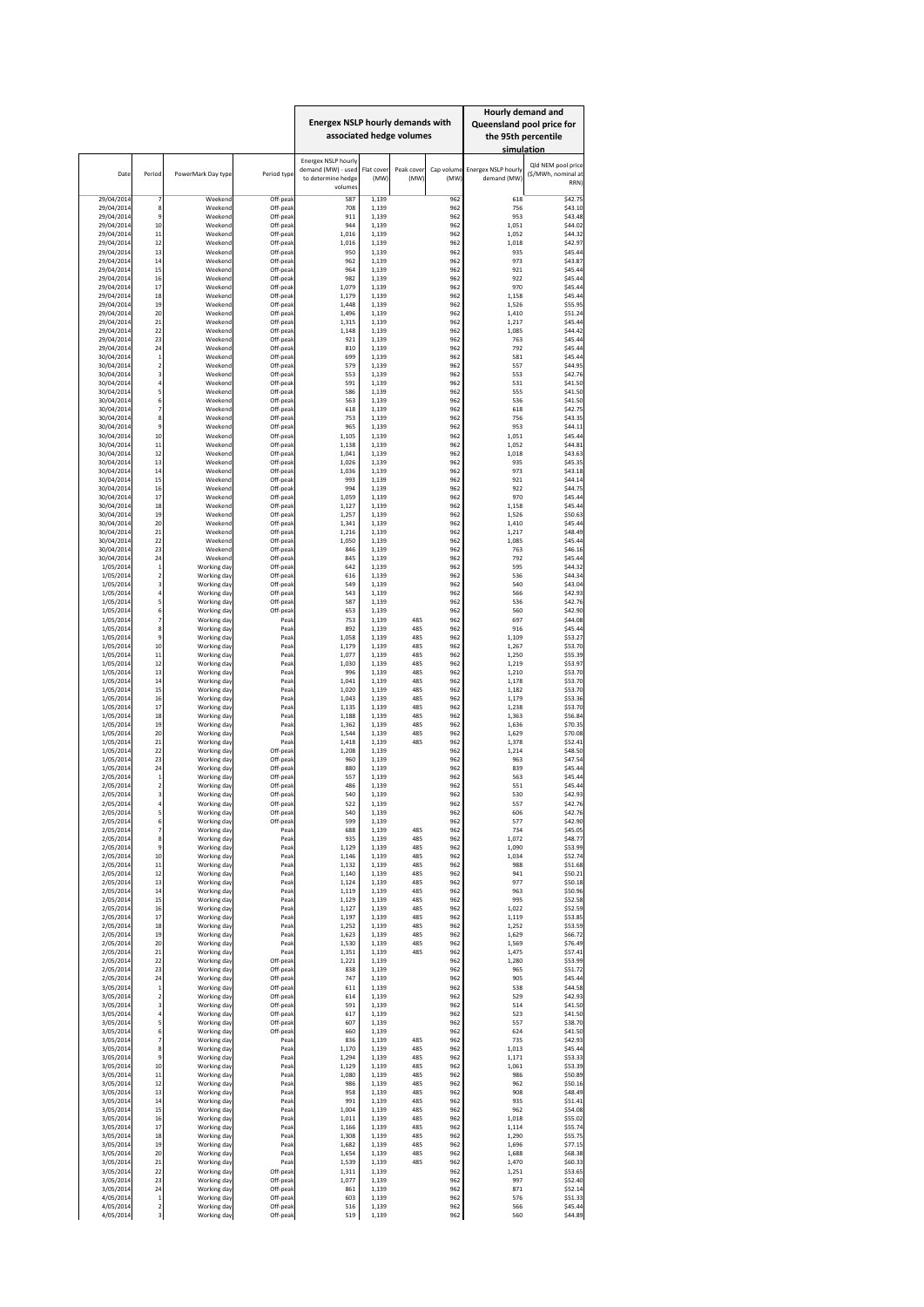|                          |                              |                            |                      | <b>Energex NSLP hourly demands with</b> |                |            | Hourly demand and<br>Queensland pool price for |                     |                                          |
|--------------------------|------------------------------|----------------------------|----------------------|-----------------------------------------|----------------|------------|------------------------------------------------|---------------------|------------------------------------------|
|                          |                              |                            |                      |                                         |                |            |                                                |                     |                                          |
|                          |                              |                            |                      | associated hedge volumes                |                |            | the 95th percentile<br>simulation              |                     |                                          |
|                          |                              |                            |                      | Energex NSLP hourly                     |                |            |                                                |                     |                                          |
| Date                     | Period                       | PowerMark Day type         | Period type          | demand (MW) - used                      | Flat cover     | Peak cover | Cap volume                                     | Energex NSLP hourly | Qld NEM pool price<br>(\$/MWh, nominal a |
|                          |                              |                            |                      | to determine hedge<br>volume            | (MW)           | (MW)       | (MW)                                           | demand (MW)         | <b>RRN</b>                               |
| 29/04/2014               |                              | Weekend                    | Off-peal             | 587                                     | 1,139          |            | 962                                            | 618                 | \$42.75                                  |
| 29/04/2014               | ξ                            | Weekend                    | Off-peal             | 708                                     | 1,139          |            | 962                                            | 756                 | \$43.10                                  |
| 29/04/2014<br>29/04/2014 | ¢<br>10                      | Weekend<br>Weekend         | Off-peal<br>Off-peal | 911<br>944                              | 1,139<br>1.139 |            | 962<br>962                                     | 953<br>1.051        | \$43.48<br>\$44.02                       |
| 29/04/2014               | $\overline{11}$              | Weekend                    | Off-peal             | 1,016                                   | 1,139          |            | 962                                            | 1,052               | \$44.32                                  |
| 29/04/2014<br>29/04/2014 | 12<br>13                     | Weekend<br>Weekend         | Off-peal<br>Off-peal | 1,016<br>950                            | 1,139<br>1,139 |            | 962<br>962                                     | 1,018<br>935        | \$42.97<br>\$45.44                       |
| 29/04/2014               | 14                           | Weekend                    | Off-peal             | 962                                     | 1,139          |            | 962                                            | 973                 | \$43.87                                  |
| 29/04/2014<br>29/04/2014 | 15<br>16                     | Weekend<br>Weekend         | Off-peal<br>Off-peal | 964<br>982                              | 1,139<br>1,139 |            | 962<br>962                                     | 921<br>922          | \$45.44<br>\$45.44                       |
| 29/04/2014               | 17                           | Weekend                    | Off-peal             | 1,079                                   | 1,139          |            | 962                                            | 970                 | \$45.44                                  |
| 29/04/2014<br>29/04/2014 | 18<br>19                     | Weekend<br>Weekend         | Off-peal<br>Off-peal | 1,179<br>1,448                          | 1,139<br>1.139 |            | 962<br>962                                     | 1.158<br>1.526      | \$45.44<br>\$55.95                       |
| 29/04/2014               | 20                           | Weekend                    | Off-peal             | 1,496                                   | 1,139          |            | 962                                            | 1,410               | \$51.24                                  |
| 29/04/2014<br>29/04/2014 | 21<br>22                     | Weekend<br>Weekend         | Off-peal<br>Off-peal | 1,315<br>1,148                          | 1,139<br>1,139 |            | 962<br>962                                     | 1,217<br>1,085      | \$45.44<br>\$44.42                       |
| 29/04/2014               | 23                           | Weekend                    | Off-peal             | 921                                     | 1.139          |            | 962                                            | 763                 | \$45.44                                  |
| 29/04/2014<br>30/04/2014 | 24<br>$\mathbf{1}$           | Weekend<br>Weekend         | Off-peal<br>Off-peal | 810<br>699                              | 1,139<br>1,139 |            | 962<br>962                                     | 792<br>581          | \$45.44<br>\$45.44                       |
| 30/04/2014               | $\overline{\mathbf{c}}$      | Weekend                    | Off-peal             | 579                                     | 1,139          |            | 962                                            | 557                 | \$44.95                                  |
| 30/04/2014<br>30/04/2014 | $\overline{\mathbf{3}}$<br>4 | Weekend<br>Weekend         | Off-peak<br>Off-peal | 553<br>591                              | 1.139<br>1,139 |            | 962<br>962                                     | 553<br>531          | \$42.76<br>\$41.50                       |
| 30/04/2014               | 5                            | Weekend                    | Off-peal             | 586                                     | 1,139          |            | 962                                            | 555                 | \$41.50                                  |
| 30/04/2014<br>30/04/2014 | 6<br>$\overline{7}$          | Weekend<br>Weekend         | Off-peal<br>Off-peal | 563<br>618                              | 1,139<br>1,139 |            | 962<br>962                                     | 536<br>618          | \$41.50<br>\$42.75                       |
| 30/04/2014               | 8                            | Weekend                    | Off-peal             | 753                                     | 1,139          |            | 962                                            | 756                 | \$43.35                                  |
| 30/04/2014<br>30/04/2014 | 9<br>10                      | Weekend<br>Weekend         | Off-peal<br>Off-peal | 965<br>1,105                            | 1,139<br>1,139 |            | 962<br>962                                     | 953<br>1,051        | \$44.11<br>\$45.44                       |
| 30/04/2014               | 11                           | Weekend                    | Off-peal             | 1,138                                   | 1,139          |            | 962                                            | 1.052               | \$44.81                                  |
| 30/04/2014<br>30/04/2014 | 12<br>13                     | Weekend<br>Weekend         | Off-peal<br>Off-peal | 1,041<br>1,026                          | 1,139<br>1,139 |            | 962<br>962                                     | 1,018<br>935        | \$43.63<br>\$45.35                       |
| 30/04/2014               | 14                           | Weekend                    | Off-peal             | 1,036                                   | 1,139          |            | 962                                            | 973                 | \$43.18                                  |
| 30/04/2014<br>30/04/2014 | 15<br>16                     | Weekend<br>Weekend         | Off-peal<br>Off-peal | 993<br>994                              | 1.139<br>1.139 |            | 962<br>962                                     | 921<br>922          | \$44.14<br>\$44.75                       |
| 30/04/2014               | 17                           | Weekend                    | Off-peal             | 1,059                                   | 1,139          |            | 962                                            | 970                 | \$45.44                                  |
| 30/04/2014<br>30/04/2014 | 18<br>19                     | Weekend<br>Weekend         | Off-peal<br>Off-peal | 1,127<br>1,257                          | 1,139<br>1,139 |            | 962<br>962                                     | 1,158<br>1,526      | \$45.44<br>\$50.63                       |
| 30/04/2014               | 20                           | Weekend                    | Off-peal             | 1,341                                   | 1.139          |            | 962                                            | 1.410               | \$45.44                                  |
| 30/04/2014<br>30/04/2014 | 21<br>22                     | Weekend<br>Weekend         | Off-peal<br>Off-peal | 1,216<br>1,050                          | 1,139<br>1,139 |            | 962<br>962                                     | 1,217<br>1,085      | \$48.49<br>\$45.44                       |
| 30/04/2014               | 2 <sup>2</sup>               | Weekend                    | Off-peal             | 846                                     | 1,139          |            | 962                                            | 763                 | \$46.16                                  |
| 30/04/2014<br>1/05/2014  | 24<br>$\mathbf 1$            | Weekend<br>Working day     | Off-peal<br>Off-peak | 845<br>642                              | 1,139<br>1,139 |            | 962<br>962                                     | 792<br>595          | \$45.44<br>\$44.32                       |
| 1/05/2014                | $\mathbf 2$                  | Working day                | Off-peal             | 616                                     | 1,139          |            | 962                                            | 536                 | \$44.34                                  |
| 1/05/2014<br>1/05/2014   | $\mathsf 3$<br>$\ddot{4}$    | Working day<br>Working day | Off-peak<br>Off-peak | 549<br>543                              | 1,139<br>1,139 |            | 962<br>962                                     | 540<br>566          | \$43.04<br>\$42.93                       |
| 1/05/2014                | 5                            | Working day                | Off-peal             | 587                                     | 1,139          |            | 962                                            | 536                 | \$42.76                                  |
| 1/05/2014<br>1/05/2014   | 6<br>7                       | Working day<br>Working day | Off-peal<br>Peal     | 653<br>753                              | 1,139<br>1,139 | 485        | 962<br>962                                     | 560<br>697          | \$42.90<br>\$44.08                       |
| 1/05/2014                | 8                            | Working day                | Peak                 | 892                                     | 1.139          | 485        | 962                                            | 916                 | \$45.44                                  |
| 1/05/2014<br>1/05/2014   | Ś<br>10                      | Working day<br>Working day | Peal<br>Peal         | 1,058<br>1,179                          | 1,139<br>1,139 | 485<br>485 | 962<br>962                                     | 1,109<br>1,267      | \$53.27<br>\$53.70                       |
| 1/05/2014                | 11                           | Working day                | Peak                 | 1,077                                   | 1,139          | 485        | 962                                            | 1,250               | \$55.39                                  |
| 1/05/2014<br>1/05/2014   | 12<br>13                     | Working day<br>Working day | Peal<br>Peal         | 1,030<br>996                            | 1,139<br>1,139 | 485<br>485 | 962<br>962                                     | 1.219<br>1,210      | \$53.97<br>\$53.70                       |
| 1/05/2014                | 14                           | Working day                | Peal                 | 1,041                                   | 1,139          | 485        | 962                                            | 1,178               | \$53.70                                  |
| 1/05/2014<br>1/05/2014   | 15<br>16                     | Working day<br>Working day | Peal<br>Peal         | 1,020<br>1,043                          | 1,139<br>1,139 | 485<br>485 | 962<br>962                                     | 1,182<br>1,179      | \$53.70<br>\$53.36                       |
| 1/05/2014                | 17                           | Working day                | Peak                 | 1,135                                   | 1.139          | 485        | 962                                            | 1,238               | \$53.70                                  |
| 1/05/2014<br>1/05/2014   | 18<br>19                     | Working day<br>Working day | Peak<br>Peal         | 1,188<br>1,362                          | 1,139<br>1,139 | 485<br>485 | 962<br>962                                     | 1,363<br>1,636      | \$56.84<br>\$70.35                       |
| 1/05/2014                | 20                           | Working day                | Peal                 | 1,544                                   | 1,139          | 485        | 962                                            | 1,629               | \$70.08                                  |
| 1/05/2014<br>1/05/2014   | 21<br>22                     | Working day<br>Working day | Peak<br>Off-peal     | 1,418<br>1,208                          | 1,139<br>1,139 | 485        | 962<br>962                                     | 1.378<br>1,214      | \$52.41<br>\$48.50                       |
| 1/05/2014                | 23                           | Working day                | Off-peal             | 960                                     | 1,139          |            | 962                                            | 963                 | \$47.54                                  |
| 1/05/2014<br>2/05/2014   | 24<br>$\mathbf{1}$           | Working day<br>Working day | Off-peal<br>Off-peal | 880<br>557                              | 1,139<br>1.139 |            | 962<br>962                                     | 839<br>563          | \$45.44<br>\$45.44                       |
| 2/05/2014                | $\overline{\mathbf{c}}$      | Working day                | Off-peak             | 486                                     | 1,139          |            | 962                                            | 551                 | \$45.44                                  |
| 2/05/2014<br>2/05/2014   | 3                            | Working day<br>Working day | Off-peak<br>Off-peal | 540<br>522                              | 1,139<br>1,139 |            | 962<br>962                                     | 530<br>557          | \$42.93<br>\$42.7                        |
| 2/05/2014                | 5                            | Working day                | Off-peak             | 540                                     | 1.139          |            | 962                                            | 606                 | \$42.76                                  |
| 2/05/2014<br>2/05/2014   | 6<br>7                       | Working day<br>Working day | Off-peal<br>Peal     | 599<br>688                              | 1,139<br>1,139 | 485        | 962<br>962                                     | 577<br>734          | \$42.90<br>\$45.05                       |
| 2/05/2014                | 8                            | Working day                | Peal                 | 935                                     | 1,139          | 485        | 962                                            | 1,072               | \$48.77                                  |
| 2/05/2014<br>2/05/2014   | 9<br>10                      | Working day<br>Working day | Peak<br>Peak         | 1,129<br>1,146                          | 1,139<br>1,139 | 485<br>485 | 962<br>962                                     | 1,090<br>1,034      | \$53.99<br>\$52.74                       |
| 2/05/2014                | 11                           | Working day                | Peak                 | 1,132                                   | 1,139          | 485        | 962                                            | 988                 | \$51.68                                  |
| 2/05/2014<br>2/05/2014   | 12<br>13                     | Working day<br>Working day | Peak<br>Peak         | 1,140<br>1,124                          | 1,139<br>1,139 | 485<br>485 | 962<br>962                                     | 941<br>977          | \$50.21<br>\$50.18                       |
| 2/05/2014                | 14                           | Working day                | Peak                 | 1,119                                   | 1,139          | 485        | 962                                            | 963                 | \$50.96                                  |
| 2/05/2014<br>2/05/2014   | 15<br>16                     | Working day<br>Working day | Peak<br>Peal         | 1,129<br>1,127                          | 1,139<br>1,139 | 485<br>485 | 962<br>962                                     | 995<br>1,022        | \$52.58<br>\$52.59                       |
| 2/05/2014                | 17                           | Working day                | Peal                 | 1,197                                   | 1,139          | 485        | 962                                            | 1,119               | \$53.85                                  |
| 2/05/2014<br>2/05/2014   | 18<br>19                     | Working day<br>Working day | Peak<br>Peal         | 1,252<br>1,623                          | 1.139<br>1,139 | 485<br>485 | 962<br>962                                     | 1,252<br>1,629      | \$53.59<br>\$66.72                       |
| 2/05/2014                | 20                           | Working day                | Peal                 | 1,530                                   | 1,139          | 485        | 962                                            | 1,569               | \$76.49                                  |
| 2/05/2014<br>2/05/2014   | 21<br>22                     | Working day<br>Working day | Peal<br>Off-peak     | 1,351<br>1,221                          | 1,139<br>1,139 | 485        | 962<br>962                                     | 1,475<br>1,280      | \$57.41<br>\$53.99                       |
| 2/05/2014                | 23                           | Working day                | Off-peal             | 838                                     | 1,139          |            | 962                                            | 965                 | \$51.72                                  |
| 2/05/2014<br>3/05/2014   | 24<br>-1                     | Working day<br>Working day | Off-peal<br>Off-peal | 747<br>611                              | 1,139<br>1,139 |            | 962<br>962                                     | 905<br>538          | \$45.44<br>\$44.58                       |
| 3/05/2014                | $\overline{2}$               | Working day                | Off-peal             | 614                                     | 1,139          |            | 962                                            | 529                 | \$42.93                                  |
| 3/05/2014<br>3/05/2014   | 3<br>4                       | Working day<br>Working day | Off-peak<br>Off-peak | 591<br>617                              | 1,139<br>1,139 |            | 962<br>962                                     | 514<br>523          | \$41.50<br>\$41.50                       |
| 3/05/2014                | 5                            | Working day                | Off-peak             | 607                                     | 1,139          |            | 962                                            | 557                 | \$38.70                                  |
| 3/05/2014<br>3/05/2014   | 6<br>7                       | Working day<br>Working day | Off-peak<br>Peak     | 660<br>836                              | 1,139<br>1,139 | 485        | 962<br>962                                     | 624<br>735          | \$41.50<br>\$42.93                       |
| 3/05/2014                | 8                            | Working day                | Peal                 | 1,170                                   | 1,139          | 485        | 962                                            | 1,013               | \$45.44                                  |
| 3/05/2014<br>3/05/2014   | q<br>10                      | Working day<br>Working day | Peal<br>Peak         | 1,294<br>1,129                          | 1,139<br>1.139 | 485<br>485 | 962<br>962                                     | 1,171<br>1,061      | \$53.33<br>\$53.39                       |
| 3/05/2014                | 11                           | Working day                | Peal                 | 1,080                                   | 1,139          | 485        | 962                                            | 986                 | \$50.89                                  |
| 3/05/2014<br>3/05/2014   | 12<br>13                     | Working day<br>Working day | Peal<br>Peal         | 986<br>958                              | 1,139<br>1,139 | 485<br>485 | 962<br>962                                     | 962<br>908          | \$50.16<br>\$48.49                       |
| 3/05/2014                | 14                           | Working day                | Peal                 | 991                                     | 1,139          | 485        | 962                                            | 935                 | \$51.41                                  |
| 3/05/2014<br>3/05/2014   | 15<br>16                     | Working day<br>Working day | Peak<br>Peal         | 1,004<br>1,011                          | 1,139<br>1,139 | 485<br>485 | 962<br>962                                     | 962<br>1,018        | \$54.08<br>\$55.02                       |
| 3/05/2014                | 17                           | Working day                | Peal                 | 1,166                                   | 1,139          | 485        | 962                                            | 1,114               | \$55.74                                  |
| 3/05/2014<br>3/05/2014   | 18<br>19                     | Working day<br>Working day | Peal<br>Peak         | 1,308<br>1,682                          | 1,139<br>1,139 | 485<br>485 | 962<br>962                                     | 1,290<br>1,696      | \$55.75<br>\$77.15                       |
| 3/05/2014                | 20                           | Working day                | Peak                 | 1,654                                   | 1,139          | 485        | 962                                            | 1,688               | \$68.38                                  |
| 3/05/2014<br>3/05/2014   | 21<br>22                     | Working day<br>Working day | Peal<br>Off-peak     | 1,539<br>1,311                          | 1,139<br>1,139 | 485        | 962<br>962                                     | 1,470<br>1,251      | \$60.33<br>\$53.65                       |
| 3/05/2014                | 23                           | Working day                | Off-peak             | 1,077                                   | 1,139          |            | 962                                            | 997                 | \$52.40                                  |
| 3/05/2014<br>4/05/2014   | 24<br>1                      | Working day<br>Working day | Off-peak<br>Off-peal | 861<br>603                              | 1,139<br>1,139 |            | 962<br>962                                     | 871<br>576          | \$52.14<br>\$51.33                       |
| 4/05/2014                | 2                            | Working day                | Off-peak             | 516                                     | 1,139          |            | 962                                            | 566                 | \$45.44                                  |
| 4/05/2014                | 3                            | Working day                | Off-peak             | 519                                     | 1,139          |            | 962                                            | 560                 | \$44.89                                  |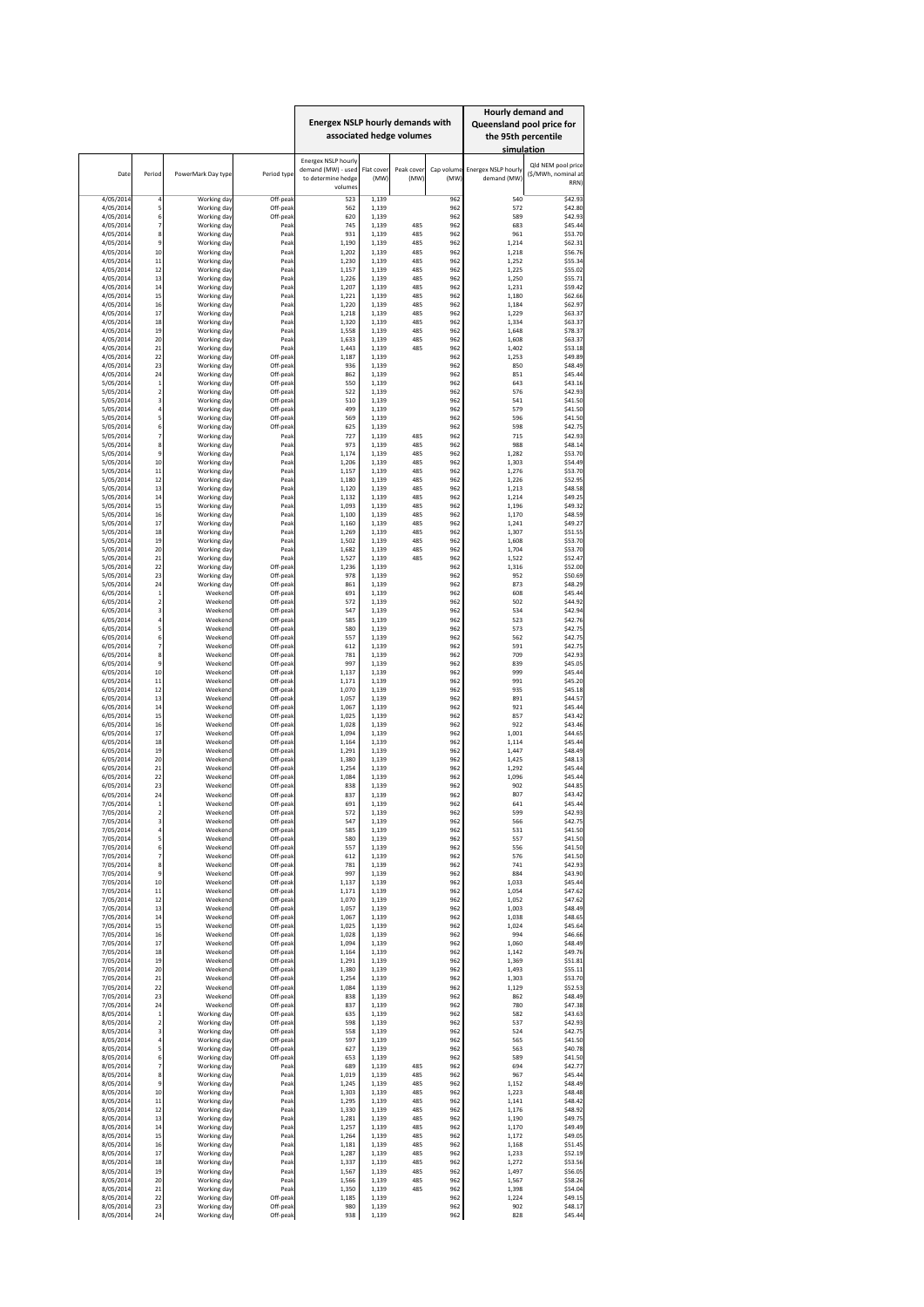|                        |                               |                            |                      |                                                                     |                |            | Hourly demand and<br>Queensland pool price for |                     |                                           |  |
|------------------------|-------------------------------|----------------------------|----------------------|---------------------------------------------------------------------|----------------|------------|------------------------------------------------|---------------------|-------------------------------------------|--|
|                        |                               |                            |                      | <b>Energex NSLP hourly demands with</b><br>associated hedge volumes |                |            |                                                |                     |                                           |  |
|                        |                               |                            |                      |                                                                     |                |            |                                                | the 95th percentile |                                           |  |
|                        |                               |                            |                      | Energex NSLP hourly                                                 |                |            |                                                | simulation          |                                           |  |
| Date                   | Period                        | PowerMark Day type         | Period type          | demand (MW) - used                                                  | Flat cover     | Peak cover | Cap volume                                     | Energex NSLP hourly | Qld NEM pool price<br>(\$/MWh, nominal at |  |
|                        |                               |                            |                      | to determine hedge<br>volumes                                       | (MW)           | (MW)       | (MW)                                           | demand (MW)         | <b>RRN1</b>                               |  |
| 4/05/2014              |                               | Working day                | Off-peal             | 523                                                                 | 1,139          |            | 962                                            | 540                 | \$42.93                                   |  |
| 4/05/2014              | 5                             | Working day                | Off-peak             | 562                                                                 | 1,139          |            | 962                                            | 572                 | \$42.80                                   |  |
| 4/05/2014<br>4/05/2014 | 6<br>7                        | Working day<br>Working day | Off-peak<br>Peak     | 620<br>745                                                          | 1,139<br>1.139 | 485        | 962<br>962                                     | 589<br>683          | \$42.93<br>\$45.44                        |  |
| 4/05/2014              | 8                             | Working day                | Peal                 | 931                                                                 | 1,139          | 485        | 962                                            | 961                 | \$53.70                                   |  |
| 4/05/2014<br>4/05/2014 | 9<br>10                       | Working day<br>Working day | Peal<br>Peal         | 1,190<br>1,202                                                      | 1,139<br>1,139 | 485<br>485 | 962<br>962                                     | 1,214<br>1,218      | \$62.31<br>\$56.76                        |  |
| 4/05/2014              | 11                            | Working day                | Peal                 | 1,230                                                               | 1.139          | 485        | 962                                            | 1,252               | \$55.34                                   |  |
| 4/05/2014<br>4/05/2014 | 12<br>13                      | Working day<br>Working day | Peak<br>Peak         | 1,157<br>1,226                                                      | 1,139<br>1,139 | 485<br>485 | 962<br>962                                     | 1,225<br>1,250      | \$55.02<br>\$55.71                        |  |
| 4/05/2014              | 14                            | Working day                | Peak                 | 1,207                                                               | 1,139          | 485        | 962                                            | 1,231               | \$59.42                                   |  |
| 4/05/2014<br>4/05/2014 | 15<br>16                      | Working day<br>Working day | Peal<br>Peal         | 1.221<br>1.220                                                      | 1,139<br>1.139 | 485<br>485 | 962<br>962                                     | 1.180<br>1.184      | \$62.66<br>\$62.97                        |  |
| 4/05/2014              | 17                            | Working day                | Peal                 | 1,218                                                               | 1,139          | 485        | 962                                            | 1,229               | \$63.37                                   |  |
| 4/05/2014<br>4/05/2014 | 18<br>19                      | Working day<br>Working day | Peal<br>Peal         | 1,320<br>1,558                                                      | 1,139<br>1,139 | 485<br>485 | 962<br>962                                     | 1,334<br>1,648      | \$63.37<br>\$78.37                        |  |
| 4/05/2014              | 20                            | Working day                | Peal                 | 1.633                                                               | 1.139          | 485        | 962                                            | 1.608               | \$63.37                                   |  |
| 4/05/2014<br>4/05/2014 | $\overline{21}$<br>22         | Working day<br>Working day | Peak<br>Off-peak     | 1,443<br>1,187                                                      | 1,139<br>1,139 | 485        | 962<br>962                                     | 1,402<br>1,253      | \$53.18<br>\$49.89                        |  |
| 4/05/2014              | 23                            | Working day                | Off-peak             | 936                                                                 | 1,139          |            | 962                                            | 850                 | \$48.49                                   |  |
| 4/05/2014<br>5/05/2014 | 24<br>$\mathbf{1}$            | Working day<br>Working day | Off-peal<br>Off-peak | 862<br>550                                                          | 1.139<br>1,139 |            | 962<br>962                                     | 851<br>643          | \$45.44<br>\$43.16                        |  |
| 5/05/2014              | $\overline{\mathbf{c}}$       | Working day                | Off-peal             | 522                                                                 | 1,139          |            | 962                                            | 576                 | \$42.93                                   |  |
| 5/05/2014<br>5/05/2014 | 3<br>4                        | Working day<br>Working day | Off-peak<br>Off-peak | 510<br>499                                                          | 1,139<br>1.139 |            | 962<br>962                                     | 541<br>579          | \$41.50<br>\$41.50                        |  |
| 5/05/2014              | 5                             | Working day                | Off-peak             | 569                                                                 | 1,139          |            | 962                                            | 596                 | \$41.50                                   |  |
| 5/05/2014<br>5/05/2014 | 6<br>$\overline{\phantom{a}}$ | Working day<br>Working day | Off-peak<br>Peak     | 625<br>727                                                          | 1,139<br>1,139 | 485        | 962<br>962                                     | 598<br>715          | \$42.75<br>\$42.93                        |  |
| 5/05/2014              | 8                             | Working day                | Peal                 | 973                                                                 | 1.139          | 485        | 962                                            | 988                 | \$48.14                                   |  |
| 5/05/2014<br>5/05/2014 | 9<br>10                       | Working day<br>Working day | Peal<br>Peal         | 1,174<br>1,206                                                      | 1,139<br>1,139 | 485<br>485 | 962<br>962                                     | 1,282<br>1,303      | \$53.70<br>\$54.49                        |  |
| 5/05/2014              | $\overline{11}$               | Working day                | Peal                 | 1,157                                                               | 1,139          | 485        | 962                                            | 1,276               | \$53.70                                   |  |
| 5/05/2014<br>5/05/2014 | 12<br>13                      | Working day<br>Working day | Peal<br>Peak         | 1.180<br>1,120                                                      | 1.139<br>1,139 | 485<br>485 | 962<br>962                                     | 1.226<br>1,213      | \$52.95<br>\$48.58                        |  |
| 5/05/2014              | 14                            | Working day                | Peak                 | 1,132                                                               | 1,139          | 485        | 962                                            | 1,214               | \$49.25                                   |  |
| 5/05/2014<br>5/05/2014 | 15<br>16                      | Working day<br>Working day | Peal<br>Peak         | 1,093<br>1,100                                                      | 1,139<br>1,139 | 485<br>485 | 962<br>962                                     | 1,196<br>1,170      | \$49.32<br>\$48.59                        |  |
| 5/05/2014              | 17                            | Working day                | Peal                 | 1.160                                                               | 1.139          | 485        | 962                                            | 1.241               | \$49.27                                   |  |
| 5/05/2014<br>5/05/2014 | 18<br>19                      | Working day<br>Working day | Peal<br>Peal         | 1,269<br>1,502                                                      | 1,139<br>1,139 | 485<br>485 | 962<br>962                                     | 1,307<br>1,608      | \$51.55<br>\$53.70                        |  |
| 5/05/2014              | 20                            | Working day                | Peal                 | 1,682                                                               | 1,139          | 485        | 962                                            | 1,704               | \$53.70                                   |  |
| 5/05/2014<br>5/05/2014 | 21<br>22                      | Working day<br>Working day | Peal<br>Off-peak     | 1.527<br>1,236                                                      | 1.139<br>1,139 | 485        | 962<br>962                                     | 1.522<br>1,316      | \$52.47<br>\$52.00                        |  |
| 5/05/2014              | 23                            | Working day                | Off-peak             | 978                                                                 | 1,139          |            | 962                                            | 952                 | \$50.69                                   |  |
| 5/05/2014<br>6/05/2014 | 24<br>1                       | Working day<br>Weekend     | Off-peak<br>Off-peak | 861<br>691                                                          | 1,139<br>1.139 |            | 962<br>962                                     | 873<br>608          | \$48.29<br>\$45.44                        |  |
| 6/05/2014              | 2                             | Weekend                    | Off-peak             | 572                                                                 | 1,139          |            | 962                                            | 502                 | \$44.92                                   |  |
| 6/05/2014<br>6/05/2014 | 3<br>4                        | Weekend<br>Weekend         | Off-peal<br>Off-peal | 547<br>585                                                          | 1,139<br>1,139 |            | 962<br>962                                     | 534<br>523          | \$42.94<br>\$42.76                        |  |
| 6/05/2014              | 5                             | Weekend                    | Off-peak             | 580                                                                 | 1.139          |            | 962                                            | 573                 | \$42.75                                   |  |
| 6/05/2014<br>6/05/2014 | 6<br>7                        | Weekend<br>Weekend         | Off-peak<br>Off-peak | 557<br>612                                                          | 1,139<br>1,139 |            | 962<br>962                                     | 562<br>591          | \$42.75<br>\$42.75                        |  |
| 6/05/2014              | 8                             | Weekend                    | Off-peak             | 781                                                                 | 1,139          |            | 962                                            | 709                 | \$42.93                                   |  |
| 6/05/2014<br>6/05/2014 | 9<br>10                       | Weekend<br>Weekend         | Off-peak<br>Off-peak | 997<br>1,137                                                        | 1.139<br>1,139 |            | 962<br>962                                     | 839<br>999          | \$45.05<br>\$45.44                        |  |
| 6/05/2014              | 11                            | Weekend                    | Off-peak             | 1,171                                                               | 1,139          |            | 962                                            | 991                 | \$45.20                                   |  |
| 6/05/2014<br>6/05/2014 | 12<br>13                      | Weekend<br>Weekend         | Off-peal<br>Off-peal | 1,070<br>1,057                                                      | 1,139<br>1,139 |            | 962<br>962                                     | 935<br>891          | \$45.18<br>\$44.57                        |  |
| 6/05/2014              | 14                            | Weekend                    | Off-peak             | 1.067                                                               | 1,139          |            | 962                                            | 921                 | \$45.44                                   |  |
| 6/05/2014<br>6/05/2014 | 15<br>16                      | Weekend<br>Weekend         | Off-peak<br>Off-peak | 1,025<br>1,028                                                      | 1,139<br>1,139 |            | 962<br>962                                     | 857<br>922          | \$43.42<br>\$43.46                        |  |
| 6/05/2014              | 17                            | Weekend<br>Weekend         | Off-peak             | 1,094                                                               | 1,139          |            | 962                                            | 1,001               | \$44.65                                   |  |
| 6/05/2014<br>6/05/2014 | 18<br>19                      | Weekend                    | Off-peak<br>Off-peak | 1.164<br>1,291                                                      | 1.139<br>1,139 |            | 962<br>962                                     | 1.114<br>1,447      | \$45.44<br>\$48.49                        |  |
| 6/05/2014              | 20                            | Weekend                    | Off-peal             | 1,380                                                               | 1,139          |            | 962                                            | 1,425               | \$48.13                                   |  |
| 6/05/2014<br>6/05/2014 | 21<br>22                      | Weekend<br>Weekend         | Off-peal<br>Off-peak | 1,254<br>1.084                                                      | 1,139<br>1.139 |            | 962<br>962                                     | 1,292<br>1.096      | \$45.44<br>\$45.44                        |  |
| 6/05/2014              | 23                            | Weekend                    | Off-peak             | 838                                                                 | 1,139          |            | 962                                            | 902                 | \$44.85                                   |  |
| 6/05/2014<br>7/05/201  | 24                            | Weekend<br>Weekend         | Off-peak<br>Off-pea  | 837<br>691                                                          | 1,139<br>1.139 |            | 962<br>962                                     | 807<br>641          | \$43.42<br>\$45.44                        |  |
| 7/05/2014              | $\overline{a}$                | Weekend                    | Off-peak             | 572                                                                 | 1.139          |            | 962                                            | 599                 | \$42.93                                   |  |
| 7/05/2014<br>7/05/2014 | 3<br>4                        | Weekend<br>Weekend         | Off-peak<br>Off-peak | 547<br>585                                                          | 1,139<br>1,139 |            | 962<br>962                                     | 566<br>531          | \$42.7<br>\$41.50                         |  |
| 7/05/2014              | 5                             | Weekend                    | Off-peak             | 580                                                                 | 1,139          |            | 962                                            | 557                 | \$41.50                                   |  |
| 7/05/2014<br>7/05/2014 | 6<br>7                        | Weekend<br>Weekend         | Off-peak<br>Off-peak | 557<br>612                                                          | 1,139<br>1,139 |            | 962<br>962                                     | 556<br>576          | \$41.50<br>\$41.50                        |  |
| 7/05/2014              | $\bf8$                        | Weekend                    | Off-peak             | 781                                                                 | 1,139          |            | 962                                            | 741                 | \$42.93                                   |  |
| 7/05/2014<br>7/05/2014 | 9<br>10                       | Weekend<br>Weekend         | Off-peak<br>Off-peak | 997<br>1,137                                                        | 1,139<br>1,139 |            | 962<br>962                                     | 884<br>1,033        | \$43.90<br>\$45.44                        |  |
| 7/05/2014              | 11                            | Weekend                    | Off-peak             | 1.171                                                               | 1.139          |            | 962                                            | 1,054               | \$47.62                                   |  |
| 7/05/2014<br>7/05/2014 | 12<br>13                      | Weekend<br>Weekend         | Off-peak<br>Off-peak | 1,070<br>1,057                                                      | 1,139<br>1,139 |            | 962<br>962                                     | 1,052<br>1,003      | \$47.62<br>\$48.49                        |  |
| 7/05/2014              | 14                            | Weekend                    | Off-peak             | 1,067                                                               | 1,139          |            | 962                                            | 1,038               | \$48.65                                   |  |
| 7/05/2014<br>7/05/2014 | 15<br>16                      | Weekend<br>Weekend         | Off-peak<br>Off-peak | 1,025<br>1,028                                                      | 1.139<br>1,139 |            | 962<br>962                                     | 1,024<br>994        | \$45.64<br>\$46.66                        |  |
| 7/05/2014              | 17                            | Weekend                    | Off-peak             | 1,094                                                               | 1,139          |            | 962                                            | 1,060               | \$48.49                                   |  |
| 7/05/2014<br>7/05/2014 | 18<br>19                      | Weekend<br>Weekend         | Off-peak<br>Off-peak | 1,164<br>1.291                                                      | 1,139<br>1.139 |            | 962<br>962                                     | 1,142<br>1,369      | \$49.76<br>\$51.81                        |  |
| 7/05/2014              | 20                            | Weekend                    | Off-peak             | 1,380                                                               | 1,139          |            | 962                                            | 1,493               | \$55.11                                   |  |
| 7/05/2014<br>7/05/2014 | 21<br>22                      | Weekend<br>Weekend         | Off-peak<br>Off-peak | 1,254<br>1,084                                                      | 1,139<br>1,139 |            | 962<br>962                                     | 1,303<br>1,129      | \$53.70<br>\$52.53                        |  |
| 7/05/2014              | 23                            | Weekend                    | Off-peak             | 838                                                                 | 1,139          |            | 962                                            | 862                 | \$48.49                                   |  |
| 7/05/2014<br>8/05/2014 | 24<br>$\mathbf{1}$            | Weekend<br>Working day     | Off-peak<br>Off-peak | 837<br>635                                                          | 1,139<br>1,139 |            | 962<br>962                                     | 780<br>582          | \$47.38<br>\$43.63                        |  |
| 8/05/2014              | $\overline{\mathbf{c}}$       | Working day                | Off-peak             | 598                                                                 | 1,139          |            | 962                                            | 537                 | \$42.93                                   |  |
| 8/05/2014<br>8/05/2014 | 3<br>4                        | Working day<br>Working day | Off-peak<br>Off-peak | 558<br>597                                                          | 1.139<br>1,139 |            | 962<br>962                                     | 524<br>565          | \$42.75<br>\$41.50                        |  |
| 8/05/2014              | 5                             | Working day                | Off-peak             | 627                                                                 | 1,139          |            | 962                                            | 563                 | \$40.78                                   |  |
| 8/05/2014<br>8/05/2014 | 6<br>$\overline{7}$           | Working day<br>Working day | Off-peak<br>Peak     | 653<br>689                                                          | 1,139<br>1.139 | 485        | 962<br>962                                     | 589<br>694          | \$41.50<br>\$42.77                        |  |
| 8/05/2014              | 8                             | Working day                | Peak                 | 1,019                                                               | 1,139          | 485        | 962                                            | 967                 | \$45.44                                   |  |
| 8/05/2014<br>8/05/2014 | 9<br>10                       | Working day<br>Working day | Peak<br>Peak         | 1,245<br>1,303                                                      | 1,139<br>1,139 | 485<br>485 | 962<br>962                                     | 1,152<br>1,223      | \$48.49<br>\$48.48                        |  |
| 8/05/2014              | 11                            | Working day                | Peak                 | 1,295                                                               | 1,139          | 485        | 962                                            | 1,141               | \$48.42                                   |  |
| 8/05/2014<br>8/05/2014 | 12<br>13                      | Working day<br>Working day | Peal<br>Peal         | 1.330<br>1,281                                                      | 1,139<br>1,139 | 485<br>485 | 962<br>962                                     | 1.176<br>1,190      | \$48.92<br>\$49.75                        |  |
| 8/05/2014              | 14                            | Working day                | Peak                 | 1,257                                                               | 1,139          | 485        | 962                                            | 1,170               | \$49.49                                   |  |
| 8/05/2014<br>8/05/2014 | 15<br>16                      | Working day<br>Working day | Peal<br>Peak         | 1,264<br>1,181                                                      | 1,139<br>1,139 | 485<br>485 | 962<br>962                                     | 1,172<br>1,168      | \$49.05<br>\$51.45                        |  |
| 8/05/2014              | 17                            | Working day                | Peak                 | 1,287                                                               | 1,139          | 485        | 962                                            | 1,233               | \$52.19                                   |  |
| 8/05/2014<br>8/05/2014 | 18<br>19                      | Working day<br>Working day | Peak<br>Peak         | 1,337<br>1,567                                                      | 1,139<br>1,139 | 485<br>485 | 962<br>962                                     | 1,272<br>1,497      | \$53.56<br>\$56.05                        |  |
| 8/05/2014              | 20                            | Working day                | Peak                 | 1.566                                                               | 1.139          | 485        | 962                                            | 1.567               | \$58.26                                   |  |
| 8/05/2014<br>8/05/2014 | $\overline{21}$<br>22         | Working day<br>Working day | Peak<br>Off-peak     | 1,350<br>1,185                                                      | 1,139<br>1,139 | 485        | 962<br>962                                     | 1,398<br>1,224      | \$54.04<br>\$49.15                        |  |
| 8/05/2014              | 23                            | Working day                | Off-peak             | 980                                                                 | 1,139          |            | 962                                            | 902                 | \$48.17                                   |  |
| 8/05/2014              | 24                            | Working day                | Off-peak             | 938                                                                 | 1,139          |            | 962                                            | 828                 | \$45.44                                   |  |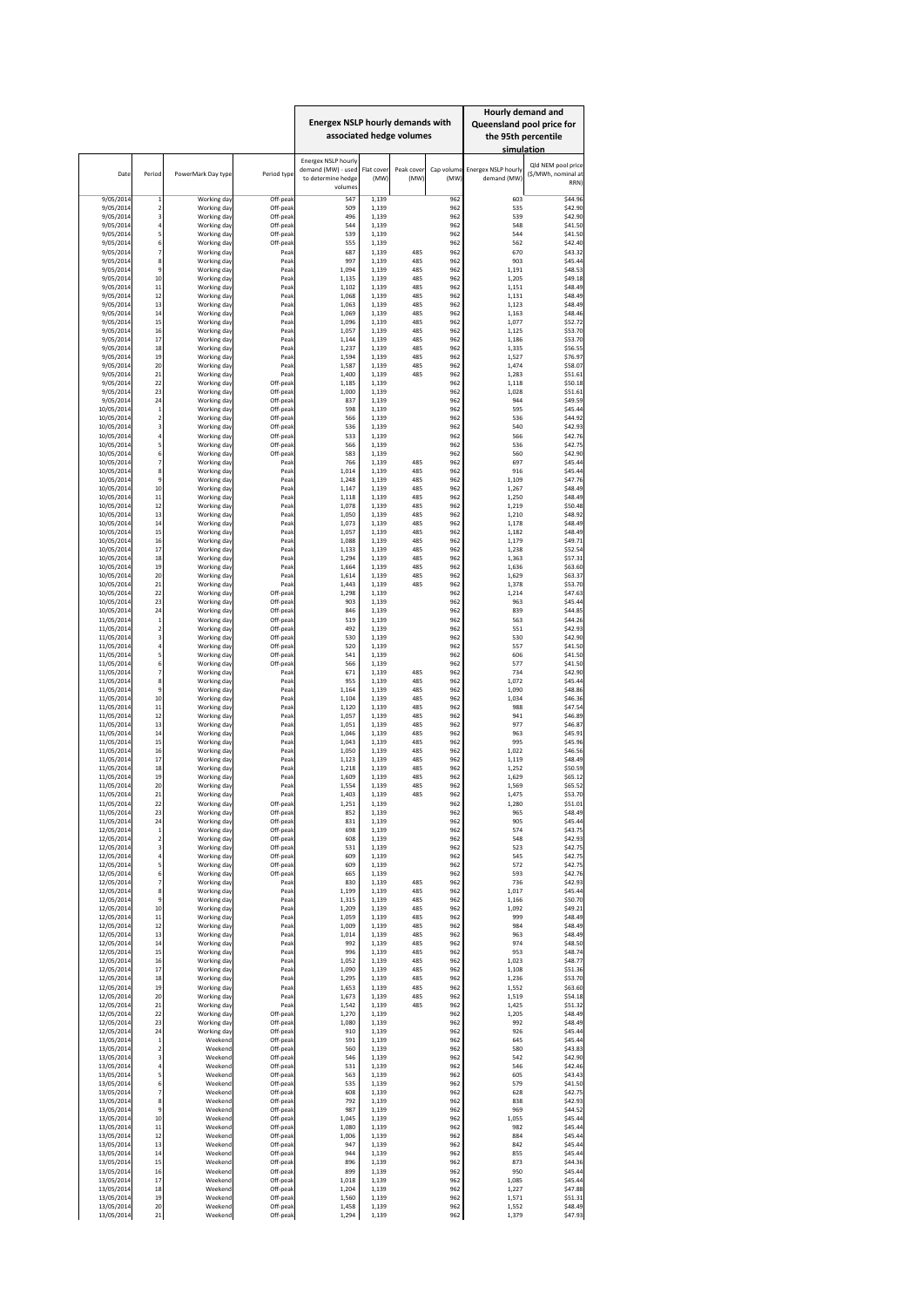|                          |                                           |                            |                      |                                                                            |                    |                    |                    | Hourly demand and                                |                                                   |  |
|--------------------------|-------------------------------------------|----------------------------|----------------------|----------------------------------------------------------------------------|--------------------|--------------------|--------------------|--------------------------------------------------|---------------------------------------------------|--|
|                          |                                           |                            |                      | <b>Energex NSLP hourly demands with</b><br>associated hedge volumes        |                    |                    |                    | Queensland pool price for<br>the 95th percentile |                                                   |  |
|                          |                                           |                            |                      |                                                                            |                    |                    |                    | simulation                                       |                                                   |  |
| Date                     | Period                                    | PowerMark Day type         | Period type          | Energex NSLP hourly<br>demand (MW) - used<br>to determine hedge<br>volumes | Flat cover<br>(MW) | Peak cover<br>(MW) | Cap volume<br>(MW) | Energex NSLP hourly<br>demand (MW)               | Qld NEM pool price<br>(\$/MWh, nominal at<br>RRN) |  |
| 9/05/2014<br>9/05/2014   | $\overline{2}$                            | Working day<br>Working day | Off-peal<br>Off-peal | 547<br>509                                                                 | 1.139<br>1.139     |                    | 962<br>962         | 603<br>535                                       | \$44.96<br>\$42.90                                |  |
| 9/05/2014                | 3                                         | Working day                | Off-peak             | 496                                                                        | 1,139              |                    | 962                | 539                                              | \$42.90                                           |  |
| 9/05/2014<br>9/05/2014   | 4<br>5                                    | Working day<br>Working day | Off-peak<br>Off-peal | 544<br>539                                                                 | 1,139<br>1,139     |                    | 962<br>962         | 548<br>544                                       | \$41.50<br>\$41.50                                |  |
| 9/05/2014                | 6                                         | Working day                | Off-peak             | 555                                                                        | 1.139              |                    | 962                | 562                                              | \$42.40                                           |  |
| 9/05/2014<br>9/05/2014   | 7<br>8                                    | Working day<br>Working day | Peal<br>Peal         | 687<br>997                                                                 | 1,139<br>1,139     | 485<br>485         | 962<br>962         | 670<br>903                                       | \$43.32<br>\$45.44                                |  |
| 9/05/2014                | 9                                         | Working day                | Peal                 | 1,094                                                                      | 1,139              | 485                | 962                | 1,191                                            | \$48.53                                           |  |
| 9/05/2014<br>9/05/2014   | 10<br>11                                  | Working day<br>Working day | Peal<br>Peak         | 1,135<br>1,102                                                             | 1.139<br>1,139     | 485<br>485         | 962<br>962         | 1,205<br>1,151                                   | \$49.18<br>\$48.49                                |  |
| 9/05/2014                | 12                                        | Working day                | Peak                 | 1,068                                                                      | 1,139              | 485                | 962                | 1,131                                            | \$48.49                                           |  |
| 9/05/2014<br>9/05/2014   | 13<br>14                                  | Working day<br>Working day | Peak<br>Peak         | 1,063<br>1,069                                                             | 1,139<br>1,139     | 485<br>485         | 962<br>962         | 1,123<br>1,163                                   | \$48.49<br>\$48.46                                |  |
| 9/05/2014                | 15                                        | Working day                | Peak                 | 1.096                                                                      | 1.139              | 485                | 962                | 1,077                                            | \$52.72                                           |  |
| 9/05/2014<br>9/05/2014   | 16<br>17                                  | Working day<br>Working day | Peal<br>Peak         | 1,057<br>1,144                                                             | 1,139<br>1,139     | 485<br>485         | 962<br>962         | 1,125<br>1,186                                   | \$53.70<br>\$53.70                                |  |
| 9/05/2014<br>9/05/2014   | 18<br>19                                  | Working day<br>Working day | Peal<br>Peal         | 1,237<br>1.594                                                             | 1,139<br>1.139     | 485<br>485         | 962<br>962         | 1,335<br>1,527                                   | \$56.55<br>\$76.97                                |  |
| 9/05/2014                | 20                                        | Working day                | Peak                 | 1,587                                                                      | 1,139              | 485                | 962                | 1,474                                            | \$58.07                                           |  |
| 9/05/2014<br>9/05/2014   | 21<br>22                                  | Working day<br>Working day | Peal<br>Off-peal     | 1,400<br>1,185                                                             | 1,139<br>1,139     | 485                | 962<br>962         | 1,283<br>1,118                                   | \$51.61<br>\$50.18                                |  |
| 9/05/2014                | 23                                        | Working day                | Off-peal             | 1.000                                                                      | 1.139              |                    | 962                | 1,028                                            | \$51.61                                           |  |
| 9/05/2014<br>10/05/2014  | 24<br>$\mathbf{1}$                        | Working day<br>Working day | Off-peal<br>Off-peal | 837<br>598                                                                 | 1,139<br>1,139     |                    | 962<br>962         | 944<br>595                                       | \$49.59<br>\$45.44                                |  |
| 10/05/2014<br>10/05/2014 | $\overline{\mathbf{2}}$<br>$\overline{3}$ | Working day                | Off-peak             | 566<br>536                                                                 | 1,139<br>1.139     |                    | 962<br>962         | 536<br>540                                       | \$44.92<br>\$42.93                                |  |
| 10/05/2014               | 4                                         | Working day<br>Working day | Off-peak<br>Off-peak | 533                                                                        | 1,139              |                    | 962                | 566                                              | \$42.76                                           |  |
| 10/05/2014<br>10/05/2014 | 5<br>6                                    | Working day<br>Working day | Off-peak<br>Off-peak | 566<br>583                                                                 | 1,139<br>1,139     |                    | 962<br>962         | 536<br>560                                       | \$42.75<br>\$42.90                                |  |
| 10/05/2014               | $\overline{7}$                            | Working day                | Peal                 | 766                                                                        | 1.139              | 485                | 962                | 697                                              | \$45.44                                           |  |
| 10/05/2014<br>10/05/2014 | 8<br>9                                    | Working day<br>Working day | Peal<br>Peak         | 1,014<br>1,248                                                             | 1,139<br>1,139     | 485<br>485         | 962<br>962         | 916<br>1,109                                     | \$45.44<br>\$47.76                                |  |
| 10/05/2014               | 10                                        | Working day                | Peal                 | 1,147                                                                      | 1,139              | 485                | 962                | 1,267                                            | \$48.49                                           |  |
| 10/05/2014<br>10/05/2014 | 11<br>12                                  | Working day<br>Working day | Peal<br>Peal         | 1,118<br>1.078                                                             | 1,139<br>1.139     | 485<br>485         | 962<br>962         | 1,250<br>1,219                                   | \$48.49<br>\$50.48                                |  |
| 10/05/2014<br>10/05/2014 | 13<br>14                                  | Working day<br>Working day | Peak<br>Peal         | 1,050<br>1,073                                                             | 1,139<br>1,139     | 485<br>485         | 962<br>962         | 1,210<br>1,178                                   | \$48.92<br>\$48.49                                |  |
| 10/05/2014               | 15                                        | Working day                | Peal                 | 1,057                                                                      | 1,139              | 485                | 962                | 1,182                                            | \$48.49                                           |  |
| 10/05/2014<br>10/05/2014 | 16<br>17                                  | Working day<br>Working day | Peal<br>Peal         | 1.088<br>1,133                                                             | 1.139<br>1,139     | 485<br>485         | 962<br>962         | 1.179<br>1,238                                   | \$49.71<br>\$52.54                                |  |
| 10/05/2014               | 18                                        | Working day                | Peal                 | 1,294                                                                      | 1,139              | 485                | 962                | 1,363                                            | \$57.31                                           |  |
| 10/05/2014<br>10/05/2014 | 19<br>20                                  | Working day<br>Working day | Peal<br>Peal         | 1,664<br>1.614                                                             | 1,139<br>1.139     | 485<br>485         | 962<br>962         | 1,636<br>1,629                                   | \$63.60<br>\$63.37                                |  |
| 10/05/2014               | 21                                        | Working day                | Peak                 | 1,443                                                                      | 1,139              | 485                | 962                | 1,378                                            | \$53.70                                           |  |
| 10/05/2014<br>10/05/2014 | 22<br>23                                  | Working day<br>Working day | Off-peak<br>Off-peak | 1,298<br>903                                                               | 1,139<br>1,139     |                    | 962<br>962         | 1,214<br>963                                     | \$47.63<br>\$45.44                                |  |
| 10/05/2014               | 24                                        | Working day                | Off-peak             | 846                                                                        | 1.139              |                    | 962                | 839                                              | \$44.85                                           |  |
| 11/05/2014<br>11/05/2014 | $\mathbf{1}$<br>$\overline{\mathbf{c}}$   | Working day<br>Working day | Off-peal<br>Off-peal | 519<br>492                                                                 | 1,139<br>1,139     |                    | 962<br>962         | 563<br>551                                       | \$44.26<br>\$42.93                                |  |
| 11/05/2014<br>11/05/2014 | 3<br>4                                    | Working day<br>Working day | Off-peal<br>Off-peal | 530<br>520                                                                 | 1,139<br>1.139     |                    | 962<br>962         | 530<br>557                                       | \$42.90<br>\$41.50                                |  |
| 11/05/2014               | 5                                         | Working day                | Off-peak             | 541                                                                        | 1,139              |                    | 962                | 606                                              | \$41.50                                           |  |
| 11/05/2014<br>11/05/2014 | 6<br>$\overline{7}$                       | Working day<br>Working day | Off-peak<br>Peal     | 566<br>671                                                                 | 1,139<br>1,139     | 485                | 962<br>962         | 577<br>734                                       | \$41.50<br>\$42.90                                |  |
| 11/05/2014               | 8                                         | Working day                | Peal                 | 955                                                                        | 1.139              | 485                | 962                | 1.072                                            | \$45.44                                           |  |
| 11/05/2014<br>11/05/2014 | 9<br>10                                   | Working day<br>Working day | Peal<br>Peal         | 1,164<br>1,104                                                             | 1,139<br>1,139     | 485<br>485         | 962<br>962         | 1,090<br>1,034                                   | \$48.86<br>\$46.36                                |  |
| 11/05/2014               | 11                                        | Working day                | Peal                 | 1,120                                                                      | 1,139              | 485                | 962                | 988                                              | \$47.54                                           |  |
| 11/05/2014<br>11/05/2014 | 12<br>13                                  | Working day<br>Working day | Peal<br>Peal         | 1,057<br>1.051                                                             | 1,139<br>1.139     | 485<br>485         | 962<br>962         | 941<br>977                                       | \$46.89<br>\$46.87                                |  |
| 11/05/2014<br>11/05/2014 | 14<br>15                                  | Working day                | Peak<br>Peak         | 1,046<br>1,043                                                             | 1,139<br>1,139     | 485<br>485         | 962<br>962         | 963<br>995                                       | \$45.91<br>\$45.96                                |  |
| 11/05/2014               | 16                                        | Working day<br>Working day | Peak                 | 1,050                                                                      | 1,139              | 485                | 962                | 1,022                                            | \$46.56                                           |  |
| 11/05/2014<br>11/05/2014 | 17<br>18                                  | Working day<br>Working day | Peal<br>Peal         | 1.123<br>1,218                                                             | 1.139<br>1,139     | 485<br>485         | 962<br>962         | 1.119<br>1,252                                   | \$48.49<br>\$50.59                                |  |
| 11/05/2014               | 19                                        | Working day                | Peal                 | 1,609                                                                      | 1,139              | 485                | 962                | 1,629                                            | \$65.12                                           |  |
| 11/05/2014<br>11/05/2014 | 20<br>21                                  | Working day<br>Working day | Peak<br>Peak         | 1,554<br>1,403                                                             | 1,139<br>1,139     | 485<br>485         | 962<br>962         | 1,569<br>1,475                                   | \$65.52<br>\$53.70                                |  |
| 11/05/2014               | $\overline{2}$                            | Working day                | Off-peal             | 1.251                                                                      | 1.139              |                    | 962                | 1.280                                            | \$51.01                                           |  |
| 11/05/2014<br>11/05/2014 | 23<br>24                                  | Working day<br>Working day | Off-peak<br>Off-peak | 852<br>831                                                                 | 1,139<br>1,139     |                    | 962<br>962         | 965<br>905                                       | \$48.49<br>\$45.44                                |  |
| 12/05/2014<br>12/05/2014 | 1<br>$\overline{\mathbf{c}}$              | Working day<br>Working day | Off-peal<br>Off-peak | 698<br>608                                                                 | 1.139<br>1,139     |                    | 962<br>962         | 574<br>548                                       | \$43.75<br>\$42.93                                |  |
| 12/05/2014               | 3                                         | Working day                | Off-peak             | 531                                                                        | 1,139              |                    | 962                | 523                                              | \$42.75                                           |  |
| 12/05/2014<br>12/05/2014 | 4<br>5                                    | Working day<br>Working day | Off-peak<br>Off-peak | 609<br>609                                                                 | 1,139<br>1.139     |                    | 962<br>962         | 545<br>572                                       | \$42.75<br>\$42.75                                |  |
| 12/05/2014               | 6                                         | Working day                | Off-peak             | 665                                                                        | 1,139              |                    | 962                | 593                                              | \$42.76                                           |  |
| 12/05/2014<br>12/05/2014 | $\overline{\phantom{a}}$<br>$\bf8$        | Working day<br>Working day | Peak<br>Peak         | 830<br>1,199                                                               | 1,139<br>1,139     | 485<br>485         | 962<br>962         | 736<br>1,017                                     | \$42.93<br>\$45.44                                |  |
| 12/05/2014               | 9<br>10                                   | Working day                | Peak<br>Peak         | 1,315                                                                      | 1,139<br>1.139     | 485<br>485         | 962<br>962         | 1,166                                            | \$50.70<br>\$49.21                                |  |
| 12/05/2014<br>12/05/2014 | 11                                        | Working day<br>Working day | Peak                 | 1,209<br>1,059                                                             | 1,139              | 485                | 962                | 1,092<br>999                                     | \$48.49                                           |  |
| 12/05/2014<br>12/05/2014 | 12<br>13                                  | Working day<br>Working day | Peak<br>Peak         | 1,009<br>1,014                                                             | 1,139<br>1,139     | 485<br>485         | 962<br>962         | 984<br>963                                       | \$48.49<br>\$48.49                                |  |
| 12/05/2014               | 14                                        | Working day                | Peak                 | 992                                                                        | 1.139              | 485                | 962                | 974                                              | \$48.50                                           |  |
| 12/05/2014<br>12/05/2014 | 15<br>16                                  | Working day<br>Working day | Peak<br>Peak         | 996<br>1,052                                                               | 1,139<br>1,139     | 485<br>485         | 962<br>962         | 953<br>1,023                                     | \$48.74<br>\$48.77                                |  |
| 12/05/2014               | 17                                        | Working day                | Peak                 | 1,090                                                                      | 1,139              | 485                | 962                | 1,108                                            | \$51.36                                           |  |
| 12/05/2014<br>12/05/2014 | 18<br>19                                  | Working day<br>Working day | Peal<br>Peal         | 1.295<br>1,653                                                             | 1.139<br>1,139     | 485<br>485         | 962<br>962         | 1,236<br>1,552                                   | \$53.70<br>\$63.60                                |  |
| 12/05/2014               | 20<br>21                                  | Working day                | Peal<br>Peak         | 1,673<br>1,542                                                             | 1,139<br>1,139     | 485<br>485         | 962<br>962         | 1,519                                            | \$54.18<br>\$51.32                                |  |
| 12/05/2014<br>12/05/2014 | 22                                        | Working day<br>Working day | Off-peak             | 1,270                                                                      | 1.139              |                    | 962                | 1,425<br>1,205                                   | \$48.49                                           |  |
| 12/05/2014<br>12/05/2014 | 23<br>24                                  | Working day<br>Working day | Off-peak<br>Off-peak | 1,080<br>910                                                               | 1,139<br>1,139     |                    | 962<br>962         | 992<br>926                                       | \$48.49<br>\$45.44                                |  |
| 13/05/2014               | $\mathbf{1}$                              | Weekend                    | Off-peak             | 591                                                                        | 1,139              |                    | 962                | 645                                              | \$45.44                                           |  |
| 13/05/2014<br>13/05/2014 | $\overline{2}$<br>3                       | Weekend<br>Weekend         | Off-peak<br>Off-peak | 560<br>546                                                                 | 1.139<br>1,139     |                    | 962<br>962         | 580<br>542                                       | \$43.83<br>\$42.90                                |  |
| 13/05/2014               | 4                                         | Weekend                    | Off-peak             | 531                                                                        | 1,139              |                    | 962                | 546                                              | \$42.46                                           |  |
| 13/05/2014<br>13/05/2014 | 5<br>6                                    | Weekend<br>Weekend         | Off-peak<br>Off-peak | 563<br>535                                                                 | 1,139<br>1,139     |                    | 962<br>962         | 605<br>579                                       | \$43.43<br>\$41.50                                |  |
| 13/05/2014               | 7                                         | Weekend                    | Off-peak             | 608<br>792                                                                 | 1.139              |                    | 962<br>962         | 628                                              | \$42.75                                           |  |
| 13/05/2014<br>13/05/2014 | 8<br>9                                    | Weekend<br>Weekend         | Off-peak<br>Off-peak | 987                                                                        | 1,139<br>1,139     |                    | 962                | 838<br>969                                       | \$42.93<br>\$44.52                                |  |
| 13/05/2014<br>13/05/2014 | 10<br>11                                  | Weekend<br>Weekend         | Off-peak<br>Off-peak | 1,045<br>1.080                                                             | 1,139<br>1.139     |                    | 962<br>962         | 1,055<br>982                                     | \$45.44<br>\$45.44                                |  |
| 13/05/2014               | 12                                        | Weekend                    | Off-peak             | 1,006                                                                      | 1,139              |                    | 962                | 884                                              | \$45.44                                           |  |
| 13/05/2014<br>13/05/2014 | 13<br>14                                  | Weekend<br>Weekend         | Off-peak<br>Off-peak | 947<br>944                                                                 | 1,139<br>1,139     |                    | 962<br>962         | 842<br>855                                       | \$45.44<br>\$45.44                                |  |
| 13/05/2014               | 15                                        | Weekend                    | Off-peak             | 896                                                                        | 1,139              |                    | 962                | 873                                              | \$44.36                                           |  |
| 13/05/2014<br>13/05/2014 | 16<br>17                                  | Weekend<br>Weekend         | Off-peak<br>Off-peak | 899<br>1,018                                                               | 1,139<br>1,139     |                    | 962<br>962         | 950<br>1,085                                     | \$45.44<br>\$45.44                                |  |
| 13/05/2014<br>13/05/2014 | 18<br>19                                  | Weekend<br>Weekend         | Off-peak<br>Off-peak | 1,204<br>1,560                                                             | 1,139<br>1,139     |                    | 962<br>962         | 1,227<br>1,571                                   | \$47.88<br>\$51.31                                |  |
| 13/05/2014               | 20                                        | Weekend                    | Off-peak             | 1,458                                                                      | 1,139              |                    | 962                | 1,552                                            | \$48.49                                           |  |
| 13/05/2014               | 21                                        | Weekend                    | Off-peak             | 1,294                                                                      | 1,139              |                    | 962                | 1,379                                            | \$47.93                                           |  |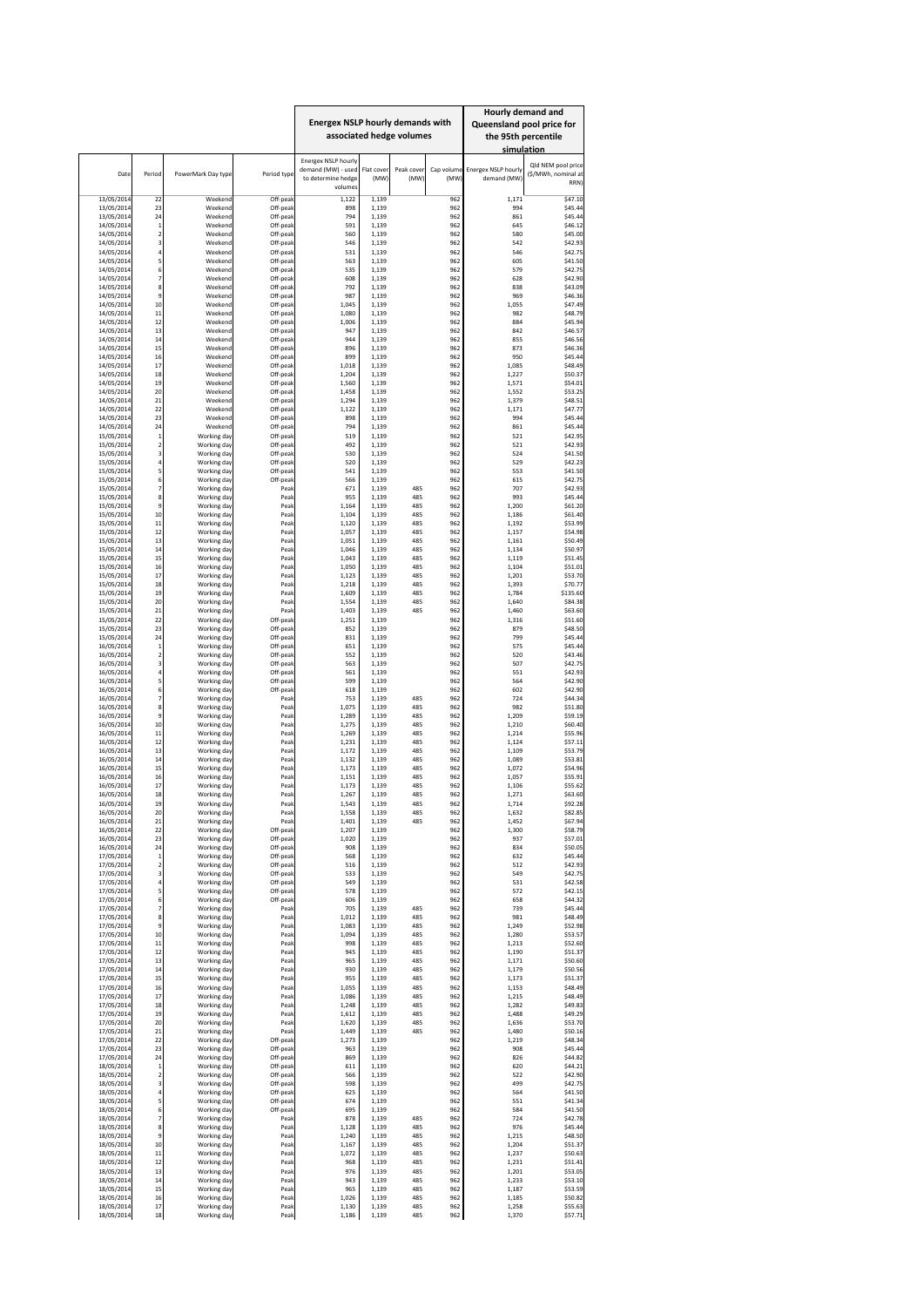|                          |                                           |                            | Hourly demand and    |                                                                     |                    |                    |                           |                                    |                     |
|--------------------------|-------------------------------------------|----------------------------|----------------------|---------------------------------------------------------------------|--------------------|--------------------|---------------------------|------------------------------------|---------------------|
|                          |                                           |                            |                      | <b>Energex NSLP hourly demands with</b><br>associated hedge volumes |                    |                    | Queensland pool price for |                                    |                     |
|                          |                                           |                            |                      |                                                                     |                    |                    |                           | the 95th percentile                |                     |
|                          |                                           |                            |                      |                                                                     |                    |                    |                           | simulation                         |                     |
|                          |                                           |                            |                      | Energex NSLP hourly                                                 |                    |                    |                           |                                    | Qld NEM pool price  |
| Date                     | Period                                    | PowerMark Day type         | Period type          | demand (MW) - used<br>to determine hedge                            | Flat cover<br>(MW) | Peak cover<br>(MW) | Cap volume<br>(MW         | Energex NSLP hourly<br>demand (MW) | (\$/MWh, nominal at |
|                          |                                           |                            |                      | volume:                                                             |                    |                    |                           |                                    | <b>RRN1</b>         |
| 13/05/2014               | 22                                        | Weekend                    | Off-peak             | 1.122                                                               | 1,139              |                    | 962                       | 1.171                              | \$47.10             |
| 13/05/2014               | 23                                        | Weekend                    | Off-peal             | 898                                                                 | 1,139              |                    | 962                       | 994                                | \$45.44             |
| 13/05/2014<br>14/05/2014 | 24<br>-1                                  | Weekend<br>Weekend         | Off-peak<br>Off-peak | 794<br>591                                                          | 1,139<br>1,139     |                    | 962<br>962                | 861<br>645                         | \$45.44<br>\$46.12  |
| 14/05/2014               | $\overline{2}$                            | Weekend                    | Off-peal             | 560                                                                 | 1.139              |                    | 962                       | 580                                | \$45.00             |
| 14/05/2014               | 3<br>4                                    | Weekend                    | Off-peak             | 546                                                                 | 1,139              |                    | 962                       | 542                                | \$42.93             |
| 14/05/2014<br>14/05/2014 | 5                                         | Weekend<br>Weekend         | Off-peak<br>Off-peal | 531<br>563                                                          | 1,139<br>1,139     |                    | 962<br>962                | 546<br>605                         | \$42.75<br>\$41.50  |
| 14/05/2014               | 6                                         | Weekend                    | Off-peak             | 535                                                                 | 1.139              |                    | 962                       | 579                                | \$42.75             |
| 14/05/2014<br>14/05/2014 | $\overline{7}$<br>8                       | Weekend<br>Weekend         | Off-peak<br>Off-peak | 608<br>792                                                          | 1,139<br>1,139     |                    | 962<br>962                | 628<br>838                         | \$42.90<br>\$43.09  |
| 14/05/2014               | 9                                         | Weekend                    | Off-peak             | 987                                                                 | 1,139              |                    | 962                       | 969                                | \$46.36             |
| 14/05/2014               | 10                                        | Weekend                    | Off-peak             | 1,045                                                               | 1,139              |                    | 962                       | 1,055                              | \$47.49             |
| 14/05/2014<br>14/05/2014 | 11<br>12                                  | Weekend<br>Weekend         | Off-peak<br>Off-peal | 1.080<br>1,006                                                      | 1.139<br>1,139     |                    | 962<br>962                | 982<br>884                         | \$48.79<br>\$45.94  |
| 14/05/2014               | 13                                        | Weekend                    | Off-peal             | 947                                                                 | 1,139              |                    | 962                       | 842                                | \$46.57             |
| 14/05/2014               | 14                                        | Weekend                    | Off-peal             | 944                                                                 | 1,139              |                    | 962                       | 855                                | \$46.56             |
| 14/05/2014<br>14/05/2014 | 15<br>16                                  | Weekend<br>Weekend         | Off-peak<br>Off-peak | 896<br>899                                                          | 1.139<br>1,139     |                    | 962<br>962                | 873<br>950                         | \$46.36<br>\$45.44  |
| 14/05/2014               | 17                                        | Weekend                    | Off-peak             | 1,018                                                               | 1,139              |                    | 962                       | 1,085                              | \$48.49             |
| 14/05/2014<br>14/05/2014 | 18<br>19                                  | Weekend<br>Weekend         | Off-peal<br>Off-peal | 1,204<br>1.560                                                      | 1,139<br>1.139     |                    | 962<br>962                | 1,227<br>1,571                     | \$50.37<br>\$54.01  |
| 14/05/2014               | 20                                        | Weekend                    | Off-peak             | 1,458                                                               | 1,139              |                    | 962                       | 1,552                              | \$53.25             |
| 14/05/2014               | 21                                        | Weekend                    | Off-peal             | 1,294                                                               | 1,139              |                    | 962                       | 1,379                              | \$48.51             |
| 14/05/2014<br>14/05/2014 | 22<br>23                                  | Weekend<br>Weekend         | Off-peal<br>Off-peak | 1,122<br>898                                                        | 1,139<br>1.139     |                    | 962<br>962                | 1,171<br>994                       | \$47.77<br>\$45.44  |
| 14/05/2014               | 24                                        | Weekend                    | Off-peak             | 794                                                                 | 1,139              |                    | 962                       | 861                                | \$45.44             |
| 15/05/2014               | $\mathbf{1}$                              | Working day                | Off-peak             | 519                                                                 | 1,139              |                    | 962                       | 521                                | \$42.95             |
| 15/05/2014<br>15/05/2014 | $\overline{2}$<br>$\overline{\mathbf{3}}$ | Working day<br>Working day | Off-peak<br>Off-peak | 492<br>530                                                          | 1,139<br>1.139     |                    | 962<br>962                | 521<br>524                         | \$42.93<br>\$41.50  |
| 15/05/2014               | 4                                         | Working day                | Off-peak             | 520                                                                 | 1,139              |                    | 962                       | 529                                | \$42.23             |
| 15/05/2014               | 5                                         | Working day                | Off-peal             | 541                                                                 | 1,139              |                    | 962                       | 553                                | \$41.50             |
| 15/05/2014<br>15/05/2014 | 6<br>$\overline{7}$                       | Working day<br>Working day | Off-peak<br>Peal     | 566<br>671                                                          | 1,139<br>1.139     | 485                | 962<br>962                | 615<br>707                         | \$42.75<br>\$42.93  |
| 15/05/2014               | 8                                         | Working day                | Peal                 | 955                                                                 | 1.139              | 485                | 962                       | 993                                | \$45.44             |
| 15/05/2014               | 9                                         | Working day                | Peak                 | 1,164                                                               | 1,139              | 485                | 962                       | 1,200                              | \$61.20             |
| 15/05/2014<br>15/05/2014 | 10<br>11                                  | Working day<br>Working day | Peal<br>Peak         | 1,104<br>1,120                                                      | 1,139<br>1,139     | 485<br>485         | 962<br>962                | 1,186<br>1,192                     | \$61.40<br>\$53.99  |
| 15/05/2014               | 12                                        | Working day                | Peal                 | 1.057                                                               | 1.139              | 485                | 962                       | 1.157                              | \$54.98             |
| 15/05/2014               | 13                                        | Working day                | Peal                 | 1,051                                                               | 1,139              | 485                | 962                       | 1,161                              | \$50.49             |
| 15/05/2014<br>15/05/2014 | 14<br>15                                  | Working day<br>Working day | Peal<br>Peal         | 1,046<br>1,043                                                      | 1,139<br>1,139     | 485<br>485         | 962<br>962                | 1,134<br>1,119                     | \$50.97<br>\$51.45  |
| 15/05/2014               | 16                                        | Working day                | Peal                 | 1.050                                                               | 1.139              | 485                | 962                       | 1,104                              | \$51.01             |
| 15/05/2014               | 17                                        | Working day                | Peak                 | 1,123                                                               | 1,139              | 485                | 962                       | 1,201                              | \$53.70             |
| 15/05/2014               | 18<br>19                                  | Working day                | Peak<br>Peak         | 1,218<br>1,609                                                      | 1,139<br>1,139     | 485<br>485         | 962<br>962                | 1,393<br>1,784                     | \$70.77<br>\$135.60 |
| 15/05/2014<br>15/05/2014 | 20                                        | Working day<br>Working day | Peak                 | 1.554                                                               | 1.139              | 485                | 962                       | 1.640                              | \$84.38             |
| 15/05/2014               | 21                                        | Working day                | Peak                 | 1,403                                                               | 1,139              | 485                | 962                       | 1,460                              | \$63.60             |
| 15/05/2014<br>15/05/2014 | 22<br>23                                  | Working day<br>Working day | Off-peal<br>Off-peal | 1,251<br>852                                                        | 1,139<br>1,139     |                    | 962<br>962                | 1,316<br>879                       | \$51.60<br>\$48.50  |
| 15/05/2014               | 24                                        | Working day                | Off-peal             | 831                                                                 | 1.139              |                    | 962                       | 799                                | \$45.44             |
| 16/05/2014               | $\mathbf{1}$                              | Working day                | Off-peal             | 651                                                                 | 1,139              |                    | 962                       | 575                                | \$45.44             |
| 16/05/2014<br>16/05/2014 | $\overline{2}$<br>3                       | Working day<br>Working day | Off-peak<br>Off-peak | 552<br>563                                                          | 1,139<br>1,139     |                    | 962<br>962                | 520<br>507                         | \$43.46<br>\$42.75  |
| 16/05/2014               | 4                                         | Working day                | Off-peal             | 561                                                                 | 1.139              |                    | 962                       | 551                                | \$42.93             |
| 16/05/2014               | 5                                         | Working day                | Off-peak             | 599                                                                 | 1,139              |                    | 962                       | 564                                | \$42.90             |
| 16/05/2014<br>16/05/2014 | 6<br>7                                    | Working day<br>Working day | Off-peal<br>Peal     | 618<br>753                                                          | 1,139<br>1,139     | 485                | 962<br>962                | 602<br>724                         | \$42.90<br>\$44.34  |
| 16/05/2014               | 8                                         | Working day                | Peal                 | 1,075                                                               | 1,139              | 485                | 962                       | 982                                | \$51.80             |
| 16/05/2014               | 9                                         | Working day                | Peal                 | 1,289                                                               | 1.139              | 485                | 962                       | 1.209                              | \$59.19             |
| 16/05/2014<br>16/05/2014 | 10<br>11                                  | Working day<br>Working day | Peak<br>Peak         | 1,275<br>1,269                                                      | 1,139<br>1,139     | 485<br>485         | 962<br>962                | 1,210<br>1,214                     | \$60.40<br>\$55.96  |
| 16/05/2014               | 12                                        | Working day                | Peak                 | 1,231                                                               | 1,139              | 485                | 962                       | 1,124                              | \$57.11             |
| 16/05/2014               | 13                                        | Working day                | Peak                 | 1.172                                                               | 1.139              | 485                | 962                       | 1,109                              | \$53.79             |
| 16/05/2014<br>16/05/2014 | 14<br>15                                  | Working day<br>Working day | Peal<br>Peal         | 1,132<br>1,173                                                      | 1,139<br>1,139     | 485<br>485         | 962<br>962                | 1,089<br>1,072                     | \$53.81<br>\$54.96  |
| 16/05/2014               | 16                                        | Working day                | Peal                 | 1,151                                                               | 1,139              | 485                | 962                       | 1,057                              | \$55.91             |
| 16/05/2014<br>16/05/2014 | 17<br>18                                  | Working day<br>Working day | Peal<br>Peak         | 1,173<br>1,267                                                      | 1.139<br>1,139     | 485<br>485         | 962<br>962                | 1.106<br>1,271                     | \$55.62<br>\$63.60  |
| 16/05/2014               | 19                                        | Working day                | Pea                  | 1.543                                                               | 1,139              | 485                | 962                       | 1,714                              | \$92.28             |
| 16/05/2014               | 20                                        | Working day                | Peal                 | 1,558                                                               | 1,139              | 485                | 962                       | 1,632                              | \$82.85             |
| 16/05/2014<br>16/05/2014 | 21<br>22                                  | Working day<br>Working day | Peal<br>Off-peak     | 1,401<br>1,207                                                      | 1,139<br>1,139     | 485                | 962<br>962                | 1.452<br>1,300                     | \$67.94<br>\$58.79  |
| 16/05/2014               | 23                                        | Working day                | Off-peak             | 1,020                                                               | 1,139              |                    | 962                       | 937                                | \$57.01             |
| 16/05/2014               | 24                                        | Working day                | Off-peak             | 908                                                                 | 1,139              |                    | 962                       | 834                                | \$50.05             |
| 17/05/2014<br>17/05/2014 | $\mathbf{1}$<br>$\mathbf 2$               | Working day<br>Working day | Off-peak<br>Off-peak | 568<br>516                                                          | 1.139<br>1,139     |                    | 962<br>962                | 632<br>512                         | \$45.44<br>\$42.93  |
| 17/05/2014               | 3                                         | Working day                | Off-peak             | 533                                                                 | 1,139              |                    | 962                       | 549                                | \$42.75             |
| 17/05/2014<br>17/05/2014 | $\overline{a}$<br>5                       | Working day                | Off-peak<br>Off-peak | 549<br>578                                                          | 1,139<br>1,139     |                    | 962<br>962                | 531<br>572                         | \$42.58<br>\$42.15  |
| 17/05/2014               | 6                                         | Working day<br>Working day | Off-peak             | 606                                                                 | 1.139              |                    | 962                       | 658                                | \$44.32             |
| 17/05/2014               | $\overline{7}$                            | Working day                | Peak                 | 705                                                                 | 1,139              | 485                | 962                       | 739                                | \$45.44             |
| 17/05/2014<br>17/05/2014 | 8<br>q                                    | Working day<br>Working day | Peak<br>Peak         | 1,012<br>1,083                                                      | 1,139<br>1,139     | 485<br>485         | 962<br>962                | 981<br>1,249                       | \$48.49<br>\$52.98  |
| 17/05/2014               | 10                                        | Working day                | Peak                 | 1,094                                                               | 1.139              | 485                | 962                       | 1,280                              | \$53.57             |
| 17/05/2014               | 11                                        | Working day                | Peak                 | 998                                                                 | 1,139              | 485                | 962                       | 1,213                              | \$52.60             |
| 17/05/2014<br>17/05/2014 | 12<br>13                                  | Working day<br>Working day | Peak<br>Peak         | 945<br>965                                                          | 1,139<br>1,139     | 485<br>485         | 962<br>962                | 1,190<br>1,171                     | \$51.37<br>\$50.60  |
| 17/05/2014               | 14                                        | Working day                | Peak                 | 930                                                                 | 1.139              | 485                | 962                       | 1,179                              | \$50.56             |
| 17/05/2014<br>17/05/2014 | 15                                        | Working day                | Peal                 | 955                                                                 | 1,139              | 485<br>485         | 962                       | 1,173                              | \$51.37             |
| 17/05/2014               | 16<br>17                                  | Working day<br>Working day | Peak<br>Peak         | 1,055<br>1,086                                                      | 1,139<br>1,139     | 485                | 962<br>962                | 1,153<br>1,215                     | \$48.49<br>\$48.49  |
| 17/05/2014               | 18                                        | Working day                | Peak                 | 1,248                                                               | 1,139              | 485                | 962                       | 1,282                              | \$49.83             |
| 17/05/2014<br>17/05/2014 | 19<br>20                                  | Working day<br>Working day | Peak<br>Peak         | 1,612<br>1,620                                                      | 1,139<br>1,139     | 485<br>485         | 962<br>962                | 1,488<br>1,636                     | \$49.29<br>\$53.70  |
| 17/05/2014               | 21                                        | Working day                | Peak                 | 1,449                                                               | 1,139              | 485                | 962                       | 1,480                              | \$50.16             |
| 17/05/2014               | $\overline{22}$                           | Working day                | Off-peak             | 1,273                                                               | 1.139              |                    | 962                       | 1.219                              | \$48.34             |
| 17/05/2014<br>17/05/2014 | 23<br>24                                  | Working day<br>Working day | Off-peak<br>Off-peak | 963<br>869                                                          | 1,139<br>1,139     |                    | 962<br>962                | 908<br>826                         | \$45.44<br>\$44.82  |
| 18/05/2014               | -1                                        | Working day                | Off-peak             | 611                                                                 | 1,139              |                    | 962                       | 620                                | \$44.21             |
| 18/05/2014               | $\overline{2}$                            | Working day                | Off-peak             | 566                                                                 | 1.139              |                    | 962                       | 522                                | \$42.90             |
| 18/05/2014<br>18/05/2014 | 3<br>4                                    | Working day<br>Working day | Off-peak<br>Off-peak | 598<br>625                                                          | 1,139<br>1,139     |                    | 962<br>962                | 499<br>564                         | \$42.75<br>\$41.50  |
| 18/05/2014               | 5                                         | Working day                | Off-peak             | 674                                                                 | 1,139              |                    | 962                       | 551                                | \$41.34             |
| 18/05/2014               | 6                                         | Working day                | Off-peak             | 695                                                                 | 1,139              |                    | 962                       | 584                                | \$41.50             |
| 18/05/2014<br>18/05/2014 | $\overline{7}$<br>8                       | Working day<br>Working day | Peak<br>Peal         | 878<br>1,128                                                        | 1,139<br>1,139     | 485<br>485         | 962<br>962                | 724<br>976                         | \$42.78<br>\$45.44  |
| 18/05/2014               | 9                                         | Working day                | Peak                 | 1,240                                                               | 1,139              | 485                | 962                       | 1,215                              | \$48.50             |
| 18/05/2014               | 10                                        | Working day                | Peak                 | 1,167                                                               | 1,139              | 485                | 962                       | 1,204                              | \$51.37             |
| 18/05/2014<br>18/05/2014 | 11<br>12                                  | Working day<br>Working day | Peak<br>Peak         | 1,072<br>968                                                        | 1,139<br>1,139     | 485<br>485         | 962<br>962                | 1,237<br>1,231                     | \$50.63<br>\$51.41  |
| 18/05/2014               | 13                                        | Working day                | Peak                 | 976                                                                 | 1,139              | 485                | 962                       | 1,201                              | \$53.05             |
| 18/05/2014<br>18/05/2014 | 14<br>15                                  | Working day<br>Working day | Peak<br>Peak         | 943<br>965                                                          | 1,139<br>1,139     | 485<br>485         | 962<br>962                | 1,233<br>1,187                     | \$53.10<br>\$53.59  |
| 18/05/2014               | 16                                        | Working day                | Peak                 | 1,026                                                               | 1,139              | 485                | 962                       | 1,185                              | \$50.82             |
| 18/05/2014               | 17                                        | Working day                | Peak                 | 1,130                                                               | 1,139              | 485                | 962                       | 1,258                              | \$55.63             |
| 18/05/2014               | 18                                        | Working day                | Peak                 | 1,186                                                               | 1,139              | 485                | 962                       | 1,370                              | \$57.71             |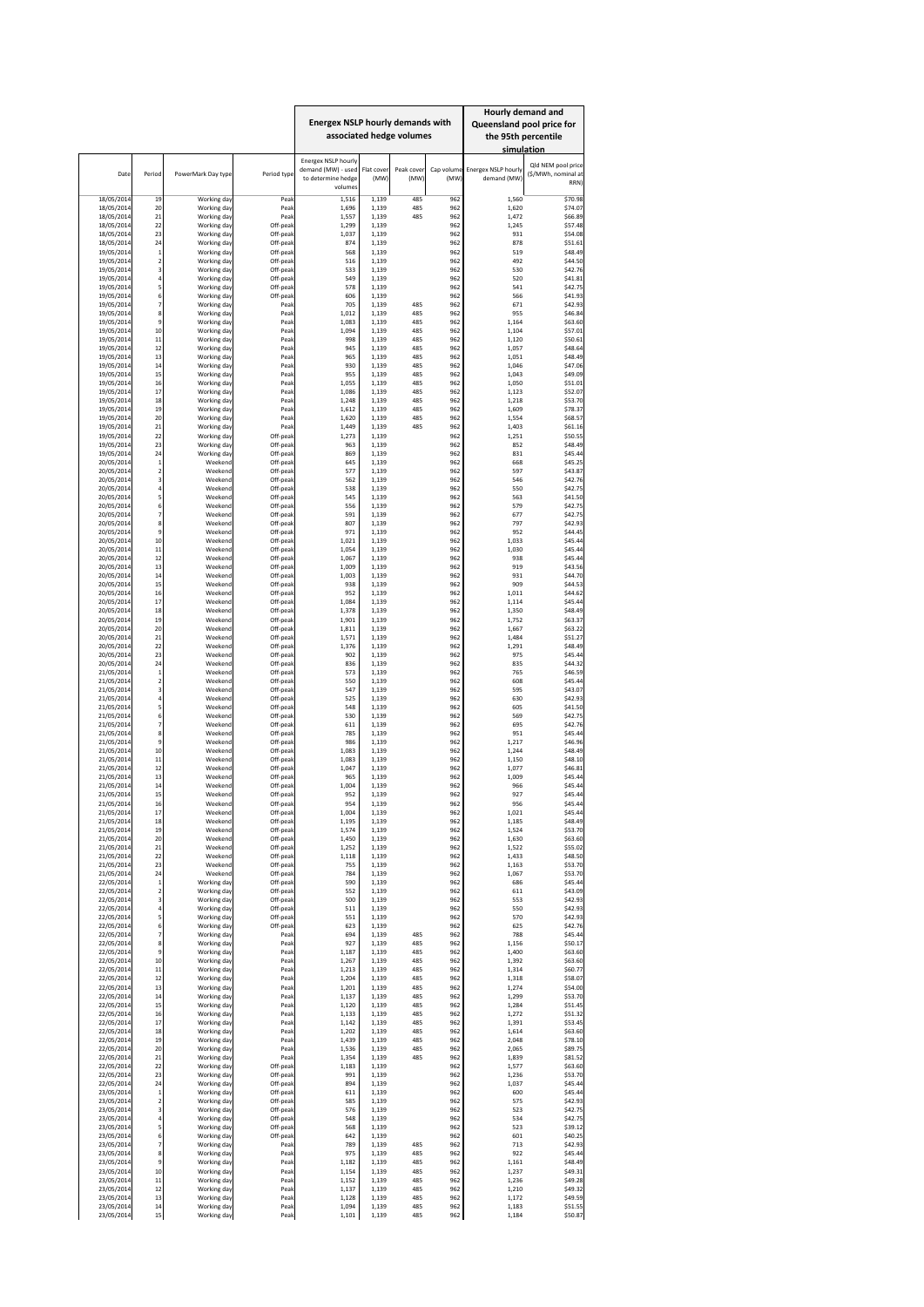|                          |                                         |                            |                      |                                                                     |                |            |            | Hourly demand and<br>Queensland pool price for |                                           |  |  |
|--------------------------|-----------------------------------------|----------------------------|----------------------|---------------------------------------------------------------------|----------------|------------|------------|------------------------------------------------|-------------------------------------------|--|--|
|                          |                                         |                            |                      | <b>Energex NSLP hourly demands with</b><br>associated hedge volumes |                |            |            |                                                |                                           |  |  |
|                          |                                         |                            |                      |                                                                     |                |            |            | the 95th percentile<br>simulation              |                                           |  |  |
|                          |                                         |                            |                      | Energex NSLP hourly                                                 |                |            |            |                                                |                                           |  |  |
| Date                     | Period                                  | PowerMark Day type         | Period type          | demand (MW) - used                                                  | Flat cover     | Peak cover | Cap volume | Energex NSLP hourly                            | Qld NEM pool price<br>(\$/MWh, nominal at |  |  |
|                          |                                         |                            |                      | to determine hedge<br>volume:                                       | (MW)           | (MW)       | (MW)       | demand (MW)                                    | <b>RRN1</b>                               |  |  |
| 18/05/2014               | 19                                      | Working day                | Pea                  | 1,516                                                               | 1,139          | 485        | 962        | 1.560                                          | \$70.98                                   |  |  |
| 18/05/2014               | 20                                      | Working day                | Peal                 | 1,696                                                               | 1,139          | 485        | 962        | 1,620                                          | \$74.07                                   |  |  |
| 18/05/2014<br>18/05/2014 | 21<br>22                                | Working day<br>Working day | Peak<br>Off-peak     | 1,557<br>1.299                                                      | 1,139<br>1.139 | 485        | 962<br>962 | 1,472<br>1,245                                 | \$66.89<br>\$57.48                        |  |  |
| 18/05/2014               | 23                                      | Working day                | Off-peal             | 1,037                                                               | 1,139          |            | 962        | 931                                            | \$54.08                                   |  |  |
| 18/05/2014<br>19/05/2014 | 24<br>1                                 | Working day<br>Working day | Off-peal<br>Off-peal | 874<br>568                                                          | 1,139<br>1,139 |            | 962<br>962 | 878<br>519                                     | \$51.61<br>\$48.49                        |  |  |
| 19/05/2014               | $\overline{2}$                          | Working day                | Off-peak             | 516                                                                 | 1,139          |            | 962        | 492                                            | \$44.50                                   |  |  |
| 19/05/2014<br>19/05/2014 | 3<br>4                                  | Working day<br>Working day | Off-peak<br>Off-peak | 533<br>549                                                          | 1,139<br>1,139 |            | 962<br>962 | 530<br>520                                     | \$42.76<br>\$41.81                        |  |  |
| 19/05/2014               | 5                                       | Working day                | Off-peak             | 578                                                                 | 1,139          |            | 962        | 541                                            | \$42.75                                   |  |  |
| 19/05/2014<br>19/05/2014 | 6<br>7                                  | Working day<br>Working day | Off-peak<br>Peal     | 606<br>705                                                          | 1,139<br>1.139 | 485        | 962<br>962 | 566<br>671                                     | \$41.93<br>\$42.93                        |  |  |
| 19/05/2014               | 8                                       | Working day                | Peal                 | 1,012                                                               | 1,139          | 485        | 962        | 955                                            | \$46.84                                   |  |  |
| 19/05/2014<br>19/05/2014 | 9<br>10                                 | Working day<br>Working day | Peak<br>Peal         | 1,083<br>1,094                                                      | 1,139<br>1,139 | 485<br>485 | 962<br>962 | 1,164<br>1,104                                 | \$63.60<br>\$57.01                        |  |  |
| 19/05/2014               | 11                                      | Working day                | Peal                 | 998                                                                 | 1.139          | 485        | 962        | 1,120                                          | \$50.61                                   |  |  |
| 19/05/2014<br>19/05/2014 | 12<br>13                                | Working day<br>Working day | Peak<br>Peal         | 945<br>965                                                          | 1,139<br>1,139 | 485<br>485 | 962<br>962 | 1,057<br>1,051                                 | \$48.64<br>\$48.49                        |  |  |
| 19/05/2014               | 14                                      | Working day                | Peak                 | 930                                                                 | 1,139          | 485        | 962        | 1,046                                          | \$47.06                                   |  |  |
| 19/05/2014<br>19/05/2014 | 15<br>16                                | Working day<br>Working day | Peak<br>Peal         | 955<br>1,055                                                        | 1.139<br>1,139 | 485<br>485 | 962<br>962 | 1.043<br>1,050                                 | \$49.09<br>\$51.01                        |  |  |
| 19/05/2014               | 17                                      | Working day                | Peal                 | 1,086                                                               | 1,139          | 485        | 962        | 1,123                                          | \$52.07                                   |  |  |
| 19/05/2014<br>19/05/2014 | 18<br>19                                | Working day<br>Working day | Peal<br>Peal         | 1,248<br>1,612                                                      | 1,139<br>1,139 | 485<br>485 | 962<br>962 | 1,218<br>1,609                                 | \$53.70<br>\$78.37                        |  |  |
| 19/05/2014               | 20                                      | Working day                | Peak                 | 1,620                                                               | 1,139          | 485        | 962        | 1,554                                          | \$68.57                                   |  |  |
| 19/05/2014<br>19/05/2014 | 21<br>22                                | Working day<br>Working day | Peak<br>Off-peak     | 1,449<br>1,273                                                      | 1,139<br>1,139 | 485        | 962<br>962 | 1,403<br>1,251                                 | \$61.16<br>\$50.55                        |  |  |
| 19/05/2014               | 23                                      | Working day                | Off-peak             | 963                                                                 | 1.139          |            | 962        | 852                                            | \$48.49                                   |  |  |
| 19/05/2014<br>20/05/2014 | 24                                      | Working day<br>Weekend     | Off-peak<br>Off-peal | 869<br>645                                                          | 1,139<br>1,139 |            | 962<br>962 | 831<br>668                                     | \$45.44<br>\$45.25                        |  |  |
| 20/05/2014               | 2                                       | Weekend                    | Off-peal             | 577                                                                 | 1,139          |            | 962        | 597                                            | \$43.87                                   |  |  |
| 20/05/2014<br>20/05/2014 | з<br>4                                  | Weekend<br>Weekend         | Off-peak<br>Off-peak | 562<br>538                                                          | 1.139<br>1,139 |            | 962<br>962 | 546<br>550                                     | \$42.76<br>\$42.75                        |  |  |
| 20/05/2014               | 5                                       | Weekend                    | Off-peak             | 545                                                                 | 1,139          |            | 962        | 563                                            | \$41.50                                   |  |  |
| 20/05/2014               | 6<br>7                                  | Weekend<br>Weekend         | Off-peak<br>Off-peal | 556<br>591                                                          | 1,139<br>1,139 |            | 962<br>962 | 579<br>677                                     | \$42.75<br>\$42.75                        |  |  |
| 20/05/2014<br>20/05/2014 | 8                                       | Weekend                    | Off-peak             | 807                                                                 | 1.139          |            | 962        | 797                                            | \$42.93                                   |  |  |
| 20/05/2014<br>20/05/2014 | 9<br>10                                 | Weekend<br>Weekend         | Off-peak<br>Off-peak | 971<br>1,021                                                        | 1,139<br>1,139 |            | 962<br>962 | 952<br>1,033                                   | \$44.45<br>\$45.44                        |  |  |
| 20/05/2014               | 11                                      | Weekend                    | Off-peak             | 1,054                                                               | 1,139          |            | 962        | 1,030                                          | \$45.44                                   |  |  |
| 20/05/2014<br>20/05/2014 | 12<br>13                                | Weekend<br>Weekend         | Off-peak<br>Off-peak | 1,067<br>1,009                                                      | 1,139<br>1,139 |            | 962<br>962 | 938<br>919                                     | \$45.44<br>\$43.56                        |  |  |
| 20/05/2014               | 14                                      | Weekend                    | Off-peak             | 1,003                                                               | 1,139          |            | 962        | 931                                            | \$44.70                                   |  |  |
| 20/05/2014<br>20/05/2014 | 15<br>16                                | Weekend<br>Weekend         | Off-peak<br>Off-peak | 938<br>952                                                          | 1,139<br>1.139 |            | 962<br>962 | 909<br>1.011                                   | \$44.53<br>\$44.62                        |  |  |
| 20/05/2014               | 17                                      | Weekend                    | Off-peak             | 1,084                                                               | 1,139          |            | 962        | 1,114                                          | \$45.44                                   |  |  |
| 20/05/2014               | 18                                      | Weekend                    | Off-peal             | 1,378                                                               | 1,139          |            | 962        | 1,350                                          | \$48.49                                   |  |  |
| 20/05/2014<br>20/05/2014 | 19<br>20                                | Weekend<br>Weekend         | Off-peal<br>Off-peak | 1,901<br>1,811                                                      | 1,139<br>1.139 |            | 962<br>962 | 1,752<br>1.667                                 | \$63.37<br>\$63.22                        |  |  |
| 20/05/2014               | 21                                      | Weekend                    | Off-peak             | 1,571                                                               | 1,139          |            | 962        | 1,484                                          | \$51.27                                   |  |  |
| 20/05/2014<br>20/05/2014 | 22<br>23                                | Weekend<br>Weekend         | Off-peak<br>Off-peak | 1,376<br>902                                                        | 1,139<br>1,139 |            | 962<br>962 | 1,291<br>975                                   | \$48.49<br>\$45.44                        |  |  |
| 20/05/2014               | 24                                      | Weekend                    | Off-peak             | 836                                                                 | 1.139          |            | 962        | 835                                            | \$44.32                                   |  |  |
| 21/05/2014<br>21/05/2014 | $\mathbf{1}$<br>2                       | Weekend<br>Weekend         | Off-peak<br>Off-peak | 573<br>550                                                          | 1,139<br>1,139 |            | 962<br>962 | 765<br>608                                     | \$46.59<br>\$45.44                        |  |  |
| 21/05/2014               | з                                       | Weekend                    | Off-peal             | 547                                                                 | 1,139          |            | 962        | 595                                            | \$43.07                                   |  |  |
| 21/05/2014<br>21/05/2014 | 4<br>5                                  | Weekend<br>Weekend         | Off-peak<br>Off-peak | 525<br>548                                                          | 1,139<br>1,139 |            | 962<br>962 | 630<br>605                                     | \$42.93<br>\$41.50                        |  |  |
| 21/05/2014               | 6                                       | Weekend                    | Off-peak             | 530                                                                 | 1,139          |            | 962        | 569                                            | \$42.75                                   |  |  |
| 21/05/2014<br>21/05/2014 | 7<br>8                                  | Weekend<br>Weekend         | Off-peak<br>Off-peak | 611<br>785                                                          | 1,139<br>1,139 |            | 962<br>962 | 695<br>951                                     | \$42.76<br>\$45.44                        |  |  |
| 21/05/2014               | 9                                       | Weekend                    | Off-peak             | 986                                                                 | 1.139          |            | 962        | 1,217                                          | \$46.96                                   |  |  |
| 21/05/2014<br>21/05/2014 | 10<br>11                                | Weekend<br>Weekend         | Off-peak<br>Off-peal | 1,083<br>1,083                                                      | 1,139<br>1,139 |            | 962<br>962 | 1,244<br>1,150                                 | \$48.49<br>\$48.10                        |  |  |
| 21/05/2014               | 12                                      | Weekend                    | Off-peal             | 1,047                                                               | 1,139          |            | 962        | 1,077                                          | \$46.81                                   |  |  |
| 21/05/2014<br>21/05/2014 | 13<br>14                                | Weekend<br>Weekend         | Off-peak<br>Off-peak | 965<br>1,004                                                        | 1.139<br>1,139 |            | 962<br>962 | 1.009<br>966                                   | \$45.44<br>\$45.44                        |  |  |
| 21/05/2014               | 15                                      | Weekend                    | Off-peak             | 952                                                                 | 1,139          |            | 962        | 927                                            | \$45.44                                   |  |  |
| 21/05/201<br>21/05/2014  | 16<br>17                                | Weekend<br>Weekend         | Off-pea<br>Off-peak  | 954<br>1,004                                                        | 1,139<br>1.139 |            | 962<br>962 | 956<br>1.021                                   | \$45.44<br>\$45.44                        |  |  |
| 21/05/2014               | 18                                      | Weekend                    | Off-peak             | 1,195                                                               | 1,139          |            | 962        | 1,185                                          | \$48.49                                   |  |  |
| 21/05/2014<br>21/05/2014 | 19<br>20                                | Weekend<br>Weekend         | Off-peak<br>Off-peak | 1,574<br>1,450                                                      | 1,139<br>1,139 |            | 962<br>962 | 1,524<br>1,630                                 | \$53.70<br>\$63.60                        |  |  |
| 21/05/2014               | 21                                      | Weekend                    | Off-peak             | 1,252                                                               | 1,139          |            | 962        | 1,522                                          | \$55.02                                   |  |  |
| 21/05/2014<br>21/05/2014 | 22<br>23                                | Weekend<br>Weekend         | Off-peak<br>Off-peak | 1,118<br>755                                                        | 1,139<br>1,139 |            | 962<br>962 | 1,433<br>1,163                                 | \$48.50<br>\$53.70                        |  |  |
| 21/05/2014               | 24                                      | Weekend                    | Off-peak             | 784                                                                 | 1,139          |            | 962        | 1,067                                          | \$53.70                                   |  |  |
| 22/05/2014<br>22/05/2014 | 1<br>$\overline{2}$                     | Working day<br>Working day | Off-peak<br>Off-peak | 590<br>552                                                          | 1,139<br>1,139 |            | 962<br>962 | 686<br>611                                     | \$45.44<br>\$43.09                        |  |  |
| 22/05/2014               | 3                                       | Working day                | Off-peak             | 500                                                                 | 1,139          |            | 962        | 553                                            | \$42.93                                   |  |  |
| 22/05/2014<br>22/05/2014 | 4<br>5                                  | Working day<br>Working day | Off-peak<br>Off-peak | 511<br>551                                                          | 1,139<br>1,139 |            | 962<br>962 | 550<br>570                                     | \$42.93<br>\$42.93                        |  |  |
| 22/05/2014               | 6                                       | Working day                | Off-peak             | 623                                                                 | 1.139          |            | 962        | 625                                            | \$42.76                                   |  |  |
| 22/05/2014<br>22/05/2014 | 7<br>8                                  | Working day<br>Working day | Peak<br>Peak         | 694<br>927                                                          | 1,139<br>1,139 | 485<br>485 | 962<br>962 | 788<br>1,156                                   | \$45.44<br>\$50.17                        |  |  |
| 22/05/2014               | 9                                       | Working day                | Peak                 | 1,187                                                               | 1,139          | 485        | 962        | 1,400                                          | \$63.60                                   |  |  |
| 22/05/2014<br>22/05/2014 | 10<br>11                                | Working day<br>Working day | Peak<br>Peak         | 1.267<br>1,213                                                      | 1,139<br>1,139 | 485<br>485 | 962<br>962 | 1,392<br>1,314                                 | \$63.60<br>\$60.77                        |  |  |
| 22/05/2014               | 12                                      | Working day                | Peak                 | 1,204                                                               | 1,139          | 485        | 962        | 1,318                                          | \$58.07                                   |  |  |
| 22/05/2014<br>22/05/2014 | 13<br>14                                | Working day<br>Working day | Peal<br>Peak         | 1,201<br>1,137                                                      | 1,139<br>1,139 | 485<br>485 | 962<br>962 | 1,274<br>1,299                                 | \$54.00<br>\$53.70                        |  |  |
| 22/05/2014               | 15                                      | Working day                | Peak                 | 1,120                                                               | 1,139          | 485        | 962        | 1,284                                          | \$51.45                                   |  |  |
| 22/05/2014<br>22/05/2014 | 16<br>17                                | Working day<br>Working day | Peak<br>Peak         | 1,133<br>1,142                                                      | 1,139<br>1,139 | 485<br>485 | 962<br>962 | 1,272<br>1,391                                 | \$51.32<br>\$53.45                        |  |  |
| 22/05/2014               | 18                                      | Working day                | Peak                 | 1.202                                                               | 1,139          | 485        | 962        | 1,614                                          | \$63.60                                   |  |  |
| 22/05/2014<br>22/05/2014 | 19<br>20                                | Working day<br>Working day | Peak<br>Peak         | 1,439<br>1,536                                                      | 1,139<br>1,139 | 485<br>485 | 962<br>962 | 2,048<br>2,065                                 | \$78.10<br>\$89.75                        |  |  |
| 22/05/2014               | 21                                      | Working day                | Peal                 | 1,354                                                               | 1,139          | 485        | 962        | 1,839                                          | \$81.52                                   |  |  |
| 22/05/2014<br>22/05/2014 | 22<br>23                                | Working day<br>Working day | Off-peak<br>Off-peak | 1,183<br>991                                                        | 1.139<br>1,139 |            | 962<br>962 | 1,577<br>1,236                                 | \$63.60<br>\$53.70                        |  |  |
| 22/05/2014               | 24                                      | Working day                | Off-peak             | 894                                                                 | 1,139          |            | 962        | 1,037                                          | \$45.44                                   |  |  |
| 23/05/2014<br>23/05/2014 | $\mathbf{1}$<br>$\overline{\mathbf{2}}$ | Working day<br>Working day | Off-peak<br>Off-peak | 611<br>585                                                          | 1,139<br>1,139 |            | 962<br>962 | 600<br>575                                     | \$45.44<br>\$42.93                        |  |  |
| 23/05/2014               | 3                                       | Working day                | Off-peak             | 576                                                                 | 1.139          |            | 962        | 523                                            | \$42.75                                   |  |  |
| 23/05/2014<br>23/05/2014 | 4<br>5                                  | Working day<br>Working day | Off-peak<br>Off-peak | 548<br>568                                                          | 1,139<br>1,139 |            | 962<br>962 | 534<br>523                                     | \$42.75<br>\$39.12                        |  |  |
| 23/05/2014               | 6                                       | Working day                | Off-peak             | 642                                                                 | 1,139          |            | 962        | 601                                            | \$40.25                                   |  |  |
| 23/05/2014<br>23/05/2014 | 7<br>8                                  | Working day<br>Working day | Peak<br>Peak         | 789<br>975                                                          | 1,139<br>1,139 | 485<br>485 | 962<br>962 | 713<br>922                                     | \$42.93<br>\$45.44                        |  |  |
| 23/05/2014               | 9                                       | Working day                | Peak                 | 1,182                                                               | 1,139          | 485        | 962        | 1,161                                          | \$48.49                                   |  |  |
| 23/05/2014<br>23/05/2014 | 10<br>11                                | Working day                | Peak<br>Peak         | 1,154<br>1,152                                                      | 1,139<br>1,139 | 485<br>485 | 962<br>962 | 1,237<br>1,236                                 | \$49.31<br>\$49.28                        |  |  |
| 23/05/2014               | 12                                      | Working day<br>Working day | Peak                 | 1,137                                                               | 1,139          | 485        | 962        | 1,210                                          | \$49.32                                   |  |  |
| 23/05/2014               | 13<br>14                                | Working day                | Peak                 | 1,128                                                               | 1,139          | 485<br>485 | 962<br>962 | 1,172                                          | \$49.59<br>\$51.55                        |  |  |
| 23/05/2014<br>23/05/2014 | 15                                      | Working day<br>Working day | Peak<br>Peal         | 1,094<br>1,101                                                      | 1,139<br>1,139 | 485        | 962        | 1,183<br>1,184                                 | \$50.87                                   |  |  |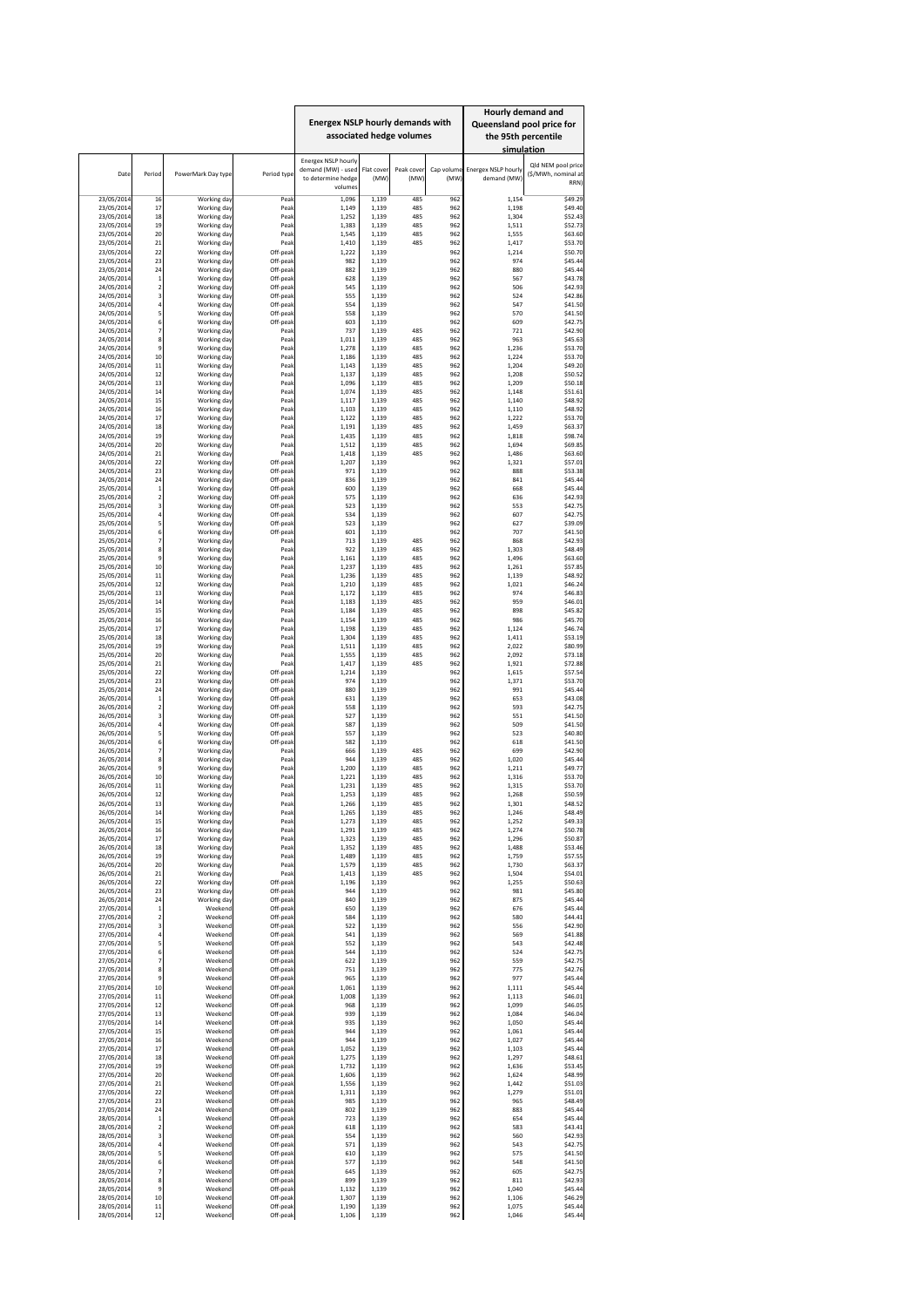|                          |                         |                            |              |                                                                     |                    |                  |                     | Hourly demand and<br>Queensland pool price for |                                   |  |
|--------------------------|-------------------------|----------------------------|--------------|---------------------------------------------------------------------|--------------------|------------------|---------------------|------------------------------------------------|-----------------------------------|--|
|                          |                         |                            |              | <b>Energex NSLP hourly demands with</b><br>associated hedge volumes |                    |                  | the 95th percentile |                                                |                                   |  |
|                          |                         |                            |              |                                                                     |                    |                  |                     | simulation                                     |                                   |  |
|                          |                         |                            |              | Energex NSLP hourly                                                 |                    |                  |                     |                                                | Qld NEM pool price                |  |
| Date                     | Period                  | PowerMark Day type         | Period type  | demand (MW) - used<br>to determine hedge                            | Flat cover<br>(MW) | Peak cove<br>(MW | Cap volume<br>(MW)  | Energex NSLP hourly<br>demand (MW)             | (\$/MWh, nominal at<br><b>RRN</b> |  |
|                          |                         |                            |              | volume                                                              |                    |                  |                     |                                                |                                   |  |
| 23/05/2014               | 16                      | Working day                | Pea          | 1,096                                                               | 1,139              | 485              | 962                 | 1,154                                          | \$49.29                           |  |
| 23/05/2014               | 17                      | Working day                | Peal         | 1,149                                                               | 1,139              | 485              | 962                 | 1,198                                          | \$49.40                           |  |
| 23/05/2014               | 18<br>19                | Working day                | Peal<br>Peal | 1,252<br>1.383                                                      | 1,139<br>1.139     | 485<br>485       | 962<br>962          | 1,304<br>1.511                                 | \$52.43<br>\$52.73                |  |
| 23/05/2014<br>23/05/2014 | 20                      | Working day<br>Working day | Peal         | 1,545                                                               | 1,139              | 485              | 962                 | 1,555                                          | \$63.60                           |  |
| 23/05/2014               | 21                      | Working day                | Peal         | 1,410                                                               | 1,139              | 485              | 962                 | 1,417                                          | \$53.70                           |  |
| 23/05/2014               | 22                      | Working da                 | Off-peal     | 1,222                                                               | 1,139              |                  | 962                 | 1,214                                          | \$50.70                           |  |
| 23/05/2014               | 23                      | Working day                | Off-peal     | 982                                                                 | 1.139              |                  | 962                 | 974                                            | \$45.44                           |  |
| 23/05/2014               | 24                      | Working day                | Off-peal     | 882                                                                 | 1,139              |                  | 962                 | 880                                            | \$45.44                           |  |
| 24/05/2014               | $\mathbf 1$             | Working day                | Off-peak     | 628                                                                 | 1,139              |                  | 962                 | 567                                            | \$43.78                           |  |
| 24/05/2014               | $\mathbf 2$             | Working day                | Off-peak     | 545                                                                 | 1,139              |                  | 962                 | 506                                            | \$42.93                           |  |
| 24/05/2014               | $\overline{\mathbf{3}}$ | Working day                | Off-peal     | 555                                                                 | 1.139              |                  | 962                 | 524                                            | \$42.86                           |  |
| 24/05/2014               | $\overline{a}$          | Working day                | Off-peal     | 554                                                                 | 1.139              |                  | 962                 | 547                                            | \$41.50                           |  |
| 24/05/2014               | 5                       | Working day                | Off-peal     | 558                                                                 | 1,139              |                  | 962                 | 570                                            | \$41.50                           |  |
| 24/05/2014               | 6                       | Working day                | Off-peal     | 603                                                                 | 1,139              |                  | 962                 | 609                                            | \$42.7                            |  |
| 24/05/2014               | $\overline{7}$<br>8     | Working day                | Peal<br>Peal | 737<br>1.011                                                        | 1,139              | 485<br>485       | 962<br>962          | 721<br>963                                     | \$42.90<br>\$45.63                |  |
| 24/05/2014<br>24/05/2014 | 9                       | Working day<br>Working day | Peal         | 1,278                                                               | 1.139<br>1,139     | 485              | 962                 | 1,236                                          | \$53.70                           |  |
| 24/05/2014               | 10                      | Working day                | Peal         | 1,186                                                               | 1,139              | 485              | 962                 | 1,224                                          | \$53.70                           |  |
| 24/05/2014               | 11                      | Working day                | Peal         | 1,143                                                               | 1,139              | 485              | 962                 | 1,204                                          | \$49.20                           |  |
| 24/05/2014               | 12                      | Working day                | Peal         | 1.137                                                               | 1.139              | 485              | 962                 | 1.208                                          | \$50.52                           |  |
| 24/05/2014               | 13                      | Working day                | Peal         | 1,096                                                               | 1,139              | 485              | 962                 | 1,209                                          | \$50.18                           |  |
| 24/05/2014               | 14                      | Working day                | Peal         | 1,074                                                               | 1,139              | 485              | 962                 | 1,148                                          | \$51.6                            |  |
| 24/05/2014               | 15                      | Working da                 | Peal         | 1,117                                                               | 1,139              | 485              | 962                 | 1,140                                          | \$48.92                           |  |
| 24/05/2014               | 16                      | Working day                | Peal         | 1.103                                                               | 1.139              | 485              | 962                 | 1,110                                          | \$48.92                           |  |
| 24/05/2014               | 17                      | Working day                | Peak         | 1,122                                                               | 1,139              | 485              | 962                 | 1,222                                          | \$53.70                           |  |
| 24/05/2014               | 18                      | Working day                | Peak         | 1,191                                                               | 1,139              | 485              | 962                 | 1,459                                          | \$63.37                           |  |
| 24/05/2014               | 19                      | Working day                | Peak         | 1,435                                                               | 1,139              | 485              | 962                 | 1,818                                          | \$98.74                           |  |
| 24/05/2014               | 20                      | Working day                | Peal         | 1,512                                                               | 1.139              | 485              | 962                 | 1.694                                          | \$69.85                           |  |
| 24/05/2014               | 21                      | Working day                | Peak         | 1,418                                                               | 1,139              | 485              | 962                 | 1,486                                          | \$63.60                           |  |
| 24/05/2014               | 22                      | Working day                | Off-peal     | 1,207                                                               | 1,139              |                  | 962                 | 1,321                                          | \$57.01                           |  |
| 24/05/2014               | 23                      | Working day                | Off-peal     | 971                                                                 | 1,139              |                  | 962                 | 888                                            | \$53.38                           |  |
| 24/05/2014               | 24                      | Working day                | Off-peal     | 836                                                                 | 1.139              |                  | 962                 | 841                                            | \$45.44                           |  |
| 25/05/2014               | $\mathbf{1}$            | Working day                | Off-peal     | 600                                                                 | 1,139              |                  | 962                 | 668                                            | \$45.44                           |  |
| 25/05/2014               | $\mathbf 2$             | Working day                | Off-peak     | 575                                                                 | 1,139              |                  | 962                 | 636                                            | \$42.93                           |  |
| 25/05/2014               | 3                       | Working day                | Off-peal     | 523                                                                 | 1,139              |                  | 962                 | 553                                            | \$42.75                           |  |
| 25/05/2014               | 4                       | Working day                | Off-peal     | 534                                                                 | 1,139              |                  | 962                 | 607                                            | \$42.75                           |  |
| 25/05/2014               | 5                       | Working day                | Off-peal     | 523                                                                 | 1.139              |                  | 962                 | 627                                            | \$39.09                           |  |
| 25/05/2014               | 6                       | Working day                | Off-peal     | 601                                                                 | 1,139              |                  | 962                 | 707                                            | \$41.50                           |  |
| 25/05/2014               | $\overline{7}$          | Working day                | Peal         | 713                                                                 | 1,139              | 485              | 962                 | 868                                            | \$42.9                            |  |
| 25/05/2014               | 8                       | Working da                 | Peal         | 922                                                                 | 1,139              | 485              | 962                 | 1,303                                          | \$48.49                           |  |
| 25/05/2014               | 9                       | Working day                | Peal         | 1.161                                                               | 1.139              | 485<br>485       | 962<br>962          | 1.496                                          | \$63,60                           |  |
| 25/05/2014<br>25/05/2014 | 10<br>11                | Working day<br>Working day | Peak<br>Peak | 1,237<br>1,236                                                      | 1,139<br>1,139     | 485              | 962                 | 1,261<br>1,139                                 | \$57.85<br>\$48.92                |  |
| 25/05/2014               | 12                      | Working day                | Peak         | 1,210                                                               | 1,139              | 485              | 962                 | 1,021                                          | \$46.24                           |  |
| 25/05/2014               | 13                      | Working day                | Peal         | 1.172                                                               | 1.139              | 485              | 962                 | 974                                            | \$46.83                           |  |
| 25/05/2014               | 14                      | Working day                | Peal         | 1,183                                                               | 1,139              | 485              | 962                 | 959                                            | \$46.01                           |  |
| 25/05/2014               | 15                      | Working day                | Peak         | 1,184                                                               | 1,139              | 485              | 962                 | 898                                            | \$45.82                           |  |
| 25/05/2014               | 16                      | Working day                | Peal         | 1,154                                                               | 1,139              | 485              | 962                 | 986                                            | \$45.70                           |  |
| 25/05/2014               | 17                      | Working day                | Peal         | 1.198                                                               | 1.139              | 485              | 962                 | 1.124                                          | \$46.74                           |  |
| 25/05/2014               | 18                      | Working day                | Peak         | 1,304                                                               | 1,139              | 485              | 962                 | 1,411                                          | \$53.19                           |  |
| 25/05/2014               | 19                      | Working day                | Peak         | 1,511                                                               | 1,139              | 485              | 962                 | 2,022                                          | \$80.99                           |  |
| 25/05/2014               | 20                      | Working day                | Peal         | 1,555                                                               | 1,139              | 485              | 962                 | 2,092                                          | \$73.18                           |  |
| 25/05/2014               | 21                      | Working day                | Peal         | 1.417                                                               | 1.139              | 485              | 962                 | 1,921                                          | \$72.88                           |  |
| 25/05/2014               | 22                      | Working day                | Off-peal     | 1,214                                                               | 1,139              |                  | 962                 | 1,615                                          | \$57.54                           |  |
| 25/05/2014               | 23                      | Working day                | Off-peal     | 974                                                                 | 1,139              |                  | 962                 | 1,371                                          | \$53.70                           |  |
| 25/05/2014               | 24                      | Working day                | Off-peal     | 880                                                                 | 1,139              |                  | 962                 | 991                                            | \$45.44                           |  |
| 26/05/2014               | $\mathbf{1}$            | Working day                | Off-peal     | 631                                                                 | 1,139              |                  | 962                 | 653                                            | \$43.08                           |  |
| 26/05/2014               | $\overline{2}$          | Working day                | Off-peal     | 558                                                                 | 1.139              |                  | 962                 | 593                                            | \$42.75                           |  |
| 26/05/2014               | 3                       | Working day                | Off-peak     | 527                                                                 | 1,139              |                  | 962                 | 551                                            | \$41.50                           |  |
| 26/05/2014               | 4                       | Working day                | Off-peak     | 587                                                                 | 1,139              |                  | 962                 | 509                                            | \$41.50                           |  |
| 26/05/2014               | 5                       | Working day                | Off-peal     | 557                                                                 | 1,139              |                  | 962                 | 523                                            | \$40.80                           |  |
| 26/05/2014               | 6                       | Working day                | Off-peak     | 582                                                                 | 1.139              | 485              | 962                 | 618                                            | \$41.50                           |  |
| 26/05/2014               | $\overline{7}$          | Working day                | Peal         | 666                                                                 | 1,139              |                  | 962                 | 699                                            | \$42.90                           |  |
| 26/05/2014               | 8                       | Working day                | Peal         | 944                                                                 | 1,139              | 485              | 962                 | 1,020                                          | \$45.44                           |  |
| 26/05/2014               | 9                       | Working da                 | Peal         | 1,200                                                               | 1,139              | 485              | 962                 | 1,211                                          | \$49.77                           |  |
| 26/05/2014               | 10                      | Working day                | Peal         | 1.221                                                               | 1.139              | 485              | 962                 | 1,316                                          | \$53.70                           |  |
| 26/05/2014               | 11                      | Working day                | Peal         | 1,231                                                               | 1,139              | 485              | 962                 | 1,315                                          | \$53.70                           |  |
| 26/05/2014               | 12                      | Working day                | Peal         | 1,253                                                               | 1,139              | 485              | 962                 | 1,268                                          | \$50.59                           |  |
| 26/05/2014               | 13                      | Working da                 | Pea          | 1,266                                                               | 1,139              | 485              | 962                 | 1,301                                          | \$48.5                            |  |
| 26/05/2014               | 14                      | Working day                | Peal         | 1,265                                                               | 1,139              | 485              | 962                 | 1,246                                          | \$48.49                           |  |
| 26/05/2014               | 15                      | Working day                | Peak         | 1,273                                                               | 1,139              | 485              | 962                 | 1,252                                          | \$49.33                           |  |
| 26/05/2014               | 16                      | Working day                | Peak         | 1,291                                                               | 1,139              | 485              | 962                 | 1,274                                          | \$50.78                           |  |
| 26/05/2014               | 17                      | Working day                | Peal         | 1,323                                                               | 1,139              | 485              | 962                 | 1,296                                          | \$50.87                           |  |
| 26/05/2014               | 18                      | Working day                | Peak         | 1,352                                                               | 1,139              | 485              | 962                 | 1,488                                          | \$53.46                           |  |
| 26/05/2014               | 19                      | Working day                | Peak         | 1,489                                                               | 1,139              | 485              | 962                 | 1,759                                          | \$57.55                           |  |
| 26/05/2014               | 20                      | Working day                | Peak         | 1,579                                                               | 1,139              | 485              | 962                 | 1,730                                          | \$63.37                           |  |
| 26/05/2014               | 21                      | Working day                | Peak         | 1,413                                                               | 1,139              | 485              | 962                 | 1,504                                          | \$54.01                           |  |
| 26/05/2014               | 22                      | Working day                | Off-peak     | 1,196                                                               | 1,139              |                  | 962                 | 1,255                                          | \$50.63                           |  |
| 26/05/2014               | 23                      | Working day                | Off-peak     | 944                                                                 | 1.139              |                  | 962                 | 981                                            | \$45.80                           |  |
| 26/05/2014               | 24                      | Working day                | Off-peal     | 840                                                                 | 1,139              |                  | 962                 | 875                                            | \$45.44                           |  |
| 27/05/2014               | $\mathbf{1}$            | Weekend                    | Off-peal     | 650                                                                 | 1,139              |                  | 962                 | 676                                            | \$45.44                           |  |
| 27/05/2014               | $\overline{\mathbf{2}}$ | Weekend                    | Off-peal     | 584                                                                 | 1,139              |                  | 962                 | 580                                            | \$44.41                           |  |
| 27/05/2014               | 3                       | Weekend                    | Off-peak     | 522                                                                 | 1,139              |                  | 962                 | 556                                            | \$42.90                           |  |
| 27/05/2014               | 4                       | Weekend                    | Off-peak     | 541                                                                 | 1,139              |                  | 962                 | 569                                            | \$41.88                           |  |
| 27/05/2014               | 5                       | Weekend                    | Off-peak     | 552                                                                 | 1,139              |                  | 962                 | 543                                            | \$42.48                           |  |
| 27/05/2014               | 6                       | Weekend                    | Off-peak     | 544                                                                 | 1,139              |                  | 962                 | 524                                            | \$42.75                           |  |
| 27/05/2014               | $\overline{7}$          | Weekend                    | Off-peal     | 622                                                                 | 1.139              |                  | 962                 | 559                                            | \$42.75                           |  |
| 27/05/2014               | 8                       | Weekend                    | Off-peak     | 751                                                                 | 1,139              |                  | 962                 | 775                                            | \$42.76                           |  |
| 27/05/2014               | 9                       | Weekend                    | Off-peak     | 965                                                                 | 1,139              |                  | 962                 | 977                                            | \$45.44                           |  |
| 27/05/2014               | 10                      | Weekend                    | Off-peal     | 1,061                                                               | 1,139              |                  | 962                 | 1,111                                          | \$45.44                           |  |
| 27/05/2014               | 11                      | Weekend                    | Off-peak     | 1,008                                                               | 1,139              |                  | 962                 | 1,113                                          | \$46.01                           |  |
| 27/05/2014               | 12                      | Weekend                    | Off-peak     | 968                                                                 | 1,139              |                  | 962                 | 1,099                                          | \$46.05                           |  |
| 27/05/2014               | 13                      | Weekend                    | Off-peak     | 939                                                                 | 1,139              |                  | 962                 | 1,084                                          | \$46.04                           |  |
| 27/05/2014               | 14                      | Weekend                    | Off-peak     | 935                                                                 | 1,139              |                  | 962                 | 1,050                                          | \$45.44                           |  |
| 27/05/2014               | 15                      | Weekend                    | Off-peak     | 944                                                                 | 1,139              |                  | 962                 | 1,061                                          | \$45.44                           |  |
| 27/05/2014               | 16                      | Weekend                    | Off-peak     | 944                                                                 | 1,139              |                  | 962                 | 1,027                                          | \$45.44                           |  |
| 27/05/2014               | 17                      | Weekend                    | Off-peal     | 1,052                                                               | 1,139              |                  | 962                 | 1,103                                          | \$45.44                           |  |
| 27/05/2014               | 18                      | Weekend                    | Off-peal     | 1,275                                                               | 1,139              |                  | 962                 | 1,297                                          | \$48.61                           |  |
| 27/05/2014               | 19                      | Weekend                    | Off-peak     | 1,732                                                               | 1,139              |                  | 962                 | 1,636                                          | \$53.45                           |  |
| 27/05/2014               | 20                      | Weekend                    | Off-peak     | 1,606                                                               | 1,139              |                  | 962                 | 1,624                                          | \$48.99                           |  |
| 27/05/2014               | 21                      | Weekend                    | Off-peak     | 1,556                                                               | 1,139              |                  | 962                 | 1,442                                          | \$51.03                           |  |
| 27/05/2014               | 22                      | Weekend                    | Off-peak     | 1,311                                                               | 1,139              |                  | 962                 | 1,279                                          | \$51.01                           |  |
| 27/05/2014               | 23                      | Weekend                    | Off-peak     | 985                                                                 | 1,139              |                  | 962                 | 965                                            | \$48.49                           |  |
| 27/05/2014               | 24                      | Weekend                    | Off-peal     | 802                                                                 | 1.139              |                  | 962                 | 883                                            | \$45.44                           |  |
| 28/05/2014               | $\mathbf{1}$            | Weekend                    | Off-peak     | 723                                                                 | 1,139              |                  | 962                 | 654                                            | \$45.44                           |  |
| 28/05/2014               | $\overline{\mathbf{c}}$ | Weekend                    | Off-peak     | 618                                                                 | 1,139              |                  | 962                 | 583                                            | \$43.41                           |  |
| 28/05/2014               | 3                       | Weekend                    | Off-peal     | 554                                                                 | 1,139              |                  | 962                 | 560                                            | \$42.93                           |  |
| 28/05/2014               | $\overline{a}$          | Weekend                    | Off-peak     | 571                                                                 | 1,139              |                  | 962                 | 543                                            | \$42.75                           |  |
| 28/05/2014               | 5                       | Weekend                    | Off-peak     | 610                                                                 | 1,139              |                  | 962                 | 575                                            | \$41.50                           |  |
| 28/05/2014               | 6                       | Weekend                    | Off-peak     | 577                                                                 | 1,139              |                  | 962                 | 548                                            | \$41.50                           |  |
| 28/05/2014               | $\overline{7}$          | Weekend                    | Off-peak     | 645                                                                 | 1,139              |                  | 962                 | 605                                            | \$42.75                           |  |
| 28/05/2014               | 8                       | Weekend                    | Off-peak     | 899                                                                 | 1,139              |                  | 962                 | 811                                            | \$42.93                           |  |
| 28/05/2014               | 9                       | Weekend                    | Off-peak     | 1,132                                                               | 1,139              |                  | 962                 | 1,040                                          | \$45.44                           |  |
| 28/05/2014               | 10                      | Weekend                    | Off-peak     | 1,307                                                               | 1,139              |                  | 962                 | 1,106                                          | \$46.29                           |  |
| 28/05/2014               | 11                      | Weekend                    | Off-peak     | 1,190                                                               | 1,139              |                  | 962                 | 1,075                                          | \$45.44                           |  |
| 28/05/2014               | 12                      | Weekend                    | Off-peak     | 1,106                                                               | 1,139              |                  | 962                 | 1,046                                          | \$45.44                           |  |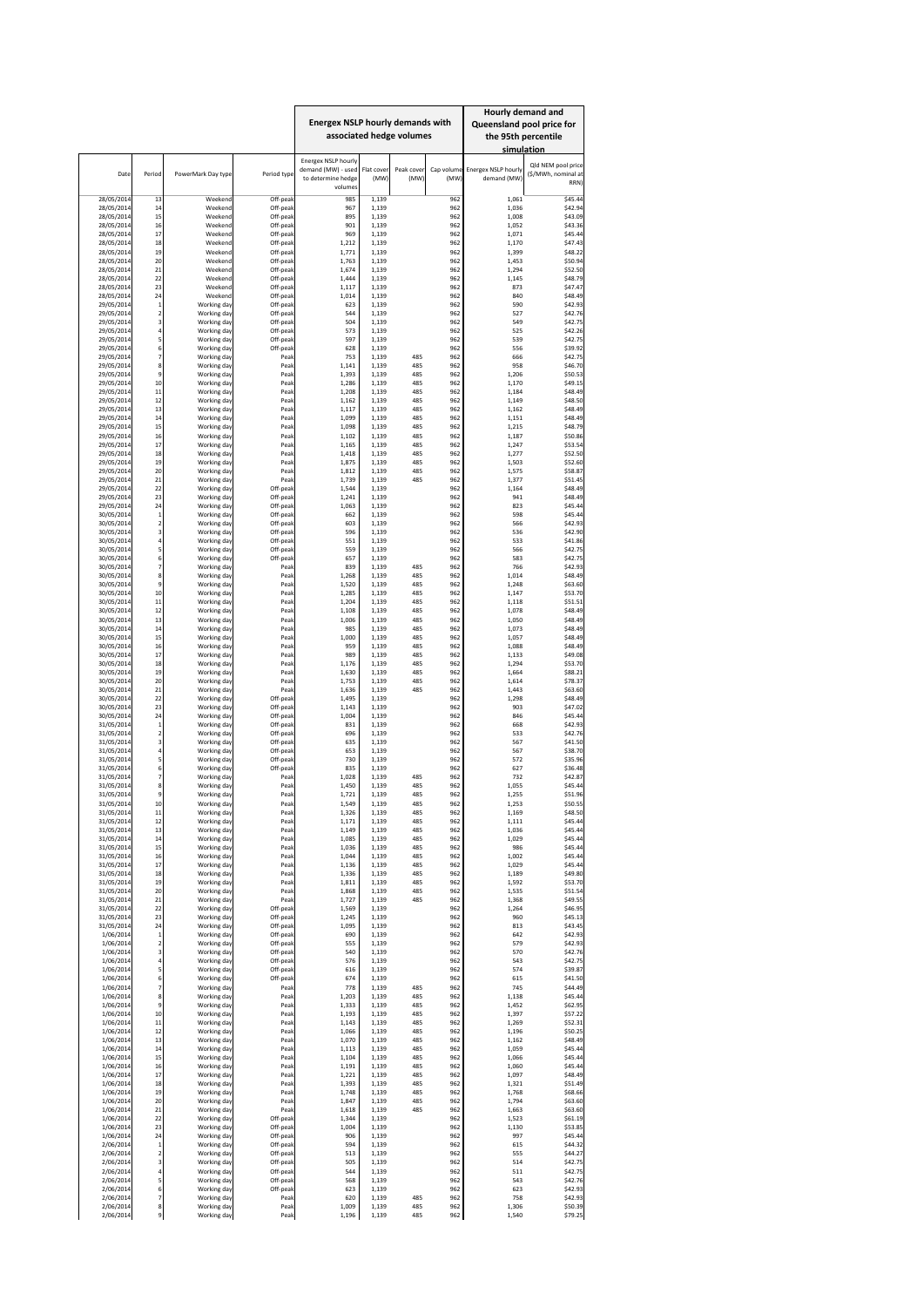|                          |                                         |                            |                      |                                                                     |                    |                    |                           | Hourly demand and   |                     |  |
|--------------------------|-----------------------------------------|----------------------------|----------------------|---------------------------------------------------------------------|--------------------|--------------------|---------------------------|---------------------|---------------------|--|
|                          |                                         |                            |                      | <b>Energex NSLP hourly demands with</b><br>associated hedge volumes |                    |                    | Queensland pool price for |                     |                     |  |
|                          |                                         |                            |                      |                                                                     |                    |                    |                           | the 95th percentile |                     |  |
|                          |                                         |                            |                      |                                                                     |                    |                    |                           | simulation          |                     |  |
|                          |                                         |                            |                      | Energex NSLP hourly                                                 |                    |                    |                           |                     | Qld NEM pool price  |  |
| Date                     | Period                                  | PowerMark Day type         | Period type          | demand (MW) - used<br>to determine hedge                            | Flat cover<br>(MW) | Peak cover<br>(MW) | Cap volume                | Energex NSLP hourly | (\$/MWh, nominal at |  |
|                          |                                         |                            |                      | volume                                                              |                    |                    | (MW)                      | demand (MW)         | <b>RRN</b>          |  |
| 28/05/2014               | 13                                      | Weekend                    | Off-peak             | 985                                                                 | 1,139              |                    | 962                       | 1.061               | \$45.44             |  |
| 28/05/2014               | 14                                      | Weekend                    | Off-peal             | 967                                                                 | 1,139              |                    | 962                       | 1,036               | \$42.94             |  |
| 28/05/2014               | 15<br>16                                | Weekend<br>Weekend         | Off-peal<br>Off-peal | 895<br>901                                                          | 1,139<br>1,139     |                    | 962<br>962                | 1,008               | \$43.09<br>\$43.36  |  |
| 28/05/2014<br>28/05/2014 | 17                                      | Weekend                    | Off-peal             | 969                                                                 | 1.139              |                    | 962                       | 1,052<br>1.071      | \$45.44             |  |
| 28/05/2014               | 18                                      | Weekend                    | Off-peal             | 1,212                                                               | 1,139              |                    | 962                       | 1,170               | \$47.43             |  |
| 28/05/2014               | 19<br>20                                | Weekend<br>Weekend         | Off-peal             | 1,771                                                               | 1,139              |                    | 962<br>962                | 1,399               | \$48.22             |  |
| 28/05/2014<br>28/05/2014 | 21                                      | Weekend                    | Off-peal<br>Off-peal | 1,763<br>1,674                                                      | 1,139<br>1.139     |                    | 962                       | 1,453<br>1.294      | \$50.94<br>\$52.50  |  |
| 28/05/2014               | 22                                      | Weekend                    | Off-peal             | 1,444                                                               | 1,139              |                    | 962                       | 1,145               | \$48.79             |  |
| 28/05/2014<br>28/05/2014 | 23<br>24                                | Weekend<br>Weekend         | Off-peal<br>Off-peal | 1,117<br>1,014                                                      | 1,139<br>1,139     |                    | 962<br>962                | 873<br>840          | \$47.47<br>\$48.49  |  |
| 29/05/2014               | -1                                      | Working day                | Off-peal             | 623                                                                 | 1,139              |                    | 962                       | 590                 | \$42.93             |  |
| 29/05/2014               | $\overline{2}$                          | Working day                | Off-peak             | 544                                                                 | 1.139              |                    | 962                       | 527                 | \$42.76             |  |
| 29/05/2014<br>29/05/2014 | 3<br>4                                  | Working day<br>Working day | Off-peal<br>Off-peal | 504<br>573                                                          | 1,139<br>1,139     |                    | 962<br>962                | 549<br>525          | \$42.75<br>\$42.26  |  |
| 29/05/2014               | 5                                       | Working day                | Off-peal             | 597                                                                 | 1,139              |                    | 962                       | 539                 | \$42.7              |  |
| 29/05/2014               | 6                                       | Working day                | Off-peal             | 628                                                                 | 1.139              |                    | 962                       | 556                 | \$39.92             |  |
| 29/05/2014<br>29/05/2014 | $\overline{7}$<br>8                     | Working day<br>Working day | Peal<br>Peal         | 753<br>1,141                                                        | 1,139<br>1,139     | 485<br>485         | 962<br>962                | 666<br>958          | \$42.75<br>\$46.70  |  |
| 29/05/2014               | ¢                                       | Working day                | Peak                 | 1,393                                                               | 1,139              | 485                | 962                       | 1,206               | \$50.53             |  |
| 29/05/2014               | 10                                      | Working day                | Peal<br>Peal         | 1.286                                                               | 1.139              | 485<br>485         | 962<br>962                | 1.170               | \$49.15<br>\$48.49  |  |
| 29/05/2014<br>29/05/2014 | $\overline{11}$<br>12                   | Working day<br>Working day | Peal                 | 1,208<br>1,162                                                      | 1,139<br>1,139     | 485                | 962                       | 1,184<br>1,149      | \$48.50             |  |
| 29/05/2014               | 13                                      | Working day                | Peal                 | 1,117                                                               | 1,139              | 485                | 962                       | 1,162               | \$48.49             |  |
| 29/05/2014<br>29/05/2014 | 14<br>15                                | Working day<br>Working day | Peak<br>Peak         | 1,099<br>1,098                                                      | 1.139<br>1,139     | 485<br>485         | 962<br>962                | 1,151<br>1,215      | \$48.49<br>\$48.79  |  |
| 29/05/2014               | 16                                      | Working day                | Peal                 | 1,102                                                               | 1,139              | 485                | 962                       | 1,187               | \$50.86             |  |
| 29/05/2014               | 17                                      | Working day                | Peak                 | 1,165                                                               | 1,139              | 485                | 962                       | 1,247               | \$53.54             |  |
| 29/05/2014<br>29/05/2014 | 18<br>19                                | Working day<br>Working day | Peak<br>Peal         | 1.418<br>1,875                                                      | 1,139<br>1,139     | 485<br>485         | 962<br>962                | 1.277<br>1,503      | \$52.50<br>\$52.60  |  |
| 29/05/2014               | 20                                      | Working day                | Peal                 | 1,812                                                               | 1,139              | 485                | 962                       | 1,575               | \$58.87             |  |
| 29/05/2014<br>29/05/2014 | 21<br>22                                | Working day<br>Working day | Peal<br>Off-peal     | 1,739<br>1,544                                                      | 1,139<br>1.139     | 485                | 962<br>962                | 1,377<br>1,164      | \$51.45<br>\$48.49  |  |
| 29/05/2014               | 23                                      | Working day                | Off-peal             | 1.241                                                               | 1.139              |                    | 962                       | 941                 | \$48.49             |  |
| 29/05/2014               | 24                                      | Working day                | Off-peal             | 1,063                                                               | 1,139              |                    | 962                       | 823                 | \$45.44             |  |
| 30/05/2014<br>30/05/2014 | $\mathbf{1}$<br>$\overline{\mathbf{z}}$ | Working day<br>Working day | Off-peal<br>Off-peal | 662<br>603                                                          | 1,139<br>1,139     |                    | 962<br>962                | 598<br>566          | \$45.44<br>\$42.93  |  |
| 30/05/2014               | $\overline{\mathbf{3}}$                 | Working day                | Off-peal             | 596                                                                 | 1.139              |                    | 962                       | 536                 | \$42.90             |  |
| 30/05/2014               | 4                                       | Working day                | Off-peal             | 551                                                                 | 1,139              |                    | 962                       | 533                 | \$41.86             |  |
| 30/05/2014<br>30/05/2014 | 5<br>6                                  | Working day<br>Working day | Off-peal<br>Off-peak | 559<br>657                                                          | 1,139<br>1,139     |                    | 962<br>962                | 566<br>583          | \$42.75<br>\$42.7   |  |
| 30/05/2014               | $\overline{7}$                          | Working day                | Peak                 | 839                                                                 | 1.139              | 485                | 962                       | 766                 | \$42.93             |  |
| 30/05/2014               | 8<br>9                                  | Working day                | Peal                 | 1,268                                                               | 1,139              | 485                | 962                       | 1,014               | \$48.49             |  |
| 30/05/2014<br>30/05/2014 | 10                                      | Working day<br>Working day | Peal<br>Peak         | 1,520<br>1,285                                                      | 1,139<br>1,139     | 485<br>485         | 962<br>962                | 1,248<br>1,147      | \$63.60<br>\$53.70  |  |
| 30/05/2014               | 11                                      | Working day                | Peak                 | 1,204                                                               | 1,139              | 485                | 962                       | 1.118               | \$51.51             |  |
| 30/05/2014<br>30/05/2014 | 12<br>13                                | Working day<br>Working day | Peak<br>Peal         | 1,108<br>1,006                                                      | 1,139<br>1,139     | 485<br>485         | 962<br>962                | 1,078<br>1,050      | \$48.49<br>\$48.49  |  |
| 30/05/2014               | 14                                      | Working day                | Peal                 | 985                                                                 | 1,139              | 485                | 962                       | 1,073               | \$48.49             |  |
| 30/05/2014               | 15                                      | Working day                | Peal                 | 1,000                                                               | 1.139              | 485                | 962                       | 1,057               | \$48.49             |  |
| 30/05/2014<br>30/05/2014 | 16<br>17                                | Working day<br>Working day | Peal<br>Peal         | 959<br>989                                                          | 1,139<br>1,139     | 485<br>485         | 962<br>962                | 1,088<br>1,133      | \$48.49<br>\$49.08  |  |
| 30/05/2014               | 18                                      | Working day                | Peak                 | 1,176                                                               | 1,139              | 485                | 962                       | 1,294               | \$53.70             |  |
| 30/05/2014<br>30/05/2014 | 19<br>20                                | Working day<br>Working day | Peal<br>Peal         | 1.630<br>1,753                                                      | 1.139<br>1,139     | 485<br>485         | 962<br>962                | 1.664<br>1,614      | \$88.21<br>\$78.37  |  |
| 30/05/2014               | 21                                      | Working day                | Peak                 | 1,636                                                               | 1,139              | 485                | 962                       | 1,443               | \$63.60             |  |
| 30/05/2014               | 22                                      | Working day                | Off-peal             | 1,495                                                               | 1,139              |                    | 962                       | 1,298               | \$48.49             |  |
| 30/05/2014<br>30/05/2014 | 2 <sup>2</sup><br>24                    | Working day<br>Working day | Off-peal<br>Off-peal | 1,143<br>1,004                                                      | 1,139<br>1.139     |                    | 962<br>962                | 903<br>846          | \$47.02<br>\$45.44  |  |
| 31/05/2014               | $\mathbf{1}$                            | Working day                | Off-peal             | 831                                                                 | 1,139              |                    | 962                       | 668                 | \$42.93             |  |
| 31/05/2014               | $\mathbf 2$<br>$\overline{3}$           | Working day                | Off-peal             | 696                                                                 | 1,139              |                    | 962<br>962                | 533<br>567          | \$42.76             |  |
| 31/05/2014<br>31/05/2014 | 4                                       | Working day<br>Working day | Off-peal<br>Off-peal | 635<br>653                                                          | 1,139<br>1,139     |                    | 962                       | 567                 | \$41.50<br>\$38.70  |  |
| 31/05/2014               | 5                                       | Working day                | Off-peal             | 730                                                                 | 1,139              |                    | 962                       | 572                 | \$35.96             |  |
| 31/05/2014<br>31/05/2014 | 6<br>7                                  | Working day<br>Working day | Off-peal<br>Peal     | 835<br>1,028                                                        | 1,139<br>1,139     | 485                | 962<br>962                | 627<br>732          | \$36.48<br>\$42.87  |  |
| 31/05/2014               | 8                                       | Working day                | Peal                 | 1,450                                                               | 1.139              | 485                | 962                       | 1.055               | \$45.44             |  |
| 31/05/2014<br>31/05/2014 | 9<br>10                                 | Working day                | Peak<br>Pea          | 1,721<br>1,549                                                      | 1,139<br>1,139     | 485<br>485         | 962<br>962                | 1,255<br>1,253      | \$51.96<br>\$50.5   |  |
| 31/05/2014               | 11                                      | Working day<br>Working day | Peal                 | 1,326                                                               | 1,139              | 485                | 962                       | 1,169               | \$48.50             |  |
| 31/05/2014               | 12                                      | Working day                | Peak                 | 1.171                                                               | 1.139              | 485                | 962                       | 1.111               | \$45.44             |  |
| 31/05/2014<br>31/05/2014 | 13<br>14                                | Working day<br>Working day | Peak<br>Peal         | 1,149<br>1,085                                                      | 1,139<br>1,139     | 485<br>485         | 962<br>962                | 1,036<br>1,029      | \$45.44<br>\$45.44  |  |
| 31/05/2014               | 15                                      | Working day                | Peal                 | 1,036                                                               | 1,139              | 485                | 962                       | 986                 | \$45.44             |  |
| 31/05/2014               | 16                                      | Working day                | Peal                 | 1,044                                                               | 1,139              | 485                | 962                       | 1,002               | \$45.44             |  |
| 31/05/2014<br>31/05/2014 | 17<br>18                                | Working day<br>Working day | Peak<br>Peak         | 1,136<br>1,336                                                      | 1,139<br>1,139     | 485<br>485         | 962<br>962                | 1,029<br>1,189      | \$45.44<br>\$49.80  |  |
| 31/05/2014               | 19                                      | Working day                | Peak                 | 1,811                                                               | 1,139              | 485                | 962                       | 1,592               | \$53.70             |  |
| 31/05/2014<br>31/05/2014 | 20<br>21                                | Working day<br>Working day | Peal<br>Peak         | 1,868<br>1,727                                                      | 1,139<br>1,139     | 485<br>485         | 962<br>962                | 1,535<br>1,368      | \$51.54<br>\$49.55  |  |
| 31/05/2014               | 22                                      | Working day                | Off-peal             | 1,569                                                               | 1,139              |                    | 962                       | 1,264               | \$46.95             |  |
| 31/05/2014               | 23                                      | Working day                | Off-peal             | 1,245                                                               | 1,139              |                    | 962                       | 960                 | \$45.13             |  |
| 31/05/2014<br>1/06/2014  | 24<br>-1                                | Working day<br>Working day | Off-peal<br>Off-peal | 1,095<br>690                                                        | 1,139<br>1.139     |                    | 962<br>962                | 813<br>642          | \$43.45<br>\$42.93  |  |
| 1/06/2014                | $\overline{\mathbf{c}}$                 | Working day                | Off-peal             | 555                                                                 | 1,139              |                    | 962                       | 579                 | \$42.93             |  |
| 1/06/2014                | 3<br>4                                  | Working day                | Off-peak             | 540<br>576                                                          | 1,139<br>1,139     |                    | 962<br>962                | 570<br>543          | \$42.76<br>\$42.75  |  |
| 1/06/2014<br>1/06/2014   | 5                                       | Working day<br>Working day | Off-peak<br>Off-peak | 616                                                                 | 1,139              |                    | 962                       | 574                 | \$39.87             |  |
| 1/06/2014                | 6                                       | Working day                | Off-peak             | 674                                                                 | 1,139              |                    | 962                       | 615                 | \$41.50             |  |
| 1/06/2014<br>1/06/2014   | 7<br>8                                  | Working day<br>Working day | Peal<br>Peal         | 778<br>1,203                                                        | 1,139<br>1,139     | 485<br>485         | 962<br>962                | 745<br>1,138        | \$44.49<br>\$45.44  |  |
| 1/06/2014                | 9                                       | Working day                | Peal                 | 1,333                                                               | 1,139              | 485                | 962                       | 1,452               | \$62.95             |  |
| 1/06/2014<br>1/06/2014   | 10<br>11                                | Working day<br>Working day | Peak<br>Peal         | 1,193<br>1,143                                                      | 1,139<br>1,139     | 485<br>485         | 962<br>962                | 1,397<br>1,269      | \$57.22<br>\$52.31  |  |
| 1/06/2014                | 12                                      | Working day                | Peak                 | 1,066                                                               | 1,139              | 485                | 962                       | 1,196               | \$50.25             |  |
| 1/06/2014                | 13                                      | Working day                | Peak                 | 1,070                                                               | 1,139              | 485                | 962                       | 1,162               | \$48.49             |  |
| 1/06/2014<br>1/06/2014   | 14<br>15                                | Working day<br>Working day | Peak<br>Peal         | 1,113<br>1,104                                                      | 1,139<br>1,139     | 485<br>485         | 962<br>962                | 1,059<br>1,066      | \$45.44<br>\$45.44  |  |
| 1/06/2014                | 16                                      | Working day                | Peal                 | 1,191                                                               | 1,139              | 485                | 962                       | 1,060               | \$45.44             |  |
| 1/06/2014                | 17<br>18                                | Working day                | Peal<br>Peak         | 1,221                                                               | 1,139<br>1.139     | 485<br>485         | 962<br>962                | 1,097               | \$48.49<br>\$51.49  |  |
| 1/06/2014<br>1/06/2014   | 19                                      | Working day<br>Working day | Peal                 | 1,393<br>1,748                                                      | 1,139              | 485                | 962                       | 1,321<br>1,768      | \$68.66             |  |
| 1/06/2014                | 20                                      | Working day                | Peal                 | 1,847                                                               | 1,139              | 485                | 962                       | 1,794               | \$63.60             |  |
| 1/06/2014<br>1/06/2014   | 21<br>22                                | Working day<br>Working day | Peal<br>Off-peak     | 1,618<br>1,344                                                      | 1,139<br>1,139     | 485                | 962<br>962                | 1,663<br>1,523      | \$63.60<br>\$61.19  |  |
| 1/06/2014                | 23                                      | Working day                | Off-peal             | 1,004                                                               | 1,139              |                    | 962                       | 1,130               | \$53.85             |  |
| 1/06/2014                | 24                                      | Working day                | Off-peal             | 906                                                                 | 1,139              |                    | 962                       | 997                 | \$45.44             |  |
| 2/06/2014<br>2/06/2014   | -1<br>$\overline{2}$                    | Working day<br>Working day | Off-peal<br>Off-peak | 594<br>513                                                          | 1,139<br>1,139     |                    | 962<br>962                | 615<br>555          | \$44.32<br>\$44.27  |  |
| 2/06/2014                | 3                                       | Working day                | Off-peak             | 505                                                                 | 1,139              |                    | 962                       | 514                 | \$42.75             |  |
| 2/06/2014<br>2/06/2014   | 4<br>5                                  | Working day<br>Working day | Off-peak<br>Off-peak | 544<br>568                                                          | 1,139<br>1,139     |                    | 962<br>962                | 511<br>543          | \$42.75<br>\$42.76  |  |
| 2/06/2014                | 6                                       | Working day                | Off-peak             | 623                                                                 | 1,139              |                    | 962                       | 623                 | \$42.93             |  |
| 2/06/2014<br>2/06/2014   | 7<br>8                                  | Working day<br>Working day | Peak<br>Peal         | 620<br>1,009                                                        | 1,139<br>1,139     | 485<br>485         | 962<br>962                | 758<br>1,306        | \$42.93<br>\$50.39  |  |
| 2/06/2014                |                                         | Working day                | Peal                 | 1,196                                                               | 1,139              | 485                | 962                       | 1,540               | \$79.25             |  |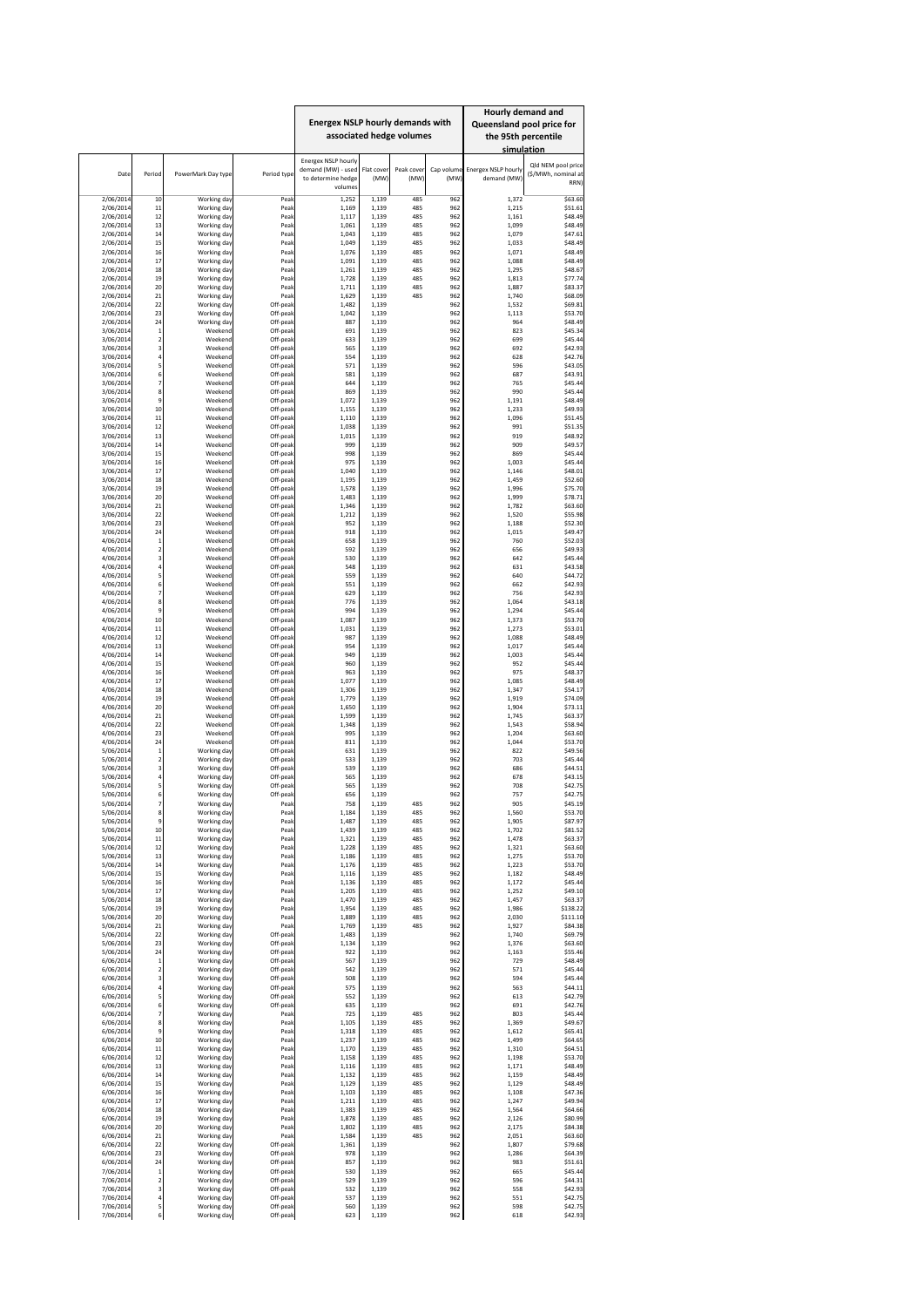|                        |                               |                            |                      |                                                                     |                |            |            | Hourly demand and<br>Queensland pool price for |                                           |  |
|------------------------|-------------------------------|----------------------------|----------------------|---------------------------------------------------------------------|----------------|------------|------------|------------------------------------------------|-------------------------------------------|--|
|                        |                               |                            |                      | <b>Energex NSLP hourly demands with</b><br>associated hedge volumes |                |            |            |                                                |                                           |  |
|                        |                               |                            |                      |                                                                     |                |            |            | the 95th percentile                            |                                           |  |
|                        |                               |                            |                      | Energex NSLP hourly                                                 |                |            |            | simulation                                     |                                           |  |
| Date                   | Period                        | PowerMark Day type         | Period type          | demand (MW) - used                                                  | Flat cover     | Peak cover | Cap volume | Energex NSLP hourly                            | Qld NEM pool price<br>(\$/MWh, nominal at |  |
|                        |                               |                            |                      | to determine hedge<br>volume:                                       | (MW)           | (MW)       | (MW)       | demand (MW)                                    | <b>RRN1</b>                               |  |
| 2/06/2014              | 10                            | Working day                | Pea                  | 1,252                                                               | 1,139          | 485        | 962        | 1.372                                          | \$63.60                                   |  |
| 2/06/2014              | 11                            | Working day                | Peal                 | 1,169                                                               | 1,139          | 485        | 962        | 1,215                                          | \$51.61                                   |  |
| 2/06/2014<br>2/06/2014 | 12<br>13                      | Working day<br>Working day | Peak<br>Peak         | 1,117<br>1.061                                                      | 1,139<br>1.139 | 485<br>485 | 962<br>962 | 1,161<br>1.099                                 | \$48.49<br>\$48.49                        |  |
| 2/06/2014              | 14                            | Working day                | Peal                 | 1,043                                                               | 1,139          | 485        | 962        | 1,079                                          | \$47.61                                   |  |
| 2/06/2014<br>2/06/2014 | 15<br>16                      | Working day<br>Working day | Peal<br>Peal         | 1,049<br>1,076                                                      | 1,139<br>1,139 | 485<br>485 | 962<br>962 | 1,033<br>1,071                                 | \$48.49<br>\$48.49                        |  |
| 2/06/2014              | 17                            | Working day                | Peal                 | 1.091                                                               | 1.139          | 485        | 962        | 1,088                                          | \$48.49                                   |  |
| 2/06/2014<br>2/06/2014 | 18<br>19                      | Working day<br>Working day | Peak<br>Peak         | 1,261<br>1,728                                                      | 1,139<br>1,139 | 485<br>485 | 962<br>962 | 1,295<br>1,813                                 | \$48.67<br>\$77.74                        |  |
| 2/06/2014              | 20                            | Working day                | Peak                 | 1,711                                                               | 1,139          | 485        | 962        | 1,887                                          | \$83.37                                   |  |
| 2/06/2014<br>2/06/2014 | 21<br>22                      | Working day<br>Working day | Peal<br>Off-peak     | 1,629<br>1,482                                                      | 1,139<br>1.139 | 485        | 962<br>962 | 1.740<br>1.532                                 | \$68.09<br>\$69.81                        |  |
| 2/06/2014              | 23                            | Working day                | Off-peak             | 1,042                                                               | 1,139          |            | 962        | 1,113                                          | \$53.70                                   |  |
| 2/06/2014<br>3/06/2014 | 24<br>1                       | Working day<br>Weekend     | Off-peal<br>Off-peal | 887<br>691                                                          | 1,139<br>1,139 |            | 962<br>962 | 964<br>823                                     | \$48.49<br>\$45.34                        |  |
| 3/06/2014              | $\overline{2}$                | Weekend                    | Off-peak             | 633                                                                 | 1.139          |            | 962        | 699                                            | \$45.44                                   |  |
| 3/06/2014<br>3/06/2014 | 3<br>4                        | Weekend<br>Weekend         | Off-peak<br>Off-peak | 565<br>554                                                          | 1,139<br>1,139 |            | 962<br>962 | 692<br>628                                     | \$42.93<br>\$42.76                        |  |
| 3/06/2014              | 5                             | Weekend                    | Off-peak             | 571                                                                 | 1,139          |            | 962        | 596                                            | \$43.05                                   |  |
| 3/06/2014<br>3/06/2014 | 6<br>7                        | Weekend<br>Weekend         | Off-peak<br>Off-peak | 581<br>644                                                          | 1.139<br>1,139 |            | 962<br>962 | 687<br>765                                     | \$43.91<br>\$45.44                        |  |
| 3/06/2014              | 8                             | Weekend                    | Off-peal             | 869                                                                 | 1,139          |            | 962        | 990                                            | \$45.44                                   |  |
| 3/06/2014<br>3/06/2014 | 9<br>10                       | Weekend<br>Weekend         | Off-peak<br>Off-peak | 1,072<br>1,155                                                      | 1,139<br>1,139 |            | 962<br>962 | 1,191<br>1.233                                 | \$48.49<br>\$49.93                        |  |
| 3/06/2014              | 11                            | Weekend                    | Off-peak             | 1,110                                                               | 1,139          |            | 962        | 1,096                                          | \$51.45                                   |  |
| 3/06/2014<br>3/06/2014 | 12<br>13                      | Weekend<br>Weekend         | Off-peak<br>Off-peak | 1,038<br>1,015                                                      | 1,139<br>1,139 |            | 962<br>962 | 991<br>919                                     | \$51.35<br>\$48.92                        |  |
| 3/06/2014              | 14                            | Weekend                    | Off-peak             | 999                                                                 | 1.139          |            | 962        | 909                                            | \$49.57                                   |  |
| 3/06/2014<br>3/06/2014 | 15<br>16                      | Weekend<br>Weekend         | Off-peak<br>Off-peal | 998<br>975                                                          | 1,139<br>1,139 |            | 962<br>962 | 869<br>1,003                                   | \$45.44<br>\$45.44                        |  |
| 3/06/2014              | 17                            | Weekend                    | Off-peal             | 1,040                                                               | 1,139          |            | 962        | 1,146                                          | \$48.01                                   |  |
| 3/06/2014<br>3/06/2014 | 18<br>19                      | Weekend<br>Weekend         | Off-peak<br>Off-peak | 1.195<br>1,578                                                      | 1.139<br>1,139 |            | 962<br>962 | 1.459<br>1,996                                 | \$52.60<br>\$75.70                        |  |
| 3/06/2014              | 20                            | Weekend                    | Off-peak             | 1,483                                                               | 1,139          |            | 962        | 1,999                                          | \$78.71                                   |  |
| 3/06/2014<br>3/06/2014 | 21<br>22                      | Weekend<br>Weekend         | Off-peak<br>Off-peak | 1,346<br>1,212                                                      | 1,139<br>1,139 |            | 962<br>962 | 1,782<br>1,520                                 | \$63.60<br>\$55.98                        |  |
| 3/06/2014              | 23                            | Weekend                    | Off-peak             | 952                                                                 | 1.139          |            | 962        | 1.188                                          | \$52.30                                   |  |
| 3/06/2014<br>4/06/2014 | 24                            | Weekend<br>Weekend         | Off-peak<br>Off-peal | 918<br>658                                                          | 1,139<br>1,139 |            | 962<br>962 | 1,015<br>760                                   | \$49.47<br>\$52.03                        |  |
| 4/06/2014              | $\overline{\mathbf{2}}$       | Weekend                    | Off-peak             | 592                                                                 | 1,139          |            | 962        | 656                                            | \$49.93                                   |  |
| 4/06/2014<br>4/06/2014 | 3<br>4                        | Weekend<br>Weekend         | Off-peak<br>Off-peak | 530<br>548                                                          | 1.139<br>1,139 |            | 962<br>962 | 642<br>631                                     | \$45.44<br>\$43.58                        |  |
| 4/06/2014              | 5                             | Weekend                    | Off-peak             | 559                                                                 | 1,139          |            | 962        | 640                                            | \$44.72                                   |  |
| 4/06/2014<br>4/06/2014 | 6<br>7                        | Weekend<br>Weekend         | Off-peak<br>Off-peak | 551<br>629                                                          | 1,139<br>1.139 |            | 962<br>962 | 662<br>756                                     | \$42.93<br>\$42.93                        |  |
| 4/06/2014              | 8                             | Weekend                    | Off-peak             | 776                                                                 | 1,139          |            | 962        | 1,064                                          | \$43.18                                   |  |
| 4/06/2014<br>4/06/2014 | 9<br>10                       | Weekend<br>Weekend         | Off-peal<br>Off-peal | 994<br>1,087                                                        | 1,139<br>1,139 |            | 962<br>962 | 1,294<br>1,373                                 | \$45.44<br>\$53.70                        |  |
| 4/06/2014              | 11                            | Weekend                    | Off-peak             | 1.031                                                               | 1.139          |            | 962        | 1.273                                          | \$53.01                                   |  |
| 4/06/2014<br>4/06/2014 | 12<br>13                      | Weekend<br>Weekend         | Off-peak<br>Off-peak | 987<br>954                                                          | 1,139<br>1,139 |            | 962<br>962 | 1,088<br>1,017                                 | \$48.49<br>\$45.44                        |  |
| 4/06/2014              | 14                            | Weekend                    | Off-peak             | 949                                                                 | 1,139          |            | 962        | 1,003                                          | \$45.44                                   |  |
| 4/06/2014<br>4/06/2014 | 15<br>16                      | Weekend<br>Weekend         | Off-peak<br>Off-peak | 960<br>963                                                          | 1.139<br>1,139 |            | 962<br>962 | 952<br>975                                     | \$45.44<br>\$48.37                        |  |
| 4/06/2014              | 17                            | Weekend                    | Off-peal             | 1,077                                                               | 1,139          |            | 962        | 1,085                                          | \$48.49                                   |  |
| 4/06/2014<br>4/06/2014 | 18<br>19                      | Weekend<br>Weekend         | Off-peal<br>Off-peak | 1,306<br>1,779                                                      | 1,139<br>1,139 |            | 962<br>962 | 1,347<br>1,919                                 | \$54.17<br>\$74.09                        |  |
| 4/06/2014              | 20                            | Weekend                    | Off-peak             | 1,650                                                               | 1.139          |            | 962        | 1,904                                          | \$73.11                                   |  |
| 4/06/2014<br>4/06/2014 | 21<br>22                      | Weekend<br>Weekend         | Off-peak<br>Off-peak | 1,599<br>1,348                                                      | 1,139<br>1,139 |            | 962<br>962 | 1,745<br>1,543                                 | \$63.37<br>\$58.94                        |  |
| 4/06/2014              | 23                            | Weekend                    | Off-peak             | 995                                                                 | 1,139          |            | 962        | 1,204                                          | \$63.60                                   |  |
| 4/06/2014<br>5/06/2014 | 24                            | Weekend<br>Working day     | Off-peak<br>Off-peak | 811<br>631                                                          | 1,139<br>1,139 |            | 962<br>962 | 1.044<br>822                                   | \$53.70<br>\$49.56                        |  |
| 5/06/2014              | 2                             | Working day                | Off-peal             | 533                                                                 | 1,139          |            | 962        | 703                                            | \$45.44                                   |  |
| 5/06/2014<br>5/06/2014 | з<br>4                        | Working day<br>Working day | Off-peal<br>Off-peak | 539<br>565                                                          | 1,139<br>1.139 |            | 962<br>962 | 686<br>678                                     | \$44.51<br>\$43.15                        |  |
| 5/06/2014              |                               | Working day                | Off-peak             | 565                                                                 | 1,139          |            | 962        | 708                                            | \$42.75                                   |  |
| 5/06/2014<br>5/06/201  | 6                             | Working day<br>Working day | Off-peak<br>Pea      | 656<br>758                                                          | 1,139<br>1.139 | 485        | 962<br>962 | 757<br>905                                     | \$42.75<br>\$45.19                        |  |
| 5/06/2014              | 8                             | Working day                | Peal                 | 1.184                                                               | 1.139          | 485        | 962        | 1.560                                          | \$53.70                                   |  |
| 5/06/2014<br>5/06/2014 | g<br>10                       | Working day<br>Working day | Peak<br>Peak         | 1,487<br>1,439                                                      | 1,139<br>1,139 | 485<br>485 | 962<br>962 | 1,905<br>1,702                                 | \$87.97<br>\$81.52                        |  |
| 5/06/2014              | 11                            | Working day                | Peak                 | 1,321                                                               | 1,139          | 485        | 962        | 1,478                                          | \$63.37                                   |  |
| 5/06/2014<br>5/06/2014 | 12<br>13                      | Working day<br>Working day | Peak<br>Peak         | 1.228<br>1,186                                                      | 1,139<br>1,139 | 485<br>485 | 962<br>962 | 1,321<br>1,275                                 | \$63.60<br>\$53.70                        |  |
| 5/06/2014              | 14                            | Working day                | Peak                 | 1,176                                                               | 1,139          | 485        | 962        | 1,223                                          | \$53.70                                   |  |
| 5/06/2014<br>5/06/2014 | 15<br>16                      | Working day<br>Working day | Peak<br>Peak         | 1,116<br>1,136                                                      | 1,139<br>1,139 | 485<br>485 | 962<br>962 | 1,182<br>1,172                                 | \$48.49<br>\$45.44                        |  |
| 5/06/2014              | 17                            | Working day                | Peak                 | 1.205                                                               | 1,139          | 485        | 962        | 1,252                                          | \$49.10                                   |  |
| 5/06/2014<br>5/06/2014 | 18<br>19                      | Working day<br>Working day | Peak<br>Peal         | 1,470<br>1,954                                                      | 1,139<br>1,139 | 485<br>485 | 962<br>962 | 1,457<br>1,986                                 | \$63.37<br>\$138.22                       |  |
| 5/06/2014              | 20                            | Working day                | Peal                 | 1,889                                                               | 1,139          | 485        | 962        | 2,030                                          | \$111.10                                  |  |
| 5/06/2014<br>5/06/2014 | 21<br>22                      | Working day<br>Working day | Peak<br>Off-peak     | 1.769<br>1,483                                                      | 1.139<br>1,139 | 485        | 962<br>962 | 1,927<br>1,740                                 | \$84.38<br>\$69.79                        |  |
| 5/06/2014              | 23                            | Working day                | Off-peak             | 1,134                                                               | 1,139          |            | 962        | 1,376                                          | \$63.60                                   |  |
| 5/06/2014<br>6/06/2014 | 24<br>1                       | Working day<br>Working day | Off-peak<br>Off-peak | 922<br>567                                                          | 1,139<br>1.139 |            | 962<br>962 | 1,163<br>729                                   | \$55.46<br>\$48.49                        |  |
| 6/06/2014              | 2                             | Working day                | Off-peak             | 542                                                                 | 1,139          |            | 962        | 571                                            | \$45.44                                   |  |
| 6/06/2014<br>6/06/2014 | 3<br>4                        | Working day<br>Working day | Off-peak<br>Off-peak | 508<br>575                                                          | 1,139<br>1,139 |            | 962<br>962 | 594<br>563                                     | \$45.44<br>\$44.11                        |  |
| 6/06/2014              | 5                             | Working day                | Off-peak             | 552                                                                 | 1,139          |            | 962        | 613                                            | \$42.79                                   |  |
| 6/06/2014<br>6/06/2014 | 6<br>$\overline{\phantom{a}}$ | Working day<br>Working day | Off-peak<br>Peak     | 635<br>725                                                          | 1,139<br>1,139 | 485        | 962<br>962 | 691<br>803                                     | \$42.76<br>\$45.44                        |  |
| 6/06/2014              | $\bf8$                        | Working day                | Peak                 | 1,105                                                               | 1,139          | 485        | 962        | 1,369                                          | \$49.67                                   |  |
| 6/06/2014<br>6/06/2014 | 9<br>10                       | Working day<br>Working day | Peak<br>Peak         | 1,318<br>1,237                                                      | 1,139<br>1,139 | 485<br>485 | 962<br>962 | 1,612<br>1,499                                 | \$65.41<br>\$64.65                        |  |
| 6/06/2014              | 11                            | Working day                | Peal                 | 1,170                                                               | 1,139          | 485        | 962        | 1,310                                          | \$64.51                                   |  |
| 6/06/2014<br>6/06/2014 | 12<br>13                      | Working day<br>Working day | Peak<br>Peal         | 1,158<br>1,116                                                      | 1,139<br>1.139 | 485<br>485 | 962<br>962 | 1,198<br>1,171                                 | \$53.70<br>\$48.49                        |  |
| 6/06/2014              | 14                            | Working day                | Peak                 | 1,132                                                               | 1,139          | 485        | 962        | 1,159                                          | \$48.49                                   |  |
| 6/06/2014<br>6/06/2014 | 15<br>16                      | Working day<br>Working day | Peal<br>Peak         | 1,129<br>1,103                                                      | 1,139<br>1,139 | 485<br>485 | 962<br>962 | 1,129<br>1,108                                 | \$48.49<br>\$47.36                        |  |
| 6/06/2014              | 17                            | Working day                | Peal                 | 1,211                                                               | 1,139          | 485        | 962        | 1,247                                          | \$49.94                                   |  |
| 6/06/2014<br>6/06/2014 | 18<br>19                      | Working day<br>Working day | Peak<br>Peak         | 1.383<br>1,878                                                      | 1,139<br>1,139 | 485<br>485 | 962<br>962 | 1,564<br>2,126                                 | \$64.66<br>\$80.99                        |  |
| 6/06/2014              | 20                            | Working day                | Peak                 | 1,802                                                               | 1,139          | 485        | 962        | 2,175                                          | \$84.38                                   |  |
| 6/06/2014<br>6/06/2014 | 21<br>22                      | Working day<br>Working day | Peak<br>Off-peak     | 1,584<br>1,361                                                      | 1,139<br>1,139 | 485        | 962<br>962 | 2,051<br>1,807                                 | \$63.60<br>\$79.68                        |  |
| 6/06/2014              | 23                            | Working day                | Off-peak             | 978                                                                 | 1,139          |            | 962        | 1,286                                          | \$64.39                                   |  |
| 6/06/2014<br>7/06/2014 | 24<br>$\mathbf{1}$            | Working day<br>Working day | Off-peak<br>Off-peak | 857<br>530                                                          | 1,139<br>1,139 |            | 962<br>962 | 983<br>665                                     | \$51.61<br>\$45.44                        |  |
| 7/06/2014              | $\overline{2}$                | Working day                | Off-peak             | 529                                                                 | 1,139          |            | 962        | 596                                            | \$44.31                                   |  |
| 7/06/2014<br>7/06/2014 | 3<br>4                        | Working day<br>Working day | Off-peak<br>Off-peak | 532<br>537                                                          | 1,139<br>1,139 |            | 962<br>962 | 558<br>551                                     | \$42.93<br>\$42.75                        |  |
| 7/06/2014              | 5                             | Working day                | Off-peak             | 560                                                                 | 1,139          |            | 962        | 598                                            | \$42.75                                   |  |
| 7/06/2014              | 6                             | Working day                | Off-peak             | 623                                                                 | 1,139          |            | 962        | 618                                            | \$42.93                                   |  |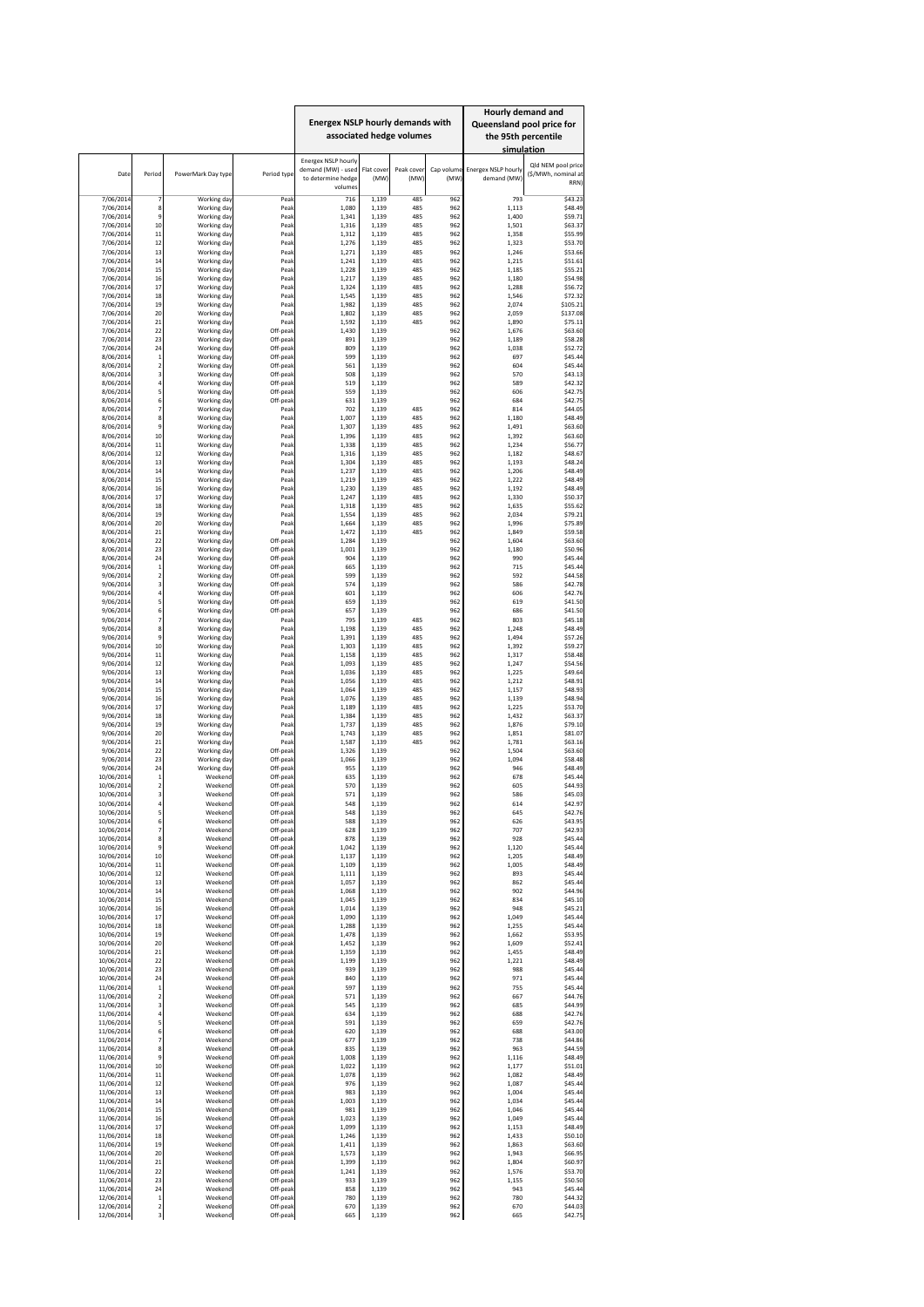|                          |                                |                            |                      |                                                                     |                |            |            | Hourly demand and<br>Queensland pool price for |                                           |
|--------------------------|--------------------------------|----------------------------|----------------------|---------------------------------------------------------------------|----------------|------------|------------|------------------------------------------------|-------------------------------------------|
|                          |                                |                            |                      | <b>Energex NSLP hourly demands with</b><br>associated hedge volumes |                |            |            |                                                |                                           |
|                          |                                |                            |                      |                                                                     |                |            |            | the 95th percentile<br>simulation              |                                           |
|                          |                                |                            |                      | Energex NSLP hourly                                                 |                |            |            |                                                |                                           |
| Date                     | Period                         | PowerMark Day type         | Period type          | demand (MW) - used                                                  | Flat cover     | Peak cover | Cap volume | Energex NSLP hourly                            | Qld NEM pool price<br>(\$/MWh, nominal at |
|                          |                                |                            |                      | to determine hedge<br>volume                                        | (MW)           | (MW)       | (MW)       | demand (MW)                                    | <b>RRN1</b>                               |
| 7/06/2014                |                                | Working day                | Peal                 | 716                                                                 | 1,139          | 485        | 962        | 793                                            | \$43.23                                   |
| 7/06/2014<br>7/06/2014   | 8<br>9                         | Working day<br>Working day | Peal<br>Peak         | 1,080<br>1.341                                                      | 1,139<br>1,139 | 485<br>485 | 962<br>962 | 1,113<br>1,400                                 | \$48.49<br>\$59.71                        |
| 7/06/2014                | 10                             | Working day                | Peak                 | 1.316                                                               | 1.139          | 485        | 962        | 1.501                                          | \$63.37                                   |
| 7/06/2014<br>7/06/2014   | 11<br>12                       | Working day<br>Working day | Peal<br>Peal         | 1,312<br>1,276                                                      | 1,139<br>1,139 | 485<br>485 | 962<br>962 | 1,358<br>1,323                                 | \$55.99<br>\$53.70                        |
| 7/06/2014<br>7/06/2014   | 13<br>14                       | Working day                | Peak<br>Peak         | 1,271<br>1.241                                                      | 1,139<br>1.139 | 485<br>485 | 962<br>962 | 1,246                                          | \$53.66<br>\$51.61                        |
| 7/06/2014                | 15                             | Working day<br>Working day | Peak                 | 1,228                                                               | 1,139          | 485        | 962        | 1,215<br>1,185                                 | \$55.21                                   |
| 7/06/2014<br>7/06/2014   | 16<br>17                       | Working day<br>Working day | Peak<br>Peak         | 1,217<br>1,324                                                      | 1,139<br>1,139 | 485<br>485 | 962<br>962 | 1,180<br>1,288                                 | \$54.98<br>\$56.72                        |
| 7/06/2014                | 18                             | Working day                | Peak                 | 1.545                                                               | 1,139          | 485        | 962        | 1.546                                          | \$72.32                                   |
| 7/06/2014<br>7/06/2014   | 19<br>20                       | Working day<br>Working day | Peak<br>Peak         | 1.982<br>1,802                                                      | 1.139<br>1,139 | 485<br>485 | 962<br>962 | 2.074<br>2,059                                 | \$105.21<br>\$137.08                      |
| 7/06/2014                | 21                             | Working day                | Peal                 | 1,592                                                               | 1,139          | 485        | 962        | 1,890                                          | \$75.11                                   |
| 7/06/2014<br>7/06/2014   | 22<br>23                       | Working day<br>Working day | Off-peal<br>Off-peal | 1,430<br>891                                                        | 1,139<br>1.139 |            | 962<br>962 | 1,676<br>1.189                                 | \$63.60<br>\$58.28                        |
| 7/06/2014<br>8/06/2014   | 24<br>$\mathbf{1}$             | Working day<br>Working day | Off-peak<br>Off-peal | 809<br>599                                                          | 1,139<br>1,139 |            | 962<br>962 | 1,038<br>697                                   | \$52.72<br>\$45.44                        |
| 8/06/2014                | $\overline{\mathbf{c}}$        | Working day                | Off-peak             | 561                                                                 | 1,139          |            | 962        | 604                                            | \$45.44                                   |
| 8/06/2014<br>8/06/2014   | 3<br>4                         | Working day<br>Working day | Off-peal<br>Off-peal | 508<br>519                                                          | 1.139<br>1,139 |            | 962<br>962 | 570<br>589                                     | \$43.13<br>\$42.32                        |
| 8/06/2014                | 5                              | Working day                | Off-peal             | 559                                                                 | 1,139          |            | 962        | 606                                            | \$42.75                                   |
| 8/06/2014<br>8/06/2014   | 6<br>7                         | Working day<br>Working day | Off-peal<br>Peak     | 631<br>702                                                          | 1,139<br>1.139 | 485        | 962<br>962 | 684<br>814                                     | \$42.75<br>\$44.05                        |
| 8/06/2014<br>8/06/2014   | 8<br>9                         | Working day                | Peak<br>Peal         | 1,007<br>1,307                                                      | 1,139<br>1,139 | 485<br>485 | 962<br>962 | 1,180<br>1,491                                 | \$48.49<br>\$63.60                        |
| 8/06/2014                | 10                             | Working day<br>Working day | Peak                 | 1,396                                                               | 1,139          | 485        | 962        | 1,392                                          | \$63.60                                   |
| 8/06/2014<br>8/06/2014   | 11<br>12                       | Working day<br>Working day | Peak<br>Peak         | 1.338<br>1,316                                                      | 1,139<br>1,139 | 485<br>485 | 962<br>962 | 1.234<br>1,182                                 | \$56.77<br>\$48.67                        |
| 8/06/2014                | 13                             | Working day                | Peal                 | 1,304                                                               | 1,139          | 485        | 962        | 1,193                                          | \$48.24                                   |
| 8/06/2014<br>8/06/2014   | 14<br>15                       | Working day<br>Working day | Peak<br>Peak         | 1,237<br>1.219                                                      | 1,139<br>1.139 | 485<br>485 | 962<br>962 | 1,206<br>1.222                                 | \$48.49<br>\$48.49                        |
| 8/06/2014                | 16                             | Working day                | Peak                 | 1,230                                                               | 1,139          | 485        | 962        | 1,192                                          | \$48.49                                   |
| 8/06/2014<br>8/06/2014   | 17<br>18                       | Working day<br>Working day | Peak<br>Peal         | 1,247<br>1,318                                                      | 1,139<br>1,139 | 485<br>485 | 962<br>962 | 1,330<br>1,635                                 | \$50.37<br>\$55.62                        |
| 8/06/2014<br>8/06/2014   | 19<br>20                       | Working day<br>Working day | Peak<br>Peal         | 1,554<br>1.664                                                      | 1,139<br>1.139 | 485<br>485 | 962<br>962 | 2,034<br>1.996                                 | \$79.21<br>\$75.89                        |
| 8/06/2014                | $\overline{21}$                | Working day                | Peal                 | 1,472                                                               | 1,139          | 485        | 962        | 1,849                                          | \$59.58                                   |
| 8/06/2014<br>8/06/2014   | 22<br>23                       | Working day<br>Working day | Off-peal<br>Off-peak | 1,284<br>1,001                                                      | 1,139<br>1,139 |            | 962<br>962 | 1,604<br>1,180                                 | \$63.60<br>\$50.96                        |
| 8/06/2014                | 24                             | Working day                | Off-peak             | 904                                                                 | 1.139          |            | 962        | 990                                            | \$45.44                                   |
| 9/06/2014<br>9/06/2014   | $\mathbf 1$<br>2               | Working day<br>Working day | Off-peak<br>Off-peak | 665<br>599                                                          | 1,139<br>1,139 |            | 962<br>962 | 715<br>592                                     | \$45.44<br>\$44.58                        |
| 9/06/2014                | 3                              | Working day                | Off-peak             | 574                                                                 | 1,139          |            | 962        | 586                                            | \$42.78                                   |
| 9/06/2014<br>9/06/2014   | 4<br>5                         | Working day<br>Working day | Off-peal<br>Off-peal | 601<br>659                                                          | 1.139<br>1,139 |            | 962<br>962 | 606<br>619                                     | \$42.76<br>\$41.50                        |
| 9/06/2014<br>9/06/2014   | 6<br>7                         | Working day                | Off-peal<br>Peak     | 657<br>795                                                          | 1,139<br>1,139 | 485        | 962<br>962 | 686<br>803                                     | \$41.50<br>\$45.18                        |
| 9/06/2014                | 8                              | Working day<br>Working day | Peak                 | 1.198                                                               | 1.139          | 485        | 962        | 1.248                                          | \$48.49                                   |
| 9/06/2014<br>9/06/2014   | 9<br>10                        | Working day<br>Working day | Peak<br>Peal         | 1,391<br>1,303                                                      | 1,139<br>1,139 | 485<br>485 | 962<br>962 | 1,494<br>1,392                                 | \$57.26<br>\$59.27                        |
| 9/06/2014                | 11                             | Working day                | Peak                 | 1,158                                                               | 1,139          | 485        | 962        | 1,317                                          | \$58.48                                   |
| 9/06/2014<br>9/06/2014   | 12<br>13                       | Working day<br>Working day | Peak<br>Peal         | 1.093<br>1,036                                                      | 1.139<br>1,139 | 485<br>485 | 962<br>962 | 1.247<br>1,225                                 | \$54.56<br>\$49.64                        |
| 9/06/2014                | 14<br>15                       | Working day                | Peal<br>Peak         | 1,056<br>1,064                                                      | 1,139          | 485<br>485 | 962<br>962 | 1,212                                          | \$48.91<br>\$48.93                        |
| 9/06/2014<br>9/06/2014   | 16                             | Working day<br>Working day | Peak                 | 1,076                                                               | 1,139<br>1,139 | 485        | 962        | 1,157<br>1,139                                 | \$48.94                                   |
| 9/06/2014<br>9/06/2014   | 17<br>18                       | Working day<br>Working day | Peak<br>Peak         | 1.189<br>1,384                                                      | 1.139<br>1,139 | 485<br>485 | 962<br>962 | 1.225<br>1,432                                 | \$53.70<br>\$63.37                        |
| 9/06/2014                | 19                             | Working day                | Peak                 | 1,737                                                               | 1,139          | 485        | 962        | 1,876                                          | \$79.10                                   |
| 9/06/2014<br>9/06/2014   | 20<br>21                       | Working day<br>Working day | Peal<br>Peak         | 1,743<br>1,587                                                      | 1,139<br>1.139 | 485<br>485 | 962<br>962 | 1,851<br>1.781                                 | \$81.07<br>\$63.16                        |
| 9/06/2014<br>9/06/2014   | $_{22}$<br>23                  | Working day<br>Working day | Off-peal<br>Off-peal | 1,326<br>1,066                                                      | 1,139<br>1,139 |            | 962<br>962 | 1,504<br>1,094                                 | \$63.60<br>\$58.48                        |
| 9/06/2014                | 24                             | Working day                | Off-peal             | 955                                                                 | 1,139          |            | 962        | 946                                            | \$48.49                                   |
| 10/06/2014<br>10/06/2014 | -1<br>2                        | Weekend<br>Weekend         | Off-peal<br>Off-peak | 635<br>570                                                          | 1.139<br>1,139 |            | 962<br>962 | 678<br>605                                     | \$45.44<br>\$44.93                        |
| 10/06/2014               | 3                              | Weekend                    | Off-peak             | 571                                                                 | 1,139          |            | 962        | 586                                            | \$45.03                                   |
| 10/06/2014<br>10/06/2014 | 5                              | Weekend<br>Weekend         | Off-peal<br>Off-peal | 548<br>548                                                          | 1,139<br>1.139 |            | 962<br>962 | 614<br>645                                     | \$42.97<br>\$42.76                        |
| 10/06/2014               | 6                              | Weekend<br>Weekend         | Off-peal             | 588                                                                 | 1,139          |            | 962        | 626                                            | \$43.95                                   |
| 10/06/2014<br>10/06/2014 | 7<br>8                         | Weekend                    | Off-peal<br>Off-peak | 628<br>878                                                          | 1,139<br>1,139 |            | 962<br>962 | 707<br>928                                     | \$42.93<br>\$45.44                        |
| 10/06/2014<br>10/06/2014 | 9<br>10                        | Weekend<br>Weekend         | Off-peak<br>Off-peak | 1,042<br>1,137                                                      | 1,139<br>1,139 |            | 962<br>962 | 1,120<br>1,205                                 | \$45.44<br>\$48.49                        |
| 10/06/2014               | 11                             | Weekend                    | Off-peak             | 1,109                                                               | 1,139          |            | 962        | 1,005                                          | \$48.49                                   |
| 10/06/2014<br>10/06/2014 | 12<br>13                       | Weekend<br>Weekend         | Off-peak<br>Off-peak | 1,111<br>1,057                                                      | 1,139<br>1,139 |            | 962<br>962 | 893<br>862                                     | \$45.44<br>\$45.44                        |
| 10/06/2014<br>10/06/2014 | 14                             | Weekend                    | Off-peak             | 1,068                                                               | 1,139          |            | 962        | 902                                            | \$44.96                                   |
| 10/06/2014               | 15<br>16                       | Weekend<br>Weekend         | Off-peal<br>Off-peal | 1,045<br>1,014                                                      | 1,139<br>1,139 |            | 962<br>962 | 834<br>948                                     | \$45.10<br>\$45.21                        |
| 10/06/2014<br>10/06/2014 | 17<br>18                       | Weekend<br>Weekend         | Off-peak<br>Off-peak | 1,090<br>1,288                                                      | 1,139<br>1,139 |            | 962<br>962 | 1,049<br>1,255                                 | \$45.44<br>\$45.44                        |
| 10/06/2014               | 19                             | Weekend                    | Off-peak             | 1,478                                                               | 1,139          |            | 962        | 1,662                                          | \$53.95                                   |
| 10/06/2014<br>10/06/2014 | 20<br>21                       | Weekend<br>Weekend         | Off-peak<br>Off-peak | 1,452<br>1,359                                                      | 1,139<br>1,139 |            | 962<br>962 | 1,609<br>1,455                                 | \$52.41<br>\$48.49                        |
| 10/06/2014<br>10/06/2014 | 22<br>23                       | Weekend<br>Weekend         | Off-peak<br>Off-peak | 1,199<br>939                                                        | 1,139<br>1,139 |            | 962<br>962 | 1,221<br>988                                   | \$48.49<br>\$45.44                        |
| 10/06/2014               | 24                             | Weekend                    | Off-peal             | 840                                                                 | 1,139          |            | 962        | 971                                            | \$45.44                                   |
| 11/06/2014<br>11/06/2014 | $\mathbf{1}$<br>$\overline{2}$ | Weekend<br>Weekend         | Off-peak<br>Off-peak | 597<br>571                                                          | 1,139<br>1,139 |            | 962<br>962 | 755<br>667                                     | \$45.44<br>\$44.76                        |
| 11/06/2014               | 3                              | Weekend                    | Off-peak             | 545                                                                 | 1,139          |            | 962        | 685                                            | \$44.99                                   |
| 11/06/2014<br>11/06/2014 | 4<br>5                         | Weekend<br>Weekend         | Off-peak<br>Off-peak | 634<br>591                                                          | 1,139<br>1,139 |            | 962<br>962 | 688<br>659                                     | \$42.76<br>\$42.76                        |
| 11/06/2014<br>11/06/2014 | 6<br>7                         | Weekend<br>Weekend         | Off-peak<br>Off-peal | 620<br>677                                                          | 1,139<br>1,139 |            | 962<br>962 | 688<br>738                                     | \$43.00<br>\$44.86                        |
| 11/06/2014               | 8                              | Weekend                    | Off-peal             | 835                                                                 | 1,139          |            | 962        | 963                                            | \$44.59                                   |
| 11/06/2014<br>11/06/2014 | 9<br>10                        | Weekend<br>Weekend         | Off-peal<br>Off-peal | 1,008<br>1,022                                                      | 1,139<br>1,139 |            | 962<br>962 | 1,116<br>1,177                                 | \$48.49<br>\$51.01                        |
| 11/06/2014               | 11                             | Weekend                    | Off-peak             | 1,078                                                               | 1,139          |            | 962        | 1,082                                          | \$48.49                                   |
| 11/06/2014<br>11/06/2014 | 12<br>13                       | Weekend<br>Weekend         | Off-peak<br>Off-peak | 976<br>983                                                          | 1,139<br>1,139 |            | 962<br>962 | 1,087<br>1,004                                 | \$45.44<br>\$45.44                        |
| 11/06/2014               | 14<br>15                       | Weekend<br>Weekend         | Off-peak             | 1,003<br>981                                                        | 1,139          |            | 962<br>962 | 1,034<br>1,046                                 | \$45.44<br>\$45.44                        |
| 11/06/2014<br>11/06/2014 | 16                             | Weekend                    | Off-peal<br>Off-peal | 1,023                                                               | 1,139<br>1,139 |            | 962        | 1,049                                          | \$45.44                                   |
| 11/06/2014<br>11/06/2014 | 17<br>18                       | Weekend<br>Weekend         | Off-peal<br>Off-peak | 1,099<br>1,246                                                      | 1,139<br>1,139 |            | 962<br>962 | 1,153<br>1,433                                 | \$48.49<br>\$50.10                        |
| 11/06/2014               | 19                             | Weekend                    | Off-peak             | 1,411                                                               | 1,139          |            | 962        | 1,863                                          | \$63.60                                   |
| 11/06/2014<br>11/06/2014 | 20<br>21                       | Weekend<br>Weekend         | Off-peak<br>Off-peak | 1,573<br>1,399                                                      | 1,139<br>1,139 |            | 962<br>962 | 1,943<br>1,804                                 | \$66.95<br>\$60.97                        |
| 11/06/2014<br>11/06/2014 | 22<br>23                       | Weekend<br>Weekend         | Off-peak<br>Off-peak | 1,241<br>933                                                        | 1,139<br>1,139 |            | 962<br>962 | 1,576<br>1,155                                 | \$53.70<br>\$50.50                        |
| 11/06/2014               | 24                             | Weekend                    | Off-peak             | 858                                                                 | 1,139          |            | 962        | 943                                            | \$45.44                                   |
| 12/06/2014<br>12/06/2014 | 1<br>2                         | Weekend<br>Weekend         | Off-peal<br>Off-peak | 780<br>670                                                          | 1,139<br>1,139 |            | 962<br>962 | 780<br>670                                     | \$44.32<br>\$44.03                        |
| 12/06/2014               | 3                              | Weekend                    | Off-peak             | 665                                                                 | 1,139          |            | 962        | 665                                            | \$42.75                                   |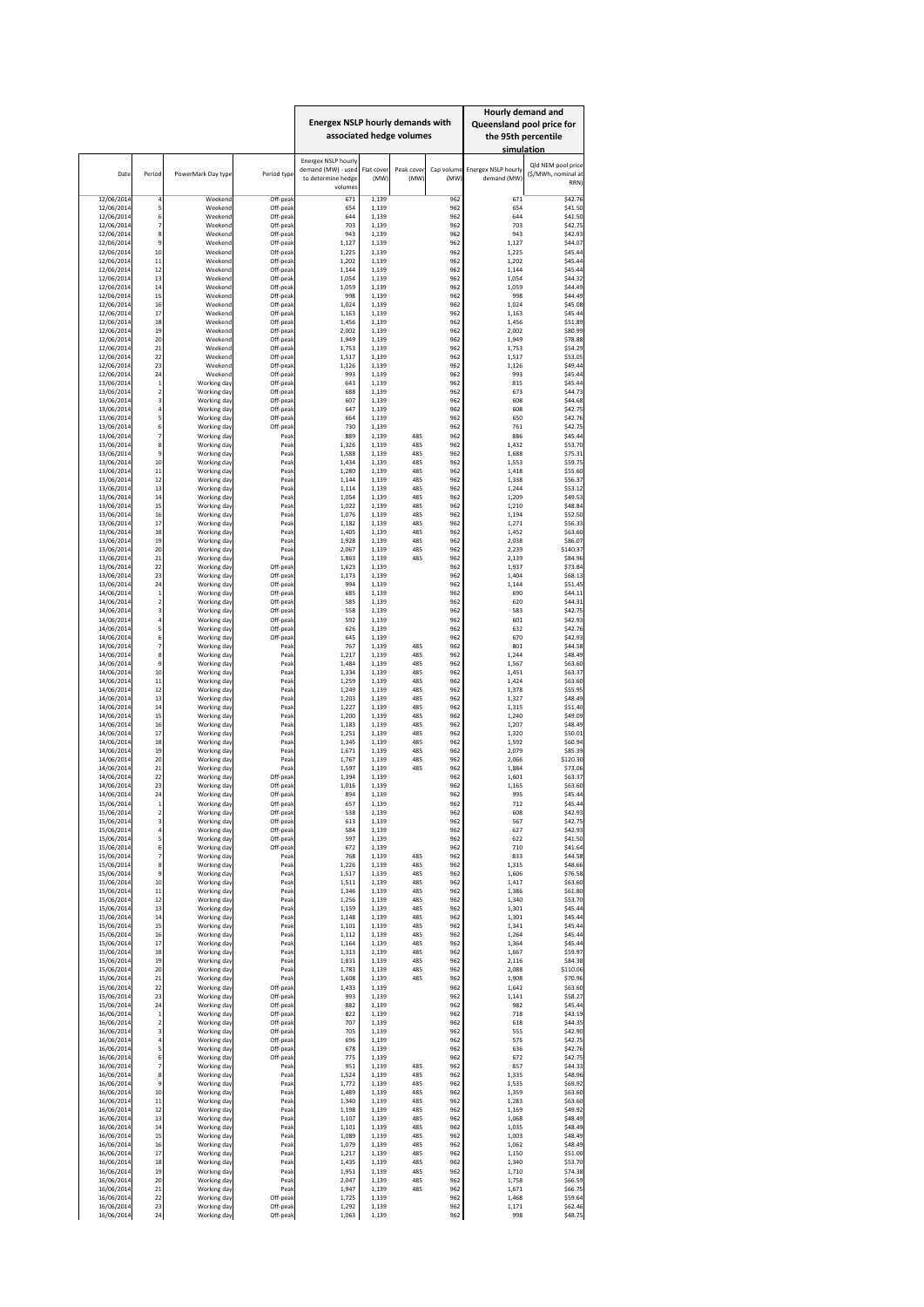|                          |                                                    |                            |                      |                                           |                |                          | Hourly demand and |                           |                     |
|--------------------------|----------------------------------------------------|----------------------------|----------------------|-------------------------------------------|----------------|--------------------------|-------------------|---------------------------|---------------------|
|                          |                                                    |                            |                      | <b>Energex NSLP hourly demands with</b>   |                |                          |                   | Queensland pool price for |                     |
|                          |                                                    |                            |                      |                                           |                | associated hedge volumes |                   | the 95th percentile       |                     |
|                          |                                                    |                            |                      |                                           |                |                          |                   | simulation                |                     |
|                          |                                                    |                            |                      | Energex NSLP hourly<br>demand (MW) - used | Flat cover     | Peak cover               | Cap volume        | Energex NSLP hourly       | Qld NEM pool price  |
| Date                     | Period                                             | PowerMark Day type         | Period type          | to determine hedge                        | (MW)           | (MW)                     | (MW               | demand (MW)               | (\$/MWh, nominal at |
|                          |                                                    |                            |                      | volume:                                   |                |                          |                   |                           | <b>RRN</b>          |
| 12/06/2014               | 4                                                  | Weekend<br>Weekend         | Off-peal             | 671                                       | 1,139          |                          | 962<br>962        | 671<br>654                | \$42.76             |
| 12/06/2014<br>12/06/2014 | 5<br>6                                             | Weekend                    | Off-peal<br>Off-peak | 654<br>644                                | 1,139<br>1,139 |                          | 962               | 644                       | \$41.50<br>\$41.50  |
| 12/06/2014               | $\overline{7}$                                     | Weekend                    | Off-peal             | 703                                       | 1,139          |                          | 962               | 703                       | \$42.75             |
| 12/06/2014<br>12/06/2014 | 8<br>ś                                             | Weekend<br>Weekend         | Off-peal<br>Off-peal | 943<br>1,127                              | 1.139<br>1,139 |                          | 962<br>962        | 943<br>1,127              | \$42.93<br>\$44.07  |
| 12/06/2014               | 10                                                 | Weekend                    | Off-peal             | 1,225                                     | 1,139          |                          | 962               | 1,225                     | \$45.44             |
| 12/06/2014               | 11                                                 | Weekend                    | Off-peal             | 1,202                                     | 1,139          |                          | 962               | 1,202                     | \$45.44             |
| 12/06/2014<br>12/06/2014 | 12<br>13                                           | Weekend<br>Weekend         | Off-peal<br>Off-peal | 1.144<br>1,054                            | 1.139<br>1,139 |                          | 962<br>962        | 1,144<br>1,054            | \$45.44<br>\$44.32  |
| 12/06/2014               | 14                                                 | Weekend                    | Off-peak             | 1,059                                     | 1,139          |                          | 962               | 1,059                     | \$44.49             |
| 12/06/2014<br>12/06/2014 | 15<br>16                                           | Weekend<br>Weekend         | Off-peal<br>Off-peal | 998<br>1,024                              | 1,139<br>1,139 |                          | 962<br>962        | 998<br>1,024              | \$44.49<br>\$45.08  |
| 12/06/2014               | 17                                                 | Weekend                    | Off-peal             | 1.163                                     | 1.139          |                          | 962               | 1.163                     | \$45.44             |
| 12/06/2014<br>12/06/2014 | 18<br>19                                           | Weekend<br>Weekend         | Off-peal<br>Off-peal | 1,456<br>2,002                            | 1,139<br>1,139 |                          | 962<br>962        | 1,456<br>2,002            | \$51.89<br>\$80.99  |
| 12/06/2014               | 20                                                 | Weekend                    | Off-peal             | 1,949                                     | 1,139          |                          | 962               | 1,949                     | \$78.88             |
| 12/06/2014               | 21                                                 | Weekend<br>Weekend         | Off-peal             | 1.753                                     | 1.139          |                          | 962<br>962        | 1,753                     | \$54.29             |
| 12/06/2014<br>12/06/2014 | 22<br>23                                           | Weekend                    | Off-peal<br>Off-peak | 1,517<br>1,126                            | 1,139<br>1,139 |                          | 962               | 1,517<br>1,126            | \$53.05<br>\$49.44  |
| 12/06/2014               | 24                                                 | Weekend                    | Off-peal             | 993                                       | 1,139          |                          | 962               | 993                       | \$45.44             |
| 13/06/2014<br>13/06/2014 | $\overline{1}$<br>$\overline{\mathbf{2}}$          | Working day<br>Working day | Off-peal<br>Off-peal | 643<br>688                                | 1.139<br>1,139 |                          | 962<br>962        | 815<br>673                | \$45.44<br>\$44.73  |
| 13/06/2014               | 3                                                  | Working day                | Off-peal             | 607                                       | 1,139          |                          | 962               | 608                       | \$44.68             |
| 13/06/2014<br>13/06/2014 | 4<br>5                                             | Working day<br>Working day | Off-peal<br>Off-peal | 647<br>664                                | 1,139<br>1.139 |                          | 962<br>962        | 608<br>650                | \$42.75<br>\$42.76  |
| 13/06/2014               | 6                                                  | Working day                | Off-peak             | 730                                       | 1,139          |                          | 962               | 761                       | \$42.75             |
| 13/06/2014               | $\overline{7}$<br>8                                | Working day                | Peal                 | 889                                       | 1,139          | 485                      | 962<br>962        | 886                       | \$45.44             |
| 13/06/2014<br>13/06/2014 | $\overline{9}$                                     | Working day<br>Working day | Peal<br>Peak         | 1,326<br>1,588                            | 1,139<br>1,139 | 485<br>485               | 962               | 1,432<br>1.688            | \$53.70<br>\$75.31  |
| 13/06/2014               | 10                                                 | Working day                | Peal                 | 1,434                                     | 1,139          | 485                      | 962               | 1,553                     | \$59.75             |
| 13/06/2014<br>13/06/2014 | 11<br>12                                           | Working day<br>Working day | Peal<br>Peal         | 1,280<br>1,144                            | 1,139<br>1,139 | 485<br>485               | 962<br>962        | 1,418<br>1,338            | \$55.60<br>\$56.37  |
| 13/06/2014               | 13                                                 | Working day                | Peal                 | 1.114                                     | 1.139          | 485                      | 962               | 1,244                     | \$53.12             |
| 13/06/2014<br>13/06/2014 | 14<br>15                                           | Working day<br>Working day | Peal<br>Peal         | 1.054<br>1,022                            | 1.139<br>1,139 | 485<br>485               | 962<br>962        | 1.209<br>1,210            | \$49.53<br>\$48.84  |
| 13/06/2014               | 16                                                 | Working day                | Peal                 | 1,076                                     | 1,139          | 485                      | 962               | 1,194                     | \$52.50             |
| 13/06/2014<br>13/06/2014 | 17<br>18                                           | Working day<br>Working day | Peal<br>Peal         | 1,182<br>1.405                            | 1,139<br>1.139 | 485<br>485               | 962<br>962        | 1,271<br>1,452            | \$56.33<br>\$63.60  |
| 13/06/2014               | 19                                                 | Working day                | Peal                 | 1,928                                     | 1,139          | 485                      | 962               | 2,038                     | \$86.07             |
| 13/06/2014               | 20                                                 | Working day                | Peal                 | 2,067                                     | 1,139          | 485                      | 962               | 2,239                     | \$140.3             |
| 13/06/2014<br>13/06/2014 | 21<br>22                                           | Working day<br>Working day | Peal<br>Off-peak     | 1,863<br>1.623                            | 1,139<br>1.139 | 485                      | 962<br>962        | 2,139<br>1,937            | \$84.96<br>\$73.84  |
| 13/06/2014               | 23                                                 | Working day                | Off-peal             | 1,173                                     | 1,139          |                          | 962               | 1,404                     | \$68.13             |
| 13/06/2014               | 24<br>$\mathbf{1}$                                 | Working day                | Off-peak<br>Off-peal | 994<br>685                                | 1,139<br>1,139 |                          | 962<br>962        | 1,144<br>690              | \$51.45<br>\$44.11  |
| 14/06/2014<br>14/06/2014 | $\overline{2}$                                     | Working day<br>Working day | Off-peal             | 585                                       | 1.139          |                          | 962               | 620                       | \$44.31             |
| 14/06/2014               | 3                                                  | Working day                | Off-peal             | 558                                       | 1,139          |                          | 962               | 583                       | \$42.75             |
| 14/06/2014<br>14/06/2014 | 4<br>5                                             | Working day<br>Working day | Off-peal<br>Off-peal | 592<br>626                                | 1,139<br>1,139 |                          | 962<br>962        | 601<br>632                | \$42.9<br>\$42.76   |
| 14/06/2014               | 6                                                  | Working day                | Off-peal             | 645                                       | 1.139          |                          | 962               | 670                       | \$42.93             |
| 14/06/2014<br>14/06/2014 | 7<br>8                                             | Working day<br>Working day | Peal<br>Peal         | 767<br>1,217                              | 1,139<br>1,139 | 485<br>485               | 962<br>962        | 801<br>1,244              | \$44.58<br>\$48.49  |
| 14/06/2014               | q                                                  | Working day                | Peal                 | 1,484                                     | 1,139          | 485                      | 962               | 1,567                     | \$63.60             |
| 14/06/2014<br>14/06/2014 | 10<br>11                                           | Working day<br>Working day | Peal<br>Peal         | 1.334<br>1,259                            | 1.139<br>1,139 | 485<br>485               | 962<br>962        | 1.451<br>1,424            | \$63.37<br>\$63.60  |
| 14/06/2014               | 12                                                 | Working day                | Peal                 | 1,249                                     | 1,139          | 485                      | 962               | 1,378                     | \$55.95             |
| 14/06/2014               | 13<br>14                                           | Working day                | Peal                 | 1,203                                     | 1,139          | 485<br>485               | 962<br>962        | 1,327                     | \$48.49             |
| 14/06/2014<br>14/06/2014 | 15                                                 | Working day<br>Working day | Peal<br>Peak         | 1,227<br>1.200                            | 1,139<br>1.139 | 485                      | 962               | 1,315<br>1,240            | \$51.40<br>\$49.09  |
| 14/06/2014               | 16                                                 | Working day                | Peak                 | 1,183                                     | 1,139          | 485                      | 962               | 1,207                     | \$48.49             |
| 14/06/2014<br>14/06/2014 | 17<br>18                                           | Working day<br>Working day | Peal<br>Peal         | 1,251<br>1,345                            | 1,139<br>1,139 | 485<br>485               | 962<br>962        | 1,320<br>1,592            | \$50.01<br>\$60.94  |
| 14/06/2014               | 19                                                 | Working day                | Peak                 | 1,671                                     | 1.139          | 485                      | 962               | 2,079                     | \$85.39             |
| 14/06/2014<br>14/06/2014 | 20<br>21                                           | Working day<br>Working day | Peak<br>Peal         | 1,767<br>1,597                            | 1,139<br>1,139 | 485<br>485               | 962<br>962        | 2,066<br>1,884            | \$120.30<br>\$73.06 |
| 14/06/2014               | 22                                                 | Working day                | Off-peal             | 1,394                                     | 1,139          |                          | 962               | 1,601                     | \$63.37             |
| 14/06/2014<br>14/06/2014 | 23<br>24                                           | Working day<br>Working day | Off-peal<br>Off-peak | 1.016<br>894                              | 1.139<br>1,139 |                          | 962<br>962        | 1.165<br>995              | \$63.60<br>\$45.44  |
| 15/06/2014               |                                                    | Working day                | Off-pea              | 657                                       | 1,139          |                          | 962               | 712                       | \$45.44             |
| 15/06/2014<br>15/06/2014 | $\overline{\mathbf{2}}$<br>$\overline{\mathbf{3}}$ | Working day                | Off-peak             | 538<br>613                                | 1,139<br>1.139 |                          | 962<br>962        | 608<br>567                | \$42.93<br>\$42.75  |
| 15/06/2014               | 4                                                  | Working day<br>Working day | Off-peak<br>Off-peak | 584                                       | 1,139          |                          | 962               | 627                       | \$42.93             |
| 15/06/2014               | 5                                                  | Working day                | Off-peak             | 597                                       | 1,139          |                          | 962               | 622                       | \$41.50             |
| 15/06/2014<br>15/06/2014 | 6<br>$\overline{7}$                                | Working day<br>Working day | Off-peak<br>Peak     | 672<br>768                                | 1,139<br>1,139 | 485                      | 962<br>962        | 710<br>833                | \$41.64<br>\$44.58  |
| 15/06/2014               | 8                                                  | Working day                | Peak                 | 1,226                                     | 1,139          | 485                      | 962               | 1,315                     | \$48.66             |
| 15/06/2014<br>15/06/2014 | 9<br>10                                            | Working day<br>Working day | Peak<br>Peak         | 1,517<br>1,511                            | 1,139<br>1,139 | 485<br>485               | 962<br>962        | 1,606<br>1,417            | \$76.58<br>\$63.60  |
| 15/06/2014               | 11                                                 | Working day                | Peak                 | 1,346                                     | 1,139          | 485                      | 962               | 1,386                     | \$61.80             |
| 15/06/2014<br>15/06/2014 | 12<br>13                                           | Working day<br>Working day | Peak<br>Peak         | 1,256<br>1,159                            | 1,139<br>1,139 | 485<br>485               | 962<br>962        | 1,340<br>1,301            | \$53.70<br>\$45.44  |
| 15/06/2014               | 14                                                 | Working day                | Peak                 | 1,148                                     | 1,139          | 485                      | 962               | 1,301                     | \$45.44             |
| 15/06/2014<br>15/06/2014 | 15<br>16                                           | Working day                | Peal<br>Peak         | 1,101<br>1.112                            | 1,139<br>1.139 | 485<br>485               | 962<br>962        | 1,341<br>1,264            | \$45.44<br>\$45.44  |
| 15/06/2014               | 17                                                 | Working day<br>Working day | Peak                 | 1,164                                     | 1,139          | 485                      | 962               | 1,364                     | \$45.44             |
| 15/06/2014               | 18                                                 | Working day                | Peak                 | 1,313                                     | 1,139          | 485                      | 962               | 1,667                     | \$59.97             |
| 15/06/2014<br>15/06/2014 | 19<br>20                                           | Working day<br>Working day | Peak<br>Peal         | 1,831<br>1.783                            | 1,139<br>1.139 | 485<br>485               | 962<br>962        | 2,116<br>2,088            | \$84.38<br>\$110.06 |
| 15/06/2014               | 21                                                 | Working day                | Peak                 | 1,608                                     | 1,139          | 485                      | 962               | 1,908                     | \$70.96             |
| 15/06/2014<br>15/06/2014 | 22<br>23                                           | Working day<br>Working day | Off-peak<br>Off-peak | 1,433<br>993                              | 1,139<br>1,139 |                          | 962<br>962        | 1,642<br>1,141            | \$63.60<br>\$58.27  |
| 15/06/2014               | 24                                                 | Working day                | Off-peak             | 882                                       | 1,139          |                          | 962               | 982                       | \$45.44             |
| 16/06/2014<br>16/06/2014 | $\mathbf 1$<br>$\mathbf 2$                         | Working day<br>Working day | Off-peak<br>Off-peak | 822<br>707                                | 1,139<br>1,139 |                          | 962<br>962        | 718<br>618                | \$43.19<br>\$44.35  |
| 16/06/2014               | $\overline{\mathbf{3}}$                            | Working day                | Off-peak             | 705                                       | 1,139          |                          | 962               | 555                       | \$42.90             |
| 16/06/2014<br>16/06/2014 | 4<br>5                                             | Working day<br>Working day | Off-peak<br>Off-peak | 696<br>678                                | 1,139<br>1,139 |                          | 962<br>962        | 575<br>636                | \$42.75<br>\$42.76  |
| 16/06/2014               | 6                                                  | Working day                | Off-peak             | 775                                       | 1,139          |                          | 962               | 672                       | \$42.75             |
| 16/06/2014               | $\overline{7}$                                     | Working day                | Peal                 | 951                                       | 1,139          | 485                      | 962               | 857                       | \$44.33             |
| 16/06/2014<br>16/06/2014 | 8<br>9                                             | Working day<br>Working day | Peal<br>Peak         | 1,524<br>1.772                            | 1,139<br>1.139 | 485<br>485               | 962<br>962        | 1,335<br>1,535            | \$48.96<br>\$69.92  |
| 16/06/2014               | 10                                                 | Working day                | Peak                 | 1,489                                     | 1,139          | 485                      | 962               | 1,359                     | \$63.60             |
| 16/06/2014<br>16/06/2014 | 11<br>12                                           | Working day<br>Working day | Peak<br>Peak         | 1,340<br>1,198                            | 1,139<br>1,139 | 485<br>485               | 962<br>962        | 1,283<br>1,169            | \$63.60<br>\$49.92  |
| 16/06/2014               | 13                                                 | Working day                | Peak                 | 1.107                                     | 1,139          | 485                      | 962               | 1,068                     | \$48.49             |
| 16/06/2014               | 14                                                 | Working day                | Peak                 | 1,101                                     | 1,139          | 485<br>485               | 962               | 1,035                     | \$48.49             |
| 16/06/2014<br>16/06/2014 | 15<br>16                                           | Working day<br>Working day | Peak<br>Peak         | 1,089<br>1,079                            | 1,139<br>1,139 | 485                      | 962<br>962        | 1,003<br>1,062            | \$48.49<br>\$48.49  |
| 16/06/2014               | 17                                                 | Working day                | Peak                 | 1,217                                     | 1,139          | 485                      | 962               | 1,150                     | \$51.00             |
| 16/06/2014<br>16/06/2014 | 18<br>19                                           | Working day<br>Working day | Peak<br>Peak         | 1,435<br>1,951                            | 1,139<br>1,139 | 485<br>485               | 962<br>962        | 1,340<br>1,710            | \$53.70<br>\$74.38  |
| 16/06/2014               | 20                                                 | Working day                | Peak                 | 2,047                                     | 1,139          | 485                      | 962               | 1,758                     | \$66.59             |
| 16/06/2014<br>16/06/2014 | 21<br>22                                           | Working day<br>Working day | Peak<br>Off-peak     | 1.947<br>1,725                            | 1,139<br>1,139 | 485                      | 962<br>962        | 1,671<br>1,468            | \$66.75<br>\$59.64  |
| 16/06/2014               | 23                                                 | Working day                | Off-peak             | 1,292                                     | 1,139          |                          | 962               | 1,171                     | \$62.46             |
| 16/06/2014               | 24                                                 | Working day                | Off-peak             | 1,063                                     | 1,139          |                          | 962               | 998                       | \$48.75             |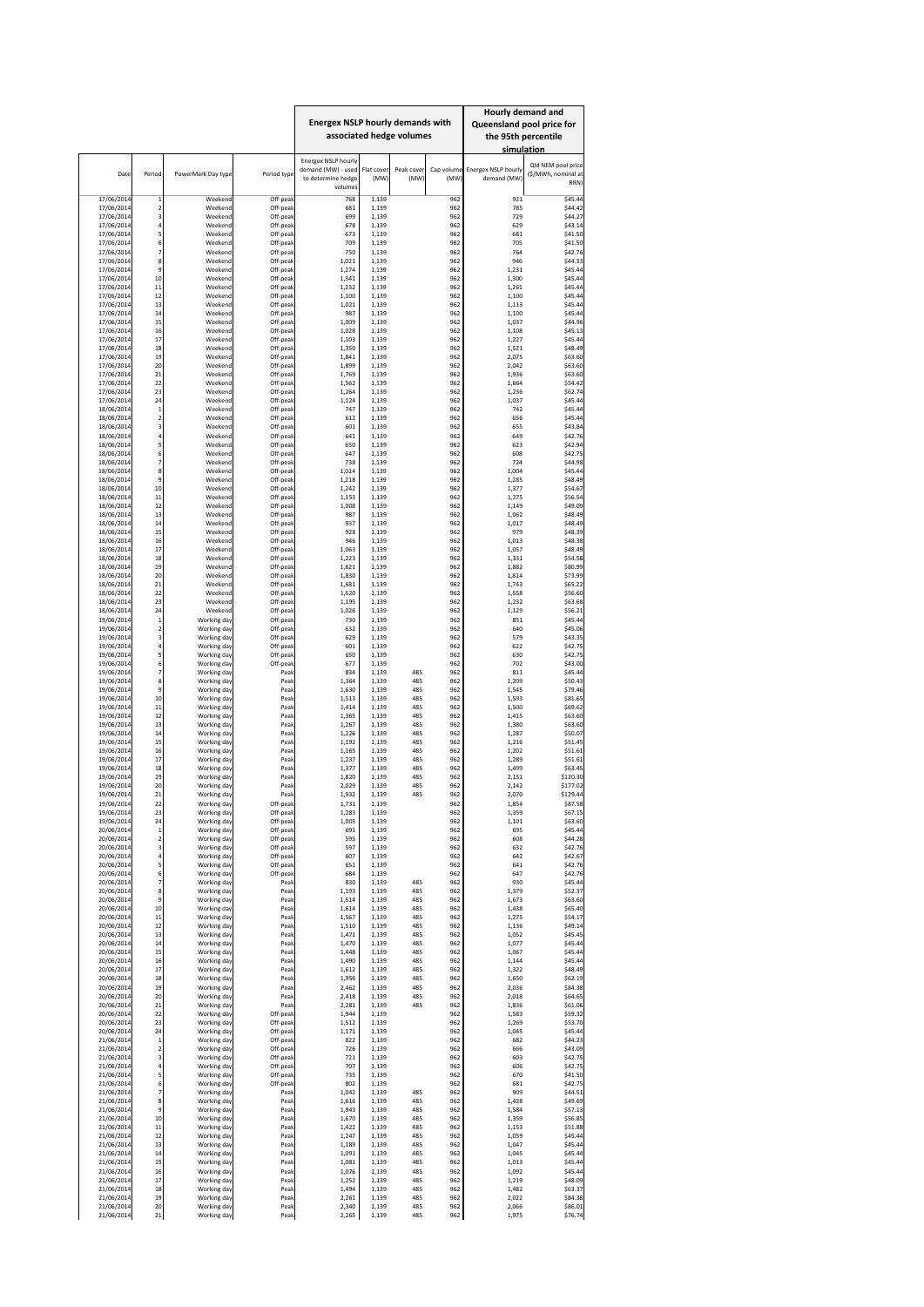|                          |                              |                            |                      |                                         |                | Hourly demand and |                                   |                           |                                           |
|--------------------------|------------------------------|----------------------------|----------------------|-----------------------------------------|----------------|-------------------|-----------------------------------|---------------------------|-------------------------------------------|
|                          |                              |                            |                      | <b>Energex NSLP hourly demands with</b> |                |                   |                                   | Queensland pool price for |                                           |
|                          |                              |                            |                      | associated hedge volumes                |                |                   | the 95th percentile<br>simulation |                           |                                           |
|                          |                              |                            |                      | Energex NSLP hourly                     |                |                   |                                   |                           |                                           |
| Date                     | Period                       | PowerMark Day type         | Period type          | demand (MW) - used                      | Flat cover     | Peak cover        | Cap volume                        | Energex NSLP hourly       | Qld NEM pool price<br>(\$/MWh, nominal at |
|                          |                              |                            |                      | to determine hedge<br>volumes           | (MW)           | (MW)              | (MW                               | demand (MW)               | RRN)                                      |
| 17/06/2014               | $\mathbf{1}$                 | Weekend                    | Off-peal             | 768                                     | 1,139          |                   | 962                               | 921                       | \$45.44                                   |
| 17/06/2014               | $\overline{a}$               | Weekend                    | Off-peal             | 681                                     | 1,139          |                   | 962                               | 785                       | \$44.42                                   |
| 17/06/2014<br>17/06/2014 | 3<br>4                       | Weekend<br>Weekend         | Off-peak<br>Off-peak | 699<br>678                              | 1.139<br>1,139 |                   | 962<br>962                        | 729<br>629                | \$44.27<br>\$43.14                        |
| 17/06/2014               | 5                            | Weekend                    | Off-peak             | 673                                     | 1,139          |                   | 962                               | 681                       | \$41.50                                   |
| 17/06/2014<br>17/06/2014 | 6<br>$\overline{7}$          | Weekend<br>Weekend         | Off-peak<br>Off-peak | 709<br>750                              | 1,139<br>1.139 |                   | 962<br>962                        | 705<br>764                | \$41.50<br>\$42.76                        |
| 17/06/2014               | 8                            | Weekend                    | Off-peak             | 1,021                                   | 1,139          |                   | 962                               | 946                       | \$44.33                                   |
| 17/06/2014<br>17/06/2014 | 9<br>10                      | Weekend<br>Weekend         | Off-peal<br>Off-peal | 1,274<br>1,341                          | 1,139<br>1,139 |                   | 962<br>962                        | 1,231<br>1,300            | \$45.44<br>\$45.44                        |
| 17/06/2014               | 11                           | Weekend                    | Off-peak             | 1,232                                   | 1.139          |                   | 962                               | 1,261                     | \$45.44                                   |
| 17/06/2014<br>17/06/2014 | 12<br>13                     | Weekend<br>Weekend         | Off-peak<br>Off-peal | 1.100<br>1,021                          | 1,139<br>1,139 |                   | 962<br>962                        | 1,100<br>1,113            | \$45.44<br>\$45.44                        |
| 17/06/2014               | 14                           | Weekend                    | Off-peak             | 987                                     | 1,139          |                   | 962                               | 1,100                     | \$45.44                                   |
| 17/06/2014<br>17/06/2014 | 15<br>16                     | Weekend<br>Weekend         | Off-peak<br>Off-peak | 1,009<br>1.028                          | 1,139<br>1.139 |                   | 962<br>962                        | 1,037<br>1.108            | \$44.96<br>\$45.13                        |
| 17/06/2014               | 17                           | Weekend                    | Off-peak             | 1,103                                   | 1,139          |                   | 962                               | 1,227                     | \$45.44                                   |
| 17/06/2014<br>17/06/2014 | 18<br>19                     | Weekend<br>Weekend         | Off-peak<br>Off-peal | 1,350<br>1,841                          | 1,139<br>1,139 |                   | 962<br>962                        | 1,521<br>2,075            | \$48.49<br>\$63.60                        |
| 17/06/2014               | 20                           | Weekend                    | Off-peak             | 1.899                                   | 1.139          |                   | 962                               | 2.042                     | \$63.60                                   |
| 17/06/2014<br>17/06/2014 | 21<br>22                     | Weekend<br>Weekend         | Off-peak<br>Off-peak | 1,769<br>1,562                          | 1,139<br>1,139 |                   | 962<br>962                        | 1,936<br>1,664            | \$63.60<br>\$54.42                        |
| 17/06/2014               | 23                           | Weekend                    | Off-peal             | 1,264                                   | 1,139          |                   | 962                               | 1,236                     | \$62.74                                   |
| 17/06/2014<br>18/06/2014 | 24<br>$\mathbf{1}$           | Weekend<br>Weekend         | Off-peak<br>Off-peal | 1,124<br>747                            | 1.139<br>1,139 |                   | 962<br>962                        | 1,037<br>742              | \$45.44<br>\$45.44                        |
| 18/06/2014               | $\mathbf 2$                  | Weekend<br>Weekend         | Off-peak             | 612                                     | 1,139          |                   | 962                               | 656                       | \$45.44                                   |
| 18/06/2014<br>18/06/2014 | 3<br>4                       | Weekend                    | Off-peak<br>Off-peak | 601<br>641                              | 1,139<br>1.139 |                   | 962<br>962                        | 655<br>649                | \$43.84<br>\$42.76                        |
| 18/06/2014               | 5                            | Weekend                    | Off-peak<br>Off-peak | 650                                     | 1,139          |                   | 962                               | 623                       | \$42.94                                   |
| 18/06/2014<br>18/06/2014 | 6<br>7                       | Weekend<br>Weekend         | Off-peak             | 647<br>738                              | 1,139<br>1,139 |                   | 962<br>962                        | 608<br>724                | \$42.75<br>\$44.98                        |
| 18/06/2014               | 8                            | Weekend                    | Off-peak             | 1,014                                   | 1.139          |                   | 962                               | 1.004                     | \$45.44                                   |
| 18/06/2014<br>18/06/2014 | 9<br>10                      | Weekend<br>Weekend         | Off-peak<br>Off-peak | 1,218<br>1,242                          | 1,139<br>1,139 |                   | 962<br>962                        | 1,285<br>1,377            | \$48.49<br>\$54.67                        |
| 18/06/2014               | 11                           | Weekend                    | Off-peak             | 1,153                                   | 1,139          |                   | 962                               | 1,275                     | \$56.54                                   |
| 18/06/2014<br>18/06/2014 | 12<br>13                     | Weekend<br>Weekend         | Off-peal<br>Off-peak | 1,008<br>987                            | 1,139<br>1.139 |                   | 962<br>962                        | 1,149<br>1.062            | \$49.09<br>\$48.49                        |
| 18/06/2014               | 14                           | Weekend                    | Off-peak             | 937                                     | 1,139          |                   | 962                               | 1,017                     | \$48.49                                   |
| 18/06/2014<br>18/06/2014 | 15<br>16                     | Weekend<br>Weekend         | Off-peak<br>Off-peal | 928<br>946                              | 1,139<br>1,139 |                   | 962<br>962                        | 979<br>1,013              | \$48.39<br>\$48.38                        |
| 18/06/2014               | 17                           | Weekend                    | Off-peak             | 1.063                                   | 1.139          |                   | 962                               | 1.057                     | \$48.49                                   |
| 18/06/2014<br>18/06/2014 | 18<br>19                     | Weekend<br>Weekend         | Off-peak<br>Off-peak | 1,223<br>1,621                          | 1,139<br>1,139 |                   | 962<br>962                        | 1,331<br>1,882            | \$54.58<br>\$80.99                        |
| 18/06/2014               | 20                           | Weekend                    | Off-peak             | 1,830                                   | 1,139          |                   | 962                               | 1,814                     | \$73.99                                   |
| 18/06/2014<br>18/06/2014 | 21<br>22                     | Weekend<br>Weekend         | Off-peak<br>Off-peak | 1.681<br>1,520                          | 1.139<br>1,139 |                   | 962<br>962                        | 1,743<br>1,558            | \$65.22<br>\$56.60                        |
| 18/06/2014               | 23                           | Weekend                    | Off-peak             | 1,195                                   | 1,139          |                   | 962                               | 1,232                     | \$63.68                                   |
| 18/06/2014<br>19/06/2014 | 24<br>$\mathbf{1}$           | Weekend<br>Working day     | Off-peak<br>Off-peak | 1,026<br>730                            | 1,139<br>1.139 |                   | 962<br>962                        | 1,129<br>851              | \$56.21<br>\$45.44                        |
| 19/06/2014               | $\mathbf 2$                  | Working day                | Off-peak             | 632                                     | 1,139          |                   | 962                               | 640                       | \$45.06                                   |
| 19/06/2014<br>19/06/2014 | 3<br>4                       | Working day<br>Working day | Off-peak<br>Off-peal | 629<br>601                              | 1,139<br>1,139 |                   | 962<br>962                        | 579<br>622                | \$43.35<br>\$42.75                        |
| 19/06/2014               | 5                            | Working day                | Off-peak             | 650                                     | 1.139          |                   | 962                               | 630                       | \$42.75                                   |
| 19/06/2014<br>19/06/2014 | 6<br>$\overline{7}$          | Working day<br>Working day | Off-peak<br>Peak     | 677<br>834                              | 1,139<br>1,139 | 485               | 962<br>962                        | 702<br>811                | \$43.00<br>\$45.44                        |
| 19/06/2014<br>19/06/2014 | 8<br>9                       | Working day                | Peak<br>Peak         | 1,364<br>1.630                          | 1,139          | 485<br>485        | 962<br>962                        | 1,209<br>1,545            | \$50.43<br>\$79.46                        |
| 19/06/2014               | 10                           | Working day<br>Working day | Peak                 | 1.513                                   | 1,139<br>1.139 | 485               | 962                               | 1.593                     | \$81.65                                   |
| 19/06/2014               | 11                           | Working day                | Peal                 | 1,414                                   | 1,139          | 485               | 962                               | 1,500                     | \$69.62                                   |
| 19/06/2014<br>19/06/2014 | 12<br>13                     | Working day<br>Working day | Peal<br>Peal         | 1,365<br>1,267                          | 1,139<br>1,139 | 485<br>485        | 962<br>962                        | 1,415<br>1,380            | \$63.60<br>\$63.60                        |
| 19/06/2014               | 14                           | Working day                | Peak                 | 1,226                                   | 1.139          | 485<br>485        | 962<br>962                        | 1,287                     | \$50.07                                   |
| 19/06/2014<br>19/06/2014 | 15<br>16                     | Working day<br>Working day | Peak<br>Peak         | 1,192<br>1,165                          | 1,139<br>1,139 | 485               | 962                               | 1,216<br>1,202            | \$51.45<br>\$51.61                        |
| 19/06/2014               | 17<br>18                     | Working day                | Peak<br>Peak         | 1,237<br>1.377                          | 1,139<br>1.139 | 485<br>485        | 962<br>962                        | 1,289<br>1,499            | \$51.61<br>\$63.45                        |
| 19/06/2014<br>19/06/2014 | 19                           | Working day<br>Working day | Peal                 | 1,820                                   | 1,139          | 485               | 962                               | 2,151                     | \$120.30                                  |
| 19/06/2014               | 20<br>21                     | Working day                | Peal<br>Peak         | 2,029                                   | 1,139          | 485<br>485        | 962<br>962                        | 2,142                     | \$177.02                                  |
| 19/06/2014<br>19/06/2014 | 22                           | Working day<br>Working day | Off-peak             | 1,932<br>1,731                          | 1,139<br>1,139 |                   | 962                               | 2,070<br>1.854            | \$129.44<br>\$87.58                       |
| 19/06/2014               | 23                           | Working day                | Off-peal             | 1,283                                   | 1,139          |                   | 962                               | 1,359                     | \$67.15                                   |
| 19/06/2014<br>20/06/2014 | 24<br>$\mathbf{1}$           | Working day<br>Working day | Off-peak<br>Off-peak | 1,005<br>691                            | 1,139<br>1,139 |                   | 962<br>962                        | 1,101<br>695              | \$63.60<br>\$45.44                        |
| 20/06/2014               | $\overline{\mathbf{2}}$<br>3 | Working day                | Off-peak             | 595<br>597                              | 1,139          |                   | 962<br>962                        | 608                       | \$44.28                                   |
| 20/06/2014<br>20/06/2014 | 4                            | Working day<br>Working day | Off-peak<br>Off-peak | 607                                     | 1,139<br>1,139 |                   | 962                               | 632<br>642                | \$42.76<br>\$42.67                        |
| 20/06/2014<br>20/06/2014 | 5<br>6                       | Working day<br>Working day | Off-peak<br>Off-peak | 651<br>684                              | 1,139<br>1,139 |                   | 962<br>962                        | 641<br>647                | \$42.76<br>\$42.76                        |
| 20/06/2014               | 7                            | Working day                | Peak                 | 830                                     | 1,139          | 485               | 962                               | 930                       | \$45.44                                   |
| 20/06/2014<br>20/06/2014 | 8<br>9                       | Working day<br>Working day | Peak<br>Peak         | 1,193<br>1,514                          | 1,139<br>1,139 | 485<br>485        | 962<br>962                        | 1,379<br>1,673            | \$52.37<br>\$63.60                        |
| 20/06/2014               | 10                           | Working day                | Peak                 | 1,614                                   | 1,139          | 485               | 962                               | 1,438                     | \$65.40                                   |
| 20/06/2014<br>20/06/2014 | 11<br>12                     | Working day<br>Working day | Peak<br>Peak         | 1.567<br>1,510                          | 1.139<br>1,139 | 485<br>485        | 962<br>962                        | 1,275<br>1,136            | \$54.17<br>\$49.14                        |
| 20/06/2014               | 13                           | Working day                | Peak                 | 1,471                                   | 1,139          | 485               | 962                               | 1,052                     | \$45.45                                   |
| 20/06/2014<br>20/06/2014 | 14<br>15                     | Working day<br>Working day | Peak<br>Peak         | 1,470<br>1.448                          | 1,139<br>1.139 | 485<br>485        | 962<br>962                        | 1,077<br>1,067            | \$45.44<br>\$45.44                        |
| 20/06/2014               | 16                           | Working day                | Peak                 | 1,490                                   | 1,139          | 485               | 962                               | 1,144                     | \$45.44                                   |
| 20/06/2014<br>20/06/2014 | 17<br>18                     | Working day<br>Working day | Peak<br>Peak         | 1,612<br>1,956                          | 1,139<br>1,139 | 485<br>485        | 962<br>962                        | 1,322<br>1,650            | \$48.49<br>\$62.19                        |
| 20/06/2014               | 19                           | Working day                | Peak                 | 2.462                                   | 1.139          | 485               | 962                               | 2.036                     | \$84.38                                   |
| 20/06/2014<br>20/06/2014 | 20<br>21                     | Working day<br>Working day | Peal<br>Peak         | 2,418<br>2,281                          | 1,139<br>1,139 | 485<br>485        | 962<br>962                        | 2,018<br>1,836            | \$64.65<br>\$61.06                        |
| 20/06/2014               | 22                           | Working day                | Off-peak             | 1,944                                   | 1,139          |                   | 962                               | 1,583                     | \$59.32                                   |
| 20/06/2014<br>20/06/2014 | 23<br>24                     | Working day<br>Working day | Off-peak<br>Off-peak | 1,512<br>1,171                          | 1.139<br>1,139 |                   | 962<br>962                        | 1,269<br>1,045            | \$53.70<br>\$45.44                        |
| 21/06/2014               | $\mathbf 1$                  | Working day                | Off-peak             | 822                                     | 1,139          |                   | 962                               | 682                       | \$44.23                                   |
| 21/06/2014<br>21/06/2014 | $\mathbf 2$<br>3             | Working day<br>Working day | Off-peak<br>Off-peak | 726<br>721                              | 1,139<br>1.139 |                   | 962<br>962                        | 666<br>603                | \$43.09<br>\$42.75                        |
| 21/06/2014               | 4                            | Working day                | Off-peak             | 707                                     | 1,139          |                   | 962                               | 606                       | \$42.75                                   |
| 21/06/2014               | 5                            | Working day                | Off-peak             | 735<br>802                              | 1,139          |                   | 962<br>962                        | 670<br>681                | \$41.50<br>\$42.75                        |
| 21/06/2014<br>21/06/2014 | 6<br>7                       | Working day<br>Working day | Off-peak<br>Peak     | 1,042                                   | 1,139<br>1,139 | 485               | 962                               | 909                       | \$44.51                                   |
| 21/06/2014               | 8<br>9                       | Working day                | Peak                 | 1,616                                   | 1.139          | 485<br>485        | 962<br>962                        | 1.428                     | \$49.69                                   |
| 21/06/2014<br>21/06/2014 | 10                           | Working day<br>Working day | Peak<br>Peak         | 1,943<br>1,670                          | 1,139<br>1,139 | 485               | 962                               | 1,584<br>1,359            | \$57.13<br>\$56.85                        |
| 21/06/2014<br>21/06/2014 | 11<br>12                     | Working day<br>Working day | Peak<br>Peak         | 1,422<br>1.247                          | 1,139<br>1.139 | 485<br>485        | 962<br>962                        | 1,153<br>1,059            | \$51.88<br>\$45.44                        |
| 21/06/2014               | 13                           | Working day                | Peak                 | 1,189                                   | 1,139          | 485               | 962                               | 1,047                     | \$45.44                                   |
| 21/06/2014<br>21/06/2014 | 14<br>15                     | Working day                | Peak<br>Peak         | 1,091<br>1,081                          | 1,139<br>1,139 | 485<br>485        | 962<br>962                        | 1,045<br>1,013            | \$45.44<br>\$45.44                        |
| 21/06/2014               | 16                           | Working day<br>Working day | Peak                 | 1,076                                   | 1.139          | 485               | 962                               | 1,092                     | \$45.44                                   |
| 21/06/2014<br>21/06/2014 | 17<br>18                     | Working day<br>Working day | Peak<br>Peak         | 1,252<br>1,494                          | 1,139<br>1,139 | 485<br>485        | 962<br>962                        | 1,219<br>1,482            | \$48.09<br>\$63.37                        |
| 21/06/2014               | 19                           | Working day                | Peak                 | 2,261                                   | 1,139          | 485               | 962                               | 2,022                     | \$84.38                                   |
| 21/06/2014<br>21/06/2014 | 20<br>21                     | Working day<br>Working day | Peak<br>Peak         | 2,340<br>2,265                          | 1,139<br>1,139 | 485<br>485        | 962<br>962                        | 2,066<br>1,975            | \$86.01<br>\$76.74                        |
|                          |                              |                            |                      |                                         |                |                   |                                   |                           |                                           |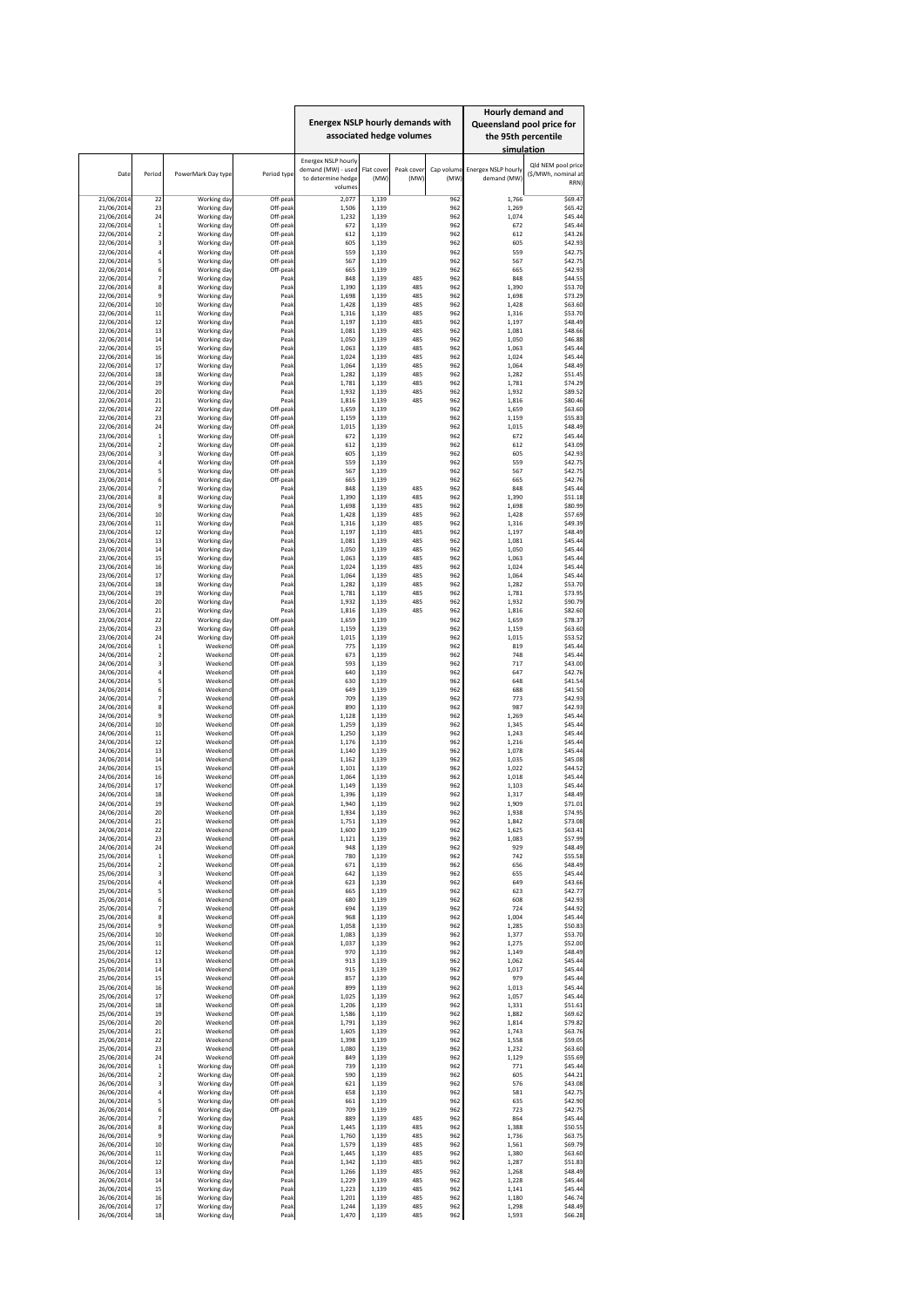|                          |                                |                            |                      |                                          |                    | Hourly demand and  |                     |                                    |                     |
|--------------------------|--------------------------------|----------------------------|----------------------|------------------------------------------|--------------------|--------------------|---------------------|------------------------------------|---------------------|
|                          |                                |                            |                      | <b>Energex NSLP hourly demands with</b>  |                    |                    |                     | Queensland pool price for          |                     |
|                          |                                |                            |                      | associated hedge volumes                 |                    |                    | the 95th percentile |                                    |                     |
|                          |                                |                            |                      |                                          |                    |                    | simulation          |                                    |                     |
|                          |                                |                            |                      | Energex NSLP hourly                      |                    |                    |                     |                                    | Qld NEM pool price  |
| Date                     | Period                         | PowerMark Day type         | Period type          | demand (MW) - used<br>to determine hedge | Flat cover<br>(MW) | Peak cover<br>(MW) | Cap volume<br>(MW)  | Energex NSLP hourly<br>demand (MW) | (\$/MWh, nominal at |
|                          |                                |                            |                      | volumes                                  |                    |                    |                     |                                    | <b>RRN</b>          |
| 21/06/2014               | 22                             | Working day                | Off-peal             | 2,077                                    | 1,139              |                    | 962                 | 1.766                              | \$69.47             |
| 21/06/2014<br>21/06/2014 | 23<br>24                       | Working day<br>Working day | Off-peak<br>Off-peak | 1,506<br>1,232                           | 1,139<br>1,139     |                    | 962<br>962          | 1,269<br>1,074                     | \$65.42<br>\$45.44  |
| 22/06/2014               | $\mathbf{1}$                   | Working day                | Off-peal             | 672                                      | 1,139              |                    | 962                 | 672                                | \$45.44             |
| 22/06/2014               | $\overline{2}$                 | Working day                | Off-peal             | 612<br>605                               | 1.139              |                    | 962<br>962          | 612<br>605                         | \$43.26             |
| 22/06/2014<br>22/06/2014 | 3<br>4                         | Working day<br>Working day | Off-peal<br>Off-peal | 559                                      | 1,139<br>1,139     |                    | 962                 | 559                                | \$42.93<br>\$42.7   |
| 22/06/2014               | 5                              | Working day                | Off-peal             | 567                                      | 1,139              |                    | 962                 | 567                                | \$42.7              |
| 22/06/2014<br>22/06/2014 | 6<br>$\overline{7}$            | Working day<br>Working day | Off-peak<br>Peak     | 665<br>848                               | 1.139<br>1,139     | 485                | 962<br>962          | 665<br>848                         | \$42.93<br>\$44.55  |
| 22/06/2014               | 8                              | Working day                | Peak                 | 1,390                                    | 1,139              | 485                | 962                 | 1,390                              | \$53.70             |
| 22/06/2014<br>22/06/2014 | q<br>10                        | Working day                | Peak<br>Peak         | 1,698<br>1,428                           | 1,139<br>1,139     | 485<br>485         | 962<br>962          | 1,698<br>1,428                     | \$73.29<br>\$63.60  |
| 22/06/2014               | 11                             | Working day<br>Working day | Peal                 | 1.316                                    | 1.139              | 485                | 962                 | 1,316                              | \$53.70             |
| 22/06/2014               | 12                             | Working day                | Peal                 | 1,197                                    | 1,139              | 485                | 962                 | 1,197                              | \$48.49             |
| 22/06/2014<br>22/06/2014 | 13<br>14                       | Working day<br>Working day | Peal<br>Peal         | 1,081<br>1,050                           | 1,139<br>1,139     | 485<br>485         | 962<br>962          | 1,081<br>1,050                     | \$48.66<br>\$46.88  |
| 22/06/2014               | 15                             | Working day                | Peal                 | 1.063                                    | 1.139              | 485                | 962                 | 1,063                              | \$45.44             |
| 22/06/2014<br>22/06/2014 | 16<br>17                       | Working day<br>Working day | Peak<br>Peal         | 1,024<br>1,064                           | 1,139<br>1,139     | 485<br>485         | 962<br>962          | 1,024<br>1,064                     | \$45.44<br>\$48.49  |
| 22/06/2014               | 18                             | Working day                | Peal                 | 1,282                                    | 1,139              | 485                | 962                 | 1,282                              | \$51.45             |
| 22/06/2014<br>22/06/2014 | 19<br>20                       | Working day<br>Working day | Peal<br>Peal         | 1.781<br>1,932                           | 1.139<br>1,139     | 485<br>485         | 962<br>962          | 1.781<br>1,932                     | \$74.29<br>\$89.52  |
| 22/06/2014               | 21                             | Working day                | Peal                 | 1,816                                    | 1,139              | 485                | 962                 | 1,816                              | \$80.46             |
| 22/06/2014               | 22<br>23                       | Working day                | Off-peal             | 1,659<br>1.159                           | 1,139<br>1.139     |                    | 962<br>962          | 1,659                              | \$63.60<br>\$55.83  |
| 22/06/2014<br>22/06/2014 | 24                             | Working day<br>Working day | Off-peal<br>Off-peal | 1,015                                    | 1,139              |                    | 962                 | 1,159<br>1,015                     | \$48.49             |
| 23/06/2014               | $\mathbf 1$                    | Working day                | Off-peak             | 672                                      | 1,139              |                    | 962                 | 672                                | \$45.44             |
| 23/06/2014<br>23/06/2014 | $\mathbf 2$<br>$\overline{3}$  | Working day<br>Working day | Off-peal<br>Off-peal | 612<br>605                               | 1,139<br>1.139     |                    | 962<br>962          | 612<br>605                         | \$43.09<br>\$42.93  |
| 23/06/2014               | 4                              | Working day                | Off-peak             | 559                                      | 1,139              |                    | 962                 | 559                                | \$42.75             |
| 23/06/2014<br>23/06/2014 | 5<br>6                         | Working day<br>Working day | Off-peak<br>Off-peak | 567<br>665                               | 1,139<br>1,139     |                    | 962<br>962          | 567<br>665                         | \$42.75<br>\$42.76  |
| 23/06/2014               | $\overline{7}$                 | Working day                | Peal                 | 848                                      | 1,139              | 485                | 962                 | 848                                | \$45.44             |
| 23/06/2014<br>23/06/2014 | 8<br>9                         | Working day<br>Working day | Peal<br>Peal         | 1.390<br>1,698                           | 1.139<br>1,139     | 485<br>485         | 962<br>962          | 1.390<br>1,698                     | \$51.18<br>\$80.99  |
| 23/06/2014               | 10                             | Working day                | Peal                 | 1,428                                    | 1,139              | 485                | 962                 | 1,428                              | \$57.69             |
| 23/06/2014               | 11                             | Working day                | Peal                 | 1,316                                    | 1,139              | 485                | 962                 | 1,316                              | \$49.39             |
| 23/06/2014<br>23/06/2014 | 12<br>13                       | Working day<br>Working day | Peal<br>Peal         | 1.197<br>1,081                           | 1.139<br>1,139     | 485<br>485         | 962<br>962          | 1.197<br>1,081                     | \$48.49<br>\$45.44  |
| 23/06/2014               | 14                             | Working day                | Peal                 | 1,050                                    | 1,139              | 485                | 962                 | 1,050                              | \$45.44             |
| 23/06/2014<br>23/06/2014 | 15<br>16                       | Working day<br>Working day | Peal<br>Peal         | 1,063<br>1.024                           | 1,139<br>1.139     | 485<br>485         | 962<br>962          | 1,063<br>1,024                     | \$45.44<br>\$45.44  |
| 23/06/2014               | 17                             | Working day                | Peal                 | 1,064                                    | 1,139              | 485                | 962                 | 1,064                              | \$45.44             |
| 23/06/2014               | 18<br>19                       | Working day                | Peal<br>Peak         | 1,282<br>1,781                           | 1,139<br>1,139     | 485<br>485         | 962<br>962          | 1,282<br>1,781                     | \$53.70<br>\$73.95  |
| 23/06/2014<br>23/06/2014 | 20                             | Working day<br>Working day | Peal                 | 1.932                                    | 1.139              | 485                | 962                 | 1.932                              | \$90.79             |
| 23/06/2014               | 21                             | Working day                | Peak                 | 1,816                                    | 1,139              | 485                | 962                 | 1,816                              | \$82.60             |
| 23/06/2014<br>23/06/2014 | 22<br>23                       | Working day<br>Working day | Off-peal<br>Off-pea  | 1,659<br>1,159                           | 1,139<br>1,139     |                    | 962<br>962          | 1,659<br>1,159                     | \$78.37<br>\$63.60  |
| 23/06/2014               | 24                             | Working day                | Off-peal             | 1.015                                    | 1.139              |                    | 962                 | 1.015                              | \$53.52             |
| 24/06/2014<br>24/06/2014 | $\mathbf{1}$<br>$\overline{2}$ | Weekend<br>Weekend         | Off-peal<br>Off-peak | 775<br>673                               | 1,139<br>1,139     |                    | 962<br>962          | 819<br>748                         | \$45.44<br>\$45.44  |
| 24/06/2014               | $\overline{\mathbf{3}}$        | Weekend                    | Off-peal             | 593                                      | 1,139              |                    | 962                 | 717                                | \$43.00             |
| 24/06/2014<br>24/06/2014 | 4<br>5                         | Weekend<br>Weekend         | Off-peal<br>Off-peak | 640<br>630                               | 1.139<br>1,139     |                    | 962<br>962          | 647<br>648                         | \$42.76<br>\$41.54  |
| 24/06/2014               | 6                              | Weekend                    | Off-peal             | 649                                      | 1,139              |                    | 962                 | 688                                | \$41.50             |
| 24/06/2014               | $\overline{7}$                 | Weekend                    | Off-peal             | 709<br>890                               | 1,139              |                    | 962<br>962          | 773                                | \$42.93             |
| 24/06/2014<br>24/06/2014 | 8<br>9                         | Weekend<br>Weekend         | Off-peal<br>Off-peak | 1.128                                    | 1,139<br>1.139     |                    | 962                 | 987<br>1.269                       | \$42.93<br>\$45.44  |
| 24/06/2014               | 10                             | Weekend                    | Off-peak             | 1,259                                    | 1,139              |                    | 962                 | 1,345                              | \$45.44             |
| 24/06/2014<br>24/06/2014 | 11<br>12                       | Weekend<br>Weekend         | Off-peak<br>Off-peal | 1,250<br>1,176                           | 1,139<br>1,139     |                    | 962<br>962          | 1,243<br>1,216                     | \$45.44<br>\$45.44  |
| 24/06/2014               | 13                             | Weekend                    | Off-peak             | 1.140                                    | 1,139              |                    | 962                 | 1,078                              | \$45.44             |
| 24/06/2014<br>24/06/2014 | 14<br>15                       | Weekend<br>Weekend         | Off-peak<br>Off-peal | 1,162<br>1,101                           | 1,139<br>1,139     |                    | 962<br>962          | 1,035<br>1,022                     | \$45.08<br>\$44.52  |
| 24/06/2014               | 16                             | Weekend                    | Off-peal             | 1,064                                    | 1,139              |                    | 962                 | 1,018                              | \$45.44             |
| 24/06/2014<br>24/06/2014 | 17<br>18                       | Weekend<br>Weekend         | Off-peak<br>Off-peak | 1.149<br>1,396                           | 1.139<br>1,139     |                    | 962<br>962          | 1,103<br>1,317                     | \$45.44<br>\$48.49  |
| 24/06/2014               | 19                             | Weekend                    | Off-pea              | 1,940                                    | 1,139              |                    | 962                 | 1,909                              | \$71.0              |
| 24/06/2014<br>24/06/2014 | 20<br>21                       | Weekend<br>Weekend         | Off-peak             | 1,934<br>1.751                           | 1,139<br>1.139     |                    | 962<br>962          | 1,938<br>1.842                     | \$74.95<br>\$73.08  |
| 24/06/2014               | 22                             | Weekend                    | Off-peal<br>Off-peak | 1,600                                    | 1,139              |                    | 962                 | 1,625                              | \$63.41             |
| 24/06/2014               | 23                             | Weekend                    | Off-peak             | 1,121                                    | 1,139              |                    | 962                 | 1,083                              | \$57.99             |
| 24/06/2014<br>25/06/2014 | 24<br>$\mathbf{1}$             | Weekend<br>Weekend         | Off-peak<br>Off-peak | 948<br>780                               | 1,139<br>1,139     |                    | 962<br>962          | 929<br>742                         | \$48.49<br>\$55.58  |
| 25/06/2014               | $\mathbf 2$                    | Weekend                    | Off-peak             | 671                                      | 1,139              |                    | 962                 | 656                                | \$48.49             |
| 25/06/2014<br>25/06/2014 | 3<br>4                         | Weekend<br>Weekend         | Off-peak<br>Off-peak | 642<br>623                               | 1,139<br>1,139     |                    | 962<br>962          | 655<br>649                         | \$45.44<br>\$43.66  |
| 25/06/2014               | 5                              | Weekend                    | Off-peak             | 665                                      | 1,139              |                    | 962                 | 623                                | \$42.77             |
| 25/06/2014<br>25/06/2014 | 6<br>$\overline{7}$            | Weekend<br>Weekend         | Off-peak<br>Off-peak | 680<br>694                               | 1,139<br>1,139     |                    | 962<br>962          | 608<br>724                         | \$42.93<br>\$44.92  |
| 25/06/2014               | 8                              | Weekend                    | Off-peak             | 968                                      | 1,139              |                    | 962                 | 1,004                              | \$45.44             |
| 25/06/2014<br>25/06/2014 | 9<br>10                        | Weekend<br>Weekend         | Off-peal<br>Off-peak | 1,058<br>1,083                           | 1,139<br>1.139     |                    | 962<br>962          | 1,285<br>1,377                     | \$50.83<br>\$53.70  |
| 25/06/2014               | 11                             | Weekend                    | Off-peak             | 1,037                                    | 1,139              |                    | 962                 | 1,275                              | \$52.00             |
| 25/06/2014               | 12                             | Weekend<br>Weekend         | Off-peak             | 970                                      | 1,139              |                    | 962<br>962          | 1,149                              | \$48.49             |
| 25/06/2014<br>25/06/2014 | 13<br>14                       | Weekend                    | Off-peak<br>Off-peak | 913<br>915                               | 1,139<br>1.139     |                    | 962                 | 1,062<br>1,017                     | \$45.44<br>\$45.44  |
| 25/06/2014               | 15                             | Weekend                    | Off-peak             | 857                                      | 1,139              |                    | 962                 | 979                                | \$45.44             |
| 25/06/2014<br>25/06/2014 | 16<br>17                       | Weekend<br>Weekend         | Off-peak<br>Off-peak | 899<br>1,025                             | 1,139<br>1,139     |                    | 962<br>962          | 1,013<br>1,057                     | \$45.44<br>\$45.44  |
| 25/06/2014               | 18                             | Weekend                    | Off-peak             | 1,206                                    | 1,139              |                    | 962                 | 1,331                              | \$51.61             |
| 25/06/2014<br>25/06/2014 | 19<br>20                       | Weekend<br>Weekend         | Off-peak<br>Off-peak | 1,586<br>1,791                           | 1,139<br>1,139     |                    | 962<br>962          | 1,882<br>1,814                     | \$69.62<br>\$79.82  |
| 25/06/2014               | 21                             | Weekend                    | Off-peak             | 1,605                                    | 1,139              |                    | 962                 | 1,743                              | \$63.76             |
| 25/06/2014<br>25/06/2014 | 22<br>23                       | Weekend<br>Weekend         | Off-peak<br>Off-peak | 1,398<br>1,080                           | 1.139<br>1,139     |                    | 962<br>962          | 1,558<br>1,232                     | \$59.05<br>\$63.60  |
| 25/06/2014               | 24                             | Weekend                    | Off-peak             | 849                                      | 1,139              |                    | 962                 | 1,129                              | \$55.69             |
| 26/06/2014               | $\mathbf{1}$<br>$\overline{2}$ | Working day                | Off-peal             | 739                                      | 1,139              |                    | 962<br>962          | 771<br>605                         | \$45.44<br>\$44.21  |
| 26/06/2014<br>26/06/2014 | 3                              | Working day<br>Working day | Off-peak<br>Off-peak | 590<br>621                               | 1,139<br>1,139     |                    | 962                 | 576                                | \$43.08             |
| 26/06/2014               | 4                              | Working day                | Off-peak             | 658                                      | 1,139              |                    | 962                 | 581                                | \$42.75             |
| 26/06/2014<br>26/06/2014 | 5<br>6                         | Working day<br>Working day | Off-peak<br>Off-peak | 661<br>709                               | 1,139<br>1,139     |                    | 962<br>962          | 635<br>723                         | \$42.90<br>\$42.75  |
| 26/06/2014               | $\overline{7}$                 | Working day                | Peak                 | 889                                      | 1,139              | 485                | 962                 | 864                                | \$45.44             |
| 26/06/2014<br>26/06/2014 | 8<br>9                         | Working day<br>Working day | Peal<br>Peal         | 1,445<br>1,760                           | 1,139<br>1,139     | 485<br>485         | 962<br>962          | 1,388<br>1,736                     | \$50.55<br>\$63.75  |
| 26/06/2014               | 10                             | Working day                | Peak                 | 1,579                                    | 1,139              | 485                | 962                 | 1,561                              | \$69.79             |
| 26/06/2014<br>26/06/2014 | 11<br>12                       | Working day<br>Working day | Peak<br>Peak         | 1,445<br>1,342                           | 1,139<br>1,139     | 485<br>485         | 962<br>962          | 1,380<br>1,287                     | \$63.60<br>\$51.83  |
| 26/06/2014               | 13                             | Working day                | Peak                 | 1,266                                    | 1,139              | 485                | 962                 | 1,268                              | \$48.49             |
| 26/06/2014               | 14<br>15                       | Working day                | Peak<br>Peak         | 1,229                                    | 1,139              | 485<br>485         | 962<br>962          | 1,228                              | \$45.44<br>\$45.44  |
| 26/06/2014<br>26/06/2014 | 16                             | Working day<br>Working day | Peak                 | 1,223<br>1,201                           | 1,139<br>1,139     | 485                | 962                 | 1,141<br>1,180                     | \$46.74             |
| 26/06/2014               | 17                             | Working day                | Peal                 | 1,244                                    | 1,139              | 485                | 962                 | 1,298                              | \$48.49             |
| 26/06/2014               | 18                             | Working day                | Peal                 | 1,470                                    | 1,139              | 485                | 962                 | 1,593                              | \$66.28             |